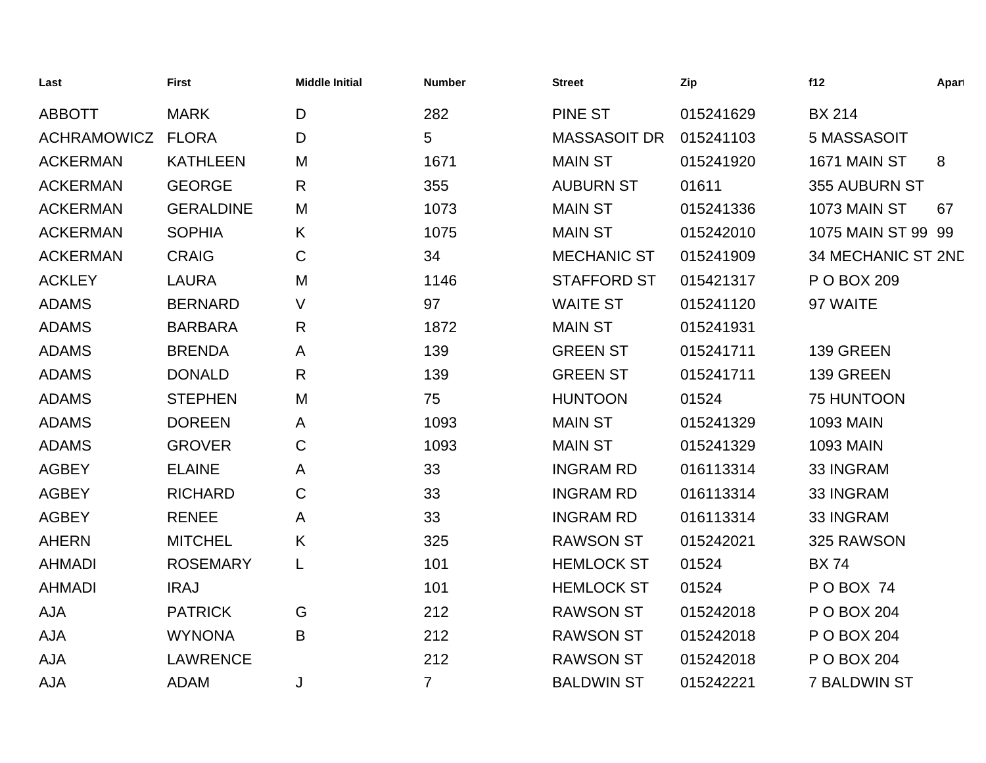| Last               | <b>First</b>     | <b>Middle Initial</b> | <b>Number</b>  | <b>Street</b>       | Zip       | f12                 | Apart |
|--------------------|------------------|-----------------------|----------------|---------------------|-----------|---------------------|-------|
| <b>ABBOTT</b>      | <b>MARK</b>      | D                     | 282            | <b>PINE ST</b>      | 015241629 | <b>BX 214</b>       |       |
| <b>ACHRAMOWICZ</b> | <b>FLORA</b>     | D                     | 5              | <b>MASSASOIT DR</b> | 015241103 | 5 MASSASOIT         |       |
| <b>ACKERMAN</b>    | <b>KATHLEEN</b>  | M                     | 1671           | <b>MAIN ST</b>      | 015241920 | 1671 MAIN ST        | 8     |
| <b>ACKERMAN</b>    | <b>GEORGE</b>    | R                     | 355            | <b>AUBURN ST</b>    | 01611     | 355 AUBURN ST       |       |
| <b>ACKERMAN</b>    | <b>GERALDINE</b> | M                     | 1073           | <b>MAIN ST</b>      | 015241336 | <b>1073 MAIN ST</b> | 67    |
| <b>ACKERMAN</b>    | <b>SOPHIA</b>    | K                     | 1075           | <b>MAIN ST</b>      | 015242010 | 1075 MAIN ST 99 99  |       |
| <b>ACKERMAN</b>    | <b>CRAIG</b>     | $\mathbf C$           | 34             | <b>MECHANIC ST</b>  | 015241909 | 34 MECHANIC ST 2ND  |       |
| <b>ACKLEY</b>      | <b>LAURA</b>     | M                     | 1146           | <b>STAFFORD ST</b>  | 015421317 | P O BOX 209         |       |
| <b>ADAMS</b>       | <b>BERNARD</b>   | V                     | 97             | <b>WAITE ST</b>     | 015241120 | 97 WAITE            |       |
| <b>ADAMS</b>       | <b>BARBARA</b>   | R                     | 1872           | <b>MAIN ST</b>      | 015241931 |                     |       |
| <b>ADAMS</b>       | <b>BRENDA</b>    | A                     | 139            | <b>GREEN ST</b>     | 015241711 | 139 GREEN           |       |
| <b>ADAMS</b>       | <b>DONALD</b>    | R                     | 139            | <b>GREEN ST</b>     | 015241711 | 139 GREEN           |       |
| <b>ADAMS</b>       | <b>STEPHEN</b>   | M                     | 75             | <b>HUNTOON</b>      | 01524     | 75 HUNTOON          |       |
| <b>ADAMS</b>       | <b>DOREEN</b>    | A                     | 1093           | <b>MAIN ST</b>      | 015241329 | <b>1093 MAIN</b>    |       |
| <b>ADAMS</b>       | <b>GROVER</b>    | $\mathsf C$           | 1093           | <b>MAIN ST</b>      | 015241329 | <b>1093 MAIN</b>    |       |
| <b>AGBEY</b>       | <b>ELAINE</b>    | A                     | 33             | <b>INGRAM RD</b>    | 016113314 | 33 INGRAM           |       |
| <b>AGBEY</b>       | <b>RICHARD</b>   | $\mathbf C$           | 33             | <b>INGRAM RD</b>    | 016113314 | 33 INGRAM           |       |
| <b>AGBEY</b>       | <b>RENEE</b>     | A                     | 33             | <b>INGRAM RD</b>    | 016113314 | 33 INGRAM           |       |
| <b>AHERN</b>       | <b>MITCHEL</b>   | K                     | 325            | <b>RAWSON ST</b>    | 015242021 | 325 RAWSON          |       |
| <b>AHMADI</b>      | <b>ROSEMARY</b>  | L                     | 101            | <b>HEMLOCK ST</b>   | 01524     | <b>BX74</b>         |       |
| <b>AHMADI</b>      | <b>IRAJ</b>      |                       | 101            | <b>HEMLOCK ST</b>   | 01524     | POBOX 74            |       |
| <b>AJA</b>         | <b>PATRICK</b>   | G                     | 212            | <b>RAWSON ST</b>    | 015242018 | P O BOX 204         |       |
| <b>AJA</b>         | <b>WYNONA</b>    | B                     | 212            | <b>RAWSON ST</b>    | 015242018 | P O BOX 204         |       |
| <b>AJA</b>         | <b>LAWRENCE</b>  |                       | 212            | <b>RAWSON ST</b>    | 015242018 | P O BOX 204         |       |
| <b>AJA</b>         | <b>ADAM</b>      | J                     | $\overline{7}$ | <b>BALDWIN ST</b>   | 015242221 | <b>7 BALDWIN ST</b> |       |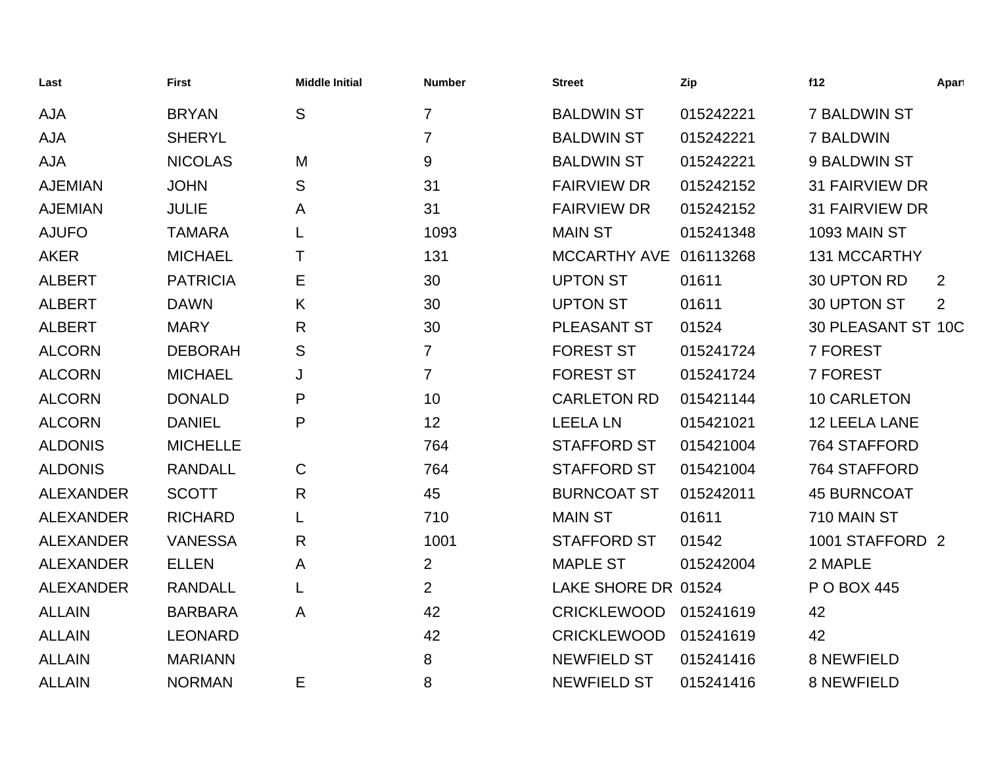| Last             | <b>First</b>    | <b>Middle Initial</b> | <b>Number</b>  | <b>Street</b>       | Zip       | f12                   | Apart |
|------------------|-----------------|-----------------------|----------------|---------------------|-----------|-----------------------|-------|
| <b>AJA</b>       | <b>BRYAN</b>    | S                     | 7              | <b>BALDWIN ST</b>   | 015242221 | <b>7 BALDWIN ST</b>   |       |
| <b>AJA</b>       | <b>SHERYL</b>   |                       | $\overline{7}$ | <b>BALDWIN ST</b>   | 015242221 | 7 BALDWIN             |       |
| <b>AJA</b>       | <b>NICOLAS</b>  | M                     | 9              | <b>BALDWIN ST</b>   | 015242221 | 9 BALDWIN ST          |       |
| <b>AJEMIAN</b>   | <b>JOHN</b>     | S                     | 31             | <b>FAIRVIEW DR</b>  | 015242152 | <b>31 FAIRVIEW DR</b> |       |
| <b>AJEMIAN</b>   | <b>JULIE</b>    | Α                     | 31             | <b>FAIRVIEW DR</b>  | 015242152 | <b>31 FAIRVIEW DR</b> |       |
| <b>AJUFO</b>     | <b>TAMARA</b>   |                       | 1093           | <b>MAIN ST</b>      | 015241348 | 1093 MAIN ST          |       |
| <b>AKER</b>      | <b>MICHAEL</b>  | т                     | 131            | <b>MCCARTHY AVE</b> | 016113268 | 131 MCCARTHY          |       |
| <b>ALBERT</b>    | <b>PATRICIA</b> | Е                     | 30             | <b>UPTON ST</b>     | 01611     | 30 UPTON RD           | 2     |
| <b>ALBERT</b>    | <b>DAWN</b>     | K                     | 30             | <b>UPTON ST</b>     | 01611     | 30 UPTON ST           | 2     |
| <b>ALBERT</b>    | <b>MARY</b>     | R                     | 30             | PLEASANT ST         | 01524     | 30 PLEASANT ST 10C    |       |
| <b>ALCORN</b>    | <b>DEBORAH</b>  | S                     | $\overline{7}$ | <b>FOREST ST</b>    | 015241724 | 7 FOREST              |       |
| <b>ALCORN</b>    | <b>MICHAEL</b>  | J                     | $\overline{7}$ | <b>FOREST ST</b>    | 015241724 | 7 FOREST              |       |
| <b>ALCORN</b>    | <b>DONALD</b>   | P                     | 10             | <b>CARLETON RD</b>  | 015421144 | 10 CARLETON           |       |
| <b>ALCORN</b>    | <b>DANIEL</b>   | P                     | 12             | <b>LEELA LN</b>     | 015421021 | 12 LEELA LANE         |       |
| <b>ALDONIS</b>   | <b>MICHELLE</b> |                       | 764            | <b>STAFFORD ST</b>  | 015421004 | 764 STAFFORD          |       |
| <b>ALDONIS</b>   | <b>RANDALL</b>  | $\mathsf{C}$          | 764            | <b>STAFFORD ST</b>  | 015421004 | 764 STAFFORD          |       |
| <b>ALEXANDER</b> | <b>SCOTT</b>    | $\mathsf{R}$          | 45             | <b>BURNCOAT ST</b>  | 015242011 | <b>45 BURNCOAT</b>    |       |
| <b>ALEXANDER</b> | <b>RICHARD</b>  | L                     | 710            | <b>MAIN ST</b>      | 01611     | 710 MAIN ST           |       |
| <b>ALEXANDER</b> | <b>VANESSA</b>  | R                     | 1001           | <b>STAFFORD ST</b>  | 01542     | 1001 STAFFORD 2       |       |
| <b>ALEXANDER</b> | <b>ELLEN</b>    | A                     | $\overline{2}$ | <b>MAPLE ST</b>     | 015242004 | 2 MAPLE               |       |
| <b>ALEXANDER</b> | <b>RANDALL</b>  | L                     | $\overline{2}$ | LAKE SHORE DR 01524 |           | P O BOX 445           |       |
| <b>ALLAIN</b>    | <b>BARBARA</b>  | A                     | 42             | <b>CRICKLEWOOD</b>  | 015241619 | 42                    |       |
| <b>ALLAIN</b>    | <b>LEONARD</b>  |                       | 42             | <b>CRICKLEWOOD</b>  | 015241619 | 42                    |       |
| <b>ALLAIN</b>    | <b>MARIANN</b>  |                       | 8              | <b>NEWFIELD ST</b>  | 015241416 | 8 NEWFIELD            |       |
| <b>ALLAIN</b>    | <b>NORMAN</b>   | Е                     | 8              | <b>NEWFIELD ST</b>  | 015241416 | <b>8 NEWFIELD</b>     |       |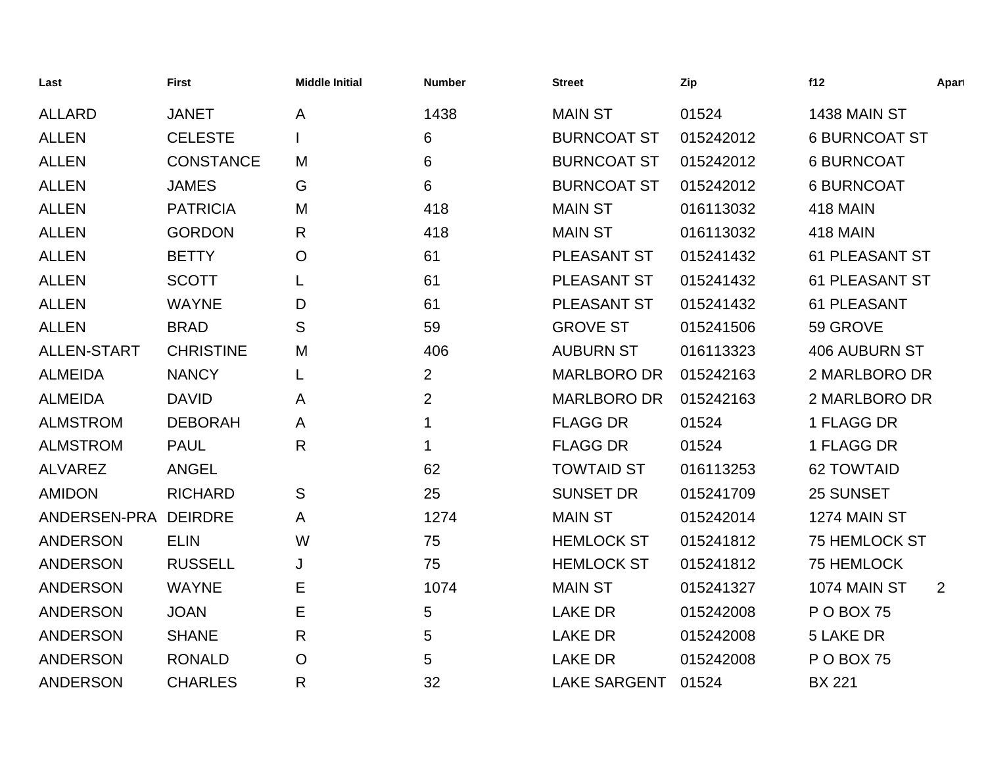| Last            | <b>First</b>     | <b>Middle Initial</b> | <b>Number</b>  | <b>Street</b>       | Zip       | f12                   | Apart |
|-----------------|------------------|-----------------------|----------------|---------------------|-----------|-----------------------|-------|
| <b>ALLARD</b>   | <b>JANET</b>     | Α                     | 1438           | <b>MAIN ST</b>      | 01524     | 1438 MAIN ST          |       |
| <b>ALLEN</b>    | <b>CELESTE</b>   |                       | 6              | <b>BURNCOAT ST</b>  | 015242012 | <b>6 BURNCOAT ST</b>  |       |
| <b>ALLEN</b>    | <b>CONSTANCE</b> | M                     | 6              | <b>BURNCOAT ST</b>  | 015242012 | <b>6 BURNCOAT</b>     |       |
| <b>ALLEN</b>    | <b>JAMES</b>     | G                     | 6              | <b>BURNCOAT ST</b>  | 015242012 | <b>6 BURNCOAT</b>     |       |
| <b>ALLEN</b>    | <b>PATRICIA</b>  | M                     | 418            | <b>MAIN ST</b>      | 016113032 | <b>418 MAIN</b>       |       |
| <b>ALLEN</b>    | <b>GORDON</b>    | R                     | 418            | <b>MAIN ST</b>      | 016113032 | <b>418 MAIN</b>       |       |
| <b>ALLEN</b>    | <b>BETTY</b>     | $\mathsf{O}$          | 61             | <b>PLEASANT ST</b>  | 015241432 | <b>61 PLEASANT ST</b> |       |
| <b>ALLEN</b>    | <b>SCOTT</b>     | L                     | 61             | PLEASANT ST         | 015241432 | 61 PLEASANT ST        |       |
| <b>ALLEN</b>    | <b>WAYNE</b>     | D                     | 61             | PLEASANT ST         | 015241432 | 61 PLEASANT           |       |
| <b>ALLEN</b>    | <b>BRAD</b>      | S                     | 59             | <b>GROVE ST</b>     | 015241506 | 59 GROVE              |       |
| ALLEN-START     | <b>CHRISTINE</b> | M                     | 406            | <b>AUBURN ST</b>    | 016113323 | <b>406 AUBURN ST</b>  |       |
| <b>ALMEIDA</b>  | <b>NANCY</b>     | L                     | $\overline{2}$ | <b>MARLBORO DR</b>  | 015242163 | 2 MARLBORO DR         |       |
| <b>ALMEIDA</b>  | <b>DAVID</b>     | Α                     | $\overline{2}$ | <b>MARLBORO DR</b>  | 015242163 | 2 MARLBORO DR         |       |
| <b>ALMSTROM</b> | <b>DEBORAH</b>   | A                     | 1              | <b>FLAGG DR</b>     | 01524     | 1 FLAGG DR            |       |
| <b>ALMSTROM</b> | <b>PAUL</b>      | R                     | 1              | <b>FLAGG DR</b>     | 01524     | 1 FLAGG DR            |       |
| <b>ALVAREZ</b>  | <b>ANGEL</b>     |                       | 62             | <b>TOWTAID ST</b>   | 016113253 | <b>62 TOWTAID</b>     |       |
| <b>AMIDON</b>   | <b>RICHARD</b>   | S                     | 25             | <b>SUNSET DR</b>    | 015241709 | 25 SUNSET             |       |
| ANDERSEN-PRA    | <b>DEIRDRE</b>   | A                     | 1274           | <b>MAIN ST</b>      | 015242014 | 1274 MAIN ST          |       |
| <b>ANDERSON</b> | <b>ELIN</b>      | W                     | 75             | <b>HEMLOCK ST</b>   | 015241812 | 75 HEMLOCK ST         |       |
| <b>ANDERSON</b> | <b>RUSSELL</b>   | J                     | 75             | <b>HEMLOCK ST</b>   | 015241812 | 75 HEMLOCK            |       |
| <b>ANDERSON</b> | <b>WAYNE</b>     | E                     | 1074           | <b>MAIN ST</b>      | 015241327 | 1074 MAIN ST          | 2     |
| <b>ANDERSON</b> | <b>JOAN</b>      | E                     | 5              | <b>LAKE DR</b>      | 015242008 | <b>PO BOX 75</b>      |       |
| <b>ANDERSON</b> | <b>SHANE</b>     | R                     | 5              | <b>LAKE DR</b>      | 015242008 | <b>5 LAKE DR</b>      |       |
| <b>ANDERSON</b> | <b>RONALD</b>    | $\mathsf{O}$          | 5              | <b>LAKE DR</b>      | 015242008 | <b>PO BOX 75</b>      |       |
| <b>ANDERSON</b> | <b>CHARLES</b>   | R                     | 32             | <b>LAKE SARGENT</b> | 01524     | <b>BX 221</b>         |       |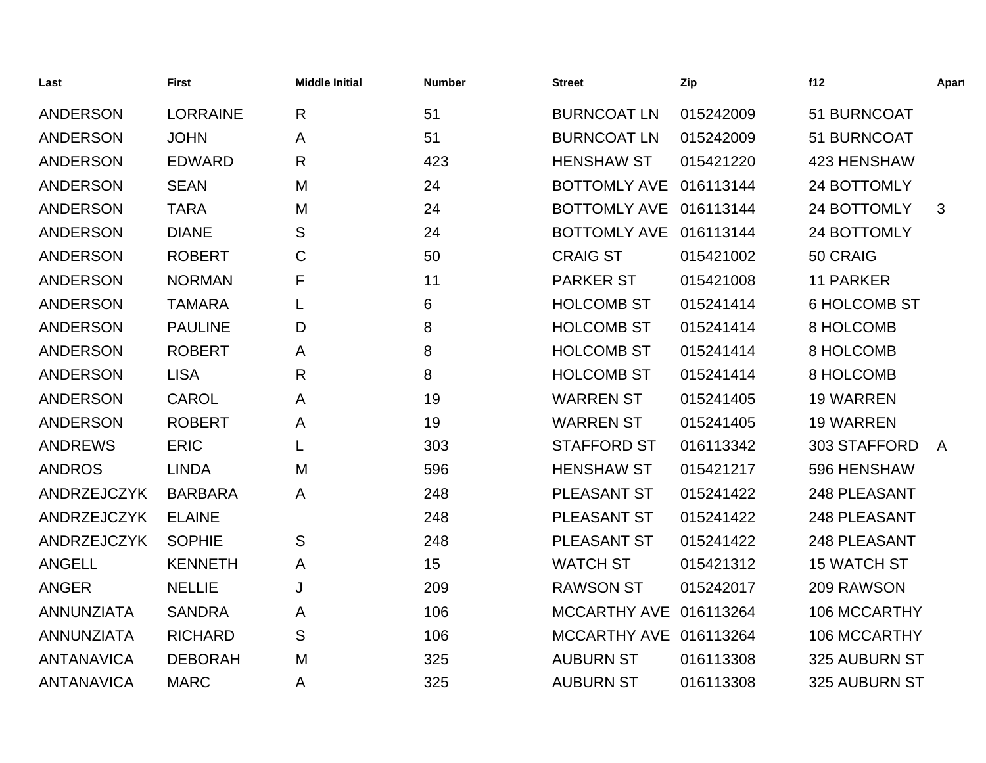| Last               | <b>First</b>    | <b>Middle Initial</b> | <b>Number</b> | Street              | Zip       | f12                 | Apart        |
|--------------------|-----------------|-----------------------|---------------|---------------------|-----------|---------------------|--------------|
| <b>ANDERSON</b>    | <b>LORRAINE</b> | R                     | 51            | <b>BURNCOAT LN</b>  | 015242009 | 51 BURNCOAT         |              |
| <b>ANDERSON</b>    | <b>JOHN</b>     | A                     | 51            | <b>BURNCOAT LN</b>  | 015242009 | 51 BURNCOAT         |              |
| <b>ANDERSON</b>    | <b>EDWARD</b>   | R                     | 423           | <b>HENSHAW ST</b>   | 015421220 | 423 HENSHAW         |              |
| <b>ANDERSON</b>    | <b>SEAN</b>     | M                     | 24            | <b>BOTTOMLY AVE</b> | 016113144 | 24 BOTTOMLY         |              |
| <b>ANDERSON</b>    | <b>TARA</b>     | M                     | 24            | <b>BOTTOMLY AVE</b> | 016113144 | 24 BOTTOMLY         | 3            |
| <b>ANDERSON</b>    | <b>DIANE</b>    | S                     | 24            | <b>BOTTOMLY AVE</b> | 016113144 | 24 BOTTOMLY         |              |
| <b>ANDERSON</b>    | <b>ROBERT</b>   | C                     | 50            | <b>CRAIG ST</b>     | 015421002 | 50 CRAIG            |              |
| <b>ANDERSON</b>    | <b>NORMAN</b>   | F                     | 11            | <b>PARKER ST</b>    | 015421008 | <b>11 PARKER</b>    |              |
| <b>ANDERSON</b>    | <b>TAMARA</b>   |                       | 6             | <b>HOLCOMB ST</b>   | 015241414 | <b>6 HOLCOMB ST</b> |              |
| <b>ANDERSON</b>    | <b>PAULINE</b>  | D                     | 8             | <b>HOLCOMB ST</b>   | 015241414 | 8 HOLCOMB           |              |
| <b>ANDERSON</b>    | <b>ROBERT</b>   | A                     | 8             | <b>HOLCOMB ST</b>   | 015241414 | 8 HOLCOMB           |              |
| <b>ANDERSON</b>    | <b>LISA</b>     | R                     | 8             | <b>HOLCOMB ST</b>   | 015241414 | 8 HOLCOMB           |              |
| <b>ANDERSON</b>    | <b>CAROL</b>    | A                     | 19            | <b>WARREN ST</b>    | 015241405 | <b>19 WARREN</b>    |              |
| <b>ANDERSON</b>    | <b>ROBERT</b>   | A                     | 19            | <b>WARREN ST</b>    | 015241405 | <b>19 WARREN</b>    |              |
| <b>ANDREWS</b>     | <b>ERIC</b>     |                       | 303           | <b>STAFFORD ST</b>  | 016113342 | 303 STAFFORD        | $\mathsf{A}$ |
| <b>ANDROS</b>      | <b>LINDA</b>    | M                     | 596           | <b>HENSHAW ST</b>   | 015421217 | 596 HENSHAW         |              |
| ANDRZEJCZYK        | <b>BARBARA</b>  | A                     | 248           | PLEASANT ST         | 015241422 | 248 PLEASANT        |              |
| <b>ANDRZEJCZYK</b> | <b>ELAINE</b>   |                       | 248           | PLEASANT ST         | 015241422 | 248 PLEASANT        |              |
| ANDRZEJCZYK        | <b>SOPHIE</b>   | S                     | 248           | <b>PLEASANT ST</b>  | 015241422 | 248 PLEASANT        |              |
| <b>ANGELL</b>      | <b>KENNETH</b>  | A                     | 15            | <b>WATCH ST</b>     | 015421312 | <b>15 WATCH ST</b>  |              |
| <b>ANGER</b>       | <b>NELLIE</b>   | J                     | 209           | <b>RAWSON ST</b>    | 015242017 | 209 RAWSON          |              |
| <b>ANNUNZIATA</b>  | <b>SANDRA</b>   | A                     | 106           | <b>MCCARTHY AVE</b> | 016113264 | 106 MCCARTHY        |              |
| <b>ANNUNZIATA</b>  | <b>RICHARD</b>  | S                     | 106           | <b>MCCARTHY AVE</b> | 016113264 | 106 MCCARTHY        |              |
| <b>ANTANAVICA</b>  | <b>DEBORAH</b>  | M                     | 325           | <b>AUBURN ST</b>    | 016113308 | 325 AUBURN ST       |              |
| <b>ANTANAVICA</b>  | <b>MARC</b>     | A                     | 325           | <b>AUBURN ST</b>    | 016113308 | 325 AUBURN ST       |              |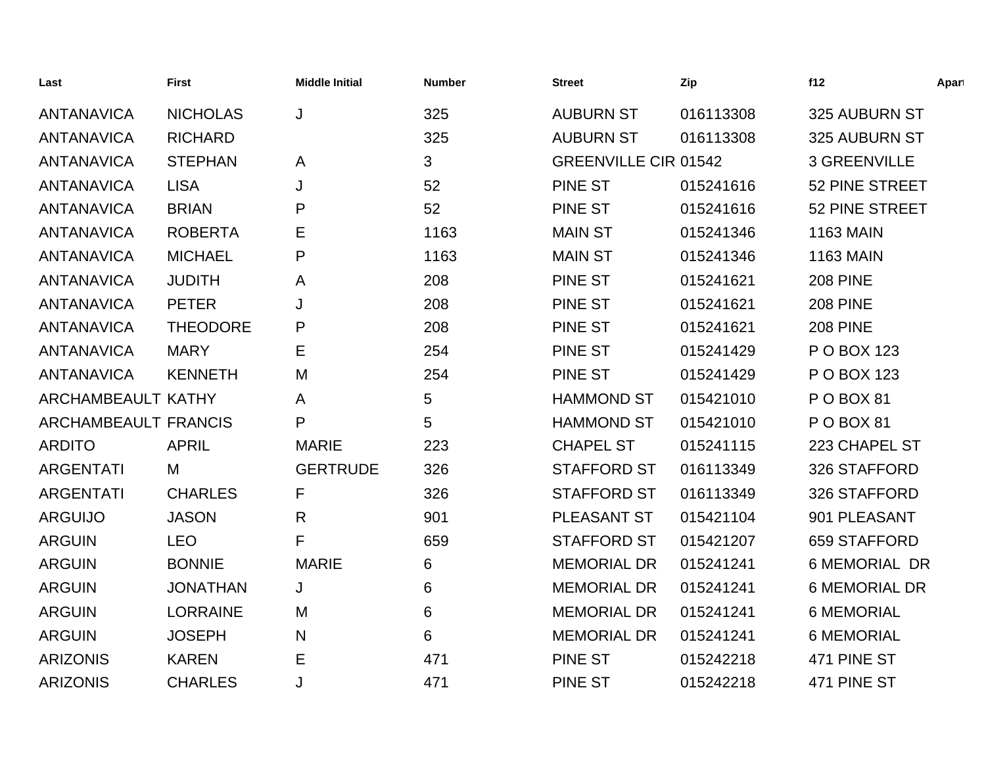| Last                        | <b>First</b>    | <b>Middle Initial</b> | <b>Number</b> | <b>Street</b>               | Zip       | f12                  | Apart |
|-----------------------------|-----------------|-----------------------|---------------|-----------------------------|-----------|----------------------|-------|
| <b>ANTANAVICA</b>           | <b>NICHOLAS</b> | J                     | 325           | <b>AUBURN ST</b>            | 016113308 | 325 AUBURN ST        |       |
| <b>ANTANAVICA</b>           | <b>RICHARD</b>  |                       | 325           | <b>AUBURN ST</b>            | 016113308 | 325 AUBURN ST        |       |
| <b>ANTANAVICA</b>           | <b>STEPHAN</b>  | A                     | 3             | <b>GREENVILLE CIR 01542</b> |           | 3 GREENVILLE         |       |
| <b>ANTANAVICA</b>           | <b>LISA</b>     | J                     | 52            | PINE ST                     | 015241616 | 52 PINE STREET       |       |
| <b>ANTANAVICA</b>           | <b>BRIAN</b>    | P                     | 52            | <b>PINE ST</b>              | 015241616 | 52 PINE STREET       |       |
| <b>ANTANAVICA</b>           | <b>ROBERTA</b>  | Е                     | 1163          | <b>MAIN ST</b>              | 015241346 | <b>1163 MAIN</b>     |       |
| <b>ANTANAVICA</b>           | <b>MICHAEL</b>  | P                     | 1163          | <b>MAIN ST</b>              | 015241346 | <b>1163 MAIN</b>     |       |
| <b>ANTANAVICA</b>           | <b>JUDITH</b>   | A                     | 208           | <b>PINE ST</b>              | 015241621 | <b>208 PINE</b>      |       |
| <b>ANTANAVICA</b>           | <b>PETER</b>    | J                     | 208           | <b>PINE ST</b>              | 015241621 | <b>208 PINE</b>      |       |
| <b>ANTANAVICA</b>           | <b>THEODORE</b> | P                     | 208           | <b>PINE ST</b>              | 015241621 | <b>208 PINE</b>      |       |
| <b>ANTANAVICA</b>           | <b>MARY</b>     | Е                     | 254           | <b>PINE ST</b>              | 015241429 | P O BOX 123          |       |
| <b>ANTANAVICA</b>           | <b>KENNETH</b>  | M                     | 254           | <b>PINE ST</b>              | 015241429 | P O BOX 123          |       |
| ARCHAMBEAULT KATHY          |                 | A                     | 5             | <b>HAMMOND ST</b>           | 015421010 | P O BOX 81           |       |
| <b>ARCHAMBEAULT FRANCIS</b> |                 | P                     | 5             | <b>HAMMOND ST</b>           | 015421010 | P O BOX 81           |       |
| <b>ARDITO</b>               | <b>APRIL</b>    | <b>MARIE</b>          | 223           | <b>CHAPEL ST</b>            | 015241115 | 223 CHAPEL ST        |       |
| <b>ARGENTATI</b>            | M               | <b>GERTRUDE</b>       | 326           | <b>STAFFORD ST</b>          | 016113349 | 326 STAFFORD         |       |
| <b>ARGENTATI</b>            | <b>CHARLES</b>  | F                     | 326           | <b>STAFFORD ST</b>          | 016113349 | 326 STAFFORD         |       |
| <b>ARGUIJO</b>              | <b>JASON</b>    | R                     | 901           | PLEASANT ST                 | 015421104 | 901 PLEASANT         |       |
| <b>ARGUIN</b>               | <b>LEO</b>      | F                     | 659           | <b>STAFFORD ST</b>          | 015421207 | 659 STAFFORD         |       |
| <b>ARGUIN</b>               | <b>BONNIE</b>   | <b>MARIE</b>          | 6             | <b>MEMORIAL DR</b>          | 015241241 | <b>6 MEMORIAL DR</b> |       |
| <b>ARGUIN</b>               | <b>JONATHAN</b> | J                     | 6             | <b>MEMORIAL DR</b>          | 015241241 | <b>6 MEMORIAL DR</b> |       |
| <b>ARGUIN</b>               | <b>LORRAINE</b> | M                     | 6             | <b>MEMORIAL DR</b>          | 015241241 | <b>6 MEMORIAL</b>    |       |
| <b>ARGUIN</b>               | <b>JOSEPH</b>   | N                     | 6             | <b>MEMORIAL DR</b>          | 015241241 | <b>6 MEMORIAL</b>    |       |
| <b>ARIZONIS</b>             | <b>KAREN</b>    | Е                     | 471           | <b>PINE ST</b>              | 015242218 | 471 PINE ST          |       |
| <b>ARIZONIS</b>             | <b>CHARLES</b>  | J                     | 471           | <b>PINE ST</b>              | 015242218 | 471 PINE ST          |       |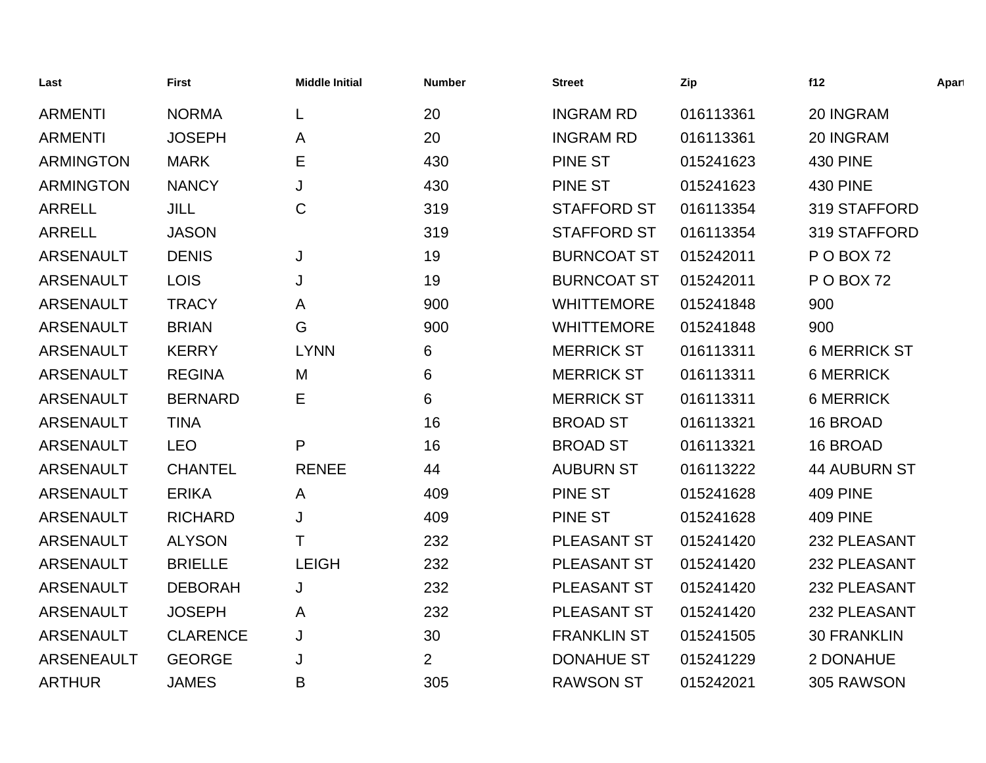| Last              | <b>First</b>    | <b>Middle Initial</b> | <b>Number</b>  | <b>Street</b>      | Zip       | f12                 | Apart |
|-------------------|-----------------|-----------------------|----------------|--------------------|-----------|---------------------|-------|
| <b>ARMENTI</b>    | <b>NORMA</b>    | L                     | 20             | <b>INGRAM RD</b>   | 016113361 | 20 INGRAM           |       |
| <b>ARMENTI</b>    | <b>JOSEPH</b>   | Α                     | 20             | <b>INGRAM RD</b>   | 016113361 | 20 INGRAM           |       |
| <b>ARMINGTON</b>  | <b>MARK</b>     | Ε                     | 430            | <b>PINE ST</b>     | 015241623 | <b>430 PINE</b>     |       |
| <b>ARMINGTON</b>  | <b>NANCY</b>    | J                     | 430            | <b>PINE ST</b>     | 015241623 | <b>430 PINE</b>     |       |
| <b>ARRELL</b>     | JILL            | C                     | 319            | <b>STAFFORD ST</b> | 016113354 | 319 STAFFORD        |       |
| <b>ARRELL</b>     | <b>JASON</b>    |                       | 319            | <b>STAFFORD ST</b> | 016113354 | 319 STAFFORD        |       |
| <b>ARSENAULT</b>  | <b>DENIS</b>    | J                     | 19             | <b>BURNCOAT ST</b> | 015242011 | POBOX 72            |       |
| <b>ARSENAULT</b>  | <b>LOIS</b>     | J                     | 19             | <b>BURNCOAT ST</b> | 015242011 | POBOX 72            |       |
| <b>ARSENAULT</b>  | <b>TRACY</b>    | A                     | 900            | <b>WHITTEMORE</b>  | 015241848 | 900                 |       |
| <b>ARSENAULT</b>  | <b>BRIAN</b>    | G                     | 900            | <b>WHITTEMORE</b>  | 015241848 | 900                 |       |
| <b>ARSENAULT</b>  | <b>KERRY</b>    | <b>LYNN</b>           | 6              | <b>MERRICK ST</b>  | 016113311 | <b>6 MERRICK ST</b> |       |
| <b>ARSENAULT</b>  | <b>REGINA</b>   | M                     | 6              | <b>MERRICK ST</b>  | 016113311 | <b>6 MERRICK</b>    |       |
| <b>ARSENAULT</b>  | <b>BERNARD</b>  | Е                     | 6              | <b>MERRICK ST</b>  | 016113311 | <b>6 MERRICK</b>    |       |
| <b>ARSENAULT</b>  | <b>TINA</b>     |                       | 16             | <b>BROAD ST</b>    | 016113321 | 16 BROAD            |       |
| <b>ARSENAULT</b>  | <b>LEO</b>      | P                     | 16             | <b>BROAD ST</b>    | 016113321 | 16 BROAD            |       |
| <b>ARSENAULT</b>  | <b>CHANTEL</b>  | <b>RENEE</b>          | 44             | <b>AUBURN ST</b>   | 016113222 | <b>44 AUBURN ST</b> |       |
| <b>ARSENAULT</b>  | <b>ERIKA</b>    | A                     | 409            | <b>PINE ST</b>     | 015241628 | <b>409 PINE</b>     |       |
| <b>ARSENAULT</b>  | <b>RICHARD</b>  | J                     | 409            | <b>PINE ST</b>     | 015241628 | <b>409 PINE</b>     |       |
| <b>ARSENAULT</b>  | <b>ALYSON</b>   | т                     | 232            | <b>PLEASANT ST</b> | 015241420 | 232 PLEASANT        |       |
| <b>ARSENAULT</b>  | <b>BRIELLE</b>  | <b>LEIGH</b>          | 232            | PLEASANT ST        | 015241420 | 232 PLEASANT        |       |
| <b>ARSENAULT</b>  | <b>DEBORAH</b>  | J                     | 232            | PLEASANT ST        | 015241420 | 232 PLEASANT        |       |
| <b>ARSENAULT</b>  | <b>JOSEPH</b>   | A                     | 232            | PLEASANT ST        | 015241420 | 232 PLEASANT        |       |
| <b>ARSENAULT</b>  | <b>CLARENCE</b> | J                     | 30             | <b>FRANKLIN ST</b> | 015241505 | <b>30 FRANKLIN</b>  |       |
| <b>ARSENEAULT</b> | <b>GEORGE</b>   | J                     | $\overline{2}$ | <b>DONAHUE ST</b>  | 015241229 | 2 DONAHUE           |       |
| <b>ARTHUR</b>     | <b>JAMES</b>    | B                     | 305            | <b>RAWSON ST</b>   | 015242021 | 305 RAWSON          |       |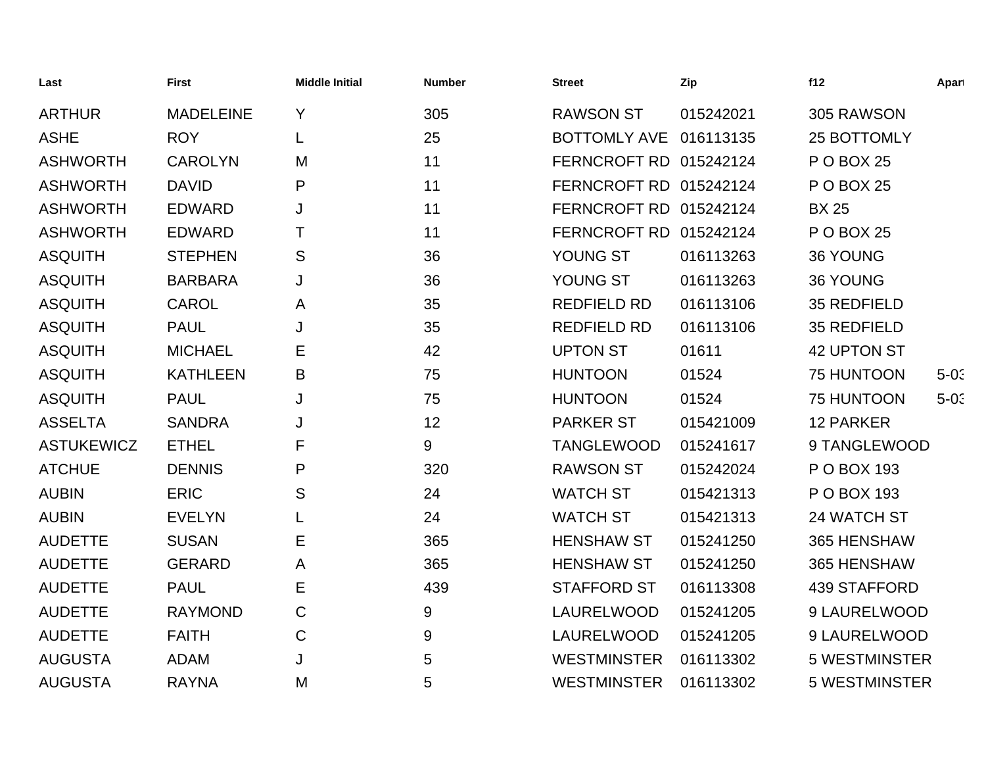| Last              | <b>First</b>     | <b>Middle Initial</b> | <b>Number</b> | <b>Street</b>          | Zip       | f12                  | Apart  |
|-------------------|------------------|-----------------------|---------------|------------------------|-----------|----------------------|--------|
| <b>ARTHUR</b>     | <b>MADELEINE</b> | Y                     | 305           | <b>RAWSON ST</b>       | 015242021 | 305 RAWSON           |        |
| <b>ASHE</b>       | <b>ROY</b>       | L                     | 25            | BOTTOMLY AVE 016113135 |           | 25 BOTTOMLY          |        |
| <b>ASHWORTH</b>   | <b>CAROLYN</b>   | M                     | 11            | FERNCROFT RD 015242124 |           | <b>P O BOX 25</b>    |        |
| <b>ASHWORTH</b>   | <b>DAVID</b>     | P                     | 11            | FERNCROFT RD 015242124 |           | <b>P O BOX 25</b>    |        |
| <b>ASHWORTH</b>   | <b>EDWARD</b>    | J                     | 11            | FERNCROFT RD 015242124 |           | <b>BX 25</b>         |        |
| <b>ASHWORTH</b>   | <b>EDWARD</b>    | Т                     | 11            | FERNCROFT RD 015242124 |           | <b>P O BOX 25</b>    |        |
| <b>ASQUITH</b>    | <b>STEPHEN</b>   | S                     | 36            | YOUNG ST               | 016113263 | 36 YOUNG             |        |
| <b>ASQUITH</b>    | <b>BARBARA</b>   | J                     | 36            | YOUNG ST               | 016113263 | 36 YOUNG             |        |
| <b>ASQUITH</b>    | <b>CAROL</b>     | A                     | 35            | <b>REDFIELD RD</b>     | 016113106 | 35 REDFIELD          |        |
| <b>ASQUITH</b>    | <b>PAUL</b>      | J                     | 35            | <b>REDFIELD RD</b>     | 016113106 | 35 REDFIELD          |        |
| <b>ASQUITH</b>    | <b>MICHAEL</b>   | Ε                     | 42            | <b>UPTON ST</b>        | 01611     | 42 UPTON ST          |        |
| <b>ASQUITH</b>    | <b>KATHLEEN</b>  | B                     | 75            | <b>HUNTOON</b>         | 01524     | 75 HUNTOON           | $5-0:$ |
| <b>ASQUITH</b>    | <b>PAUL</b>      | J                     | 75            | <b>HUNTOON</b>         | 01524     | 75 HUNTOON           | $5-0:$ |
| <b>ASSELTA</b>    | <b>SANDRA</b>    | J                     | 12            | <b>PARKER ST</b>       | 015421009 | <b>12 PARKER</b>     |        |
| <b>ASTUKEWICZ</b> | <b>ETHEL</b>     | F                     | 9             | <b>TANGLEWOOD</b>      | 015241617 | 9 TANGLEWOOD         |        |
| <b>ATCHUE</b>     | <b>DENNIS</b>    | P                     | 320           | <b>RAWSON ST</b>       | 015242024 | P O BOX 193          |        |
| <b>AUBIN</b>      | <b>ERIC</b>      | S                     | 24            | <b>WATCH ST</b>        | 015421313 | P O BOX 193          |        |
| <b>AUBIN</b>      | <b>EVELYN</b>    |                       | 24            | <b>WATCH ST</b>        | 015421313 | 24 WATCH ST          |        |
| <b>AUDETTE</b>    | <b>SUSAN</b>     | E                     | 365           | <b>HENSHAW ST</b>      | 015241250 | 365 HENSHAW          |        |
| <b>AUDETTE</b>    | <b>GERARD</b>    | A                     | 365           | <b>HENSHAW ST</b>      | 015241250 | 365 HENSHAW          |        |
| <b>AUDETTE</b>    | <b>PAUL</b>      | E                     | 439           | <b>STAFFORD ST</b>     | 016113308 | <b>439 STAFFORD</b>  |        |
| <b>AUDETTE</b>    | <b>RAYMOND</b>   | C                     | 9             | LAURELWOOD             | 015241205 | 9 LAURELWOOD         |        |
| <b>AUDETTE</b>    | <b>FAITH</b>     | $\mathsf C$           | 9             | <b>LAURELWOOD</b>      | 015241205 | 9 LAURELWOOD         |        |
| <b>AUGUSTA</b>    | <b>ADAM</b>      | J                     | 5             | <b>WESTMINSTER</b>     | 016113302 | <b>5 WESTMINSTER</b> |        |
| <b>AUGUSTA</b>    | <b>RAYNA</b>     | M                     | 5             | <b>WESTMINSTER</b>     | 016113302 | 5 WESTMINSTER        |        |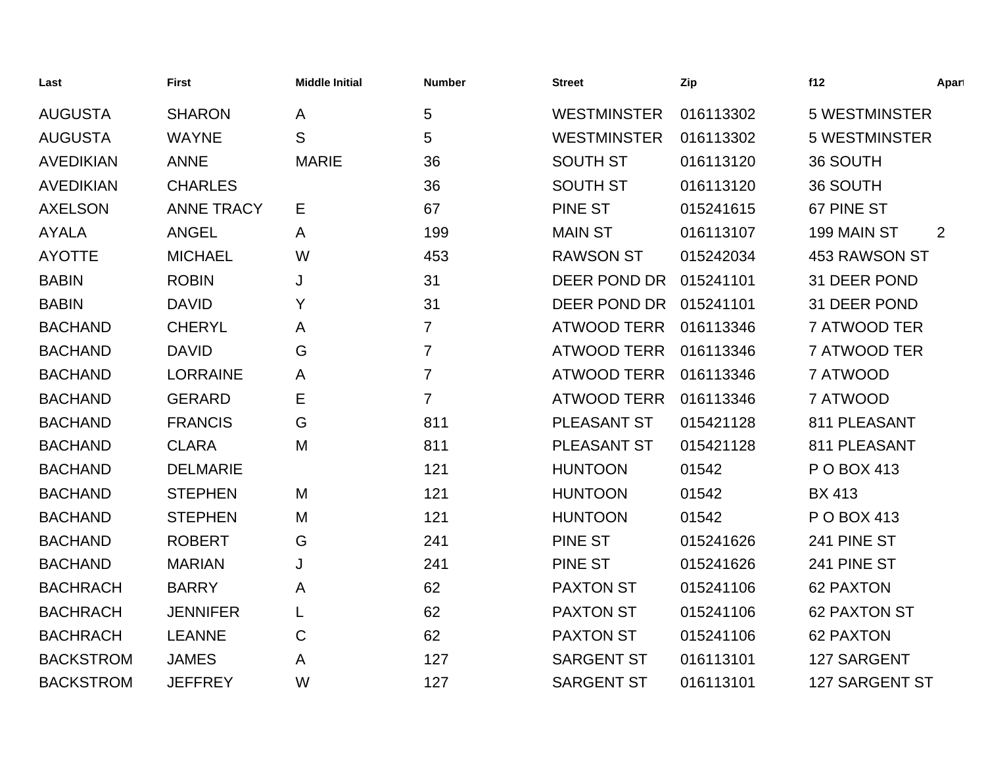| Last             | <b>First</b>      | <b>Middle Initial</b> | <b>Number</b>  | <b>Street</b>      | Zip       | f12                  | Apart |
|------------------|-------------------|-----------------------|----------------|--------------------|-----------|----------------------|-------|
| <b>AUGUSTA</b>   | <b>SHARON</b>     | Α                     | 5              | <b>WESTMINSTER</b> | 016113302 | <b>5 WESTMINSTER</b> |       |
| <b>AUGUSTA</b>   | <b>WAYNE</b>      | S                     | 5              | <b>WESTMINSTER</b> | 016113302 | <b>5 WESTMINSTER</b> |       |
| <b>AVEDIKIAN</b> | <b>ANNE</b>       | <b>MARIE</b>          | 36             | <b>SOUTH ST</b>    | 016113120 | 36 SOUTH             |       |
| <b>AVEDIKIAN</b> | <b>CHARLES</b>    |                       | 36             | <b>SOUTH ST</b>    | 016113120 | 36 SOUTH             |       |
| <b>AXELSON</b>   | <b>ANNE TRACY</b> | Е                     | 67             | <b>PINE ST</b>     | 015241615 | 67 PINE ST           |       |
| <b>AYALA</b>     | <b>ANGEL</b>      | A                     | 199            | <b>MAIN ST</b>     | 016113107 | 199 MAIN ST          | 2     |
| <b>AYOTTE</b>    | <b>MICHAEL</b>    | W                     | 453            | <b>RAWSON ST</b>   | 015242034 | <b>453 RAWSON ST</b> |       |
| <b>BABIN</b>     | <b>ROBIN</b>      | J                     | 31             | DEER POND DR       | 015241101 | 31 DEER POND         |       |
| <b>BABIN</b>     | <b>DAVID</b>      | Υ                     | 31             | DEER POND DR       | 015241101 | 31 DEER POND         |       |
| <b>BACHAND</b>   | <b>CHERYL</b>     | Α                     | $\overline{7}$ | <b>ATWOOD TERR</b> | 016113346 | 7 ATWOOD TER         |       |
| <b>BACHAND</b>   | <b>DAVID</b>      | G                     | $\overline{7}$ | <b>ATWOOD TERR</b> | 016113346 | 7 ATWOOD TER         |       |
| <b>BACHAND</b>   | <b>LORRAINE</b>   | A                     | $\overline{7}$ | <b>ATWOOD TERR</b> | 016113346 | 7 ATWOOD             |       |
| <b>BACHAND</b>   | <b>GERARD</b>     | Е                     | $\overline{7}$ | <b>ATWOOD TERR</b> | 016113346 | 7 ATWOOD             |       |
| <b>BACHAND</b>   | <b>FRANCIS</b>    | G                     | 811            | <b>PLEASANT ST</b> | 015421128 | 811 PLEASANT         |       |
| <b>BACHAND</b>   | <b>CLARA</b>      | M                     | 811            | <b>PLEASANT ST</b> | 015421128 | 811 PLEASANT         |       |
| <b>BACHAND</b>   | <b>DELMARIE</b>   |                       | 121            | <b>HUNTOON</b>     | 01542     | P O BOX 413          |       |
| <b>BACHAND</b>   | <b>STEPHEN</b>    | M                     | 121            | <b>HUNTOON</b>     | 01542     | <b>BX 413</b>        |       |
| <b>BACHAND</b>   | <b>STEPHEN</b>    | M                     | 121            | <b>HUNTOON</b>     | 01542     | P O BOX 413          |       |
| <b>BACHAND</b>   | <b>ROBERT</b>     | G                     | 241            | <b>PINE ST</b>     | 015241626 | 241 PINE ST          |       |
| <b>BACHAND</b>   | <b>MARIAN</b>     | J                     | 241            | <b>PINE ST</b>     | 015241626 | 241 PINE ST          |       |
| <b>BACHRACH</b>  | <b>BARRY</b>      | A                     | 62             | <b>PAXTON ST</b>   | 015241106 | <b>62 PAXTON</b>     |       |
| <b>BACHRACH</b>  | <b>JENNIFER</b>   | L                     | 62             | <b>PAXTON ST</b>   | 015241106 | <b>62 PAXTON ST</b>  |       |
| <b>BACHRACH</b>  | <b>LEANNE</b>     | C                     | 62             | <b>PAXTON ST</b>   | 015241106 | <b>62 PAXTON</b>     |       |
| <b>BACKSTROM</b> | <b>JAMES</b>      | A                     | 127            | <b>SARGENT ST</b>  | 016113101 | 127 SARGENT          |       |
| <b>BACKSTROM</b> | <b>JEFFREY</b>    | W                     | 127            | <b>SARGENT ST</b>  | 016113101 | 127 SARGENT ST       |       |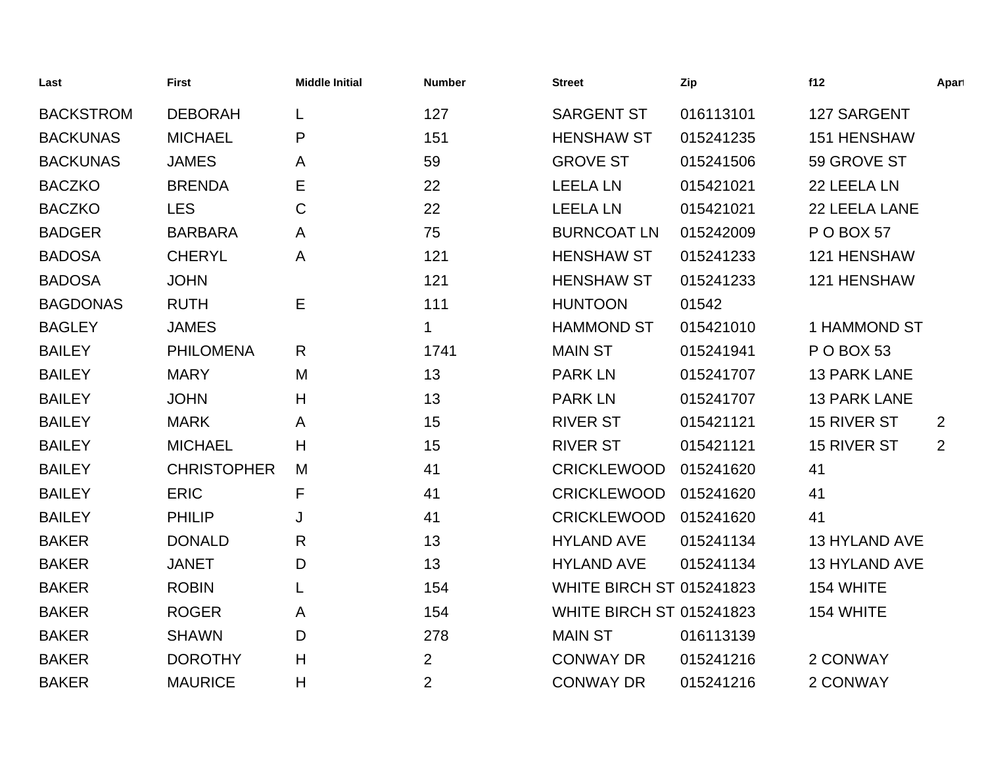| Last             | <b>First</b>       | <b>Middle Initial</b> | <b>Number</b>  | <b>Street</b>                   | Zip       | f12                  | Apart |
|------------------|--------------------|-----------------------|----------------|---------------------------------|-----------|----------------------|-------|
| <b>BACKSTROM</b> | <b>DEBORAH</b>     | L                     | 127            | <b>SARGENT ST</b>               | 016113101 | 127 SARGENT          |       |
| <b>BACKUNAS</b>  | <b>MICHAEL</b>     | P                     | 151            | <b>HENSHAW ST</b>               | 015241235 | 151 HENSHAW          |       |
| <b>BACKUNAS</b>  | <b>JAMES</b>       | A                     | 59             | <b>GROVE ST</b>                 | 015241506 | 59 GROVE ST          |       |
| <b>BACZKO</b>    | <b>BRENDA</b>      | Е                     | 22             | <b>LEELA LN</b>                 | 015421021 | 22 LEELA LN          |       |
| <b>BACZKO</b>    | <b>LES</b>         | $\mathsf C$           | 22             | <b>LEELA LN</b>                 | 015421021 | 22 LEELA LANE        |       |
| <b>BADGER</b>    | <b>BARBARA</b>     | A                     | 75             | <b>BURNCOAT LN</b>              | 015242009 | <b>P O BOX 57</b>    |       |
| <b>BADOSA</b>    | <b>CHERYL</b>      | A                     | 121            | <b>HENSHAW ST</b>               | 015241233 | 121 HENSHAW          |       |
| <b>BADOSA</b>    | <b>JOHN</b>        |                       | 121            | <b>HENSHAW ST</b>               | 015241233 | 121 HENSHAW          |       |
| <b>BAGDONAS</b>  | <b>RUTH</b>        | Е                     | 111            | <b>HUNTOON</b>                  | 01542     |                      |       |
| <b>BAGLEY</b>    | <b>JAMES</b>       |                       | 1              | <b>HAMMOND ST</b>               | 015421010 | 1 HAMMOND ST         |       |
| <b>BAILEY</b>    | <b>PHILOMENA</b>   | R                     | 1741           | <b>MAIN ST</b>                  | 015241941 | <b>P O BOX 53</b>    |       |
| <b>BAILEY</b>    | <b>MARY</b>        | M                     | 13             | <b>PARK LN</b>                  | 015241707 | <b>13 PARK LANE</b>  |       |
| <b>BAILEY</b>    | <b>JOHN</b>        | H                     | 13             | <b>PARK LN</b>                  | 015241707 | <b>13 PARK LANE</b>  |       |
| <b>BAILEY</b>    | <b>MARK</b>        | A                     | 15             | <b>RIVER ST</b>                 | 015421121 | 15 RIVER ST          | 2     |
| <b>BAILEY</b>    | <b>MICHAEL</b>     | Н                     | 15             | <b>RIVER ST</b>                 | 015421121 | 15 RIVER ST          | 2     |
| <b>BAILEY</b>    | <b>CHRISTOPHER</b> | M                     | 41             | <b>CRICKLEWOOD</b>              | 015241620 | 41                   |       |
| <b>BAILEY</b>    | <b>ERIC</b>        | F                     | 41             | <b>CRICKLEWOOD</b>              | 015241620 | 41                   |       |
| <b>BAILEY</b>    | <b>PHILIP</b>      | J                     | 41             | <b>CRICKLEWOOD</b>              | 015241620 | 41                   |       |
| <b>BAKER</b>     | <b>DONALD</b>      | R                     | 13             | <b>HYLAND AVE</b>               | 015241134 | <b>13 HYLAND AVE</b> |       |
| <b>BAKER</b>     | <b>JANET</b>       | D                     | 13             | <b>HYLAND AVE</b>               | 015241134 | 13 HYLAND AVE        |       |
| <b>BAKER</b>     | <b>ROBIN</b>       |                       | 154            | <b>WHITE BIRCH ST 015241823</b> |           | 154 WHITE            |       |
| <b>BAKER</b>     | <b>ROGER</b>       | A                     | 154            | <b>WHITE BIRCH ST 015241823</b> |           | 154 WHITE            |       |
| <b>BAKER</b>     | <b>SHAWN</b>       | D                     | 278            | <b>MAIN ST</b>                  | 016113139 |                      |       |
| <b>BAKER</b>     | <b>DOROTHY</b>     | Η                     | $\overline{2}$ | <b>CONWAY DR</b>                | 015241216 | 2 CONWAY             |       |
| <b>BAKER</b>     | <b>MAURICE</b>     | Η                     | $\overline{2}$ | <b>CONWAY DR</b>                | 015241216 | 2 CONWAY             |       |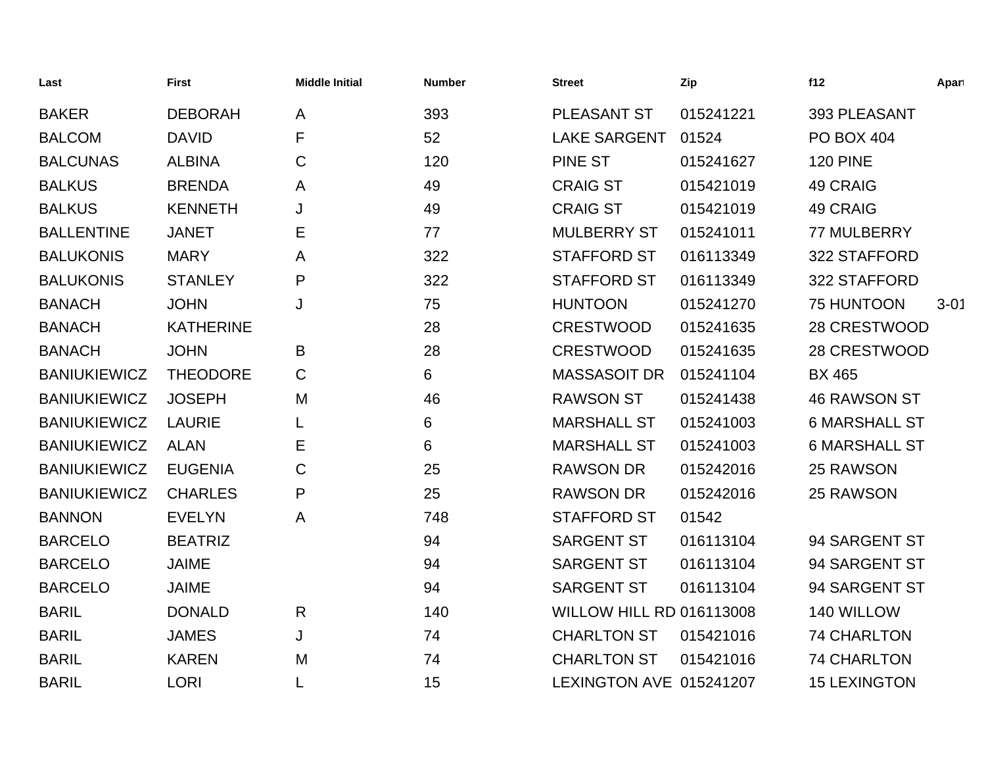| Last                | <b>First</b>     | <b>Middle Initial</b> | <b>Number</b> | <b>Street</b>                   | Zip       | f12                  | Apart    |
|---------------------|------------------|-----------------------|---------------|---------------------------------|-----------|----------------------|----------|
| <b>BAKER</b>        | <b>DEBORAH</b>   | $\mathsf{A}$          | 393           | PLEASANT ST                     | 015241221 | 393 PLEASANT         |          |
| <b>BALCOM</b>       | <b>DAVID</b>     | F                     | 52            | <b>LAKE SARGENT</b>             | 01524     | <b>PO BOX 404</b>    |          |
| <b>BALCUNAS</b>     | <b>ALBINA</b>    | $\mathsf C$           | 120           | <b>PINE ST</b>                  | 015241627 | <b>120 PINE</b>      |          |
| <b>BALKUS</b>       | <b>BRENDA</b>    | A                     | 49            | <b>CRAIG ST</b>                 | 015421019 | <b>49 CRAIG</b>      |          |
| <b>BALKUS</b>       | <b>KENNETH</b>   | J                     | 49            | <b>CRAIG ST</b>                 | 015421019 | 49 CRAIG             |          |
| <b>BALLENTINE</b>   | <b>JANET</b>     | Е                     | 77            | <b>MULBERRY ST</b>              | 015241011 | 77 MULBERRY          |          |
| <b>BALUKONIS</b>    | <b>MARY</b>      | A                     | 322           | <b>STAFFORD ST</b>              | 016113349 | 322 STAFFORD         |          |
| <b>BALUKONIS</b>    | <b>STANLEY</b>   | P                     | 322           | <b>STAFFORD ST</b>              | 016113349 | 322 STAFFORD         |          |
| <b>BANACH</b>       | <b>JOHN</b>      | J                     | 75            | <b>HUNTOON</b>                  | 015241270 | 75 HUNTOON           | $3 - 01$ |
| <b>BANACH</b>       | <b>KATHERINE</b> |                       | 28            | <b>CRESTWOOD</b>                | 015241635 | 28 CRESTWOOD         |          |
| <b>BANACH</b>       | <b>JOHN</b>      | B                     | 28            | <b>CRESTWOOD</b>                | 015241635 | 28 CRESTWOOD         |          |
| <b>BANIUKIEWICZ</b> | <b>THEODORE</b>  | $\mathsf C$           | 6             | MASSASOIT DR                    | 015241104 | <b>BX 465</b>        |          |
| <b>BANIUKIEWICZ</b> | <b>JOSEPH</b>    | M                     | 46            | <b>RAWSON ST</b>                | 015241438 | <b>46 RAWSON ST</b>  |          |
| <b>BANIUKIEWICZ</b> | <b>LAURIE</b>    | L                     | 6             | <b>MARSHALL ST</b>              | 015241003 | <b>6 MARSHALL ST</b> |          |
| <b>BANIUKIEWICZ</b> | <b>ALAN</b>      | Е                     | 6             | <b>MARSHALL ST</b>              | 015241003 | <b>6 MARSHALL ST</b> |          |
| <b>BANIUKIEWICZ</b> | <b>EUGENIA</b>   | С                     | 25            | <b>RAWSON DR</b>                | 015242016 | 25 RAWSON            |          |
| <b>BANIUKIEWICZ</b> | <b>CHARLES</b>   | $\mathsf{P}$          | 25            | <b>RAWSON DR</b>                | 015242016 | 25 RAWSON            |          |
| <b>BANNON</b>       | <b>EVELYN</b>    | A                     | 748           | <b>STAFFORD ST</b>              | 01542     |                      |          |
| <b>BARCELO</b>      | <b>BEATRIZ</b>   |                       | 94            | <b>SARGENT ST</b>               | 016113104 | 94 SARGENT ST        |          |
| <b>BARCELO</b>      | <b>JAIME</b>     |                       | 94            | <b>SARGENT ST</b>               | 016113104 | 94 SARGENT ST        |          |
| <b>BARCELO</b>      | <b>JAIME</b>     |                       | 94            | <b>SARGENT ST</b>               | 016113104 | 94 SARGENT ST        |          |
| <b>BARIL</b>        | <b>DONALD</b>    | $\mathsf{R}$          | 140           | <b>WILLOW HILL RD 016113008</b> |           | 140 WILLOW           |          |
| <b>BARIL</b>        | <b>JAMES</b>     | J                     | 74            | <b>CHARLTON ST</b>              | 015421016 | <b>74 CHARLTON</b>   |          |
| <b>BARIL</b>        | <b>KAREN</b>     | M                     | 74            | <b>CHARLTON ST</b>              | 015421016 | <b>74 CHARLTON</b>   |          |
| <b>BARIL</b>        | <b>LORI</b>      | L                     | 15            | LEXINGTON AVE 015241207         |           | <b>15 LEXINGTON</b>  |          |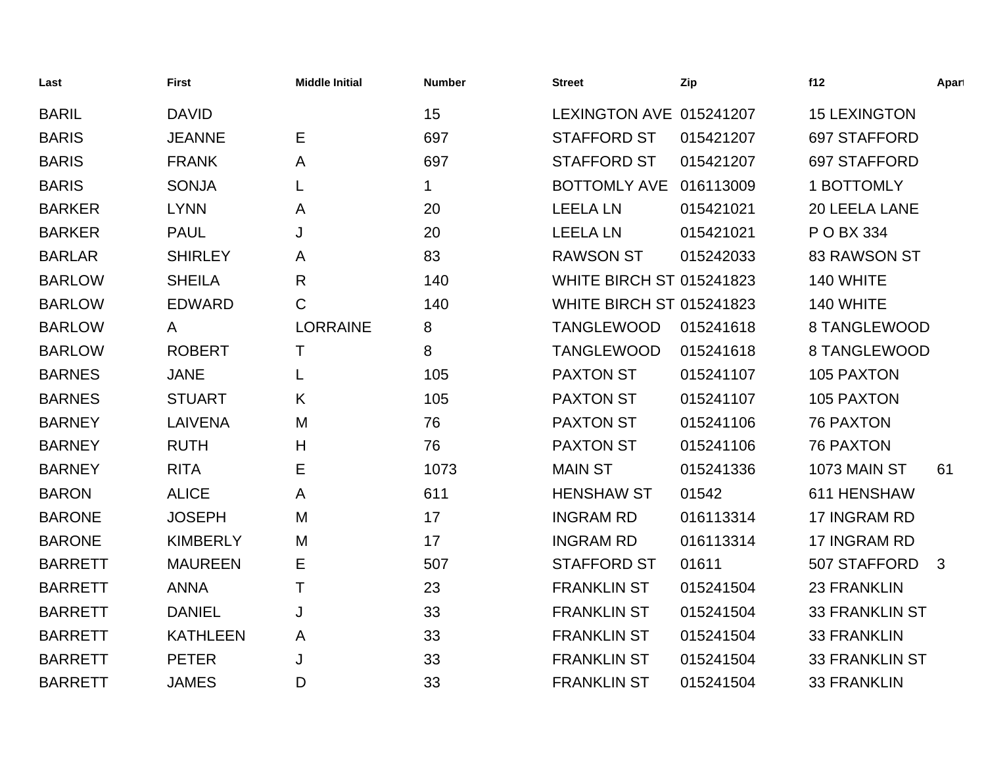| Last           | <b>First</b>    | <b>Middle Initial</b> | <b>Number</b> | <b>Street</b>                   | Zip       | f12                   | Apart        |
|----------------|-----------------|-----------------------|---------------|---------------------------------|-----------|-----------------------|--------------|
| <b>BARIL</b>   | <b>DAVID</b>    |                       | 15            | LEXINGTON AVE 015241207         |           | <b>15 LEXINGTON</b>   |              |
| <b>BARIS</b>   | <b>JEANNE</b>   | E                     | 697           | <b>STAFFORD ST</b>              | 015421207 | 697 STAFFORD          |              |
| <b>BARIS</b>   | <b>FRANK</b>    | Α                     | 697           | <b>STAFFORD ST</b>              | 015421207 | 697 STAFFORD          |              |
| <b>BARIS</b>   | <b>SONJA</b>    |                       | 1             | BOTTOMLY AVE 016113009          |           | 1 BOTTOMLY            |              |
| <b>BARKER</b>  | <b>LYNN</b>     | A                     | 20            | <b>LEELA LN</b>                 | 015421021 | 20 LEELA LANE         |              |
| <b>BARKER</b>  | <b>PAUL</b>     | J                     | 20            | <b>LEELA LN</b>                 | 015421021 | P O BX 334            |              |
| <b>BARLAR</b>  | <b>SHIRLEY</b>  | A                     | 83            | <b>RAWSON ST</b>                | 015242033 | <b>83 RAWSON ST</b>   |              |
| <b>BARLOW</b>  | <b>SHEILA</b>   | $\mathsf{R}$          | 140           | <b>WHITE BIRCH ST 015241823</b> |           | 140 WHITE             |              |
| <b>BARLOW</b>  | <b>EDWARD</b>   | C                     | 140           | <b>WHITE BIRCH ST 015241823</b> |           | 140 WHITE             |              |
| <b>BARLOW</b>  | A               | <b>LORRAINE</b>       | 8             | <b>TANGLEWOOD</b>               | 015241618 | 8 TANGLEWOOD          |              |
| <b>BARLOW</b>  | <b>ROBERT</b>   | Т                     | 8             | <b>TANGLEWOOD</b>               | 015241618 | 8 TANGLEWOOD          |              |
| <b>BARNES</b>  | <b>JANE</b>     | L                     | 105           | <b>PAXTON ST</b>                | 015241107 | 105 PAXTON            |              |
| <b>BARNES</b>  | <b>STUART</b>   | K.                    | 105           | <b>PAXTON ST</b>                | 015241107 | 105 PAXTON            |              |
| <b>BARNEY</b>  | <b>LAIVENA</b>  | M                     | 76            | <b>PAXTON ST</b>                | 015241106 | <b>76 PAXTON</b>      |              |
| <b>BARNEY</b>  | <b>RUTH</b>     | Н                     | 76            | <b>PAXTON ST</b>                | 015241106 | <b>76 PAXTON</b>      |              |
| <b>BARNEY</b>  | <b>RITA</b>     | E                     | 1073          | <b>MAIN ST</b>                  | 015241336 | 1073 MAIN ST          | 61           |
| <b>BARON</b>   | <b>ALICE</b>    | A                     | 611           | <b>HENSHAW ST</b>               | 01542     | 611 HENSHAW           |              |
| <b>BARONE</b>  | <b>JOSEPH</b>   | M                     | 17            | <b>INGRAM RD</b>                | 016113314 | 17 INGRAM RD          |              |
| <b>BARONE</b>  | <b>KIMBERLY</b> | M                     | 17            | <b>INGRAM RD</b>                | 016113314 | 17 INGRAM RD          |              |
| <b>BARRETT</b> | <b>MAUREEN</b>  | Ε                     | 507           | <b>STAFFORD ST</b>              | 01611     | 507 STAFFORD          | $\mathbf{3}$ |
| <b>BARRETT</b> | <b>ANNA</b>     | T                     | 23            | <b>FRANKLIN ST</b>              | 015241504 | <b>23 FRANKLIN</b>    |              |
| <b>BARRETT</b> | <b>DANIEL</b>   | J                     | 33            | <b>FRANKLIN ST</b>              | 015241504 | <b>33 FRANKLIN ST</b> |              |
| <b>BARRETT</b> | <b>KATHLEEN</b> | A                     | 33            | <b>FRANKLIN ST</b>              | 015241504 | <b>33 FRANKLIN</b>    |              |
| <b>BARRETT</b> | <b>PETER</b>    | J                     | 33            | <b>FRANKLIN ST</b>              | 015241504 | <b>33 FRANKLIN ST</b> |              |
| <b>BARRETT</b> | <b>JAMES</b>    | D                     | 33            | <b>FRANKLIN ST</b>              | 015241504 | <b>33 FRANKLIN</b>    |              |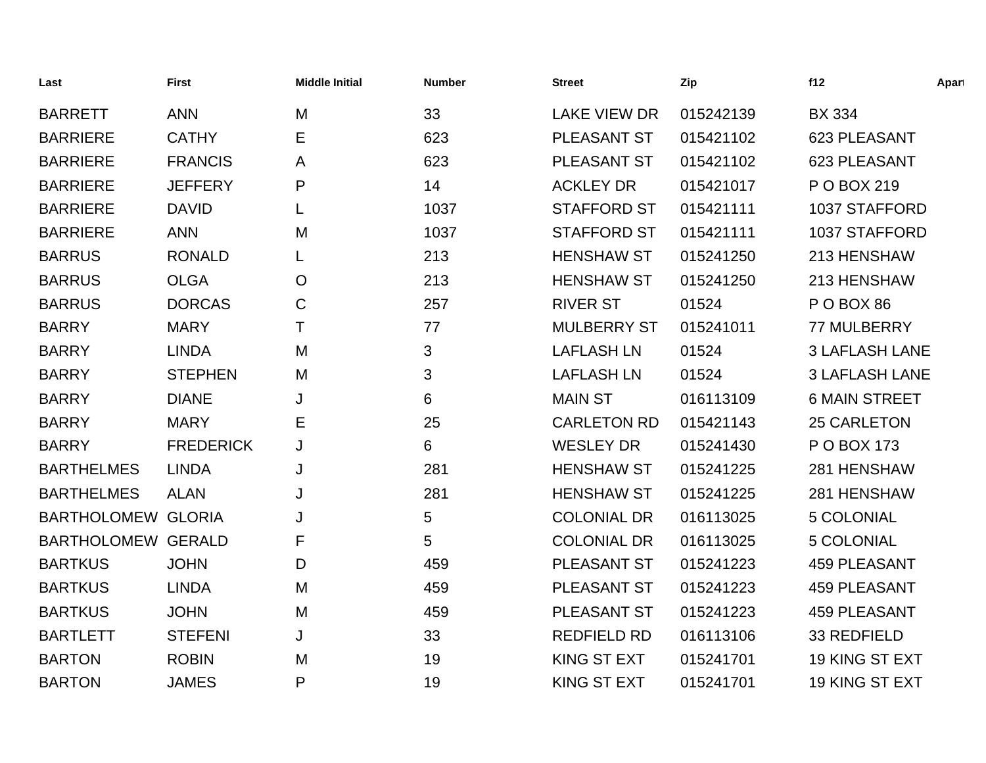| Last                      | <b>First</b>     | <b>Middle Initial</b> | <b>Number</b> | <b>Street</b>       | Zip       | f12                   | Apart |
|---------------------------|------------------|-----------------------|---------------|---------------------|-----------|-----------------------|-------|
| <b>BARRETT</b>            | <b>ANN</b>       | M                     | 33            | <b>LAKE VIEW DR</b> | 015242139 | <b>BX 334</b>         |       |
| <b>BARRIERE</b>           | <b>CATHY</b>     | Е                     | 623           | <b>PLEASANT ST</b>  | 015421102 | 623 PLEASANT          |       |
| <b>BARRIERE</b>           | <b>FRANCIS</b>   | A                     | 623           | PLEASANT ST         | 015421102 | 623 PLEASANT          |       |
| <b>BARRIERE</b>           | <b>JEFFERY</b>   | P                     | 14            | <b>ACKLEY DR</b>    | 015421017 | P O BOX 219           |       |
| <b>BARRIERE</b>           | <b>DAVID</b>     | L                     | 1037          | <b>STAFFORD ST</b>  | 015421111 | 1037 STAFFORD         |       |
| <b>BARRIERE</b>           | <b>ANN</b>       | M                     | 1037          | <b>STAFFORD ST</b>  | 015421111 | <b>1037 STAFFORD</b>  |       |
| <b>BARRUS</b>             | <b>RONALD</b>    | L                     | 213           | <b>HENSHAW ST</b>   | 015241250 | 213 HENSHAW           |       |
| <b>BARRUS</b>             | <b>OLGA</b>      | $\mathsf{O}$          | 213           | <b>HENSHAW ST</b>   | 015241250 | 213 HENSHAW           |       |
| <b>BARRUS</b>             | <b>DORCAS</b>    | C                     | 257           | <b>RIVER ST</b>     | 01524     | POBOX 86              |       |
| <b>BARRY</b>              | <b>MARY</b>      | Τ                     | 77            | <b>MULBERRY ST</b>  | 015241011 | 77 MULBERRY           |       |
| <b>BARRY</b>              | <b>LINDA</b>     | M                     | 3             | <b>LAFLASH LN</b>   | 01524     | <b>3 LAFLASH LANE</b> |       |
| <b>BARRY</b>              | <b>STEPHEN</b>   | M                     | 3             | <b>LAFLASH LN</b>   | 01524     | <b>3 LAFLASH LANE</b> |       |
| <b>BARRY</b>              | <b>DIANE</b>     | J                     | 6             | <b>MAIN ST</b>      | 016113109 | <b>6 MAIN STREET</b>  |       |
| <b>BARRY</b>              | <b>MARY</b>      | E                     | 25            | <b>CARLETON RD</b>  | 015421143 | <b>25 CARLETON</b>    |       |
| <b>BARRY</b>              | <b>FREDERICK</b> | J                     | 6             | <b>WESLEY DR</b>    | 015241430 | P O BOX 173           |       |
| <b>BARTHELMES</b>         | <b>LINDA</b>     | J                     | 281           | <b>HENSHAW ST</b>   | 015241225 | 281 HENSHAW           |       |
| <b>BARTHELMES</b>         | <b>ALAN</b>      | J                     | 281           | <b>HENSHAW ST</b>   | 015241225 | 281 HENSHAW           |       |
| <b>BARTHOLOMEW GLORIA</b> |                  | J                     | 5             | <b>COLONIAL DR</b>  | 016113025 | 5 COLONIAL            |       |
| <b>BARTHOLOMEW GERALD</b> |                  | F                     | 5             | <b>COLONIAL DR</b>  | 016113025 | <b>5 COLONIAL</b>     |       |
| <b>BARTKUS</b>            | <b>JOHN</b>      | D                     | 459           | PLEASANT ST         | 015241223 | <b>459 PLEASANT</b>   |       |
| <b>BARTKUS</b>            | <b>LINDA</b>     | M                     | 459           | PLEASANT ST         | 015241223 | <b>459 PLEASANT</b>   |       |
| <b>BARTKUS</b>            | <b>JOHN</b>      | M                     | 459           | PLEASANT ST         | 015241223 | <b>459 PLEASANT</b>   |       |
| <b>BARTLETT</b>           | <b>STEFENI</b>   | J                     | 33            | <b>REDFIELD RD</b>  | 016113106 | 33 REDFIELD           |       |
| <b>BARTON</b>             | <b>ROBIN</b>     | M                     | 19            | <b>KING ST EXT</b>  | 015241701 | 19 KING ST EXT        |       |
| <b>BARTON</b>             | <b>JAMES</b>     | P                     | 19            | <b>KING ST EXT</b>  | 015241701 | 19 KING ST EXT        |       |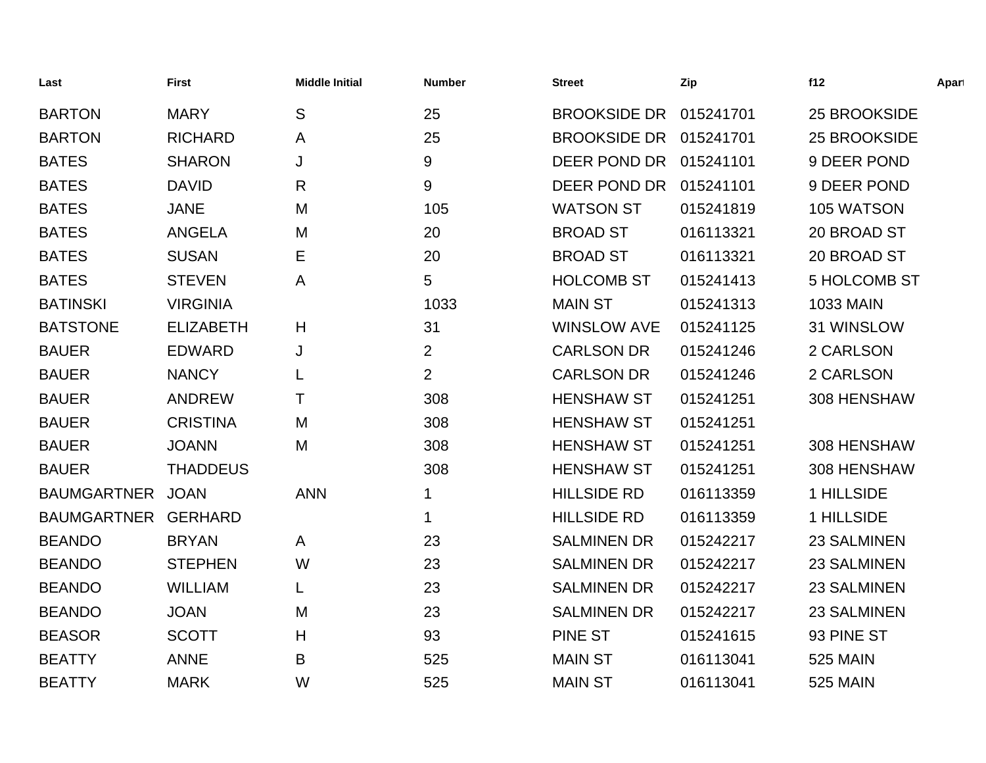| Last                | <b>First</b>     | <b>Middle Initial</b> | <b>Number</b>  | <b>Street</b>          | Zip       | f12                 | Apart |
|---------------------|------------------|-----------------------|----------------|------------------------|-----------|---------------------|-------|
| <b>BARTON</b>       | <b>MARY</b>      | S                     | 25             | <b>BROOKSIDE DR</b>    | 015241701 | 25 BROOKSIDE        |       |
| <b>BARTON</b>       | <b>RICHARD</b>   | A                     | 25             | BROOKSIDE DR 015241701 |           | 25 BROOKSIDE        |       |
| <b>BATES</b>        | <b>SHARON</b>    | J                     | 9              | DEER POND DR 015241101 |           | 9 DEER POND         |       |
| <b>BATES</b>        | <b>DAVID</b>     | R                     | 9              | DEER POND DR 015241101 |           | 9 DEER POND         |       |
| <b>BATES</b>        | <b>JANE</b>      | M                     | 105            | <b>WATSON ST</b>       | 015241819 | 105 WATSON          |       |
| <b>BATES</b>        | <b>ANGELA</b>    | M                     | 20             | <b>BROAD ST</b>        | 016113321 | 20 BROAD ST         |       |
| <b>BATES</b>        | <b>SUSAN</b>     | Е                     | 20             | <b>BROAD ST</b>        | 016113321 | 20 BROAD ST         |       |
| <b>BATES</b>        | <b>STEVEN</b>    | A                     | 5              | <b>HOLCOMB ST</b>      | 015241413 | <b>5 HOLCOMB ST</b> |       |
| <b>BATINSKI</b>     | <b>VIRGINIA</b>  |                       | 1033           | <b>MAIN ST</b>         | 015241313 | <b>1033 MAIN</b>    |       |
| <b>BATSTONE</b>     | <b>ELIZABETH</b> | H                     | 31             | <b>WINSLOW AVE</b>     | 015241125 | 31 WINSLOW          |       |
| <b>BAUER</b>        | <b>EDWARD</b>    | J                     | $\overline{2}$ | <b>CARLSON DR</b>      | 015241246 | 2 CARLSON           |       |
| <b>BAUER</b>        | <b>NANCY</b>     |                       | $\overline{2}$ | <b>CARLSON DR</b>      | 015241246 | 2 CARLSON           |       |
| <b>BAUER</b>        | <b>ANDREW</b>    | т                     | 308            | <b>HENSHAW ST</b>      | 015241251 | 308 HENSHAW         |       |
| <b>BAUER</b>        | <b>CRISTINA</b>  | M                     | 308            | <b>HENSHAW ST</b>      | 015241251 |                     |       |
| <b>BAUER</b>        | <b>JOANN</b>     | M                     | 308            | <b>HENSHAW ST</b>      | 015241251 | 308 HENSHAW         |       |
| <b>BAUER</b>        | <b>THADDEUS</b>  |                       | 308            | <b>HENSHAW ST</b>      | 015241251 | 308 HENSHAW         |       |
| BAUMGARTNER JOAN    |                  | <b>ANN</b>            | 1              | <b>HILLSIDE RD</b>     | 016113359 | 1 HILLSIDE          |       |
| BAUMGARTNER GERHARD |                  |                       | 1              | <b>HILLSIDE RD</b>     | 016113359 | 1 HILLSIDE          |       |
| <b>BEANDO</b>       | <b>BRYAN</b>     | $\mathsf{A}$          | 23             | <b>SALMINEN DR</b>     | 015242217 | 23 SALMINEN         |       |
| <b>BEANDO</b>       | <b>STEPHEN</b>   | W                     | 23             | <b>SALMINEN DR</b>     | 015242217 | <b>23 SALMINEN</b>  |       |
| <b>BEANDO</b>       | <b>WILLIAM</b>   |                       | 23             | <b>SALMINEN DR</b>     | 015242217 | <b>23 SALMINEN</b>  |       |
| <b>BEANDO</b>       | <b>JOAN</b>      | M                     | 23             | <b>SALMINEN DR</b>     | 015242217 | 23 SALMINEN         |       |
| <b>BEASOR</b>       | <b>SCOTT</b>     | H                     | 93             | <b>PINE ST</b>         | 015241615 | 93 PINE ST          |       |
| <b>BEATTY</b>       | <b>ANNE</b>      | B                     | 525            | <b>MAIN ST</b>         | 016113041 | <b>525 MAIN</b>     |       |
| <b>BEATTY</b>       | <b>MARK</b>      | W                     | 525            | <b>MAIN ST</b>         | 016113041 | <b>525 MAIN</b>     |       |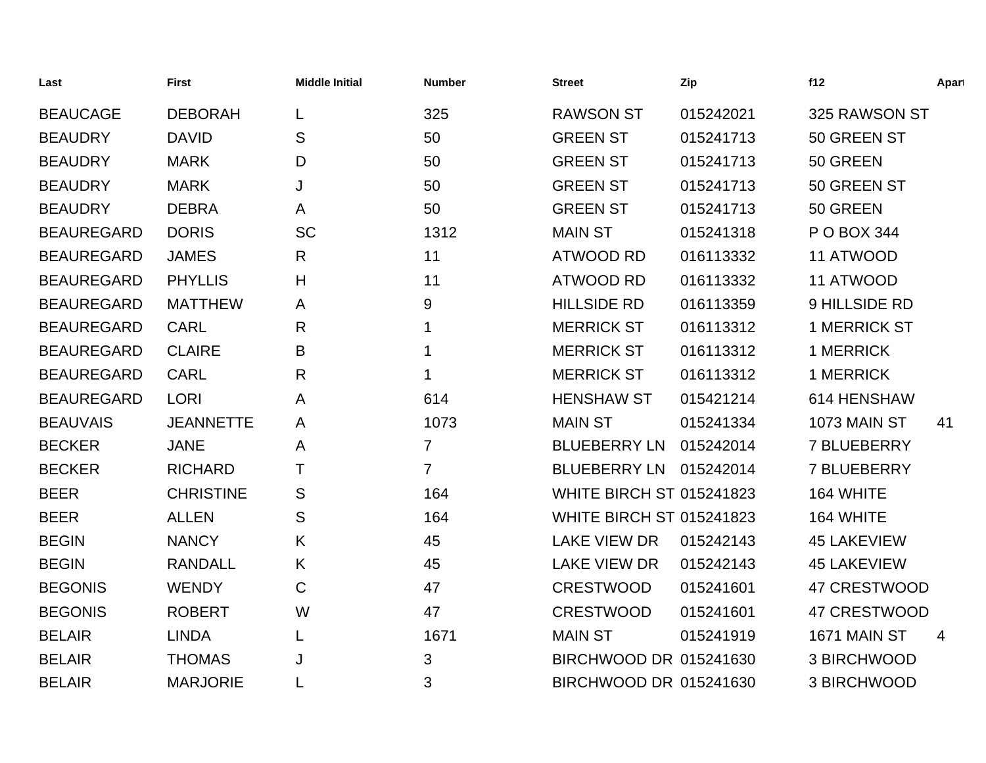| Last              | <b>First</b>     | <b>Middle Initial</b> | <b>Number</b>  | <b>Street</b>                   | Zip       | f12                 | Apart |
|-------------------|------------------|-----------------------|----------------|---------------------------------|-----------|---------------------|-------|
| <b>BEAUCAGE</b>   | <b>DEBORAH</b>   |                       | 325            | <b>RAWSON ST</b>                | 015242021 | 325 RAWSON ST       |       |
| <b>BEAUDRY</b>    | <b>DAVID</b>     | S                     | 50             | <b>GREEN ST</b>                 | 015241713 | 50 GREEN ST         |       |
| <b>BEAUDRY</b>    | <b>MARK</b>      | D                     | 50             | <b>GREEN ST</b>                 | 015241713 | 50 GREEN            |       |
| <b>BEAUDRY</b>    | <b>MARK</b>      | J                     | 50             | <b>GREEN ST</b>                 | 015241713 | 50 GREEN ST         |       |
| <b>BEAUDRY</b>    | <b>DEBRA</b>     | A                     | 50             | <b>GREEN ST</b>                 | 015241713 | 50 GREEN            |       |
| <b>BEAUREGARD</b> | <b>DORIS</b>     | <b>SC</b>             | 1312           | <b>MAIN ST</b>                  | 015241318 | P O BOX 344         |       |
| <b>BEAUREGARD</b> | <b>JAMES</b>     | R                     | 11             | <b>ATWOOD RD</b>                | 016113332 | 11 ATWOOD           |       |
| <b>BEAUREGARD</b> | <b>PHYLLIS</b>   | Н                     | 11             | <b>ATWOOD RD</b>                | 016113332 | 11 ATWOOD           |       |
| <b>BEAUREGARD</b> | <b>MATTHEW</b>   | A                     | 9              | <b>HILLSIDE RD</b>              | 016113359 | 9 HILLSIDE RD       |       |
| <b>BEAUREGARD</b> | <b>CARL</b>      | R                     | 1              | <b>MERRICK ST</b>               | 016113312 | <b>1 MERRICK ST</b> |       |
| <b>BEAUREGARD</b> | <b>CLAIRE</b>    | Β                     | 1              | <b>MERRICK ST</b>               | 016113312 | 1 MERRICK           |       |
| <b>BEAUREGARD</b> | <b>CARL</b>      | R                     | 1              | <b>MERRICK ST</b>               | 016113312 | 1 MERRICK           |       |
| <b>BEAUREGARD</b> | <b>LORI</b>      | A                     | 614            | <b>HENSHAW ST</b>               | 015421214 | 614 HENSHAW         |       |
| <b>BEAUVAIS</b>   | <b>JEANNETTE</b> | A                     | 1073           | <b>MAIN ST</b>                  | 015241334 | 1073 MAIN ST        | 41    |
| <b>BECKER</b>     | <b>JANE</b>      | A                     | $\overline{7}$ | <b>BLUEBERRY LN</b>             | 015242014 | <b>7 BLUEBERRY</b>  |       |
| <b>BECKER</b>     | <b>RICHARD</b>   | Τ                     | 7              | BLUEBERRY LN 015242014          |           | <b>7 BLUEBERRY</b>  |       |
| <b>BEER</b>       | <b>CHRISTINE</b> | S                     | 164            | <b>WHITE BIRCH ST 015241823</b> |           | 164 WHITE           |       |
| <b>BEER</b>       | <b>ALLEN</b>     | S                     | 164            | <b>WHITE BIRCH ST 015241823</b> |           | 164 WHITE           |       |
| <b>BEGIN</b>      | <b>NANCY</b>     | K                     | 45             | <b>LAKE VIEW DR</b>             | 015242143 | <b>45 LAKEVIEW</b>  |       |
| <b>BEGIN</b>      | <b>RANDALL</b>   | K.                    | 45             | <b>LAKE VIEW DR</b>             | 015242143 | <b>45 LAKEVIEW</b>  |       |
| <b>BEGONIS</b>    | <b>WENDY</b>     | C                     | 47             | <b>CRESTWOOD</b>                | 015241601 | 47 CRESTWOOD        |       |
| <b>BEGONIS</b>    | <b>ROBERT</b>    | W                     | 47             | <b>CRESTWOOD</b>                | 015241601 | 47 CRESTWOOD        |       |
| <b>BELAIR</b>     | <b>LINDA</b>     | L                     | 1671           | <b>MAIN ST</b>                  | 015241919 | <b>1671 MAIN ST</b> | 4     |
| <b>BELAIR</b>     | <b>THOMAS</b>    | J                     | 3              | BIRCHWOOD DR 015241630          |           | 3 BIRCHWOOD         |       |
| <b>BELAIR</b>     | <b>MARJORIE</b>  |                       | 3              | BIRCHWOOD DR 015241630          |           | 3 BIRCHWOOD         |       |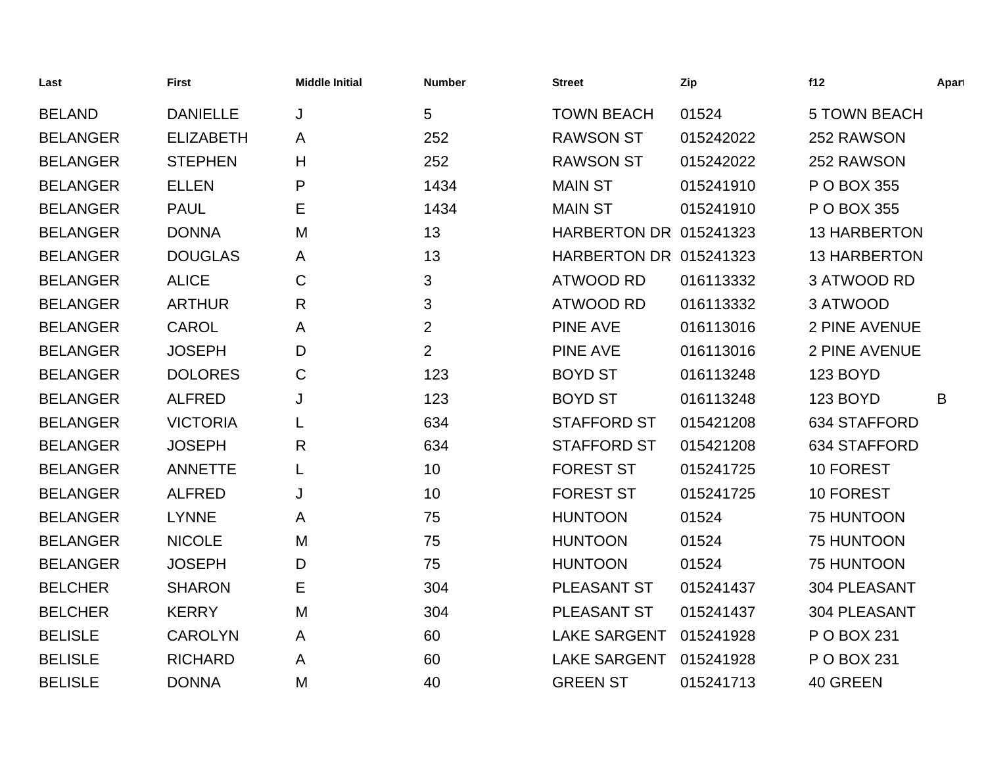| Last            | <b>First</b>     | <b>Middle Initial</b> | <b>Number</b>  | <b>Street</b>                 | Zip       | f12                  | Apart |
|-----------------|------------------|-----------------------|----------------|-------------------------------|-----------|----------------------|-------|
| <b>BELAND</b>   | <b>DANIELLE</b>  | J                     | 5              | <b>TOWN BEACH</b>             | 01524     | <b>5 TOWN BEACH</b>  |       |
| <b>BELANGER</b> | <b>ELIZABETH</b> | A                     | 252            | <b>RAWSON ST</b>              | 015242022 | 252 RAWSON           |       |
| <b>BELANGER</b> | <b>STEPHEN</b>   | Η                     | 252            | <b>RAWSON ST</b>              | 015242022 | 252 RAWSON           |       |
| <b>BELANGER</b> | <b>ELLEN</b>     | P                     | 1434           | <b>MAIN ST</b>                | 015241910 | P O BOX 355          |       |
| <b>BELANGER</b> | <b>PAUL</b>      | Е                     | 1434           | <b>MAIN ST</b>                | 015241910 | P O BOX 355          |       |
| <b>BELANGER</b> | <b>DONNA</b>     | M                     | 13             | <b>HARBERTON DR 015241323</b> |           | <b>13 HARBERTON</b>  |       |
| <b>BELANGER</b> | <b>DOUGLAS</b>   | A                     | 13             | HARBERTON DR 015241323        |           | <b>13 HARBERTON</b>  |       |
| <b>BELANGER</b> | <b>ALICE</b>     | C                     | 3              | <b>ATWOOD RD</b>              | 016113332 | 3 ATWOOD RD          |       |
| <b>BELANGER</b> | <b>ARTHUR</b>    | $\mathsf{R}$          | 3              | <b>ATWOOD RD</b>              | 016113332 | 3 ATWOOD             |       |
| <b>BELANGER</b> | <b>CAROL</b>     | A                     | $\overline{2}$ | <b>PINE AVE</b>               | 016113016 | 2 PINE AVENUE        |       |
| <b>BELANGER</b> | <b>JOSEPH</b>    | D                     | $\overline{2}$ | <b>PINE AVE</b>               | 016113016 | <b>2 PINE AVENUE</b> |       |
| <b>BELANGER</b> | <b>DOLORES</b>   | C                     | 123            | <b>BOYD ST</b>                | 016113248 | 123 BOYD             |       |
| <b>BELANGER</b> | <b>ALFRED</b>    | J                     | 123            | <b>BOYD ST</b>                | 016113248 | 123 BOYD             | B     |
| <b>BELANGER</b> | <b>VICTORIA</b>  |                       | 634            | <b>STAFFORD ST</b>            | 015421208 | 634 STAFFORD         |       |
| <b>BELANGER</b> | <b>JOSEPH</b>    | R                     | 634            | <b>STAFFORD ST</b>            | 015421208 | 634 STAFFORD         |       |
| <b>BELANGER</b> | <b>ANNETTE</b>   | L                     | 10             | <b>FOREST ST</b>              | 015241725 | 10 FOREST            |       |
| <b>BELANGER</b> | <b>ALFRED</b>    | J                     | 10             | <b>FOREST ST</b>              | 015241725 | 10 FOREST            |       |
| <b>BELANGER</b> | <b>LYNNE</b>     | A                     | 75             | <b>HUNTOON</b>                | 01524     | 75 HUNTOON           |       |
| <b>BELANGER</b> | <b>NICOLE</b>    | M                     | 75             | <b>HUNTOON</b>                | 01524     | 75 HUNTOON           |       |
| <b>BELANGER</b> | <b>JOSEPH</b>    | D                     | 75             | <b>HUNTOON</b>                | 01524     | 75 HUNTOON           |       |
| <b>BELCHER</b>  | <b>SHARON</b>    | Е                     | 304            | PLEASANT ST                   | 015241437 | 304 PLEASANT         |       |
| <b>BELCHER</b>  | <b>KERRY</b>     | M                     | 304            | PLEASANT ST                   | 015241437 | 304 PLEASANT         |       |
| <b>BELISLE</b>  | <b>CAROLYN</b>   | A                     | 60             | <b>LAKE SARGENT</b>           | 015241928 | P O BOX 231          |       |
| <b>BELISLE</b>  | <b>RICHARD</b>   | A                     | 60             | <b>LAKE SARGENT</b>           | 015241928 | P O BOX 231          |       |
| <b>BELISLE</b>  | <b>DONNA</b>     | M                     | 40             | <b>GREEN ST</b>               | 015241713 | 40 GREEN             |       |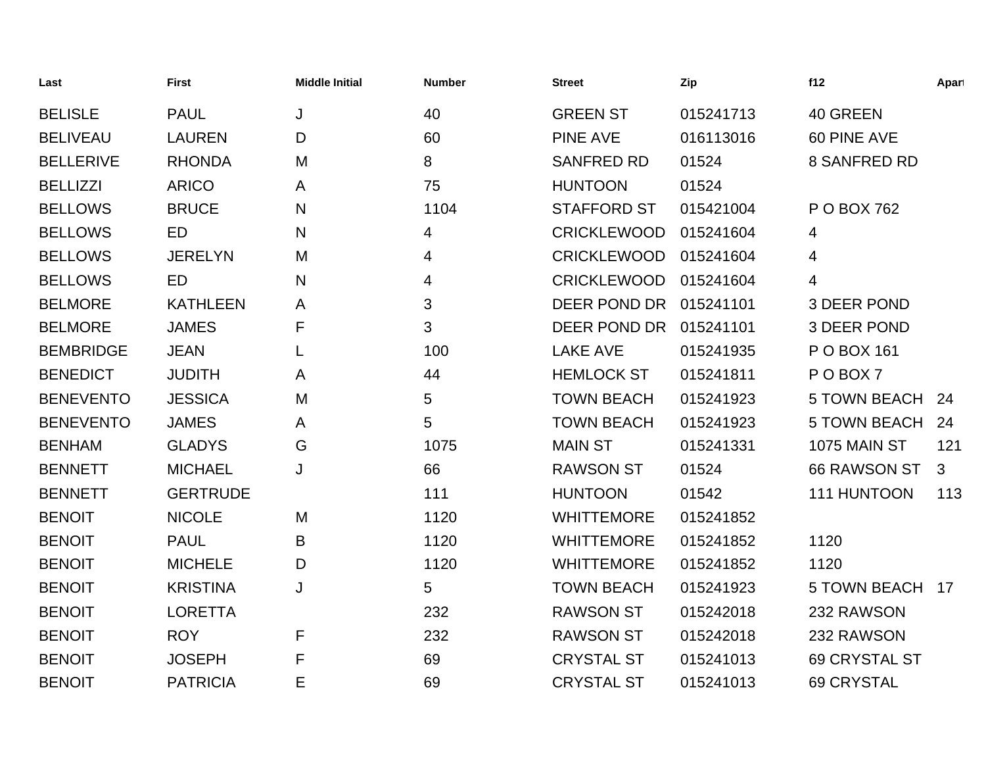| Last             | <b>First</b>    | <b>Middle Initial</b> | <b>Number</b> | <b>Street</b>      | Zip       | f12                 | Apart |
|------------------|-----------------|-----------------------|---------------|--------------------|-----------|---------------------|-------|
| <b>BELISLE</b>   | <b>PAUL</b>     | J                     | 40            | <b>GREEN ST</b>    | 015241713 | 40 GREEN            |       |
| <b>BELIVEAU</b>  | <b>LAUREN</b>   | D                     | 60            | <b>PINE AVE</b>    | 016113016 | 60 PINE AVE         |       |
| <b>BELLERIVE</b> | <b>RHONDA</b>   | M                     | 8             | <b>SANFRED RD</b>  | 01524     | 8 SANFRED RD        |       |
| <b>BELLIZZI</b>  | <b>ARICO</b>    | A                     | 75            | <b>HUNTOON</b>     | 01524     |                     |       |
| <b>BELLOWS</b>   | <b>BRUCE</b>    | N                     | 1104          | <b>STAFFORD ST</b> | 015421004 | P O BOX 762         |       |
| <b>BELLOWS</b>   | ED              | N                     | 4             | <b>CRICKLEWOOD</b> | 015241604 | 4                   |       |
| <b>BELLOWS</b>   | <b>JERELYN</b>  | M                     | 4             | <b>CRICKLEWOOD</b> | 015241604 | 4                   |       |
| <b>BELLOWS</b>   | ED              | N                     | 4             | <b>CRICKLEWOOD</b> | 015241604 | 4                   |       |
| <b>BELMORE</b>   | <b>KATHLEEN</b> | A                     | 3             | DEER POND DR       | 015241101 | <b>3 DEER POND</b>  |       |
| <b>BELMORE</b>   | <b>JAMES</b>    | F                     | 3             | DEER POND DR       | 015241101 | 3 DEER POND         |       |
| <b>BEMBRIDGE</b> | <b>JEAN</b>     | L                     | 100           | <b>LAKE AVE</b>    | 015241935 | P O BOX 161         |       |
| <b>BENEDICT</b>  | <b>JUDITH</b>   | A                     | 44            | <b>HEMLOCK ST</b>  | 015241811 | POBOX7              |       |
| <b>BENEVENTO</b> | <b>JESSICA</b>  | M                     | 5             | <b>TOWN BEACH</b>  | 015241923 | <b>5 TOWN BEACH</b> | 24    |
| <b>BENEVENTO</b> | <b>JAMES</b>    | A                     | 5             | <b>TOWN BEACH</b>  | 015241923 | <b>5 TOWN BEACH</b> | 24    |
| <b>BENHAM</b>    | <b>GLADYS</b>   | G                     | 1075          | <b>MAIN ST</b>     | 015241331 | <b>1075 MAIN ST</b> | 121   |
| <b>BENNETT</b>   | <b>MICHAEL</b>  | J                     | 66            | <b>RAWSON ST</b>   | 01524     | 66 RAWSON ST        | 3     |
| <b>BENNETT</b>   | <b>GERTRUDE</b> |                       | 111           | <b>HUNTOON</b>     | 01542     | 111 HUNTOON         | 113   |
| <b>BENOIT</b>    | <b>NICOLE</b>   | M                     | 1120          | <b>WHITTEMORE</b>  | 015241852 |                     |       |
| <b>BENOIT</b>    | <b>PAUL</b>     | B                     | 1120          | <b>WHITTEMORE</b>  | 015241852 | 1120                |       |
| <b>BENOIT</b>    | <b>MICHELE</b>  | D                     | 1120          | <b>WHITTEMORE</b>  | 015241852 | 1120                |       |
| <b>BENOIT</b>    | <b>KRISTINA</b> | J                     | 5             | <b>TOWN BEACH</b>  | 015241923 | <b>5 TOWN BEACH</b> | 17    |
| <b>BENOIT</b>    | <b>LORETTA</b>  |                       | 232           | <b>RAWSON ST</b>   | 015242018 | 232 RAWSON          |       |
| <b>BENOIT</b>    | <b>ROY</b>      | F                     | 232           | <b>RAWSON ST</b>   | 015242018 | 232 RAWSON          |       |
| <b>BENOIT</b>    | <b>JOSEPH</b>   | F                     | 69            | <b>CRYSTAL ST</b>  | 015241013 | 69 CRYSTAL ST       |       |
| <b>BENOIT</b>    | <b>PATRICIA</b> | Е                     | 69            | <b>CRYSTAL ST</b>  | 015241013 | <b>69 CRYSTAL</b>   |       |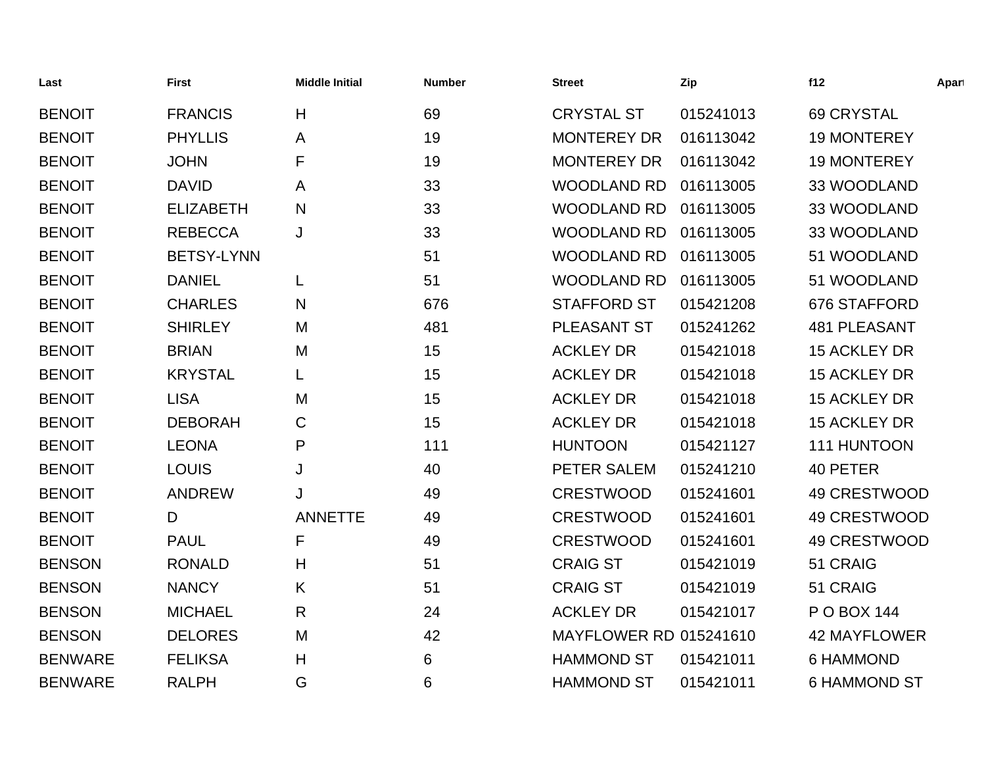| Last           | <b>First</b>      | <b>Middle Initial</b> | <b>Number</b> | <b>Street</b>                 | Zip       | f12                 | Apart |
|----------------|-------------------|-----------------------|---------------|-------------------------------|-----------|---------------------|-------|
| <b>BENOIT</b>  | <b>FRANCIS</b>    | H                     | 69            | <b>CRYSTAL ST</b>             | 015241013 | <b>69 CRYSTAL</b>   |       |
| <b>BENOIT</b>  | <b>PHYLLIS</b>    | Α                     | 19            | <b>MONTEREY DR</b>            | 016113042 | <b>19 MONTEREY</b>  |       |
| <b>BENOIT</b>  | <b>JOHN</b>       | F                     | 19            | <b>MONTEREY DR</b>            | 016113042 | <b>19 MONTEREY</b>  |       |
| <b>BENOIT</b>  | <b>DAVID</b>      | A                     | 33            | <b>WOODLAND RD</b>            | 016113005 | 33 WOODLAND         |       |
| <b>BENOIT</b>  | <b>ELIZABETH</b>  | N                     | 33            | <b>WOODLAND RD</b>            | 016113005 | 33 WOODLAND         |       |
| <b>BENOIT</b>  | <b>REBECCA</b>    | J                     | 33            | <b>WOODLAND RD</b>            | 016113005 | 33 WOODLAND         |       |
| <b>BENOIT</b>  | <b>BETSY-LYNN</b> |                       | 51            | <b>WOODLAND RD</b>            | 016113005 | 51 WOODLAND         |       |
| <b>BENOIT</b>  | <b>DANIEL</b>     | L                     | 51            | <b>WOODLAND RD</b>            | 016113005 | 51 WOODLAND         |       |
| <b>BENOIT</b>  | <b>CHARLES</b>    | N                     | 676           | <b>STAFFORD ST</b>            | 015421208 | 676 STAFFORD        |       |
| <b>BENOIT</b>  | <b>SHIRLEY</b>    | M                     | 481           | PLEASANT ST                   | 015241262 | <b>481 PLEASANT</b> |       |
| <b>BENOIT</b>  | <b>BRIAN</b>      | M                     | 15            | <b>ACKLEY DR</b>              | 015421018 | <b>15 ACKLEY DR</b> |       |
| <b>BENOIT</b>  | <b>KRYSTAL</b>    | L                     | 15            | <b>ACKLEY DR</b>              | 015421018 | <b>15 ACKLEY DR</b> |       |
| <b>BENOIT</b>  | <b>LISA</b>       | M                     | 15            | <b>ACKLEY DR</b>              | 015421018 | <b>15 ACKLEY DR</b> |       |
| <b>BENOIT</b>  | <b>DEBORAH</b>    | C                     | 15            | <b>ACKLEY DR</b>              | 015421018 | <b>15 ACKLEY DR</b> |       |
| <b>BENOIT</b>  | <b>LEONA</b>      | P                     | 111           | <b>HUNTOON</b>                | 015421127 | 111 HUNTOON         |       |
| <b>BENOIT</b>  | <b>LOUIS</b>      | J                     | 40            | PETER SALEM                   | 015241210 | 40 PETER            |       |
| <b>BENOIT</b>  | <b>ANDREW</b>     |                       | 49            | <b>CRESTWOOD</b>              | 015241601 | 49 CRESTWOOD        |       |
| <b>BENOIT</b>  | D                 | <b>ANNETTE</b>        | 49            | <b>CRESTWOOD</b>              | 015241601 | 49 CRESTWOOD        |       |
| <b>BENOIT</b>  | <b>PAUL</b>       | F                     | 49            | <b>CRESTWOOD</b>              | 015241601 | 49 CRESTWOOD        |       |
| <b>BENSON</b>  | <b>RONALD</b>     | H                     | 51            | <b>CRAIG ST</b>               | 015421019 | 51 CRAIG            |       |
| <b>BENSON</b>  | <b>NANCY</b>      | K                     | 51            | <b>CRAIG ST</b>               | 015421019 | 51 CRAIG            |       |
| <b>BENSON</b>  | <b>MICHAEL</b>    | $\mathsf{R}$          | 24            | <b>ACKLEY DR</b>              | 015421017 | P O BOX 144         |       |
| <b>BENSON</b>  | <b>DELORES</b>    | M                     | 42            | <b>MAYFLOWER RD 015241610</b> |           | <b>42 MAYFLOWER</b> |       |
| <b>BENWARE</b> | <b>FELIKSA</b>    | Н                     | 6             | <b>HAMMOND ST</b>             | 015421011 | <b>6 HAMMOND</b>    |       |
| <b>BENWARE</b> | <b>RALPH</b>      | G                     | 6             | <b>HAMMOND ST</b>             | 015421011 | <b>6 HAMMOND ST</b> |       |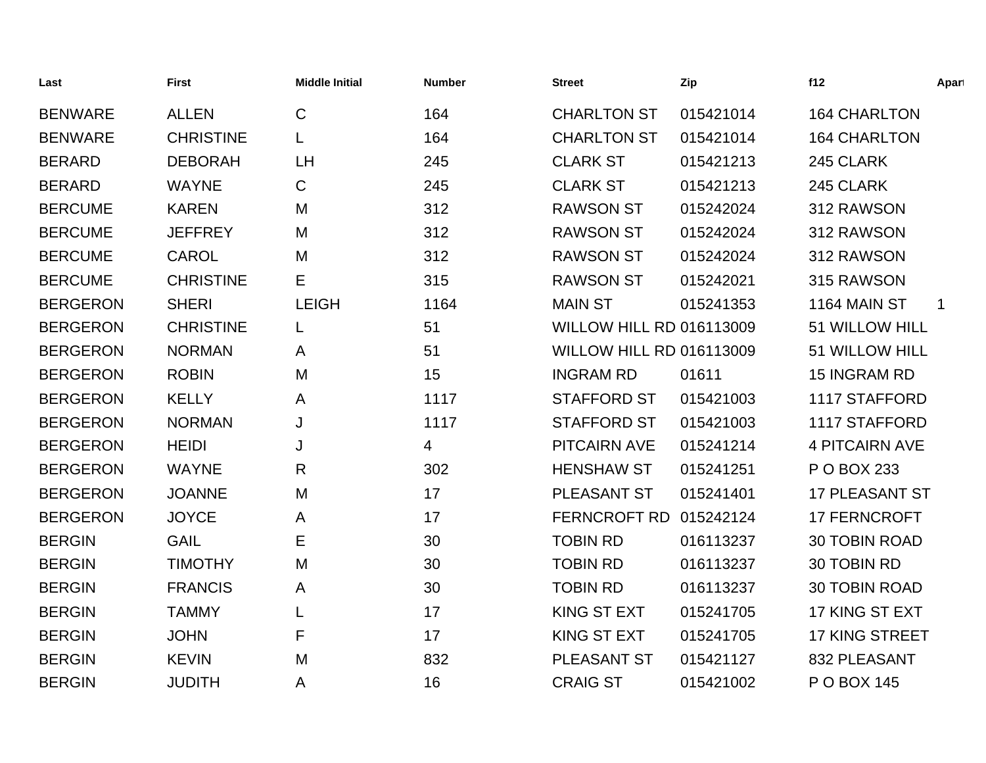| Last            | <b>First</b>     | <b>Middle Initial</b> | <b>Number</b> | <b>Street</b>                   | Zip       | f12                   | Apart       |
|-----------------|------------------|-----------------------|---------------|---------------------------------|-----------|-----------------------|-------------|
| <b>BENWARE</b>  | <b>ALLEN</b>     | $\mathsf{C}$          | 164           | <b>CHARLTON ST</b>              | 015421014 | <b>164 CHARLTON</b>   |             |
| <b>BENWARE</b>  | <b>CHRISTINE</b> | L                     | 164           | <b>CHARLTON ST</b>              | 015421014 | <b>164 CHARLTON</b>   |             |
| <b>BERARD</b>   | <b>DEBORAH</b>   | <b>LH</b>             | 245           | <b>CLARK ST</b>                 | 015421213 | 245 CLARK             |             |
| <b>BERARD</b>   | <b>WAYNE</b>     | $\mathsf C$           | 245           | <b>CLARK ST</b>                 | 015421213 | 245 CLARK             |             |
| <b>BERCUME</b>  | <b>KAREN</b>     | M                     | 312           | <b>RAWSON ST</b>                | 015242024 | 312 RAWSON            |             |
| <b>BERCUME</b>  | <b>JEFFREY</b>   | M                     | 312           | <b>RAWSON ST</b>                | 015242024 | 312 RAWSON            |             |
| <b>BERCUME</b>  | <b>CAROL</b>     | M                     | 312           | <b>RAWSON ST</b>                | 015242024 | 312 RAWSON            |             |
| <b>BERCUME</b>  | <b>CHRISTINE</b> | Е                     | 315           | <b>RAWSON ST</b>                | 015242021 | 315 RAWSON            |             |
| <b>BERGERON</b> | <b>SHERI</b>     | <b>LEIGH</b>          | 1164          | <b>MAIN ST</b>                  | 015241353 | 1164 MAIN ST          | $\mathbf 1$ |
| <b>BERGERON</b> | <b>CHRISTINE</b> | L                     | 51            | <b>WILLOW HILL RD 016113009</b> |           | 51 WILLOW HILL        |             |
| <b>BERGERON</b> | <b>NORMAN</b>    | A                     | 51            | <b>WILLOW HILL RD 016113009</b> |           | 51 WILLOW HILL        |             |
| <b>BERGERON</b> | <b>ROBIN</b>     | M                     | 15            | <b>INGRAM RD</b>                | 01611     | 15 INGRAM RD          |             |
| <b>BERGERON</b> | <b>KELLY</b>     | A                     | 1117          | <b>STAFFORD ST</b>              | 015421003 | 1117 STAFFORD         |             |
| <b>BERGERON</b> | <b>NORMAN</b>    | J                     | 1117          | <b>STAFFORD ST</b>              | 015421003 | 1117 STAFFORD         |             |
| <b>BERGERON</b> | <b>HEIDI</b>     | J                     | 4             | <b>PITCAIRN AVE</b>             | 015241214 | <b>4 PITCAIRN AVE</b> |             |
| <b>BERGERON</b> | <b>WAYNE</b>     | R                     | 302           | <b>HENSHAW ST</b>               | 015241251 | P O BOX 233           |             |
| <b>BERGERON</b> | <b>JOANNE</b>    | M                     | 17            | PLEASANT ST                     | 015241401 | <b>17 PLEASANT ST</b> |             |
| <b>BERGERON</b> | <b>JOYCE</b>     | A                     | 17            | <b>FERNCROFT RD</b>             | 015242124 | <b>17 FERNCROFT</b>   |             |
| <b>BERGIN</b>   | <b>GAIL</b>      | E                     | 30            | <b>TOBIN RD</b>                 | 016113237 | <b>30 TOBIN ROAD</b>  |             |
| <b>BERGIN</b>   | <b>TIMOTHY</b>   | M                     | 30            | <b>TOBIN RD</b>                 | 016113237 | 30 TOBIN RD           |             |
| <b>BERGIN</b>   | <b>FRANCIS</b>   | A                     | 30            | <b>TOBIN RD</b>                 | 016113237 | 30 TOBIN ROAD         |             |
| <b>BERGIN</b>   | <b>TAMMY</b>     | L                     | 17            | <b>KING ST EXT</b>              | 015241705 | 17 KING ST EXT        |             |
| <b>BERGIN</b>   | <b>JOHN</b>      | F                     | 17            | <b>KING ST EXT</b>              | 015241705 | <b>17 KING STREET</b> |             |
| <b>BERGIN</b>   | <b>KEVIN</b>     | M                     | 832           | <b>PLEASANT ST</b>              | 015421127 | 832 PLEASANT          |             |
| <b>BERGIN</b>   | <b>JUDITH</b>    | Α                     | 16            | <b>CRAIG ST</b>                 | 015421002 | P O BOX 145           |             |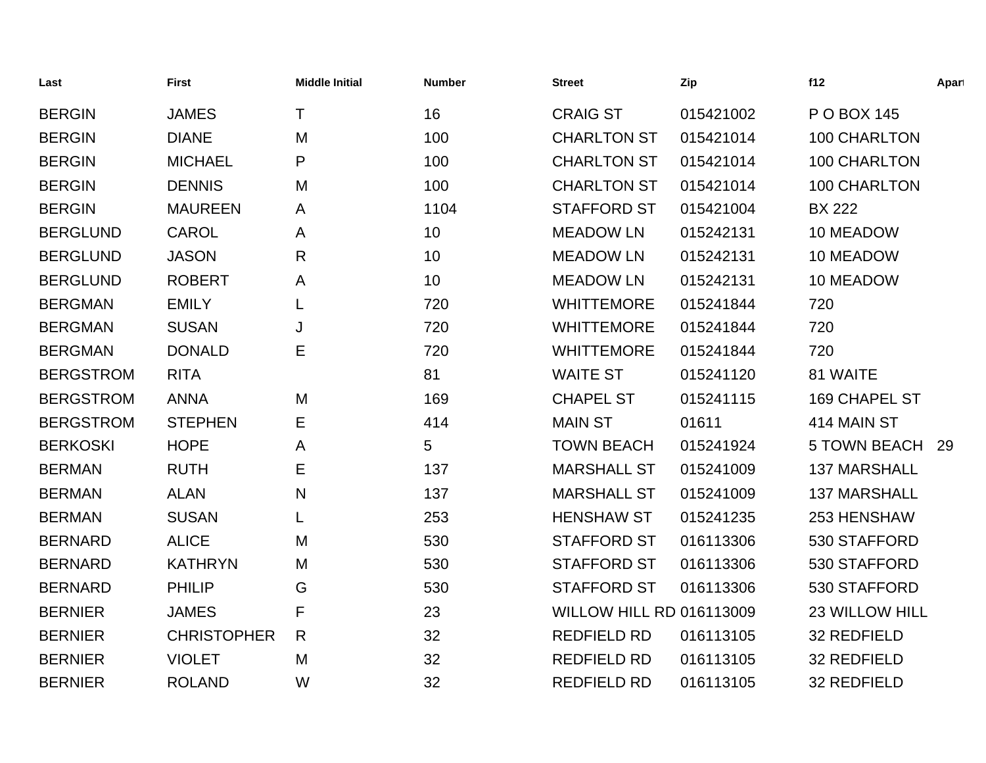| Last             | <b>First</b>       | <b>Middle Initial</b> | <b>Number</b> | <b>Street</b>            | Zip       | f12                   | Apart |
|------------------|--------------------|-----------------------|---------------|--------------------------|-----------|-----------------------|-------|
| <b>BERGIN</b>    | <b>JAMES</b>       | т                     | 16            | <b>CRAIG ST</b>          | 015421002 | P O BOX 145           |       |
| <b>BERGIN</b>    | <b>DIANE</b>       | M                     | 100           | <b>CHARLTON ST</b>       | 015421014 | 100 CHARLTON          |       |
| <b>BERGIN</b>    | <b>MICHAEL</b>     | P                     | 100           | <b>CHARLTON ST</b>       | 015421014 | 100 CHARLTON          |       |
| <b>BERGIN</b>    | <b>DENNIS</b>      | M                     | 100           | <b>CHARLTON ST</b>       | 015421014 | 100 CHARLTON          |       |
| <b>BERGIN</b>    | <b>MAUREEN</b>     | A                     | 1104          | <b>STAFFORD ST</b>       | 015421004 | <b>BX 222</b>         |       |
| <b>BERGLUND</b>  | <b>CAROL</b>       | Α                     | 10            | <b>MEADOW LN</b>         | 015242131 | 10 MEADOW             |       |
| <b>BERGLUND</b>  | <b>JASON</b>       | R                     | 10            | <b>MEADOW LN</b>         | 015242131 | 10 MEADOW             |       |
| <b>BERGLUND</b>  | <b>ROBERT</b>      | A                     | 10            | <b>MEADOW LN</b>         | 015242131 | 10 MEADOW             |       |
| <b>BERGMAN</b>   | <b>EMILY</b>       | L                     | 720           | <b>WHITTEMORE</b>        | 015241844 | 720                   |       |
| <b>BERGMAN</b>   | <b>SUSAN</b>       | J                     | 720           | <b>WHITTEMORE</b>        | 015241844 | 720                   |       |
| <b>BERGMAN</b>   | <b>DONALD</b>      | Ε                     | 720           | <b>WHITTEMORE</b>        | 015241844 | 720                   |       |
| <b>BERGSTROM</b> | <b>RITA</b>        |                       | 81            | <b>WAITE ST</b>          | 015241120 | 81 WAITE              |       |
| <b>BERGSTROM</b> | <b>ANNA</b>        | M                     | 169           | <b>CHAPEL ST</b>         | 015241115 | <b>169 CHAPEL ST</b>  |       |
| <b>BERGSTROM</b> | <b>STEPHEN</b>     | Е                     | 414           | <b>MAIN ST</b>           | 01611     | 414 MAIN ST           |       |
| <b>BERKOSKI</b>  | <b>HOPE</b>        | A                     | 5             | <b>TOWN BEACH</b>        | 015241924 | <b>5 TOWN BEACH</b>   | 29    |
| <b>BERMAN</b>    | <b>RUTH</b>        | Е                     | 137           | <b>MARSHALL ST</b>       | 015241009 | <b>137 MARSHALL</b>   |       |
| <b>BERMAN</b>    | <b>ALAN</b>        | $\mathsf{N}$          | 137           | <b>MARSHALL ST</b>       | 015241009 | <b>137 MARSHALL</b>   |       |
| <b>BERMAN</b>    | <b>SUSAN</b>       | L                     | 253           | <b>HENSHAW ST</b>        | 015241235 | 253 HENSHAW           |       |
| <b>BERNARD</b>   | <b>ALICE</b>       | M                     | 530           | <b>STAFFORD ST</b>       | 016113306 | 530 STAFFORD          |       |
| <b>BERNARD</b>   | <b>KATHRYN</b>     | M                     | 530           | <b>STAFFORD ST</b>       | 016113306 | 530 STAFFORD          |       |
| <b>BERNARD</b>   | <b>PHILIP</b>      | G                     | 530           | <b>STAFFORD ST</b>       | 016113306 | 530 STAFFORD          |       |
| <b>BERNIER</b>   | <b>JAMES</b>       | F                     | 23            | WILLOW HILL RD 016113009 |           | <b>23 WILLOW HILL</b> |       |
| <b>BERNIER</b>   | <b>CHRISTOPHER</b> | R                     | 32            | <b>REDFIELD RD</b>       | 016113105 | 32 REDFIELD           |       |
| <b>BERNIER</b>   | <b>VIOLET</b>      | M                     | 32            | <b>REDFIELD RD</b>       | 016113105 | 32 REDFIELD           |       |
| <b>BERNIER</b>   | <b>ROLAND</b>      | W                     | 32            | <b>REDFIELD RD</b>       | 016113105 | <b>32 REDFIELD</b>    |       |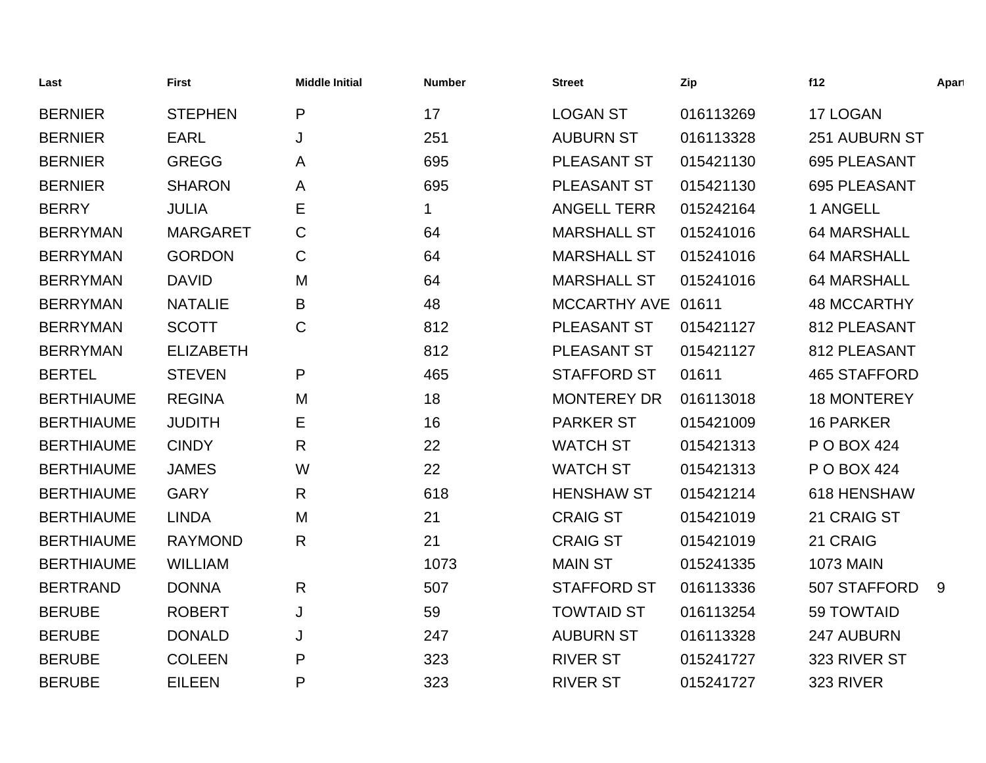| Last              | <b>First</b>     | <b>Middle Initial</b> | <b>Number</b> | <b>Street</b>      | Zip       | f12                 | Apart |
|-------------------|------------------|-----------------------|---------------|--------------------|-----------|---------------------|-------|
| <b>BERNIER</b>    | <b>STEPHEN</b>   | P                     | 17            | <b>LOGAN ST</b>    | 016113269 | 17 LOGAN            |       |
| <b>BERNIER</b>    | <b>EARL</b>      | J                     | 251           | <b>AUBURN ST</b>   | 016113328 | 251 AUBURN ST       |       |
| <b>BERNIER</b>    | <b>GREGG</b>     | A                     | 695           | PLEASANT ST        | 015421130 | 695 PLEASANT        |       |
| <b>BERNIER</b>    | <b>SHARON</b>    | A                     | 695           | PLEASANT ST        | 015421130 | 695 PLEASANT        |       |
| <b>BERRY</b>      | <b>JULIA</b>     | Е                     | 1             | <b>ANGELL TERR</b> | 015242164 | 1 ANGELL            |       |
| <b>BERRYMAN</b>   | <b>MARGARET</b>  | C                     | 64            | <b>MARSHALL ST</b> | 015241016 | <b>64 MARSHALL</b>  |       |
| <b>BERRYMAN</b>   | <b>GORDON</b>    | $\mathsf C$           | 64            | <b>MARSHALL ST</b> | 015241016 | <b>64 MARSHALL</b>  |       |
| <b>BERRYMAN</b>   | <b>DAVID</b>     | M                     | 64            | <b>MARSHALL ST</b> | 015241016 | <b>64 MARSHALL</b>  |       |
| <b>BERRYMAN</b>   | <b>NATALIE</b>   | B                     | 48            | MCCARTHY AVE 01611 |           | <b>48 MCCARTHY</b>  |       |
| <b>BERRYMAN</b>   | <b>SCOTT</b>     | $\mathsf{C}$          | 812           | PLEASANT ST        | 015421127 | 812 PLEASANT        |       |
| <b>BERRYMAN</b>   | <b>ELIZABETH</b> |                       | 812           | PLEASANT ST        | 015421127 | 812 PLEASANT        |       |
| <b>BERTEL</b>     | <b>STEVEN</b>    | $\mathsf{P}$          | 465           | <b>STAFFORD ST</b> | 01611     | <b>465 STAFFORD</b> |       |
| <b>BERTHIAUME</b> | <b>REGINA</b>    | M                     | 18            | <b>MONTEREY DR</b> | 016113018 | <b>18 MONTEREY</b>  |       |
| <b>BERTHIAUME</b> | <b>JUDITH</b>    | Е                     | 16            | <b>PARKER ST</b>   | 015421009 | <b>16 PARKER</b>    |       |
| <b>BERTHIAUME</b> | <b>CINDY</b>     | $\mathsf{R}$          | 22            | <b>WATCH ST</b>    | 015421313 | P O BOX 424         |       |
| <b>BERTHIAUME</b> | <b>JAMES</b>     | W                     | 22            | <b>WATCH ST</b>    | 015421313 | P O BOX 424         |       |
| <b>BERTHIAUME</b> | <b>GARY</b>      | $\mathsf{R}$          | 618           | <b>HENSHAW ST</b>  | 015421214 | 618 HENSHAW         |       |
| <b>BERTHIAUME</b> | <b>LINDA</b>     | M                     | 21            | <b>CRAIG ST</b>    | 015421019 | 21 CRAIG ST         |       |
| <b>BERTHIAUME</b> | <b>RAYMOND</b>   | R                     | 21            | <b>CRAIG ST</b>    | 015421019 | 21 CRAIG            |       |
| <b>BERTHIAUME</b> | <b>WILLIAM</b>   |                       | 1073          | <b>MAIN ST</b>     | 015241335 | <b>1073 MAIN</b>    |       |
| <b>BERTRAND</b>   | <b>DONNA</b>     | $\mathsf{R}$          | 507           | <b>STAFFORD ST</b> | 016113336 | 507 STAFFORD        | 9     |
| <b>BERUBE</b>     | <b>ROBERT</b>    | J                     | 59            | <b>TOWTAID ST</b>  | 016113254 | 59 TOWTAID          |       |
| <b>BERUBE</b>     | <b>DONALD</b>    | J                     | 247           | <b>AUBURN ST</b>   | 016113328 | 247 AUBURN          |       |
| <b>BERUBE</b>     | <b>COLEEN</b>    | P                     | 323           | <b>RIVER ST</b>    | 015241727 | 323 RIVER ST        |       |
| <b>BERUBE</b>     | <b>EILEEN</b>    | P                     | 323           | <b>RIVER ST</b>    | 015241727 | 323 RIVER           |       |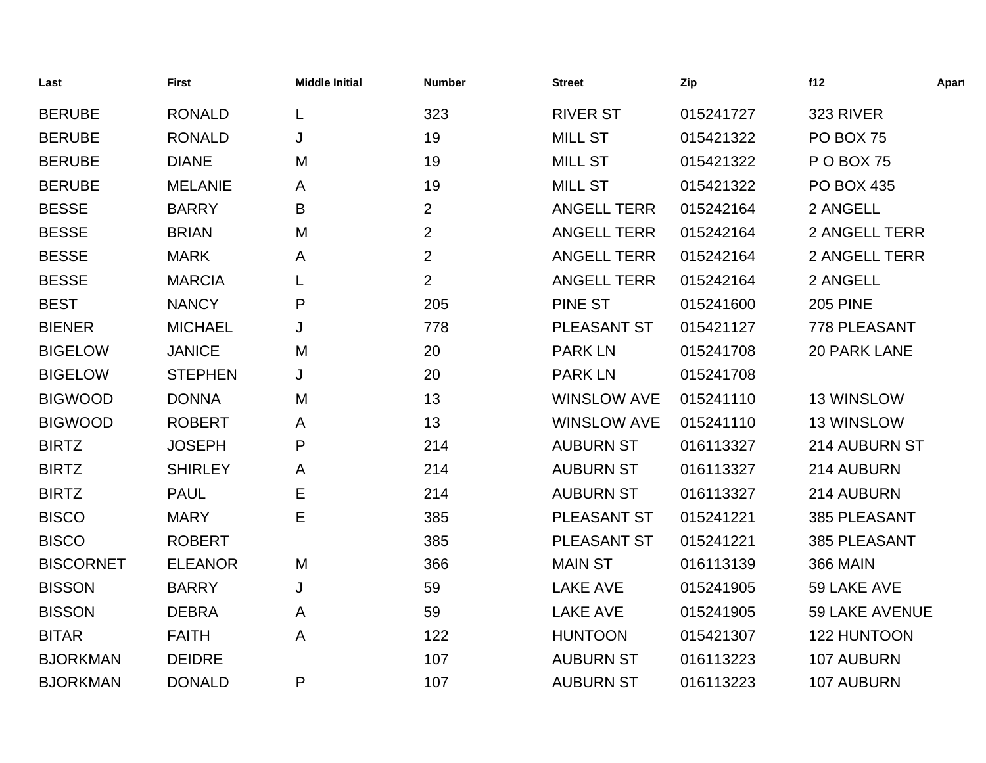| Last             | <b>First</b>   | <b>Middle Initial</b> | <b>Number</b>  | <b>Street</b>      | Zip       | f12                   | Apart |
|------------------|----------------|-----------------------|----------------|--------------------|-----------|-----------------------|-------|
| <b>BERUBE</b>    | <b>RONALD</b>  | L                     | 323            | <b>RIVER ST</b>    | 015241727 | 323 RIVER             |       |
| <b>BERUBE</b>    | <b>RONALD</b>  | J                     | 19             | <b>MILL ST</b>     | 015421322 | PO BOX 75             |       |
| <b>BERUBE</b>    | <b>DIANE</b>   | M                     | 19             | <b>MILL ST</b>     | 015421322 | <b>P O BOX 75</b>     |       |
| <b>BERUBE</b>    | <b>MELANIE</b> | Α                     | 19             | <b>MILL ST</b>     | 015421322 | <b>PO BOX 435</b>     |       |
| <b>BESSE</b>     | <b>BARRY</b>   | B                     | $\overline{2}$ | <b>ANGELL TERR</b> | 015242164 | 2 ANGELL              |       |
| <b>BESSE</b>     | <b>BRIAN</b>   | M                     | $\overline{2}$ | <b>ANGELL TERR</b> | 015242164 | <b>2 ANGELL TERR</b>  |       |
| <b>BESSE</b>     | <b>MARK</b>    | A                     | $\overline{2}$ | <b>ANGELL TERR</b> | 015242164 | <b>2 ANGELL TERR</b>  |       |
| <b>BESSE</b>     | <b>MARCIA</b>  |                       | $\overline{2}$ | <b>ANGELL TERR</b> | 015242164 | 2 ANGELL              |       |
| <b>BEST</b>      | <b>NANCY</b>   | P                     | 205            | <b>PINE ST</b>     | 015241600 | <b>205 PINE</b>       |       |
| <b>BIENER</b>    | <b>MICHAEL</b> | J                     | 778            | PLEASANT ST        | 015421127 | 778 PLEASANT          |       |
| <b>BIGELOW</b>   | <b>JANICE</b>  | M                     | 20             | <b>PARK LN</b>     | 015241708 | <b>20 PARK LANE</b>   |       |
| <b>BIGELOW</b>   | <b>STEPHEN</b> | J                     | 20             | <b>PARK LN</b>     | 015241708 |                       |       |
| <b>BIGWOOD</b>   | <b>DONNA</b>   | M                     | 13             | <b>WINSLOW AVE</b> | 015241110 | 13 WINSLOW            |       |
| <b>BIGWOOD</b>   | <b>ROBERT</b>  | A                     | 13             | <b>WINSLOW AVE</b> | 015241110 | 13 WINSLOW            |       |
| <b>BIRTZ</b>     | <b>JOSEPH</b>  | P                     | 214            | <b>AUBURN ST</b>   | 016113327 | 214 AUBURN ST         |       |
| <b>BIRTZ</b>     | <b>SHIRLEY</b> | A                     | 214            | <b>AUBURN ST</b>   | 016113327 | 214 AUBURN            |       |
| <b>BIRTZ</b>     | <b>PAUL</b>    | Е                     | 214            | <b>AUBURN ST</b>   | 016113327 | 214 AUBURN            |       |
| <b>BISCO</b>     | <b>MARY</b>    | Е                     | 385            | PLEASANT ST        | 015241221 | 385 PLEASANT          |       |
| <b>BISCO</b>     | <b>ROBERT</b>  |                       | 385            | PLEASANT ST        | 015241221 | 385 PLEASANT          |       |
| <b>BISCORNET</b> | <b>ELEANOR</b> | M                     | 366            | <b>MAIN ST</b>     | 016113139 | <b>366 MAIN</b>       |       |
| <b>BISSON</b>    | <b>BARRY</b>   | J                     | 59             | <b>LAKE AVE</b>    | 015241905 | 59 LAKE AVE           |       |
| <b>BISSON</b>    | <b>DEBRA</b>   | A                     | 59             | <b>LAKE AVE</b>    | 015241905 | <b>59 LAKE AVENUE</b> |       |
| <b>BITAR</b>     | <b>FAITH</b>   | A                     | 122            | <b>HUNTOON</b>     | 015421307 | 122 HUNTOON           |       |
| <b>BJORKMAN</b>  | <b>DEIDRE</b>  |                       | 107            | <b>AUBURN ST</b>   | 016113223 | 107 AUBURN            |       |
| <b>BJORKMAN</b>  | <b>DONALD</b>  | P                     | 107            | <b>AUBURN ST</b>   | 016113223 | 107 AUBURN            |       |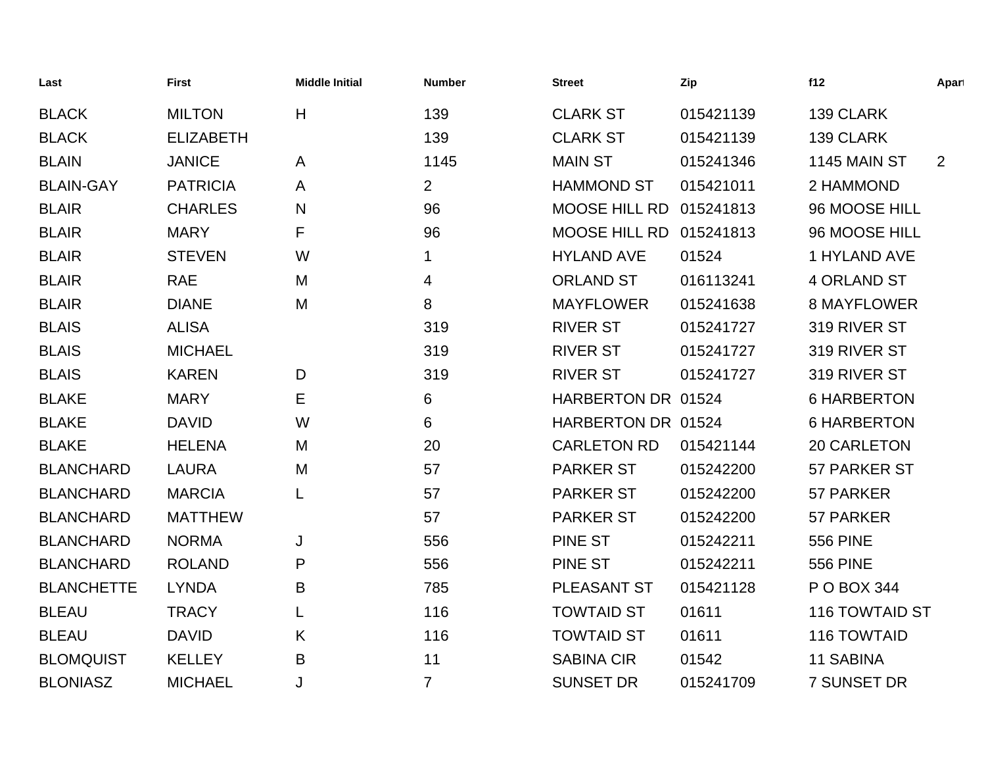| Last              | <b>First</b>     | <b>Middle Initial</b> | <b>Number</b>  | <b>Street</b>           | Zip       | f12                   | Apart          |
|-------------------|------------------|-----------------------|----------------|-------------------------|-----------|-----------------------|----------------|
| <b>BLACK</b>      | <b>MILTON</b>    | H                     | 139            | <b>CLARK ST</b>         | 015421139 | 139 CLARK             |                |
| <b>BLACK</b>      | <b>ELIZABETH</b> |                       | 139            | <b>CLARK ST</b>         | 015421139 | 139 CLARK             |                |
| <b>BLAIN</b>      | <b>JANICE</b>    | $\mathsf{A}$          | 1145           | <b>MAIN ST</b>          | 015241346 | 1145 MAIN ST          | $\overline{2}$ |
| <b>BLAIN-GAY</b>  | <b>PATRICIA</b>  | A                     | $\overline{2}$ | <b>HAMMOND ST</b>       | 015421011 | 2 HAMMOND             |                |
| <b>BLAIR</b>      | <b>CHARLES</b>   | N                     | 96             | MOOSE HILL RD           | 015241813 | 96 MOOSE HILL         |                |
| <b>BLAIR</b>      | <b>MARY</b>      | F                     | 96             | MOOSE HILL RD 015241813 |           | 96 MOOSE HILL         |                |
| <b>BLAIR</b>      | <b>STEVEN</b>    | W                     | 1              | <b>HYLAND AVE</b>       | 01524     | 1 HYLAND AVE          |                |
| <b>BLAIR</b>      | <b>RAE</b>       | M                     | 4              | <b>ORLAND ST</b>        | 016113241 | <b>4 ORLAND ST</b>    |                |
| <b>BLAIR</b>      | <b>DIANE</b>     | M                     | 8              | <b>MAYFLOWER</b>        | 015241638 | <b>8 MAYFLOWER</b>    |                |
| <b>BLAIS</b>      | <b>ALISA</b>     |                       | 319            | <b>RIVER ST</b>         | 015241727 | 319 RIVER ST          |                |
| <b>BLAIS</b>      | <b>MICHAEL</b>   |                       | 319            | <b>RIVER ST</b>         | 015241727 | 319 RIVER ST          |                |
| <b>BLAIS</b>      | <b>KAREN</b>     | D                     | 319            | <b>RIVER ST</b>         | 015241727 | 319 RIVER ST          |                |
| <b>BLAKE</b>      | <b>MARY</b>      | Е                     | 6              | HARBERTON DR 01524      |           | <b>6 HARBERTON</b>    |                |
| <b>BLAKE</b>      | <b>DAVID</b>     | W                     | 6              | HARBERTON DR 01524      |           | <b>6 HARBERTON</b>    |                |
| <b>BLAKE</b>      | <b>HELENA</b>    | M                     | 20             | <b>CARLETON RD</b>      | 015421144 | 20 CARLETON           |                |
| <b>BLANCHARD</b>  | <b>LAURA</b>     | M                     | 57             | <b>PARKER ST</b>        | 015242200 | 57 PARKER ST          |                |
| <b>BLANCHARD</b>  | <b>MARCIA</b>    | L                     | 57             | <b>PARKER ST</b>        | 015242200 | 57 PARKER             |                |
| <b>BLANCHARD</b>  | <b>MATTHEW</b>   |                       | 57             | <b>PARKER ST</b>        | 015242200 | 57 PARKER             |                |
| <b>BLANCHARD</b>  | <b>NORMA</b>     | J                     | 556            | <b>PINE ST</b>          | 015242211 | <b>556 PINE</b>       |                |
| <b>BLANCHARD</b>  | <b>ROLAND</b>    | P                     | 556            | <b>PINE ST</b>          | 015242211 | <b>556 PINE</b>       |                |
| <b>BLANCHETTE</b> | <b>LYNDA</b>     | B                     | 785            | PLEASANT ST             | 015421128 | P O BOX 344           |                |
| <b>BLEAU</b>      | <b>TRACY</b>     | L                     | 116            | <b>TOWTAID ST</b>       | 01611     | <b>116 TOWTAID ST</b> |                |
| <b>BLEAU</b>      | <b>DAVID</b>     | K                     | 116            | <b>TOWTAID ST</b>       | 01611     | 116 TOWTAID           |                |
| <b>BLOMQUIST</b>  | <b>KELLEY</b>    | B                     | 11             | <b>SABINA CIR</b>       | 01542     | <b>11 SABINA</b>      |                |
| <b>BLONIASZ</b>   | <b>MICHAEL</b>   | J                     | $\overline{7}$ | <b>SUNSET DR</b>        | 015241709 | 7 SUNSET DR           |                |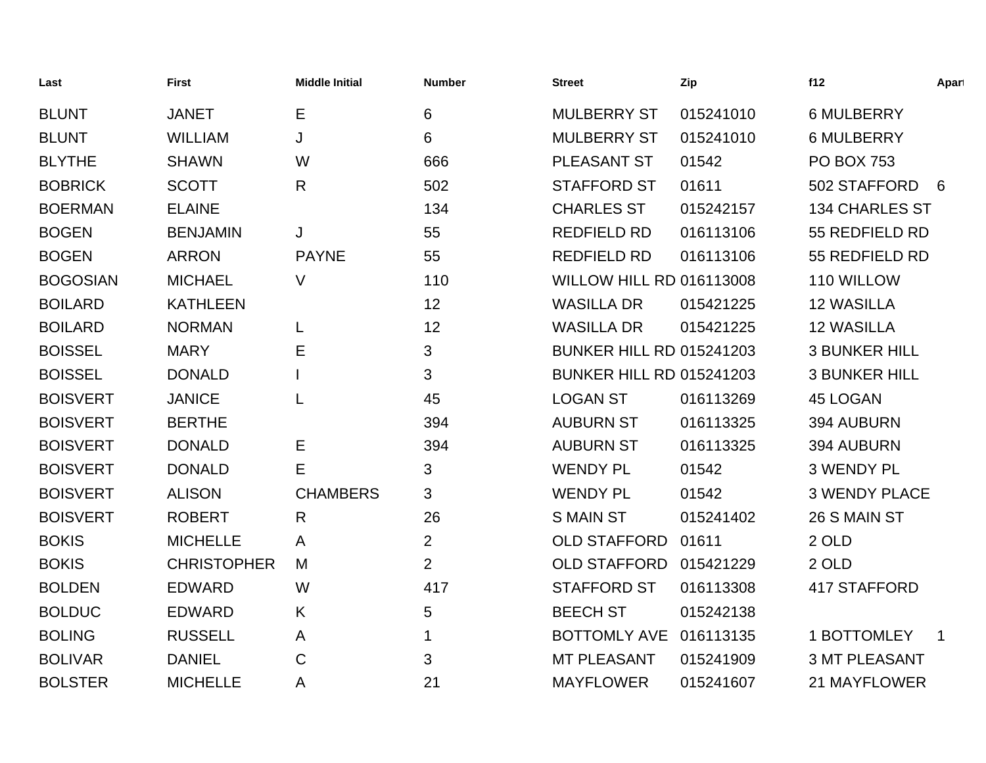| Last            | <b>First</b>       | <b>Middle Initial</b> | <b>Number</b>  | <b>Street</b>                   | Zip       | f12                   | Apart |
|-----------------|--------------------|-----------------------|----------------|---------------------------------|-----------|-----------------------|-------|
| <b>BLUNT</b>    | <b>JANET</b>       | E                     | 6              | <b>MULBERRY ST</b>              | 015241010 | <b>6 MULBERRY</b>     |       |
| <b>BLUNT</b>    | <b>WILLIAM</b>     | J                     | 6              | <b>MULBERRY ST</b>              | 015241010 | <b>6 MULBERRY</b>     |       |
| <b>BLYTHE</b>   | <b>SHAWN</b>       | W                     | 666            | PLEASANT ST                     | 01542     | <b>PO BOX 753</b>     |       |
| <b>BOBRICK</b>  | <b>SCOTT</b>       | $\mathsf{R}$          | 502            | <b>STAFFORD ST</b>              | 01611     | 502 STAFFORD          | 6     |
| <b>BOERMAN</b>  | <b>ELAINE</b>      |                       | 134            | <b>CHARLES ST</b>               | 015242157 | <b>134 CHARLES ST</b> |       |
| <b>BOGEN</b>    | <b>BENJAMIN</b>    | J                     | 55             | <b>REDFIELD RD</b>              | 016113106 | 55 REDFIELD RD        |       |
| <b>BOGEN</b>    | <b>ARRON</b>       | <b>PAYNE</b>          | 55             | <b>REDFIELD RD</b>              | 016113106 | 55 REDFIELD RD        |       |
| <b>BOGOSIAN</b> | <b>MICHAEL</b>     | V                     | 110            | <b>WILLOW HILL RD 016113008</b> |           | 110 WILLOW            |       |
| <b>BOILARD</b>  | <b>KATHLEEN</b>    |                       | 12             | <b>WASILLA DR</b>               | 015421225 | <b>12 WASILLA</b>     |       |
| <b>BOILARD</b>  | <b>NORMAN</b>      | L                     | 12             | <b>WASILLA DR</b>               | 015421225 | <b>12 WASILLA</b>     |       |
| <b>BOISSEL</b>  | <b>MARY</b>        | Ε                     | 3              | <b>BUNKER HILL RD 015241203</b> |           | <b>3 BUNKER HILL</b>  |       |
| <b>BOISSEL</b>  | <b>DONALD</b>      |                       | 3              | <b>BUNKER HILL RD 015241203</b> |           | <b>3 BUNKER HILL</b>  |       |
| <b>BOISVERT</b> | <b>JANICE</b>      | L                     | 45             | <b>LOGAN ST</b>                 | 016113269 | <b>45 LOGAN</b>       |       |
| <b>BOISVERT</b> | <b>BERTHE</b>      |                       | 394            | <b>AUBURN ST</b>                | 016113325 | 394 AUBURN            |       |
| <b>BOISVERT</b> | <b>DONALD</b>      | Е                     | 394            | <b>AUBURN ST</b>                | 016113325 | 394 AUBURN            |       |
| <b>BOISVERT</b> | <b>DONALD</b>      | Е                     | 3              | <b>WENDY PL</b>                 | 01542     | <b>3 WENDY PL</b>     |       |
| <b>BOISVERT</b> | <b>ALISON</b>      | <b>CHAMBERS</b>       | 3              | <b>WENDY PL</b>                 | 01542     | <b>3 WENDY PLACE</b>  |       |
| <b>BOISVERT</b> | <b>ROBERT</b>      | $\mathsf{R}$          | 26             | <b>S MAIN ST</b>                | 015241402 | 26 S MAIN ST          |       |
| <b>BOKIS</b>    | <b>MICHELLE</b>    | A                     | $\overline{2}$ | <b>OLD STAFFORD</b>             | 01611     | 2 OLD                 |       |
| <b>BOKIS</b>    | <b>CHRISTOPHER</b> | M                     | $\overline{2}$ | <b>OLD STAFFORD</b>             | 015421229 | 2 OLD                 |       |
| <b>BOLDEN</b>   | <b>EDWARD</b>      | W                     | 417            | <b>STAFFORD ST</b>              | 016113308 | 417 STAFFORD          |       |
| <b>BOLDUC</b>   | <b>EDWARD</b>      | K                     | 5              | <b>BEECH ST</b>                 | 015242138 |                       |       |
| <b>BOLING</b>   | <b>RUSSELL</b>     | A                     | 1              | <b>BOTTOMLY AVE</b>             | 016113135 | 1 BOTTOMLEY           | -1    |
| <b>BOLIVAR</b>  | <b>DANIEL</b>      | C                     | 3              | <b>MT PLEASANT</b>              | 015241909 | <b>3 MT PLEASANT</b>  |       |
| <b>BOLSTER</b>  | <b>MICHELLE</b>    | Α                     | 21             | <b>MAYFLOWER</b>                | 015241607 | 21 MAYFLOWER          |       |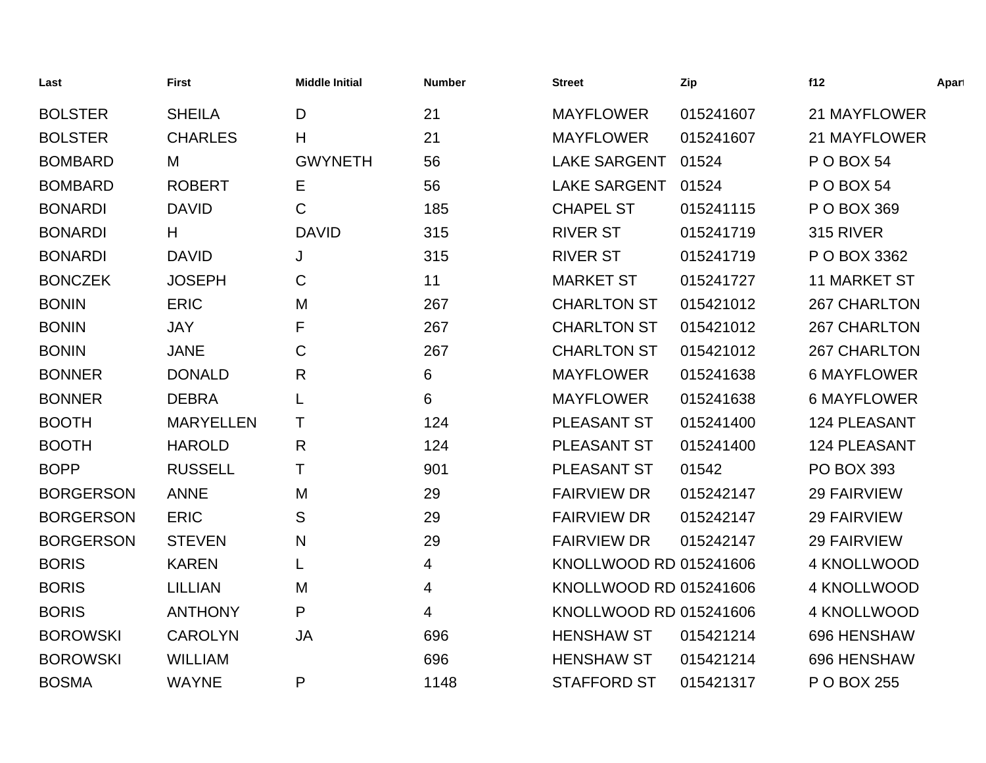| Last             | <b>First</b>     | <b>Middle Initial</b> | <b>Number</b> | <b>Street</b>          | Zip       | f12                 | Apart |
|------------------|------------------|-----------------------|---------------|------------------------|-----------|---------------------|-------|
| <b>BOLSTER</b>   | <b>SHEILA</b>    | D                     | 21            | <b>MAYFLOWER</b>       | 015241607 | 21 MAYFLOWER        |       |
| <b>BOLSTER</b>   | <b>CHARLES</b>   | Η                     | 21            | <b>MAYFLOWER</b>       | 015241607 | 21 MAYFLOWER        |       |
| <b>BOMBARD</b>   | M                | <b>GWYNETH</b>        | 56            | <b>LAKE SARGENT</b>    | 01524     | <b>P O BOX 54</b>   |       |
| <b>BOMBARD</b>   | <b>ROBERT</b>    | Е                     | 56            | <b>LAKE SARGENT</b>    | 01524     | <b>P O BOX 54</b>   |       |
| <b>BONARDI</b>   | <b>DAVID</b>     | $\mathsf{C}$          | 185           | <b>CHAPEL ST</b>       | 015241115 | P O BOX 369         |       |
| <b>BONARDI</b>   | H                | <b>DAVID</b>          | 315           | <b>RIVER ST</b>        | 015241719 | 315 RIVER           |       |
| <b>BONARDI</b>   | <b>DAVID</b>     | J                     | 315           | <b>RIVER ST</b>        | 015241719 | P O BOX 3362        |       |
| <b>BONCZEK</b>   | <b>JOSEPH</b>    | C                     | 11            | <b>MARKET ST</b>       | 015241727 | <b>11 MARKET ST</b> |       |
| <b>BONIN</b>     | <b>ERIC</b>      | M                     | 267           | <b>CHARLTON ST</b>     | 015421012 | <b>267 CHARLTON</b> |       |
| <b>BONIN</b>     | <b>JAY</b>       | F                     | 267           | <b>CHARLTON ST</b>     | 015421012 | <b>267 CHARLTON</b> |       |
| <b>BONIN</b>     | <b>JANE</b>      | C                     | 267           | <b>CHARLTON ST</b>     | 015421012 | <b>267 CHARLTON</b> |       |
| <b>BONNER</b>    | <b>DONALD</b>    | R                     | 6             | <b>MAYFLOWER</b>       | 015241638 | <b>6 MAYFLOWER</b>  |       |
| <b>BONNER</b>    | <b>DEBRA</b>     |                       | 6             | <b>MAYFLOWER</b>       | 015241638 | <b>6 MAYFLOWER</b>  |       |
| <b>BOOTH</b>     | <b>MARYELLEN</b> | Τ                     | 124           | PLEASANT ST            | 015241400 | 124 PLEASANT        |       |
| <b>BOOTH</b>     | <b>HAROLD</b>    | R                     | 124           | PLEASANT ST            | 015241400 | 124 PLEASANT        |       |
| <b>BOPP</b>      | <b>RUSSELL</b>   | Т                     | 901           | PLEASANT ST            | 01542     | <b>PO BOX 393</b>   |       |
| <b>BORGERSON</b> | <b>ANNE</b>      | M                     | 29            | <b>FAIRVIEW DR</b>     | 015242147 | <b>29 FAIRVIEW</b>  |       |
| <b>BORGERSON</b> | <b>ERIC</b>      | S                     | 29            | <b>FAIRVIEW DR</b>     | 015242147 | <b>29 FAIRVIEW</b>  |       |
| <b>BORGERSON</b> | <b>STEVEN</b>    | N                     | 29            | <b>FAIRVIEW DR</b>     | 015242147 | <b>29 FAIRVIEW</b>  |       |
| <b>BORIS</b>     | <b>KAREN</b>     |                       | 4             | KNOLLWOOD RD 015241606 |           | 4 KNOLLWOOD         |       |
| <b>BORIS</b>     | <b>LILLIAN</b>   | M                     | 4             | KNOLLWOOD RD 015241606 |           | 4 KNOLLWOOD         |       |
| <b>BORIS</b>     | <b>ANTHONY</b>   | P                     | 4             | KNOLLWOOD RD 015241606 |           | 4 KNOLLWOOD         |       |
| <b>BOROWSKI</b>  | <b>CAROLYN</b>   | JA                    | 696           | <b>HENSHAW ST</b>      | 015421214 | 696 HENSHAW         |       |
| <b>BOROWSKI</b>  | <b>WILLIAM</b>   |                       | 696           | <b>HENSHAW ST</b>      | 015421214 | 696 HENSHAW         |       |
| <b>BOSMA</b>     | <b>WAYNE</b>     | P                     | 1148          | <b>STAFFORD ST</b>     | 015421317 | P O BOX 255         |       |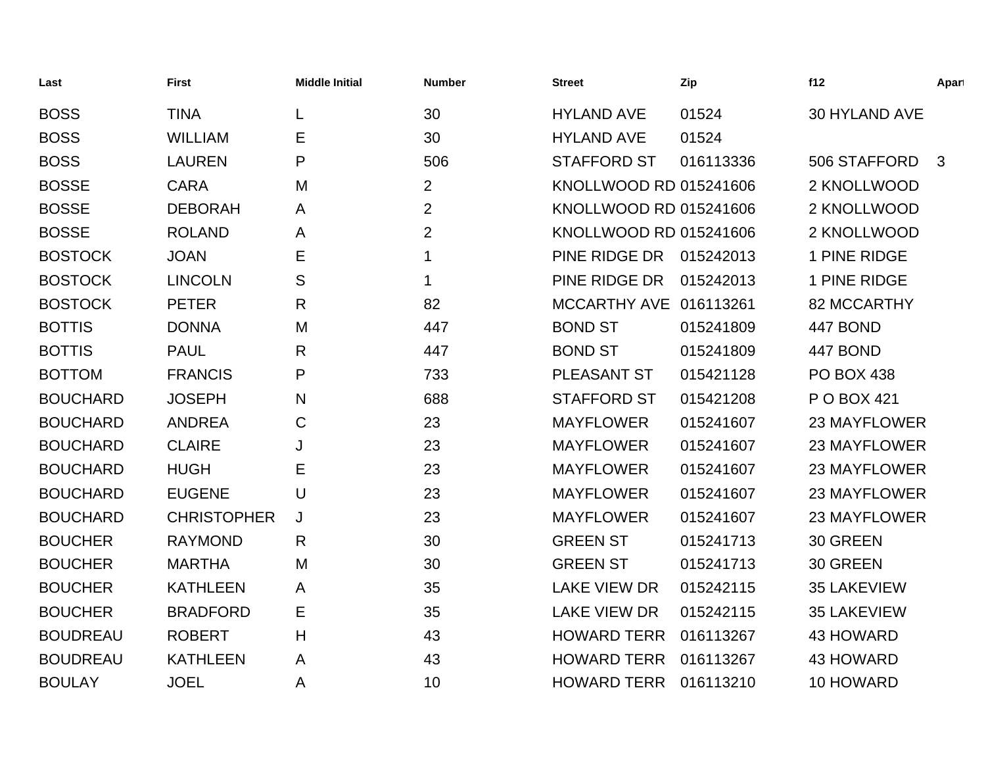| Last            | <b>First</b>       | <b>Middle Initial</b> | <b>Number</b>  | <b>Street</b>           | Zip       | f12                | Apart        |
|-----------------|--------------------|-----------------------|----------------|-------------------------|-----------|--------------------|--------------|
| <b>BOSS</b>     | <b>TINA</b>        |                       | 30             | <b>HYLAND AVE</b>       | 01524     | 30 HYLAND AVE      |              |
| <b>BOSS</b>     | <b>WILLIAM</b>     | Е                     | 30             | <b>HYLAND AVE</b>       | 01524     |                    |              |
| <b>BOSS</b>     | <b>LAUREN</b>      | P                     | 506            | <b>STAFFORD ST</b>      | 016113336 | 506 STAFFORD       | $\mathbf{3}$ |
| <b>BOSSE</b>    | <b>CARA</b>        | M                     | $\overline{2}$ | KNOLLWOOD RD 015241606  |           | 2 KNOLLWOOD        |              |
| <b>BOSSE</b>    | <b>DEBORAH</b>     | A                     | $\overline{2}$ | KNOLLWOOD RD 015241606  |           | 2 KNOLLWOOD        |              |
| <b>BOSSE</b>    | <b>ROLAND</b>      | A                     | $\overline{2}$ | KNOLLWOOD RD 015241606  |           | 2 KNOLLWOOD        |              |
| <b>BOSTOCK</b>  | <b>JOAN</b>        | Е                     | 1              | PINE RIDGE DR 015242013 |           | 1 PINE RIDGE       |              |
| <b>BOSTOCK</b>  | <b>LINCOLN</b>     | S                     | 1              | PINE RIDGE DR           | 015242013 | 1 PINE RIDGE       |              |
| <b>BOSTOCK</b>  | <b>PETER</b>       | R                     | 82             | MCCARTHY AVE 016113261  |           | <b>82 MCCARTHY</b> |              |
| <b>BOTTIS</b>   | <b>DONNA</b>       | M                     | 447            | <b>BOND ST</b>          | 015241809 | 447 BOND           |              |
| <b>BOTTIS</b>   | <b>PAUL</b>        | R                     | 447            | <b>BOND ST</b>          | 015241809 | 447 BOND           |              |
| <b>BOTTOM</b>   | <b>FRANCIS</b>     | P                     | 733            | PLEASANT ST             | 015421128 | <b>PO BOX 438</b>  |              |
| <b>BOUCHARD</b> | <b>JOSEPH</b>      | N                     | 688            | <b>STAFFORD ST</b>      | 015421208 | P O BOX 421        |              |
| <b>BOUCHARD</b> | <b>ANDREA</b>      | C                     | 23             | <b>MAYFLOWER</b>        | 015241607 | 23 MAYFLOWER       |              |
| <b>BOUCHARD</b> | <b>CLAIRE</b>      | J                     | 23             | <b>MAYFLOWER</b>        | 015241607 | 23 MAYFLOWER       |              |
| <b>BOUCHARD</b> | <b>HUGH</b>        | Е                     | 23             | <b>MAYFLOWER</b>        | 015241607 | 23 MAYFLOWER       |              |
| <b>BOUCHARD</b> | <b>EUGENE</b>      | U                     | 23             | <b>MAYFLOWER</b>        | 015241607 | 23 MAYFLOWER       |              |
| <b>BOUCHARD</b> | <b>CHRISTOPHER</b> | J                     | 23             | <b>MAYFLOWER</b>        | 015241607 | 23 MAYFLOWER       |              |
| <b>BOUCHER</b>  | <b>RAYMOND</b>     | R                     | 30             | <b>GREEN ST</b>         | 015241713 | 30 GREEN           |              |
| <b>BOUCHER</b>  | <b>MARTHA</b>      | M                     | 30             | <b>GREEN ST</b>         | 015241713 | 30 GREEN           |              |
| <b>BOUCHER</b>  | <b>KATHLEEN</b>    | A                     | 35             | <b>LAKE VIEW DR</b>     | 015242115 | <b>35 LAKEVIEW</b> |              |
| <b>BOUCHER</b>  | <b>BRADFORD</b>    | Е                     | 35             | <b>LAKE VIEW DR</b>     | 015242115 | <b>35 LAKEVIEW</b> |              |
| <b>BOUDREAU</b> | <b>ROBERT</b>      | Н                     | 43             | <b>HOWARD TERR</b>      | 016113267 | 43 HOWARD          |              |
| <b>BOUDREAU</b> | <b>KATHLEEN</b>    | Α                     | 43             | <b>HOWARD TERR</b>      | 016113267 | 43 HOWARD          |              |
| <b>BOULAY</b>   | <b>JOEL</b>        | A                     | 10             | <b>HOWARD TERR</b>      | 016113210 | 10 HOWARD          |              |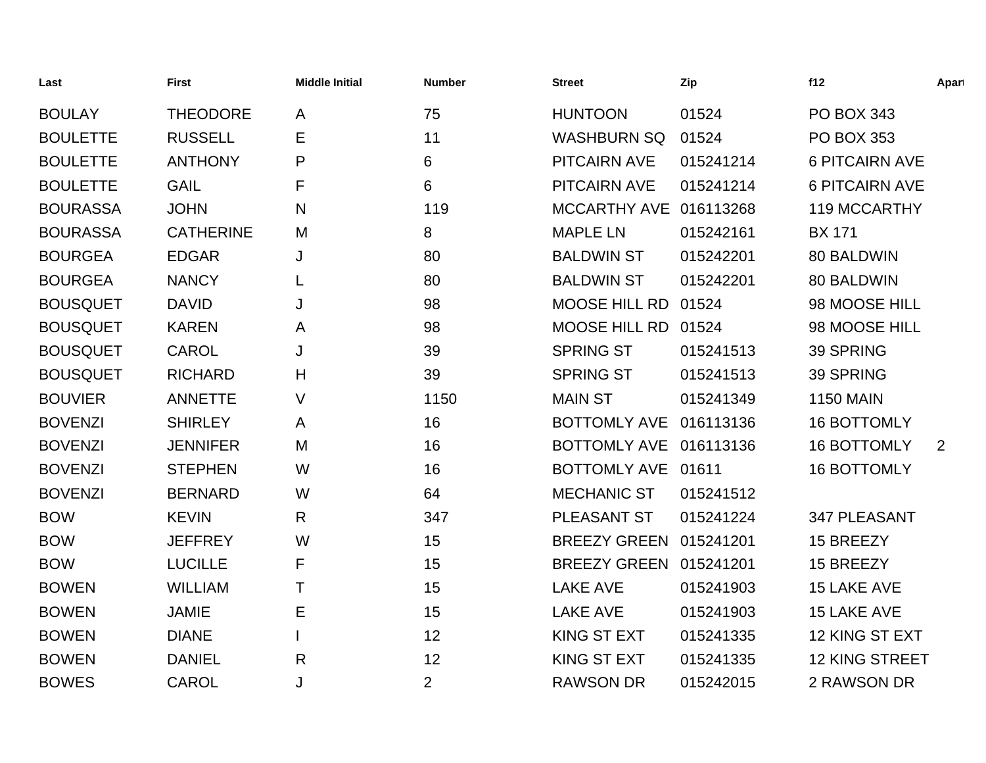| Last            | <b>First</b>     | <b>Middle Initial</b> | <b>Number</b>  | <b>Street</b>          | Zip       | f12                   | Apart |
|-----------------|------------------|-----------------------|----------------|------------------------|-----------|-----------------------|-------|
| <b>BOULAY</b>   | <b>THEODORE</b>  | A                     | 75             | <b>HUNTOON</b>         | 01524     | <b>PO BOX 343</b>     |       |
| <b>BOULETTE</b> | <b>RUSSELL</b>   | E                     | 11             | <b>WASHBURN SQ</b>     | 01524     | <b>PO BOX 353</b>     |       |
| <b>BOULETTE</b> | <b>ANTHONY</b>   | P                     | 6              | <b>PITCAIRN AVE</b>    | 015241214 | <b>6 PITCAIRN AVE</b> |       |
| <b>BOULETTE</b> | <b>GAIL</b>      | F                     | 6              | <b>PITCAIRN AVE</b>    | 015241214 | <b>6 PITCAIRN AVE</b> |       |
| <b>BOURASSA</b> | <b>JOHN</b>      | N                     | 119            | MCCARTHY AVE 016113268 |           | 119 MCCARTHY          |       |
| <b>BOURASSA</b> | <b>CATHERINE</b> | M                     | 8              | <b>MAPLE LN</b>        | 015242161 | <b>BX 171</b>         |       |
| <b>BOURGEA</b>  | <b>EDGAR</b>     | J                     | 80             | <b>BALDWIN ST</b>      | 015242201 | 80 BALDWIN            |       |
| <b>BOURGEA</b>  | <b>NANCY</b>     | L                     | 80             | <b>BALDWIN ST</b>      | 015242201 | 80 BALDWIN            |       |
| <b>BOUSQUET</b> | <b>DAVID</b>     | J                     | 98             | <b>MOOSE HILL RD</b>   | 01524     | 98 MOOSE HILL         |       |
| <b>BOUSQUET</b> | <b>KAREN</b>     | A                     | 98             | MOOSE HILL RD 01524    |           | 98 MOOSE HILL         |       |
| <b>BOUSQUET</b> | <b>CAROL</b>     | J                     | 39             | <b>SPRING ST</b>       | 015241513 | 39 SPRING             |       |
| <b>BOUSQUET</b> | <b>RICHARD</b>   | H                     | 39             | <b>SPRING ST</b>       | 015241513 | 39 SPRING             |       |
| <b>BOUVIER</b>  | <b>ANNETTE</b>   | V                     | 1150           | <b>MAIN ST</b>         | 015241349 | <b>1150 MAIN</b>      |       |
| <b>BOVENZI</b>  | <b>SHIRLEY</b>   | A                     | 16             | <b>BOTTOMLY AVE</b>    | 016113136 | <b>16 BOTTOMLY</b>    |       |
| <b>BOVENZI</b>  | <b>JENNIFER</b>  | M                     | 16             | BOTTOMLY AVE 016113136 |           | <b>16 BOTTOMLY</b>    | 2     |
| <b>BOVENZI</b>  | <b>STEPHEN</b>   | W                     | 16             | <b>BOTTOMLY AVE</b>    | 01611     | <b>16 BOTTOMLY</b>    |       |
| <b>BOVENZI</b>  | <b>BERNARD</b>   | W                     | 64             | <b>MECHANIC ST</b>     | 015241512 |                       |       |
| <b>BOW</b>      | <b>KEVIN</b>     | R                     | 347            | PLEASANT ST            | 015241224 | 347 PLEASANT          |       |
| <b>BOW</b>      | <b>JEFFREY</b>   | W                     | 15             | BREEZY GREEN 015241201 |           | 15 BREEZY             |       |
| <b>BOW</b>      | <b>LUCILLE</b>   | F                     | 15             | BREEZY GREEN 015241201 |           | 15 BREEZY             |       |
| <b>BOWEN</b>    | <b>WILLIAM</b>   | Τ                     | 15             | <b>LAKE AVE</b>        | 015241903 | 15 LAKE AVE           |       |
| <b>BOWEN</b>    | <b>JAMIE</b>     | E                     | 15             | <b>LAKE AVE</b>        | 015241903 | 15 LAKE AVE           |       |
| <b>BOWEN</b>    | <b>DIANE</b>     |                       | 12             | <b>KING ST EXT</b>     | 015241335 | 12 KING ST EXT        |       |
| <b>BOWEN</b>    | <b>DANIEL</b>    | $\mathsf{R}$          | 12             | <b>KING ST EXT</b>     | 015241335 | <b>12 KING STREET</b> |       |
| <b>BOWES</b>    | <b>CAROL</b>     | J                     | $\overline{2}$ | <b>RAWSON DR</b>       | 015242015 | 2 RAWSON DR           |       |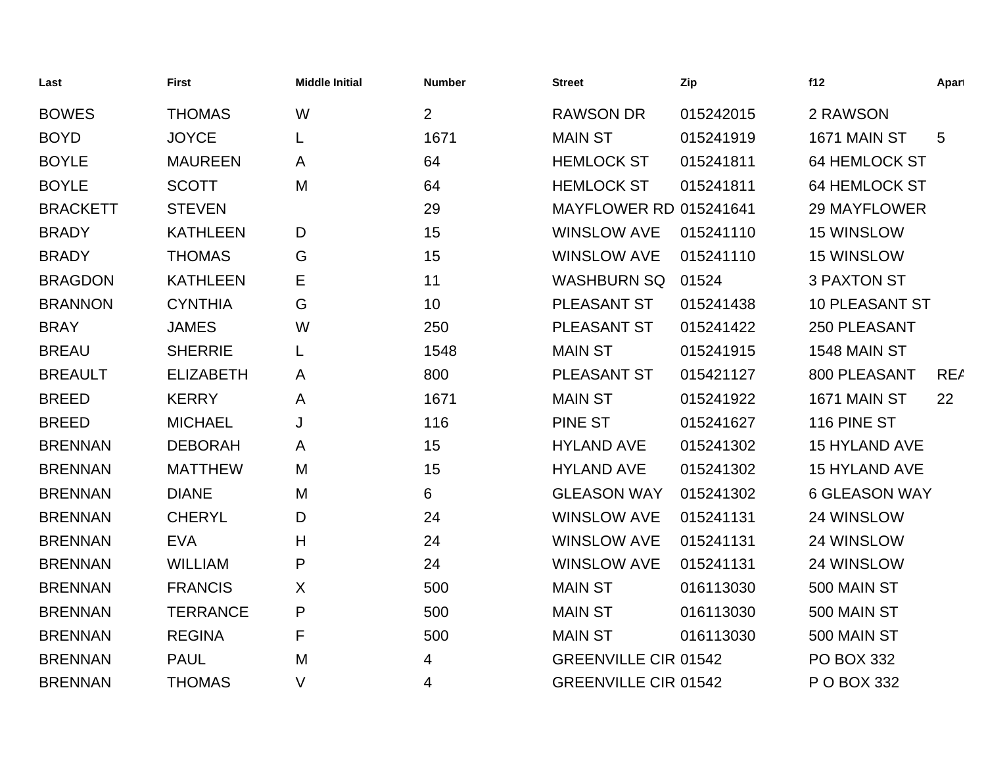| Last            | <b>First</b>     | <b>Middle Initial</b> | <b>Number</b>  | <b>Street</b>                 | Zip       | f12                   | Apart           |
|-----------------|------------------|-----------------------|----------------|-------------------------------|-----------|-----------------------|-----------------|
| <b>BOWES</b>    | <b>THOMAS</b>    | W                     | $\overline{2}$ | <b>RAWSON DR</b>              | 015242015 | 2 RAWSON              |                 |
| <b>BOYD</b>     | <b>JOYCE</b>     | L                     | 1671           | <b>MAIN ST</b>                | 015241919 | 1671 MAIN ST          | $5\phantom{.0}$ |
| <b>BOYLE</b>    | <b>MAUREEN</b>   | A                     | 64             | <b>HEMLOCK ST</b>             | 015241811 | <b>64 HEMLOCK ST</b>  |                 |
| <b>BOYLE</b>    | <b>SCOTT</b>     | M                     | 64             | <b>HEMLOCK ST</b>             | 015241811 | <b>64 HEMLOCK ST</b>  |                 |
| <b>BRACKETT</b> | <b>STEVEN</b>    |                       | 29             | <b>MAYFLOWER RD 015241641</b> |           | <b>29 MAYFLOWER</b>   |                 |
| <b>BRADY</b>    | <b>KATHLEEN</b>  | D                     | 15             | <b>WINSLOW AVE</b>            | 015241110 | <b>15 WINSLOW</b>     |                 |
| <b>BRADY</b>    | <b>THOMAS</b>    | G                     | 15             | <b>WINSLOW AVE</b>            | 015241110 | 15 WINSLOW            |                 |
| <b>BRAGDON</b>  | <b>KATHLEEN</b>  | Е                     | 11             | <b>WASHBURN SQ</b>            | 01524     | <b>3 PAXTON ST</b>    |                 |
| <b>BRANNON</b>  | <b>CYNTHIA</b>   | G                     | 10             | PLEASANT ST                   | 015241438 | <b>10 PLEASANT ST</b> |                 |
| <b>BRAY</b>     | <b>JAMES</b>     | W                     | 250            | PLEASANT ST                   | 015241422 | 250 PLEASANT          |                 |
| <b>BREAU</b>    | <b>SHERRIE</b>   | L                     | 1548           | <b>MAIN ST</b>                | 015241915 | 1548 MAIN ST          |                 |
| <b>BREAULT</b>  | <b>ELIZABETH</b> | A                     | 800            | PLEASANT ST                   | 015421127 | 800 PLEASANT          | <b>REA</b>      |
| <b>BREED</b>    | <b>KERRY</b>     | A                     | 1671           | <b>MAIN ST</b>                | 015241922 | 1671 MAIN ST          | 22              |
| <b>BREED</b>    | <b>MICHAEL</b>   | J                     | 116            | <b>PINE ST</b>                | 015241627 | 116 PINE ST           |                 |
| <b>BRENNAN</b>  | <b>DEBORAH</b>   | A                     | 15             | <b>HYLAND AVE</b>             | 015241302 | 15 HYLAND AVE         |                 |
| <b>BRENNAN</b>  | <b>MATTHEW</b>   | M                     | 15             | <b>HYLAND AVE</b>             | 015241302 | 15 HYLAND AVE         |                 |
| <b>BRENNAN</b>  | <b>DIANE</b>     | M                     | 6              | <b>GLEASON WAY</b>            | 015241302 | <b>6 GLEASON WAY</b>  |                 |
| <b>BRENNAN</b>  | <b>CHERYL</b>    | D                     | 24             | <b>WINSLOW AVE</b>            | 015241131 | 24 WINSLOW            |                 |
| <b>BRENNAN</b>  | <b>EVA</b>       | H                     | 24             | <b>WINSLOW AVE</b>            | 015241131 | 24 WINSLOW            |                 |
| <b>BRENNAN</b>  | <b>WILLIAM</b>   | P                     | 24             | <b>WINSLOW AVE</b>            | 015241131 | 24 WINSLOW            |                 |
| <b>BRENNAN</b>  | <b>FRANCIS</b>   | X                     | 500            | <b>MAIN ST</b>                | 016113030 | 500 MAIN ST           |                 |
| <b>BRENNAN</b>  | <b>TERRANCE</b>  | P                     | 500            | <b>MAIN ST</b>                | 016113030 | 500 MAIN ST           |                 |
| <b>BRENNAN</b>  | <b>REGINA</b>    | F                     | 500            | <b>MAIN ST</b>                | 016113030 | 500 MAIN ST           |                 |
| <b>BRENNAN</b>  | <b>PAUL</b>      | M                     | 4              | <b>GREENVILLE CIR 01542</b>   |           | <b>PO BOX 332</b>     |                 |
| <b>BRENNAN</b>  | <b>THOMAS</b>    | V                     | 4              | <b>GREENVILLE CIR 01542</b>   |           | P O BOX 332           |                 |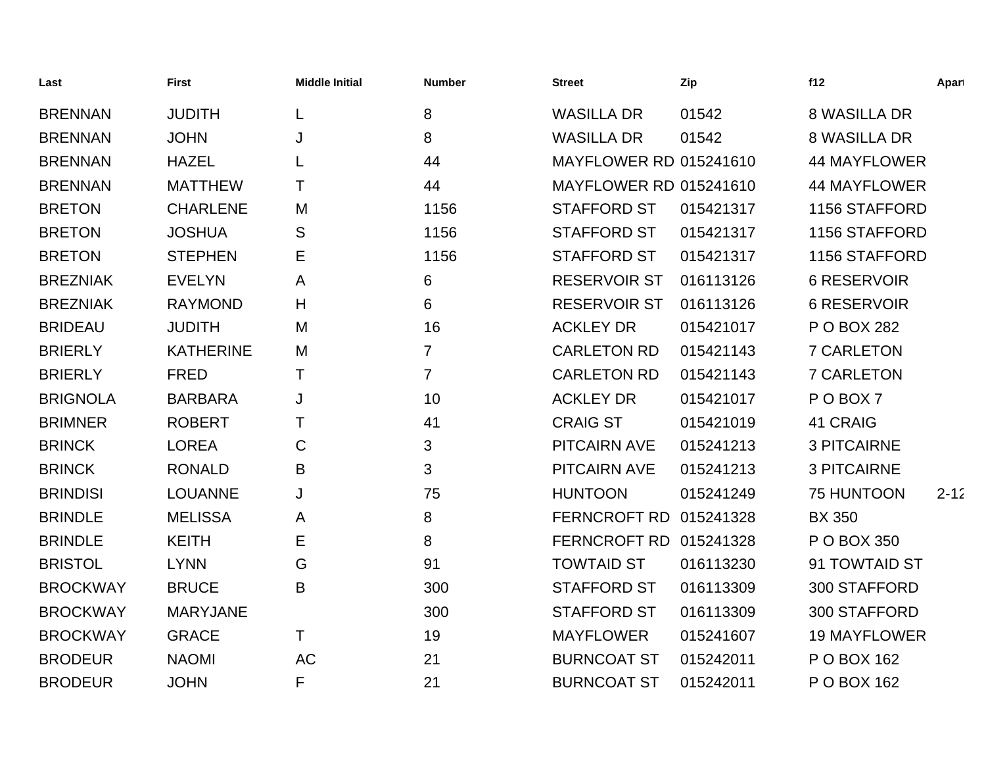| Last            | First            | <b>Middle Initial</b> | <b>Number</b>  | <b>Street</b>                 | Zip       | f12                 | Apart    |
|-----------------|------------------|-----------------------|----------------|-------------------------------|-----------|---------------------|----------|
| <b>BRENNAN</b>  | <b>JUDITH</b>    | L                     | 8              | <b>WASILLA DR</b>             | 01542     | <b>8 WASILLA DR</b> |          |
| <b>BRENNAN</b>  | <b>JOHN</b>      | J                     | 8              | <b>WASILLA DR</b>             | 01542     | <b>8 WASILLA DR</b> |          |
| <b>BRENNAN</b>  | <b>HAZEL</b>     | L                     | 44             | <b>MAYFLOWER RD 015241610</b> |           | <b>44 MAYFLOWER</b> |          |
| <b>BRENNAN</b>  | <b>MATTHEW</b>   | т                     | 44             | <b>MAYFLOWER RD 015241610</b> |           | <b>44 MAYFLOWER</b> |          |
| <b>BRETON</b>   | <b>CHARLENE</b>  | M                     | 1156           | <b>STAFFORD ST</b>            | 015421317 | 1156 STAFFORD       |          |
| <b>BRETON</b>   | <b>JOSHUA</b>    | S                     | 1156           | <b>STAFFORD ST</b>            | 015421317 | 1156 STAFFORD       |          |
| <b>BRETON</b>   | <b>STEPHEN</b>   | Е                     | 1156           | <b>STAFFORD ST</b>            | 015421317 | 1156 STAFFORD       |          |
| <b>BREZNIAK</b> | <b>EVELYN</b>    | A                     | 6              | <b>RESERVOIR ST</b>           | 016113126 | <b>6 RESERVOIR</b>  |          |
| <b>BREZNIAK</b> | <b>RAYMOND</b>   | H                     | 6              | <b>RESERVOIR ST</b>           | 016113126 | <b>6 RESERVOIR</b>  |          |
| <b>BRIDEAU</b>  | <b>JUDITH</b>    | M                     | 16             | <b>ACKLEY DR</b>              | 015421017 | P O BOX 282         |          |
| <b>BRIERLY</b>  | <b>KATHERINE</b> | M                     | $\overline{7}$ | <b>CARLETON RD</b>            | 015421143 | <b>7 CARLETON</b>   |          |
| <b>BRIERLY</b>  | <b>FRED</b>      | Т                     | $\overline{7}$ | <b>CARLETON RD</b>            | 015421143 | <b>7 CARLETON</b>   |          |
| <b>BRIGNOLA</b> | <b>BARBARA</b>   | J                     | 10             | <b>ACKLEY DR</b>              | 015421017 | POBOX7              |          |
| <b>BRIMNER</b>  | <b>ROBERT</b>    | т                     | 41             | <b>CRAIG ST</b>               | 015421019 | 41 CRAIG            |          |
| <b>BRINCK</b>   | <b>LOREA</b>     | C                     | 3              | <b>PITCAIRN AVE</b>           | 015241213 | <b>3 PITCAIRNE</b>  |          |
| <b>BRINCK</b>   | <b>RONALD</b>    | B                     | 3              | <b>PITCAIRN AVE</b>           | 015241213 | <b>3 PITCAIRNE</b>  |          |
| <b>BRINDISI</b> | <b>LOUANNE</b>   | J                     | 75             | <b>HUNTOON</b>                | 015241249 | 75 HUNTOON          | $2 - 12$ |
| <b>BRINDLE</b>  | <b>MELISSA</b>   | A                     | 8              | <b>FERNCROFT RD</b>           | 015241328 | <b>BX 350</b>       |          |
| <b>BRINDLE</b>  | <b>KEITH</b>     | Е                     | 8              | <b>FERNCROFT RD</b>           | 015241328 | P O BOX 350         |          |
| <b>BRISTOL</b>  | <b>LYNN</b>      | G                     | 91             | <b>TOWTAID ST</b>             | 016113230 | 91 TOWTAID ST       |          |
| <b>BROCKWAY</b> | <b>BRUCE</b>     | B                     | 300            | <b>STAFFORD ST</b>            | 016113309 | 300 STAFFORD        |          |
| <b>BROCKWAY</b> | <b>MARYJANE</b>  |                       | 300            | <b>STAFFORD ST</b>            | 016113309 | 300 STAFFORD        |          |
| <b>BROCKWAY</b> | <b>GRACE</b>     | т                     | 19             | <b>MAYFLOWER</b>              | 015241607 | <b>19 MAYFLOWER</b> |          |
| <b>BRODEUR</b>  | <b>NAOMI</b>     | <b>AC</b>             | 21             | <b>BURNCOAT ST</b>            | 015242011 | P O BOX 162         |          |
| <b>BRODEUR</b>  | <b>JOHN</b>      | F                     | 21             | <b>BURNCOAT ST</b>            | 015242011 | P O BOX 162         |          |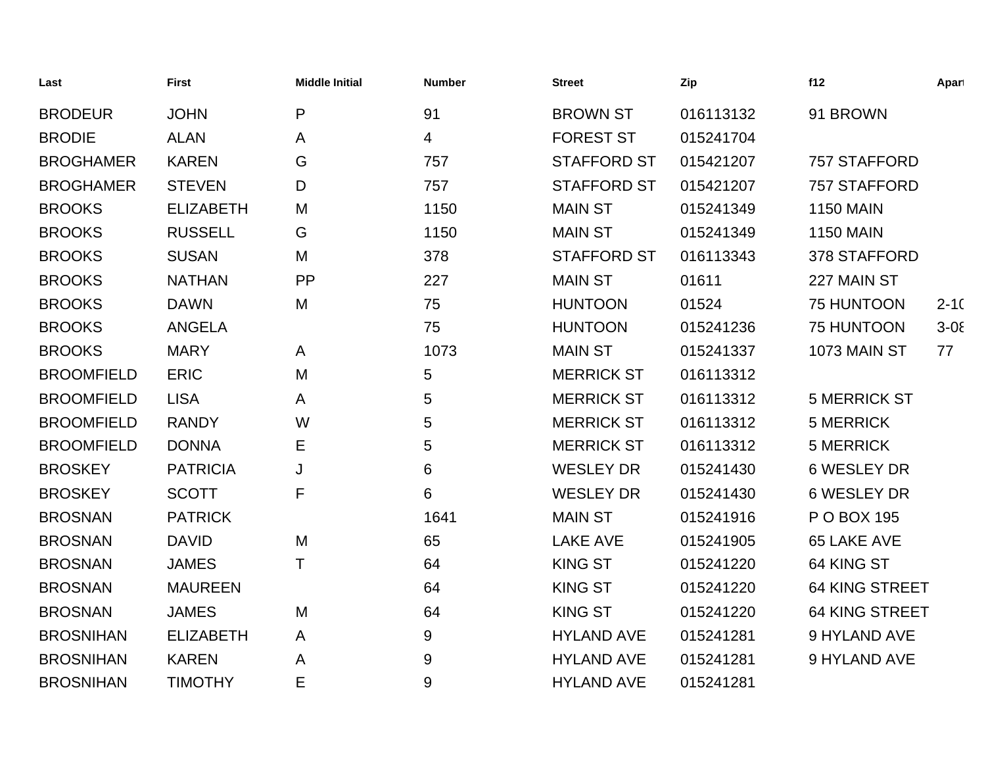| Last              | <b>First</b>     | <b>Middle Initial</b> | <b>Number</b>  | <b>Street</b>      | Zip       | f12                   | Apart      |
|-------------------|------------------|-----------------------|----------------|--------------------|-----------|-----------------------|------------|
| <b>BRODEUR</b>    | <b>JOHN</b>      | P                     | 91             | <b>BROWN ST</b>    | 016113132 | 91 BROWN              |            |
| <b>BRODIE</b>     | <b>ALAN</b>      | $\mathsf{A}$          | $\overline{4}$ | <b>FOREST ST</b>   | 015241704 |                       |            |
| <b>BROGHAMER</b>  | <b>KAREN</b>     | G                     | 757            | <b>STAFFORD ST</b> | 015421207 | 757 STAFFORD          |            |
| <b>BROGHAMER</b>  | <b>STEVEN</b>    | D                     | 757            | <b>STAFFORD ST</b> | 015421207 | 757 STAFFORD          |            |
| <b>BROOKS</b>     | <b>ELIZABETH</b> | M                     | 1150           | <b>MAIN ST</b>     | 015241349 | <b>1150 MAIN</b>      |            |
| <b>BROOKS</b>     | <b>RUSSELL</b>   | G                     | 1150           | <b>MAIN ST</b>     | 015241349 | <b>1150 MAIN</b>      |            |
| <b>BROOKS</b>     | <b>SUSAN</b>     | M                     | 378            | <b>STAFFORD ST</b> | 016113343 | 378 STAFFORD          |            |
| <b>BROOKS</b>     | <b>NATHAN</b>    | PP                    | 227            | <b>MAIN ST</b>     | 01611     | 227 MAIN ST           |            |
| <b>BROOKS</b>     | <b>DAWN</b>      | M                     | 75             | <b>HUNTOON</b>     | 01524     | 75 HUNTOON            | $2 - 10$   |
| <b>BROOKS</b>     | <b>ANGELA</b>    |                       | 75             | <b>HUNTOON</b>     | 015241236 | 75 HUNTOON            | $3 - 0\xi$ |
| <b>BROOKS</b>     | <b>MARY</b>      | A                     | 1073           | <b>MAIN ST</b>     | 015241337 | 1073 MAIN ST          | 77         |
| <b>BROOMFIELD</b> | <b>ERIC</b>      | M                     | 5              | <b>MERRICK ST</b>  | 016113312 |                       |            |
| <b>BROOMFIELD</b> | <b>LISA</b>      | A                     | 5              | <b>MERRICK ST</b>  | 016113312 | <b>5 MERRICK ST</b>   |            |
| <b>BROOMFIELD</b> | <b>RANDY</b>     | W                     | 5              | <b>MERRICK ST</b>  | 016113312 | <b>5 MERRICK</b>      |            |
| <b>BROOMFIELD</b> | <b>DONNA</b>     | Е                     | 5              | <b>MERRICK ST</b>  | 016113312 | <b>5 MERRICK</b>      |            |
| <b>BROSKEY</b>    | <b>PATRICIA</b>  | J                     | 6              | <b>WESLEY DR</b>   | 015241430 | <b>6 WESLEY DR</b>    |            |
| <b>BROSKEY</b>    | <b>SCOTT</b>     | F                     | 6              | <b>WESLEY DR</b>   | 015241430 | <b>6 WESLEY DR</b>    |            |
| <b>BROSNAN</b>    | <b>PATRICK</b>   |                       | 1641           | <b>MAIN ST</b>     | 015241916 | P O BOX 195           |            |
| <b>BROSNAN</b>    | <b>DAVID</b>     | M                     | 65             | <b>LAKE AVE</b>    | 015241905 | 65 LAKE AVE           |            |
| <b>BROSNAN</b>    | <b>JAMES</b>     | Τ                     | 64             | <b>KING ST</b>     | 015241220 | 64 KING ST            |            |
| <b>BROSNAN</b>    | <b>MAUREEN</b>   |                       | 64             | <b>KING ST</b>     | 015241220 | <b>64 KING STREET</b> |            |
| <b>BROSNAN</b>    | <b>JAMES</b>     | M                     | 64             | <b>KING ST</b>     | 015241220 | <b>64 KING STREET</b> |            |
| <b>BROSNIHAN</b>  | <b>ELIZABETH</b> | A                     | 9              | <b>HYLAND AVE</b>  | 015241281 | 9 HYLAND AVE          |            |
| <b>BROSNIHAN</b>  | <b>KAREN</b>     | A                     | 9              | <b>HYLAND AVE</b>  | 015241281 | 9 HYLAND AVE          |            |
| <b>BROSNIHAN</b>  | <b>TIMOTHY</b>   | E                     | 9              | <b>HYLAND AVE</b>  | 015241281 |                       |            |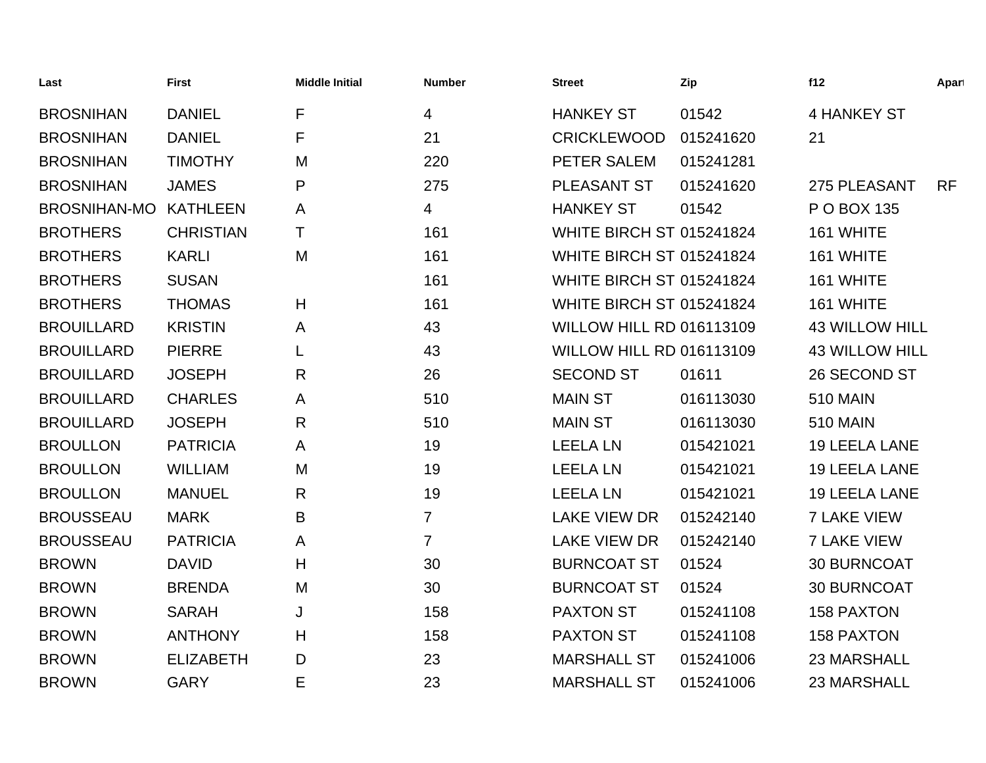| Last                | <b>First</b>     | <b>Middle Initial</b> | <b>Number</b>  | <b>Street</b>                   | Zip       | f12                   | Apart     |
|---------------------|------------------|-----------------------|----------------|---------------------------------|-----------|-----------------------|-----------|
| <b>BROSNIHAN</b>    | <b>DANIEL</b>    | F                     | 4              | <b>HANKEY ST</b>                | 01542     | 4 HANKEY ST           |           |
| <b>BROSNIHAN</b>    | <b>DANIEL</b>    | F                     | 21             | <b>CRICKLEWOOD</b>              | 015241620 | 21                    |           |
| <b>BROSNIHAN</b>    | <b>TIMOTHY</b>   | M                     | 220            | PETER SALEM                     | 015241281 |                       |           |
| <b>BROSNIHAN</b>    | <b>JAMES</b>     | P                     | 275            | PLEASANT ST                     | 015241620 | 275 PLEASANT          | <b>RF</b> |
| <b>BROSNIHAN-MO</b> | <b>KATHLEEN</b>  | A                     | 4              | <b>HANKEY ST</b>                | 01542     | P O BOX 135           |           |
| <b>BROTHERS</b>     | <b>CHRISTIAN</b> | T.                    | 161            | <b>WHITE BIRCH ST 015241824</b> |           | 161 WHITE             |           |
| <b>BROTHERS</b>     | <b>KARLI</b>     | M                     | 161            | <b>WHITE BIRCH ST 015241824</b> |           | 161 WHITE             |           |
| <b>BROTHERS</b>     | <b>SUSAN</b>     |                       | 161            | <b>WHITE BIRCH ST 015241824</b> |           | 161 WHITE             |           |
| <b>BROTHERS</b>     | <b>THOMAS</b>    | H                     | 161            | <b>WHITE BIRCH ST 015241824</b> |           | 161 WHITE             |           |
| <b>BROUILLARD</b>   | <b>KRISTIN</b>   | A                     | 43             | <b>WILLOW HILL RD 016113109</b> |           | <b>43 WILLOW HILL</b> |           |
| <b>BROUILLARD</b>   | <b>PIERRE</b>    |                       | 43             | <b>WILLOW HILL RD 016113109</b> |           | <b>43 WILLOW HILL</b> |           |
| <b>BROUILLARD</b>   | <b>JOSEPH</b>    | R                     | 26             | <b>SECOND ST</b>                | 01611     | 26 SECOND ST          |           |
| <b>BROUILLARD</b>   | <b>CHARLES</b>   | A                     | 510            | <b>MAIN ST</b>                  | 016113030 | <b>510 MAIN</b>       |           |
| <b>BROUILLARD</b>   | <b>JOSEPH</b>    | R                     | 510            | <b>MAIN ST</b>                  | 016113030 | <b>510 MAIN</b>       |           |
| <b>BROULLON</b>     | <b>PATRICIA</b>  | A                     | 19             | <b>LEELA LN</b>                 | 015421021 | <b>19 LEELA LANE</b>  |           |
| <b>BROULLON</b>     | <b>WILLIAM</b>   | M                     | 19             | <b>LEELA LN</b>                 | 015421021 | <b>19 LEELA LANE</b>  |           |
| <b>BROULLON</b>     | <b>MANUEL</b>    | R                     | 19             | <b>LEELA LN</b>                 | 015421021 | <b>19 LEELA LANE</b>  |           |
| <b>BROUSSEAU</b>    | <b>MARK</b>      | B                     | $\overline{7}$ | <b>LAKE VIEW DR</b>             | 015242140 | <b>7 LAKE VIEW</b>    |           |
| <b>BROUSSEAU</b>    | <b>PATRICIA</b>  | A                     | $\overline{7}$ | <b>LAKE VIEW DR</b>             | 015242140 | <b>7 LAKE VIEW</b>    |           |
| <b>BROWN</b>        | <b>DAVID</b>     | H                     | 30             | <b>BURNCOAT ST</b>              | 01524     | <b>30 BURNCOAT</b>    |           |
| <b>BROWN</b>        | <b>BRENDA</b>    | M                     | 30             | <b>BURNCOAT ST</b>              | 01524     | <b>30 BURNCOAT</b>    |           |
| <b>BROWN</b>        | <b>SARAH</b>     | J                     | 158            | <b>PAXTON ST</b>                | 015241108 | <b>158 PAXTON</b>     |           |
| <b>BROWN</b>        | <b>ANTHONY</b>   | H                     | 158            | <b>PAXTON ST</b>                | 015241108 | <b>158 PAXTON</b>     |           |
| <b>BROWN</b>        | <b>ELIZABETH</b> | D                     | 23             | <b>MARSHALL ST</b>              | 015241006 | 23 MARSHALL           |           |
| <b>BROWN</b>        | <b>GARY</b>      | Е                     | 23             | <b>MARSHALL ST</b>              | 015241006 | <b>23 MARSHALL</b>    |           |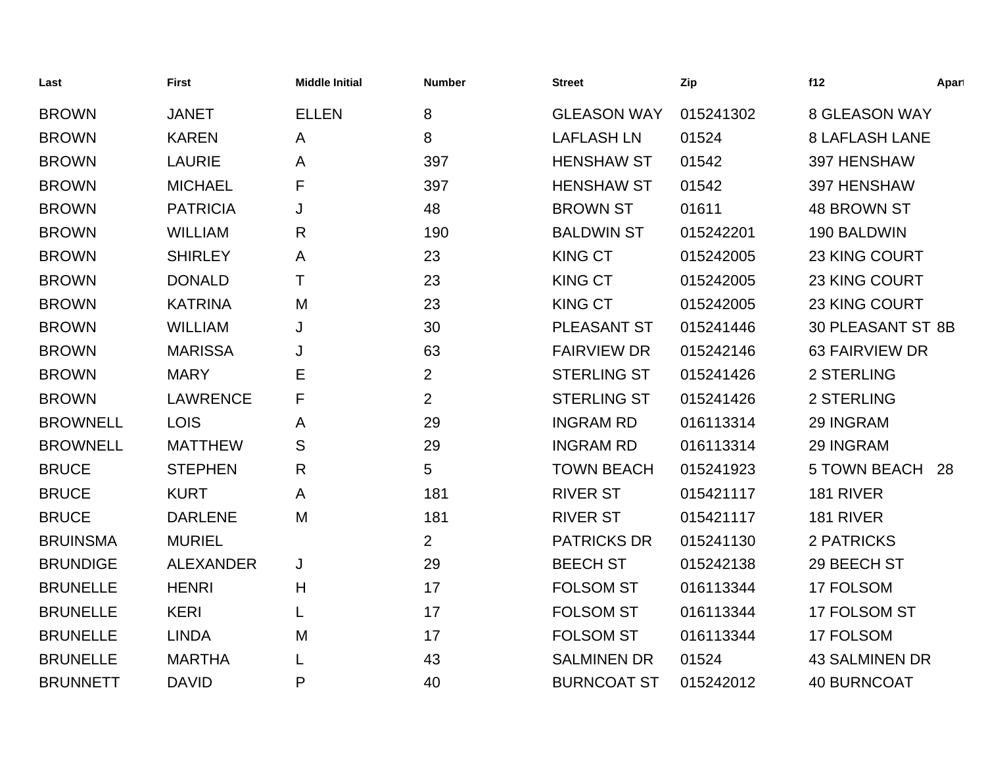| Last            | <b>First</b>     | <b>Middle Initial</b> | <b>Number</b>  | <b>Street</b>      | Zip       | f12                   | Apart |
|-----------------|------------------|-----------------------|----------------|--------------------|-----------|-----------------------|-------|
| <b>BROWN</b>    | <b>JANET</b>     | <b>ELLEN</b>          | 8              | <b>GLEASON WAY</b> | 015241302 | <b>8 GLEASON WAY</b>  |       |
| <b>BROWN</b>    | <b>KAREN</b>     | A                     | 8              | <b>LAFLASH LN</b>  | 01524     | <b>8 LAFLASH LANE</b> |       |
| <b>BROWN</b>    | <b>LAURIE</b>    | A                     | 397            | <b>HENSHAW ST</b>  | 01542     | 397 HENSHAW           |       |
| <b>BROWN</b>    | <b>MICHAEL</b>   | F                     | 397            | <b>HENSHAW ST</b>  | 01542     | 397 HENSHAW           |       |
| <b>BROWN</b>    | <b>PATRICIA</b>  | J                     | 48             | <b>BROWN ST</b>    | 01611     | <b>48 BROWN ST</b>    |       |
| <b>BROWN</b>    | <b>WILLIAM</b>   | R                     | 190            | <b>BALDWIN ST</b>  | 015242201 | 190 BALDWIN           |       |
| <b>BROWN</b>    | <b>SHIRLEY</b>   | A                     | 23             | <b>KING CT</b>     | 015242005 | 23 KING COURT         |       |
| <b>BROWN</b>    | <b>DONALD</b>    | т                     | 23             | <b>KING CT</b>     | 015242005 | 23 KING COURT         |       |
| <b>BROWN</b>    | <b>KATRINA</b>   | M                     | 23             | <b>KING CT</b>     | 015242005 | 23 KING COURT         |       |
| <b>BROWN</b>    | <b>WILLIAM</b>   | J                     | 30             | <b>PLEASANT ST</b> | 015241446 | 30 PLEASANT ST 8B     |       |
| <b>BROWN</b>    | <b>MARISSA</b>   | J                     | 63             | <b>FAIRVIEW DR</b> | 015242146 | 63 FAIRVIEW DR        |       |
| <b>BROWN</b>    | <b>MARY</b>      | Ε                     | $\overline{2}$ | <b>STERLING ST</b> | 015241426 | 2 STERLING            |       |
| <b>BROWN</b>    | <b>LAWRENCE</b>  | F                     | $\overline{2}$ | <b>STERLING ST</b> | 015241426 | 2 STERLING            |       |
| <b>BROWNELL</b> | <b>LOIS</b>      | Α                     | 29             | <b>INGRAM RD</b>   | 016113314 | 29 INGRAM             |       |
| <b>BROWNELL</b> | <b>MATTHEW</b>   | S                     | 29             | <b>INGRAM RD</b>   | 016113314 | 29 INGRAM             |       |
| <b>BRUCE</b>    | <b>STEPHEN</b>   | $\mathsf{R}$          | 5              | <b>TOWN BEACH</b>  | 015241923 | <b>5 TOWN BEACH</b>   | 28    |
| <b>BRUCE</b>    | <b>KURT</b>      | A                     | 181            | <b>RIVER ST</b>    | 015421117 | 181 RIVER             |       |
| <b>BRUCE</b>    | <b>DARLENE</b>   | M                     | 181            | <b>RIVER ST</b>    | 015421117 | 181 RIVER             |       |
| <b>BRUINSMA</b> | <b>MURIEL</b>    |                       | $\overline{2}$ | <b>PATRICKS DR</b> | 015241130 | 2 PATRICKS            |       |
| <b>BRUNDIGE</b> | <b>ALEXANDER</b> | J                     | 29             | <b>BEECH ST</b>    | 015242138 | 29 BEECH ST           |       |
| <b>BRUNELLE</b> | <b>HENRI</b>     | H                     | 17             | <b>FOLSOM ST</b>   | 016113344 | 17 FOLSOM             |       |
| <b>BRUNELLE</b> | <b>KERI</b>      | L                     | 17             | <b>FOLSOM ST</b>   | 016113344 | 17 FOLSOM ST          |       |
| <b>BRUNELLE</b> | <b>LINDA</b>     | M                     | 17             | <b>FOLSOM ST</b>   | 016113344 | 17 FOLSOM             |       |
| <b>BRUNELLE</b> | <b>MARTHA</b>    |                       | 43             | <b>SALMINEN DR</b> | 01524     | <b>43 SALMINEN DR</b> |       |
| <b>BRUNNETT</b> | <b>DAVID</b>     | P                     | 40             | <b>BURNCOAT ST</b> | 015242012 | <b>40 BURNCOAT</b>    |       |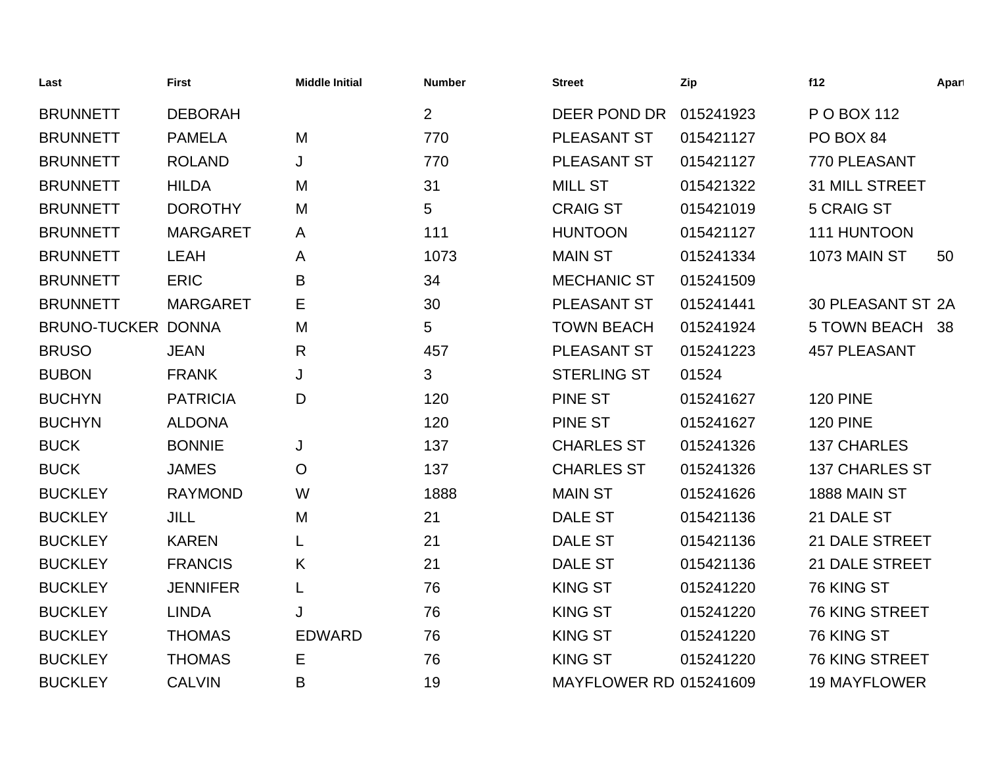| Last               | <b>First</b>    | <b>Middle Initial</b> | <b>Number</b>  | <b>Street</b>                 | Zip       | f12                   | Apart |
|--------------------|-----------------|-----------------------|----------------|-------------------------------|-----------|-----------------------|-------|
| <b>BRUNNETT</b>    | <b>DEBORAH</b>  |                       | $\overline{2}$ | DEER POND DR                  | 015241923 | P O BOX 112           |       |
| <b>BRUNNETT</b>    | <b>PAMELA</b>   | M                     | 770            | <b>PLEASANT ST</b>            | 015421127 | PO BOX 84             |       |
| <b>BRUNNETT</b>    | <b>ROLAND</b>   | J                     | 770            | PLEASANT ST                   | 015421127 | 770 PLEASANT          |       |
| <b>BRUNNETT</b>    | <b>HILDA</b>    | M                     | 31             | <b>MILL ST</b>                | 015421322 | <b>31 MILL STREET</b> |       |
| <b>BRUNNETT</b>    | <b>DOROTHY</b>  | M                     | 5              | <b>CRAIG ST</b>               | 015421019 | <b>5 CRAIG ST</b>     |       |
| <b>BRUNNETT</b>    | <b>MARGARET</b> | A                     | 111            | <b>HUNTOON</b>                | 015421127 | 111 HUNTOON           |       |
| <b>BRUNNETT</b>    | <b>LEAH</b>     | A                     | 1073           | <b>MAIN ST</b>                | 015241334 | 1073 MAIN ST          | 50    |
| <b>BRUNNETT</b>    | <b>ERIC</b>     | B                     | 34             | <b>MECHANIC ST</b>            | 015241509 |                       |       |
| <b>BRUNNETT</b>    | <b>MARGARET</b> | Е                     | 30             | PLEASANT ST                   | 015241441 | 30 PLEASANT ST 2A     |       |
| BRUNO-TUCKER DONNA |                 | M                     | 5              | <b>TOWN BEACH</b>             | 015241924 | 5 TOWN BEACH 38       |       |
| <b>BRUSO</b>       | <b>JEAN</b>     | R                     | 457            | PLEASANT ST                   | 015241223 | <b>457 PLEASANT</b>   |       |
| <b>BUBON</b>       | <b>FRANK</b>    | J                     | 3              | <b>STERLING ST</b>            | 01524     |                       |       |
| <b>BUCHYN</b>      | <b>PATRICIA</b> | D                     | 120            | <b>PINE ST</b>                | 015241627 | <b>120 PINE</b>       |       |
| <b>BUCHYN</b>      | <b>ALDONA</b>   |                       | 120            | <b>PINE ST</b>                | 015241627 | <b>120 PINE</b>       |       |
| <b>BUCK</b>        | <b>BONNIE</b>   | J                     | 137            | <b>CHARLES ST</b>             | 015241326 | <b>137 CHARLES</b>    |       |
| <b>BUCK</b>        | <b>JAMES</b>    | $\mathsf{O}$          | 137            | <b>CHARLES ST</b>             | 015241326 | <b>137 CHARLES ST</b> |       |
| <b>BUCKLEY</b>     | <b>RAYMOND</b>  | W                     | 1888           | <b>MAIN ST</b>                | 015241626 | 1888 MAIN ST          |       |
| <b>BUCKLEY</b>     | <b>JILL</b>     | M                     | 21             | <b>DALE ST</b>                | 015421136 | 21 DALE ST            |       |
| <b>BUCKLEY</b>     | <b>KAREN</b>    |                       | 21             | <b>DALE ST</b>                | 015421136 | <b>21 DALE STREET</b> |       |
| <b>BUCKLEY</b>     | <b>FRANCIS</b>  | K                     | 21             | <b>DALE ST</b>                | 015421136 | <b>21 DALE STREET</b> |       |
| <b>BUCKLEY</b>     | <b>JENNIFER</b> | L                     | 76             | <b>KING ST</b>                | 015241220 | 76 KING ST            |       |
| <b>BUCKLEY</b>     | <b>LINDA</b>    | J                     | 76             | <b>KING ST</b>                | 015241220 | 76 KING STREET        |       |
| <b>BUCKLEY</b>     | <b>THOMAS</b>   | <b>EDWARD</b>         | 76             | <b>KING ST</b>                | 015241220 | 76 KING ST            |       |
| <b>BUCKLEY</b>     | <b>THOMAS</b>   | E                     | 76             | <b>KING ST</b>                | 015241220 | 76 KING STREET        |       |
| <b>BUCKLEY</b>     | <b>CALVIN</b>   | B                     | 19             | <b>MAYFLOWER RD 015241609</b> |           | <b>19 MAYFLOWER</b>   |       |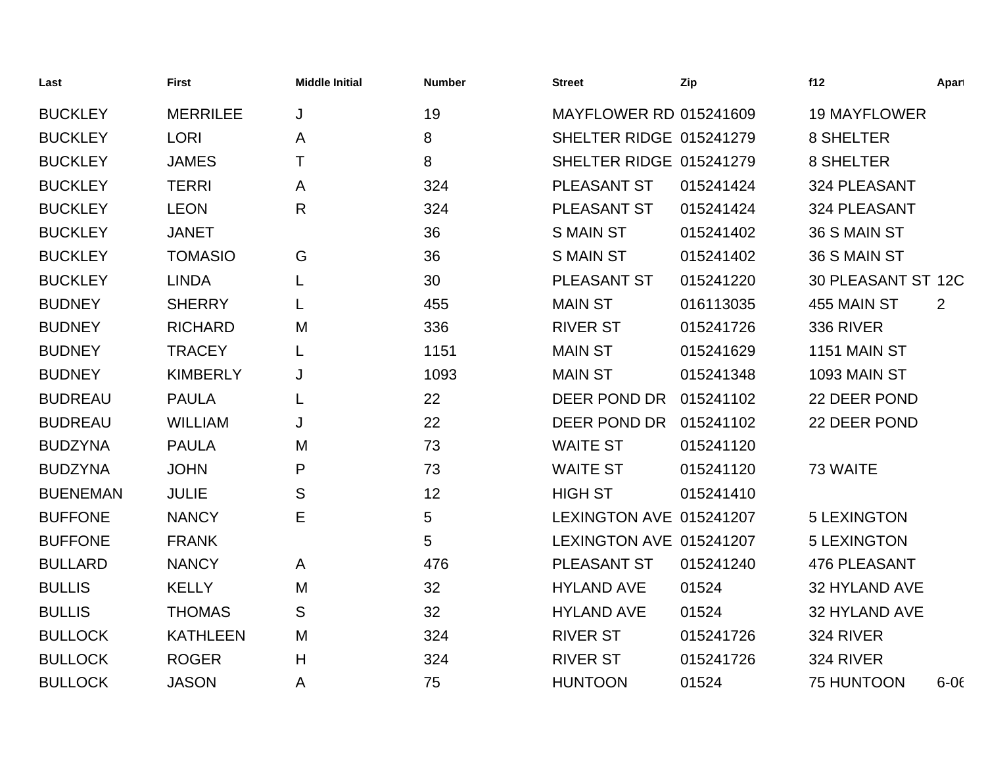| Last            | <b>First</b>    | <b>Middle Initial</b> | <b>Number</b> | <b>Street</b>                 | Zip       | f12                 | Apart    |
|-----------------|-----------------|-----------------------|---------------|-------------------------------|-----------|---------------------|----------|
| <b>BUCKLEY</b>  | <b>MERRILEE</b> | J                     | 19            | <b>MAYFLOWER RD 015241609</b> |           | <b>19 MAYFLOWER</b> |          |
| <b>BUCKLEY</b>  | <b>LORI</b>     | A                     | 8             | SHELTER RIDGE 015241279       |           | 8 SHELTER           |          |
| <b>BUCKLEY</b>  | <b>JAMES</b>    | T.                    | 8             | SHELTER RIDGE 015241279       |           | 8 SHELTER           |          |
| <b>BUCKLEY</b>  | <b>TERRI</b>    | A                     | 324           | PLEASANT ST                   | 015241424 | 324 PLEASANT        |          |
| <b>BUCKLEY</b>  | <b>LEON</b>     | R                     | 324           | PLEASANT ST                   | 015241424 | 324 PLEASANT        |          |
| <b>BUCKLEY</b>  | <b>JANET</b>    |                       | 36            | <b>S MAIN ST</b>              | 015241402 | 36 S MAIN ST        |          |
| <b>BUCKLEY</b>  | <b>TOMASIO</b>  | G                     | 36            | <b>S MAIN ST</b>              | 015241402 | 36 S MAIN ST        |          |
| <b>BUCKLEY</b>  | <b>LINDA</b>    |                       | 30            | PLEASANT ST                   | 015241220 | 30 PLEASANT ST 12C  |          |
| <b>BUDNEY</b>   | <b>SHERRY</b>   | L                     | 455           | <b>MAIN ST</b>                | 016113035 | 455 MAIN ST         | 2        |
| <b>BUDNEY</b>   | <b>RICHARD</b>  | M                     | 336           | <b>RIVER ST</b>               | 015241726 | 336 RIVER           |          |
| <b>BUDNEY</b>   | <b>TRACEY</b>   |                       | 1151          | <b>MAIN ST</b>                | 015241629 | 1151 MAIN ST        |          |
| <b>BUDNEY</b>   | <b>KIMBERLY</b> | J                     | 1093          | <b>MAIN ST</b>                | 015241348 | 1093 MAIN ST        |          |
| <b>BUDREAU</b>  | <b>PAULA</b>    |                       | 22            | DEER POND DR                  | 015241102 | 22 DEER POND        |          |
| <b>BUDREAU</b>  | <b>WILLIAM</b>  | J                     | 22            | DEER POND DR                  | 015241102 | 22 DEER POND        |          |
| <b>BUDZYNA</b>  | <b>PAULA</b>    | M                     | 73            | <b>WAITE ST</b>               | 015241120 |                     |          |
| <b>BUDZYNA</b>  | <b>JOHN</b>     | P                     | 73            | <b>WAITE ST</b>               | 015241120 | 73 WAITE            |          |
| <b>BUENEMAN</b> | <b>JULIE</b>    | S                     | 12            | <b>HIGH ST</b>                | 015241410 |                     |          |
| <b>BUFFONE</b>  | <b>NANCY</b>    | Е                     | 5             | LEXINGTON AVE 015241207       |           | <b>5 LEXINGTON</b>  |          |
| <b>BUFFONE</b>  | <b>FRANK</b>    |                       | 5             | LEXINGTON AVE 015241207       |           | <b>5 LEXINGTON</b>  |          |
| <b>BULLARD</b>  | <b>NANCY</b>    | A                     | 476           | PLEASANT ST                   | 015241240 | 476 PLEASANT        |          |
| <b>BULLIS</b>   | <b>KELLY</b>    | M                     | 32            | <b>HYLAND AVE</b>             | 01524     | 32 HYLAND AVE       |          |
| <b>BULLIS</b>   | <b>THOMAS</b>   | S                     | 32            | <b>HYLAND AVE</b>             | 01524     | 32 HYLAND AVE       |          |
| <b>BULLOCK</b>  | <b>KATHLEEN</b> | M                     | 324           | <b>RIVER ST</b>               | 015241726 | 324 RIVER           |          |
| <b>BULLOCK</b>  | <b>ROGER</b>    | H                     | 324           | <b>RIVER ST</b>               | 015241726 | 324 RIVER           |          |
| <b>BULLOCK</b>  | <b>JASON</b>    | A                     | 75            | <b>HUNTOON</b>                | 01524     | 75 HUNTOON          | $6 - 06$ |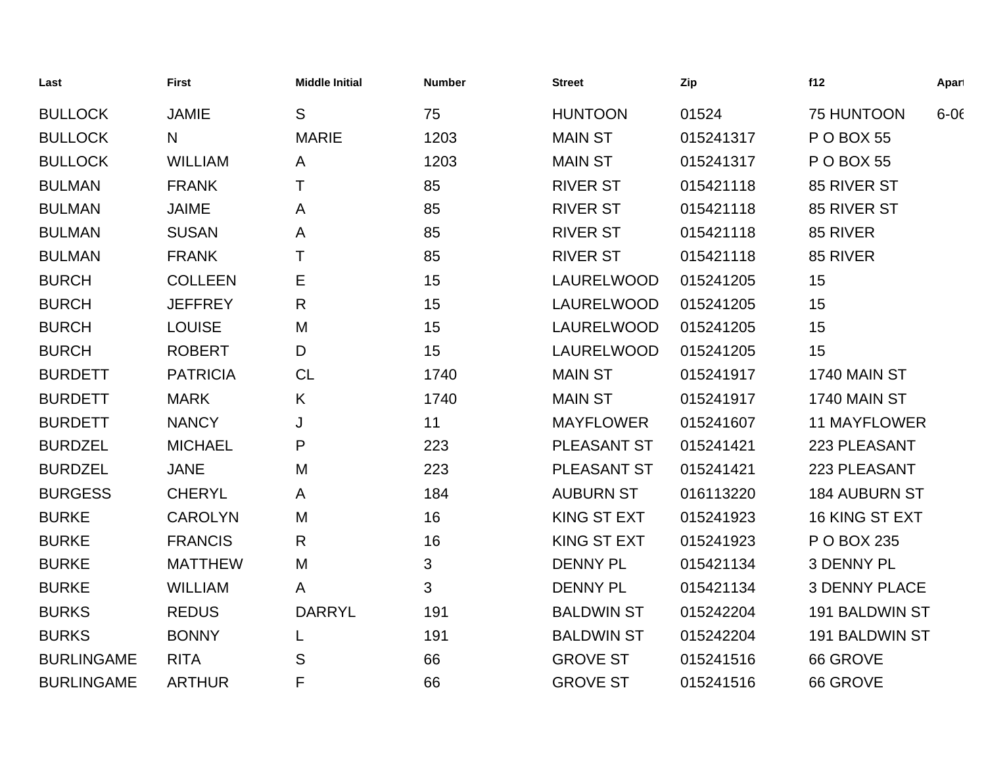| Last              | <b>First</b>    | <b>Middle Initial</b> | <b>Number</b> | <b>Street</b>      | Zip       | f12                  | Apart    |
|-------------------|-----------------|-----------------------|---------------|--------------------|-----------|----------------------|----------|
| <b>BULLOCK</b>    | <b>JAMIE</b>    | S                     | 75            | <b>HUNTOON</b>     | 01524     | 75 HUNTOON           | $6 - 06$ |
| <b>BULLOCK</b>    | N               | <b>MARIE</b>          | 1203          | <b>MAIN ST</b>     | 015241317 | <b>P O BOX 55</b>    |          |
| <b>BULLOCK</b>    | <b>WILLIAM</b>  | A                     | 1203          | <b>MAIN ST</b>     | 015241317 | <b>P O BOX 55</b>    |          |
| <b>BULMAN</b>     | <b>FRANK</b>    | T                     | 85            | <b>RIVER ST</b>    | 015421118 | 85 RIVER ST          |          |
| <b>BULMAN</b>     | <b>JAIME</b>    | A                     | 85            | <b>RIVER ST</b>    | 015421118 | 85 RIVER ST          |          |
| <b>BULMAN</b>     | <b>SUSAN</b>    | A                     | 85            | <b>RIVER ST</b>    | 015421118 | 85 RIVER             |          |
| <b>BULMAN</b>     | <b>FRANK</b>    | т                     | 85            | <b>RIVER ST</b>    | 015421118 | 85 RIVER             |          |
| <b>BURCH</b>      | <b>COLLEEN</b>  | Е                     | 15            | LAURELWOOD         | 015241205 | 15                   |          |
| <b>BURCH</b>      | <b>JEFFREY</b>  | R                     | 15            | LAURELWOOD         | 015241205 | 15                   |          |
| <b>BURCH</b>      | <b>LOUISE</b>   | M                     | 15            | LAURELWOOD         | 015241205 | 15                   |          |
| <b>BURCH</b>      | <b>ROBERT</b>   | D                     | 15            | LAURELWOOD         | 015241205 | 15                   |          |
| <b>BURDETT</b>    | <b>PATRICIA</b> | <b>CL</b>             | 1740          | <b>MAIN ST</b>     | 015241917 | <b>1740 MAIN ST</b>  |          |
| <b>BURDETT</b>    | <b>MARK</b>     | K                     | 1740          | <b>MAIN ST</b>     | 015241917 | 1740 MAIN ST         |          |
| <b>BURDETT</b>    | <b>NANCY</b>    | J                     | 11            | <b>MAYFLOWER</b>   | 015241607 | <b>11 MAYFLOWER</b>  |          |
| <b>BURDZEL</b>    | <b>MICHAEL</b>  | P                     | 223           | PLEASANT ST        | 015241421 | 223 PLEASANT         |          |
| <b>BURDZEL</b>    | <b>JANE</b>     | M                     | 223           | PLEASANT ST        | 015241421 | 223 PLEASANT         |          |
| <b>BURGESS</b>    | <b>CHERYL</b>   | A                     | 184           | <b>AUBURN ST</b>   | 016113220 | <b>184 AUBURN ST</b> |          |
| <b>BURKE</b>      | <b>CAROLYN</b>  | M                     | 16            | <b>KING ST EXT</b> | 015241923 | 16 KING ST EXT       |          |
| <b>BURKE</b>      | <b>FRANCIS</b>  | $\mathsf{R}$          | 16            | <b>KING ST EXT</b> | 015241923 | P O BOX 235          |          |
| <b>BURKE</b>      | <b>MATTHEW</b>  | M                     | 3             | <b>DENNY PL</b>    | 015421134 | 3 DENNY PL           |          |
| <b>BURKE</b>      | <b>WILLIAM</b>  | $\mathsf{A}$          | 3             | <b>DENNY PL</b>    | 015421134 | <b>3 DENNY PLACE</b> |          |
| <b>BURKS</b>      | <b>REDUS</b>    | <b>DARRYL</b>         | 191           | <b>BALDWIN ST</b>  | 015242204 | 191 BALDWIN ST       |          |
| <b>BURKS</b>      | <b>BONNY</b>    |                       | 191           | <b>BALDWIN ST</b>  | 015242204 | 191 BALDWIN ST       |          |
| <b>BURLINGAME</b> | <b>RITA</b>     | S                     | 66            | <b>GROVE ST</b>    | 015241516 | 66 GROVE             |          |
| <b>BURLINGAME</b> | <b>ARTHUR</b>   | F                     | 66            | <b>GROVE ST</b>    | 015241516 | 66 GROVE             |          |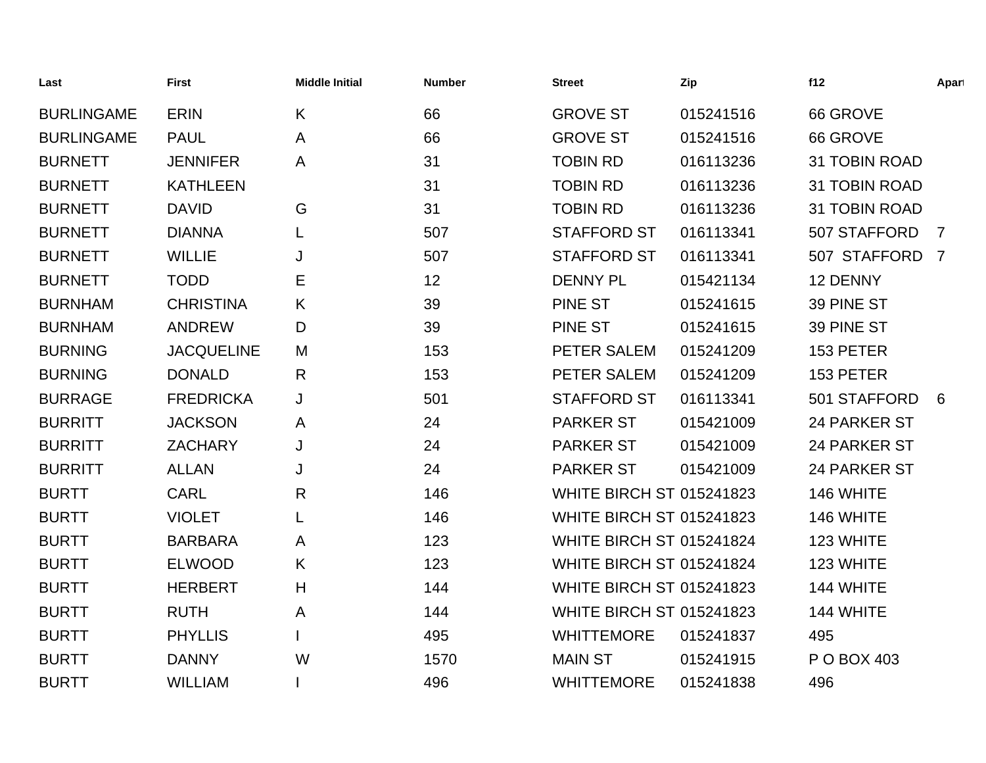| Last              | <b>First</b>      | <b>Middle Initial</b> | <b>Number</b> | <b>Street</b>                   | Zip       | f12            | Apart          |
|-------------------|-------------------|-----------------------|---------------|---------------------------------|-----------|----------------|----------------|
| <b>BURLINGAME</b> | <b>ERIN</b>       | K                     | 66            | <b>GROVE ST</b>                 | 015241516 | 66 GROVE       |                |
| <b>BURLINGAME</b> | <b>PAUL</b>       | A                     | 66            | <b>GROVE ST</b>                 | 015241516 | 66 GROVE       |                |
| <b>BURNETT</b>    | <b>JENNIFER</b>   | A                     | 31            | <b>TOBIN RD</b>                 | 016113236 | 31 TOBIN ROAD  |                |
| <b>BURNETT</b>    | <b>KATHLEEN</b>   |                       | 31            | <b>TOBIN RD</b>                 | 016113236 | 31 TOBIN ROAD  |                |
| <b>BURNETT</b>    | <b>DAVID</b>      | G                     | 31            | <b>TOBIN RD</b>                 | 016113236 | 31 TOBIN ROAD  |                |
| <b>BURNETT</b>    | <b>DIANNA</b>     |                       | 507           | <b>STAFFORD ST</b>              | 016113341 | 507 STAFFORD   | $\overline{7}$ |
| <b>BURNETT</b>    | <b>WILLIE</b>     | J                     | 507           | <b>STAFFORD ST</b>              | 016113341 | 507 STAFFORD 7 |                |
| <b>BURNETT</b>    | <b>TODD</b>       | Е                     | 12            | <b>DENNY PL</b>                 | 015421134 | 12 DENNY       |                |
| <b>BURNHAM</b>    | <b>CHRISTINA</b>  | K                     | 39            | <b>PINE ST</b>                  | 015241615 | 39 PINE ST     |                |
| <b>BURNHAM</b>    | <b>ANDREW</b>     | D                     | 39            | <b>PINE ST</b>                  | 015241615 | 39 PINE ST     |                |
| <b>BURNING</b>    | <b>JACQUELINE</b> | M                     | 153           | PETER SALEM                     | 015241209 | 153 PETER      |                |
| <b>BURNING</b>    | <b>DONALD</b>     | R                     | 153           | PETER SALEM                     | 015241209 | 153 PETER      |                |
| <b>BURRAGE</b>    | <b>FREDRICKA</b>  | J                     | 501           | <b>STAFFORD ST</b>              | 016113341 | 501 STAFFORD   | 6              |
| <b>BURRITT</b>    | <b>JACKSON</b>    | A                     | 24            | <b>PARKER ST</b>                | 015421009 | 24 PARKER ST   |                |
| <b>BURRITT</b>    | <b>ZACHARY</b>    | J                     | 24            | <b>PARKER ST</b>                | 015421009 | 24 PARKER ST   |                |
| <b>BURRITT</b>    | <b>ALLAN</b>      | J                     | 24            | <b>PARKER ST</b>                | 015421009 | 24 PARKER ST   |                |
| <b>BURTT</b>      | <b>CARL</b>       | $\mathsf{R}$          | 146           | <b>WHITE BIRCH ST 015241823</b> |           | 146 WHITE      |                |
| <b>BURTT</b>      | <b>VIOLET</b>     | L                     | 146           | <b>WHITE BIRCH ST 015241823</b> |           | 146 WHITE      |                |
| <b>BURTT</b>      | <b>BARBARA</b>    | A                     | 123           | <b>WHITE BIRCH ST 015241824</b> |           | 123 WHITE      |                |
| <b>BURTT</b>      | <b>ELWOOD</b>     | K                     | 123           | <b>WHITE BIRCH ST 015241824</b> |           | 123 WHITE      |                |
| <b>BURTT</b>      | <b>HERBERT</b>    | H                     | 144           | <b>WHITE BIRCH ST 015241823</b> |           | 144 WHITE      |                |
| <b>BURTT</b>      | <b>RUTH</b>       | A                     | 144           | <b>WHITE BIRCH ST 015241823</b> |           | 144 WHITE      |                |
| <b>BURTT</b>      | <b>PHYLLIS</b>    |                       | 495           | <b>WHITTEMORE</b>               | 015241837 | 495            |                |
| <b>BURTT</b>      | <b>DANNY</b>      | W                     | 1570          | <b>MAIN ST</b>                  | 015241915 | P O BOX 403    |                |
| <b>BURTT</b>      | <b>WILLIAM</b>    |                       | 496           | <b>WHITTEMORE</b>               | 015241838 | 496            |                |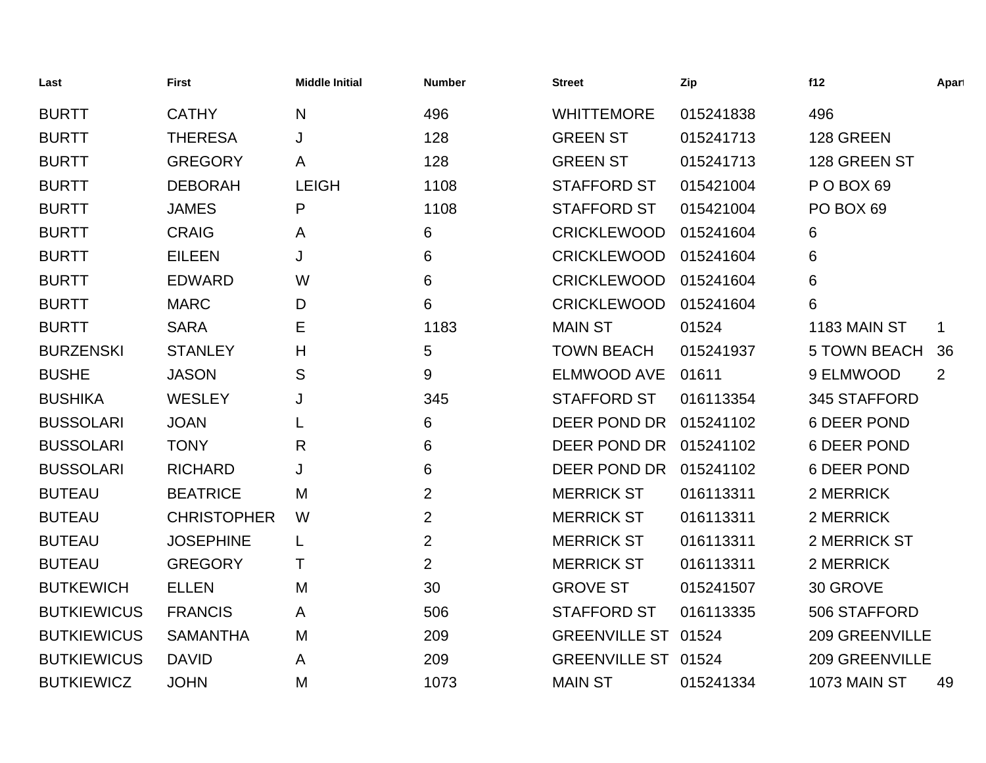| Last               | <b>First</b>       | <b>Middle Initial</b> | <b>Number</b>  | <b>Street</b>        | Zip       | f12                   | Apart |
|--------------------|--------------------|-----------------------|----------------|----------------------|-----------|-----------------------|-------|
| <b>BURTT</b>       | <b>CATHY</b>       | N                     | 496            | <b>WHITTEMORE</b>    | 015241838 | 496                   |       |
| <b>BURTT</b>       | <b>THERESA</b>     | J                     | 128            | <b>GREEN ST</b>      | 015241713 | 128 GREEN             |       |
| <b>BURTT</b>       | <b>GREGORY</b>     | A                     | 128            | <b>GREEN ST</b>      | 015241713 | 128 GREEN ST          |       |
| <b>BURTT</b>       | <b>DEBORAH</b>     | <b>LEIGH</b>          | 1108           | <b>STAFFORD ST</b>   | 015421004 | POBOX 69              |       |
| <b>BURTT</b>       | <b>JAMES</b>       | P                     | 1108           | <b>STAFFORD ST</b>   | 015421004 | PO BOX 69             |       |
| <b>BURTT</b>       | <b>CRAIG</b>       | A                     | 6              | <b>CRICKLEWOOD</b>   | 015241604 | 6                     |       |
| <b>BURTT</b>       | <b>EILEEN</b>      | J                     | 6              | <b>CRICKLEWOOD</b>   | 015241604 | 6                     |       |
| <b>BURTT</b>       | <b>EDWARD</b>      | W                     | 6              | <b>CRICKLEWOOD</b>   | 015241604 | 6                     |       |
| <b>BURTT</b>       | <b>MARC</b>        | D                     | 6              | <b>CRICKLEWOOD</b>   | 015241604 | 6                     |       |
| <b>BURTT</b>       | <b>SARA</b>        | Е                     | 1183           | <b>MAIN ST</b>       | 01524     | 1183 MAIN ST          | 1     |
| <b>BURZENSKI</b>   | <b>STANLEY</b>     | Η                     | 5              | <b>TOWN BEACH</b>    | 015241937 | <b>5 TOWN BEACH</b>   | 36    |
| <b>BUSHE</b>       | <b>JASON</b>       | S                     | 9              | <b>ELMWOOD AVE</b>   | 01611     | 9 ELMWOOD             | 2     |
| <b>BUSHIKA</b>     | <b>WESLEY</b>      | J                     | 345            | <b>STAFFORD ST</b>   | 016113354 | 345 STAFFORD          |       |
| <b>BUSSOLARI</b>   | <b>JOAN</b>        |                       | 6              | <b>DEER POND DR</b>  | 015241102 | <b>6 DEER POND</b>    |       |
| <b>BUSSOLARI</b>   | <b>TONY</b>        | R                     | 6              | DEER POND DR         | 015241102 | <b>6 DEER POND</b>    |       |
| <b>BUSSOLARI</b>   | <b>RICHARD</b>     | J                     | 6              | DEER POND DR         | 015241102 | <b>6 DEER POND</b>    |       |
| <b>BUTEAU</b>      | <b>BEATRICE</b>    | M                     | $\overline{2}$ | <b>MERRICK ST</b>    | 016113311 | 2 MERRICK             |       |
| <b>BUTEAU</b>      | <b>CHRISTOPHER</b> | W                     | $\overline{2}$ | <b>MERRICK ST</b>    | 016113311 | 2 MERRICK             |       |
| <b>BUTEAU</b>      | <b>JOSEPHINE</b>   | L                     | $\overline{2}$ | <b>MERRICK ST</b>    | 016113311 | 2 MERRICK ST          |       |
| <b>BUTEAU</b>      | <b>GREGORY</b>     | т                     | $\overline{2}$ | <b>MERRICK ST</b>    | 016113311 | 2 MERRICK             |       |
| <b>BUTKEWICH</b>   | <b>ELLEN</b>       | M                     | 30             | <b>GROVE ST</b>      | 015241507 | 30 GROVE              |       |
| <b>BUTKIEWICUS</b> | <b>FRANCIS</b>     | A                     | 506            | <b>STAFFORD ST</b>   | 016113335 | 506 STAFFORD          |       |
| <b>BUTKIEWICUS</b> | <b>SAMANTHA</b>    | M                     | 209            | <b>GREENVILLE ST</b> | 01524     | <b>209 GREENVILLE</b> |       |
| <b>BUTKIEWICUS</b> | <b>DAVID</b>       | A                     | 209            | <b>GREENVILLE ST</b> | 01524     | <b>209 GREENVILLE</b> |       |
| <b>BUTKIEWICZ</b>  | <b>JOHN</b>        | M                     | 1073           | <b>MAIN ST</b>       | 015241334 | 1073 MAIN ST          | 49    |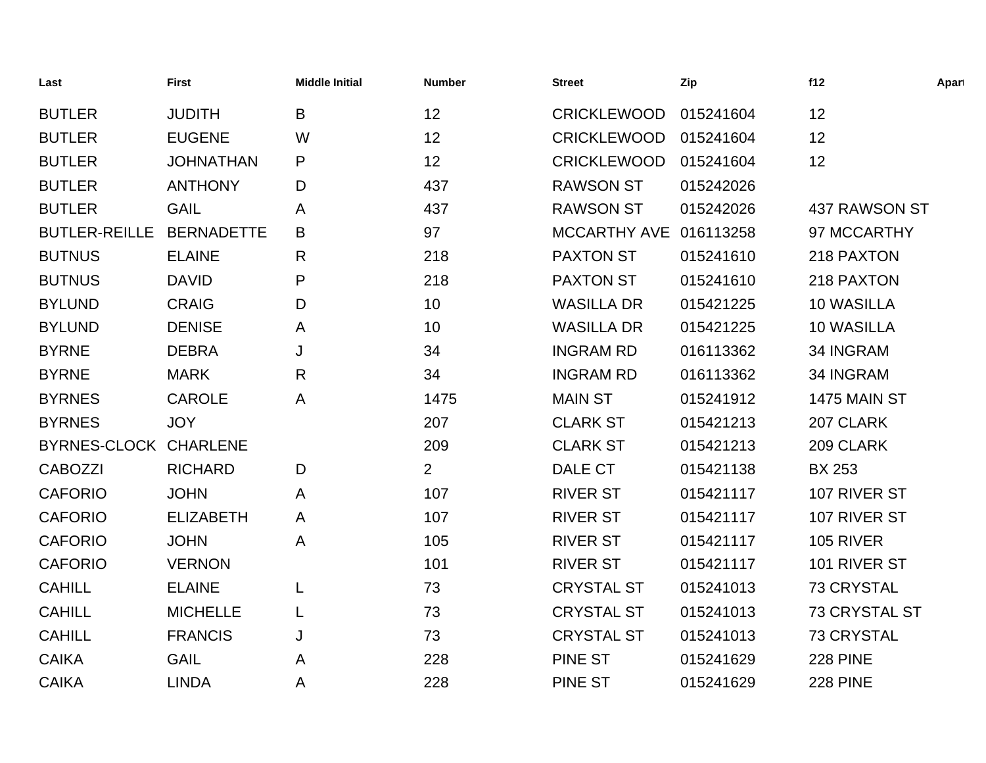| Last                  | <b>First</b>      | <b>Middle Initial</b> | <b>Number</b>  | <b>Street</b>          | Zip       | f12                  | Apart |
|-----------------------|-------------------|-----------------------|----------------|------------------------|-----------|----------------------|-------|
| <b>BUTLER</b>         | <b>JUDITH</b>     | B                     | 12             | <b>CRICKLEWOOD</b>     | 015241604 | 12                   |       |
| <b>BUTLER</b>         | <b>EUGENE</b>     | W                     | 12             | <b>CRICKLEWOOD</b>     | 015241604 | 12                   |       |
| <b>BUTLER</b>         | <b>JOHNATHAN</b>  | P                     | 12             | <b>CRICKLEWOOD</b>     | 015241604 | 12                   |       |
| <b>BUTLER</b>         | <b>ANTHONY</b>    | D                     | 437            | <b>RAWSON ST</b>       | 015242026 |                      |       |
| <b>BUTLER</b>         | <b>GAIL</b>       | Α                     | 437            | <b>RAWSON ST</b>       | 015242026 | 437 RAWSON ST        |       |
| <b>BUTLER-REILLE</b>  | <b>BERNADETTE</b> | B                     | 97             | MCCARTHY AVE 016113258 |           | 97 MCCARTHY          |       |
| <b>BUTNUS</b>         | <b>ELAINE</b>     | R                     | 218            | <b>PAXTON ST</b>       | 015241610 | 218 PAXTON           |       |
| <b>BUTNUS</b>         | <b>DAVID</b>      | P                     | 218            | <b>PAXTON ST</b>       | 015241610 | 218 PAXTON           |       |
| <b>BYLUND</b>         | <b>CRAIG</b>      | D                     | 10             | <b>WASILLA DR</b>      | 015421225 | <b>10 WASILLA</b>    |       |
| <b>BYLUND</b>         | <b>DENISE</b>     | A                     | 10             | <b>WASILLA DR</b>      | 015421225 | 10 WASILLA           |       |
| <b>BYRNE</b>          | <b>DEBRA</b>      | J                     | 34             | <b>INGRAM RD</b>       | 016113362 | 34 INGRAM            |       |
| <b>BYRNE</b>          | <b>MARK</b>       | $\mathsf{R}$          | 34             | <b>INGRAM RD</b>       | 016113362 | 34 INGRAM            |       |
| <b>BYRNES</b>         | <b>CAROLE</b>     | A                     | 1475           | <b>MAIN ST</b>         | 015241912 | 1475 MAIN ST         |       |
| <b>BYRNES</b>         | <b>JOY</b>        |                       | 207            | <b>CLARK ST</b>        | 015421213 | 207 CLARK            |       |
| BYRNES-CLOCK CHARLENE |                   |                       | 209            | <b>CLARK ST</b>        | 015421213 | 209 CLARK            |       |
| <b>CABOZZI</b>        | <b>RICHARD</b>    | D                     | $\overline{2}$ | DALE CT                | 015421138 | <b>BX 253</b>        |       |
| <b>CAFORIO</b>        | <b>JOHN</b>       | A                     | 107            | <b>RIVER ST</b>        | 015421117 | 107 RIVER ST         |       |
| <b>CAFORIO</b>        | <b>ELIZABETH</b>  | A                     | 107            | <b>RIVER ST</b>        | 015421117 | 107 RIVER ST         |       |
| <b>CAFORIO</b>        | <b>JOHN</b>       | Α                     | 105            | <b>RIVER ST</b>        | 015421117 | <b>105 RIVER</b>     |       |
| <b>CAFORIO</b>        | <b>VERNON</b>     |                       | 101            | <b>RIVER ST</b>        | 015421117 | 101 RIVER ST         |       |
| <b>CAHILL</b>         | <b>ELAINE</b>     | L                     | 73             | <b>CRYSTAL ST</b>      | 015241013 | <b>73 CRYSTAL</b>    |       |
| <b>CAHILL</b>         | <b>MICHELLE</b>   | L                     | 73             | <b>CRYSTAL ST</b>      | 015241013 | <b>73 CRYSTAL ST</b> |       |
| <b>CAHILL</b>         | <b>FRANCIS</b>    | J                     | 73             | <b>CRYSTAL ST</b>      | 015241013 | <b>73 CRYSTAL</b>    |       |
| <b>CAIKA</b>          | <b>GAIL</b>       | Α                     | 228            | <b>PINE ST</b>         | 015241629 | <b>228 PINE</b>      |       |
| <b>CAIKA</b>          | <b>LINDA</b>      | Α                     | 228            | <b>PINE ST</b>         | 015241629 | <b>228 PINE</b>      |       |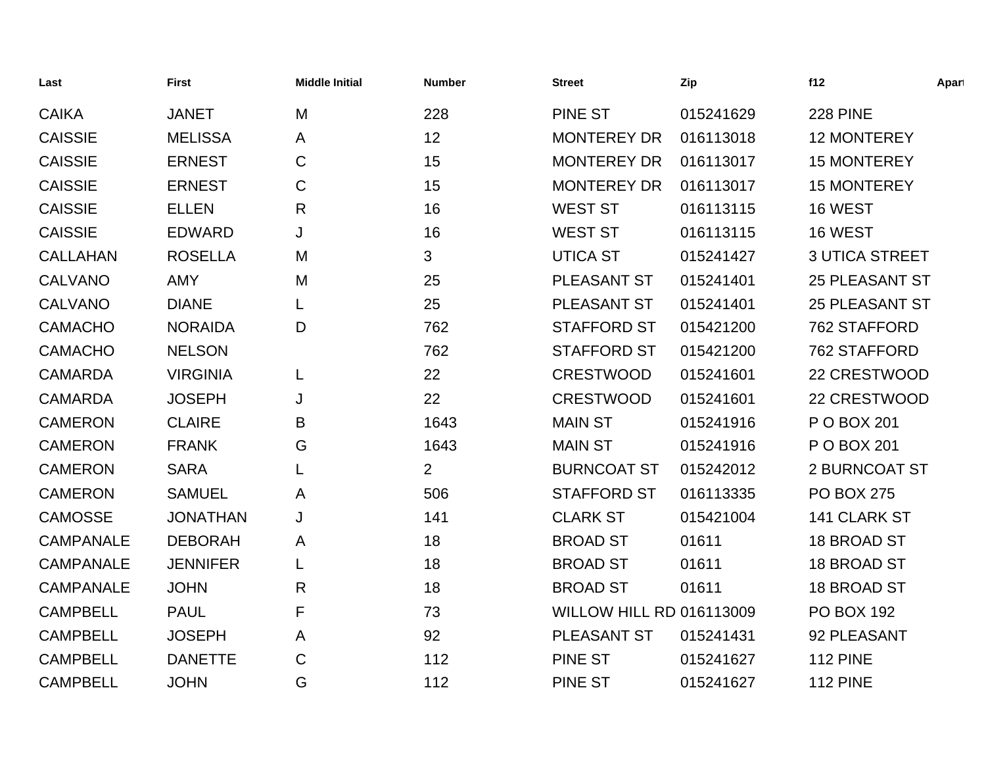| Last             | <b>First</b>    | <b>Middle Initial</b> | <b>Number</b>  | <b>Street</b>                   | Zip       | f12                   | Apart |
|------------------|-----------------|-----------------------|----------------|---------------------------------|-----------|-----------------------|-------|
| <b>CAIKA</b>     | <b>JANET</b>    | M                     | 228            | <b>PINE ST</b>                  | 015241629 | <b>228 PINE</b>       |       |
| <b>CAISSIE</b>   | <b>MELISSA</b>  | A                     | 12             | <b>MONTEREY DR</b>              | 016113018 | <b>12 MONTEREY</b>    |       |
| <b>CAISSIE</b>   | <b>ERNEST</b>   | $\mathsf{C}$          | 15             | <b>MONTEREY DR</b>              | 016113017 | <b>15 MONTEREY</b>    |       |
| <b>CAISSIE</b>   | <b>ERNEST</b>   | C                     | 15             | <b>MONTEREY DR</b>              | 016113017 | <b>15 MONTEREY</b>    |       |
| <b>CAISSIE</b>   | <b>ELLEN</b>    | R                     | 16             | <b>WEST ST</b>                  | 016113115 | 16 WEST               |       |
| <b>CAISSIE</b>   | <b>EDWARD</b>   | J                     | 16             | <b>WEST ST</b>                  | 016113115 | 16 WEST               |       |
| <b>CALLAHAN</b>  | <b>ROSELLA</b>  | M                     | 3              | <b>UTICA ST</b>                 | 015241427 | <b>3 UTICA STREET</b> |       |
| <b>CALVANO</b>   | <b>AMY</b>      | M                     | 25             | PLEASANT ST                     | 015241401 | <b>25 PLEASANT ST</b> |       |
| <b>CALVANO</b>   | <b>DIANE</b>    | L                     | 25             | PLEASANT ST                     | 015241401 | <b>25 PLEASANT ST</b> |       |
| <b>CAMACHO</b>   | <b>NORAIDA</b>  | D                     | 762            | <b>STAFFORD ST</b>              | 015421200 | 762 STAFFORD          |       |
| <b>CAMACHO</b>   | <b>NELSON</b>   |                       | 762            | <b>STAFFORD ST</b>              | 015421200 | 762 STAFFORD          |       |
| <b>CAMARDA</b>   | <b>VIRGINIA</b> | L                     | 22             | <b>CRESTWOOD</b>                | 015241601 | 22 CRESTWOOD          |       |
| <b>CAMARDA</b>   | <b>JOSEPH</b>   | J                     | 22             | <b>CRESTWOOD</b>                | 015241601 | 22 CRESTWOOD          |       |
| <b>CAMERON</b>   | <b>CLAIRE</b>   | B                     | 1643           | <b>MAIN ST</b>                  | 015241916 | P O BOX 201           |       |
| <b>CAMERON</b>   | <b>FRANK</b>    | G                     | 1643           | <b>MAIN ST</b>                  | 015241916 | P O BOX 201           |       |
| <b>CAMERON</b>   | <b>SARA</b>     | L                     | $\overline{2}$ | <b>BURNCOAT ST</b>              | 015242012 | <b>2 BURNCOAT ST</b>  |       |
| <b>CAMERON</b>   | <b>SAMUEL</b>   | A                     | 506            | <b>STAFFORD ST</b>              | 016113335 | <b>PO BOX 275</b>     |       |
| <b>CAMOSSE</b>   | <b>JONATHAN</b> | J                     | 141            | <b>CLARK ST</b>                 | 015421004 | 141 CLARK ST          |       |
| <b>CAMPANALE</b> | <b>DEBORAH</b>  | A                     | 18             | <b>BROAD ST</b>                 | 01611     | 18 BROAD ST           |       |
| <b>CAMPANALE</b> | <b>JENNIFER</b> |                       | 18             | <b>BROAD ST</b>                 | 01611     | 18 BROAD ST           |       |
| <b>CAMPANALE</b> | <b>JOHN</b>     | $\mathsf{R}$          | 18             | <b>BROAD ST</b>                 | 01611     | 18 BROAD ST           |       |
| <b>CAMPBELL</b>  | <b>PAUL</b>     | F                     | 73             | <b>WILLOW HILL RD 016113009</b> |           | <b>PO BOX 192</b>     |       |
| <b>CAMPBELL</b>  | <b>JOSEPH</b>   | A                     | 92             | PLEASANT ST                     | 015241431 | 92 PLEASANT           |       |
| <b>CAMPBELL</b>  | <b>DANETTE</b>  | C                     | 112            | <b>PINE ST</b>                  | 015241627 | <b>112 PINE</b>       |       |
| <b>CAMPBELL</b>  | <b>JOHN</b>     | G                     | 112            | <b>PINE ST</b>                  | 015241627 | <b>112 PINE</b>       |       |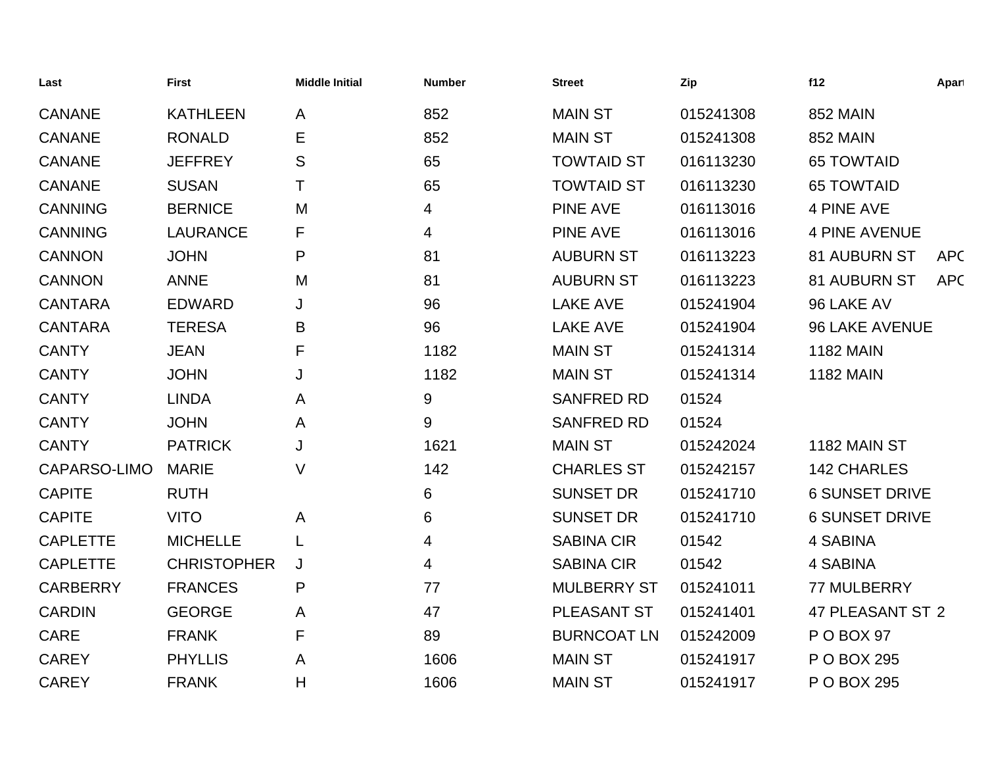| Last            | <b>First</b>       | <b>Middle Initial</b> | <b>Number</b>    | <b>Street</b>      | Zip       | f12                   | Apart      |
|-----------------|--------------------|-----------------------|------------------|--------------------|-----------|-----------------------|------------|
| <b>CANANE</b>   | <b>KATHLEEN</b>    | A                     | 852              | <b>MAIN ST</b>     | 015241308 | <b>852 MAIN</b>       |            |
| <b>CANANE</b>   | <b>RONALD</b>      | Е                     | 852              | <b>MAIN ST</b>     | 015241308 | <b>852 MAIN</b>       |            |
| <b>CANANE</b>   | <b>JEFFREY</b>     | S                     | 65               | <b>TOWTAID ST</b>  | 016113230 | <b>65 TOWTAID</b>     |            |
| <b>CANANE</b>   | <b>SUSAN</b>       | Τ                     | 65               | <b>TOWTAID ST</b>  | 016113230 | <b>65 TOWTAID</b>     |            |
| <b>CANNING</b>  | <b>BERNICE</b>     | M                     | 4                | <b>PINE AVE</b>    | 016113016 | <b>4 PINE AVE</b>     |            |
| <b>CANNING</b>  | <b>LAURANCE</b>    | F                     | 4                | <b>PINE AVE</b>    | 016113016 | <b>4 PINE AVENUE</b>  |            |
| <b>CANNON</b>   | <b>JOHN</b>        | P                     | 81               | <b>AUBURN ST</b>   | 016113223 | 81 AUBURN ST          | <b>APC</b> |
| <b>CANNON</b>   | <b>ANNE</b>        | M                     | 81               | <b>AUBURN ST</b>   | 016113223 | 81 AUBURN ST          | <b>APC</b> |
| <b>CANTARA</b>  | <b>EDWARD</b>      | J                     | 96               | <b>LAKE AVE</b>    | 015241904 | 96 LAKE AV            |            |
| <b>CANTARA</b>  | <b>TERESA</b>      | B                     | 96               | <b>LAKE AVE</b>    | 015241904 | <b>96 LAKE AVENUE</b> |            |
| <b>CANTY</b>    | <b>JEAN</b>        | F                     | 1182             | <b>MAIN ST</b>     | 015241314 | <b>1182 MAIN</b>      |            |
| <b>CANTY</b>    | <b>JOHN</b>        | J                     | 1182             | <b>MAIN ST</b>     | 015241314 | <b>1182 MAIN</b>      |            |
| <b>CANTY</b>    | <b>LINDA</b>       | A                     | $\boldsymbol{9}$ | <b>SANFRED RD</b>  | 01524     |                       |            |
| <b>CANTY</b>    | <b>JOHN</b>        | A                     | 9                | <b>SANFRED RD</b>  | 01524     |                       |            |
| <b>CANTY</b>    | <b>PATRICK</b>     | J                     | 1621             | <b>MAIN ST</b>     | 015242024 | 1182 MAIN ST          |            |
| CAPARSO-LIMO    | <b>MARIE</b>       | V                     | 142              | <b>CHARLES ST</b>  | 015242157 | <b>142 CHARLES</b>    |            |
| <b>CAPITE</b>   | <b>RUTH</b>        |                       | 6                | <b>SUNSET DR</b>   | 015241710 | <b>6 SUNSET DRIVE</b> |            |
| <b>CAPITE</b>   | <b>VITO</b>        | A                     | 6                | <b>SUNSET DR</b>   | 015241710 | <b>6 SUNSET DRIVE</b> |            |
| <b>CAPLETTE</b> | <b>MICHELLE</b>    | L                     | 4                | <b>SABINA CIR</b>  | 01542     | 4 SABINA              |            |
| <b>CAPLETTE</b> | <b>CHRISTOPHER</b> | J                     | 4                | <b>SABINA CIR</b>  | 01542     | 4 SABINA              |            |
| <b>CARBERRY</b> | <b>FRANCES</b>     | P                     | 77               | <b>MULBERRY ST</b> | 015241011 | 77 MULBERRY           |            |
| <b>CARDIN</b>   | <b>GEORGE</b>      | A                     | 47               | PLEASANT ST        | 015241401 | 47 PLEASANT ST 2      |            |
| <b>CARE</b>     | <b>FRANK</b>       | F                     | 89               | <b>BURNCOAT LN</b> | 015242009 | P O BOX 97            |            |
| <b>CAREY</b>    | <b>PHYLLIS</b>     | A                     | 1606             | <b>MAIN ST</b>     | 015241917 | P O BOX 295           |            |
| <b>CAREY</b>    | <b>FRANK</b>       | H                     | 1606             | <b>MAIN ST</b>     | 015241917 | P O BOX 295           |            |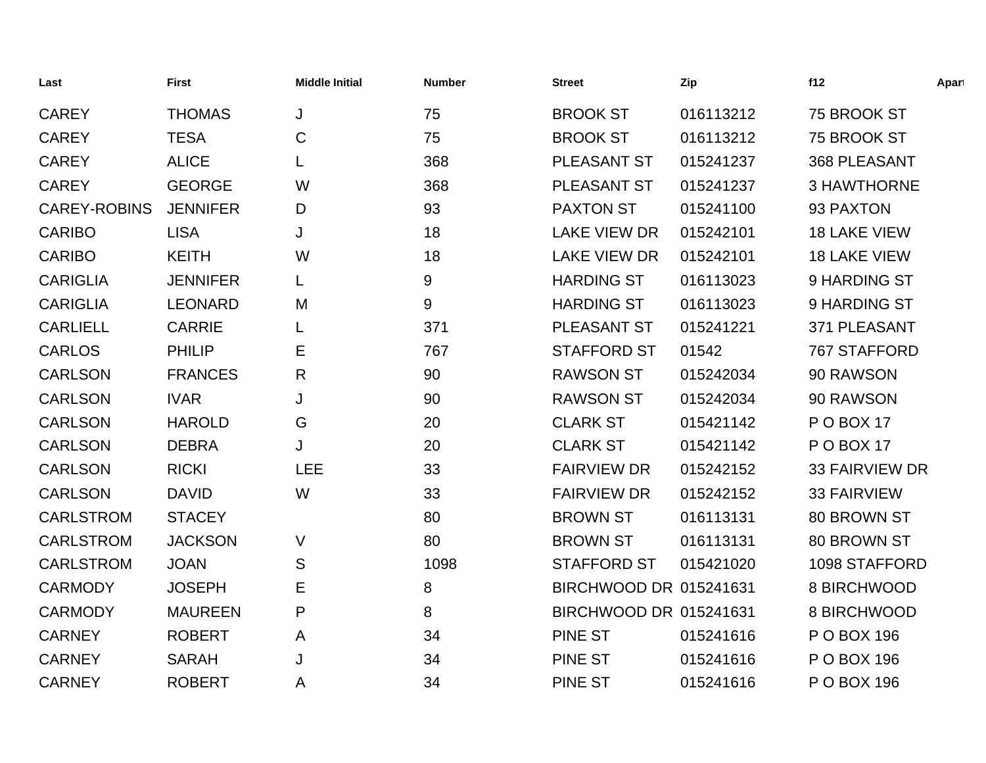| Last                | <b>First</b>    | <b>Middle Initial</b> | <b>Number</b> | <b>Street</b>          | Zip       | f12                   | Apart |
|---------------------|-----------------|-----------------------|---------------|------------------------|-----------|-----------------------|-------|
| <b>CAREY</b>        | <b>THOMAS</b>   | J                     | 75            | <b>BROOK ST</b>        | 016113212 | 75 BROOK ST           |       |
| <b>CAREY</b>        | <b>TESA</b>     | $\mathsf C$           | 75            | <b>BROOK ST</b>        | 016113212 | 75 BROOK ST           |       |
| <b>CAREY</b>        | <b>ALICE</b>    | L                     | 368           | PLEASANT ST            | 015241237 | 368 PLEASANT          |       |
| <b>CAREY</b>        | <b>GEORGE</b>   | W                     | 368           | PLEASANT ST            | 015241237 | <b>3 HAWTHORNE</b>    |       |
| <b>CAREY-ROBINS</b> | <b>JENNIFER</b> | D                     | 93            | <b>PAXTON ST</b>       | 015241100 | 93 PAXTON             |       |
| <b>CARIBO</b>       | <b>LISA</b>     | J                     | 18            | <b>LAKE VIEW DR</b>    | 015242101 | <b>18 LAKE VIEW</b>   |       |
| <b>CARIBO</b>       | <b>KEITH</b>    | W                     | 18            | <b>LAKE VIEW DR</b>    | 015242101 | <b>18 LAKE VIEW</b>   |       |
| <b>CARIGLIA</b>     | <b>JENNIFER</b> |                       | 9             | <b>HARDING ST</b>      | 016113023 | 9 HARDING ST          |       |
| <b>CARIGLIA</b>     | <b>LEONARD</b>  | M                     | 9             | <b>HARDING ST</b>      | 016113023 | 9 HARDING ST          |       |
| <b>CARLIELL</b>     | <b>CARRIE</b>   | L                     | 371           | PLEASANT ST            | 015241221 | 371 PLEASANT          |       |
| <b>CARLOS</b>       | <b>PHILIP</b>   | Ε                     | 767           | <b>STAFFORD ST</b>     | 01542     | 767 STAFFORD          |       |
| <b>CARLSON</b>      | <b>FRANCES</b>  | R                     | 90            | <b>RAWSON ST</b>       | 015242034 | 90 RAWSON             |       |
| <b>CARLSON</b>      | <b>IVAR</b>     | J                     | 90            | <b>RAWSON ST</b>       | 015242034 | 90 RAWSON             |       |
| <b>CARLSON</b>      | <b>HAROLD</b>   | G                     | 20            | <b>CLARK ST</b>        | 015421142 | POBOX 17              |       |
| <b>CARLSON</b>      | <b>DEBRA</b>    | J                     | 20            | <b>CLARK ST</b>        | 015421142 | <b>PO BOX 17</b>      |       |
| <b>CARLSON</b>      | <b>RICKI</b>    | <b>LEE</b>            | 33            | <b>FAIRVIEW DR</b>     | 015242152 | <b>33 FAIRVIEW DR</b> |       |
| <b>CARLSON</b>      | <b>DAVID</b>    | W                     | 33            | <b>FAIRVIEW DR</b>     | 015242152 | <b>33 FAIRVIEW</b>    |       |
| <b>CARLSTROM</b>    | <b>STACEY</b>   |                       | 80            | <b>BROWN ST</b>        | 016113131 | 80 BROWN ST           |       |
| <b>CARLSTROM</b>    | <b>JACKSON</b>  | V                     | 80            | <b>BROWN ST</b>        | 016113131 | 80 BROWN ST           |       |
| <b>CARLSTROM</b>    | <b>JOAN</b>     | S                     | 1098          | <b>STAFFORD ST</b>     | 015421020 | 1098 STAFFORD         |       |
| <b>CARMODY</b>      | <b>JOSEPH</b>   | Ε                     | 8             | BIRCHWOOD DR 015241631 |           | 8 BIRCHWOOD           |       |
| <b>CARMODY</b>      | <b>MAUREEN</b>  | P                     | 8             | BIRCHWOOD DR 015241631 |           | 8 BIRCHWOOD           |       |
| <b>CARNEY</b>       | <b>ROBERT</b>   | A                     | 34            | <b>PINE ST</b>         | 015241616 | P O BOX 196           |       |
| <b>CARNEY</b>       | <b>SARAH</b>    | J                     | 34            | <b>PINE ST</b>         | 015241616 | P O BOX 196           |       |
| <b>CARNEY</b>       | <b>ROBERT</b>   | A                     | 34            | <b>PINE ST</b>         | 015241616 | P O BOX 196           |       |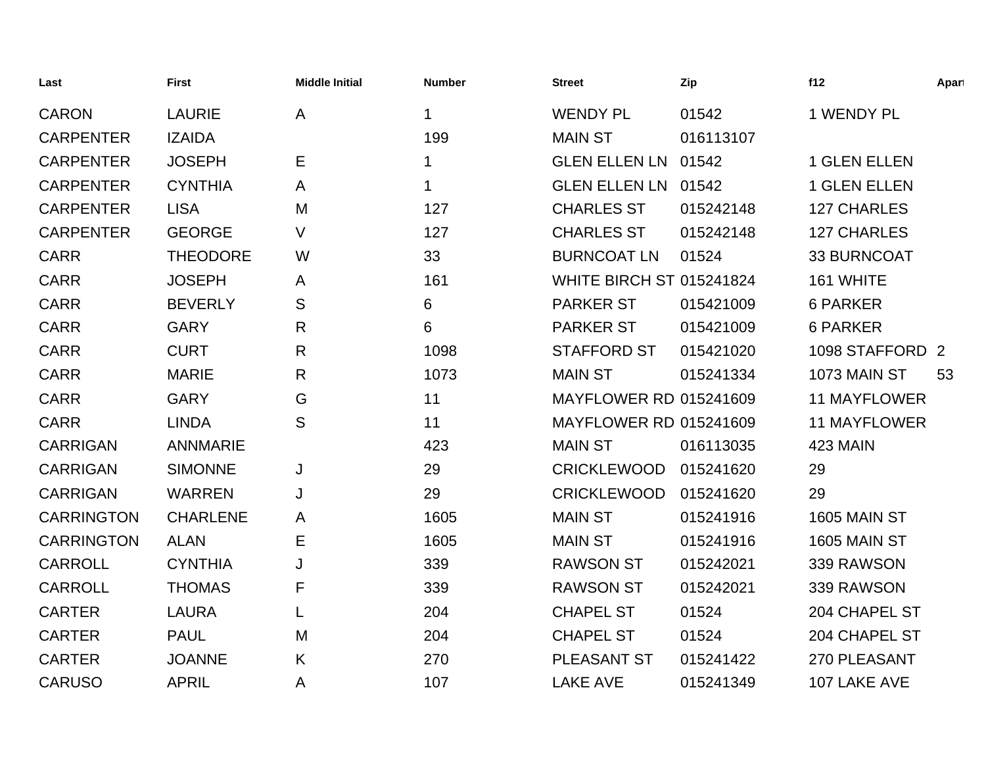| Last              | <b>First</b>    | <b>Middle Initial</b> | <b>Number</b> | <b>Street</b>                   | Zip       | f12                 | Apart |
|-------------------|-----------------|-----------------------|---------------|---------------------------------|-----------|---------------------|-------|
| <b>CARON</b>      | <b>LAURIE</b>   | $\mathsf{A}$          | 1             | <b>WENDY PL</b>                 | 01542     | 1 WENDY PL          |       |
| <b>CARPENTER</b>  | <b>IZAIDA</b>   |                       | 199           | <b>MAIN ST</b>                  | 016113107 |                     |       |
| <b>CARPENTER</b>  | <b>JOSEPH</b>   | Е                     | 1             | <b>GLEN ELLEN LN</b>            | 01542     | <b>1 GLEN ELLEN</b> |       |
| <b>CARPENTER</b>  | <b>CYNTHIA</b>  | A                     | 1             | <b>GLEN ELLEN LN</b>            | 01542     | <b>1 GLEN ELLEN</b> |       |
| <b>CARPENTER</b>  | <b>LISA</b>     | M                     | 127           | <b>CHARLES ST</b>               | 015242148 | 127 CHARLES         |       |
| <b>CARPENTER</b>  | <b>GEORGE</b>   | V                     | 127           | <b>CHARLES ST</b>               | 015242148 | <b>127 CHARLES</b>  |       |
| <b>CARR</b>       | <b>THEODORE</b> | W                     | 33            | <b>BURNCOAT LN</b>              | 01524     | 33 BURNCOAT         |       |
| <b>CARR</b>       | <b>JOSEPH</b>   | A                     | 161           | <b>WHITE BIRCH ST 015241824</b> |           | 161 WHITE           |       |
| <b>CARR</b>       | <b>BEVERLY</b>  | S                     | 6             | <b>PARKER ST</b>                | 015421009 | <b>6 PARKER</b>     |       |
| <b>CARR</b>       | <b>GARY</b>     | R                     | 6             | <b>PARKER ST</b>                | 015421009 | <b>6 PARKER</b>     |       |
| <b>CARR</b>       | <b>CURT</b>     | R                     | 1098          | <b>STAFFORD ST</b>              | 015421020 | 1098 STAFFORD 2     |       |
| <b>CARR</b>       | <b>MARIE</b>    | R                     | 1073          | <b>MAIN ST</b>                  | 015241334 | 1073 MAIN ST        | 53    |
| <b>CARR</b>       | <b>GARY</b>     | G                     | 11            | <b>MAYFLOWER RD 015241609</b>   |           | <b>11 MAYFLOWER</b> |       |
| <b>CARR</b>       | <b>LINDA</b>    | S                     | 11            | <b>MAYFLOWER RD 015241609</b>   |           | <b>11 MAYFLOWER</b> |       |
| <b>CARRIGAN</b>   | <b>ANNMARIE</b> |                       | 423           | <b>MAIN ST</b>                  | 016113035 | 423 MAIN            |       |
| <b>CARRIGAN</b>   | <b>SIMONNE</b>  | J                     | 29            | <b>CRICKLEWOOD</b>              | 015241620 | 29                  |       |
| <b>CARRIGAN</b>   | <b>WARREN</b>   | J                     | 29            | <b>CRICKLEWOOD</b>              | 015241620 | 29                  |       |
| <b>CARRINGTON</b> | <b>CHARLENE</b> | A                     | 1605          | <b>MAIN ST</b>                  | 015241916 | <b>1605 MAIN ST</b> |       |
| <b>CARRINGTON</b> | <b>ALAN</b>     | E                     | 1605          | <b>MAIN ST</b>                  | 015241916 | <b>1605 MAIN ST</b> |       |
| <b>CARROLL</b>    | <b>CYNTHIA</b>  | J                     | 339           | <b>RAWSON ST</b>                | 015242021 | 339 RAWSON          |       |
| <b>CARROLL</b>    | <b>THOMAS</b>   | F                     | 339           | <b>RAWSON ST</b>                | 015242021 | 339 RAWSON          |       |
| <b>CARTER</b>     | <b>LAURA</b>    | L                     | 204           | <b>CHAPEL ST</b>                | 01524     | 204 CHAPEL ST       |       |
| <b>CARTER</b>     | <b>PAUL</b>     | M                     | 204           | <b>CHAPEL ST</b>                | 01524     | 204 CHAPEL ST       |       |
| <b>CARTER</b>     | <b>JOANNE</b>   | K                     | 270           | <b>PLEASANT ST</b>              | 015241422 | 270 PLEASANT        |       |
| <b>CARUSO</b>     | <b>APRIL</b>    | Α                     | 107           | <b>LAKE AVE</b>                 | 015241349 | 107 LAKE AVE        |       |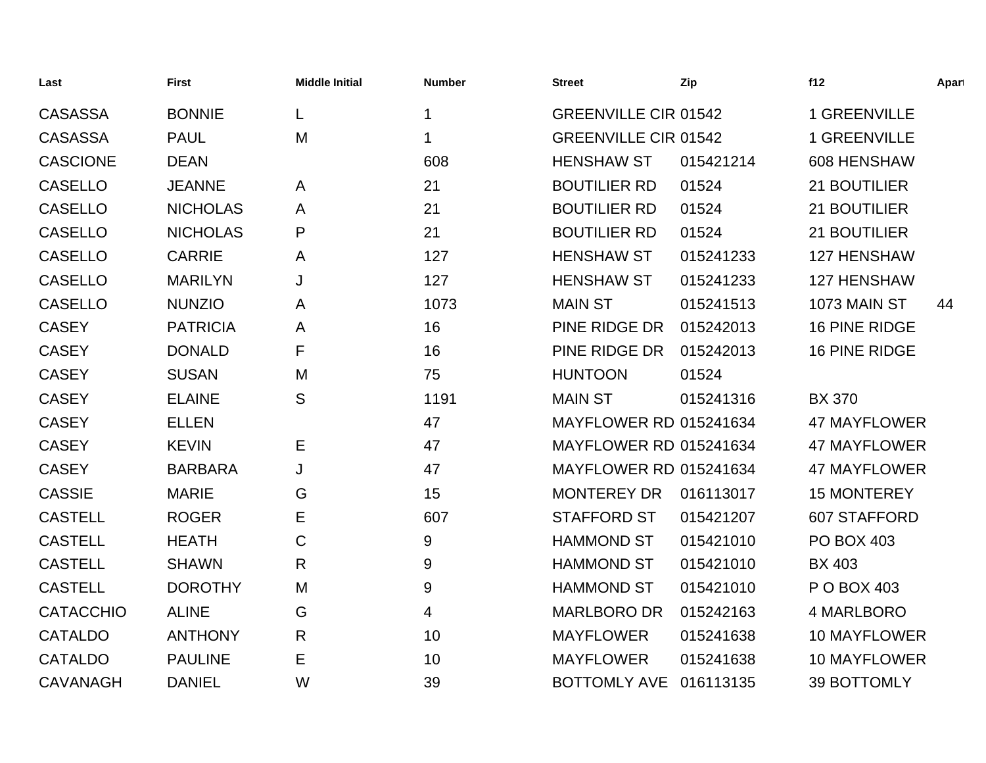| Last             | <b>First</b>    | <b>Middle Initial</b> | <b>Number</b> | <b>Street</b>                 | Zip       | f12                 | Apart |
|------------------|-----------------|-----------------------|---------------|-------------------------------|-----------|---------------------|-------|
| <b>CASASSA</b>   | <b>BONNIE</b>   | L                     | $\mathbf 1$   | <b>GREENVILLE CIR 01542</b>   |           | 1 GREENVILLE        |       |
| <b>CASASSA</b>   | <b>PAUL</b>     | M                     | 1             | <b>GREENVILLE CIR 01542</b>   |           | 1 GREENVILLE        |       |
| <b>CASCIONE</b>  | <b>DEAN</b>     |                       | 608           | <b>HENSHAW ST</b>             | 015421214 | 608 HENSHAW         |       |
| <b>CASELLO</b>   | <b>JEANNE</b>   | A                     | 21            | <b>BOUTILIER RD</b>           | 01524     | 21 BOUTILIER        |       |
| <b>CASELLO</b>   | <b>NICHOLAS</b> | A                     | 21            | <b>BOUTILIER RD</b>           | 01524     | 21 BOUTILIER        |       |
| <b>CASELLO</b>   | <b>NICHOLAS</b> | P                     | 21            | <b>BOUTILIER RD</b>           | 01524     | 21 BOUTILIER        |       |
| <b>CASELLO</b>   | <b>CARRIE</b>   | A                     | 127           | <b>HENSHAW ST</b>             | 015241233 | 127 HENSHAW         |       |
| <b>CASELLO</b>   | <b>MARILYN</b>  | J                     | 127           | <b>HENSHAW ST</b>             | 015241233 | <b>127 HENSHAW</b>  |       |
| <b>CASELLO</b>   | <b>NUNZIO</b>   | A                     | 1073          | <b>MAIN ST</b>                | 015241513 | 1073 MAIN ST        | 44    |
| <b>CASEY</b>     | <b>PATRICIA</b> | A                     | 16            | PINE RIDGE DR                 | 015242013 | 16 PINE RIDGE       |       |
| <b>CASEY</b>     | <b>DONALD</b>   | F                     | 16            | PINE RIDGE DR                 | 015242013 | 16 PINE RIDGE       |       |
| <b>CASEY</b>     | <b>SUSAN</b>    | M                     | 75            | <b>HUNTOON</b>                | 01524     |                     |       |
| <b>CASEY</b>     | <b>ELAINE</b>   | S                     | 1191          | <b>MAIN ST</b>                | 015241316 | <b>BX 370</b>       |       |
| <b>CASEY</b>     | <b>ELLEN</b>    |                       | 47            | <b>MAYFLOWER RD 015241634</b> |           | <b>47 MAYFLOWER</b> |       |
| <b>CASEY</b>     | <b>KEVIN</b>    | Ε                     | 47            | <b>MAYFLOWER RD 015241634</b> |           | <b>47 MAYFLOWER</b> |       |
| <b>CASEY</b>     | <b>BARBARA</b>  | J                     | 47            | <b>MAYFLOWER RD 015241634</b> |           | <b>47 MAYFLOWER</b> |       |
| <b>CASSIE</b>    | <b>MARIE</b>    | G                     | 15            | <b>MONTEREY DR</b>            | 016113017 | <b>15 MONTEREY</b>  |       |
| <b>CASTELL</b>   | <b>ROGER</b>    | E                     | 607           | <b>STAFFORD ST</b>            | 015421207 | 607 STAFFORD        |       |
| <b>CASTELL</b>   | <b>HEATH</b>    | C                     | $9\,$         | <b>HAMMOND ST</b>             | 015421010 | <b>PO BOX 403</b>   |       |
| <b>CASTELL</b>   | <b>SHAWN</b>    | R                     | 9             | <b>HAMMOND ST</b>             | 015421010 | <b>BX 403</b>       |       |
| <b>CASTELL</b>   | <b>DOROTHY</b>  | M                     | 9             | <b>HAMMOND ST</b>             | 015421010 | P O BOX 403         |       |
| <b>CATACCHIO</b> | <b>ALINE</b>    | G                     | 4             | <b>MARLBORO DR</b>            | 015242163 | 4 MARLBORO          |       |
| <b>CATALDO</b>   | <b>ANTHONY</b>  | $\mathsf{R}$          | 10            | <b>MAYFLOWER</b>              | 015241638 | 10 MAYFLOWER        |       |
| <b>CATALDO</b>   | <b>PAULINE</b>  | E                     | 10            | <b>MAYFLOWER</b>              | 015241638 | <b>10 MAYFLOWER</b> |       |
| <b>CAVANAGH</b>  | <b>DANIEL</b>   | W                     | 39            | <b>BOTTOMLY AVE</b>           | 016113135 | <b>39 BOTTOMLY</b>  |       |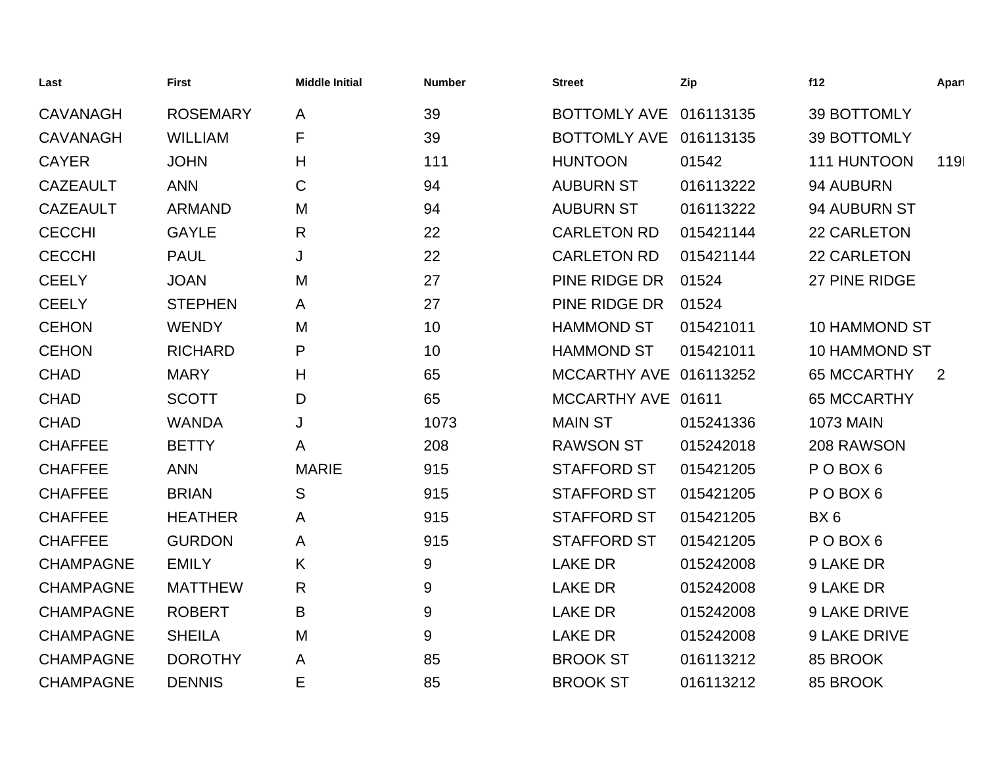| Last             | First           | <b>Middle Initial</b> | <b>Number</b> | <b>Street</b>          | Zip       | f12                  | Apart          |
|------------------|-----------------|-----------------------|---------------|------------------------|-----------|----------------------|----------------|
| <b>CAVANAGH</b>  | <b>ROSEMARY</b> | A                     | 39            | <b>BOTTOMLY AVE</b>    | 016113135 | 39 BOTTOMLY          |                |
| <b>CAVANAGH</b>  | <b>WILLIAM</b>  | F                     | 39            | <b>BOTTOMLY AVE</b>    | 016113135 | 39 BOTTOMLY          |                |
| <b>CAYER</b>     | <b>JOHN</b>     | H                     | 111           | <b>HUNTOON</b>         | 01542     | 111 HUNTOON          | 119            |
| <b>CAZEAULT</b>  | <b>ANN</b>      | C                     | 94            | <b>AUBURN ST</b>       | 016113222 | 94 AUBURN            |                |
| <b>CAZEAULT</b>  | <b>ARMAND</b>   | M                     | 94            | <b>AUBURN ST</b>       | 016113222 | 94 AUBURN ST         |                |
| <b>CECCHI</b>    | <b>GAYLE</b>    | R                     | 22            | <b>CARLETON RD</b>     | 015421144 | 22 CARLETON          |                |
| <b>CECCHI</b>    | <b>PAUL</b>     | J                     | 22            | <b>CARLETON RD</b>     | 015421144 | 22 CARLETON          |                |
| <b>CEELY</b>     | <b>JOAN</b>     | M                     | 27            | PINE RIDGE DR          | 01524     | 27 PINE RIDGE        |                |
| <b>CEELY</b>     | <b>STEPHEN</b>  | A                     | 27            | PINE RIDGE DR          | 01524     |                      |                |
| <b>CEHON</b>     | <b>WENDY</b>    | M                     | 10            | <b>HAMMOND ST</b>      | 015421011 | <b>10 HAMMOND ST</b> |                |
| <b>CEHON</b>     | <b>RICHARD</b>  | P                     | 10            | <b>HAMMOND ST</b>      | 015421011 | <b>10 HAMMOND ST</b> |                |
| <b>CHAD</b>      | <b>MARY</b>     | H                     | 65            | MCCARTHY AVE 016113252 |           | <b>65 MCCARTHY</b>   | $\overline{2}$ |
| <b>CHAD</b>      | <b>SCOTT</b>    | D                     | 65            | MCCARTHY AVE 01611     |           | <b>65 MCCARTHY</b>   |                |
| <b>CHAD</b>      | <b>WANDA</b>    | J                     | 1073          | <b>MAIN ST</b>         | 015241336 | <b>1073 MAIN</b>     |                |
| <b>CHAFFEE</b>   | <b>BETTY</b>    | A                     | 208           | <b>RAWSON ST</b>       | 015242018 | 208 RAWSON           |                |
| <b>CHAFFEE</b>   | <b>ANN</b>      | <b>MARIE</b>          | 915           | <b>STAFFORD ST</b>     | 015421205 | POBOX <sub>6</sub>   |                |
| <b>CHAFFEE</b>   | <b>BRIAN</b>    | S                     | 915           | <b>STAFFORD ST</b>     | 015421205 | POBOX <sub>6</sub>   |                |
| <b>CHAFFEE</b>   | <b>HEATHER</b>  | Α                     | 915           | <b>STAFFORD ST</b>     | 015421205 | BX6                  |                |
| <b>CHAFFEE</b>   | <b>GURDON</b>   | A                     | 915           | <b>STAFFORD ST</b>     | 015421205 | POBOX <sub>6</sub>   |                |
| <b>CHAMPAGNE</b> | <b>EMILY</b>    | K                     | 9             | <b>LAKE DR</b>         | 015242008 | 9 LAKE DR            |                |
| <b>CHAMPAGNE</b> | <b>MATTHEW</b>  | R                     | 9             | <b>LAKE DR</b>         | 015242008 | 9 LAKE DR            |                |
| <b>CHAMPAGNE</b> | <b>ROBERT</b>   | B                     | 9             | <b>LAKE DR</b>         | 015242008 | 9 LAKE DRIVE         |                |
| <b>CHAMPAGNE</b> | <b>SHEILA</b>   | M                     | 9             | <b>LAKE DR</b>         | 015242008 | 9 LAKE DRIVE         |                |
| <b>CHAMPAGNE</b> | <b>DOROTHY</b>  | A                     | 85            | <b>BROOK ST</b>        | 016113212 | 85 BROOK             |                |
| <b>CHAMPAGNE</b> | <b>DENNIS</b>   | E                     | 85            | <b>BROOK ST</b>        | 016113212 | 85 BROOK             |                |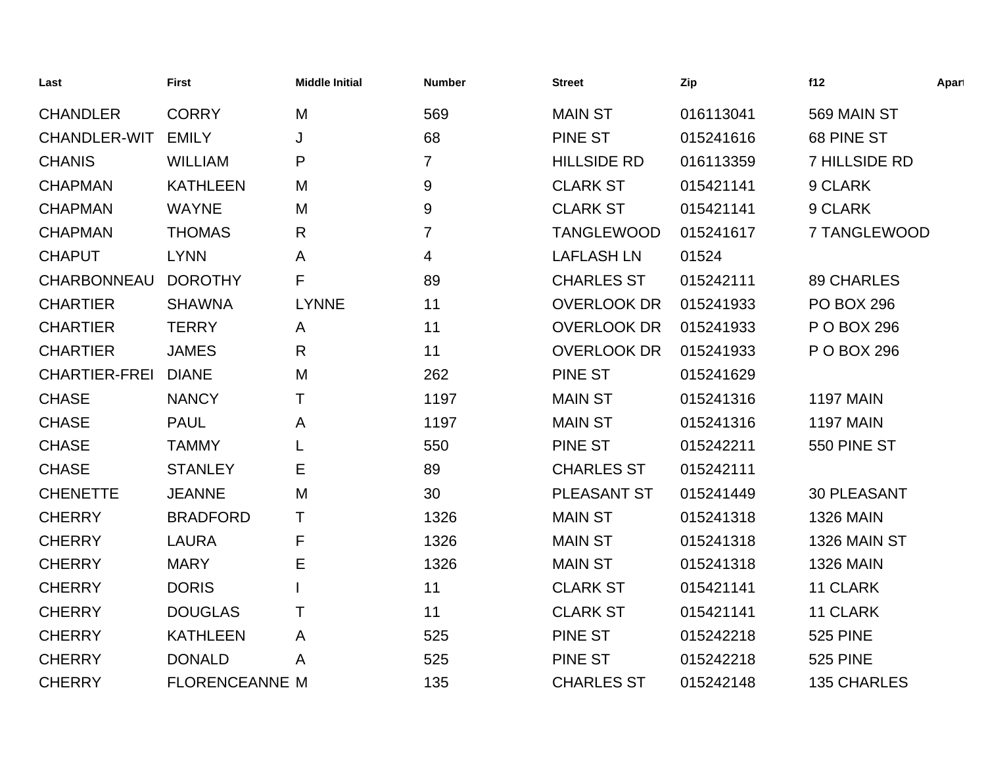| Last                 | <b>First</b>          | <b>Middle Initial</b> | <b>Number</b>  | <b>Street</b>      | Zip       | f12                | Apart |
|----------------------|-----------------------|-----------------------|----------------|--------------------|-----------|--------------------|-------|
| <b>CHANDLER</b>      | <b>CORRY</b>          | M                     | 569            | <b>MAIN ST</b>     | 016113041 | 569 MAIN ST        |       |
| <b>CHANDLER-WIT</b>  | <b>EMILY</b>          | J                     | 68             | PINE ST            | 015241616 | 68 PINE ST         |       |
| <b>CHANIS</b>        | <b>WILLIAM</b>        | P                     | $\overline{7}$ | <b>HILLSIDE RD</b> | 016113359 | 7 HILLSIDE RD      |       |
| <b>CHAPMAN</b>       | <b>KATHLEEN</b>       | M                     | 9              | <b>CLARK ST</b>    | 015421141 | 9 CLARK            |       |
| <b>CHAPMAN</b>       | <b>WAYNE</b>          | M                     | 9              | <b>CLARK ST</b>    | 015421141 | 9 CLARK            |       |
| <b>CHAPMAN</b>       | <b>THOMAS</b>         | R                     | $\overline{7}$ | <b>TANGLEWOOD</b>  | 015241617 | 7 TANGLEWOOD       |       |
| <b>CHAPUT</b>        | <b>LYNN</b>           | A                     | 4              | <b>LAFLASH LN</b>  | 01524     |                    |       |
| <b>CHARBONNEAU</b>   | <b>DOROTHY</b>        | F                     | 89             | <b>CHARLES ST</b>  | 015242111 | <b>89 CHARLES</b>  |       |
| <b>CHARTIER</b>      | <b>SHAWNA</b>         | <b>LYNNE</b>          | 11             | <b>OVERLOOK DR</b> | 015241933 | <b>PO BOX 296</b>  |       |
| <b>CHARTIER</b>      | <b>TERRY</b>          | A                     | 11             | <b>OVERLOOK DR</b> | 015241933 | P O BOX 296        |       |
| <b>CHARTIER</b>      | <b>JAMES</b>          | R                     | 11             | <b>OVERLOOK DR</b> | 015241933 | P O BOX 296        |       |
| <b>CHARTIER-FREI</b> | <b>DIANE</b>          | M                     | 262            | <b>PINE ST</b>     | 015241629 |                    |       |
| <b>CHASE</b>         | <b>NANCY</b>          | T                     | 1197           | <b>MAIN ST</b>     | 015241316 | <b>1197 MAIN</b>   |       |
| <b>CHASE</b>         | <b>PAUL</b>           | A                     | 1197           | <b>MAIN ST</b>     | 015241316 | <b>1197 MAIN</b>   |       |
| <b>CHASE</b>         | <b>TAMMY</b>          |                       | 550            | <b>PINE ST</b>     | 015242211 | 550 PINE ST        |       |
| <b>CHASE</b>         | <b>STANLEY</b>        | Е                     | 89             | <b>CHARLES ST</b>  | 015242111 |                    |       |
| <b>CHENETTE</b>      | <b>JEANNE</b>         | M                     | 30             | PLEASANT ST        | 015241449 | <b>30 PLEASANT</b> |       |
| <b>CHERRY</b>        | <b>BRADFORD</b>       | т                     | 1326           | <b>MAIN ST</b>     | 015241318 | <b>1326 MAIN</b>   |       |
| <b>CHERRY</b>        | <b>LAURA</b>          | F                     | 1326           | <b>MAIN ST</b>     | 015241318 | 1326 MAIN ST       |       |
| <b>CHERRY</b>        | <b>MARY</b>           | Е                     | 1326           | <b>MAIN ST</b>     | 015241318 | <b>1326 MAIN</b>   |       |
| <b>CHERRY</b>        | <b>DORIS</b>          |                       | 11             | <b>CLARK ST</b>    | 015421141 | 11 CLARK           |       |
| <b>CHERRY</b>        | <b>DOUGLAS</b>        | т                     | 11             | <b>CLARK ST</b>    | 015421141 | 11 CLARK           |       |
| <b>CHERRY</b>        | <b>KATHLEEN</b>       | A                     | 525            | <b>PINE ST</b>     | 015242218 | <b>525 PINE</b>    |       |
| <b>CHERRY</b>        | <b>DONALD</b>         | A                     | 525            | <b>PINE ST</b>     | 015242218 | <b>525 PINE</b>    |       |
| <b>CHERRY</b>        | <b>FLORENCEANNE M</b> |                       | 135            | <b>CHARLES ST</b>  | 015242148 | <b>135 CHARLES</b> |       |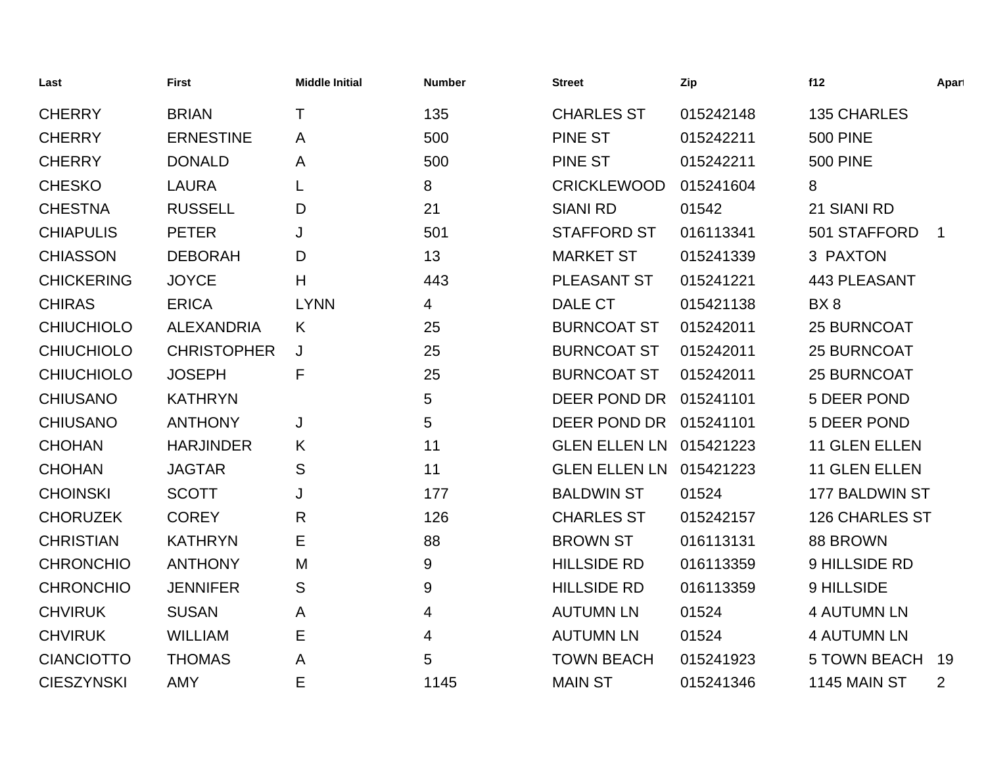| Last              | <b>First</b>       | <b>Middle Initial</b> | <b>Number</b> | <b>Street</b>           | Zip       | f12                   | Apart          |
|-------------------|--------------------|-----------------------|---------------|-------------------------|-----------|-----------------------|----------------|
| <b>CHERRY</b>     | <b>BRIAN</b>       | Τ                     | 135           | <b>CHARLES ST</b>       | 015242148 | <b>135 CHARLES</b>    |                |
| <b>CHERRY</b>     | <b>ERNESTINE</b>   | A                     | 500           | <b>PINE ST</b>          | 015242211 | <b>500 PINE</b>       |                |
| <b>CHERRY</b>     | <b>DONALD</b>      | A                     | 500           | <b>PINE ST</b>          | 015242211 | <b>500 PINE</b>       |                |
| <b>CHESKO</b>     | <b>LAURA</b>       |                       | 8             | <b>CRICKLEWOOD</b>      | 015241604 | 8                     |                |
| <b>CHESTNA</b>    | <b>RUSSELL</b>     | D                     | 21            | <b>SIANI RD</b>         | 01542     | 21 SIANI RD           |                |
| <b>CHIAPULIS</b>  | <b>PETER</b>       | J                     | 501           | <b>STAFFORD ST</b>      | 016113341 | 501 STAFFORD          | $\mathbf 1$    |
| <b>CHIASSON</b>   | <b>DEBORAH</b>     | D                     | 13            | <b>MARKET ST</b>        | 015241339 | 3 PAXTON              |                |
| <b>CHICKERING</b> | <b>JOYCE</b>       | H                     | 443           | <b>PLEASANT ST</b>      | 015241221 | <b>443 PLEASANT</b>   |                |
| <b>CHIRAS</b>     | <b>ERICA</b>       | <b>LYNN</b>           | 4             | DALE CT                 | 015421138 | BX8                   |                |
| <b>CHIUCHIOLO</b> | <b>ALEXANDRIA</b>  | K                     | 25            | <b>BURNCOAT ST</b>      | 015242011 | <b>25 BURNCOAT</b>    |                |
| <b>CHIUCHIOLO</b> | <b>CHRISTOPHER</b> | J                     | 25            | <b>BURNCOAT ST</b>      | 015242011 | <b>25 BURNCOAT</b>    |                |
| <b>CHIUCHIOLO</b> | <b>JOSEPH</b>      | F                     | 25            | <b>BURNCOAT ST</b>      | 015242011 | 25 BURNCOAT           |                |
| <b>CHIUSANO</b>   | <b>KATHRYN</b>     |                       | 5             | DEER POND DR            | 015241101 | 5 DEER POND           |                |
| <b>CHIUSANO</b>   | <b>ANTHONY</b>     | J                     | 5             | DEER POND DR            | 015241101 | 5 DEER POND           |                |
| <b>CHOHAN</b>     | <b>HARJINDER</b>   | K                     | 11            | GLEN ELLEN LN 015421223 |           | 11 GLEN ELLEN         |                |
| <b>CHOHAN</b>     | <b>JAGTAR</b>      | S                     | 11            | <b>GLEN ELLEN LN</b>    | 015421223 | 11 GLEN ELLEN         |                |
| <b>CHOINSKI</b>   | <b>SCOTT</b>       | J                     | 177           | <b>BALDWIN ST</b>       | 01524     | 177 BALDWIN ST        |                |
| <b>CHORUZEK</b>   | <b>COREY</b>       | R                     | 126           | <b>CHARLES ST</b>       | 015242157 | <b>126 CHARLES ST</b> |                |
| <b>CHRISTIAN</b>  | <b>KATHRYN</b>     | Е                     | 88            | <b>BROWN ST</b>         | 016113131 | 88 BROWN              |                |
| <b>CHRONCHIO</b>  | <b>ANTHONY</b>     | M                     | 9             | <b>HILLSIDE RD</b>      | 016113359 | 9 HILLSIDE RD         |                |
| <b>CHRONCHIO</b>  | <b>JENNIFER</b>    | S                     | 9             | <b>HILLSIDE RD</b>      | 016113359 | 9 HILLSIDE            |                |
| <b>CHVIRUK</b>    | <b>SUSAN</b>       | A                     | 4             | <b>AUTUMN LN</b>        | 01524     | <b>4 AUTUMN LN</b>    |                |
| <b>CHVIRUK</b>    | <b>WILLIAM</b>     | Е                     | 4             | <b>AUTUMN LN</b>        | 01524     | <b>4 AUTUMN LN</b>    |                |
| <b>CIANCIOTTO</b> | <b>THOMAS</b>      | A                     | 5             | <b>TOWN BEACH</b>       | 015241923 | <b>5 TOWN BEACH</b>   | 19             |
| <b>CIESZYNSKI</b> | <b>AMY</b>         | E                     | 1145          | <b>MAIN ST</b>          | 015241346 | <b>1145 MAIN ST</b>   | $\overline{2}$ |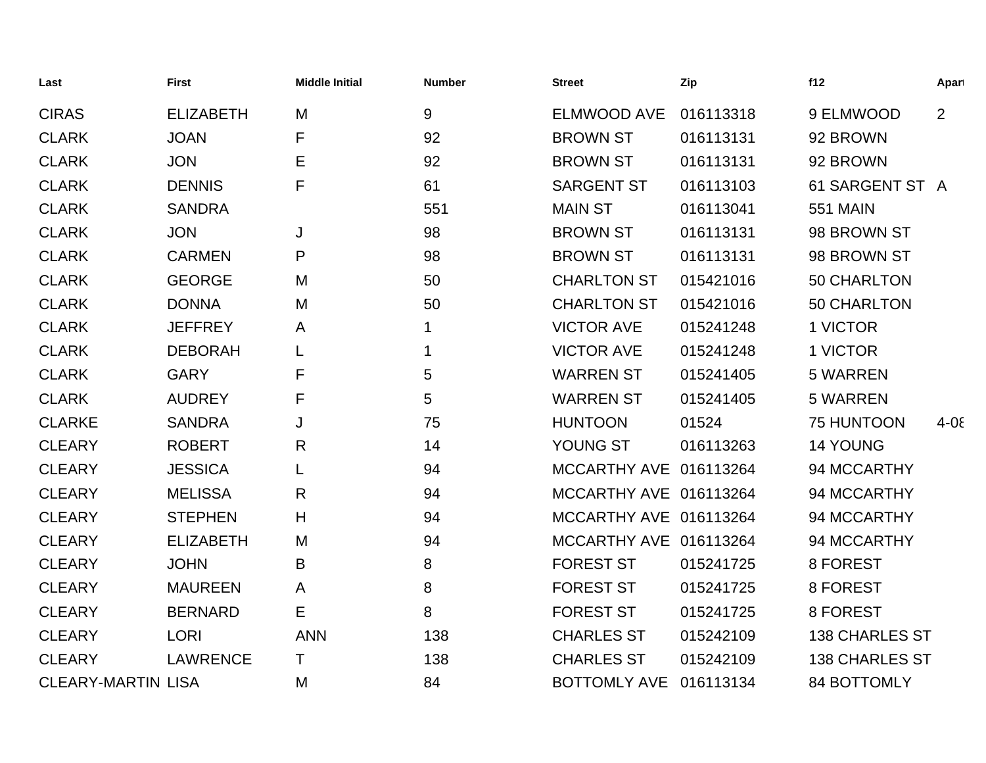| Last                      | <b>First</b>     | <b>Middle Initial</b> | <b>Number</b> | <b>Street</b>          | Zip       | f12                   | Apart      |
|---------------------------|------------------|-----------------------|---------------|------------------------|-----------|-----------------------|------------|
| <b>CIRAS</b>              | <b>ELIZABETH</b> | M                     | 9             | <b>ELMWOOD AVE</b>     | 016113318 | 9 ELMWOOD             | 2          |
| <b>CLARK</b>              | <b>JOAN</b>      | F                     | 92            | <b>BROWN ST</b>        | 016113131 | 92 BROWN              |            |
| <b>CLARK</b>              | <b>JON</b>       | E                     | 92            | <b>BROWN ST</b>        | 016113131 | 92 BROWN              |            |
| <b>CLARK</b>              | <b>DENNIS</b>    | F                     | 61            | <b>SARGENT ST</b>      | 016113103 | 61 SARGENT ST A       |            |
| <b>CLARK</b>              | <b>SANDRA</b>    |                       | 551           | <b>MAIN ST</b>         | 016113041 | <b>551 MAIN</b>       |            |
| <b>CLARK</b>              | <b>JON</b>       | J                     | 98            | <b>BROWN ST</b>        | 016113131 | 98 BROWN ST           |            |
| <b>CLARK</b>              | <b>CARMEN</b>    | P                     | 98            | <b>BROWN ST</b>        | 016113131 | 98 BROWN ST           |            |
| <b>CLARK</b>              | <b>GEORGE</b>    | M                     | 50            | <b>CHARLTON ST</b>     | 015421016 | 50 CHARLTON           |            |
| <b>CLARK</b>              | <b>DONNA</b>     | M                     | 50            | <b>CHARLTON ST</b>     | 015421016 | 50 CHARLTON           |            |
| <b>CLARK</b>              | <b>JEFFREY</b>   | A                     | $\mathbf 1$   | <b>VICTOR AVE</b>      | 015241248 | 1 VICTOR              |            |
| <b>CLARK</b>              | <b>DEBORAH</b>   |                       | 1             | <b>VICTOR AVE</b>      | 015241248 | 1 VICTOR              |            |
| <b>CLARK</b>              | <b>GARY</b>      | F                     | 5             | <b>WARREN ST</b>       | 015241405 | <b>5 WARREN</b>       |            |
| <b>CLARK</b>              | <b>AUDREY</b>    | F                     | 5             | <b>WARREN ST</b>       | 015241405 | <b>5 WARREN</b>       |            |
| <b>CLARKE</b>             | <b>SANDRA</b>    | J                     | 75            | <b>HUNTOON</b>         | 01524     | 75 HUNTOON            | $4 - 0\xi$ |
| <b>CLEARY</b>             | <b>ROBERT</b>    | R                     | 14            | YOUNG ST               | 016113263 | <b>14 YOUNG</b>       |            |
| <b>CLEARY</b>             | <b>JESSICA</b>   | L                     | 94            | MCCARTHY AVE 016113264 |           | 94 MCCARTHY           |            |
| <b>CLEARY</b>             | <b>MELISSA</b>   | $\mathsf{R}$          | 94            | MCCARTHY AVE 016113264 |           | 94 MCCARTHY           |            |
| <b>CLEARY</b>             | <b>STEPHEN</b>   | H                     | 94            | MCCARTHY AVE 016113264 |           | 94 MCCARTHY           |            |
| <b>CLEARY</b>             | <b>ELIZABETH</b> | M                     | 94            | MCCARTHY AVE 016113264 |           | 94 MCCARTHY           |            |
| <b>CLEARY</b>             | <b>JOHN</b>      | B                     | 8             | <b>FOREST ST</b>       | 015241725 | 8 FOREST              |            |
| <b>CLEARY</b>             | <b>MAUREEN</b>   | A                     | 8             | <b>FOREST ST</b>       | 015241725 | 8 FOREST              |            |
| <b>CLEARY</b>             | <b>BERNARD</b>   | Е                     | 8             | <b>FOREST ST</b>       | 015241725 | 8 FOREST              |            |
| <b>CLEARY</b>             | <b>LORI</b>      | <b>ANN</b>            | 138           | <b>CHARLES ST</b>      | 015242109 | <b>138 CHARLES ST</b> |            |
| <b>CLEARY</b>             | <b>LAWRENCE</b>  | Τ                     | 138           | <b>CHARLES ST</b>      | 015242109 | <b>138 CHARLES ST</b> |            |
| <b>CLEARY-MARTIN LISA</b> |                  | M                     | 84            | BOTTOMLY AVE 016113134 |           | 84 BOTTOMLY           |            |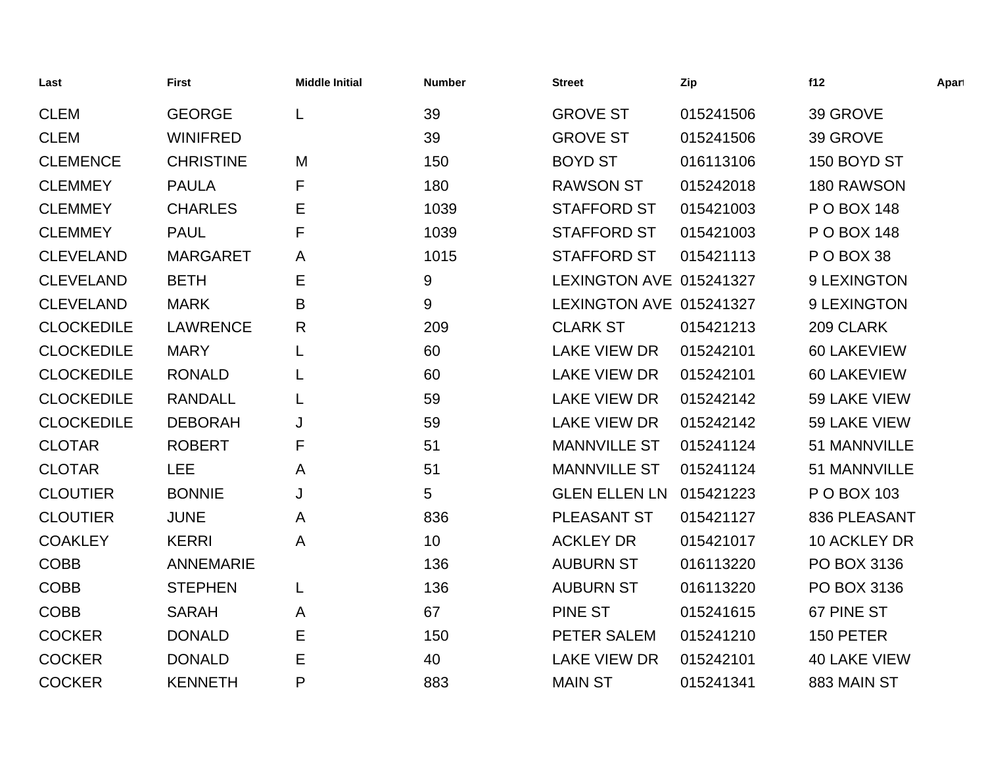| Last              | <b>First</b>     | <b>Middle Initial</b> | <b>Number</b> | <b>Street</b>           | Zip       | f12                 | Apart |
|-------------------|------------------|-----------------------|---------------|-------------------------|-----------|---------------------|-------|
| <b>CLEM</b>       | <b>GEORGE</b>    | L                     | 39            | <b>GROVE ST</b>         | 015241506 | 39 GROVE            |       |
| <b>CLEM</b>       | <b>WINIFRED</b>  |                       | 39            | <b>GROVE ST</b>         | 015241506 | 39 GROVE            |       |
| <b>CLEMENCE</b>   | <b>CHRISTINE</b> | M                     | 150           | <b>BOYD ST</b>          | 016113106 | 150 BOYD ST         |       |
| <b>CLEMMEY</b>    | <b>PAULA</b>     | F                     | 180           | <b>RAWSON ST</b>        | 015242018 | 180 RAWSON          |       |
| <b>CLEMMEY</b>    | <b>CHARLES</b>   | Е                     | 1039          | <b>STAFFORD ST</b>      | 015421003 | P O BOX 148         |       |
| <b>CLEMMEY</b>    | <b>PAUL</b>      | F                     | 1039          | <b>STAFFORD ST</b>      | 015421003 | P O BOX 148         |       |
| <b>CLEVELAND</b>  | <b>MARGARET</b>  | A                     | 1015          | <b>STAFFORD ST</b>      | 015421113 | POBOX 38            |       |
| <b>CLEVELAND</b>  | <b>BETH</b>      | Е                     | 9             | LEXINGTON AVE 015241327 |           | 9 LEXINGTON         |       |
| <b>CLEVELAND</b>  | <b>MARK</b>      | B                     | 9             | LEXINGTON AVE 015241327 |           | 9 LEXINGTON         |       |
| <b>CLOCKEDILE</b> | <b>LAWRENCE</b>  | R                     | 209           | <b>CLARK ST</b>         | 015421213 | 209 CLARK           |       |
| <b>CLOCKEDILE</b> | <b>MARY</b>      | L                     | 60            | <b>LAKE VIEW DR</b>     | 015242101 | 60 LAKEVIEW         |       |
| <b>CLOCKEDILE</b> | <b>RONALD</b>    |                       | 60            | <b>LAKE VIEW DR</b>     | 015242101 | 60 LAKEVIEW         |       |
| <b>CLOCKEDILE</b> | <b>RANDALL</b>   | L                     | 59            | <b>LAKE VIEW DR</b>     | 015242142 | 59 LAKE VIEW        |       |
| <b>CLOCKEDILE</b> | <b>DEBORAH</b>   | J                     | 59            | <b>LAKE VIEW DR</b>     | 015242142 | 59 LAKE VIEW        |       |
| <b>CLOTAR</b>     | <b>ROBERT</b>    | F                     | 51            | <b>MANNVILLE ST</b>     | 015241124 | 51 MANNVILLE        |       |
| <b>CLOTAR</b>     | <b>LEE</b>       | A                     | 51            | <b>MANNVILLE ST</b>     | 015241124 | 51 MANNVILLE        |       |
| <b>CLOUTIER</b>   | <b>BONNIE</b>    | J                     | 5             | <b>GLEN ELLEN LN</b>    | 015421223 | P O BOX 103         |       |
| <b>CLOUTIER</b>   | <b>JUNE</b>      | A                     | 836           | PLEASANT ST             | 015421127 | 836 PLEASANT        |       |
| <b>COAKLEY</b>    | <b>KERRI</b>     | A                     | 10            | <b>ACKLEY DR</b>        | 015421017 | 10 ACKLEY DR        |       |
| <b>COBB</b>       | <b>ANNEMARIE</b> |                       | 136           | <b>AUBURN ST</b>        | 016113220 | PO BOX 3136         |       |
| <b>COBB</b>       | <b>STEPHEN</b>   | L                     | 136           | <b>AUBURN ST</b>        | 016113220 | PO BOX 3136         |       |
| <b>COBB</b>       | <b>SARAH</b>     | A                     | 67            | <b>PINE ST</b>          | 015241615 | 67 PINE ST          |       |
| <b>COCKER</b>     | <b>DONALD</b>    | Е                     | 150           | PETER SALEM             | 015241210 | 150 PETER           |       |
| <b>COCKER</b>     | <b>DONALD</b>    | E                     | 40            | <b>LAKE VIEW DR</b>     | 015242101 | <b>40 LAKE VIEW</b> |       |
| <b>COCKER</b>     | <b>KENNETH</b>   | P                     | 883           | <b>MAIN ST</b>          | 015241341 | 883 MAIN ST         |       |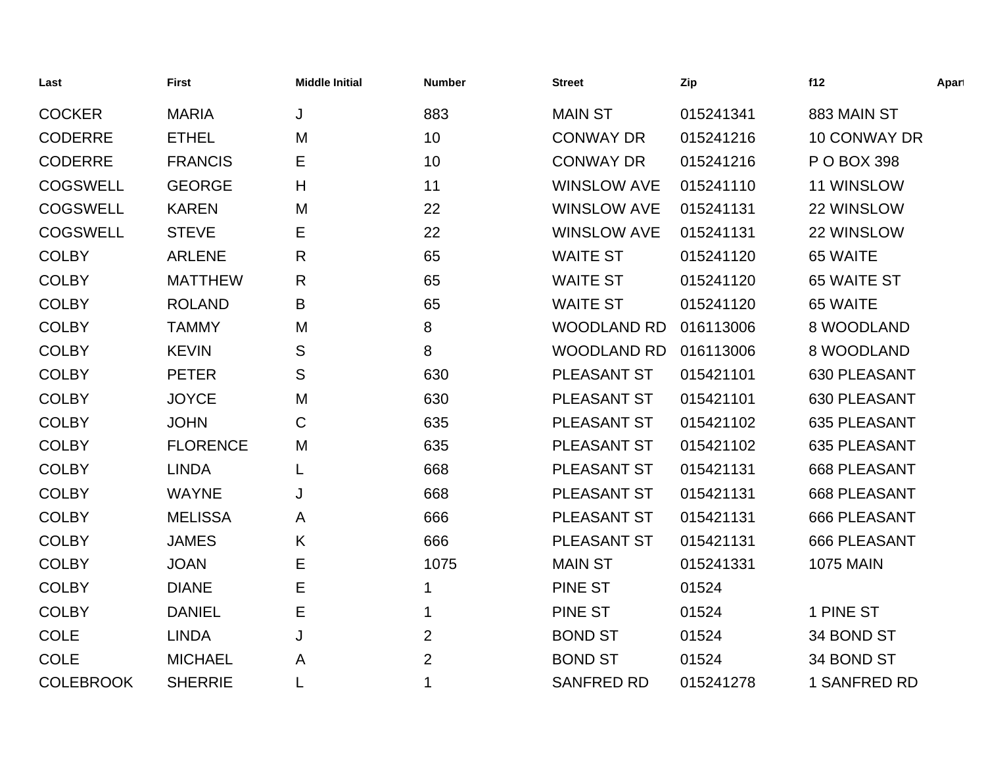| Last             | <b>First</b>    | <b>Middle Initial</b> | <b>Number</b>  | <b>Street</b>      | Zip       | f12                 | Apart |
|------------------|-----------------|-----------------------|----------------|--------------------|-----------|---------------------|-------|
| <b>COCKER</b>    | <b>MARIA</b>    | J                     | 883            | <b>MAIN ST</b>     | 015241341 | 883 MAIN ST         |       |
| <b>CODERRE</b>   | <b>ETHEL</b>    | M                     | 10             | <b>CONWAY DR</b>   | 015241216 | 10 CONWAY DR        |       |
| <b>CODERRE</b>   | <b>FRANCIS</b>  | Е                     | 10             | <b>CONWAY DR</b>   | 015241216 | P O BOX 398         |       |
| <b>COGSWELL</b>  | <b>GEORGE</b>   | Н                     | 11             | <b>WINSLOW AVE</b> | 015241110 | 11 WINSLOW          |       |
| <b>COGSWELL</b>  | <b>KAREN</b>    | M                     | 22             | <b>WINSLOW AVE</b> | 015241131 | 22 WINSLOW          |       |
| <b>COGSWELL</b>  | <b>STEVE</b>    | Е                     | 22             | <b>WINSLOW AVE</b> | 015241131 | 22 WINSLOW          |       |
| <b>COLBY</b>     | <b>ARLENE</b>   | R                     | 65             | <b>WAITE ST</b>    | 015241120 | 65 WAITE            |       |
| <b>COLBY</b>     | <b>MATTHEW</b>  | R                     | 65             | <b>WAITE ST</b>    | 015241120 | 65 WAITE ST         |       |
| <b>COLBY</b>     | <b>ROLAND</b>   | B                     | 65             | <b>WAITE ST</b>    | 015241120 | 65 WAITE            |       |
| <b>COLBY</b>     | <b>TAMMY</b>    | M                     | 8              | <b>WOODLAND RD</b> | 016113006 | 8 WOODLAND          |       |
| <b>COLBY</b>     | <b>KEVIN</b>    | S                     | 8              | <b>WOODLAND RD</b> | 016113006 | 8 WOODLAND          |       |
| <b>COLBY</b>     | <b>PETER</b>    | S                     | 630            | PLEASANT ST        | 015421101 | 630 PLEASANT        |       |
| <b>COLBY</b>     | <b>JOYCE</b>    | M                     | 630            | PLEASANT ST        | 015421101 | 630 PLEASANT        |       |
| <b>COLBY</b>     | <b>JOHN</b>     | C                     | 635            | PLEASANT ST        | 015421102 | 635 PLEASANT        |       |
| <b>COLBY</b>     | <b>FLORENCE</b> | M                     | 635            | PLEASANT ST        | 015421102 | 635 PLEASANT        |       |
| <b>COLBY</b>     | <b>LINDA</b>    | L                     | 668            | <b>PLEASANT ST</b> | 015421131 | <b>668 PLEASANT</b> |       |
| <b>COLBY</b>     | <b>WAYNE</b>    | J                     | 668            | PLEASANT ST        | 015421131 | <b>668 PLEASANT</b> |       |
| <b>COLBY</b>     | <b>MELISSA</b>  | A                     | 666            | PLEASANT ST        | 015421131 | 666 PLEASANT        |       |
| <b>COLBY</b>     | <b>JAMES</b>    | Κ                     | 666            | PLEASANT ST        | 015421131 | 666 PLEASANT        |       |
| <b>COLBY</b>     | <b>JOAN</b>     | Е                     | 1075           | <b>MAIN ST</b>     | 015241331 | <b>1075 MAIN</b>    |       |
| <b>COLBY</b>     | <b>DIANE</b>    | Е                     | 1              | PINE ST            | 01524     |                     |       |
| <b>COLBY</b>     | <b>DANIEL</b>   | Е                     | 1              | <b>PINE ST</b>     | 01524     | 1 PINE ST           |       |
| COLE             | <b>LINDA</b>    | J                     | $\overline{2}$ | <b>BOND ST</b>     | 01524     | 34 BOND ST          |       |
| <b>COLE</b>      | <b>MICHAEL</b>  | Α                     | $\overline{2}$ | <b>BOND ST</b>     | 01524     | 34 BOND ST          |       |
| <b>COLEBROOK</b> | <b>SHERRIE</b>  |                       | 1              | <b>SANFRED RD</b>  | 015241278 | 1 SANFRED RD        |       |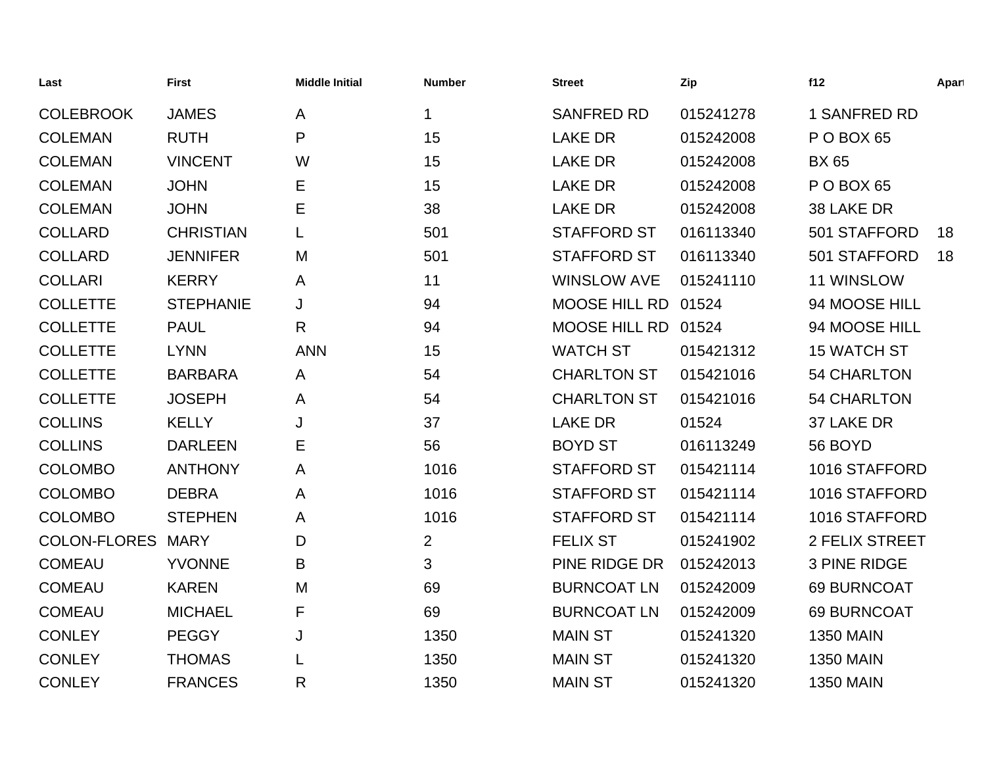| Last                | <b>First</b>     | <b>Middle Initial</b> | <b>Number</b>  | <b>Street</b>        | Zip       | f12                | Apart |
|---------------------|------------------|-----------------------|----------------|----------------------|-----------|--------------------|-------|
| <b>COLEBROOK</b>    | <b>JAMES</b>     | A                     | 1              | <b>SANFRED RD</b>    | 015241278 | 1 SANFRED RD       |       |
| <b>COLEMAN</b>      | <b>RUTH</b>      | P                     | 15             | <b>LAKE DR</b>       | 015242008 | P O BOX 65         |       |
| <b>COLEMAN</b>      | <b>VINCENT</b>   | W                     | 15             | <b>LAKE DR</b>       | 015242008 | <b>BX 65</b>       |       |
| <b>COLEMAN</b>      | <b>JOHN</b>      | Е                     | 15             | <b>LAKE DR</b>       | 015242008 | P O BOX 65         |       |
| <b>COLEMAN</b>      | <b>JOHN</b>      | E                     | 38             | <b>LAKE DR</b>       | 015242008 | 38 LAKE DR         |       |
| <b>COLLARD</b>      | <b>CHRISTIAN</b> | L                     | 501            | <b>STAFFORD ST</b>   | 016113340 | 501 STAFFORD       | 18    |
| <b>COLLARD</b>      | <b>JENNIFER</b>  | M                     | 501            | <b>STAFFORD ST</b>   | 016113340 | 501 STAFFORD       | 18    |
| <b>COLLARI</b>      | <b>KERRY</b>     | A                     | 11             | <b>WINSLOW AVE</b>   | 015241110 | 11 WINSLOW         |       |
| <b>COLLETTE</b>     | <b>STEPHANIE</b> | J                     | 94             | <b>MOOSE HILL RD</b> | 01524     | 94 MOOSE HILL      |       |
| <b>COLLETTE</b>     | <b>PAUL</b>      | R                     | 94             | <b>MOOSE HILL RD</b> | 01524     | 94 MOOSE HILL      |       |
| <b>COLLETTE</b>     | <b>LYNN</b>      | <b>ANN</b>            | 15             | <b>WATCH ST</b>      | 015421312 | <b>15 WATCH ST</b> |       |
| <b>COLLETTE</b>     | <b>BARBARA</b>   | A                     | 54             | <b>CHARLTON ST</b>   | 015421016 | <b>54 CHARLTON</b> |       |
| <b>COLLETTE</b>     | <b>JOSEPH</b>    | A                     | 54             | <b>CHARLTON ST</b>   | 015421016 | <b>54 CHARLTON</b> |       |
| <b>COLLINS</b>      | <b>KELLY</b>     | J                     | 37             | <b>LAKE DR</b>       | 01524     | 37 LAKE DR         |       |
| <b>COLLINS</b>      | <b>DARLEEN</b>   | Е                     | 56             | <b>BOYD ST</b>       | 016113249 | 56 BOYD            |       |
| <b>COLOMBO</b>      | <b>ANTHONY</b>   | A                     | 1016           | <b>STAFFORD ST</b>   | 015421114 | 1016 STAFFORD      |       |
| <b>COLOMBO</b>      | <b>DEBRA</b>     | A                     | 1016           | <b>STAFFORD ST</b>   | 015421114 | 1016 STAFFORD      |       |
| <b>COLOMBO</b>      | <b>STEPHEN</b>   | A                     | 1016           | <b>STAFFORD ST</b>   | 015421114 | 1016 STAFFORD      |       |
| <b>COLON-FLORES</b> | <b>MARY</b>      | D                     | $\overline{2}$ | <b>FELIX ST</b>      | 015241902 | 2 FELIX STREET     |       |
| <b>COMEAU</b>       | <b>YVONNE</b>    | B                     | 3              | PINE RIDGE DR        | 015242013 | 3 PINE RIDGE       |       |
| <b>COMEAU</b>       | <b>KAREN</b>     | M                     | 69             | <b>BURNCOAT LN</b>   | 015242009 | 69 BURNCOAT        |       |
| <b>COMEAU</b>       | <b>MICHAEL</b>   | F                     | 69             | <b>BURNCOAT LN</b>   | 015242009 | 69 BURNCOAT        |       |
| <b>CONLEY</b>       | <b>PEGGY</b>     | J                     | 1350           | <b>MAIN ST</b>       | 015241320 | <b>1350 MAIN</b>   |       |
| <b>CONLEY</b>       | <b>THOMAS</b>    |                       | 1350           | <b>MAIN ST</b>       | 015241320 | <b>1350 MAIN</b>   |       |
| <b>CONLEY</b>       | <b>FRANCES</b>   | R                     | 1350           | <b>MAIN ST</b>       | 015241320 | <b>1350 MAIN</b>   |       |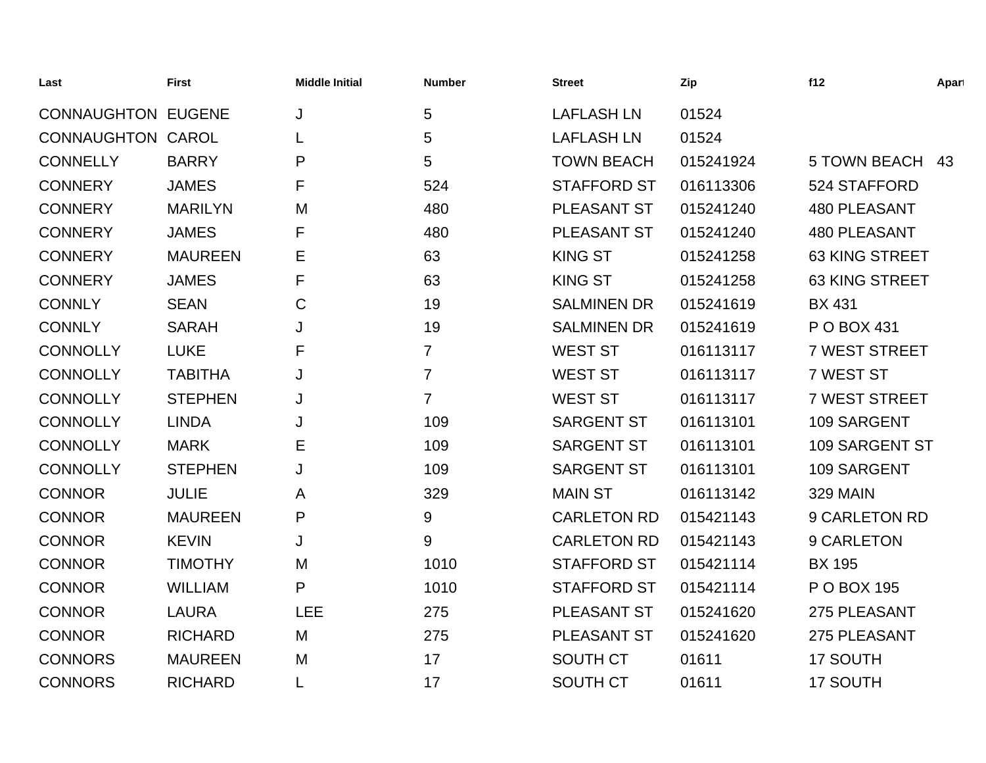| Last                      | <b>First</b>   | <b>Middle Initial</b> | <b>Number</b>    | <b>Street</b>      | Zip       | f12                   | Apart |
|---------------------------|----------------|-----------------------|------------------|--------------------|-----------|-----------------------|-------|
| <b>CONNAUGHTON EUGENE</b> |                | J                     | 5                | <b>LAFLASH LN</b>  | 01524     |                       |       |
| <b>CONNAUGHTON CAROL</b>  |                |                       | 5                | <b>LAFLASH LN</b>  | 01524     |                       |       |
| <b>CONNELLY</b>           | <b>BARRY</b>   | P                     | 5                | <b>TOWN BEACH</b>  | 015241924 | <b>5 TOWN BEACH</b>   | 43    |
| <b>CONNERY</b>            | <b>JAMES</b>   | F                     | 524              | <b>STAFFORD ST</b> | 016113306 | 524 STAFFORD          |       |
| <b>CONNERY</b>            | <b>MARILYN</b> | M                     | 480              | PLEASANT ST        | 015241240 | <b>480 PLEASANT</b>   |       |
| <b>CONNERY</b>            | <b>JAMES</b>   | F                     | 480              | PLEASANT ST        | 015241240 | 480 PLEASANT          |       |
| <b>CONNERY</b>            | <b>MAUREEN</b> | Е                     | 63               | <b>KING ST</b>     | 015241258 | <b>63 KING STREET</b> |       |
| <b>CONNERY</b>            | <b>JAMES</b>   | F                     | 63               | <b>KING ST</b>     | 015241258 | 63 KING STREET        |       |
| <b>CONNLY</b>             | <b>SEAN</b>    | $\mathbf C$           | 19               | <b>SALMINEN DR</b> | 015241619 | <b>BX 431</b>         |       |
| <b>CONNLY</b>             | <b>SARAH</b>   | J                     | 19               | <b>SALMINEN DR</b> | 015241619 | P O BOX 431           |       |
| <b>CONNOLLY</b>           | <b>LUKE</b>    | F                     | $\overline{7}$   | <b>WEST ST</b>     | 016113117 | <b>7 WEST STREET</b>  |       |
| <b>CONNOLLY</b>           | <b>TABITHA</b> | J                     | $\overline{7}$   | <b>WEST ST</b>     | 016113117 | 7 WEST ST             |       |
| <b>CONNOLLY</b>           | <b>STEPHEN</b> | J                     | $\overline{7}$   | <b>WEST ST</b>     | 016113117 | <b>7 WEST STREET</b>  |       |
| <b>CONNOLLY</b>           | <b>LINDA</b>   | J                     | 109              | <b>SARGENT ST</b>  | 016113101 | 109 SARGENT           |       |
| <b>CONNOLLY</b>           | <b>MARK</b>    | E                     | 109              | <b>SARGENT ST</b>  | 016113101 | 109 SARGENT ST        |       |
| <b>CONNOLLY</b>           | <b>STEPHEN</b> | J                     | 109              | <b>SARGENT ST</b>  | 016113101 | 109 SARGENT           |       |
| <b>CONNOR</b>             | <b>JULIE</b>   | A                     | 329              | <b>MAIN ST</b>     | 016113142 | <b>329 MAIN</b>       |       |
| <b>CONNOR</b>             | <b>MAUREEN</b> | P                     | $\boldsymbol{9}$ | <b>CARLETON RD</b> | 015421143 | 9 CARLETON RD         |       |
| <b>CONNOR</b>             | <b>KEVIN</b>   | J                     | 9                | <b>CARLETON RD</b> | 015421143 | 9 CARLETON            |       |
| <b>CONNOR</b>             | <b>TIMOTHY</b> | M                     | 1010             | <b>STAFFORD ST</b> | 015421114 | <b>BX 195</b>         |       |
| <b>CONNOR</b>             | <b>WILLIAM</b> | P                     | 1010             | <b>STAFFORD ST</b> | 015421114 | P O BOX 195           |       |
| <b>CONNOR</b>             | <b>LAURA</b>   | <b>LEE</b>            | 275              | PLEASANT ST        | 015241620 | 275 PLEASANT          |       |
| <b>CONNOR</b>             | <b>RICHARD</b> | M                     | 275              | PLEASANT ST        | 015241620 | 275 PLEASANT          |       |
| <b>CONNORS</b>            | <b>MAUREEN</b> | M                     | 17               | <b>SOUTH CT</b>    | 01611     | 17 SOUTH              |       |
| <b>CONNORS</b>            | <b>RICHARD</b> |                       | 17               | <b>SOUTH CT</b>    | 01611     | 17 SOUTH              |       |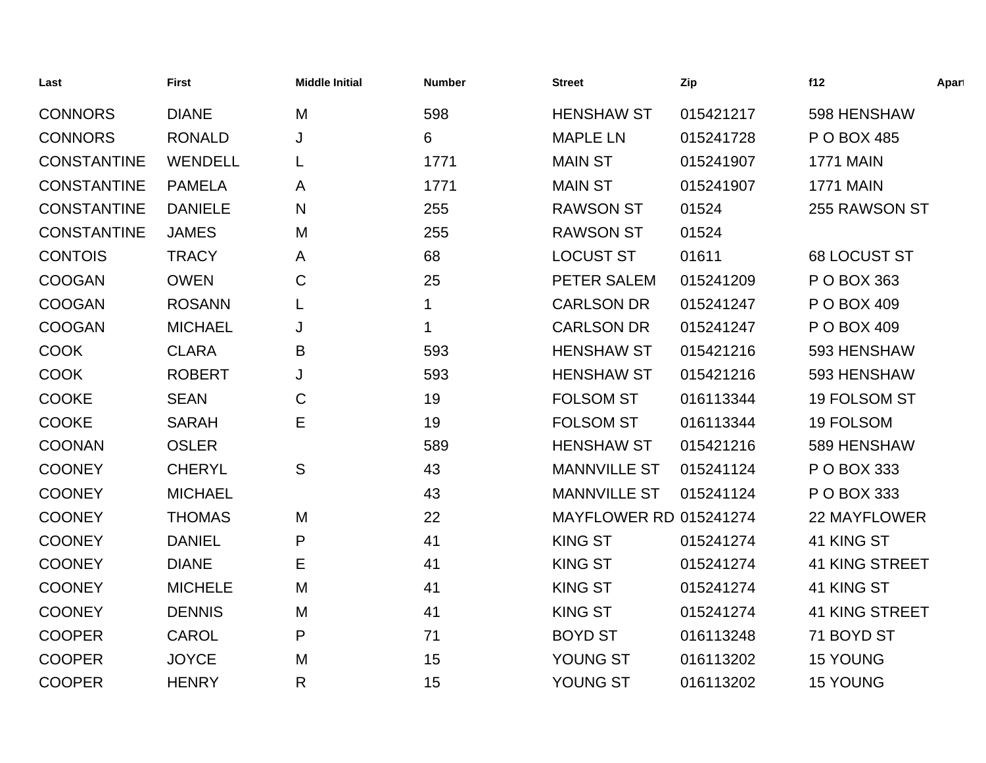| Last               | <b>First</b>   | <b>Middle Initial</b> | <b>Number</b> | <b>Street</b>          | Zip       | f12                   | Apart |
|--------------------|----------------|-----------------------|---------------|------------------------|-----------|-----------------------|-------|
| <b>CONNORS</b>     | <b>DIANE</b>   | M                     | 598           | <b>HENSHAW ST</b>      | 015421217 | 598 HENSHAW           |       |
| <b>CONNORS</b>     | <b>RONALD</b>  | J                     | 6             | <b>MAPLE LN</b>        | 015241728 | P O BOX 485           |       |
| <b>CONSTANTINE</b> | <b>WENDELL</b> | L                     | 1771          | <b>MAIN ST</b>         | 015241907 | <b>1771 MAIN</b>      |       |
| <b>CONSTANTINE</b> | <b>PAMELA</b>  | A                     | 1771          | <b>MAIN ST</b>         | 015241907 | <b>1771 MAIN</b>      |       |
| <b>CONSTANTINE</b> | <b>DANIELE</b> | N                     | 255           | <b>RAWSON ST</b>       | 01524     | 255 RAWSON ST         |       |
| <b>CONSTANTINE</b> | <b>JAMES</b>   | M                     | 255           | <b>RAWSON ST</b>       | 01524     |                       |       |
| <b>CONTOIS</b>     | <b>TRACY</b>   | A                     | 68            | <b>LOCUST ST</b>       | 01611     | 68 LOCUST ST          |       |
| <b>COOGAN</b>      | <b>OWEN</b>    | C                     | 25            | PETER SALEM            | 015241209 | P O BOX 363           |       |
| <b>COOGAN</b>      | <b>ROSANN</b>  | L                     | 1             | <b>CARLSON DR</b>      | 015241247 | P O BOX 409           |       |
| <b>COOGAN</b>      | <b>MICHAEL</b> | J                     | 1             | <b>CARLSON DR</b>      | 015241247 | P O BOX 409           |       |
| <b>COOK</b>        | <b>CLARA</b>   | B                     | 593           | <b>HENSHAW ST</b>      | 015421216 | 593 HENSHAW           |       |
| <b>COOK</b>        | <b>ROBERT</b>  | J                     | 593           | <b>HENSHAW ST</b>      | 015421216 | 593 HENSHAW           |       |
| <b>COOKE</b>       | <b>SEAN</b>    | C                     | 19            | <b>FOLSOM ST</b>       | 016113344 | 19 FOLSOM ST          |       |
| <b>COOKE</b>       | <b>SARAH</b>   | E                     | 19            | <b>FOLSOM ST</b>       | 016113344 | 19 FOLSOM             |       |
| <b>COONAN</b>      | <b>OSLER</b>   |                       | 589           | <b>HENSHAW ST</b>      | 015421216 | 589 HENSHAW           |       |
| <b>COONEY</b>      | <b>CHERYL</b>  | S                     | 43            | <b>MANNVILLE ST</b>    | 015241124 | P O BOX 333           |       |
| <b>COONEY</b>      | <b>MICHAEL</b> |                       | 43            | <b>MANNVILLE ST</b>    | 015241124 | P O BOX 333           |       |
| <b>COONEY</b>      | <b>THOMAS</b>  | M                     | 22            | MAYFLOWER RD 015241274 |           | <b>22 MAYFLOWER</b>   |       |
| <b>COONEY</b>      | <b>DANIEL</b>  | P                     | 41            | <b>KING ST</b>         | 015241274 | 41 KING ST            |       |
| <b>COONEY</b>      | <b>DIANE</b>   | Е                     | 41            | <b>KING ST</b>         | 015241274 | <b>41 KING STREET</b> |       |
| <b>COONEY</b>      | <b>MICHELE</b> | M                     | 41            | <b>KING ST</b>         | 015241274 | 41 KING ST            |       |
| <b>COONEY</b>      | <b>DENNIS</b>  | M                     | 41            | <b>KING ST</b>         | 015241274 | <b>41 KING STREET</b> |       |
| <b>COOPER</b>      | <b>CAROL</b>   | P                     | 71            | <b>BOYD ST</b>         | 016113248 | 71 BOYD ST            |       |
| <b>COOPER</b>      | <b>JOYCE</b>   | M                     | 15            | YOUNG ST               | 016113202 | <b>15 YOUNG</b>       |       |
| <b>COOPER</b>      | <b>HENRY</b>   | R                     | 15            | YOUNG ST               | 016113202 | <b>15 YOUNG</b>       |       |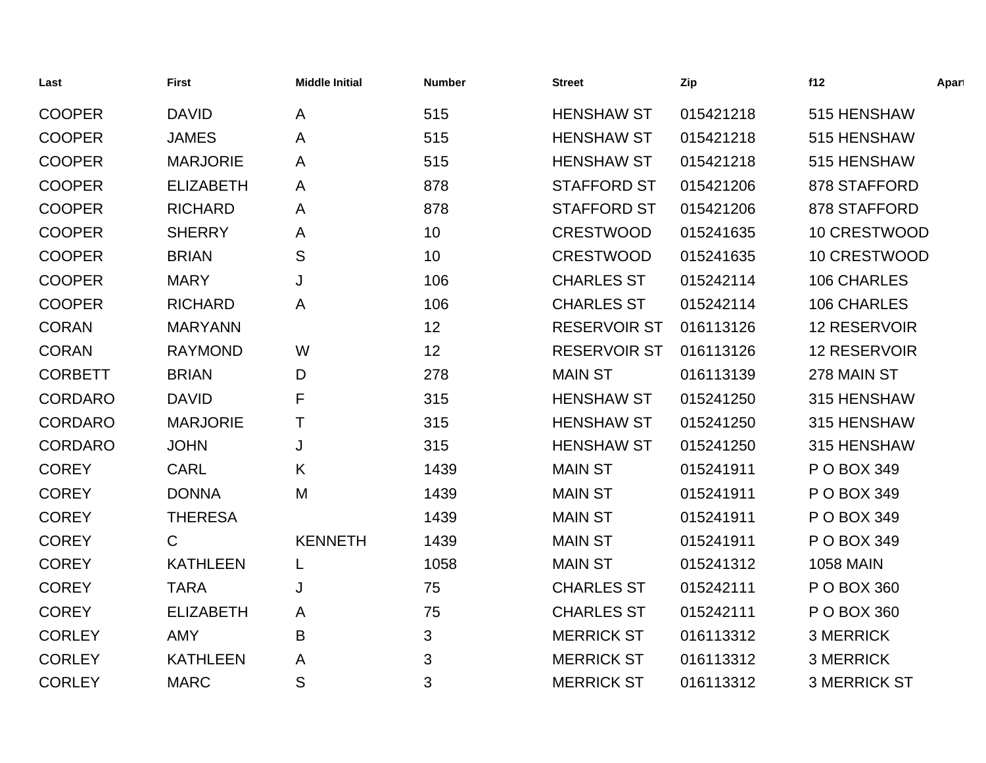| Last           | <b>First</b>     | <b>Middle Initial</b> | <b>Number</b> | <b>Street</b>       | Zip       | f12                 | Apart |
|----------------|------------------|-----------------------|---------------|---------------------|-----------|---------------------|-------|
| <b>COOPER</b>  | <b>DAVID</b>     | A                     | 515           | <b>HENSHAW ST</b>   | 015421218 | 515 HENSHAW         |       |
| <b>COOPER</b>  | <b>JAMES</b>     | A                     | 515           | <b>HENSHAW ST</b>   | 015421218 | 515 HENSHAW         |       |
| <b>COOPER</b>  | <b>MARJORIE</b>  | A                     | 515           | <b>HENSHAW ST</b>   | 015421218 | 515 HENSHAW         |       |
| <b>COOPER</b>  | <b>ELIZABETH</b> | A                     | 878           | <b>STAFFORD ST</b>  | 015421206 | 878 STAFFORD        |       |
| <b>COOPER</b>  | <b>RICHARD</b>   | A                     | 878           | <b>STAFFORD ST</b>  | 015421206 | 878 STAFFORD        |       |
| <b>COOPER</b>  | <b>SHERRY</b>    | A                     | 10            | <b>CRESTWOOD</b>    | 015241635 | 10 CRESTWOOD        |       |
| <b>COOPER</b>  | <b>BRIAN</b>     | S                     | 10            | <b>CRESTWOOD</b>    | 015241635 | 10 CRESTWOOD        |       |
| <b>COOPER</b>  | <b>MARY</b>      | J                     | 106           | <b>CHARLES ST</b>   | 015242114 | 106 CHARLES         |       |
| <b>COOPER</b>  | <b>RICHARD</b>   | A                     | 106           | <b>CHARLES ST</b>   | 015242114 | 106 CHARLES         |       |
| <b>CORAN</b>   | <b>MARYANN</b>   |                       | 12            | <b>RESERVOIR ST</b> | 016113126 | <b>12 RESERVOIR</b> |       |
| <b>CORAN</b>   | <b>RAYMOND</b>   | W                     | 12            | <b>RESERVOIR ST</b> | 016113126 | <b>12 RESERVOIR</b> |       |
| <b>CORBETT</b> | <b>BRIAN</b>     | D                     | 278           | <b>MAIN ST</b>      | 016113139 | 278 MAIN ST         |       |
| <b>CORDARO</b> | <b>DAVID</b>     | F                     | 315           | <b>HENSHAW ST</b>   | 015241250 | 315 HENSHAW         |       |
| <b>CORDARO</b> | <b>MARJORIE</b>  | $\mathsf T$           | 315           | <b>HENSHAW ST</b>   | 015241250 | 315 HENSHAW         |       |
| <b>CORDARO</b> | <b>JOHN</b>      | J                     | 315           | <b>HENSHAW ST</b>   | 015241250 | 315 HENSHAW         |       |
| <b>COREY</b>   | <b>CARL</b>      | K                     | 1439          | <b>MAIN ST</b>      | 015241911 | P O BOX 349         |       |
| <b>COREY</b>   | <b>DONNA</b>     | M                     | 1439          | <b>MAIN ST</b>      | 015241911 | P O BOX 349         |       |
| <b>COREY</b>   | <b>THERESA</b>   |                       | 1439          | <b>MAIN ST</b>      | 015241911 | P O BOX 349         |       |
| <b>COREY</b>   | $\mathsf{C}$     | <b>KENNETH</b>        | 1439          | <b>MAIN ST</b>      | 015241911 | P O BOX 349         |       |
| <b>COREY</b>   | <b>KATHLEEN</b>  | L                     | 1058          | <b>MAIN ST</b>      | 015241312 | <b>1058 MAIN</b>    |       |
| <b>COREY</b>   | <b>TARA</b>      | J                     | 75            | <b>CHARLES ST</b>   | 015242111 | P O BOX 360         |       |
| <b>COREY</b>   | <b>ELIZABETH</b> | A                     | 75            | <b>CHARLES ST</b>   | 015242111 | P O BOX 360         |       |
| <b>CORLEY</b>  | <b>AMY</b>       | B                     | $\mathbf{3}$  | <b>MERRICK ST</b>   | 016113312 | <b>3 MERRICK</b>    |       |
| <b>CORLEY</b>  | <b>KATHLEEN</b>  | A                     | 3             | <b>MERRICK ST</b>   | 016113312 | <b>3 MERRICK</b>    |       |
| <b>CORLEY</b>  | <b>MARC</b>      | S                     | 3             | <b>MERRICK ST</b>   | 016113312 | <b>3 MERRICK ST</b> |       |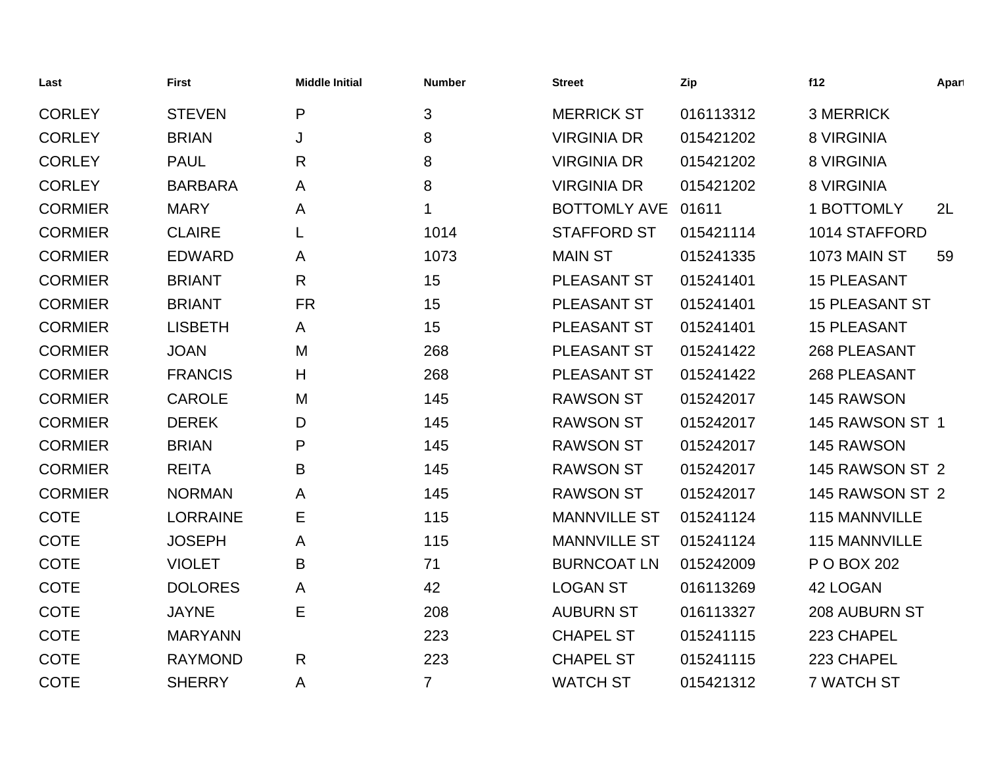| Last           | <b>First</b>    | <b>Middle Initial</b> | <b>Number</b>  | <b>Street</b>       | Zip       | f12                   | Apart |
|----------------|-----------------|-----------------------|----------------|---------------------|-----------|-----------------------|-------|
| <b>CORLEY</b>  | <b>STEVEN</b>   | P                     | 3              | <b>MERRICK ST</b>   | 016113312 | <b>3 MERRICK</b>      |       |
| <b>CORLEY</b>  | <b>BRIAN</b>    | J                     | 8              | <b>VIRGINIA DR</b>  | 015421202 | 8 VIRGINIA            |       |
| <b>CORLEY</b>  | <b>PAUL</b>     | R                     | 8              | <b>VIRGINIA DR</b>  | 015421202 | <b>8 VIRGINIA</b>     |       |
| <b>CORLEY</b>  | <b>BARBARA</b>  | A                     | 8              | <b>VIRGINIA DR</b>  | 015421202 | <b>8 VIRGINIA</b>     |       |
| <b>CORMIER</b> | <b>MARY</b>     | A                     | 1              | <b>BOTTOMLY AVE</b> | 01611     | 1 BOTTOMLY            | 2L    |
| <b>CORMIER</b> | <b>CLAIRE</b>   | L                     | 1014           | <b>STAFFORD ST</b>  | 015421114 | 1014 STAFFORD         |       |
| <b>CORMIER</b> | <b>EDWARD</b>   | A                     | 1073           | <b>MAIN ST</b>      | 015241335 | <b>1073 MAIN ST</b>   | 59    |
| <b>CORMIER</b> | <b>BRIANT</b>   | $\mathsf{R}$          | 15             | PLEASANT ST         | 015241401 | <b>15 PLEASANT</b>    |       |
| <b>CORMIER</b> | <b>BRIANT</b>   | <b>FR</b>             | 15             | <b>PLEASANT ST</b>  | 015241401 | <b>15 PLEASANT ST</b> |       |
| <b>CORMIER</b> | <b>LISBETH</b>  | A                     | 15             | PLEASANT ST         | 015241401 | <b>15 PLEASANT</b>    |       |
| <b>CORMIER</b> | <b>JOAN</b>     | M                     | 268            | PLEASANT ST         | 015241422 | 268 PLEASANT          |       |
| <b>CORMIER</b> | <b>FRANCIS</b>  | H                     | 268            | <b>PLEASANT ST</b>  | 015241422 | 268 PLEASANT          |       |
| <b>CORMIER</b> | <b>CAROLE</b>   | M                     | 145            | <b>RAWSON ST</b>    | 015242017 | 145 RAWSON            |       |
| <b>CORMIER</b> | <b>DEREK</b>    | D                     | 145            | <b>RAWSON ST</b>    | 015242017 | 145 RAWSON ST 1       |       |
| <b>CORMIER</b> | <b>BRIAN</b>    | P                     | 145            | <b>RAWSON ST</b>    | 015242017 | 145 RAWSON            |       |
| <b>CORMIER</b> | <b>REITA</b>    | B                     | 145            | <b>RAWSON ST</b>    | 015242017 | 145 RAWSON ST 2       |       |
| <b>CORMIER</b> | <b>NORMAN</b>   | Α                     | 145            | <b>RAWSON ST</b>    | 015242017 | 145 RAWSON ST 2       |       |
| <b>COTE</b>    | <b>LORRAINE</b> | Е                     | 115            | <b>MANNVILLE ST</b> | 015241124 | 115 MANNVILLE         |       |
| <b>COTE</b>    | <b>JOSEPH</b>   | Α                     | 115            | <b>MANNVILLE ST</b> | 015241124 | 115 MANNVILLE         |       |
| <b>COTE</b>    | <b>VIOLET</b>   | B                     | 71             | <b>BURNCOAT LN</b>  | 015242009 | P O BOX 202           |       |
| <b>COTE</b>    | <b>DOLORES</b>  | A                     | 42             | <b>LOGAN ST</b>     | 016113269 | 42 LOGAN              |       |
| <b>COTE</b>    | <b>JAYNE</b>    | Е                     | 208            | <b>AUBURN ST</b>    | 016113327 | <b>208 AUBURN ST</b>  |       |
| <b>COTE</b>    | <b>MARYANN</b>  |                       | 223            | <b>CHAPEL ST</b>    | 015241115 | 223 CHAPEL            |       |
| <b>COTE</b>    | <b>RAYMOND</b>  | $\mathsf{R}$          | 223            | <b>CHAPEL ST</b>    | 015241115 | 223 CHAPEL            |       |
| <b>COTE</b>    | <b>SHERRY</b>   | A                     | $\overline{7}$ | <b>WATCH ST</b>     | 015421312 | <b>7 WATCH ST</b>     |       |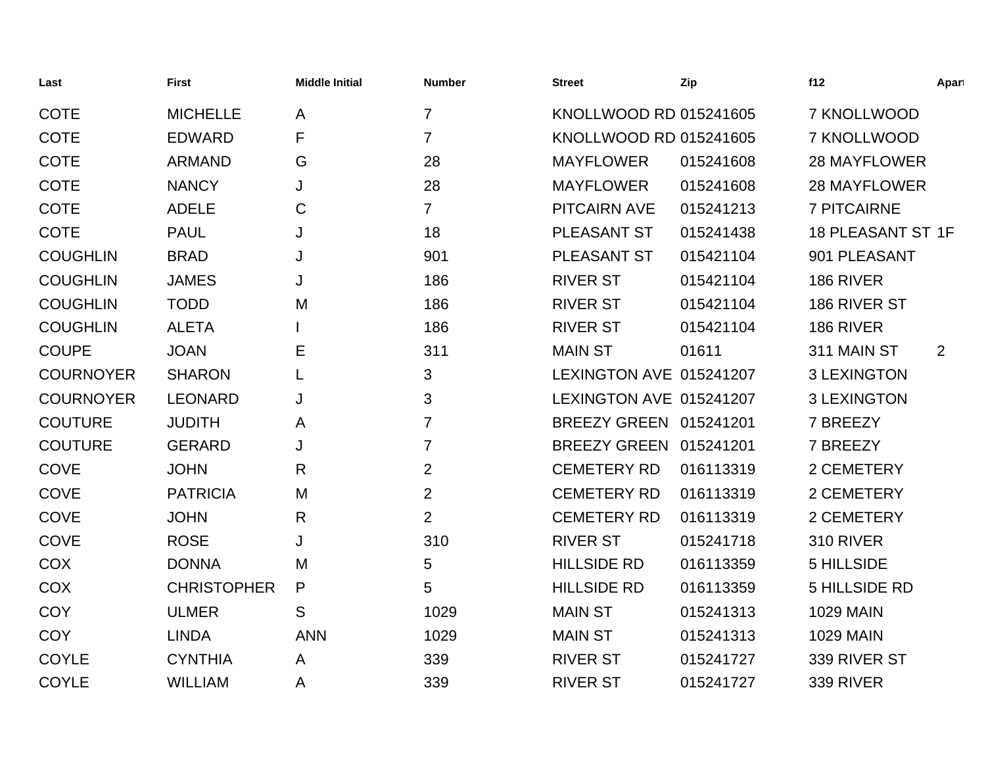| Last             | <b>First</b>       | <b>Middle Initial</b> | <b>Number</b>  | <b>Street</b>           | Zip       | f12                  | Apart |
|------------------|--------------------|-----------------------|----------------|-------------------------|-----------|----------------------|-------|
| <b>COTE</b>      | <b>MICHELLE</b>    | A                     | $\overline{7}$ | KNOLLWOOD RD 015241605  |           | 7 KNOLLWOOD          |       |
| <b>COTE</b>      | <b>EDWARD</b>      | F                     | $\overline{7}$ | KNOLLWOOD RD 015241605  |           | 7 KNOLLWOOD          |       |
| <b>COTE</b>      | <b>ARMAND</b>      | G                     | 28             | <b>MAYFLOWER</b>        | 015241608 | <b>28 MAYFLOWER</b>  |       |
| <b>COTE</b>      | <b>NANCY</b>       | J                     | 28             | <b>MAYFLOWER</b>        | 015241608 | <b>28 MAYFLOWER</b>  |       |
| <b>COTE</b>      | <b>ADELE</b>       | $\mathsf C$           | $\overline{7}$ | <b>PITCAIRN AVE</b>     | 015241213 | <b>7 PITCAIRNE</b>   |       |
| <b>COTE</b>      | <b>PAUL</b>        | J                     | 18             | PLEASANT ST             | 015241438 | 18 PLEASANT ST 1F    |       |
| <b>COUGHLIN</b>  | <b>BRAD</b>        | J                     | 901            | PLEASANT ST             | 015421104 | 901 PLEASANT         |       |
| <b>COUGHLIN</b>  | <b>JAMES</b>       | J                     | 186            | <b>RIVER ST</b>         | 015421104 | 186 RIVER            |       |
| <b>COUGHLIN</b>  | <b>TODD</b>        | M                     | 186            | <b>RIVER ST</b>         | 015421104 | 186 RIVER ST         |       |
| <b>COUGHLIN</b>  | <b>ALETA</b>       |                       | 186            | <b>RIVER ST</b>         | 015421104 | 186 RIVER            |       |
| <b>COUPE</b>     | <b>JOAN</b>        | Е                     | 311            | <b>MAIN ST</b>          | 01611     | 311 MAIN ST          | 2     |
| <b>COURNOYER</b> | <b>SHARON</b>      | L                     | 3              | LEXINGTON AVE 015241207 |           | <b>3 LEXINGTON</b>   |       |
| <b>COURNOYER</b> | <b>LEONARD</b>     | J                     | 3              | LEXINGTON AVE 015241207 |           | <b>3 LEXINGTON</b>   |       |
| <b>COUTURE</b>   | <b>JUDITH</b>      | A                     | $\overline{7}$ | BREEZY GREEN 015241201  |           | 7 BREEZY             |       |
| <b>COUTURE</b>   | <b>GERARD</b>      | J                     | $\overline{7}$ | BREEZY GREEN 015241201  |           | 7 BREEZY             |       |
| <b>COVE</b>      | <b>JOHN</b>        | R                     | $\overline{2}$ | <b>CEMETERY RD</b>      | 016113319 | 2 CEMETERY           |       |
| <b>COVE</b>      | <b>PATRICIA</b>    | M                     | $\overline{2}$ | <b>CEMETERY RD</b>      | 016113319 | 2 CEMETERY           |       |
| COVE             | <b>JOHN</b>        | $\mathsf{R}$          | $\overline{2}$ | <b>CEMETERY RD</b>      | 016113319 | 2 CEMETERY           |       |
| <b>COVE</b>      | <b>ROSE</b>        | J                     | 310            | <b>RIVER ST</b>         | 015241718 | <b>310 RIVER</b>     |       |
| COX              | <b>DONNA</b>       | M                     | 5              | <b>HILLSIDE RD</b>      | 016113359 | 5 HILLSIDE           |       |
| COX              | <b>CHRISTOPHER</b> | P                     | 5              | <b>HILLSIDE RD</b>      | 016113359 | <b>5 HILLSIDE RD</b> |       |
| <b>COY</b>       | <b>ULMER</b>       | S                     | 1029           | <b>MAIN ST</b>          | 015241313 | <b>1029 MAIN</b>     |       |
| <b>COY</b>       | <b>LINDA</b>       | <b>ANN</b>            | 1029           | <b>MAIN ST</b>          | 015241313 | <b>1029 MAIN</b>     |       |
| <b>COYLE</b>     | <b>CYNTHIA</b>     | A                     | 339            | <b>RIVER ST</b>         | 015241727 | 339 RIVER ST         |       |
| <b>COYLE</b>     | <b>WILLIAM</b>     | A                     | 339            | <b>RIVER ST</b>         | 015241727 | 339 RIVER            |       |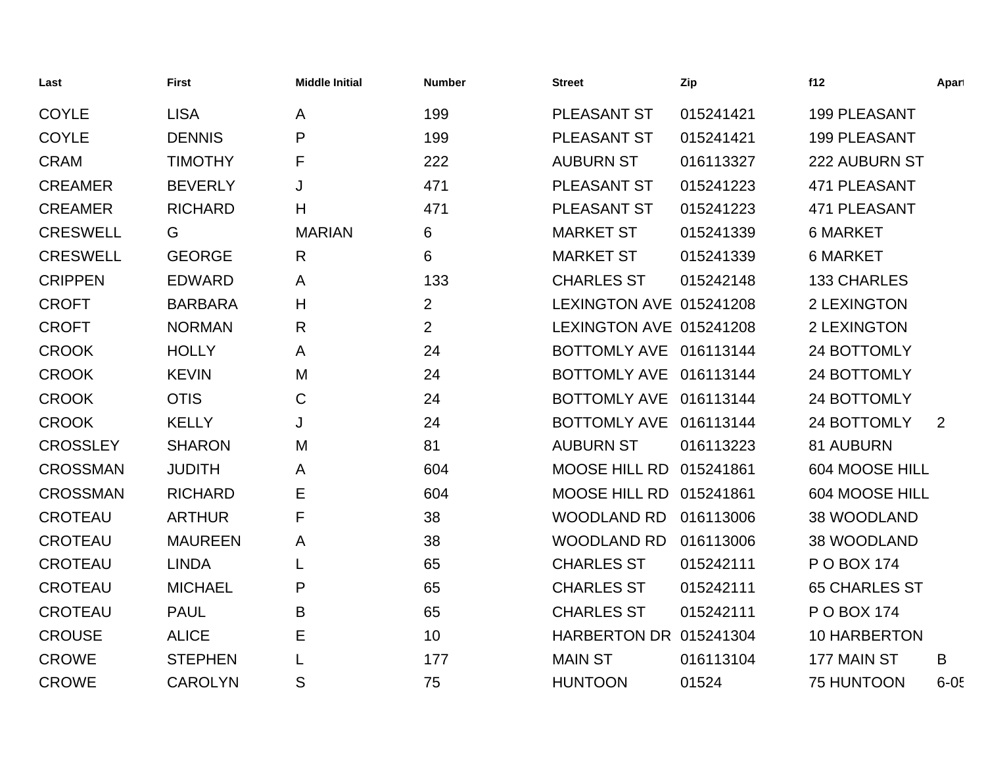| Last            | <b>First</b>   | <b>Middle Initial</b> | <b>Number</b>  | <b>Street</b>           | Zip       | f12                  | Apart    |
|-----------------|----------------|-----------------------|----------------|-------------------------|-----------|----------------------|----------|
| <b>COYLE</b>    | <b>LISA</b>    | A                     | 199            | PLEASANT ST             | 015241421 | <b>199 PLEASANT</b>  |          |
| <b>COYLE</b>    | <b>DENNIS</b>  | P                     | 199            | PLEASANT ST             | 015241421 | 199 PLEASANT         |          |
| <b>CRAM</b>     | <b>TIMOTHY</b> | F                     | 222            | <b>AUBURN ST</b>        | 016113327 | 222 AUBURN ST        |          |
| <b>CREAMER</b>  | <b>BEVERLY</b> | J                     | 471            | PLEASANT ST             | 015241223 | 471 PLEASANT         |          |
| <b>CREAMER</b>  | <b>RICHARD</b> | H                     | 471            | PLEASANT ST             | 015241223 | 471 PLEASANT         |          |
| <b>CRESWELL</b> | G              | <b>MARIAN</b>         | 6              | <b>MARKET ST</b>        | 015241339 | <b>6 MARKET</b>      |          |
| <b>CRESWELL</b> | <b>GEORGE</b>  | R                     | 6              | <b>MARKET ST</b>        | 015241339 | <b>6 MARKET</b>      |          |
| <b>CRIPPEN</b>  | <b>EDWARD</b>  | A                     | 133            | <b>CHARLES ST</b>       | 015242148 | <b>133 CHARLES</b>   |          |
| <b>CROFT</b>    | <b>BARBARA</b> | H                     | $\overline{2}$ | LEXINGTON AVE 015241208 |           | 2 LEXINGTON          |          |
| <b>CROFT</b>    | <b>NORMAN</b>  | $\mathsf{R}$          | $\overline{2}$ | LEXINGTON AVE 015241208 |           | 2 LEXINGTON          |          |
| <b>CROOK</b>    | <b>HOLLY</b>   | A                     | 24             | BOTTOMLY AVE 016113144  |           | 24 BOTTOMLY          |          |
| <b>CROOK</b>    | <b>KEVIN</b>   | M                     | 24             | BOTTOMLY AVE 016113144  |           | 24 BOTTOMLY          |          |
| <b>CROOK</b>    | <b>OTIS</b>    | $\mathbf C$           | 24             | BOTTOMLY AVE 016113144  |           | 24 BOTTOMLY          |          |
| <b>CROOK</b>    | <b>KELLY</b>   | J                     | 24             | BOTTOMLY AVE 016113144  |           | 24 BOTTOMLY          | 2        |
| <b>CROSSLEY</b> | <b>SHARON</b>  | M                     | 81             | <b>AUBURN ST</b>        | 016113223 | 81 AUBURN            |          |
| <b>CROSSMAN</b> | <b>JUDITH</b>  | A                     | 604            | MOOSE HILL RD 015241861 |           | 604 MOOSE HILL       |          |
| <b>CROSSMAN</b> | <b>RICHARD</b> | E                     | 604            | MOOSE HILL RD 015241861 |           | 604 MOOSE HILL       |          |
| <b>CROTEAU</b>  | <b>ARTHUR</b>  | F                     | 38             | <b>WOODLAND RD</b>      | 016113006 | 38 WOODLAND          |          |
| <b>CROTEAU</b>  | <b>MAUREEN</b> | A                     | 38             | <b>WOODLAND RD</b>      | 016113006 | 38 WOODLAND          |          |
| <b>CROTEAU</b>  | <b>LINDA</b>   | L                     | 65             | <b>CHARLES ST</b>       | 015242111 | P O BOX 174          |          |
| <b>CROTEAU</b>  | <b>MICHAEL</b> | P                     | 65             | <b>CHARLES ST</b>       | 015242111 | <b>65 CHARLES ST</b> |          |
| <b>CROTEAU</b>  | <b>PAUL</b>    | B                     | 65             | <b>CHARLES ST</b>       | 015242111 | P O BOX 174          |          |
| <b>CROUSE</b>   | <b>ALICE</b>   | Е                     | 10             | HARBERTON DR 015241304  |           | <b>10 HARBERTON</b>  |          |
| <b>CROWE</b>    | <b>STEPHEN</b> |                       | 177            | <b>MAIN ST</b>          | 016113104 | 177 MAIN ST          | B        |
| <b>CROWE</b>    | <b>CAROLYN</b> | S                     | 75             | <b>HUNTOON</b>          | 01524     | 75 HUNTOON           | $6 - 05$ |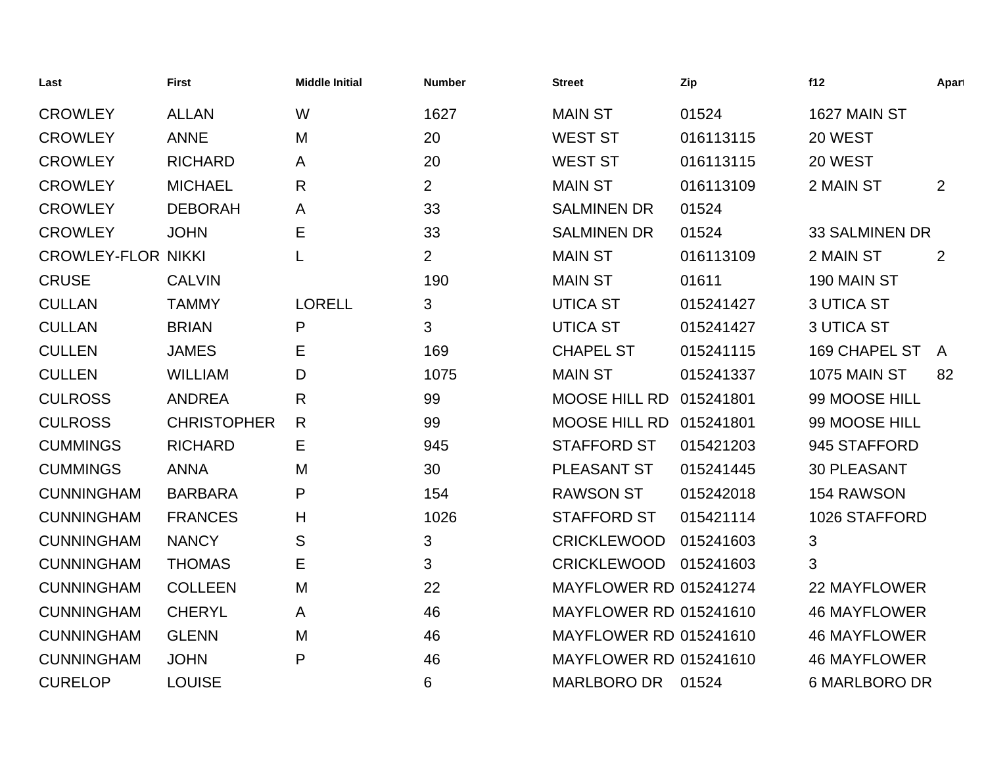| Last                      | <b>First</b>       | <b>Middle Initial</b> | <b>Number</b>  | <b>Street</b>                 | Zip       | f12                   | Apart        |
|---------------------------|--------------------|-----------------------|----------------|-------------------------------|-----------|-----------------------|--------------|
| <b>CROWLEY</b>            | <b>ALLAN</b>       | W                     | 1627           | <b>MAIN ST</b>                | 01524     | 1627 MAIN ST          |              |
| <b>CROWLEY</b>            | <b>ANNE</b>        | M                     | 20             | <b>WEST ST</b>                | 016113115 | 20 WEST               |              |
| <b>CROWLEY</b>            | <b>RICHARD</b>     | A                     | 20             | <b>WEST ST</b>                | 016113115 | 20 WEST               |              |
| <b>CROWLEY</b>            | <b>MICHAEL</b>     | $\mathsf{R}$          | $\overline{2}$ | <b>MAIN ST</b>                | 016113109 | 2 MAIN ST             | 2            |
| <b>CROWLEY</b>            | <b>DEBORAH</b>     | A                     | 33             | <b>SALMINEN DR</b>            | 01524     |                       |              |
| <b>CROWLEY</b>            | <b>JOHN</b>        | Ε                     | 33             | <b>SALMINEN DR</b>            | 01524     | <b>33 SALMINEN DR</b> |              |
| <b>CROWLEY-FLOR NIKKI</b> |                    | L                     | $\overline{2}$ | <b>MAIN ST</b>                | 016113109 | 2 MAIN ST             | 2            |
| <b>CRUSE</b>              | <b>CALVIN</b>      |                       | 190            | <b>MAIN ST</b>                | 01611     | 190 MAIN ST           |              |
| <b>CULLAN</b>             | <b>TAMMY</b>       | <b>LORELL</b>         | 3              | <b>UTICA ST</b>               | 015241427 | <b>3 UTICA ST</b>     |              |
| <b>CULLAN</b>             | <b>BRIAN</b>       | P                     | 3              | <b>UTICA ST</b>               | 015241427 | <b>3 UTICA ST</b>     |              |
| <b>CULLEN</b>             | <b>JAMES</b>       | Е                     | 169            | <b>CHAPEL ST</b>              | 015241115 | 169 CHAPEL ST         | $\mathsf{A}$ |
| <b>CULLEN</b>             | <b>WILLIAM</b>     | D                     | 1075           | <b>MAIN ST</b>                | 015241337 | <b>1075 MAIN ST</b>   | 82           |
| <b>CULROSS</b>            | <b>ANDREA</b>      | $\mathsf{R}$          | 99             | <b>MOOSE HILL RD</b>          | 015241801 | 99 MOOSE HILL         |              |
| <b>CULROSS</b>            | <b>CHRISTOPHER</b> | R                     | 99             | MOOSE HILL RD                 | 015241801 | 99 MOOSE HILL         |              |
| <b>CUMMINGS</b>           | <b>RICHARD</b>     | Е                     | 945            | <b>STAFFORD ST</b>            | 015421203 | 945 STAFFORD          |              |
| <b>CUMMINGS</b>           | <b>ANNA</b>        | M                     | 30             | PLEASANT ST                   | 015241445 | <b>30 PLEASANT</b>    |              |
| <b>CUNNINGHAM</b>         | <b>BARBARA</b>     | P                     | 154            | <b>RAWSON ST</b>              | 015242018 | 154 RAWSON            |              |
| <b>CUNNINGHAM</b>         | <b>FRANCES</b>     | Н                     | 1026           | <b>STAFFORD ST</b>            | 015421114 | 1026 STAFFORD         |              |
| <b>CUNNINGHAM</b>         | <b>NANCY</b>       | S                     | 3              | <b>CRICKLEWOOD</b>            | 015241603 | 3                     |              |
| <b>CUNNINGHAM</b>         | <b>THOMAS</b>      | Е                     | 3              | <b>CRICKLEWOOD</b>            | 015241603 | 3                     |              |
| <b>CUNNINGHAM</b>         | <b>COLLEEN</b>     | M                     | 22             | <b>MAYFLOWER RD 015241274</b> |           | 22 MAYFLOWER          |              |
| <b>CUNNINGHAM</b>         | <b>CHERYL</b>      | A                     | 46             | <b>MAYFLOWER RD 015241610</b> |           | <b>46 MAYFLOWER</b>   |              |
| <b>CUNNINGHAM</b>         | <b>GLENN</b>       | M                     | 46             | <b>MAYFLOWER RD 015241610</b> |           | <b>46 MAYFLOWER</b>   |              |
| <b>CUNNINGHAM</b>         | <b>JOHN</b>        | P                     | 46             | <b>MAYFLOWER RD 015241610</b> |           | <b>46 MAYFLOWER</b>   |              |
| <b>CURELOP</b>            | <b>LOUISE</b>      |                       | 6              | <b>MARLBORO DR</b>            | 01524     | <b>6 MARLBORO DR</b>  |              |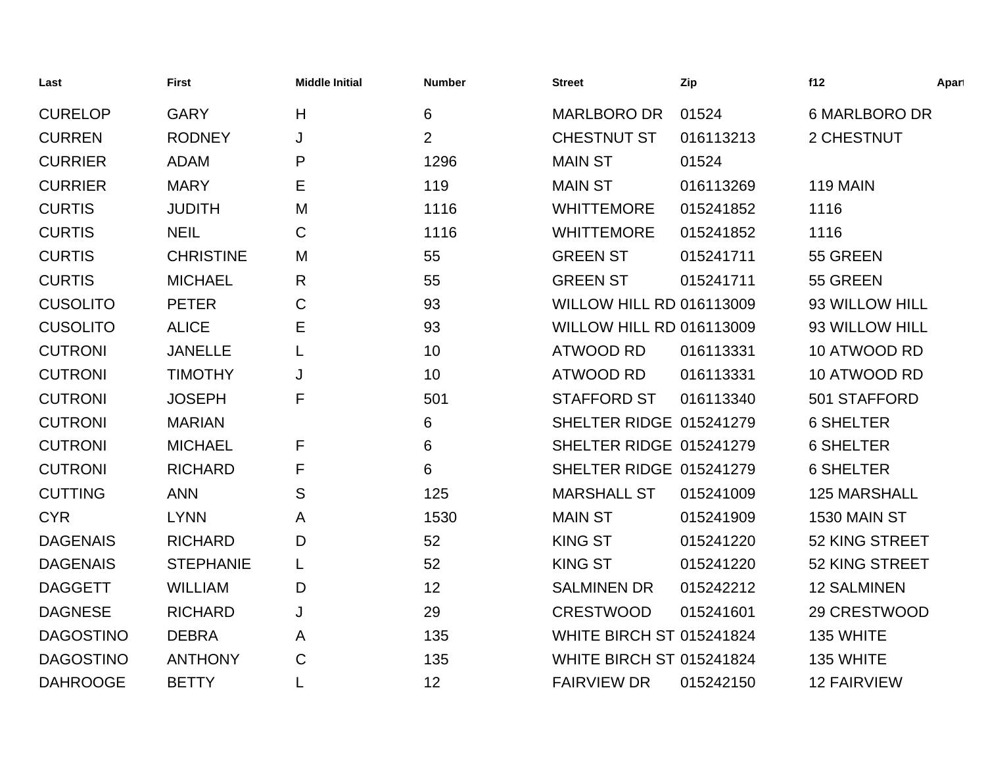| Last             | <b>First</b>     | <b>Middle Initial</b> | <b>Number</b>  | <b>Street</b>                   | Zip       | f12                 | Apart |
|------------------|------------------|-----------------------|----------------|---------------------------------|-----------|---------------------|-------|
| <b>CURELOP</b>   | <b>GARY</b>      | H                     | 6              | <b>MARLBORO DR</b>              | 01524     | 6 MARLBORO DR       |       |
| <b>CURREN</b>    | <b>RODNEY</b>    | J                     | $\overline{2}$ | <b>CHESTNUT ST</b>              | 016113213 | 2 CHESTNUT          |       |
| <b>CURRIER</b>   | <b>ADAM</b>      | P                     | 1296           | <b>MAIN ST</b>                  | 01524     |                     |       |
| <b>CURRIER</b>   | <b>MARY</b>      | Е                     | 119            | <b>MAIN ST</b>                  | 016113269 | <b>119 MAIN</b>     |       |
| <b>CURTIS</b>    | <b>JUDITH</b>    | M                     | 1116           | <b>WHITTEMORE</b>               | 015241852 | 1116                |       |
| <b>CURTIS</b>    | <b>NEIL</b>      | $\mathsf{C}$          | 1116           | <b>WHITTEMORE</b>               | 015241852 | 1116                |       |
| <b>CURTIS</b>    | <b>CHRISTINE</b> | M                     | 55             | <b>GREEN ST</b>                 | 015241711 | 55 GREEN            |       |
| <b>CURTIS</b>    | <b>MICHAEL</b>   | R                     | 55             | <b>GREEN ST</b>                 | 015241711 | 55 GREEN            |       |
| <b>CUSOLITO</b>  | <b>PETER</b>     | $\mathsf{C}$          | 93             | <b>WILLOW HILL RD 016113009</b> |           | 93 WILLOW HILL      |       |
| <b>CUSOLITO</b>  | <b>ALICE</b>     | Е                     | 93             | <b>WILLOW HILL RD 016113009</b> |           | 93 WILLOW HILL      |       |
| <b>CUTRONI</b>   | <b>JANELLE</b>   | L                     | 10             | <b>ATWOOD RD</b>                | 016113331 | 10 ATWOOD RD        |       |
| <b>CUTRONI</b>   | <b>TIMOTHY</b>   | J                     | 10             | <b>ATWOOD RD</b>                | 016113331 | 10 ATWOOD RD        |       |
| <b>CUTRONI</b>   | <b>JOSEPH</b>    | F                     | 501            | <b>STAFFORD ST</b>              | 016113340 | 501 STAFFORD        |       |
| <b>CUTRONI</b>   | <b>MARIAN</b>    |                       | 6              | SHELTER RIDGE 015241279         |           | <b>6 SHELTER</b>    |       |
| <b>CUTRONI</b>   | <b>MICHAEL</b>   | F                     | 6              | SHELTER RIDGE 015241279         |           | <b>6 SHELTER</b>    |       |
| <b>CUTRONI</b>   | <b>RICHARD</b>   | F                     | 6              | SHELTER RIDGE 015241279         |           | <b>6 SHELTER</b>    |       |
| <b>CUTTING</b>   | <b>ANN</b>       | S                     | 125            | <b>MARSHALL ST</b>              | 015241009 | <b>125 MARSHALL</b> |       |
| <b>CYR</b>       | <b>LYNN</b>      | A                     | 1530           | <b>MAIN ST</b>                  | 015241909 | 1530 MAIN ST        |       |
| <b>DAGENAIS</b>  | <b>RICHARD</b>   | D                     | 52             | <b>KING ST</b>                  | 015241220 | 52 KING STREET      |       |
| <b>DAGENAIS</b>  | <b>STEPHANIE</b> | L                     | 52             | <b>KING ST</b>                  | 015241220 | 52 KING STREET      |       |
| <b>DAGGETT</b>   | <b>WILLIAM</b>   | D                     | 12             | <b>SALMINEN DR</b>              | 015242212 | <b>12 SALMINEN</b>  |       |
| <b>DAGNESE</b>   | <b>RICHARD</b>   | J                     | 29             | <b>CRESTWOOD</b>                | 015241601 | 29 CRESTWOOD        |       |
| <b>DAGOSTINO</b> | <b>DEBRA</b>     | A                     | 135            | <b>WHITE BIRCH ST 015241824</b> |           | 135 WHITE           |       |
| <b>DAGOSTINO</b> | <b>ANTHONY</b>   | $\mathbf C$           | 135            | <b>WHITE BIRCH ST 015241824</b> |           | 135 WHITE           |       |
| <b>DAHROOGE</b>  | <b>BETTY</b>     |                       | 12             | <b>FAIRVIEW DR</b>              | 015242150 | <b>12 FAIRVIEW</b>  |       |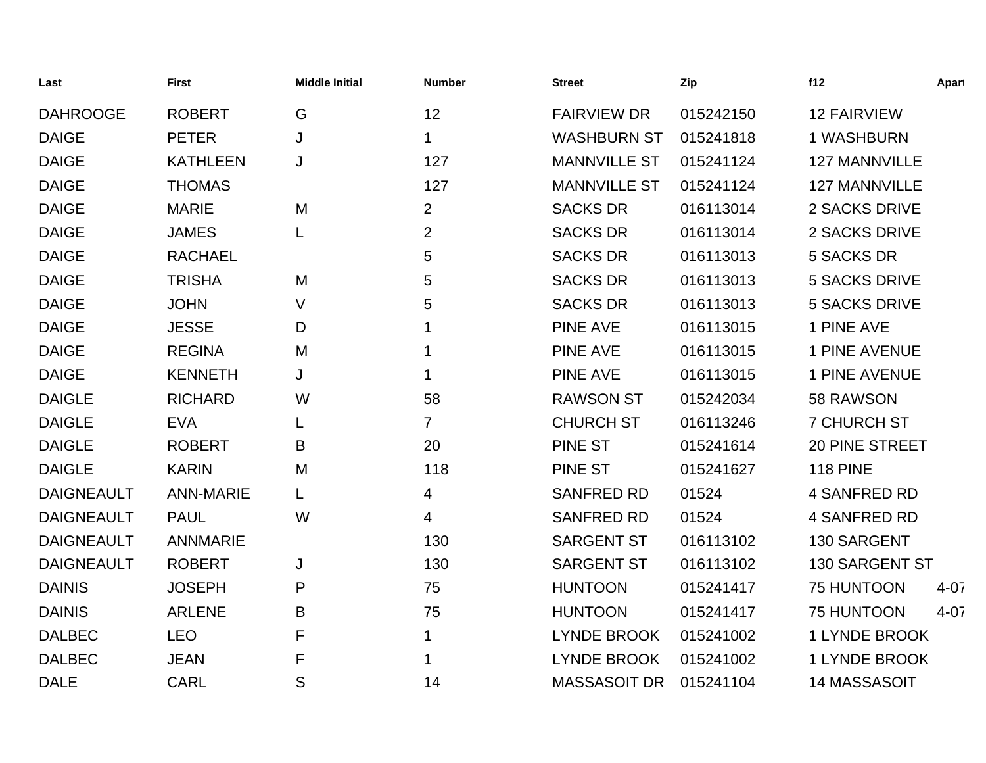| Last              | <b>First</b>     | <b>Middle Initial</b> | <b>Number</b>  | <b>Street</b>       | Zip       | f12                   | Apart    |
|-------------------|------------------|-----------------------|----------------|---------------------|-----------|-----------------------|----------|
| <b>DAHROOGE</b>   | <b>ROBERT</b>    | G                     | 12             | <b>FAIRVIEW DR</b>  | 015242150 | <b>12 FAIRVIEW</b>    |          |
| <b>DAIGE</b>      | <b>PETER</b>     | J                     | 1              | <b>WASHBURN ST</b>  | 015241818 | 1 WASHBURN            |          |
| <b>DAIGE</b>      | <b>KATHLEEN</b>  | J                     | 127            | <b>MANNVILLE ST</b> | 015241124 | <b>127 MANNVILLE</b>  |          |
| <b>DAIGE</b>      | <b>THOMAS</b>    |                       | 127            | <b>MANNVILLE ST</b> | 015241124 | <b>127 MANNVILLE</b>  |          |
| <b>DAIGE</b>      | <b>MARIE</b>     | M                     | $\overline{2}$ | <b>SACKS DR</b>     | 016113014 | 2 SACKS DRIVE         |          |
| <b>DAIGE</b>      | <b>JAMES</b>     |                       | $\overline{2}$ | <b>SACKS DR</b>     | 016113014 | 2 SACKS DRIVE         |          |
| <b>DAIGE</b>      | <b>RACHAEL</b>   |                       | 5              | <b>SACKS DR</b>     | 016113013 | <b>5 SACKS DR</b>     |          |
| <b>DAIGE</b>      | <b>TRISHA</b>    | M                     | 5              | <b>SACKS DR</b>     | 016113013 | <b>5 SACKS DRIVE</b>  |          |
| <b>DAIGE</b>      | <b>JOHN</b>      | V                     | 5              | <b>SACKS DR</b>     | 016113013 | <b>5 SACKS DRIVE</b>  |          |
| <b>DAIGE</b>      | <b>JESSE</b>     | D                     |                | <b>PINE AVE</b>     | 016113015 | 1 PINE AVE            |          |
| <b>DAIGE</b>      | <b>REGINA</b>    | M                     | 1              | <b>PINE AVE</b>     | 016113015 | 1 PINE AVENUE         |          |
| <b>DAIGE</b>      | <b>KENNETH</b>   | J                     | 1              | <b>PINE AVE</b>     | 016113015 | 1 PINE AVENUE         |          |
| <b>DAIGLE</b>     | <b>RICHARD</b>   | W                     | 58             | <b>RAWSON ST</b>    | 015242034 | 58 RAWSON             |          |
| <b>DAIGLE</b>     | <b>EVA</b>       |                       | $\overline{7}$ | <b>CHURCH ST</b>    | 016113246 | <b>7 CHURCH ST</b>    |          |
| <b>DAIGLE</b>     | <b>ROBERT</b>    | B                     | 20             | <b>PINE ST</b>      | 015241614 | <b>20 PINE STREET</b> |          |
| <b>DAIGLE</b>     | <b>KARIN</b>     | M                     | 118            | <b>PINE ST</b>      | 015241627 | <b>118 PINE</b>       |          |
| <b>DAIGNEAULT</b> | <b>ANN-MARIE</b> |                       | 4              | <b>SANFRED RD</b>   | 01524     | <b>4 SANFRED RD</b>   |          |
| <b>DAIGNEAULT</b> | <b>PAUL</b>      | W                     | 4              | <b>SANFRED RD</b>   | 01524     | <b>4 SANFRED RD</b>   |          |
| <b>DAIGNEAULT</b> | <b>ANNMARIE</b>  |                       | 130            | <b>SARGENT ST</b>   | 016113102 | 130 SARGENT           |          |
| <b>DAIGNEAULT</b> | <b>ROBERT</b>    | J                     | 130            | <b>SARGENT ST</b>   | 016113102 | 130 SARGENT ST        |          |
| <b>DAINIS</b>     | <b>JOSEPH</b>    | P                     | 75             | <b>HUNTOON</b>      | 015241417 | 75 HUNTOON            | $4 - 07$ |
| <b>DAINIS</b>     | <b>ARLENE</b>    | Β                     | 75             | <b>HUNTOON</b>      | 015241417 | 75 HUNTOON            | $4 - 07$ |
| <b>DALBEC</b>     | <b>LEO</b>       | F                     | 1              | <b>LYNDE BROOK</b>  | 015241002 | <b>1 LYNDE BROOK</b>  |          |
| <b>DALBEC</b>     | <b>JEAN</b>      | F                     |                | <b>LYNDE BROOK</b>  | 015241002 | 1 LYNDE BROOK         |          |
| <b>DALE</b>       | <b>CARL</b>      | S                     | 14             | <b>MASSASOIT DR</b> | 015241104 | 14 MASSASOIT          |          |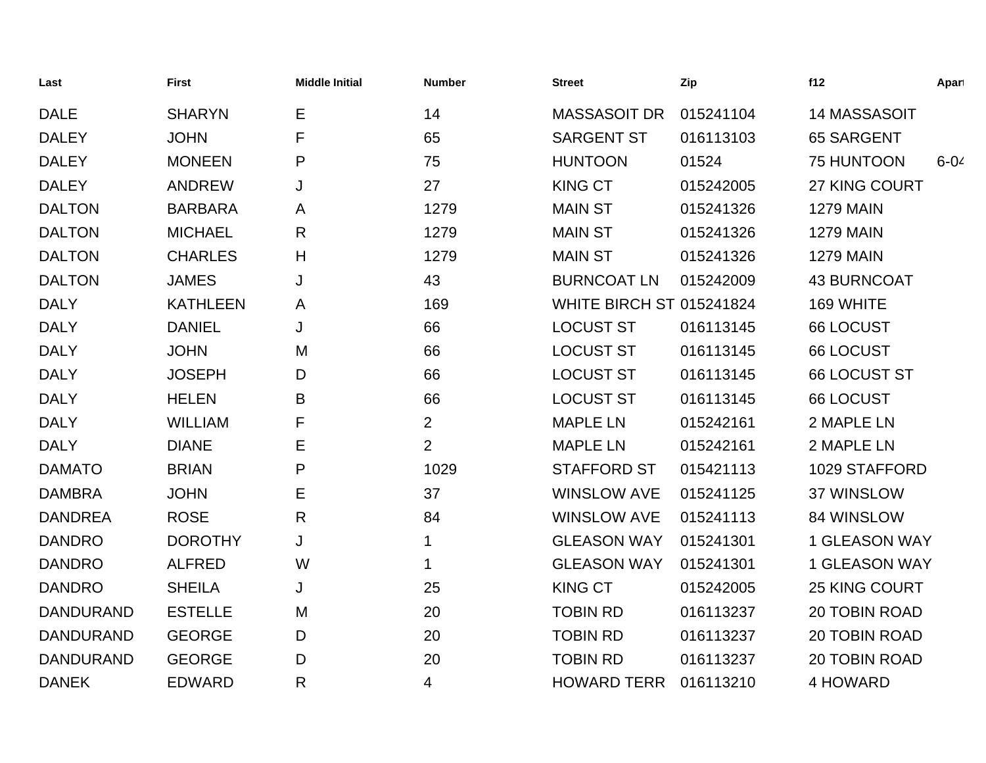| Last             | <b>First</b>    | <b>Middle Initial</b> | <b>Number</b>  | <b>Street</b>                   | Zip       | f12                  | Apart    |
|------------------|-----------------|-----------------------|----------------|---------------------------------|-----------|----------------------|----------|
| <b>DALE</b>      | <b>SHARYN</b>   | Е                     | 14             | <b>MASSASOIT DR</b>             | 015241104 | 14 MASSASOIT         |          |
| <b>DALEY</b>     | <b>JOHN</b>     | F                     | 65             | <b>SARGENT ST</b>               | 016113103 | <b>65 SARGENT</b>    |          |
| <b>DALEY</b>     | <b>MONEEN</b>   | P                     | 75             | <b>HUNTOON</b>                  | 01524     | 75 HUNTOON           | $6 - 04$ |
| <b>DALEY</b>     | <b>ANDREW</b>   | J                     | 27             | <b>KING CT</b>                  | 015242005 | 27 KING COURT        |          |
| <b>DALTON</b>    | <b>BARBARA</b>  | A                     | 1279           | <b>MAIN ST</b>                  | 015241326 | <b>1279 MAIN</b>     |          |
| <b>DALTON</b>    | <b>MICHAEL</b>  | R                     | 1279           | <b>MAIN ST</b>                  | 015241326 | <b>1279 MAIN</b>     |          |
| <b>DALTON</b>    | <b>CHARLES</b>  | Н                     | 1279           | <b>MAIN ST</b>                  | 015241326 | <b>1279 MAIN</b>     |          |
| <b>DALTON</b>    | <b>JAMES</b>    | J                     | 43             | <b>BURNCOAT LN</b>              | 015242009 | <b>43 BURNCOAT</b>   |          |
| <b>DALY</b>      | <b>KATHLEEN</b> | A                     | 169            | <b>WHITE BIRCH ST 015241824</b> |           | 169 WHITE            |          |
| <b>DALY</b>      | <b>DANIEL</b>   | J                     | 66             | <b>LOCUST ST</b>                | 016113145 | <b>66 LOCUST</b>     |          |
| <b>DALY</b>      | <b>JOHN</b>     | M                     | 66             | <b>LOCUST ST</b>                | 016113145 | <b>66 LOCUST</b>     |          |
| <b>DALY</b>      | <b>JOSEPH</b>   | D                     | 66             | <b>LOCUST ST</b>                | 016113145 | 66 LOCUST ST         |          |
| <b>DALY</b>      | <b>HELEN</b>    | B                     | 66             | <b>LOCUST ST</b>                | 016113145 | <b>66 LOCUST</b>     |          |
| <b>DALY</b>      | <b>WILLIAM</b>  | F                     | $\overline{2}$ | <b>MAPLE LN</b>                 | 015242161 | 2 MAPLE LN           |          |
| <b>DALY</b>      | <b>DIANE</b>    | Е                     | $\overline{2}$ | <b>MAPLE LN</b>                 | 015242161 | 2 MAPLE LN           |          |
| <b>DAMATO</b>    | <b>BRIAN</b>    | P                     | 1029           | <b>STAFFORD ST</b>              | 015421113 | 1029 STAFFORD        |          |
| <b>DAMBRA</b>    | <b>JOHN</b>     | Е                     | 37             | <b>WINSLOW AVE</b>              | 015241125 | 37 WINSLOW           |          |
| <b>DANDREA</b>   | <b>ROSE</b>     | R                     | 84             | <b>WINSLOW AVE</b>              | 015241113 | 84 WINSLOW           |          |
| <b>DANDRO</b>    | <b>DOROTHY</b>  | J                     | $\mathbf 1$    | <b>GLEASON WAY</b>              | 015241301 | <b>1 GLEASON WAY</b> |          |
| <b>DANDRO</b>    | <b>ALFRED</b>   | W                     | 1              | <b>GLEASON WAY</b>              | 015241301 | <b>1 GLEASON WAY</b> |          |
| <b>DANDRO</b>    | <b>SHEILA</b>   | J                     | 25             | <b>KING CT</b>                  | 015242005 | <b>25 KING COURT</b> |          |
| <b>DANDURAND</b> | <b>ESTELLE</b>  | M                     | 20             | <b>TOBIN RD</b>                 | 016113237 | <b>20 TOBIN ROAD</b> |          |
| <b>DANDURAND</b> | <b>GEORGE</b>   | D                     | 20             | <b>TOBIN RD</b>                 | 016113237 | 20 TOBIN ROAD        |          |
| <b>DANDURAND</b> | <b>GEORGE</b>   | D                     | 20             | <b>TOBIN RD</b>                 | 016113237 | 20 TOBIN ROAD        |          |
| <b>DANEK</b>     | <b>EDWARD</b>   | R                     | 4              | <b>HOWARD TERR</b>              | 016113210 | <b>4 HOWARD</b>      |          |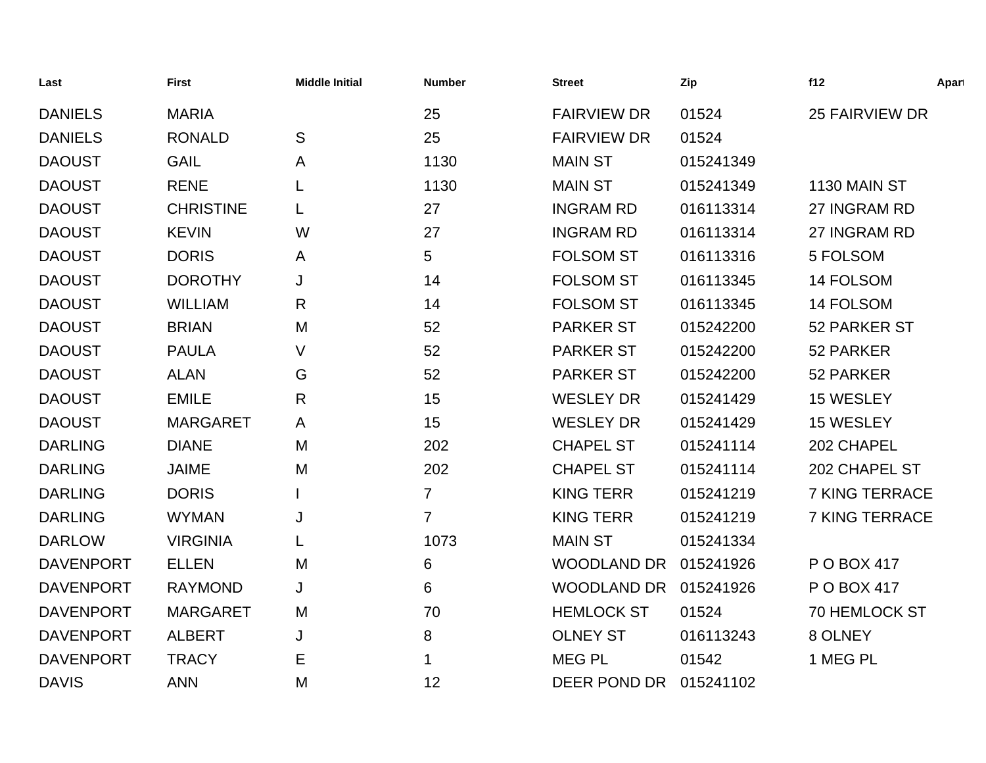| Last             | <b>First</b>     | <b>Middle Initial</b> | <b>Number</b>  | <b>Street</b>      | Zip       | f12                   | Apart |
|------------------|------------------|-----------------------|----------------|--------------------|-----------|-----------------------|-------|
| <b>DANIELS</b>   | <b>MARIA</b>     |                       | 25             | <b>FAIRVIEW DR</b> | 01524     | <b>25 FAIRVIEW DR</b> |       |
| <b>DANIELS</b>   | <b>RONALD</b>    | S                     | 25             | <b>FAIRVIEW DR</b> | 01524     |                       |       |
| <b>DAOUST</b>    | <b>GAIL</b>      | A                     | 1130           | <b>MAIN ST</b>     | 015241349 |                       |       |
| <b>DAOUST</b>    | <b>RENE</b>      |                       | 1130           | <b>MAIN ST</b>     | 015241349 | 1130 MAIN ST          |       |
| <b>DAOUST</b>    | <b>CHRISTINE</b> | L                     | 27             | <b>INGRAM RD</b>   | 016113314 | 27 INGRAM RD          |       |
| <b>DAOUST</b>    | <b>KEVIN</b>     | W                     | 27             | <b>INGRAM RD</b>   | 016113314 | 27 INGRAM RD          |       |
| <b>DAOUST</b>    | <b>DORIS</b>     | A                     | 5              | <b>FOLSOM ST</b>   | 016113316 | 5 FOLSOM              |       |
| <b>DAOUST</b>    | <b>DOROTHY</b>   | J                     | 14             | <b>FOLSOM ST</b>   | 016113345 | 14 FOLSOM             |       |
| <b>DAOUST</b>    | <b>WILLIAM</b>   | $\mathsf{R}$          | 14             | <b>FOLSOM ST</b>   | 016113345 | 14 FOLSOM             |       |
| <b>DAOUST</b>    | <b>BRIAN</b>     | M                     | 52             | <b>PARKER ST</b>   | 015242200 | 52 PARKER ST          |       |
| <b>DAOUST</b>    | <b>PAULA</b>     | V                     | 52             | <b>PARKER ST</b>   | 015242200 | 52 PARKER             |       |
| <b>DAOUST</b>    | <b>ALAN</b>      | G                     | 52             | <b>PARKER ST</b>   | 015242200 | 52 PARKER             |       |
| <b>DAOUST</b>    | <b>EMILE</b>     | R                     | 15             | <b>WESLEY DR</b>   | 015241429 | 15 WESLEY             |       |
| <b>DAOUST</b>    | <b>MARGARET</b>  | A                     | 15             | <b>WESLEY DR</b>   | 015241429 | 15 WESLEY             |       |
| <b>DARLING</b>   | <b>DIANE</b>     | M                     | 202            | <b>CHAPEL ST</b>   | 015241114 | 202 CHAPEL            |       |
| <b>DARLING</b>   | <b>JAIME</b>     | M                     | 202            | <b>CHAPEL ST</b>   | 015241114 | 202 CHAPEL ST         |       |
| <b>DARLING</b>   | <b>DORIS</b>     |                       | $\overline{7}$ | <b>KING TERR</b>   | 015241219 | <b>7 KING TERRACE</b> |       |
| <b>DARLING</b>   | <b>WYMAN</b>     | J                     | $\overline{7}$ | <b>KING TERR</b>   | 015241219 | <b>7 KING TERRACE</b> |       |
| <b>DARLOW</b>    | <b>VIRGINIA</b>  |                       | 1073           | <b>MAIN ST</b>     | 015241334 |                       |       |
| <b>DAVENPORT</b> | <b>ELLEN</b>     | M                     | 6              | <b>WOODLAND DR</b> | 015241926 | P O BOX 417           |       |
| <b>DAVENPORT</b> | <b>RAYMOND</b>   | J                     | 6              | <b>WOODLAND DR</b> | 015241926 | P O BOX 417           |       |
| <b>DAVENPORT</b> | <b>MARGARET</b>  | M                     | 70             | <b>HEMLOCK ST</b>  | 01524     | <b>70 HEMLOCK ST</b>  |       |
| <b>DAVENPORT</b> | <b>ALBERT</b>    | J                     | 8              | <b>OLNEY ST</b>    | 016113243 | 8 OLNEY               |       |
| <b>DAVENPORT</b> | <b>TRACY</b>     | E                     | 1              | <b>MEG PL</b>      | 01542     | 1 MEG PL              |       |
| <b>DAVIS</b>     | <b>ANN</b>       | M                     | 12             | DEER POND DR       | 015241102 |                       |       |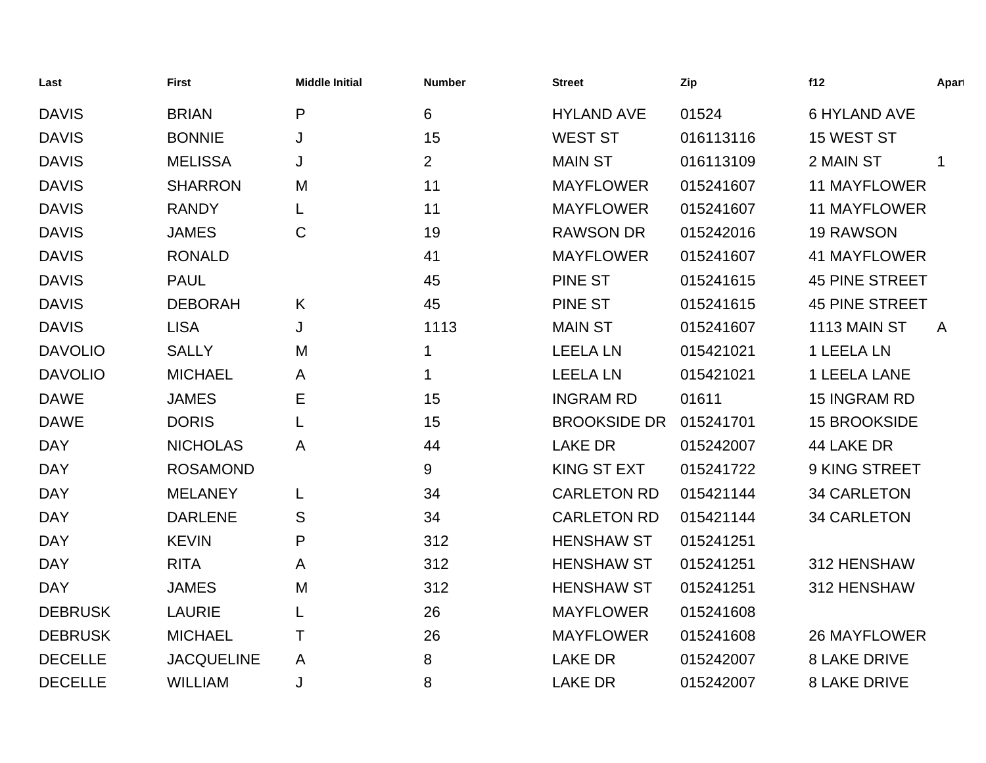| Last           | <b>First</b>      | <b>Middle Initial</b> | <b>Number</b>  | <b>Street</b>       | Zip       | f12                   | Apart        |
|----------------|-------------------|-----------------------|----------------|---------------------|-----------|-----------------------|--------------|
| <b>DAVIS</b>   | <b>BRIAN</b>      | P                     | 6              | <b>HYLAND AVE</b>   | 01524     | <b>6 HYLAND AVE</b>   |              |
| <b>DAVIS</b>   | <b>BONNIE</b>     | J                     | 15             | <b>WEST ST</b>      | 016113116 | 15 WEST ST            |              |
| <b>DAVIS</b>   | <b>MELISSA</b>    | J                     | $\overline{2}$ | <b>MAIN ST</b>      | 016113109 | 2 MAIN ST             | $\mathbf 1$  |
| <b>DAVIS</b>   | <b>SHARRON</b>    | M                     | 11             | <b>MAYFLOWER</b>    | 015241607 | <b>11 MAYFLOWER</b>   |              |
| <b>DAVIS</b>   | <b>RANDY</b>      | L                     | 11             | <b>MAYFLOWER</b>    | 015241607 | <b>11 MAYFLOWER</b>   |              |
| <b>DAVIS</b>   | <b>JAMES</b>      | $\mathsf{C}$          | 19             | <b>RAWSON DR</b>    | 015242016 | <b>19 RAWSON</b>      |              |
| <b>DAVIS</b>   | <b>RONALD</b>     |                       | 41             | <b>MAYFLOWER</b>    | 015241607 | <b>41 MAYFLOWER</b>   |              |
| <b>DAVIS</b>   | <b>PAUL</b>       |                       | 45             | <b>PINE ST</b>      | 015241615 | <b>45 PINE STREET</b> |              |
| <b>DAVIS</b>   | <b>DEBORAH</b>    | K                     | 45             | <b>PINE ST</b>      | 015241615 | <b>45 PINE STREET</b> |              |
| <b>DAVIS</b>   | <b>LISA</b>       | J                     | 1113           | <b>MAIN ST</b>      | 015241607 | 1113 MAIN ST          | $\mathsf{A}$ |
| <b>DAVOLIO</b> | <b>SALLY</b>      | M                     | $\mathbf 1$    | <b>LEELA LN</b>     | 015421021 | 1 LEELA LN            |              |
| <b>DAVOLIO</b> | <b>MICHAEL</b>    | A                     | $\mathbf 1$    | <b>LEELA LN</b>     | 015421021 | 1 LEELA LANE          |              |
| <b>DAWE</b>    | <b>JAMES</b>      | Е                     | 15             | <b>INGRAM RD</b>    | 01611     | 15 INGRAM RD          |              |
| <b>DAWE</b>    | <b>DORIS</b>      | L                     | 15             | <b>BROOKSIDE DR</b> | 015241701 | <b>15 BROOKSIDE</b>   |              |
| <b>DAY</b>     | <b>NICHOLAS</b>   | A                     | 44             | <b>LAKE DR</b>      | 015242007 | 44 LAKE DR            |              |
| <b>DAY</b>     | <b>ROSAMOND</b>   |                       | 9              | <b>KING ST EXT</b>  | 015241722 | 9 KING STREET         |              |
| <b>DAY</b>     | <b>MELANEY</b>    |                       | 34             | <b>CARLETON RD</b>  | 015421144 | <b>34 CARLETON</b>    |              |
| <b>DAY</b>     | <b>DARLENE</b>    | S                     | 34             | <b>CARLETON RD</b>  | 015421144 | <b>34 CARLETON</b>    |              |
| <b>DAY</b>     | <b>KEVIN</b>      | P                     | 312            | <b>HENSHAW ST</b>   | 015241251 |                       |              |
| <b>DAY</b>     | <b>RITA</b>       | A                     | 312            | <b>HENSHAW ST</b>   | 015241251 | 312 HENSHAW           |              |
| <b>DAY</b>     | <b>JAMES</b>      | M                     | 312            | <b>HENSHAW ST</b>   | 015241251 | 312 HENSHAW           |              |
| <b>DEBRUSK</b> | <b>LAURIE</b>     | L                     | 26             | <b>MAYFLOWER</b>    | 015241608 |                       |              |
| <b>DEBRUSK</b> | <b>MICHAEL</b>    | Τ                     | 26             | <b>MAYFLOWER</b>    | 015241608 | <b>26 MAYFLOWER</b>   |              |
| <b>DECELLE</b> | <b>JACQUELINE</b> | A                     | 8              | <b>LAKE DR</b>      | 015242007 | <b>8 LAKE DRIVE</b>   |              |
| <b>DECELLE</b> | <b>WILLIAM</b>    | J                     | 8              | <b>LAKE DR</b>      | 015242007 | <b>8 LAKE DRIVE</b>   |              |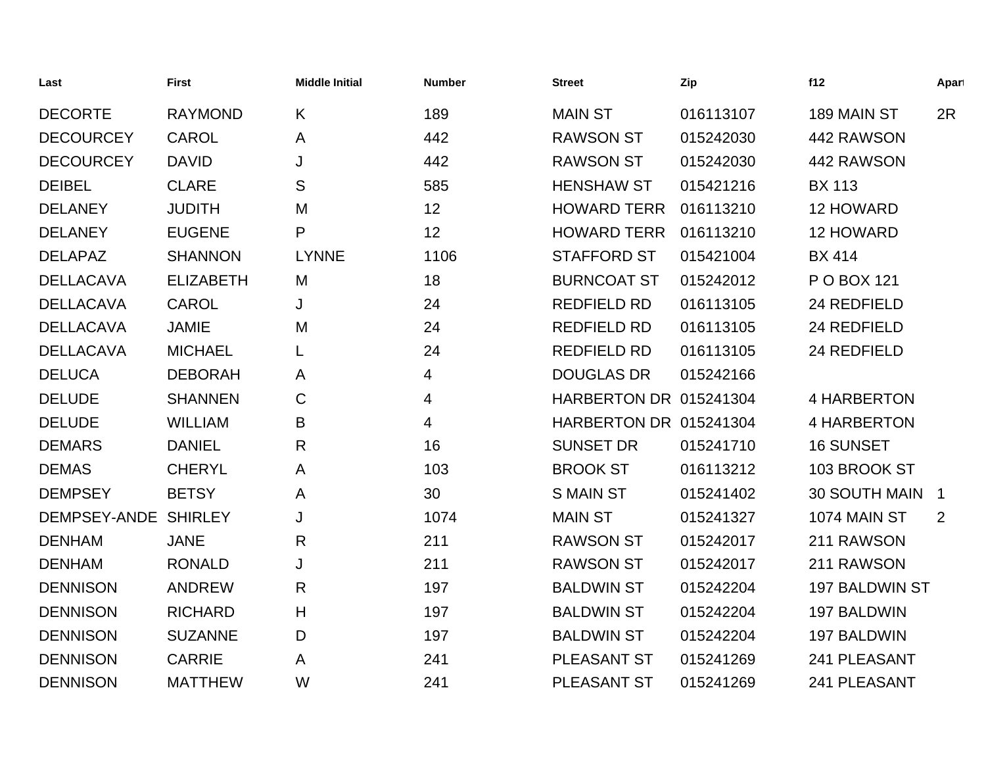| Last                 | <b>First</b>     | <b>Middle Initial</b> | <b>Number</b> | <b>Street</b>          | Zip       | f12              | Apart |
|----------------------|------------------|-----------------------|---------------|------------------------|-----------|------------------|-------|
| <b>DECORTE</b>       | <b>RAYMOND</b>   | K                     | 189           | <b>MAIN ST</b>         | 016113107 | 189 MAIN ST      | 2R    |
| <b>DECOURCEY</b>     | <b>CAROL</b>     | A                     | 442           | <b>RAWSON ST</b>       | 015242030 | 442 RAWSON       |       |
| <b>DECOURCEY</b>     | <b>DAVID</b>     | J                     | 442           | <b>RAWSON ST</b>       | 015242030 | 442 RAWSON       |       |
| <b>DEIBEL</b>        | <b>CLARE</b>     | S                     | 585           | <b>HENSHAW ST</b>      | 015421216 | <b>BX 113</b>    |       |
| <b>DELANEY</b>       | <b>JUDITH</b>    | M                     | 12            | <b>HOWARD TERR</b>     | 016113210 | 12 HOWARD        |       |
| <b>DELANEY</b>       | <b>EUGENE</b>    | P                     | 12            | <b>HOWARD TERR</b>     | 016113210 | 12 HOWARD        |       |
| <b>DELAPAZ</b>       | <b>SHANNON</b>   | <b>LYNNE</b>          | 1106          | <b>STAFFORD ST</b>     | 015421004 | <b>BX 414</b>    |       |
| <b>DELLACAVA</b>     | <b>ELIZABETH</b> | M                     | 18            | <b>BURNCOAT ST</b>     | 015242012 | P O BOX 121      |       |
| <b>DELLACAVA</b>     | <b>CAROL</b>     | J                     | 24            | <b>REDFIELD RD</b>     | 016113105 | 24 REDFIELD      |       |
| <b>DELLACAVA</b>     | <b>JAMIE</b>     | M                     | 24            | <b>REDFIELD RD</b>     | 016113105 | 24 REDFIELD      |       |
| <b>DELLACAVA</b>     | <b>MICHAEL</b>   | L                     | 24            | <b>REDFIELD RD</b>     | 016113105 | 24 REDFIELD      |       |
| <b>DELUCA</b>        | <b>DEBORAH</b>   | A                     | 4             | <b>DOUGLAS DR</b>      | 015242166 |                  |       |
| <b>DELUDE</b>        | <b>SHANNEN</b>   | $\mathsf{C}$          | 4             | HARBERTON DR 015241304 |           | 4 HARBERTON      |       |
| <b>DELUDE</b>        | <b>WILLIAM</b>   | B                     | 4             | HARBERTON DR 015241304 |           | 4 HARBERTON      |       |
| <b>DEMARS</b>        | <b>DANIEL</b>    | $\mathsf{R}$          | 16            | <b>SUNSET DR</b>       | 015241710 | <b>16 SUNSET</b> |       |
| <b>DEMAS</b>         | <b>CHERYL</b>    | A                     | 103           | <b>BROOK ST</b>        | 016113212 | 103 BROOK ST     |       |
| <b>DEMPSEY</b>       | <b>BETSY</b>     | A                     | 30            | <b>SMAIN ST</b>        | 015241402 | 30 SOUTH MAIN 1  |       |
| DEMPSEY-ANDE SHIRLEY |                  | J                     | 1074          | <b>MAIN ST</b>         | 015241327 | 1074 MAIN ST     | 2     |
| <b>DENHAM</b>        | <b>JANE</b>      | $\mathsf{R}$          | 211           | <b>RAWSON ST</b>       | 015242017 | 211 RAWSON       |       |
| <b>DENHAM</b>        | <b>RONALD</b>    | J                     | 211           | <b>RAWSON ST</b>       | 015242017 | 211 RAWSON       |       |
| <b>DENNISON</b>      | <b>ANDREW</b>    | R                     | 197           | <b>BALDWIN ST</b>      | 015242204 | 197 BALDWIN ST   |       |
| <b>DENNISON</b>      | <b>RICHARD</b>   | H                     | 197           | <b>BALDWIN ST</b>      | 015242204 | 197 BALDWIN      |       |
| <b>DENNISON</b>      | <b>SUZANNE</b>   | D                     | 197           | <b>BALDWIN ST</b>      | 015242204 | 197 BALDWIN      |       |
| <b>DENNISON</b>      | <b>CARRIE</b>    | A                     | 241           | <b>PLEASANT ST</b>     | 015241269 | 241 PLEASANT     |       |
| <b>DENNISON</b>      | <b>MATTHEW</b>   | W                     | 241           | <b>PLEASANT ST</b>     | 015241269 | 241 PLEASANT     |       |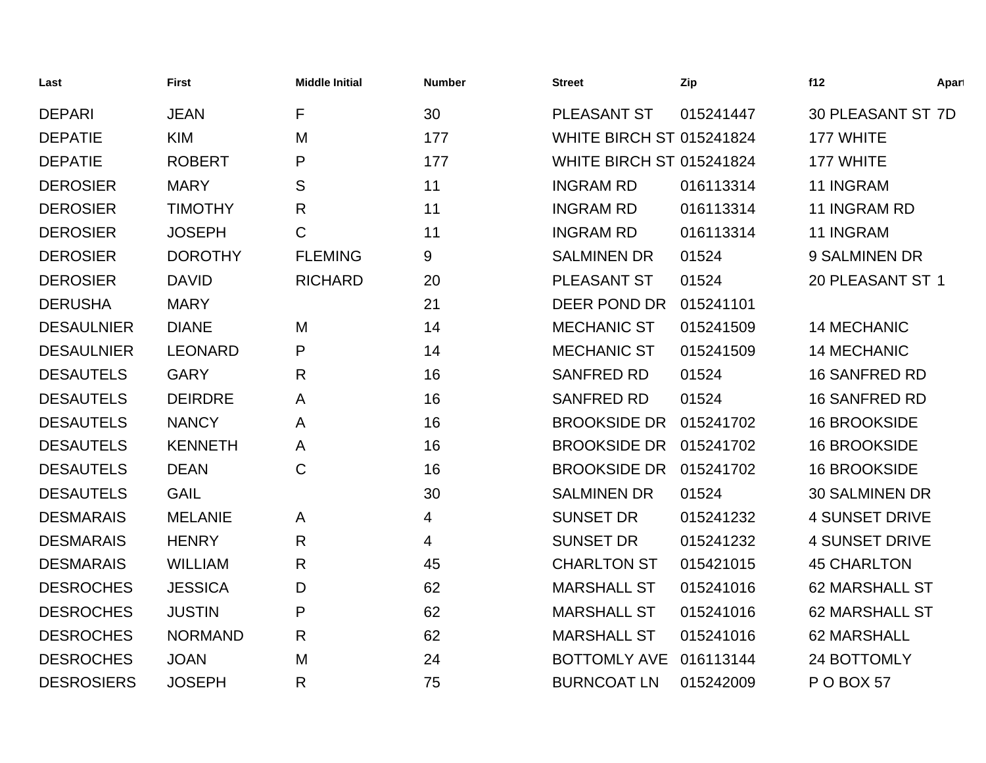| Last              | First          | <b>Middle Initial</b> | <b>Number</b> | <b>Street</b>                   | Zip       | f12                      | Apart |
|-------------------|----------------|-----------------------|---------------|---------------------------------|-----------|--------------------------|-------|
| <b>DEPARI</b>     | <b>JEAN</b>    | F                     | 30            | PLEASANT ST                     | 015241447 | <b>30 PLEASANT ST 7D</b> |       |
| <b>DEPATIE</b>    | <b>KIM</b>     | M                     | 177           | <b>WHITE BIRCH ST 015241824</b> |           | 177 WHITE                |       |
| <b>DEPATIE</b>    | <b>ROBERT</b>  | P                     | 177           | <b>WHITE BIRCH ST 015241824</b> |           | 177 WHITE                |       |
| <b>DEROSIER</b>   | <b>MARY</b>    | S                     | 11            | <b>INGRAM RD</b>                | 016113314 | 11 INGRAM                |       |
| <b>DEROSIER</b>   | <b>TIMOTHY</b> | $\mathsf{R}$          | 11            | <b>INGRAM RD</b>                | 016113314 | 11 INGRAM RD             |       |
| <b>DEROSIER</b>   | <b>JOSEPH</b>  | $\mathsf{C}$          | 11            | <b>INGRAM RD</b>                | 016113314 | 11 INGRAM                |       |
| <b>DEROSIER</b>   | <b>DOROTHY</b> | <b>FLEMING</b>        | 9             | <b>SALMINEN DR</b>              | 01524     | 9 SALMINEN DR            |       |
| <b>DEROSIER</b>   | <b>DAVID</b>   | <b>RICHARD</b>        | 20            | PLEASANT ST                     | 01524     | 20 PLEASANT ST 1         |       |
| <b>DERUSHA</b>    | <b>MARY</b>    |                       | 21            | DEER POND DR                    | 015241101 |                          |       |
| <b>DESAULNIER</b> | <b>DIANE</b>   | M                     | 14            | <b>MECHANIC ST</b>              | 015241509 | <b>14 MECHANIC</b>       |       |
| <b>DESAULNIER</b> | <b>LEONARD</b> | P                     | 14            | <b>MECHANIC ST</b>              | 015241509 | <b>14 MECHANIC</b>       |       |
| <b>DESAUTELS</b>  | <b>GARY</b>    | R                     | 16            | <b>SANFRED RD</b>               | 01524     | <b>16 SANFRED RD</b>     |       |
| <b>DESAUTELS</b>  | <b>DEIRDRE</b> | A                     | 16            | <b>SANFRED RD</b>               | 01524     | <b>16 SANFRED RD</b>     |       |
| <b>DESAUTELS</b>  | <b>NANCY</b>   | A                     | 16            | <b>BROOKSIDE DR</b>             | 015241702 | <b>16 BROOKSIDE</b>      |       |
| <b>DESAUTELS</b>  | <b>KENNETH</b> | A                     | 16            | <b>BROOKSIDE DR</b>             | 015241702 | <b>16 BROOKSIDE</b>      |       |
| <b>DESAUTELS</b>  | <b>DEAN</b>    | $\mathsf C$           | 16            | <b>BROOKSIDE DR</b>             | 015241702 | <b>16 BROOKSIDE</b>      |       |
| <b>DESAUTELS</b>  | <b>GAIL</b>    |                       | 30            | <b>SALMINEN DR</b>              | 01524     | <b>30 SALMINEN DR</b>    |       |
| <b>DESMARAIS</b>  | <b>MELANIE</b> | A                     | 4             | <b>SUNSET DR</b>                | 015241232 | <b>4 SUNSET DRIVE</b>    |       |
| <b>DESMARAIS</b>  | <b>HENRY</b>   | $\mathsf{R}$          | 4             | <b>SUNSET DR</b>                | 015241232 | <b>4 SUNSET DRIVE</b>    |       |
| <b>DESMARAIS</b>  | <b>WILLIAM</b> | R                     | 45            | <b>CHARLTON ST</b>              | 015421015 | <b>45 CHARLTON</b>       |       |
| <b>DESROCHES</b>  | <b>JESSICA</b> | D                     | 62            | <b>MARSHALL ST</b>              | 015241016 | <b>62 MARSHALL ST</b>    |       |
| <b>DESROCHES</b>  | <b>JUSTIN</b>  | P                     | 62            | <b>MARSHALL ST</b>              | 015241016 | <b>62 MARSHALL ST</b>    |       |
| <b>DESROCHES</b>  | <b>NORMAND</b> | $\mathsf{R}$          | 62            | <b>MARSHALL ST</b>              | 015241016 | 62 MARSHALL              |       |
| <b>DESROCHES</b>  | <b>JOAN</b>    | M                     | 24            | <b>BOTTOMLY AVE</b>             | 016113144 | 24 BOTTOMLY              |       |
| <b>DESROSIERS</b> | <b>JOSEPH</b>  | R                     | 75            | <b>BURNCOAT LN</b>              | 015242009 | POBOX 57                 |       |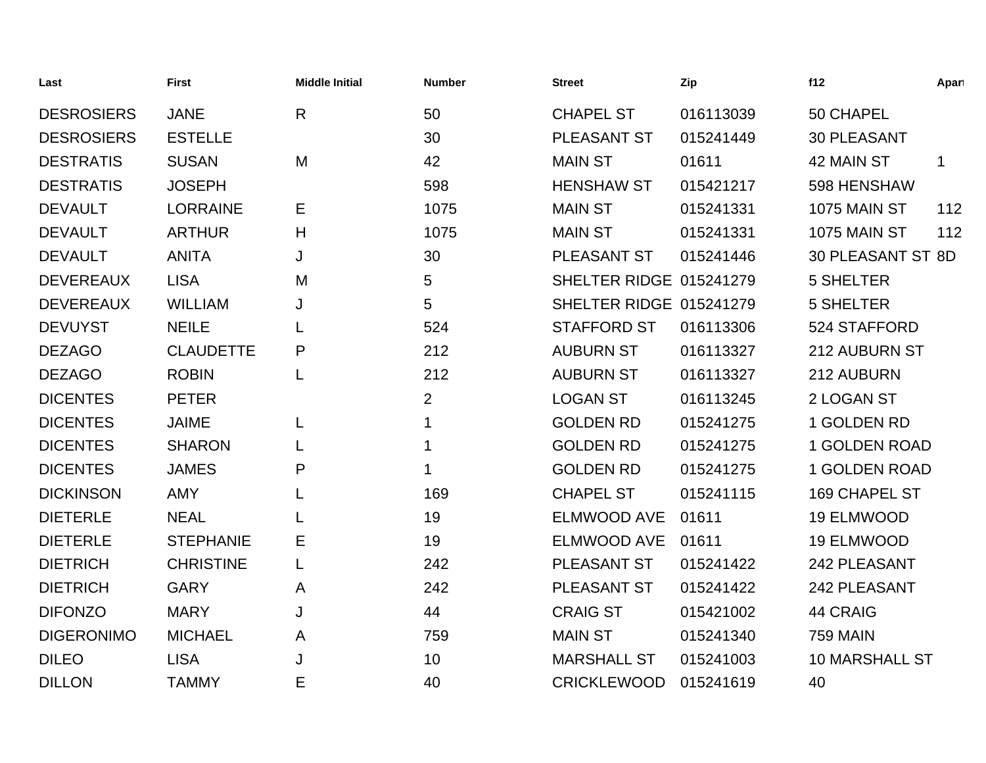| Last              | <b>First</b>     | <b>Middle Initial</b> | <b>Number</b>  | <b>Street</b>           | Zip       | f12                   | Apart       |
|-------------------|------------------|-----------------------|----------------|-------------------------|-----------|-----------------------|-------------|
| <b>DESROSIERS</b> | <b>JANE</b>      | $\mathsf{R}$          | 50             | <b>CHAPEL ST</b>        | 016113039 | 50 CHAPEL             |             |
| <b>DESROSIERS</b> | <b>ESTELLE</b>   |                       | 30             | <b>PLEASANT ST</b>      | 015241449 | <b>30 PLEASANT</b>    |             |
| <b>DESTRATIS</b>  | <b>SUSAN</b>     | M                     | 42             | <b>MAIN ST</b>          | 01611     | 42 MAIN ST            | $\mathbf 1$ |
| <b>DESTRATIS</b>  | <b>JOSEPH</b>    |                       | 598            | <b>HENSHAW ST</b>       | 015421217 | 598 HENSHAW           |             |
| <b>DEVAULT</b>    | <b>LORRAINE</b>  | E                     | 1075           | <b>MAIN ST</b>          | 015241331 | 1075 MAIN ST          | 112         |
| <b>DEVAULT</b>    | <b>ARTHUR</b>    | H                     | 1075           | <b>MAIN ST</b>          | 015241331 | 1075 MAIN ST          | 112         |
| <b>DEVAULT</b>    | <b>ANITA</b>     | J                     | 30             | PLEASANT ST             | 015241446 | 30 PLEASANT ST 8D     |             |
| <b>DEVEREAUX</b>  | <b>LISA</b>      | M                     | 5              | SHELTER RIDGE 015241279 |           | <b>5 SHELTER</b>      |             |
| <b>DEVEREAUX</b>  | <b>WILLIAM</b>   | J                     | 5              | SHELTER RIDGE 015241279 |           | <b>5 SHELTER</b>      |             |
| <b>DEVUYST</b>    | <b>NEILE</b>     | L                     | 524            | <b>STAFFORD ST</b>      | 016113306 | 524 STAFFORD          |             |
| <b>DEZAGO</b>     | <b>CLAUDETTE</b> | P                     | 212            | <b>AUBURN ST</b>        | 016113327 | 212 AUBURN ST         |             |
| <b>DEZAGO</b>     | <b>ROBIN</b>     | L                     | 212            | <b>AUBURN ST</b>        | 016113327 | 212 AUBURN            |             |
| <b>DICENTES</b>   | <b>PETER</b>     |                       | $\overline{2}$ | <b>LOGAN ST</b>         | 016113245 | 2 LOGAN ST            |             |
| <b>DICENTES</b>   | <b>JAIME</b>     | L                     | 1              | <b>GOLDEN RD</b>        | 015241275 | 1 GOLDEN RD           |             |
| <b>DICENTES</b>   | <b>SHARON</b>    |                       | 1              | <b>GOLDEN RD</b>        | 015241275 | <b>1 GOLDEN ROAD</b>  |             |
| <b>DICENTES</b>   | <b>JAMES</b>     | P                     | 1              | <b>GOLDEN RD</b>        | 015241275 | 1 GOLDEN ROAD         |             |
| <b>DICKINSON</b>  | <b>AMY</b>       | L                     | 169            | <b>CHAPEL ST</b>        | 015241115 | 169 CHAPEL ST         |             |
| <b>DIETERLE</b>   | <b>NEAL</b>      | L                     | 19             | <b>ELMWOOD AVE</b>      | 01611     | 19 ELMWOOD            |             |
| <b>DIETERLE</b>   | <b>STEPHANIE</b> | Е                     | 19             | <b>ELMWOOD AVE</b>      | 01611     | 19 ELMWOOD            |             |
| <b>DIETRICH</b>   | <b>CHRISTINE</b> | L                     | 242            | PLEASANT ST             | 015241422 | 242 PLEASANT          |             |
| <b>DIETRICH</b>   | <b>GARY</b>      | A                     | 242            | <b>PLEASANT ST</b>      | 015241422 | 242 PLEASANT          |             |
| <b>DIFONZO</b>    | <b>MARY</b>      | J                     | 44             | <b>CRAIG ST</b>         | 015421002 | 44 CRAIG              |             |
| <b>DIGERONIMO</b> | <b>MICHAEL</b>   | A                     | 759            | <b>MAIN ST</b>          | 015241340 | <b>759 MAIN</b>       |             |
| <b>DILEO</b>      | <b>LISA</b>      | J                     | 10             | <b>MARSHALL ST</b>      | 015241003 | <b>10 MARSHALL ST</b> |             |
| <b>DILLON</b>     | <b>TAMMY</b>     | Е                     | 40             | <b>CRICKLEWOOD</b>      | 015241619 | 40                    |             |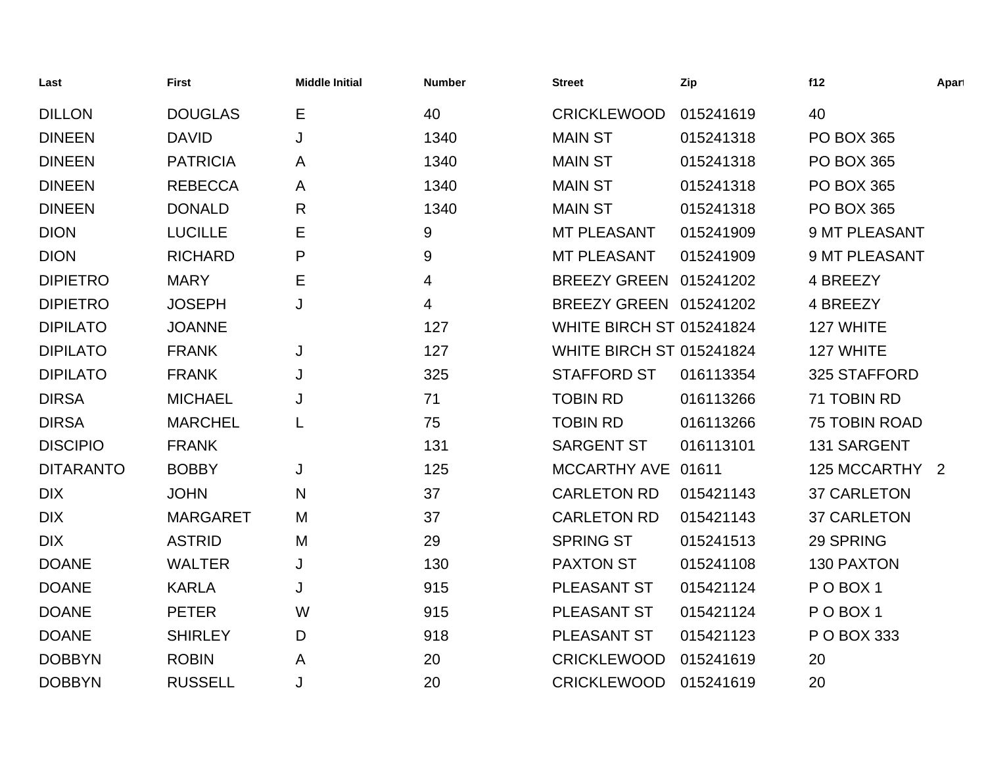| Last             | <b>First</b>    | <b>Middle Initial</b> | <b>Number</b> | <b>Street</b>                   | Zip       | f12                  | Apart |
|------------------|-----------------|-----------------------|---------------|---------------------------------|-----------|----------------------|-------|
| <b>DILLON</b>    | <b>DOUGLAS</b>  | Е                     | 40            | <b>CRICKLEWOOD</b>              | 015241619 | 40                   |       |
| <b>DINEEN</b>    | <b>DAVID</b>    | J                     | 1340          | <b>MAIN ST</b>                  | 015241318 | <b>PO BOX 365</b>    |       |
| <b>DINEEN</b>    | <b>PATRICIA</b> | A                     | 1340          | <b>MAIN ST</b>                  | 015241318 | <b>PO BOX 365</b>    |       |
| <b>DINEEN</b>    | <b>REBECCA</b>  | A                     | 1340          | <b>MAIN ST</b>                  | 015241318 | <b>PO BOX 365</b>    |       |
| <b>DINEEN</b>    | <b>DONALD</b>   | $\mathsf{R}$          | 1340          | <b>MAIN ST</b>                  | 015241318 | <b>PO BOX 365</b>    |       |
| <b>DION</b>      | <b>LUCILLE</b>  | Е                     | 9             | MT PLEASANT                     | 015241909 | 9 MT PLEASANT        |       |
| <b>DION</b>      | <b>RICHARD</b>  | P                     | 9             | MT PLEASANT                     | 015241909 | 9 MT PLEASANT        |       |
| <b>DIPIETRO</b>  | <b>MARY</b>     | Е                     | 4             | BREEZY GREEN 015241202          |           | 4 BREEZY             |       |
| <b>DIPIETRO</b>  | <b>JOSEPH</b>   | J                     | 4             | BREEZY GREEN 015241202          |           | 4 BREEZY             |       |
| <b>DIPILATO</b>  | <b>JOANNE</b>   |                       | 127           | WHITE BIRCH ST 015241824        |           | 127 WHITE            |       |
| <b>DIPILATO</b>  | <b>FRANK</b>    | J                     | 127           | <b>WHITE BIRCH ST 015241824</b> |           | 127 WHITE            |       |
| <b>DIPILATO</b>  | <b>FRANK</b>    | J                     | 325           | <b>STAFFORD ST</b>              | 016113354 | 325 STAFFORD         |       |
| <b>DIRSA</b>     | <b>MICHAEL</b>  | J                     | 71            | <b>TOBIN RD</b>                 | 016113266 | 71 TOBIN RD          |       |
| <b>DIRSA</b>     | <b>MARCHEL</b>  | L                     | 75            | <b>TOBIN RD</b>                 | 016113266 | <b>75 TOBIN ROAD</b> |       |
| <b>DISCIPIO</b>  | <b>FRANK</b>    |                       | 131           | <b>SARGENT ST</b>               | 016113101 | 131 SARGENT          |       |
| <b>DITARANTO</b> | <b>BOBBY</b>    | J                     | 125           | MCCARTHY AVE 01611              |           | 125 MCCARTHY 2       |       |
| <b>DIX</b>       | <b>JOHN</b>     | N                     | 37            | <b>CARLETON RD</b>              | 015421143 | <b>37 CARLETON</b>   |       |
| <b>DIX</b>       | <b>MARGARET</b> | M                     | 37            | <b>CARLETON RD</b>              | 015421143 | <b>37 CARLETON</b>   |       |
| <b>DIX</b>       | <b>ASTRID</b>   | M                     | 29            | <b>SPRING ST</b>                | 015241513 | 29 SPRING            |       |
| <b>DOANE</b>     | <b>WALTER</b>   | J                     | 130           | <b>PAXTON ST</b>                | 015241108 | 130 PAXTON           |       |
| <b>DOANE</b>     | <b>KARLA</b>    | J                     | 915           | PLEASANT ST                     | 015421124 | POBOX <sub>1</sub>   |       |
| <b>DOANE</b>     | <b>PETER</b>    | W                     | 915           | PLEASANT ST                     | 015421124 | POBOX <sub>1</sub>   |       |
| <b>DOANE</b>     | <b>SHIRLEY</b>  | D                     | 918           | PLEASANT ST                     | 015421123 | P O BOX 333          |       |
| <b>DOBBYN</b>    | <b>ROBIN</b>    | A                     | 20            | <b>CRICKLEWOOD</b>              | 015241619 | 20                   |       |
| <b>DOBBYN</b>    | <b>RUSSELL</b>  | J                     | 20            | <b>CRICKLEWOOD</b>              | 015241619 | 20                   |       |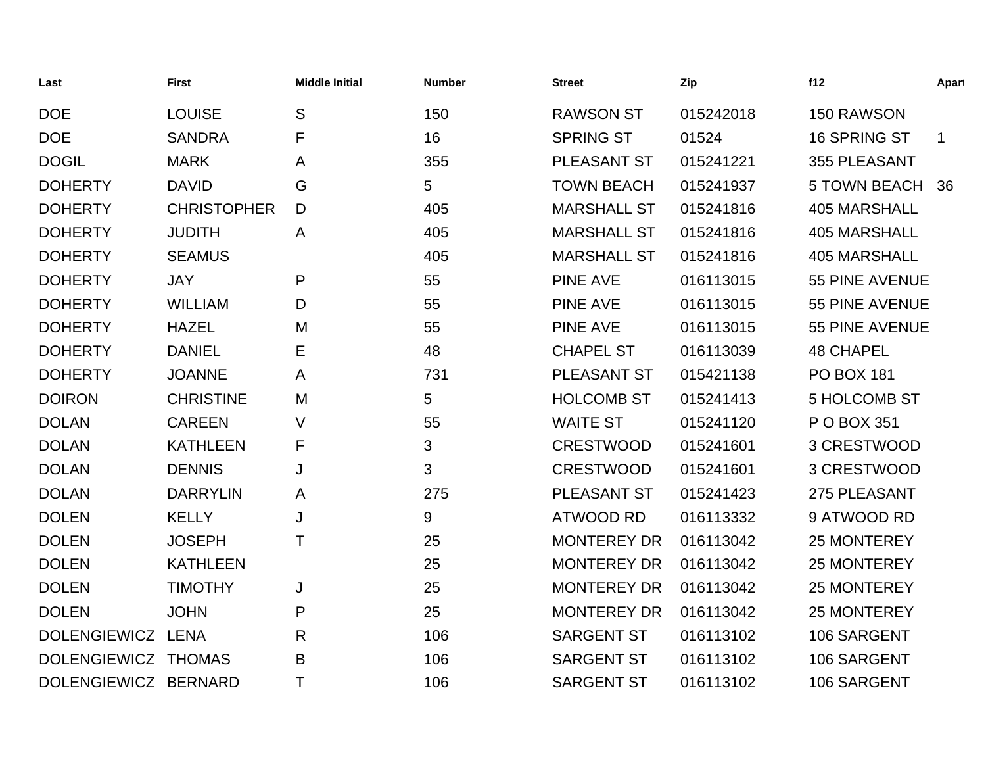| Last                 | <b>First</b>       | <b>Middle Initial</b> | <b>Number</b> | <b>Street</b>      | Zip       | f12                 | Apart       |
|----------------------|--------------------|-----------------------|---------------|--------------------|-----------|---------------------|-------------|
| <b>DOE</b>           | <b>LOUISE</b>      | S                     | 150           | <b>RAWSON ST</b>   | 015242018 | 150 RAWSON          |             |
| <b>DOE</b>           | <b>SANDRA</b>      | F                     | 16            | <b>SPRING ST</b>   | 01524     | 16 SPRING ST        | $\mathbf 1$ |
| <b>DOGIL</b>         | <b>MARK</b>        | A                     | 355           | PLEASANT ST        | 015241221 | 355 PLEASANT        |             |
| <b>DOHERTY</b>       | <b>DAVID</b>       | G                     | 5             | <b>TOWN BEACH</b>  | 015241937 | <b>5 TOWN BEACH</b> | 36          |
| <b>DOHERTY</b>       | <b>CHRISTOPHER</b> | D                     | 405           | <b>MARSHALL ST</b> | 015241816 | <b>405 MARSHALL</b> |             |
| <b>DOHERTY</b>       | <b>JUDITH</b>      | A                     | 405           | <b>MARSHALL ST</b> | 015241816 | <b>405 MARSHALL</b> |             |
| <b>DOHERTY</b>       | <b>SEAMUS</b>      |                       | 405           | <b>MARSHALL ST</b> | 015241816 | <b>405 MARSHALL</b> |             |
| <b>DOHERTY</b>       | <b>JAY</b>         | P                     | 55            | <b>PINE AVE</b>    | 016113015 | 55 PINE AVENUE      |             |
| <b>DOHERTY</b>       | <b>WILLIAM</b>     | D                     | 55            | <b>PINE AVE</b>    | 016113015 | 55 PINE AVENUE      |             |
| <b>DOHERTY</b>       | <b>HAZEL</b>       | M                     | 55            | <b>PINE AVE</b>    | 016113015 | 55 PINE AVENUE      |             |
| <b>DOHERTY</b>       | <b>DANIEL</b>      | Е                     | 48            | <b>CHAPEL ST</b>   | 016113039 | <b>48 CHAPEL</b>    |             |
| <b>DOHERTY</b>       | <b>JOANNE</b>      | A                     | 731           | PLEASANT ST        | 015421138 | <b>PO BOX 181</b>   |             |
| <b>DOIRON</b>        | <b>CHRISTINE</b>   | M                     | 5             | <b>HOLCOMB ST</b>  | 015241413 | <b>5 HOLCOMB ST</b> |             |
| <b>DOLAN</b>         | <b>CAREEN</b>      | V                     | 55            | <b>WAITE ST</b>    | 015241120 | P O BOX 351         |             |
| <b>DOLAN</b>         | <b>KATHLEEN</b>    | F                     | 3             | <b>CRESTWOOD</b>   | 015241601 | 3 CRESTWOOD         |             |
| <b>DOLAN</b>         | <b>DENNIS</b>      | J                     | 3             | <b>CRESTWOOD</b>   | 015241601 | 3 CRESTWOOD         |             |
| <b>DOLAN</b>         | <b>DARRYLIN</b>    | A                     | 275           | PLEASANT ST        | 015241423 | 275 PLEASANT        |             |
| <b>DOLEN</b>         | <b>KELLY</b>       | J                     | 9             | <b>ATWOOD RD</b>   | 016113332 | 9 ATWOOD RD         |             |
| <b>DOLEN</b>         | <b>JOSEPH</b>      | Τ                     | 25            | <b>MONTEREY DR</b> | 016113042 | <b>25 MONTEREY</b>  |             |
| <b>DOLEN</b>         | <b>KATHLEEN</b>    |                       | 25            | <b>MONTEREY DR</b> | 016113042 | 25 MONTEREY         |             |
| <b>DOLEN</b>         | <b>TIMOTHY</b>     | J                     | 25            | <b>MONTEREY DR</b> | 016113042 | 25 MONTEREY         |             |
| <b>DOLEN</b>         | <b>JOHN</b>        | P                     | 25            | <b>MONTEREY DR</b> | 016113042 | <b>25 MONTEREY</b>  |             |
| DOLENGIEWICZ LENA    |                    | R                     | 106           | <b>SARGENT ST</b>  | 016113102 | 106 SARGENT         |             |
| DOLENGIEWICZ THOMAS  |                    | B                     | 106           | <b>SARGENT ST</b>  | 016113102 | 106 SARGENT         |             |
| DOLENGIEWICZ BERNARD |                    | Τ                     | 106           | <b>SARGENT ST</b>  | 016113102 | 106 SARGENT         |             |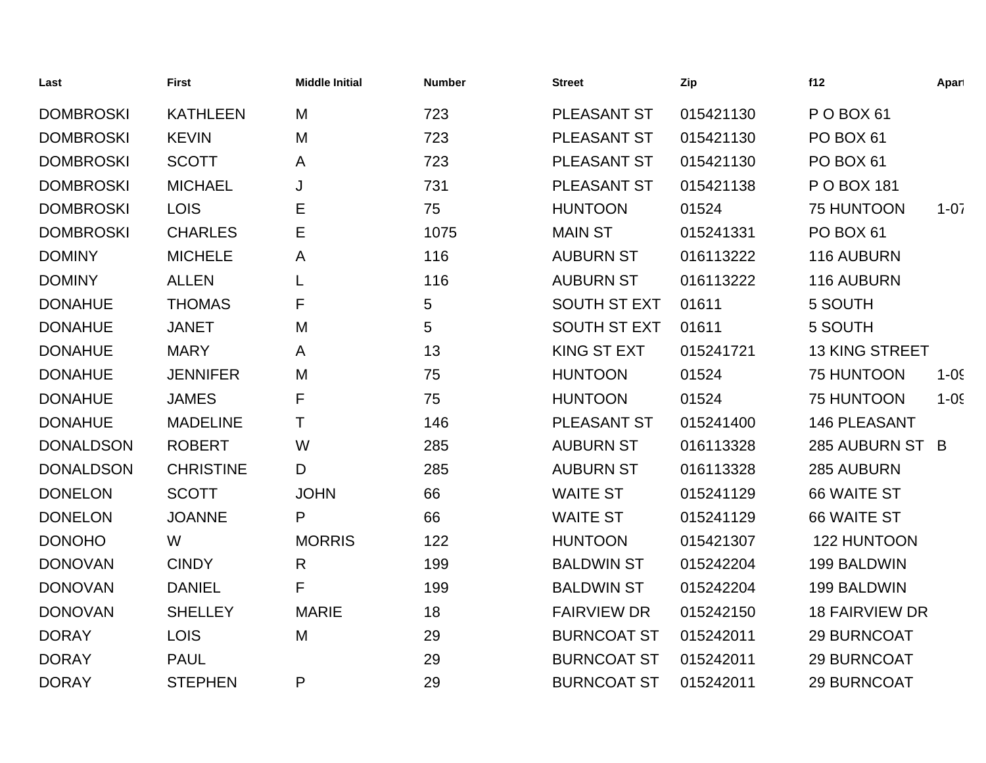| Last             | <b>First</b>     | <b>Middle Initial</b> | <b>Number</b>   | <b>Street</b>       | Zip       | f12                   | Apart    |
|------------------|------------------|-----------------------|-----------------|---------------------|-----------|-----------------------|----------|
| <b>DOMBROSKI</b> | <b>KATHLEEN</b>  | M                     | 723             | <b>PLEASANT ST</b>  | 015421130 | POBOX <sub>61</sub>   |          |
| <b>DOMBROSKI</b> | <b>KEVIN</b>     | M                     | 723             | PLEASANT ST         | 015421130 | PO BOX 61             |          |
| <b>DOMBROSKI</b> | <b>SCOTT</b>     | A                     | 723             | PLEASANT ST         | 015421130 | PO BOX 61             |          |
| <b>DOMBROSKI</b> | <b>MICHAEL</b>   | J                     | 731             | PLEASANT ST         | 015421138 | P O BOX 181           |          |
| <b>DOMBROSKI</b> | <b>LOIS</b>      | E                     | 75              | <b>HUNTOON</b>      | 01524     | 75 HUNTOON            | $1 - 07$ |
| <b>DOMBROSKI</b> | <b>CHARLES</b>   | Е                     | 1075            | <b>MAIN ST</b>      | 015241331 | PO BOX 61             |          |
| <b>DOMINY</b>    | <b>MICHELE</b>   | A                     | 116             | <b>AUBURN ST</b>    | 016113222 | 116 AUBURN            |          |
| <b>DOMINY</b>    | <b>ALLEN</b>     | L                     | 116             | <b>AUBURN ST</b>    | 016113222 | 116 AUBURN            |          |
| <b>DONAHUE</b>   | <b>THOMAS</b>    | F                     | 5               | <b>SOUTH ST EXT</b> | 01611     | 5 SOUTH               |          |
| <b>DONAHUE</b>   | <b>JANET</b>     | M                     | $5\phantom{.0}$ | <b>SOUTH ST EXT</b> | 01611     | 5 SOUTH               |          |
| <b>DONAHUE</b>   | <b>MARY</b>      | A                     | 13              | KING ST EXT         | 015241721 | <b>13 KING STREET</b> |          |
| <b>DONAHUE</b>   | <b>JENNIFER</b>  | M                     | 75              | <b>HUNTOON</b>      | 01524     | 75 HUNTOON            | $1 - 05$ |
| <b>DONAHUE</b>   | <b>JAMES</b>     | F                     | 75              | <b>HUNTOON</b>      | 01524     | 75 HUNTOON            | $1 - 05$ |
| <b>DONAHUE</b>   | <b>MADELINE</b>  | $\top$                | 146             | PLEASANT ST         | 015241400 | <b>146 PLEASANT</b>   |          |
| <b>DONALDSON</b> | <b>ROBERT</b>    | W                     | 285             | <b>AUBURN ST</b>    | 016113328 | 285 AUBURN ST B       |          |
| <b>DONALDSON</b> | <b>CHRISTINE</b> | D                     | 285             | <b>AUBURN ST</b>    | 016113328 | 285 AUBURN            |          |
| <b>DONELON</b>   | <b>SCOTT</b>     | <b>JOHN</b>           | 66              | <b>WAITE ST</b>     | 015241129 | 66 WAITE ST           |          |
| <b>DONELON</b>   | <b>JOANNE</b>    | P                     | 66              | <b>WAITE ST</b>     | 015241129 | 66 WAITE ST           |          |
| <b>DONOHO</b>    | W                | <b>MORRIS</b>         | 122             | <b>HUNTOON</b>      | 015421307 | 122 HUNTOON           |          |
| <b>DONOVAN</b>   | <b>CINDY</b>     | R                     | 199             | <b>BALDWIN ST</b>   | 015242204 | 199 BALDWIN           |          |
| <b>DONOVAN</b>   | <b>DANIEL</b>    | F                     | 199             | <b>BALDWIN ST</b>   | 015242204 | 199 BALDWIN           |          |
| <b>DONOVAN</b>   | <b>SHELLEY</b>   | <b>MARIE</b>          | 18              | <b>FAIRVIEW DR</b>  | 015242150 | <b>18 FAIRVIEW DR</b> |          |
| <b>DORAY</b>     | <b>LOIS</b>      | M                     | 29              | <b>BURNCOAT ST</b>  | 015242011 | 29 BURNCOAT           |          |
| <b>DORAY</b>     | <b>PAUL</b>      |                       | 29              | <b>BURNCOAT ST</b>  | 015242011 | 29 BURNCOAT           |          |
| <b>DORAY</b>     | <b>STEPHEN</b>   | P                     | 29              | <b>BURNCOAT ST</b>  | 015242011 | 29 BURNCOAT           |          |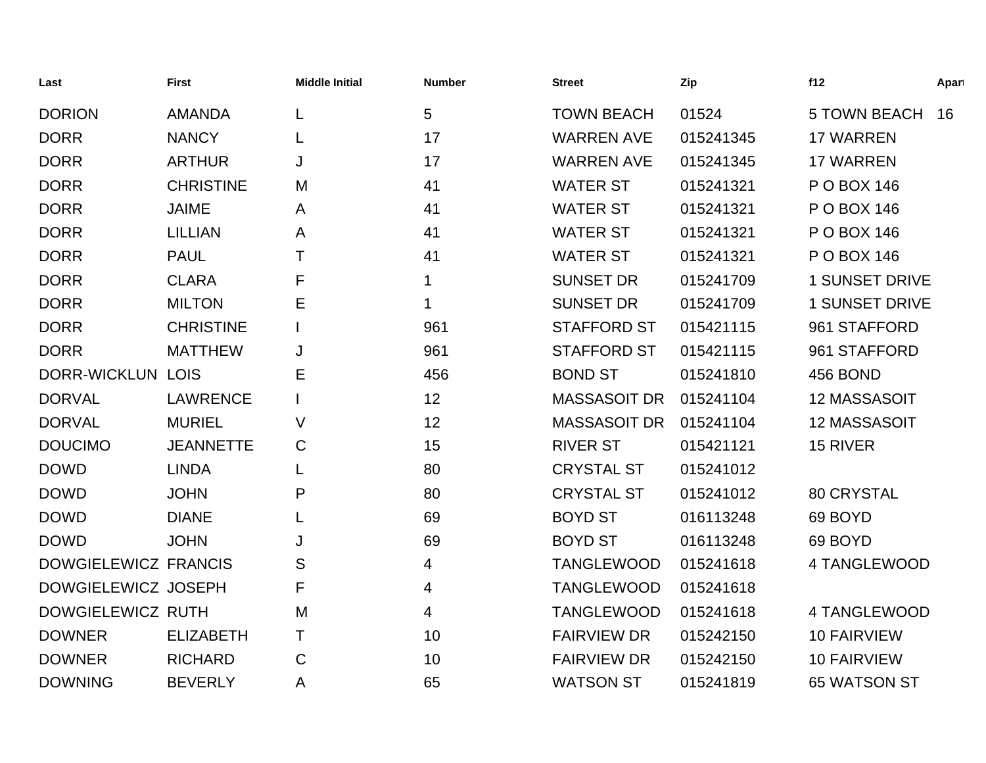| Last                     | <b>First</b>     | <b>Middle Initial</b> | <b>Number</b> | <b>Street</b>       | Zip       | f12                   | Apart |
|--------------------------|------------------|-----------------------|---------------|---------------------|-----------|-----------------------|-------|
| <b>DORION</b>            | <b>AMANDA</b>    |                       | 5             | <b>TOWN BEACH</b>   | 01524     | <b>5 TOWN BEACH</b>   | 16    |
| <b>DORR</b>              | <b>NANCY</b>     |                       | 17            | <b>WARREN AVE</b>   | 015241345 | <b>17 WARREN</b>      |       |
| <b>DORR</b>              | <b>ARTHUR</b>    | J                     | 17            | <b>WARREN AVE</b>   | 015241345 | <b>17 WARREN</b>      |       |
| <b>DORR</b>              | <b>CHRISTINE</b> | M                     | 41            | <b>WATER ST</b>     | 015241321 | P O BOX 146           |       |
| <b>DORR</b>              | <b>JAIME</b>     | A                     | 41            | <b>WATER ST</b>     | 015241321 | P O BOX 146           |       |
| <b>DORR</b>              | <b>LILLIAN</b>   | A                     | 41            | <b>WATER ST</b>     | 015241321 | P O BOX 146           |       |
| <b>DORR</b>              | <b>PAUL</b>      | т                     | 41            | <b>WATER ST</b>     | 015241321 | P O BOX 146           |       |
| <b>DORR</b>              | <b>CLARA</b>     | F                     | 1             | <b>SUNSET DR</b>    | 015241709 | <b>1 SUNSET DRIVE</b> |       |
| <b>DORR</b>              | <b>MILTON</b>    | Ε                     | 1             | <b>SUNSET DR</b>    | 015241709 | <b>1 SUNSET DRIVE</b> |       |
| <b>DORR</b>              | <b>CHRISTINE</b> |                       | 961           | <b>STAFFORD ST</b>  | 015421115 | 961 STAFFORD          |       |
| <b>DORR</b>              | <b>MATTHEW</b>   | J                     | 961           | <b>STAFFORD ST</b>  | 015421115 | 961 STAFFORD          |       |
| <b>DORR-WICKLUN LOIS</b> |                  | Ε                     | 456           | <b>BOND ST</b>      | 015241810 | 456 BOND              |       |
| <b>DORVAL</b>            | <b>LAWRENCE</b>  |                       | 12            | <b>MASSASOIT DR</b> | 015241104 | 12 MASSASOIT          |       |
| <b>DORVAL</b>            | <b>MURIEL</b>    | V                     | 12            | <b>MASSASOIT DR</b> | 015241104 | 12 MASSASOIT          |       |
| <b>DOUCIMO</b>           | <b>JEANNETTE</b> | C                     | 15            | <b>RIVER ST</b>     | 015421121 | 15 RIVER              |       |
| <b>DOWD</b>              | <b>LINDA</b>     | L                     | 80            | <b>CRYSTAL ST</b>   | 015241012 |                       |       |
| <b>DOWD</b>              | <b>JOHN</b>      | P                     | 80            | <b>CRYSTAL ST</b>   | 015241012 | 80 CRYSTAL            |       |
| <b>DOWD</b>              | <b>DIANE</b>     |                       | 69            | <b>BOYD ST</b>      | 016113248 | 69 BOYD               |       |
| <b>DOWD</b>              | <b>JOHN</b>      | J                     | 69            | <b>BOYD ST</b>      | 016113248 | 69 BOYD               |       |
| DOWGIELEWICZ FRANCIS     |                  | S                     | 4             | <b>TANGLEWOOD</b>   | 015241618 | 4 TANGLEWOOD          |       |
| DOWGIELEWICZ JOSEPH      |                  | F                     | 4             | <b>TANGLEWOOD</b>   | 015241618 |                       |       |
| DOWGIELEWICZ RUTH        |                  | M                     | 4             | <b>TANGLEWOOD</b>   | 015241618 | 4 TANGLEWOOD          |       |
| <b>DOWNER</b>            | <b>ELIZABETH</b> | т                     | 10            | <b>FAIRVIEW DR</b>  | 015242150 | <b>10 FAIRVIEW</b>    |       |
| <b>DOWNER</b>            | <b>RICHARD</b>   | C                     | 10            | <b>FAIRVIEW DR</b>  | 015242150 | <b>10 FAIRVIEW</b>    |       |
| <b>DOWNING</b>           | <b>BEVERLY</b>   | Α                     | 65            | <b>WATSON ST</b>    | 015241819 | 65 WATSON ST          |       |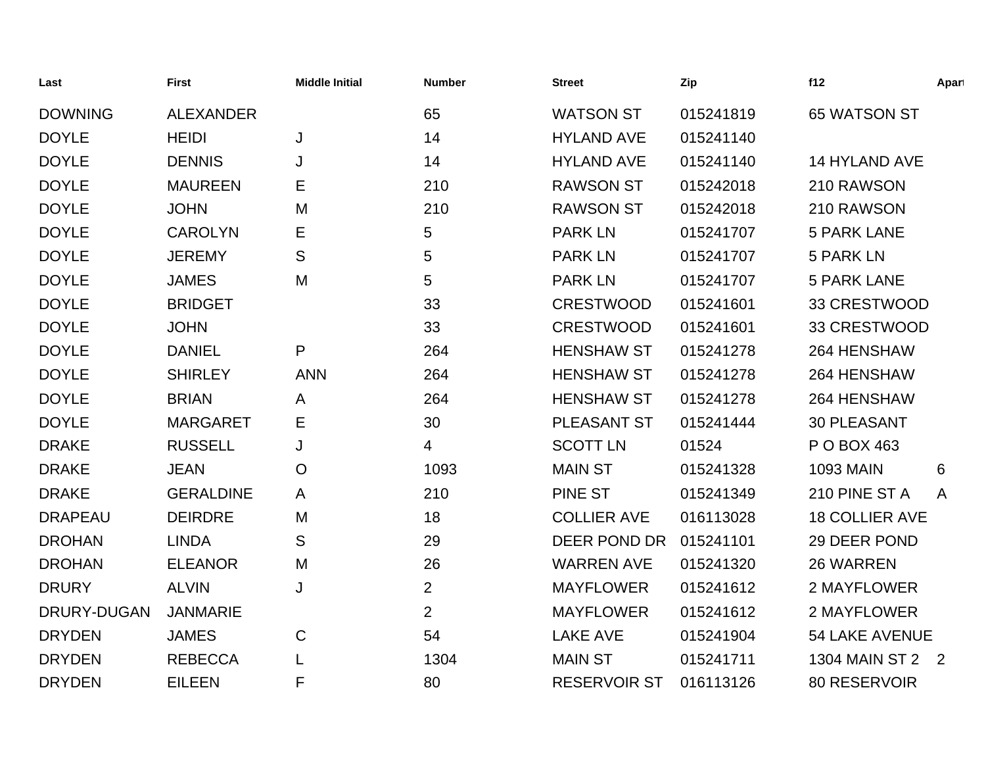| Last           | <b>First</b>     | <b>Middle Initial</b> | <b>Number</b>  | <b>Street</b>       | Zip       | f12                   | Apart |
|----------------|------------------|-----------------------|----------------|---------------------|-----------|-----------------------|-------|
| <b>DOWNING</b> | <b>ALEXANDER</b> |                       | 65             | <b>WATSON ST</b>    | 015241819 | 65 WATSON ST          |       |
| <b>DOYLE</b>   | <b>HEIDI</b>     | J                     | 14             | <b>HYLAND AVE</b>   | 015241140 |                       |       |
| <b>DOYLE</b>   | <b>DENNIS</b>    | J                     | 14             | <b>HYLAND AVE</b>   | 015241140 | 14 HYLAND AVE         |       |
| <b>DOYLE</b>   | <b>MAUREEN</b>   | Е                     | 210            | <b>RAWSON ST</b>    | 015242018 | 210 RAWSON            |       |
| <b>DOYLE</b>   | <b>JOHN</b>      | M                     | 210            | <b>RAWSON ST</b>    | 015242018 | 210 RAWSON            |       |
| <b>DOYLE</b>   | <b>CAROLYN</b>   | Е                     | 5              | <b>PARK LN</b>      | 015241707 | <b>5 PARK LANE</b>    |       |
| <b>DOYLE</b>   | <b>JEREMY</b>    | S                     | 5              | <b>PARK LN</b>      | 015241707 | <b>5 PARK LN</b>      |       |
| <b>DOYLE</b>   | <b>JAMES</b>     | M                     | 5              | <b>PARK LN</b>      | 015241707 | <b>5 PARK LANE</b>    |       |
| <b>DOYLE</b>   | <b>BRIDGET</b>   |                       | 33             | <b>CRESTWOOD</b>    | 015241601 | 33 CRESTWOOD          |       |
| <b>DOYLE</b>   | <b>JOHN</b>      |                       | 33             | <b>CRESTWOOD</b>    | 015241601 | 33 CRESTWOOD          |       |
| <b>DOYLE</b>   | <b>DANIEL</b>    | P                     | 264            | <b>HENSHAW ST</b>   | 015241278 | 264 HENSHAW           |       |
| <b>DOYLE</b>   | <b>SHIRLEY</b>   | <b>ANN</b>            | 264            | <b>HENSHAW ST</b>   | 015241278 | 264 HENSHAW           |       |
| <b>DOYLE</b>   | <b>BRIAN</b>     | A                     | 264            | <b>HENSHAW ST</b>   | 015241278 | 264 HENSHAW           |       |
| <b>DOYLE</b>   | <b>MARGARET</b>  | Е                     | 30             | PLEASANT ST         | 015241444 | <b>30 PLEASANT</b>    |       |
| <b>DRAKE</b>   | <b>RUSSELL</b>   | J                     | 4              | <b>SCOTT LN</b>     | 01524     | P O BOX 463           |       |
| <b>DRAKE</b>   | <b>JEAN</b>      | O                     | 1093           | <b>MAIN ST</b>      | 015241328 | <b>1093 MAIN</b>      | 6     |
| <b>DRAKE</b>   | <b>GERALDINE</b> | A                     | 210            | <b>PINE ST</b>      | 015241349 | 210 PINE ST A         | A     |
| <b>DRAPEAU</b> | <b>DEIRDRE</b>   | M                     | 18             | <b>COLLIER AVE</b>  | 016113028 | <b>18 COLLIER AVE</b> |       |
| <b>DROHAN</b>  | <b>LINDA</b>     | S                     | 29             | DEER POND DR        | 015241101 | 29 DEER POND          |       |
| <b>DROHAN</b>  | <b>ELEANOR</b>   | M                     | 26             | <b>WARREN AVE</b>   | 015241320 | 26 WARREN             |       |
| <b>DRURY</b>   | <b>ALVIN</b>     | J                     | $\overline{2}$ | <b>MAYFLOWER</b>    | 015241612 | 2 MAYFLOWER           |       |
| DRURY-DUGAN    | <b>JANMARIE</b>  |                       | $\overline{2}$ | <b>MAYFLOWER</b>    | 015241612 | 2 MAYFLOWER           |       |
| <b>DRYDEN</b>  | <b>JAMES</b>     | C                     | 54             | <b>LAKE AVE</b>     | 015241904 | <b>54 LAKE AVENUE</b> |       |
| <b>DRYDEN</b>  | <b>REBECCA</b>   |                       | 1304           | <b>MAIN ST</b>      | 015241711 | 1304 MAIN ST 2 2      |       |
| <b>DRYDEN</b>  | <b>EILEEN</b>    | F                     | 80             | <b>RESERVOIR ST</b> | 016113126 | 80 RESERVOIR          |       |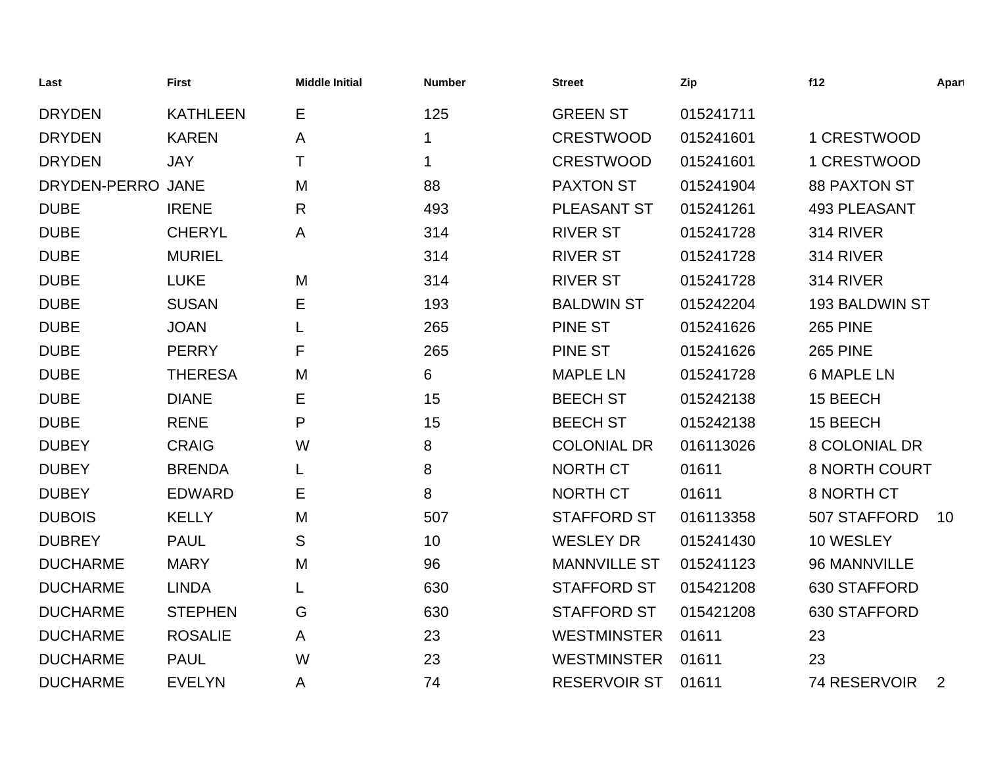| Last              | <b>First</b>    | <b>Middle Initial</b> | <b>Number</b> | <b>Street</b>       | Zip       | f12                   | Apart |
|-------------------|-----------------|-----------------------|---------------|---------------------|-----------|-----------------------|-------|
| <b>DRYDEN</b>     | <b>KATHLEEN</b> | Е                     | 125           | <b>GREEN ST</b>     | 015241711 |                       |       |
| <b>DRYDEN</b>     | <b>KAREN</b>    | Α                     |               | <b>CRESTWOOD</b>    | 015241601 | 1 CRESTWOOD           |       |
| <b>DRYDEN</b>     | <b>JAY</b>      | Τ                     | 1             | <b>CRESTWOOD</b>    | 015241601 | 1 CRESTWOOD           |       |
| DRYDEN-PERRO JANE |                 | M                     | 88            | <b>PAXTON ST</b>    | 015241904 | <b>88 PAXTON ST</b>   |       |
| <b>DUBE</b>       | <b>IRENE</b>    | R                     | 493           | PLEASANT ST         | 015241261 | <b>493 PLEASANT</b>   |       |
| <b>DUBE</b>       | <b>CHERYL</b>   | A                     | 314           | <b>RIVER ST</b>     | 015241728 | 314 RIVER             |       |
| <b>DUBE</b>       | <b>MURIEL</b>   |                       | 314           | <b>RIVER ST</b>     | 015241728 | 314 RIVER             |       |
| <b>DUBE</b>       | <b>LUKE</b>     | M                     | 314           | <b>RIVER ST</b>     | 015241728 | 314 RIVER             |       |
| <b>DUBE</b>       | <b>SUSAN</b>    | Е                     | 193           | <b>BALDWIN ST</b>   | 015242204 | <b>193 BALDWIN ST</b> |       |
| <b>DUBE</b>       | <b>JOAN</b>     |                       | 265           | <b>PINE ST</b>      | 015241626 | <b>265 PINE</b>       |       |
| <b>DUBE</b>       | <b>PERRY</b>    | F                     | 265           | <b>PINE ST</b>      | 015241626 | <b>265 PINE</b>       |       |
| <b>DUBE</b>       | <b>THERESA</b>  | M                     | 6             | <b>MAPLE LN</b>     | 015241728 | <b>6 MAPLE LN</b>     |       |
| <b>DUBE</b>       | <b>DIANE</b>    | Е                     | 15            | <b>BEECH ST</b>     | 015242138 | 15 BEECH              |       |
| <b>DUBE</b>       | <b>RENE</b>     | P                     | 15            | <b>BEECH ST</b>     | 015242138 | 15 BEECH              |       |
| <b>DUBEY</b>      | <b>CRAIG</b>    | W                     | 8             | <b>COLONIAL DR</b>  | 016113026 | <b>8 COLONIAL DR</b>  |       |
| <b>DUBEY</b>      | <b>BRENDA</b>   |                       | 8             | <b>NORTH CT</b>     | 01611     | <b>8 NORTH COURT</b>  |       |
| <b>DUBEY</b>      | <b>EDWARD</b>   | Е                     | 8             | NORTH CT            | 01611     | 8 NORTH CT            |       |
| <b>DUBOIS</b>     | <b>KELLY</b>    | M                     | 507           | <b>STAFFORD ST</b>  | 016113358 | 507 STAFFORD          | 10    |
| <b>DUBREY</b>     | <b>PAUL</b>     | S                     | 10            | <b>WESLEY DR</b>    | 015241430 | 10 WESLEY             |       |
| <b>DUCHARME</b>   | <b>MARY</b>     | M                     | 96            | <b>MANNVILLE ST</b> | 015241123 | 96 MANNVILLE          |       |
| <b>DUCHARME</b>   | <b>LINDA</b>    |                       | 630           | <b>STAFFORD ST</b>  | 015421208 | 630 STAFFORD          |       |
| <b>DUCHARME</b>   | <b>STEPHEN</b>  | G                     | 630           | <b>STAFFORD ST</b>  | 015421208 | 630 STAFFORD          |       |
| <b>DUCHARME</b>   | <b>ROSALIE</b>  | A                     | 23            | <b>WESTMINSTER</b>  | 01611     | 23                    |       |
| <b>DUCHARME</b>   | <b>PAUL</b>     | W                     | 23            | <b>WESTMINSTER</b>  | 01611     | 23                    |       |
| <b>DUCHARME</b>   | <b>EVELYN</b>   | Α                     | 74            | <b>RESERVOIR ST</b> | 01611     | 74 RESERVOIR          | 2     |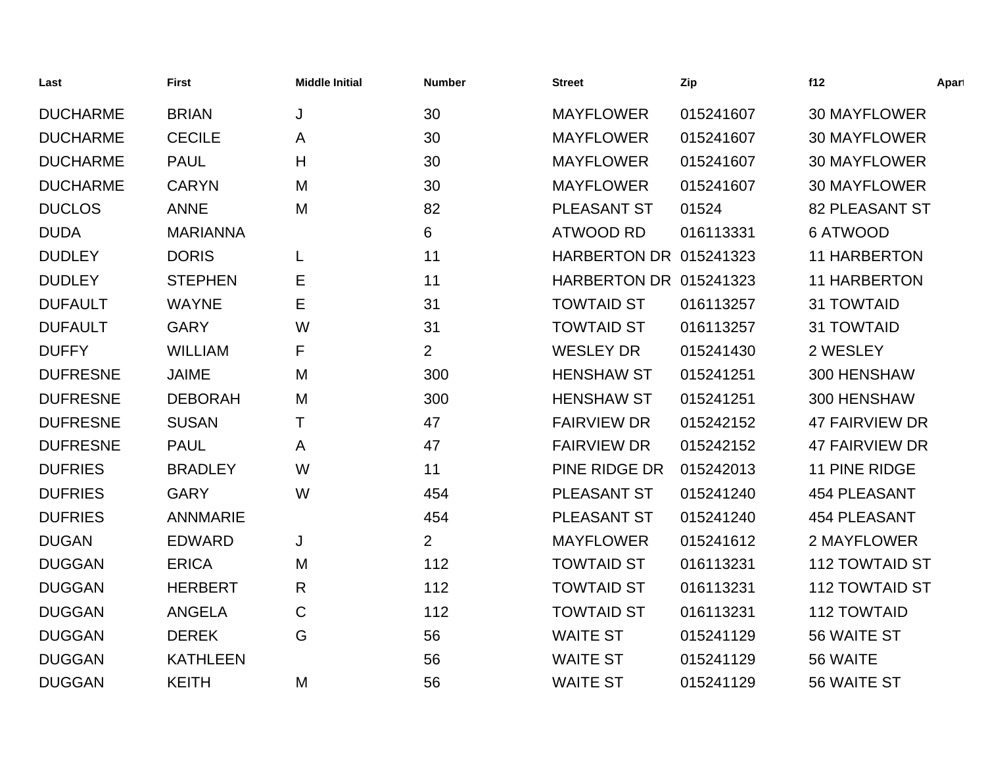| Last            | <b>First</b>    | <b>Middle Initial</b> | <b>Number</b>  | <b>Street</b>                 | Zip       | f12                   | Apart |
|-----------------|-----------------|-----------------------|----------------|-------------------------------|-----------|-----------------------|-------|
| <b>DUCHARME</b> | <b>BRIAN</b>    | J                     | 30             | <b>MAYFLOWER</b>              | 015241607 | <b>30 MAYFLOWER</b>   |       |
| <b>DUCHARME</b> | <b>CECILE</b>   | A                     | 30             | <b>MAYFLOWER</b>              | 015241607 | <b>30 MAYFLOWER</b>   |       |
| <b>DUCHARME</b> | <b>PAUL</b>     | H                     | 30             | <b>MAYFLOWER</b>              | 015241607 | <b>30 MAYFLOWER</b>   |       |
| <b>DUCHARME</b> | <b>CARYN</b>    | M                     | 30             | <b>MAYFLOWER</b>              | 015241607 | <b>30 MAYFLOWER</b>   |       |
| <b>DUCLOS</b>   | <b>ANNE</b>     | M                     | 82             | PLEASANT ST                   | 01524     | <b>82 PLEASANT ST</b> |       |
| <b>DUDA</b>     | <b>MARIANNA</b> |                       | 6              | <b>ATWOOD RD</b>              | 016113331 | <b>6 ATWOOD</b>       |       |
| <b>DUDLEY</b>   | <b>DORIS</b>    | L                     | 11             | <b>HARBERTON DR 015241323</b> |           | <b>11 HARBERTON</b>   |       |
| <b>DUDLEY</b>   | <b>STEPHEN</b>  | Е                     | 11             | <b>HARBERTON DR 015241323</b> |           | <b>11 HARBERTON</b>   |       |
| <b>DUFAULT</b>  | <b>WAYNE</b>    | Е                     | 31             | <b>TOWTAID ST</b>             | 016113257 | <b>31 TOWTAID</b>     |       |
| <b>DUFAULT</b>  | <b>GARY</b>     | W                     | 31             | <b>TOWTAID ST</b>             | 016113257 | <b>31 TOWTAID</b>     |       |
| <b>DUFFY</b>    | <b>WILLIAM</b>  | F                     | $\overline{2}$ | <b>WESLEY DR</b>              | 015241430 | 2 WESLEY              |       |
| <b>DUFRESNE</b> | <b>JAIME</b>    | M                     | 300            | <b>HENSHAW ST</b>             | 015241251 | 300 HENSHAW           |       |
| <b>DUFRESNE</b> | <b>DEBORAH</b>  | M                     | 300            | <b>HENSHAW ST</b>             | 015241251 | 300 HENSHAW           |       |
| <b>DUFRESNE</b> | <b>SUSAN</b>    | Τ                     | 47             | <b>FAIRVIEW DR</b>            | 015242152 | <b>47 FAIRVIEW DR</b> |       |
| <b>DUFRESNE</b> | <b>PAUL</b>     | A                     | 47             | <b>FAIRVIEW DR</b>            | 015242152 | <b>47 FAIRVIEW DR</b> |       |
| <b>DUFRIES</b>  | <b>BRADLEY</b>  | W                     | 11             | PINE RIDGE DR                 | 015242013 | 11 PINE RIDGE         |       |
| <b>DUFRIES</b>  | <b>GARY</b>     | W                     | 454            | PLEASANT ST                   | 015241240 | <b>454 PLEASANT</b>   |       |
| <b>DUFRIES</b>  | <b>ANNMARIE</b> |                       | 454            | PLEASANT ST                   | 015241240 | <b>454 PLEASANT</b>   |       |
| <b>DUGAN</b>    | <b>EDWARD</b>   | J                     | $\overline{2}$ | <b>MAYFLOWER</b>              | 015241612 | 2 MAYFLOWER           |       |
| <b>DUGGAN</b>   | <b>ERICA</b>    | M                     | 112            | <b>TOWTAID ST</b>             | 016113231 | 112 TOWTAID ST        |       |
| <b>DUGGAN</b>   | <b>HERBERT</b>  | R                     | 112            | <b>TOWTAID ST</b>             | 016113231 | <b>112 TOWTAID ST</b> |       |
| <b>DUGGAN</b>   | <b>ANGELA</b>   | $\mathsf{C}$          | 112            | <b>TOWTAID ST</b>             | 016113231 | <b>112 TOWTAID</b>    |       |
| <b>DUGGAN</b>   | <b>DEREK</b>    | G                     | 56             | <b>WAITE ST</b>               | 015241129 | 56 WAITE ST           |       |
| <b>DUGGAN</b>   | <b>KATHLEEN</b> |                       | 56             | <b>WAITE ST</b>               | 015241129 | 56 WAITE              |       |
| <b>DUGGAN</b>   | <b>KEITH</b>    | M                     | 56             | <b>WAITE ST</b>               | 015241129 | 56 WAITE ST           |       |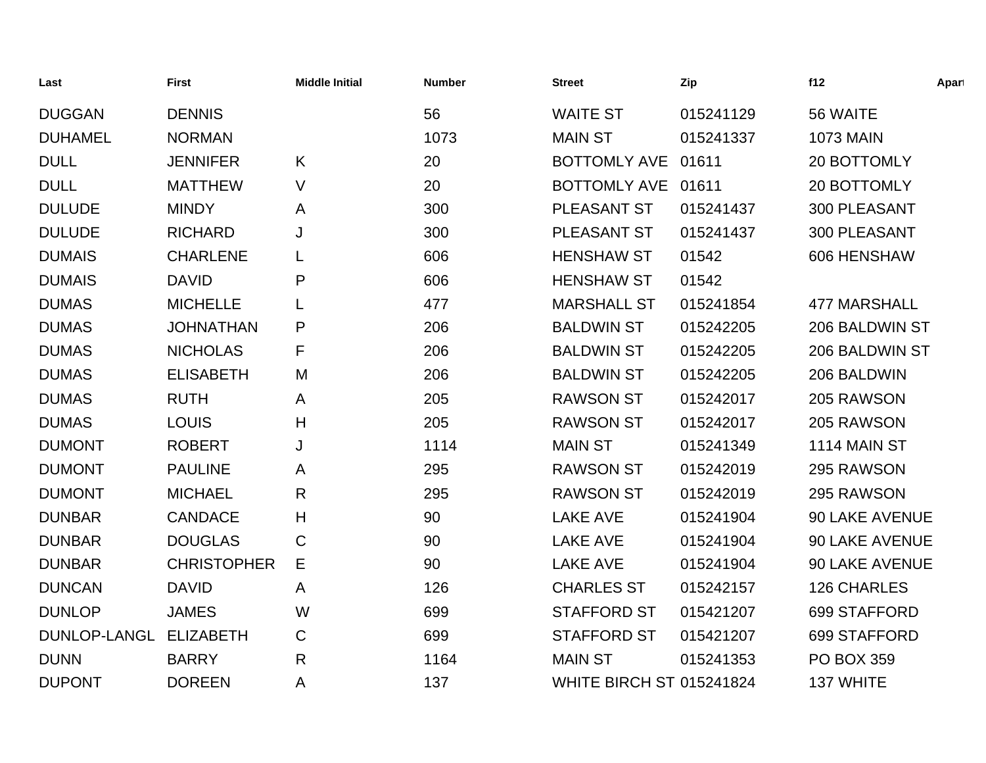| Last           | <b>First</b>       | <b>Middle Initial</b> | <b>Number</b> | <b>Street</b>                   | Zip       | f12                 | Apart |
|----------------|--------------------|-----------------------|---------------|---------------------------------|-----------|---------------------|-------|
| <b>DUGGAN</b>  | <b>DENNIS</b>      |                       | 56            | <b>WAITE ST</b>                 | 015241129 | 56 WAITE            |       |
| <b>DUHAMEL</b> | <b>NORMAN</b>      |                       | 1073          | <b>MAIN ST</b>                  | 015241337 | <b>1073 MAIN</b>    |       |
| <b>DULL</b>    | <b>JENNIFER</b>    | K                     | 20            | <b>BOTTOMLY AVE</b>             | 01611     | 20 BOTTOMLY         |       |
| <b>DULL</b>    | <b>MATTHEW</b>     | V                     | 20            | <b>BOTTOMLY AVE</b>             | 01611     | 20 BOTTOMLY         |       |
| <b>DULUDE</b>  | <b>MINDY</b>       | A                     | 300           | PLEASANT ST                     | 015241437 | 300 PLEASANT        |       |
| <b>DULUDE</b>  | <b>RICHARD</b>     | J                     | 300           | PLEASANT ST                     | 015241437 | 300 PLEASANT        |       |
| <b>DUMAIS</b>  | <b>CHARLENE</b>    | L                     | 606           | <b>HENSHAW ST</b>               | 01542     | 606 HENSHAW         |       |
| <b>DUMAIS</b>  | <b>DAVID</b>       | P                     | 606           | <b>HENSHAW ST</b>               | 01542     |                     |       |
| <b>DUMAS</b>   | <b>MICHELLE</b>    | L                     | 477           | <b>MARSHALL ST</b>              | 015241854 | <b>477 MARSHALL</b> |       |
| <b>DUMAS</b>   | <b>JOHNATHAN</b>   | P                     | 206           | <b>BALDWIN ST</b>               | 015242205 | 206 BALDWIN ST      |       |
| <b>DUMAS</b>   | <b>NICHOLAS</b>    | F                     | 206           | <b>BALDWIN ST</b>               | 015242205 | 206 BALDWIN ST      |       |
| <b>DUMAS</b>   | <b>ELISABETH</b>   | M                     | 206           | <b>BALDWIN ST</b>               | 015242205 | 206 BALDWIN         |       |
| <b>DUMAS</b>   | <b>RUTH</b>        | A                     | 205           | <b>RAWSON ST</b>                | 015242017 | 205 RAWSON          |       |
| <b>DUMAS</b>   | <b>LOUIS</b>       | H                     | 205           | <b>RAWSON ST</b>                | 015242017 | 205 RAWSON          |       |
| <b>DUMONT</b>  | <b>ROBERT</b>      | J                     | 1114          | <b>MAIN ST</b>                  | 015241349 | 1114 MAIN ST        |       |
| <b>DUMONT</b>  | <b>PAULINE</b>     | A                     | 295           | <b>RAWSON ST</b>                | 015242019 | 295 RAWSON          |       |
| <b>DUMONT</b>  | <b>MICHAEL</b>     | $\mathsf{R}$          | 295           | <b>RAWSON ST</b>                | 015242019 | 295 RAWSON          |       |
| <b>DUNBAR</b>  | <b>CANDACE</b>     | H                     | 90            | <b>LAKE AVE</b>                 | 015241904 | 90 LAKE AVENUE      |       |
| <b>DUNBAR</b>  | <b>DOUGLAS</b>     | $\mathbf C$           | 90            | <b>LAKE AVE</b>                 | 015241904 | 90 LAKE AVENUE      |       |
| <b>DUNBAR</b>  | <b>CHRISTOPHER</b> | Е                     | 90            | <b>LAKE AVE</b>                 | 015241904 | 90 LAKE AVENUE      |       |
| <b>DUNCAN</b>  | <b>DAVID</b>       | Α                     | 126           | <b>CHARLES ST</b>               | 015242157 | 126 CHARLES         |       |
| <b>DUNLOP</b>  | <b>JAMES</b>       | W                     | 699           | <b>STAFFORD ST</b>              | 015421207 | 699 STAFFORD        |       |
| DUNLOP-LANGL   | <b>ELIZABETH</b>   | $\mathsf C$           | 699           | <b>STAFFORD ST</b>              | 015421207 | 699 STAFFORD        |       |
| <b>DUNN</b>    | <b>BARRY</b>       | $\mathsf{R}$          | 1164          | <b>MAIN ST</b>                  | 015241353 | <b>PO BOX 359</b>   |       |
| <b>DUPONT</b>  | <b>DOREEN</b>      | Α                     | 137           | <b>WHITE BIRCH ST 015241824</b> |           | 137 WHITE           |       |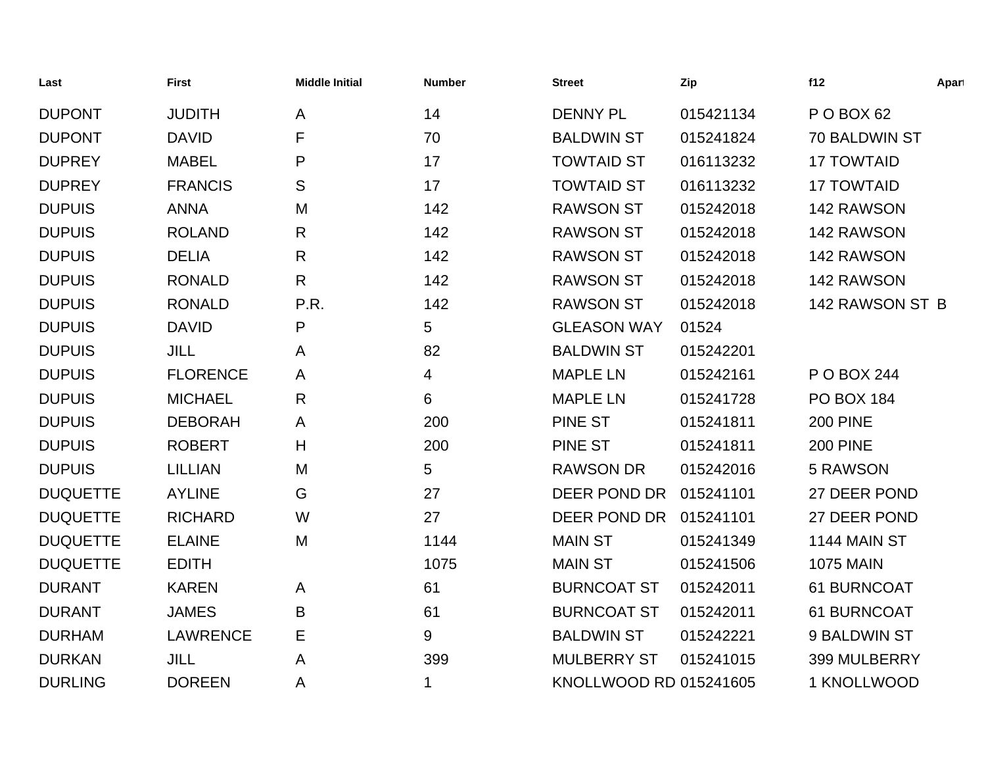| Last            | <b>First</b>    | <b>Middle Initial</b> | <b>Number</b> | <b>Street</b>          | Zip       | f12               | Apart |
|-----------------|-----------------|-----------------------|---------------|------------------------|-----------|-------------------|-------|
| <b>DUPONT</b>   | <b>JUDITH</b>   | A                     | 14            | <b>DENNY PL</b>        | 015421134 | P O BOX 62        |       |
| <b>DUPONT</b>   | <b>DAVID</b>    | F                     | 70            | <b>BALDWIN ST</b>      | 015241824 | 70 BALDWIN ST     |       |
| <b>DUPREY</b>   | <b>MABEL</b>    | P                     | 17            | <b>TOWTAID ST</b>      | 016113232 | <b>17 TOWTAID</b> |       |
| <b>DUPREY</b>   | <b>FRANCIS</b>  | S                     | 17            | <b>TOWTAID ST</b>      | 016113232 | <b>17 TOWTAID</b> |       |
| <b>DUPUIS</b>   | <b>ANNA</b>     | M                     | 142           | <b>RAWSON ST</b>       | 015242018 | 142 RAWSON        |       |
| <b>DUPUIS</b>   | <b>ROLAND</b>   | R                     | 142           | <b>RAWSON ST</b>       | 015242018 | 142 RAWSON        |       |
| <b>DUPUIS</b>   | <b>DELIA</b>    | R                     | 142           | <b>RAWSON ST</b>       | 015242018 | 142 RAWSON        |       |
| <b>DUPUIS</b>   | <b>RONALD</b>   | $\mathsf{R}$          | 142           | <b>RAWSON ST</b>       | 015242018 | 142 RAWSON        |       |
| <b>DUPUIS</b>   | <b>RONALD</b>   | P.R.                  | 142           | <b>RAWSON ST</b>       | 015242018 | 142 RAWSON ST B   |       |
| <b>DUPUIS</b>   | <b>DAVID</b>    | P                     | 5             | <b>GLEASON WAY</b>     | 01524     |                   |       |
| <b>DUPUIS</b>   | <b>JILL</b>     | A                     | 82            | <b>BALDWIN ST</b>      | 015242201 |                   |       |
| <b>DUPUIS</b>   | <b>FLORENCE</b> | A                     | 4             | <b>MAPLE LN</b>        | 015242161 | P O BOX 244       |       |
| <b>DUPUIS</b>   | <b>MICHAEL</b>  | R                     | 6             | <b>MAPLE LN</b>        | 015241728 | <b>PO BOX 184</b> |       |
| <b>DUPUIS</b>   | <b>DEBORAH</b>  | A                     | 200           | <b>PINE ST</b>         | 015241811 | <b>200 PINE</b>   |       |
| <b>DUPUIS</b>   | <b>ROBERT</b>   | H                     | 200           | <b>PINE ST</b>         | 015241811 | <b>200 PINE</b>   |       |
| <b>DUPUIS</b>   | <b>LILLIAN</b>  | M                     | 5             | <b>RAWSON DR</b>       | 015242016 | 5 RAWSON          |       |
| <b>DUQUETTE</b> | <b>AYLINE</b>   | G                     | 27            | DEER POND DR           | 015241101 | 27 DEER POND      |       |
| <b>DUQUETTE</b> | <b>RICHARD</b>  | W                     | 27            | DEER POND DR           | 015241101 | 27 DEER POND      |       |
| <b>DUQUETTE</b> | <b>ELAINE</b>   | M                     | 1144          | <b>MAIN ST</b>         | 015241349 | 1144 MAIN ST      |       |
| <b>DUQUETTE</b> | <b>EDITH</b>    |                       | 1075          | <b>MAIN ST</b>         | 015241506 | <b>1075 MAIN</b>  |       |
| <b>DURANT</b>   | <b>KAREN</b>    | A                     | 61            | <b>BURNCOAT ST</b>     | 015242011 | 61 BURNCOAT       |       |
| <b>DURANT</b>   | <b>JAMES</b>    | B                     | 61            | <b>BURNCOAT ST</b>     | 015242011 | 61 BURNCOAT       |       |
| <b>DURHAM</b>   | <b>LAWRENCE</b> | Е                     | 9             | <b>BALDWIN ST</b>      | 015242221 | 9 BALDWIN ST      |       |
| <b>DURKAN</b>   | <b>JILL</b>     | Α                     | 399           | <b>MULBERRY ST</b>     | 015241015 | 399 MULBERRY      |       |
| <b>DURLING</b>  | <b>DOREEN</b>   | Α                     | 1             | KNOLLWOOD RD 015241605 |           | 1 KNOLLWOOD       |       |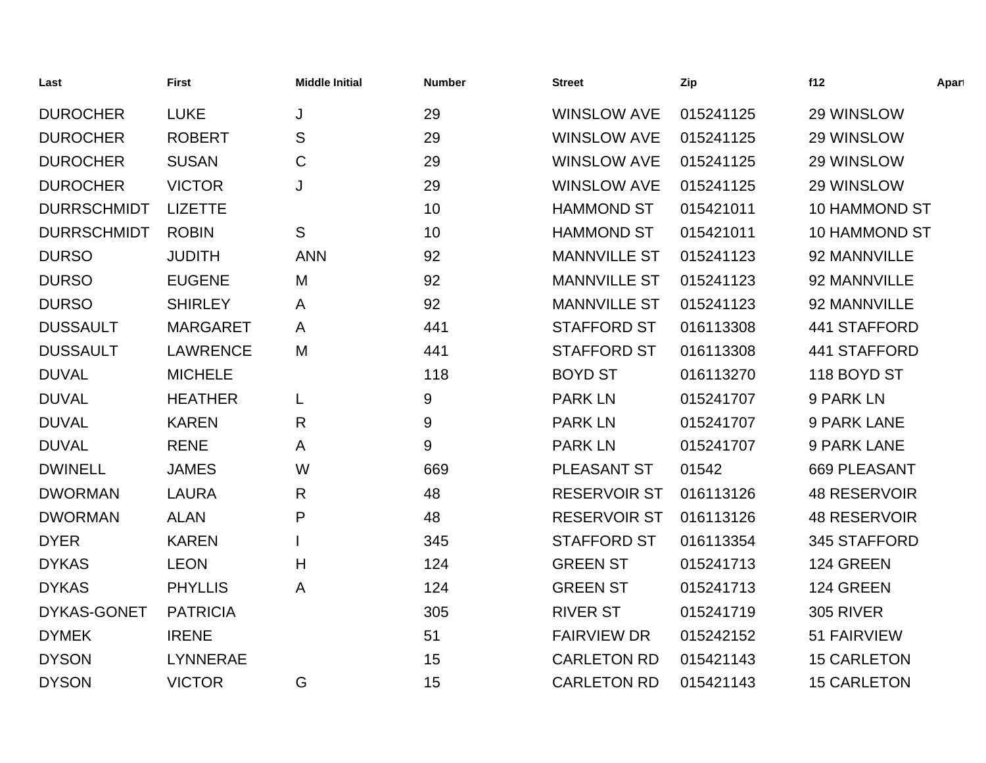| Last               | <b>First</b>    | <b>Middle Initial</b> | <b>Number</b> | <b>Street</b>       | Zip       | f12                  | Apart |
|--------------------|-----------------|-----------------------|---------------|---------------------|-----------|----------------------|-------|
| <b>DUROCHER</b>    | <b>LUKE</b>     | J                     | 29            | <b>WINSLOW AVE</b>  | 015241125 | 29 WINSLOW           |       |
| <b>DUROCHER</b>    | <b>ROBERT</b>   | S                     | 29            | <b>WINSLOW AVE</b>  | 015241125 | 29 WINSLOW           |       |
| <b>DUROCHER</b>    | <b>SUSAN</b>    | $\mathbf C$           | 29            | <b>WINSLOW AVE</b>  | 015241125 | 29 WINSLOW           |       |
| <b>DUROCHER</b>    | <b>VICTOR</b>   | J                     | 29            | <b>WINSLOW AVE</b>  | 015241125 | 29 WINSLOW           |       |
| <b>DURRSCHMIDT</b> | <b>LIZETTE</b>  |                       | 10            | <b>HAMMOND ST</b>   | 015421011 | <b>10 HAMMOND ST</b> |       |
| <b>DURRSCHMIDT</b> | <b>ROBIN</b>    | S                     | 10            | <b>HAMMOND ST</b>   | 015421011 | 10 HAMMOND ST        |       |
| <b>DURSO</b>       | <b>JUDITH</b>   | <b>ANN</b>            | 92            | <b>MANNVILLE ST</b> | 015241123 | 92 MANNVILLE         |       |
| <b>DURSO</b>       | <b>EUGENE</b>   | M                     | 92            | <b>MANNVILLE ST</b> | 015241123 | 92 MANNVILLE         |       |
| <b>DURSO</b>       | <b>SHIRLEY</b>  | A                     | 92            | <b>MANNVILLE ST</b> | 015241123 | 92 MANNVILLE         |       |
| <b>DUSSAULT</b>    | <b>MARGARET</b> | A                     | 441           | <b>STAFFORD ST</b>  | 016113308 | 441 STAFFORD         |       |
| <b>DUSSAULT</b>    | <b>LAWRENCE</b> | M                     | 441           | <b>STAFFORD ST</b>  | 016113308 | 441 STAFFORD         |       |
| <b>DUVAL</b>       | <b>MICHELE</b>  |                       | 118           | <b>BOYD ST</b>      | 016113270 | 118 BOYD ST          |       |
| <b>DUVAL</b>       | <b>HEATHER</b>  | L                     | 9             | <b>PARK LN</b>      | 015241707 | 9 PARK LN            |       |
| <b>DUVAL</b>       | <b>KAREN</b>    | $\mathsf{R}$          | 9             | <b>PARK LN</b>      | 015241707 | 9 PARK LANE          |       |
| <b>DUVAL</b>       | <b>RENE</b>     | A                     | 9             | <b>PARK LN</b>      | 015241707 | 9 PARK LANE          |       |
| <b>DWINELL</b>     | <b>JAMES</b>    | W                     | 669           | PLEASANT ST         | 01542     | 669 PLEASANT         |       |
| <b>DWORMAN</b>     | <b>LAURA</b>    | $\mathsf{R}$          | 48            | <b>RESERVOIR ST</b> | 016113126 | <b>48 RESERVOIR</b>  |       |
| <b>DWORMAN</b>     | <b>ALAN</b>     | P                     | 48            | <b>RESERVOIR ST</b> | 016113126 | <b>48 RESERVOIR</b>  |       |
| <b>DYER</b>        | <b>KAREN</b>    |                       | 345           | <b>STAFFORD ST</b>  | 016113354 | 345 STAFFORD         |       |
| <b>DYKAS</b>       | <b>LEON</b>     | H                     | 124           | <b>GREEN ST</b>     | 015241713 | 124 GREEN            |       |
| <b>DYKAS</b>       | <b>PHYLLIS</b>  | A                     | 124           | <b>GREEN ST</b>     | 015241713 | 124 GREEN            |       |
| DYKAS-GONET        | <b>PATRICIA</b> |                       | 305           | <b>RIVER ST</b>     | 015241719 | <b>305 RIVER</b>     |       |
| <b>DYMEK</b>       | <b>IRENE</b>    |                       | 51            | <b>FAIRVIEW DR</b>  | 015242152 | 51 FAIRVIEW          |       |
| <b>DYSON</b>       | <b>LYNNERAE</b> |                       | 15            | <b>CARLETON RD</b>  | 015421143 | <b>15 CARLETON</b>   |       |
| <b>DYSON</b>       | <b>VICTOR</b>   | G                     | 15            | <b>CARLETON RD</b>  | 015421143 | <b>15 CARLETON</b>   |       |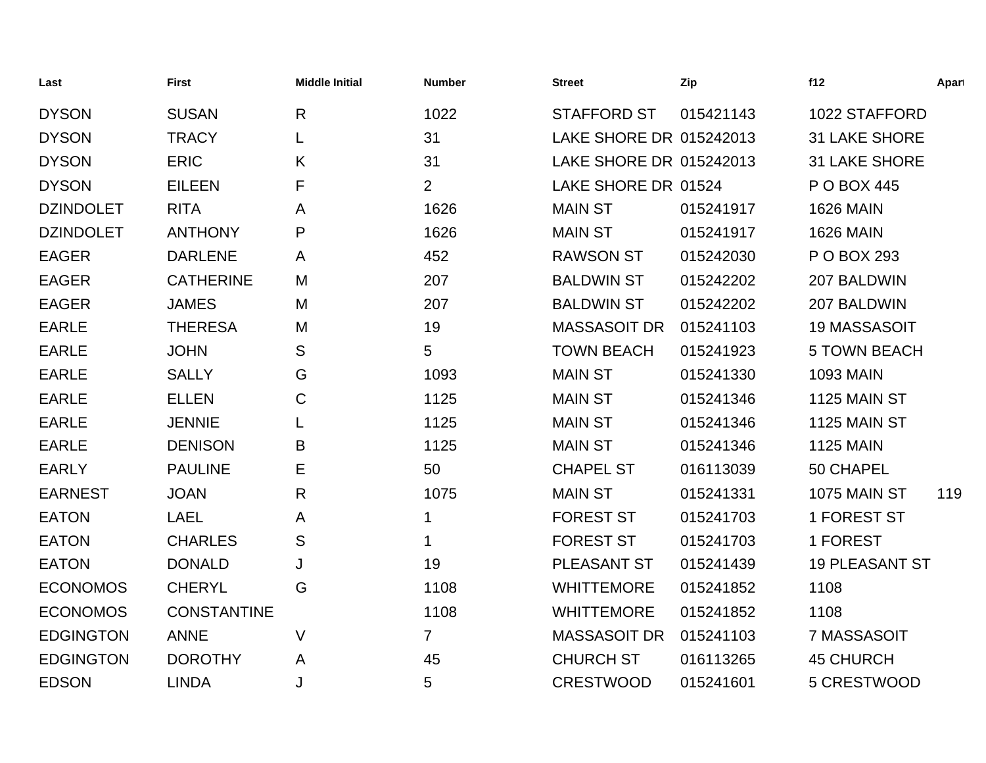| Last             | <b>First</b>       | <b>Middle Initial</b> | <b>Number</b>  | <b>Street</b>           | Zip       | f12                   | Apart |
|------------------|--------------------|-----------------------|----------------|-------------------------|-----------|-----------------------|-------|
| <b>DYSON</b>     | <b>SUSAN</b>       | $\mathsf{R}$          | 1022           | <b>STAFFORD ST</b>      | 015421143 | 1022 STAFFORD         |       |
| <b>DYSON</b>     | <b>TRACY</b>       | L                     | 31             | LAKE SHORE DR 015242013 |           | <b>31 LAKE SHORE</b>  |       |
| <b>DYSON</b>     | <b>ERIC</b>        | K                     | 31             | LAKE SHORE DR 015242013 |           | <b>31 LAKE SHORE</b>  |       |
| <b>DYSON</b>     | <b>EILEEN</b>      | F                     | $\overline{2}$ | LAKE SHORE DR 01524     |           | P O BOX 445           |       |
| <b>DZINDOLET</b> | <b>RITA</b>        | A                     | 1626           | <b>MAIN ST</b>          | 015241917 | <b>1626 MAIN</b>      |       |
| <b>DZINDOLET</b> | <b>ANTHONY</b>     | P                     | 1626           | <b>MAIN ST</b>          | 015241917 | <b>1626 MAIN</b>      |       |
| <b>EAGER</b>     | <b>DARLENE</b>     | A                     | 452            | <b>RAWSON ST</b>        | 015242030 | P O BOX 293           |       |
| <b>EAGER</b>     | <b>CATHERINE</b>   | M                     | 207            | <b>BALDWIN ST</b>       | 015242202 | 207 BALDWIN           |       |
| <b>EAGER</b>     | <b>JAMES</b>       | M                     | 207            | <b>BALDWIN ST</b>       | 015242202 | 207 BALDWIN           |       |
| <b>EARLE</b>     | <b>THERESA</b>     | M                     | 19             | <b>MASSASOIT DR</b>     | 015241103 | <b>19 MASSASOIT</b>   |       |
| <b>EARLE</b>     | <b>JOHN</b>        | S                     | 5              | <b>TOWN BEACH</b>       | 015241923 | <b>5 TOWN BEACH</b>   |       |
| <b>EARLE</b>     | <b>SALLY</b>       | G                     | 1093           | <b>MAIN ST</b>          | 015241330 | <b>1093 MAIN</b>      |       |
| <b>EARLE</b>     | <b>ELLEN</b>       | C                     | 1125           | <b>MAIN ST</b>          | 015241346 | 1125 MAIN ST          |       |
| <b>EARLE</b>     | <b>JENNIE</b>      | L                     | 1125           | <b>MAIN ST</b>          | 015241346 | 1125 MAIN ST          |       |
| <b>EARLE</b>     | <b>DENISON</b>     | B                     | 1125           | <b>MAIN ST</b>          | 015241346 | <b>1125 MAIN</b>      |       |
| <b>EARLY</b>     | <b>PAULINE</b>     | Е                     | 50             | <b>CHAPEL ST</b>        | 016113039 | 50 CHAPEL             |       |
| <b>EARNEST</b>   | <b>JOAN</b>        | R                     | 1075           | <b>MAIN ST</b>          | 015241331 | 1075 MAIN ST          | 119   |
| <b>EATON</b>     | <b>LAEL</b>        | A                     | 1              | <b>FOREST ST</b>        | 015241703 | 1 FOREST ST           |       |
| <b>EATON</b>     | <b>CHARLES</b>     | S                     | 1              | <b>FOREST ST</b>        | 015241703 | 1 FOREST              |       |
| <b>EATON</b>     | <b>DONALD</b>      | J                     | 19             | PLEASANT ST             | 015241439 | <b>19 PLEASANT ST</b> |       |
| <b>ECONOMOS</b>  | <b>CHERYL</b>      | G                     | 1108           | <b>WHITTEMORE</b>       | 015241852 | 1108                  |       |
| <b>ECONOMOS</b>  | <b>CONSTANTINE</b> |                       | 1108           | <b>WHITTEMORE</b>       | 015241852 | 1108                  |       |
| <b>EDGINGTON</b> | <b>ANNE</b>        | $\vee$                | $\overline{7}$ | <b>MASSASOIT DR</b>     | 015241103 | 7 MASSASOIT           |       |
| <b>EDGINGTON</b> | <b>DOROTHY</b>     | A                     | 45             | <b>CHURCH ST</b>        | 016113265 | <b>45 CHURCH</b>      |       |
| <b>EDSON</b>     | <b>LINDA</b>       | J                     | 5              | <b>CRESTWOOD</b>        | 015241601 | 5 CRESTWOOD           |       |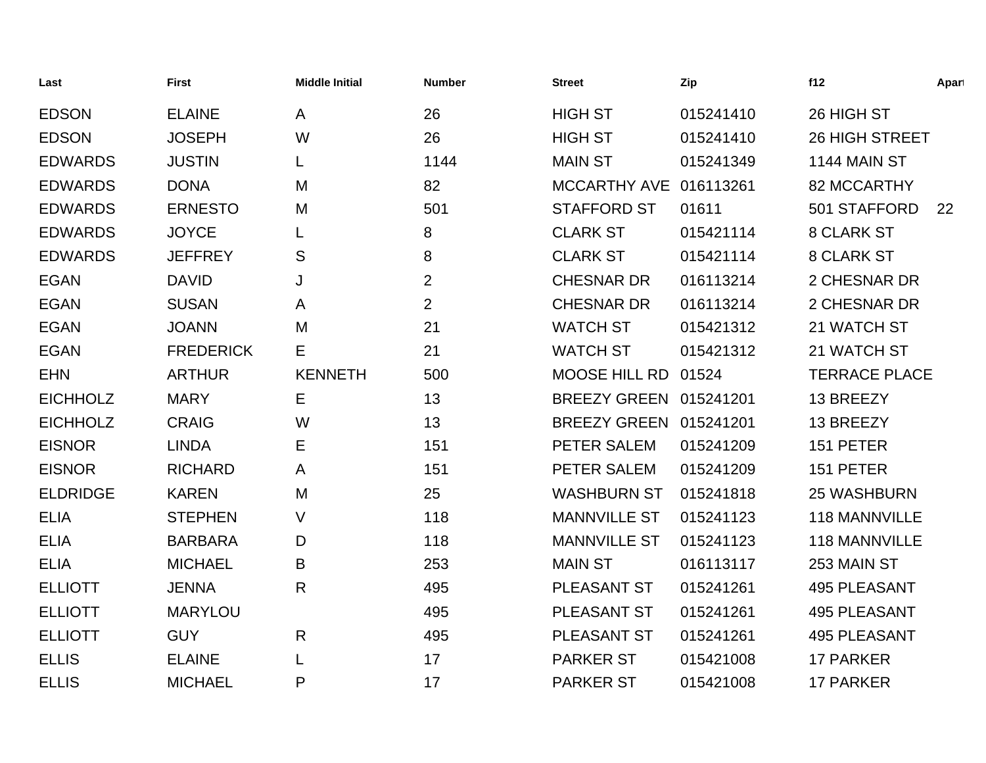| Last            | <b>First</b>     | <b>Middle Initial</b> | <b>Number</b>  | <b>Street</b>          | Zip       | f12                   | Apart |
|-----------------|------------------|-----------------------|----------------|------------------------|-----------|-----------------------|-------|
| <b>EDSON</b>    | <b>ELAINE</b>    | A                     | 26             | <b>HIGH ST</b>         | 015241410 | 26 HIGH ST            |       |
| <b>EDSON</b>    | <b>JOSEPH</b>    | W                     | 26             | <b>HIGH ST</b>         | 015241410 | <b>26 HIGH STREET</b> |       |
| <b>EDWARDS</b>  | <b>JUSTIN</b>    | L                     | 1144           | <b>MAIN ST</b>         | 015241349 | 1144 MAIN ST          |       |
| <b>EDWARDS</b>  | <b>DONA</b>      | M                     | 82             | MCCARTHY AVE 016113261 |           | 82 MCCARTHY           |       |
| <b>EDWARDS</b>  | <b>ERNESTO</b>   | M                     | 501            | <b>STAFFORD ST</b>     | 01611     | 501 STAFFORD          | 22    |
| <b>EDWARDS</b>  | <b>JOYCE</b>     | L                     | 8              | <b>CLARK ST</b>        | 015421114 | 8 CLARK ST            |       |
| <b>EDWARDS</b>  | <b>JEFFREY</b>   | S                     | 8              | <b>CLARK ST</b>        | 015421114 | <b>8 CLARK ST</b>     |       |
| <b>EGAN</b>     | <b>DAVID</b>     | J                     | $\overline{2}$ | <b>CHESNAR DR</b>      | 016113214 | 2 CHESNAR DR          |       |
| <b>EGAN</b>     | <b>SUSAN</b>     | A                     | $\overline{2}$ | <b>CHESNAR DR</b>      | 016113214 | 2 CHESNAR DR          |       |
| <b>EGAN</b>     | <b>JOANN</b>     | M                     | 21             | <b>WATCH ST</b>        | 015421312 | 21 WATCH ST           |       |
| <b>EGAN</b>     | <b>FREDERICK</b> | Е                     | 21             | <b>WATCH ST</b>        | 015421312 | 21 WATCH ST           |       |
| <b>EHN</b>      | <b>ARTHUR</b>    | <b>KENNETH</b>        | 500            | MOOSE HILL RD          | 01524     | <b>TERRACE PLACE</b>  |       |
| <b>EICHHOLZ</b> | <b>MARY</b>      | Е                     | 13             | BREEZY GREEN 015241201 |           | 13 BREEZY             |       |
| <b>EICHHOLZ</b> | <b>CRAIG</b>     | W                     | 13             | BREEZY GREEN 015241201 |           | 13 BREEZY             |       |
| <b>EISNOR</b>   | <b>LINDA</b>     | Е                     | 151            | PETER SALEM            | 015241209 | 151 PETER             |       |
| <b>EISNOR</b>   | <b>RICHARD</b>   | A                     | 151            | PETER SALEM            | 015241209 | 151 PETER             |       |
| <b>ELDRIDGE</b> | <b>KAREN</b>     | M                     | 25             | <b>WASHBURN ST</b>     | 015241818 | <b>25 WASHBURN</b>    |       |
| <b>ELIA</b>     | <b>STEPHEN</b>   | $\vee$                | 118            | <b>MANNVILLE ST</b>    | 015241123 | <b>118 MANNVILLE</b>  |       |
| <b>ELIA</b>     | <b>BARBARA</b>   | D                     | 118            | <b>MANNVILLE ST</b>    | 015241123 | 118 MANNVILLE         |       |
| <b>ELIA</b>     | <b>MICHAEL</b>   | B                     | 253            | <b>MAIN ST</b>         | 016113117 | 253 MAIN ST           |       |
| <b>ELLIOTT</b>  | <b>JENNA</b>     | R                     | 495            | PLEASANT ST            | 015241261 | <b>495 PLEASANT</b>   |       |
| <b>ELLIOTT</b>  | <b>MARYLOU</b>   |                       | 495            | PLEASANT ST            | 015241261 | <b>495 PLEASANT</b>   |       |
| <b>ELLIOTT</b>  | <b>GUY</b>       | $\mathsf{R}$          | 495            | PLEASANT ST            | 015241261 | <b>495 PLEASANT</b>   |       |
| <b>ELLIS</b>    | <b>ELAINE</b>    | L                     | 17             | <b>PARKER ST</b>       | 015421008 | <b>17 PARKER</b>      |       |
| <b>ELLIS</b>    | <b>MICHAEL</b>   | P                     | 17             | <b>PARKER ST</b>       | 015421008 | <b>17 PARKER</b>      |       |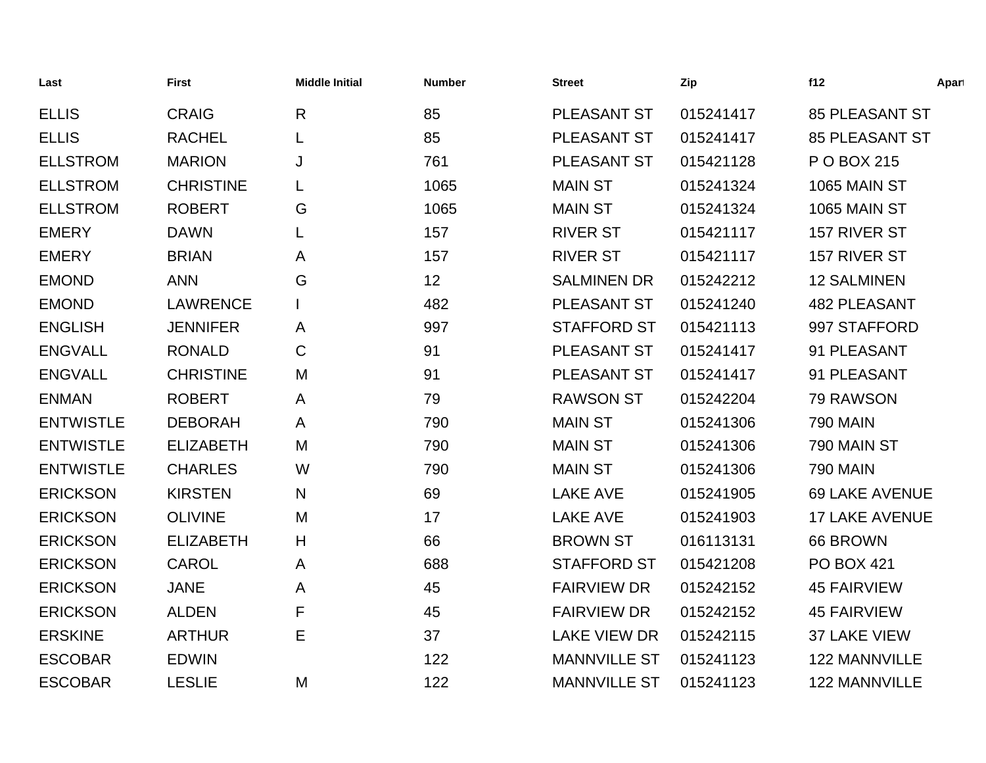| Last             | <b>First</b>     | <b>Middle Initial</b> | <b>Number</b> | <b>Street</b>       | Zip       | f12                   | Apart |
|------------------|------------------|-----------------------|---------------|---------------------|-----------|-----------------------|-------|
| <b>ELLIS</b>     | <b>CRAIG</b>     | $\mathsf{R}$          | 85            | PLEASANT ST         | 015241417 | <b>85 PLEASANT ST</b> |       |
| <b>ELLIS</b>     | <b>RACHEL</b>    | L                     | 85            | PLEASANT ST         | 015241417 | <b>85 PLEASANT ST</b> |       |
| <b>ELLSTROM</b>  | <b>MARION</b>    | J                     | 761           | PLEASANT ST         | 015421128 | P O BOX 215           |       |
| <b>ELLSTROM</b>  | <b>CHRISTINE</b> | L                     | 1065          | <b>MAIN ST</b>      | 015241324 | 1065 MAIN ST          |       |
| <b>ELLSTROM</b>  | <b>ROBERT</b>    | G                     | 1065          | <b>MAIN ST</b>      | 015241324 | 1065 MAIN ST          |       |
| <b>EMERY</b>     | <b>DAWN</b>      | L                     | 157           | <b>RIVER ST</b>     | 015421117 | 157 RIVER ST          |       |
| <b>EMERY</b>     | <b>BRIAN</b>     | A                     | 157           | <b>RIVER ST</b>     | 015421117 | 157 RIVER ST          |       |
| <b>EMOND</b>     | <b>ANN</b>       | G                     | 12            | <b>SALMINEN DR</b>  | 015242212 | <b>12 SALMINEN</b>    |       |
| <b>EMOND</b>     | <b>LAWRENCE</b>  |                       | 482           | PLEASANT ST         | 015241240 | <b>482 PLEASANT</b>   |       |
| <b>ENGLISH</b>   | <b>JENNIFER</b>  | A                     | 997           | <b>STAFFORD ST</b>  | 015421113 | 997 STAFFORD          |       |
| <b>ENGVALL</b>   | <b>RONALD</b>    | $\mathsf C$           | 91            | PLEASANT ST         | 015241417 | 91 PLEASANT           |       |
| <b>ENGVALL</b>   | <b>CHRISTINE</b> | M                     | 91            | PLEASANT ST         | 015241417 | 91 PLEASANT           |       |
| <b>ENMAN</b>     | <b>ROBERT</b>    | A                     | 79            | <b>RAWSON ST</b>    | 015242204 | 79 RAWSON             |       |
| <b>ENTWISTLE</b> | <b>DEBORAH</b>   | A                     | 790           | <b>MAIN ST</b>      | 015241306 | <b>790 MAIN</b>       |       |
| <b>ENTWISTLE</b> | <b>ELIZABETH</b> | M                     | 790           | <b>MAIN ST</b>      | 015241306 | 790 MAIN ST           |       |
| <b>ENTWISTLE</b> | <b>CHARLES</b>   | W                     | 790           | <b>MAIN ST</b>      | 015241306 | <b>790 MAIN</b>       |       |
| <b>ERICKSON</b>  | <b>KIRSTEN</b>   | N                     | 69            | <b>LAKE AVE</b>     | 015241905 | <b>69 LAKE AVENUE</b> |       |
| <b>ERICKSON</b>  | <b>OLIVINE</b>   | M                     | 17            | <b>LAKE AVE</b>     | 015241903 | <b>17 LAKE AVENUE</b> |       |
| <b>ERICKSON</b>  | <b>ELIZABETH</b> | H                     | 66            | <b>BROWN ST</b>     | 016113131 | 66 BROWN              |       |
| <b>ERICKSON</b>  | <b>CAROL</b>     | A                     | 688           | <b>STAFFORD ST</b>  | 015421208 | <b>PO BOX 421</b>     |       |
| <b>ERICKSON</b>  | <b>JANE</b>      | A                     | 45            | <b>FAIRVIEW DR</b>  | 015242152 | <b>45 FAIRVIEW</b>    |       |
| <b>ERICKSON</b>  | <b>ALDEN</b>     | F                     | 45            | <b>FAIRVIEW DR</b>  | 015242152 | <b>45 FAIRVIEW</b>    |       |
| <b>ERSKINE</b>   | <b>ARTHUR</b>    | Е                     | 37            | <b>LAKE VIEW DR</b> | 015242115 | 37 LAKE VIEW          |       |
| <b>ESCOBAR</b>   | <b>EDWIN</b>     |                       | 122           | <b>MANNVILLE ST</b> | 015241123 | 122 MANNVILLE         |       |
| <b>ESCOBAR</b>   | <b>LESLIE</b>    | M                     | 122           | <b>MANNVILLE ST</b> | 015241123 | <b>122 MANNVILLE</b>  |       |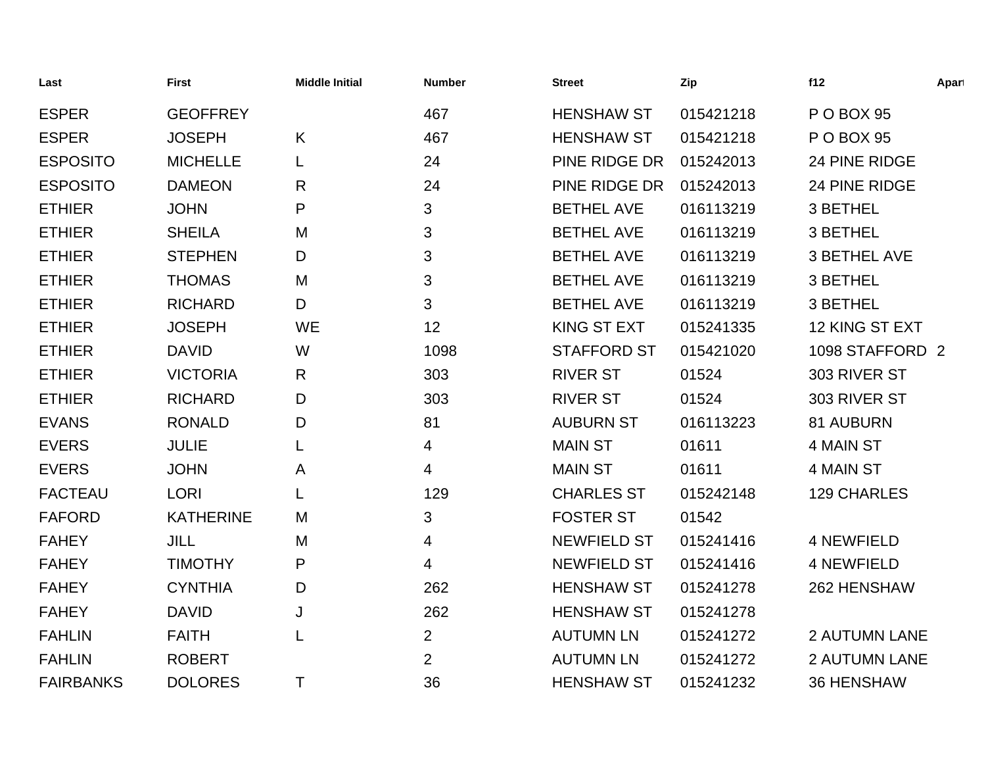| Last             | <b>First</b>     | <b>Middle Initial</b> | <b>Number</b>  | <b>Street</b>      | Zip       | f12                  | Apart |
|------------------|------------------|-----------------------|----------------|--------------------|-----------|----------------------|-------|
| <b>ESPER</b>     | <b>GEOFFREY</b>  |                       | 467            | <b>HENSHAW ST</b>  | 015421218 | P O BOX 95           |       |
| <b>ESPER</b>     | <b>JOSEPH</b>    | K                     | 467            | <b>HENSHAW ST</b>  | 015421218 | P O BOX 95           |       |
| <b>ESPOSITO</b>  | <b>MICHELLE</b>  |                       | 24             | PINE RIDGE DR      | 015242013 | 24 PINE RIDGE        |       |
| <b>ESPOSITO</b>  | <b>DAMEON</b>    | R                     | 24             | PINE RIDGE DR      | 015242013 | 24 PINE RIDGE        |       |
| <b>ETHIER</b>    | <b>JOHN</b>      | P                     | 3              | <b>BETHEL AVE</b>  | 016113219 | 3 BETHEL             |       |
| <b>ETHIER</b>    | <b>SHEILA</b>    | M                     | 3              | <b>BETHEL AVE</b>  | 016113219 | 3 BETHEL             |       |
| <b>ETHIER</b>    | <b>STEPHEN</b>   | D                     | 3              | <b>BETHEL AVE</b>  | 016113219 | <b>3 BETHEL AVE</b>  |       |
| <b>ETHIER</b>    | <b>THOMAS</b>    | M                     | 3              | <b>BETHEL AVE</b>  | 016113219 | 3 BETHEL             |       |
| <b>ETHIER</b>    | <b>RICHARD</b>   | D                     | 3              | <b>BETHEL AVE</b>  | 016113219 | 3 BETHEL             |       |
| <b>ETHIER</b>    | <b>JOSEPH</b>    | <b>WE</b>             | 12             | KING ST EXT        | 015241335 | 12 KING ST EXT       |       |
| <b>ETHIER</b>    | <b>DAVID</b>     | W                     | 1098           | <b>STAFFORD ST</b> | 015421020 | 1098 STAFFORD 2      |       |
| <b>ETHIER</b>    | <b>VICTORIA</b>  | R                     | 303            | <b>RIVER ST</b>    | 01524     | 303 RIVER ST         |       |
| <b>ETHIER</b>    | <b>RICHARD</b>   | D                     | 303            | <b>RIVER ST</b>    | 01524     | 303 RIVER ST         |       |
| <b>EVANS</b>     | <b>RONALD</b>    | D                     | 81             | <b>AUBURN ST</b>   | 016113223 | 81 AUBURN            |       |
| <b>EVERS</b>     | <b>JULIE</b>     |                       | 4              | <b>MAIN ST</b>     | 01611     | 4 MAIN ST            |       |
| <b>EVERS</b>     | <b>JOHN</b>      | A                     | 4              | <b>MAIN ST</b>     | 01611     | 4 MAIN ST            |       |
| <b>FACTEAU</b>   | <b>LORI</b>      |                       | 129            | <b>CHARLES ST</b>  | 015242148 | 129 CHARLES          |       |
| <b>FAFORD</b>    | <b>KATHERINE</b> | M                     | 3              | <b>FOSTER ST</b>   | 01542     |                      |       |
| <b>FAHEY</b>     | <b>JILL</b>      | M                     | 4              | <b>NEWFIELD ST</b> | 015241416 | <b>4 NEWFIELD</b>    |       |
| <b>FAHEY</b>     | <b>TIMOTHY</b>   | P                     | 4              | <b>NEWFIELD ST</b> | 015241416 | <b>4 NEWFIELD</b>    |       |
| <b>FAHEY</b>     | <b>CYNTHIA</b>   | D                     | 262            | <b>HENSHAW ST</b>  | 015241278 | 262 HENSHAW          |       |
| <b>FAHEY</b>     | <b>DAVID</b>     | J                     | 262            | <b>HENSHAW ST</b>  | 015241278 |                      |       |
| <b>FAHLIN</b>    | <b>FAITH</b>     |                       | $\overline{2}$ | <b>AUTUMN LN</b>   | 015241272 | <b>2 AUTUMN LANE</b> |       |
| <b>FAHLIN</b>    | <b>ROBERT</b>    |                       | $\overline{2}$ | <b>AUTUMN LN</b>   | 015241272 | <b>2 AUTUMN LANE</b> |       |
| <b>FAIRBANKS</b> | <b>DOLORES</b>   | Τ                     | 36             | <b>HENSHAW ST</b>  | 015241232 | <b>36 HENSHAW</b>    |       |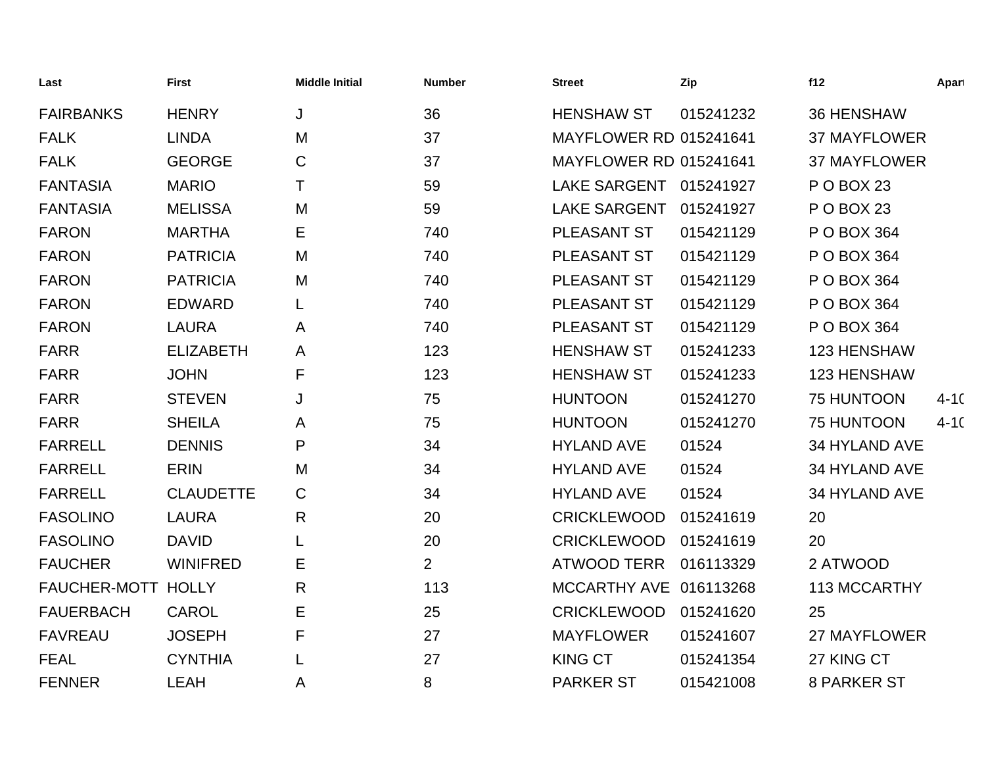| Last               | <b>First</b>     | <b>Middle Initial</b> | <b>Number</b>  | <b>Street</b>                 | Zip       | f12                 | Apart    |
|--------------------|------------------|-----------------------|----------------|-------------------------------|-----------|---------------------|----------|
| <b>FAIRBANKS</b>   | <b>HENRY</b>     | J                     | 36             | <b>HENSHAW ST</b>             | 015241232 | <b>36 HENSHAW</b>   |          |
| <b>FALK</b>        | <b>LINDA</b>     | M                     | 37             | <b>MAYFLOWER RD 015241641</b> |           | <b>37 MAYFLOWER</b> |          |
| <b>FALK</b>        | <b>GEORGE</b>    | C                     | 37             | <b>MAYFLOWER RD 015241641</b> |           | <b>37 MAYFLOWER</b> |          |
| <b>FANTASIA</b>    | <b>MARIO</b>     | т                     | 59             | LAKE SARGENT 015241927        |           | P O BOX 23          |          |
| <b>FANTASIA</b>    | <b>MELISSA</b>   | M                     | 59             | <b>LAKE SARGENT</b>           | 015241927 | P O BOX 23          |          |
| <b>FARON</b>       | <b>MARTHA</b>    | Е                     | 740            | PLEASANT ST                   | 015421129 | P O BOX 364         |          |
| <b>FARON</b>       | <b>PATRICIA</b>  | M                     | 740            | PLEASANT ST                   | 015421129 | P O BOX 364         |          |
| <b>FARON</b>       | <b>PATRICIA</b>  | M                     | 740            | PLEASANT ST                   | 015421129 | P O BOX 364         |          |
| <b>FARON</b>       | <b>EDWARD</b>    | L                     | 740            | PLEASANT ST                   | 015421129 | P O BOX 364         |          |
| <b>FARON</b>       | <b>LAURA</b>     | A                     | 740            | PLEASANT ST                   | 015421129 | P O BOX 364         |          |
| <b>FARR</b>        | <b>ELIZABETH</b> | A                     | 123            | <b>HENSHAW ST</b>             | 015241233 | 123 HENSHAW         |          |
| <b>FARR</b>        | <b>JOHN</b>      | F                     | 123            | <b>HENSHAW ST</b>             | 015241233 | 123 HENSHAW         |          |
| <b>FARR</b>        | <b>STEVEN</b>    | J                     | 75             | <b>HUNTOON</b>                | 015241270 | 75 HUNTOON          | $4 - 10$ |
| <b>FARR</b>        | <b>SHEILA</b>    | A                     | 75             | <b>HUNTOON</b>                | 015241270 | 75 HUNTOON          | $4 - 10$ |
| <b>FARRELL</b>     | <b>DENNIS</b>    | P                     | 34             | <b>HYLAND AVE</b>             | 01524     | 34 HYLAND AVE       |          |
| <b>FARRELL</b>     | <b>ERIN</b>      | M                     | 34             | <b>HYLAND AVE</b>             | 01524     | 34 HYLAND AVE       |          |
| <b>FARRELL</b>     | <b>CLAUDETTE</b> | $\mathsf C$           | 34             | <b>HYLAND AVE</b>             | 01524     | 34 HYLAND AVE       |          |
| <b>FASOLINO</b>    | <b>LAURA</b>     | R                     | 20             | <b>CRICKLEWOOD</b>            | 015241619 | 20                  |          |
| <b>FASOLINO</b>    | <b>DAVID</b>     | L                     | 20             | <b>CRICKLEWOOD</b>            | 015241619 | 20                  |          |
| <b>FAUCHER</b>     | <b>WINIFRED</b>  | Ε                     | $\overline{2}$ | <b>ATWOOD TERR</b>            | 016113329 | 2 ATWOOD            |          |
| FAUCHER-MOTT HOLLY |                  | R                     | 113            | MCCARTHY AVE 016113268        |           | 113 MCCARTHY        |          |
| <b>FAUERBACH</b>   | <b>CAROL</b>     | Е                     | 25             | <b>CRICKLEWOOD</b>            | 015241620 | 25                  |          |
| <b>FAVREAU</b>     | <b>JOSEPH</b>    | F                     | 27             | <b>MAYFLOWER</b>              | 015241607 | 27 MAYFLOWER        |          |
| <b>FEAL</b>        | <b>CYNTHIA</b>   |                       | 27             | <b>KING CT</b>                | 015241354 | 27 KING CT          |          |
| <b>FENNER</b>      | <b>LEAH</b>      | A                     | 8              | <b>PARKER ST</b>              | 015421008 | <b>8 PARKER ST</b>  |          |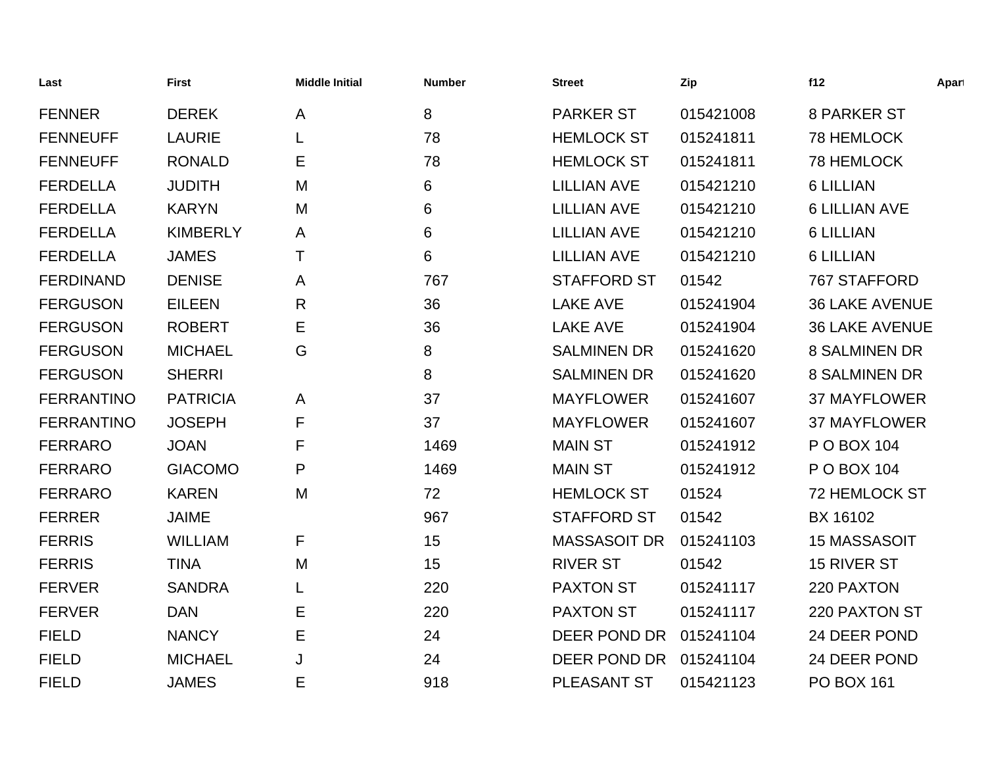| Last              | <b>First</b>    | <b>Middle Initial</b> | <b>Number</b> | <b>Street</b>       | Zip       | f12                   | Apart |
|-------------------|-----------------|-----------------------|---------------|---------------------|-----------|-----------------------|-------|
| <b>FENNER</b>     | <b>DEREK</b>    | $\mathsf{A}$          | 8             | <b>PARKER ST</b>    | 015421008 | <b>8 PARKER ST</b>    |       |
| <b>FENNEUFF</b>   | <b>LAURIE</b>   |                       | 78            | <b>HEMLOCK ST</b>   | 015241811 | 78 HEMLOCK            |       |
| <b>FENNEUFF</b>   | <b>RONALD</b>   | Е                     | 78            | <b>HEMLOCK ST</b>   | 015241811 | 78 HEMLOCK            |       |
| <b>FERDELLA</b>   | <b>JUDITH</b>   | M                     | 6             | <b>LILLIAN AVE</b>  | 015421210 | <b>6 LILLIAN</b>      |       |
| <b>FERDELLA</b>   | <b>KARYN</b>    | M                     | 6             | <b>LILLIAN AVE</b>  | 015421210 | <b>6 LILLIAN AVE</b>  |       |
| <b>FERDELLA</b>   | <b>KIMBERLY</b> | A                     | 6             | <b>LILLIAN AVE</b>  | 015421210 | <b>6 LILLIAN</b>      |       |
| <b>FERDELLA</b>   | <b>JAMES</b>    | т                     | 6             | <b>LILLIAN AVE</b>  | 015421210 | <b>6 LILLIAN</b>      |       |
| <b>FERDINAND</b>  | <b>DENISE</b>   | A                     | 767           | <b>STAFFORD ST</b>  | 01542     | 767 STAFFORD          |       |
| <b>FERGUSON</b>   | <b>EILEEN</b>   | R                     | 36            | <b>LAKE AVE</b>     | 015241904 | <b>36 LAKE AVENUE</b> |       |
| <b>FERGUSON</b>   | <b>ROBERT</b>   | Е                     | 36            | <b>LAKE AVE</b>     | 015241904 | <b>36 LAKE AVENUE</b> |       |
| <b>FERGUSON</b>   | <b>MICHAEL</b>  | G                     | 8             | <b>SALMINEN DR</b>  | 015241620 | <b>8 SALMINEN DR</b>  |       |
| <b>FERGUSON</b>   | <b>SHERRI</b>   |                       | 8             | <b>SALMINEN DR</b>  | 015241620 | <b>8 SALMINEN DR</b>  |       |
| <b>FERRANTINO</b> | <b>PATRICIA</b> | A                     | 37            | <b>MAYFLOWER</b>    | 015241607 | <b>37 MAYFLOWER</b>   |       |
| <b>FERRANTINO</b> | <b>JOSEPH</b>   | F                     | 37            | <b>MAYFLOWER</b>    | 015241607 | <b>37 MAYFLOWER</b>   |       |
| <b>FERRARO</b>    | <b>JOAN</b>     | F                     | 1469          | <b>MAIN ST</b>      | 015241912 | P O BOX 104           |       |
| <b>FERRARO</b>    | <b>GIACOMO</b>  | P                     | 1469          | <b>MAIN ST</b>      | 015241912 | P O BOX 104           |       |
| <b>FERRARO</b>    | <b>KAREN</b>    | M                     | 72            | <b>HEMLOCK ST</b>   | 01524     | <b>72 HEMLOCK ST</b>  |       |
| <b>FERRER</b>     | <b>JAIME</b>    |                       | 967           | <b>STAFFORD ST</b>  | 01542     | BX 16102              |       |
| <b>FERRIS</b>     | <b>WILLIAM</b>  | F                     | 15            | <b>MASSASOIT DR</b> | 015241103 | <b>15 MASSASOIT</b>   |       |
| <b>FERRIS</b>     | <b>TINA</b>     | M                     | 15            | <b>RIVER ST</b>     | 01542     | 15 RIVER ST           |       |
| <b>FERVER</b>     | <b>SANDRA</b>   |                       | 220           | <b>PAXTON ST</b>    | 015241117 | 220 PAXTON            |       |
| <b>FERVER</b>     | <b>DAN</b>      | Е                     | 220           | <b>PAXTON ST</b>    | 015241117 | 220 PAXTON ST         |       |
| <b>FIELD</b>      | <b>NANCY</b>    | Е                     | 24            | DEER POND DR        | 015241104 | 24 DEER POND          |       |
| <b>FIELD</b>      | <b>MICHAEL</b>  | J                     | 24            | DEER POND DR        | 015241104 | 24 DEER POND          |       |
| <b>FIELD</b>      | <b>JAMES</b>    | Е                     | 918           | <b>PLEASANT ST</b>  | 015421123 | <b>PO BOX 161</b>     |       |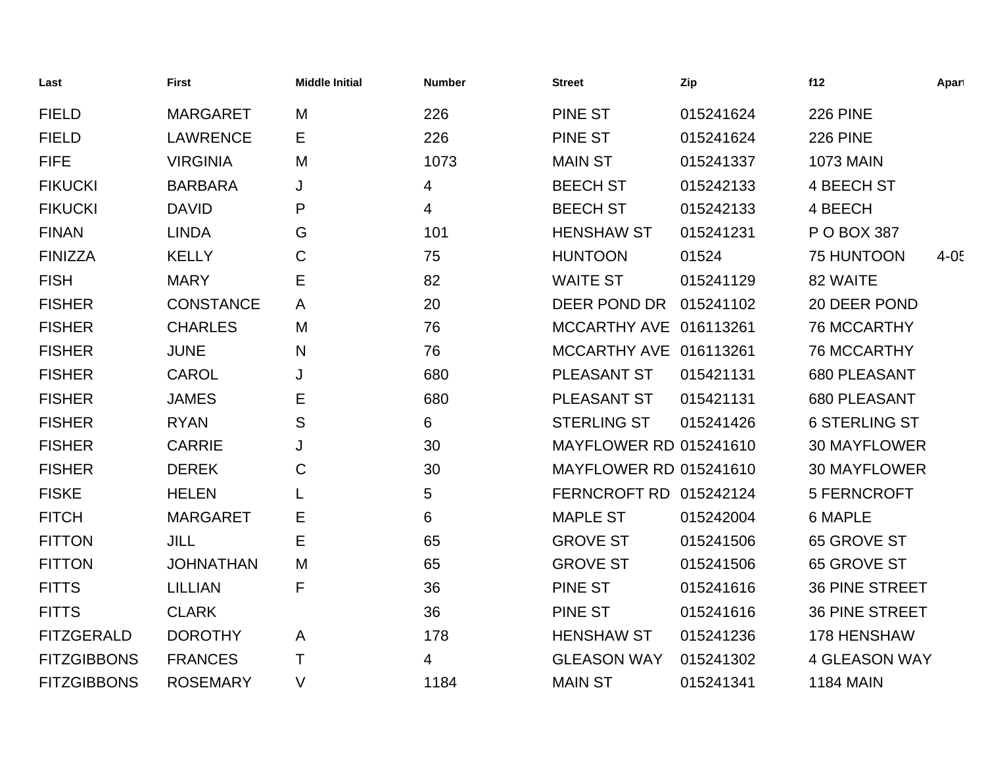| Last               | <b>First</b>     | <b>Middle Initial</b> | <b>Number</b> | <b>Street</b>                 | Zip       | f12                   | Apart    |
|--------------------|------------------|-----------------------|---------------|-------------------------------|-----------|-----------------------|----------|
| <b>FIELD</b>       | <b>MARGARET</b>  | M                     | 226           | <b>PINE ST</b>                | 015241624 | <b>226 PINE</b>       |          |
| <b>FIELD</b>       | <b>LAWRENCE</b>  | Е                     | 226           | <b>PINE ST</b>                | 015241624 | <b>226 PINE</b>       |          |
| <b>FIFE</b>        | <b>VIRGINIA</b>  | M                     | 1073          | <b>MAIN ST</b>                | 015241337 | <b>1073 MAIN</b>      |          |
| <b>FIKUCKI</b>     | <b>BARBARA</b>   | J                     | 4             | <b>BEECH ST</b>               | 015242133 | 4 BEECH ST            |          |
| <b>FIKUCKI</b>     | <b>DAVID</b>     | P                     | 4             | <b>BEECH ST</b>               | 015242133 | 4 BEECH               |          |
| <b>FINAN</b>       | <b>LINDA</b>     | G                     | 101           | <b>HENSHAW ST</b>             | 015241231 | P O BOX 387           |          |
| <b>FINIZZA</b>     | <b>KELLY</b>     | C                     | 75            | <b>HUNTOON</b>                | 01524     | <b>75 HUNTOON</b>     | $4 - 05$ |
| <b>FISH</b>        | <b>MARY</b>      | Е                     | 82            | <b>WAITE ST</b>               | 015241129 | 82 WAITE              |          |
| <b>FISHER</b>      | <b>CONSTANCE</b> | A                     | 20            | DEER POND DR                  | 015241102 | 20 DEER POND          |          |
| <b>FISHER</b>      | <b>CHARLES</b>   | M                     | 76            | MCCARTHY AVE 016113261        |           | <b>76 MCCARTHY</b>    |          |
| <b>FISHER</b>      | <b>JUNE</b>      | N                     | 76            | MCCARTHY AVE 016113261        |           | 76 MCCARTHY           |          |
| <b>FISHER</b>      | <b>CAROL</b>     | J                     | 680           | PLEASANT ST                   | 015421131 | 680 PLEASANT          |          |
| <b>FISHER</b>      | <b>JAMES</b>     | Ε                     | 680           | PLEASANT ST                   | 015421131 | 680 PLEASANT          |          |
| <b>FISHER</b>      | <b>RYAN</b>      | S                     | 6             | <b>STERLING ST</b>            | 015241426 | <b>6 STERLING ST</b>  |          |
| <b>FISHER</b>      | <b>CARRIE</b>    | J                     | 30            | <b>MAYFLOWER RD 015241610</b> |           | <b>30 MAYFLOWER</b>   |          |
| <b>FISHER</b>      | <b>DEREK</b>     | C                     | 30            | <b>MAYFLOWER RD 015241610</b> |           | <b>30 MAYFLOWER</b>   |          |
| <b>FISKE</b>       | <b>HELEN</b>     |                       | 5             | FERNCROFT RD 015242124        |           | 5 FERNCROFT           |          |
| <b>FITCH</b>       | <b>MARGARET</b>  | Е                     | 6             | <b>MAPLE ST</b>               | 015242004 | <b>6 MAPLE</b>        |          |
| <b>FITTON</b>      | <b>JILL</b>      | E                     | 65            | <b>GROVE ST</b>               | 015241506 | 65 GROVE ST           |          |
| <b>FITTON</b>      | <b>JOHNATHAN</b> | M                     | 65            | <b>GROVE ST</b>               | 015241506 | 65 GROVE ST           |          |
| <b>FITTS</b>       | <b>LILLIAN</b>   | F                     | 36            | <b>PINE ST</b>                | 015241616 | <b>36 PINE STREET</b> |          |
| <b>FITTS</b>       | <b>CLARK</b>     |                       | 36            | <b>PINE ST</b>                | 015241616 | <b>36 PINE STREET</b> |          |
| <b>FITZGERALD</b>  | <b>DOROTHY</b>   | $\mathsf{A}$          | 178           | <b>HENSHAW ST</b>             | 015241236 | 178 HENSHAW           |          |
| <b>FITZGIBBONS</b> | <b>FRANCES</b>   | Τ                     | 4             | <b>GLEASON WAY</b>            | 015241302 | <b>4 GLEASON WAY</b>  |          |
| <b>FITZGIBBONS</b> | <b>ROSEMARY</b>  | $\vee$                | 1184          | <b>MAIN ST</b>                | 015241341 | <b>1184 MAIN</b>      |          |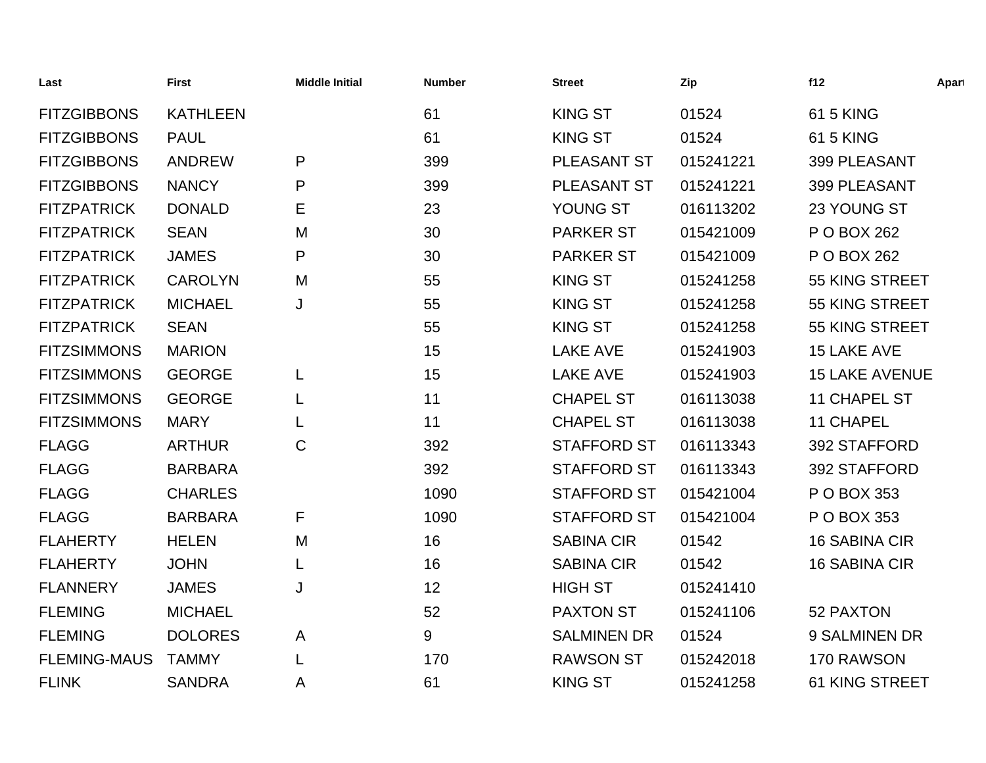| Last                | <b>First</b>    | <b>Middle Initial</b> | <b>Number</b> | <b>Street</b>      | Zip       | f12                   | Apart |
|---------------------|-----------------|-----------------------|---------------|--------------------|-----------|-----------------------|-------|
| <b>FITZGIBBONS</b>  | <b>KATHLEEN</b> |                       | 61            | <b>KING ST</b>     | 01524     | <b>61 5 KING</b>      |       |
| <b>FITZGIBBONS</b>  | <b>PAUL</b>     |                       | 61            | <b>KING ST</b>     | 01524     | 61 5 KING             |       |
| <b>FITZGIBBONS</b>  | <b>ANDREW</b>   | P                     | 399           | PLEASANT ST        | 015241221 | 399 PLEASANT          |       |
| <b>FITZGIBBONS</b>  | <b>NANCY</b>    | P                     | 399           | PLEASANT ST        | 015241221 | 399 PLEASANT          |       |
| <b>FITZPATRICK</b>  | <b>DONALD</b>   | Ε                     | 23            | YOUNG ST           | 016113202 | 23 YOUNG ST           |       |
| <b>FITZPATRICK</b>  | <b>SEAN</b>     | M                     | 30            | <b>PARKER ST</b>   | 015421009 | P O BOX 262           |       |
| <b>FITZPATRICK</b>  | <b>JAMES</b>    | P                     | 30            | <b>PARKER ST</b>   | 015421009 | P O BOX 262           |       |
| <b>FITZPATRICK</b>  | <b>CAROLYN</b>  | M                     | 55            | <b>KING ST</b>     | 015241258 | 55 KING STREET        |       |
| <b>FITZPATRICK</b>  | <b>MICHAEL</b>  | J                     | 55            | <b>KING ST</b>     | 015241258 | 55 KING STREET        |       |
| <b>FITZPATRICK</b>  | <b>SEAN</b>     |                       | 55            | <b>KING ST</b>     | 015241258 | 55 KING STREET        |       |
| <b>FITZSIMMONS</b>  | <b>MARION</b>   |                       | 15            | <b>LAKE AVE</b>    | 015241903 | 15 LAKE AVE           |       |
| <b>FITZSIMMONS</b>  | <b>GEORGE</b>   | L                     | 15            | <b>LAKE AVE</b>    | 015241903 | <b>15 LAKE AVENUE</b> |       |
| <b>FITZSIMMONS</b>  | <b>GEORGE</b>   |                       | 11            | <b>CHAPEL ST</b>   | 016113038 | 11 CHAPEL ST          |       |
| <b>FITZSIMMONS</b>  | <b>MARY</b>     | L                     | 11            | <b>CHAPEL ST</b>   | 016113038 | <b>11 CHAPEL</b>      |       |
| <b>FLAGG</b>        | <b>ARTHUR</b>   | C                     | 392           | <b>STAFFORD ST</b> | 016113343 | 392 STAFFORD          |       |
| <b>FLAGG</b>        | <b>BARBARA</b>  |                       | 392           | <b>STAFFORD ST</b> | 016113343 | 392 STAFFORD          |       |
| <b>FLAGG</b>        | <b>CHARLES</b>  |                       | 1090          | <b>STAFFORD ST</b> | 015421004 | P O BOX 353           |       |
| <b>FLAGG</b>        | <b>BARBARA</b>  | F                     | 1090          | <b>STAFFORD ST</b> | 015421004 | P O BOX 353           |       |
| <b>FLAHERTY</b>     | <b>HELEN</b>    | M                     | 16            | <b>SABINA CIR</b>  | 01542     | <b>16 SABINA CIR</b>  |       |
| <b>FLAHERTY</b>     | <b>JOHN</b>     | L                     | 16            | <b>SABINA CIR</b>  | 01542     | <b>16 SABINA CIR</b>  |       |
| <b>FLANNERY</b>     | <b>JAMES</b>    | J                     | 12            | <b>HIGH ST</b>     | 015241410 |                       |       |
| <b>FLEMING</b>      | <b>MICHAEL</b>  |                       | 52            | <b>PAXTON ST</b>   | 015241106 | 52 PAXTON             |       |
| <b>FLEMING</b>      | <b>DOLORES</b>  | A                     | 9             | <b>SALMINEN DR</b> | 01524     | 9 SALMINEN DR         |       |
| <b>FLEMING-MAUS</b> | <b>TAMMY</b>    |                       | 170           | <b>RAWSON ST</b>   | 015242018 | 170 RAWSON            |       |
| <b>FLINK</b>        | <b>SANDRA</b>   | A                     | 61            | <b>KING ST</b>     | 015241258 | <b>61 KING STREET</b> |       |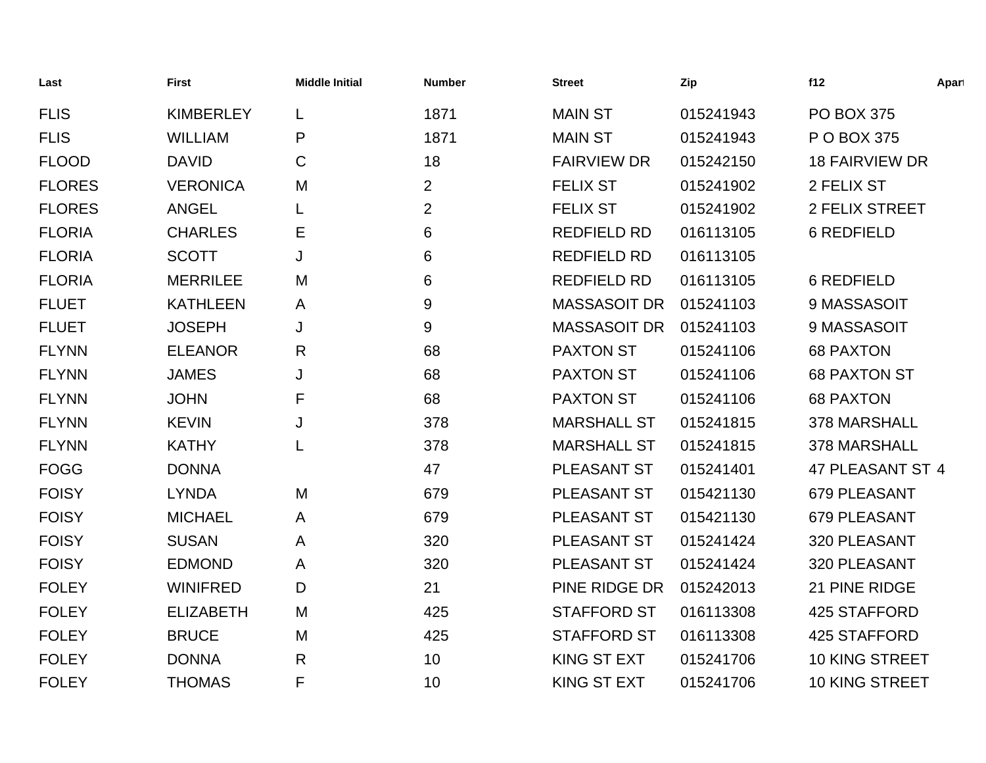| Last          | <b>First</b>     | <b>Middle Initial</b> | <b>Number</b>  | <b>Street</b>       | Zip       | f12                   | Apart |
|---------------|------------------|-----------------------|----------------|---------------------|-----------|-----------------------|-------|
| <b>FLIS</b>   | <b>KIMBERLEY</b> | L                     | 1871           | <b>MAIN ST</b>      | 015241943 | <b>PO BOX 375</b>     |       |
| <b>FLIS</b>   | <b>WILLIAM</b>   | P                     | 1871           | <b>MAIN ST</b>      | 015241943 | P O BOX 375           |       |
| <b>FLOOD</b>  | <b>DAVID</b>     | $\mathsf C$           | 18             | <b>FAIRVIEW DR</b>  | 015242150 | <b>18 FAIRVIEW DR</b> |       |
| <b>FLORES</b> | <b>VERONICA</b>  | M                     | $\overline{2}$ | <b>FELIX ST</b>     | 015241902 | 2 FELIX ST            |       |
| <b>FLORES</b> | <b>ANGEL</b>     | L                     | $\overline{2}$ | <b>FELIX ST</b>     | 015241902 | 2 FELIX STREET        |       |
| <b>FLORIA</b> | <b>CHARLES</b>   | Ε                     | 6              | <b>REDFIELD RD</b>  | 016113105 | <b>6 REDFIELD</b>     |       |
| <b>FLORIA</b> | <b>SCOTT</b>     | J                     | 6              | <b>REDFIELD RD</b>  | 016113105 |                       |       |
| <b>FLORIA</b> | <b>MERRILEE</b>  | M                     | 6              | <b>REDFIELD RD</b>  | 016113105 | 6 REDFIELD            |       |
| <b>FLUET</b>  | <b>KATHLEEN</b>  | A                     | 9              | <b>MASSASOIT DR</b> | 015241103 | 9 MASSASOIT           |       |
| <b>FLUET</b>  | <b>JOSEPH</b>    | J                     | 9              | <b>MASSASOIT DR</b> | 015241103 | 9 MASSASOIT           |       |
| <b>FLYNN</b>  | <b>ELEANOR</b>   | R                     | 68             | <b>PAXTON ST</b>    | 015241106 | <b>68 PAXTON</b>      |       |
| <b>FLYNN</b>  | <b>JAMES</b>     | J                     | 68             | <b>PAXTON ST</b>    | 015241106 | <b>68 PAXTON ST</b>   |       |
| <b>FLYNN</b>  | <b>JOHN</b>      | F                     | 68             | <b>PAXTON ST</b>    | 015241106 | <b>68 PAXTON</b>      |       |
| <b>FLYNN</b>  | <b>KEVIN</b>     | J                     | 378            | <b>MARSHALL ST</b>  | 015241815 | 378 MARSHALL          |       |
| <b>FLYNN</b>  | <b>KATHY</b>     | L                     | 378            | <b>MARSHALL ST</b>  | 015241815 | 378 MARSHALL          |       |
| <b>FOGG</b>   | <b>DONNA</b>     |                       | 47             | PLEASANT ST         | 015241401 | 47 PLEASANT ST 4      |       |
| <b>FOISY</b>  | <b>LYNDA</b>     | M                     | 679            | PLEASANT ST         | 015421130 | 679 PLEASANT          |       |
| <b>FOISY</b>  | <b>MICHAEL</b>   | A                     | 679            | PLEASANT ST         | 015421130 | 679 PLEASANT          |       |
| <b>FOISY</b>  | <b>SUSAN</b>     | A                     | 320            | PLEASANT ST         | 015241424 | 320 PLEASANT          |       |
| <b>FOISY</b>  | <b>EDMOND</b>    | A                     | 320            | PLEASANT ST         | 015241424 | 320 PLEASANT          |       |
| <b>FOLEY</b>  | <b>WINIFRED</b>  | D                     | 21             | PINE RIDGE DR       | 015242013 | 21 PINE RIDGE         |       |
| <b>FOLEY</b>  | <b>ELIZABETH</b> | M                     | 425            | <b>STAFFORD ST</b>  | 016113308 | 425 STAFFORD          |       |
| <b>FOLEY</b>  | <b>BRUCE</b>     | M                     | 425            | <b>STAFFORD ST</b>  | 016113308 | 425 STAFFORD          |       |
| <b>FOLEY</b>  | <b>DONNA</b>     | $\mathsf{R}$          | 10             | <b>KING ST EXT</b>  | 015241706 | <b>10 KING STREET</b> |       |
| <b>FOLEY</b>  | <b>THOMAS</b>    | F                     | 10             | <b>KING ST EXT</b>  | 015241706 | 10 KING STREET        |       |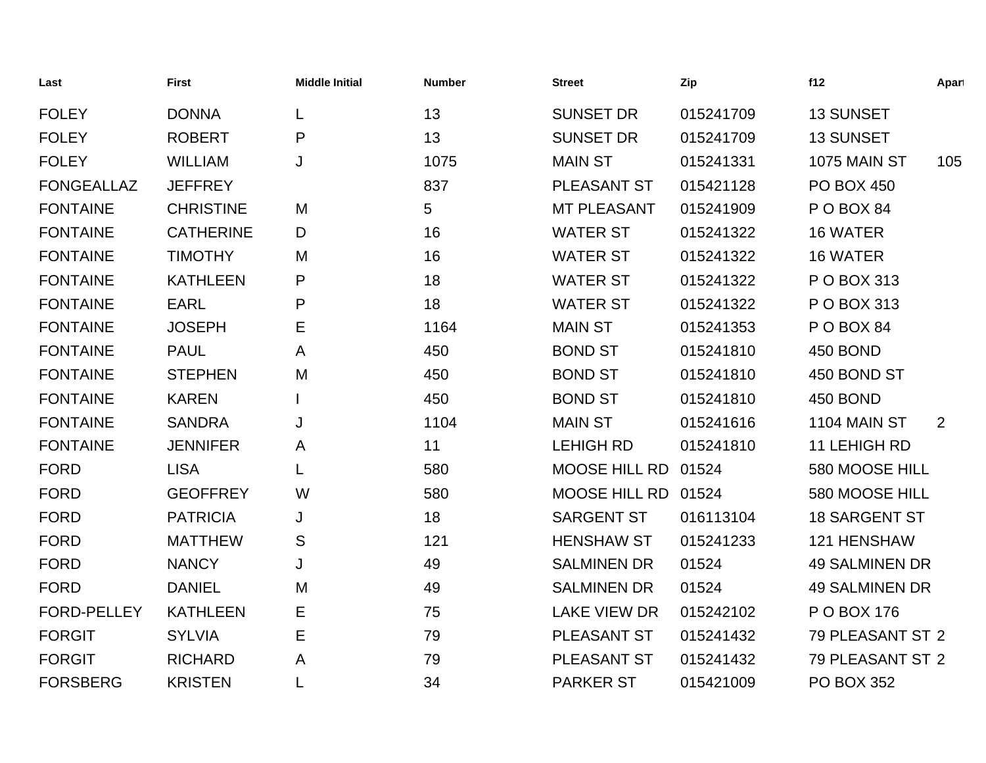| Last               | <b>First</b>     | <b>Middle Initial</b> | <b>Number</b> | <b>Street</b>        | Zip       | f12                   | Apart |
|--------------------|------------------|-----------------------|---------------|----------------------|-----------|-----------------------|-------|
| <b>FOLEY</b>       | <b>DONNA</b>     | L                     | 13            | <b>SUNSET DR</b>     | 015241709 | 13 SUNSET             |       |
| <b>FOLEY</b>       | <b>ROBERT</b>    | P                     | 13            | <b>SUNSET DR</b>     | 015241709 | 13 SUNSET             |       |
| <b>FOLEY</b>       | <b>WILLIAM</b>   | J                     | 1075          | <b>MAIN ST</b>       | 015241331 | 1075 MAIN ST          | 105   |
| <b>FONGEALLAZ</b>  | <b>JEFFREY</b>   |                       | 837           | <b>PLEASANT ST</b>   | 015421128 | <b>PO BOX 450</b>     |       |
| <b>FONTAINE</b>    | <b>CHRISTINE</b> | M                     | 5             | <b>MT PLEASANT</b>   | 015241909 | POBOX 84              |       |
| <b>FONTAINE</b>    | <b>CATHERINE</b> | D                     | 16            | <b>WATER ST</b>      | 015241322 | 16 WATER              |       |
| <b>FONTAINE</b>    | <b>TIMOTHY</b>   | M                     | 16            | <b>WATER ST</b>      | 015241322 | 16 WATER              |       |
| <b>FONTAINE</b>    | <b>KATHLEEN</b>  | P                     | 18            | <b>WATER ST</b>      | 015241322 | P O BOX 313           |       |
| <b>FONTAINE</b>    | <b>EARL</b>      | P                     | 18            | <b>WATER ST</b>      | 015241322 | P O BOX 313           |       |
| <b>FONTAINE</b>    | <b>JOSEPH</b>    | Е                     | 1164          | <b>MAIN ST</b>       | 015241353 | POBOX 84              |       |
| <b>FONTAINE</b>    | <b>PAUL</b>      | Α                     | 450           | <b>BOND ST</b>       | 015241810 | 450 BOND              |       |
| <b>FONTAINE</b>    | <b>STEPHEN</b>   | M                     | 450           | <b>BOND ST</b>       | 015241810 | 450 BOND ST           |       |
| <b>FONTAINE</b>    | <b>KAREN</b>     |                       | 450           | <b>BOND ST</b>       | 015241810 | 450 BOND              |       |
| <b>FONTAINE</b>    | <b>SANDRA</b>    | J                     | 1104          | <b>MAIN ST</b>       | 015241616 | 1104 MAIN ST          | 2     |
| <b>FONTAINE</b>    | <b>JENNIFER</b>  | A                     | 11            | <b>LEHIGH RD</b>     | 015241810 | 11 LEHIGH RD          |       |
| <b>FORD</b>        | <b>LISA</b>      | L                     | 580           | <b>MOOSE HILL RD</b> | 01524     | 580 MOOSE HILL        |       |
| <b>FORD</b>        | <b>GEOFFREY</b>  | W                     | 580           | <b>MOOSE HILL RD</b> | 01524     | 580 MOOSE HILL        |       |
| <b>FORD</b>        | <b>PATRICIA</b>  | J                     | 18            | <b>SARGENT ST</b>    | 016113104 | <b>18 SARGENT ST</b>  |       |
| <b>FORD</b>        | <b>MATTHEW</b>   | S                     | 121           | <b>HENSHAW ST</b>    | 015241233 | 121 HENSHAW           |       |
| <b>FORD</b>        | <b>NANCY</b>     | J                     | 49            | <b>SALMINEN DR</b>   | 01524     | <b>49 SALMINEN DR</b> |       |
| <b>FORD</b>        | <b>DANIEL</b>    | M                     | 49            | <b>SALMINEN DR</b>   | 01524     | <b>49 SALMINEN DR</b> |       |
| <b>FORD-PELLEY</b> | <b>KATHLEEN</b>  | Е                     | 75            | <b>LAKE VIEW DR</b>  | 015242102 | P O BOX 176           |       |
| <b>FORGIT</b>      | <b>SYLVIA</b>    | Е                     | 79            | <b>PLEASANT ST</b>   | 015241432 | 79 PLEASANT ST 2      |       |
| <b>FORGIT</b>      | <b>RICHARD</b>   | A                     | 79            | <b>PLEASANT ST</b>   | 015241432 | 79 PLEASANT ST 2      |       |
| <b>FORSBERG</b>    | <b>KRISTEN</b>   |                       | 34            | <b>PARKER ST</b>     | 015421009 | <b>PO BOX 352</b>     |       |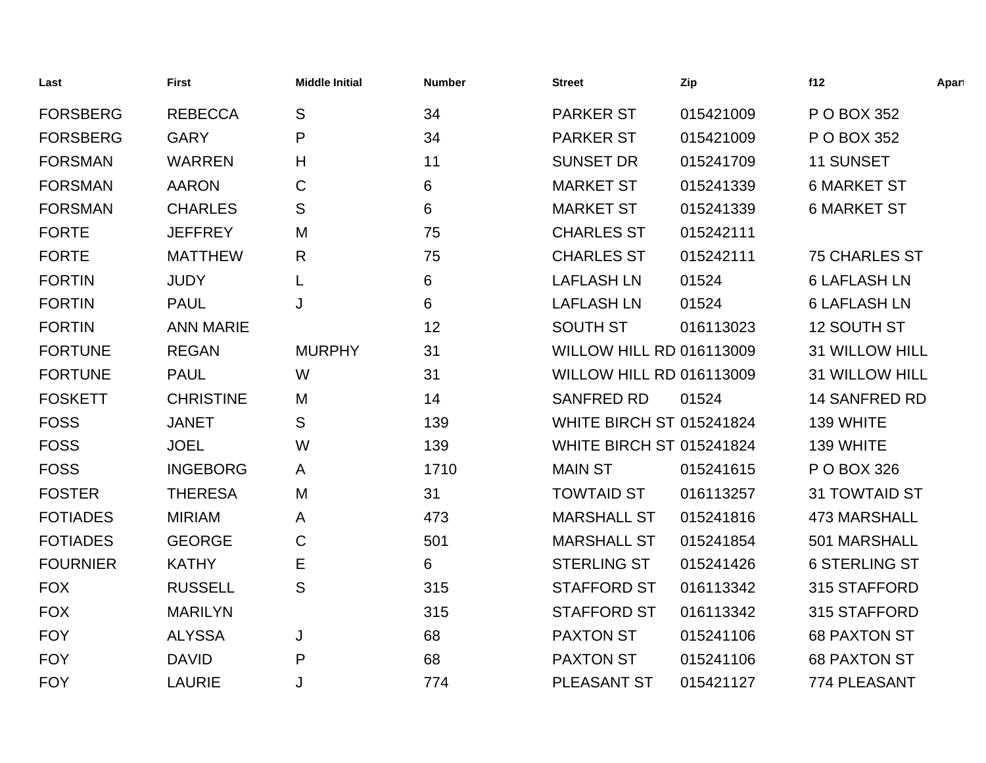| Last            | <b>First</b>     | <b>Middle Initial</b> | <b>Number</b> | <b>Street</b>                   | Zip       | f12                   | Apart |
|-----------------|------------------|-----------------------|---------------|---------------------------------|-----------|-----------------------|-------|
| <b>FORSBERG</b> | <b>REBECCA</b>   | S                     | 34            | <b>PARKER ST</b>                | 015421009 | P O BOX 352           |       |
| <b>FORSBERG</b> | <b>GARY</b>      | P                     | 34            | <b>PARKER ST</b>                | 015421009 | P O BOX 352           |       |
| <b>FORSMAN</b>  | <b>WARREN</b>    | H                     | 11            | <b>SUNSET DR</b>                | 015241709 | 11 SUNSET             |       |
| <b>FORSMAN</b>  | <b>AARON</b>     | $\mathbf C$           | 6             | <b>MARKET ST</b>                | 015241339 | <b>6 MARKET ST</b>    |       |
| <b>FORSMAN</b>  | <b>CHARLES</b>   | S                     | 6             | <b>MARKET ST</b>                | 015241339 | <b>6 MARKET ST</b>    |       |
| <b>FORTE</b>    | <b>JEFFREY</b>   | M                     | 75            | <b>CHARLES ST</b>               | 015242111 |                       |       |
| <b>FORTE</b>    | <b>MATTHEW</b>   | R                     | 75            | <b>CHARLES ST</b>               | 015242111 | <b>75 CHARLES ST</b>  |       |
| <b>FORTIN</b>   | <b>JUDY</b>      | L                     | 6             | <b>LAFLASH LN</b>               | 01524     | <b>6 LAFLASH LN</b>   |       |
| <b>FORTIN</b>   | <b>PAUL</b>      | J                     | 6             | <b>LAFLASH LN</b>               | 01524     | <b>6 LAFLASH LN</b>   |       |
| <b>FORTIN</b>   | <b>ANN MARIE</b> |                       | 12            | <b>SOUTH ST</b>                 | 016113023 | 12 SOUTH ST           |       |
| <b>FORTUNE</b>  | <b>REGAN</b>     | <b>MURPHY</b>         | 31            | <b>WILLOW HILL RD 016113009</b> |           | <b>31 WILLOW HILL</b> |       |
| <b>FORTUNE</b>  | <b>PAUL</b>      | W                     | 31            | WILLOW HILL RD 016113009        |           | <b>31 WILLOW HILL</b> |       |
| <b>FOSKETT</b>  | <b>CHRISTINE</b> | M                     | 14            | <b>SANFRED RD</b>               | 01524     | 14 SANFRED RD         |       |
| <b>FOSS</b>     | <b>JANET</b>     | S                     | 139           | <b>WHITE BIRCH ST 015241824</b> |           | 139 WHITE             |       |
| <b>FOSS</b>     | <b>JOEL</b>      | W                     | 139           | <b>WHITE BIRCH ST 015241824</b> |           | 139 WHITE             |       |
| <b>FOSS</b>     | <b>INGEBORG</b>  | A                     | 1710          | <b>MAIN ST</b>                  | 015241615 | P O BOX 326           |       |
| <b>FOSTER</b>   | <b>THERESA</b>   | M                     | 31            | <b>TOWTAID ST</b>               | 016113257 | 31 TOWTAID ST         |       |
| <b>FOTIADES</b> | <b>MIRIAM</b>    | A                     | 473           | <b>MARSHALL ST</b>              | 015241816 | <b>473 MARSHALL</b>   |       |
| <b>FOTIADES</b> | <b>GEORGE</b>    | $\mathbf C$           | 501           | <b>MARSHALL ST</b>              | 015241854 | 501 MARSHALL          |       |
| <b>FOURNIER</b> | <b>KATHY</b>     | Е                     | 6             | <b>STERLING ST</b>              | 015241426 | <b>6 STERLING ST</b>  |       |
| <b>FOX</b>      | <b>RUSSELL</b>   | S                     | 315           | <b>STAFFORD ST</b>              | 016113342 | 315 STAFFORD          |       |
| <b>FOX</b>      | <b>MARILYN</b>   |                       | 315           | <b>STAFFORD ST</b>              | 016113342 | 315 STAFFORD          |       |
| <b>FOY</b>      | <b>ALYSSA</b>    | J                     | 68            | <b>PAXTON ST</b>                | 015241106 | <b>68 PAXTON ST</b>   |       |
| <b>FOY</b>      | <b>DAVID</b>     | P                     | 68            | <b>PAXTON ST</b>                | 015241106 | <b>68 PAXTON ST</b>   |       |
| <b>FOY</b>      | <b>LAURIE</b>    | J                     | 774           | <b>PLEASANT ST</b>              | 015421127 | 774 PLEASANT          |       |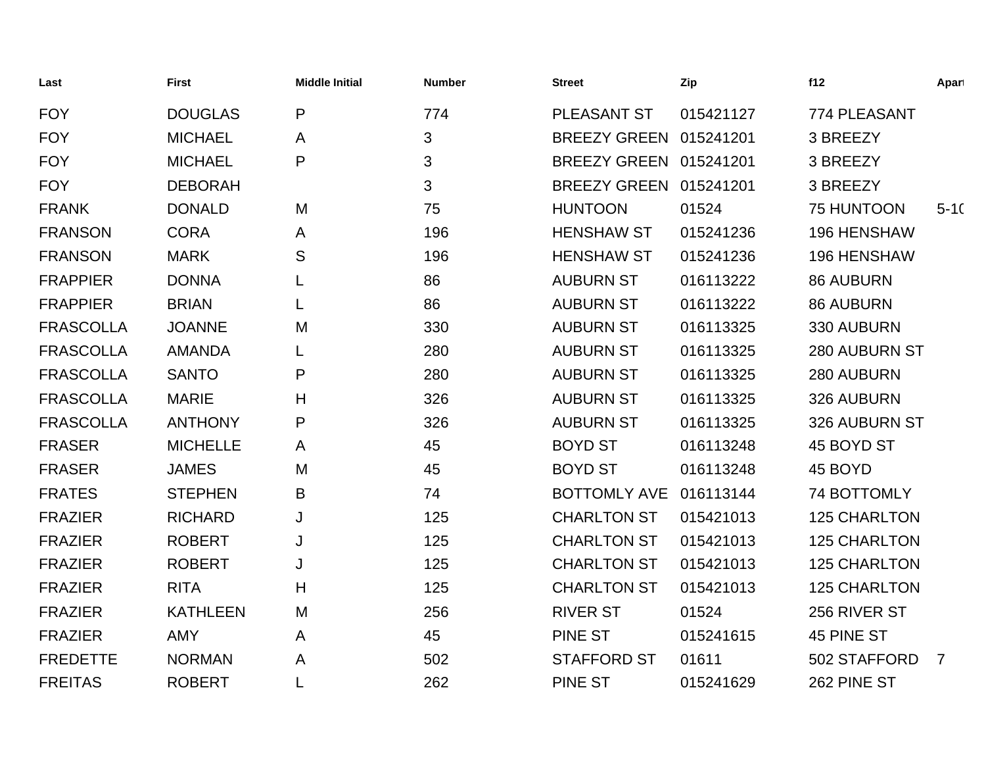| Last             | <b>First</b>    | <b>Middle Initial</b> | <b>Number</b> | <b>Street</b>          | Zip       | f12                 | Apart    |
|------------------|-----------------|-----------------------|---------------|------------------------|-----------|---------------------|----------|
| <b>FOY</b>       | <b>DOUGLAS</b>  | P                     | 774           | <b>PLEASANT ST</b>     | 015421127 | 774 PLEASANT        |          |
| <b>FOY</b>       | <b>MICHAEL</b>  | A                     | 3             | BREEZY GREEN 015241201 |           | 3 BREEZY            |          |
| <b>FOY</b>       | <b>MICHAEL</b>  | P                     | 3             | BREEZY GREEN 015241201 |           | 3 BREEZY            |          |
| <b>FOY</b>       | <b>DEBORAH</b>  |                       | 3             | BREEZY GREEN 015241201 |           | 3 BREEZY            |          |
| <b>FRANK</b>     | <b>DONALD</b>   | M                     | 75            | <b>HUNTOON</b>         | 01524     | 75 HUNTOON          | $5 - 10$ |
| <b>FRANSON</b>   | <b>CORA</b>     | A                     | 196           | <b>HENSHAW ST</b>      | 015241236 | <b>196 HENSHAW</b>  |          |
| <b>FRANSON</b>   | <b>MARK</b>     | S                     | 196           | <b>HENSHAW ST</b>      | 015241236 | <b>196 HENSHAW</b>  |          |
| <b>FRAPPIER</b>  | <b>DONNA</b>    |                       | 86            | <b>AUBURN ST</b>       | 016113222 | <b>86 AUBURN</b>    |          |
| <b>FRAPPIER</b>  | <b>BRIAN</b>    |                       | 86            | <b>AUBURN ST</b>       | 016113222 | <b>86 AUBURN</b>    |          |
| <b>FRASCOLLA</b> | <b>JOANNE</b>   | M                     | 330           | <b>AUBURN ST</b>       | 016113325 | 330 AUBURN          |          |
| <b>FRASCOLLA</b> | <b>AMANDA</b>   |                       | 280           | <b>AUBURN ST</b>       | 016113325 | 280 AUBURN ST       |          |
| <b>FRASCOLLA</b> | <b>SANTO</b>    | P                     | 280           | <b>AUBURN ST</b>       | 016113325 | 280 AUBURN          |          |
| <b>FRASCOLLA</b> | <b>MARIE</b>    | Н                     | 326           | <b>AUBURN ST</b>       | 016113325 | 326 AUBURN          |          |
| <b>FRASCOLLA</b> | <b>ANTHONY</b>  | P                     | 326           | <b>AUBURN ST</b>       | 016113325 | 326 AUBURN ST       |          |
| <b>FRASER</b>    | <b>MICHELLE</b> | A                     | 45            | <b>BOYD ST</b>         | 016113248 | 45 BOYD ST          |          |
| <b>FRASER</b>    | <b>JAMES</b>    | M                     | 45            | <b>BOYD ST</b>         | 016113248 | 45 BOYD             |          |
| <b>FRATES</b>    | <b>STEPHEN</b>  | B                     | 74            | <b>BOTTOMLY AVE</b>    | 016113144 | 74 BOTTOMLY         |          |
| <b>FRAZIER</b>   | <b>RICHARD</b>  | J                     | 125           | <b>CHARLTON ST</b>     | 015421013 | <b>125 CHARLTON</b> |          |
| <b>FRAZIER</b>   | <b>ROBERT</b>   | J                     | 125           | <b>CHARLTON ST</b>     | 015421013 | <b>125 CHARLTON</b> |          |
| <b>FRAZIER</b>   | <b>ROBERT</b>   | J                     | 125           | <b>CHARLTON ST</b>     | 015421013 | <b>125 CHARLTON</b> |          |
| <b>FRAZIER</b>   | <b>RITA</b>     | H                     | 125           | <b>CHARLTON ST</b>     | 015421013 | <b>125 CHARLTON</b> |          |
| <b>FRAZIER</b>   | <b>KATHLEEN</b> | M                     | 256           | <b>RIVER ST</b>        | 01524     | 256 RIVER ST        |          |
| <b>FRAZIER</b>   | <b>AMY</b>      | A                     | 45            | <b>PINE ST</b>         | 015241615 | 45 PINE ST          |          |
| <b>FREDETTE</b>  | <b>NORMAN</b>   | A                     | 502           | <b>STAFFORD ST</b>     | 01611     | 502 STAFFORD        | 7        |
| <b>FREITAS</b>   | <b>ROBERT</b>   |                       | 262           | <b>PINE ST</b>         | 015241629 | 262 PINE ST         |          |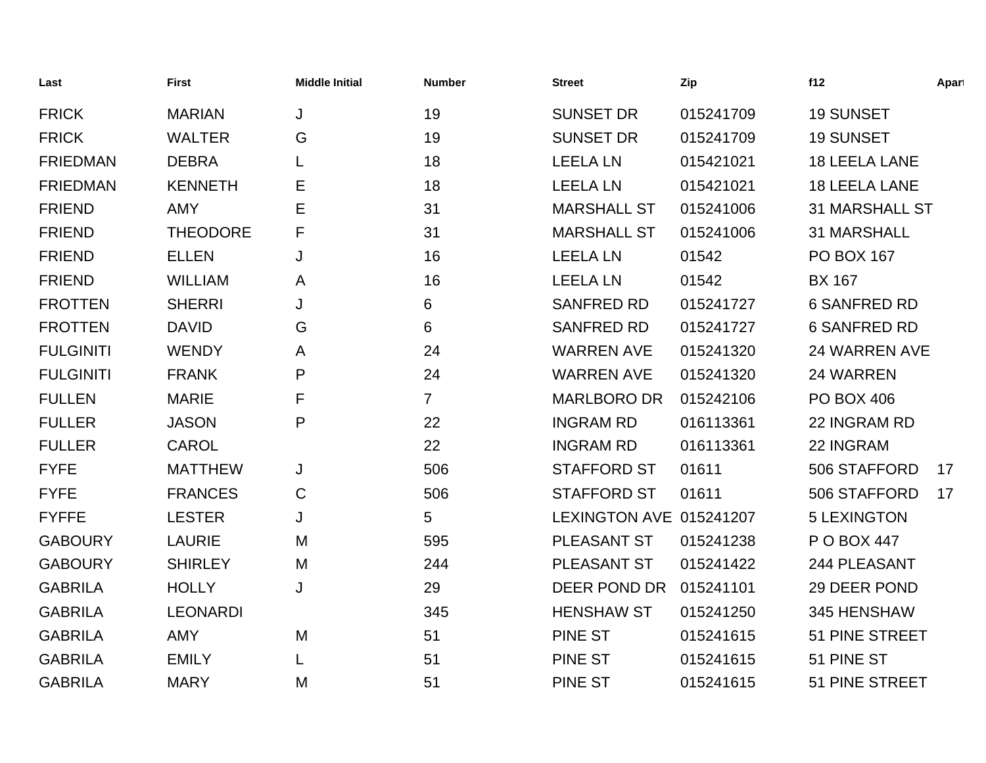| Last             | <b>First</b>    | <b>Middle Initial</b> | <b>Number</b>  | <b>Street</b>           | Zip       | f12                   | Apart |
|------------------|-----------------|-----------------------|----------------|-------------------------|-----------|-----------------------|-------|
| <b>FRICK</b>     | <b>MARIAN</b>   | J                     | 19             | <b>SUNSET DR</b>        | 015241709 | <b>19 SUNSET</b>      |       |
| <b>FRICK</b>     | <b>WALTER</b>   | G                     | 19             | <b>SUNSET DR</b>        | 015241709 | <b>19 SUNSET</b>      |       |
| <b>FRIEDMAN</b>  | <b>DEBRA</b>    |                       | 18             | <b>LEELA LN</b>         | 015421021 | <b>18 LEELA LANE</b>  |       |
| <b>FRIEDMAN</b>  | <b>KENNETH</b>  | Е                     | 18             | <b>LEELA LN</b>         | 015421021 | <b>18 LEELA LANE</b>  |       |
| <b>FRIEND</b>    | <b>AMY</b>      | Е                     | 31             | <b>MARSHALL ST</b>      | 015241006 | <b>31 MARSHALL ST</b> |       |
| <b>FRIEND</b>    | <b>THEODORE</b> | F                     | 31             | <b>MARSHALL ST</b>      | 015241006 | <b>31 MARSHALL</b>    |       |
| <b>FRIEND</b>    | <b>ELLEN</b>    | J                     | 16             | <b>LEELA LN</b>         | 01542     | <b>PO BOX 167</b>     |       |
| <b>FRIEND</b>    | <b>WILLIAM</b>  | A                     | 16             | <b>LEELA LN</b>         | 01542     | <b>BX 167</b>         |       |
| <b>FROTTEN</b>   | <b>SHERRI</b>   | J                     | 6              | <b>SANFRED RD</b>       | 015241727 | <b>6 SANFRED RD</b>   |       |
| <b>FROTTEN</b>   | <b>DAVID</b>    | G                     | 6              | <b>SANFRED RD</b>       | 015241727 | <b>6 SANFRED RD</b>   |       |
| <b>FULGINITI</b> | <b>WENDY</b>    | Α                     | 24             | <b>WARREN AVE</b>       | 015241320 | 24 WARREN AVE         |       |
| <b>FULGINITI</b> | <b>FRANK</b>    | P                     | 24             | <b>WARREN AVE</b>       | 015241320 | 24 WARREN             |       |
| <b>FULLEN</b>    | <b>MARIE</b>    | F                     | $\overline{7}$ | <b>MARLBORO DR</b>      | 015242106 | <b>PO BOX 406</b>     |       |
| <b>FULLER</b>    | <b>JASON</b>    | P                     | 22             | <b>INGRAM RD</b>        | 016113361 | 22 INGRAM RD          |       |
| <b>FULLER</b>    | <b>CAROL</b>    |                       | 22             | <b>INGRAM RD</b>        | 016113361 | 22 INGRAM             |       |
| <b>FYFE</b>      | <b>MATTHEW</b>  | J                     | 506            | <b>STAFFORD ST</b>      | 01611     | 506 STAFFORD          | 17    |
| <b>FYFE</b>      | <b>FRANCES</b>  | $\mathsf C$           | 506            | <b>STAFFORD ST</b>      | 01611     | 506 STAFFORD          | 17    |
| <b>FYFFE</b>     | <b>LESTER</b>   | J                     | 5              | LEXINGTON AVE 015241207 |           | <b>5 LEXINGTON</b>    |       |
| <b>GABOURY</b>   | <b>LAURIE</b>   | M                     | 595            | PLEASANT ST             | 015241238 | P O BOX 447           |       |
| <b>GABOURY</b>   | <b>SHIRLEY</b>  | M                     | 244            | PLEASANT ST             | 015241422 | 244 PLEASANT          |       |
| <b>GABRILA</b>   | <b>HOLLY</b>    | J                     | 29             | DEER POND DR            | 015241101 | 29 DEER POND          |       |
| <b>GABRILA</b>   | <b>LEONARDI</b> |                       | 345            | <b>HENSHAW ST</b>       | 015241250 | 345 HENSHAW           |       |
| <b>GABRILA</b>   | <b>AMY</b>      | M                     | 51             | <b>PINE ST</b>          | 015241615 | 51 PINE STREET        |       |
| <b>GABRILA</b>   | <b>EMILY</b>    |                       | 51             | <b>PINE ST</b>          | 015241615 | 51 PINE ST            |       |
| <b>GABRILA</b>   | <b>MARY</b>     | M                     | 51             | <b>PINE ST</b>          | 015241615 | 51 PINE STREET        |       |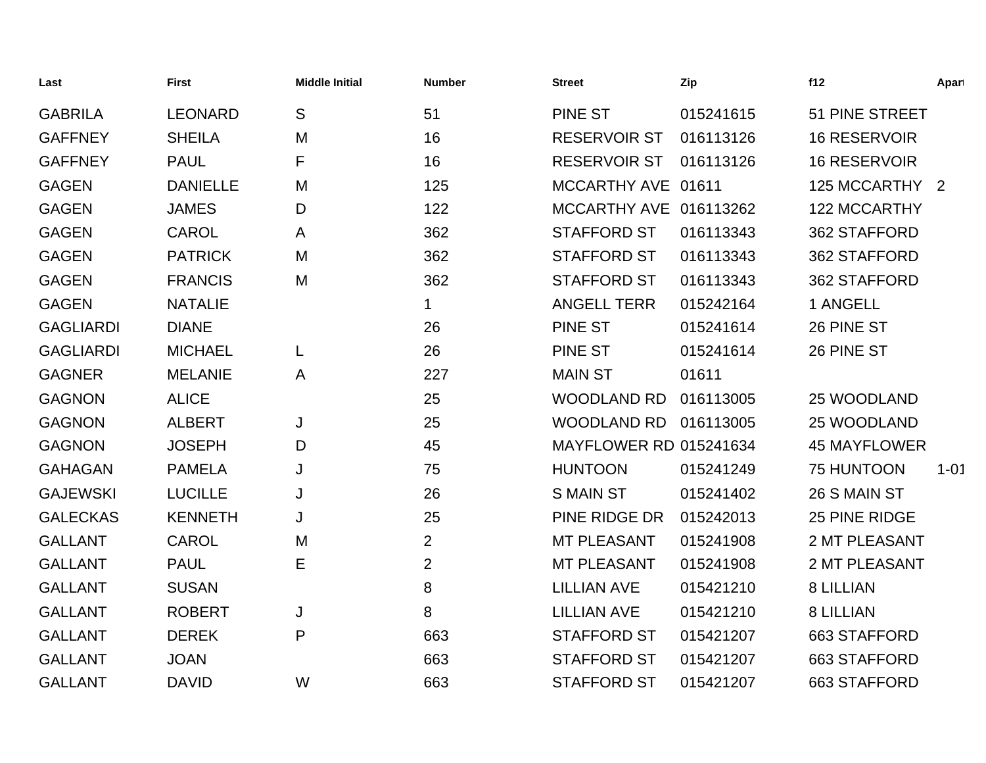| Last             | <b>First</b>    | <b>Middle Initial</b> | <b>Number</b>  | <b>Street</b>                 | Zip       | f12                  | Apart    |
|------------------|-----------------|-----------------------|----------------|-------------------------------|-----------|----------------------|----------|
| <b>GABRILA</b>   | <b>LEONARD</b>  | S                     | 51             | <b>PINE ST</b>                | 015241615 | 51 PINE STREET       |          |
| <b>GAFFNEY</b>   | <b>SHEILA</b>   | M                     | 16             | <b>RESERVOIR ST</b>           | 016113126 | <b>16 RESERVOIR</b>  |          |
| <b>GAFFNEY</b>   | <b>PAUL</b>     | F                     | 16             | <b>RESERVOIR ST</b>           | 016113126 | <b>16 RESERVOIR</b>  |          |
| <b>GAGEN</b>     | <b>DANIELLE</b> | M                     | 125            | MCCARTHY AVE 01611            |           | 125 MCCARTHY 2       |          |
| <b>GAGEN</b>     | <b>JAMES</b>    | D                     | 122            | MCCARTHY AVE 016113262        |           | 122 MCCARTHY         |          |
| <b>GAGEN</b>     | <b>CAROL</b>    | A                     | 362            | <b>STAFFORD ST</b>            | 016113343 | 362 STAFFORD         |          |
| <b>GAGEN</b>     | <b>PATRICK</b>  | M                     | 362            | <b>STAFFORD ST</b>            | 016113343 | 362 STAFFORD         |          |
| <b>GAGEN</b>     | <b>FRANCIS</b>  | M                     | 362            | <b>STAFFORD ST</b>            | 016113343 | 362 STAFFORD         |          |
| <b>GAGEN</b>     | <b>NATALIE</b>  |                       | $\mathbf 1$    | <b>ANGELL TERR</b>            | 015242164 | 1 ANGELL             |          |
| <b>GAGLIARDI</b> | <b>DIANE</b>    |                       | 26             | PINE ST                       | 015241614 | 26 PINE ST           |          |
| <b>GAGLIARDI</b> | <b>MICHAEL</b>  | L                     | 26             | <b>PINE ST</b>                | 015241614 | 26 PINE ST           |          |
| <b>GAGNER</b>    | <b>MELANIE</b>  | A                     | 227            | <b>MAIN ST</b>                | 01611     |                      |          |
| <b>GAGNON</b>    | <b>ALICE</b>    |                       | 25             | <b>WOODLAND RD</b>            | 016113005 | 25 WOODLAND          |          |
| <b>GAGNON</b>    | <b>ALBERT</b>   | J                     | 25             | <b>WOODLAND RD</b>            | 016113005 | 25 WOODLAND          |          |
| <b>GAGNON</b>    | <b>JOSEPH</b>   | D                     | 45             | <b>MAYFLOWER RD 015241634</b> |           | <b>45 MAYFLOWER</b>  |          |
| <b>GAHAGAN</b>   | <b>PAMELA</b>   | J                     | 75             | <b>HUNTOON</b>                | 015241249 | 75 HUNTOON           | $1 - 01$ |
| <b>GAJEWSKI</b>  | <b>LUCILLE</b>  | J                     | 26             | <b>SMAIN ST</b>               | 015241402 | 26 S MAIN ST         |          |
| <b>GALECKAS</b>  | <b>KENNETH</b>  | J                     | 25             | PINE RIDGE DR                 | 015242013 | 25 PINE RIDGE        |          |
| <b>GALLANT</b>   | <b>CAROL</b>    | M                     | $\overline{2}$ | <b>MT PLEASANT</b>            | 015241908 | <b>2 MT PLEASANT</b> |          |
| <b>GALLANT</b>   | <b>PAUL</b>     | E                     | $\overline{2}$ | MT PLEASANT                   | 015241908 | 2 MT PLEASANT        |          |
| <b>GALLANT</b>   | <b>SUSAN</b>    |                       | 8              | <b>LILLIAN AVE</b>            | 015421210 | <b>8 LILLIAN</b>     |          |
| <b>GALLANT</b>   | <b>ROBERT</b>   | J                     | 8              | <b>LILLIAN AVE</b>            | 015421210 | <b>8 LILLIAN</b>     |          |
| <b>GALLANT</b>   | <b>DEREK</b>    | P                     | 663            | <b>STAFFORD ST</b>            | 015421207 | 663 STAFFORD         |          |
| <b>GALLANT</b>   | <b>JOAN</b>     |                       | 663            | <b>STAFFORD ST</b>            | 015421207 | 663 STAFFORD         |          |
| <b>GALLANT</b>   | <b>DAVID</b>    | W                     | 663            | <b>STAFFORD ST</b>            | 015421207 | 663 STAFFORD         |          |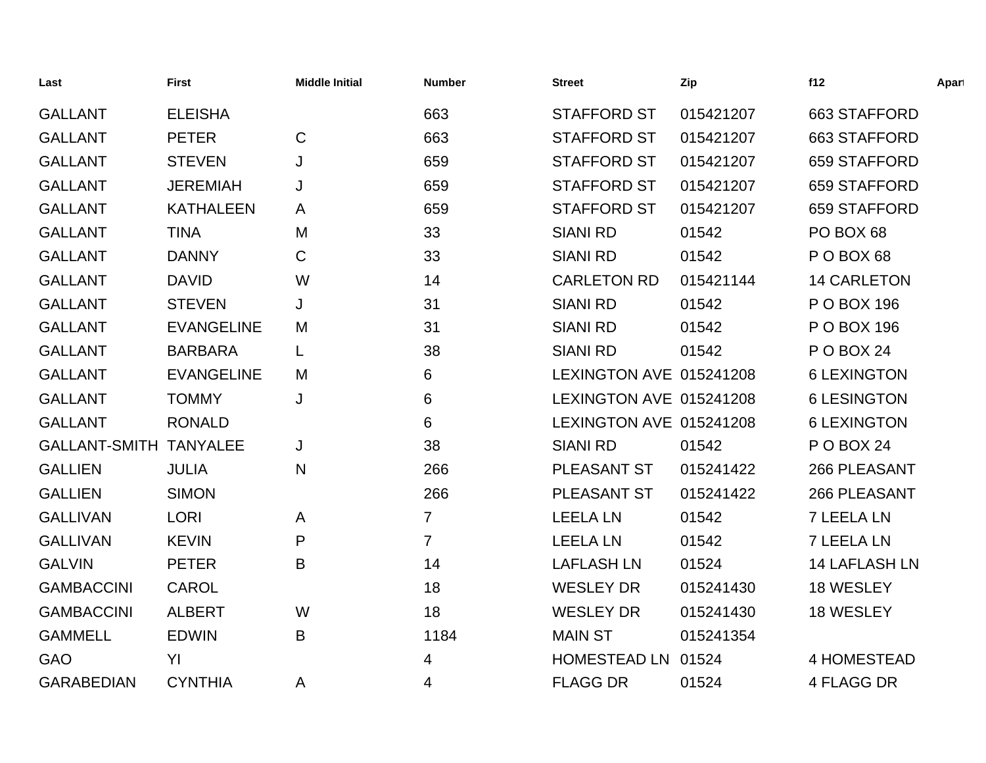| Last                          | <b>First</b>      | <b>Middle Initial</b> | <b>Number</b>  | <b>Street</b>           | Zip       | f12                  | Apart |
|-------------------------------|-------------------|-----------------------|----------------|-------------------------|-----------|----------------------|-------|
| <b>GALLANT</b>                | <b>ELEISHA</b>    |                       | 663            | <b>STAFFORD ST</b>      | 015421207 | 663 STAFFORD         |       |
| <b>GALLANT</b>                | <b>PETER</b>      | $\mathsf{C}$          | 663            | <b>STAFFORD ST</b>      | 015421207 | 663 STAFFORD         |       |
| <b>GALLANT</b>                | <b>STEVEN</b>     | J                     | 659            | <b>STAFFORD ST</b>      | 015421207 | 659 STAFFORD         |       |
| <b>GALLANT</b>                | <b>JEREMIAH</b>   | J                     | 659            | <b>STAFFORD ST</b>      | 015421207 | 659 STAFFORD         |       |
| <b>GALLANT</b>                | <b>KATHALEEN</b>  | A                     | 659            | <b>STAFFORD ST</b>      | 015421207 | 659 STAFFORD         |       |
| <b>GALLANT</b>                | <b>TINA</b>       | M                     | 33             | <b>SIANI RD</b>         | 01542     | PO BOX 68            |       |
| <b>GALLANT</b>                | <b>DANNY</b>      | $\mathsf C$           | 33             | <b>SIANI RD</b>         | 01542     | POBOX <sub>68</sub>  |       |
| <b>GALLANT</b>                | <b>DAVID</b>      | W                     | 14             | <b>CARLETON RD</b>      | 015421144 | <b>14 CARLETON</b>   |       |
| <b>GALLANT</b>                | <b>STEVEN</b>     | J                     | 31             | <b>SIANI RD</b>         | 01542     | P O BOX 196          |       |
| <b>GALLANT</b>                | <b>EVANGELINE</b> | M                     | 31             | <b>SIANI RD</b>         | 01542     | P O BOX 196          |       |
| <b>GALLANT</b>                | <b>BARBARA</b>    | L                     | 38             | <b>SIANI RD</b>         | 01542     | POBOX 24             |       |
| <b>GALLANT</b>                | <b>EVANGELINE</b> | M                     | 6              | LEXINGTON AVE 015241208 |           | <b>6 LEXINGTON</b>   |       |
| <b>GALLANT</b>                | <b>TOMMY</b>      | J                     | 6              | LEXINGTON AVE 015241208 |           | <b>6 LESINGTON</b>   |       |
| <b>GALLANT</b>                | <b>RONALD</b>     |                       | 6              | LEXINGTON AVE 015241208 |           | <b>6 LEXINGTON</b>   |       |
| <b>GALLANT-SMITH TANYALEE</b> |                   | J                     | 38             | <b>SIANI RD</b>         | 01542     | <b>P O BOX 24</b>    |       |
| <b>GALLIEN</b>                | <b>JULIA</b>      | N                     | 266            | PLEASANT ST             | 015241422 | 266 PLEASANT         |       |
| <b>GALLIEN</b>                | <b>SIMON</b>      |                       | 266            | PLEASANT ST             | 015241422 | 266 PLEASANT         |       |
| <b>GALLIVAN</b>               | <b>LORI</b>       | A                     | $\overline{7}$ | <b>LEELA LN</b>         | 01542     | <b>7 LEELA LN</b>    |       |
| <b>GALLIVAN</b>               | <b>KEVIN</b>      | P                     | $\overline{7}$ | <b>LEELA LN</b>         | 01542     | <b>7 LEELA LN</b>    |       |
| <b>GALVIN</b>                 | <b>PETER</b>      | B                     | 14             | <b>LAFLASH LN</b>       | 01524     | <b>14 LAFLASH LN</b> |       |
| <b>GAMBACCINI</b>             | <b>CAROL</b>      |                       | 18             | <b>WESLEY DR</b>        | 015241430 | 18 WESLEY            |       |
| <b>GAMBACCINI</b>             | <b>ALBERT</b>     | W                     | 18             | <b>WESLEY DR</b>        | 015241430 | 18 WESLEY            |       |
| <b>GAMMELL</b>                | <b>EDWIN</b>      | B                     | 1184           | <b>MAIN ST</b>          | 015241354 |                      |       |
| <b>GAO</b>                    | YI                |                       | 4              | HOMESTEAD LN 01524      |           | <b>4 HOMESTEAD</b>   |       |
| <b>GARABEDIAN</b>             | <b>CYNTHIA</b>    | A                     | 4              | <b>FLAGG DR</b>         | 01524     | <b>4 FLAGG DR</b>    |       |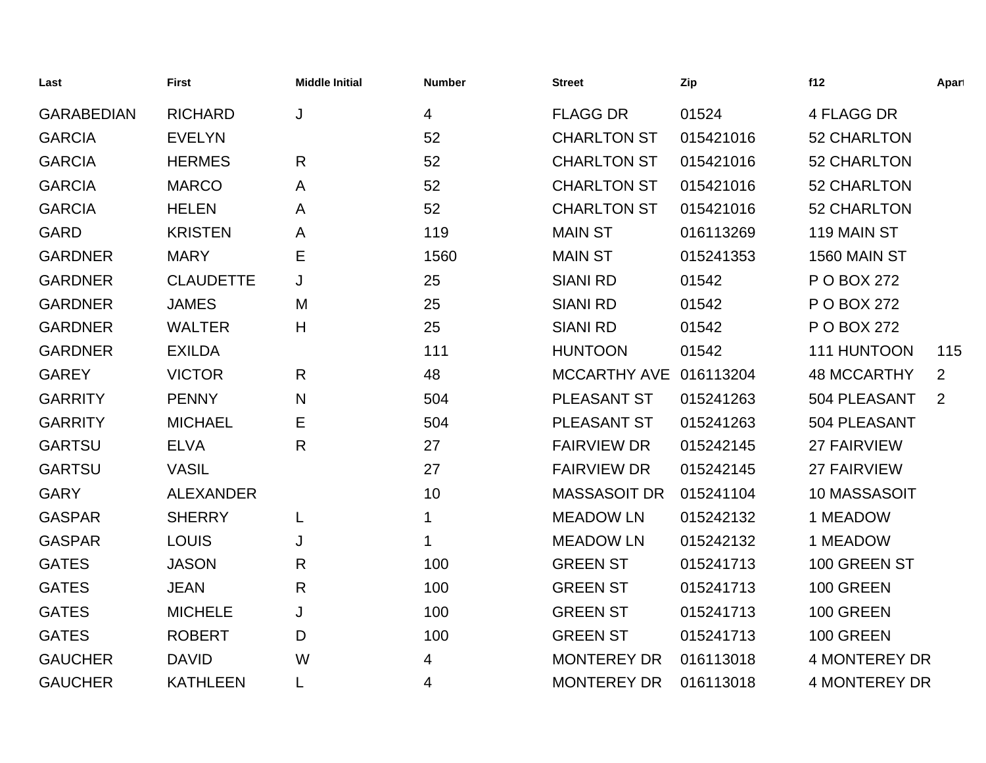| Last              | <b>First</b>     | <b>Middle Initial</b> | <b>Number</b> | <b>Street</b>       | Zip       | f12                  | Apart |
|-------------------|------------------|-----------------------|---------------|---------------------|-----------|----------------------|-------|
| <b>GARABEDIAN</b> | <b>RICHARD</b>   | J                     | 4             | <b>FLAGG DR</b>     | 01524     | 4 FLAGG DR           |       |
| <b>GARCIA</b>     | <b>EVELYN</b>    |                       | 52            | <b>CHARLTON ST</b>  | 015421016 | 52 CHARLTON          |       |
| <b>GARCIA</b>     | <b>HERMES</b>    | R                     | 52            | <b>CHARLTON ST</b>  | 015421016 | <b>52 CHARLTON</b>   |       |
| <b>GARCIA</b>     | <b>MARCO</b>     | A                     | 52            | <b>CHARLTON ST</b>  | 015421016 | <b>52 CHARLTON</b>   |       |
| <b>GARCIA</b>     | <b>HELEN</b>     | A                     | 52            | <b>CHARLTON ST</b>  | 015421016 | <b>52 CHARLTON</b>   |       |
| <b>GARD</b>       | <b>KRISTEN</b>   | A                     | 119           | <b>MAIN ST</b>      | 016113269 | 119 MAIN ST          |       |
| <b>GARDNER</b>    | <b>MARY</b>      | Е                     | 1560          | <b>MAIN ST</b>      | 015241353 | <b>1560 MAIN ST</b>  |       |
| <b>GARDNER</b>    | <b>CLAUDETTE</b> | J                     | 25            | <b>SIANI RD</b>     | 01542     | P O BOX 272          |       |
| <b>GARDNER</b>    | <b>JAMES</b>     | M                     | 25            | <b>SIANI RD</b>     | 01542     | P O BOX 272          |       |
| <b>GARDNER</b>    | <b>WALTER</b>    | H                     | 25            | <b>SIANI RD</b>     | 01542     | P O BOX 272          |       |
| <b>GARDNER</b>    | <b>EXILDA</b>    |                       | 111           | <b>HUNTOON</b>      | 01542     | 111 HUNTOON          | 115   |
| <b>GAREY</b>      | <b>VICTOR</b>    | R                     | 48            | <b>MCCARTHY AVE</b> | 016113204 | <b>48 MCCARTHY</b>   | 2     |
| <b>GARRITY</b>    | <b>PENNY</b>     | N                     | 504           | PLEASANT ST         | 015241263 | 504 PLEASANT         | 2     |
| <b>GARRITY</b>    | <b>MICHAEL</b>   | Е                     | 504           | <b>PLEASANT ST</b>  | 015241263 | 504 PLEASANT         |       |
| <b>GARTSU</b>     | <b>ELVA</b>      | R                     | 27            | <b>FAIRVIEW DR</b>  | 015242145 | <b>27 FAIRVIEW</b>   |       |
| <b>GARTSU</b>     | <b>VASIL</b>     |                       | 27            | <b>FAIRVIEW DR</b>  | 015242145 | 27 FAIRVIEW          |       |
| <b>GARY</b>       | <b>ALEXANDER</b> |                       | 10            | <b>MASSASOIT DR</b> | 015241104 | 10 MASSASOIT         |       |
| <b>GASPAR</b>     | <b>SHERRY</b>    | L                     | 1             | <b>MEADOW LN</b>    | 015242132 | 1 MEADOW             |       |
| <b>GASPAR</b>     | <b>LOUIS</b>     | J                     | 1             | <b>MEADOW LN</b>    | 015242132 | 1 MEADOW             |       |
| <b>GATES</b>      | <b>JASON</b>     | R                     | 100           | <b>GREEN ST</b>     | 015241713 | 100 GREEN ST         |       |
| <b>GATES</b>      | <b>JEAN</b>      | R                     | 100           | <b>GREEN ST</b>     | 015241713 | 100 GREEN            |       |
| <b>GATES</b>      | <b>MICHELE</b>   | J                     | 100           | <b>GREEN ST</b>     | 015241713 | 100 GREEN            |       |
| <b>GATES</b>      | <b>ROBERT</b>    | D                     | 100           | <b>GREEN ST</b>     | 015241713 | 100 GREEN            |       |
| <b>GAUCHER</b>    | <b>DAVID</b>     | W                     | 4             | <b>MONTEREY DR</b>  | 016113018 | <b>4 MONTEREY DR</b> |       |
| <b>GAUCHER</b>    | <b>KATHLEEN</b>  |                       | 4             | <b>MONTEREY DR</b>  | 016113018 | <b>4 MONTEREY DR</b> |       |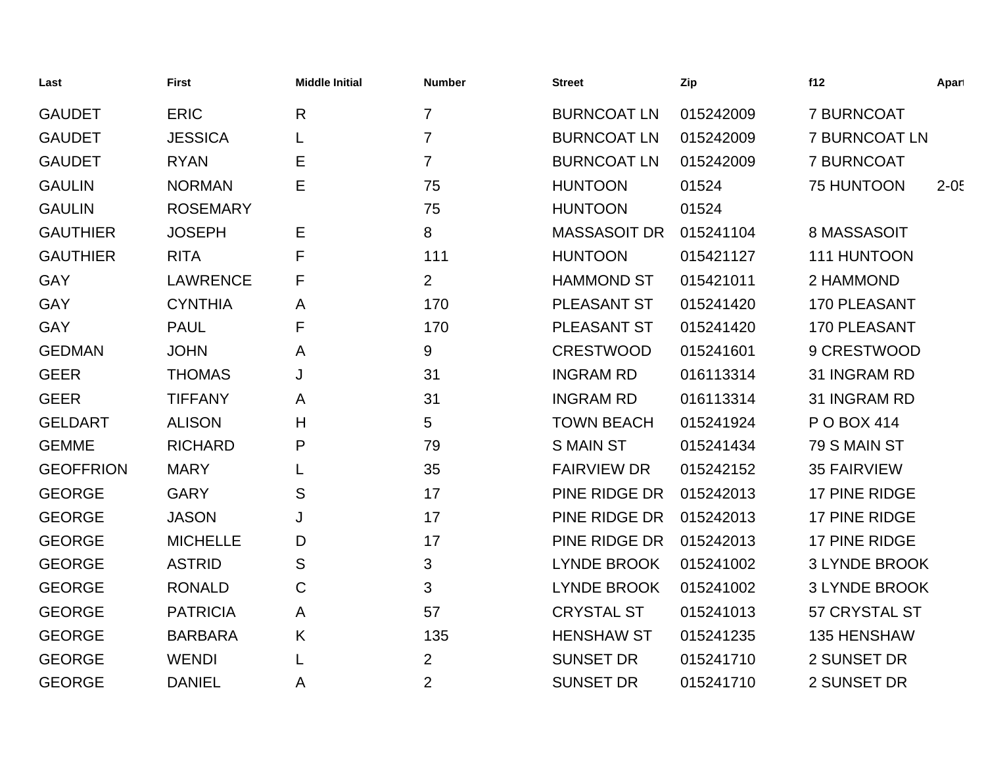| Last             | <b>First</b>    | <b>Middle Initial</b> | <b>Number</b>  | <b>Street</b>       | Zip       | f12                  | Apart    |
|------------------|-----------------|-----------------------|----------------|---------------------|-----------|----------------------|----------|
| <b>GAUDET</b>    | <b>ERIC</b>     | $\mathsf{R}$          | $\overline{7}$ | <b>BURNCOAT LN</b>  | 015242009 | <b>7 BURNCOAT</b>    |          |
| <b>GAUDET</b>    | <b>JESSICA</b>  |                       | $\overline{7}$ | <b>BURNCOAT LN</b>  | 015242009 | <b>7 BURNCOAT LN</b> |          |
| <b>GAUDET</b>    | <b>RYAN</b>     | Е                     | $\overline{7}$ | <b>BURNCOAT LN</b>  | 015242009 | <b>7 BURNCOAT</b>    |          |
| <b>GAULIN</b>    | <b>NORMAN</b>   | Е                     | 75             | <b>HUNTOON</b>      | 01524     | 75 HUNTOON           | $2 - 05$ |
| <b>GAULIN</b>    | <b>ROSEMARY</b> |                       | 75             | <b>HUNTOON</b>      | 01524     |                      |          |
| <b>GAUTHIER</b>  | <b>JOSEPH</b>   | Е                     | 8              | <b>MASSASOIT DR</b> | 015241104 | 8 MASSASOIT          |          |
| <b>GAUTHIER</b>  | <b>RITA</b>     | F                     | 111            | <b>HUNTOON</b>      | 015421127 | 111 HUNTOON          |          |
| <b>GAY</b>       | <b>LAWRENCE</b> | F                     | $\overline{2}$ | <b>HAMMOND ST</b>   | 015421011 | 2 HAMMOND            |          |
| GAY              | <b>CYNTHIA</b>  | A                     | 170            | <b>PLEASANT ST</b>  | 015241420 | <b>170 PLEASANT</b>  |          |
| GAY              | <b>PAUL</b>     | F                     | 170            | PLEASANT ST         | 015241420 | 170 PLEASANT         |          |
| <b>GEDMAN</b>    | <b>JOHN</b>     | A                     | 9              | <b>CRESTWOOD</b>    | 015241601 | 9 CRESTWOOD          |          |
| <b>GEER</b>      | <b>THOMAS</b>   | J                     | 31             | <b>INGRAM RD</b>    | 016113314 | 31 INGRAM RD         |          |
| <b>GEER</b>      | <b>TIFFANY</b>  | A                     | 31             | <b>INGRAM RD</b>    | 016113314 | 31 INGRAM RD         |          |
| <b>GELDART</b>   | <b>ALISON</b>   | H                     | 5              | <b>TOWN BEACH</b>   | 015241924 | P O BOX 414          |          |
| <b>GEMME</b>     | <b>RICHARD</b>  | P                     | 79             | <b>S MAIN ST</b>    | 015241434 | 79 S MAIN ST         |          |
| <b>GEOFFRION</b> | <b>MARY</b>     |                       | 35             | <b>FAIRVIEW DR</b>  | 015242152 | <b>35 FAIRVIEW</b>   |          |
| <b>GEORGE</b>    | <b>GARY</b>     | S                     | 17             | PINE RIDGE DR       | 015242013 | 17 PINE RIDGE        |          |
| <b>GEORGE</b>    | <b>JASON</b>    | J                     | 17             | PINE RIDGE DR       | 015242013 | 17 PINE RIDGE        |          |
| <b>GEORGE</b>    | <b>MICHELLE</b> | D                     | 17             | PINE RIDGE DR       | 015242013 | 17 PINE RIDGE        |          |
| <b>GEORGE</b>    | <b>ASTRID</b>   | S                     | 3              | <b>LYNDE BROOK</b>  | 015241002 | <b>3 LYNDE BROOK</b> |          |
| <b>GEORGE</b>    | <b>RONALD</b>   | C                     | 3              | <b>LYNDE BROOK</b>  | 015241002 | <b>3 LYNDE BROOK</b> |          |
| <b>GEORGE</b>    | <b>PATRICIA</b> | A                     | 57             | <b>CRYSTAL ST</b>   | 015241013 | 57 CRYSTAL ST        |          |
| <b>GEORGE</b>    | <b>BARBARA</b>  | K                     | 135            | <b>HENSHAW ST</b>   | 015241235 | 135 HENSHAW          |          |
| <b>GEORGE</b>    | <b>WENDI</b>    |                       | $\overline{2}$ | <b>SUNSET DR</b>    | 015241710 | 2 SUNSET DR          |          |
| <b>GEORGE</b>    | <b>DANIEL</b>   | A                     | $\overline{2}$ | <b>SUNSET DR</b>    | 015241710 | 2 SUNSET DR          |          |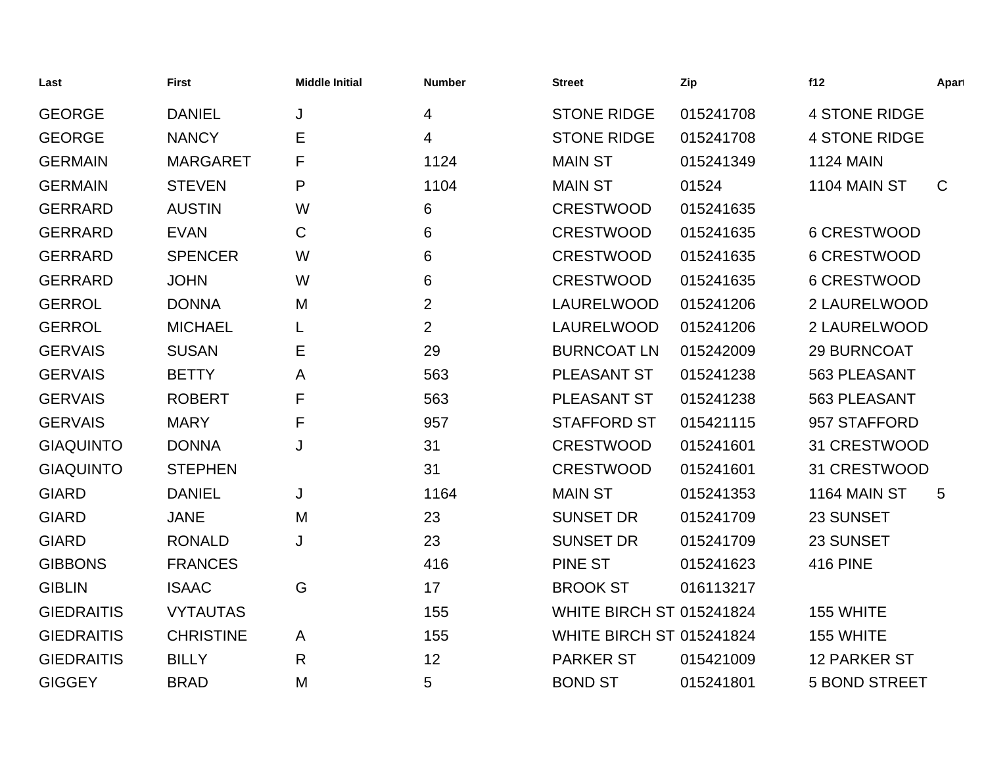| Last              | <b>First</b>     | <b>Middle Initial</b> | <b>Number</b>  | <b>Street</b>                   | Zip       | f12                  | Apart       |
|-------------------|------------------|-----------------------|----------------|---------------------------------|-----------|----------------------|-------------|
| <b>GEORGE</b>     | <b>DANIEL</b>    | J                     | 4              | <b>STONE RIDGE</b>              | 015241708 | <b>4 STONE RIDGE</b> |             |
| <b>GEORGE</b>     | <b>NANCY</b>     | Е                     | 4              | <b>STONE RIDGE</b>              | 015241708 | <b>4 STONE RIDGE</b> |             |
| <b>GERMAIN</b>    | <b>MARGARET</b>  | F                     | 1124           | <b>MAIN ST</b>                  | 015241349 | <b>1124 MAIN</b>     |             |
| <b>GERMAIN</b>    | <b>STEVEN</b>    | P                     | 1104           | <b>MAIN ST</b>                  | 01524     | 1104 MAIN ST         | $\mathsf C$ |
| <b>GERRARD</b>    | <b>AUSTIN</b>    | W                     | 6              | <b>CRESTWOOD</b>                | 015241635 |                      |             |
| <b>GERRARD</b>    | <b>EVAN</b>      | C                     | 6              | <b>CRESTWOOD</b>                | 015241635 | 6 CRESTWOOD          |             |
| <b>GERRARD</b>    | <b>SPENCER</b>   | W                     | 6              | <b>CRESTWOOD</b>                | 015241635 | 6 CRESTWOOD          |             |
| <b>GERRARD</b>    | <b>JOHN</b>      | W                     | 6              | <b>CRESTWOOD</b>                | 015241635 | 6 CRESTWOOD          |             |
| <b>GERROL</b>     | <b>DONNA</b>     | M                     | $\overline{2}$ | LAURELWOOD                      | 015241206 | 2 LAURELWOOD         |             |
| <b>GERROL</b>     | <b>MICHAEL</b>   |                       | $\overline{2}$ | LAURELWOOD                      | 015241206 | 2 LAURELWOOD         |             |
| <b>GERVAIS</b>    | <b>SUSAN</b>     | Е                     | 29             | <b>BURNCOAT LN</b>              | 015242009 | 29 BURNCOAT          |             |
| <b>GERVAIS</b>    | <b>BETTY</b>     | A                     | 563            | PLEASANT ST                     | 015241238 | 563 PLEASANT         |             |
| <b>GERVAIS</b>    | <b>ROBERT</b>    | F                     | 563            | PLEASANT ST                     | 015241238 | 563 PLEASANT         |             |
| <b>GERVAIS</b>    | <b>MARY</b>      | F                     | 957            | <b>STAFFORD ST</b>              | 015421115 | 957 STAFFORD         |             |
| <b>GIAQUINTO</b>  | <b>DONNA</b>     | J                     | 31             | <b>CRESTWOOD</b>                | 015241601 | 31 CRESTWOOD         |             |
| <b>GIAQUINTO</b>  | <b>STEPHEN</b>   |                       | 31             | <b>CRESTWOOD</b>                | 015241601 | 31 CRESTWOOD         |             |
| <b>GIARD</b>      | <b>DANIEL</b>    | J                     | 1164           | <b>MAIN ST</b>                  | 015241353 | 1164 MAIN ST         | 5           |
| <b>GIARD</b>      | <b>JANE</b>      | M                     | 23             | <b>SUNSET DR</b>                | 015241709 | 23 SUNSET            |             |
| <b>GIARD</b>      | <b>RONALD</b>    | J                     | 23             | <b>SUNSET DR</b>                | 015241709 | 23 SUNSET            |             |
| <b>GIBBONS</b>    | <b>FRANCES</b>   |                       | 416            | <b>PINE ST</b>                  | 015241623 | <b>416 PINE</b>      |             |
| <b>GIBLIN</b>     | <b>ISAAC</b>     | G                     | 17             | <b>BROOK ST</b>                 | 016113217 |                      |             |
| <b>GIEDRAITIS</b> | <b>VYTAUTAS</b>  |                       | 155            | <b>WHITE BIRCH ST 015241824</b> |           | 155 WHITE            |             |
| <b>GIEDRAITIS</b> | <b>CHRISTINE</b> | A                     | 155            | <b>WHITE BIRCH ST 015241824</b> |           | 155 WHITE            |             |
| <b>GIEDRAITIS</b> | <b>BILLY</b>     | R                     | 12             | <b>PARKER ST</b>                | 015421009 | 12 PARKER ST         |             |
| <b>GIGGEY</b>     | <b>BRAD</b>      | M                     | 5              | <b>BOND ST</b>                  | 015241801 | <b>5 BOND STREET</b> |             |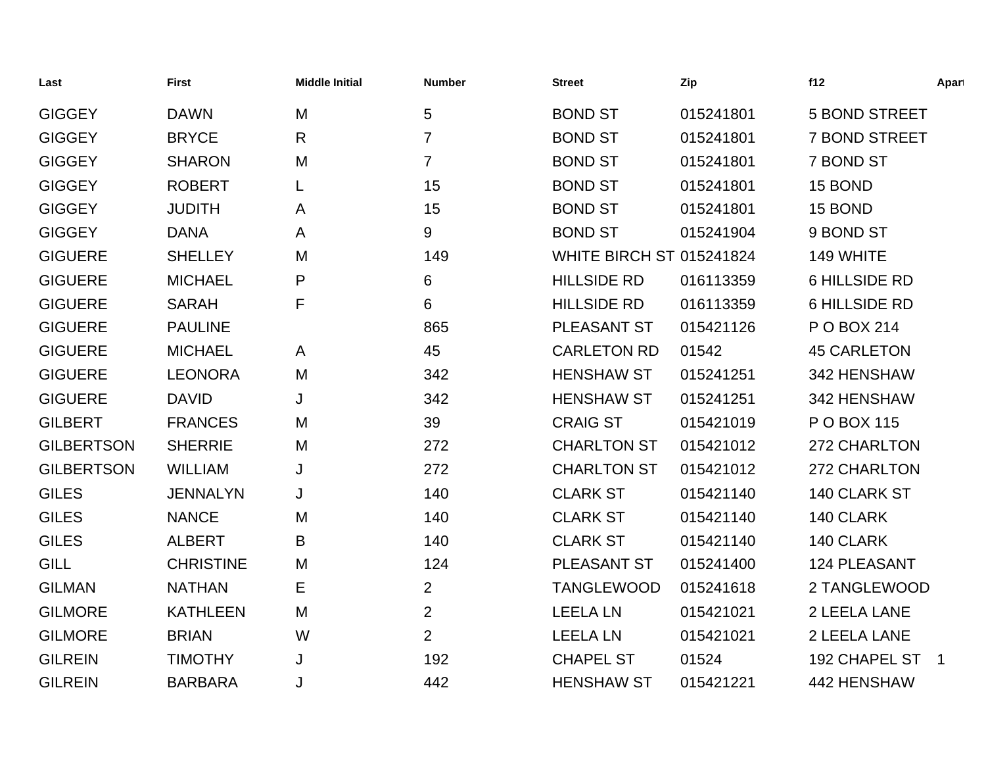| Last              | <b>First</b>     | <b>Middle Initial</b> | <b>Number</b>  | <b>Street</b>                   | Zip       | f12                  | Apart                    |
|-------------------|------------------|-----------------------|----------------|---------------------------------|-----------|----------------------|--------------------------|
| <b>GIGGEY</b>     | <b>DAWN</b>      | M                     | 5              | <b>BOND ST</b>                  | 015241801 | <b>5 BOND STREET</b> |                          |
| <b>GIGGEY</b>     | <b>BRYCE</b>     | $\mathsf{R}$          | $\overline{7}$ | <b>BOND ST</b>                  | 015241801 | <b>7 BOND STREET</b> |                          |
| <b>GIGGEY</b>     | <b>SHARON</b>    | M                     | $\overline{7}$ | <b>BOND ST</b>                  | 015241801 | 7 BOND ST            |                          |
| <b>GIGGEY</b>     | <b>ROBERT</b>    | L                     | 15             | <b>BOND ST</b>                  | 015241801 | 15 BOND              |                          |
| <b>GIGGEY</b>     | <b>JUDITH</b>    | A                     | 15             | <b>BOND ST</b>                  | 015241801 | 15 BOND              |                          |
| <b>GIGGEY</b>     | <b>DANA</b>      | A                     | 9              | <b>BOND ST</b>                  | 015241904 | 9 BOND ST            |                          |
| <b>GIGUERE</b>    | <b>SHELLEY</b>   | M                     | 149            | <b>WHITE BIRCH ST 015241824</b> |           | 149 WHITE            |                          |
| <b>GIGUERE</b>    | <b>MICHAEL</b>   | P                     | 6              | <b>HILLSIDE RD</b>              | 016113359 | <b>6 HILLSIDE RD</b> |                          |
| <b>GIGUERE</b>    | <b>SARAH</b>     | F                     | 6              | <b>HILLSIDE RD</b>              | 016113359 | <b>6 HILLSIDE RD</b> |                          |
| <b>GIGUERE</b>    | <b>PAULINE</b>   |                       | 865            | PLEASANT ST                     | 015421126 | P O BOX 214          |                          |
| <b>GIGUERE</b>    | <b>MICHAEL</b>   | A                     | 45             | <b>CARLETON RD</b>              | 01542     | <b>45 CARLETON</b>   |                          |
| <b>GIGUERE</b>    | <b>LEONORA</b>   | M                     | 342            | <b>HENSHAW ST</b>               | 015241251 | 342 HENSHAW          |                          |
| <b>GIGUERE</b>    | <b>DAVID</b>     | J                     | 342            | <b>HENSHAW ST</b>               | 015241251 | 342 HENSHAW          |                          |
| <b>GILBERT</b>    | <b>FRANCES</b>   | M                     | 39             | <b>CRAIG ST</b>                 | 015421019 | P O BOX 115          |                          |
| <b>GILBERTSON</b> | <b>SHERRIE</b>   | M                     | 272            | <b>CHARLTON ST</b>              | 015421012 | 272 CHARLTON         |                          |
| <b>GILBERTSON</b> | <b>WILLIAM</b>   | J                     | 272            | <b>CHARLTON ST</b>              | 015421012 | 272 CHARLTON         |                          |
| <b>GILES</b>      | <b>JENNALYN</b>  | J                     | 140            | <b>CLARK ST</b>                 | 015421140 | 140 CLARK ST         |                          |
| <b>GILES</b>      | <b>NANCE</b>     | M                     | 140            | <b>CLARK ST</b>                 | 015421140 | 140 CLARK            |                          |
| <b>GILES</b>      | <b>ALBERT</b>    | B                     | 140            | <b>CLARK ST</b>                 | 015421140 | 140 CLARK            |                          |
| <b>GILL</b>       | <b>CHRISTINE</b> | M                     | 124            | PLEASANT ST                     | 015241400 | 124 PLEASANT         |                          |
| <b>GILMAN</b>     | <b>NATHAN</b>    | Е                     | $\overline{2}$ | <b>TANGLEWOOD</b>               | 015241618 | 2 TANGLEWOOD         |                          |
| <b>GILMORE</b>    | <b>KATHLEEN</b>  | M                     | $\overline{2}$ | <b>LEELA LN</b>                 | 015421021 | 2 LEELA LANE         |                          |
| <b>GILMORE</b>    | <b>BRIAN</b>     | W                     | $\overline{2}$ | <b>LEELA LN</b>                 | 015421021 | 2 LEELA LANE         |                          |
| <b>GILREIN</b>    | <b>TIMOTHY</b>   | J                     | 192            | <b>CHAPEL ST</b>                | 01524     | 192 CHAPEL ST        | $\overline{\phantom{1}}$ |
| <b>GILREIN</b>    | <b>BARBARA</b>   | J                     | 442            | <b>HENSHAW ST</b>               | 015421221 | 442 HENSHAW          |                          |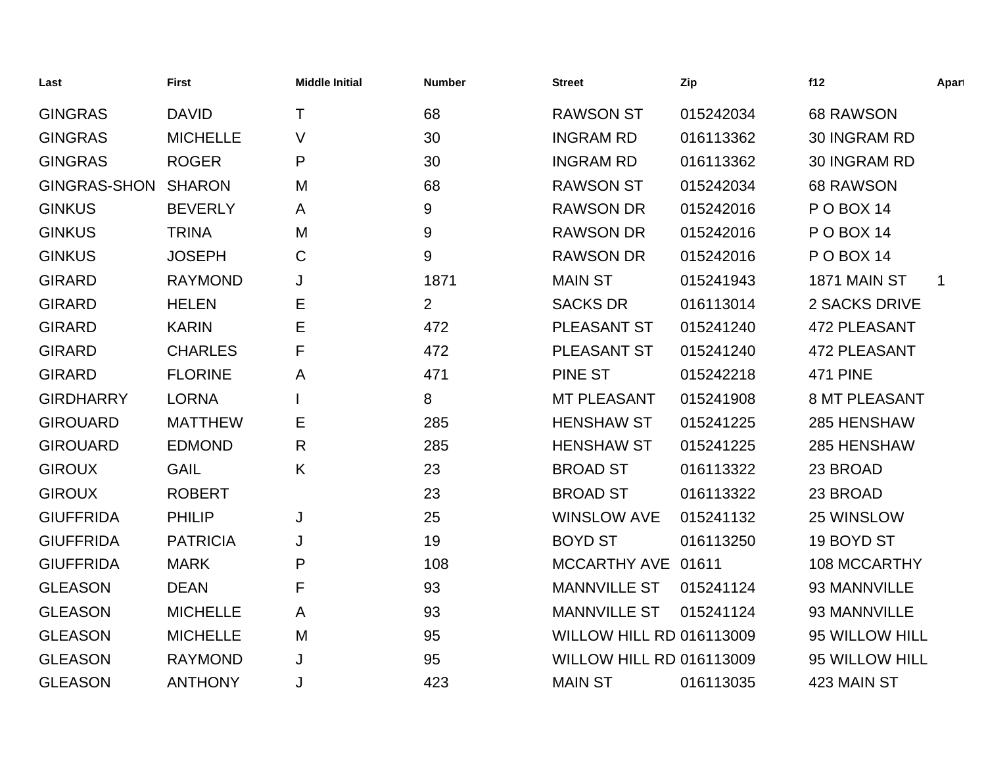| Last                | <b>First</b>    | <b>Middle Initial</b> | <b>Number</b>  | <b>Street</b>                   | Zip       | f12                  | Apart       |
|---------------------|-----------------|-----------------------|----------------|---------------------------------|-----------|----------------------|-------------|
| <b>GINGRAS</b>      | <b>DAVID</b>    | $\mathsf{T}$          | 68             | <b>RAWSON ST</b>                | 015242034 | 68 RAWSON            |             |
| <b>GINGRAS</b>      | <b>MICHELLE</b> | $\vee$                | 30             | <b>INGRAM RD</b>                | 016113362 | 30 INGRAM RD         |             |
| <b>GINGRAS</b>      | <b>ROGER</b>    | P                     | 30             | <b>INGRAM RD</b>                | 016113362 | 30 INGRAM RD         |             |
| <b>GINGRAS-SHON</b> | <b>SHARON</b>   | M                     | 68             | <b>RAWSON ST</b>                | 015242034 | 68 RAWSON            |             |
| <b>GINKUS</b>       | <b>BEVERLY</b>  | A                     | 9              | <b>RAWSON DR</b>                | 015242016 | POBOX 14             |             |
| <b>GINKUS</b>       | <b>TRINA</b>    | M                     | 9              | <b>RAWSON DR</b>                | 015242016 | POBOX 14             |             |
| <b>GINKUS</b>       | <b>JOSEPH</b>   | C                     | 9              | <b>RAWSON DR</b>                | 015242016 | <b>PO BOX 14</b>     |             |
| <b>GIRARD</b>       | <b>RAYMOND</b>  | J                     | 1871           | <b>MAIN ST</b>                  | 015241943 | 1871 MAIN ST         | $\mathbf 1$ |
| <b>GIRARD</b>       | <b>HELEN</b>    | Е                     | $\overline{2}$ | <b>SACKS DR</b>                 | 016113014 | 2 SACKS DRIVE        |             |
| <b>GIRARD</b>       | <b>KARIN</b>    | Е                     | 472            | PLEASANT ST                     | 015241240 | <b>472 PLEASANT</b>  |             |
| <b>GIRARD</b>       | <b>CHARLES</b>  | F                     | 472            | PLEASANT ST                     | 015241240 | <b>472 PLEASANT</b>  |             |
| <b>GIRARD</b>       | <b>FLORINE</b>  | A                     | 471            | <b>PINE ST</b>                  | 015242218 | <b>471 PINE</b>      |             |
| <b>GIRDHARRY</b>    | <b>LORNA</b>    |                       | 8              | <b>MT PLEASANT</b>              | 015241908 | <b>8 MT PLEASANT</b> |             |
| <b>GIROUARD</b>     | <b>MATTHEW</b>  | Е                     | 285            | <b>HENSHAW ST</b>               | 015241225 | 285 HENSHAW          |             |
| <b>GIROUARD</b>     | <b>EDMOND</b>   | $\mathsf{R}$          | 285            | <b>HENSHAW ST</b>               | 015241225 | 285 HENSHAW          |             |
| <b>GIROUX</b>       | <b>GAIL</b>     | K                     | 23             | <b>BROAD ST</b>                 | 016113322 | 23 BROAD             |             |
| <b>GIROUX</b>       | <b>ROBERT</b>   |                       | 23             | <b>BROAD ST</b>                 | 016113322 | 23 BROAD             |             |
| <b>GIUFFRIDA</b>    | <b>PHILIP</b>   | J                     | 25             | <b>WINSLOW AVE</b>              | 015241132 | 25 WINSLOW           |             |
| <b>GIUFFRIDA</b>    | <b>PATRICIA</b> | J                     | 19             | <b>BOYD ST</b>                  | 016113250 | 19 BOYD ST           |             |
| <b>GIUFFRIDA</b>    | <b>MARK</b>     | P                     | 108            | MCCARTHY AVE 01611              |           | 108 MCCARTHY         |             |
| <b>GLEASON</b>      | <b>DEAN</b>     | F                     | 93             | <b>MANNVILLE ST</b>             | 015241124 | 93 MANNVILLE         |             |
| <b>GLEASON</b>      | <b>MICHELLE</b> | A                     | 93             | <b>MANNVILLE ST</b>             | 015241124 | 93 MANNVILLE         |             |
| <b>GLEASON</b>      | <b>MICHELLE</b> | M                     | 95             | WILLOW HILL RD 016113009        |           | 95 WILLOW HILL       |             |
| <b>GLEASON</b>      | <b>RAYMOND</b>  | J                     | 95             | <b>WILLOW HILL RD 016113009</b> |           | 95 WILLOW HILL       |             |
| <b>GLEASON</b>      | <b>ANTHONY</b>  | J                     | 423            | <b>MAIN ST</b>                  | 016113035 | 423 MAIN ST          |             |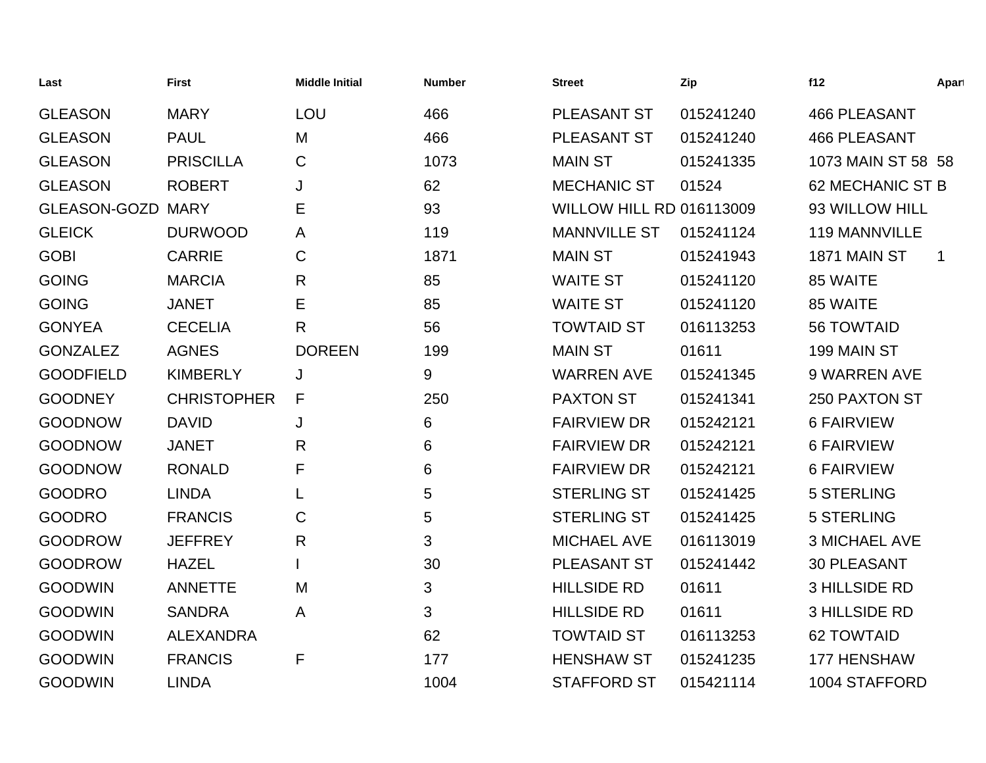| Last             | <b>First</b>       | <b>Middle Initial</b> | <b>Number</b> | <b>Street</b>                   | Zip       | f12                  | Apart        |
|------------------|--------------------|-----------------------|---------------|---------------------------------|-----------|----------------------|--------------|
| <b>GLEASON</b>   | <b>MARY</b>        | LOU                   | 466           | PLEASANT ST                     | 015241240 | <b>466 PLEASANT</b>  |              |
| <b>GLEASON</b>   | <b>PAUL</b>        | M                     | 466           | PLEASANT ST                     | 015241240 | <b>466 PLEASANT</b>  |              |
| <b>GLEASON</b>   | <b>PRISCILLA</b>   | C                     | 1073          | <b>MAIN ST</b>                  | 015241335 | 1073 MAIN ST 58 58   |              |
| <b>GLEASON</b>   | <b>ROBERT</b>      | J                     | 62            | <b>MECHANIC ST</b>              | 01524     | 62 MECHANIC ST B     |              |
| GLEASON-GOZD     | <b>MARY</b>        | E                     | 93            | <b>WILLOW HILL RD 016113009</b> |           | 93 WILLOW HILL       |              |
| <b>GLEICK</b>    | <b>DURWOOD</b>     | A                     | 119           | <b>MANNVILLE ST</b>             | 015241124 | 119 MANNVILLE        |              |
| <b>GOBI</b>      | <b>CARRIE</b>      | $\mathsf C$           | 1871          | <b>MAIN ST</b>                  | 015241943 | 1871 MAIN ST         | $\mathbf{1}$ |
| <b>GOING</b>     | <b>MARCIA</b>      | R                     | 85            | <b>WAITE ST</b>                 | 015241120 | 85 WAITE             |              |
| <b>GOING</b>     | <b>JANET</b>       | Е                     | 85            | <b>WAITE ST</b>                 | 015241120 | 85 WAITE             |              |
| <b>GONYEA</b>    | <b>CECELIA</b>     | R                     | 56            | <b>TOWTAID ST</b>               | 016113253 | <b>56 TOWTAID</b>    |              |
| <b>GONZALEZ</b>  | <b>AGNES</b>       | <b>DOREEN</b>         | 199           | <b>MAIN ST</b>                  | 01611     | 199 MAIN ST          |              |
| <b>GOODFIELD</b> | <b>KIMBERLY</b>    | J                     | 9             | <b>WARREN AVE</b>               | 015241345 | 9 WARREN AVE         |              |
| <b>GOODNEY</b>   | <b>CHRISTOPHER</b> | F                     | 250           | <b>PAXTON ST</b>                | 015241341 | 250 PAXTON ST        |              |
| <b>GOODNOW</b>   | <b>DAVID</b>       | J                     | 6             | <b>FAIRVIEW DR</b>              | 015242121 | <b>6 FAIRVIEW</b>    |              |
| <b>GOODNOW</b>   | <b>JANET</b>       | R                     | 6             | <b>FAIRVIEW DR</b>              | 015242121 | <b>6 FAIRVIEW</b>    |              |
| <b>GOODNOW</b>   | <b>RONALD</b>      | F                     | 6             | <b>FAIRVIEW DR</b>              | 015242121 | <b>6 FAIRVIEW</b>    |              |
| <b>GOODRO</b>    | <b>LINDA</b>       |                       | 5             | <b>STERLING ST</b>              | 015241425 | <b>5 STERLING</b>    |              |
| <b>GOODRO</b>    | <b>FRANCIS</b>     | C                     | 5             | <b>STERLING ST</b>              | 015241425 | <b>5 STERLING</b>    |              |
| <b>GOODROW</b>   | <b>JEFFREY</b>     | R                     | 3             | <b>MICHAEL AVE</b>              | 016113019 | <b>3 MICHAEL AVE</b> |              |
| <b>GOODROW</b>   | <b>HAZEL</b>       |                       | 30            | PLEASANT ST                     | 015241442 | 30 PLEASANT          |              |
| <b>GOODWIN</b>   | <b>ANNETTE</b>     | M                     | 3             | <b>HILLSIDE RD</b>              | 01611     | <b>3 HILLSIDE RD</b> |              |
| <b>GOODWIN</b>   | <b>SANDRA</b>      | A                     | 3             | <b>HILLSIDE RD</b>              | 01611     | <b>3 HILLSIDE RD</b> |              |
| <b>GOODWIN</b>   | <b>ALEXANDRA</b>   |                       | 62            | <b>TOWTAID ST</b>               | 016113253 | <b>62 TOWTAID</b>    |              |
| <b>GOODWIN</b>   | <b>FRANCIS</b>     | F                     | 177           | <b>HENSHAW ST</b>               | 015241235 | 177 HENSHAW          |              |
| <b>GOODWIN</b>   | <b>LINDA</b>       |                       | 1004          | <b>STAFFORD ST</b>              | 015421114 | 1004 STAFFORD        |              |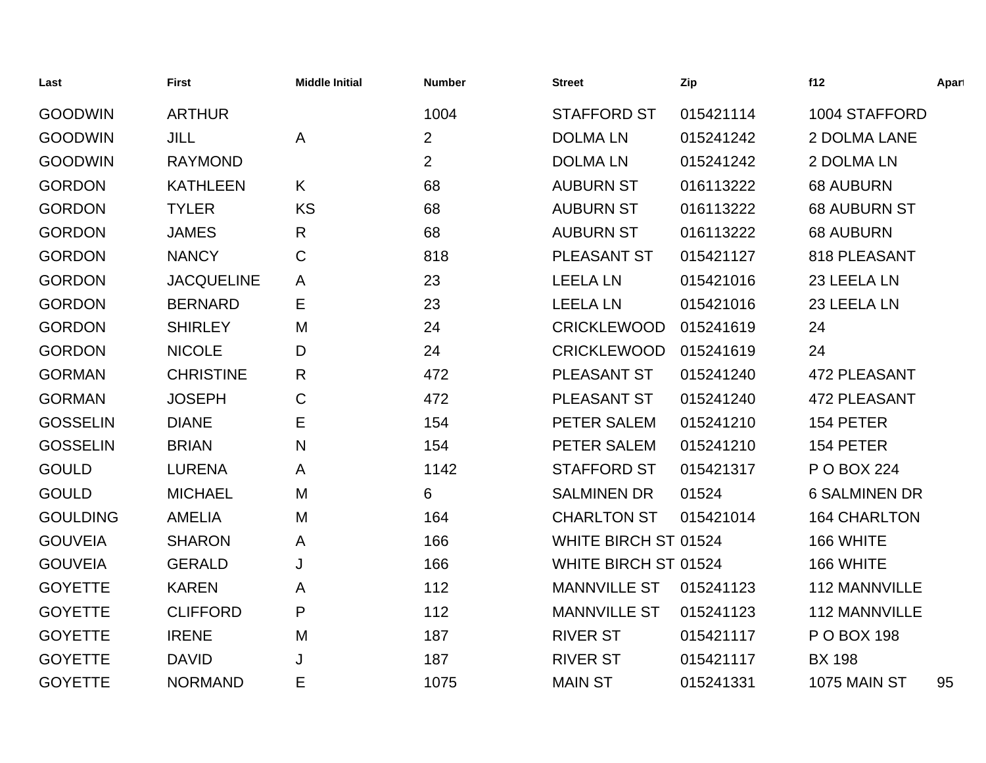| Last            | <b>First</b>      | <b>Middle Initial</b> | <b>Number</b>  | <b>Street</b>               | Zip       | f12                  | Apart |
|-----------------|-------------------|-----------------------|----------------|-----------------------------|-----------|----------------------|-------|
| <b>GOODWIN</b>  | <b>ARTHUR</b>     |                       | 1004           | <b>STAFFORD ST</b>          | 015421114 | 1004 STAFFORD        |       |
| <b>GOODWIN</b>  | <b>JILL</b>       | $\mathsf{A}$          | $\overline{2}$ | <b>DOLMALN</b>              | 015241242 | 2 DOLMA LANE         |       |
| <b>GOODWIN</b>  | <b>RAYMOND</b>    |                       | $\overline{2}$ | <b>DOLMALN</b>              | 015241242 | 2 DOLMA LN           |       |
| <b>GORDON</b>   | <b>KATHLEEN</b>   | K                     | 68             | <b>AUBURN ST</b>            | 016113222 | <b>68 AUBURN</b>     |       |
| <b>GORDON</b>   | <b>TYLER</b>      | <b>KS</b>             | 68             | <b>AUBURN ST</b>            | 016113222 | <b>68 AUBURN ST</b>  |       |
| <b>GORDON</b>   | <b>JAMES</b>      | $\mathsf{R}$          | 68             | <b>AUBURN ST</b>            | 016113222 | <b>68 AUBURN</b>     |       |
| <b>GORDON</b>   | <b>NANCY</b>      | $\mathbf C$           | 818            | PLEASANT ST                 | 015421127 | 818 PLEASANT         |       |
| <b>GORDON</b>   | <b>JACQUELINE</b> | A                     | 23             | <b>LEELA LN</b>             | 015421016 | 23 LEELA LN          |       |
| <b>GORDON</b>   | <b>BERNARD</b>    | Е                     | 23             | <b>LEELA LN</b>             | 015421016 | 23 LEELA LN          |       |
| <b>GORDON</b>   | <b>SHIRLEY</b>    | M                     | 24             | <b>CRICKLEWOOD</b>          | 015241619 | 24                   |       |
| <b>GORDON</b>   | <b>NICOLE</b>     | D                     | 24             | <b>CRICKLEWOOD</b>          | 015241619 | 24                   |       |
| <b>GORMAN</b>   | <b>CHRISTINE</b>  | $\mathsf{R}$          | 472            | PLEASANT ST                 | 015241240 | <b>472 PLEASANT</b>  |       |
| <b>GORMAN</b>   | <b>JOSEPH</b>     | $\mathsf{C}$          | 472            | PLEASANT ST                 | 015241240 | <b>472 PLEASANT</b>  |       |
| <b>GOSSELIN</b> | <b>DIANE</b>      | E                     | 154            | PETER SALEM                 | 015241210 | 154 PETER            |       |
| <b>GOSSELIN</b> | <b>BRIAN</b>      | $\mathsf{N}$          | 154            | PETER SALEM                 | 015241210 | 154 PETER            |       |
| <b>GOULD</b>    | <b>LURENA</b>     | A                     | 1142           | <b>STAFFORD ST</b>          | 015421317 | P O BOX 224          |       |
| <b>GOULD</b>    | <b>MICHAEL</b>    | M                     | 6              | <b>SALMINEN DR</b>          | 01524     | <b>6 SALMINEN DR</b> |       |
| <b>GOULDING</b> | <b>AMELIA</b>     | M                     | 164            | <b>CHARLTON ST</b>          | 015421014 | <b>164 CHARLTON</b>  |       |
| <b>GOUVEIA</b>  | <b>SHARON</b>     | A                     | 166            | <b>WHITE BIRCH ST 01524</b> |           | 166 WHITE            |       |
| <b>GOUVEIA</b>  | <b>GERALD</b>     | J                     | 166            | WHITE BIRCH ST 01524        |           | 166 WHITE            |       |
| <b>GOYETTE</b>  | <b>KAREN</b>      | A                     | 112            | <b>MANNVILLE ST</b>         | 015241123 | <b>112 MANNVILLE</b> |       |
| <b>GOYETTE</b>  | <b>CLIFFORD</b>   | P                     | 112            | <b>MANNVILLE ST</b>         | 015241123 | 112 MANNVILLE        |       |
| <b>GOYETTE</b>  | <b>IRENE</b>      | M                     | 187            | <b>RIVER ST</b>             | 015421117 | P O BOX 198          |       |
| <b>GOYETTE</b>  | <b>DAVID</b>      | J                     | 187            | <b>RIVER ST</b>             | 015421117 | <b>BX 198</b>        |       |
| <b>GOYETTE</b>  | <b>NORMAND</b>    | E                     | 1075           | <b>MAIN ST</b>              | 015241331 | 1075 MAIN ST         | 95    |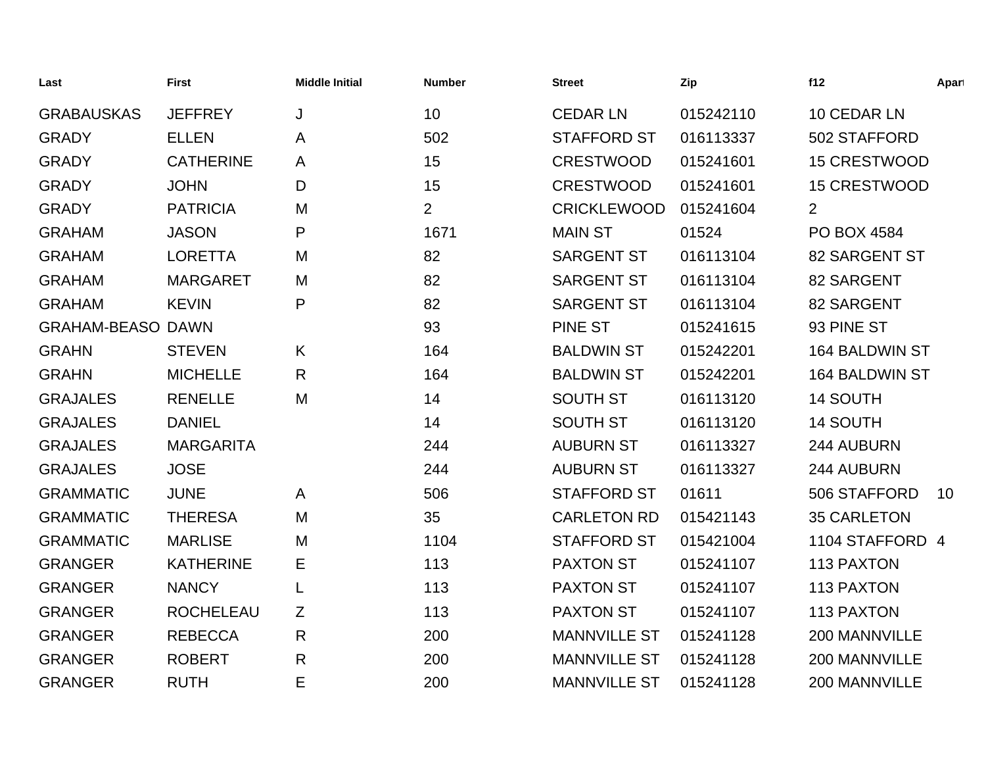| Last                     | <b>First</b>     | <b>Middle Initial</b> | <b>Number</b>  | <b>Street</b>       | Zip       | f12                  | Apart |
|--------------------------|------------------|-----------------------|----------------|---------------------|-----------|----------------------|-------|
| <b>GRABAUSKAS</b>        | <b>JEFFREY</b>   | J                     | 10             | <b>CEDAR LN</b>     | 015242110 | 10 CEDAR LN          |       |
| <b>GRADY</b>             | <b>ELLEN</b>     | A                     | 502            | <b>STAFFORD ST</b>  | 016113337 | 502 STAFFORD         |       |
| <b>GRADY</b>             | <b>CATHERINE</b> | A                     | 15             | <b>CRESTWOOD</b>    | 015241601 | <b>15 CRESTWOOD</b>  |       |
| <b>GRADY</b>             | <b>JOHN</b>      | D                     | 15             | <b>CRESTWOOD</b>    | 015241601 | <b>15 CRESTWOOD</b>  |       |
| <b>GRADY</b>             | <b>PATRICIA</b>  | M                     | $\overline{2}$ | <b>CRICKLEWOOD</b>  | 015241604 | $\overline{2}$       |       |
| <b>GRAHAM</b>            | <b>JASON</b>     | P                     | 1671           | <b>MAIN ST</b>      | 01524     | PO BOX 4584          |       |
| <b>GRAHAM</b>            | <b>LORETTA</b>   | M                     | 82             | <b>SARGENT ST</b>   | 016113104 | <b>82 SARGENT ST</b> |       |
| <b>GRAHAM</b>            | <b>MARGARET</b>  | M                     | 82             | <b>SARGENT ST</b>   | 016113104 | 82 SARGENT           |       |
| <b>GRAHAM</b>            | <b>KEVIN</b>     | P                     | 82             | <b>SARGENT ST</b>   | 016113104 | 82 SARGENT           |       |
| <b>GRAHAM-BEASO DAWN</b> |                  |                       | 93             | <b>PINE ST</b>      | 015241615 | 93 PINE ST           |       |
| <b>GRAHN</b>             | <b>STEVEN</b>    | K                     | 164            | <b>BALDWIN ST</b>   | 015242201 | 164 BALDWIN ST       |       |
| <b>GRAHN</b>             | <b>MICHELLE</b>  | R                     | 164            | <b>BALDWIN ST</b>   | 015242201 | 164 BALDWIN ST       |       |
| <b>GRAJALES</b>          | <b>RENELLE</b>   | M                     | 14             | <b>SOUTH ST</b>     | 016113120 | 14 SOUTH             |       |
| <b>GRAJALES</b>          | <b>DANIEL</b>    |                       | 14             | <b>SOUTH ST</b>     | 016113120 | 14 SOUTH             |       |
| <b>GRAJALES</b>          | <b>MARGARITA</b> |                       | 244            | <b>AUBURN ST</b>    | 016113327 | 244 AUBURN           |       |
| <b>GRAJALES</b>          | <b>JOSE</b>      |                       | 244            | <b>AUBURN ST</b>    | 016113327 | 244 AUBURN           |       |
| <b>GRAMMATIC</b>         | <b>JUNE</b>      | A                     | 506            | <b>STAFFORD ST</b>  | 01611     | 506 STAFFORD         | 10    |
| <b>GRAMMATIC</b>         | <b>THERESA</b>   | M                     | 35             | <b>CARLETON RD</b>  | 015421143 | <b>35 CARLETON</b>   |       |
| <b>GRAMMATIC</b>         | <b>MARLISE</b>   | M                     | 1104           | <b>STAFFORD ST</b>  | 015421004 | 1104 STAFFORD 4      |       |
| <b>GRANGER</b>           | <b>KATHERINE</b> | Е                     | 113            | <b>PAXTON ST</b>    | 015241107 | 113 PAXTON           |       |
| <b>GRANGER</b>           | <b>NANCY</b>     | L                     | 113            | <b>PAXTON ST</b>    | 015241107 | 113 PAXTON           |       |
| <b>GRANGER</b>           | <b>ROCHELEAU</b> | Ζ                     | 113            | <b>PAXTON ST</b>    | 015241107 | 113 PAXTON           |       |
| <b>GRANGER</b>           | <b>REBECCA</b>   | $\mathsf{R}$          | 200            | <b>MANNVILLE ST</b> | 015241128 | 200 MANNVILLE        |       |
| <b>GRANGER</b>           | <b>ROBERT</b>    | $\mathsf{R}$          | 200            | <b>MANNVILLE ST</b> | 015241128 | 200 MANNVILLE        |       |
| <b>GRANGER</b>           | <b>RUTH</b>      | E                     | 200            | <b>MANNVILLE ST</b> | 015241128 | 200 MANNVILLE        |       |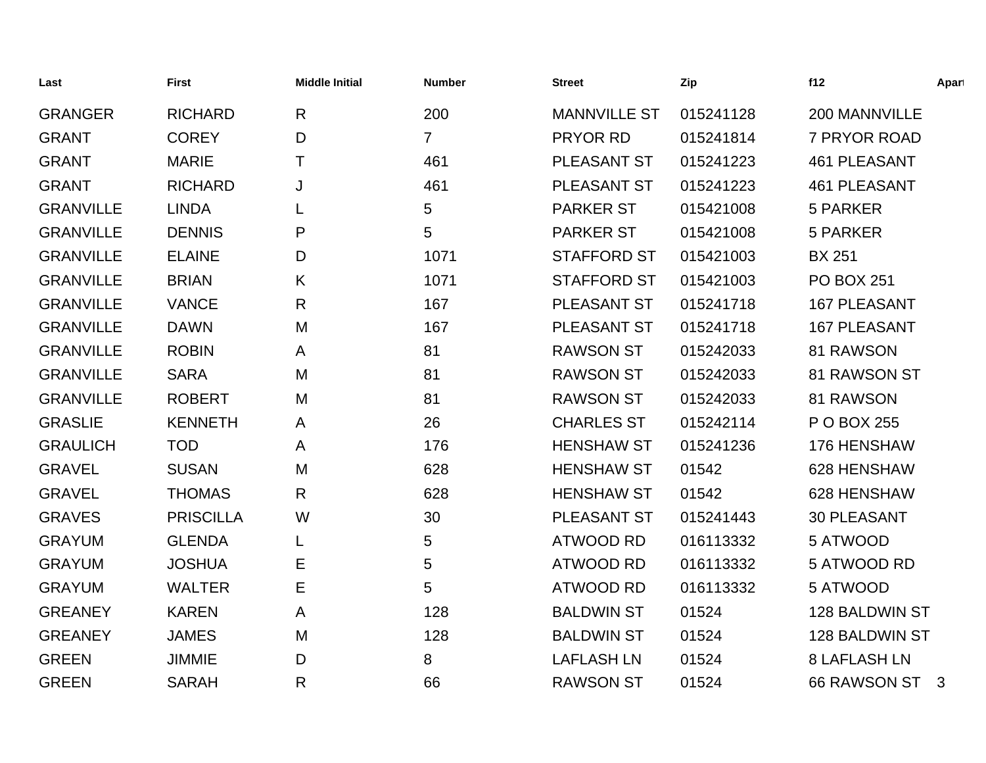| Last             | <b>First</b>     | <b>Middle Initial</b> | <b>Number</b>  | <b>Street</b>       | Zip       | f12                 | Apart        |
|------------------|------------------|-----------------------|----------------|---------------------|-----------|---------------------|--------------|
| <b>GRANGER</b>   | <b>RICHARD</b>   | R                     | 200            | <b>MANNVILLE ST</b> | 015241128 | 200 MANNVILLE       |              |
| <b>GRANT</b>     | <b>COREY</b>     | D                     | $\overline{7}$ | PRYOR RD            | 015241814 | 7 PRYOR ROAD        |              |
| <b>GRANT</b>     | <b>MARIE</b>     | т                     | 461            | PLEASANT ST         | 015241223 | <b>461 PLEASANT</b> |              |
| <b>GRANT</b>     | <b>RICHARD</b>   | J                     | 461            | PLEASANT ST         | 015241223 | <b>461 PLEASANT</b> |              |
| <b>GRANVILLE</b> | <b>LINDA</b>     | L                     | 5              | <b>PARKER ST</b>    | 015421008 | <b>5 PARKER</b>     |              |
| <b>GRANVILLE</b> | <b>DENNIS</b>    | P                     | 5              | <b>PARKER ST</b>    | 015421008 | 5 PARKER            |              |
| <b>GRANVILLE</b> | <b>ELAINE</b>    | D                     | 1071           | <b>STAFFORD ST</b>  | 015421003 | <b>BX 251</b>       |              |
| <b>GRANVILLE</b> | <b>BRIAN</b>     | K                     | 1071           | <b>STAFFORD ST</b>  | 015421003 | <b>PO BOX 251</b>   |              |
| <b>GRANVILLE</b> | <b>VANCE</b>     | $\mathsf{R}$          | 167            | PLEASANT ST         | 015241718 | <b>167 PLEASANT</b> |              |
| <b>GRANVILLE</b> | <b>DAWN</b>      | M                     | 167            | PLEASANT ST         | 015241718 | <b>167 PLEASANT</b> |              |
| <b>GRANVILLE</b> | <b>ROBIN</b>     | A                     | 81             | <b>RAWSON ST</b>    | 015242033 | 81 RAWSON           |              |
| <b>GRANVILLE</b> | <b>SARA</b>      | M                     | 81             | <b>RAWSON ST</b>    | 015242033 | 81 RAWSON ST        |              |
| <b>GRANVILLE</b> | <b>ROBERT</b>    | M                     | 81             | <b>RAWSON ST</b>    | 015242033 | 81 RAWSON           |              |
| <b>GRASLIE</b>   | <b>KENNETH</b>   | A                     | 26             | <b>CHARLES ST</b>   | 015242114 | P O BOX 255         |              |
| <b>GRAULICH</b>  | <b>TOD</b>       | A                     | 176            | <b>HENSHAW ST</b>   | 015241236 | 176 HENSHAW         |              |
| <b>GRAVEL</b>    | <b>SUSAN</b>     | M                     | 628            | <b>HENSHAW ST</b>   | 01542     | 628 HENSHAW         |              |
| <b>GRAVEL</b>    | <b>THOMAS</b>    | R                     | 628            | <b>HENSHAW ST</b>   | 01542     | 628 HENSHAW         |              |
| <b>GRAVES</b>    | <b>PRISCILLA</b> | W                     | 30             | PLEASANT ST         | 015241443 | <b>30 PLEASANT</b>  |              |
| <b>GRAYUM</b>    | <b>GLENDA</b>    | L                     | 5              | <b>ATWOOD RD</b>    | 016113332 | 5 ATWOOD            |              |
| <b>GRAYUM</b>    | <b>JOSHUA</b>    | Е                     | 5              | <b>ATWOOD RD</b>    | 016113332 | 5 ATWOOD RD         |              |
| <b>GRAYUM</b>    | <b>WALTER</b>    | Е                     | 5              | <b>ATWOOD RD</b>    | 016113332 | 5 ATWOOD            |              |
| <b>GREANEY</b>   | <b>KAREN</b>     | A                     | 128            | <b>BALDWIN ST</b>   | 01524     | 128 BALDWIN ST      |              |
| <b>GREANEY</b>   | <b>JAMES</b>     | M                     | 128            | <b>BALDWIN ST</b>   | 01524     | 128 BALDWIN ST      |              |
| <b>GREEN</b>     | <b>JIMMIE</b>    | D                     | 8              | <b>LAFLASH LN</b>   | 01524     | <b>8 LAFLASH LN</b> |              |
| <b>GREEN</b>     | <b>SARAH</b>     | R                     | 66             | <b>RAWSON ST</b>    | 01524     | 66 RAWSON ST        | $\mathbf{3}$ |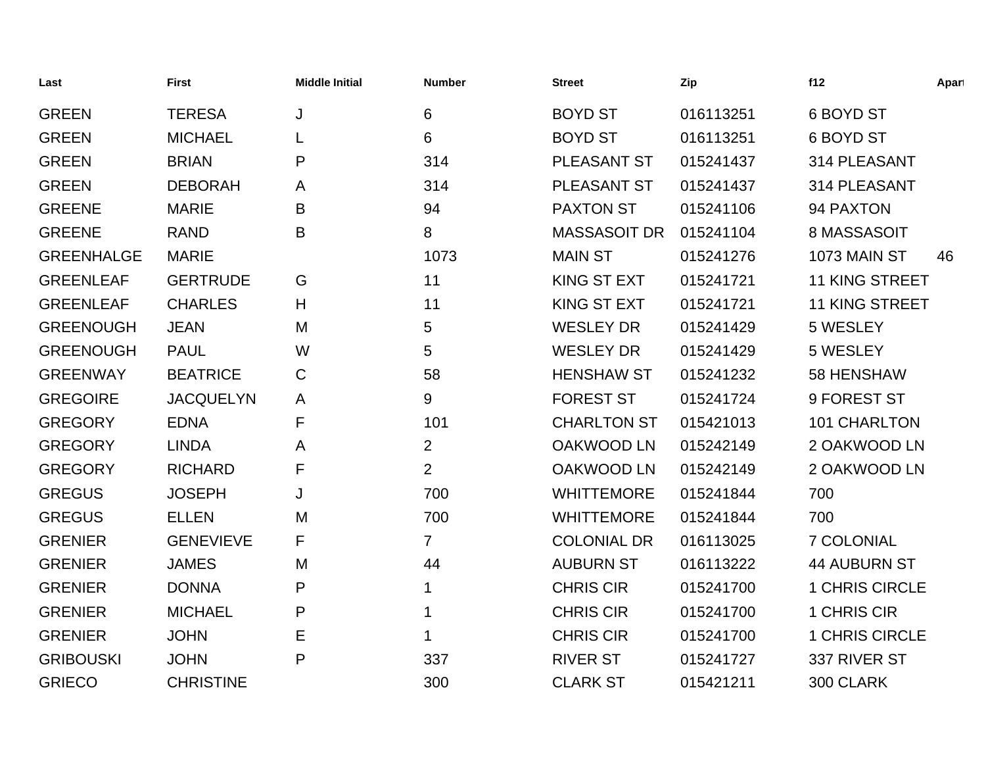| Last              | <b>First</b>     | <b>Middle Initial</b> | <b>Number</b>  | <b>Street</b>       | Zip       | f12                   | Apart |
|-------------------|------------------|-----------------------|----------------|---------------------|-----------|-----------------------|-------|
| <b>GREEN</b>      | <b>TERESA</b>    | J                     | 6              | <b>BOYD ST</b>      | 016113251 | 6 BOYD ST             |       |
| <b>GREEN</b>      | <b>MICHAEL</b>   |                       | 6              | <b>BOYD ST</b>      | 016113251 | 6 BOYD ST             |       |
| <b>GREEN</b>      | <b>BRIAN</b>     | P                     | 314            | PLEASANT ST         | 015241437 | 314 PLEASANT          |       |
| <b>GREEN</b>      | <b>DEBORAH</b>   | A                     | 314            | PLEASANT ST         | 015241437 | 314 PLEASANT          |       |
| <b>GREENE</b>     | <b>MARIE</b>     | Β                     | 94             | <b>PAXTON ST</b>    | 015241106 | 94 PAXTON             |       |
| <b>GREENE</b>     | <b>RAND</b>      | B                     | 8              | <b>MASSASOIT DR</b> | 015241104 | 8 MASSASOIT           |       |
| <b>GREENHALGE</b> | <b>MARIE</b>     |                       | 1073           | <b>MAIN ST</b>      | 015241276 | 1073 MAIN ST          | 46    |
| <b>GREENLEAF</b>  | <b>GERTRUDE</b>  | G                     | 11             | <b>KING ST EXT</b>  | 015241721 | <b>11 KING STREET</b> |       |
| <b>GREENLEAF</b>  | <b>CHARLES</b>   | H                     | 11             | <b>KING ST EXT</b>  | 015241721 | <b>11 KING STREET</b> |       |
| <b>GREENOUGH</b>  | <b>JEAN</b>      | M                     | 5              | <b>WESLEY DR</b>    | 015241429 | 5 WESLEY              |       |
| <b>GREENOUGH</b>  | <b>PAUL</b>      | W                     | 5              | <b>WESLEY DR</b>    | 015241429 | 5 WESLEY              |       |
| <b>GREENWAY</b>   | <b>BEATRICE</b>  | $\mathsf C$           | 58             | <b>HENSHAW ST</b>   | 015241232 | 58 HENSHAW            |       |
| <b>GREGOIRE</b>   | <b>JACQUELYN</b> | A                     | 9              | <b>FOREST ST</b>    | 015241724 | 9 FOREST ST           |       |
| <b>GREGORY</b>    | <b>EDNA</b>      | F                     | 101            | <b>CHARLTON ST</b>  | 015421013 | 101 CHARLTON          |       |
| <b>GREGORY</b>    | <b>LINDA</b>     | A                     | $\overline{2}$ | <b>OAKWOOD LN</b>   | 015242149 | 2 OAKWOOD LN          |       |
| <b>GREGORY</b>    | <b>RICHARD</b>   | F                     | $\overline{2}$ | <b>OAKWOOD LN</b>   | 015242149 | 2 OAKWOOD LN          |       |
| <b>GREGUS</b>     | <b>JOSEPH</b>    | J                     | 700            | <b>WHITTEMORE</b>   | 015241844 | 700                   |       |
| <b>GREGUS</b>     | <b>ELLEN</b>     | M                     | 700            | <b>WHITTEMORE</b>   | 015241844 | 700                   |       |
| <b>GRENIER</b>    | <b>GENEVIEVE</b> | F                     | $\overline{7}$ | <b>COLONIAL DR</b>  | 016113025 | 7 COLONIAL            |       |
| <b>GRENIER</b>    | <b>JAMES</b>     | M                     | 44             | <b>AUBURN ST</b>    | 016113222 | <b>44 AUBURN ST</b>   |       |
| <b>GRENIER</b>    | <b>DONNA</b>     | P                     | 1              | <b>CHRIS CIR</b>    | 015241700 | 1 CHRIS CIRCLE        |       |
| <b>GRENIER</b>    | <b>MICHAEL</b>   | P                     | 1              | <b>CHRIS CIR</b>    | 015241700 | 1 CHRIS CIR           |       |
| <b>GRENIER</b>    | <b>JOHN</b>      | Е                     | 1              | <b>CHRIS CIR</b>    | 015241700 | 1 CHRIS CIRCLE        |       |
| <b>GRIBOUSKI</b>  | <b>JOHN</b>      | P                     | 337            | <b>RIVER ST</b>     | 015241727 | 337 RIVER ST          |       |
| <b>GRIECO</b>     | <b>CHRISTINE</b> |                       | 300            | <b>CLARK ST</b>     | 015421211 | 300 CLARK             |       |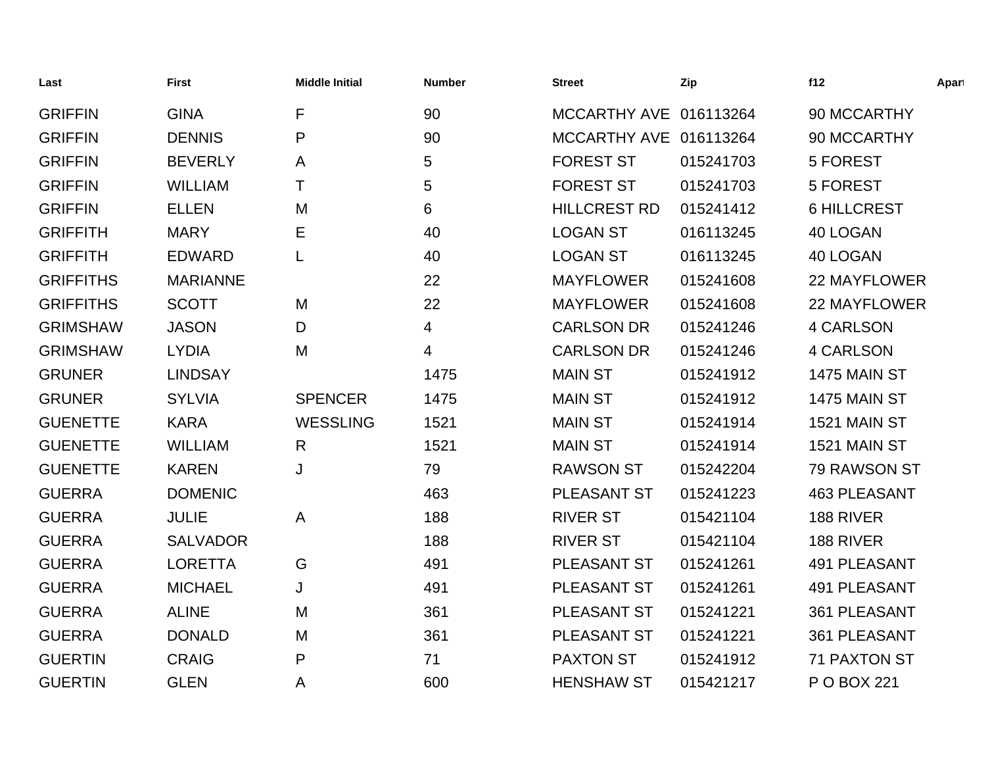| Last             | <b>First</b>    | <b>Middle Initial</b> | <b>Number</b> | <b>Street</b>          | Zip       | f12                 | Apart |
|------------------|-----------------|-----------------------|---------------|------------------------|-----------|---------------------|-------|
| <b>GRIFFIN</b>   | <b>GINA</b>     | F                     | 90            | MCCARTHY AVE 016113264 |           | 90 MCCARTHY         |       |
| <b>GRIFFIN</b>   | <b>DENNIS</b>   | P                     | 90            | MCCARTHY AVE 016113264 |           | 90 MCCARTHY         |       |
| <b>GRIFFIN</b>   | <b>BEVERLY</b>  | A                     | 5             | <b>FOREST ST</b>       | 015241703 | 5 FOREST            |       |
| <b>GRIFFIN</b>   | <b>WILLIAM</b>  | Τ                     | 5             | <b>FOREST ST</b>       | 015241703 | 5 FOREST            |       |
| <b>GRIFFIN</b>   | <b>ELLEN</b>    | M                     | 6             | <b>HILLCREST RD</b>    | 015241412 | <b>6 HILLCREST</b>  |       |
| <b>GRIFFITH</b>  | <b>MARY</b>     | Е                     | 40            | <b>LOGAN ST</b>        | 016113245 | 40 LOGAN            |       |
| <b>GRIFFITH</b>  | <b>EDWARD</b>   | L                     | 40            | <b>LOGAN ST</b>        | 016113245 | 40 LOGAN            |       |
| <b>GRIFFITHS</b> | <b>MARIANNE</b> |                       | 22            | <b>MAYFLOWER</b>       | 015241608 | <b>22 MAYFLOWER</b> |       |
| <b>GRIFFITHS</b> | <b>SCOTT</b>    | M                     | 22            | <b>MAYFLOWER</b>       | 015241608 | <b>22 MAYFLOWER</b> |       |
| <b>GRIMSHAW</b>  | <b>JASON</b>    | D                     | 4             | <b>CARLSON DR</b>      | 015241246 | <b>4 CARLSON</b>    |       |
| <b>GRIMSHAW</b>  | <b>LYDIA</b>    | M                     | 4             | <b>CARLSON DR</b>      | 015241246 | <b>4 CARLSON</b>    |       |
| <b>GRUNER</b>    | <b>LINDSAY</b>  |                       | 1475          | <b>MAIN ST</b>         | 015241912 | 1475 MAIN ST        |       |
| <b>GRUNER</b>    | <b>SYLVIA</b>   | <b>SPENCER</b>        | 1475          | <b>MAIN ST</b>         | 015241912 | 1475 MAIN ST        |       |
| <b>GUENETTE</b>  | <b>KARA</b>     | <b>WESSLING</b>       | 1521          | <b>MAIN ST</b>         | 015241914 | 1521 MAIN ST        |       |
| <b>GUENETTE</b>  | <b>WILLIAM</b>  | $\mathsf{R}$          | 1521          | <b>MAIN ST</b>         | 015241914 | 1521 MAIN ST        |       |
| <b>GUENETTE</b>  | <b>KAREN</b>    | J                     | 79            | <b>RAWSON ST</b>       | 015242204 | 79 RAWSON ST        |       |
| <b>GUERRA</b>    | <b>DOMENIC</b>  |                       | 463           | PLEASANT ST            | 015241223 | <b>463 PLEASANT</b> |       |
| <b>GUERRA</b>    | <b>JULIE</b>    | A                     | 188           | <b>RIVER ST</b>        | 015421104 | 188 RIVER           |       |
| <b>GUERRA</b>    | <b>SALVADOR</b> |                       | 188           | <b>RIVER ST</b>        | 015421104 | 188 RIVER           |       |
| <b>GUERRA</b>    | <b>LORETTA</b>  | G                     | 491           | PLEASANT ST            | 015241261 | 491 PLEASANT        |       |
| <b>GUERRA</b>    | <b>MICHAEL</b>  | J                     | 491           | PLEASANT ST            | 015241261 | <b>491 PLEASANT</b> |       |
| <b>GUERRA</b>    | <b>ALINE</b>    | M                     | 361           | PLEASANT ST            | 015241221 | 361 PLEASANT        |       |
| <b>GUERRA</b>    | <b>DONALD</b>   | M                     | 361           | PLEASANT ST            | 015241221 | 361 PLEASANT        |       |
| <b>GUERTIN</b>   | <b>CRAIG</b>    | P                     | 71            | <b>PAXTON ST</b>       | 015241912 | <b>71 PAXTON ST</b> |       |
| <b>GUERTIN</b>   | <b>GLEN</b>     | Α                     | 600           | <b>HENSHAW ST</b>      | 015421217 | P O BOX 221         |       |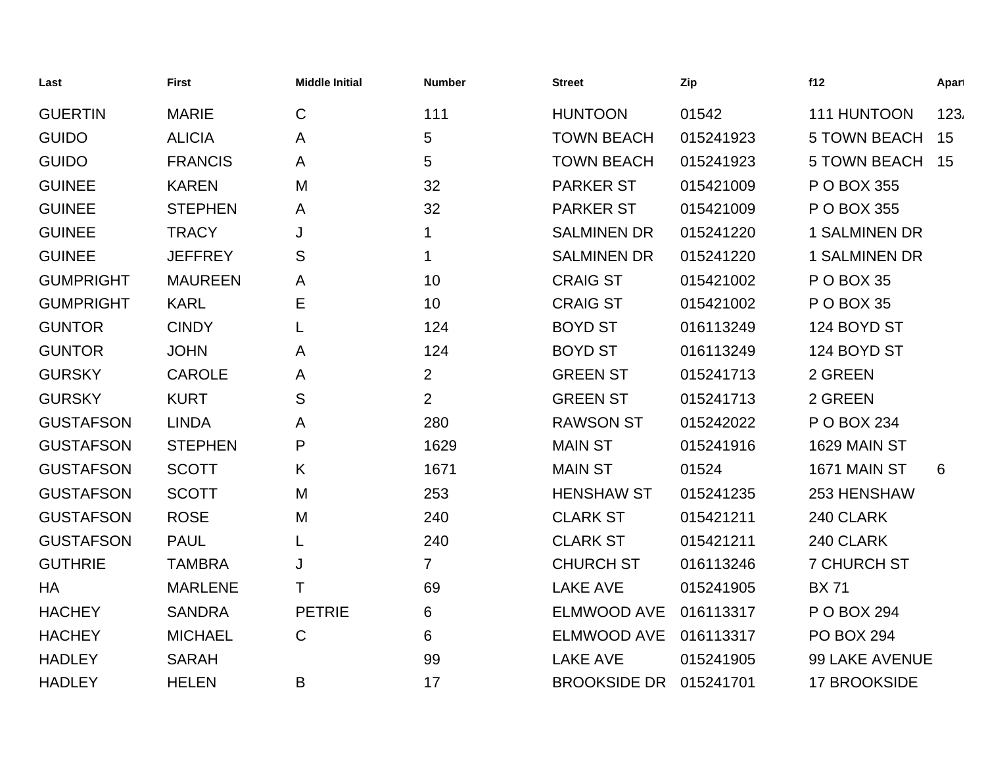| Last             | <b>First</b>   | <b>Middle Initial</b> | <b>Number</b>  | <b>Street</b>       | Zip       | f12                  | Apart |
|------------------|----------------|-----------------------|----------------|---------------------|-----------|----------------------|-------|
| <b>GUERTIN</b>   | <b>MARIE</b>   | $\mathsf{C}$          | 111            | <b>HUNTOON</b>      | 01542     | 111 HUNTOON          | 123.  |
| <b>GUIDO</b>     | <b>ALICIA</b>  | A                     | 5              | <b>TOWN BEACH</b>   | 015241923 | <b>5 TOWN BEACH</b>  | 15    |
| <b>GUIDO</b>     | <b>FRANCIS</b> | A                     | 5              | <b>TOWN BEACH</b>   | 015241923 | <b>5 TOWN BEACH</b>  | 15    |
| <b>GUINEE</b>    | <b>KAREN</b>   | M                     | 32             | <b>PARKER ST</b>    | 015421009 | P O BOX 355          |       |
| <b>GUINEE</b>    | <b>STEPHEN</b> | A                     | 32             | <b>PARKER ST</b>    | 015421009 | P O BOX 355          |       |
| <b>GUINEE</b>    | <b>TRACY</b>   | J                     | 1              | <b>SALMINEN DR</b>  | 015241220 | <b>1 SALMINEN DR</b> |       |
| <b>GUINEE</b>    | <b>JEFFREY</b> | S                     | $\mathbf 1$    | <b>SALMINEN DR</b>  | 015241220 | <b>1 SALMINEN DR</b> |       |
| <b>GUMPRIGHT</b> | <b>MAUREEN</b> | A                     | 10             | <b>CRAIG ST</b>     | 015421002 | P O BOX 35           |       |
| <b>GUMPRIGHT</b> | <b>KARL</b>    | Е                     | 10             | <b>CRAIG ST</b>     | 015421002 | P O BOX 35           |       |
| <b>GUNTOR</b>    | <b>CINDY</b>   | L                     | 124            | <b>BOYD ST</b>      | 016113249 | 124 BOYD ST          |       |
| <b>GUNTOR</b>    | <b>JOHN</b>    | A                     | 124            | <b>BOYD ST</b>      | 016113249 | 124 BOYD ST          |       |
| <b>GURSKY</b>    | <b>CAROLE</b>  | A                     | $\overline{2}$ | <b>GREEN ST</b>     | 015241713 | 2 GREEN              |       |
| <b>GURSKY</b>    | <b>KURT</b>    | S                     | $\overline{2}$ | <b>GREEN ST</b>     | 015241713 | 2 GREEN              |       |
| <b>GUSTAFSON</b> | <b>LINDA</b>   | A                     | 280            | <b>RAWSON ST</b>    | 015242022 | P O BOX 234          |       |
| <b>GUSTAFSON</b> | <b>STEPHEN</b> | P                     | 1629           | <b>MAIN ST</b>      | 015241916 | 1629 MAIN ST         |       |
| <b>GUSTAFSON</b> | <b>SCOTT</b>   | K                     | 1671           | <b>MAIN ST</b>      | 01524     | 1671 MAIN ST         | 6     |
| <b>GUSTAFSON</b> | <b>SCOTT</b>   | M                     | 253            | <b>HENSHAW ST</b>   | 015241235 | 253 HENSHAW          |       |
| <b>GUSTAFSON</b> | <b>ROSE</b>    | M                     | 240            | <b>CLARK ST</b>     | 015421211 | 240 CLARK            |       |
| <b>GUSTAFSON</b> | <b>PAUL</b>    | L                     | 240            | <b>CLARK ST</b>     | 015421211 | 240 CLARK            |       |
| <b>GUTHRIE</b>   | <b>TAMBRA</b>  | J                     | $\overline{7}$ | <b>CHURCH ST</b>    | 016113246 | <b>7 CHURCH ST</b>   |       |
| HA               | <b>MARLENE</b> | Τ                     | 69             | <b>LAKE AVE</b>     | 015241905 | <b>BX71</b>          |       |
| <b>HACHEY</b>    | <b>SANDRA</b>  | <b>PETRIE</b>         | 6              | <b>ELMWOOD AVE</b>  | 016113317 | P O BOX 294          |       |
| <b>HACHEY</b>    | <b>MICHAEL</b> | $\mathsf{C}$          | 6              | <b>ELMWOOD AVE</b>  | 016113317 | <b>PO BOX 294</b>    |       |
| <b>HADLEY</b>    | <b>SARAH</b>   |                       | 99             | <b>LAKE AVE</b>     | 015241905 | 99 LAKE AVENUE       |       |
| <b>HADLEY</b>    | <b>HELEN</b>   | B                     | 17             | <b>BROOKSIDE DR</b> | 015241701 | <b>17 BROOKSIDE</b>  |       |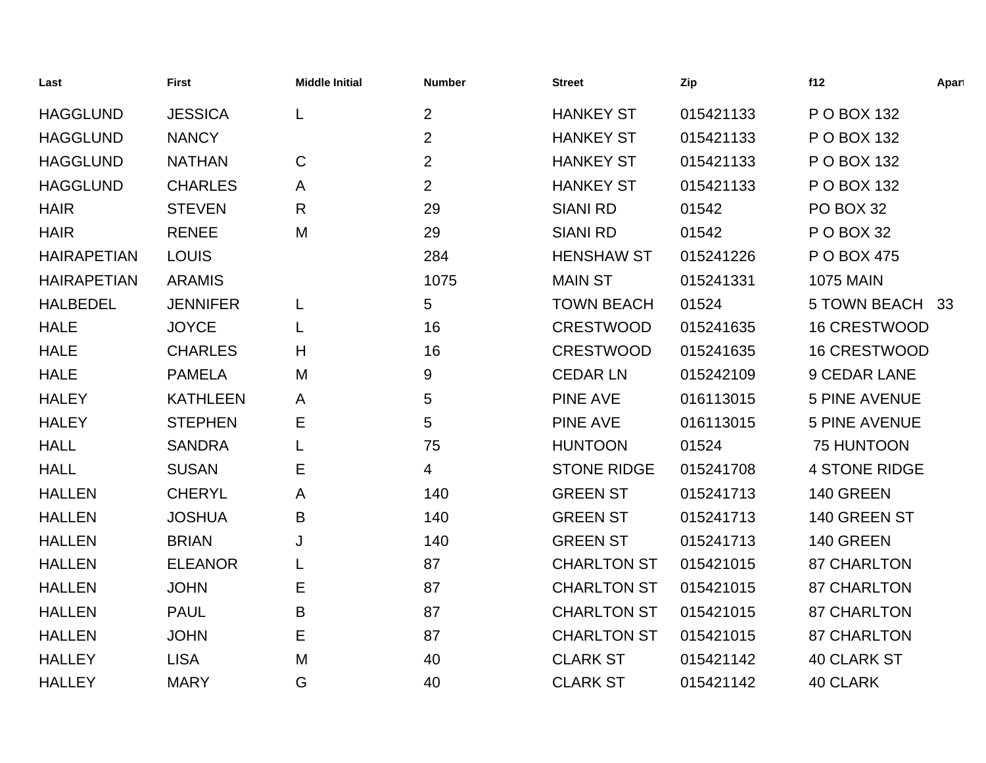| Last               | <b>First</b>    | <b>Middle Initial</b> | <b>Number</b>  | <b>Street</b>      | Zip       | f12                  | Apart |
|--------------------|-----------------|-----------------------|----------------|--------------------|-----------|----------------------|-------|
| <b>HAGGLUND</b>    | <b>JESSICA</b>  | L                     | $\overline{2}$ | <b>HANKEY ST</b>   | 015421133 | P O BOX 132          |       |
| <b>HAGGLUND</b>    | <b>NANCY</b>    |                       | $\overline{2}$ | <b>HANKEY ST</b>   | 015421133 | P O BOX 132          |       |
| <b>HAGGLUND</b>    | <b>NATHAN</b>   | $\mathsf C$           | $\overline{2}$ | <b>HANKEY ST</b>   | 015421133 | P O BOX 132          |       |
| <b>HAGGLUND</b>    | <b>CHARLES</b>  | A                     | $\overline{2}$ | <b>HANKEY ST</b>   | 015421133 | P O BOX 132          |       |
| <b>HAIR</b>        | <b>STEVEN</b>   | $\mathsf{R}$          | 29             | <b>SIANI RD</b>    | 01542     | PO BOX 32            |       |
| <b>HAIR</b>        | <b>RENEE</b>    | M                     | 29             | <b>SIANI RD</b>    | 01542     | P O BOX 32           |       |
| <b>HAIRAPETIAN</b> | <b>LOUIS</b>    |                       | 284            | <b>HENSHAW ST</b>  | 015241226 | P O BOX 475          |       |
| <b>HAIRAPETIAN</b> | <b>ARAMIS</b>   |                       | 1075           | <b>MAIN ST</b>     | 015241331 | <b>1075 MAIN</b>     |       |
| <b>HALBEDEL</b>    | <b>JENNIFER</b> | L                     | 5              | <b>TOWN BEACH</b>  | 01524     | 5 TOWN BEACH 33      |       |
| <b>HALE</b>        | <b>JOYCE</b>    | L                     | 16             | <b>CRESTWOOD</b>   | 015241635 | <b>16 CRESTWOOD</b>  |       |
| <b>HALE</b>        | <b>CHARLES</b>  | H                     | 16             | <b>CRESTWOOD</b>   | 015241635 | <b>16 CRESTWOOD</b>  |       |
| <b>HALE</b>        | <b>PAMELA</b>   | M                     | 9              | <b>CEDAR LN</b>    | 015242109 | <b>9 CEDAR LANE</b>  |       |
| <b>HALEY</b>       | <b>KATHLEEN</b> | A                     | 5              | <b>PINE AVE</b>    | 016113015 | <b>5 PINE AVENUE</b> |       |
| <b>HALEY</b>       | <b>STEPHEN</b>  | Е                     | 5              | <b>PINE AVE</b>    | 016113015 | <b>5 PINE AVENUE</b> |       |
| <b>HALL</b>        | <b>SANDRA</b>   | L                     | 75             | <b>HUNTOON</b>     | 01524     | 75 HUNTOON           |       |
| <b>HALL</b>        | <b>SUSAN</b>    | Е                     | 4              | <b>STONE RIDGE</b> | 015241708 | <b>4 STONE RIDGE</b> |       |
| <b>HALLEN</b>      | <b>CHERYL</b>   | A                     | 140            | <b>GREEN ST</b>    | 015241713 | 140 GREEN            |       |
| <b>HALLEN</b>      | <b>JOSHUA</b>   | B                     | 140            | <b>GREEN ST</b>    | 015241713 | 140 GREEN ST         |       |
| <b>HALLEN</b>      | <b>BRIAN</b>    | J                     | 140            | <b>GREEN ST</b>    | 015241713 | 140 GREEN            |       |
| <b>HALLEN</b>      | <b>ELEANOR</b>  | L                     | 87             | <b>CHARLTON ST</b> | 015421015 | <b>87 CHARLTON</b>   |       |
| <b>HALLEN</b>      | <b>JOHN</b>     | E                     | 87             | <b>CHARLTON ST</b> | 015421015 | <b>87 CHARLTON</b>   |       |
| <b>HALLEN</b>      | <b>PAUL</b>     | B                     | 87             | <b>CHARLTON ST</b> | 015421015 | <b>87 CHARLTON</b>   |       |
| <b>HALLEN</b>      | <b>JOHN</b>     | Е                     | 87             | <b>CHARLTON ST</b> | 015421015 | <b>87 CHARLTON</b>   |       |
| <b>HALLEY</b>      | <b>LISA</b>     | M                     | 40             | <b>CLARK ST</b>    | 015421142 | <b>40 CLARK ST</b>   |       |
| <b>HALLEY</b>      | <b>MARY</b>     | G                     | 40             | <b>CLARK ST</b>    | 015421142 | <b>40 CLARK</b>      |       |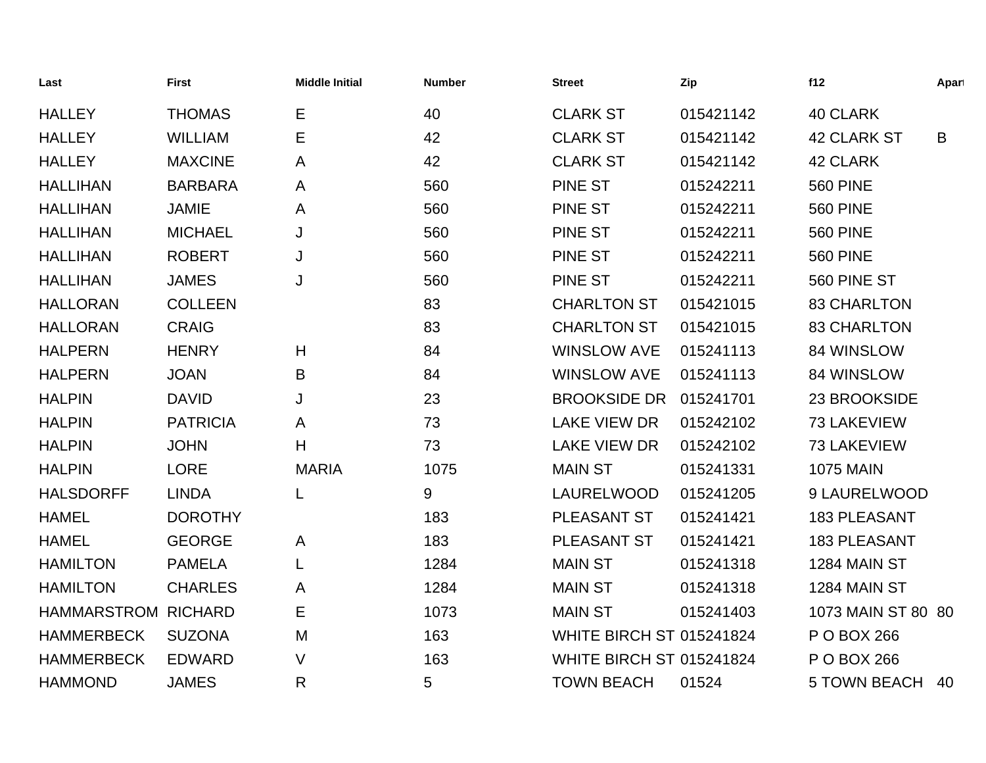| Last                       | <b>First</b>    | <b>Middle Initial</b> | <b>Number</b> | <b>Street</b>                   | Zip       | f12                 | Apart |
|----------------------------|-----------------|-----------------------|---------------|---------------------------------|-----------|---------------------|-------|
| <b>HALLEY</b>              | <b>THOMAS</b>   | Е                     | 40            | <b>CLARK ST</b>                 | 015421142 | 40 CLARK            |       |
| <b>HALLEY</b>              | <b>WILLIAM</b>  | Е                     | 42            | <b>CLARK ST</b>                 | 015421142 | <b>42 CLARK ST</b>  | B     |
| <b>HALLEY</b>              | <b>MAXCINE</b>  | A                     | 42            | <b>CLARK ST</b>                 | 015421142 | <b>42 CLARK</b>     |       |
| <b>HALLIHAN</b>            | <b>BARBARA</b>  | A                     | 560           | <b>PINE ST</b>                  | 015242211 | <b>560 PINE</b>     |       |
| <b>HALLIHAN</b>            | <b>JAMIE</b>    | Α                     | 560           | <b>PINE ST</b>                  | 015242211 | <b>560 PINE</b>     |       |
| <b>HALLIHAN</b>            | <b>MICHAEL</b>  | J                     | 560           | <b>PINE ST</b>                  | 015242211 | <b>560 PINE</b>     |       |
| <b>HALLIHAN</b>            | <b>ROBERT</b>   | J                     | 560           | <b>PINE ST</b>                  | 015242211 | <b>560 PINE</b>     |       |
| <b>HALLIHAN</b>            | <b>JAMES</b>    | J                     | 560           | <b>PINE ST</b>                  | 015242211 | 560 PINE ST         |       |
| <b>HALLORAN</b>            | <b>COLLEEN</b>  |                       | 83            | <b>CHARLTON ST</b>              | 015421015 | <b>83 CHARLTON</b>  |       |
| <b>HALLORAN</b>            | <b>CRAIG</b>    |                       | 83            | <b>CHARLTON ST</b>              | 015421015 | <b>83 CHARLTON</b>  |       |
| <b>HALPERN</b>             | <b>HENRY</b>    | H                     | 84            | <b>WINSLOW AVE</b>              | 015241113 | 84 WINSLOW          |       |
| <b>HALPERN</b>             | <b>JOAN</b>     | B                     | 84            | <b>WINSLOW AVE</b>              | 015241113 | 84 WINSLOW          |       |
| <b>HALPIN</b>              | <b>DAVID</b>    | J                     | 23            | <b>BROOKSIDE DR</b>             | 015241701 | 23 BROOKSIDE        |       |
| <b>HALPIN</b>              | <b>PATRICIA</b> | Α                     | 73            | <b>LAKE VIEW DR</b>             | 015242102 | 73 LAKEVIEW         |       |
| <b>HALPIN</b>              | <b>JOHN</b>     | H                     | 73            | <b>LAKE VIEW DR</b>             | 015242102 | 73 LAKEVIEW         |       |
| <b>HALPIN</b>              | <b>LORE</b>     | <b>MARIA</b>          | 1075          | <b>MAIN ST</b>                  | 015241331 | <b>1075 MAIN</b>    |       |
| <b>HALSDORFF</b>           | <b>LINDA</b>    | L                     | 9             | LAURELWOOD                      | 015241205 | 9 LAURELWOOD        |       |
| <b>HAMEL</b>               | <b>DOROTHY</b>  |                       | 183           | PLEASANT ST                     | 015241421 | <b>183 PLEASANT</b> |       |
| <b>HAMEL</b>               | <b>GEORGE</b>   | A                     | 183           | PLEASANT ST                     | 015241421 | <b>183 PLEASANT</b> |       |
| <b>HAMILTON</b>            | <b>PAMELA</b>   |                       | 1284          | <b>MAIN ST</b>                  | 015241318 | 1284 MAIN ST        |       |
| <b>HAMILTON</b>            | <b>CHARLES</b>  | A                     | 1284          | <b>MAIN ST</b>                  | 015241318 | 1284 MAIN ST        |       |
| <b>HAMMARSTROM RICHARD</b> |                 | Е                     | 1073          | <b>MAIN ST</b>                  | 015241403 | 1073 MAIN ST 80 80  |       |
| <b>HAMMERBECK</b>          | <b>SUZONA</b>   | M                     | 163           | <b>WHITE BIRCH ST 015241824</b> |           | P O BOX 266         |       |
| <b>HAMMERBECK</b>          | <b>EDWARD</b>   | V                     | 163           | <b>WHITE BIRCH ST 015241824</b> |           | P O BOX 266         |       |
| <b>HAMMOND</b>             | <b>JAMES</b>    | R                     | 5             | <b>TOWN BEACH</b>               | 01524     | <b>5 TOWN BEACH</b> | 40    |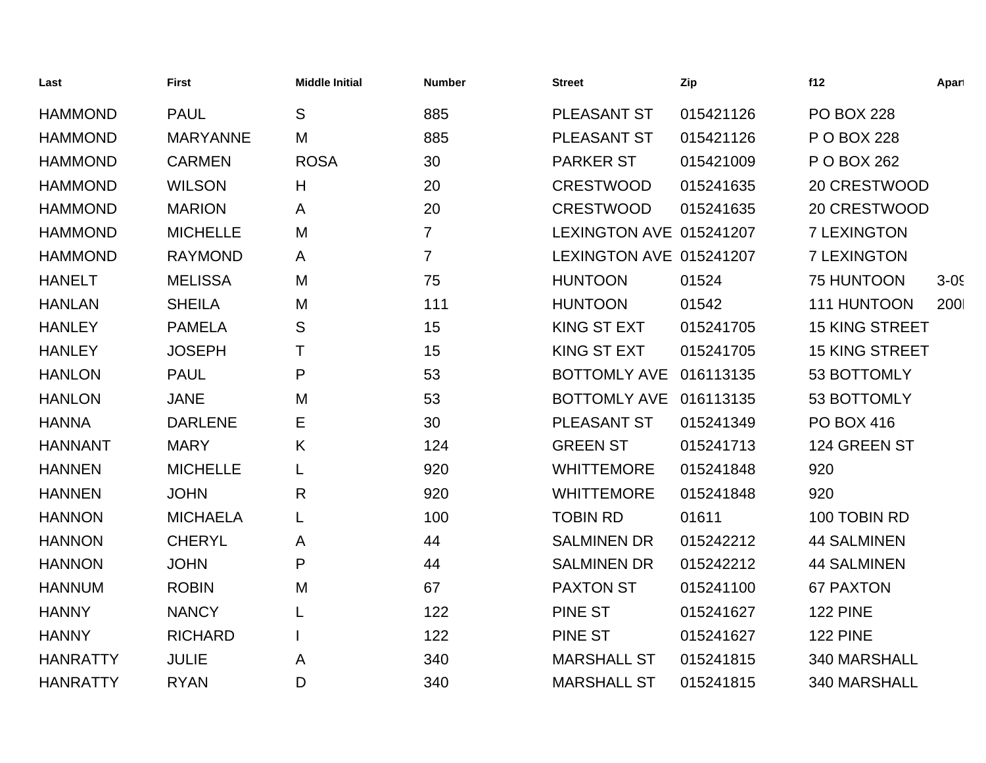| Last            | <b>First</b>    | <b>Middle Initial</b> | <b>Number</b>  | <b>Street</b>           | Zip       | f12                   | Apart  |
|-----------------|-----------------|-----------------------|----------------|-------------------------|-----------|-----------------------|--------|
| <b>HAMMOND</b>  | <b>PAUL</b>     | S                     | 885            | PLEASANT ST             | 015421126 | <b>PO BOX 228</b>     |        |
| <b>HAMMOND</b>  | <b>MARYANNE</b> | M                     | 885            | PLEASANT ST             | 015421126 | P O BOX 228           |        |
| <b>HAMMOND</b>  | <b>CARMEN</b>   | <b>ROSA</b>           | 30             | <b>PARKER ST</b>        | 015421009 | P O BOX 262           |        |
| <b>HAMMOND</b>  | <b>WILSON</b>   | H                     | 20             | <b>CRESTWOOD</b>        | 015241635 | 20 CRESTWOOD          |        |
| <b>HAMMOND</b>  | <b>MARION</b>   | A                     | 20             | <b>CRESTWOOD</b>        | 015241635 | 20 CRESTWOOD          |        |
| <b>HAMMOND</b>  | <b>MICHELLE</b> | M                     | $\overline{7}$ | LEXINGTON AVE 015241207 |           | <b>7 LEXINGTON</b>    |        |
| <b>HAMMOND</b>  | <b>RAYMOND</b>  | A                     | $\overline{7}$ | LEXINGTON AVE 015241207 |           | <b>7 LEXINGTON</b>    |        |
| <b>HANELT</b>   | <b>MELISSA</b>  | M                     | 75             | <b>HUNTOON</b>          | 01524     | <b>75 HUNTOON</b>     | $3-05$ |
| <b>HANLAN</b>   | <b>SHEILA</b>   | M                     | 111            | <b>HUNTOON</b>          | 01542     | 111 HUNTOON           | 200    |
| <b>HANLEY</b>   | <b>PAMELA</b>   | S                     | 15             | <b>KING ST EXT</b>      | 015241705 | <b>15 KING STREET</b> |        |
| <b>HANLEY</b>   | <b>JOSEPH</b>   | т                     | 15             | <b>KING ST EXT</b>      | 015241705 | <b>15 KING STREET</b> |        |
| <b>HANLON</b>   | <b>PAUL</b>     | P                     | 53             | <b>BOTTOMLY AVE</b>     | 016113135 | 53 BOTTOMLY           |        |
| <b>HANLON</b>   | <b>JANE</b>     | M                     | 53             | <b>BOTTOMLY AVE</b>     | 016113135 | 53 BOTTOMLY           |        |
| <b>HANNA</b>    | <b>DARLENE</b>  | Е                     | 30             | PLEASANT ST             | 015241349 | <b>PO BOX 416</b>     |        |
| <b>HANNANT</b>  | <b>MARY</b>     | K                     | 124            | <b>GREEN ST</b>         | 015241713 | 124 GREEN ST          |        |
| <b>HANNEN</b>   | <b>MICHELLE</b> | L                     | 920            | <b>WHITTEMORE</b>       | 015241848 | 920                   |        |
| <b>HANNEN</b>   | <b>JOHN</b>     | $\mathsf{R}$          | 920            | <b>WHITTEMORE</b>       | 015241848 | 920                   |        |
| <b>HANNON</b>   | <b>MICHAELA</b> | L                     | 100            | <b>TOBIN RD</b>         | 01611     | 100 TOBIN RD          |        |
| <b>HANNON</b>   | <b>CHERYL</b>   | A                     | 44             | <b>SALMINEN DR</b>      | 015242212 | <b>44 SALMINEN</b>    |        |
| <b>HANNON</b>   | <b>JOHN</b>     | P                     | 44             | <b>SALMINEN DR</b>      | 015242212 | <b>44 SALMINEN</b>    |        |
| <b>HANNUM</b>   | <b>ROBIN</b>    | M                     | 67             | <b>PAXTON ST</b>        | 015241100 | <b>67 PAXTON</b>      |        |
| <b>HANNY</b>    | <b>NANCY</b>    | L                     | 122            | <b>PINE ST</b>          | 015241627 | <b>122 PINE</b>       |        |
| <b>HANNY</b>    | <b>RICHARD</b>  |                       | 122            | <b>PINE ST</b>          | 015241627 | <b>122 PINE</b>       |        |
| <b>HANRATTY</b> | <b>JULIE</b>    | A                     | 340            | <b>MARSHALL ST</b>      | 015241815 | 340 MARSHALL          |        |
| <b>HANRATTY</b> | <b>RYAN</b>     | D                     | 340            | <b>MARSHALL ST</b>      | 015241815 | 340 MARSHALL          |        |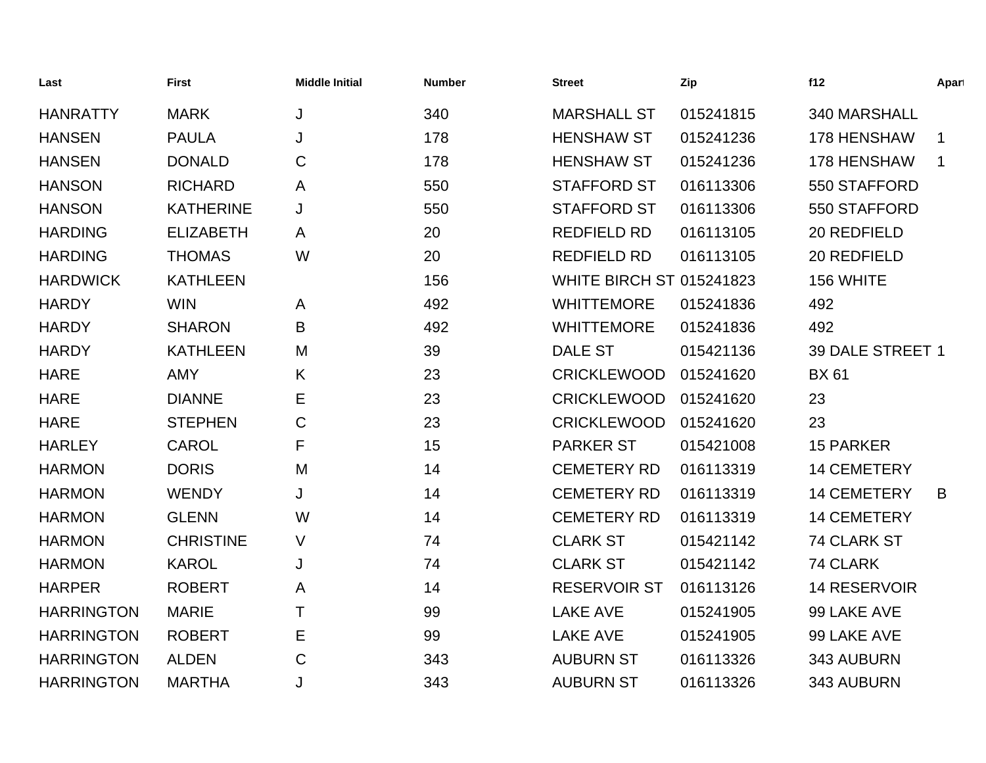| Last              | <b>First</b>     | <b>Middle Initial</b> | <b>Number</b> | <b>Street</b>                   | Zip       | f12                 | Apart       |
|-------------------|------------------|-----------------------|---------------|---------------------------------|-----------|---------------------|-------------|
| <b>HANRATTY</b>   | <b>MARK</b>      | J                     | 340           | <b>MARSHALL ST</b>              | 015241815 | 340 MARSHALL        |             |
| <b>HANSEN</b>     | <b>PAULA</b>     | J                     | 178           | <b>HENSHAW ST</b>               | 015241236 | 178 HENSHAW         |             |
| <b>HANSEN</b>     | <b>DONALD</b>    | C                     | 178           | <b>HENSHAW ST</b>               | 015241236 | 178 HENSHAW         | $\mathbf 1$ |
| <b>HANSON</b>     | <b>RICHARD</b>   | A                     | 550           | <b>STAFFORD ST</b>              | 016113306 | 550 STAFFORD        |             |
| <b>HANSON</b>     | <b>KATHERINE</b> | J                     | 550           | <b>STAFFORD ST</b>              | 016113306 | 550 STAFFORD        |             |
| <b>HARDING</b>    | <b>ELIZABETH</b> | A                     | 20            | <b>REDFIELD RD</b>              | 016113105 | 20 REDFIELD         |             |
| <b>HARDING</b>    | <b>THOMAS</b>    | W                     | 20            | <b>REDFIELD RD</b>              | 016113105 | 20 REDFIELD         |             |
| <b>HARDWICK</b>   | <b>KATHLEEN</b>  |                       | 156           | <b>WHITE BIRCH ST 015241823</b> |           | 156 WHITE           |             |
| <b>HARDY</b>      | <b>WIN</b>       | A                     | 492           | <b>WHITTEMORE</b>               | 015241836 | 492                 |             |
| <b>HARDY</b>      | <b>SHARON</b>    | B                     | 492           | <b>WHITTEMORE</b>               | 015241836 | 492                 |             |
| <b>HARDY</b>      | <b>KATHLEEN</b>  | M                     | 39            | <b>DALE ST</b>                  | 015421136 | 39 DALE STREET 1    |             |
| <b>HARE</b>       | <b>AMY</b>       | K                     | 23            | <b>CRICKLEWOOD</b>              | 015241620 | <b>BX 61</b>        |             |
| <b>HARE</b>       | <b>DIANNE</b>    | Е                     | 23            | <b>CRICKLEWOOD</b>              | 015241620 | 23                  |             |
| <b>HARE</b>       | <b>STEPHEN</b>   | C                     | 23            | <b>CRICKLEWOOD</b>              | 015241620 | 23                  |             |
| <b>HARLEY</b>     | <b>CAROL</b>     | F                     | 15            | <b>PARKER ST</b>                | 015421008 | <b>15 PARKER</b>    |             |
| <b>HARMON</b>     | <b>DORIS</b>     | M                     | 14            | <b>CEMETERY RD</b>              | 016113319 | <b>14 CEMETERY</b>  |             |
| <b>HARMON</b>     | <b>WENDY</b>     | J                     | 14            | <b>CEMETERY RD</b>              | 016113319 | <b>14 CEMETERY</b>  | B           |
| <b>HARMON</b>     | <b>GLENN</b>     | W                     | 14            | <b>CEMETERY RD</b>              | 016113319 | <b>14 CEMETERY</b>  |             |
| <b>HARMON</b>     | <b>CHRISTINE</b> | $\vee$                | 74            | <b>CLARK ST</b>                 | 015421142 | 74 CLARK ST         |             |
| <b>HARMON</b>     | <b>KAROL</b>     | J                     | 74            | <b>CLARK ST</b>                 | 015421142 | 74 CLARK            |             |
| <b>HARPER</b>     | <b>ROBERT</b>    | A                     | 14            | <b>RESERVOIR ST</b>             | 016113126 | <b>14 RESERVOIR</b> |             |
| <b>HARRINGTON</b> | <b>MARIE</b>     | т                     | 99            | <b>LAKE AVE</b>                 | 015241905 | 99 LAKE AVE         |             |
| <b>HARRINGTON</b> | <b>ROBERT</b>    | Е                     | 99            | <b>LAKE AVE</b>                 | 015241905 | 99 LAKE AVE         |             |
| <b>HARRINGTON</b> | <b>ALDEN</b>     | C                     | 343           | <b>AUBURN ST</b>                | 016113326 | 343 AUBURN          |             |
| <b>HARRINGTON</b> | <b>MARTHA</b>    | J                     | 343           | <b>AUBURN ST</b>                | 016113326 | 343 AUBURN          |             |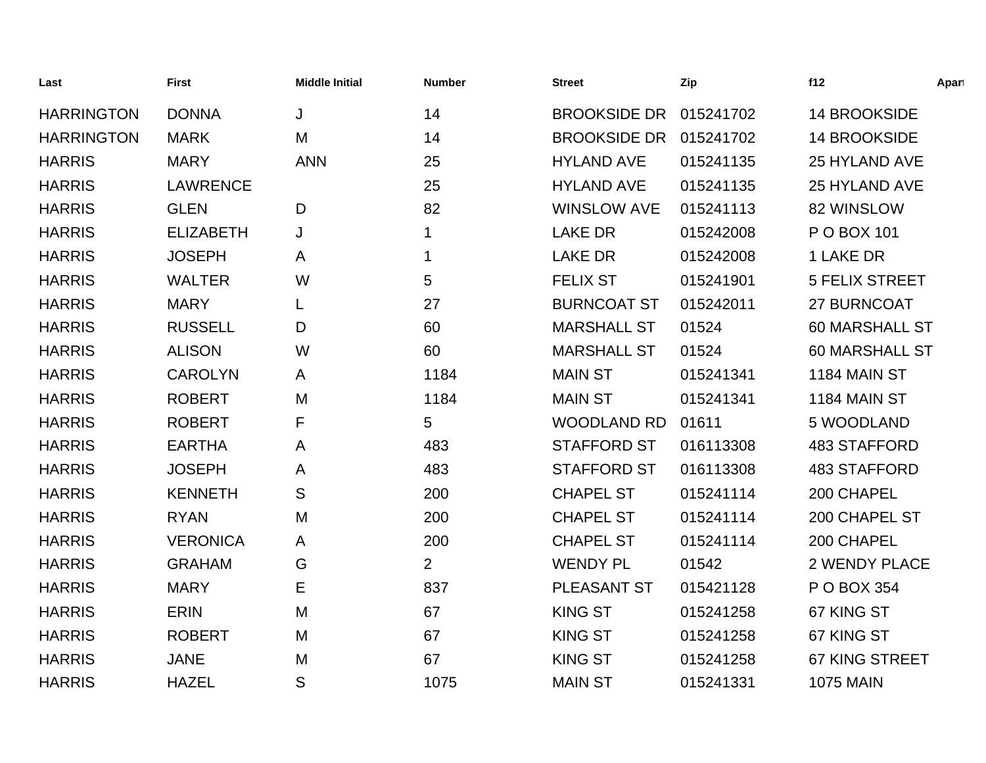| Last              | <b>First</b>     | <b>Middle Initial</b> | <b>Number</b>  | <b>Street</b>       | Zip       | f12                   | Apart |
|-------------------|------------------|-----------------------|----------------|---------------------|-----------|-----------------------|-------|
| <b>HARRINGTON</b> | <b>DONNA</b>     | J                     | 14             | <b>BROOKSIDE DR</b> | 015241702 | <b>14 BROOKSIDE</b>   |       |
| <b>HARRINGTON</b> | <b>MARK</b>      | M                     | 14             | <b>BROOKSIDE DR</b> | 015241702 | <b>14 BROOKSIDE</b>   |       |
| <b>HARRIS</b>     | <b>MARY</b>      | <b>ANN</b>            | 25             | <b>HYLAND AVE</b>   | 015241135 | 25 HYLAND AVE         |       |
| <b>HARRIS</b>     | <b>LAWRENCE</b>  |                       | 25             | <b>HYLAND AVE</b>   | 015241135 | 25 HYLAND AVE         |       |
| <b>HARRIS</b>     | <b>GLEN</b>      | D                     | 82             | <b>WINSLOW AVE</b>  | 015241113 | 82 WINSLOW            |       |
| <b>HARRIS</b>     | <b>ELIZABETH</b> | J                     | 1              | <b>LAKE DR</b>      | 015242008 | P O BOX 101           |       |
| <b>HARRIS</b>     | <b>JOSEPH</b>    | A                     | $\mathbf 1$    | <b>LAKE DR</b>      | 015242008 | 1 LAKE DR             |       |
| <b>HARRIS</b>     | <b>WALTER</b>    | W                     | 5              | <b>FELIX ST</b>     | 015241901 | <b>5 FELIX STREET</b> |       |
| <b>HARRIS</b>     | <b>MARY</b>      | L                     | 27             | <b>BURNCOAT ST</b>  | 015242011 | 27 BURNCOAT           |       |
| <b>HARRIS</b>     | <b>RUSSELL</b>   | D                     | 60             | <b>MARSHALL ST</b>  | 01524     | <b>60 MARSHALL ST</b> |       |
| <b>HARRIS</b>     | <b>ALISON</b>    | W                     | 60             | <b>MARSHALL ST</b>  | 01524     | <b>60 MARSHALL ST</b> |       |
| <b>HARRIS</b>     | <b>CAROLYN</b>   | A                     | 1184           | <b>MAIN ST</b>      | 015241341 | 1184 MAIN ST          |       |
| <b>HARRIS</b>     | <b>ROBERT</b>    | M                     | 1184           | <b>MAIN ST</b>      | 015241341 | 1184 MAIN ST          |       |
| <b>HARRIS</b>     | <b>ROBERT</b>    | F                     | 5              | <b>WOODLAND RD</b>  | 01611     | 5 WOODLAND            |       |
| <b>HARRIS</b>     | <b>EARTHA</b>    | A                     | 483            | <b>STAFFORD ST</b>  | 016113308 | <b>483 STAFFORD</b>   |       |
| <b>HARRIS</b>     | <b>JOSEPH</b>    | A                     | 483            | <b>STAFFORD ST</b>  | 016113308 | <b>483 STAFFORD</b>   |       |
| <b>HARRIS</b>     | <b>KENNETH</b>   | S                     | 200            | <b>CHAPEL ST</b>    | 015241114 | 200 CHAPEL            |       |
| <b>HARRIS</b>     | <b>RYAN</b>      | M                     | 200            | <b>CHAPEL ST</b>    | 015241114 | 200 CHAPEL ST         |       |
| <b>HARRIS</b>     | <b>VERONICA</b>  | A                     | 200            | <b>CHAPEL ST</b>    | 015241114 | 200 CHAPEL            |       |
| <b>HARRIS</b>     | <b>GRAHAM</b>    | G                     | $\overline{2}$ | <b>WENDY PL</b>     | 01542     | <b>2 WENDY PLACE</b>  |       |
| <b>HARRIS</b>     | <b>MARY</b>      | E                     | 837            | PLEASANT ST         | 015421128 | P O BOX 354           |       |
| <b>HARRIS</b>     | <b>ERIN</b>      | M                     | 67             | <b>KING ST</b>      | 015241258 | 67 KING ST            |       |
| <b>HARRIS</b>     | <b>ROBERT</b>    | M                     | 67             | <b>KING ST</b>      | 015241258 | 67 KING ST            |       |
| <b>HARRIS</b>     | <b>JANE</b>      | M                     | 67             | <b>KING ST</b>      | 015241258 | <b>67 KING STREET</b> |       |
| <b>HARRIS</b>     | <b>HAZEL</b>     | S                     | 1075           | <b>MAIN ST</b>      | 015241331 | <b>1075 MAIN</b>      |       |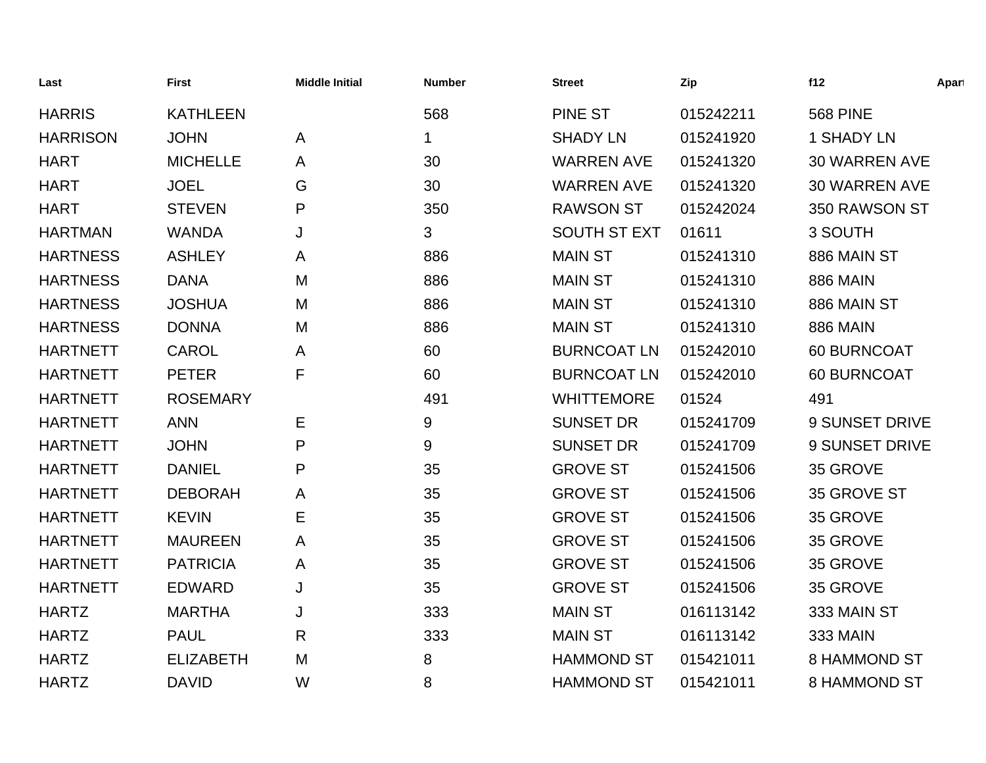| Last            | <b>First</b>     | <b>Middle Initial</b> | <b>Number</b> | <b>Street</b>       | Zip       | f12                  | Apart |
|-----------------|------------------|-----------------------|---------------|---------------------|-----------|----------------------|-------|
| <b>HARRIS</b>   | <b>KATHLEEN</b>  |                       | 568           | <b>PINE ST</b>      | 015242211 | <b>568 PINE</b>      |       |
| <b>HARRISON</b> | <b>JOHN</b>      | A                     | 1.            | <b>SHADY LN</b>     | 015241920 | <b>1 SHADY LN</b>    |       |
| <b>HART</b>     | <b>MICHELLE</b>  | A                     | 30            | <b>WARREN AVE</b>   | 015241320 | <b>30 WARREN AVE</b> |       |
| <b>HART</b>     | <b>JOEL</b>      | G                     | 30            | <b>WARREN AVE</b>   | 015241320 | <b>30 WARREN AVE</b> |       |
| <b>HART</b>     | <b>STEVEN</b>    | P                     | 350           | <b>RAWSON ST</b>    | 015242024 | 350 RAWSON ST        |       |
| <b>HARTMAN</b>  | <b>WANDA</b>     | J                     | 3             | <b>SOUTH ST EXT</b> | 01611     | 3 SOUTH              |       |
| <b>HARTNESS</b> | <b>ASHLEY</b>    | A                     | 886           | <b>MAIN ST</b>      | 015241310 | 886 MAIN ST          |       |
| <b>HARTNESS</b> | <b>DANA</b>      | M                     | 886           | <b>MAIN ST</b>      | 015241310 | <b>886 MAIN</b>      |       |
| <b>HARTNESS</b> | <b>JOSHUA</b>    | M                     | 886           | <b>MAIN ST</b>      | 015241310 | 886 MAIN ST          |       |
| <b>HARTNESS</b> | <b>DONNA</b>     | M                     | 886           | <b>MAIN ST</b>      | 015241310 | <b>886 MAIN</b>      |       |
| <b>HARTNETT</b> | <b>CAROL</b>     | A                     | 60            | <b>BURNCOAT LN</b>  | 015242010 | 60 BURNCOAT          |       |
| <b>HARTNETT</b> | <b>PETER</b>     | F                     | 60            | <b>BURNCOAT LN</b>  | 015242010 | 60 BURNCOAT          |       |
| <b>HARTNETT</b> | <b>ROSEMARY</b>  |                       | 491           | <b>WHITTEMORE</b>   | 01524     | 491                  |       |
| <b>HARTNETT</b> | <b>ANN</b>       | Е                     | 9             | <b>SUNSET DR</b>    | 015241709 | 9 SUNSET DRIVE       |       |
| <b>HARTNETT</b> | <b>JOHN</b>      | P                     | 9             | <b>SUNSET DR</b>    | 015241709 | 9 SUNSET DRIVE       |       |
| <b>HARTNETT</b> | <b>DANIEL</b>    | P                     | 35            | <b>GROVE ST</b>     | 015241506 | 35 GROVE             |       |
| <b>HARTNETT</b> | <b>DEBORAH</b>   | A                     | 35            | <b>GROVE ST</b>     | 015241506 | 35 GROVE ST          |       |
| <b>HARTNETT</b> | <b>KEVIN</b>     | Е                     | 35            | <b>GROVE ST</b>     | 015241506 | 35 GROVE             |       |
| <b>HARTNETT</b> | <b>MAUREEN</b>   | A                     | 35            | <b>GROVE ST</b>     | 015241506 | 35 GROVE             |       |
| <b>HARTNETT</b> | <b>PATRICIA</b>  | A                     | 35            | <b>GROVE ST</b>     | 015241506 | 35 GROVE             |       |
| <b>HARTNETT</b> | <b>EDWARD</b>    | J                     | 35            | <b>GROVE ST</b>     | 015241506 | 35 GROVE             |       |
| <b>HARTZ</b>    | <b>MARTHA</b>    | J                     | 333           | <b>MAIN ST</b>      | 016113142 | 333 MAIN ST          |       |
| <b>HARTZ</b>    | <b>PAUL</b>      | $\mathsf{R}$          | 333           | <b>MAIN ST</b>      | 016113142 | <b>333 MAIN</b>      |       |
| <b>HARTZ</b>    | <b>ELIZABETH</b> | M                     | 8             | <b>HAMMOND ST</b>   | 015421011 | 8 HAMMOND ST         |       |
| <b>HARTZ</b>    | <b>DAVID</b>     | W                     | 8             | <b>HAMMOND ST</b>   | 015421011 | <b>8 HAMMOND ST</b>  |       |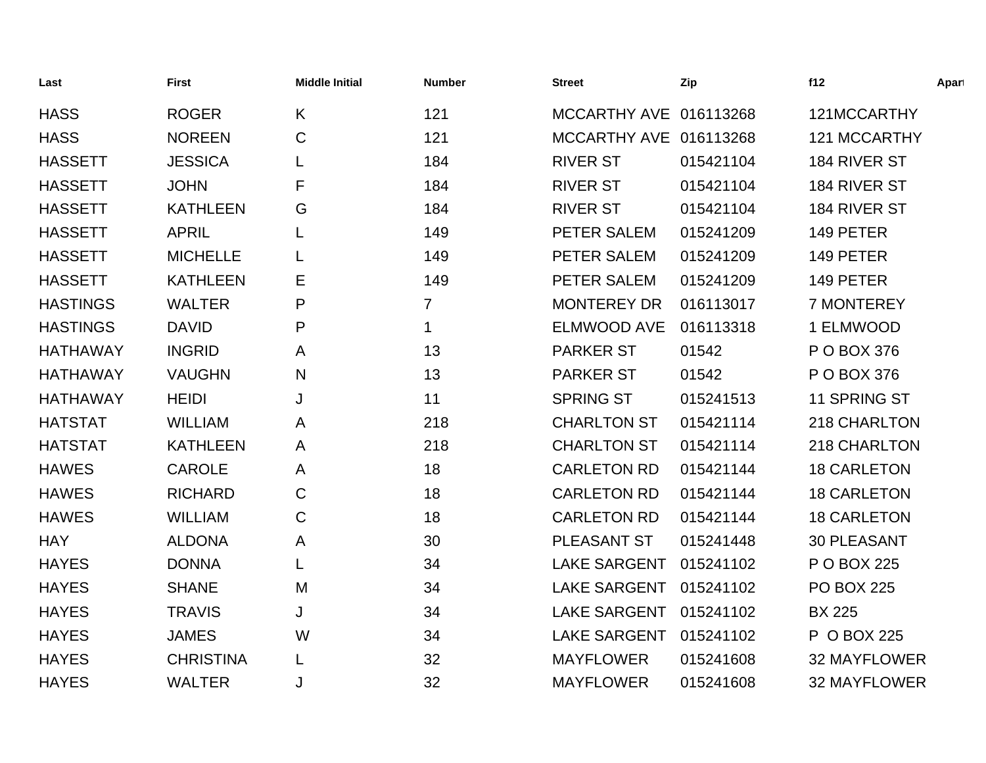| Last            | <b>First</b>     | <b>Middle Initial</b> | <b>Number</b>  | <b>Street</b>          | Zip       | f12                 | Apart |
|-----------------|------------------|-----------------------|----------------|------------------------|-----------|---------------------|-------|
| <b>HASS</b>     | <b>ROGER</b>     | K                     | 121            | MCCARTHY AVE 016113268 |           | 121MCCARTHY         |       |
| <b>HASS</b>     | <b>NOREEN</b>    | $\mathsf{C}$          | 121            | MCCARTHY AVE 016113268 |           | <b>121 MCCARTHY</b> |       |
| <b>HASSETT</b>  | <b>JESSICA</b>   |                       | 184            | <b>RIVER ST</b>        | 015421104 | 184 RIVER ST        |       |
| <b>HASSETT</b>  | <b>JOHN</b>      | F                     | 184            | <b>RIVER ST</b>        | 015421104 | 184 RIVER ST        |       |
| <b>HASSETT</b>  | <b>KATHLEEN</b>  | G                     | 184            | <b>RIVER ST</b>        | 015421104 | 184 RIVER ST        |       |
| <b>HASSETT</b>  | <b>APRIL</b>     | L                     | 149            | PETER SALEM            | 015241209 | 149 PETER           |       |
| <b>HASSETT</b>  | <b>MICHELLE</b>  | L                     | 149            | PETER SALEM            | 015241209 | 149 PETER           |       |
| <b>HASSETT</b>  | <b>KATHLEEN</b>  | Е                     | 149            | PETER SALEM            | 015241209 | 149 PETER           |       |
| <b>HASTINGS</b> | <b>WALTER</b>    | P                     | $\overline{7}$ | <b>MONTEREY DR</b>     | 016113017 | 7 MONTEREY          |       |
| <b>HASTINGS</b> | <b>DAVID</b>     | P                     | $\mathbf 1$    | <b>ELMWOOD AVE</b>     | 016113318 | 1 ELMWOOD           |       |
| <b>HATHAWAY</b> | <b>INGRID</b>    | A                     | 13             | <b>PARKER ST</b>       | 01542     | P O BOX 376         |       |
| <b>HATHAWAY</b> | <b>VAUGHN</b>    | N                     | 13             | <b>PARKER ST</b>       | 01542     | P O BOX 376         |       |
| <b>HATHAWAY</b> | <b>HEIDI</b>     | J                     | 11             | <b>SPRING ST</b>       | 015241513 | 11 SPRING ST        |       |
| <b>HATSTAT</b>  | <b>WILLIAM</b>   | A                     | 218            | <b>CHARLTON ST</b>     | 015421114 | 218 CHARLTON        |       |
| <b>HATSTAT</b>  | <b>KATHLEEN</b>  | A                     | 218            | <b>CHARLTON ST</b>     | 015421114 | 218 CHARLTON        |       |
| <b>HAWES</b>    | <b>CAROLE</b>    | A                     | 18             | <b>CARLETON RD</b>     | 015421144 | <b>18 CARLETON</b>  |       |
| <b>HAWES</b>    | <b>RICHARD</b>   | $\mathsf{C}$          | 18             | <b>CARLETON RD</b>     | 015421144 | <b>18 CARLETON</b>  |       |
| <b>HAWES</b>    | <b>WILLIAM</b>   | $\mathsf C$           | 18             | <b>CARLETON RD</b>     | 015421144 | <b>18 CARLETON</b>  |       |
| <b>HAY</b>      | <b>ALDONA</b>    | A                     | 30             | PLEASANT ST            | 015241448 | <b>30 PLEASANT</b>  |       |
| <b>HAYES</b>    | <b>DONNA</b>     | L                     | 34             | <b>LAKE SARGENT</b>    | 015241102 | P O BOX 225         |       |
| <b>HAYES</b>    | <b>SHANE</b>     | M                     | 34             | <b>LAKE SARGENT</b>    | 015241102 | <b>PO BOX 225</b>   |       |
| <b>HAYES</b>    | <b>TRAVIS</b>    | J                     | 34             | <b>LAKE SARGENT</b>    | 015241102 | <b>BX 225</b>       |       |
| <b>HAYES</b>    | <b>JAMES</b>     | W                     | 34             | <b>LAKE SARGENT</b>    | 015241102 | P O BOX 225         |       |
| <b>HAYES</b>    | <b>CHRISTINA</b> | L                     | 32             | <b>MAYFLOWER</b>       | 015241608 | <b>32 MAYFLOWER</b> |       |
| <b>HAYES</b>    | <b>WALTER</b>    | J                     | 32             | <b>MAYFLOWER</b>       | 015241608 | 32 MAYFLOWER        |       |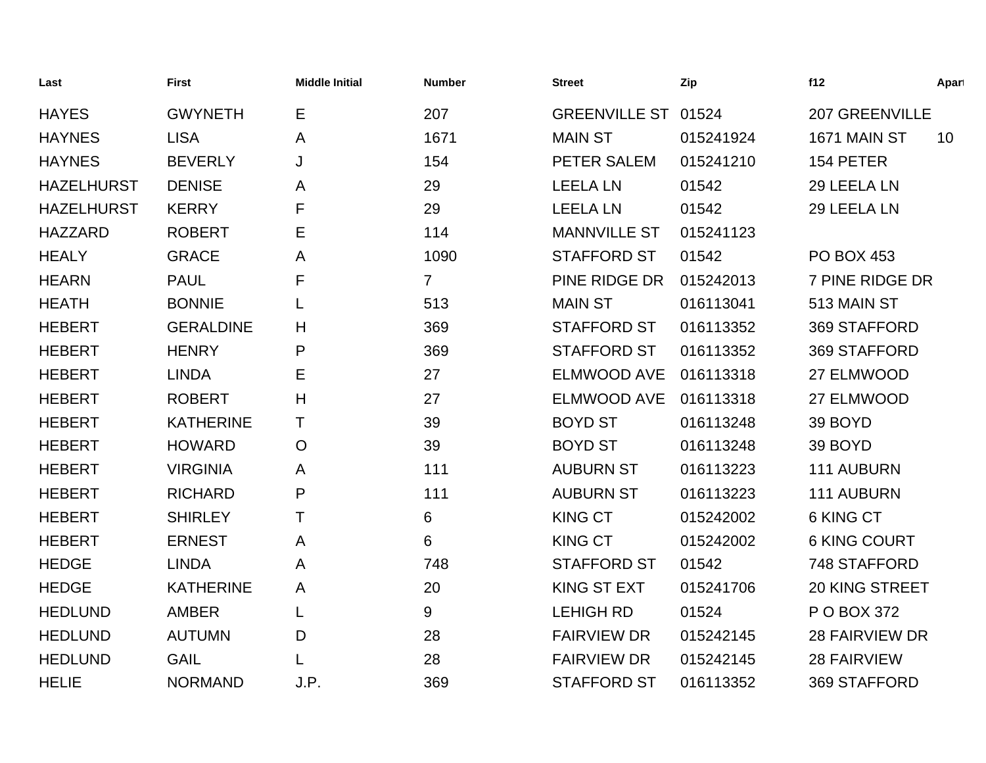| Last              | <b>First</b>     | <b>Middle Initial</b> | <b>Number</b>  | <b>Street</b>       | Zip       | f12                   | Apart |
|-------------------|------------------|-----------------------|----------------|---------------------|-----------|-----------------------|-------|
| <b>HAYES</b>      | <b>GWYNETH</b>   | Е                     | 207            | GREENVILLE ST 01524 |           | <b>207 GREENVILLE</b> |       |
| <b>HAYNES</b>     | <b>LISA</b>      | A                     | 1671           | <b>MAIN ST</b>      | 015241924 | 1671 MAIN ST          | 10    |
| <b>HAYNES</b>     | <b>BEVERLY</b>   | J                     | 154            | PETER SALEM         | 015241210 | 154 PETER             |       |
| <b>HAZELHURST</b> | <b>DENISE</b>    | A                     | 29             | <b>LEELA LN</b>     | 01542     | 29 LEELA LN           |       |
| <b>HAZELHURST</b> | <b>KERRY</b>     | F                     | 29             | <b>LEELA LN</b>     | 01542     | 29 LEELA LN           |       |
| <b>HAZZARD</b>    | <b>ROBERT</b>    | E                     | 114            | <b>MANNVILLE ST</b> | 015241123 |                       |       |
| <b>HEALY</b>      | <b>GRACE</b>     | A                     | 1090           | <b>STAFFORD ST</b>  | 01542     | <b>PO BOX 453</b>     |       |
| <b>HEARN</b>      | <b>PAUL</b>      | F                     | $\overline{7}$ | PINE RIDGE DR       | 015242013 | 7 PINE RIDGE DR       |       |
| <b>HEATH</b>      | <b>BONNIE</b>    | L                     | 513            | <b>MAIN ST</b>      | 016113041 | 513 MAIN ST           |       |
| <b>HEBERT</b>     | <b>GERALDINE</b> | H                     | 369            | <b>STAFFORD ST</b>  | 016113352 | 369 STAFFORD          |       |
| <b>HEBERT</b>     | <b>HENRY</b>     | P                     | 369            | <b>STAFFORD ST</b>  | 016113352 | 369 STAFFORD          |       |
| <b>HEBERT</b>     | <b>LINDA</b>     | Е                     | 27             | <b>ELMWOOD AVE</b>  | 016113318 | 27 ELMWOOD            |       |
| <b>HEBERT</b>     | <b>ROBERT</b>    | H                     | 27             | <b>ELMWOOD AVE</b>  | 016113318 | 27 ELMWOOD            |       |
| <b>HEBERT</b>     | <b>KATHERINE</b> | т                     | 39             | <b>BOYD ST</b>      | 016113248 | 39 BOYD               |       |
| <b>HEBERT</b>     | <b>HOWARD</b>    | $\circ$               | 39             | <b>BOYD ST</b>      | 016113248 | 39 BOYD               |       |
| <b>HEBERT</b>     | <b>VIRGINIA</b>  | A                     | 111            | <b>AUBURN ST</b>    | 016113223 | 111 AUBURN            |       |
| <b>HEBERT</b>     | <b>RICHARD</b>   | P                     | 111            | <b>AUBURN ST</b>    | 016113223 | 111 AUBURN            |       |
| <b>HEBERT</b>     | <b>SHIRLEY</b>   | т                     | 6              | <b>KING CT</b>      | 015242002 | 6 KING CT             |       |
| <b>HEBERT</b>     | <b>ERNEST</b>    | A                     | 6              | <b>KING CT</b>      | 015242002 | <b>6 KING COURT</b>   |       |
| <b>HEDGE</b>      | <b>LINDA</b>     | A                     | 748            | <b>STAFFORD ST</b>  | 01542     | 748 STAFFORD          |       |
| <b>HEDGE</b>      | <b>KATHERINE</b> | A                     | 20             | <b>KING ST EXT</b>  | 015241706 | 20 KING STREET        |       |
| <b>HEDLUND</b>    | <b>AMBER</b>     | L                     | 9              | <b>LEHIGH RD</b>    | 01524     | P O BOX 372           |       |
| <b>HEDLUND</b>    | <b>AUTUMN</b>    | D                     | 28             | <b>FAIRVIEW DR</b>  | 015242145 | <b>28 FAIRVIEW DR</b> |       |
| <b>HEDLUND</b>    | <b>GAIL</b>      |                       | 28             | <b>FAIRVIEW DR</b>  | 015242145 | <b>28 FAIRVIEW</b>    |       |
| <b>HELIE</b>      | <b>NORMAND</b>   | J.P.                  | 369            | <b>STAFFORD ST</b>  | 016113352 | 369 STAFFORD          |       |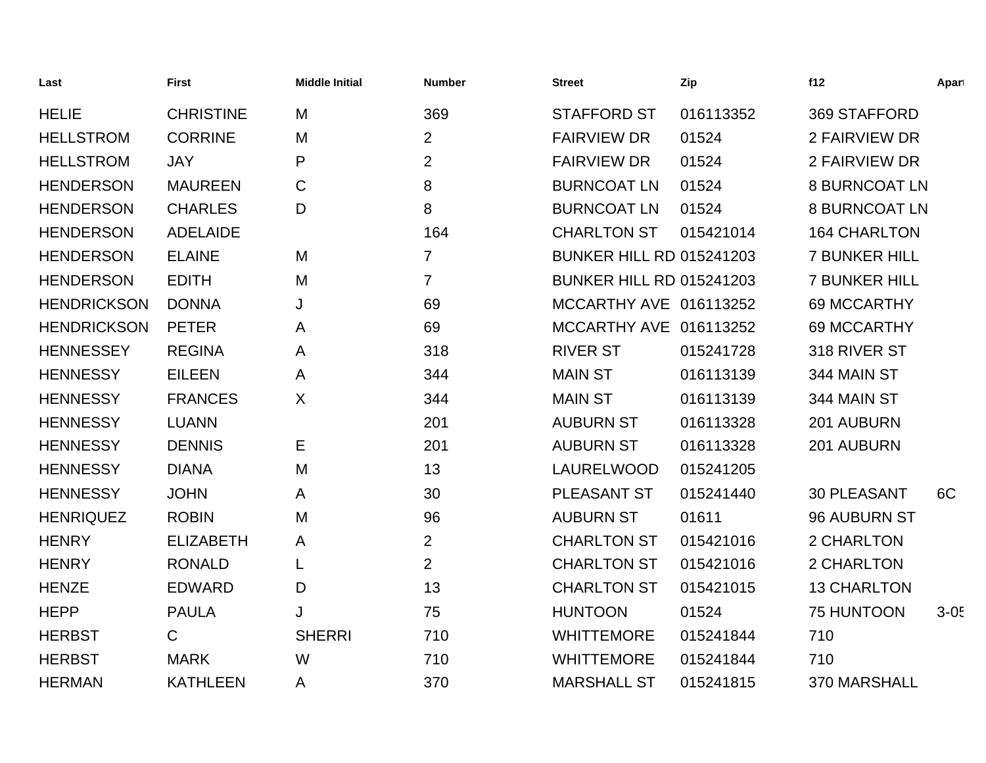| Last               | <b>First</b>     | <b>Middle Initial</b> | <b>Number</b>  | <b>Street</b>                   | Zip       | f12                  | Apart  |
|--------------------|------------------|-----------------------|----------------|---------------------------------|-----------|----------------------|--------|
| <b>HELIE</b>       | <b>CHRISTINE</b> | M                     | 369            | <b>STAFFORD ST</b>              | 016113352 | 369 STAFFORD         |        |
| <b>HELLSTROM</b>   | <b>CORRINE</b>   | M                     | $\overline{2}$ | <b>FAIRVIEW DR</b>              | 01524     | 2 FAIRVIEW DR        |        |
| <b>HELLSTROM</b>   | <b>JAY</b>       | P                     | $\overline{2}$ | <b>FAIRVIEW DR</b>              | 01524     | 2 FAIRVIEW DR        |        |
| <b>HENDERSON</b>   | <b>MAUREEN</b>   | $\mathsf C$           | 8              | <b>BURNCOAT LN</b>              | 01524     | <b>8 BURNCOAT LN</b> |        |
| <b>HENDERSON</b>   | <b>CHARLES</b>   | D                     | 8              | <b>BURNCOAT LN</b>              | 01524     | <b>8 BURNCOAT LN</b> |        |
| <b>HENDERSON</b>   | <b>ADELAIDE</b>  |                       | 164            | <b>CHARLTON ST</b>              | 015421014 | <b>164 CHARLTON</b>  |        |
| <b>HENDERSON</b>   | <b>ELAINE</b>    | M                     | 7              | <b>BUNKER HILL RD 015241203</b> |           | <b>7 BUNKER HILL</b> |        |
| <b>HENDERSON</b>   | <b>EDITH</b>     | M                     | $\overline{7}$ | <b>BUNKER HILL RD 015241203</b> |           | <b>7 BUNKER HILL</b> |        |
| <b>HENDRICKSON</b> | <b>DONNA</b>     | J                     | 69             | MCCARTHY AVE 016113252          |           | 69 MCCARTHY          |        |
| <b>HENDRICKSON</b> | <b>PETER</b>     | A                     | 69             | MCCARTHY AVE 016113252          |           | 69 MCCARTHY          |        |
| <b>HENNESSEY</b>   | <b>REGINA</b>    | A                     | 318            | <b>RIVER ST</b>                 | 015241728 | 318 RIVER ST         |        |
| <b>HENNESSY</b>    | <b>EILEEN</b>    | A                     | 344            | <b>MAIN ST</b>                  | 016113139 | 344 MAIN ST          |        |
| <b>HENNESSY</b>    | <b>FRANCES</b>   | X                     | 344            | <b>MAIN ST</b>                  | 016113139 | 344 MAIN ST          |        |
| <b>HENNESSY</b>    | <b>LUANN</b>     |                       | 201            | <b>AUBURN ST</b>                | 016113328 | 201 AUBURN           |        |
| <b>HENNESSY</b>    | <b>DENNIS</b>    | Е                     | 201            | <b>AUBURN ST</b>                | 016113328 | 201 AUBURN           |        |
| <b>HENNESSY</b>    | <b>DIANA</b>     | M                     | 13             | LAURELWOOD                      | 015241205 |                      |        |
| <b>HENNESSY</b>    | <b>JOHN</b>      | A                     | 30             | PLEASANT ST                     | 015241440 | <b>30 PLEASANT</b>   | 6C     |
| <b>HENRIQUEZ</b>   | <b>ROBIN</b>     | M                     | 96             | <b>AUBURN ST</b>                | 01611     | 96 AUBURN ST         |        |
| <b>HENRY</b>       | <b>ELIZABETH</b> | A                     | $\overline{2}$ | <b>CHARLTON ST</b>              | 015421016 | 2 CHARLTON           |        |
| <b>HENRY</b>       | <b>RONALD</b>    | L                     | $\overline{2}$ | <b>CHARLTON ST</b>              | 015421016 | 2 CHARLTON           |        |
| <b>HENZE</b>       | <b>EDWARD</b>    | D                     | 13             | <b>CHARLTON ST</b>              | 015421015 | <b>13 CHARLTON</b>   |        |
| <b>HEPP</b>        | <b>PAULA</b>     | J                     | 75             | <b>HUNTOON</b>                  | 01524     | <b>75 HUNTOON</b>    | $3-05$ |
| <b>HERBST</b>      | $\mathsf{C}$     | <b>SHERRI</b>         | 710            | <b>WHITTEMORE</b>               | 015241844 | 710                  |        |
| <b>HERBST</b>      | <b>MARK</b>      | W                     | 710            | <b>WHITTEMORE</b>               | 015241844 | 710                  |        |
| <b>HERMAN</b>      | <b>KATHLEEN</b>  | A                     | 370            | <b>MARSHALL ST</b>              | 015241815 | 370 MARSHALL         |        |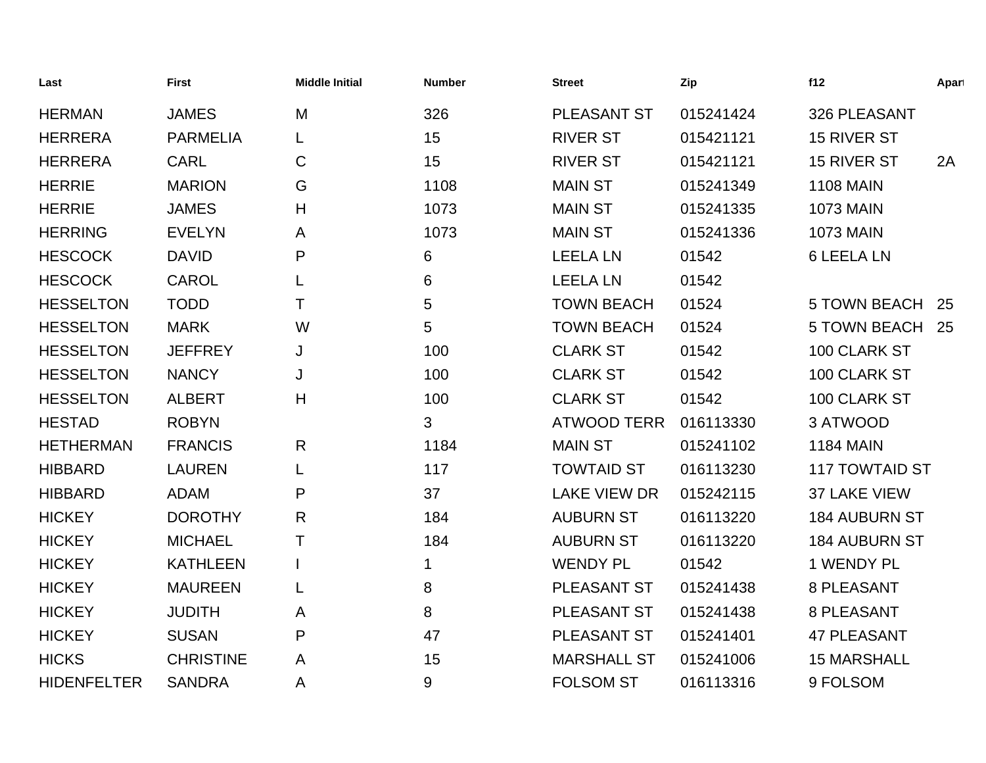| Last               | <b>First</b>     | <b>Middle Initial</b> | <b>Number</b> | <b>Street</b>       | Zip       | f12                   | Apart |
|--------------------|------------------|-----------------------|---------------|---------------------|-----------|-----------------------|-------|
| <b>HERMAN</b>      | <b>JAMES</b>     | M                     | 326           | <b>PLEASANT ST</b>  | 015241424 | 326 PLEASANT          |       |
| <b>HERRERA</b>     | <b>PARMELIA</b>  | L                     | 15            | <b>RIVER ST</b>     | 015421121 | <b>15 RIVER ST</b>    |       |
| <b>HERRERA</b>     | <b>CARL</b>      | C                     | 15            | <b>RIVER ST</b>     | 015421121 | 15 RIVER ST           | 2A    |
| <b>HERRIE</b>      | <b>MARION</b>    | G                     | 1108          | <b>MAIN ST</b>      | 015241349 | <b>1108 MAIN</b>      |       |
| <b>HERRIE</b>      | <b>JAMES</b>     | Н                     | 1073          | <b>MAIN ST</b>      | 015241335 | <b>1073 MAIN</b>      |       |
| <b>HERRING</b>     | <b>EVELYN</b>    | A                     | 1073          | <b>MAIN ST</b>      | 015241336 | <b>1073 MAIN</b>      |       |
| <b>HESCOCK</b>     | <b>DAVID</b>     | P                     | 6             | <b>LEELA LN</b>     | 01542     | <b>6 LEELA LN</b>     |       |
| <b>HESCOCK</b>     | <b>CAROL</b>     | L                     | 6             | <b>LEELA LN</b>     | 01542     |                       |       |
| <b>HESSELTON</b>   | <b>TODD</b>      | Τ                     | 5             | <b>TOWN BEACH</b>   | 01524     | <b>5 TOWN BEACH</b>   | 25    |
| <b>HESSELTON</b>   | <b>MARK</b>      | W                     | 5             | <b>TOWN BEACH</b>   | 01524     | <b>5 TOWN BEACH</b>   | 25    |
| <b>HESSELTON</b>   | <b>JEFFREY</b>   | J                     | 100           | <b>CLARK ST</b>     | 01542     | 100 CLARK ST          |       |
| <b>HESSELTON</b>   | <b>NANCY</b>     | J                     | 100           | <b>CLARK ST</b>     | 01542     | 100 CLARK ST          |       |
| <b>HESSELTON</b>   | <b>ALBERT</b>    | H                     | 100           | <b>CLARK ST</b>     | 01542     | 100 CLARK ST          |       |
| <b>HESTAD</b>      | <b>ROBYN</b>     |                       | 3             | <b>ATWOOD TERR</b>  | 016113330 | 3 ATWOOD              |       |
| <b>HETHERMAN</b>   | <b>FRANCIS</b>   | R                     | 1184          | <b>MAIN ST</b>      | 015241102 | <b>1184 MAIN</b>      |       |
| <b>HIBBARD</b>     | <b>LAUREN</b>    | L                     | 117           | <b>TOWTAID ST</b>   | 016113230 | <b>117 TOWTAID ST</b> |       |
| <b>HIBBARD</b>     | <b>ADAM</b>      | P                     | 37            | <b>LAKE VIEW DR</b> | 015242115 | 37 LAKE VIEW          |       |
| <b>HICKEY</b>      | <b>DOROTHY</b>   | R                     | 184           | <b>AUBURN ST</b>    | 016113220 | <b>184 AUBURN ST</b>  |       |
| <b>HICKEY</b>      | <b>MICHAEL</b>   | Τ                     | 184           | <b>AUBURN ST</b>    | 016113220 | <b>184 AUBURN ST</b>  |       |
| <b>HICKEY</b>      | <b>KATHLEEN</b>  |                       | 1             | <b>WENDY PL</b>     | 01542     | 1 WENDY PL            |       |
| <b>HICKEY</b>      | <b>MAUREEN</b>   | L                     | 8             | PLEASANT ST         | 015241438 | 8 PLEASANT            |       |
| <b>HICKEY</b>      | <b>JUDITH</b>    | A                     | 8             | <b>PLEASANT ST</b>  | 015241438 | 8 PLEASANT            |       |
| <b>HICKEY</b>      | <b>SUSAN</b>     | P                     | 47            | <b>PLEASANT ST</b>  | 015241401 | <b>47 PLEASANT</b>    |       |
| <b>HICKS</b>       | <b>CHRISTINE</b> | A                     | 15            | <b>MARSHALL ST</b>  | 015241006 | <b>15 MARSHALL</b>    |       |
| <b>HIDENFELTER</b> | <b>SANDRA</b>    | Α                     | $\mathsf 9$   | <b>FOLSOM ST</b>    | 016113316 | 9 FOLSOM              |       |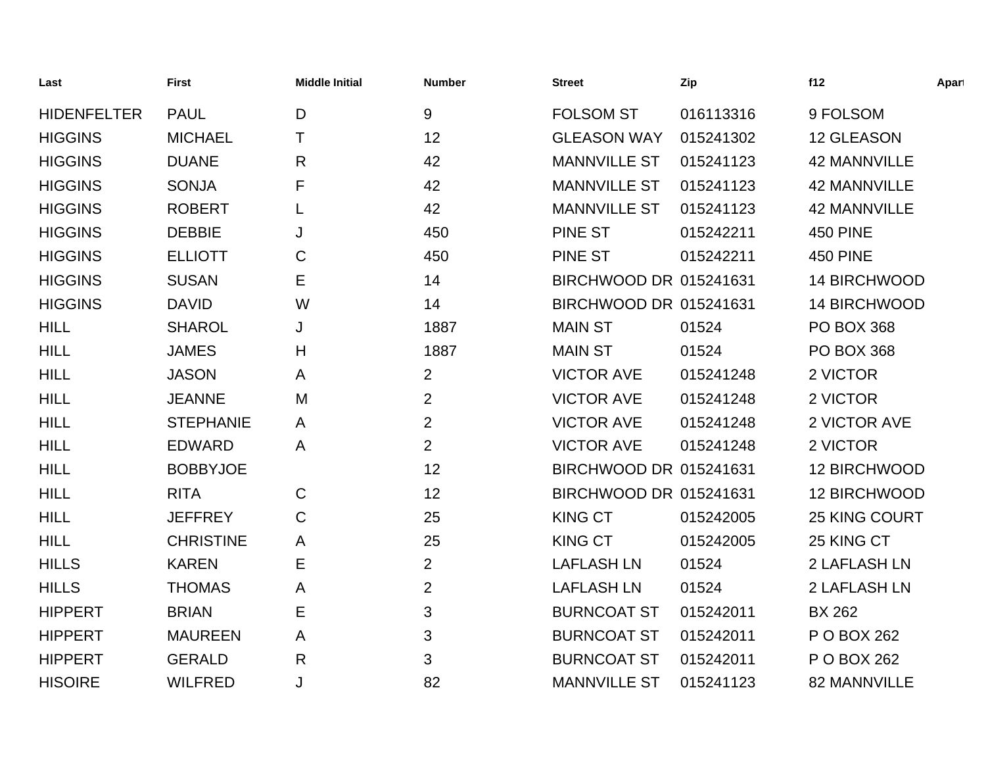| Last               | <b>First</b>     | <b>Middle Initial</b> | <b>Number</b>  | <b>Street</b>          | Zip       | f12                 | Apart |
|--------------------|------------------|-----------------------|----------------|------------------------|-----------|---------------------|-------|
| <b>HIDENFELTER</b> | <b>PAUL</b>      | D                     | 9              | <b>FOLSOM ST</b>       | 016113316 | 9 FOLSOM            |       |
| <b>HIGGINS</b>     | <b>MICHAEL</b>   | т                     | 12             | <b>GLEASON WAY</b>     | 015241302 | 12 GLEASON          |       |
| <b>HIGGINS</b>     | <b>DUANE</b>     | $\mathsf{R}$          | 42             | <b>MANNVILLE ST</b>    | 015241123 | <b>42 MANNVILLE</b> |       |
| <b>HIGGINS</b>     | <b>SONJA</b>     | F                     | 42             | <b>MANNVILLE ST</b>    | 015241123 | <b>42 MANNVILLE</b> |       |
| <b>HIGGINS</b>     | <b>ROBERT</b>    | L                     | 42             | <b>MANNVILLE ST</b>    | 015241123 | <b>42 MANNVILLE</b> |       |
| <b>HIGGINS</b>     | <b>DEBBIE</b>    | J                     | 450            | <b>PINE ST</b>         | 015242211 | <b>450 PINE</b>     |       |
| <b>HIGGINS</b>     | <b>ELLIOTT</b>   | $\mathsf C$           | 450            | <b>PINE ST</b>         | 015242211 | <b>450 PINE</b>     |       |
| <b>HIGGINS</b>     | <b>SUSAN</b>     | Е                     | 14             | BIRCHWOOD DR 015241631 |           | 14 BIRCHWOOD        |       |
| <b>HIGGINS</b>     | <b>DAVID</b>     | W                     | 14             | BIRCHWOOD DR 015241631 |           | <b>14 BIRCHWOOD</b> |       |
| <b>HILL</b>        | <b>SHAROL</b>    | J                     | 1887           | <b>MAIN ST</b>         | 01524     | <b>PO BOX 368</b>   |       |
| <b>HILL</b>        | <b>JAMES</b>     | Н                     | 1887           | <b>MAIN ST</b>         | 01524     | <b>PO BOX 368</b>   |       |
| <b>HILL</b>        | <b>JASON</b>     | A                     | $\overline{2}$ | <b>VICTOR AVE</b>      | 015241248 | 2 VICTOR            |       |
| <b>HILL</b>        | <b>JEANNE</b>    | M                     | $\overline{2}$ | <b>VICTOR AVE</b>      | 015241248 | 2 VICTOR            |       |
| <b>HILL</b>        | <b>STEPHANIE</b> | A                     | $\overline{2}$ | <b>VICTOR AVE</b>      | 015241248 | 2 VICTOR AVE        |       |
| <b>HILL</b>        | <b>EDWARD</b>    | A                     | $\overline{2}$ | <b>VICTOR AVE</b>      | 015241248 | 2 VICTOR            |       |
| <b>HILL</b>        | <b>BOBBYJOE</b>  |                       | 12             | BIRCHWOOD DR 015241631 |           | <b>12 BIRCHWOOD</b> |       |
| <b>HILL</b>        | <b>RITA</b>      | $\mathsf C$           | 12             | BIRCHWOOD DR 015241631 |           | <b>12 BIRCHWOOD</b> |       |
| <b>HILL</b>        | <b>JEFFREY</b>   | $\mathsf C$           | 25             | <b>KING CT</b>         | 015242005 | 25 KING COURT       |       |
| <b>HILL</b>        | <b>CHRISTINE</b> | A                     | 25             | <b>KING CT</b>         | 015242005 | 25 KING CT          |       |
| <b>HILLS</b>       | <b>KAREN</b>     | Ε                     | $\overline{2}$ | <b>LAFLASH LN</b>      | 01524     | 2 LAFLASH LN        |       |
| <b>HILLS</b>       | <b>THOMAS</b>    | A                     | $\overline{2}$ | <b>LAFLASH LN</b>      | 01524     | 2 LAFLASH LN        |       |
| <b>HIPPERT</b>     | <b>BRIAN</b>     | Е                     | 3              | <b>BURNCOAT ST</b>     | 015242011 | <b>BX 262</b>       |       |
| <b>HIPPERT</b>     | <b>MAUREEN</b>   | $\mathsf{A}$          | 3              | <b>BURNCOAT ST</b>     | 015242011 | P O BOX 262         |       |
| <b>HIPPERT</b>     | <b>GERALD</b>    | $\mathsf{R}$          | 3              | <b>BURNCOAT ST</b>     | 015242011 | P O BOX 262         |       |
| <b>HISOIRE</b>     | <b>WILFRED</b>   | J                     | 82             | <b>MANNVILLE ST</b>    | 015241123 | 82 MANNVILLE        |       |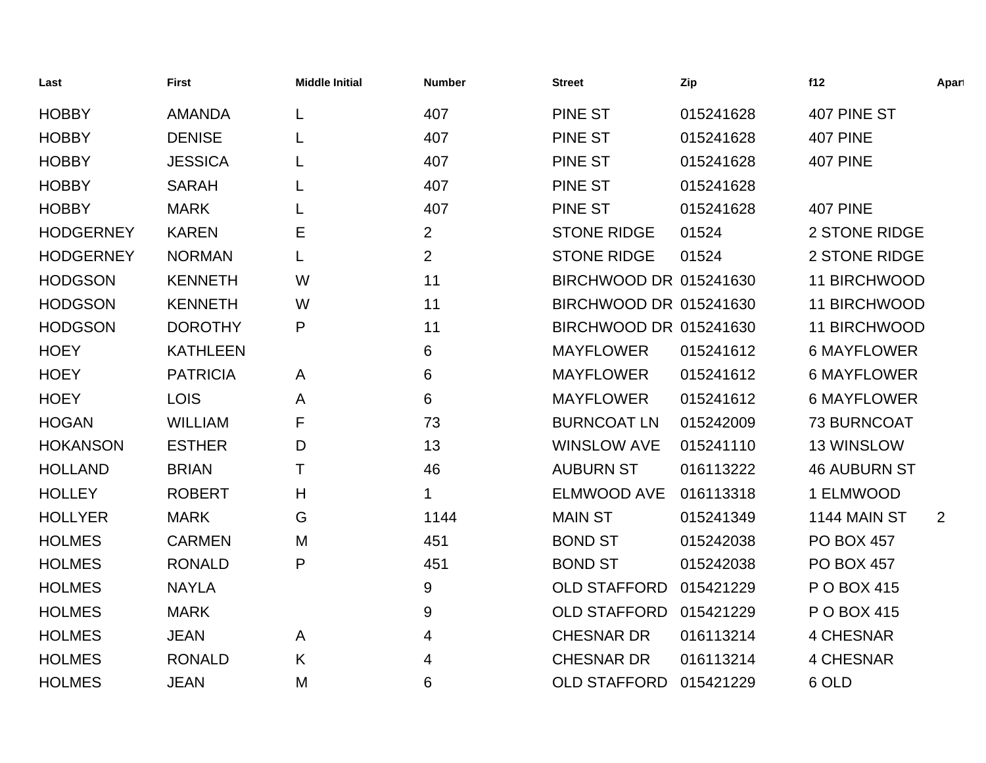| Last             | <b>First</b>    | <b>Middle Initial</b> | <b>Number</b>  | <b>Street</b>          | Zip       | f12                 | Apart          |
|------------------|-----------------|-----------------------|----------------|------------------------|-----------|---------------------|----------------|
| <b>HOBBY</b>     | <b>AMANDA</b>   |                       | 407            | <b>PINE ST</b>         | 015241628 | 407 PINE ST         |                |
| <b>HOBBY</b>     | <b>DENISE</b>   |                       | 407            | <b>PINE ST</b>         | 015241628 | <b>407 PINE</b>     |                |
| <b>HOBBY</b>     | <b>JESSICA</b>  |                       | 407            | <b>PINE ST</b>         | 015241628 | <b>407 PINE</b>     |                |
| <b>HOBBY</b>     | <b>SARAH</b>    | L                     | 407            | <b>PINE ST</b>         | 015241628 |                     |                |
| <b>HOBBY</b>     | <b>MARK</b>     |                       | 407            | <b>PINE ST</b>         | 015241628 | <b>407 PINE</b>     |                |
| <b>HODGERNEY</b> | <b>KAREN</b>    | Е                     | $\overline{2}$ | <b>STONE RIDGE</b>     | 01524     | 2 STONE RIDGE       |                |
| <b>HODGERNEY</b> | <b>NORMAN</b>   | L                     | $\overline{2}$ | <b>STONE RIDGE</b>     | 01524     | 2 STONE RIDGE       |                |
| <b>HODGSON</b>   | <b>KENNETH</b>  | W                     | 11             | BIRCHWOOD DR 015241630 |           | 11 BIRCHWOOD        |                |
| <b>HODGSON</b>   | <b>KENNETH</b>  | W                     | 11             | BIRCHWOOD DR 015241630 |           | 11 BIRCHWOOD        |                |
| <b>HODGSON</b>   | <b>DOROTHY</b>  | P                     | 11             | BIRCHWOOD DR 015241630 |           | 11 BIRCHWOOD        |                |
| <b>HOEY</b>      | <b>KATHLEEN</b> |                       | 6              | <b>MAYFLOWER</b>       | 015241612 | <b>6 MAYFLOWER</b>  |                |
| <b>HOEY</b>      | <b>PATRICIA</b> | A                     | 6              | <b>MAYFLOWER</b>       | 015241612 | <b>6 MAYFLOWER</b>  |                |
| <b>HOEY</b>      | <b>LOIS</b>     | A                     | 6              | <b>MAYFLOWER</b>       | 015241612 | <b>6 MAYFLOWER</b>  |                |
| <b>HOGAN</b>     | <b>WILLIAM</b>  | F                     | 73             | <b>BURNCOAT LN</b>     | 015242009 | <b>73 BURNCOAT</b>  |                |
| <b>HOKANSON</b>  | <b>ESTHER</b>   | D                     | 13             | <b>WINSLOW AVE</b>     | 015241110 | 13 WINSLOW          |                |
| <b>HOLLAND</b>   | <b>BRIAN</b>    | Τ                     | 46             | <b>AUBURN ST</b>       | 016113222 | <b>46 AUBURN ST</b> |                |
| <b>HOLLEY</b>    | <b>ROBERT</b>   | H                     |                | <b>ELMWOOD AVE</b>     | 016113318 | 1 ELMWOOD           |                |
| <b>HOLLYER</b>   | <b>MARK</b>     | G                     | 1144           | <b>MAIN ST</b>         | 015241349 | <b>1144 MAIN ST</b> | $\overline{2}$ |
| <b>HOLMES</b>    | <b>CARMEN</b>   | M                     | 451            | <b>BOND ST</b>         | 015242038 | <b>PO BOX 457</b>   |                |
| <b>HOLMES</b>    | <b>RONALD</b>   | P                     | 451            | <b>BOND ST</b>         | 015242038 | <b>PO BOX 457</b>   |                |
| <b>HOLMES</b>    | <b>NAYLA</b>    |                       | 9              | <b>OLD STAFFORD</b>    | 015421229 | P O BOX 415         |                |
| <b>HOLMES</b>    | <b>MARK</b>     |                       | 9              | <b>OLD STAFFORD</b>    | 015421229 | P O BOX 415         |                |
| <b>HOLMES</b>    | <b>JEAN</b>     | A                     | 4              | <b>CHESNAR DR</b>      | 016113214 | <b>4 CHESNAR</b>    |                |
| <b>HOLMES</b>    | <b>RONALD</b>   | K                     | 4              | <b>CHESNAR DR</b>      | 016113214 | 4 CHESNAR           |                |
| <b>HOLMES</b>    | <b>JEAN</b>     | M                     | 6              | <b>OLD STAFFORD</b>    | 015421229 | 6 OLD               |                |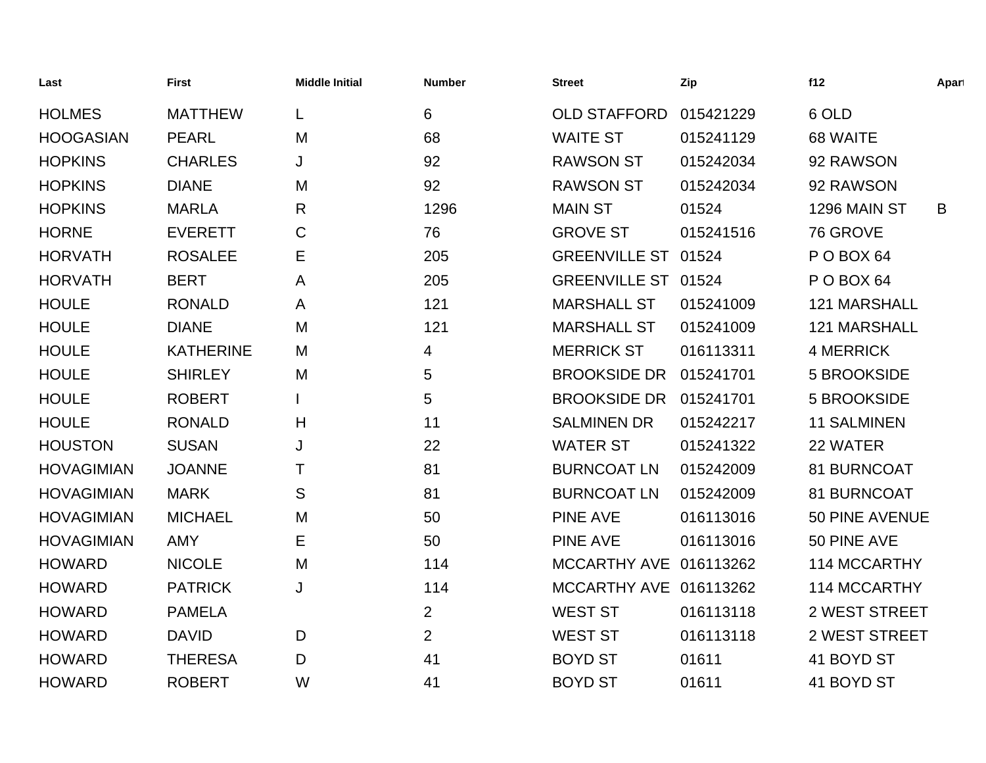| Last              | <b>First</b>     | <b>Middle Initial</b> | <b>Number</b>  | <b>Street</b>          | Zip       | f12                  | Apart |
|-------------------|------------------|-----------------------|----------------|------------------------|-----------|----------------------|-------|
| <b>HOLMES</b>     | <b>MATTHEW</b>   | L                     | 6              | <b>OLD STAFFORD</b>    | 015421229 | 6 OLD                |       |
| <b>HOOGASIAN</b>  | <b>PEARL</b>     | M                     | 68             | <b>WAITE ST</b>        | 015241129 | 68 WAITE             |       |
| <b>HOPKINS</b>    | <b>CHARLES</b>   | J                     | 92             | <b>RAWSON ST</b>       | 015242034 | 92 RAWSON            |       |
| <b>HOPKINS</b>    | <b>DIANE</b>     | M                     | 92             | <b>RAWSON ST</b>       | 015242034 | 92 RAWSON            |       |
| <b>HOPKINS</b>    | <b>MARLA</b>     | $\mathsf{R}$          | 1296           | <b>MAIN ST</b>         | 01524     | 1296 MAIN ST         | B     |
| <b>HORNE</b>      | <b>EVERETT</b>   | C                     | 76             | <b>GROVE ST</b>        | 015241516 | 76 GROVE             |       |
| <b>HORVATH</b>    | <b>ROSALEE</b>   | Е                     | 205            | <b>GREENVILLE ST</b>   | 01524     | POBOX <sub>64</sub>  |       |
| <b>HORVATH</b>    | <b>BERT</b>      | A                     | 205            | GREENVILLE ST 01524    |           | POBOX <sub>64</sub>  |       |
| <b>HOULE</b>      | <b>RONALD</b>    | A                     | 121            | <b>MARSHALL ST</b>     | 015241009 | 121 MARSHALL         |       |
| <b>HOULE</b>      | <b>DIANE</b>     | M                     | 121            | <b>MARSHALL ST</b>     | 015241009 | 121 MARSHALL         |       |
| <b>HOULE</b>      | <b>KATHERINE</b> | M                     | 4              | <b>MERRICK ST</b>      | 016113311 | <b>4 MERRICK</b>     |       |
| <b>HOULE</b>      | <b>SHIRLEY</b>   | M                     | 5              | <b>BROOKSIDE DR</b>    | 015241701 | 5 BROOKSIDE          |       |
| <b>HOULE</b>      | <b>ROBERT</b>    |                       | 5              | <b>BROOKSIDE DR</b>    | 015241701 | 5 BROOKSIDE          |       |
| <b>HOULE</b>      | <b>RONALD</b>    | H                     | 11             | <b>SALMINEN DR</b>     | 015242217 | <b>11 SALMINEN</b>   |       |
| <b>HOUSTON</b>    | <b>SUSAN</b>     | J                     | 22             | <b>WATER ST</b>        | 015241322 | 22 WATER             |       |
| <b>HOVAGIMIAN</b> | <b>JOANNE</b>    | т                     | 81             | <b>BURNCOAT LN</b>     | 015242009 | 81 BURNCOAT          |       |
| <b>HOVAGIMIAN</b> | <b>MARK</b>      | S                     | 81             | <b>BURNCOAT LN</b>     | 015242009 | 81 BURNCOAT          |       |
| <b>HOVAGIMIAN</b> | <b>MICHAEL</b>   | M                     | 50             | <b>PINE AVE</b>        | 016113016 | 50 PINE AVENUE       |       |
| <b>HOVAGIMIAN</b> | <b>AMY</b>       | E                     | 50             | <b>PINE AVE</b>        | 016113016 | 50 PINE AVE          |       |
| <b>HOWARD</b>     | <b>NICOLE</b>    | M                     | 114            | MCCARTHY AVE 016113262 |           | 114 MCCARTHY         |       |
| <b>HOWARD</b>     | <b>PATRICK</b>   | J                     | 114            | MCCARTHY AVE 016113262 |           | 114 MCCARTHY         |       |
| <b>HOWARD</b>     | <b>PAMELA</b>    |                       | $\overline{2}$ | <b>WEST ST</b>         | 016113118 | <b>2 WEST STREET</b> |       |
| <b>HOWARD</b>     | <b>DAVID</b>     | D                     | $\overline{2}$ | <b>WEST ST</b>         | 016113118 | <b>2 WEST STREET</b> |       |
| <b>HOWARD</b>     | <b>THERESA</b>   | D                     | 41             | <b>BOYD ST</b>         | 01611     | 41 BOYD ST           |       |
| <b>HOWARD</b>     | <b>ROBERT</b>    | W                     | 41             | <b>BOYD ST</b>         | 01611     | 41 BOYD ST           |       |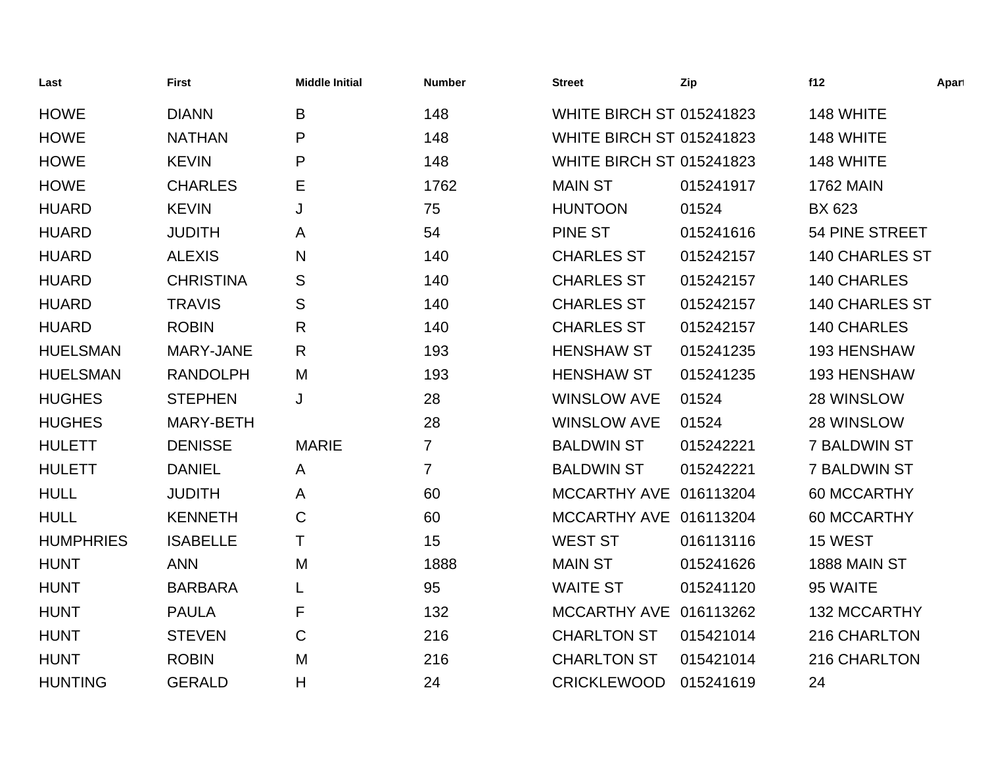| Last             | <b>First</b>     | <b>Middle Initial</b> | <b>Number</b>  | <b>Street</b>                   | Zip       | f12                   | Apart |
|------------------|------------------|-----------------------|----------------|---------------------------------|-----------|-----------------------|-------|
| <b>HOWE</b>      | <b>DIANN</b>     | B                     | 148            | <b>WHITE BIRCH ST 015241823</b> |           | 148 WHITE             |       |
| <b>HOWE</b>      | <b>NATHAN</b>    | P                     | 148            | <b>WHITE BIRCH ST 015241823</b> |           | 148 WHITE             |       |
| <b>HOWE</b>      | <b>KEVIN</b>     | P                     | 148            | <b>WHITE BIRCH ST 015241823</b> |           | 148 WHITE             |       |
| <b>HOWE</b>      | <b>CHARLES</b>   | Е                     | 1762           | <b>MAIN ST</b>                  | 015241917 | <b>1762 MAIN</b>      |       |
| <b>HUARD</b>     | <b>KEVIN</b>     | J                     | 75             | <b>HUNTOON</b>                  | 01524     | <b>BX 623</b>         |       |
| <b>HUARD</b>     | <b>JUDITH</b>    | A                     | 54             | <b>PINE ST</b>                  | 015241616 | 54 PINE STREET        |       |
| <b>HUARD</b>     | <b>ALEXIS</b>    | N                     | 140            | <b>CHARLES ST</b>               | 015242157 | <b>140 CHARLES ST</b> |       |
| <b>HUARD</b>     | <b>CHRISTINA</b> | S                     | 140            | <b>CHARLES ST</b>               | 015242157 | 140 CHARLES           |       |
| <b>HUARD</b>     | <b>TRAVIS</b>    | S                     | 140            | <b>CHARLES ST</b>               | 015242157 | <b>140 CHARLES ST</b> |       |
| <b>HUARD</b>     | <b>ROBIN</b>     | R                     | 140            | <b>CHARLES ST</b>               | 015242157 | 140 CHARLES           |       |
| <b>HUELSMAN</b>  | MARY-JANE        | R.                    | 193            | <b>HENSHAW ST</b>               | 015241235 | 193 HENSHAW           |       |
| <b>HUELSMAN</b>  | <b>RANDOLPH</b>  | M                     | 193            | <b>HENSHAW ST</b>               | 015241235 | 193 HENSHAW           |       |
| <b>HUGHES</b>    | <b>STEPHEN</b>   | J                     | 28             | <b>WINSLOW AVE</b>              | 01524     | 28 WINSLOW            |       |
| <b>HUGHES</b>    | MARY-BETH        |                       | 28             | <b>WINSLOW AVE</b>              | 01524     | 28 WINSLOW            |       |
| <b>HULETT</b>    | <b>DENISSE</b>   | <b>MARIE</b>          | $\overline{7}$ | <b>BALDWIN ST</b>               | 015242221 | <b>7 BALDWIN ST</b>   |       |
| <b>HULETT</b>    | <b>DANIEL</b>    | A                     | $\overline{7}$ | <b>BALDWIN ST</b>               | 015242221 | <b>7 BALDWIN ST</b>   |       |
| <b>HULL</b>      | <b>JUDITH</b>    | A                     | 60             | MCCARTHY AVE 016113204          |           | 60 MCCARTHY           |       |
| <b>HULL</b>      | <b>KENNETH</b>   | C                     | 60             | MCCARTHY AVE 016113204          |           | 60 MCCARTHY           |       |
| <b>HUMPHRIES</b> | <b>ISABELLE</b>  | Τ                     | 15             | <b>WEST ST</b>                  | 016113116 | 15 WEST               |       |
| <b>HUNT</b>      | <b>ANN</b>       | M                     | 1888           | <b>MAIN ST</b>                  | 015241626 | 1888 MAIN ST          |       |
| <b>HUNT</b>      | <b>BARBARA</b>   |                       | 95             | <b>WAITE ST</b>                 | 015241120 | 95 WAITE              |       |
| <b>HUNT</b>      | <b>PAULA</b>     | F                     | 132            | MCCARTHY AVE 016113262          |           | <b>132 MCCARTHY</b>   |       |
| <b>HUNT</b>      | <b>STEVEN</b>    | $\mathsf{C}$          | 216            | <b>CHARLTON ST</b>              | 015421014 | 216 CHARLTON          |       |
| <b>HUNT</b>      | <b>ROBIN</b>     | M                     | 216            | <b>CHARLTON ST</b>              | 015421014 | 216 CHARLTON          |       |
| <b>HUNTING</b>   | <b>GERALD</b>    | Η                     | 24             | <b>CRICKLEWOOD</b>              | 015241619 | 24                    |       |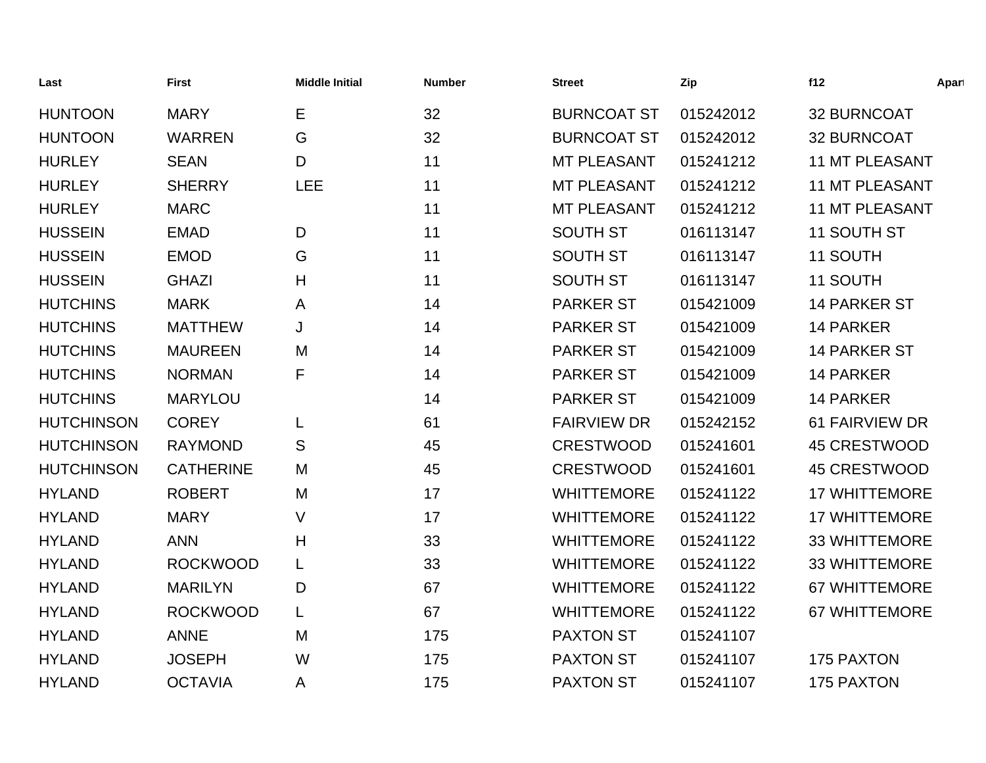| Last              | <b>First</b>     | <b>Middle Initial</b> | <b>Number</b> | <b>Street</b>      | Zip       | f12                   | Apart |
|-------------------|------------------|-----------------------|---------------|--------------------|-----------|-----------------------|-------|
| <b>HUNTOON</b>    | <b>MARY</b>      | Е                     | 32            | <b>BURNCOAT ST</b> | 015242012 | 32 BURNCOAT           |       |
| <b>HUNTOON</b>    | <b>WARREN</b>    | G                     | 32            | <b>BURNCOAT ST</b> | 015242012 | 32 BURNCOAT           |       |
| <b>HURLEY</b>     | <b>SEAN</b>      | D                     | 11            | <b>MT PLEASANT</b> | 015241212 | <b>11 MT PLEASANT</b> |       |
| <b>HURLEY</b>     | <b>SHERRY</b>    | <b>LEE</b>            | 11            | <b>MT PLEASANT</b> | 015241212 | <b>11 MT PLEASANT</b> |       |
| <b>HURLEY</b>     | <b>MARC</b>      |                       | 11            | <b>MT PLEASANT</b> | 015241212 | <b>11 MT PLEASANT</b> |       |
| <b>HUSSEIN</b>    | <b>EMAD</b>      | D                     | 11            | <b>SOUTH ST</b>    | 016113147 | 11 SOUTH ST           |       |
| <b>HUSSEIN</b>    | <b>EMOD</b>      | G                     | 11            | <b>SOUTH ST</b>    | 016113147 | 11 SOUTH              |       |
| <b>HUSSEIN</b>    | <b>GHAZI</b>     | H                     | 11            | <b>SOUTH ST</b>    | 016113147 | 11 SOUTH              |       |
| <b>HUTCHINS</b>   | <b>MARK</b>      | A                     | 14            | <b>PARKER ST</b>   | 015421009 | 14 PARKER ST          |       |
| <b>HUTCHINS</b>   | <b>MATTHEW</b>   | J                     | 14            | <b>PARKER ST</b>   | 015421009 | <b>14 PARKER</b>      |       |
| <b>HUTCHINS</b>   | <b>MAUREEN</b>   | M                     | 14            | <b>PARKER ST</b>   | 015421009 | <b>14 PARKER ST</b>   |       |
| <b>HUTCHINS</b>   | <b>NORMAN</b>    | F                     | 14            | <b>PARKER ST</b>   | 015421009 | 14 PARKER             |       |
| <b>HUTCHINS</b>   | <b>MARYLOU</b>   |                       | 14            | <b>PARKER ST</b>   | 015421009 | 14 PARKER             |       |
| <b>HUTCHINSON</b> | <b>COREY</b>     | L                     | 61            | <b>FAIRVIEW DR</b> | 015242152 | <b>61 FAIRVIEW DR</b> |       |
| <b>HUTCHINSON</b> | <b>RAYMOND</b>   | S                     | 45            | <b>CRESTWOOD</b>   | 015241601 | <b>45 CRESTWOOD</b>   |       |
| <b>HUTCHINSON</b> | <b>CATHERINE</b> | M                     | 45            | <b>CRESTWOOD</b>   | 015241601 | 45 CRESTWOOD          |       |
| <b>HYLAND</b>     | <b>ROBERT</b>    | M                     | 17            | <b>WHITTEMORE</b>  | 015241122 | <b>17 WHITTEMORE</b>  |       |
| <b>HYLAND</b>     | <b>MARY</b>      | V                     | 17            | <b>WHITTEMORE</b>  | 015241122 | <b>17 WHITTEMORE</b>  |       |
| <b>HYLAND</b>     | <b>ANN</b>       | H                     | 33            | <b>WHITTEMORE</b>  | 015241122 | <b>33 WHITTEMORE</b>  |       |
| <b>HYLAND</b>     | <b>ROCKWOOD</b>  | L                     | 33            | <b>WHITTEMORE</b>  | 015241122 | <b>33 WHITTEMORE</b>  |       |
| <b>HYLAND</b>     | <b>MARILYN</b>   | D                     | 67            | <b>WHITTEMORE</b>  | 015241122 | <b>67 WHITTEMORE</b>  |       |
| <b>HYLAND</b>     | <b>ROCKWOOD</b>  | L                     | 67            | <b>WHITTEMORE</b>  | 015241122 | <b>67 WHITTEMORE</b>  |       |
| <b>HYLAND</b>     | <b>ANNE</b>      | M                     | 175           | <b>PAXTON ST</b>   | 015241107 |                       |       |
| <b>HYLAND</b>     | <b>JOSEPH</b>    | W                     | 175           | <b>PAXTON ST</b>   | 015241107 | 175 PAXTON            |       |
| <b>HYLAND</b>     | <b>OCTAVIA</b>   | A                     | 175           | <b>PAXTON ST</b>   | 015241107 | <b>175 PAXTON</b>     |       |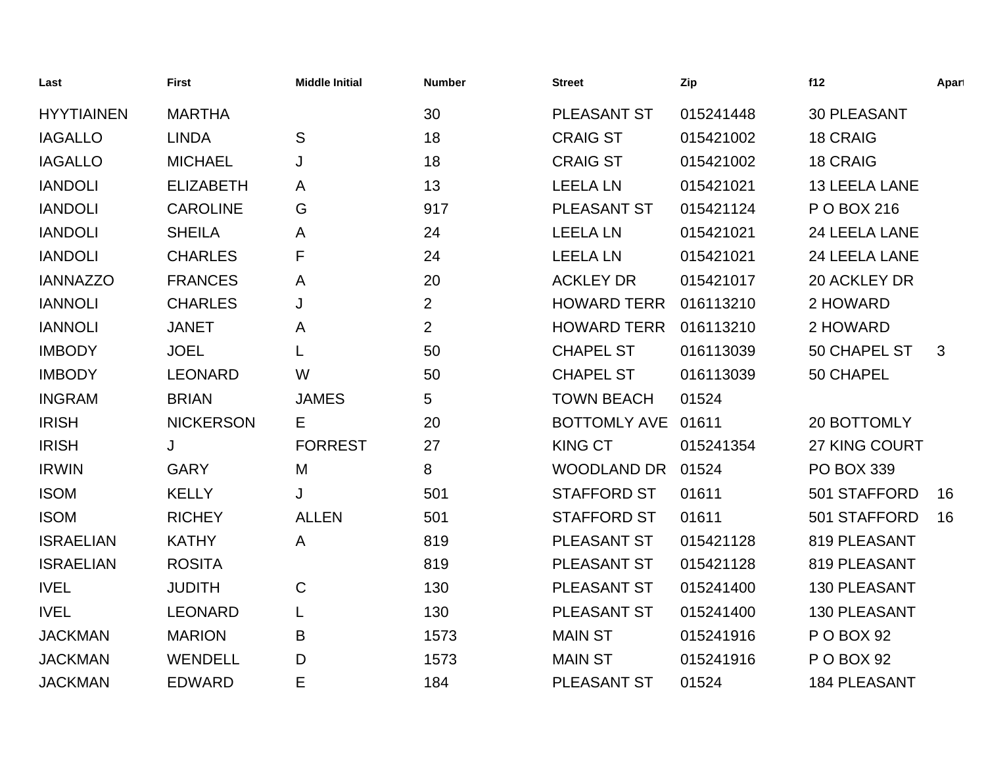| Last              | <b>First</b>     | <b>Middle Initial</b> | <b>Number</b>  | <b>Street</b>       | Zip       | f12                  | Apart |
|-------------------|------------------|-----------------------|----------------|---------------------|-----------|----------------------|-------|
| <b>HYYTIAINEN</b> | <b>MARTHA</b>    |                       | 30             | <b>PLEASANT ST</b>  | 015241448 | <b>30 PLEASANT</b>   |       |
| <b>IAGALLO</b>    | <b>LINDA</b>     | S                     | 18             | <b>CRAIG ST</b>     | 015421002 | <b>18 CRAIG</b>      |       |
| <b>IAGALLO</b>    | <b>MICHAEL</b>   | J                     | 18             | <b>CRAIG ST</b>     | 015421002 | <b>18 CRAIG</b>      |       |
| <b>IANDOLI</b>    | <b>ELIZABETH</b> | Α                     | 13             | <b>LEELA LN</b>     | 015421021 | <b>13 LEELA LANE</b> |       |
| <b>IANDOLI</b>    | <b>CAROLINE</b>  | G                     | 917            | <b>PLEASANT ST</b>  | 015421124 | P O BOX 216          |       |
| <b>IANDOLI</b>    | <b>SHEILA</b>    | Α                     | 24             | <b>LEELA LN</b>     | 015421021 | 24 LEELA LANE        |       |
| <b>IANDOLI</b>    | <b>CHARLES</b>   | F                     | 24             | <b>LEELA LN</b>     | 015421021 | 24 LEELA LANE        |       |
| <b>IANNAZZO</b>   | <b>FRANCES</b>   | A                     | 20             | <b>ACKLEY DR</b>    | 015421017 | 20 ACKLEY DR         |       |
| <b>IANNOLI</b>    | <b>CHARLES</b>   | J                     | $\overline{2}$ | <b>HOWARD TERR</b>  | 016113210 | 2 HOWARD             |       |
| <b>IANNOLI</b>    | <b>JANET</b>     | A                     | $\overline{2}$ | <b>HOWARD TERR</b>  | 016113210 | 2 HOWARD             |       |
| <b>IMBODY</b>     | <b>JOEL</b>      | L                     | 50             | <b>CHAPEL ST</b>    | 016113039 | 50 CHAPEL ST         | 3     |
| <b>IMBODY</b>     | <b>LEONARD</b>   | W                     | 50             | <b>CHAPEL ST</b>    | 016113039 | 50 CHAPEL            |       |
| <b>INGRAM</b>     | <b>BRIAN</b>     | <b>JAMES</b>          | 5              | <b>TOWN BEACH</b>   | 01524     |                      |       |
| <b>IRISH</b>      | <b>NICKERSON</b> | Е                     | 20             | <b>BOTTOMLY AVE</b> | 01611     | 20 BOTTOMLY          |       |
| <b>IRISH</b>      | J                | <b>FORREST</b>        | 27             | <b>KING CT</b>      | 015241354 | 27 KING COURT        |       |
| <b>IRWIN</b>      | <b>GARY</b>      | M                     | 8              | <b>WOODLAND DR</b>  | 01524     | <b>PO BOX 339</b>    |       |
| <b>ISOM</b>       | <b>KELLY</b>     | J                     | 501            | <b>STAFFORD ST</b>  | 01611     | 501 STAFFORD         | 16    |
| <b>ISOM</b>       | <b>RICHEY</b>    | <b>ALLEN</b>          | 501            | <b>STAFFORD ST</b>  | 01611     | 501 STAFFORD         | 16    |
| <b>ISRAELIAN</b>  | <b>KATHY</b>     | A                     | 819            | PLEASANT ST         | 015421128 | 819 PLEASANT         |       |
| <b>ISRAELIAN</b>  | <b>ROSITA</b>    |                       | 819            | PLEASANT ST         | 015421128 | 819 PLEASANT         |       |
| <b>IVEL</b>       | <b>JUDITH</b>    | $\mathsf{C}$          | 130            | PLEASANT ST         | 015241400 | 130 PLEASANT         |       |
| <b>IVEL</b>       | <b>LEONARD</b>   |                       | 130            | <b>PLEASANT ST</b>  | 015241400 | <b>130 PLEASANT</b>  |       |
| <b>JACKMAN</b>    | <b>MARION</b>    | B                     | 1573           | <b>MAIN ST</b>      | 015241916 | P O BOX 92           |       |
| <b>JACKMAN</b>    | <b>WENDELL</b>   | D                     | 1573           | <b>MAIN ST</b>      | 015241916 | P O BOX 92           |       |
| <b>JACKMAN</b>    | <b>EDWARD</b>    | E                     | 184            | <b>PLEASANT ST</b>  | 01524     | <b>184 PLEASANT</b>  |       |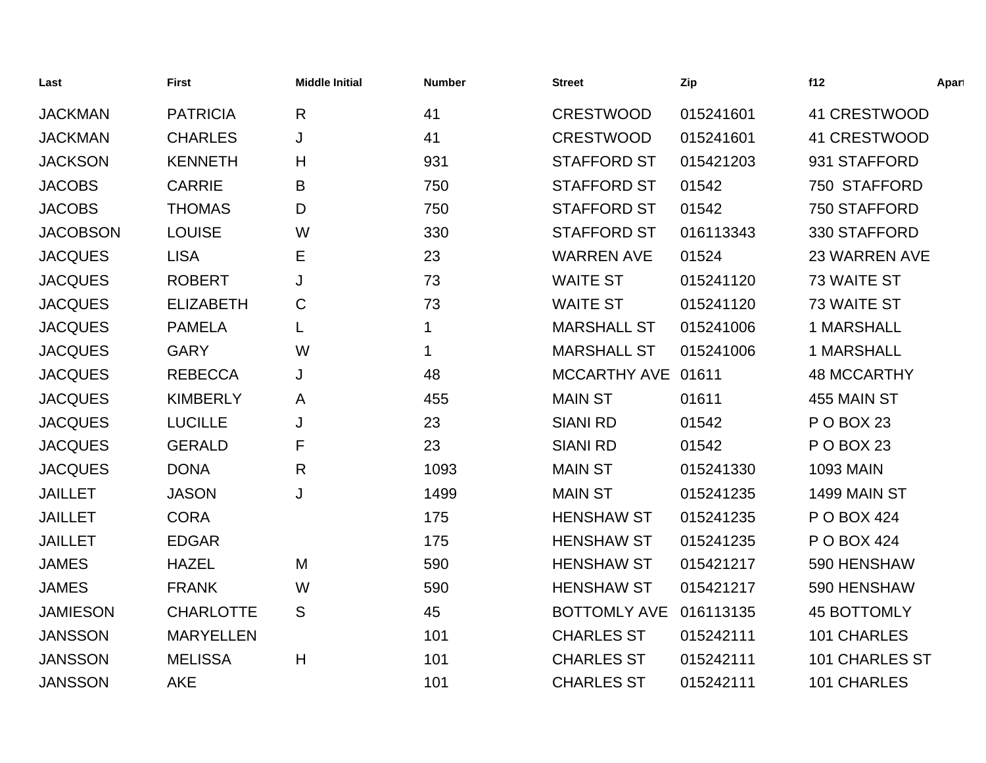| Last            | <b>First</b>     | <b>Middle Initial</b> | <b>Number</b> | <b>Street</b>       | Zip       | f12                   | Apart |
|-----------------|------------------|-----------------------|---------------|---------------------|-----------|-----------------------|-------|
| <b>JACKMAN</b>  | <b>PATRICIA</b>  | R                     | 41            | <b>CRESTWOOD</b>    | 015241601 | 41 CRESTWOOD          |       |
| <b>JACKMAN</b>  | <b>CHARLES</b>   | J                     | 41            | <b>CRESTWOOD</b>    | 015241601 | 41 CRESTWOOD          |       |
| <b>JACKSON</b>  | <b>KENNETH</b>   | H                     | 931           | <b>STAFFORD ST</b>  | 015421203 | 931 STAFFORD          |       |
| <b>JACOBS</b>   | <b>CARRIE</b>    | B                     | 750           | <b>STAFFORD ST</b>  | 01542     | 750 STAFFORD          |       |
| <b>JACOBS</b>   | <b>THOMAS</b>    | D                     | 750           | <b>STAFFORD ST</b>  | 01542     | 750 STAFFORD          |       |
| <b>JACOBSON</b> | <b>LOUISE</b>    | W                     | 330           | <b>STAFFORD ST</b>  | 016113343 | 330 STAFFORD          |       |
| <b>JACQUES</b>  | <b>LISA</b>      | Е                     | 23            | <b>WARREN AVE</b>   | 01524     | <b>23 WARREN AVE</b>  |       |
| <b>JACQUES</b>  | <b>ROBERT</b>    | J                     | 73            | <b>WAITE ST</b>     | 015241120 | 73 WAITE ST           |       |
| <b>JACQUES</b>  | <b>ELIZABETH</b> | C                     | 73            | <b>WAITE ST</b>     | 015241120 | 73 WAITE ST           |       |
| <b>JACQUES</b>  | <b>PAMELA</b>    |                       | $\mathbf 1$   | <b>MARSHALL ST</b>  | 015241006 | <b>1 MARSHALL</b>     |       |
| <b>JACQUES</b>  | <b>GARY</b>      | W                     | $\mathbf 1$   | <b>MARSHALL ST</b>  | 015241006 | <b>1 MARSHALL</b>     |       |
| <b>JACQUES</b>  | <b>REBECCA</b>   | J                     | 48            | <b>MCCARTHY AVE</b> | 01611     | <b>48 MCCARTHY</b>    |       |
| <b>JACQUES</b>  | <b>KIMBERLY</b>  | A                     | 455           | <b>MAIN ST</b>      | 01611     | 455 MAIN ST           |       |
| <b>JACQUES</b>  | <b>LUCILLE</b>   | J                     | 23            | <b>SIANI RD</b>     | 01542     | P O BOX 23            |       |
| <b>JACQUES</b>  | <b>GERALD</b>    | F                     | 23            | <b>SIANI RD</b>     | 01542     | P O BOX 23            |       |
| <b>JACQUES</b>  | <b>DONA</b>      | R                     | 1093          | <b>MAIN ST</b>      | 015241330 | <b>1093 MAIN</b>      |       |
| <b>JAILLET</b>  | <b>JASON</b>     | J                     | 1499          | <b>MAIN ST</b>      | 015241235 | 1499 MAIN ST          |       |
| <b>JAILLET</b>  | <b>CORA</b>      |                       | 175           | <b>HENSHAW ST</b>   | 015241235 | P O BOX 424           |       |
| <b>JAILLET</b>  | <b>EDGAR</b>     |                       | 175           | <b>HENSHAW ST</b>   | 015241235 | P O BOX 424           |       |
| <b>JAMES</b>    | <b>HAZEL</b>     | M                     | 590           | <b>HENSHAW ST</b>   | 015421217 | 590 HENSHAW           |       |
| <b>JAMES</b>    | <b>FRANK</b>     | W                     | 590           | <b>HENSHAW ST</b>   | 015421217 | 590 HENSHAW           |       |
| <b>JAMIESON</b> | <b>CHARLOTTE</b> | S                     | 45            | <b>BOTTOMLY AVE</b> | 016113135 | <b>45 BOTTOMLY</b>    |       |
| <b>JANSSON</b>  | <b>MARYELLEN</b> |                       | 101           | <b>CHARLES ST</b>   | 015242111 | 101 CHARLES           |       |
| <b>JANSSON</b>  | <b>MELISSA</b>   | H                     | 101           | <b>CHARLES ST</b>   | 015242111 | <b>101 CHARLES ST</b> |       |
| <b>JANSSON</b>  | <b>AKE</b>       |                       | 101           | <b>CHARLES ST</b>   | 015242111 | 101 CHARLES           |       |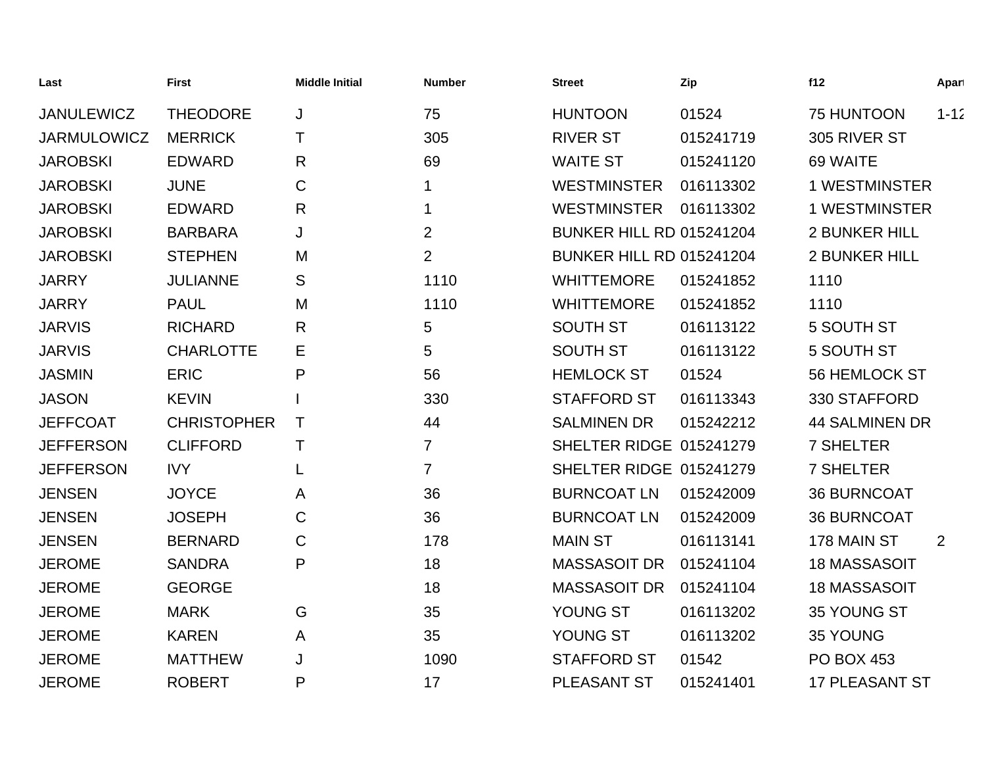| Last               | <b>First</b>       | <b>Middle Initial</b> | <b>Number</b>  | <b>Street</b>                   | Zip       | f12                   | Apart    |
|--------------------|--------------------|-----------------------|----------------|---------------------------------|-----------|-----------------------|----------|
| <b>JANULEWICZ</b>  | <b>THEODORE</b>    | J                     | 75             | <b>HUNTOON</b>                  | 01524     | 75 HUNTOON            | $1 - 12$ |
| <b>JARMULOWICZ</b> | <b>MERRICK</b>     | т                     | 305            | <b>RIVER ST</b>                 | 015241719 | 305 RIVER ST          |          |
| <b>JAROBSKI</b>    | <b>EDWARD</b>      | R                     | 69             | <b>WAITE ST</b>                 | 015241120 | 69 WAITE              |          |
| <b>JAROBSKI</b>    | <b>JUNE</b>        | C                     |                | <b>WESTMINSTER</b>              | 016113302 | <b>1 WESTMINSTER</b>  |          |
| <b>JAROBSKI</b>    | <b>EDWARD</b>      | R                     | 1              | <b>WESTMINSTER</b>              | 016113302 | <b>1 WESTMINSTER</b>  |          |
| <b>JAROBSKI</b>    | <b>BARBARA</b>     | J                     | $\overline{2}$ | <b>BUNKER HILL RD 015241204</b> |           | <b>2 BUNKER HILL</b>  |          |
| <b>JAROBSKI</b>    | <b>STEPHEN</b>     | M                     | $\overline{2}$ | <b>BUNKER HILL RD 015241204</b> |           | <b>2 BUNKER HILL</b>  |          |
| <b>JARRY</b>       | <b>JULIANNE</b>    | S                     | 1110           | <b>WHITTEMORE</b>               | 015241852 | 1110                  |          |
| <b>JARRY</b>       | <b>PAUL</b>        | M                     | 1110           | <b>WHITTEMORE</b>               | 015241852 | 1110                  |          |
| <b>JARVIS</b>      | <b>RICHARD</b>     | R                     | 5              | <b>SOUTH ST</b>                 | 016113122 | 5 SOUTH ST            |          |
| <b>JARVIS</b>      | <b>CHARLOTTE</b>   | Е                     | 5              | <b>SOUTH ST</b>                 | 016113122 | 5 SOUTH ST            |          |
| <b>JASMIN</b>      | <b>ERIC</b>        | P                     | 56             | <b>HEMLOCK ST</b>               | 01524     | <b>56 HEMLOCK ST</b>  |          |
| <b>JASON</b>       | <b>KEVIN</b>       |                       | 330            | <b>STAFFORD ST</b>              | 016113343 | 330 STAFFORD          |          |
| <b>JEFFCOAT</b>    | <b>CHRISTOPHER</b> | т                     | 44             | <b>SALMINEN DR</b>              | 015242212 | <b>44 SALMINEN DR</b> |          |
| <b>JEFFERSON</b>   | <b>CLIFFORD</b>    | Τ                     | $\overline{7}$ | SHELTER RIDGE 015241279         |           | <b>7 SHELTER</b>      |          |
| <b>JEFFERSON</b>   | <b>IVY</b>         | L                     | $\overline{7}$ | SHELTER RIDGE 015241279         |           | <b>7 SHELTER</b>      |          |
| <b>JENSEN</b>      | <b>JOYCE</b>       | A                     | 36             | <b>BURNCOAT LN</b>              | 015242009 | <b>36 BURNCOAT</b>    |          |
| <b>JENSEN</b>      | <b>JOSEPH</b>      | C                     | 36             | <b>BURNCOAT LN</b>              | 015242009 | <b>36 BURNCOAT</b>    |          |
| <b>JENSEN</b>      | <b>BERNARD</b>     | C                     | 178            | <b>MAIN ST</b>                  | 016113141 | 178 MAIN ST           | 2        |
| <b>JEROME</b>      | <b>SANDRA</b>      | P                     | 18             | <b>MASSASOIT DR</b>             | 015241104 | <b>18 MASSASOIT</b>   |          |
| <b>JEROME</b>      | <b>GEORGE</b>      |                       | 18             | <b>MASSASOIT DR</b>             | 015241104 | <b>18 MASSASOIT</b>   |          |
| <b>JEROME</b>      | <b>MARK</b>        | G                     | 35             | YOUNG ST                        | 016113202 | 35 YOUNG ST           |          |
| <b>JEROME</b>      | <b>KAREN</b>       | A                     | 35             | YOUNG ST                        | 016113202 | 35 YOUNG              |          |
| <b>JEROME</b>      | <b>MATTHEW</b>     | J                     | 1090           | <b>STAFFORD ST</b>              | 01542     | <b>PO BOX 453</b>     |          |
| <b>JEROME</b>      | <b>ROBERT</b>      | P                     | 17             | PLEASANT ST                     | 015241401 | <b>17 PLEASANT ST</b> |          |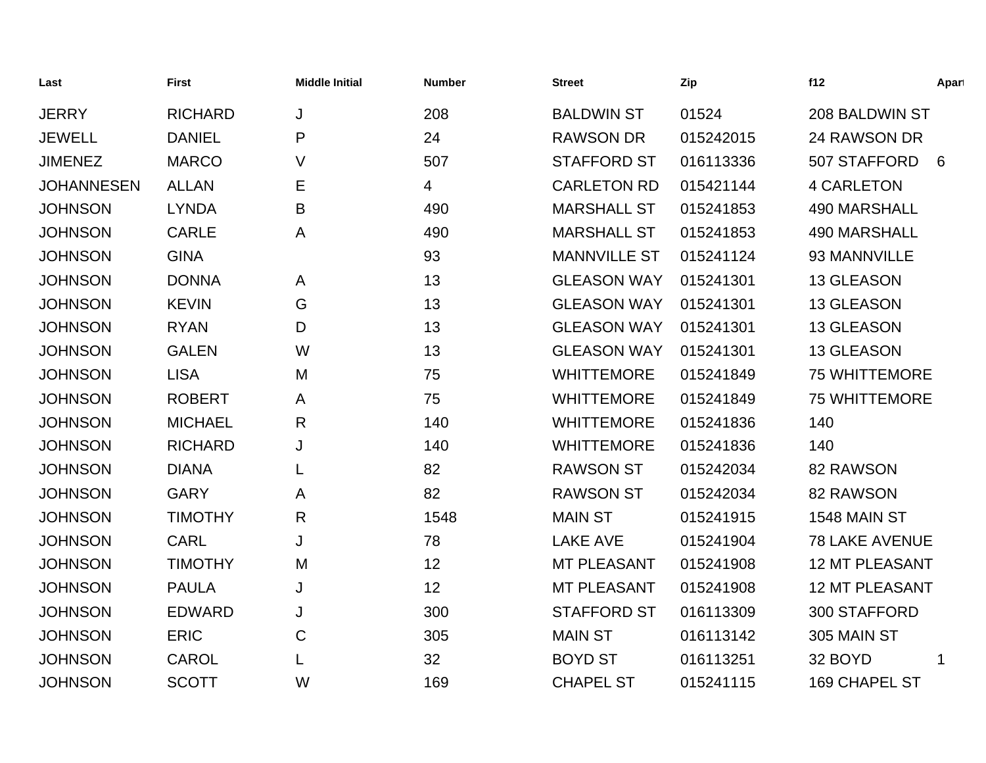| Last              | <b>First</b>   | <b>Middle Initial</b> | <b>Number</b> | <b>Street</b>       | Zip       | f12                   | Apart |
|-------------------|----------------|-----------------------|---------------|---------------------|-----------|-----------------------|-------|
| <b>JERRY</b>      | <b>RICHARD</b> | J                     | 208           | <b>BALDWIN ST</b>   | 01524     | 208 BALDWIN ST        |       |
| <b>JEWELL</b>     | <b>DANIEL</b>  | P                     | 24            | <b>RAWSON DR</b>    | 015242015 | 24 RAWSON DR          |       |
| <b>JIMENEZ</b>    | <b>MARCO</b>   | V                     | 507           | <b>STAFFORD ST</b>  | 016113336 | 507 STAFFORD          | 6     |
| <b>JOHANNESEN</b> | <b>ALLAN</b>   | E                     | 4             | <b>CARLETON RD</b>  | 015421144 | <b>4 CARLETON</b>     |       |
| <b>JOHNSON</b>    | <b>LYNDA</b>   | B                     | 490           | <b>MARSHALL ST</b>  | 015241853 | 490 MARSHALL          |       |
| <b>JOHNSON</b>    | <b>CARLE</b>   | A                     | 490           | <b>MARSHALL ST</b>  | 015241853 | <b>490 MARSHALL</b>   |       |
| <b>JOHNSON</b>    | <b>GINA</b>    |                       | 93            | <b>MANNVILLE ST</b> | 015241124 | 93 MANNVILLE          |       |
| <b>JOHNSON</b>    | <b>DONNA</b>   | A                     | 13            | <b>GLEASON WAY</b>  | 015241301 | <b>13 GLEASON</b>     |       |
| <b>JOHNSON</b>    | <b>KEVIN</b>   | G                     | 13            | <b>GLEASON WAY</b>  | 015241301 | 13 GLEASON            |       |
| <b>JOHNSON</b>    | <b>RYAN</b>    | D                     | 13            | <b>GLEASON WAY</b>  | 015241301 | 13 GLEASON            |       |
| <b>JOHNSON</b>    | <b>GALEN</b>   | W                     | 13            | <b>GLEASON WAY</b>  | 015241301 | 13 GLEASON            |       |
| <b>JOHNSON</b>    | <b>LISA</b>    | M                     | 75            | <b>WHITTEMORE</b>   | 015241849 | <b>75 WHITTEMORE</b>  |       |
| <b>JOHNSON</b>    | <b>ROBERT</b>  | A                     | 75            | <b>WHITTEMORE</b>   | 015241849 | <b>75 WHITTEMORE</b>  |       |
| <b>JOHNSON</b>    | <b>MICHAEL</b> | R                     | 140           | <b>WHITTEMORE</b>   | 015241836 | 140                   |       |
| <b>JOHNSON</b>    | <b>RICHARD</b> | J                     | 140           | <b>WHITTEMORE</b>   | 015241836 | 140                   |       |
| <b>JOHNSON</b>    | <b>DIANA</b>   | L                     | 82            | <b>RAWSON ST</b>    | 015242034 | 82 RAWSON             |       |
| <b>JOHNSON</b>    | <b>GARY</b>    | A                     | 82            | <b>RAWSON ST</b>    | 015242034 | 82 RAWSON             |       |
| <b>JOHNSON</b>    | <b>TIMOTHY</b> | $\mathsf{R}$          | 1548          | <b>MAIN ST</b>      | 015241915 | <b>1548 MAIN ST</b>   |       |
| <b>JOHNSON</b>    | <b>CARL</b>    | J                     | 78            | <b>LAKE AVE</b>     | 015241904 | <b>78 LAKE AVENUE</b> |       |
| <b>JOHNSON</b>    | <b>TIMOTHY</b> | M                     | 12            | <b>MT PLEASANT</b>  | 015241908 | <b>12 MT PLEASANT</b> |       |
| <b>JOHNSON</b>    | <b>PAULA</b>   | J                     | 12            | <b>MT PLEASANT</b>  | 015241908 | <b>12 MT PLEASANT</b> |       |
| <b>JOHNSON</b>    | <b>EDWARD</b>  | J                     | 300           | <b>STAFFORD ST</b>  | 016113309 | 300 STAFFORD          |       |
| <b>JOHNSON</b>    | <b>ERIC</b>    | $\mathsf C$           | 305           | <b>MAIN ST</b>      | 016113142 | 305 MAIN ST           |       |
| <b>JOHNSON</b>    | <b>CAROL</b>   |                       | 32            | <b>BOYD ST</b>      | 016113251 | 32 BOYD               |       |
| <b>JOHNSON</b>    | <b>SCOTT</b>   | W                     | 169           | <b>CHAPEL ST</b>    | 015241115 | 169 CHAPEL ST         |       |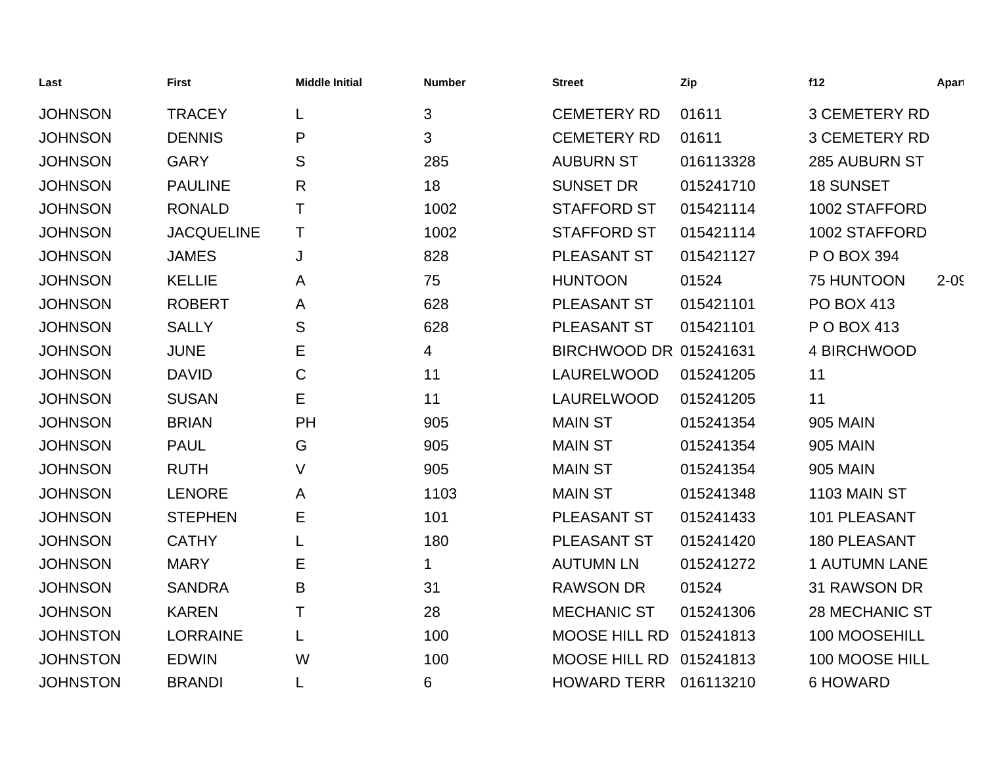| Last            | <b>First</b>      | <b>Middle Initial</b> | <b>Number</b> | <b>Street</b>          | Zip       | f12                   | Apart    |
|-----------------|-------------------|-----------------------|---------------|------------------------|-----------|-----------------------|----------|
| <b>JOHNSON</b>  | <b>TRACEY</b>     | L                     | 3             | <b>CEMETERY RD</b>     | 01611     | <b>3 CEMETERY RD</b>  |          |
| <b>JOHNSON</b>  | <b>DENNIS</b>     | P                     | 3             | <b>CEMETERY RD</b>     | 01611     | <b>3 CEMETERY RD</b>  |          |
| <b>JOHNSON</b>  | <b>GARY</b>       | S                     | 285           | <b>AUBURN ST</b>       | 016113328 | <b>285 AUBURN ST</b>  |          |
| <b>JOHNSON</b>  | <b>PAULINE</b>    | R                     | 18            | <b>SUNSET DR</b>       | 015241710 | <b>18 SUNSET</b>      |          |
| <b>JOHNSON</b>  | <b>RONALD</b>     | $\top$                | 1002          | <b>STAFFORD ST</b>     | 015421114 | 1002 STAFFORD         |          |
| <b>JOHNSON</b>  | <b>JACQUELINE</b> | T                     | 1002          | <b>STAFFORD ST</b>     | 015421114 | 1002 STAFFORD         |          |
| <b>JOHNSON</b>  | <b>JAMES</b>      | J                     | 828           | PLEASANT ST            | 015421127 | P O BOX 394           |          |
| <b>JOHNSON</b>  | <b>KELLIE</b>     | A                     | 75            | <b>HUNTOON</b>         | 01524     | 75 HUNTOON            | $2 - 05$ |
| <b>JOHNSON</b>  | <b>ROBERT</b>     | A                     | 628           | PLEASANT ST            | 015421101 | <b>PO BOX 413</b>     |          |
| <b>JOHNSON</b>  | <b>SALLY</b>      | S                     | 628           | PLEASANT ST            | 015421101 | P O BOX 413           |          |
| <b>JOHNSON</b>  | <b>JUNE</b>       | Е                     | 4             | BIRCHWOOD DR 015241631 |           | 4 BIRCHWOOD           |          |
| <b>JOHNSON</b>  | <b>DAVID</b>      | $\mathsf C$           | 11            | LAURELWOOD             | 015241205 | 11                    |          |
| <b>JOHNSON</b>  | <b>SUSAN</b>      | E                     | 11            | LAURELWOOD             | 015241205 | 11                    |          |
| <b>JOHNSON</b>  | <b>BRIAN</b>      | PH                    | 905           | <b>MAIN ST</b>         | 015241354 | <b>905 MAIN</b>       |          |
| <b>JOHNSON</b>  | <b>PAUL</b>       | G                     | 905           | <b>MAIN ST</b>         | 015241354 | <b>905 MAIN</b>       |          |
| <b>JOHNSON</b>  | <b>RUTH</b>       | V                     | 905           | <b>MAIN ST</b>         | 015241354 | <b>905 MAIN</b>       |          |
| <b>JOHNSON</b>  | <b>LENORE</b>     | A                     | 1103          | <b>MAIN ST</b>         | 015241348 | 1103 MAIN ST          |          |
| <b>JOHNSON</b>  | <b>STEPHEN</b>    | Е                     | 101           | PLEASANT ST            | 015241433 | 101 PLEASANT          |          |
| <b>JOHNSON</b>  | <b>CATHY</b>      |                       | 180           | PLEASANT ST            | 015241420 | <b>180 PLEASANT</b>   |          |
| <b>JOHNSON</b>  | <b>MARY</b>       | Е                     | 1             | <b>AUTUMN LN</b>       | 015241272 | <b>1 AUTUMN LANE</b>  |          |
| <b>JOHNSON</b>  | <b>SANDRA</b>     | B                     | 31            | <b>RAWSON DR</b>       | 01524     | 31 RAWSON DR          |          |
| <b>JOHNSON</b>  | <b>KAREN</b>      | Τ                     | 28            | <b>MECHANIC ST</b>     | 015241306 | <b>28 MECHANIC ST</b> |          |
| <b>JOHNSTON</b> | <b>LORRAINE</b>   | L                     | 100           | <b>MOOSE HILL RD</b>   | 015241813 | 100 MOOSEHILL         |          |
| <b>JOHNSTON</b> | <b>EDWIN</b>      | W                     | 100           | MOOSE HILL RD          | 015241813 | 100 MOOSE HILL        |          |
| <b>JOHNSTON</b> | <b>BRANDI</b>     |                       | 6             | <b>HOWARD TERR</b>     | 016113210 | <b>6 HOWARD</b>       |          |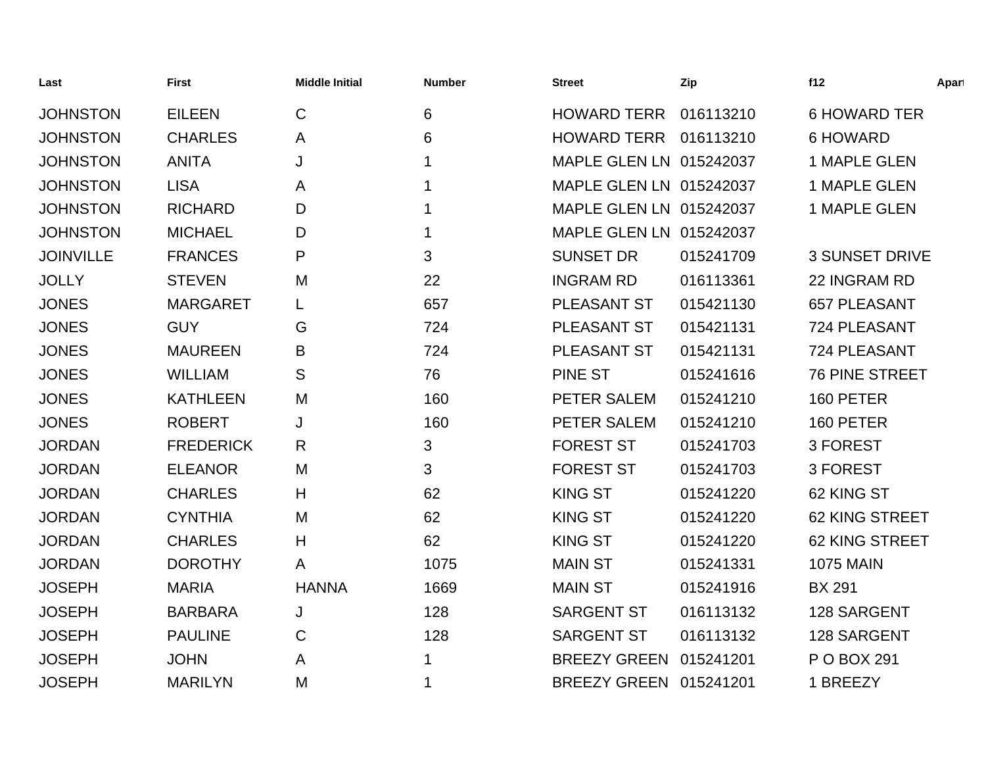| Last             | <b>First</b>     | <b>Middle Initial</b> | <b>Number</b> | <b>Street</b>           | Zip       | f12                   | Apart |
|------------------|------------------|-----------------------|---------------|-------------------------|-----------|-----------------------|-------|
| <b>JOHNSTON</b>  | <b>EILEEN</b>    | $\mathsf{C}$          | 6             | <b>HOWARD TERR</b>      | 016113210 | <b>6 HOWARD TER</b>   |       |
| <b>JOHNSTON</b>  | <b>CHARLES</b>   | A                     | 6             | <b>HOWARD TERR</b>      | 016113210 | <b>6 HOWARD</b>       |       |
| <b>JOHNSTON</b>  | <b>ANITA</b>     | J                     | 1             | MAPLE GLEN LN 015242037 |           | 1 MAPLE GLEN          |       |
| <b>JOHNSTON</b>  | <b>LISA</b>      | A                     | 1             | MAPLE GLEN LN 015242037 |           | 1 MAPLE GLEN          |       |
| <b>JOHNSTON</b>  | <b>RICHARD</b>   | D                     |               | MAPLE GLEN LN 015242037 |           | 1 MAPLE GLEN          |       |
| <b>JOHNSTON</b>  | <b>MICHAEL</b>   | D                     |               | MAPLE GLEN LN 015242037 |           |                       |       |
| <b>JOINVILLE</b> | <b>FRANCES</b>   | P                     | 3             | <b>SUNSET DR</b>        | 015241709 | <b>3 SUNSET DRIVE</b> |       |
| <b>JOLLY</b>     | <b>STEVEN</b>    | M                     | 22            | <b>INGRAM RD</b>        | 016113361 | 22 INGRAM RD          |       |
| <b>JONES</b>     | <b>MARGARET</b>  | L                     | 657           | PLEASANT ST             | 015421130 | <b>657 PLEASANT</b>   |       |
| <b>JONES</b>     | <b>GUY</b>       | G                     | 724           | PLEASANT ST             | 015421131 | 724 PLEASANT          |       |
| <b>JONES</b>     | <b>MAUREEN</b>   | B                     | 724           | PLEASANT ST             | 015421131 | 724 PLEASANT          |       |
| <b>JONES</b>     | <b>WILLIAM</b>   | S                     | 76            | PINE ST                 | 015241616 | <b>76 PINE STREET</b> |       |
| <b>JONES</b>     | <b>KATHLEEN</b>  | M                     | 160           | PETER SALEM             | 015241210 | 160 PETER             |       |
| <b>JONES</b>     | <b>ROBERT</b>    | J                     | 160           | PETER SALEM             | 015241210 | 160 PETER             |       |
| <b>JORDAN</b>    | <b>FREDERICK</b> | $\mathsf{R}$          | 3             | <b>FOREST ST</b>        | 015241703 | 3 FOREST              |       |
| <b>JORDAN</b>    | <b>ELEANOR</b>   | M                     | 3             | <b>FOREST ST</b>        | 015241703 | 3 FOREST              |       |
| <b>JORDAN</b>    | <b>CHARLES</b>   | H                     | 62            | <b>KING ST</b>          | 015241220 | 62 KING ST            |       |
| <b>JORDAN</b>    | <b>CYNTHIA</b>   | M                     | 62            | <b>KING ST</b>          | 015241220 | 62 KING STREET        |       |
| <b>JORDAN</b>    | <b>CHARLES</b>   | H                     | 62            | <b>KING ST</b>          | 015241220 | <b>62 KING STREET</b> |       |
| <b>JORDAN</b>    | <b>DOROTHY</b>   | A                     | 1075          | <b>MAIN ST</b>          | 015241331 | <b>1075 MAIN</b>      |       |
| <b>JOSEPH</b>    | <b>MARIA</b>     | <b>HANNA</b>          | 1669          | <b>MAIN ST</b>          | 015241916 | <b>BX 291</b>         |       |
| <b>JOSEPH</b>    | <b>BARBARA</b>   | J                     | 128           | <b>SARGENT ST</b>       | 016113132 | 128 SARGENT           |       |
| <b>JOSEPH</b>    | <b>PAULINE</b>   | C                     | 128           | <b>SARGENT ST</b>       | 016113132 | 128 SARGENT           |       |
| <b>JOSEPH</b>    | <b>JOHN</b>      | A                     |               | <b>BREEZY GREEN</b>     | 015241201 | P O BOX 291           |       |
| <b>JOSEPH</b>    | <b>MARILYN</b>   | M                     | 1             | <b>BREEZY GREEN</b>     | 015241201 | 1 BREEZY              |       |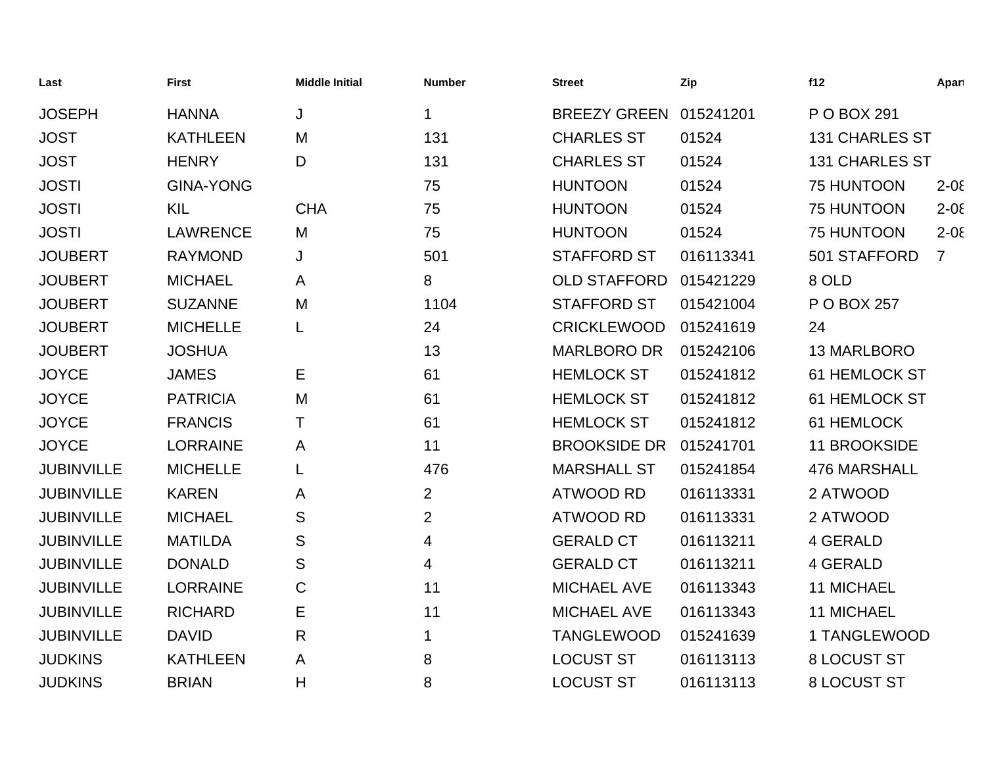| Last              | <b>First</b>     | <b>Middle Initial</b> | <b>Number</b>  | <b>Street</b>       | Zip       | f12                   | Apart          |
|-------------------|------------------|-----------------------|----------------|---------------------|-----------|-----------------------|----------------|
| <b>JOSEPH</b>     | <b>HANNA</b>     | J                     | 1              | <b>BREEZY GREEN</b> | 015241201 | P O BOX 291           |                |
| <b>JOST</b>       | <b>KATHLEEN</b>  | M                     | 131            | <b>CHARLES ST</b>   | 01524     | <b>131 CHARLES ST</b> |                |
| <b>JOST</b>       | <b>HENRY</b>     | D                     | 131            | <b>CHARLES ST</b>   | 01524     | <b>131 CHARLES ST</b> |                |
| <b>JOSTI</b>      | <b>GINA-YONG</b> |                       | 75             | <b>HUNTOON</b>      | 01524     | 75 HUNTOON            | $2 - 0\xi$     |
| <b>JOSTI</b>      | KIL              | <b>CHA</b>            | 75             | <b>HUNTOON</b>      | 01524     | 75 HUNTOON            | $2 - 0\xi$     |
| <b>JOSTI</b>      | <b>LAWRENCE</b>  | M                     | 75             | <b>HUNTOON</b>      | 01524     | 75 HUNTOON            | $2 - 0\xi$     |
| <b>JOUBERT</b>    | <b>RAYMOND</b>   | J                     | 501            | <b>STAFFORD ST</b>  | 016113341 | 501 STAFFORD          | $\overline{7}$ |
| <b>JOUBERT</b>    | <b>MICHAEL</b>   | A                     | 8              | <b>OLD STAFFORD</b> | 015421229 | 8 OLD                 |                |
| <b>JOUBERT</b>    | <b>SUZANNE</b>   | M                     | 1104           | <b>STAFFORD ST</b>  | 015421004 | P O BOX 257           |                |
| <b>JOUBERT</b>    | <b>MICHELLE</b>  | L                     | 24             | <b>CRICKLEWOOD</b>  | 015241619 | 24                    |                |
| <b>JOUBERT</b>    | <b>JOSHUA</b>    |                       | 13             | <b>MARLBORO DR</b>  | 015242106 | 13 MARLBORO           |                |
| <b>JOYCE</b>      | <b>JAMES</b>     | Е                     | 61             | <b>HEMLOCK ST</b>   | 015241812 | 61 HEMLOCK ST         |                |
| <b>JOYCE</b>      | <b>PATRICIA</b>  | M                     | 61             | <b>HEMLOCK ST</b>   | 015241812 | 61 HEMLOCK ST         |                |
| <b>JOYCE</b>      | <b>FRANCIS</b>   | т                     | 61             | <b>HEMLOCK ST</b>   | 015241812 | 61 HEMLOCK            |                |
| <b>JOYCE</b>      | <b>LORRAINE</b>  | A                     | 11             | <b>BROOKSIDE DR</b> | 015241701 | 11 BROOKSIDE          |                |
| <b>JUBINVILLE</b> | <b>MICHELLE</b>  | L                     | 476            | <b>MARSHALL ST</b>  | 015241854 | <b>476 MARSHALL</b>   |                |
| <b>JUBINVILLE</b> | <b>KAREN</b>     | A                     | $\overline{2}$ | <b>ATWOOD RD</b>    | 016113331 | 2 ATWOOD              |                |
| <b>JUBINVILLE</b> | <b>MICHAEL</b>   | S                     | $\overline{2}$ | <b>ATWOOD RD</b>    | 016113331 | 2 ATWOOD              |                |
| <b>JUBINVILLE</b> | <b>MATILDA</b>   | S                     | 4              | <b>GERALD CT</b>    | 016113211 | 4 GERALD              |                |
| <b>JUBINVILLE</b> | <b>DONALD</b>    | S                     | 4              | <b>GERALD CT</b>    | 016113211 | 4 GERALD              |                |
| <b>JUBINVILLE</b> | <b>LORRAINE</b>  | $\mathsf C$           | 11             | <b>MICHAEL AVE</b>  | 016113343 | <b>11 MICHAEL</b>     |                |
| <b>JUBINVILLE</b> | <b>RICHARD</b>   | E                     | 11             | <b>MICHAEL AVE</b>  | 016113343 | <b>11 MICHAEL</b>     |                |
| <b>JUBINVILLE</b> | <b>DAVID</b>     | $\mathsf{R}$          | 1              | <b>TANGLEWOOD</b>   | 015241639 | 1 TANGLEWOOD          |                |
| <b>JUDKINS</b>    | <b>KATHLEEN</b>  | A                     | 8              | <b>LOCUST ST</b>    | 016113113 | 8 LOCUST ST           |                |
| <b>JUDKINS</b>    | <b>BRIAN</b>     | H                     | 8              | <b>LOCUST ST</b>    | 016113113 | <b>8 LOCUST ST</b>    |                |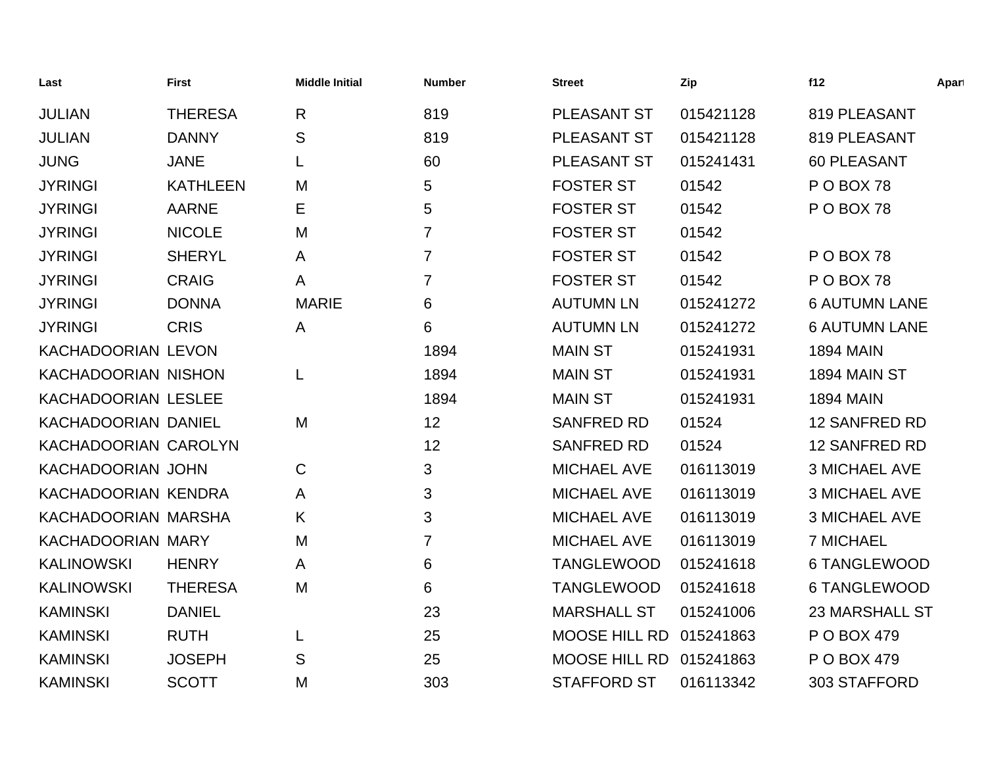| Last                       | <b>First</b>    | <b>Middle Initial</b> | <b>Number</b>  | <b>Street</b>        | Zip       | f12                   | Apart |
|----------------------------|-----------------|-----------------------|----------------|----------------------|-----------|-----------------------|-------|
| <b>JULIAN</b>              | <b>THERESA</b>  | R                     | 819            | PLEASANT ST          | 015421128 | 819 PLEASANT          |       |
| <b>JULIAN</b>              | <b>DANNY</b>    | S                     | 819            | <b>PLEASANT ST</b>   | 015421128 | 819 PLEASANT          |       |
| <b>JUNG</b>                | <b>JANE</b>     | L                     | 60             | PLEASANT ST          | 015241431 | <b>60 PLEASANT</b>    |       |
| <b>JYRINGI</b>             | <b>KATHLEEN</b> | M                     | 5              | <b>FOSTER ST</b>     | 01542     | POBOX 78              |       |
| <b>JYRINGI</b>             | <b>AARNE</b>    | Е                     | 5              | <b>FOSTER ST</b>     | 01542     | POBOX 78              |       |
| <b>JYRINGI</b>             | <b>NICOLE</b>   | M                     | $\overline{7}$ | <b>FOSTER ST</b>     | 01542     |                       |       |
| <b>JYRINGI</b>             | <b>SHERYL</b>   | A                     | $\overline{7}$ | <b>FOSTER ST</b>     | 01542     | POBOX 78              |       |
| <b>JYRINGI</b>             | <b>CRAIG</b>    | A                     | $\overline{7}$ | <b>FOSTER ST</b>     | 01542     | POBOX 78              |       |
| <b>JYRINGI</b>             | <b>DONNA</b>    | <b>MARIE</b>          | 6              | <b>AUTUMN LN</b>     | 015241272 | <b>6 AUTUMN LANE</b>  |       |
| <b>JYRINGI</b>             | <b>CRIS</b>     | A                     | 6              | <b>AUTUMN LN</b>     | 015241272 | <b>6 AUTUMN LANE</b>  |       |
| KACHADOORIAN LEVON         |                 |                       | 1894           | <b>MAIN ST</b>       | 015241931 | <b>1894 MAIN</b>      |       |
| <b>KACHADOORIAN NISHON</b> |                 | L                     | 1894           | <b>MAIN ST</b>       | 015241931 | <b>1894 MAIN ST</b>   |       |
| KACHADOORIAN LESLEE        |                 |                       | 1894           | <b>MAIN ST</b>       | 015241931 | <b>1894 MAIN</b>      |       |
| <b>KACHADOORIAN DANIEL</b> |                 | M                     | 12             | <b>SANFRED RD</b>    | 01524     | <b>12 SANFRED RD</b>  |       |
| KACHADOORIAN CAROLYN       |                 |                       | 12             | <b>SANFRED RD</b>    | 01524     | 12 SANFRED RD         |       |
| KACHADOORIAN JOHN          |                 | $\mathsf C$           | 3              | <b>MICHAEL AVE</b>   | 016113019 | <b>3 MICHAEL AVE</b>  |       |
| KACHADOORIAN KENDRA        |                 | A                     | 3              | <b>MICHAEL AVE</b>   | 016113019 | <b>3 MICHAEL AVE</b>  |       |
| KACHADOORIAN MARSHA        |                 | Κ                     | 3              | <b>MICHAEL AVE</b>   | 016113019 | <b>3 MICHAEL AVE</b>  |       |
| KACHADOORIAN MARY          |                 | M                     | $\overline{7}$ | <b>MICHAEL AVE</b>   | 016113019 | <b>7 MICHAEL</b>      |       |
| <b>KALINOWSKI</b>          | <b>HENRY</b>    | A                     | 6              | <b>TANGLEWOOD</b>    | 015241618 | 6 TANGLEWOOD          |       |
| <b>KALINOWSKI</b>          | <b>THERESA</b>  | M                     | 6              | <b>TANGLEWOOD</b>    | 015241618 | <b>6 TANGLEWOOD</b>   |       |
| <b>KAMINSKI</b>            | <b>DANIEL</b>   |                       | 23             | <b>MARSHALL ST</b>   | 015241006 | <b>23 MARSHALL ST</b> |       |
| <b>KAMINSKI</b>            | <b>RUTH</b>     | L                     | 25             | <b>MOOSE HILL RD</b> | 015241863 | P O BOX 479           |       |
| <b>KAMINSKI</b>            | <b>JOSEPH</b>   | S                     | 25             | <b>MOOSE HILL RD</b> | 015241863 | P O BOX 479           |       |
| <b>KAMINSKI</b>            | <b>SCOTT</b>    | M                     | 303            | <b>STAFFORD ST</b>   | 016113342 | 303 STAFFORD          |       |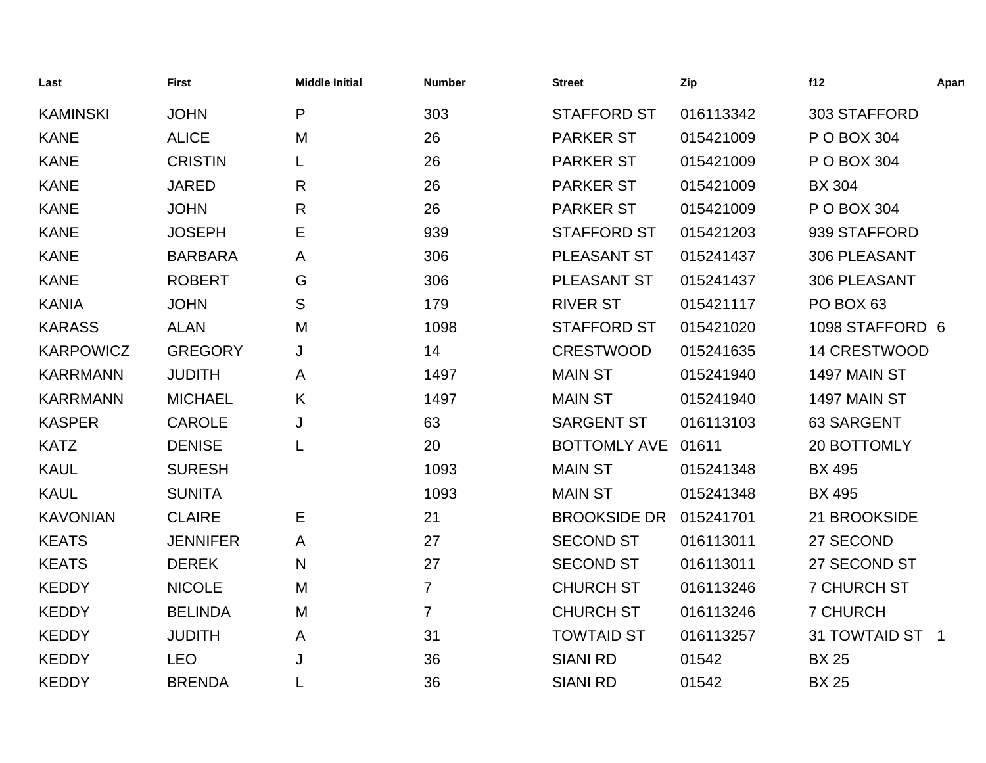| Last             | <b>First</b>    | <b>Middle Initial</b> | <b>Number</b>  | <b>Street</b>       | Zip       | f12                 | Apart |
|------------------|-----------------|-----------------------|----------------|---------------------|-----------|---------------------|-------|
| <b>KAMINSKI</b>  | <b>JOHN</b>     | P                     | 303            | <b>STAFFORD ST</b>  | 016113342 | 303 STAFFORD        |       |
| <b>KANE</b>      | <b>ALICE</b>    | M                     | 26             | <b>PARKER ST</b>    | 015421009 | P O BOX 304         |       |
| <b>KANE</b>      | <b>CRISTIN</b>  |                       | 26             | <b>PARKER ST</b>    | 015421009 | P O BOX 304         |       |
| <b>KANE</b>      | <b>JARED</b>    | R                     | 26             | <b>PARKER ST</b>    | 015421009 | <b>BX 304</b>       |       |
| <b>KANE</b>      | <b>JOHN</b>     | R                     | 26             | <b>PARKER ST</b>    | 015421009 | P O BOX 304         |       |
| <b>KANE</b>      | <b>JOSEPH</b>   | Е                     | 939            | <b>STAFFORD ST</b>  | 015421203 | 939 STAFFORD        |       |
| <b>KANE</b>      | <b>BARBARA</b>  | A                     | 306            | PLEASANT ST         | 015241437 | 306 PLEASANT        |       |
| <b>KANE</b>      | <b>ROBERT</b>   | G                     | 306            | PLEASANT ST         | 015241437 | 306 PLEASANT        |       |
| <b>KANIA</b>     | <b>JOHN</b>     | S                     | 179            | <b>RIVER ST</b>     | 015421117 | PO BOX 63           |       |
| <b>KARASS</b>    | <b>ALAN</b>     | M                     | 1098           | <b>STAFFORD ST</b>  | 015421020 | 1098 STAFFORD 6     |       |
| <b>KARPOWICZ</b> | <b>GREGORY</b>  | J                     | 14             | <b>CRESTWOOD</b>    | 015241635 | <b>14 CRESTWOOD</b> |       |
| <b>KARRMANN</b>  | <b>JUDITH</b>   | A                     | 1497           | <b>MAIN ST</b>      | 015241940 | 1497 MAIN ST        |       |
| <b>KARRMANN</b>  | <b>MICHAEL</b>  | K                     | 1497           | <b>MAIN ST</b>      | 015241940 | 1497 MAIN ST        |       |
| <b>KASPER</b>    | <b>CAROLE</b>   | J                     | 63             | <b>SARGENT ST</b>   | 016113103 | 63 SARGENT          |       |
| <b>KATZ</b>      | <b>DENISE</b>   | L                     | 20             | BOTTOMLY AVE 01611  |           | 20 BOTTOMLY         |       |
| <b>KAUL</b>      | <b>SURESH</b>   |                       | 1093           | <b>MAIN ST</b>      | 015241348 | <b>BX 495</b>       |       |
| <b>KAUL</b>      | <b>SUNITA</b>   |                       | 1093           | <b>MAIN ST</b>      | 015241348 | <b>BX 495</b>       |       |
| <b>KAVONIAN</b>  | <b>CLAIRE</b>   | Е                     | 21             | <b>BROOKSIDE DR</b> | 015241701 | 21 BROOKSIDE        |       |
| <b>KEATS</b>     | <b>JENNIFER</b> | A                     | 27             | <b>SECOND ST</b>    | 016113011 | 27 SECOND           |       |
| <b>KEATS</b>     | <b>DEREK</b>    | N                     | 27             | <b>SECOND ST</b>    | 016113011 | 27 SECOND ST        |       |
| <b>KEDDY</b>     | <b>NICOLE</b>   | M                     | $\overline{7}$ | <b>CHURCH ST</b>    | 016113246 | <b>7 CHURCH ST</b>  |       |
| <b>KEDDY</b>     | <b>BELINDA</b>  | M                     | $\overline{7}$ | <b>CHURCH ST</b>    | 016113246 | <b>7 CHURCH</b>     |       |
| <b>KEDDY</b>     | <b>JUDITH</b>   | A                     | 31             | <b>TOWTAID ST</b>   | 016113257 | 31 TOWTAID ST 1     |       |
| <b>KEDDY</b>     | <b>LEO</b>      | J                     | 36             | <b>SIANI RD</b>     | 01542     | <b>BX 25</b>        |       |
| <b>KEDDY</b>     | <b>BRENDA</b>   |                       | 36             | <b>SIANI RD</b>     | 01542     | <b>BX 25</b>        |       |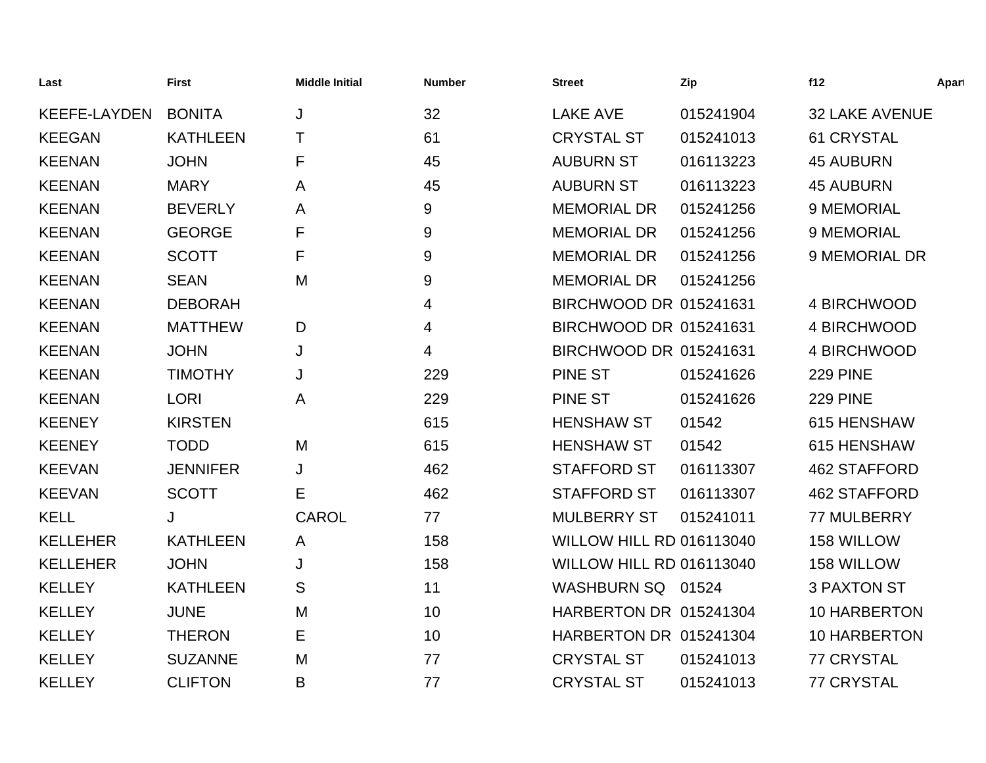| Last                | <b>First</b>    | <b>Middle Initial</b> | <b>Number</b> | <b>Street</b>                   | Zip       | f12                   | Apart |
|---------------------|-----------------|-----------------------|---------------|---------------------------------|-----------|-----------------------|-------|
| <b>KEEFE-LAYDEN</b> | <b>BONITA</b>   | J                     | 32            | <b>LAKE AVE</b>                 | 015241904 | <b>32 LAKE AVENUE</b> |       |
| <b>KEEGAN</b>       | <b>KATHLEEN</b> | T                     | 61            | <b>CRYSTAL ST</b>               | 015241013 | <b>61 CRYSTAL</b>     |       |
| <b>KEENAN</b>       | <b>JOHN</b>     | F                     | 45            | <b>AUBURN ST</b>                | 016113223 | <b>45 AUBURN</b>      |       |
| <b>KEENAN</b>       | <b>MARY</b>     | A                     | 45            | <b>AUBURN ST</b>                | 016113223 | <b>45 AUBURN</b>      |       |
| <b>KEENAN</b>       | <b>BEVERLY</b>  | A                     | 9             | <b>MEMORIAL DR</b>              | 015241256 | 9 MEMORIAL            |       |
| <b>KEENAN</b>       | <b>GEORGE</b>   | F                     | 9             | <b>MEMORIAL DR</b>              | 015241256 | 9 MEMORIAL            |       |
| <b>KEENAN</b>       | <b>SCOTT</b>    | F                     | 9             | <b>MEMORIAL DR</b>              | 015241256 | 9 MEMORIAL DR         |       |
| <b>KEENAN</b>       | <b>SEAN</b>     | M                     | 9             | <b>MEMORIAL DR</b>              | 015241256 |                       |       |
| <b>KEENAN</b>       | <b>DEBORAH</b>  |                       | 4             | BIRCHWOOD DR 015241631          |           | 4 BIRCHWOOD           |       |
| <b>KEENAN</b>       | <b>MATTHEW</b>  | D                     | 4             | BIRCHWOOD DR 015241631          |           | 4 BIRCHWOOD           |       |
| <b>KEENAN</b>       | <b>JOHN</b>     | J                     | 4             | BIRCHWOOD DR 015241631          |           | 4 BIRCHWOOD           |       |
| <b>KEENAN</b>       | <b>TIMOTHY</b>  | J                     | 229           | <b>PINE ST</b>                  | 015241626 | <b>229 PINE</b>       |       |
| <b>KEENAN</b>       | <b>LORI</b>     | Α                     | 229           | <b>PINE ST</b>                  | 015241626 | <b>229 PINE</b>       |       |
| <b>KEENEY</b>       | <b>KIRSTEN</b>  |                       | 615           | <b>HENSHAW ST</b>               | 01542     | 615 HENSHAW           |       |
| <b>KEENEY</b>       | <b>TODD</b>     | M                     | 615           | <b>HENSHAW ST</b>               | 01542     | 615 HENSHAW           |       |
| <b>KEEVAN</b>       | <b>JENNIFER</b> | J                     | 462           | <b>STAFFORD ST</b>              | 016113307 | <b>462 STAFFORD</b>   |       |
| <b>KEEVAN</b>       | <b>SCOTT</b>    | Е                     | 462           | <b>STAFFORD ST</b>              | 016113307 | <b>462 STAFFORD</b>   |       |
| <b>KELL</b>         | J               | <b>CAROL</b>          | 77            | <b>MULBERRY ST</b>              | 015241011 | 77 MULBERRY           |       |
| <b>KELLEHER</b>     | <b>KATHLEEN</b> | A                     | 158           | <b>WILLOW HILL RD 016113040</b> |           | 158 WILLOW            |       |
| <b>KELLEHER</b>     | <b>JOHN</b>     | J                     | 158           | WILLOW HILL RD 016113040        |           | 158 WILLOW            |       |
| <b>KELLEY</b>       | <b>KATHLEEN</b> | S                     | 11            | WASHBURN SQ 01524               |           | <b>3 PAXTON ST</b>    |       |
| <b>KELLEY</b>       | <b>JUNE</b>     | M                     | 10            | HARBERTON DR 015241304          |           | <b>10 HARBERTON</b>   |       |
| <b>KELLEY</b>       | <b>THERON</b>   | Е                     | 10            | HARBERTON DR 015241304          |           | 10 HARBERTON          |       |
| <b>KELLEY</b>       | <b>SUZANNE</b>  | M                     | 77            | <b>CRYSTAL ST</b>               | 015241013 | <b>77 CRYSTAL</b>     |       |
| <b>KELLEY</b>       | <b>CLIFTON</b>  | B                     | 77            | <b>CRYSTAL ST</b>               | 015241013 | <b>77 CRYSTAL</b>     |       |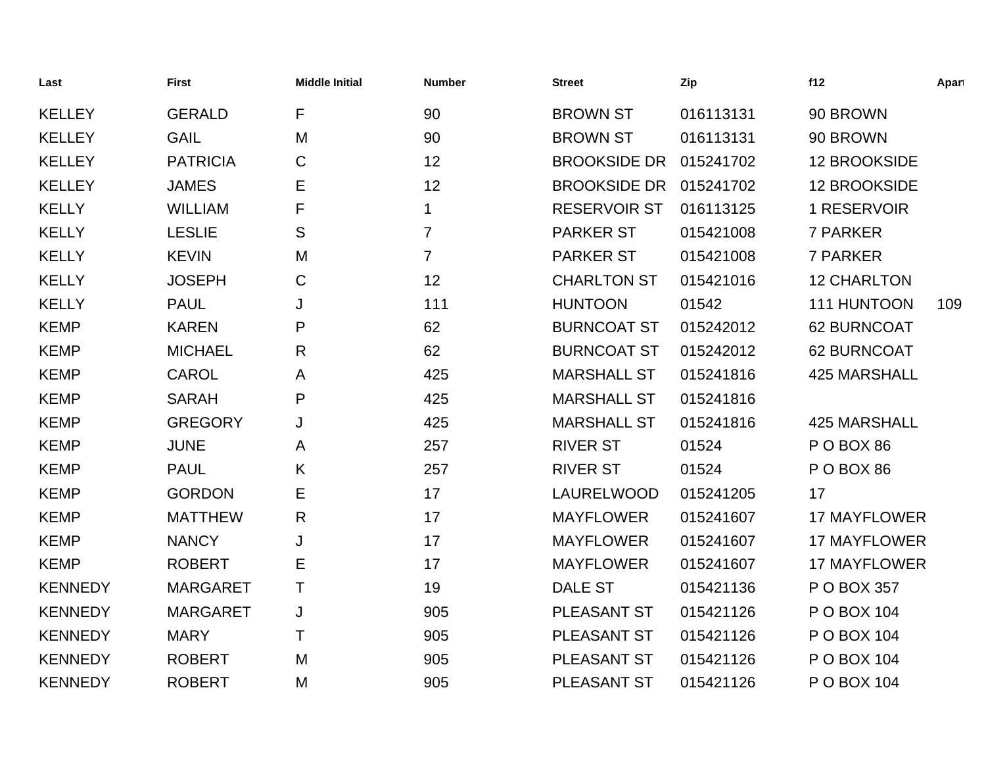| Last           | <b>First</b>    | <b>Middle Initial</b> | <b>Number</b>  | <b>Street</b>       | Zip       | f12                 | Apart |
|----------------|-----------------|-----------------------|----------------|---------------------|-----------|---------------------|-------|
| <b>KELLEY</b>  | <b>GERALD</b>   | F                     | 90             | <b>BROWN ST</b>     | 016113131 | 90 BROWN            |       |
| <b>KELLEY</b>  | <b>GAIL</b>     | M                     | 90             | <b>BROWN ST</b>     | 016113131 | 90 BROWN            |       |
| <b>KELLEY</b>  | <b>PATRICIA</b> | C                     | 12             | <b>BROOKSIDE DR</b> | 015241702 | 12 BROOKSIDE        |       |
| <b>KELLEY</b>  | <b>JAMES</b>    | E                     | 12             | <b>BROOKSIDE DR</b> | 015241702 | 12 BROOKSIDE        |       |
| <b>KELLY</b>   | <b>WILLIAM</b>  | F                     | 1              | <b>RESERVOIR ST</b> | 016113125 | 1 RESERVOIR         |       |
| <b>KELLY</b>   | <b>LESLIE</b>   | S                     | $\overline{7}$ | <b>PARKER ST</b>    | 015421008 | 7 PARKER            |       |
| <b>KELLY</b>   | <b>KEVIN</b>    | M                     | 7              | <b>PARKER ST</b>    | 015421008 | 7 PARKER            |       |
| <b>KELLY</b>   | <b>JOSEPH</b>   | C                     | 12             | <b>CHARLTON ST</b>  | 015421016 | <b>12 CHARLTON</b>  |       |
| <b>KELLY</b>   | <b>PAUL</b>     | J                     | 111            | <b>HUNTOON</b>      | 01542     | 111 HUNTOON         | 109   |
| <b>KEMP</b>    | <b>KAREN</b>    | P                     | 62             | <b>BURNCOAT ST</b>  | 015242012 | 62 BURNCOAT         |       |
| <b>KEMP</b>    | <b>MICHAEL</b>  | R                     | 62             | <b>BURNCOAT ST</b>  | 015242012 | 62 BURNCOAT         |       |
| <b>KEMP</b>    | <b>CAROL</b>    | A                     | 425            | <b>MARSHALL ST</b>  | 015241816 | <b>425 MARSHALL</b> |       |
| <b>KEMP</b>    | <b>SARAH</b>    | P                     | 425            | <b>MARSHALL ST</b>  | 015241816 |                     |       |
| <b>KEMP</b>    | <b>GREGORY</b>  | J                     | 425            | <b>MARSHALL ST</b>  | 015241816 | <b>425 MARSHALL</b> |       |
| <b>KEMP</b>    | <b>JUNE</b>     | A                     | 257            | <b>RIVER ST</b>     | 01524     | POBOX 86            |       |
| <b>KEMP</b>    | <b>PAUL</b>     | K                     | 257            | <b>RIVER ST</b>     | 01524     | POBOX 86            |       |
| <b>KEMP</b>    | <b>GORDON</b>   | E                     | 17             | <b>LAURELWOOD</b>   | 015241205 | 17                  |       |
| <b>KEMP</b>    | <b>MATTHEW</b>  | R                     | 17             | <b>MAYFLOWER</b>    | 015241607 | <b>17 MAYFLOWER</b> |       |
| <b>KEMP</b>    | <b>NANCY</b>    | J                     | 17             | <b>MAYFLOWER</b>    | 015241607 | <b>17 MAYFLOWER</b> |       |
| <b>KEMP</b>    | <b>ROBERT</b>   | Ε                     | 17             | <b>MAYFLOWER</b>    | 015241607 | <b>17 MAYFLOWER</b> |       |
| <b>KENNEDY</b> | <b>MARGARET</b> | Τ                     | 19             | <b>DALE ST</b>      | 015421136 | P O BOX 357         |       |
| <b>KENNEDY</b> | <b>MARGARET</b> | J                     | 905            | PLEASANT ST         | 015421126 | P O BOX 104         |       |
| <b>KENNEDY</b> | <b>MARY</b>     | Τ                     | 905            | <b>PLEASANT ST</b>  | 015421126 | P O BOX 104         |       |
| <b>KENNEDY</b> | <b>ROBERT</b>   | M                     | 905            | <b>PLEASANT ST</b>  | 015421126 | P O BOX 104         |       |
| <b>KENNEDY</b> | <b>ROBERT</b>   | M                     | 905            | <b>PLEASANT ST</b>  | 015421126 | P O BOX 104         |       |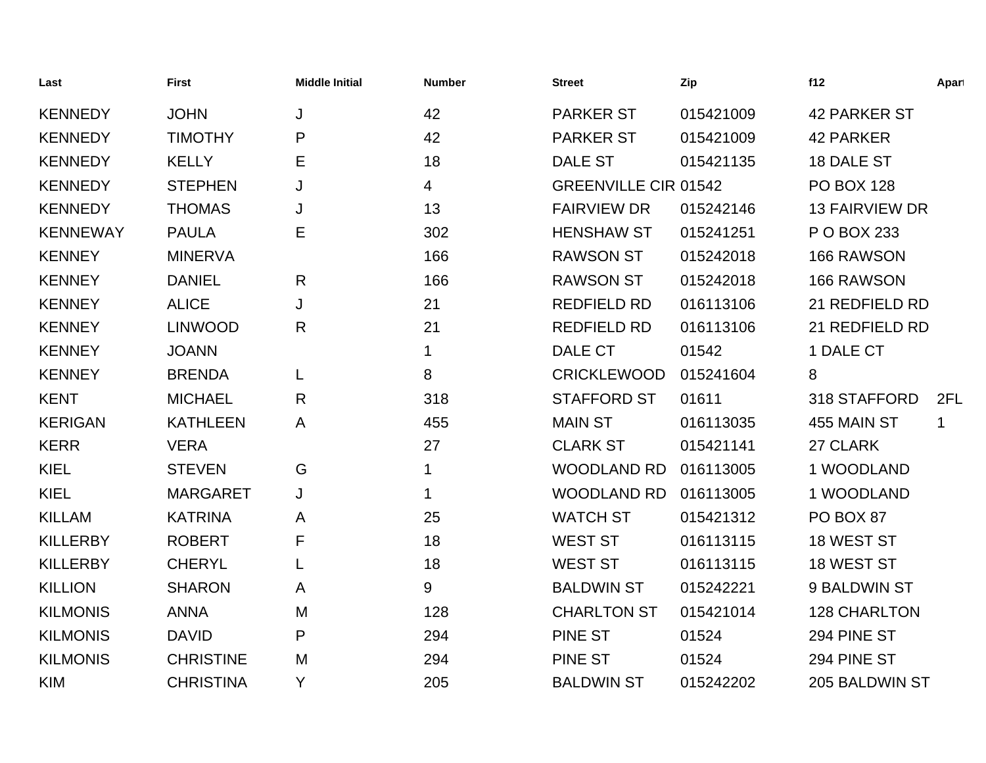| Last            | <b>First</b>     | <b>Middle Initial</b> | <b>Number</b> | <b>Street</b>               | Zip       | f12                   | Apart |
|-----------------|------------------|-----------------------|---------------|-----------------------------|-----------|-----------------------|-------|
| <b>KENNEDY</b>  | <b>JOHN</b>      | J                     | 42            | <b>PARKER ST</b>            | 015421009 | <b>42 PARKER ST</b>   |       |
| <b>KENNEDY</b>  | <b>TIMOTHY</b>   | P                     | 42            | <b>PARKER ST</b>            | 015421009 | <b>42 PARKER</b>      |       |
| <b>KENNEDY</b>  | <b>KELLY</b>     | Е                     | 18            | <b>DALE ST</b>              | 015421135 | 18 DALE ST            |       |
| <b>KENNEDY</b>  | <b>STEPHEN</b>   | J                     | 4             | <b>GREENVILLE CIR 01542</b> |           | <b>PO BOX 128</b>     |       |
| <b>KENNEDY</b>  | <b>THOMAS</b>    | J                     | 13            | <b>FAIRVIEW DR</b>          | 015242146 | <b>13 FAIRVIEW DR</b> |       |
| <b>KENNEWAY</b> | <b>PAULA</b>     | Е                     | 302           | <b>HENSHAW ST</b>           | 015241251 | P O BOX 233           |       |
| <b>KENNEY</b>   | <b>MINERVA</b>   |                       | 166           | <b>RAWSON ST</b>            | 015242018 | 166 RAWSON            |       |
| <b>KENNEY</b>   | <b>DANIEL</b>    | R                     | 166           | <b>RAWSON ST</b>            | 015242018 | 166 RAWSON            |       |
| <b>KENNEY</b>   | <b>ALICE</b>     | J                     | 21            | <b>REDFIELD RD</b>          | 016113106 | 21 REDFIELD RD        |       |
| <b>KENNEY</b>   | <b>LINWOOD</b>   | R                     | 21            | <b>REDFIELD RD</b>          | 016113106 | 21 REDFIELD RD        |       |
| <b>KENNEY</b>   | <b>JOANN</b>     |                       | 1             | <b>DALE CT</b>              | 01542     | 1 DALE CT             |       |
| <b>KENNEY</b>   | <b>BRENDA</b>    | L                     | 8             | <b>CRICKLEWOOD</b>          | 015241604 | 8                     |       |
| <b>KENT</b>     | <b>MICHAEL</b>   | R                     | 318           | <b>STAFFORD ST</b>          | 01611     | 318 STAFFORD          | 2FL   |
| <b>KERIGAN</b>  | <b>KATHLEEN</b>  | A                     | 455           | <b>MAIN ST</b>              | 016113035 | 455 MAIN ST           | 1     |
| <b>KERR</b>     | <b>VERA</b>      |                       | 27            | <b>CLARK ST</b>             | 015421141 | 27 CLARK              |       |
| <b>KIEL</b>     | <b>STEVEN</b>    | G                     | 1             | <b>WOODLAND RD</b>          | 016113005 | 1 WOODLAND            |       |
| <b>KIEL</b>     | <b>MARGARET</b>  | J                     | 1             | <b>WOODLAND RD</b>          | 016113005 | 1 WOODLAND            |       |
| <b>KILLAM</b>   | <b>KATRINA</b>   | Α                     | 25            | <b>WATCH ST</b>             | 015421312 | PO BOX 87             |       |
| <b>KILLERBY</b> | <b>ROBERT</b>    | F                     | 18            | <b>WEST ST</b>              | 016113115 | 18 WEST ST            |       |
| <b>KILLERBY</b> | <b>CHERYL</b>    |                       | 18            | <b>WEST ST</b>              | 016113115 | 18 WEST ST            |       |
| <b>KILLION</b>  | <b>SHARON</b>    | A                     | 9             | <b>BALDWIN ST</b>           | 015242221 | 9 BALDWIN ST          |       |
| <b>KILMONIS</b> | <b>ANNA</b>      | M                     | 128           | <b>CHARLTON ST</b>          | 015421014 | <b>128 CHARLTON</b>   |       |
| <b>KILMONIS</b> | <b>DAVID</b>     | P                     | 294           | <b>PINE ST</b>              | 01524     | 294 PINE ST           |       |
| <b>KILMONIS</b> | <b>CHRISTINE</b> | M                     | 294           | <b>PINE ST</b>              | 01524     | 294 PINE ST           |       |
| <b>KIM</b>      | <b>CHRISTINA</b> | Y                     | 205           | <b>BALDWIN ST</b>           | 015242202 | 205 BALDWIN ST        |       |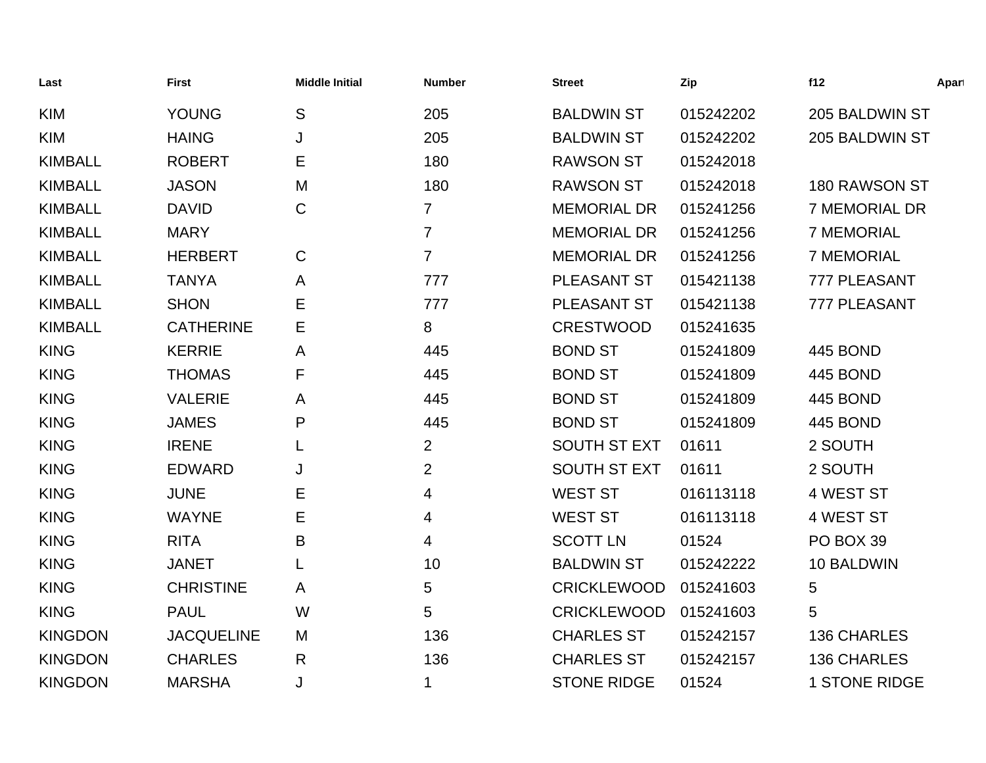| Last           | <b>First</b>      | <b>Middle Initial</b> | <b>Number</b>  | <b>Street</b>       | Zip       | f12                  | Apart |
|----------------|-------------------|-----------------------|----------------|---------------------|-----------|----------------------|-------|
| <b>KIM</b>     | <b>YOUNG</b>      | S                     | 205            | <b>BALDWIN ST</b>   | 015242202 | 205 BALDWIN ST       |       |
| <b>KIM</b>     | <b>HAING</b>      | J                     | 205            | <b>BALDWIN ST</b>   | 015242202 | 205 BALDWIN ST       |       |
| <b>KIMBALL</b> | <b>ROBERT</b>     | Е                     | 180            | <b>RAWSON ST</b>    | 015242018 |                      |       |
| <b>KIMBALL</b> | <b>JASON</b>      | M                     | 180            | <b>RAWSON ST</b>    | 015242018 | 180 RAWSON ST        |       |
| <b>KIMBALL</b> | <b>DAVID</b>      | $\mathsf C$           | $\overline{7}$ | <b>MEMORIAL DR</b>  | 015241256 | 7 MEMORIAL DR        |       |
| <b>KIMBALL</b> | <b>MARY</b>       |                       | $\overline{7}$ | <b>MEMORIAL DR</b>  | 015241256 | <b>7 MEMORIAL</b>    |       |
| <b>KIMBALL</b> | <b>HERBERT</b>    | C                     | 7              | <b>MEMORIAL DR</b>  | 015241256 | <b>7 MEMORIAL</b>    |       |
| <b>KIMBALL</b> | <b>TANYA</b>      | A                     | 777            | PLEASANT ST         | 015421138 | 777 PLEASANT         |       |
| <b>KIMBALL</b> | <b>SHON</b>       | Ε                     | 777            | <b>PLEASANT ST</b>  | 015421138 | 777 PLEASANT         |       |
| <b>KIMBALL</b> | <b>CATHERINE</b>  | Е                     | 8              | <b>CRESTWOOD</b>    | 015241635 |                      |       |
| <b>KING</b>    | <b>KERRIE</b>     | Α                     | 445            | <b>BOND ST</b>      | 015241809 | 445 BOND             |       |
| <b>KING</b>    | <b>THOMAS</b>     | F                     | 445            | <b>BOND ST</b>      | 015241809 | <b>445 BOND</b>      |       |
| <b>KING</b>    | <b>VALERIE</b>    | A                     | 445            | <b>BOND ST</b>      | 015241809 | <b>445 BOND</b>      |       |
| <b>KING</b>    | <b>JAMES</b>      | Ρ                     | 445            | <b>BOND ST</b>      | 015241809 | <b>445 BOND</b>      |       |
| <b>KING</b>    | <b>IRENE</b>      |                       | $\overline{2}$ | <b>SOUTH ST EXT</b> | 01611     | 2 SOUTH              |       |
| <b>KING</b>    | <b>EDWARD</b>     | J                     | $\overline{2}$ | <b>SOUTH ST EXT</b> | 01611     | 2 SOUTH              |       |
| <b>KING</b>    | <b>JUNE</b>       | Е                     | 4              | <b>WEST ST</b>      | 016113118 | 4 WEST ST            |       |
| <b>KING</b>    | <b>WAYNE</b>      | Е                     | 4              | <b>WEST ST</b>      | 016113118 | 4 WEST ST            |       |
| <b>KING</b>    | <b>RITA</b>       | B                     | 4              | <b>SCOTT LN</b>     | 01524     | PO BOX 39            |       |
| <b>KING</b>    | <b>JANET</b>      |                       | 10             | <b>BALDWIN ST</b>   | 015242222 | 10 BALDWIN           |       |
| <b>KING</b>    | <b>CHRISTINE</b>  | A                     | 5              | <b>CRICKLEWOOD</b>  | 015241603 | 5                    |       |
| <b>KING</b>    | <b>PAUL</b>       | W                     | 5              | <b>CRICKLEWOOD</b>  | 015241603 | 5                    |       |
| <b>KINGDON</b> | <b>JACQUELINE</b> | M                     | 136            | <b>CHARLES ST</b>   | 015242157 | 136 CHARLES          |       |
| <b>KINGDON</b> | <b>CHARLES</b>    | R                     | 136            | <b>CHARLES ST</b>   | 015242157 | <b>136 CHARLES</b>   |       |
| <b>KINGDON</b> | <b>MARSHA</b>     | J                     | 1              | <b>STONE RIDGE</b>  | 01524     | <b>1 STONE RIDGE</b> |       |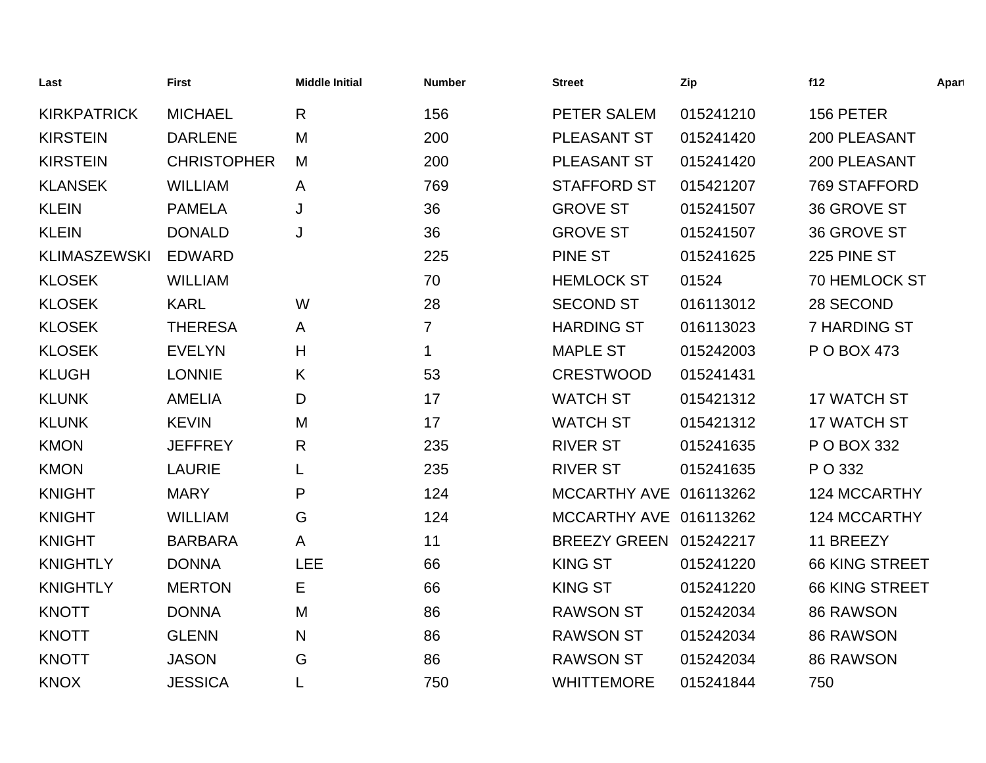| Last                | <b>First</b>       | <b>Middle Initial</b> | <b>Number</b>  | <b>Street</b>          | Zip       | f12                   | Apart |
|---------------------|--------------------|-----------------------|----------------|------------------------|-----------|-----------------------|-------|
| <b>KIRKPATRICK</b>  | <b>MICHAEL</b>     | R                     | 156            | PETER SALEM            | 015241210 | 156 PETER             |       |
| <b>KIRSTEIN</b>     | <b>DARLENE</b>     | M                     | 200            | PLEASANT ST            | 015241420 | 200 PLEASANT          |       |
| <b>KIRSTEIN</b>     | <b>CHRISTOPHER</b> | M                     | 200            | PLEASANT ST            | 015241420 | 200 PLEASANT          |       |
| <b>KLANSEK</b>      | <b>WILLIAM</b>     | A                     | 769            | <b>STAFFORD ST</b>     | 015421207 | 769 STAFFORD          |       |
| <b>KLEIN</b>        | <b>PAMELA</b>      | J                     | 36             | <b>GROVE ST</b>        | 015241507 | 36 GROVE ST           |       |
| <b>KLEIN</b>        | <b>DONALD</b>      | J                     | 36             | <b>GROVE ST</b>        | 015241507 | 36 GROVE ST           |       |
| <b>KLIMASZEWSKI</b> | <b>EDWARD</b>      |                       | 225            | <b>PINE ST</b>         | 015241625 | 225 PINE ST           |       |
| <b>KLOSEK</b>       | <b>WILLIAM</b>     |                       | 70             | <b>HEMLOCK ST</b>      | 01524     | <b>70 HEMLOCK ST</b>  |       |
| <b>KLOSEK</b>       | <b>KARL</b>        | W                     | 28             | <b>SECOND ST</b>       | 016113012 | 28 SECOND             |       |
| <b>KLOSEK</b>       | <b>THERESA</b>     | A                     | $\overline{7}$ | <b>HARDING ST</b>      | 016113023 | <b>7 HARDING ST</b>   |       |
| <b>KLOSEK</b>       | <b>EVELYN</b>      | Н                     | $\mathbf{1}$   | <b>MAPLE ST</b>        | 015242003 | P O BOX 473           |       |
| <b>KLUGH</b>        | <b>LONNIE</b>      | K                     | 53             | <b>CRESTWOOD</b>       | 015241431 |                       |       |
| <b>KLUNK</b>        | <b>AMELIA</b>      | D                     | 17             | <b>WATCH ST</b>        | 015421312 | 17 WATCH ST           |       |
| <b>KLUNK</b>        | <b>KEVIN</b>       | M                     | 17             | <b>WATCH ST</b>        | 015421312 | 17 WATCH ST           |       |
| <b>KMON</b>         | <b>JEFFREY</b>     | R.                    | 235            | <b>RIVER ST</b>        | 015241635 | P O BOX 332           |       |
| <b>KMON</b>         | <b>LAURIE</b>      |                       | 235            | <b>RIVER ST</b>        | 015241635 | P O 332               |       |
| <b>KNIGHT</b>       | <b>MARY</b>        | P                     | 124            | MCCARTHY AVE 016113262 |           | 124 MCCARTHY          |       |
| <b>KNIGHT</b>       | <b>WILLIAM</b>     | G                     | 124            | MCCARTHY AVE 016113262 |           | <b>124 MCCARTHY</b>   |       |
| <b>KNIGHT</b>       | <b>BARBARA</b>     | A                     | 11             | BREEZY GREEN 015242217 |           | 11 BREEZY             |       |
| <b>KNIGHTLY</b>     | <b>DONNA</b>       | <b>LEE</b>            | 66             | <b>KING ST</b>         | 015241220 | <b>66 KING STREET</b> |       |
| <b>KNIGHTLY</b>     | <b>MERTON</b>      | Е                     | 66             | <b>KING ST</b>         | 015241220 | 66 KING STREET        |       |
| <b>KNOTT</b>        | <b>DONNA</b>       | M                     | 86             | <b>RAWSON ST</b>       | 015242034 | 86 RAWSON             |       |
| <b>KNOTT</b>        | <b>GLENN</b>       | N                     | 86             | <b>RAWSON ST</b>       | 015242034 | 86 RAWSON             |       |
| <b>KNOTT</b>        | <b>JASON</b>       | G                     | 86             | <b>RAWSON ST</b>       | 015242034 | 86 RAWSON             |       |
| <b>KNOX</b>         | <b>JESSICA</b>     |                       | 750            | <b>WHITTEMORE</b>      | 015241844 | 750                   |       |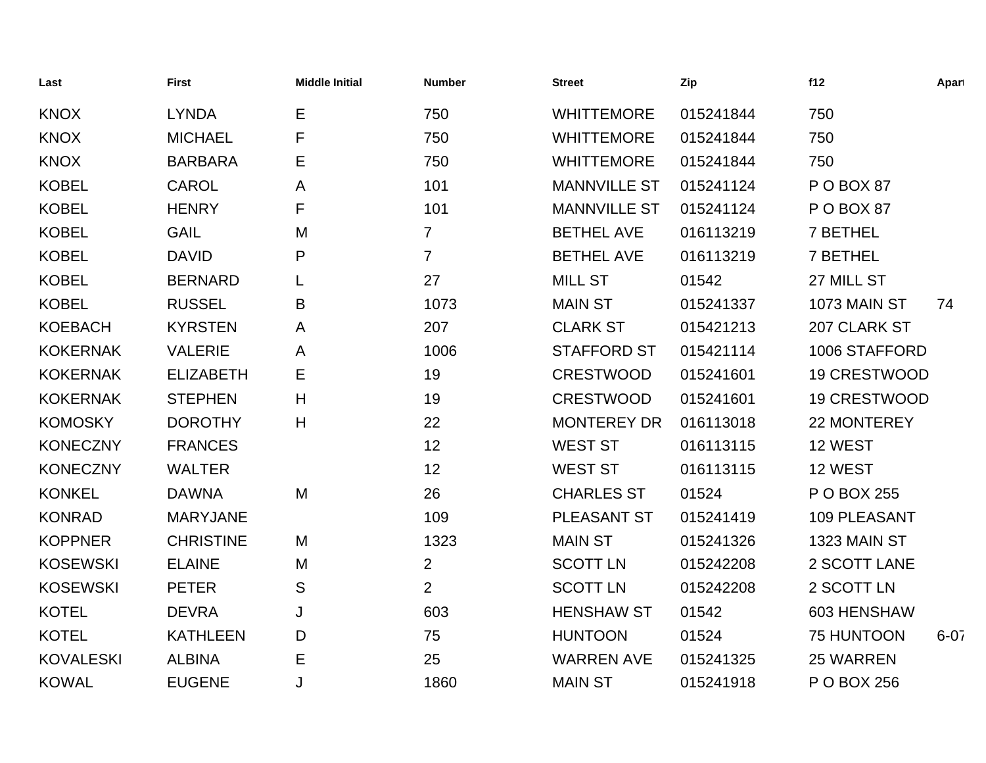| Last             | <b>First</b>     | <b>Middle Initial</b> | <b>Number</b>  | <b>Street</b>       | Zip       | f12                 | Apart    |
|------------------|------------------|-----------------------|----------------|---------------------|-----------|---------------------|----------|
| <b>KNOX</b>      | <b>LYNDA</b>     | Е                     | 750            | <b>WHITTEMORE</b>   | 015241844 | 750                 |          |
| <b>KNOX</b>      | <b>MICHAEL</b>   | F                     | 750            | <b>WHITTEMORE</b>   | 015241844 | 750                 |          |
| <b>KNOX</b>      | <b>BARBARA</b>   | Ε                     | 750            | <b>WHITTEMORE</b>   | 015241844 | 750                 |          |
| <b>KOBEL</b>     | <b>CAROL</b>     | A                     | 101            | <b>MANNVILLE ST</b> | 015241124 | POBOX 87            |          |
| <b>KOBEL</b>     | <b>HENRY</b>     | F                     | 101            | <b>MANNVILLE ST</b> | 015241124 | POBOX87             |          |
| <b>KOBEL</b>     | <b>GAIL</b>      | M                     | $\overline{7}$ | <b>BETHEL AVE</b>   | 016113219 | 7 BETHEL            |          |
| <b>KOBEL</b>     | <b>DAVID</b>     | P                     | $\overline{7}$ | <b>BETHEL AVE</b>   | 016113219 | 7 BETHEL            |          |
| <b>KOBEL</b>     | <b>BERNARD</b>   |                       | 27             | <b>MILL ST</b>      | 01542     | 27 MILL ST          |          |
| <b>KOBEL</b>     | <b>RUSSEL</b>    | B                     | 1073           | <b>MAIN ST</b>      | 015241337 | 1073 MAIN ST        | 74       |
| <b>KOEBACH</b>   | <b>KYRSTEN</b>   | A                     | 207            | <b>CLARK ST</b>     | 015421213 | 207 CLARK ST        |          |
| <b>KOKERNAK</b>  | <b>VALERIE</b>   | A                     | 1006           | <b>STAFFORD ST</b>  | 015421114 | 1006 STAFFORD       |          |
| <b>KOKERNAK</b>  | <b>ELIZABETH</b> | Е                     | 19             | <b>CRESTWOOD</b>    | 015241601 | <b>19 CRESTWOOD</b> |          |
| <b>KOKERNAK</b>  | <b>STEPHEN</b>   | H                     | 19             | <b>CRESTWOOD</b>    | 015241601 | <b>19 CRESTWOOD</b> |          |
| <b>KOMOSKY</b>   | <b>DOROTHY</b>   | H                     | 22             | <b>MONTEREY DR</b>  | 016113018 | 22 MONTEREY         |          |
| <b>KONECZNY</b>  | <b>FRANCES</b>   |                       | 12             | <b>WEST ST</b>      | 016113115 | 12 WEST             |          |
| <b>KONECZNY</b>  | <b>WALTER</b>    |                       | 12             | <b>WEST ST</b>      | 016113115 | 12 WEST             |          |
| <b>KONKEL</b>    | <b>DAWNA</b>     | M                     | 26             | <b>CHARLES ST</b>   | 01524     | P O BOX 255         |          |
| <b>KONRAD</b>    | <b>MARYJANE</b>  |                       | 109            | PLEASANT ST         | 015241419 | 109 PLEASANT        |          |
| <b>KOPPNER</b>   | <b>CHRISTINE</b> | M                     | 1323           | <b>MAIN ST</b>      | 015241326 | 1323 MAIN ST        |          |
| <b>KOSEWSKI</b>  | <b>ELAINE</b>    | M                     | $\overline{2}$ | <b>SCOTT LN</b>     | 015242208 | 2 SCOTT LANE        |          |
| <b>KOSEWSKI</b>  | <b>PETER</b>     | S                     | $\overline{2}$ | <b>SCOTT LN</b>     | 015242208 | 2 SCOTT LN          |          |
| <b>KOTEL</b>     | <b>DEVRA</b>     | J                     | 603            | <b>HENSHAW ST</b>   | 01542     | 603 HENSHAW         |          |
| <b>KOTEL</b>     | <b>KATHLEEN</b>  | D                     | 75             | <b>HUNTOON</b>      | 01524     | 75 HUNTOON          | $6 - 07$ |
| <b>KOVALESKI</b> | <b>ALBINA</b>    | E                     | 25             | <b>WARREN AVE</b>   | 015241325 | 25 WARREN           |          |
| <b>KOWAL</b>     | <b>EUGENE</b>    | J                     | 1860           | <b>MAIN ST</b>      | 015241918 | P O BOX 256         |          |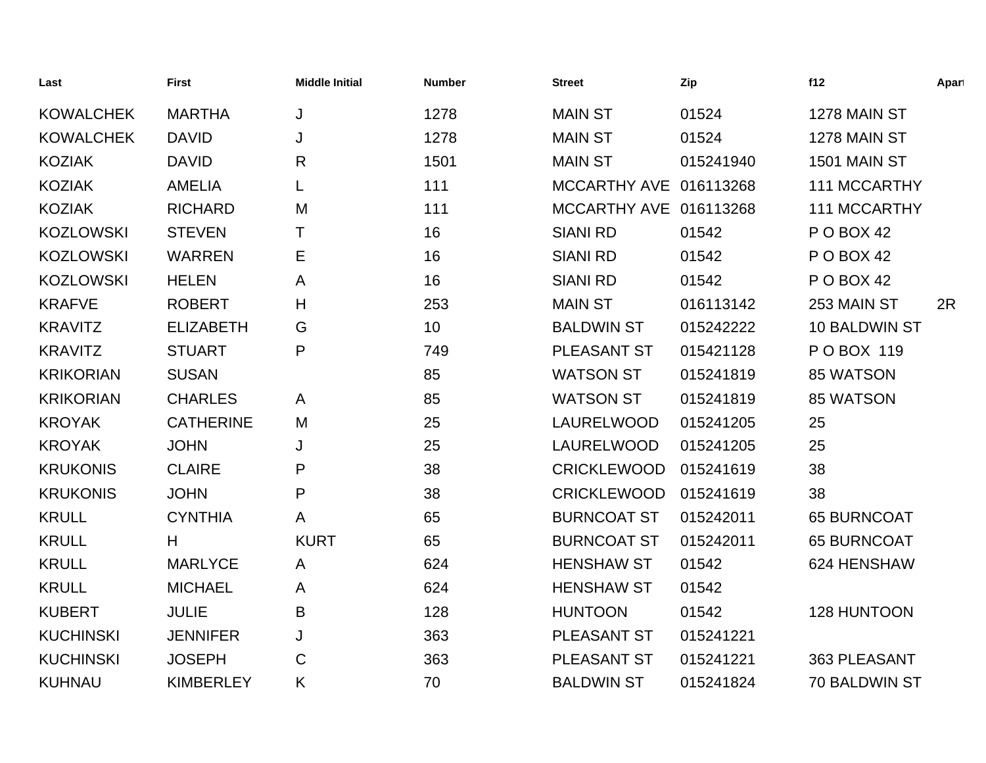| Last             | <b>First</b>     | <b>Middle Initial</b> | <b>Number</b> | <b>Street</b>          | Zip       | f12                  | Apart |
|------------------|------------------|-----------------------|---------------|------------------------|-----------|----------------------|-------|
| <b>KOWALCHEK</b> | <b>MARTHA</b>    | J                     | 1278          | <b>MAIN ST</b>         | 01524     | 1278 MAIN ST         |       |
| <b>KOWALCHEK</b> | <b>DAVID</b>     | J                     | 1278          | <b>MAIN ST</b>         | 01524     | 1278 MAIN ST         |       |
| <b>KOZIAK</b>    | <b>DAVID</b>     | $\mathsf{R}$          | 1501          | <b>MAIN ST</b>         | 015241940 | 1501 MAIN ST         |       |
| <b>KOZIAK</b>    | <b>AMELIA</b>    |                       | 111           | MCCARTHY AVE 016113268 |           | 111 MCCARTHY         |       |
| <b>KOZIAK</b>    | <b>RICHARD</b>   | M                     | 111           | MCCARTHY AVE 016113268 |           | 111 MCCARTHY         |       |
| <b>KOZLOWSKI</b> | <b>STEVEN</b>    | т                     | 16            | <b>SIANI RD</b>        | 01542     | <b>P O BOX 42</b>    |       |
| <b>KOZLOWSKI</b> | <b>WARREN</b>    | Е                     | 16            | <b>SIANI RD</b>        | 01542     | <b>P O BOX 42</b>    |       |
| <b>KOZLOWSKI</b> | <b>HELEN</b>     | A                     | 16            | <b>SIANI RD</b>        | 01542     | <b>P O BOX 42</b>    |       |
| <b>KRAFVE</b>    | <b>ROBERT</b>    | H                     | 253           | <b>MAIN ST</b>         | 016113142 | 253 MAIN ST          | 2R    |
| <b>KRAVITZ</b>   | <b>ELIZABETH</b> | G                     | 10            | <b>BALDWIN ST</b>      | 015242222 | 10 BALDWIN ST        |       |
| <b>KRAVITZ</b>   | <b>STUART</b>    | P                     | 749           | PLEASANT ST            | 015421128 | P O BOX 119          |       |
| <b>KRIKORIAN</b> | <b>SUSAN</b>     |                       | 85            | <b>WATSON ST</b>       | 015241819 | 85 WATSON            |       |
| <b>KRIKORIAN</b> | <b>CHARLES</b>   | A                     | 85            | <b>WATSON ST</b>       | 015241819 | 85 WATSON            |       |
| <b>KROYAK</b>    | <b>CATHERINE</b> | M                     | 25            | LAURELWOOD             | 015241205 | 25                   |       |
| <b>KROYAK</b>    | <b>JOHN</b>      | J                     | 25            | LAURELWOOD             | 015241205 | 25                   |       |
| <b>KRUKONIS</b>  | <b>CLAIRE</b>    | P                     | 38            | <b>CRICKLEWOOD</b>     | 015241619 | 38                   |       |
| <b>KRUKONIS</b>  | <b>JOHN</b>      | ${\sf P}$             | 38            | <b>CRICKLEWOOD</b>     | 015241619 | 38                   |       |
| <b>KRULL</b>     | <b>CYNTHIA</b>   | A                     | 65            | <b>BURNCOAT ST</b>     | 015242011 | <b>65 BURNCOAT</b>   |       |
| <b>KRULL</b>     | H                | <b>KURT</b>           | 65            | <b>BURNCOAT ST</b>     | 015242011 | <b>65 BURNCOAT</b>   |       |
| <b>KRULL</b>     | <b>MARLYCE</b>   | A                     | 624           | <b>HENSHAW ST</b>      | 01542     | 624 HENSHAW          |       |
| <b>KRULL</b>     | <b>MICHAEL</b>   | A                     | 624           | <b>HENSHAW ST</b>      | 01542     |                      |       |
| <b>KUBERT</b>    | <b>JULIE</b>     | B                     | 128           | <b>HUNTOON</b>         | 01542     | 128 HUNTOON          |       |
| <b>KUCHINSKI</b> | <b>JENNIFER</b>  | J                     | 363           | PLEASANT ST            | 015241221 |                      |       |
| <b>KUCHINSKI</b> | <b>JOSEPH</b>    | $\mathsf{C}$          | 363           | PLEASANT ST            | 015241221 | 363 PLEASANT         |       |
| <b>KUHNAU</b>    | <b>KIMBERLEY</b> | Κ                     | 70            | <b>BALDWIN ST</b>      | 015241824 | <b>70 BALDWIN ST</b> |       |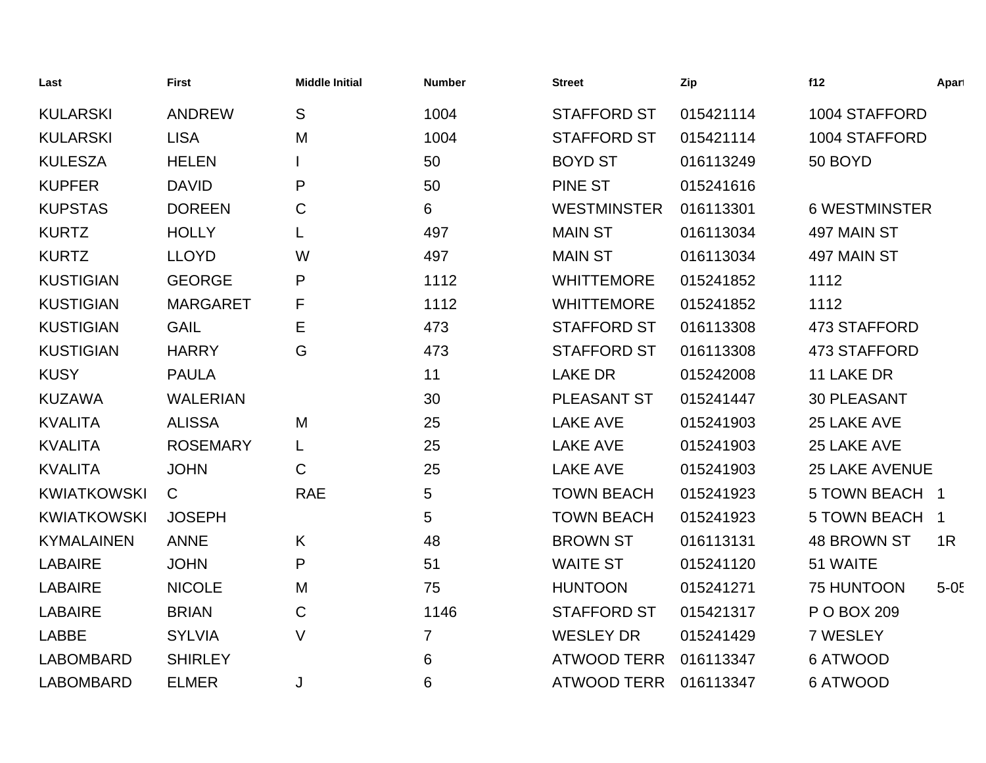| Last               | <b>First</b>    | <b>Middle Initial</b> | <b>Number</b>  | <b>Street</b>      | Zip       | f12                   | Apart    |
|--------------------|-----------------|-----------------------|----------------|--------------------|-----------|-----------------------|----------|
| <b>KULARSKI</b>    | <b>ANDREW</b>   | S                     | 1004           | <b>STAFFORD ST</b> | 015421114 | 1004 STAFFORD         |          |
| <b>KULARSKI</b>    | <b>LISA</b>     | M                     | 1004           | <b>STAFFORD ST</b> | 015421114 | 1004 STAFFORD         |          |
| <b>KULESZA</b>     | <b>HELEN</b>    |                       | 50             | <b>BOYD ST</b>     | 016113249 | 50 BOYD               |          |
| <b>KUPFER</b>      | <b>DAVID</b>    | P                     | 50             | PINE ST            | 015241616 |                       |          |
| <b>KUPSTAS</b>     | <b>DOREEN</b>   | $\mathbf C$           | 6              | <b>WESTMINSTER</b> | 016113301 | <b>6 WESTMINSTER</b>  |          |
| <b>KURTZ</b>       | <b>HOLLY</b>    |                       | 497            | <b>MAIN ST</b>     | 016113034 | 497 MAIN ST           |          |
| <b>KURTZ</b>       | <b>LLOYD</b>    | W                     | 497            | <b>MAIN ST</b>     | 016113034 | 497 MAIN ST           |          |
| <b>KUSTIGIAN</b>   | <b>GEORGE</b>   | P                     | 1112           | <b>WHITTEMORE</b>  | 015241852 | 1112                  |          |
| <b>KUSTIGIAN</b>   | <b>MARGARET</b> | F                     | 1112           | <b>WHITTEMORE</b>  | 015241852 | 1112                  |          |
| <b>KUSTIGIAN</b>   | <b>GAIL</b>     | E                     | 473            | <b>STAFFORD ST</b> | 016113308 | 473 STAFFORD          |          |
| <b>KUSTIGIAN</b>   | <b>HARRY</b>    | G                     | 473            | <b>STAFFORD ST</b> | 016113308 | 473 STAFFORD          |          |
| <b>KUSY</b>        | <b>PAULA</b>    |                       | 11             | <b>LAKE DR</b>     | 015242008 | 11 LAKE DR            |          |
| <b>KUZAWA</b>      | <b>WALERIAN</b> |                       | 30             | <b>PLEASANT ST</b> | 015241447 | <b>30 PLEASANT</b>    |          |
| <b>KVALITA</b>     | <b>ALISSA</b>   | M                     | 25             | <b>LAKE AVE</b>    | 015241903 | 25 LAKE AVE           |          |
| <b>KVALITA</b>     | <b>ROSEMARY</b> | L                     | 25             | <b>LAKE AVE</b>    | 015241903 | 25 LAKE AVE           |          |
| <b>KVALITA</b>     | <b>JOHN</b>     | C                     | 25             | <b>LAKE AVE</b>    | 015241903 | <b>25 LAKE AVENUE</b> |          |
| <b>KWIATKOWSKI</b> | $\mathsf{C}$    | <b>RAE</b>            | 5              | <b>TOWN BEACH</b>  | 015241923 | 5 TOWN BEACH 1        |          |
| <b>KWIATKOWSKI</b> | <b>JOSEPH</b>   |                       | 5              | <b>TOWN BEACH</b>  | 015241923 | 5 TOWN BEACH 1        |          |
| <b>KYMALAINEN</b>  | <b>ANNE</b>     | K                     | 48             | <b>BROWN ST</b>    | 016113131 | <b>48 BROWN ST</b>    | 1R       |
| <b>LABAIRE</b>     | <b>JOHN</b>     | P                     | 51             | <b>WAITE ST</b>    | 015241120 | 51 WAITE              |          |
| <b>LABAIRE</b>     | <b>NICOLE</b>   | M                     | 75             | <b>HUNTOON</b>     | 015241271 | <b>75 HUNTOON</b>     | $5 - 05$ |
| <b>LABAIRE</b>     | <b>BRIAN</b>    | C                     | 1146           | <b>STAFFORD ST</b> | 015421317 | P O BOX 209           |          |
| <b>LABBE</b>       | <b>SYLVIA</b>   | V                     | $\overline{7}$ | <b>WESLEY DR</b>   | 015241429 | 7 WESLEY              |          |
| <b>LABOMBARD</b>   | <b>SHIRLEY</b>  |                       | 6              | <b>ATWOOD TERR</b> | 016113347 | 6 ATWOOD              |          |
| <b>LABOMBARD</b>   | <b>ELMER</b>    | J                     | 6              | <b>ATWOOD TERR</b> | 016113347 | <b>6 ATWOOD</b>       |          |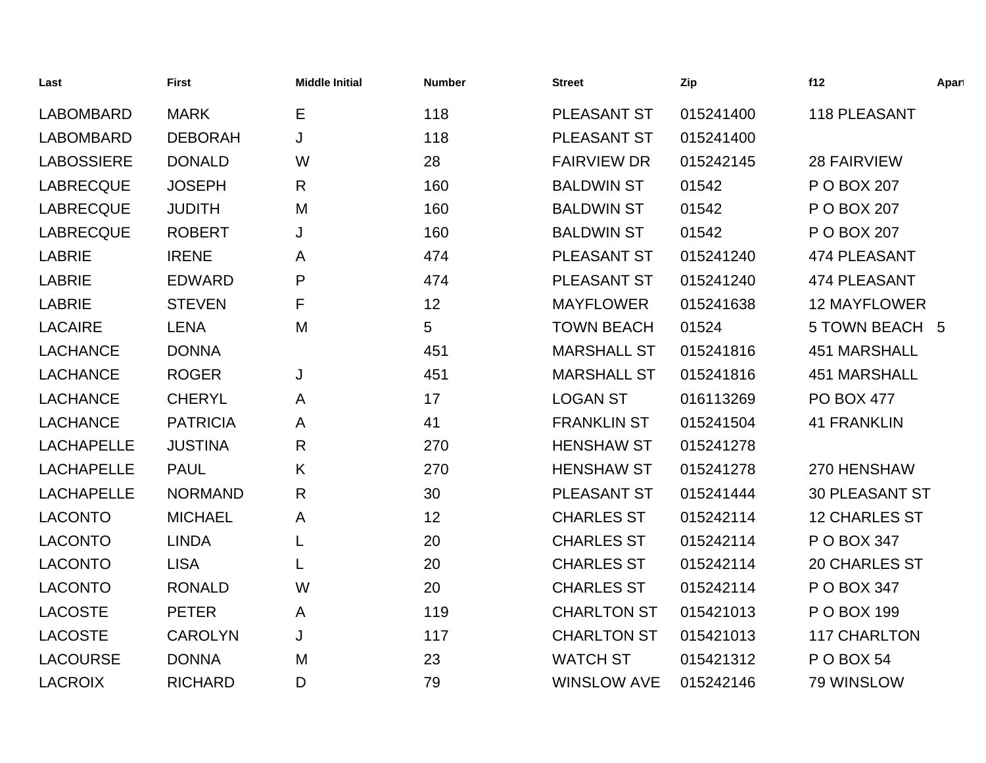| Last              | <b>First</b>    | <b>Middle Initial</b> | <b>Number</b> | <b>Street</b>      | Zip       | f12                   | Apart |
|-------------------|-----------------|-----------------------|---------------|--------------------|-----------|-----------------------|-------|
| <b>LABOMBARD</b>  | <b>MARK</b>     | Е                     | 118           | PLEASANT ST        | 015241400 | 118 PLEASANT          |       |
| <b>LABOMBARD</b>  | <b>DEBORAH</b>  | J                     | 118           | PLEASANT ST        | 015241400 |                       |       |
| <b>LABOSSIERE</b> | <b>DONALD</b>   | W                     | 28            | <b>FAIRVIEW DR</b> | 015242145 | <b>28 FAIRVIEW</b>    |       |
| <b>LABRECQUE</b>  | <b>JOSEPH</b>   | R                     | 160           | <b>BALDWIN ST</b>  | 01542     | P O BOX 207           |       |
| <b>LABRECQUE</b>  | <b>JUDITH</b>   | M                     | 160           | <b>BALDWIN ST</b>  | 01542     | P O BOX 207           |       |
| <b>LABRECQUE</b>  | <b>ROBERT</b>   | J                     | 160           | <b>BALDWIN ST</b>  | 01542     | P O BOX 207           |       |
| <b>LABRIE</b>     | <b>IRENE</b>    | A                     | 474           | PLEASANT ST        | 015241240 | 474 PLEASANT          |       |
| <b>LABRIE</b>     | <b>EDWARD</b>   | P                     | 474           | PLEASANT ST        | 015241240 | 474 PLEASANT          |       |
| <b>LABRIE</b>     | <b>STEVEN</b>   | F                     | 12            | <b>MAYFLOWER</b>   | 015241638 | <b>12 MAYFLOWER</b>   |       |
| <b>LACAIRE</b>    | <b>LENA</b>     | M                     | 5             | <b>TOWN BEACH</b>  | 01524     | 5 TOWN BEACH 5        |       |
| <b>LACHANCE</b>   | <b>DONNA</b>    |                       | 451           | <b>MARSHALL ST</b> | 015241816 | <b>451 MARSHALL</b>   |       |
| <b>LACHANCE</b>   | <b>ROGER</b>    | J                     | 451           | <b>MARSHALL ST</b> | 015241816 | <b>451 MARSHALL</b>   |       |
| <b>LACHANCE</b>   | <b>CHERYL</b>   | A                     | 17            | <b>LOGAN ST</b>    | 016113269 | <b>PO BOX 477</b>     |       |
| <b>LACHANCE</b>   | <b>PATRICIA</b> | A                     | 41            | <b>FRANKLIN ST</b> | 015241504 | <b>41 FRANKLIN</b>    |       |
| <b>LACHAPELLE</b> | <b>JUSTINA</b>  | $\mathsf{R}$          | 270           | <b>HENSHAW ST</b>  | 015241278 |                       |       |
| <b>LACHAPELLE</b> | <b>PAUL</b>     | K                     | 270           | <b>HENSHAW ST</b>  | 015241278 | 270 HENSHAW           |       |
| <b>LACHAPELLE</b> | <b>NORMAND</b>  | $\mathsf{R}$          | 30            | PLEASANT ST        | 015241444 | <b>30 PLEASANT ST</b> |       |
| <b>LACONTO</b>    | <b>MICHAEL</b>  | A                     | 12            | <b>CHARLES ST</b>  | 015242114 | <b>12 CHARLES ST</b>  |       |
| <b>LACONTO</b>    | <b>LINDA</b>    | L                     | 20            | <b>CHARLES ST</b>  | 015242114 | P O BOX 347           |       |
| <b>LACONTO</b>    | <b>LISA</b>     | L                     | 20            | <b>CHARLES ST</b>  | 015242114 | 20 CHARLES ST         |       |
| <b>LACONTO</b>    | <b>RONALD</b>   | W                     | 20            | <b>CHARLES ST</b>  | 015242114 | P O BOX 347           |       |
| <b>LACOSTE</b>    | <b>PETER</b>    | A                     | 119           | <b>CHARLTON ST</b> | 015421013 | P O BOX 199           |       |
| <b>LACOSTE</b>    | <b>CAROLYN</b>  | J                     | 117           | <b>CHARLTON ST</b> | 015421013 | <b>117 CHARLTON</b>   |       |
| <b>LACOURSE</b>   | <b>DONNA</b>    | M                     | 23            | <b>WATCH ST</b>    | 015421312 | <b>P O BOX 54</b>     |       |
| <b>LACROIX</b>    | <b>RICHARD</b>  | D                     | 79            | <b>WINSLOW AVE</b> | 015242146 | 79 WINSLOW            |       |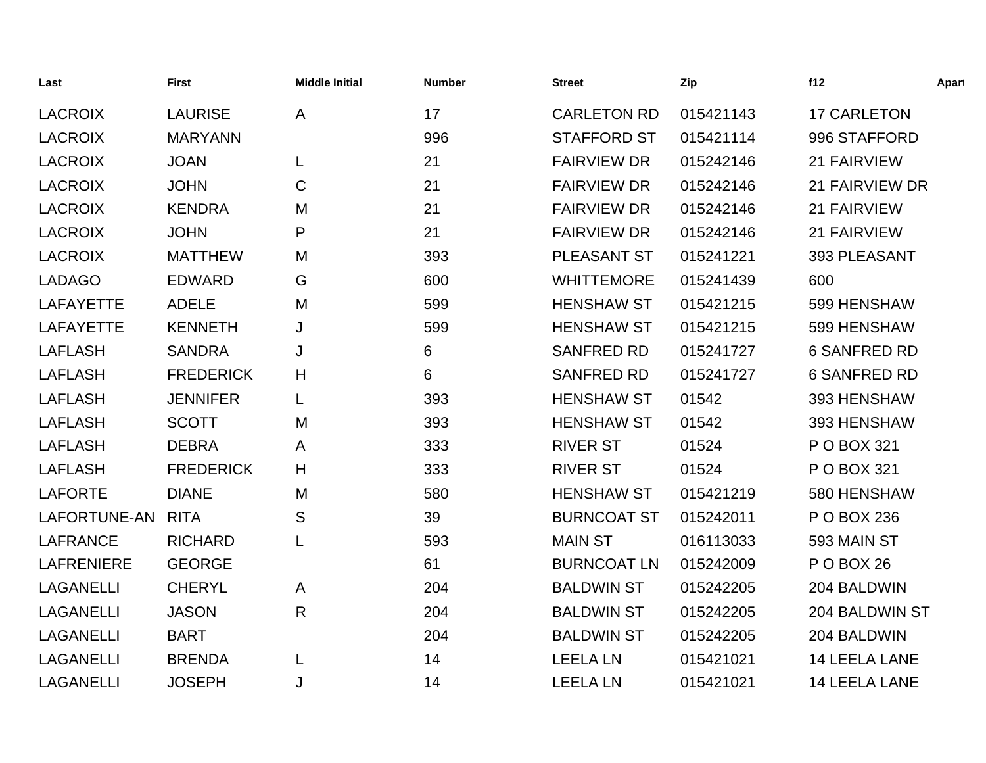| Last              | <b>First</b>     | <b>Middle Initial</b> | <b>Number</b> | <b>Street</b>      | Zip       | f12                   | Apart |
|-------------------|------------------|-----------------------|---------------|--------------------|-----------|-----------------------|-------|
| <b>LACROIX</b>    | <b>LAURISE</b>   | A                     | 17            | <b>CARLETON RD</b> | 015421143 | <b>17 CARLETON</b>    |       |
| <b>LACROIX</b>    | <b>MARYANN</b>   |                       | 996           | <b>STAFFORD ST</b> | 015421114 | 996 STAFFORD          |       |
| <b>LACROIX</b>    | <b>JOAN</b>      | L                     | 21            | <b>FAIRVIEW DR</b> | 015242146 | 21 FAIRVIEW           |       |
| <b>LACROIX</b>    | <b>JOHN</b>      | $\mathsf{C}$          | 21            | <b>FAIRVIEW DR</b> | 015242146 | <b>21 FAIRVIEW DR</b> |       |
| <b>LACROIX</b>    | <b>KENDRA</b>    | M                     | 21            | <b>FAIRVIEW DR</b> | 015242146 | 21 FAIRVIEW           |       |
| <b>LACROIX</b>    | <b>JOHN</b>      | P                     | 21            | <b>FAIRVIEW DR</b> | 015242146 | 21 FAIRVIEW           |       |
| <b>LACROIX</b>    | <b>MATTHEW</b>   | M                     | 393           | PLEASANT ST        | 015241221 | 393 PLEASANT          |       |
| <b>LADAGO</b>     | <b>EDWARD</b>    | G                     | 600           | <b>WHITTEMORE</b>  | 015241439 | 600                   |       |
| <b>LAFAYETTE</b>  | <b>ADELE</b>     | M                     | 599           | <b>HENSHAW ST</b>  | 015421215 | 599 HENSHAW           |       |
| <b>LAFAYETTE</b>  | <b>KENNETH</b>   | J                     | 599           | <b>HENSHAW ST</b>  | 015421215 | 599 HENSHAW           |       |
| <b>LAFLASH</b>    | <b>SANDRA</b>    | J                     | 6             | <b>SANFRED RD</b>  | 015241727 | <b>6 SANFRED RD</b>   |       |
| <b>LAFLASH</b>    | <b>FREDERICK</b> | H                     | 6             | <b>SANFRED RD</b>  | 015241727 | <b>6 SANFRED RD</b>   |       |
| <b>LAFLASH</b>    | <b>JENNIFER</b>  | L                     | 393           | <b>HENSHAW ST</b>  | 01542     | 393 HENSHAW           |       |
| <b>LAFLASH</b>    | <b>SCOTT</b>     | M                     | 393           | <b>HENSHAW ST</b>  | 01542     | 393 HENSHAW           |       |
| <b>LAFLASH</b>    | <b>DEBRA</b>     | A                     | 333           | <b>RIVER ST</b>    | 01524     | P O BOX 321           |       |
| <b>LAFLASH</b>    | <b>FREDERICK</b> | H                     | 333           | <b>RIVER ST</b>    | 01524     | P O BOX 321           |       |
| <b>LAFORTE</b>    | <b>DIANE</b>     | M                     | 580           | <b>HENSHAW ST</b>  | 015421219 | 580 HENSHAW           |       |
| LAFORTUNE-AN      | <b>RITA</b>      | S                     | 39            | <b>BURNCOAT ST</b> | 015242011 | P O BOX 236           |       |
| <b>LAFRANCE</b>   | <b>RICHARD</b>   | L                     | 593           | <b>MAIN ST</b>     | 016113033 | 593 MAIN ST           |       |
| <b>LAFRENIERE</b> | <b>GEORGE</b>    |                       | 61            | <b>BURNCOAT LN</b> | 015242009 | POBOX 26              |       |
| <b>LAGANELLI</b>  | <b>CHERYL</b>    | A                     | 204           | <b>BALDWIN ST</b>  | 015242205 | 204 BALDWIN           |       |
| <b>LAGANELLI</b>  | <b>JASON</b>     | R                     | 204           | <b>BALDWIN ST</b>  | 015242205 | 204 BALDWIN ST        |       |
| <b>LAGANELLI</b>  | <b>BART</b>      |                       | 204           | <b>BALDWIN ST</b>  | 015242205 | 204 BALDWIN           |       |
| <b>LAGANELLI</b>  | <b>BRENDA</b>    | L                     | 14            | <b>LEELA LN</b>    | 015421021 | <b>14 LEELA LANE</b>  |       |
| <b>LAGANELLI</b>  | <b>JOSEPH</b>    | J                     | 14            | <b>LEELA LN</b>    | 015421021 | <b>14 LEELA LANE</b>  |       |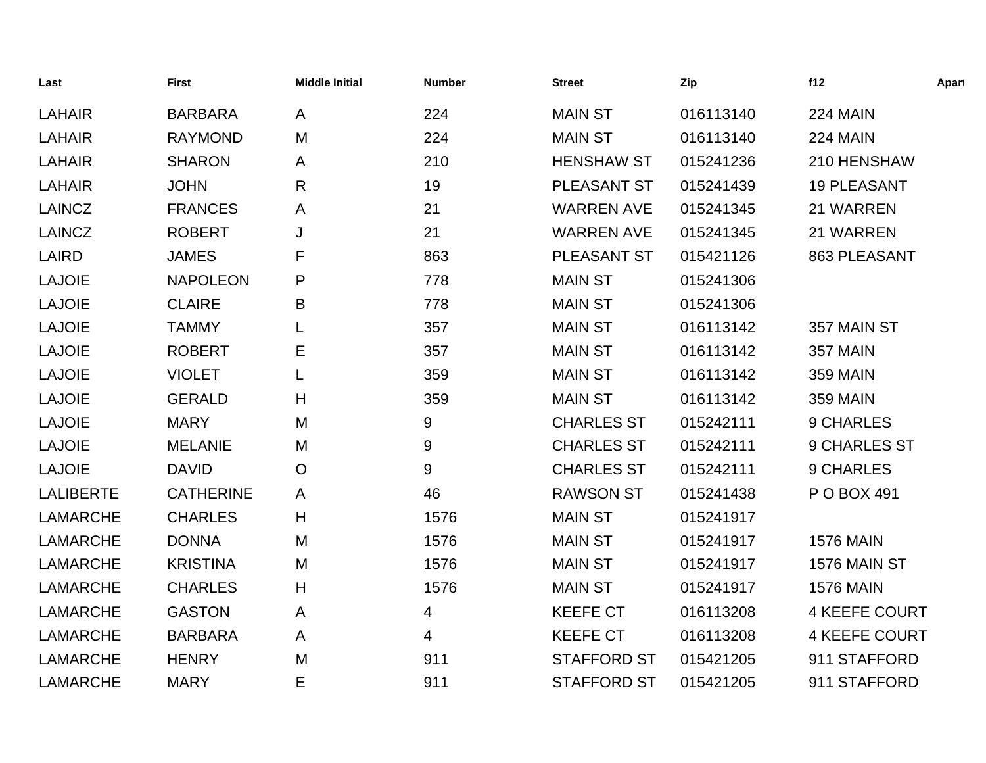| Last             | <b>First</b>     | <b>Middle Initial</b> | <b>Number</b> | <b>Street</b>      | Zip       | f12                  | Apart |
|------------------|------------------|-----------------------|---------------|--------------------|-----------|----------------------|-------|
| <b>LAHAIR</b>    | <b>BARBARA</b>   | A                     | 224           | <b>MAIN ST</b>     | 016113140 | 224 MAIN             |       |
| <b>LAHAIR</b>    | <b>RAYMOND</b>   | M                     | 224           | <b>MAIN ST</b>     | 016113140 | 224 MAIN             |       |
| <b>LAHAIR</b>    | <b>SHARON</b>    | A                     | 210           | <b>HENSHAW ST</b>  | 015241236 | 210 HENSHAW          |       |
| <b>LAHAIR</b>    | <b>JOHN</b>      | $\mathsf{R}$          | 19            | PLEASANT ST        | 015241439 | <b>19 PLEASANT</b>   |       |
| <b>LAINCZ</b>    | <b>FRANCES</b>   | A                     | 21            | <b>WARREN AVE</b>  | 015241345 | 21 WARREN            |       |
| <b>LAINCZ</b>    | <b>ROBERT</b>    | J                     | 21            | <b>WARREN AVE</b>  | 015241345 | 21 WARREN            |       |
| LAIRD            | <b>JAMES</b>     | F                     | 863           | PLEASANT ST        | 015421126 | 863 PLEASANT         |       |
| <b>LAJOIE</b>    | <b>NAPOLEON</b>  | P                     | 778           | <b>MAIN ST</b>     | 015241306 |                      |       |
| <b>LAJOIE</b>    | <b>CLAIRE</b>    | B                     | 778           | <b>MAIN ST</b>     | 015241306 |                      |       |
| <b>LAJOIE</b>    | <b>TAMMY</b>     |                       | 357           | <b>MAIN ST</b>     | 016113142 | 357 MAIN ST          |       |
| <b>LAJOIE</b>    | <b>ROBERT</b>    | Ε                     | 357           | <b>MAIN ST</b>     | 016113142 | 357 MAIN             |       |
| <b>LAJOIE</b>    | <b>VIOLET</b>    | L                     | 359           | <b>MAIN ST</b>     | 016113142 | <b>359 MAIN</b>      |       |
| <b>LAJOIE</b>    | <b>GERALD</b>    | H                     | 359           | <b>MAIN ST</b>     | 016113142 | <b>359 MAIN</b>      |       |
| <b>LAJOIE</b>    | <b>MARY</b>      | M                     | 9             | <b>CHARLES ST</b>  | 015242111 | 9 CHARLES            |       |
| <b>LAJOIE</b>    | <b>MELANIE</b>   | M                     | 9             | <b>CHARLES ST</b>  | 015242111 | 9 CHARLES ST         |       |
| <b>LAJOIE</b>    | <b>DAVID</b>     | $\circ$               | 9             | <b>CHARLES ST</b>  | 015242111 | 9 CHARLES            |       |
| <b>LALIBERTE</b> | <b>CATHERINE</b> | A                     | 46            | <b>RAWSON ST</b>   | 015241438 | P O BOX 491          |       |
| <b>LAMARCHE</b>  | <b>CHARLES</b>   | H                     | 1576          | <b>MAIN ST</b>     | 015241917 |                      |       |
| <b>LAMARCHE</b>  | <b>DONNA</b>     | M                     | 1576          | <b>MAIN ST</b>     | 015241917 | <b>1576 MAIN</b>     |       |
| <b>LAMARCHE</b>  | <b>KRISTINA</b>  | M                     | 1576          | <b>MAIN ST</b>     | 015241917 | 1576 MAIN ST         |       |
| <b>LAMARCHE</b>  | <b>CHARLES</b>   | H                     | 1576          | <b>MAIN ST</b>     | 015241917 | <b>1576 MAIN</b>     |       |
| <b>LAMARCHE</b>  | <b>GASTON</b>    | A                     | 4             | <b>KEEFE CT</b>    | 016113208 | <b>4 KEEFE COURT</b> |       |
| <b>LAMARCHE</b>  | <b>BARBARA</b>   | A                     | 4             | <b>KEEFE CT</b>    | 016113208 | <b>4 KEEFE COURT</b> |       |
| <b>LAMARCHE</b>  | <b>HENRY</b>     | M                     | 911           | <b>STAFFORD ST</b> | 015421205 | 911 STAFFORD         |       |
| <b>LAMARCHE</b>  | <b>MARY</b>      | E                     | 911           | <b>STAFFORD ST</b> | 015421205 | 911 STAFFORD         |       |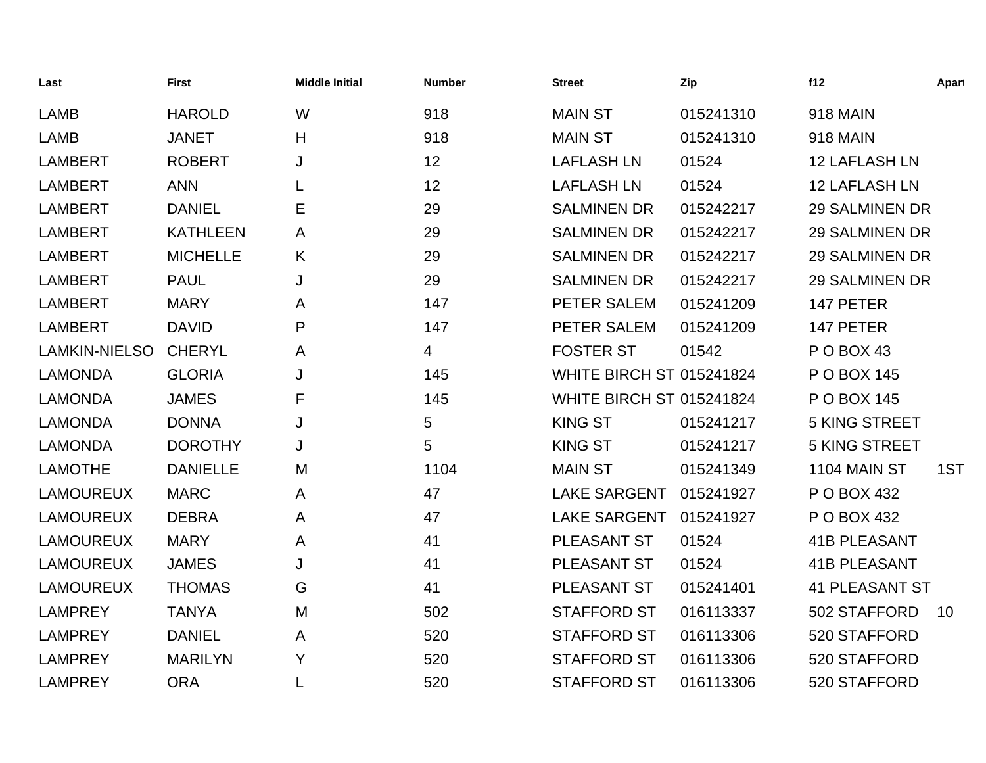| Last                 | <b>First</b>    | <b>Middle Initial</b> | <b>Number</b> | <b>Street</b>                   | Zip       | f12                   | Apart |
|----------------------|-----------------|-----------------------|---------------|---------------------------------|-----------|-----------------------|-------|
| <b>LAMB</b>          | <b>HAROLD</b>   | W                     | 918           | <b>MAIN ST</b>                  | 015241310 | <b>918 MAIN</b>       |       |
| <b>LAMB</b>          | <b>JANET</b>    | H                     | 918           | <b>MAIN ST</b>                  | 015241310 | <b>918 MAIN</b>       |       |
| <b>LAMBERT</b>       | <b>ROBERT</b>   | J                     | 12            | <b>LAFLASH LN</b>               | 01524     | <b>12 LAFLASH LN</b>  |       |
| <b>LAMBERT</b>       | <b>ANN</b>      |                       | 12            | <b>LAFLASH LN</b>               | 01524     | <b>12 LAFLASH LN</b>  |       |
| <b>LAMBERT</b>       | <b>DANIEL</b>   | E                     | 29            | <b>SALMINEN DR</b>              | 015242217 | <b>29 SALMINEN DR</b> |       |
| <b>LAMBERT</b>       | <b>KATHLEEN</b> | A                     | 29            | <b>SALMINEN DR</b>              | 015242217 | <b>29 SALMINEN DR</b> |       |
| <b>LAMBERT</b>       | <b>MICHELLE</b> | K                     | 29            | <b>SALMINEN DR</b>              | 015242217 | <b>29 SALMINEN DR</b> |       |
| <b>LAMBERT</b>       | <b>PAUL</b>     | J                     | 29            | <b>SALMINEN DR</b>              | 015242217 | <b>29 SALMINEN DR</b> |       |
| <b>LAMBERT</b>       | <b>MARY</b>     | A                     | 147           | PETER SALEM                     | 015241209 | 147 PETER             |       |
| <b>LAMBERT</b>       | <b>DAVID</b>    | P                     | 147           | PETER SALEM                     | 015241209 | 147 PETER             |       |
| <b>LAMKIN-NIELSO</b> | <b>CHERYL</b>   | A                     | 4             | <b>FOSTER ST</b>                | 01542     | POBOX 43              |       |
| <b>LAMONDA</b>       | <b>GLORIA</b>   | J                     | 145           | <b>WHITE BIRCH ST 015241824</b> |           | P O BOX 145           |       |
| <b>LAMONDA</b>       | <b>JAMES</b>    | F                     | 145           | <b>WHITE BIRCH ST 015241824</b> |           | P O BOX 145           |       |
| <b>LAMONDA</b>       | <b>DONNA</b>    | J                     | 5             | <b>KING ST</b>                  | 015241217 | <b>5 KING STREET</b>  |       |
| <b>LAMONDA</b>       | <b>DOROTHY</b>  | J                     | 5             | <b>KING ST</b>                  | 015241217 | <b>5 KING STREET</b>  |       |
| <b>LAMOTHE</b>       | <b>DANIELLE</b> | M                     | 1104          | <b>MAIN ST</b>                  | 015241349 | 1104 MAIN ST          | 1ST   |
| <b>LAMOUREUX</b>     | <b>MARC</b>     | A                     | 47            | <b>LAKE SARGENT</b>             | 015241927 | P O BOX 432           |       |
| <b>LAMOUREUX</b>     | <b>DEBRA</b>    | A                     | 47            | <b>LAKE SARGENT</b>             | 015241927 | P O BOX 432           |       |
| <b>LAMOUREUX</b>     | <b>MARY</b>     | A                     | 41            | PLEASANT ST                     | 01524     | <b>41B PLEASANT</b>   |       |
| <b>LAMOUREUX</b>     | <b>JAMES</b>    | J                     | 41            | PLEASANT ST                     | 01524     | <b>41B PLEASANT</b>   |       |
| <b>LAMOUREUX</b>     | <b>THOMAS</b>   | G                     | 41            | PLEASANT ST                     | 015241401 | <b>41 PLEASANT ST</b> |       |
| <b>LAMPREY</b>       | <b>TANYA</b>    | M                     | 502           | <b>STAFFORD ST</b>              | 016113337 | 502 STAFFORD          | 10    |
| <b>LAMPREY</b>       | <b>DANIEL</b>   | A                     | 520           | <b>STAFFORD ST</b>              | 016113306 | 520 STAFFORD          |       |
| <b>LAMPREY</b>       | <b>MARILYN</b>  | Y                     | 520           | <b>STAFFORD ST</b>              | 016113306 | 520 STAFFORD          |       |
| <b>LAMPREY</b>       | <b>ORA</b>      |                       | 520           | <b>STAFFORD ST</b>              | 016113306 | 520 STAFFORD          |       |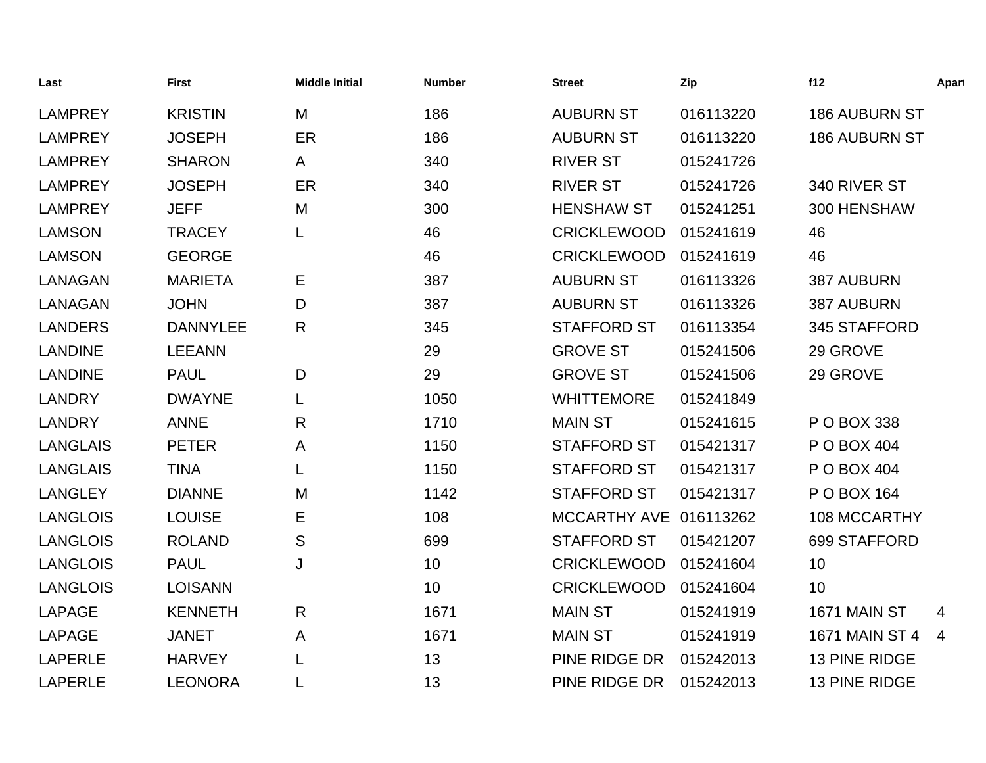| Last            | <b>First</b>    | <b>Middle Initial</b> | <b>Number</b> | <b>Street</b>          | Zip       | f12                   | Apart |
|-----------------|-----------------|-----------------------|---------------|------------------------|-----------|-----------------------|-------|
| <b>LAMPREY</b>  | <b>KRISTIN</b>  | M                     | 186           | <b>AUBURN ST</b>       | 016113220 | <b>186 AUBURN ST</b>  |       |
| <b>LAMPREY</b>  | <b>JOSEPH</b>   | ER                    | 186           | <b>AUBURN ST</b>       | 016113220 | <b>186 AUBURN ST</b>  |       |
| <b>LAMPREY</b>  | <b>SHARON</b>   | A                     | 340           | <b>RIVER ST</b>        | 015241726 |                       |       |
| <b>LAMPREY</b>  | <b>JOSEPH</b>   | ER                    | 340           | <b>RIVER ST</b>        | 015241726 | 340 RIVER ST          |       |
| <b>LAMPREY</b>  | <b>JEFF</b>     | M                     | 300           | <b>HENSHAW ST</b>      | 015241251 | 300 HENSHAW           |       |
| <b>LAMSON</b>   | <b>TRACEY</b>   |                       | 46            | <b>CRICKLEWOOD</b>     | 015241619 | 46                    |       |
| <b>LAMSON</b>   | <b>GEORGE</b>   |                       | 46            | <b>CRICKLEWOOD</b>     | 015241619 | 46                    |       |
| <b>LANAGAN</b>  | <b>MARIETA</b>  | Е                     | 387           | <b>AUBURN ST</b>       | 016113326 | 387 AUBURN            |       |
| <b>LANAGAN</b>  | <b>JOHN</b>     | D                     | 387           | <b>AUBURN ST</b>       | 016113326 | 387 AUBURN            |       |
| <b>LANDERS</b>  | <b>DANNYLEE</b> | R                     | 345           | <b>STAFFORD ST</b>     | 016113354 | 345 STAFFORD          |       |
| <b>LANDINE</b>  | <b>LEEANN</b>   |                       | 29            | <b>GROVE ST</b>        | 015241506 | 29 GROVE              |       |
| <b>LANDINE</b>  | <b>PAUL</b>     | D                     | 29            | <b>GROVE ST</b>        | 015241506 | 29 GROVE              |       |
| <b>LANDRY</b>   | <b>DWAYNE</b>   |                       | 1050          | <b>WHITTEMORE</b>      | 015241849 |                       |       |
| <b>LANDRY</b>   | <b>ANNE</b>     | R                     | 1710          | <b>MAIN ST</b>         | 015241615 | P O BOX 338           |       |
| <b>LANGLAIS</b> | <b>PETER</b>    | A                     | 1150          | <b>STAFFORD ST</b>     | 015421317 | P O BOX 404           |       |
| <b>LANGLAIS</b> | <b>TINA</b>     |                       | 1150          | <b>STAFFORD ST</b>     | 015421317 | P O BOX 404           |       |
| <b>LANGLEY</b>  | <b>DIANNE</b>   | M                     | 1142          | <b>STAFFORD ST</b>     | 015421317 | P O BOX 164           |       |
| <b>LANGLOIS</b> | <b>LOUISE</b>   | Е                     | 108           | MCCARTHY AVE 016113262 |           | 108 MCCARTHY          |       |
| <b>LANGLOIS</b> | <b>ROLAND</b>   | ${\mathsf S}$         | 699           | <b>STAFFORD ST</b>     | 015421207 | 699 STAFFORD          |       |
| <b>LANGLOIS</b> | <b>PAUL</b>     | J                     | 10            | <b>CRICKLEWOOD</b>     | 015241604 | 10                    |       |
| <b>LANGLOIS</b> | <b>LOISANN</b>  |                       | 10            | <b>CRICKLEWOOD</b>     | 015241604 | 10                    |       |
| <b>LAPAGE</b>   | <b>KENNETH</b>  | R                     | 1671          | <b>MAIN ST</b>         | 015241919 | 1671 MAIN ST          | 4     |
| <b>LAPAGE</b>   | <b>JANET</b>    | A                     | 1671          | <b>MAIN ST</b>         | 015241919 | <b>1671 MAIN ST 4</b> | 4     |
| <b>LAPERLE</b>  | <b>HARVEY</b>   |                       | 13            | PINE RIDGE DR          | 015242013 | <b>13 PINE RIDGE</b>  |       |
| <b>LAPERLE</b>  | <b>LEONORA</b>  |                       | 13            | PINE RIDGE DR          | 015242013 | <b>13 PINE RIDGE</b>  |       |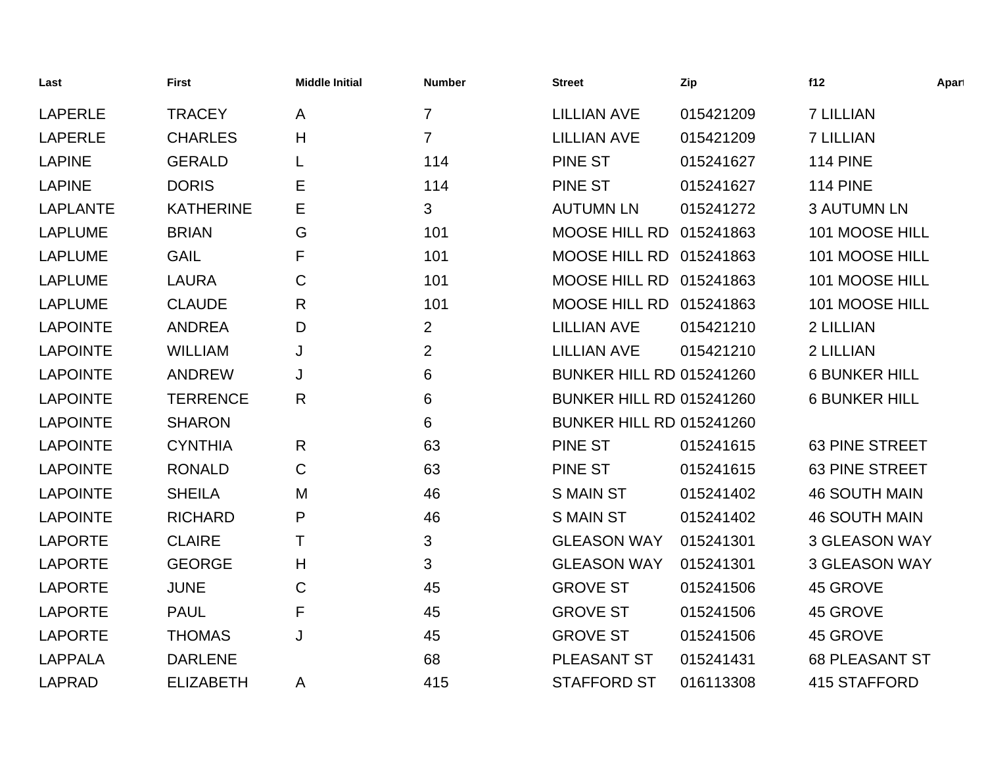| Last            | <b>First</b>     | <b>Middle Initial</b> | <b>Number</b>  | Street                          | Zip       | f12                   | Apart |
|-----------------|------------------|-----------------------|----------------|---------------------------------|-----------|-----------------------|-------|
| <b>LAPERLE</b>  | <b>TRACEY</b>    | A                     | $\overline{7}$ | <b>LILLIAN AVE</b>              | 015421209 | <b>7 LILLIAN</b>      |       |
| <b>LAPERLE</b>  | <b>CHARLES</b>   | H                     | $\overline{7}$ | <b>LILLIAN AVE</b>              | 015421209 | <b>7 LILLIAN</b>      |       |
| <b>LAPINE</b>   | <b>GERALD</b>    |                       | 114            | <b>PINE ST</b>                  | 015241627 | <b>114 PINE</b>       |       |
| <b>LAPINE</b>   | <b>DORIS</b>     | Е                     | 114            | <b>PINE ST</b>                  | 015241627 | <b>114 PINE</b>       |       |
| <b>LAPLANTE</b> | <b>KATHERINE</b> | Е                     | 3              | <b>AUTUMN LN</b>                | 015241272 | <b>3 AUTUMN LN</b>    |       |
| <b>LAPLUME</b>  | <b>BRIAN</b>     | G                     | 101            | MOOSE HILL RD 015241863         |           | 101 MOOSE HILL        |       |
| <b>LAPLUME</b>  | <b>GAIL</b>      | F                     | 101            | MOOSE HILL RD 015241863         |           | 101 MOOSE HILL        |       |
| <b>LAPLUME</b>  | <b>LAURA</b>     | $\mathsf C$           | 101            | MOOSE HILL RD 015241863         |           | 101 MOOSE HILL        |       |
| <b>LAPLUME</b>  | <b>CLAUDE</b>    | R                     | 101            | MOOSE HILL RD 015241863         |           | 101 MOOSE HILL        |       |
| <b>LAPOINTE</b> | <b>ANDREA</b>    | D                     | $\overline{2}$ | <b>LILLIAN AVE</b>              | 015421210 | 2 LILLIAN             |       |
| <b>LAPOINTE</b> | <b>WILLIAM</b>   | J                     | $\overline{2}$ | <b>LILLIAN AVE</b>              | 015421210 | 2 LILLIAN             |       |
| <b>LAPOINTE</b> | <b>ANDREW</b>    | J                     | 6              | <b>BUNKER HILL RD 015241260</b> |           | <b>6 BUNKER HILL</b>  |       |
| <b>LAPOINTE</b> | <b>TERRENCE</b>  | R                     | $\,6\,$        | <b>BUNKER HILL RD 015241260</b> |           | <b>6 BUNKER HILL</b>  |       |
| <b>LAPOINTE</b> | <b>SHARON</b>    |                       | 6              | <b>BUNKER HILL RD 015241260</b> |           |                       |       |
| <b>LAPOINTE</b> | <b>CYNTHIA</b>   | R                     | 63             | <b>PINE ST</b>                  | 015241615 | <b>63 PINE STREET</b> |       |
| <b>LAPOINTE</b> | <b>RONALD</b>    | C                     | 63             | <b>PINE ST</b>                  | 015241615 | <b>63 PINE STREET</b> |       |
| <b>LAPOINTE</b> | <b>SHEILA</b>    | M                     | 46             | <b>SMAIN ST</b>                 | 015241402 | <b>46 SOUTH MAIN</b>  |       |
| <b>LAPOINTE</b> | <b>RICHARD</b>   | P                     | 46             | <b>S MAIN ST</b>                | 015241402 | <b>46 SOUTH MAIN</b>  |       |
| <b>LAPORTE</b>  | <b>CLAIRE</b>    | Τ                     | 3              | <b>GLEASON WAY</b>              | 015241301 | <b>3 GLEASON WAY</b>  |       |
| <b>LAPORTE</b>  | <b>GEORGE</b>    | H                     | 3              | <b>GLEASON WAY</b>              | 015241301 | <b>3 GLEASON WAY</b>  |       |
| <b>LAPORTE</b>  | <b>JUNE</b>      | $\mathsf C$           | 45             | <b>GROVE ST</b>                 | 015241506 | 45 GROVE              |       |
| <b>LAPORTE</b>  | <b>PAUL</b>      | F                     | 45             | <b>GROVE ST</b>                 | 015241506 | 45 GROVE              |       |
| <b>LAPORTE</b>  | <b>THOMAS</b>    | J                     | 45             | <b>GROVE ST</b>                 | 015241506 | 45 GROVE              |       |
| <b>LAPPALA</b>  | <b>DARLENE</b>   |                       | 68             | PLEASANT ST                     | 015241431 | <b>68 PLEASANT ST</b> |       |
| <b>LAPRAD</b>   | <b>ELIZABETH</b> | A                     | 415            | <b>STAFFORD ST</b>              | 016113308 | <b>415 STAFFORD</b>   |       |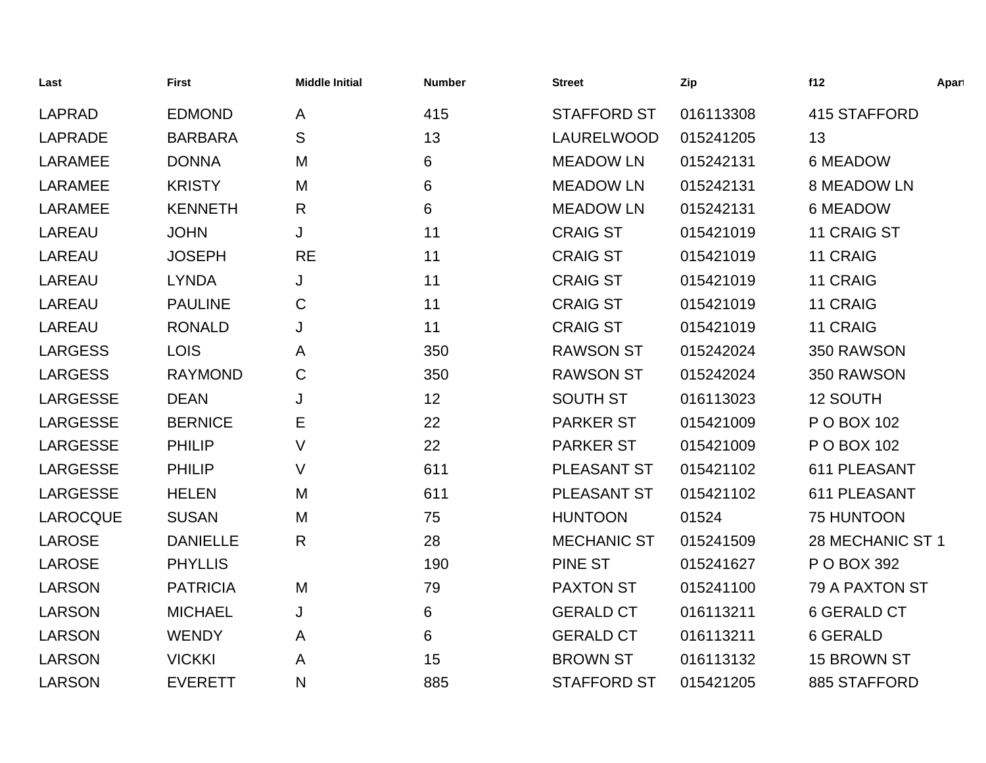| Last            | <b>First</b>    | <b>Middle Initial</b> | <b>Number</b> | <b>Street</b>      | Zip       | f12                 | Apart |
|-----------------|-----------------|-----------------------|---------------|--------------------|-----------|---------------------|-------|
| <b>LAPRAD</b>   | <b>EDMOND</b>   | A                     | 415           | <b>STAFFORD ST</b> | 016113308 | <b>415 STAFFORD</b> |       |
| <b>LAPRADE</b>  | <b>BARBARA</b>  | S                     | 13            | LAURELWOOD         | 015241205 | 13                  |       |
| <b>LARAMEE</b>  | <b>DONNA</b>    | M                     | 6             | <b>MEADOW LN</b>   | 015242131 | 6 MEADOW            |       |
| <b>LARAMEE</b>  | <b>KRISTY</b>   | M                     | 6             | <b>MEADOW LN</b>   | 015242131 | <b>8 MEADOW LN</b>  |       |
| <b>LARAMEE</b>  | <b>KENNETH</b>  | R                     | 6             | <b>MEADOW LN</b>   | 015242131 | <b>6 MEADOW</b>     |       |
| <b>LAREAU</b>   | <b>JOHN</b>     | J                     | 11            | <b>CRAIG ST</b>    | 015421019 | 11 CRAIG ST         |       |
| <b>LAREAU</b>   | <b>JOSEPH</b>   | <b>RE</b>             | 11            | <b>CRAIG ST</b>    | 015421019 | 11 CRAIG            |       |
| <b>LAREAU</b>   | <b>LYNDA</b>    | J                     | 11            | <b>CRAIG ST</b>    | 015421019 | 11 CRAIG            |       |
| <b>LAREAU</b>   | <b>PAULINE</b>  | C                     | 11            | <b>CRAIG ST</b>    | 015421019 | 11 CRAIG            |       |
| <b>LAREAU</b>   | <b>RONALD</b>   | J                     | 11            | <b>CRAIG ST</b>    | 015421019 | 11 CRAIG            |       |
| <b>LARGESS</b>  | <b>LOIS</b>     | A                     | 350           | <b>RAWSON ST</b>   | 015242024 | 350 RAWSON          |       |
| <b>LARGESS</b>  | <b>RAYMOND</b>  | $\mathsf C$           | 350           | <b>RAWSON ST</b>   | 015242024 | 350 RAWSON          |       |
| <b>LARGESSE</b> | <b>DEAN</b>     | J                     | 12            | <b>SOUTH ST</b>    | 016113023 | 12 SOUTH            |       |
| <b>LARGESSE</b> | <b>BERNICE</b>  | Е                     | 22            | <b>PARKER ST</b>   | 015421009 | P O BOX 102         |       |
| <b>LARGESSE</b> | <b>PHILIP</b>   | V                     | 22            | <b>PARKER ST</b>   | 015421009 | P O BOX 102         |       |
| <b>LARGESSE</b> | <b>PHILIP</b>   | V                     | 611           | PLEASANT ST        | 015421102 | 611 PLEASANT        |       |
| <b>LARGESSE</b> | <b>HELEN</b>    | M                     | 611           | PLEASANT ST        | 015421102 | 611 PLEASANT        |       |
| <b>LAROCQUE</b> | <b>SUSAN</b>    | M                     | 75            | <b>HUNTOON</b>     | 01524     | 75 HUNTOON          |       |
| <b>LAROSE</b>   | <b>DANIELLE</b> | $\mathsf{R}$          | 28            | <b>MECHANIC ST</b> | 015241509 | 28 MECHANIC ST 1    |       |
| LAROSE          | <b>PHYLLIS</b>  |                       | 190           | <b>PINE ST</b>     | 015241627 | P O BOX 392         |       |
| <b>LARSON</b>   | <b>PATRICIA</b> | M                     | 79            | <b>PAXTON ST</b>   | 015241100 | 79 A PAXTON ST      |       |
| <b>LARSON</b>   | <b>MICHAEL</b>  | J                     | $6\,$         | <b>GERALD CT</b>   | 016113211 | <b>6 GERALD CT</b>  |       |
| <b>LARSON</b>   | <b>WENDY</b>    | A                     | 6             | <b>GERALD CT</b>   | 016113211 | 6 GERALD            |       |
| <b>LARSON</b>   | <b>VICKKI</b>   | A                     | 15            | <b>BROWN ST</b>    | 016113132 | 15 BROWN ST         |       |
| <b>LARSON</b>   | <b>EVERETT</b>  | N                     | 885           | <b>STAFFORD ST</b> | 015421205 | 885 STAFFORD        |       |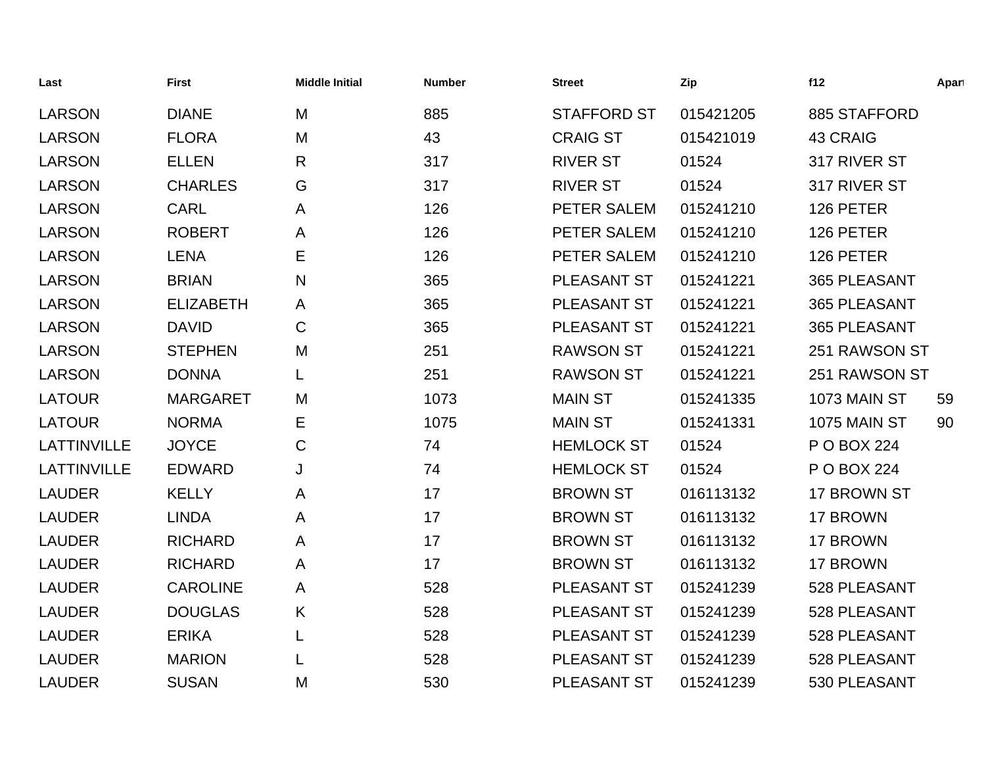| Last               | <b>First</b>     | <b>Middle Initial</b> | <b>Number</b> | <b>Street</b>      | Zip       | f12             | Apart |
|--------------------|------------------|-----------------------|---------------|--------------------|-----------|-----------------|-------|
| <b>LARSON</b>      | <b>DIANE</b>     | M                     | 885           | <b>STAFFORD ST</b> | 015421205 | 885 STAFFORD    |       |
| <b>LARSON</b>      | <b>FLORA</b>     | M                     | 43            | <b>CRAIG ST</b>    | 015421019 | <b>43 CRAIG</b> |       |
| <b>LARSON</b>      | <b>ELLEN</b>     | $\mathsf{R}$          | 317           | <b>RIVER ST</b>    | 01524     | 317 RIVER ST    |       |
| <b>LARSON</b>      | <b>CHARLES</b>   | G                     | 317           | <b>RIVER ST</b>    | 01524     | 317 RIVER ST    |       |
| <b>LARSON</b>      | <b>CARL</b>      | A                     | 126           | PETER SALEM        | 015241210 | 126 PETER       |       |
| <b>LARSON</b>      | <b>ROBERT</b>    | A                     | 126           | PETER SALEM        | 015241210 | 126 PETER       |       |
| <b>LARSON</b>      | <b>LENA</b>      | Е                     | 126           | PETER SALEM        | 015241210 | 126 PETER       |       |
| <b>LARSON</b>      | <b>BRIAN</b>     | $\mathsf{N}$          | 365           | PLEASANT ST        | 015241221 | 365 PLEASANT    |       |
| <b>LARSON</b>      | <b>ELIZABETH</b> | A                     | 365           | PLEASANT ST        | 015241221 | 365 PLEASANT    |       |
| <b>LARSON</b>      | <b>DAVID</b>     | $\mathsf C$           | 365           | PLEASANT ST        | 015241221 | 365 PLEASANT    |       |
| <b>LARSON</b>      | <b>STEPHEN</b>   | M                     | 251           | <b>RAWSON ST</b>   | 015241221 | 251 RAWSON ST   |       |
| <b>LARSON</b>      | <b>DONNA</b>     |                       | 251           | <b>RAWSON ST</b>   | 015241221 | 251 RAWSON ST   |       |
| <b>LATOUR</b>      | <b>MARGARET</b>  | M                     | 1073          | <b>MAIN ST</b>     | 015241335 | 1073 MAIN ST    | 59    |
| <b>LATOUR</b>      | <b>NORMA</b>     | Е                     | 1075          | <b>MAIN ST</b>     | 015241331 | 1075 MAIN ST    | 90    |
| <b>LATTINVILLE</b> | <b>JOYCE</b>     | $\mathsf C$           | 74            | <b>HEMLOCK ST</b>  | 01524     | P O BOX 224     |       |
| <b>LATTINVILLE</b> | <b>EDWARD</b>    | J                     | 74            | <b>HEMLOCK ST</b>  | 01524     | P O BOX 224     |       |
| <b>LAUDER</b>      | <b>KELLY</b>     | A                     | 17            | <b>BROWN ST</b>    | 016113132 | 17 BROWN ST     |       |
| <b>LAUDER</b>      | <b>LINDA</b>     | A                     | 17            | <b>BROWN ST</b>    | 016113132 | 17 BROWN        |       |
| <b>LAUDER</b>      | <b>RICHARD</b>   | A                     | 17            | <b>BROWN ST</b>    | 016113132 | 17 BROWN        |       |
| <b>LAUDER</b>      | <b>RICHARD</b>   | A                     | 17            | <b>BROWN ST</b>    | 016113132 | 17 BROWN        |       |
| <b>LAUDER</b>      | <b>CAROLINE</b>  | A                     | 528           | PLEASANT ST        | 015241239 | 528 PLEASANT    |       |
| <b>LAUDER</b>      | <b>DOUGLAS</b>   | Κ                     | 528           | PLEASANT ST        | 015241239 | 528 PLEASANT    |       |
| <b>LAUDER</b>      | <b>ERIKA</b>     | L                     | 528           | PLEASANT ST        | 015241239 | 528 PLEASANT    |       |
| <b>LAUDER</b>      | <b>MARION</b>    |                       | 528           | PLEASANT ST        | 015241239 | 528 PLEASANT    |       |
| <b>LAUDER</b>      | <b>SUSAN</b>     | M                     | 530           | <b>PLEASANT ST</b> | 015241239 | 530 PLEASANT    |       |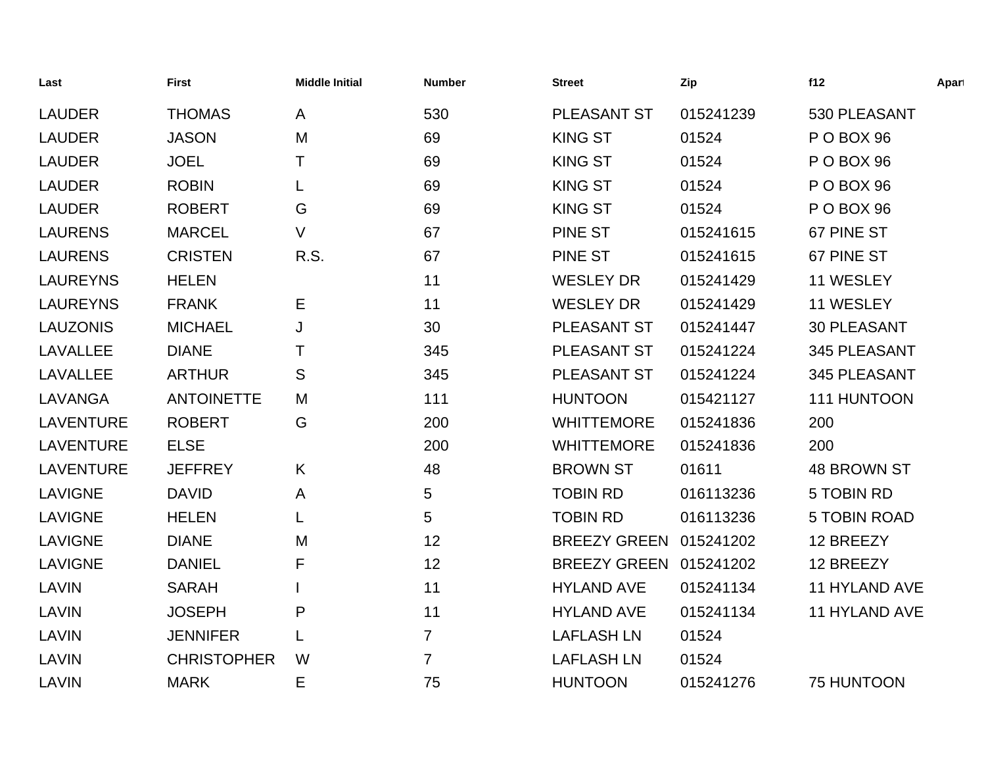| Last             | <b>First</b>       | <b>Middle Initial</b> | <b>Number</b>   | <b>Street</b>       | Zip       | f12                  | Apart |
|------------------|--------------------|-----------------------|-----------------|---------------------|-----------|----------------------|-------|
| <b>LAUDER</b>    | <b>THOMAS</b>      | A                     | 530             | PLEASANT ST         | 015241239 | 530 PLEASANT         |       |
| <b>LAUDER</b>    | <b>JASON</b>       | M                     | 69              | <b>KING ST</b>      | 01524     | P O BOX 96           |       |
| <b>LAUDER</b>    | <b>JOEL</b>        | Τ                     | 69              | <b>KING ST</b>      | 01524     | POBOX 96             |       |
| <b>LAUDER</b>    | <b>ROBIN</b>       | L                     | 69              | <b>KING ST</b>      | 01524     | POBOX 96             |       |
| <b>LAUDER</b>    | <b>ROBERT</b>      | G                     | 69              | <b>KING ST</b>      | 01524     | POBOX 96             |       |
| <b>LAURENS</b>   | <b>MARCEL</b>      | $\vee$                | 67              | <b>PINE ST</b>      | 015241615 | 67 PINE ST           |       |
| <b>LAURENS</b>   | <b>CRISTEN</b>     | R.S.                  | 67              | <b>PINE ST</b>      | 015241615 | 67 PINE ST           |       |
| <b>LAUREYNS</b>  | <b>HELEN</b>       |                       | 11              | <b>WESLEY DR</b>    | 015241429 | 11 WESLEY            |       |
| <b>LAUREYNS</b>  | <b>FRANK</b>       | Е                     | 11              | <b>WESLEY DR</b>    | 015241429 | 11 WESLEY            |       |
| <b>LAUZONIS</b>  | <b>MICHAEL</b>     | J                     | 30              | PLEASANT ST         | 015241447 | <b>30 PLEASANT</b>   |       |
| <b>LAVALLEE</b>  | <b>DIANE</b>       | т                     | 345             | PLEASANT ST         | 015241224 | 345 PLEASANT         |       |
| <b>LAVALLEE</b>  | <b>ARTHUR</b>      | S                     | 345             | PLEASANT ST         | 015241224 | 345 PLEASANT         |       |
| <b>LAVANGA</b>   | <b>ANTOINETTE</b>  | M                     | 111             | <b>HUNTOON</b>      | 015421127 | 111 HUNTOON          |       |
| <b>LAVENTURE</b> | <b>ROBERT</b>      | G                     | 200             | <b>WHITTEMORE</b>   | 015241836 | 200                  |       |
| <b>LAVENTURE</b> | <b>ELSE</b>        |                       | 200             | <b>WHITTEMORE</b>   | 015241836 | 200                  |       |
| <b>LAVENTURE</b> | <b>JEFFREY</b>     | K                     | 48              | <b>BROWN ST</b>     | 01611     | <b>48 BROWN ST</b>   |       |
| <b>LAVIGNE</b>   | <b>DAVID</b>       | A                     | $5\phantom{.0}$ | <b>TOBIN RD</b>     | 016113236 | 5 TOBIN RD           |       |
| <b>LAVIGNE</b>   | <b>HELEN</b>       | L                     | 5               | <b>TOBIN RD</b>     | 016113236 | <b>5 TOBIN ROAD</b>  |       |
| <b>LAVIGNE</b>   | <b>DIANE</b>       | M                     | 12              | <b>BREEZY GREEN</b> | 015241202 | 12 BREEZY            |       |
| <b>LAVIGNE</b>   | <b>DANIEL</b>      | F                     | 12              | <b>BREEZY GREEN</b> | 015241202 | 12 BREEZY            |       |
| <b>LAVIN</b>     | <b>SARAH</b>       |                       | 11              | <b>HYLAND AVE</b>   | 015241134 | <b>11 HYLAND AVE</b> |       |
| <b>LAVIN</b>     | <b>JOSEPH</b>      | P                     | 11              | <b>HYLAND AVE</b>   | 015241134 | 11 HYLAND AVE        |       |
| <b>LAVIN</b>     | <b>JENNIFER</b>    |                       | $\overline{7}$  | <b>LAFLASH LN</b>   | 01524     |                      |       |
| <b>LAVIN</b>     | <b>CHRISTOPHER</b> | W                     | $\overline{7}$  | <b>LAFLASH LN</b>   | 01524     |                      |       |
| LAVIN            | <b>MARK</b>        | Е                     | 75              | <b>HUNTOON</b>      | 015241276 | <b>75 HUNTOON</b>    |       |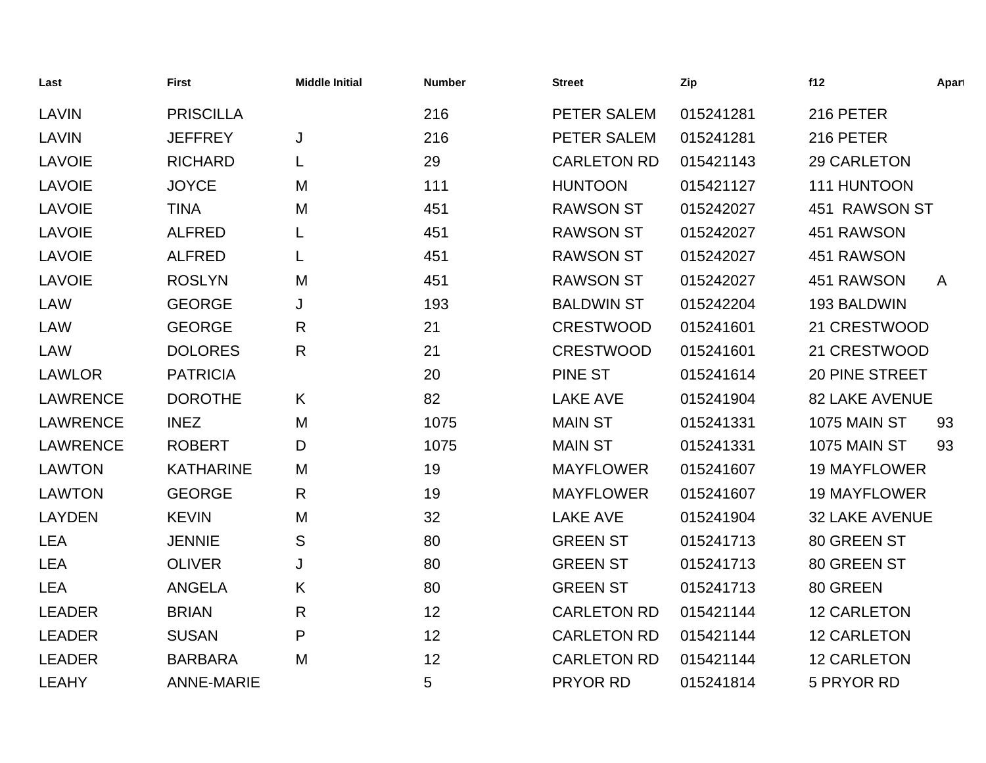| Last            | <b>First</b>      | <b>Middle Initial</b> | <b>Number</b> | <b>Street</b>      | Zip       | f12                   | Apart        |
|-----------------|-------------------|-----------------------|---------------|--------------------|-----------|-----------------------|--------------|
| LAVIN           | <b>PRISCILLA</b>  |                       | 216           | PETER SALEM        | 015241281 | 216 PETER             |              |
| <b>LAVIN</b>    | <b>JEFFREY</b>    | J                     | 216           | PETER SALEM        | 015241281 | 216 PETER             |              |
| <b>LAVOIE</b>   | <b>RICHARD</b>    | L                     | 29            | <b>CARLETON RD</b> | 015421143 | 29 CARLETON           |              |
| <b>LAVOIE</b>   | <b>JOYCE</b>      | M                     | 111           | <b>HUNTOON</b>     | 015421127 | 111 HUNTOON           |              |
| <b>LAVOIE</b>   | <b>TINA</b>       | M                     | 451           | <b>RAWSON ST</b>   | 015242027 | 451 RAWSON ST         |              |
| <b>LAVOIE</b>   | <b>ALFRED</b>     |                       | 451           | <b>RAWSON ST</b>   | 015242027 | 451 RAWSON            |              |
| <b>LAVOIE</b>   | <b>ALFRED</b>     | L                     | 451           | <b>RAWSON ST</b>   | 015242027 | 451 RAWSON            |              |
| <b>LAVOIE</b>   | <b>ROSLYN</b>     | M                     | 451           | <b>RAWSON ST</b>   | 015242027 | 451 RAWSON            | $\mathsf{A}$ |
| <b>LAW</b>      | <b>GEORGE</b>     | J                     | 193           | <b>BALDWIN ST</b>  | 015242204 | 193 BALDWIN           |              |
| <b>LAW</b>      | <b>GEORGE</b>     | $\mathsf{R}$          | 21            | <b>CRESTWOOD</b>   | 015241601 | 21 CRESTWOOD          |              |
| <b>LAW</b>      | <b>DOLORES</b>    | $\mathsf{R}$          | 21            | <b>CRESTWOOD</b>   | 015241601 | 21 CRESTWOOD          |              |
| <b>LAWLOR</b>   | <b>PATRICIA</b>   |                       | 20            | <b>PINE ST</b>     | 015241614 | 20 PINE STREET        |              |
| <b>LAWRENCE</b> | <b>DOROTHE</b>    | K                     | 82            | <b>LAKE AVE</b>    | 015241904 | <b>82 LAKE AVENUE</b> |              |
| <b>LAWRENCE</b> | <b>INEZ</b>       | M                     | 1075          | <b>MAIN ST</b>     | 015241331 | <b>1075 MAIN ST</b>   | 93           |
| <b>LAWRENCE</b> | <b>ROBERT</b>     | D                     | 1075          | <b>MAIN ST</b>     | 015241331 | 1075 MAIN ST          | 93           |
| <b>LAWTON</b>   | <b>KATHARINE</b>  | M                     | 19            | <b>MAYFLOWER</b>   | 015241607 | <b>19 MAYFLOWER</b>   |              |
| <b>LAWTON</b>   | <b>GEORGE</b>     | R                     | 19            | <b>MAYFLOWER</b>   | 015241607 | <b>19 MAYFLOWER</b>   |              |
| <b>LAYDEN</b>   | <b>KEVIN</b>      | M                     | 32            | <b>LAKE AVE</b>    | 015241904 | <b>32 LAKE AVENUE</b> |              |
| <b>LEA</b>      | <b>JENNIE</b>     | S                     | 80            | <b>GREEN ST</b>    | 015241713 | 80 GREEN ST           |              |
| <b>LEA</b>      | <b>OLIVER</b>     | J                     | 80            | <b>GREEN ST</b>    | 015241713 | 80 GREEN ST           |              |
| <b>LEA</b>      | <b>ANGELA</b>     | K                     | 80            | <b>GREEN ST</b>    | 015241713 | 80 GREEN              |              |
| <b>LEADER</b>   | <b>BRIAN</b>      | $\mathsf{R}$          | 12            | <b>CARLETON RD</b> | 015421144 | <b>12 CARLETON</b>    |              |
| <b>LEADER</b>   | <b>SUSAN</b>      | P                     | 12            | <b>CARLETON RD</b> | 015421144 | <b>12 CARLETON</b>    |              |
| <b>LEADER</b>   | <b>BARBARA</b>    | M                     | 12            | <b>CARLETON RD</b> | 015421144 | <b>12 CARLETON</b>    |              |
| <b>LEAHY</b>    | <b>ANNE-MARIE</b> |                       | 5             | <b>PRYOR RD</b>    | 015241814 | 5 PRYOR RD            |              |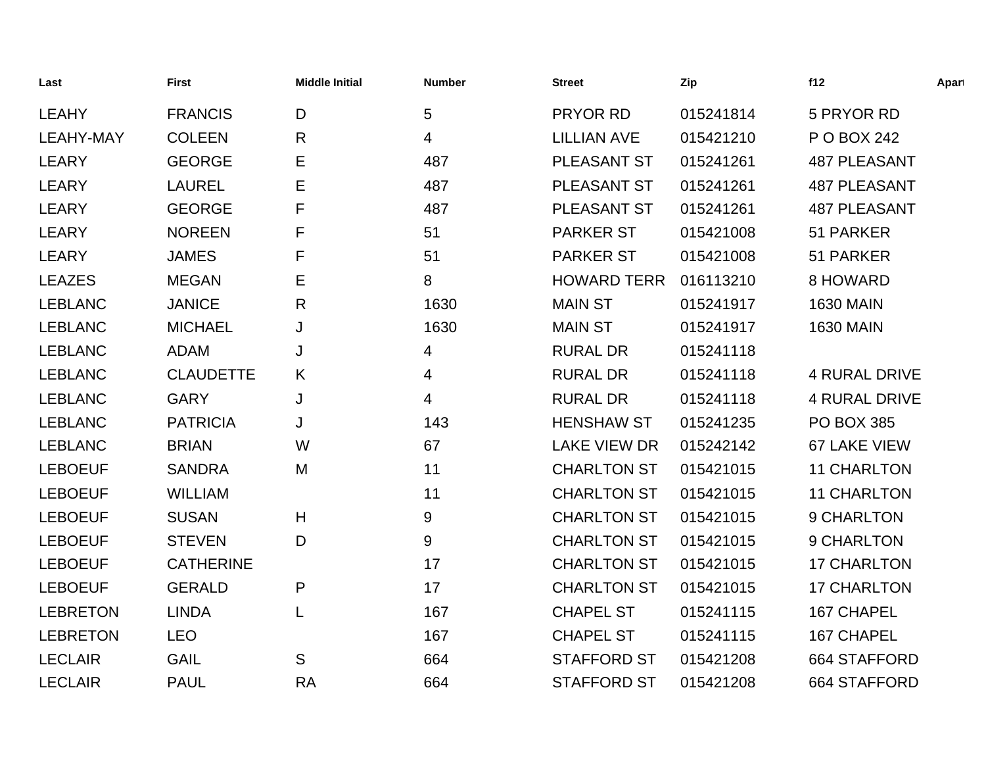| Last             | <b>First</b>     | <b>Middle Initial</b> | <b>Number</b> | <b>Street</b>       | Zip       | f12                  | Apart |
|------------------|------------------|-----------------------|---------------|---------------------|-----------|----------------------|-------|
| <b>LEAHY</b>     | <b>FRANCIS</b>   | D                     | 5             | <b>PRYOR RD</b>     | 015241814 | 5 PRYOR RD           |       |
| <b>LEAHY-MAY</b> | <b>COLEEN</b>    | $\mathsf{R}$          | 4             | <b>LILLIAN AVE</b>  | 015421210 | P O BOX 242          |       |
| <b>LEARY</b>     | <b>GEORGE</b>    | Е                     | 487           | PLEASANT ST         | 015241261 | <b>487 PLEASANT</b>  |       |
| <b>LEARY</b>     | <b>LAUREL</b>    | Е                     | 487           | PLEASANT ST         | 015241261 | <b>487 PLEASANT</b>  |       |
| <b>LEARY</b>     | <b>GEORGE</b>    | F                     | 487           | PLEASANT ST         | 015241261 | <b>487 PLEASANT</b>  |       |
| <b>LEARY</b>     | <b>NOREEN</b>    | F                     | 51            | <b>PARKER ST</b>    | 015421008 | 51 PARKER            |       |
| <b>LEARY</b>     | <b>JAMES</b>     | F                     | 51            | <b>PARKER ST</b>    | 015421008 | 51 PARKER            |       |
| <b>LEAZES</b>    | <b>MEGAN</b>     | Е                     | 8             | <b>HOWARD TERR</b>  | 016113210 | 8 HOWARD             |       |
| <b>LEBLANC</b>   | <b>JANICE</b>    | R                     | 1630          | <b>MAIN ST</b>      | 015241917 | <b>1630 MAIN</b>     |       |
| <b>LEBLANC</b>   | <b>MICHAEL</b>   | J                     | 1630          | <b>MAIN ST</b>      | 015241917 | <b>1630 MAIN</b>     |       |
| <b>LEBLANC</b>   | <b>ADAM</b>      | J                     | 4             | <b>RURAL DR</b>     | 015241118 |                      |       |
| <b>LEBLANC</b>   | <b>CLAUDETTE</b> | K                     | 4             | <b>RURAL DR</b>     | 015241118 | <b>4 RURAL DRIVE</b> |       |
| <b>LEBLANC</b>   | <b>GARY</b>      | J                     | 4             | <b>RURAL DR</b>     | 015241118 | <b>4 RURAL DRIVE</b> |       |
| <b>LEBLANC</b>   | <b>PATRICIA</b>  | J                     | 143           | <b>HENSHAW ST</b>   | 015241235 | <b>PO BOX 385</b>    |       |
| <b>LEBLANC</b>   | <b>BRIAN</b>     | W                     | 67            | <b>LAKE VIEW DR</b> | 015242142 | 67 LAKE VIEW         |       |
| <b>LEBOEUF</b>   | <b>SANDRA</b>    | M                     | 11            | <b>CHARLTON ST</b>  | 015421015 | <b>11 CHARLTON</b>   |       |
| <b>LEBOEUF</b>   | <b>WILLIAM</b>   |                       | 11            | <b>CHARLTON ST</b>  | 015421015 | <b>11 CHARLTON</b>   |       |
| <b>LEBOEUF</b>   | <b>SUSAN</b>     | H                     | 9             | <b>CHARLTON ST</b>  | 015421015 | 9 CHARLTON           |       |
| <b>LEBOEUF</b>   | <b>STEVEN</b>    | D                     | 9             | <b>CHARLTON ST</b>  | 015421015 | 9 CHARLTON           |       |
| <b>LEBOEUF</b>   | <b>CATHERINE</b> |                       | 17            | <b>CHARLTON ST</b>  | 015421015 | <b>17 CHARLTON</b>   |       |
| <b>LEBOEUF</b>   | <b>GERALD</b>    | P                     | 17            | <b>CHARLTON ST</b>  | 015421015 | <b>17 CHARLTON</b>   |       |
| <b>LEBRETON</b>  | <b>LINDA</b>     | L                     | 167           | <b>CHAPEL ST</b>    | 015241115 | 167 CHAPEL           |       |
| <b>LEBRETON</b>  | <b>LEO</b>       |                       | 167           | <b>CHAPEL ST</b>    | 015241115 | 167 CHAPEL           |       |
| <b>LECLAIR</b>   | <b>GAIL</b>      | S                     | 664           | <b>STAFFORD ST</b>  | 015421208 | 664 STAFFORD         |       |
| <b>LECLAIR</b>   | <b>PAUL</b>      | <b>RA</b>             | 664           | <b>STAFFORD ST</b>  | 015421208 | 664 STAFFORD         |       |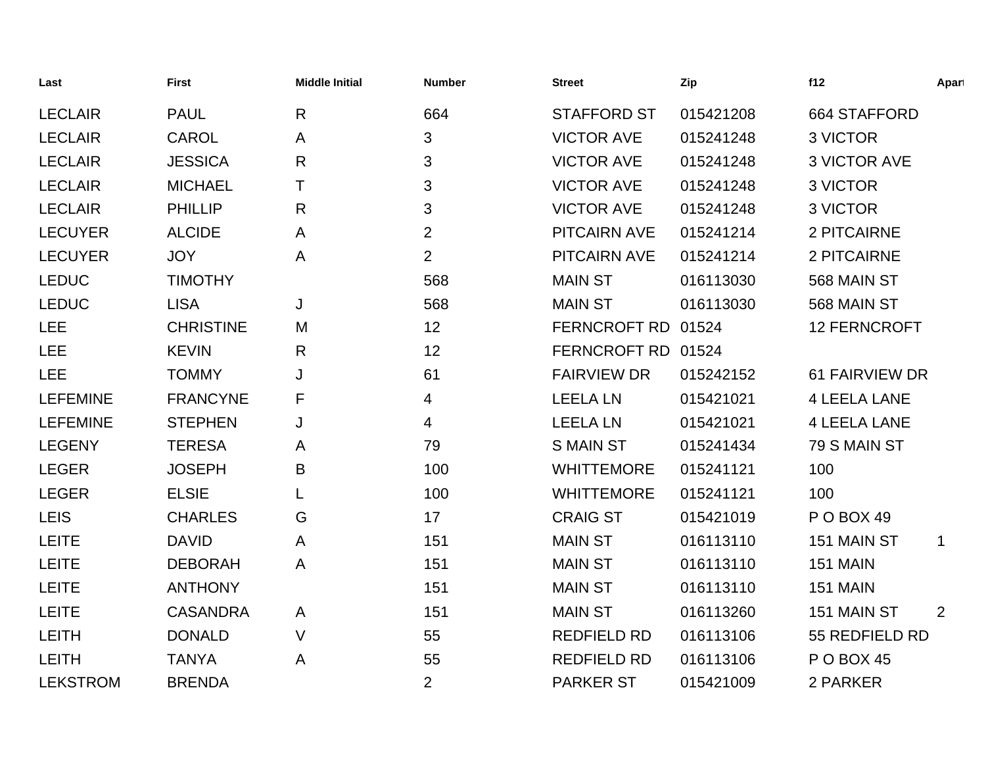| Last            | <b>First</b>     | <b>Middle Initial</b> | <b>Number</b>  | <b>Street</b>       | Zip       | f12                 | Apart          |
|-----------------|------------------|-----------------------|----------------|---------------------|-----------|---------------------|----------------|
| <b>LECLAIR</b>  | <b>PAUL</b>      | $\mathsf{R}$          | 664            | <b>STAFFORD ST</b>  | 015421208 | 664 STAFFORD        |                |
| <b>LECLAIR</b>  | CAROL            | A                     | 3              | <b>VICTOR AVE</b>   | 015241248 | 3 VICTOR            |                |
| <b>LECLAIR</b>  | <b>JESSICA</b>   | $\mathsf{R}$          | 3              | <b>VICTOR AVE</b>   | 015241248 | <b>3 VICTOR AVE</b> |                |
| <b>LECLAIR</b>  | <b>MICHAEL</b>   | Τ                     | 3              | <b>VICTOR AVE</b>   | 015241248 | 3 VICTOR            |                |
| <b>LECLAIR</b>  | <b>PHILLIP</b>   | $\mathsf{R}$          | 3              | <b>VICTOR AVE</b>   | 015241248 | 3 VICTOR            |                |
| <b>LECUYER</b>  | <b>ALCIDE</b>    | A                     | $\overline{2}$ | <b>PITCAIRN AVE</b> | 015241214 | 2 PITCAIRNE         |                |
| <b>LECUYER</b>  | <b>JOY</b>       | A                     | $\overline{2}$ | <b>PITCAIRN AVE</b> | 015241214 | 2 PITCAIRNE         |                |
| <b>LEDUC</b>    | <b>TIMOTHY</b>   |                       | 568            | <b>MAIN ST</b>      | 016113030 | 568 MAIN ST         |                |
| <b>LEDUC</b>    | <b>LISA</b>      | J                     | 568            | <b>MAIN ST</b>      | 016113030 | 568 MAIN ST         |                |
| <b>LEE</b>      | <b>CHRISTINE</b> | M                     | 12             | FERNCROFT RD 01524  |           | <b>12 FERNCROFT</b> |                |
| <b>LEE</b>      | <b>KEVIN</b>     | $\mathsf{R}$          | 12             | FERNCROFT RD 01524  |           |                     |                |
| <b>LEE</b>      | <b>TOMMY</b>     | J                     | 61             | <b>FAIRVIEW DR</b>  | 015242152 | 61 FAIRVIEW DR      |                |
| <b>LEFEMINE</b> | <b>FRANCYNE</b>  | F                     | 4              | <b>LEELA LN</b>     | 015421021 | <b>4 LEELA LANE</b> |                |
| <b>LEFEMINE</b> | <b>STEPHEN</b>   | J                     | 4              | <b>LEELA LN</b>     | 015421021 | <b>4 LEELA LANE</b> |                |
| <b>LEGENY</b>   | <b>TERESA</b>    | A                     | 79             | <b>S MAIN ST</b>    | 015241434 | 79 S MAIN ST        |                |
| <b>LEGER</b>    | <b>JOSEPH</b>    | B                     | 100            | <b>WHITTEMORE</b>   | 015241121 | 100                 |                |
| <b>LEGER</b>    | <b>ELSIE</b>     | L                     | 100            | <b>WHITTEMORE</b>   | 015241121 | 100                 |                |
| <b>LEIS</b>     | <b>CHARLES</b>   | G                     | 17             | <b>CRAIG ST</b>     | 015421019 | POBOX 49            |                |
| <b>LEITE</b>    | <b>DAVID</b>     | A                     | 151            | <b>MAIN ST</b>      | 016113110 | 151 MAIN ST         | $\mathbf 1$    |
| <b>LEITE</b>    | <b>DEBORAH</b>   | A                     | 151            | <b>MAIN ST</b>      | 016113110 | <b>151 MAIN</b>     |                |
| <b>LEITE</b>    | <b>ANTHONY</b>   |                       | 151            | <b>MAIN ST</b>      | 016113110 | <b>151 MAIN</b>     |                |
| <b>LEITE</b>    | <b>CASANDRA</b>  | A                     | 151            | <b>MAIN ST</b>      | 016113260 | 151 MAIN ST         | $\overline{2}$ |
| <b>LEITH</b>    | <b>DONALD</b>    | $\vee$                | 55             | <b>REDFIELD RD</b>  | 016113106 | 55 REDFIELD RD      |                |
| <b>LEITH</b>    | <b>TANYA</b>     | A                     | 55             | <b>REDFIELD RD</b>  | 016113106 | <b>P O BOX 45</b>   |                |
| <b>LEKSTROM</b> | <b>BRENDA</b>    |                       | $\overline{2}$ | <b>PARKER ST</b>    | 015421009 | 2 PARKER            |                |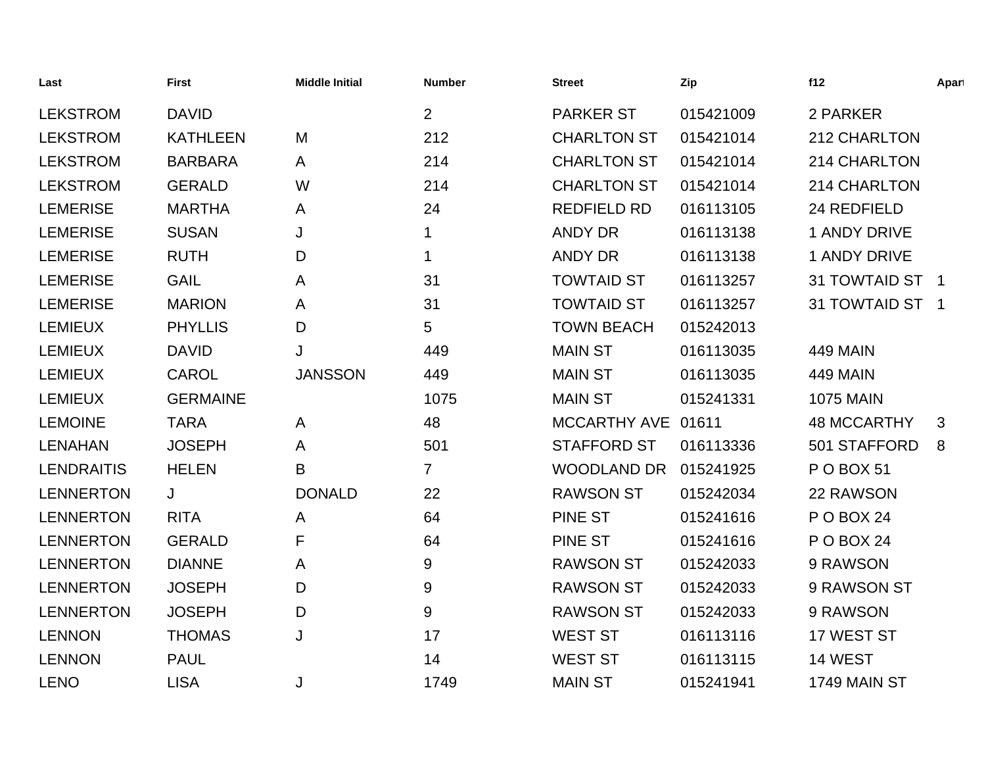| Last              | <b>First</b>    | <b>Middle Initial</b> | <b>Number</b>  | <b>Street</b>       | Zip       | f12                 | Apart |
|-------------------|-----------------|-----------------------|----------------|---------------------|-----------|---------------------|-------|
| <b>LEKSTROM</b>   | <b>DAVID</b>    |                       | $\overline{2}$ | <b>PARKER ST</b>    | 015421009 | 2 PARKER            |       |
| <b>LEKSTROM</b>   | <b>KATHLEEN</b> | M                     | 212            | <b>CHARLTON ST</b>  | 015421014 | 212 CHARLTON        |       |
| <b>LEKSTROM</b>   | <b>BARBARA</b>  | A                     | 214            | <b>CHARLTON ST</b>  | 015421014 | 214 CHARLTON        |       |
| <b>LEKSTROM</b>   | <b>GERALD</b>   | W                     | 214            | <b>CHARLTON ST</b>  | 015421014 | 214 CHARLTON        |       |
| <b>LEMERISE</b>   | <b>MARTHA</b>   | A                     | 24             | <b>REDFIELD RD</b>  | 016113105 | 24 REDFIELD         |       |
| <b>LEMERISE</b>   | <b>SUSAN</b>    | J                     |                | <b>ANDY DR</b>      | 016113138 | <b>1 ANDY DRIVE</b> |       |
| <b>LEMERISE</b>   | <b>RUTH</b>     | D                     | 1              | <b>ANDY DR</b>      | 016113138 | <b>1 ANDY DRIVE</b> |       |
| <b>LEMERISE</b>   | <b>GAIL</b>     | A                     | 31             | <b>TOWTAID ST</b>   | 016113257 | 31 TOWTAID ST 1     |       |
| <b>LEMERISE</b>   | <b>MARION</b>   | A                     | 31             | <b>TOWTAID ST</b>   | 016113257 | 31 TOWTAID ST 1     |       |
| <b>LEMIEUX</b>    | <b>PHYLLIS</b>  | D                     | 5              | <b>TOWN BEACH</b>   | 015242013 |                     |       |
| <b>LEMIEUX</b>    | <b>DAVID</b>    | J                     | 449            | <b>MAIN ST</b>      | 016113035 | <b>449 MAIN</b>     |       |
| <b>LEMIEUX</b>    | <b>CAROL</b>    | <b>JANSSON</b>        | 449            | <b>MAIN ST</b>      | 016113035 | <b>449 MAIN</b>     |       |
| <b>LEMIEUX</b>    | <b>GERMAINE</b> |                       | 1075           | <b>MAIN ST</b>      | 015241331 | <b>1075 MAIN</b>    |       |
| <b>LEMOINE</b>    | <b>TARA</b>     | A                     | 48             | <b>MCCARTHY AVE</b> | 01611     | <b>48 MCCARTHY</b>  | 3     |
| <b>LENAHAN</b>    | <b>JOSEPH</b>   | A                     | 501            | <b>STAFFORD ST</b>  | 016113336 | 501 STAFFORD        | 8     |
| <b>LENDRAITIS</b> | <b>HELEN</b>    | B                     | $\overline{7}$ | WOODLAND DR         | 015241925 | P O BOX 51          |       |
| <b>LENNERTON</b>  | J               | <b>DONALD</b>         | 22             | <b>RAWSON ST</b>    | 015242034 | 22 RAWSON           |       |
| <b>LENNERTON</b>  | <b>RITA</b>     | A                     | 64             | <b>PINE ST</b>      | 015241616 | <b>P O BOX 24</b>   |       |
| <b>LENNERTON</b>  | <b>GERALD</b>   | F                     | 64             | <b>PINE ST</b>      | 015241616 | <b>P O BOX 24</b>   |       |
| <b>LENNERTON</b>  | <b>DIANNE</b>   | A                     | $9\,$          | <b>RAWSON ST</b>    | 015242033 | 9 RAWSON            |       |
| <b>LENNERTON</b>  | <b>JOSEPH</b>   | D                     | 9              | <b>RAWSON ST</b>    | 015242033 | 9 RAWSON ST         |       |
| <b>LENNERTON</b>  | <b>JOSEPH</b>   | D                     | 9              | <b>RAWSON ST</b>    | 015242033 | 9 RAWSON            |       |
| <b>LENNON</b>     | <b>THOMAS</b>   | J                     | 17             | <b>WEST ST</b>      | 016113116 | 17 WEST ST          |       |
| <b>LENNON</b>     | <b>PAUL</b>     |                       | 14             | <b>WEST ST</b>      | 016113115 | 14 WEST             |       |
| <b>LENO</b>       | <b>LISA</b>     | J                     | 1749           | <b>MAIN ST</b>      | 015241941 | 1749 MAIN ST        |       |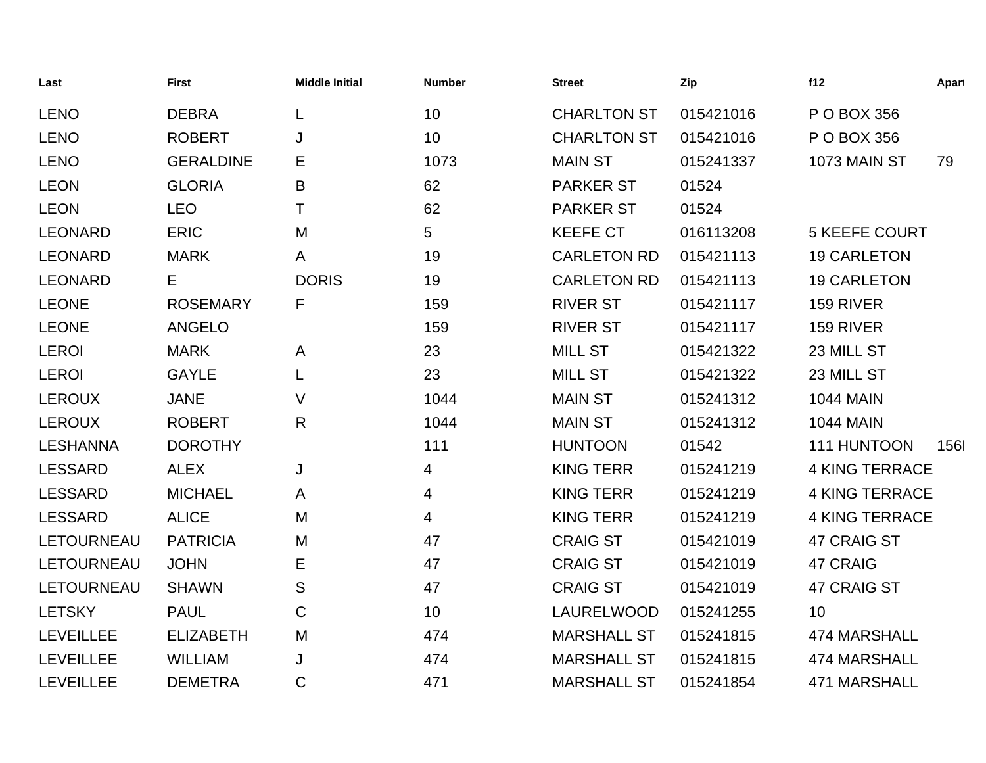| Last             | <b>First</b>     | <b>Middle Initial</b> | <b>Number</b> | Street             | Zip       | f12                   | Apart |
|------------------|------------------|-----------------------|---------------|--------------------|-----------|-----------------------|-------|
| <b>LENO</b>      | <b>DEBRA</b>     |                       | 10            | <b>CHARLTON ST</b> | 015421016 | P O BOX 356           |       |
| <b>LENO</b>      | <b>ROBERT</b>    | J                     | 10            | <b>CHARLTON ST</b> | 015421016 | P O BOX 356           |       |
| <b>LENO</b>      | <b>GERALDINE</b> | Е                     | 1073          | <b>MAIN ST</b>     | 015241337 | 1073 MAIN ST          | 79    |
| <b>LEON</b>      | <b>GLORIA</b>    | B                     | 62            | <b>PARKER ST</b>   | 01524     |                       |       |
| <b>LEON</b>      | <b>LEO</b>       | Τ                     | 62            | <b>PARKER ST</b>   | 01524     |                       |       |
| LEONARD          | <b>ERIC</b>      | M                     | 5             | <b>KEEFE CT</b>    | 016113208 | <b>5 KEEFE COURT</b>  |       |
| <b>LEONARD</b>   | <b>MARK</b>      | A                     | 19            | <b>CARLETON RD</b> | 015421113 | <b>19 CARLETON</b>    |       |
| <b>LEONARD</b>   | Е                | <b>DORIS</b>          | 19            | <b>CARLETON RD</b> | 015421113 | <b>19 CARLETON</b>    |       |
| <b>LEONE</b>     | <b>ROSEMARY</b>  | F                     | 159           | <b>RIVER ST</b>    | 015421117 | 159 RIVER             |       |
| <b>LEONE</b>     | <b>ANGELO</b>    |                       | 159           | <b>RIVER ST</b>    | 015421117 | 159 RIVER             |       |
| <b>LEROI</b>     | <b>MARK</b>      | A                     | 23            | <b>MILL ST</b>     | 015421322 | 23 MILL ST            |       |
| <b>LEROI</b>     | <b>GAYLE</b>     |                       | 23            | <b>MILL ST</b>     | 015421322 | 23 MILL ST            |       |
| <b>LEROUX</b>    | <b>JANE</b>      | V                     | 1044          | <b>MAIN ST</b>     | 015241312 | <b>1044 MAIN</b>      |       |
| <b>LEROUX</b>    | <b>ROBERT</b>    | R                     | 1044          | <b>MAIN ST</b>     | 015241312 | <b>1044 MAIN</b>      |       |
| <b>LESHANNA</b>  | <b>DOROTHY</b>   |                       | 111           | <b>HUNTOON</b>     | 01542     | 111 HUNTOON           | 156   |
| <b>LESSARD</b>   | <b>ALEX</b>      | J                     | 4             | <b>KING TERR</b>   | 015241219 | <b>4 KING TERRACE</b> |       |
| <b>LESSARD</b>   | <b>MICHAEL</b>   | A                     | 4             | <b>KING TERR</b>   | 015241219 | <b>4 KING TERRACE</b> |       |
| <b>LESSARD</b>   | <b>ALICE</b>     | M                     | 4             | <b>KING TERR</b>   | 015241219 | <b>4 KING TERRACE</b> |       |
| LETOURNEAU       | <b>PATRICIA</b>  | M                     | 47            | <b>CRAIG ST</b>    | 015421019 | 47 CRAIG ST           |       |
| LETOURNEAU       | <b>JOHN</b>      | E                     | 47            | <b>CRAIG ST</b>    | 015421019 | 47 CRAIG              |       |
| LETOURNEAU       | <b>SHAWN</b>     | S                     | 47            | <b>CRAIG ST</b>    | 015421019 | 47 CRAIG ST           |       |
| <b>LETSKY</b>    | <b>PAUL</b>      | C                     | 10            | LAURELWOOD         | 015241255 | 10                    |       |
| <b>LEVEILLEE</b> | <b>ELIZABETH</b> | M                     | 474           | <b>MARSHALL ST</b> | 015241815 | 474 MARSHALL          |       |
| <b>LEVEILLEE</b> | <b>WILLIAM</b>   | J                     | 474           | <b>MARSHALL ST</b> | 015241815 | 474 MARSHALL          |       |
| <b>LEVEILLEE</b> | <b>DEMETRA</b>   | $\mathsf C$           | 471           | <b>MARSHALL ST</b> | 015241854 | <b>471 MARSHALL</b>   |       |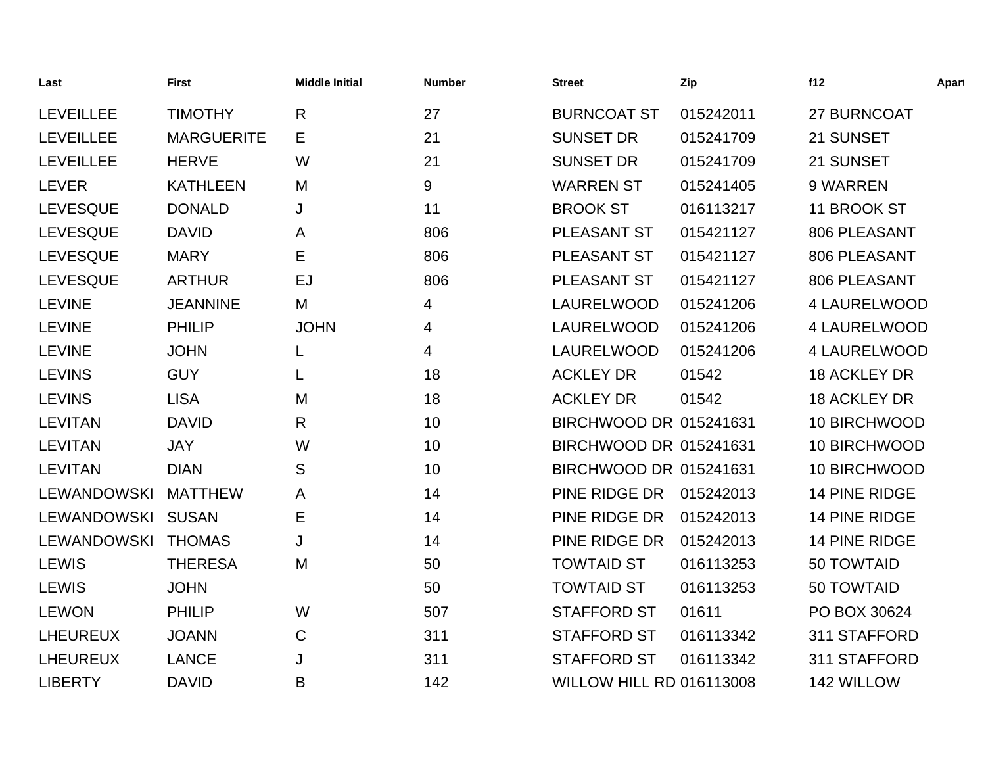| Last               | <b>First</b>      | <b>Middle Initial</b> | <b>Number</b> | <b>Street</b>                   | Zip       | f12                 | Apart |
|--------------------|-------------------|-----------------------|---------------|---------------------------------|-----------|---------------------|-------|
| <b>LEVEILLEE</b>   | <b>TIMOTHY</b>    | $\mathsf{R}$          | 27            | <b>BURNCOAT ST</b>              | 015242011 | 27 BURNCOAT         |       |
| <b>LEVEILLEE</b>   | <b>MARGUERITE</b> | Е                     | 21            | <b>SUNSET DR</b>                | 015241709 | 21 SUNSET           |       |
| <b>LEVEILLEE</b>   | <b>HERVE</b>      | W                     | 21            | <b>SUNSET DR</b>                | 015241709 | 21 SUNSET           |       |
| <b>LEVER</b>       | <b>KATHLEEN</b>   | M                     | 9             | <b>WARREN ST</b>                | 015241405 | 9 WARREN            |       |
| <b>LEVESQUE</b>    | <b>DONALD</b>     | J                     | 11            | <b>BROOK ST</b>                 | 016113217 | 11 BROOK ST         |       |
| <b>LEVESQUE</b>    | <b>DAVID</b>      | A                     | 806           | <b>PLEASANT ST</b>              | 015421127 | 806 PLEASANT        |       |
| <b>LEVESQUE</b>    | <b>MARY</b>       | Е                     | 806           | PLEASANT ST                     | 015421127 | 806 PLEASANT        |       |
| <b>LEVESQUE</b>    | <b>ARTHUR</b>     | EJ                    | 806           | PLEASANT ST                     | 015421127 | 806 PLEASANT        |       |
| <b>LEVINE</b>      | <b>JEANNINE</b>   | M                     | 4             | LAURELWOOD                      | 015241206 | <b>4 LAURELWOOD</b> |       |
| <b>LEVINE</b>      | <b>PHILIP</b>     | <b>JOHN</b>           | 4             | LAURELWOOD                      | 015241206 | 4 LAURELWOOD        |       |
| <b>LEVINE</b>      | <b>JOHN</b>       | L                     | 4             | LAURELWOOD                      | 015241206 | <b>4 LAURELWOOD</b> |       |
| <b>LEVINS</b>      | <b>GUY</b>        | L                     | 18            | <b>ACKLEY DR</b>                | 01542     | 18 ACKLEY DR        |       |
| <b>LEVINS</b>      | <b>LISA</b>       | M                     | 18            | <b>ACKLEY DR</b>                | 01542     | <b>18 ACKLEY DR</b> |       |
| <b>LEVITAN</b>     | <b>DAVID</b>      | R                     | 10            | BIRCHWOOD DR 015241631          |           | 10 BIRCHWOOD        |       |
| <b>LEVITAN</b>     | <b>JAY</b>        | W                     | 10            | BIRCHWOOD DR 015241631          |           | 10 BIRCHWOOD        |       |
| <b>LEVITAN</b>     | <b>DIAN</b>       | S                     | 10            | BIRCHWOOD DR 015241631          |           | 10 BIRCHWOOD        |       |
| <b>LEWANDOWSKI</b> | <b>MATTHEW</b>    | A                     | 14            | PINE RIDGE DR                   | 015242013 | 14 PINE RIDGE       |       |
| LEWANDOWSKI        | <b>SUSAN</b>      | Е                     | 14            | PINE RIDGE DR                   | 015242013 | 14 PINE RIDGE       |       |
| <b>LEWANDOWSKI</b> | <b>THOMAS</b>     | J                     | 14            | PINE RIDGE DR                   | 015242013 | 14 PINE RIDGE       |       |
| <b>LEWIS</b>       | <b>THERESA</b>    | M                     | 50            | <b>TOWTAID ST</b>               | 016113253 | 50 TOWTAID          |       |
| <b>LEWIS</b>       | <b>JOHN</b>       |                       | 50            | <b>TOWTAID ST</b>               | 016113253 | 50 TOWTAID          |       |
| <b>LEWON</b>       | <b>PHILIP</b>     | W                     | 507           | <b>STAFFORD ST</b>              | 01611     | PO BOX 30624        |       |
| <b>LHEUREUX</b>    | <b>JOANN</b>      | $\mathsf{C}$          | 311           | <b>STAFFORD ST</b>              | 016113342 | 311 STAFFORD        |       |
| <b>LHEUREUX</b>    | <b>LANCE</b>      | J                     | 311           | <b>STAFFORD ST</b>              | 016113342 | 311 STAFFORD        |       |
| <b>LIBERTY</b>     | <b>DAVID</b>      | B                     | 142           | <b>WILLOW HILL RD 016113008</b> |           | 142 WILLOW          |       |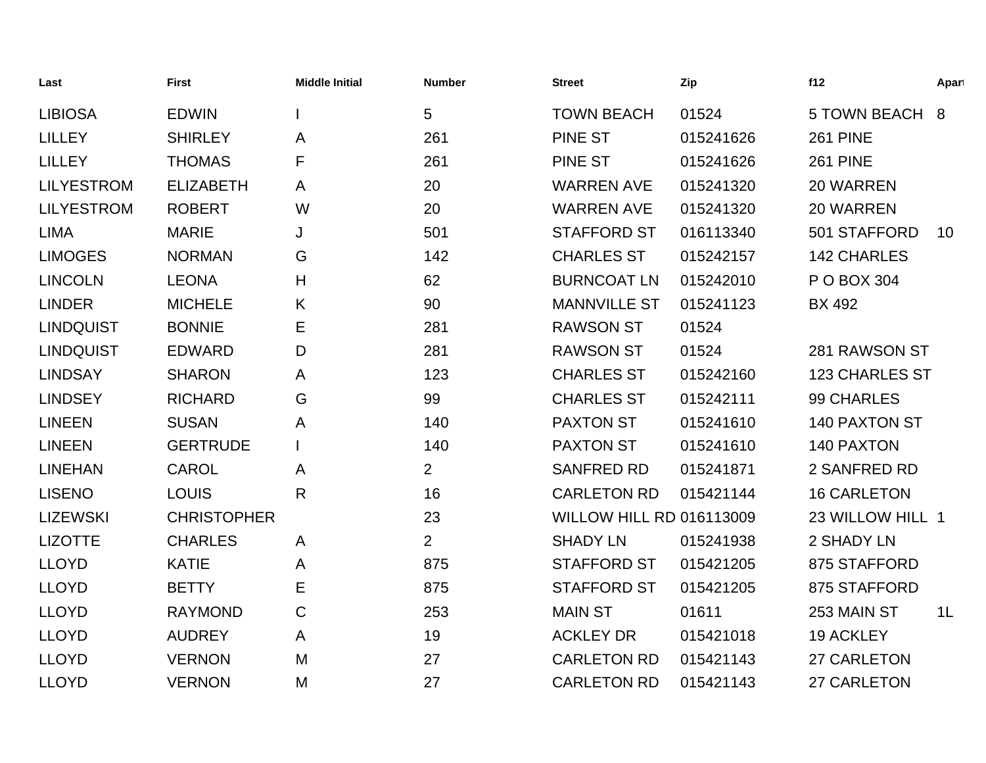| Last              | <b>First</b>       | <b>Middle Initial</b> | <b>Number</b>  | <b>Street</b>            | Zip       | f12                   | Apart          |
|-------------------|--------------------|-----------------------|----------------|--------------------------|-----------|-----------------------|----------------|
| <b>LIBIOSA</b>    | <b>EDWIN</b>       |                       | 5              | <b>TOWN BEACH</b>        | 01524     | <b>5 TOWN BEACH</b>   | 8              |
| <b>LILLEY</b>     | <b>SHIRLEY</b>     | A                     | 261            | <b>PINE ST</b>           | 015241626 | <b>261 PINE</b>       |                |
| <b>LILLEY</b>     | <b>THOMAS</b>      | F                     | 261            | <b>PINE ST</b>           | 015241626 | <b>261 PINE</b>       |                |
| <b>LILYESTROM</b> | <b>ELIZABETH</b>   | A                     | 20             | <b>WARREN AVE</b>        | 015241320 | 20 WARREN             |                |
| <b>LILYESTROM</b> | <b>ROBERT</b>      | W                     | 20             | <b>WARREN AVE</b>        | 015241320 | 20 WARREN             |                |
| <b>LIMA</b>       | <b>MARIE</b>       | J                     | 501            | <b>STAFFORD ST</b>       | 016113340 | 501 STAFFORD          | 10             |
| <b>LIMOGES</b>    | <b>NORMAN</b>      | G                     | 142            | <b>CHARLES ST</b>        | 015242157 | <b>142 CHARLES</b>    |                |
| <b>LINCOLN</b>    | <b>LEONA</b>       | Н                     | 62             | <b>BURNCOAT LN</b>       | 015242010 | P O BOX 304           |                |
| <b>LINDER</b>     | <b>MICHELE</b>     | K                     | 90             | <b>MANNVILLE ST</b>      | 015241123 | <b>BX 492</b>         |                |
| <b>LINDQUIST</b>  | <b>BONNIE</b>      | Е                     | 281            | <b>RAWSON ST</b>         | 01524     |                       |                |
| <b>LINDQUIST</b>  | <b>EDWARD</b>      | D                     | 281            | <b>RAWSON ST</b>         | 01524     | 281 RAWSON ST         |                |
| <b>LINDSAY</b>    | <b>SHARON</b>      | Α                     | 123            | <b>CHARLES ST</b>        | 015242160 | <b>123 CHARLES ST</b> |                |
| <b>LINDSEY</b>    | <b>RICHARD</b>     | G                     | 99             | <b>CHARLES ST</b>        | 015242111 | 99 CHARLES            |                |
| <b>LINEEN</b>     | <b>SUSAN</b>       | Α                     | 140            | <b>PAXTON ST</b>         | 015241610 | 140 PAXTON ST         |                |
| <b>LINEEN</b>     | <b>GERTRUDE</b>    |                       | 140            | <b>PAXTON ST</b>         | 015241610 | 140 PAXTON            |                |
| <b>LINEHAN</b>    | <b>CAROL</b>       | A                     | $\overline{2}$ | <b>SANFRED RD</b>        | 015241871 | 2 SANFRED RD          |                |
| <b>LISENO</b>     | <b>LOUIS</b>       | $\mathsf{R}$          | 16             | <b>CARLETON RD</b>       | 015421144 | <b>16 CARLETON</b>    |                |
| <b>LIZEWSKI</b>   | <b>CHRISTOPHER</b> |                       | 23             | WILLOW HILL RD 016113009 |           | 23 WILLOW HILL 1      |                |
| <b>LIZOTTE</b>    | <b>CHARLES</b>     | $\mathsf{A}$          | $\overline{2}$ | <b>SHADY LN</b>          | 015241938 | 2 SHADY LN            |                |
| <b>LLOYD</b>      | <b>KATIE</b>       | Α                     | 875            | <b>STAFFORD ST</b>       | 015421205 | 875 STAFFORD          |                |
| <b>LLOYD</b>      | <b>BETTY</b>       | Е                     | 875            | <b>STAFFORD ST</b>       | 015421205 | 875 STAFFORD          |                |
| <b>LLOYD</b>      | <b>RAYMOND</b>     | C                     | 253            | <b>MAIN ST</b>           | 01611     | 253 MAIN ST           | 1 <sub>L</sub> |
| <b>LLOYD</b>      | <b>AUDREY</b>      | A                     | 19             | <b>ACKLEY DR</b>         | 015421018 | <b>19 ACKLEY</b>      |                |
| <b>LLOYD</b>      | <b>VERNON</b>      | M                     | 27             | <b>CARLETON RD</b>       | 015421143 | 27 CARLETON           |                |
| <b>LLOYD</b>      | <b>VERNON</b>      | M                     | 27             | <b>CARLETON RD</b>       | 015421143 | 27 CARLETON           |                |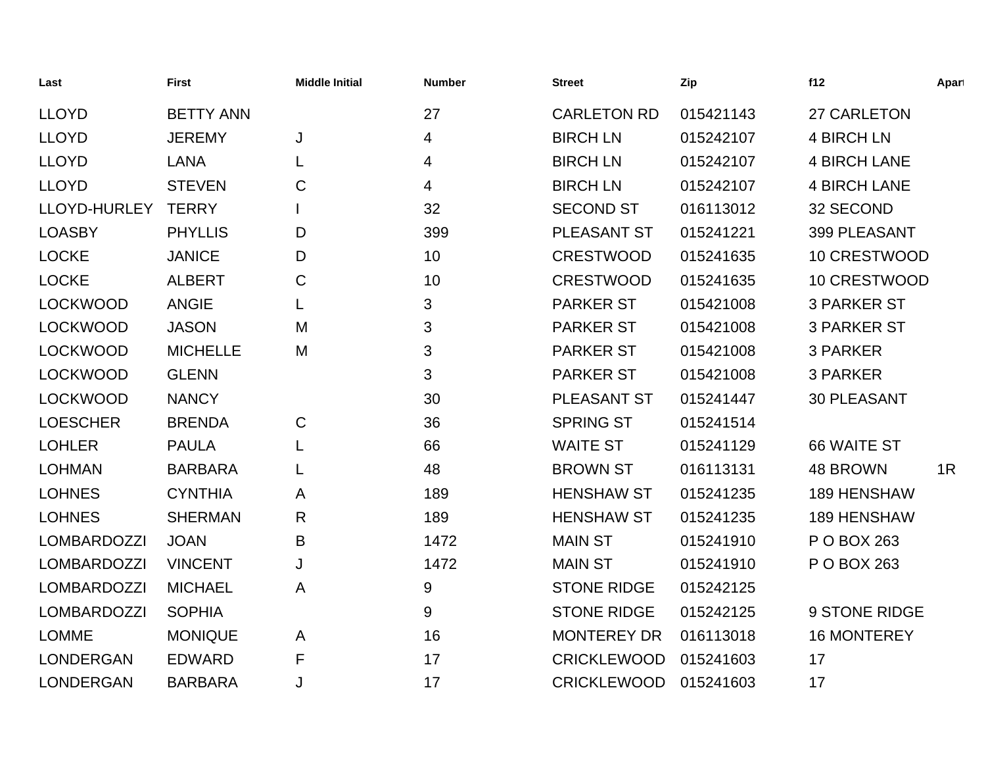| Last               | First            | <b>Middle Initial</b> | <b>Number</b> | <b>Street</b>      | Zip       | f12                 | Apart |
|--------------------|------------------|-----------------------|---------------|--------------------|-----------|---------------------|-------|
| <b>LLOYD</b>       | <b>BETTY ANN</b> |                       | 27            | <b>CARLETON RD</b> | 015421143 | 27 CARLETON         |       |
| <b>LLOYD</b>       | <b>JEREMY</b>    | J                     | 4             | <b>BIRCH LN</b>    | 015242107 | <b>4 BIRCH LN</b>   |       |
| <b>LLOYD</b>       | <b>LANA</b>      |                       | 4             | <b>BIRCH LN</b>    | 015242107 | <b>4 BIRCH LANE</b> |       |
| <b>LLOYD</b>       | <b>STEVEN</b>    | C                     | 4             | <b>BIRCH LN</b>    | 015242107 | <b>4 BIRCH LANE</b> |       |
| LLOYD-HURLEY       | <b>TERRY</b>     |                       | 32            | <b>SECOND ST</b>   | 016113012 | 32 SECOND           |       |
| <b>LOASBY</b>      | <b>PHYLLIS</b>   | D                     | 399           | PLEASANT ST        | 015241221 | 399 PLEASANT        |       |
| <b>LOCKE</b>       | <b>JANICE</b>    | D                     | 10            | <b>CRESTWOOD</b>   | 015241635 | 10 CRESTWOOD        |       |
| <b>LOCKE</b>       | <b>ALBERT</b>    | C                     | 10            | <b>CRESTWOOD</b>   | 015241635 | 10 CRESTWOOD        |       |
| <b>LOCKWOOD</b>    | <b>ANGIE</b>     |                       | 3             | <b>PARKER ST</b>   | 015421008 | <b>3 PARKER ST</b>  |       |
| <b>LOCKWOOD</b>    | <b>JASON</b>     | M                     | 3             | <b>PARKER ST</b>   | 015421008 | <b>3 PARKER ST</b>  |       |
| <b>LOCKWOOD</b>    | <b>MICHELLE</b>  | M                     | 3             | <b>PARKER ST</b>   | 015421008 | 3 PARKER            |       |
| <b>LOCKWOOD</b>    | <b>GLENN</b>     |                       | 3             | <b>PARKER ST</b>   | 015421008 | 3 PARKER            |       |
| <b>LOCKWOOD</b>    | <b>NANCY</b>     |                       | 30            | <b>PLEASANT ST</b> | 015241447 | <b>30 PLEASANT</b>  |       |
| <b>LOESCHER</b>    | <b>BRENDA</b>    | $\mathsf C$           | 36            | <b>SPRING ST</b>   | 015241514 |                     |       |
| <b>LOHLER</b>      | <b>PAULA</b>     |                       | 66            | <b>WAITE ST</b>    | 015241129 | 66 WAITE ST         |       |
| <b>LOHMAN</b>      | <b>BARBARA</b>   |                       | 48            | <b>BROWN ST</b>    | 016113131 | 48 BROWN            | 1R    |
| <b>LOHNES</b>      | <b>CYNTHIA</b>   | A                     | 189           | <b>HENSHAW ST</b>  | 015241235 | <b>189 HENSHAW</b>  |       |
| <b>LOHNES</b>      | <b>SHERMAN</b>   | R                     | 189           | <b>HENSHAW ST</b>  | 015241235 | 189 HENSHAW         |       |
| <b>LOMBARDOZZI</b> | <b>JOAN</b>      | B                     | 1472          | <b>MAIN ST</b>     | 015241910 | P O BOX 263         |       |
| <b>LOMBARDOZZI</b> | <b>VINCENT</b>   | J                     | 1472          | <b>MAIN ST</b>     | 015241910 | P O BOX 263         |       |
| <b>LOMBARDOZZI</b> | <b>MICHAEL</b>   | A                     | 9             | <b>STONE RIDGE</b> | 015242125 |                     |       |
| <b>LOMBARDOZZI</b> | <b>SOPHIA</b>    |                       | 9             | <b>STONE RIDGE</b> | 015242125 | 9 STONE RIDGE       |       |
| <b>LOMME</b>       | <b>MONIQUE</b>   | A                     | 16            | <b>MONTEREY DR</b> | 016113018 | <b>16 MONTEREY</b>  |       |
| <b>LONDERGAN</b>   | <b>EDWARD</b>    | F                     | 17            | <b>CRICKLEWOOD</b> | 015241603 | 17                  |       |
| <b>LONDERGAN</b>   | <b>BARBARA</b>   | J                     | 17            | <b>CRICKLEWOOD</b> | 015241603 | 17                  |       |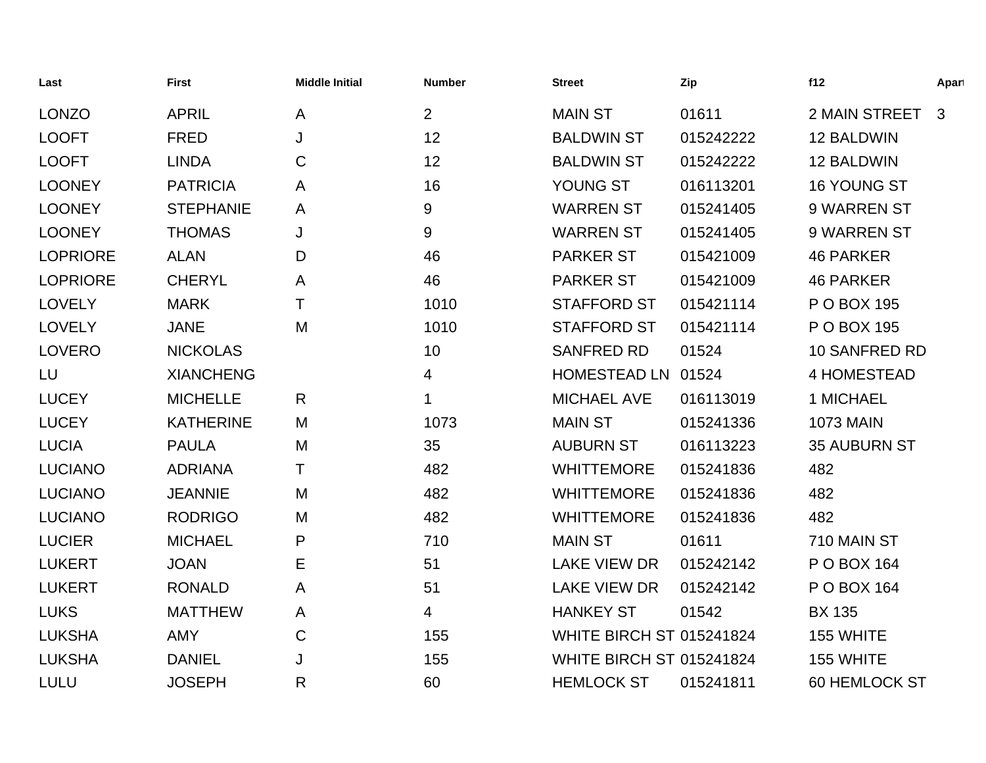| Last            | <b>First</b>     | <b>Middle Initial</b> | <b>Number</b>  | <b>Street</b>                   | Zip       | f12                 | Apart        |
|-----------------|------------------|-----------------------|----------------|---------------------------------|-----------|---------------------|--------------|
| <b>LONZO</b>    | <b>APRIL</b>     | A                     | $\overline{2}$ | <b>MAIN ST</b>                  | 01611     | 2 MAIN STREET       | $\mathbf{3}$ |
| <b>LOOFT</b>    | <b>FRED</b>      | J                     | 12             | <b>BALDWIN ST</b>               | 015242222 | 12 BALDWIN          |              |
| <b>LOOFT</b>    | <b>LINDA</b>     | $\mathbf C$           | 12             | <b>BALDWIN ST</b>               | 015242222 | 12 BALDWIN          |              |
| <b>LOONEY</b>   | <b>PATRICIA</b>  | A                     | 16             | YOUNG ST                        | 016113201 | 16 YOUNG ST         |              |
| <b>LOONEY</b>   | <b>STEPHANIE</b> | A                     | 9              | <b>WARREN ST</b>                | 015241405 | 9 WARREN ST         |              |
| <b>LOONEY</b>   | <b>THOMAS</b>    | J                     | 9              | <b>WARREN ST</b>                | 015241405 | 9 WARREN ST         |              |
| <b>LOPRIORE</b> | <b>ALAN</b>      | D                     | 46             | <b>PARKER ST</b>                | 015421009 | <b>46 PARKER</b>    |              |
| <b>LOPRIORE</b> | <b>CHERYL</b>    | $\mathsf{A}$          | 46             | <b>PARKER ST</b>                | 015421009 | <b>46 PARKER</b>    |              |
| <b>LOVELY</b>   | <b>MARK</b>      | Τ                     | 1010           | <b>STAFFORD ST</b>              | 015421114 | P O BOX 195         |              |
| <b>LOVELY</b>   | <b>JANE</b>      | M                     | 1010           | <b>STAFFORD ST</b>              | 015421114 | P O BOX 195         |              |
| <b>LOVERO</b>   | <b>NICKOLAS</b>  |                       | 10             | <b>SANFRED RD</b>               | 01524     | 10 SANFRED RD       |              |
| LU              | <b>XIANCHENG</b> |                       | 4              | HOMESTEAD LN 01524              |           | <b>4 HOMESTEAD</b>  |              |
| <b>LUCEY</b>    | <b>MICHELLE</b>  | R                     | 1              | <b>MICHAEL AVE</b>              | 016113019 | 1 MICHAEL           |              |
| <b>LUCEY</b>    | <b>KATHERINE</b> | M                     | 1073           | <b>MAIN ST</b>                  | 015241336 | <b>1073 MAIN</b>    |              |
| <b>LUCIA</b>    | <b>PAULA</b>     | M                     | 35             | <b>AUBURN ST</b>                | 016113223 | <b>35 AUBURN ST</b> |              |
| <b>LUCIANO</b>  | <b>ADRIANA</b>   | Τ                     | 482            | <b>WHITTEMORE</b>               | 015241836 | 482                 |              |
| <b>LUCIANO</b>  | <b>JEANNIE</b>   | M                     | 482            | <b>WHITTEMORE</b>               | 015241836 | 482                 |              |
| <b>LUCIANO</b>  | <b>RODRIGO</b>   | M                     | 482            | <b>WHITTEMORE</b>               | 015241836 | 482                 |              |
| <b>LUCIER</b>   | <b>MICHAEL</b>   | P                     | 710            | <b>MAIN ST</b>                  | 01611     | 710 MAIN ST         |              |
| <b>LUKERT</b>   | <b>JOAN</b>      | Ε                     | 51             | <b>LAKE VIEW DR</b>             | 015242142 | P O BOX 164         |              |
| <b>LUKERT</b>   | <b>RONALD</b>    | A                     | 51             | <b>LAKE VIEW DR</b>             | 015242142 | P O BOX 164         |              |
| <b>LUKS</b>     | <b>MATTHEW</b>   | A                     | 4              | <b>HANKEY ST</b>                | 01542     | <b>BX 135</b>       |              |
| <b>LUKSHA</b>   | <b>AMY</b>       | C                     | 155            | <b>WHITE BIRCH ST 015241824</b> |           | 155 WHITE           |              |
| <b>LUKSHA</b>   | <b>DANIEL</b>    | J                     | 155            | <b>WHITE BIRCH ST 015241824</b> |           | 155 WHITE           |              |
| <b>LULU</b>     | <b>JOSEPH</b>    | R                     | 60             | <b>HEMLOCK ST</b>               | 015241811 | 60 HEMLOCK ST       |              |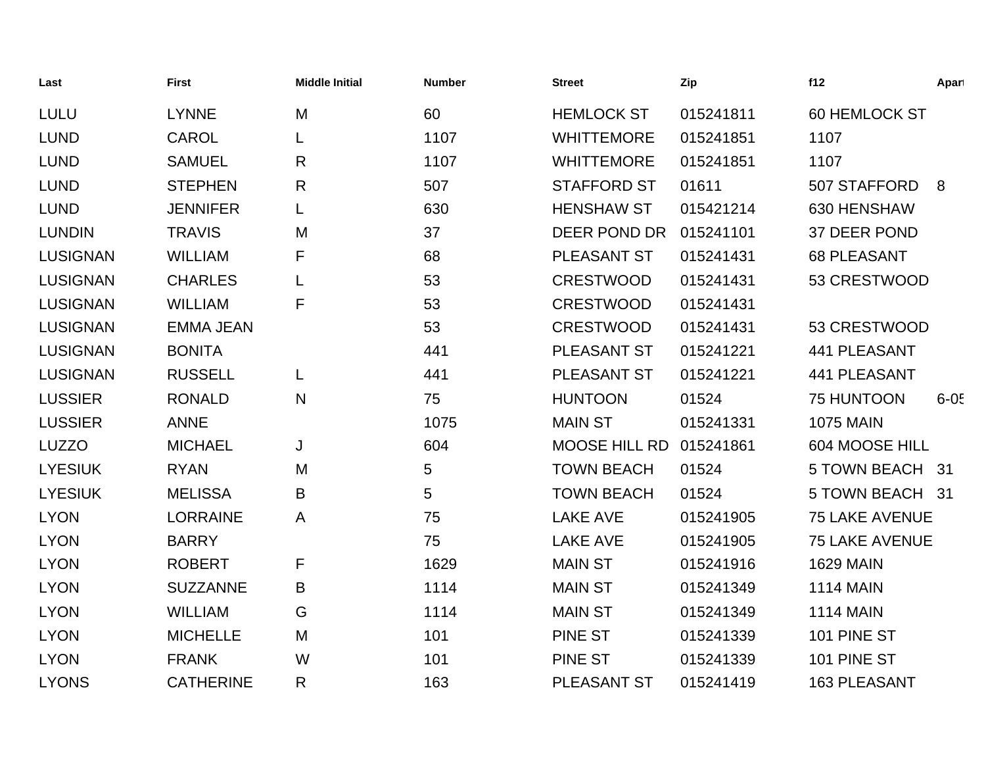| Last            | <b>First</b>     | <b>Middle Initial</b> | <b>Number</b> | <b>Street</b>        | Zip       | f12                   | Apart    |
|-----------------|------------------|-----------------------|---------------|----------------------|-----------|-----------------------|----------|
| <b>LULU</b>     | <b>LYNNE</b>     | M                     | 60            | <b>HEMLOCK ST</b>    | 015241811 | <b>60 HEMLOCK ST</b>  |          |
| <b>LUND</b>     | <b>CAROL</b>     | L                     | 1107          | <b>WHITTEMORE</b>    | 015241851 | 1107                  |          |
| <b>LUND</b>     | <b>SAMUEL</b>    | R                     | 1107          | <b>WHITTEMORE</b>    | 015241851 | 1107                  |          |
| <b>LUND</b>     | <b>STEPHEN</b>   | R                     | 507           | <b>STAFFORD ST</b>   | 01611     | 507 STAFFORD          | 8        |
| <b>LUND</b>     | <b>JENNIFER</b>  |                       | 630           | <b>HENSHAW ST</b>    | 015421214 | 630 HENSHAW           |          |
| <b>LUNDIN</b>   | <b>TRAVIS</b>    | M                     | 37            | DEER POND DR         | 015241101 | 37 DEER POND          |          |
| <b>LUSIGNAN</b> | <b>WILLIAM</b>   | F                     | 68            | <b>PLEASANT ST</b>   | 015241431 | <b>68 PLEASANT</b>    |          |
| <b>LUSIGNAN</b> | <b>CHARLES</b>   |                       | 53            | <b>CRESTWOOD</b>     | 015241431 | 53 CRESTWOOD          |          |
| <b>LUSIGNAN</b> | <b>WILLIAM</b>   | F                     | 53            | <b>CRESTWOOD</b>     | 015241431 |                       |          |
| <b>LUSIGNAN</b> | <b>EMMA JEAN</b> |                       | 53            | <b>CRESTWOOD</b>     | 015241431 | 53 CRESTWOOD          |          |
| <b>LUSIGNAN</b> | <b>BONITA</b>    |                       | 441           | PLEASANT ST          | 015241221 | 441 PLEASANT          |          |
| <b>LUSIGNAN</b> | <b>RUSSELL</b>   | L                     | 441           | PLEASANT ST          | 015241221 | <b>441 PLEASANT</b>   |          |
| <b>LUSSIER</b>  | <b>RONALD</b>    | N                     | 75            | <b>HUNTOON</b>       | 01524     | 75 HUNTOON            | $6 - 05$ |
| <b>LUSSIER</b>  | <b>ANNE</b>      |                       | 1075          | <b>MAIN ST</b>       | 015241331 | <b>1075 MAIN</b>      |          |
| <b>LUZZO</b>    | <b>MICHAEL</b>   | J                     | 604           | <b>MOOSE HILL RD</b> | 015241861 | 604 MOOSE HILL        |          |
| <b>LYESIUK</b>  | <b>RYAN</b>      | M                     | 5             | <b>TOWN BEACH</b>    | 01524     | 5 TOWN BEACH 31       |          |
| <b>LYESIUK</b>  | <b>MELISSA</b>   | B                     | 5             | <b>TOWN BEACH</b>    | 01524     | 5 TOWN BEACH 31       |          |
| <b>LYON</b>     | <b>LORRAINE</b>  | A                     | 75            | <b>LAKE AVE</b>      | 015241905 | <b>75 LAKE AVENUE</b> |          |
| <b>LYON</b>     | <b>BARRY</b>     |                       | 75            | <b>LAKE AVE</b>      | 015241905 | <b>75 LAKE AVENUE</b> |          |
| <b>LYON</b>     | <b>ROBERT</b>    | F                     | 1629          | <b>MAIN ST</b>       | 015241916 | <b>1629 MAIN</b>      |          |
| <b>LYON</b>     | <b>SUZZANNE</b>  | B                     | 1114          | <b>MAIN ST</b>       | 015241349 | <b>1114 MAIN</b>      |          |
| <b>LYON</b>     | <b>WILLIAM</b>   | G                     | 1114          | <b>MAIN ST</b>       | 015241349 | <b>1114 MAIN</b>      |          |
| <b>LYON</b>     | <b>MICHELLE</b>  | M                     | 101           | <b>PINE ST</b>       | 015241339 | 101 PINE ST           |          |
| <b>LYON</b>     | <b>FRANK</b>     | W                     | 101           | <b>PINE ST</b>       | 015241339 | 101 PINE ST           |          |
| <b>LYONS</b>    | <b>CATHERINE</b> | R                     | 163           | <b>PLEASANT ST</b>   | 015241419 | <b>163 PLEASANT</b>   |          |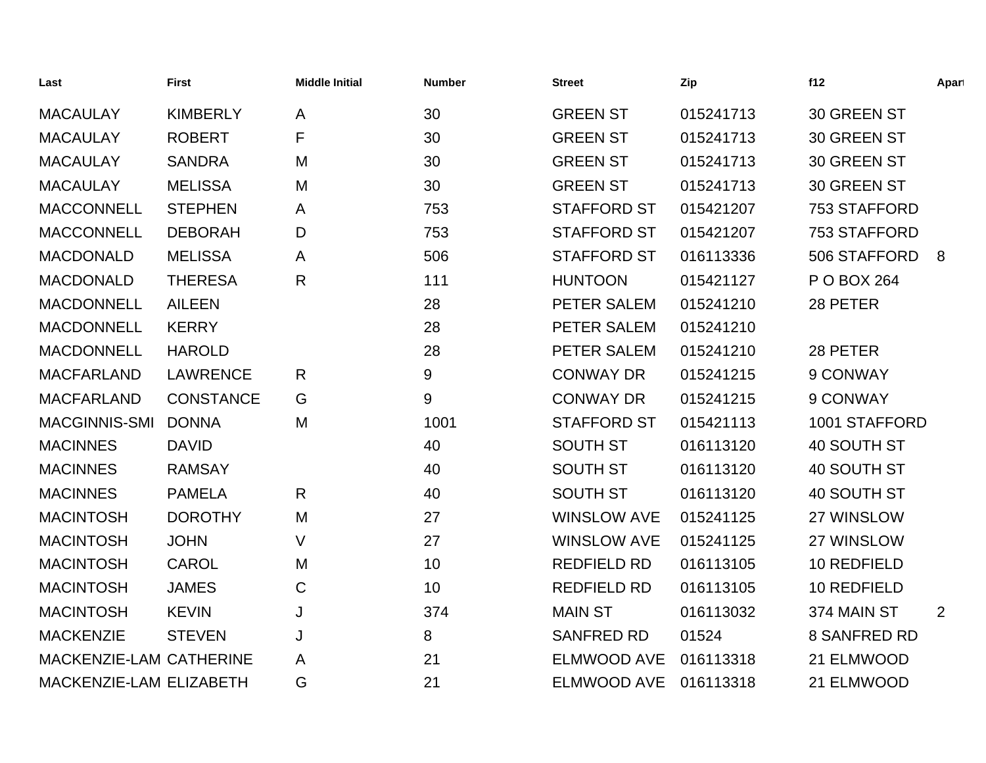| Last                    | <b>First</b>     | <b>Middle Initial</b> | <b>Number</b> | <b>Street</b>      | Zip       | f12                 | Apart          |
|-------------------------|------------------|-----------------------|---------------|--------------------|-----------|---------------------|----------------|
| <b>MACAULAY</b>         | <b>KIMBERLY</b>  | A                     | 30            | <b>GREEN ST</b>    | 015241713 | 30 GREEN ST         |                |
| <b>MACAULAY</b>         | <b>ROBERT</b>    | F                     | 30            | <b>GREEN ST</b>    | 015241713 | 30 GREEN ST         |                |
| <b>MACAULAY</b>         | <b>SANDRA</b>    | M                     | 30            | <b>GREEN ST</b>    | 015241713 | 30 GREEN ST         |                |
| <b>MACAULAY</b>         | <b>MELISSA</b>   | M                     | 30            | <b>GREEN ST</b>    | 015241713 | 30 GREEN ST         |                |
| <b>MACCONNELL</b>       | <b>STEPHEN</b>   | A                     | 753           | <b>STAFFORD ST</b> | 015421207 | 753 STAFFORD        |                |
| <b>MACCONNELL</b>       | <b>DEBORAH</b>   | D                     | 753           | <b>STAFFORD ST</b> | 015421207 | 753 STAFFORD        |                |
| <b>MACDONALD</b>        | <b>MELISSA</b>   | A                     | 506           | <b>STAFFORD ST</b> | 016113336 | 506 STAFFORD        | 8              |
| <b>MACDONALD</b>        | <b>THERESA</b>   | $\mathsf{R}$          | 111           | <b>HUNTOON</b>     | 015421127 | P O BOX 264         |                |
| <b>MACDONNELL</b>       | <b>AILEEN</b>    |                       | 28            | PETER SALEM        | 015241210 | 28 PETER            |                |
| <b>MACDONNELL</b>       | <b>KERRY</b>     |                       | 28            | PETER SALEM        | 015241210 |                     |                |
| <b>MACDONNELL</b>       | <b>HAROLD</b>    |                       | 28            | PETER SALEM        | 015241210 | 28 PETER            |                |
| <b>MACFARLAND</b>       | <b>LAWRENCE</b>  | $\mathsf{R}$          | 9             | <b>CONWAY DR</b>   | 015241215 | 9 CONWAY            |                |
| <b>MACFARLAND</b>       | <b>CONSTANCE</b> | G                     | 9             | <b>CONWAY DR</b>   | 015241215 | 9 CONWAY            |                |
| <b>MACGINNIS-SMI</b>    | <b>DONNA</b>     | M                     | 1001          | <b>STAFFORD ST</b> | 015421113 | 1001 STAFFORD       |                |
| <b>MACINNES</b>         | <b>DAVID</b>     |                       | 40            | <b>SOUTH ST</b>    | 016113120 | 40 SOUTH ST         |                |
| <b>MACINNES</b>         | <b>RAMSAY</b>    |                       | 40            | <b>SOUTH ST</b>    | 016113120 | 40 SOUTH ST         |                |
| <b>MACINNES</b>         | <b>PAMELA</b>    | $\mathsf{R}$          | 40            | <b>SOUTH ST</b>    | 016113120 | 40 SOUTH ST         |                |
| <b>MACINTOSH</b>        | <b>DOROTHY</b>   | M                     | 27            | <b>WINSLOW AVE</b> | 015241125 | 27 WINSLOW          |                |
| <b>MACINTOSH</b>        | <b>JOHN</b>      | V                     | 27            | <b>WINSLOW AVE</b> | 015241125 | 27 WINSLOW          |                |
| <b>MACINTOSH</b>        | <b>CAROL</b>     | M                     | 10            | <b>REDFIELD RD</b> | 016113105 | 10 REDFIELD         |                |
| <b>MACINTOSH</b>        | <b>JAMES</b>     | $\mathbf C$           | 10            | <b>REDFIELD RD</b> | 016113105 | 10 REDFIELD         |                |
| <b>MACINTOSH</b>        | <b>KEVIN</b>     | J                     | 374           | <b>MAIN ST</b>     | 016113032 | 374 MAIN ST         | $\overline{2}$ |
| <b>MACKENZIE</b>        | <b>STEVEN</b>    | J                     | 8             | <b>SANFRED RD</b>  | 01524     | <b>8 SANFRED RD</b> |                |
| MACKENZIE-LAM CATHERINE |                  | A                     | 21            | <b>ELMWOOD AVE</b> | 016113318 | 21 ELMWOOD          |                |
| MACKENZIE-LAM ELIZABETH |                  | G                     | 21            | <b>ELMWOOD AVE</b> | 016113318 | 21 ELMWOOD          |                |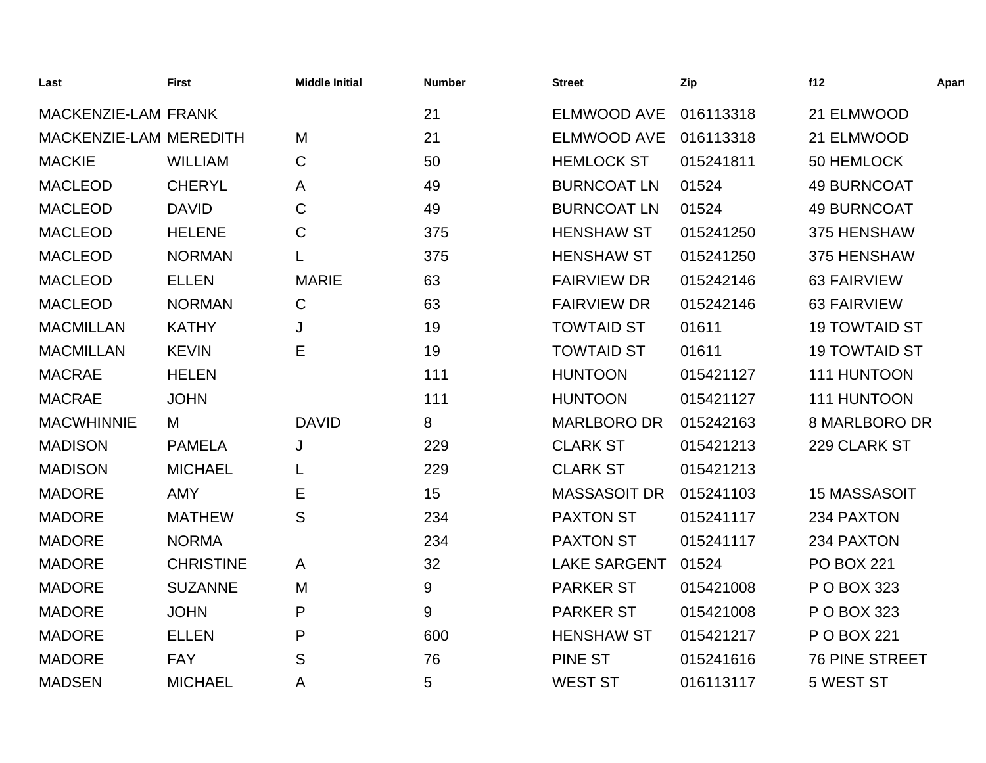| Last                       | <b>First</b>     | <b>Middle Initial</b> | <b>Number</b> | <b>Street</b>       | Zip       | f12                   | Apart |
|----------------------------|------------------|-----------------------|---------------|---------------------|-----------|-----------------------|-------|
| <b>MACKENZIE-LAM FRANK</b> |                  |                       | 21            | <b>ELMWOOD AVE</b>  | 016113318 | 21 ELMWOOD            |       |
| MACKENZIE-LAM MEREDITH     |                  | M                     | 21            | <b>ELMWOOD AVE</b>  | 016113318 | 21 ELMWOOD            |       |
| <b>MACKIE</b>              | <b>WILLIAM</b>   | C                     | 50            | <b>HEMLOCK ST</b>   | 015241811 | 50 HEMLOCK            |       |
| <b>MACLEOD</b>             | <b>CHERYL</b>    | A                     | 49            | <b>BURNCOAT LN</b>  | 01524     | <b>49 BURNCOAT</b>    |       |
| <b>MACLEOD</b>             | <b>DAVID</b>     | C                     | 49            | <b>BURNCOAT LN</b>  | 01524     | <b>49 BURNCOAT</b>    |       |
| <b>MACLEOD</b>             | <b>HELENE</b>    | C                     | 375           | <b>HENSHAW ST</b>   | 015241250 | 375 HENSHAW           |       |
| <b>MACLEOD</b>             | <b>NORMAN</b>    | L                     | 375           | <b>HENSHAW ST</b>   | 015241250 | 375 HENSHAW           |       |
| <b>MACLEOD</b>             | <b>ELLEN</b>     | <b>MARIE</b>          | 63            | <b>FAIRVIEW DR</b>  | 015242146 | <b>63 FAIRVIEW</b>    |       |
| <b>MACLEOD</b>             | <b>NORMAN</b>    | $\mathsf{C}$          | 63            | <b>FAIRVIEW DR</b>  | 015242146 | <b>63 FAIRVIEW</b>    |       |
| <b>MACMILLAN</b>           | <b>KATHY</b>     | J                     | 19            | <b>TOWTAID ST</b>   | 01611     | <b>19 TOWTAID ST</b>  |       |
| <b>MACMILLAN</b>           | <b>KEVIN</b>     | E                     | 19            | <b>TOWTAID ST</b>   | 01611     | <b>19 TOWTAID ST</b>  |       |
| <b>MACRAE</b>              | <b>HELEN</b>     |                       | 111           | <b>HUNTOON</b>      | 015421127 | 111 HUNTOON           |       |
| <b>MACRAE</b>              | <b>JOHN</b>      |                       | 111           | <b>HUNTOON</b>      | 015421127 | 111 HUNTOON           |       |
| <b>MACWHINNIE</b>          | M                | <b>DAVID</b>          | 8             | <b>MARLBORO DR</b>  | 015242163 | 8 MARLBORO DR         |       |
| <b>MADISON</b>             | <b>PAMELA</b>    | J                     | 229           | <b>CLARK ST</b>     | 015421213 | 229 CLARK ST          |       |
| <b>MADISON</b>             | <b>MICHAEL</b>   |                       | 229           | <b>CLARK ST</b>     | 015421213 |                       |       |
| <b>MADORE</b>              | <b>AMY</b>       | E                     | 15            | <b>MASSASOIT DR</b> | 015241103 | <b>15 MASSASOIT</b>   |       |
| <b>MADORE</b>              | <b>MATHEW</b>    | S                     | 234           | <b>PAXTON ST</b>    | 015241117 | 234 PAXTON            |       |
| <b>MADORE</b>              | <b>NORMA</b>     |                       | 234           | <b>PAXTON ST</b>    | 015241117 | 234 PAXTON            |       |
| <b>MADORE</b>              | <b>CHRISTINE</b> | A                     | 32            | <b>LAKE SARGENT</b> | 01524     | <b>PO BOX 221</b>     |       |
| <b>MADORE</b>              | <b>SUZANNE</b>   | M                     | 9             | <b>PARKER ST</b>    | 015421008 | P O BOX 323           |       |
| <b>MADORE</b>              | <b>JOHN</b>      | P                     | 9             | <b>PARKER ST</b>    | 015421008 | P O BOX 323           |       |
| <b>MADORE</b>              | <b>ELLEN</b>     | P                     | 600           | <b>HENSHAW ST</b>   | 015421217 | P O BOX 221           |       |
| <b>MADORE</b>              | <b>FAY</b>       | S                     | 76            | <b>PINE ST</b>      | 015241616 | <b>76 PINE STREET</b> |       |
| <b>MADSEN</b>              | <b>MICHAEL</b>   | Α                     | 5             | <b>WEST ST</b>      | 016113117 | 5 WEST ST             |       |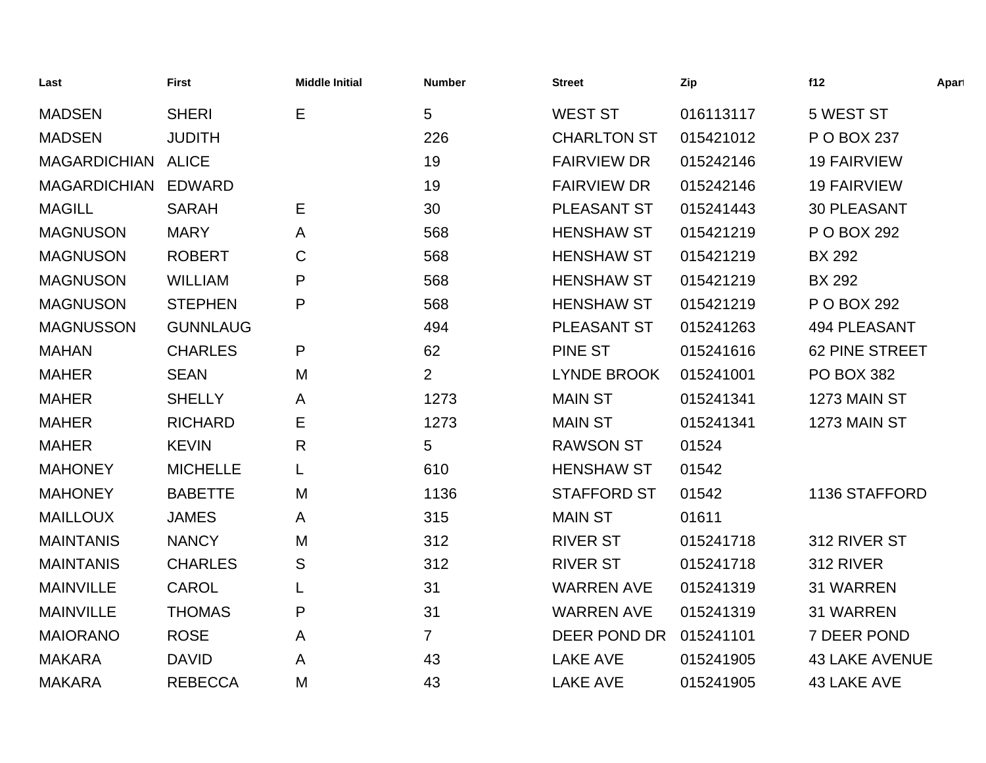| Last                | <b>First</b>    | <b>Middle Initial</b> | <b>Number</b>  | <b>Street</b>      | Zip       | f12                   | Apart |
|---------------------|-----------------|-----------------------|----------------|--------------------|-----------|-----------------------|-------|
| <b>MADSEN</b>       | <b>SHERI</b>    | E                     | 5              | <b>WEST ST</b>     | 016113117 | 5 WEST ST             |       |
| <b>MADSEN</b>       | <b>JUDITH</b>   |                       | 226            | <b>CHARLTON ST</b> | 015421012 | P O BOX 237           |       |
| MAGARDICHIAN ALICE  |                 |                       | 19             | <b>FAIRVIEW DR</b> | 015242146 | <b>19 FAIRVIEW</b>    |       |
| MAGARDICHIAN EDWARD |                 |                       | 19             | <b>FAIRVIEW DR</b> | 015242146 | <b>19 FAIRVIEW</b>    |       |
| <b>MAGILL</b>       | <b>SARAH</b>    | Е                     | 30             | PLEASANT ST        | 015241443 | <b>30 PLEASANT</b>    |       |
| <b>MAGNUSON</b>     | <b>MARY</b>     | A                     | 568            | <b>HENSHAW ST</b>  | 015421219 | P O BOX 292           |       |
| <b>MAGNUSON</b>     | <b>ROBERT</b>   | C                     | 568            | <b>HENSHAW ST</b>  | 015421219 | <b>BX 292</b>         |       |
| <b>MAGNUSON</b>     | <b>WILLIAM</b>  | P                     | 568            | <b>HENSHAW ST</b>  | 015421219 | <b>BX 292</b>         |       |
| <b>MAGNUSON</b>     | <b>STEPHEN</b>  | P                     | 568            | <b>HENSHAW ST</b>  | 015421219 | P O BOX 292           |       |
| <b>MAGNUSSON</b>    | <b>GUNNLAUG</b> |                       | 494            | PLEASANT ST        | 015241263 | <b>494 PLEASANT</b>   |       |
| <b>MAHAN</b>        | <b>CHARLES</b>  | P                     | 62             | PINE ST            | 015241616 | <b>62 PINE STREET</b> |       |
| <b>MAHER</b>        | <b>SEAN</b>     | M                     | $\overline{2}$ | <b>LYNDE BROOK</b> | 015241001 | <b>PO BOX 382</b>     |       |
| <b>MAHER</b>        | <b>SHELLY</b>   | A                     | 1273           | <b>MAIN ST</b>     | 015241341 | 1273 MAIN ST          |       |
| <b>MAHER</b>        | <b>RICHARD</b>  | Е                     | 1273           | <b>MAIN ST</b>     | 015241341 | 1273 MAIN ST          |       |
| <b>MAHER</b>        | <b>KEVIN</b>    | $\mathsf{R}$          | 5              | <b>RAWSON ST</b>   | 01524     |                       |       |
| <b>MAHONEY</b>      | <b>MICHELLE</b> | L                     | 610            | <b>HENSHAW ST</b>  | 01542     |                       |       |
| <b>MAHONEY</b>      | <b>BABETTE</b>  | M                     | 1136           | <b>STAFFORD ST</b> | 01542     | 1136 STAFFORD         |       |
| <b>MAILLOUX</b>     | <b>JAMES</b>    | A                     | 315            | <b>MAIN ST</b>     | 01611     |                       |       |
| <b>MAINTANIS</b>    | <b>NANCY</b>    | M                     | 312            | <b>RIVER ST</b>    | 015241718 | 312 RIVER ST          |       |
| <b>MAINTANIS</b>    | <b>CHARLES</b>  | S                     | 312            | <b>RIVER ST</b>    | 015241718 | 312 RIVER             |       |
| <b>MAINVILLE</b>    | <b>CAROL</b>    | L                     | 31             | <b>WARREN AVE</b>  | 015241319 | <b>31 WARREN</b>      |       |
| <b>MAINVILLE</b>    | <b>THOMAS</b>   | P                     | 31             | <b>WARREN AVE</b>  | 015241319 | 31 WARREN             |       |
| <b>MAIORANO</b>     | <b>ROSE</b>     | A                     | $\overline{7}$ | DEER POND DR       | 015241101 | 7 DEER POND           |       |
| <b>MAKARA</b>       | <b>DAVID</b>    | A                     | 43             | <b>LAKE AVE</b>    | 015241905 | <b>43 LAKE AVENUE</b> |       |
| <b>MAKARA</b>       | <b>REBECCA</b>  | M                     | 43             | <b>LAKE AVE</b>    | 015241905 | 43 LAKE AVE           |       |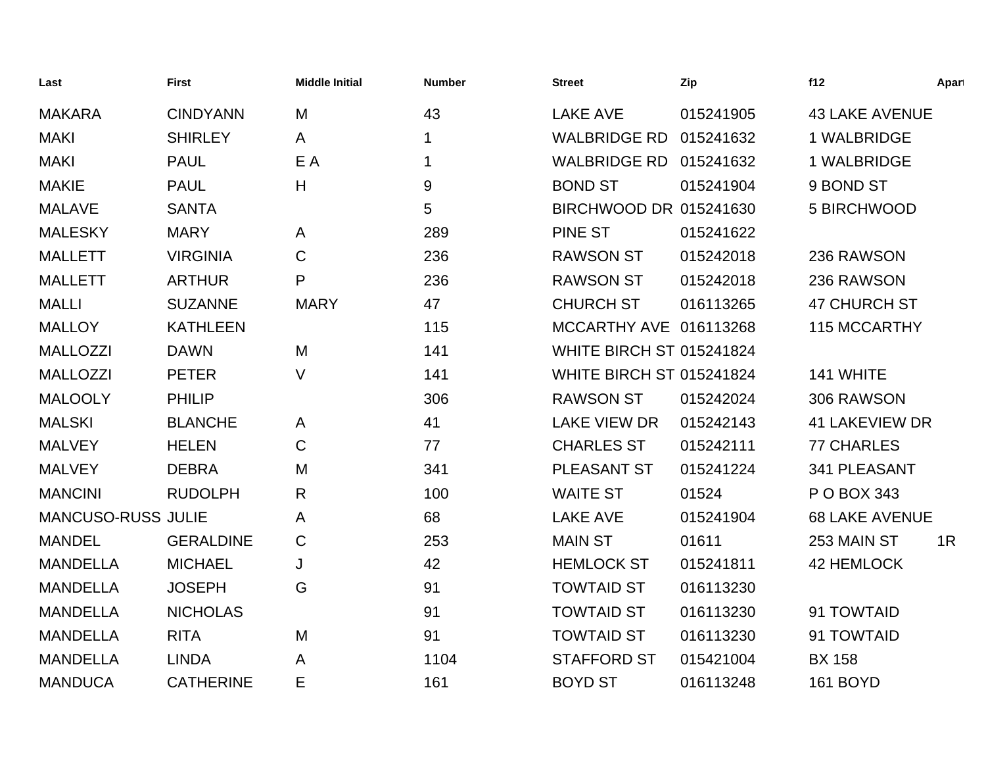| Last                      | <b>First</b>     | <b>Middle Initial</b> | <b>Number</b> | <b>Street</b>                   | Zip       | f12                   | Apart |
|---------------------------|------------------|-----------------------|---------------|---------------------------------|-----------|-----------------------|-------|
| <b>MAKARA</b>             | <b>CINDYANN</b>  | M                     | 43            | <b>LAKE AVE</b>                 | 015241905 | <b>43 LAKE AVENUE</b> |       |
| <b>MAKI</b>               | <b>SHIRLEY</b>   | A                     | $\mathbf 1$   | <b>WALBRIDGE RD</b>             | 015241632 | 1 WALBRIDGE           |       |
| <b>MAKI</b>               | <b>PAUL</b>      | E A                   | $\mathbf 1$   | <b>WALBRIDGE RD 015241632</b>   |           | 1 WALBRIDGE           |       |
| <b>MAKIE</b>              | <b>PAUL</b>      | H                     | 9             | <b>BOND ST</b>                  | 015241904 | 9 BOND ST             |       |
| <b>MALAVE</b>             | <b>SANTA</b>     |                       | 5             | BIRCHWOOD DR 015241630          |           | 5 BIRCHWOOD           |       |
| <b>MALESKY</b>            | <b>MARY</b>      | A                     | 289           | <b>PINE ST</b>                  | 015241622 |                       |       |
| <b>MALLETT</b>            | <b>VIRGINIA</b>  | C                     | 236           | <b>RAWSON ST</b>                | 015242018 | 236 RAWSON            |       |
| <b>MALLETT</b>            | <b>ARTHUR</b>    | P                     | 236           | <b>RAWSON ST</b>                | 015242018 | 236 RAWSON            |       |
| <b>MALLI</b>              | <b>SUZANNE</b>   | <b>MARY</b>           | 47            | <b>CHURCH ST</b>                | 016113265 | <b>47 CHURCH ST</b>   |       |
| <b>MALLOY</b>             | <b>KATHLEEN</b>  |                       | 115           | MCCARTHY AVE 016113268          |           | 115 MCCARTHY          |       |
| <b>MALLOZZI</b>           | <b>DAWN</b>      | M                     | 141           | WHITE BIRCH ST 015241824        |           |                       |       |
| <b>MALLOZZI</b>           | <b>PETER</b>     | V                     | 141           | <b>WHITE BIRCH ST 015241824</b> |           | 141 WHITE             |       |
| <b>MALOOLY</b>            | <b>PHILIP</b>    |                       | 306           | <b>RAWSON ST</b>                | 015242024 | 306 RAWSON            |       |
| <b>MALSKI</b>             | <b>BLANCHE</b>   | A                     | 41            | <b>LAKE VIEW DR</b>             | 015242143 | <b>41 LAKEVIEW DR</b> |       |
| <b>MALVEY</b>             | <b>HELEN</b>     | C                     | 77            | <b>CHARLES ST</b>               | 015242111 | <b>77 CHARLES</b>     |       |
| <b>MALVEY</b>             | <b>DEBRA</b>     | M                     | 341           | <b>PLEASANT ST</b>              | 015241224 | 341 PLEASANT          |       |
| <b>MANCINI</b>            | <b>RUDOLPH</b>   | R                     | 100           | <b>WAITE ST</b>                 | 01524     | P O BOX 343           |       |
| <b>MANCUSO-RUSS JULIE</b> |                  | A                     | 68            | <b>LAKE AVE</b>                 | 015241904 | <b>68 LAKE AVENUE</b> |       |
| <b>MANDEL</b>             | <b>GERALDINE</b> | $\mathsf C$           | 253           | <b>MAIN ST</b>                  | 01611     | 253 MAIN ST           | 1R    |
| <b>MANDELLA</b>           | <b>MICHAEL</b>   | J                     | 42            | <b>HEMLOCK ST</b>               | 015241811 | 42 HEMLOCK            |       |
| <b>MANDELLA</b>           | <b>JOSEPH</b>    | G                     | 91            | <b>TOWTAID ST</b>               | 016113230 |                       |       |
| <b>MANDELLA</b>           | <b>NICHOLAS</b>  |                       | 91            | <b>TOWTAID ST</b>               | 016113230 | 91 TOWTAID            |       |
| <b>MANDELLA</b>           | <b>RITA</b>      | M                     | 91            | <b>TOWTAID ST</b>               | 016113230 | 91 TOWTAID            |       |
| <b>MANDELLA</b>           | <b>LINDA</b>     | A                     | 1104          | <b>STAFFORD ST</b>              | 015421004 | <b>BX 158</b>         |       |
| <b>MANDUCA</b>            | <b>CATHERINE</b> | Е                     | 161           | <b>BOYD ST</b>                  | 016113248 | <b>161 BOYD</b>       |       |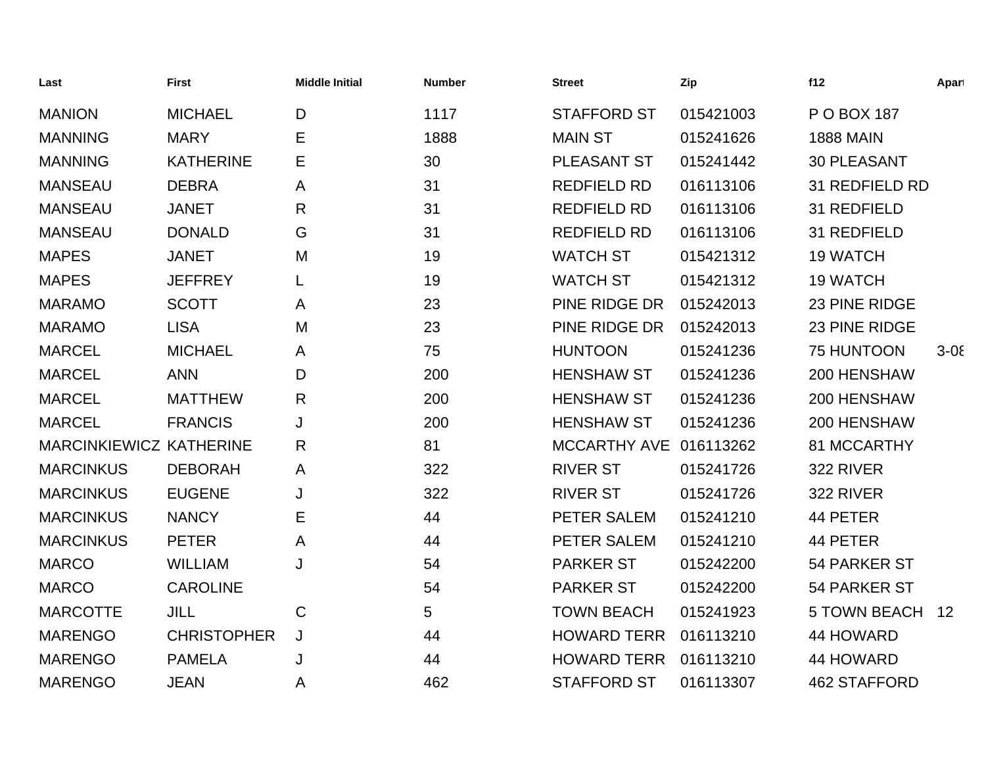| Last                           | <b>First</b>       | <b>Middle Initial</b> | <b>Number</b> | <b>Street</b>          | Zip       | f12                 | Apart      |
|--------------------------------|--------------------|-----------------------|---------------|------------------------|-----------|---------------------|------------|
| <b>MANION</b>                  | <b>MICHAEL</b>     | D                     | 1117          | <b>STAFFORD ST</b>     | 015421003 | P O BOX 187         |            |
| <b>MANNING</b>                 | <b>MARY</b>        | Е                     | 1888          | <b>MAIN ST</b>         | 015241626 | <b>1888 MAIN</b>    |            |
| <b>MANNING</b>                 | <b>KATHERINE</b>   | Е                     | 30            | PLEASANT ST            | 015241442 | <b>30 PLEASANT</b>  |            |
| <b>MANSEAU</b>                 | <b>DEBRA</b>       | A                     | 31            | <b>REDFIELD RD</b>     | 016113106 | 31 REDFIELD RD      |            |
| <b>MANSEAU</b>                 | <b>JANET</b>       | R                     | 31            | <b>REDFIELD RD</b>     | 016113106 | 31 REDFIELD         |            |
| <b>MANSEAU</b>                 | <b>DONALD</b>      | G                     | 31            | <b>REDFIELD RD</b>     | 016113106 | 31 REDFIELD         |            |
| <b>MAPES</b>                   | <b>JANET</b>       | M                     | 19            | <b>WATCH ST</b>        | 015421312 | <b>19 WATCH</b>     |            |
| <b>MAPES</b>                   | <b>JEFFREY</b>     |                       | 19            | <b>WATCH ST</b>        | 015421312 | <b>19 WATCH</b>     |            |
| <b>MARAMO</b>                  | <b>SCOTT</b>       | A                     | 23            | PINE RIDGE DR          | 015242013 | 23 PINE RIDGE       |            |
| <b>MARAMO</b>                  | <b>LISA</b>        | M                     | 23            | PINE RIDGE DR          | 015242013 | 23 PINE RIDGE       |            |
| <b>MARCEL</b>                  | <b>MICHAEL</b>     | A                     | 75            | <b>HUNTOON</b>         | 015241236 | 75 HUNTOON          | $3 - 0\xi$ |
| <b>MARCEL</b>                  | <b>ANN</b>         | D                     | 200           | <b>HENSHAW ST</b>      | 015241236 | 200 HENSHAW         |            |
| <b>MARCEL</b>                  | <b>MATTHEW</b>     | $\mathsf{R}$          | 200           | <b>HENSHAW ST</b>      | 015241236 | 200 HENSHAW         |            |
| <b>MARCEL</b>                  | <b>FRANCIS</b>     | J                     | 200           | <b>HENSHAW ST</b>      | 015241236 | 200 HENSHAW         |            |
| <b>MARCINKIEWICZ KATHERINE</b> |                    | $\mathsf{R}$          | 81            | MCCARTHY AVE 016113262 |           | 81 MCCARTHY         |            |
| <b>MARCINKUS</b>               | <b>DEBORAH</b>     | A                     | 322           | <b>RIVER ST</b>        | 015241726 | 322 RIVER           |            |
| <b>MARCINKUS</b>               | <b>EUGENE</b>      | J                     | 322           | <b>RIVER ST</b>        | 015241726 | 322 RIVER           |            |
| <b>MARCINKUS</b>               | <b>NANCY</b>       | Е                     | 44            | PETER SALEM            | 015241210 | 44 PETER            |            |
| <b>MARCINKUS</b>               | <b>PETER</b>       | A                     | 44            | PETER SALEM            | 015241210 | 44 PETER            |            |
| <b>MARCO</b>                   | <b>WILLIAM</b>     | J                     | 54            | <b>PARKER ST</b>       | 015242200 | 54 PARKER ST        |            |
| <b>MARCO</b>                   | <b>CAROLINE</b>    |                       | 54            | <b>PARKER ST</b>       | 015242200 | 54 PARKER ST        |            |
| <b>MARCOTTE</b>                | <b>JILL</b>        | $\mathsf C$           | 5             | <b>TOWN BEACH</b>      | 015241923 | <b>5 TOWN BEACH</b> | 12         |
| <b>MARENGO</b>                 | <b>CHRISTOPHER</b> | J                     | 44            | <b>HOWARD TERR</b>     | 016113210 | 44 HOWARD           |            |
| <b>MARENGO</b>                 | <b>PAMELA</b>      | J                     | 44            | <b>HOWARD TERR</b>     | 016113210 | 44 HOWARD           |            |
| <b>MARENGO</b>                 | <b>JEAN</b>        | A                     | 462           | <b>STAFFORD ST</b>     | 016113307 | <b>462 STAFFORD</b> |            |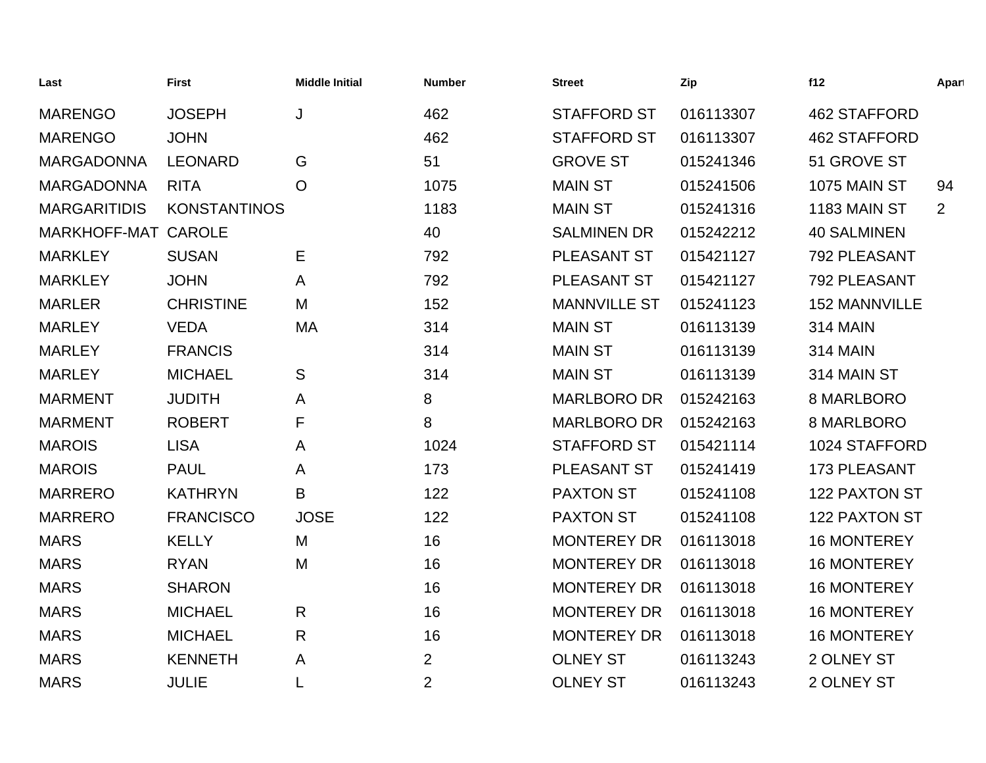| Last                | <b>First</b>        | <b>Middle Initial</b> | <b>Number</b>  | <b>Street</b>       | Zip       | f12                  | Apart |
|---------------------|---------------------|-----------------------|----------------|---------------------|-----------|----------------------|-------|
| <b>MARENGO</b>      | <b>JOSEPH</b>       | J                     | 462            | <b>STAFFORD ST</b>  | 016113307 | <b>462 STAFFORD</b>  |       |
| <b>MARENGO</b>      | <b>JOHN</b>         |                       | 462            | <b>STAFFORD ST</b>  | 016113307 | <b>462 STAFFORD</b>  |       |
| <b>MARGADONNA</b>   | <b>LEONARD</b>      | G                     | 51             | <b>GROVE ST</b>     | 015241346 | 51 GROVE ST          |       |
| <b>MARGADONNA</b>   | <b>RITA</b>         | $\circ$               | 1075           | <b>MAIN ST</b>      | 015241506 | 1075 MAIN ST         | 94    |
| <b>MARGARITIDIS</b> | <b>KONSTANTINOS</b> |                       | 1183           | <b>MAIN ST</b>      | 015241316 | 1183 MAIN ST         | 2     |
| MARKHOFF-MAT CAROLE |                     |                       | 40             | <b>SALMINEN DR</b>  | 015242212 | <b>40 SALMINEN</b>   |       |
| <b>MARKLEY</b>      | <b>SUSAN</b>        | Ε                     | 792            | PLEASANT ST         | 015421127 | 792 PLEASANT         |       |
| <b>MARKLEY</b>      | <b>JOHN</b>         | A                     | 792            | PLEASANT ST         | 015421127 | 792 PLEASANT         |       |
| <b>MARLER</b>       | <b>CHRISTINE</b>    | M                     | 152            | <b>MANNVILLE ST</b> | 015241123 | <b>152 MANNVILLE</b> |       |
| <b>MARLEY</b>       | <b>VEDA</b>         | МA                    | 314            | <b>MAIN ST</b>      | 016113139 | <b>314 MAIN</b>      |       |
| <b>MARLEY</b>       | <b>FRANCIS</b>      |                       | 314            | <b>MAIN ST</b>      | 016113139 | <b>314 MAIN</b>      |       |
| <b>MARLEY</b>       | <b>MICHAEL</b>      | S                     | 314            | <b>MAIN ST</b>      | 016113139 | 314 MAIN ST          |       |
| <b>MARMENT</b>      | <b>JUDITH</b>       | A                     | 8              | <b>MARLBORO DR</b>  | 015242163 | 8 MARLBORO           |       |
| <b>MARMENT</b>      | <b>ROBERT</b>       | F                     | 8              | <b>MARLBORO DR</b>  | 015242163 | 8 MARLBORO           |       |
| <b>MAROIS</b>       | <b>LISA</b>         | A                     | 1024           | <b>STAFFORD ST</b>  | 015421114 | 1024 STAFFORD        |       |
| <b>MAROIS</b>       | <b>PAUL</b>         | A                     | 173            | PLEASANT ST         | 015241419 | 173 PLEASANT         |       |
| <b>MARRERO</b>      | <b>KATHRYN</b>      | B                     | 122            | <b>PAXTON ST</b>    | 015241108 | 122 PAXTON ST        |       |
| <b>MARRERO</b>      | <b>FRANCISCO</b>    | <b>JOSE</b>           | 122            | <b>PAXTON ST</b>    | 015241108 | 122 PAXTON ST        |       |
| <b>MARS</b>         | <b>KELLY</b>        | M                     | 16             | <b>MONTEREY DR</b>  | 016113018 | <b>16 MONTEREY</b>   |       |
| <b>MARS</b>         | <b>RYAN</b>         | M                     | 16             | <b>MONTEREY DR</b>  | 016113018 | <b>16 MONTEREY</b>   |       |
| <b>MARS</b>         | <b>SHARON</b>       |                       | 16             | <b>MONTEREY DR</b>  | 016113018 | <b>16 MONTEREY</b>   |       |
| <b>MARS</b>         | <b>MICHAEL</b>      | R                     | 16             | <b>MONTEREY DR</b>  | 016113018 | <b>16 MONTEREY</b>   |       |
| <b>MARS</b>         | <b>MICHAEL</b>      | $\mathsf{R}$          | 16             | <b>MONTEREY DR</b>  | 016113018 | <b>16 MONTEREY</b>   |       |
| <b>MARS</b>         | <b>KENNETH</b>      | A                     | $\overline{2}$ | <b>OLNEY ST</b>     | 016113243 | 2 OLNEY ST           |       |
| <b>MARS</b>         | <b>JULIE</b>        | L                     | $\overline{2}$ | <b>OLNEY ST</b>     | 016113243 | 2 OLNEY ST           |       |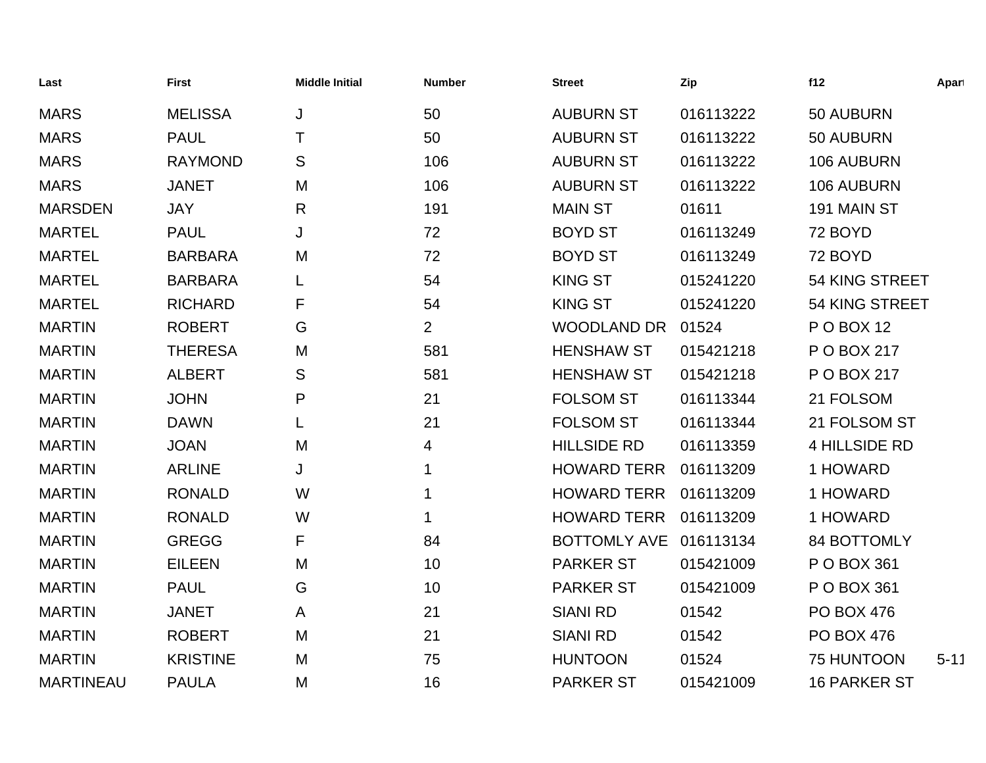| Last             | <b>First</b>    | <b>Middle Initial</b> | <b>Number</b>  | <b>Street</b>          | Zip       | f12                  | Apart    |
|------------------|-----------------|-----------------------|----------------|------------------------|-----------|----------------------|----------|
| <b>MARS</b>      | <b>MELISSA</b>  | J                     | 50             | <b>AUBURN ST</b>       | 016113222 | 50 AUBURN            |          |
| <b>MARS</b>      | <b>PAUL</b>     | Τ                     | 50             | <b>AUBURN ST</b>       | 016113222 | 50 AUBURN            |          |
| <b>MARS</b>      | <b>RAYMOND</b>  | S                     | 106            | <b>AUBURN ST</b>       | 016113222 | 106 AUBURN           |          |
| <b>MARS</b>      | <b>JANET</b>    | M                     | 106            | <b>AUBURN ST</b>       | 016113222 | 106 AUBURN           |          |
| <b>MARSDEN</b>   | <b>JAY</b>      | $\mathsf{R}$          | 191            | <b>MAIN ST</b>         | 01611     | 191 MAIN ST          |          |
| <b>MARTEL</b>    | <b>PAUL</b>     | J                     | 72             | <b>BOYD ST</b>         | 016113249 | 72 BOYD              |          |
| <b>MARTEL</b>    | <b>BARBARA</b>  | M                     | 72             | <b>BOYD ST</b>         | 016113249 | 72 BOYD              |          |
| <b>MARTEL</b>    | <b>BARBARA</b>  |                       | 54             | <b>KING ST</b>         | 015241220 | 54 KING STREET       |          |
| <b>MARTEL</b>    | <b>RICHARD</b>  | F                     | 54             | <b>KING ST</b>         | 015241220 | 54 KING STREET       |          |
| <b>MARTIN</b>    | <b>ROBERT</b>   | G                     | $\overline{2}$ | <b>WOODLAND DR</b>     | 01524     | <b>PO BOX 12</b>     |          |
| <b>MARTIN</b>    | <b>THERESA</b>  | M                     | 581            | <b>HENSHAW ST</b>      | 015421218 | P O BOX 217          |          |
| <b>MARTIN</b>    | <b>ALBERT</b>   | S                     | 581            | <b>HENSHAW ST</b>      | 015421218 | P O BOX 217          |          |
| <b>MARTIN</b>    | <b>JOHN</b>     | P                     | 21             | <b>FOLSOM ST</b>       | 016113344 | 21 FOLSOM            |          |
| <b>MARTIN</b>    | <b>DAWN</b>     | L                     | 21             | <b>FOLSOM ST</b>       | 016113344 | 21 FOLSOM ST         |          |
| <b>MARTIN</b>    | <b>JOAN</b>     | M                     | 4              | <b>HILLSIDE RD</b>     | 016113359 | <b>4 HILLSIDE RD</b> |          |
| <b>MARTIN</b>    | <b>ARLINE</b>   | J                     | 1              | <b>HOWARD TERR</b>     | 016113209 | 1 HOWARD             |          |
| <b>MARTIN</b>    | <b>RONALD</b>   | W                     | $\mathbf 1$    | <b>HOWARD TERR</b>     | 016113209 | 1 HOWARD             |          |
| <b>MARTIN</b>    | <b>RONALD</b>   | W                     | 1              | <b>HOWARD TERR</b>     | 016113209 | 1 HOWARD             |          |
| <b>MARTIN</b>    | <b>GREGG</b>    | F                     | 84             | BOTTOMLY AVE 016113134 |           | 84 BOTTOMLY          |          |
| <b>MARTIN</b>    | <b>EILEEN</b>   | M                     | 10             | <b>PARKER ST</b>       | 015421009 | P O BOX 361          |          |
| <b>MARTIN</b>    | <b>PAUL</b>     | G                     | 10             | <b>PARKER ST</b>       | 015421009 | P O BOX 361          |          |
| <b>MARTIN</b>    | <b>JANET</b>    | A                     | 21             | <b>SIANI RD</b>        | 01542     | <b>PO BOX 476</b>    |          |
| <b>MARTIN</b>    | <b>ROBERT</b>   | M                     | 21             | <b>SIANI RD</b>        | 01542     | <b>PO BOX 476</b>    |          |
| <b>MARTIN</b>    | <b>KRISTINE</b> | M                     | 75             | <b>HUNTOON</b>         | 01524     | 75 HUNTOON           | $5 - 11$ |
| <b>MARTINEAU</b> | <b>PAULA</b>    | M                     | 16             | <b>PARKER ST</b>       | 015421009 | <b>16 PARKER ST</b>  |          |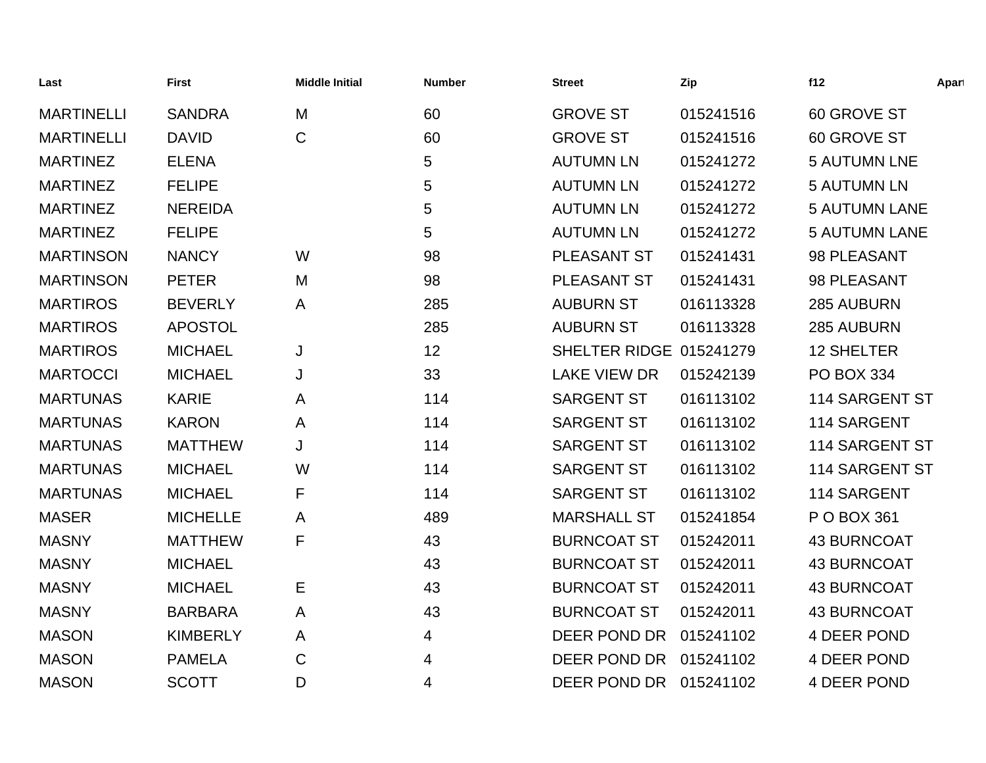| Last              | <b>First</b>    | <b>Middle Initial</b> | <b>Number</b> | <b>Street</b>           | Zip       | f12                  | Apart |
|-------------------|-----------------|-----------------------|---------------|-------------------------|-----------|----------------------|-------|
| <b>MARTINELLI</b> | <b>SANDRA</b>   | M                     | 60            | <b>GROVE ST</b>         | 015241516 | 60 GROVE ST          |       |
| <b>MARTINELLI</b> | <b>DAVID</b>    | $\mathsf{C}$          | 60            | <b>GROVE ST</b>         | 015241516 | 60 GROVE ST          |       |
| <b>MARTINEZ</b>   | <b>ELENA</b>    |                       | 5             | <b>AUTUMN LN</b>        | 015241272 | <b>5 AUTUMN LNE</b>  |       |
| <b>MARTINEZ</b>   | <b>FELIPE</b>   |                       | 5             | <b>AUTUMN LN</b>        | 015241272 | <b>5 AUTUMN LN</b>   |       |
| <b>MARTINEZ</b>   | <b>NEREIDA</b>  |                       | 5             | <b>AUTUMN LN</b>        | 015241272 | <b>5 AUTUMN LANE</b> |       |
| <b>MARTINEZ</b>   | <b>FELIPE</b>   |                       | 5             | <b>AUTUMN LN</b>        | 015241272 | <b>5 AUTUMN LANE</b> |       |
| <b>MARTINSON</b>  | <b>NANCY</b>    | W                     | 98            | PLEASANT ST             | 015241431 | 98 PLEASANT          |       |
| <b>MARTINSON</b>  | <b>PETER</b>    | M                     | 98            | PLEASANT ST             | 015241431 | 98 PLEASANT          |       |
| <b>MARTIROS</b>   | <b>BEVERLY</b>  | A                     | 285           | <b>AUBURN ST</b>        | 016113328 | 285 AUBURN           |       |
| <b>MARTIROS</b>   | <b>APOSTOL</b>  |                       | 285           | <b>AUBURN ST</b>        | 016113328 | 285 AUBURN           |       |
| <b>MARTIROS</b>   | <b>MICHAEL</b>  | J                     | 12            | SHELTER RIDGE 015241279 |           | <b>12 SHELTER</b>    |       |
| <b>MARTOCCI</b>   | <b>MICHAEL</b>  | J                     | 33            | <b>LAKE VIEW DR</b>     | 015242139 | <b>PO BOX 334</b>    |       |
| <b>MARTUNAS</b>   | <b>KARIE</b>    | A                     | 114           | <b>SARGENT ST</b>       | 016113102 | 114 SARGENT ST       |       |
| <b>MARTUNAS</b>   | <b>KARON</b>    | A                     | 114           | <b>SARGENT ST</b>       | 016113102 | 114 SARGENT          |       |
| <b>MARTUNAS</b>   | <b>MATTHEW</b>  | J                     | 114           | <b>SARGENT ST</b>       | 016113102 | 114 SARGENT ST       |       |
| <b>MARTUNAS</b>   | <b>MICHAEL</b>  | W                     | 114           | <b>SARGENT ST</b>       | 016113102 | 114 SARGENT ST       |       |
| <b>MARTUNAS</b>   | <b>MICHAEL</b>  | F                     | 114           | <b>SARGENT ST</b>       | 016113102 | 114 SARGENT          |       |
| <b>MASER</b>      | <b>MICHELLE</b> | A                     | 489           | <b>MARSHALL ST</b>      | 015241854 | P O BOX 361          |       |
| <b>MASNY</b>      | <b>MATTHEW</b>  | F                     | 43            | <b>BURNCOAT ST</b>      | 015242011 | <b>43 BURNCOAT</b>   |       |
| <b>MASNY</b>      | <b>MICHAEL</b>  |                       | 43            | <b>BURNCOAT ST</b>      | 015242011 | <b>43 BURNCOAT</b>   |       |
| <b>MASNY</b>      | <b>MICHAEL</b>  | Е                     | 43            | <b>BURNCOAT ST</b>      | 015242011 | <b>43 BURNCOAT</b>   |       |
| <b>MASNY</b>      | <b>BARBARA</b>  | A                     | 43            | <b>BURNCOAT ST</b>      | 015242011 | <b>43 BURNCOAT</b>   |       |
| <b>MASON</b>      | <b>KIMBERLY</b> | A                     | 4             | DEER POND DR            | 015241102 | 4 DEER POND          |       |
| <b>MASON</b>      | <b>PAMELA</b>   | $\mathsf{C}$          | 4             | DEER POND DR            | 015241102 | 4 DEER POND          |       |
| <b>MASON</b>      | <b>SCOTT</b>    | D                     | 4             | DEER POND DR            | 015241102 | 4 DEER POND          |       |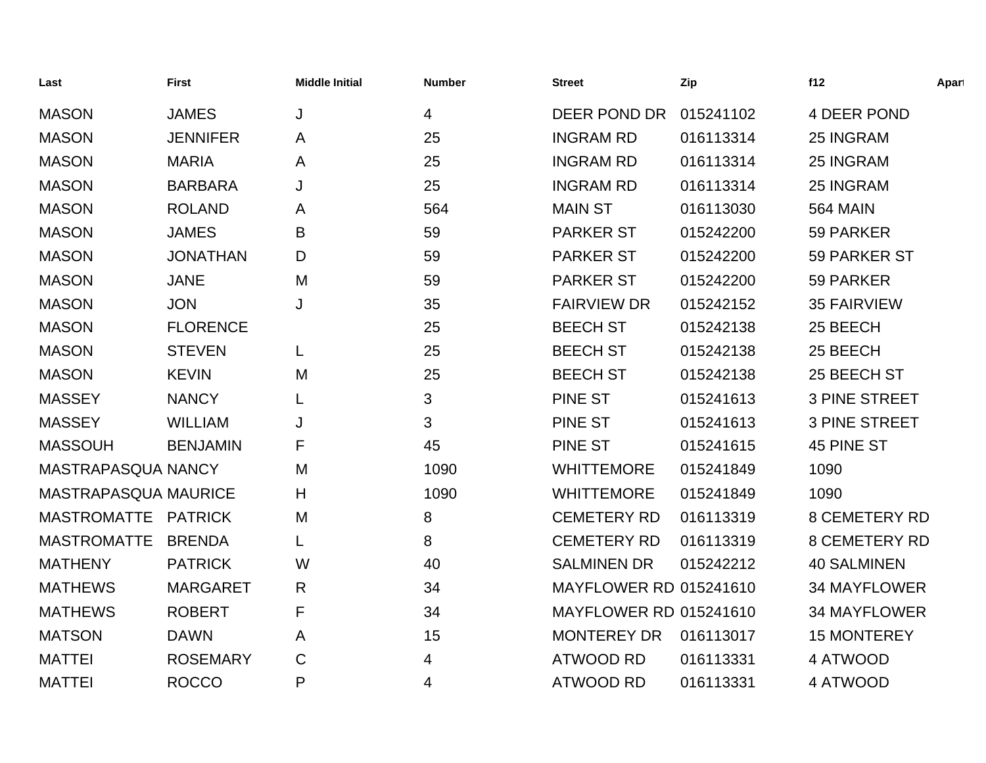| Last                        | <b>First</b>    | <b>Middle Initial</b> | <b>Number</b>  | <b>Street</b>                 | Zip       | f12                  | Apart |
|-----------------------------|-----------------|-----------------------|----------------|-------------------------------|-----------|----------------------|-------|
| <b>MASON</b>                | <b>JAMES</b>    | J                     | $\overline{4}$ | DEER POND DR                  | 015241102 | 4 DEER POND          |       |
| <b>MASON</b>                | <b>JENNIFER</b> | A                     | 25             | <b>INGRAM RD</b>              | 016113314 | 25 INGRAM            |       |
| <b>MASON</b>                | <b>MARIA</b>    | $\mathsf{A}$          | 25             | <b>INGRAM RD</b>              | 016113314 | 25 INGRAM            |       |
| <b>MASON</b>                | <b>BARBARA</b>  | J                     | 25             | <b>INGRAM RD</b>              | 016113314 | 25 INGRAM            |       |
| <b>MASON</b>                | <b>ROLAND</b>   | A                     | 564            | <b>MAIN ST</b>                | 016113030 | <b>564 MAIN</b>      |       |
| <b>MASON</b>                | <b>JAMES</b>    | B                     | 59             | <b>PARKER ST</b>              | 015242200 | 59 PARKER            |       |
| <b>MASON</b>                | <b>JONATHAN</b> | D                     | 59             | <b>PARKER ST</b>              | 015242200 | 59 PARKER ST         |       |
| <b>MASON</b>                | <b>JANE</b>     | M                     | 59             | <b>PARKER ST</b>              | 015242200 | 59 PARKER            |       |
| <b>MASON</b>                | <b>JON</b>      | J                     | 35             | <b>FAIRVIEW DR</b>            | 015242152 | <b>35 FAIRVIEW</b>   |       |
| <b>MASON</b>                | <b>FLORENCE</b> |                       | 25             | <b>BEECH ST</b>               | 015242138 | 25 BEECH             |       |
| <b>MASON</b>                | <b>STEVEN</b>   | L                     | 25             | <b>BEECH ST</b>               | 015242138 | 25 BEECH             |       |
| <b>MASON</b>                | <b>KEVIN</b>    | M                     | 25             | <b>BEECH ST</b>               | 015242138 | 25 BEECH ST          |       |
| <b>MASSEY</b>               | <b>NANCY</b>    |                       | 3              | <b>PINE ST</b>                | 015241613 | <b>3 PINE STREET</b> |       |
| <b>MASSEY</b>               | <b>WILLIAM</b>  | J                     | 3              | <b>PINE ST</b>                | 015241613 | <b>3 PINE STREET</b> |       |
| <b>MASSOUH</b>              | <b>BENJAMIN</b> | F                     | 45             | PINE ST                       | 015241615 | 45 PINE ST           |       |
| MASTRAPASQUA NANCY          |                 | M                     | 1090           | <b>WHITTEMORE</b>             | 015241849 | 1090                 |       |
| <b>MASTRAPASQUA MAURICE</b> |                 | H                     | 1090           | <b>WHITTEMORE</b>             | 015241849 | 1090                 |       |
| MASTROMATTE PATRICK         |                 | M                     | 8              | <b>CEMETERY RD</b>            | 016113319 | <b>8 CEMETERY RD</b> |       |
| <b>MASTROMATTE</b>          | <b>BRENDA</b>   |                       | 8              | <b>CEMETERY RD</b>            | 016113319 | <b>8 CEMETERY RD</b> |       |
| <b>MATHENY</b>              | <b>PATRICK</b>  | W                     | 40             | <b>SALMINEN DR</b>            | 015242212 | <b>40 SALMINEN</b>   |       |
| <b>MATHEWS</b>              | <b>MARGARET</b> | R                     | 34             | <b>MAYFLOWER RD 015241610</b> |           | <b>34 MAYFLOWER</b>  |       |
| <b>MATHEWS</b>              | <b>ROBERT</b>   | F                     | 34             | <b>MAYFLOWER RD 015241610</b> |           | <b>34 MAYFLOWER</b>  |       |
| <b>MATSON</b>               | <b>DAWN</b>     | A                     | 15             | <b>MONTEREY DR</b>            | 016113017 | <b>15 MONTEREY</b>   |       |
| <b>MATTEI</b>               | <b>ROSEMARY</b> | C                     | 4              | <b>ATWOOD RD</b>              | 016113331 | 4 ATWOOD             |       |
| <b>MATTEI</b>               | <b>ROCCO</b>    | P                     | 4              | <b>ATWOOD RD</b>              | 016113331 | 4 ATWOOD             |       |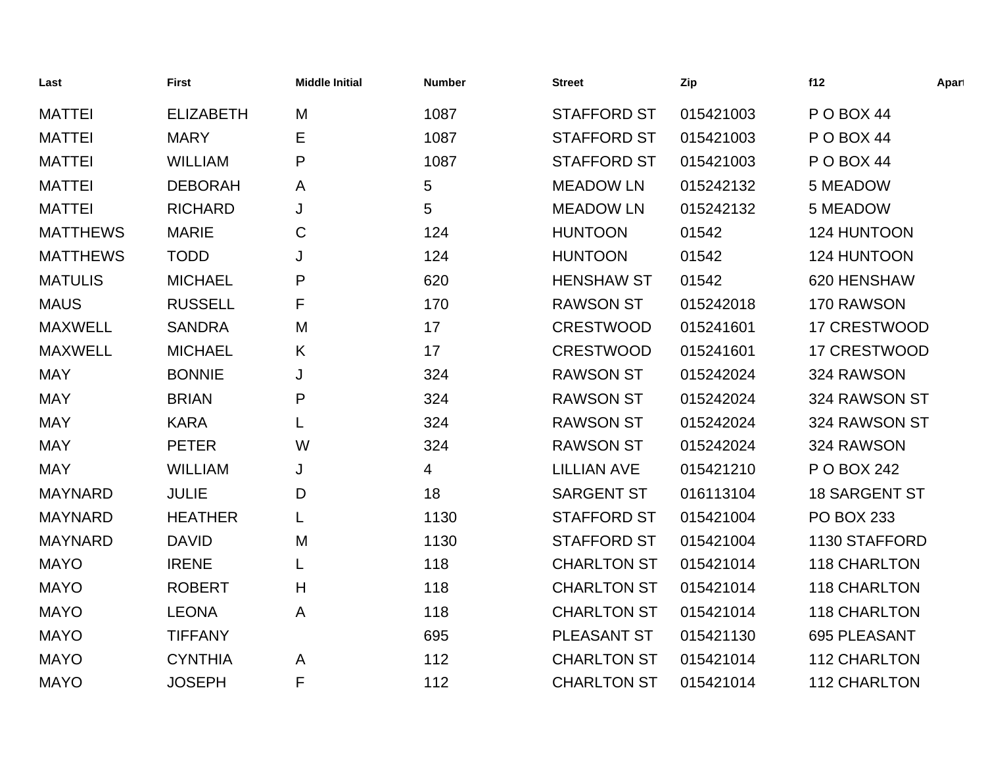| Last            | <b>First</b>     | <b>Middle Initial</b> | <b>Number</b> | <b>Street</b>      | Zip       | f12                  | Apart |
|-----------------|------------------|-----------------------|---------------|--------------------|-----------|----------------------|-------|
| <b>MATTEI</b>   | <b>ELIZABETH</b> | M                     | 1087          | <b>STAFFORD ST</b> | 015421003 | POBOX 44             |       |
| <b>MATTEI</b>   | <b>MARY</b>      | Е                     | 1087          | <b>STAFFORD ST</b> | 015421003 | POBOX 44             |       |
| <b>MATTEI</b>   | <b>WILLIAM</b>   | P                     | 1087          | <b>STAFFORD ST</b> | 015421003 | POBOX 44             |       |
| <b>MATTEI</b>   | <b>DEBORAH</b>   | A                     | 5             | <b>MEADOW LN</b>   | 015242132 | 5 MEADOW             |       |
| <b>MATTEI</b>   | <b>RICHARD</b>   | J                     | 5             | <b>MEADOW LN</b>   | 015242132 | 5 MEADOW             |       |
| <b>MATTHEWS</b> | <b>MARIE</b>     | C                     | 124           | <b>HUNTOON</b>     | 01542     | 124 HUNTOON          |       |
| <b>MATTHEWS</b> | <b>TODD</b>      | J                     | 124           | <b>HUNTOON</b>     | 01542     | 124 HUNTOON          |       |
| <b>MATULIS</b>  | <b>MICHAEL</b>   | P                     | 620           | <b>HENSHAW ST</b>  | 01542     | 620 HENSHAW          |       |
| <b>MAUS</b>     | <b>RUSSELL</b>   | F                     | 170           | <b>RAWSON ST</b>   | 015242018 | 170 RAWSON           |       |
| <b>MAXWELL</b>  | <b>SANDRA</b>    | M                     | 17            | <b>CRESTWOOD</b>   | 015241601 | 17 CRESTWOOD         |       |
| <b>MAXWELL</b>  | <b>MICHAEL</b>   | K                     | 17            | <b>CRESTWOOD</b>   | 015241601 | 17 CRESTWOOD         |       |
| <b>MAY</b>      | <b>BONNIE</b>    | J                     | 324           | <b>RAWSON ST</b>   | 015242024 | 324 RAWSON           |       |
| <b>MAY</b>      | <b>BRIAN</b>     | P                     | 324           | <b>RAWSON ST</b>   | 015242024 | 324 RAWSON ST        |       |
| <b>MAY</b>      | <b>KARA</b>      | L                     | 324           | <b>RAWSON ST</b>   | 015242024 | 324 RAWSON ST        |       |
| <b>MAY</b>      | <b>PETER</b>     | W                     | 324           | <b>RAWSON ST</b>   | 015242024 | 324 RAWSON           |       |
| <b>MAY</b>      | <b>WILLIAM</b>   | J                     | 4             | <b>LILLIAN AVE</b> | 015421210 | P O BOX 242          |       |
| <b>MAYNARD</b>  | <b>JULIE</b>     | D                     | 18            | <b>SARGENT ST</b>  | 016113104 | <b>18 SARGENT ST</b> |       |
| <b>MAYNARD</b>  | <b>HEATHER</b>   | L                     | 1130          | <b>STAFFORD ST</b> | 015421004 | <b>PO BOX 233</b>    |       |
| <b>MAYNARD</b>  | <b>DAVID</b>     | M                     | 1130          | <b>STAFFORD ST</b> | 015421004 | 1130 STAFFORD        |       |
| <b>MAYO</b>     | <b>IRENE</b>     |                       | 118           | <b>CHARLTON ST</b> | 015421014 | 118 CHARLTON         |       |
| <b>MAYO</b>     | <b>ROBERT</b>    | H                     | 118           | <b>CHARLTON ST</b> | 015421014 | <b>118 CHARLTON</b>  |       |
| <b>MAYO</b>     | <b>LEONA</b>     | Α                     | 118           | <b>CHARLTON ST</b> | 015421014 | <b>118 CHARLTON</b>  |       |
| <b>MAYO</b>     | <b>TIFFANY</b>   |                       | 695           | PLEASANT ST        | 015421130 | 695 PLEASANT         |       |
| <b>MAYO</b>     | <b>CYNTHIA</b>   | A                     | 112           | <b>CHARLTON ST</b> | 015421014 | <b>112 CHARLTON</b>  |       |
| <b>MAYO</b>     | <b>JOSEPH</b>    | F                     | 112           | <b>CHARLTON ST</b> | 015421014 | <b>112 CHARLTON</b>  |       |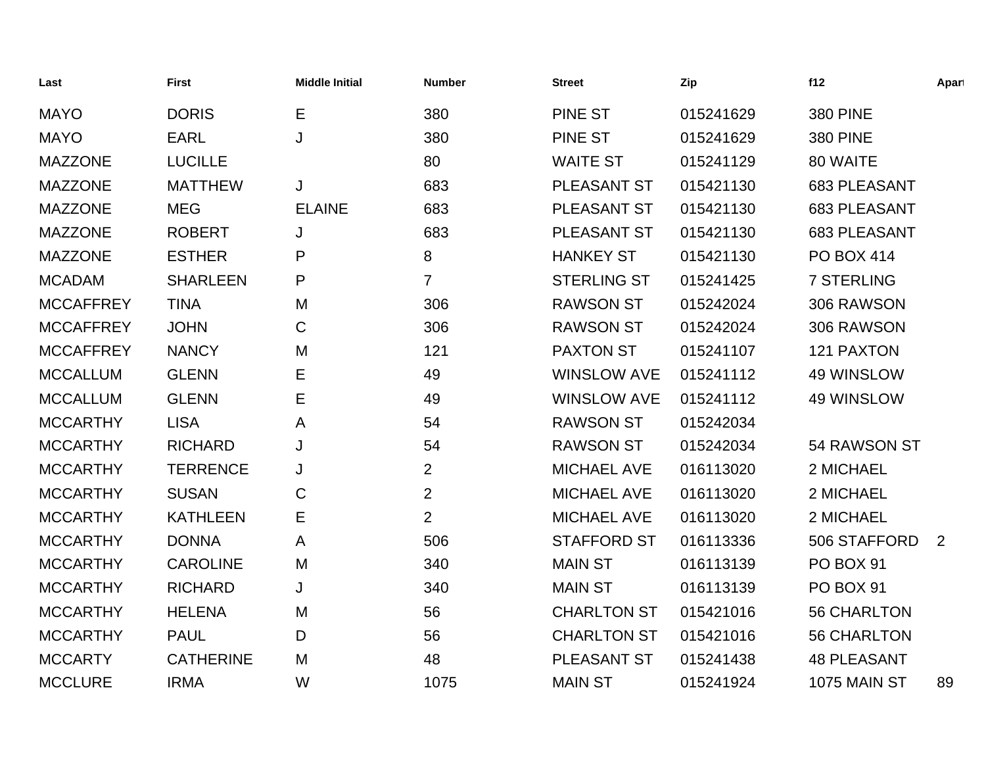| Last             | <b>First</b>     | <b>Middle Initial</b> | <b>Number</b>  | <b>Street</b>      | Zip       | f12                 | Apart          |
|------------------|------------------|-----------------------|----------------|--------------------|-----------|---------------------|----------------|
| <b>MAYO</b>      | <b>DORIS</b>     | Е                     | 380            | <b>PINE ST</b>     | 015241629 | <b>380 PINE</b>     |                |
| <b>MAYO</b>      | <b>EARL</b>      | J                     | 380            | <b>PINE ST</b>     | 015241629 | <b>380 PINE</b>     |                |
| <b>MAZZONE</b>   | <b>LUCILLE</b>   |                       | 80             | <b>WAITE ST</b>    | 015241129 | 80 WAITE            |                |
| <b>MAZZONE</b>   | <b>MATTHEW</b>   | J                     | 683            | PLEASANT ST        | 015421130 | 683 PLEASANT        |                |
| <b>MAZZONE</b>   | <b>MEG</b>       | <b>ELAINE</b>         | 683            | PLEASANT ST        | 015421130 | <b>683 PLEASANT</b> |                |
| <b>MAZZONE</b>   | <b>ROBERT</b>    | J                     | 683            | PLEASANT ST        | 015421130 | <b>683 PLEASANT</b> |                |
| <b>MAZZONE</b>   | <b>ESTHER</b>    | Ρ                     | 8              | <b>HANKEY ST</b>   | 015421130 | <b>PO BOX 414</b>   |                |
| <b>MCADAM</b>    | <b>SHARLEEN</b>  | P                     | $\overline{7}$ | <b>STERLING ST</b> | 015241425 | <b>7 STERLING</b>   |                |
| <b>MCCAFFREY</b> | <b>TINA</b>      | M                     | 306            | <b>RAWSON ST</b>   | 015242024 | 306 RAWSON          |                |
| <b>MCCAFFREY</b> | <b>JOHN</b>      | $\mathsf C$           | 306            | <b>RAWSON ST</b>   | 015242024 | 306 RAWSON          |                |
| <b>MCCAFFREY</b> | <b>NANCY</b>     | M                     | 121            | <b>PAXTON ST</b>   | 015241107 | 121 PAXTON          |                |
| <b>MCCALLUM</b>  | <b>GLENN</b>     | E                     | 49             | <b>WINSLOW AVE</b> | 015241112 | 49 WINSLOW          |                |
| <b>MCCALLUM</b>  | <b>GLENN</b>     | Е                     | 49             | <b>WINSLOW AVE</b> | 015241112 | 49 WINSLOW          |                |
| <b>MCCARTHY</b>  | <b>LISA</b>      | A                     | 54             | <b>RAWSON ST</b>   | 015242034 |                     |                |
| <b>MCCARTHY</b>  | <b>RICHARD</b>   | J                     | 54             | <b>RAWSON ST</b>   | 015242034 | 54 RAWSON ST        |                |
| <b>MCCARTHY</b>  | <b>TERRENCE</b>  | J                     | $\overline{2}$ | <b>MICHAEL AVE</b> | 016113020 | 2 MICHAEL           |                |
| <b>MCCARTHY</b>  | <b>SUSAN</b>     | C                     | $\overline{2}$ | <b>MICHAEL AVE</b> | 016113020 | 2 MICHAEL           |                |
| <b>MCCARTHY</b>  | <b>KATHLEEN</b>  | Е                     | $\overline{2}$ | <b>MICHAEL AVE</b> | 016113020 | 2 MICHAEL           |                |
| <b>MCCARTHY</b>  | <b>DONNA</b>     | A                     | 506            | <b>STAFFORD ST</b> | 016113336 | 506 STAFFORD        | $\overline{2}$ |
| <b>MCCARTHY</b>  | <b>CAROLINE</b>  | M                     | 340            | <b>MAIN ST</b>     | 016113139 | PO BOX 91           |                |
| <b>MCCARTHY</b>  | <b>RICHARD</b>   | J                     | 340            | <b>MAIN ST</b>     | 016113139 | PO BOX 91           |                |
| <b>MCCARTHY</b>  | <b>HELENA</b>    | M                     | 56             | <b>CHARLTON ST</b> | 015421016 | <b>56 CHARLTON</b>  |                |
| <b>MCCARTHY</b>  | <b>PAUL</b>      | D                     | 56             | <b>CHARLTON ST</b> | 015421016 | <b>56 CHARLTON</b>  |                |
| <b>MCCARTY</b>   | <b>CATHERINE</b> | M                     | 48             | PLEASANT ST        | 015241438 | <b>48 PLEASANT</b>  |                |
| <b>MCCLURE</b>   | <b>IRMA</b>      | W                     | 1075           | <b>MAIN ST</b>     | 015241924 | <b>1075 MAIN ST</b> | 89             |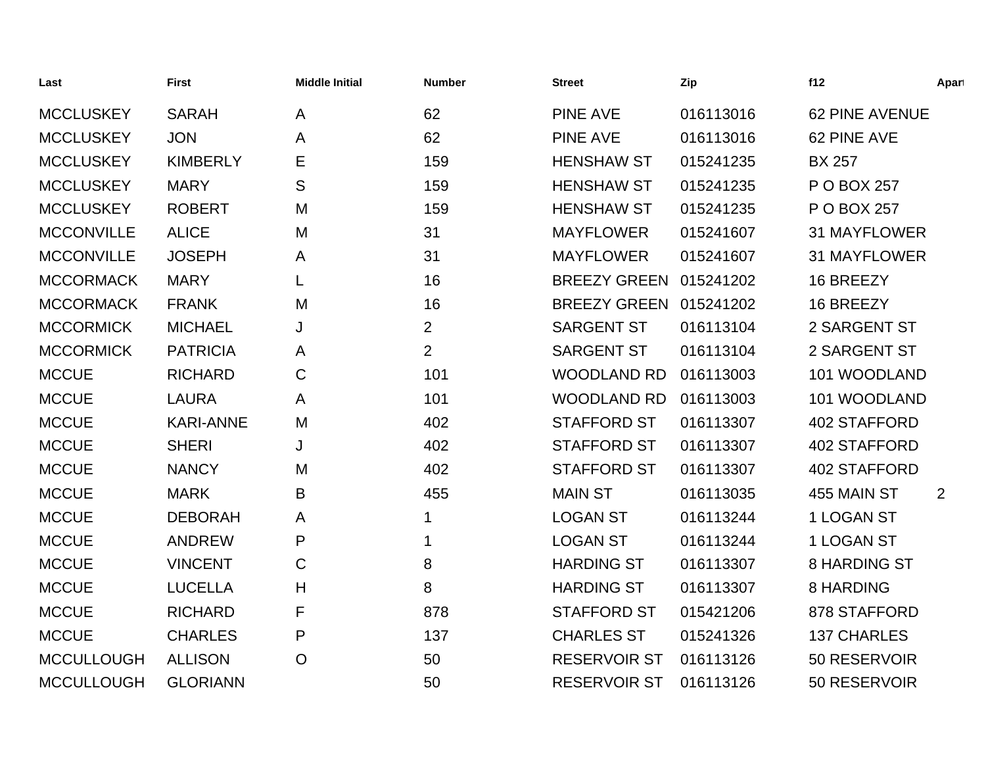| Last              | <b>First</b>     | <b>Middle Initial</b> | <b>Number</b>  | <b>Street</b>          | Zip       | f12                   | Apart |
|-------------------|------------------|-----------------------|----------------|------------------------|-----------|-----------------------|-------|
| <b>MCCLUSKEY</b>  | <b>SARAH</b>     | A                     | 62             | <b>PINE AVE</b>        | 016113016 | <b>62 PINE AVENUE</b> |       |
| <b>MCCLUSKEY</b>  | <b>JON</b>       | A                     | 62             | <b>PINE AVE</b>        | 016113016 | 62 PINE AVE           |       |
| <b>MCCLUSKEY</b>  | <b>KIMBERLY</b>  | Е                     | 159            | <b>HENSHAW ST</b>      | 015241235 | <b>BX 257</b>         |       |
| <b>MCCLUSKEY</b>  | <b>MARY</b>      | S                     | 159            | <b>HENSHAW ST</b>      | 015241235 | P O BOX 257           |       |
| <b>MCCLUSKEY</b>  | <b>ROBERT</b>    | M                     | 159            | <b>HENSHAW ST</b>      | 015241235 | P O BOX 257           |       |
| <b>MCCONVILLE</b> | <b>ALICE</b>     | M                     | 31             | <b>MAYFLOWER</b>       | 015241607 | <b>31 MAYFLOWER</b>   |       |
| <b>MCCONVILLE</b> | <b>JOSEPH</b>    | A                     | 31             | <b>MAYFLOWER</b>       | 015241607 | <b>31 MAYFLOWER</b>   |       |
| <b>MCCORMACK</b>  | <b>MARY</b>      | L                     | 16             | BREEZY GREEN 015241202 |           | 16 BREEZY             |       |
| <b>MCCORMACK</b>  | <b>FRANK</b>     | M                     | 16             | BREEZY GREEN 015241202 |           | 16 BREEZY             |       |
| <b>MCCORMICK</b>  | <b>MICHAEL</b>   | J                     | $\overline{2}$ | <b>SARGENT ST</b>      | 016113104 | 2 SARGENT ST          |       |
| <b>MCCORMICK</b>  | <b>PATRICIA</b>  | A                     | $\overline{2}$ | <b>SARGENT ST</b>      | 016113104 | 2 SARGENT ST          |       |
| <b>MCCUE</b>      | <b>RICHARD</b>   | $\mathsf C$           | 101            | <b>WOODLAND RD</b>     | 016113003 | 101 WOODLAND          |       |
| <b>MCCUE</b>      | <b>LAURA</b>     | A                     | 101            | <b>WOODLAND RD</b>     | 016113003 | 101 WOODLAND          |       |
| <b>MCCUE</b>      | <b>KARI-ANNE</b> | M                     | 402            | <b>STAFFORD ST</b>     | 016113307 | 402 STAFFORD          |       |
| <b>MCCUE</b>      | <b>SHERI</b>     | J                     | 402            | <b>STAFFORD ST</b>     | 016113307 | 402 STAFFORD          |       |
| <b>MCCUE</b>      | <b>NANCY</b>     | M                     | 402            | <b>STAFFORD ST</b>     | 016113307 | 402 STAFFORD          |       |
| <b>MCCUE</b>      | <b>MARK</b>      | B                     | 455            | <b>MAIN ST</b>         | 016113035 | 455 MAIN ST           | 2     |
| <b>MCCUE</b>      | <b>DEBORAH</b>   | A                     | 1              | <b>LOGAN ST</b>        | 016113244 | 1 LOGAN ST            |       |
| <b>MCCUE</b>      | <b>ANDREW</b>    | P                     | 1              | <b>LOGAN ST</b>        | 016113244 | 1 LOGAN ST            |       |
| <b>MCCUE</b>      | <b>VINCENT</b>   | $\mathsf C$           | 8              | <b>HARDING ST</b>      | 016113307 | <b>8 HARDING ST</b>   |       |
| <b>MCCUE</b>      | <b>LUCELLA</b>   | H                     | 8              | <b>HARDING ST</b>      | 016113307 | <b>8 HARDING</b>      |       |
| <b>MCCUE</b>      | <b>RICHARD</b>   | F                     | 878            | <b>STAFFORD ST</b>     | 015421206 | 878 STAFFORD          |       |
| <b>MCCUE</b>      | <b>CHARLES</b>   | P                     | 137            | <b>CHARLES ST</b>      | 015241326 | <b>137 CHARLES</b>    |       |
| <b>MCCULLOUGH</b> | <b>ALLISON</b>   | $\overline{O}$        | 50             | <b>RESERVOIR ST</b>    | 016113126 | 50 RESERVOIR          |       |
| <b>MCCULLOUGH</b> | <b>GLORIANN</b>  |                       | 50             | <b>RESERVOIR ST</b>    | 016113126 | 50 RESERVOIR          |       |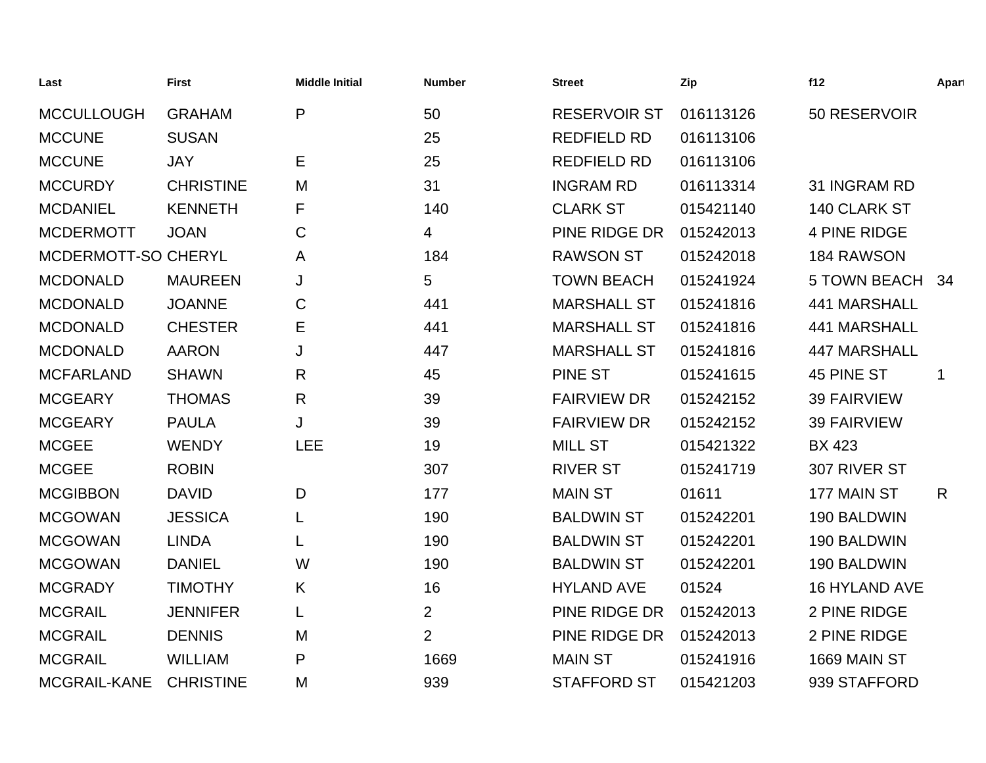| Last                | <b>First</b>     | <b>Middle Initial</b> | <b>Number</b>  | <b>Street</b>       | Zip       | f12                  | Apart        |
|---------------------|------------------|-----------------------|----------------|---------------------|-----------|----------------------|--------------|
| <b>MCCULLOUGH</b>   | <b>GRAHAM</b>    | P                     | 50             | <b>RESERVOIR ST</b> | 016113126 | 50 RESERVOIR         |              |
| <b>MCCUNE</b>       | <b>SUSAN</b>     |                       | 25             | <b>REDFIELD RD</b>  | 016113106 |                      |              |
| <b>MCCUNE</b>       | <b>JAY</b>       | Е                     | 25             | <b>REDFIELD RD</b>  | 016113106 |                      |              |
| <b>MCCURDY</b>      | <b>CHRISTINE</b> | M                     | 31             | <b>INGRAM RD</b>    | 016113314 | 31 INGRAM RD         |              |
| <b>MCDANIEL</b>     | <b>KENNETH</b>   | F                     | 140            | <b>CLARK ST</b>     | 015421140 | 140 CLARK ST         |              |
| <b>MCDERMOTT</b>    | <b>JOAN</b>      | C                     | 4              | PINE RIDGE DR       | 015242013 | <b>4 PINE RIDGE</b>  |              |
| MCDERMOTT-SO CHERYL |                  | A                     | 184            | <b>RAWSON ST</b>    | 015242018 | 184 RAWSON           |              |
| <b>MCDONALD</b>     | <b>MAUREEN</b>   | J                     | 5              | <b>TOWN BEACH</b>   | 015241924 | 5 TOWN BEACH 34      |              |
| <b>MCDONALD</b>     | <b>JOANNE</b>    | C                     | 441            | <b>MARSHALL ST</b>  | 015241816 | 441 MARSHALL         |              |
| <b>MCDONALD</b>     | <b>CHESTER</b>   | Е                     | 441            | <b>MARSHALL ST</b>  | 015241816 | 441 MARSHALL         |              |
| <b>MCDONALD</b>     | <b>AARON</b>     | J                     | 447            | <b>MARSHALL ST</b>  | 015241816 | <b>447 MARSHALL</b>  |              |
| <b>MCFARLAND</b>    | <b>SHAWN</b>     | $\mathsf{R}$          | 45             | PINE ST             | 015241615 | 45 PINE ST           | 1            |
| <b>MCGEARY</b>      | <b>THOMAS</b>    | $\mathsf{R}$          | 39             | <b>FAIRVIEW DR</b>  | 015242152 | <b>39 FAIRVIEW</b>   |              |
| <b>MCGEARY</b>      | <b>PAULA</b>     | J                     | 39             | <b>FAIRVIEW DR</b>  | 015242152 | <b>39 FAIRVIEW</b>   |              |
| <b>MCGEE</b>        | <b>WENDY</b>     | <b>LEE</b>            | 19             | <b>MILL ST</b>      | 015421322 | <b>BX 423</b>        |              |
| <b>MCGEE</b>        | <b>ROBIN</b>     |                       | 307            | <b>RIVER ST</b>     | 015241719 | 307 RIVER ST         |              |
| <b>MCGIBBON</b>     | <b>DAVID</b>     | D                     | 177            | <b>MAIN ST</b>      | 01611     | 177 MAIN ST          | $\mathsf{R}$ |
| <b>MCGOWAN</b>      | <b>JESSICA</b>   | L                     | 190            | <b>BALDWIN ST</b>   | 015242201 | 190 BALDWIN          |              |
| <b>MCGOWAN</b>      | <b>LINDA</b>     |                       | 190            | <b>BALDWIN ST</b>   | 015242201 | 190 BALDWIN          |              |
| <b>MCGOWAN</b>      | <b>DANIEL</b>    | W                     | 190            | <b>BALDWIN ST</b>   | 015242201 | 190 BALDWIN          |              |
| <b>MCGRADY</b>      | <b>TIMOTHY</b>   | K                     | 16             | <b>HYLAND AVE</b>   | 01524     | <b>16 HYLAND AVE</b> |              |
| <b>MCGRAIL</b>      | <b>JENNIFER</b>  | L                     | $\overline{2}$ | PINE RIDGE DR       | 015242013 | 2 PINE RIDGE         |              |
| <b>MCGRAIL</b>      | <b>DENNIS</b>    | M                     | $\overline{2}$ | PINE RIDGE DR       | 015242013 | 2 PINE RIDGE         |              |
| <b>MCGRAIL</b>      | <b>WILLIAM</b>   | $\mathsf{P}$          | 1669           | <b>MAIN ST</b>      | 015241916 | 1669 MAIN ST         |              |
| MCGRAIL-KANE        | <b>CHRISTINE</b> | M                     | 939            | <b>STAFFORD ST</b>  | 015421203 | 939 STAFFORD         |              |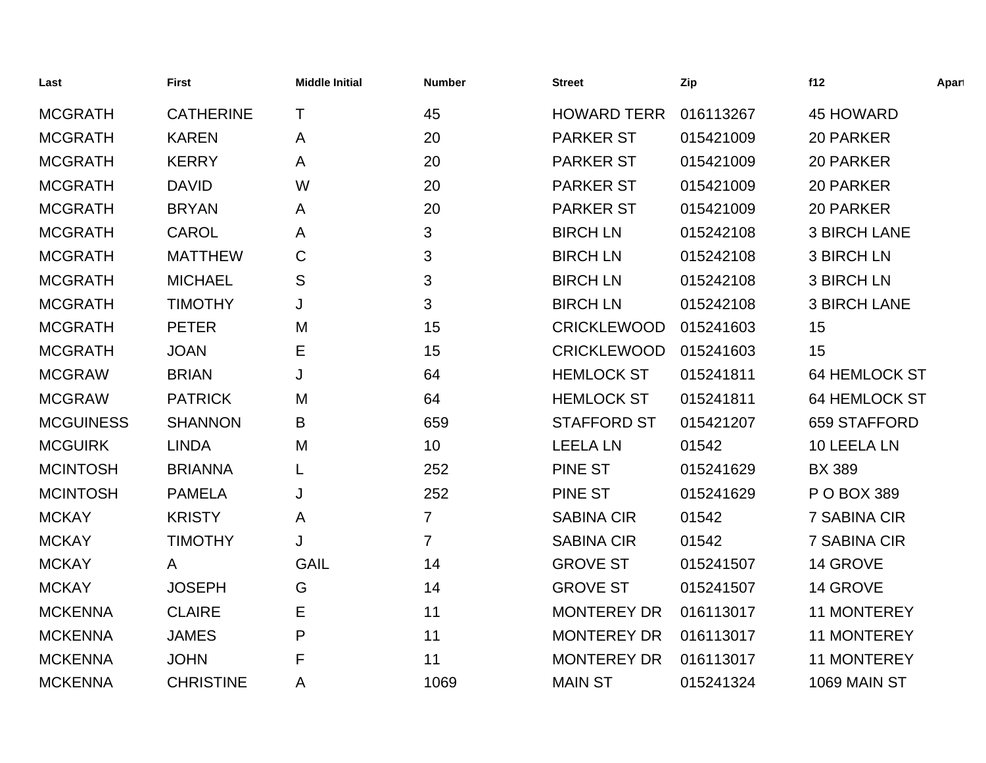| Last             | <b>First</b>     | <b>Middle Initial</b> | <b>Number</b>  | <b>Street</b>      | Zip       | f12                  | Apart |
|------------------|------------------|-----------------------|----------------|--------------------|-----------|----------------------|-------|
| <b>MCGRATH</b>   | <b>CATHERINE</b> | T                     | 45             | <b>HOWARD TERR</b> | 016113267 | 45 HOWARD            |       |
| <b>MCGRATH</b>   | <b>KAREN</b>     | A                     | 20             | <b>PARKER ST</b>   | 015421009 | 20 PARKER            |       |
| <b>MCGRATH</b>   | <b>KERRY</b>     | A                     | 20             | <b>PARKER ST</b>   | 015421009 | 20 PARKER            |       |
| <b>MCGRATH</b>   | <b>DAVID</b>     | W                     | 20             | <b>PARKER ST</b>   | 015421009 | 20 PARKER            |       |
| <b>MCGRATH</b>   | <b>BRYAN</b>     | A                     | 20             | <b>PARKER ST</b>   | 015421009 | 20 PARKER            |       |
| <b>MCGRATH</b>   | <b>CAROL</b>     | A                     | 3              | <b>BIRCH LN</b>    | 015242108 | <b>3 BIRCH LANE</b>  |       |
| <b>MCGRATH</b>   | <b>MATTHEW</b>   | C                     | 3              | <b>BIRCH LN</b>    | 015242108 | <b>3 BIRCH LN</b>    |       |
| <b>MCGRATH</b>   | <b>MICHAEL</b>   | S                     | 3              | <b>BIRCH LN</b>    | 015242108 | <b>3 BIRCH LN</b>    |       |
| <b>MCGRATH</b>   | <b>TIMOTHY</b>   | J                     | 3              | <b>BIRCH LN</b>    | 015242108 | <b>3 BIRCH LANE</b>  |       |
| <b>MCGRATH</b>   | <b>PETER</b>     | M                     | 15             | <b>CRICKLEWOOD</b> | 015241603 | 15                   |       |
| <b>MCGRATH</b>   | <b>JOAN</b>      | Е                     | 15             | <b>CRICKLEWOOD</b> | 015241603 | 15                   |       |
| <b>MCGRAW</b>    | <b>BRIAN</b>     | J                     | 64             | <b>HEMLOCK ST</b>  | 015241811 | <b>64 HEMLOCK ST</b> |       |
| <b>MCGRAW</b>    | <b>PATRICK</b>   | M                     | 64             | <b>HEMLOCK ST</b>  | 015241811 | <b>64 HEMLOCK ST</b> |       |
| <b>MCGUINESS</b> | <b>SHANNON</b>   | B                     | 659            | <b>STAFFORD ST</b> | 015421207 | 659 STAFFORD         |       |
| <b>MCGUIRK</b>   | <b>LINDA</b>     | M                     | 10             | <b>LEELA LN</b>    | 01542     | 10 LEELA LN          |       |
| <b>MCINTOSH</b>  | <b>BRIANNA</b>   |                       | 252            | <b>PINE ST</b>     | 015241629 | <b>BX 389</b>        |       |
| <b>MCINTOSH</b>  | <b>PAMELA</b>    | J                     | 252            | <b>PINE ST</b>     | 015241629 | P O BOX 389          |       |
| <b>MCKAY</b>     | <b>KRISTY</b>    | A                     | $\overline{7}$ | <b>SABINA CIR</b>  | 01542     | 7 SABINA CIR         |       |
| <b>MCKAY</b>     | <b>TIMOTHY</b>   | J                     | $\overline{7}$ | <b>SABINA CIR</b>  | 01542     | 7 SABINA CIR         |       |
| <b>MCKAY</b>     | A                | <b>GAIL</b>           | 14             | <b>GROVE ST</b>    | 015241507 | 14 GROVE             |       |
| <b>MCKAY</b>     | <b>JOSEPH</b>    | G                     | 14             | <b>GROVE ST</b>    | 015241507 | 14 GROVE             |       |
| <b>MCKENNA</b>   | <b>CLAIRE</b>    | Ε                     | 11             | <b>MONTEREY DR</b> | 016113017 | <b>11 MONTEREY</b>   |       |
| <b>MCKENNA</b>   | <b>JAMES</b>     | P                     | 11             | <b>MONTEREY DR</b> | 016113017 | <b>11 MONTEREY</b>   |       |
| <b>MCKENNA</b>   | <b>JOHN</b>      | F                     | 11             | <b>MONTEREY DR</b> | 016113017 | <b>11 MONTEREY</b>   |       |
| <b>MCKENNA</b>   | <b>CHRISTINE</b> | A                     | 1069           | <b>MAIN ST</b>     | 015241324 | 1069 MAIN ST         |       |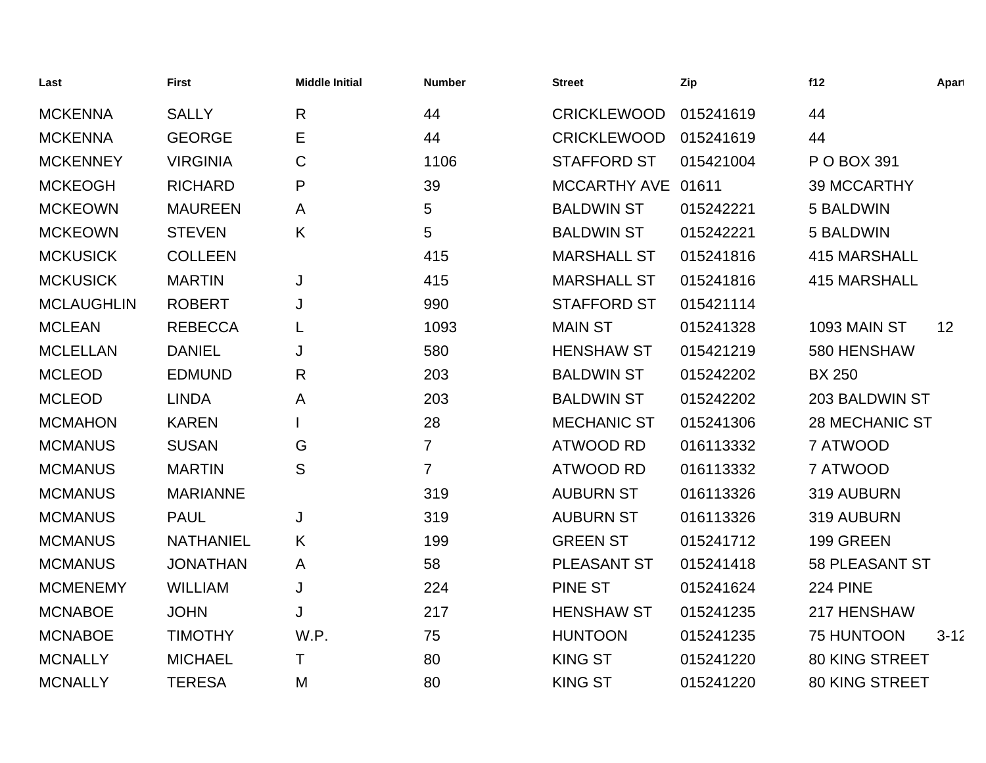| Last              | <b>First</b>     | <b>Middle Initial</b> | <b>Number</b>   | <b>Street</b>      | Zip       | f12                   | Apart    |
|-------------------|------------------|-----------------------|-----------------|--------------------|-----------|-----------------------|----------|
| <b>MCKENNA</b>    | <b>SALLY</b>     | $\mathsf{R}$          | 44              | <b>CRICKLEWOOD</b> | 015241619 | 44                    |          |
| <b>MCKENNA</b>    | <b>GEORGE</b>    | Е                     | 44              | <b>CRICKLEWOOD</b> | 015241619 | 44                    |          |
| <b>MCKENNEY</b>   | <b>VIRGINIA</b>  | C                     | 1106            | <b>STAFFORD ST</b> | 015421004 | P O BOX 391           |          |
| <b>MCKEOGH</b>    | <b>RICHARD</b>   | P                     | 39              | MCCARTHY AVE 01611 |           | <b>39 MCCARTHY</b>    |          |
| <b>MCKEOWN</b>    | <b>MAUREEN</b>   | A                     | 5               | <b>BALDWIN ST</b>  | 015242221 | 5 BALDWIN             |          |
| <b>MCKEOWN</b>    | <b>STEVEN</b>    | K                     | $5\phantom{.0}$ | <b>BALDWIN ST</b>  | 015242221 | 5 BALDWIN             |          |
| <b>MCKUSICK</b>   | <b>COLLEEN</b>   |                       | 415             | <b>MARSHALL ST</b> | 015241816 | <b>415 MARSHALL</b>   |          |
| <b>MCKUSICK</b>   | <b>MARTIN</b>    | J                     | 415             | <b>MARSHALL ST</b> | 015241816 | <b>415 MARSHALL</b>   |          |
| <b>MCLAUGHLIN</b> | <b>ROBERT</b>    | J                     | 990             | <b>STAFFORD ST</b> | 015421114 |                       |          |
| <b>MCLEAN</b>     | <b>REBECCA</b>   | L                     | 1093            | <b>MAIN ST</b>     | 015241328 | 1093 MAIN ST          | 12       |
| <b>MCLELLAN</b>   | <b>DANIEL</b>    | J                     | 580             | <b>HENSHAW ST</b>  | 015421219 | 580 HENSHAW           |          |
| <b>MCLEOD</b>     | <b>EDMUND</b>    | R                     | 203             | <b>BALDWIN ST</b>  | 015242202 | <b>BX 250</b>         |          |
| <b>MCLEOD</b>     | <b>LINDA</b>     | A                     | 203             | <b>BALDWIN ST</b>  | 015242202 | 203 BALDWIN ST        |          |
| <b>MCMAHON</b>    | <b>KAREN</b>     |                       | 28              | <b>MECHANIC ST</b> | 015241306 | <b>28 MECHANIC ST</b> |          |
| <b>MCMANUS</b>    | <b>SUSAN</b>     | G                     | $\overline{7}$  | <b>ATWOOD RD</b>   | 016113332 | 7 ATWOOD              |          |
| <b>MCMANUS</b>    | <b>MARTIN</b>    | S                     | $\overline{7}$  | <b>ATWOOD RD</b>   | 016113332 | 7 ATWOOD              |          |
| <b>MCMANUS</b>    | <b>MARIANNE</b>  |                       | 319             | <b>AUBURN ST</b>   | 016113326 | 319 AUBURN            |          |
| <b>MCMANUS</b>    | <b>PAUL</b>      | J                     | 319             | <b>AUBURN ST</b>   | 016113326 | 319 AUBURN            |          |
| <b>MCMANUS</b>    | <b>NATHANIEL</b> | K                     | 199             | <b>GREEN ST</b>    | 015241712 | 199 GREEN             |          |
| <b>MCMANUS</b>    | <b>JONATHAN</b>  | A                     | 58              | PLEASANT ST        | 015241418 | <b>58 PLEASANT ST</b> |          |
| <b>MCMENEMY</b>   | <b>WILLIAM</b>   | J                     | 224             | <b>PINE ST</b>     | 015241624 | <b>224 PINE</b>       |          |
| <b>MCNABOE</b>    | <b>JOHN</b>      | J                     | 217             | <b>HENSHAW ST</b>  | 015241235 | 217 HENSHAW           |          |
| <b>MCNABOE</b>    | <b>TIMOTHY</b>   | W.P.                  | 75              | <b>HUNTOON</b>     | 015241235 | 75 HUNTOON            | $3 - 12$ |
| <b>MCNALLY</b>    | <b>MICHAEL</b>   | T                     | 80              | <b>KING ST</b>     | 015241220 | <b>80 KING STREET</b> |          |
| <b>MCNALLY</b>    | <b>TERESA</b>    | M                     | 80              | <b>KING ST</b>     | 015241220 | <b>80 KING STREET</b> |          |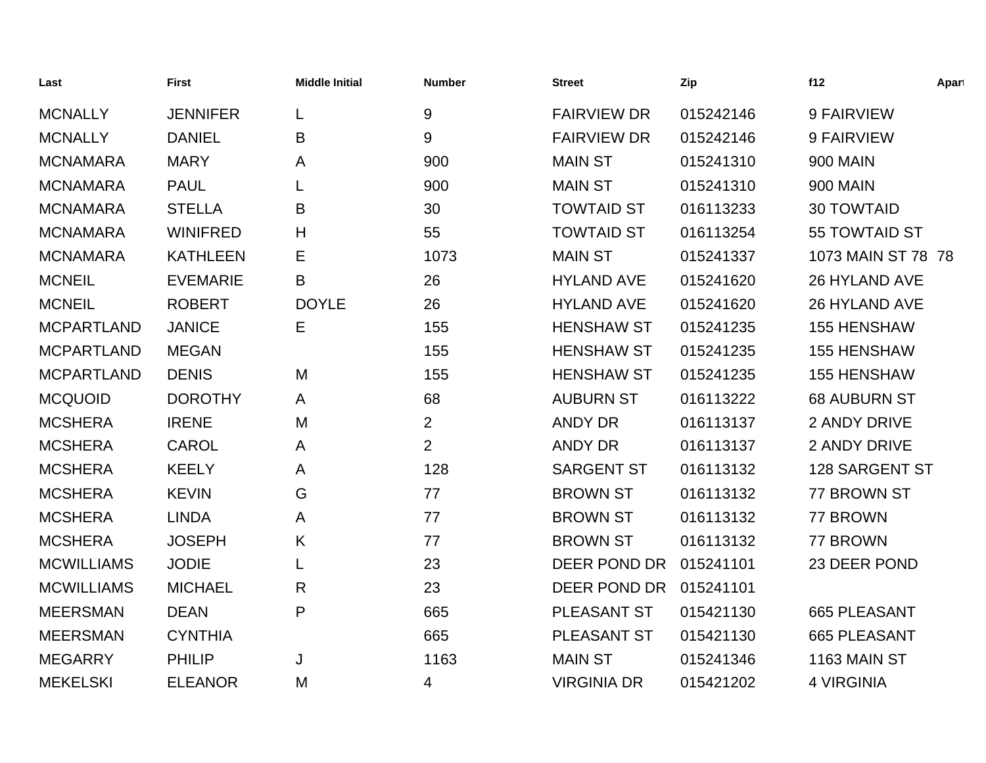| Last              | <b>First</b>    | <b>Middle Initial</b> | <b>Number</b>  | <b>Street</b>      | Zip       | f12                 | Apart |
|-------------------|-----------------|-----------------------|----------------|--------------------|-----------|---------------------|-------|
| <b>MCNALLY</b>    | <b>JENNIFER</b> | L                     | $9\,$          | <b>FAIRVIEW DR</b> | 015242146 | 9 FAIRVIEW          |       |
| <b>MCNALLY</b>    | <b>DANIEL</b>   | B                     | 9              | <b>FAIRVIEW DR</b> | 015242146 | 9 FAIRVIEW          |       |
| <b>MCNAMARA</b>   | <b>MARY</b>     | A                     | 900            | <b>MAIN ST</b>     | 015241310 | <b>900 MAIN</b>     |       |
| <b>MCNAMARA</b>   | <b>PAUL</b>     |                       | 900            | <b>MAIN ST</b>     | 015241310 | <b>900 MAIN</b>     |       |
| <b>MCNAMARA</b>   | <b>STELLA</b>   | B                     | 30             | <b>TOWTAID ST</b>  | 016113233 | <b>30 TOWTAID</b>   |       |
| <b>MCNAMARA</b>   | <b>WINIFRED</b> | H                     | 55             | <b>TOWTAID ST</b>  | 016113254 | 55 TOWTAID ST       |       |
| <b>MCNAMARA</b>   | <b>KATHLEEN</b> | Е                     | 1073           | <b>MAIN ST</b>     | 015241337 | 1073 MAIN ST 78 78  |       |
| <b>MCNEIL</b>     | <b>EVEMARIE</b> | B                     | 26             | <b>HYLAND AVE</b>  | 015241620 | 26 HYLAND AVE       |       |
| <b>MCNEIL</b>     | <b>ROBERT</b>   | <b>DOYLE</b>          | 26             | <b>HYLAND AVE</b>  | 015241620 | 26 HYLAND AVE       |       |
| <b>MCPARTLAND</b> | <b>JANICE</b>   | E                     | 155            | <b>HENSHAW ST</b>  | 015241235 | <b>155 HENSHAW</b>  |       |
| <b>MCPARTLAND</b> | <b>MEGAN</b>    |                       | 155            | <b>HENSHAW ST</b>  | 015241235 | <b>155 HENSHAW</b>  |       |
| <b>MCPARTLAND</b> | <b>DENIS</b>    | M                     | 155            | <b>HENSHAW ST</b>  | 015241235 | <b>155 HENSHAW</b>  |       |
| <b>MCQUOID</b>    | <b>DOROTHY</b>  | A                     | 68             | <b>AUBURN ST</b>   | 016113222 | <b>68 AUBURN ST</b> |       |
| <b>MCSHERA</b>    | <b>IRENE</b>    | M                     | $\overline{2}$ | <b>ANDY DR</b>     | 016113137 | 2 ANDY DRIVE        |       |
| <b>MCSHERA</b>    | <b>CAROL</b>    | A                     | 2              | <b>ANDY DR</b>     | 016113137 | 2 ANDY DRIVE        |       |
| <b>MCSHERA</b>    | <b>KEELY</b>    | A                     | 128            | <b>SARGENT ST</b>  | 016113132 | 128 SARGENT ST      |       |
| <b>MCSHERA</b>    | <b>KEVIN</b>    | G                     | 77             | <b>BROWN ST</b>    | 016113132 | 77 BROWN ST         |       |
| <b>MCSHERA</b>    | <b>LINDA</b>    | A                     | 77             | <b>BROWN ST</b>    | 016113132 | 77 BROWN            |       |
| <b>MCSHERA</b>    | <b>JOSEPH</b>   | K                     | 77             | <b>BROWN ST</b>    | 016113132 | 77 BROWN            |       |
| <b>MCWILLIAMS</b> | <b>JODIE</b>    | L                     | 23             | DEER POND DR       | 015241101 | 23 DEER POND        |       |
| <b>MCWILLIAMS</b> | <b>MICHAEL</b>  | R                     | 23             | DEER POND DR       | 015241101 |                     |       |
| <b>MEERSMAN</b>   | <b>DEAN</b>     | P                     | 665            | PLEASANT ST        | 015421130 | 665 PLEASANT        |       |
| <b>MEERSMAN</b>   | <b>CYNTHIA</b>  |                       | 665            | PLEASANT ST        | 015421130 | 665 PLEASANT        |       |
| <b>MEGARRY</b>    | <b>PHILIP</b>   | J                     | 1163           | <b>MAIN ST</b>     | 015241346 | 1163 MAIN ST        |       |
| <b>MEKELSKI</b>   | <b>ELEANOR</b>  | M                     | 4              | <b>VIRGINIA DR</b> | 015421202 | <b>4 VIRGINIA</b>   |       |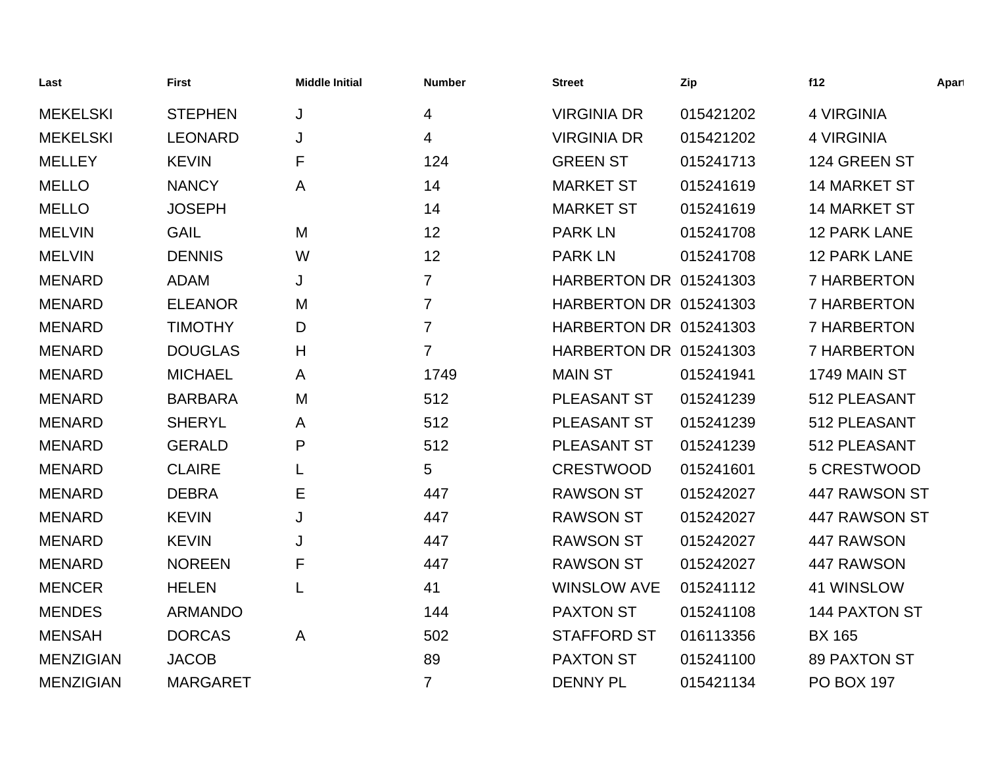| Last             | <b>First</b>    | <b>Middle Initial</b> | <b>Number</b>  | <b>Street</b>                 | Zip       | f12                  | Apart |
|------------------|-----------------|-----------------------|----------------|-------------------------------|-----------|----------------------|-------|
| <b>MEKELSKI</b>  | <b>STEPHEN</b>  | J                     | 4              | <b>VIRGINIA DR</b>            | 015421202 | <b>4 VIRGINIA</b>    |       |
| <b>MEKELSKI</b>  | <b>LEONARD</b>  | J                     | 4              | <b>VIRGINIA DR</b>            | 015421202 | <b>4 VIRGINIA</b>    |       |
| <b>MELLEY</b>    | <b>KEVIN</b>    | F                     | 124            | <b>GREEN ST</b>               | 015241713 | 124 GREEN ST         |       |
| <b>MELLO</b>     | <b>NANCY</b>    | A                     | 14             | <b>MARKET ST</b>              | 015241619 | <b>14 MARKET ST</b>  |       |
| <b>MELLO</b>     | <b>JOSEPH</b>   |                       | 14             | <b>MARKET ST</b>              | 015241619 | <b>14 MARKET ST</b>  |       |
| <b>MELVIN</b>    | <b>GAIL</b>     | M                     | 12             | <b>PARK LN</b>                | 015241708 | <b>12 PARK LANE</b>  |       |
| <b>MELVIN</b>    | <b>DENNIS</b>   | W                     | 12             | <b>PARK LN</b>                | 015241708 | <b>12 PARK LANE</b>  |       |
| <b>MENARD</b>    | <b>ADAM</b>     | J                     | 7              | <b>HARBERTON DR 015241303</b> |           | 7 HARBERTON          |       |
| <b>MENARD</b>    | <b>ELEANOR</b>  | M                     | $\overline{7}$ | <b>HARBERTON DR 015241303</b> |           | 7 HARBERTON          |       |
| <b>MENARD</b>    | <b>TIMOTHY</b>  | D                     | $\overline{7}$ | <b>HARBERTON DR 015241303</b> |           | 7 HARBERTON          |       |
| <b>MENARD</b>    | <b>DOUGLAS</b>  | H                     | $\overline{7}$ | <b>HARBERTON DR 015241303</b> |           | 7 HARBERTON          |       |
| <b>MENARD</b>    | <b>MICHAEL</b>  | A                     | 1749           | <b>MAIN ST</b>                | 015241941 | 1749 MAIN ST         |       |
| <b>MENARD</b>    | <b>BARBARA</b>  | M                     | 512            | PLEASANT ST                   | 015241239 | 512 PLEASANT         |       |
| <b>MENARD</b>    | <b>SHERYL</b>   | A                     | 512            | PLEASANT ST                   | 015241239 | 512 PLEASANT         |       |
| <b>MENARD</b>    | <b>GERALD</b>   | P                     | 512            | PLEASANT ST                   | 015241239 | 512 PLEASANT         |       |
| <b>MENARD</b>    | <b>CLAIRE</b>   |                       | 5              | <b>CRESTWOOD</b>              | 015241601 | 5 CRESTWOOD          |       |
| <b>MENARD</b>    | <b>DEBRA</b>    | Е                     | 447            | <b>RAWSON ST</b>              | 015242027 | 447 RAWSON ST        |       |
| <b>MENARD</b>    | <b>KEVIN</b>    | J                     | 447            | <b>RAWSON ST</b>              | 015242027 | 447 RAWSON ST        |       |
| <b>MENARD</b>    | <b>KEVIN</b>    | J                     | 447            | <b>RAWSON ST</b>              | 015242027 | 447 RAWSON           |       |
| <b>MENARD</b>    | <b>NOREEN</b>   | F                     | 447            | <b>RAWSON ST</b>              | 015242027 | 447 RAWSON           |       |
| <b>MENCER</b>    | <b>HELEN</b>    | L                     | 41             | <b>WINSLOW AVE</b>            | 015241112 | 41 WINSLOW           |       |
| <b>MENDES</b>    | <b>ARMANDO</b>  |                       | 144            | <b>PAXTON ST</b>              | 015241108 | <b>144 PAXTON ST</b> |       |
| <b>MENSAH</b>    | <b>DORCAS</b>   | A                     | 502            | <b>STAFFORD ST</b>            | 016113356 | <b>BX 165</b>        |       |
| <b>MENZIGIAN</b> | <b>JACOB</b>    |                       | 89             | <b>PAXTON ST</b>              | 015241100 | <b>89 PAXTON ST</b>  |       |
| <b>MENZIGIAN</b> | <b>MARGARET</b> |                       | $\overline{7}$ | <b>DENNY PL</b>               | 015421134 | <b>PO BOX 197</b>    |       |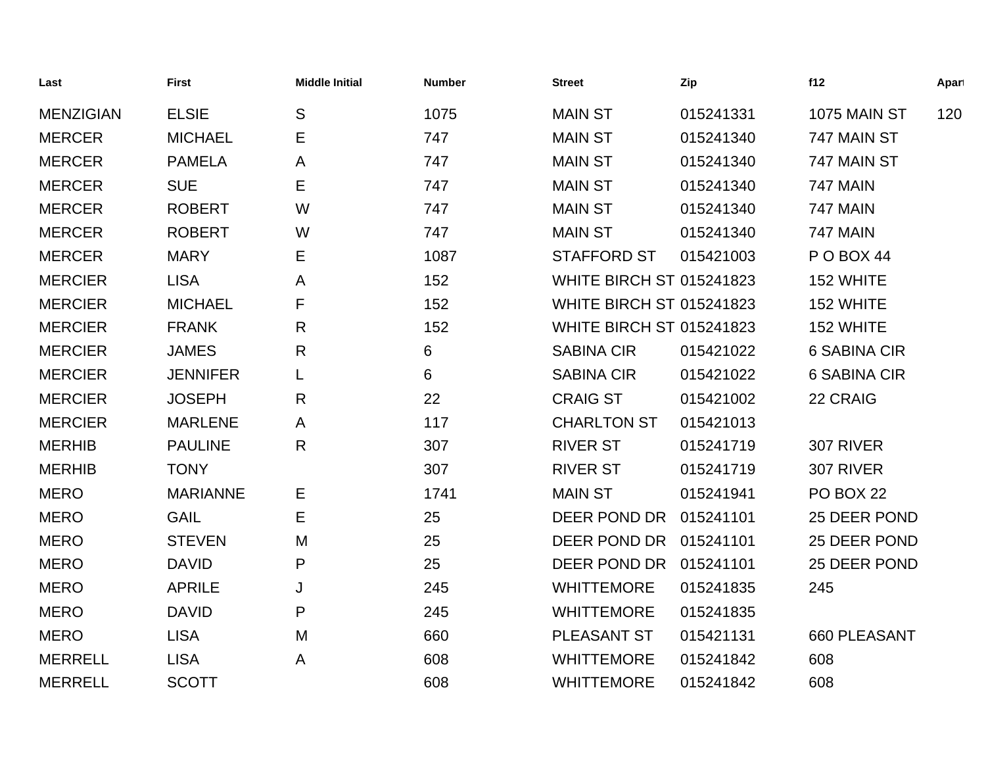| Last             | <b>First</b>    | <b>Middle Initial</b> | <b>Number</b> | <b>Street</b>                   | Zip       | f12                 | Apart |
|------------------|-----------------|-----------------------|---------------|---------------------------------|-----------|---------------------|-------|
| <b>MENZIGIAN</b> | <b>ELSIE</b>    | S                     | 1075          | <b>MAIN ST</b>                  | 015241331 | <b>1075 MAIN ST</b> | 120   |
| <b>MERCER</b>    | <b>MICHAEL</b>  | Е                     | 747           | <b>MAIN ST</b>                  | 015241340 | 747 MAIN ST         |       |
| <b>MERCER</b>    | <b>PAMELA</b>   | A                     | 747           | <b>MAIN ST</b>                  | 015241340 | 747 MAIN ST         |       |
| <b>MERCER</b>    | <b>SUE</b>      | Е                     | 747           | <b>MAIN ST</b>                  | 015241340 | <b>747 MAIN</b>     |       |
| <b>MERCER</b>    | <b>ROBERT</b>   | W                     | 747           | <b>MAIN ST</b>                  | 015241340 | <b>747 MAIN</b>     |       |
| <b>MERCER</b>    | <b>ROBERT</b>   | W                     | 747           | <b>MAIN ST</b>                  | 015241340 | <b>747 MAIN</b>     |       |
| <b>MERCER</b>    | <b>MARY</b>     | Е                     | 1087          | <b>STAFFORD ST</b>              | 015421003 | POBOX 44            |       |
| <b>MERCIER</b>   | <b>LISA</b>     | A                     | 152           | <b>WHITE BIRCH ST 015241823</b> |           | 152 WHITE           |       |
| <b>MERCIER</b>   | <b>MICHAEL</b>  | F                     | 152           | <b>WHITE BIRCH ST 015241823</b> |           | 152 WHITE           |       |
| <b>MERCIER</b>   | <b>FRANK</b>    | $\mathsf{R}$          | 152           | <b>WHITE BIRCH ST 015241823</b> |           | 152 WHITE           |       |
| <b>MERCIER</b>   | <b>JAMES</b>    | R                     | 6             | <b>SABINA CIR</b>               | 015421022 | <b>6 SABINA CIR</b> |       |
| <b>MERCIER</b>   | <b>JENNIFER</b> | L                     | 6             | <b>SABINA CIR</b>               | 015421022 | <b>6 SABINA CIR</b> |       |
| <b>MERCIER</b>   | <b>JOSEPH</b>   | $\mathsf{R}$          | 22            | <b>CRAIG ST</b>                 | 015421002 | 22 CRAIG            |       |
| <b>MERCIER</b>   | <b>MARLENE</b>  | A                     | 117           | <b>CHARLTON ST</b>              | 015421013 |                     |       |
| <b>MERHIB</b>    | <b>PAULINE</b>  | $\mathsf{R}$          | 307           | <b>RIVER ST</b>                 | 015241719 | 307 RIVER           |       |
| <b>MERHIB</b>    | <b>TONY</b>     |                       | 307           | <b>RIVER ST</b>                 | 015241719 | 307 RIVER           |       |
| <b>MERO</b>      | <b>MARIANNE</b> | Е                     | 1741          | <b>MAIN ST</b>                  | 015241941 | PO BOX 22           |       |
| <b>MERO</b>      | <b>GAIL</b>     | Е                     | 25            | DEER POND DR                    | 015241101 | 25 DEER POND        |       |
| <b>MERO</b>      | <b>STEVEN</b>   | M                     | 25            | DEER POND DR                    | 015241101 | 25 DEER POND        |       |
| <b>MERO</b>      | <b>DAVID</b>    | P                     | 25            | DEER POND DR 015241101          |           | 25 DEER POND        |       |
| <b>MERO</b>      | <b>APRILE</b>   | J                     | 245           | <b>WHITTEMORE</b>               | 015241835 | 245                 |       |
| <b>MERO</b>      | <b>DAVID</b>    | P                     | 245           | <b>WHITTEMORE</b>               | 015241835 |                     |       |
| <b>MERO</b>      | <b>LISA</b>     | M                     | 660           | PLEASANT ST                     | 015421131 | 660 PLEASANT        |       |
| <b>MERRELL</b>   | <b>LISA</b>     | A                     | 608           | <b>WHITTEMORE</b>               | 015241842 | 608                 |       |
| <b>MERRELL</b>   | <b>SCOTT</b>    |                       | 608           | <b>WHITTEMORE</b>               | 015241842 | 608                 |       |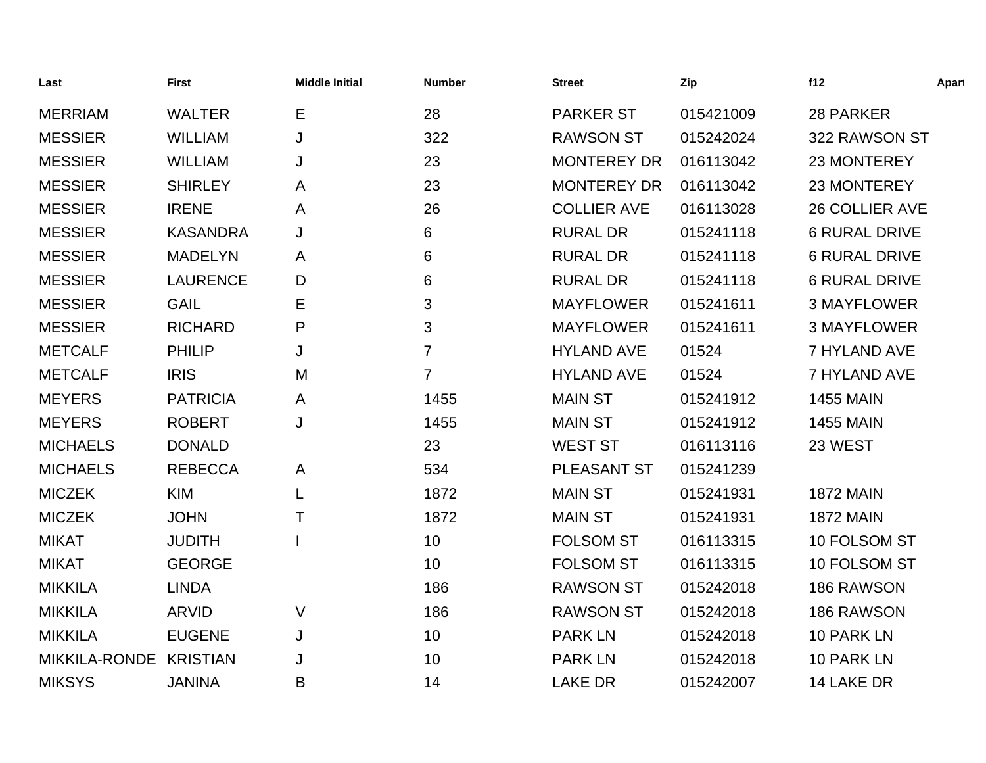| Last                   | <b>First</b>    | <b>Middle Initial</b> | <b>Number</b>  | <b>Street</b>      | Zip       | f12                   | Apart |
|------------------------|-----------------|-----------------------|----------------|--------------------|-----------|-----------------------|-------|
| <b>MERRIAM</b>         | <b>WALTER</b>   | Е                     | 28             | <b>PARKER ST</b>   | 015421009 | 28 PARKER             |       |
| <b>MESSIER</b>         | <b>WILLIAM</b>  | J                     | 322            | <b>RAWSON ST</b>   | 015242024 | 322 RAWSON ST         |       |
| <b>MESSIER</b>         | <b>WILLIAM</b>  | J                     | 23             | <b>MONTEREY DR</b> | 016113042 | 23 MONTEREY           |       |
| <b>MESSIER</b>         | <b>SHIRLEY</b>  | A                     | 23             | <b>MONTEREY DR</b> | 016113042 | 23 MONTEREY           |       |
| <b>MESSIER</b>         | <b>IRENE</b>    | A                     | 26             | <b>COLLIER AVE</b> | 016113028 | <b>26 COLLIER AVE</b> |       |
| <b>MESSIER</b>         | <b>KASANDRA</b> | J                     | 6              | <b>RURAL DR</b>    | 015241118 | <b>6 RURAL DRIVE</b>  |       |
| <b>MESSIER</b>         | <b>MADELYN</b>  | A                     | 6              | <b>RURAL DR</b>    | 015241118 | <b>6 RURAL DRIVE</b>  |       |
| <b>MESSIER</b>         | <b>LAURENCE</b> | D                     | 6              | <b>RURAL DR</b>    | 015241118 | <b>6 RURAL DRIVE</b>  |       |
| <b>MESSIER</b>         | <b>GAIL</b>     | Е                     | 3              | <b>MAYFLOWER</b>   | 015241611 | <b>3 MAYFLOWER</b>    |       |
| <b>MESSIER</b>         | <b>RICHARD</b>  | P                     | 3              | <b>MAYFLOWER</b>   | 015241611 | <b>3 MAYFLOWER</b>    |       |
| <b>METCALF</b>         | <b>PHILIP</b>   | J                     | 7              | <b>HYLAND AVE</b>  | 01524     | 7 HYLAND AVE          |       |
| <b>METCALF</b>         | <b>IRIS</b>     | M                     | $\overline{7}$ | <b>HYLAND AVE</b>  | 01524     | 7 HYLAND AVE          |       |
| <b>MEYERS</b>          | <b>PATRICIA</b> | A                     | 1455           | <b>MAIN ST</b>     | 015241912 | <b>1455 MAIN</b>      |       |
| <b>MEYERS</b>          | <b>ROBERT</b>   | J                     | 1455           | <b>MAIN ST</b>     | 015241912 | <b>1455 MAIN</b>      |       |
| <b>MICHAELS</b>        | <b>DONALD</b>   |                       | 23             | <b>WEST ST</b>     | 016113116 | 23 WEST               |       |
| <b>MICHAELS</b>        | <b>REBECCA</b>  | A                     | 534            | PLEASANT ST        | 015241239 |                       |       |
| <b>MICZEK</b>          | <b>KIM</b>      |                       | 1872           | <b>MAIN ST</b>     | 015241931 | <b>1872 MAIN</b>      |       |
| <b>MICZEK</b>          | <b>JOHN</b>     | Τ                     | 1872           | <b>MAIN ST</b>     | 015241931 | <b>1872 MAIN</b>      |       |
| <b>MIKAT</b>           | <b>JUDITH</b>   |                       | 10             | <b>FOLSOM ST</b>   | 016113315 | 10 FOLSOM ST          |       |
| <b>MIKAT</b>           | <b>GEORGE</b>   |                       | 10             | <b>FOLSOM ST</b>   | 016113315 | 10 FOLSOM ST          |       |
| <b>MIKKILA</b>         | <b>LINDA</b>    |                       | 186            | <b>RAWSON ST</b>   | 015242018 | 186 RAWSON            |       |
| <b>MIKKILA</b>         | <b>ARVID</b>    | $\vee$                | 186            | <b>RAWSON ST</b>   | 015242018 | 186 RAWSON            |       |
| <b>MIKKILA</b>         | <b>EUGENE</b>   | J                     | 10             | <b>PARK LN</b>     | 015242018 | 10 PARK LN            |       |
| MIKKILA-RONDE KRISTIAN |                 | J                     | 10             | <b>PARK LN</b>     | 015242018 | 10 PARK LN            |       |
| <b>MIKSYS</b>          | <b>JANINA</b>   | Β                     | 14             | <b>LAKE DR</b>     | 015242007 | 14 LAKE DR            |       |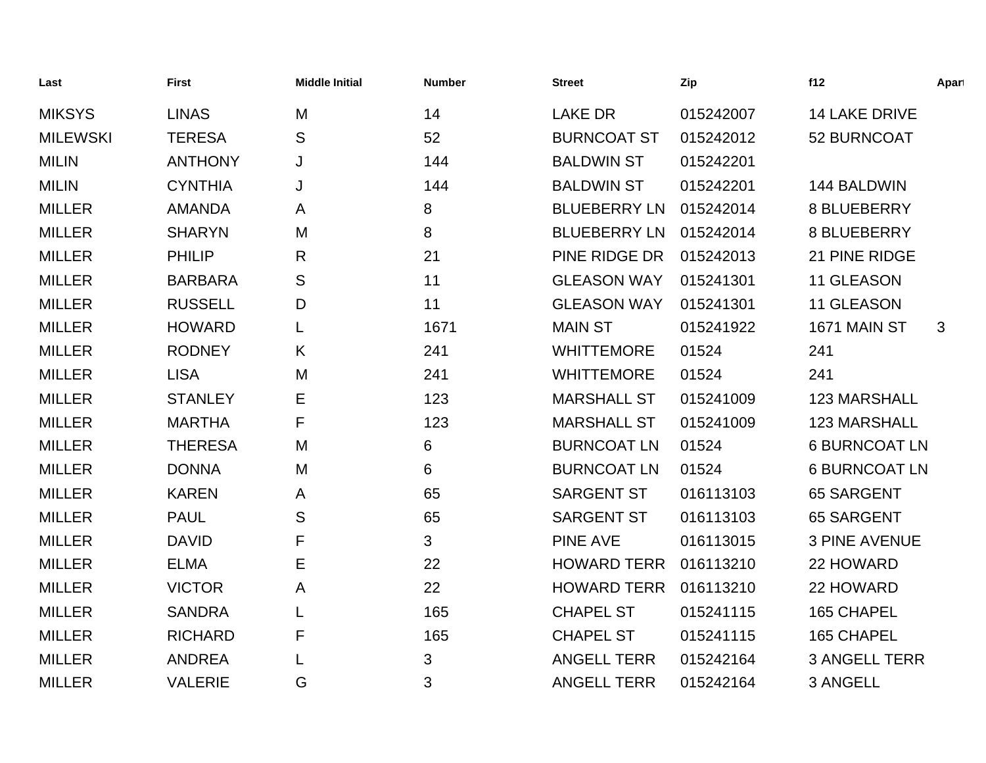| Last            | <b>First</b>   | <b>Middle Initial</b> | <b>Number</b> | <b>Street</b>       | Zip       | f12                  | Apart        |
|-----------------|----------------|-----------------------|---------------|---------------------|-----------|----------------------|--------------|
| <b>MIKSYS</b>   | <b>LINAS</b>   | M                     | 14            | <b>LAKE DR</b>      | 015242007 | <b>14 LAKE DRIVE</b> |              |
| <b>MILEWSKI</b> | <b>TERESA</b>  | S                     | 52            | <b>BURNCOAT ST</b>  | 015242012 | 52 BURNCOAT          |              |
| <b>MILIN</b>    | <b>ANTHONY</b> | J                     | 144           | <b>BALDWIN ST</b>   | 015242201 |                      |              |
| <b>MILIN</b>    | <b>CYNTHIA</b> | J                     | 144           | <b>BALDWIN ST</b>   | 015242201 | 144 BALDWIN          |              |
| <b>MILLER</b>   | <b>AMANDA</b>  | A                     | 8             | <b>BLUEBERRY LN</b> | 015242014 | 8 BLUEBERRY          |              |
| <b>MILLER</b>   | <b>SHARYN</b>  | M                     | 8             | <b>BLUEBERRY LN</b> | 015242014 | 8 BLUEBERRY          |              |
| <b>MILLER</b>   | <b>PHILIP</b>  | R                     | 21            | PINE RIDGE DR       | 015242013 | 21 PINE RIDGE        |              |
| <b>MILLER</b>   | <b>BARBARA</b> | S                     | 11            | <b>GLEASON WAY</b>  | 015241301 | 11 GLEASON           |              |
| <b>MILLER</b>   | <b>RUSSELL</b> | D                     | 11            | <b>GLEASON WAY</b>  | 015241301 | 11 GLEASON           |              |
| <b>MILLER</b>   | <b>HOWARD</b>  |                       | 1671          | <b>MAIN ST</b>      | 015241922 | 1671 MAIN ST         | $\mathbf{3}$ |
| <b>MILLER</b>   | <b>RODNEY</b>  | Κ                     | 241           | <b>WHITTEMORE</b>   | 01524     | 241                  |              |
| <b>MILLER</b>   | <b>LISA</b>    | M                     | 241           | <b>WHITTEMORE</b>   | 01524     | 241                  |              |
| <b>MILLER</b>   | <b>STANLEY</b> | Е                     | 123           | <b>MARSHALL ST</b>  | 015241009 | 123 MARSHALL         |              |
| <b>MILLER</b>   | <b>MARTHA</b>  | F                     | 123           | <b>MARSHALL ST</b>  | 015241009 | <b>123 MARSHALL</b>  |              |
| <b>MILLER</b>   | <b>THERESA</b> | M                     | 6             | <b>BURNCOAT LN</b>  | 01524     | <b>6 BURNCOAT LN</b> |              |
| <b>MILLER</b>   | <b>DONNA</b>   | M                     | 6             | <b>BURNCOAT LN</b>  | 01524     | <b>6 BURNCOAT LN</b> |              |
| <b>MILLER</b>   | <b>KAREN</b>   | A                     | 65            | <b>SARGENT ST</b>   | 016113103 | <b>65 SARGENT</b>    |              |
| <b>MILLER</b>   | <b>PAUL</b>    | S                     | 65            | <b>SARGENT ST</b>   | 016113103 | <b>65 SARGENT</b>    |              |
| <b>MILLER</b>   | <b>DAVID</b>   | F                     | 3             | <b>PINE AVE</b>     | 016113015 | <b>3 PINE AVENUE</b> |              |
| <b>MILLER</b>   | <b>ELMA</b>    | Е                     | 22            | <b>HOWARD TERR</b>  | 016113210 | 22 HOWARD            |              |
| <b>MILLER</b>   | <b>VICTOR</b>  | Α                     | 22            | <b>HOWARD TERR</b>  | 016113210 | 22 HOWARD            |              |
| <b>MILLER</b>   | <b>SANDRA</b>  |                       | 165           | <b>CHAPEL ST</b>    | 015241115 | 165 CHAPEL           |              |
| <b>MILLER</b>   | <b>RICHARD</b> | F                     | 165           | <b>CHAPEL ST</b>    | 015241115 | 165 CHAPEL           |              |
| <b>MILLER</b>   | <b>ANDREA</b>  |                       | 3             | <b>ANGELL TERR</b>  | 015242164 | <b>3 ANGELL TERR</b> |              |
| <b>MILLER</b>   | <b>VALERIE</b> | G                     | 3             | <b>ANGELL TERR</b>  | 015242164 | 3 ANGELL             |              |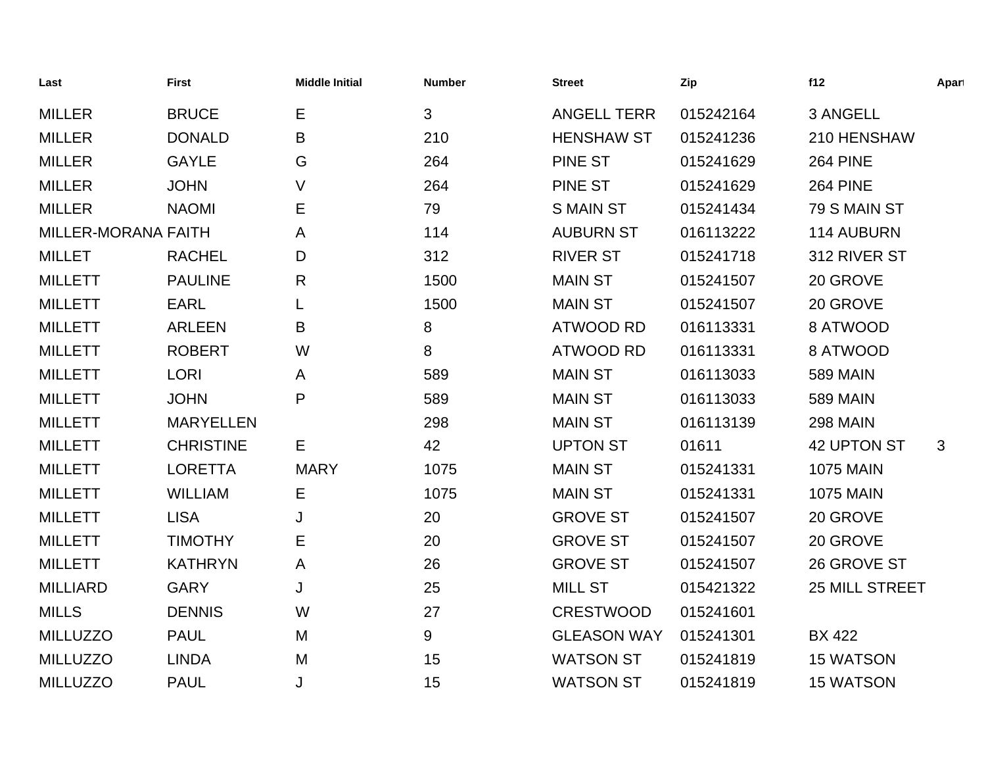| Last                | <b>First</b>     | <b>Middle Initial</b> | <b>Number</b> | <b>Street</b>      | Zip       | f12                   | Apart        |
|---------------------|------------------|-----------------------|---------------|--------------------|-----------|-----------------------|--------------|
| <b>MILLER</b>       | <b>BRUCE</b>     | E                     | 3             | <b>ANGELL TERR</b> | 015242164 | 3 ANGELL              |              |
| <b>MILLER</b>       | <b>DONALD</b>    | B                     | 210           | <b>HENSHAW ST</b>  | 015241236 | 210 HENSHAW           |              |
| <b>MILLER</b>       | <b>GAYLE</b>     | G                     | 264           | <b>PINE ST</b>     | 015241629 | <b>264 PINE</b>       |              |
| <b>MILLER</b>       | <b>JOHN</b>      | V                     | 264           | <b>PINE ST</b>     | 015241629 | <b>264 PINE</b>       |              |
| <b>MILLER</b>       | <b>NAOMI</b>     | Е                     | 79            | <b>S MAIN ST</b>   | 015241434 | 79 S MAIN ST          |              |
| MILLER-MORANA FAITH |                  | A                     | 114           | <b>AUBURN ST</b>   | 016113222 | 114 AUBURN            |              |
| <b>MILLET</b>       | <b>RACHEL</b>    | D                     | 312           | <b>RIVER ST</b>    | 015241718 | 312 RIVER ST          |              |
| <b>MILLETT</b>      | <b>PAULINE</b>   | R                     | 1500          | <b>MAIN ST</b>     | 015241507 | 20 GROVE              |              |
| <b>MILLETT</b>      | <b>EARL</b>      |                       | 1500          | <b>MAIN ST</b>     | 015241507 | 20 GROVE              |              |
| <b>MILLETT</b>      | <b>ARLEEN</b>    | В                     | 8             | <b>ATWOOD RD</b>   | 016113331 | 8 ATWOOD              |              |
| <b>MILLETT</b>      | <b>ROBERT</b>    | W                     | 8             | <b>ATWOOD RD</b>   | 016113331 | 8 ATWOOD              |              |
| <b>MILLETT</b>      | <b>LORI</b>      | A                     | 589           | <b>MAIN ST</b>     | 016113033 | <b>589 MAIN</b>       |              |
| <b>MILLETT</b>      | <b>JOHN</b>      | P                     | 589           | <b>MAIN ST</b>     | 016113033 | <b>589 MAIN</b>       |              |
| <b>MILLETT</b>      | <b>MARYELLEN</b> |                       | 298           | <b>MAIN ST</b>     | 016113139 | <b>298 MAIN</b>       |              |
| <b>MILLETT</b>      | <b>CHRISTINE</b> | E.                    | 42            | <b>UPTON ST</b>    | 01611     | <b>42 UPTON ST</b>    | $\mathbf{3}$ |
| <b>MILLETT</b>      | <b>LORETTA</b>   | <b>MARY</b>           | 1075          | <b>MAIN ST</b>     | 015241331 | <b>1075 MAIN</b>      |              |
| <b>MILLETT</b>      | <b>WILLIAM</b>   | Е                     | 1075          | <b>MAIN ST</b>     | 015241331 | <b>1075 MAIN</b>      |              |
| <b>MILLETT</b>      | <b>LISA</b>      | J                     | 20            | <b>GROVE ST</b>    | 015241507 | 20 GROVE              |              |
| <b>MILLETT</b>      | <b>TIMOTHY</b>   | Е                     | 20            | <b>GROVE ST</b>    | 015241507 | 20 GROVE              |              |
| <b>MILLETT</b>      | <b>KATHRYN</b>   | A                     | 26            | <b>GROVE ST</b>    | 015241507 | 26 GROVE ST           |              |
| <b>MILLIARD</b>     | <b>GARY</b>      | J                     | 25            | <b>MILL ST</b>     | 015421322 | <b>25 MILL STREET</b> |              |
| <b>MILLS</b>        | <b>DENNIS</b>    | W                     | 27            | <b>CRESTWOOD</b>   | 015241601 |                       |              |
| <b>MILLUZZO</b>     | <b>PAUL</b>      | M                     | 9             | <b>GLEASON WAY</b> | 015241301 | <b>BX 422</b>         |              |
| <b>MILLUZZO</b>     | <b>LINDA</b>     | M                     | 15            | <b>WATSON ST</b>   | 015241819 | <b>15 WATSON</b>      |              |
| <b>MILLUZZO</b>     | <b>PAUL</b>      | J                     | 15            | <b>WATSON ST</b>   | 015241819 | <b>15 WATSON</b>      |              |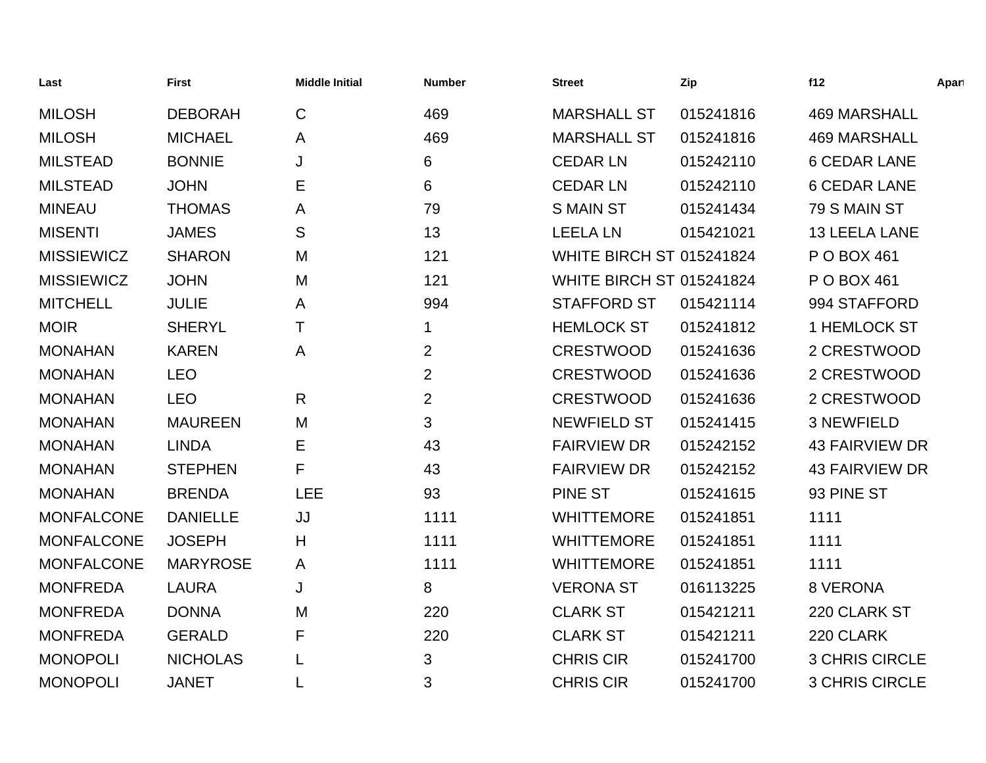| Last              | <b>First</b>    | <b>Middle Initial</b> | <b>Number</b>  | <b>Street</b>                   | Zip       | f12                   | Apart |
|-------------------|-----------------|-----------------------|----------------|---------------------------------|-----------|-----------------------|-------|
| <b>MILOSH</b>     | <b>DEBORAH</b>  | $\mathbf C$           | 469            | <b>MARSHALL ST</b>              | 015241816 | <b>469 MARSHALL</b>   |       |
| <b>MILOSH</b>     | <b>MICHAEL</b>  | A                     | 469            | <b>MARSHALL ST</b>              | 015241816 | <b>469 MARSHALL</b>   |       |
| <b>MILSTEAD</b>   | <b>BONNIE</b>   | J                     | 6              | <b>CEDAR LN</b>                 | 015242110 | <b>6 CEDAR LANE</b>   |       |
| <b>MILSTEAD</b>   | <b>JOHN</b>     | Ε                     | 6              | <b>CEDAR LN</b>                 | 015242110 | <b>6 CEDAR LANE</b>   |       |
| <b>MINEAU</b>     | <b>THOMAS</b>   | A                     | 79             | <b>S MAIN ST</b>                | 015241434 | 79 S MAIN ST          |       |
| <b>MISENTI</b>    | <b>JAMES</b>    | S                     | 13             | <b>LEELA LN</b>                 | 015421021 | <b>13 LEELA LANE</b>  |       |
| <b>MISSIEWICZ</b> | <b>SHARON</b>   | M                     | 121            | <b>WHITE BIRCH ST 015241824</b> |           | P O BOX 461           |       |
| <b>MISSIEWICZ</b> | <b>JOHN</b>     | M                     | 121            | <b>WHITE BIRCH ST 015241824</b> |           | P O BOX 461           |       |
| <b>MITCHELL</b>   | <b>JULIE</b>    | A                     | 994            | <b>STAFFORD ST</b>              | 015421114 | 994 STAFFORD          |       |
| <b>MOIR</b>       | <b>SHERYL</b>   | T                     | 1              | <b>HEMLOCK ST</b>               | 015241812 | 1 HEMLOCK ST          |       |
| <b>MONAHAN</b>    | <b>KAREN</b>    | A                     | $\overline{2}$ | <b>CRESTWOOD</b>                | 015241636 | 2 CRESTWOOD           |       |
| <b>MONAHAN</b>    | <b>LEO</b>      |                       | $\overline{2}$ | <b>CRESTWOOD</b>                | 015241636 | 2 CRESTWOOD           |       |
| <b>MONAHAN</b>    | <b>LEO</b>      | $\mathsf{R}$          | $\overline{2}$ | <b>CRESTWOOD</b>                | 015241636 | 2 CRESTWOOD           |       |
| <b>MONAHAN</b>    | <b>MAUREEN</b>  | M                     | 3              | <b>NEWFIELD ST</b>              | 015241415 | <b>3 NEWFIELD</b>     |       |
| <b>MONAHAN</b>    | <b>LINDA</b>    | E                     | 43             | <b>FAIRVIEW DR</b>              | 015242152 | <b>43 FAIRVIEW DR</b> |       |
| <b>MONAHAN</b>    | <b>STEPHEN</b>  | F                     | 43             | <b>FAIRVIEW DR</b>              | 015242152 | <b>43 FAIRVIEW DR</b> |       |
| <b>MONAHAN</b>    | <b>BRENDA</b>   | <b>LEE</b>            | 93             | <b>PINE ST</b>                  | 015241615 | 93 PINE ST            |       |
| <b>MONFALCONE</b> | <b>DANIELLE</b> | JJ                    | 1111           | <b>WHITTEMORE</b>               | 015241851 | 1111                  |       |
| <b>MONFALCONE</b> | <b>JOSEPH</b>   | H                     | 1111           | <b>WHITTEMORE</b>               | 015241851 | 1111                  |       |
| <b>MONFALCONE</b> | <b>MARYROSE</b> | A                     | 1111           | <b>WHITTEMORE</b>               | 015241851 | 1111                  |       |
| <b>MONFREDA</b>   | <b>LAURA</b>    | J                     | 8              | <b>VERONA ST</b>                | 016113225 | 8 VERONA              |       |
| <b>MONFREDA</b>   | <b>DONNA</b>    | M                     | 220            | <b>CLARK ST</b>                 | 015421211 | 220 CLARK ST          |       |
| <b>MONFREDA</b>   | <b>GERALD</b>   | F                     | 220            | <b>CLARK ST</b>                 | 015421211 | 220 CLARK             |       |
| <b>MONOPOLI</b>   | <b>NICHOLAS</b> | L                     | 3              | <b>CHRIS CIR</b>                | 015241700 | <b>3 CHRIS CIRCLE</b> |       |
| <b>MONOPOLI</b>   | <b>JANET</b>    | L                     | 3              | <b>CHRIS CIR</b>                | 015241700 | <b>3 CHRIS CIRCLE</b> |       |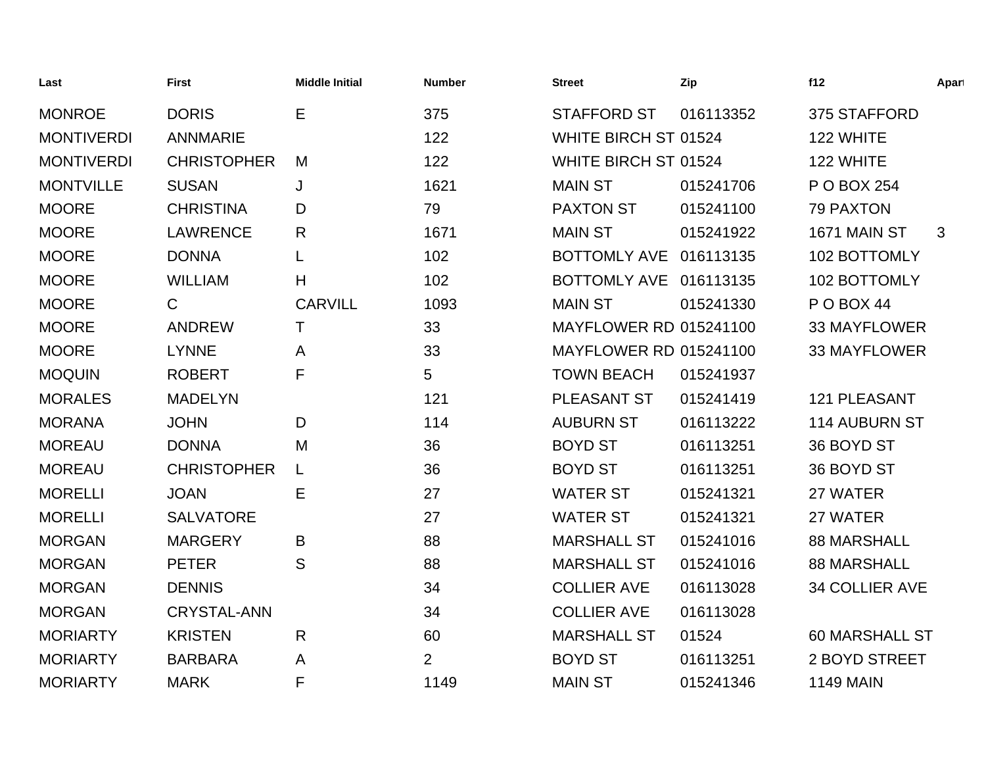| Last              | <b>First</b>       | <b>Middle Initial</b> | <b>Number</b>  | <b>Street</b>                 | Zip       | f12                   | Apart |
|-------------------|--------------------|-----------------------|----------------|-------------------------------|-----------|-----------------------|-------|
| <b>MONROE</b>     | <b>DORIS</b>       | Е                     | 375            | <b>STAFFORD ST</b>            | 016113352 | 375 STAFFORD          |       |
| <b>MONTIVERDI</b> | <b>ANNMARIE</b>    |                       | 122            | WHITE BIRCH ST 01524          |           | 122 WHITE             |       |
| <b>MONTIVERDI</b> | <b>CHRISTOPHER</b> | M                     | 122            | WHITE BIRCH ST 01524          |           | 122 WHITE             |       |
| <b>MONTVILLE</b>  | <b>SUSAN</b>       | J                     | 1621           | <b>MAIN ST</b>                | 015241706 | P O BOX 254           |       |
| <b>MOORE</b>      | <b>CHRISTINA</b>   | D                     | 79             | <b>PAXTON ST</b>              | 015241100 | <b>79 PAXTON</b>      |       |
| <b>MOORE</b>      | <b>LAWRENCE</b>    | R                     | 1671           | <b>MAIN ST</b>                | 015241922 | 1671 MAIN ST          | 3     |
| <b>MOORE</b>      | <b>DONNA</b>       | L                     | 102            | <b>BOTTOMLY AVE</b>           | 016113135 | 102 BOTTOMLY          |       |
| <b>MOORE</b>      | <b>WILLIAM</b>     | H                     | 102            | BOTTOMLY AVE 016113135        |           | 102 BOTTOMLY          |       |
| <b>MOORE</b>      | $\mathsf{C}$       | <b>CARVILL</b>        | 1093           | <b>MAIN ST</b>                | 015241330 | <b>P O BOX 44</b>     |       |
| <b>MOORE</b>      | <b>ANDREW</b>      | т                     | 33             | <b>MAYFLOWER RD 015241100</b> |           | <b>33 MAYFLOWER</b>   |       |
| <b>MOORE</b>      | <b>LYNNE</b>       | A                     | 33             | <b>MAYFLOWER RD 015241100</b> |           | <b>33 MAYFLOWER</b>   |       |
| <b>MOQUIN</b>     | <b>ROBERT</b>      | F                     | 5              | <b>TOWN BEACH</b>             | 015241937 |                       |       |
| <b>MORALES</b>    | <b>MADELYN</b>     |                       | 121            | PLEASANT ST                   | 015241419 | <b>121 PLEASANT</b>   |       |
| <b>MORANA</b>     | <b>JOHN</b>        | D                     | 114            | <b>AUBURN ST</b>              | 016113222 | <b>114 AUBURN ST</b>  |       |
| <b>MOREAU</b>     | <b>DONNA</b>       | M                     | 36             | <b>BOYD ST</b>                | 016113251 | 36 BOYD ST            |       |
| <b>MOREAU</b>     | <b>CHRISTOPHER</b> | L                     | 36             | <b>BOYD ST</b>                | 016113251 | 36 BOYD ST            |       |
| <b>MORELLI</b>    | <b>JOAN</b>        | E                     | 27             | <b>WATER ST</b>               | 015241321 | 27 WATER              |       |
| <b>MORELLI</b>    | <b>SALVATORE</b>   |                       | 27             | <b>WATER ST</b>               | 015241321 | 27 WATER              |       |
| <b>MORGAN</b>     | <b>MARGERY</b>     | B                     | 88             | <b>MARSHALL ST</b>            | 015241016 | <b>88 MARSHALL</b>    |       |
| <b>MORGAN</b>     | <b>PETER</b>       | S                     | 88             | <b>MARSHALL ST</b>            | 015241016 | <b>88 MARSHALL</b>    |       |
| <b>MORGAN</b>     | <b>DENNIS</b>      |                       | 34             | <b>COLLIER AVE</b>            | 016113028 | 34 COLLIER AVE        |       |
| <b>MORGAN</b>     | <b>CRYSTAL-ANN</b> |                       | 34             | <b>COLLIER AVE</b>            | 016113028 |                       |       |
| <b>MORIARTY</b>   | <b>KRISTEN</b>     | $\mathsf{R}$          | 60             | <b>MARSHALL ST</b>            | 01524     | <b>60 MARSHALL ST</b> |       |
| <b>MORIARTY</b>   | <b>BARBARA</b>     | A                     | $\overline{2}$ | <b>BOYD ST</b>                | 016113251 | 2 BOYD STREET         |       |
| <b>MORIARTY</b>   | <b>MARK</b>        | F                     | 1149           | <b>MAIN ST</b>                | 015241346 | <b>1149 MAIN</b>      |       |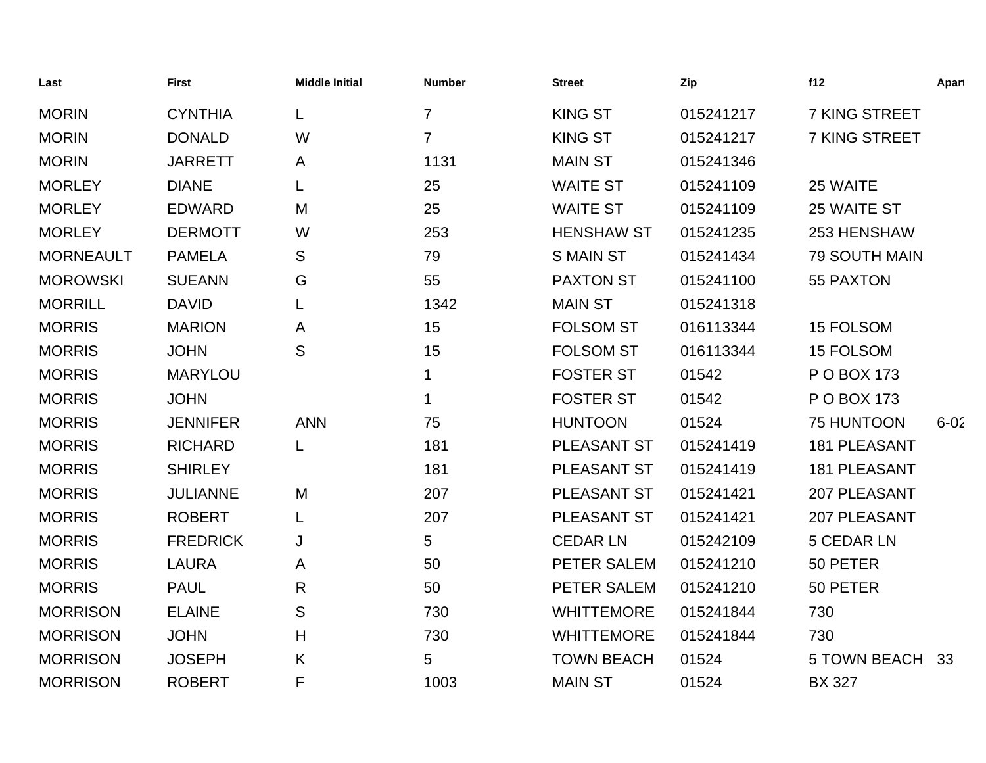| Last             | <b>First</b>    | <b>Middle Initial</b> | <b>Number</b>  | <b>Street</b>     | Zip       | f12                  | Apart    |
|------------------|-----------------|-----------------------|----------------|-------------------|-----------|----------------------|----------|
| <b>MORIN</b>     | <b>CYNTHIA</b>  | L                     | $\overline{7}$ | <b>KING ST</b>    | 015241217 | 7 KING STREET        |          |
| <b>MORIN</b>     | <b>DONALD</b>   | W                     | $\overline{7}$ | <b>KING ST</b>    | 015241217 | 7 KING STREET        |          |
| <b>MORIN</b>     | <b>JARRETT</b>  | A                     | 1131           | <b>MAIN ST</b>    | 015241346 |                      |          |
| <b>MORLEY</b>    | <b>DIANE</b>    | L                     | 25             | <b>WAITE ST</b>   | 015241109 | 25 WAITE             |          |
| <b>MORLEY</b>    | <b>EDWARD</b>   | M                     | 25             | <b>WAITE ST</b>   | 015241109 | 25 WAITE ST          |          |
| <b>MORLEY</b>    | <b>DERMOTT</b>  | W                     | 253            | <b>HENSHAW ST</b> | 015241235 | 253 HENSHAW          |          |
| <b>MORNEAULT</b> | <b>PAMELA</b>   | S                     | 79             | <b>S MAIN ST</b>  | 015241434 | <b>79 SOUTH MAIN</b> |          |
| <b>MOROWSKI</b>  | <b>SUEANN</b>   | G                     | 55             | <b>PAXTON ST</b>  | 015241100 | 55 PAXTON            |          |
| <b>MORRILL</b>   | <b>DAVID</b>    | L                     | 1342           | <b>MAIN ST</b>    | 015241318 |                      |          |
| <b>MORRIS</b>    | <b>MARION</b>   | A                     | 15             | <b>FOLSOM ST</b>  | 016113344 | 15 FOLSOM            |          |
| <b>MORRIS</b>    | <b>JOHN</b>     | S                     | 15             | <b>FOLSOM ST</b>  | 016113344 | 15 FOLSOM            |          |
| <b>MORRIS</b>    | <b>MARYLOU</b>  |                       | 1              | <b>FOSTER ST</b>  | 01542     | P O BOX 173          |          |
| <b>MORRIS</b>    | <b>JOHN</b>     |                       | 1              | <b>FOSTER ST</b>  | 01542     | P O BOX 173          |          |
| <b>MORRIS</b>    | <b>JENNIFER</b> | <b>ANN</b>            | 75             | <b>HUNTOON</b>    | 01524     | 75 HUNTOON           | $6 - 02$ |
| <b>MORRIS</b>    | <b>RICHARD</b>  | L                     | 181            | PLEASANT ST       | 015241419 | <b>181 PLEASANT</b>  |          |
| <b>MORRIS</b>    | <b>SHIRLEY</b>  |                       | 181            | PLEASANT ST       | 015241419 | <b>181 PLEASANT</b>  |          |
| <b>MORRIS</b>    | <b>JULIANNE</b> | M                     | 207            | PLEASANT ST       | 015241421 | 207 PLEASANT         |          |
| <b>MORRIS</b>    | <b>ROBERT</b>   | L                     | 207            | PLEASANT ST       | 015241421 | 207 PLEASANT         |          |
| <b>MORRIS</b>    | <b>FREDRICK</b> | J                     | 5              | <b>CEDAR LN</b>   | 015242109 | <b>5 CEDAR LN</b>    |          |
| <b>MORRIS</b>    | <b>LAURA</b>    | A                     | 50             | PETER SALEM       | 015241210 | 50 PETER             |          |
| <b>MORRIS</b>    | <b>PAUL</b>     | R                     | 50             | PETER SALEM       | 015241210 | 50 PETER             |          |
| <b>MORRISON</b>  | <b>ELAINE</b>   | S                     | 730            | <b>WHITTEMORE</b> | 015241844 | 730                  |          |
| <b>MORRISON</b>  | <b>JOHN</b>     | H                     | 730            | <b>WHITTEMORE</b> | 015241844 | 730                  |          |
| <b>MORRISON</b>  | <b>JOSEPH</b>   | K                     | 5              | <b>TOWN BEACH</b> | 01524     | <b>5 TOWN BEACH</b>  | 33       |
| <b>MORRISON</b>  | <b>ROBERT</b>   | F                     | 1003           | <b>MAIN ST</b>    | 01524     | <b>BX 327</b>        |          |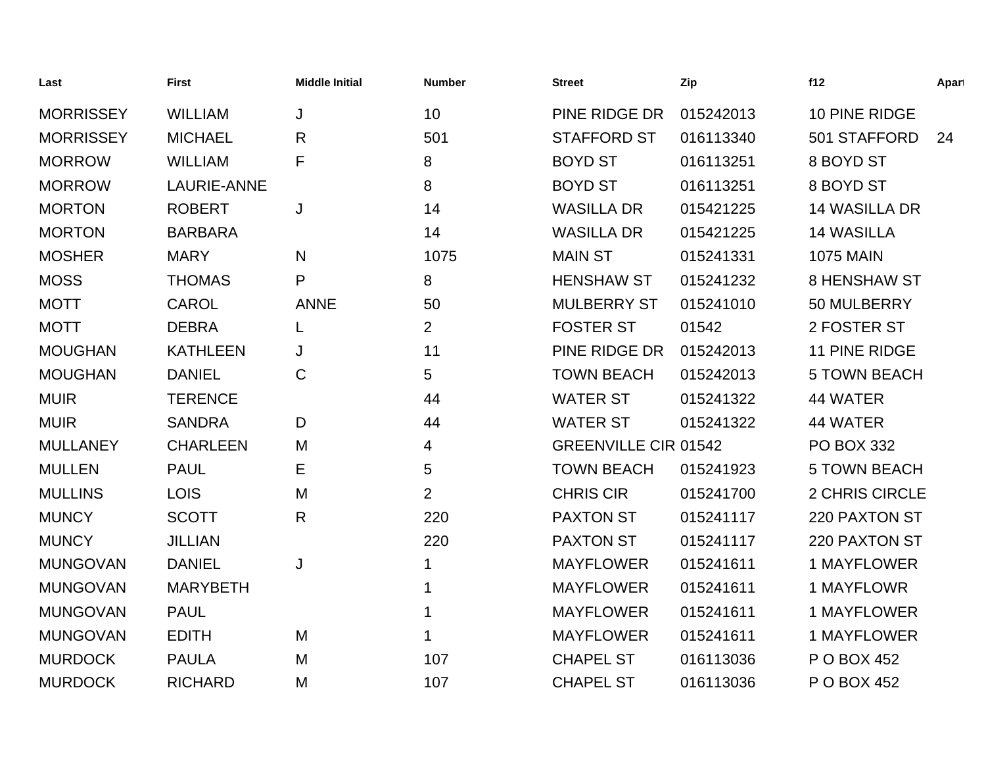| Last             | <b>First</b>    | <b>Middle Initial</b> | <b>Number</b>  | <b>Street</b>               | Zip       | f12                   | Apart |
|------------------|-----------------|-----------------------|----------------|-----------------------------|-----------|-----------------------|-------|
| <b>MORRISSEY</b> | <b>WILLIAM</b>  | J                     | 10             | PINE RIDGE DR               | 015242013 | 10 PINE RIDGE         |       |
| <b>MORRISSEY</b> | <b>MICHAEL</b>  | $\mathsf{R}$          | 501            | <b>STAFFORD ST</b>          | 016113340 | 501 STAFFORD          | 24    |
| <b>MORROW</b>    | <b>WILLIAM</b>  | F                     | 8              | <b>BOYD ST</b>              | 016113251 | 8 BOYD ST             |       |
| <b>MORROW</b>    | LAURIE-ANNE     |                       | 8              | <b>BOYD ST</b>              | 016113251 | 8 BOYD ST             |       |
| <b>MORTON</b>    | <b>ROBERT</b>   | J                     | 14             | <b>WASILLA DR</b>           | 015421225 | <b>14 WASILLA DR</b>  |       |
| <b>MORTON</b>    | <b>BARBARA</b>  |                       | 14             | <b>WASILLA DR</b>           | 015421225 | <b>14 WASILLA</b>     |       |
| <b>MOSHER</b>    | <b>MARY</b>     | N                     | 1075           | <b>MAIN ST</b>              | 015241331 | <b>1075 MAIN</b>      |       |
| <b>MOSS</b>      | <b>THOMAS</b>   | P                     | 8              | <b>HENSHAW ST</b>           | 015241232 | <b>8 HENSHAW ST</b>   |       |
| <b>MOTT</b>      | <b>CAROL</b>    | <b>ANNE</b>           | 50             | <b>MULBERRY ST</b>          | 015241010 | 50 MULBERRY           |       |
| <b>MOTT</b>      | <b>DEBRA</b>    | L                     | $\overline{2}$ | <b>FOSTER ST</b>            | 01542     | 2 FOSTER ST           |       |
| <b>MOUGHAN</b>   | <b>KATHLEEN</b> | J                     | 11             | PINE RIDGE DR               | 015242013 | 11 PINE RIDGE         |       |
| <b>MOUGHAN</b>   | <b>DANIEL</b>   | $\mathbf C$           | 5              | <b>TOWN BEACH</b>           | 015242013 | <b>5 TOWN BEACH</b>   |       |
| <b>MUIR</b>      | <b>TERENCE</b>  |                       | 44             | <b>WATER ST</b>             | 015241322 | 44 WATER              |       |
| <b>MUIR</b>      | <b>SANDRA</b>   | D                     | 44             | <b>WATER ST</b>             | 015241322 | 44 WATER              |       |
| <b>MULLANEY</b>  | <b>CHARLEEN</b> | M                     | 4              | <b>GREENVILLE CIR 01542</b> |           | <b>PO BOX 332</b>     |       |
| <b>MULLEN</b>    | <b>PAUL</b>     | Е                     | 5              | <b>TOWN BEACH</b>           | 015241923 | <b>5 TOWN BEACH</b>   |       |
| <b>MULLINS</b>   | <b>LOIS</b>     | M                     | $\overline{2}$ | <b>CHRIS CIR</b>            | 015241700 | <b>2 CHRIS CIRCLE</b> |       |
| <b>MUNCY</b>     | <b>SCOTT</b>    | $\mathsf{R}$          | 220            | <b>PAXTON ST</b>            | 015241117 | 220 PAXTON ST         |       |
| <b>MUNCY</b>     | <b>JILLIAN</b>  |                       | 220            | <b>PAXTON ST</b>            | 015241117 | 220 PAXTON ST         |       |
| <b>MUNGOVAN</b>  | <b>DANIEL</b>   | J                     | 1              | <b>MAYFLOWER</b>            | 015241611 | 1 MAYFLOWER           |       |
| <b>MUNGOVAN</b>  | <b>MARYBETH</b> |                       | 1              | <b>MAYFLOWER</b>            | 015241611 | 1 MAYFLOWR            |       |
| <b>MUNGOVAN</b>  | <b>PAUL</b>     |                       | 1              | <b>MAYFLOWER</b>            | 015241611 | 1 MAYFLOWER           |       |
| <b>MUNGOVAN</b>  | <b>EDITH</b>    | M                     |                | <b>MAYFLOWER</b>            | 015241611 | 1 MAYFLOWER           |       |
| <b>MURDOCK</b>   | <b>PAULA</b>    | M                     | 107            | <b>CHAPEL ST</b>            | 016113036 | P O BOX 452           |       |
| <b>MURDOCK</b>   | <b>RICHARD</b>  | M                     | 107            | <b>CHAPEL ST</b>            | 016113036 | P O BOX 452           |       |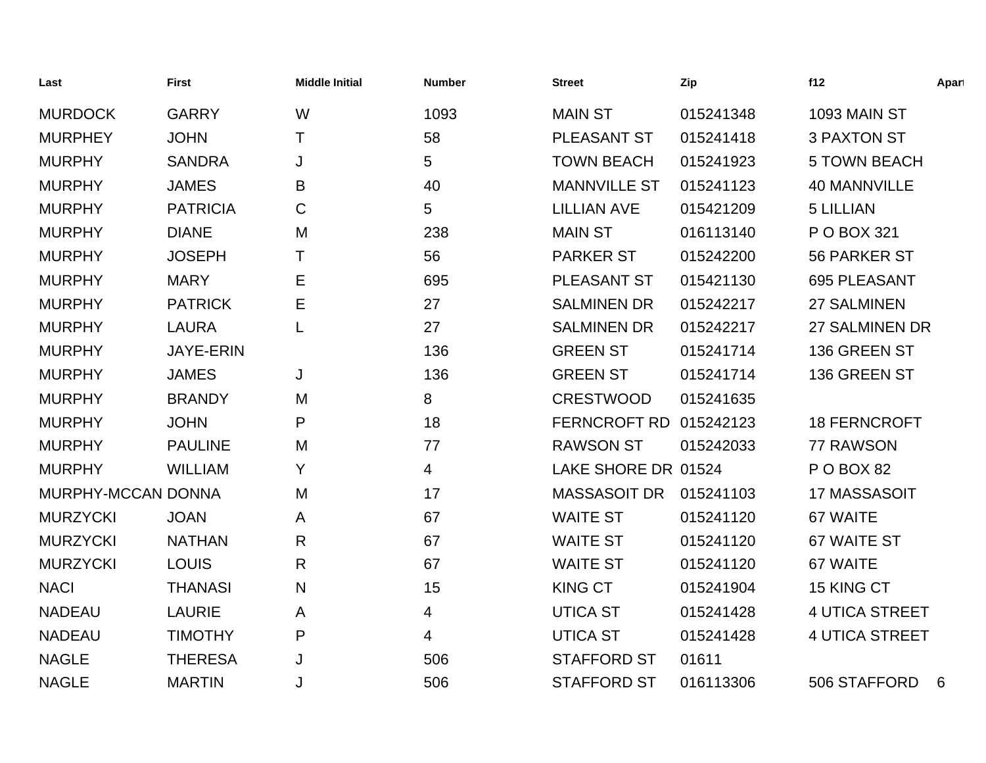| Last               | <b>First</b>     | <b>Middle Initial</b> | <b>Number</b>  | <b>Street</b>       | Zip       | f12                   | Apart |
|--------------------|------------------|-----------------------|----------------|---------------------|-----------|-----------------------|-------|
| <b>MURDOCK</b>     | <b>GARRY</b>     | W                     | 1093           | <b>MAIN ST</b>      | 015241348 | <b>1093 MAIN ST</b>   |       |
| <b>MURPHEY</b>     | <b>JOHN</b>      | Τ                     | 58             | <b>PLEASANT ST</b>  | 015241418 | <b>3 PAXTON ST</b>    |       |
| <b>MURPHY</b>      | <b>SANDRA</b>    | J                     | 5              | <b>TOWN BEACH</b>   | 015241923 | <b>5 TOWN BEACH</b>   |       |
| <b>MURPHY</b>      | <b>JAMES</b>     | B                     | 40             | <b>MANNVILLE ST</b> | 015241123 | <b>40 MANNVILLE</b>   |       |
| <b>MURPHY</b>      | <b>PATRICIA</b>  | C                     | 5              | <b>LILLIAN AVE</b>  | 015421209 | <b>5 LILLIAN</b>      |       |
| <b>MURPHY</b>      | <b>DIANE</b>     | M                     | 238            | <b>MAIN ST</b>      | 016113140 | P O BOX 321           |       |
| <b>MURPHY</b>      | <b>JOSEPH</b>    | т                     | 56             | <b>PARKER ST</b>    | 015242200 | 56 PARKER ST          |       |
| <b>MURPHY</b>      | <b>MARY</b>      | Е                     | 695            | PLEASANT ST         | 015421130 | 695 PLEASANT          |       |
| <b>MURPHY</b>      | <b>PATRICK</b>   | Е                     | 27             | <b>SALMINEN DR</b>  | 015242217 | <b>27 SALMINEN</b>    |       |
| <b>MURPHY</b>      | <b>LAURA</b>     |                       | 27             | <b>SALMINEN DR</b>  | 015242217 | 27 SALMINEN DR        |       |
| <b>MURPHY</b>      | <b>JAYE-ERIN</b> |                       | 136            | <b>GREEN ST</b>     | 015241714 | 136 GREEN ST          |       |
| <b>MURPHY</b>      | <b>JAMES</b>     | J                     | 136            | <b>GREEN ST</b>     | 015241714 | 136 GREEN ST          |       |
| <b>MURPHY</b>      | <b>BRANDY</b>    | M                     | 8              | <b>CRESTWOOD</b>    | 015241635 |                       |       |
| <b>MURPHY</b>      | <b>JOHN</b>      | P                     | 18             | <b>FERNCROFT RD</b> | 015242123 | <b>18 FERNCROFT</b>   |       |
| <b>MURPHY</b>      | <b>PAULINE</b>   | M                     | 77             | <b>RAWSON ST</b>    | 015242033 | 77 RAWSON             |       |
| <b>MURPHY</b>      | <b>WILLIAM</b>   | Υ                     | $\overline{4}$ | LAKE SHORE DR 01524 |           | P O BOX 82            |       |
| MURPHY-MCCAN DONNA |                  | M                     | 17             | <b>MASSASOIT DR</b> | 015241103 | 17 MASSASOIT          |       |
| <b>MURZYCKI</b>    | <b>JOAN</b>      | A                     | 67             | <b>WAITE ST</b>     | 015241120 | 67 WAITE              |       |
| <b>MURZYCKI</b>    | <b>NATHAN</b>    | R                     | 67             | <b>WAITE ST</b>     | 015241120 | 67 WAITE ST           |       |
| <b>MURZYCKI</b>    | <b>LOUIS</b>     | R                     | 67             | <b>WAITE ST</b>     | 015241120 | 67 WAITE              |       |
| <b>NACI</b>        | <b>THANASI</b>   | N                     | 15             | <b>KING CT</b>      | 015241904 | 15 KING CT            |       |
| <b>NADEAU</b>      | <b>LAURIE</b>    | A                     | 4              | <b>UTICA ST</b>     | 015241428 | <b>4 UTICA STREET</b> |       |
| <b>NADEAU</b>      | <b>TIMOTHY</b>   | P                     | 4              | <b>UTICA ST</b>     | 015241428 | <b>4 UTICA STREET</b> |       |
| <b>NAGLE</b>       | <b>THERESA</b>   | J                     | 506            | <b>STAFFORD ST</b>  | 01611     |                       |       |
| <b>NAGLE</b>       | <b>MARTIN</b>    | J                     | 506            | <b>STAFFORD ST</b>  | 016113306 | 506 STAFFORD          | 6     |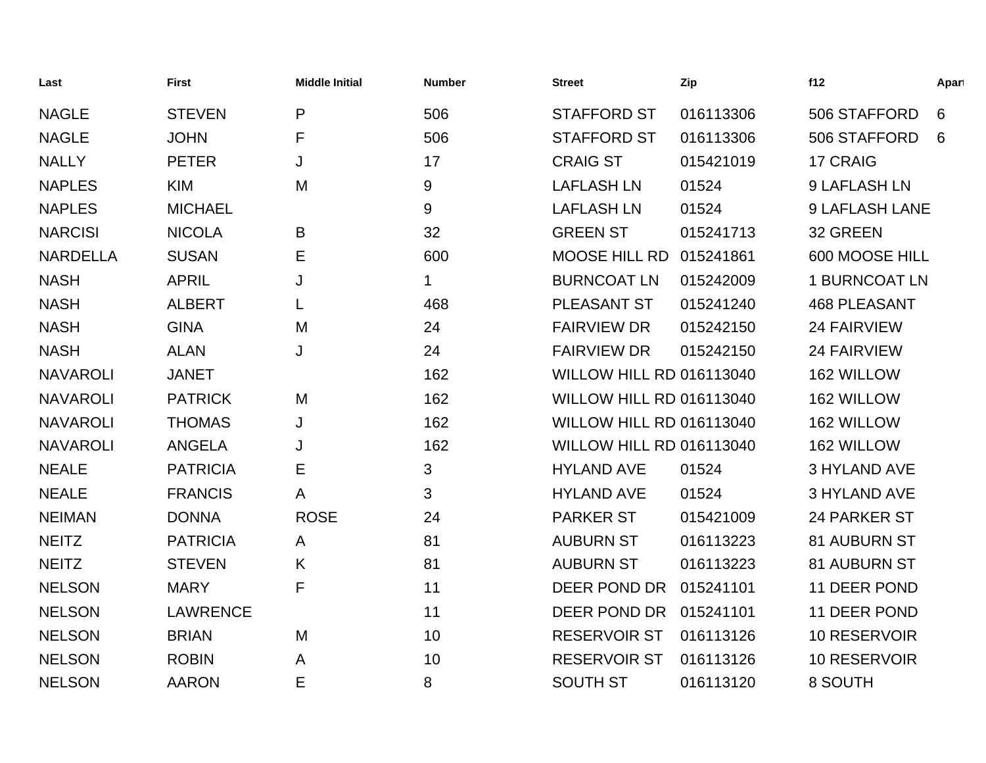| Last            | <b>First</b>    | <b>Middle Initial</b> | <b>Number</b> | <b>Street</b>                   | Zip       | f12                   | Apart |
|-----------------|-----------------|-----------------------|---------------|---------------------------------|-----------|-----------------------|-------|
| <b>NAGLE</b>    | <b>STEVEN</b>   | P                     | 506           | <b>STAFFORD ST</b>              | 016113306 | 506 STAFFORD          | 6     |
| <b>NAGLE</b>    | <b>JOHN</b>     | F                     | 506           | <b>STAFFORD ST</b>              | 016113306 | 506 STAFFORD          | 6     |
| <b>NALLY</b>    | <b>PETER</b>    | J                     | 17            | <b>CRAIG ST</b>                 | 015421019 | 17 CRAIG              |       |
| <b>NAPLES</b>   | <b>KIM</b>      | M                     | 9             | <b>LAFLASH LN</b>               | 01524     | 9 LAFLASH LN          |       |
| <b>NAPLES</b>   | <b>MICHAEL</b>  |                       | 9             | <b>LAFLASH LN</b>               | 01524     | <b>9 LAFLASH LANE</b> |       |
| <b>NARCISI</b>  | <b>NICOLA</b>   | B                     | 32            | <b>GREEN ST</b>                 | 015241713 | 32 GREEN              |       |
| <b>NARDELLA</b> | <b>SUSAN</b>    | Е                     | 600           | <b>MOOSE HILL RD</b>            | 015241861 | 600 MOOSE HILL        |       |
| <b>NASH</b>     | <b>APRIL</b>    | J                     | 1             | <b>BURNCOAT LN</b>              | 015242009 | <b>1 BURNCOAT LN</b>  |       |
| <b>NASH</b>     | <b>ALBERT</b>   | L                     | 468           | PLEASANT ST                     | 015241240 | <b>468 PLEASANT</b>   |       |
| <b>NASH</b>     | <b>GINA</b>     | M                     | 24            | <b>FAIRVIEW DR</b>              | 015242150 | <b>24 FAIRVIEW</b>    |       |
| <b>NASH</b>     | <b>ALAN</b>     | J                     | 24            | <b>FAIRVIEW DR</b>              | 015242150 | <b>24 FAIRVIEW</b>    |       |
| <b>NAVAROLI</b> | <b>JANET</b>    |                       | 162           | <b>WILLOW HILL RD 016113040</b> |           | 162 WILLOW            |       |
| <b>NAVAROLI</b> | <b>PATRICK</b>  | M                     | 162           | <b>WILLOW HILL RD 016113040</b> |           | 162 WILLOW            |       |
| <b>NAVAROLI</b> | <b>THOMAS</b>   | J                     | 162           | WILLOW HILL RD 016113040        |           | 162 WILLOW            |       |
| <b>NAVAROLI</b> | <b>ANGELA</b>   | J                     | 162           | WILLOW HILL RD 016113040        |           | 162 WILLOW            |       |
| <b>NEALE</b>    | <b>PATRICIA</b> | Е                     | 3             | <b>HYLAND AVE</b>               | 01524     | <b>3 HYLAND AVE</b>   |       |
| <b>NEALE</b>    | <b>FRANCIS</b>  | A                     | 3             | <b>HYLAND AVE</b>               | 01524     | <b>3 HYLAND AVE</b>   |       |
| <b>NEIMAN</b>   | <b>DONNA</b>    | <b>ROSE</b>           | 24            | <b>PARKER ST</b>                | 015421009 | 24 PARKER ST          |       |
| <b>NEITZ</b>    | <b>PATRICIA</b> | A                     | 81            | <b>AUBURN ST</b>                | 016113223 | 81 AUBURN ST          |       |
| <b>NEITZ</b>    | <b>STEVEN</b>   | K                     | 81            | <b>AUBURN ST</b>                | 016113223 | 81 AUBURN ST          |       |
| <b>NELSON</b>   | <b>MARY</b>     | F                     | 11            | DEER POND DR                    | 015241101 | 11 DEER POND          |       |
| <b>NELSON</b>   | <b>LAWRENCE</b> |                       | 11            | DEER POND DR                    | 015241101 | 11 DEER POND          |       |
| <b>NELSON</b>   | <b>BRIAN</b>    | M                     | 10            | <b>RESERVOIR ST</b>             | 016113126 | 10 RESERVOIR          |       |
| <b>NELSON</b>   | <b>ROBIN</b>    | A                     | 10            | <b>RESERVOIR ST</b>             | 016113126 | 10 RESERVOIR          |       |
| <b>NELSON</b>   | <b>AARON</b>    | E                     | 8             | <b>SOUTH ST</b>                 | 016113120 | 8 SOUTH               |       |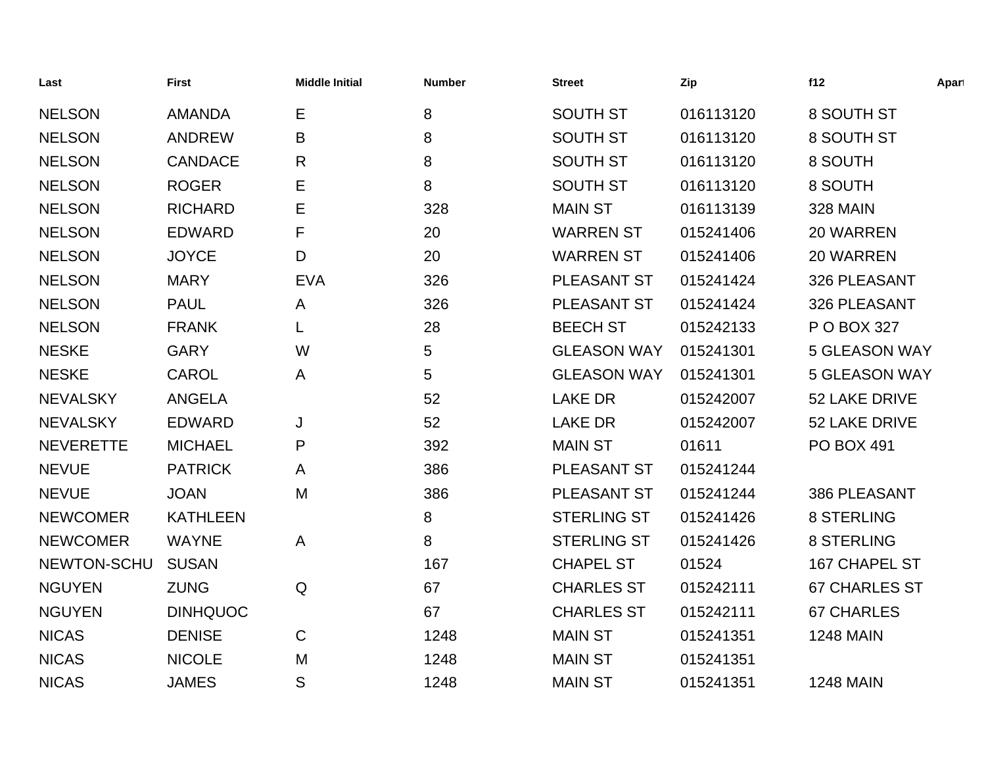| Last             | <b>First</b>    | <b>Middle Initial</b> | <b>Number</b> | <b>Street</b>      | Zip       | f12                  | Apart |
|------------------|-----------------|-----------------------|---------------|--------------------|-----------|----------------------|-------|
| <b>NELSON</b>    | <b>AMANDA</b>   | Е                     | 8             | <b>SOUTH ST</b>    | 016113120 | 8 SOUTH ST           |       |
| <b>NELSON</b>    | <b>ANDREW</b>   | B                     | 8             | <b>SOUTH ST</b>    | 016113120 | 8 SOUTH ST           |       |
| <b>NELSON</b>    | <b>CANDACE</b>  | $\mathsf{R}$          | 8             | <b>SOUTH ST</b>    | 016113120 | 8 SOUTH              |       |
| <b>NELSON</b>    | <b>ROGER</b>    | E                     | 8             | <b>SOUTH ST</b>    | 016113120 | 8 SOUTH              |       |
| <b>NELSON</b>    | <b>RICHARD</b>  | Е                     | 328           | <b>MAIN ST</b>     | 016113139 | <b>328 MAIN</b>      |       |
| <b>NELSON</b>    | <b>EDWARD</b>   | F                     | 20            | <b>WARREN ST</b>   | 015241406 | 20 WARREN            |       |
| <b>NELSON</b>    | <b>JOYCE</b>    | D                     | 20            | <b>WARREN ST</b>   | 015241406 | 20 WARREN            |       |
| <b>NELSON</b>    | <b>MARY</b>     | <b>EVA</b>            | 326           | PLEASANT ST        | 015241424 | 326 PLEASANT         |       |
| <b>NELSON</b>    | <b>PAUL</b>     | A                     | 326           | PLEASANT ST        | 015241424 | 326 PLEASANT         |       |
| <b>NELSON</b>    | <b>FRANK</b>    | L                     | 28            | <b>BEECH ST</b>    | 015242133 | P O BOX 327          |       |
| <b>NESKE</b>     | <b>GARY</b>     | W                     | 5             | <b>GLEASON WAY</b> | 015241301 | <b>5 GLEASON WAY</b> |       |
| <b>NESKE</b>     | CAROL           | A                     | 5             | <b>GLEASON WAY</b> | 015241301 | <b>5 GLEASON WAY</b> |       |
| <b>NEVALSKY</b>  | <b>ANGELA</b>   |                       | 52            | <b>LAKE DR</b>     | 015242007 | 52 LAKE DRIVE        |       |
| <b>NEVALSKY</b>  | <b>EDWARD</b>   | J                     | 52            | <b>LAKE DR</b>     | 015242007 | 52 LAKE DRIVE        |       |
| <b>NEVERETTE</b> | <b>MICHAEL</b>  | P                     | 392           | <b>MAIN ST</b>     | 01611     | <b>PO BOX 491</b>    |       |
| <b>NEVUE</b>     | <b>PATRICK</b>  | A                     | 386           | <b>PLEASANT ST</b> | 015241244 |                      |       |
| <b>NEVUE</b>     | <b>JOAN</b>     | M                     | 386           | PLEASANT ST        | 015241244 | 386 PLEASANT         |       |
| <b>NEWCOMER</b>  | <b>KATHLEEN</b> |                       | 8             | <b>STERLING ST</b> | 015241426 | <b>8 STERLING</b>    |       |
| <b>NEWCOMER</b>  | <b>WAYNE</b>    | $\mathsf{A}$          | 8             | <b>STERLING ST</b> | 015241426 | <b>8 STERLING</b>    |       |
| NEWTON-SCHU      | <b>SUSAN</b>    |                       | 167           | <b>CHAPEL ST</b>   | 01524     | 167 CHAPEL ST        |       |
| <b>NGUYEN</b>    | <b>ZUNG</b>     | Q                     | 67            | <b>CHARLES ST</b>  | 015242111 | <b>67 CHARLES ST</b> |       |
| <b>NGUYEN</b>    | <b>DINHQUOC</b> |                       | 67            | <b>CHARLES ST</b>  | 015242111 | <b>67 CHARLES</b>    |       |
| <b>NICAS</b>     | <b>DENISE</b>   | $\mathsf C$           | 1248          | <b>MAIN ST</b>     | 015241351 | <b>1248 MAIN</b>     |       |
| <b>NICAS</b>     | <b>NICOLE</b>   | M                     | 1248          | <b>MAIN ST</b>     | 015241351 |                      |       |
| <b>NICAS</b>     | <b>JAMES</b>    | S                     | 1248          | <b>MAIN ST</b>     | 015241351 | <b>1248 MAIN</b>     |       |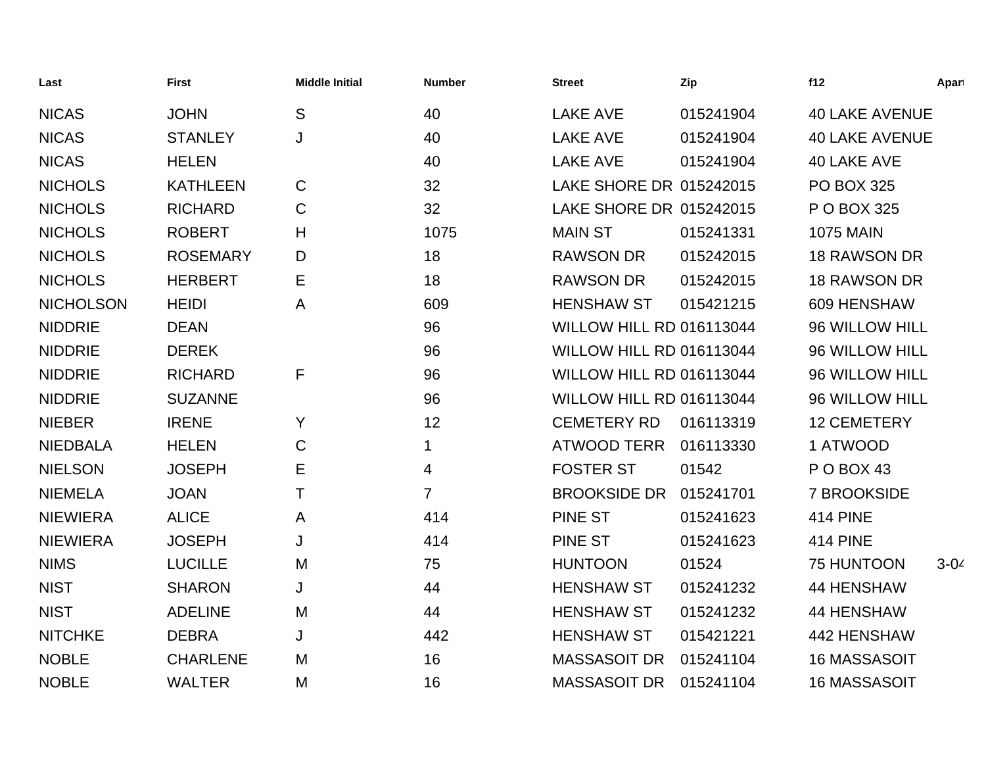| Last             | <b>First</b>    | <b>Middle Initial</b> | <b>Number</b>  | <b>Street</b>                   | Zip       | f12                   | Apart    |
|------------------|-----------------|-----------------------|----------------|---------------------------------|-----------|-----------------------|----------|
| <b>NICAS</b>     | <b>JOHN</b>     | S                     | 40             | <b>LAKE AVE</b>                 | 015241904 | <b>40 LAKE AVENUE</b> |          |
| <b>NICAS</b>     | <b>STANLEY</b>  | J                     | 40             | <b>LAKE AVE</b>                 | 015241904 | <b>40 LAKE AVENUE</b> |          |
| <b>NICAS</b>     | <b>HELEN</b>    |                       | 40             | <b>LAKE AVE</b>                 | 015241904 | 40 LAKE AVE           |          |
| <b>NICHOLS</b>   | <b>KATHLEEN</b> | $\mathsf C$           | 32             | LAKE SHORE DR 015242015         |           | <b>PO BOX 325</b>     |          |
| <b>NICHOLS</b>   | <b>RICHARD</b>  | $\mathsf C$           | 32             | LAKE SHORE DR 015242015         |           | P O BOX 325           |          |
| <b>NICHOLS</b>   | <b>ROBERT</b>   | Н                     | 1075           | <b>MAIN ST</b>                  | 015241331 | <b>1075 MAIN</b>      |          |
| <b>NICHOLS</b>   | <b>ROSEMARY</b> | D                     | 18             | <b>RAWSON DR</b>                | 015242015 | <b>18 RAWSON DR</b>   |          |
| <b>NICHOLS</b>   | <b>HERBERT</b>  | Е                     | 18             | <b>RAWSON DR</b>                | 015242015 | <b>18 RAWSON DR</b>   |          |
| <b>NICHOLSON</b> | <b>HEIDI</b>    | A                     | 609            | <b>HENSHAW ST</b>               | 015421215 | 609 HENSHAW           |          |
| <b>NIDDRIE</b>   | <b>DEAN</b>     |                       | 96             | <b>WILLOW HILL RD 016113044</b> |           | 96 WILLOW HILL        |          |
| <b>NIDDRIE</b>   | <b>DEREK</b>    |                       | 96             | WILLOW HILL RD 016113044        |           | 96 WILLOW HILL        |          |
| <b>NIDDRIE</b>   | <b>RICHARD</b>  | F                     | 96             | <b>WILLOW HILL RD 016113044</b> |           | 96 WILLOW HILL        |          |
| <b>NIDDRIE</b>   | <b>SUZANNE</b>  |                       | 96             | <b>WILLOW HILL RD 016113044</b> |           | 96 WILLOW HILL        |          |
| <b>NIEBER</b>    | <b>IRENE</b>    | Y                     | 12             | <b>CEMETERY RD</b>              | 016113319 | <b>12 CEMETERY</b>    |          |
| <b>NIEDBALA</b>  | <b>HELEN</b>    | C                     | $\mathbf{1}$   | <b>ATWOOD TERR</b>              | 016113330 | 1 ATWOOD              |          |
| <b>NIELSON</b>   | <b>JOSEPH</b>   | Е                     | $\overline{4}$ | <b>FOSTER ST</b>                | 01542     | P O BOX 43            |          |
| <b>NIEMELA</b>   | <b>JOAN</b>     | T                     | $\overline{7}$ | <b>BROOKSIDE DR</b>             | 015241701 | 7 BROOKSIDE           |          |
| <b>NIEWIERA</b>  | <b>ALICE</b>    | Α                     | 414            | <b>PINE ST</b>                  | 015241623 | <b>414 PINE</b>       |          |
| <b>NIEWIERA</b>  | <b>JOSEPH</b>   | J                     | 414            | <b>PINE ST</b>                  | 015241623 | <b>414 PINE</b>       |          |
| <b>NIMS</b>      | <b>LUCILLE</b>  | M                     | 75             | <b>HUNTOON</b>                  | 01524     | 75 HUNTOON            | $3 - 04$ |
| <b>NIST</b>      | <b>SHARON</b>   | J                     | 44             | <b>HENSHAW ST</b>               | 015241232 | <b>44 HENSHAW</b>     |          |
| <b>NIST</b>      | <b>ADELINE</b>  | M                     | 44             | <b>HENSHAW ST</b>               | 015241232 | <b>44 HENSHAW</b>     |          |
| <b>NITCHKE</b>   | <b>DEBRA</b>    | J                     | 442            | <b>HENSHAW ST</b>               | 015421221 | 442 HENSHAW           |          |
| <b>NOBLE</b>     | <b>CHARLENE</b> | M                     | 16             | <b>MASSASOIT DR</b>             | 015241104 | <b>16 MASSASOIT</b>   |          |
| <b>NOBLE</b>     | <b>WALTER</b>   | M                     | 16             | <b>MASSASOIT DR</b>             | 015241104 | <b>16 MASSASOIT</b>   |          |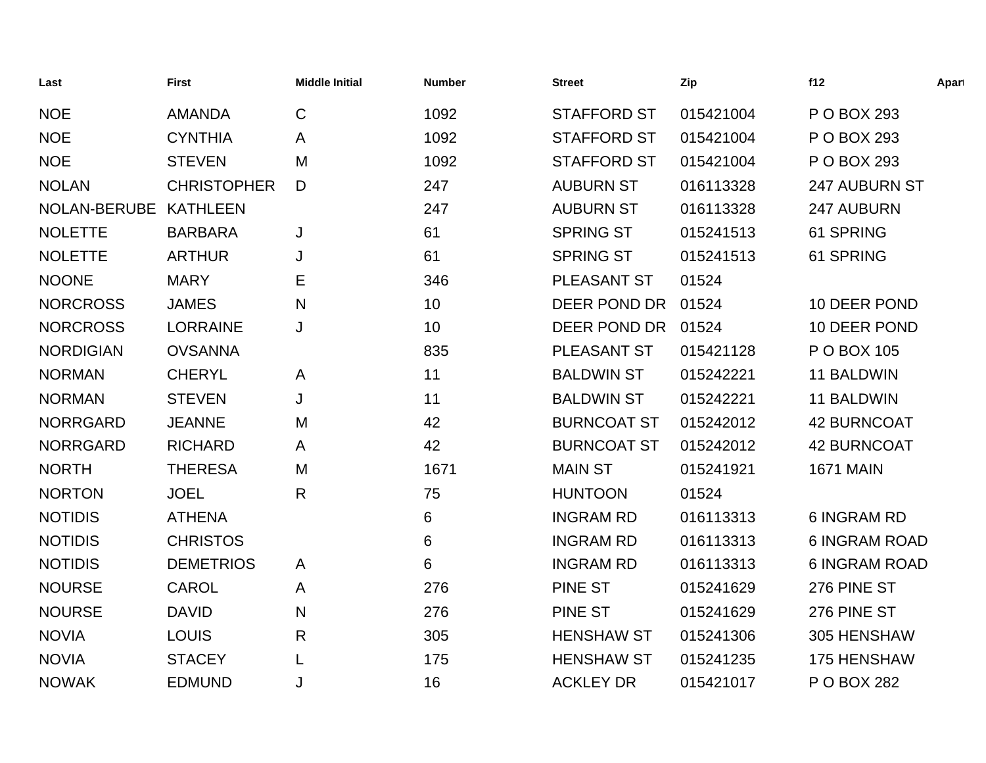| Last             | <b>First</b>       | <b>Middle Initial</b> | <b>Number</b>   | <b>Street</b>      | Zip       | f12                  | Apart |
|------------------|--------------------|-----------------------|-----------------|--------------------|-----------|----------------------|-------|
| <b>NOE</b>       | <b>AMANDA</b>      | $\mathsf{C}$          | 1092            | <b>STAFFORD ST</b> | 015421004 | P O BOX 293          |       |
| <b>NOE</b>       | <b>CYNTHIA</b>     | A                     | 1092            | <b>STAFFORD ST</b> | 015421004 | P O BOX 293          |       |
| <b>NOE</b>       | <b>STEVEN</b>      | M                     | 1092            | <b>STAFFORD ST</b> | 015421004 | P O BOX 293          |       |
| <b>NOLAN</b>     | <b>CHRISTOPHER</b> | D                     | 247             | <b>AUBURN ST</b>   | 016113328 | 247 AUBURN ST        |       |
| NOLAN-BERUBE     | <b>KATHLEEN</b>    |                       | 247             | <b>AUBURN ST</b>   | 016113328 | 247 AUBURN           |       |
| <b>NOLETTE</b>   | <b>BARBARA</b>     | J                     | 61              | <b>SPRING ST</b>   | 015241513 | 61 SPRING            |       |
| <b>NOLETTE</b>   | <b>ARTHUR</b>      | J                     | 61              | <b>SPRING ST</b>   | 015241513 | 61 SPRING            |       |
| <b>NOONE</b>     | <b>MARY</b>        | Е                     | 346             | PLEASANT ST        | 01524     |                      |       |
| <b>NORCROSS</b>  | <b>JAMES</b>       | N                     | 10 <sup>°</sup> | DEER POND DR       | 01524     | 10 DEER POND         |       |
| <b>NORCROSS</b>  | <b>LORRAINE</b>    | J                     | 10 <sup>°</sup> | DEER POND DR       | 01524     | 10 DEER POND         |       |
| <b>NORDIGIAN</b> | <b>OVSANNA</b>     |                       | 835             | PLEASANT ST        | 015421128 | P O BOX 105          |       |
| <b>NORMAN</b>    | <b>CHERYL</b>      | A                     | 11              | <b>BALDWIN ST</b>  | 015242221 | 11 BALDWIN           |       |
| <b>NORMAN</b>    | <b>STEVEN</b>      | J                     | 11              | <b>BALDWIN ST</b>  | 015242221 | 11 BALDWIN           |       |
| <b>NORRGARD</b>  | <b>JEANNE</b>      | M                     | 42              | <b>BURNCOAT ST</b> | 015242012 | <b>42 BURNCOAT</b>   |       |
| <b>NORRGARD</b>  | <b>RICHARD</b>     | A                     | 42              | <b>BURNCOAT ST</b> | 015242012 | <b>42 BURNCOAT</b>   |       |
| <b>NORTH</b>     | <b>THERESA</b>     | M                     | 1671            | <b>MAIN ST</b>     | 015241921 | <b>1671 MAIN</b>     |       |
| <b>NORTON</b>    | <b>JOEL</b>        | $\mathsf{R}$          | 75              | <b>HUNTOON</b>     | 01524     |                      |       |
| <b>NOTIDIS</b>   | <b>ATHENA</b>      |                       | 6               | <b>INGRAM RD</b>   | 016113313 | <b>6 INGRAM RD</b>   |       |
| <b>NOTIDIS</b>   | <b>CHRISTOS</b>    |                       | 6               | <b>INGRAM RD</b>   | 016113313 | <b>6 INGRAM ROAD</b> |       |
| <b>NOTIDIS</b>   | <b>DEMETRIOS</b>   | A                     | 6               | <b>INGRAM RD</b>   | 016113313 | <b>6 INGRAM ROAD</b> |       |
| <b>NOURSE</b>    | CAROL              | A                     | 276             | <b>PINE ST</b>     | 015241629 | 276 PINE ST          |       |
| <b>NOURSE</b>    | <b>DAVID</b>       | $\mathsf{N}$          | 276             | PINE ST            | 015241629 | 276 PINE ST          |       |
| <b>NOVIA</b>     | <b>LOUIS</b>       | R                     | 305             | <b>HENSHAW ST</b>  | 015241306 | 305 HENSHAW          |       |
| <b>NOVIA</b>     | <b>STACEY</b>      | L                     | 175             | <b>HENSHAW ST</b>  | 015241235 | 175 HENSHAW          |       |
| <b>NOWAK</b>     | <b>EDMUND</b>      | J                     | 16              | <b>ACKLEY DR</b>   | 015421017 | P O BOX 282          |       |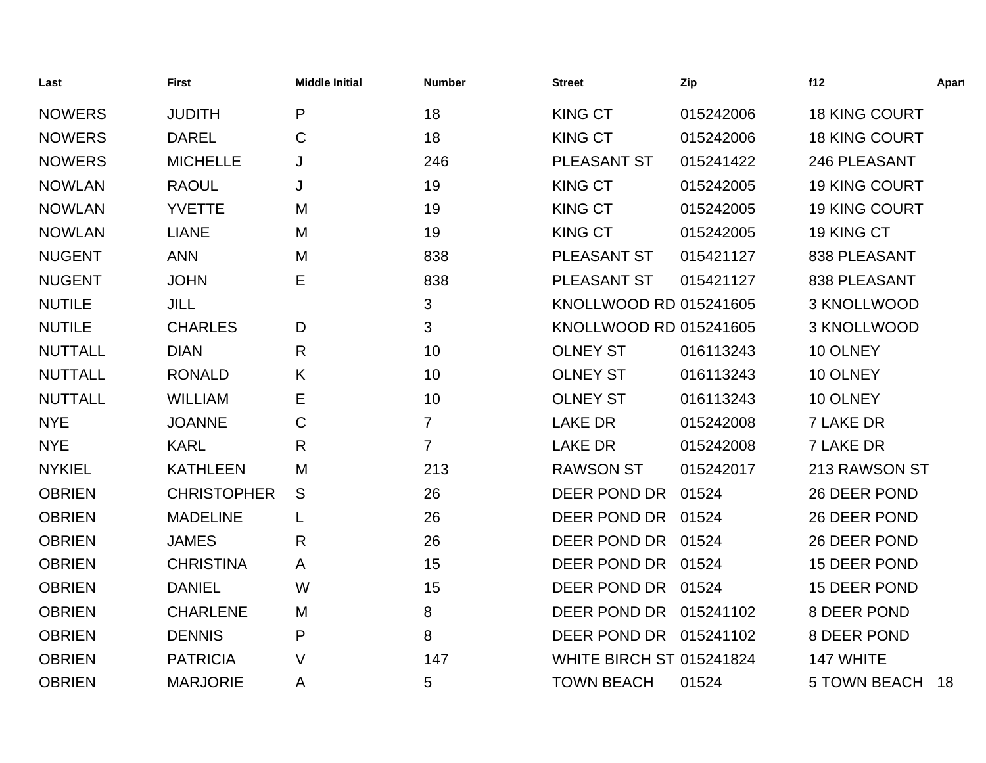| Last           | <b>First</b>       | <b>Middle Initial</b> | <b>Number</b>  | <b>Street</b>                   | Zip       | f12                  | Apart |
|----------------|--------------------|-----------------------|----------------|---------------------------------|-----------|----------------------|-------|
| <b>NOWERS</b>  | <b>JUDITH</b>      | P                     | 18             | <b>KING CT</b>                  | 015242006 | <b>18 KING COURT</b> |       |
| <b>NOWERS</b>  | <b>DAREL</b>       | $\mathsf{C}$          | 18             | <b>KING CT</b>                  | 015242006 | <b>18 KING COURT</b> |       |
| <b>NOWERS</b>  | <b>MICHELLE</b>    | J                     | 246            | PLEASANT ST                     | 015241422 | 246 PLEASANT         |       |
| <b>NOWLAN</b>  | <b>RAOUL</b>       | J                     | 19             | <b>KING CT</b>                  | 015242005 | 19 KING COURT        |       |
| <b>NOWLAN</b>  | <b>YVETTE</b>      | M                     | 19             | <b>KING CT</b>                  | 015242005 | 19 KING COURT        |       |
| <b>NOWLAN</b>  | <b>LIANE</b>       | M                     | 19             | <b>KING CT</b>                  | 015242005 | 19 KING CT           |       |
| <b>NUGENT</b>  | <b>ANN</b>         | M                     | 838            | PLEASANT ST                     | 015421127 | 838 PLEASANT         |       |
| <b>NUGENT</b>  | <b>JOHN</b>        | E                     | 838            | PLEASANT ST                     | 015421127 | 838 PLEASANT         |       |
| <b>NUTILE</b>  | <b>JILL</b>        |                       | 3              | KNOLLWOOD RD 015241605          |           | 3 KNOLLWOOD          |       |
| <b>NUTILE</b>  | <b>CHARLES</b>     | D                     | $\mathbf{3}$   | KNOLLWOOD RD 015241605          |           | 3 KNOLLWOOD          |       |
| <b>NUTTALL</b> | <b>DIAN</b>        | R                     | 10             | <b>OLNEY ST</b>                 | 016113243 | 10 OLNEY             |       |
| <b>NUTTALL</b> | <b>RONALD</b>      | K                     | 10             | <b>OLNEY ST</b>                 | 016113243 | 10 OLNEY             |       |
| <b>NUTTALL</b> | <b>WILLIAM</b>     | Е                     | 10             | <b>OLNEY ST</b>                 | 016113243 | 10 OLNEY             |       |
| <b>NYE</b>     | <b>JOANNE</b>      | C                     | $\overline{7}$ | <b>LAKE DR</b>                  | 015242008 | <b>7 LAKE DR</b>     |       |
| <b>NYE</b>     | <b>KARL</b>        | R                     | $\overline{7}$ | <b>LAKE DR</b>                  | 015242008 | 7 LAKE DR            |       |
| <b>NYKIEL</b>  | <b>KATHLEEN</b>    | M                     | 213            | <b>RAWSON ST</b>                | 015242017 | 213 RAWSON ST        |       |
| <b>OBRIEN</b>  | <b>CHRISTOPHER</b> | S                     | 26             | DEER POND DR                    | 01524     | 26 DEER POND         |       |
| <b>OBRIEN</b>  | <b>MADELINE</b>    | L                     | 26             | DEER POND DR                    | 01524     | 26 DEER POND         |       |
| <b>OBRIEN</b>  | <b>JAMES</b>       | $\mathsf{R}$          | 26             | DEER POND DR                    | 01524     | 26 DEER POND         |       |
| <b>OBRIEN</b>  | <b>CHRISTINA</b>   | A                     | 15             | DEER POND DR 01524              |           | 15 DEER POND         |       |
| <b>OBRIEN</b>  | <b>DANIEL</b>      | W                     | 15             | DEER POND DR 01524              |           | 15 DEER POND         |       |
| <b>OBRIEN</b>  | <b>CHARLENE</b>    | M                     | 8              | DEER POND DR 015241102          |           | 8 DEER POND          |       |
| <b>OBRIEN</b>  | <b>DENNIS</b>      | P                     | 8              | DEER POND DR 015241102          |           | 8 DEER POND          |       |
| <b>OBRIEN</b>  | <b>PATRICIA</b>    | $\vee$                | 147            | <b>WHITE BIRCH ST 015241824</b> |           | 147 WHITE            |       |
| <b>OBRIEN</b>  | <b>MARJORIE</b>    | A                     | 5              | <b>TOWN BEACH</b>               | 01524     | <b>5 TOWN BEACH</b>  | 18    |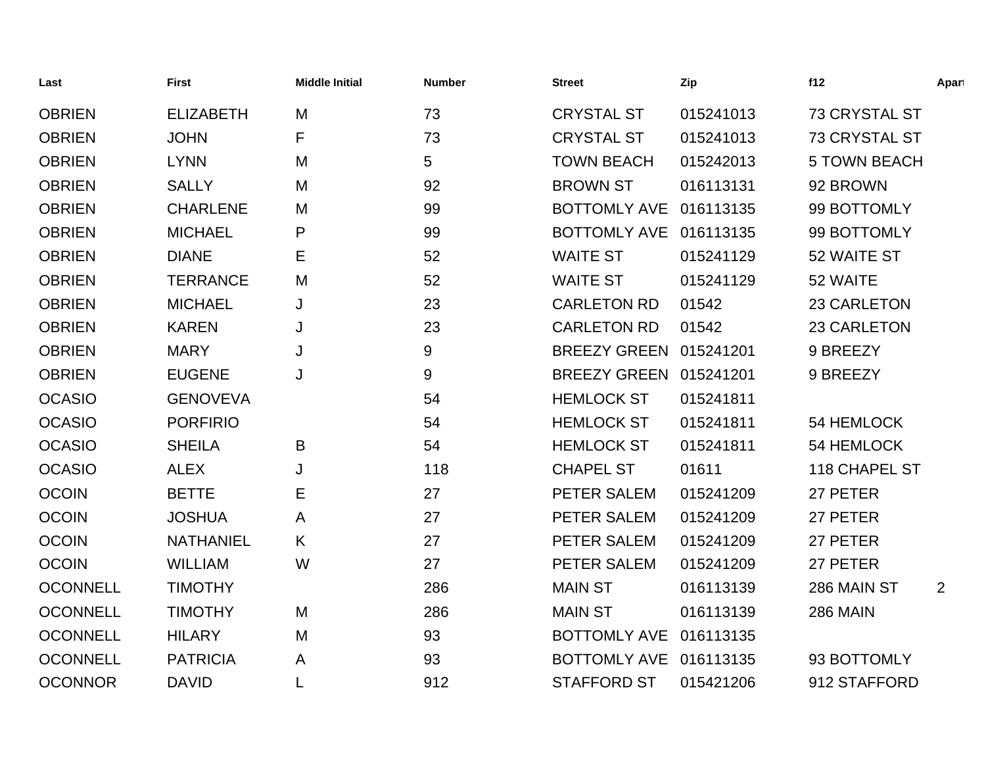| Last            | <b>First</b>     | <b>Middle Initial</b> | <b>Number</b> | <b>Street</b>          | Zip       | f12                  | Apart          |
|-----------------|------------------|-----------------------|---------------|------------------------|-----------|----------------------|----------------|
| <b>OBRIEN</b>   | <b>ELIZABETH</b> | M                     | 73            | <b>CRYSTAL ST</b>      | 015241013 | 73 CRYSTAL ST        |                |
| <b>OBRIEN</b>   | <b>JOHN</b>      | F                     | 73            | <b>CRYSTAL ST</b>      | 015241013 | <b>73 CRYSTAL ST</b> |                |
| <b>OBRIEN</b>   | <b>LYNN</b>      | M                     | 5             | <b>TOWN BEACH</b>      | 015242013 | <b>5 TOWN BEACH</b>  |                |
| <b>OBRIEN</b>   | <b>SALLY</b>     | M                     | 92            | <b>BROWN ST</b>        | 016113131 | 92 BROWN             |                |
| <b>OBRIEN</b>   | <b>CHARLENE</b>  | M                     | 99            | <b>BOTTOMLY AVE</b>    | 016113135 | 99 BOTTOMLY          |                |
| <b>OBRIEN</b>   | <b>MICHAEL</b>   | P                     | 99            | BOTTOMLY AVE 016113135 |           | 99 BOTTOMLY          |                |
| <b>OBRIEN</b>   | <b>DIANE</b>     | Е                     | 52            | <b>WAITE ST</b>        | 015241129 | 52 WAITE ST          |                |
| <b>OBRIEN</b>   | <b>TERRANCE</b>  | M                     | 52            | <b>WAITE ST</b>        | 015241129 | 52 WAITE             |                |
| <b>OBRIEN</b>   | <b>MICHAEL</b>   | J                     | 23            | <b>CARLETON RD</b>     | 01542     | 23 CARLETON          |                |
| <b>OBRIEN</b>   | <b>KAREN</b>     | J                     | 23            | <b>CARLETON RD</b>     | 01542     | 23 CARLETON          |                |
| <b>OBRIEN</b>   | <b>MARY</b>      | J                     | 9             | <b>BREEZY GREEN</b>    | 015241201 | 9 BREEZY             |                |
| <b>OBRIEN</b>   | <b>EUGENE</b>    | J                     | 9             | <b>BREEZY GREEN</b>    | 015241201 | 9 BREEZY             |                |
| <b>OCASIO</b>   | <b>GENOVEVA</b>  |                       | 54            | <b>HEMLOCK ST</b>      | 015241811 |                      |                |
| <b>OCASIO</b>   | <b>PORFIRIO</b>  |                       | 54            | <b>HEMLOCK ST</b>      | 015241811 | 54 HEMLOCK           |                |
| <b>OCASIO</b>   | <b>SHEILA</b>    | B                     | 54            | <b>HEMLOCK ST</b>      | 015241811 | 54 HEMLOCK           |                |
| <b>OCASIO</b>   | <b>ALEX</b>      | J                     | 118           | <b>CHAPEL ST</b>       | 01611     | 118 CHAPEL ST        |                |
| <b>OCOIN</b>    | <b>BETTE</b>     | Ε                     | 27            | PETER SALEM            | 015241209 | 27 PETER             |                |
| <b>OCOIN</b>    | <b>JOSHUA</b>    | A                     | 27            | PETER SALEM            | 015241209 | 27 PETER             |                |
| <b>OCOIN</b>    | <b>NATHANIEL</b> | K                     | 27            | PETER SALEM            | 015241209 | 27 PETER             |                |
| <b>OCOIN</b>    | <b>WILLIAM</b>   | W                     | 27            | PETER SALEM            | 015241209 | 27 PETER             |                |
| <b>OCONNELL</b> | <b>TIMOTHY</b>   |                       | 286           | <b>MAIN ST</b>         | 016113139 | 286 MAIN ST          | $\overline{2}$ |
| <b>OCONNELL</b> | <b>TIMOTHY</b>   | M                     | 286           | <b>MAIN ST</b>         | 016113139 | <b>286 MAIN</b>      |                |
| <b>OCONNELL</b> | <b>HILARY</b>    | M                     | 93            | <b>BOTTOMLY AVE</b>    | 016113135 |                      |                |
| <b>OCONNELL</b> | <b>PATRICIA</b>  | A                     | 93            | <b>BOTTOMLY AVE</b>    | 016113135 | 93 BOTTOMLY          |                |
| <b>OCONNOR</b>  | <b>DAVID</b>     | L                     | 912           | <b>STAFFORD ST</b>     | 015421206 | 912 STAFFORD         |                |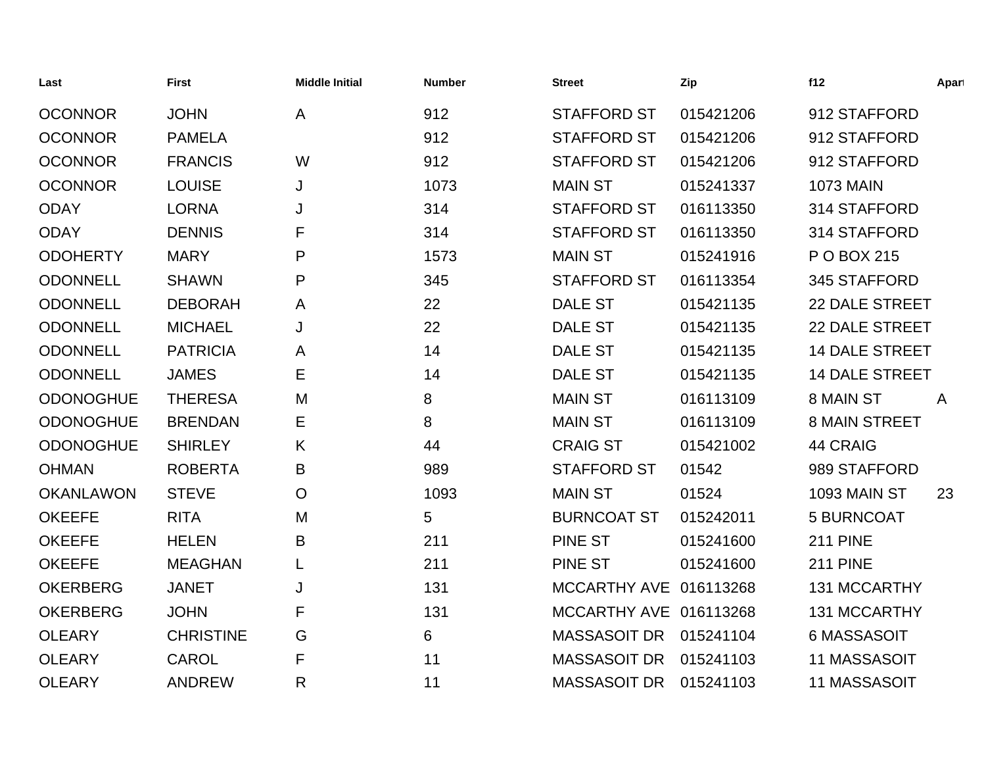| Last             | <b>First</b>     | <b>Middle Initial</b> | <b>Number</b> | <b>Street</b>          | Zip       | f12                   | Apart        |
|------------------|------------------|-----------------------|---------------|------------------------|-----------|-----------------------|--------------|
| <b>OCONNOR</b>   | <b>JOHN</b>      | Α                     | 912           | <b>STAFFORD ST</b>     | 015421206 | 912 STAFFORD          |              |
| <b>OCONNOR</b>   | <b>PAMELA</b>    |                       | 912           | <b>STAFFORD ST</b>     | 015421206 | 912 STAFFORD          |              |
| <b>OCONNOR</b>   | <b>FRANCIS</b>   | W                     | 912           | <b>STAFFORD ST</b>     | 015421206 | 912 STAFFORD          |              |
| <b>OCONNOR</b>   | <b>LOUISE</b>    | J                     | 1073          | <b>MAIN ST</b>         | 015241337 | <b>1073 MAIN</b>      |              |
| <b>ODAY</b>      | <b>LORNA</b>     | J                     | 314           | <b>STAFFORD ST</b>     | 016113350 | 314 STAFFORD          |              |
| <b>ODAY</b>      | <b>DENNIS</b>    | F                     | 314           | <b>STAFFORD ST</b>     | 016113350 | 314 STAFFORD          |              |
| <b>ODOHERTY</b>  | <b>MARY</b>      | P                     | 1573          | <b>MAIN ST</b>         | 015241916 | P O BOX 215           |              |
| <b>ODONNELL</b>  | <b>SHAWN</b>     | P                     | 345           | <b>STAFFORD ST</b>     | 016113354 | 345 STAFFORD          |              |
| <b>ODONNELL</b>  | <b>DEBORAH</b>   | A                     | 22            | <b>DALE ST</b>         | 015421135 | <b>22 DALE STREET</b> |              |
| <b>ODONNELL</b>  | <b>MICHAEL</b>   | J                     | 22            | <b>DALE ST</b>         | 015421135 | <b>22 DALE STREET</b> |              |
| <b>ODONNELL</b>  | <b>PATRICIA</b>  | A                     | 14            | <b>DALE ST</b>         | 015421135 | <b>14 DALE STREET</b> |              |
| <b>ODONNELL</b>  | <b>JAMES</b>     | Е                     | 14            | <b>DALE ST</b>         | 015421135 | <b>14 DALE STREET</b> |              |
| <b>ODONOGHUE</b> | <b>THERESA</b>   | M                     | 8             | <b>MAIN ST</b>         | 016113109 | 8 MAIN ST             | $\mathsf{A}$ |
| <b>ODONOGHUE</b> | <b>BRENDAN</b>   | Е                     | 8             | <b>MAIN ST</b>         | 016113109 | <b>8 MAIN STREET</b>  |              |
| <b>ODONOGHUE</b> | <b>SHIRLEY</b>   | K                     | 44            | <b>CRAIG ST</b>        | 015421002 | 44 CRAIG              |              |
| <b>OHMAN</b>     | <b>ROBERTA</b>   | B                     | 989           | <b>STAFFORD ST</b>     | 01542     | 989 STAFFORD          |              |
| <b>OKANLAWON</b> | <b>STEVE</b>     | $\overline{O}$        | 1093          | <b>MAIN ST</b>         | 01524     | 1093 MAIN ST          | 23           |
| <b>OKEEFE</b>    | <b>RITA</b>      | M                     | 5             | <b>BURNCOAT ST</b>     | 015242011 | 5 BURNCOAT            |              |
| <b>OKEEFE</b>    | <b>HELEN</b>     | B                     | 211           | <b>PINE ST</b>         | 015241600 | <b>211 PINE</b>       |              |
| <b>OKEEFE</b>    | <b>MEAGHAN</b>   |                       | 211           | <b>PINE ST</b>         | 015241600 | <b>211 PINE</b>       |              |
| <b>OKERBERG</b>  | <b>JANET</b>     | J                     | 131           | <b>MCCARTHY AVE</b>    | 016113268 | 131 MCCARTHY          |              |
| <b>OKERBERG</b>  | <b>JOHN</b>      | F                     | 131           | MCCARTHY AVE 016113268 |           | 131 MCCARTHY          |              |
| <b>OLEARY</b>    | <b>CHRISTINE</b> | G                     | 6             | <b>MASSASOIT DR</b>    | 015241104 | <b>6 MASSASOIT</b>    |              |
| <b>OLEARY</b>    | <b>CAROL</b>     | F                     | 11            | <b>MASSASOIT DR</b>    | 015241103 | <b>11 MASSASOIT</b>   |              |
| <b>OLEARY</b>    | <b>ANDREW</b>    | R                     | 11            | <b>MASSASOIT DR</b>    | 015241103 | 11 MASSASOIT          |              |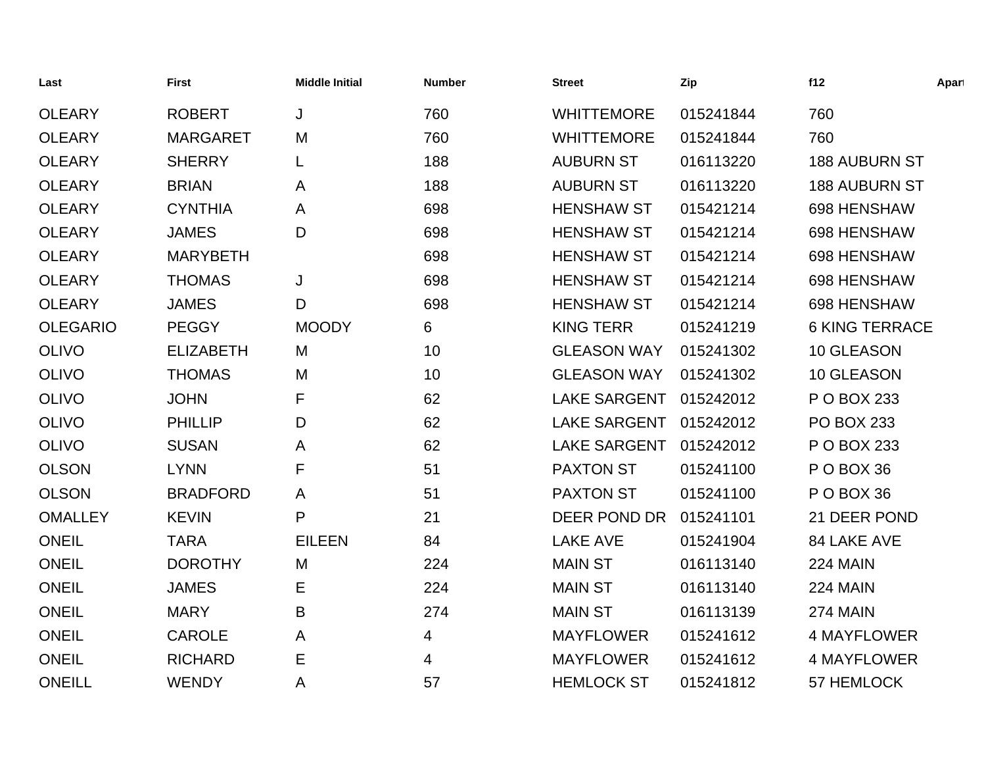| Last            | <b>First</b>     | <b>Middle Initial</b> | <b>Number</b> | <b>Street</b>       | Zip       | f12                   | Apart |
|-----------------|------------------|-----------------------|---------------|---------------------|-----------|-----------------------|-------|
| <b>OLEARY</b>   | <b>ROBERT</b>    | J                     | 760           | <b>WHITTEMORE</b>   | 015241844 | 760                   |       |
| <b>OLEARY</b>   | <b>MARGARET</b>  | M                     | 760           | <b>WHITTEMORE</b>   | 015241844 | 760                   |       |
| <b>OLEARY</b>   | <b>SHERRY</b>    | L                     | 188           | <b>AUBURN ST</b>    | 016113220 | <b>188 AUBURN ST</b>  |       |
| <b>OLEARY</b>   | <b>BRIAN</b>     | A                     | 188           | <b>AUBURN ST</b>    | 016113220 | <b>188 AUBURN ST</b>  |       |
| <b>OLEARY</b>   | <b>CYNTHIA</b>   | A                     | 698           | <b>HENSHAW ST</b>   | 015421214 | 698 HENSHAW           |       |
| <b>OLEARY</b>   | <b>JAMES</b>     | D                     | 698           | <b>HENSHAW ST</b>   | 015421214 | 698 HENSHAW           |       |
| <b>OLEARY</b>   | <b>MARYBETH</b>  |                       | 698           | <b>HENSHAW ST</b>   | 015421214 | 698 HENSHAW           |       |
| <b>OLEARY</b>   | <b>THOMAS</b>    | J                     | 698           | <b>HENSHAW ST</b>   | 015421214 | 698 HENSHAW           |       |
| <b>OLEARY</b>   | <b>JAMES</b>     | D                     | 698           | <b>HENSHAW ST</b>   | 015421214 | 698 HENSHAW           |       |
| <b>OLEGARIO</b> | <b>PEGGY</b>     | <b>MOODY</b>          | 6             | <b>KING TERR</b>    | 015241219 | <b>6 KING TERRACE</b> |       |
| <b>OLIVO</b>    | <b>ELIZABETH</b> | M                     | 10            | <b>GLEASON WAY</b>  | 015241302 | 10 GLEASON            |       |
| <b>OLIVO</b>    | <b>THOMAS</b>    | M                     | 10            | <b>GLEASON WAY</b>  | 015241302 | 10 GLEASON            |       |
| <b>OLIVO</b>    | <b>JOHN</b>      | F                     | 62            | <b>LAKE SARGENT</b> | 015242012 | P O BOX 233           |       |
| <b>OLIVO</b>    | <b>PHILLIP</b>   | D                     | 62            | <b>LAKE SARGENT</b> | 015242012 | <b>PO BOX 233</b>     |       |
| <b>OLIVO</b>    | <b>SUSAN</b>     | A                     | 62            | <b>LAKE SARGENT</b> | 015242012 | P O BOX 233           |       |
| <b>OLSON</b>    | <b>LYNN</b>      | F                     | 51            | <b>PAXTON ST</b>    | 015241100 | POBOX 36              |       |
| <b>OLSON</b>    | <b>BRADFORD</b>  | A                     | 51            | <b>PAXTON ST</b>    | 015241100 | PO BOX 36             |       |
| <b>OMALLEY</b>  | <b>KEVIN</b>     | P                     | 21            | DEER POND DR        | 015241101 | 21 DEER POND          |       |
| <b>ONEIL</b>    | <b>TARA</b>      | <b>EILEEN</b>         | 84            | <b>LAKE AVE</b>     | 015241904 | 84 LAKE AVE           |       |
| <b>ONEIL</b>    | <b>DOROTHY</b>   | M                     | 224           | <b>MAIN ST</b>      | 016113140 | 224 MAIN              |       |
| <b>ONEIL</b>    | <b>JAMES</b>     | Е                     | 224           | <b>MAIN ST</b>      | 016113140 | 224 MAIN              |       |
| <b>ONEIL</b>    | <b>MARY</b>      | B                     | 274           | <b>MAIN ST</b>      | 016113139 | <b>274 MAIN</b>       |       |
| <b>ONEIL</b>    | <b>CAROLE</b>    | A                     | 4             | <b>MAYFLOWER</b>    | 015241612 | <b>4 MAYFLOWER</b>    |       |
| <b>ONEIL</b>    | <b>RICHARD</b>   | E                     | 4             | <b>MAYFLOWER</b>    | 015241612 | <b>4 MAYFLOWER</b>    |       |
| <b>ONEILL</b>   | <b>WENDY</b>     | A                     | 57            | <b>HEMLOCK ST</b>   | 015241812 | 57 HEMLOCK            |       |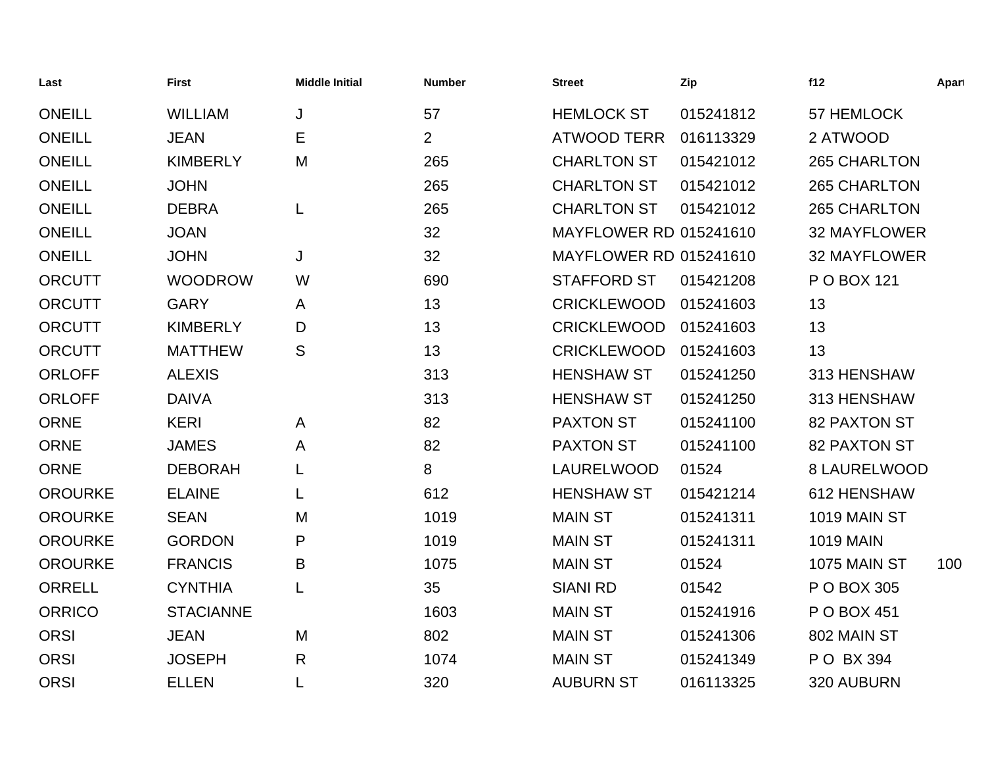| Last           | <b>First</b>     | <b>Middle Initial</b> | <b>Number</b>  | <b>Street</b>                 | Zip       | f12                 | Apart |
|----------------|------------------|-----------------------|----------------|-------------------------------|-----------|---------------------|-------|
| <b>ONEILL</b>  | <b>WILLIAM</b>   | J                     | 57             | <b>HEMLOCK ST</b>             | 015241812 | 57 HEMLOCK          |       |
| <b>ONEILL</b>  | <b>JEAN</b>      | Ε                     | $\overline{2}$ | <b>ATWOOD TERR</b>            | 016113329 | 2 ATWOOD            |       |
| <b>ONEILL</b>  | <b>KIMBERLY</b>  | M                     | 265            | <b>CHARLTON ST</b>            | 015421012 | 265 CHARLTON        |       |
| <b>ONEILL</b>  | <b>JOHN</b>      |                       | 265            | <b>CHARLTON ST</b>            | 015421012 | 265 CHARLTON        |       |
| <b>ONEILL</b>  | <b>DEBRA</b>     | L                     | 265            | <b>CHARLTON ST</b>            | 015421012 | 265 CHARLTON        |       |
| <b>ONEILL</b>  | <b>JOAN</b>      |                       | 32             | <b>MAYFLOWER RD 015241610</b> |           | <b>32 MAYFLOWER</b> |       |
| <b>ONEILL</b>  | <b>JOHN</b>      | J                     | 32             | <b>MAYFLOWER RD 015241610</b> |           | <b>32 MAYFLOWER</b> |       |
| <b>ORCUTT</b>  | <b>WOODROW</b>   | W                     | 690            | <b>STAFFORD ST</b>            | 015421208 | P O BOX 121         |       |
| <b>ORCUTT</b>  | <b>GARY</b>      | A                     | 13             | <b>CRICKLEWOOD</b>            | 015241603 | 13                  |       |
| <b>ORCUTT</b>  | <b>KIMBERLY</b>  | D                     | 13             | <b>CRICKLEWOOD</b>            | 015241603 | 13                  |       |
| <b>ORCUTT</b>  | <b>MATTHEW</b>   | S                     | 13             | <b>CRICKLEWOOD</b>            | 015241603 | 13                  |       |
| <b>ORLOFF</b>  | <b>ALEXIS</b>    |                       | 313            | <b>HENSHAW ST</b>             | 015241250 | 313 HENSHAW         |       |
| <b>ORLOFF</b>  | <b>DAIVA</b>     |                       | 313            | <b>HENSHAW ST</b>             | 015241250 | 313 HENSHAW         |       |
| <b>ORNE</b>    | <b>KERI</b>      | A                     | 82             | <b>PAXTON ST</b>              | 015241100 | <b>82 PAXTON ST</b> |       |
| <b>ORNE</b>    | <b>JAMES</b>     | A                     | 82             | <b>PAXTON ST</b>              | 015241100 | <b>82 PAXTON ST</b> |       |
| <b>ORNE</b>    | <b>DEBORAH</b>   | L                     | 8              | LAURELWOOD                    | 01524     | 8 LAURELWOOD        |       |
| <b>OROURKE</b> | <b>ELAINE</b>    | L                     | 612            | <b>HENSHAW ST</b>             | 015421214 | 612 HENSHAW         |       |
| <b>OROURKE</b> | <b>SEAN</b>      | M                     | 1019           | <b>MAIN ST</b>                | 015241311 | 1019 MAIN ST        |       |
| <b>OROURKE</b> | <b>GORDON</b>    | P                     | 1019           | <b>MAIN ST</b>                | 015241311 | <b>1019 MAIN</b>    |       |
| <b>OROURKE</b> | <b>FRANCIS</b>   | B                     | 1075           | <b>MAIN ST</b>                | 01524     | 1075 MAIN ST        | 100   |
| <b>ORRELL</b>  | <b>CYNTHIA</b>   | L                     | 35             | <b>SIANI RD</b>               | 01542     | P O BOX 305         |       |
| <b>ORRICO</b>  | <b>STACIANNE</b> |                       | 1603           | <b>MAIN ST</b>                | 015241916 | P O BOX 451         |       |
| <b>ORSI</b>    | <b>JEAN</b>      | M                     | 802            | <b>MAIN ST</b>                | 015241306 | 802 MAIN ST         |       |
| <b>ORSI</b>    | <b>JOSEPH</b>    | $\mathsf{R}$          | 1074           | <b>MAIN ST</b>                | 015241349 | P O BX 394          |       |
| <b>ORSI</b>    | <b>ELLEN</b>     | L                     | 320            | <b>AUBURN ST</b>              | 016113325 | 320 AUBURN          |       |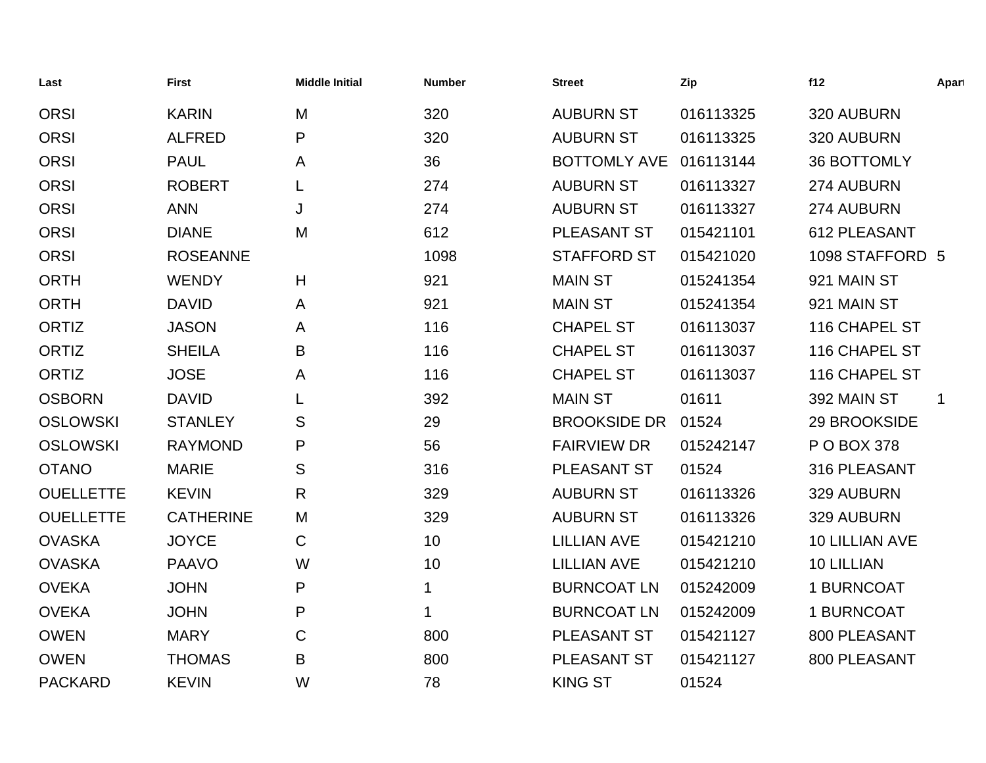| Last             | <b>First</b>     | <b>Middle Initial</b> | <b>Number</b> | <b>Street</b>       | Zip       | f12                | Apart       |
|------------------|------------------|-----------------------|---------------|---------------------|-----------|--------------------|-------------|
| <b>ORSI</b>      | <b>KARIN</b>     | M                     | 320           | <b>AUBURN ST</b>    | 016113325 | 320 AUBURN         |             |
| <b>ORSI</b>      | <b>ALFRED</b>    | P                     | 320           | <b>AUBURN ST</b>    | 016113325 | 320 AUBURN         |             |
| <b>ORSI</b>      | <b>PAUL</b>      | A                     | 36            | <b>BOTTOMLY AVE</b> | 016113144 | <b>36 BOTTOMLY</b> |             |
| <b>ORSI</b>      | <b>ROBERT</b>    |                       | 274           | <b>AUBURN ST</b>    | 016113327 | 274 AUBURN         |             |
| <b>ORSI</b>      | <b>ANN</b>       | J                     | 274           | <b>AUBURN ST</b>    | 016113327 | 274 AUBURN         |             |
| <b>ORSI</b>      | <b>DIANE</b>     | M                     | 612           | PLEASANT ST         | 015421101 | 612 PLEASANT       |             |
| <b>ORSI</b>      | <b>ROSEANNE</b>  |                       | 1098          | <b>STAFFORD ST</b>  | 015421020 | 1098 STAFFORD 5    |             |
| <b>ORTH</b>      | <b>WENDY</b>     | H                     | 921           | <b>MAIN ST</b>      | 015241354 | 921 MAIN ST        |             |
| <b>ORTH</b>      | <b>DAVID</b>     | A                     | 921           | <b>MAIN ST</b>      | 015241354 | 921 MAIN ST        |             |
| <b>ORTIZ</b>     | <b>JASON</b>     | A                     | 116           | <b>CHAPEL ST</b>    | 016113037 | 116 CHAPEL ST      |             |
| ORTIZ            | <b>SHEILA</b>    | Β                     | 116           | <b>CHAPEL ST</b>    | 016113037 | 116 CHAPEL ST      |             |
| <b>ORTIZ</b>     | <b>JOSE</b>      | A                     | 116           | <b>CHAPEL ST</b>    | 016113037 | 116 CHAPEL ST      |             |
| <b>OSBORN</b>    | <b>DAVID</b>     |                       | 392           | <b>MAIN ST</b>      | 01611     | 392 MAIN ST        | $\mathbf 1$ |
| <b>OSLOWSKI</b>  | <b>STANLEY</b>   | S                     | 29            | <b>BROOKSIDE DR</b> | 01524     | 29 BROOKSIDE       |             |
| <b>OSLOWSKI</b>  | <b>RAYMOND</b>   | P                     | 56            | <b>FAIRVIEW DR</b>  | 015242147 | P O BOX 378        |             |
| <b>OTANO</b>     | <b>MARIE</b>     | S                     | 316           | PLEASANT ST         | 01524     | 316 PLEASANT       |             |
| <b>OUELLETTE</b> | <b>KEVIN</b>     | R                     | 329           | <b>AUBURN ST</b>    | 016113326 | 329 AUBURN         |             |
| <b>OUELLETTE</b> | <b>CATHERINE</b> | M                     | 329           | <b>AUBURN ST</b>    | 016113326 | 329 AUBURN         |             |
| <b>OVASKA</b>    | <b>JOYCE</b>     | $\mathsf C$           | 10            | <b>LILLIAN AVE</b>  | 015421210 | 10 LILLIAN AVE     |             |
| <b>OVASKA</b>    | <b>PAAVO</b>     | W                     | 10            | <b>LILLIAN AVE</b>  | 015421210 | 10 LILLIAN         |             |
| <b>OVEKA</b>     | <b>JOHN</b>      | P                     | 1             | <b>BURNCOAT LN</b>  | 015242009 | 1 BURNCOAT         |             |
| <b>OVEKA</b>     | <b>JOHN</b>      | P                     | 1             | <b>BURNCOAT LN</b>  | 015242009 | 1 BURNCOAT         |             |
| <b>OWEN</b>      | <b>MARY</b>      | C                     | 800           | PLEASANT ST         | 015421127 | 800 PLEASANT       |             |
| <b>OWEN</b>      | <b>THOMAS</b>    | B                     | 800           | PLEASANT ST         | 015421127 | 800 PLEASANT       |             |
| <b>PACKARD</b>   | <b>KEVIN</b>     | W                     | 78            | <b>KING ST</b>      | 01524     |                    |             |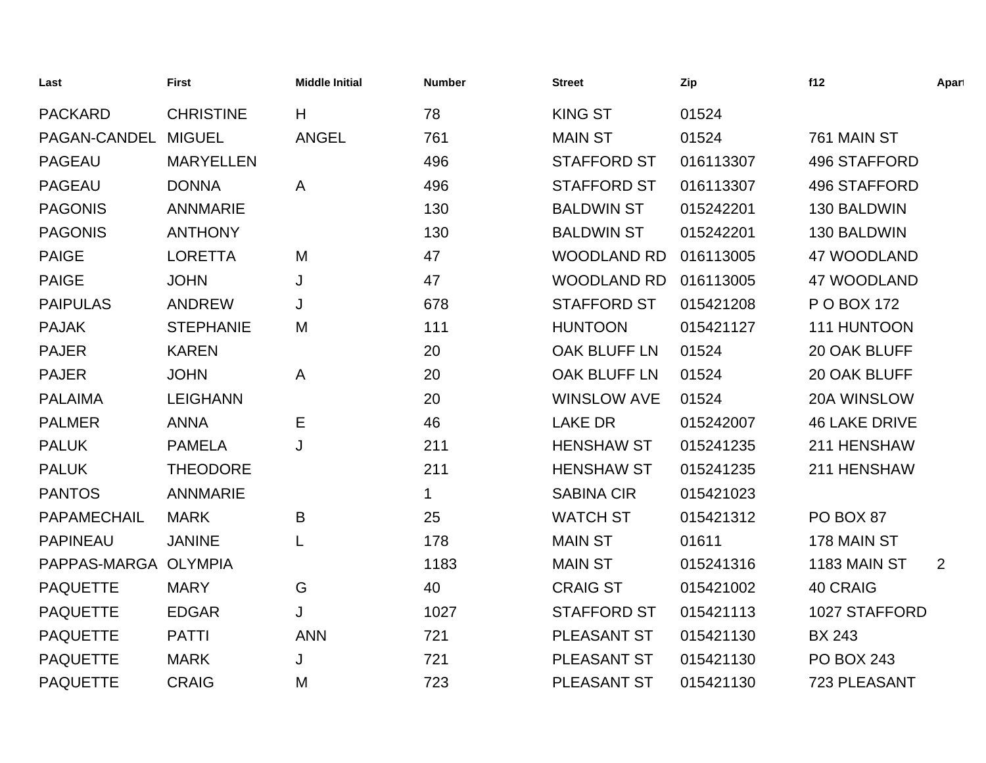| Last                 | <b>First</b>     | <b>Middle Initial</b> | <b>Number</b> | <b>Street</b>      | Zip       | f12                  | Apart |
|----------------------|------------------|-----------------------|---------------|--------------------|-----------|----------------------|-------|
| <b>PACKARD</b>       | <b>CHRISTINE</b> | H                     | 78            | <b>KING ST</b>     | 01524     |                      |       |
| PAGAN-CANDEL         | <b>MIGUEL</b>    | <b>ANGEL</b>          | 761           | <b>MAIN ST</b>     | 01524     | 761 MAIN ST          |       |
| <b>PAGEAU</b>        | <b>MARYELLEN</b> |                       | 496           | <b>STAFFORD ST</b> | 016113307 | <b>496 STAFFORD</b>  |       |
| <b>PAGEAU</b>        | <b>DONNA</b>     | A                     | 496           | <b>STAFFORD ST</b> | 016113307 | <b>496 STAFFORD</b>  |       |
| <b>PAGONIS</b>       | <b>ANNMARIE</b>  |                       | 130           | <b>BALDWIN ST</b>  | 015242201 | 130 BALDWIN          |       |
| <b>PAGONIS</b>       | <b>ANTHONY</b>   |                       | 130           | <b>BALDWIN ST</b>  | 015242201 | 130 BALDWIN          |       |
| <b>PAIGE</b>         | <b>LORETTA</b>   | M                     | 47            | <b>WOODLAND RD</b> | 016113005 | 47 WOODLAND          |       |
| <b>PAIGE</b>         | <b>JOHN</b>      | J                     | 47            | <b>WOODLAND RD</b> | 016113005 | 47 WOODLAND          |       |
| <b>PAIPULAS</b>      | <b>ANDREW</b>    | J                     | 678           | <b>STAFFORD ST</b> | 015421208 | P O BOX 172          |       |
| <b>PAJAK</b>         | <b>STEPHANIE</b> | M                     | 111           | <b>HUNTOON</b>     | 015421127 | 111 HUNTOON          |       |
| <b>PAJER</b>         | <b>KAREN</b>     |                       | 20            | OAK BLUFF LN       | 01524     | 20 OAK BLUFF         |       |
| <b>PAJER</b>         | <b>JOHN</b>      | Α                     | 20            | OAK BLUFF LN       | 01524     | 20 OAK BLUFF         |       |
| <b>PALAIMA</b>       | <b>LEIGHANN</b>  |                       | 20            | <b>WINSLOW AVE</b> | 01524     | 20A WINSLOW          |       |
| <b>PALMER</b>        | <b>ANNA</b>      | Е                     | 46            | <b>LAKE DR</b>     | 015242007 | <b>46 LAKE DRIVE</b> |       |
| <b>PALUK</b>         | <b>PAMELA</b>    | J                     | 211           | <b>HENSHAW ST</b>  | 015241235 | 211 HENSHAW          |       |
| <b>PALUK</b>         | <b>THEODORE</b>  |                       | 211           | <b>HENSHAW ST</b>  | 015241235 | 211 HENSHAW          |       |
| <b>PANTOS</b>        | <b>ANNMARIE</b>  |                       | 1             | <b>SABINA CIR</b>  | 015421023 |                      |       |
| PAPAMECHAIL          | <b>MARK</b>      | B                     | 25            | <b>WATCH ST</b>    | 015421312 | PO BOX 87            |       |
| <b>PAPINEAU</b>      | <b>JANINE</b>    | L                     | 178           | <b>MAIN ST</b>     | 01611     | 178 MAIN ST          |       |
| PAPPAS-MARGA OLYMPIA |                  |                       | 1183          | <b>MAIN ST</b>     | 015241316 | 1183 MAIN ST         | 2     |
| <b>PAQUETTE</b>      | <b>MARY</b>      | G                     | 40            | <b>CRAIG ST</b>    | 015421002 | 40 CRAIG             |       |
| <b>PAQUETTE</b>      | <b>EDGAR</b>     | J                     | 1027          | <b>STAFFORD ST</b> | 015421113 | 1027 STAFFORD        |       |
| <b>PAQUETTE</b>      | <b>PATTI</b>     | <b>ANN</b>            | 721           | PLEASANT ST        | 015421130 | <b>BX 243</b>        |       |
| <b>PAQUETTE</b>      | <b>MARK</b>      | J                     | 721           | <b>PLEASANT ST</b> | 015421130 | <b>PO BOX 243</b>    |       |
| <b>PAQUETTE</b>      | <b>CRAIG</b>     | M                     | 723           | <b>PLEASANT ST</b> | 015421130 | 723 PLEASANT         |       |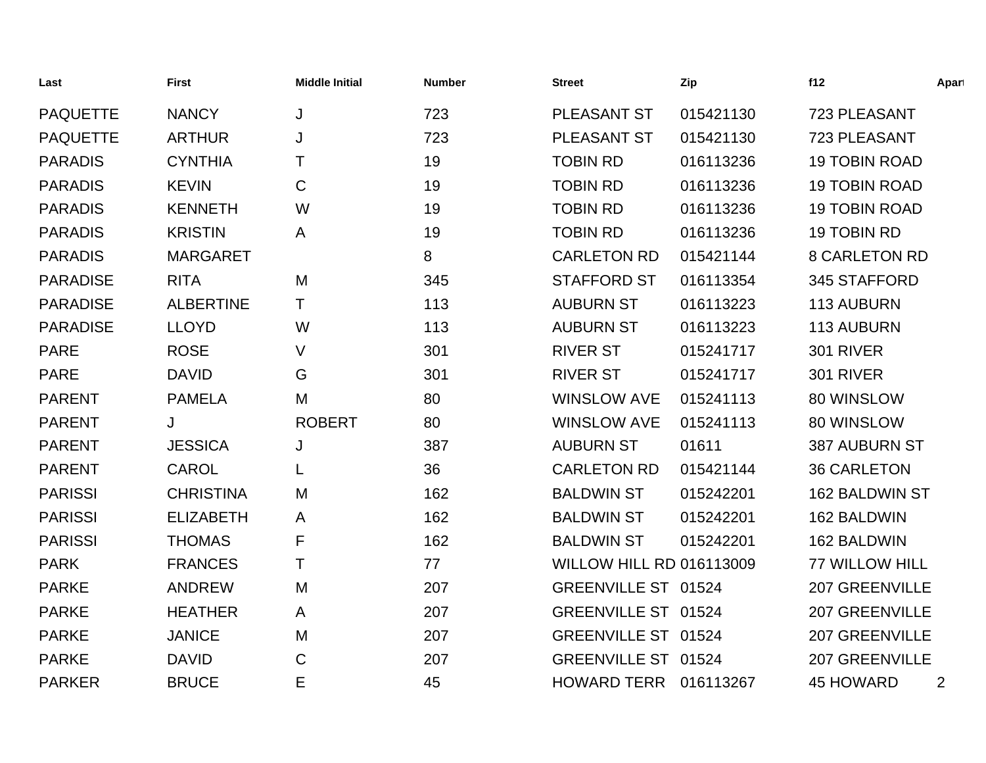| Last            | <b>First</b>     | <b>Middle Initial</b> | <b>Number</b> | Street                          | Zip       | f12                   | Apart |
|-----------------|------------------|-----------------------|---------------|---------------------------------|-----------|-----------------------|-------|
| <b>PAQUETTE</b> | <b>NANCY</b>     | J                     | 723           | PLEASANT ST                     | 015421130 | 723 PLEASANT          |       |
| <b>PAQUETTE</b> | <b>ARTHUR</b>    | J                     | 723           | PLEASANT ST                     | 015421130 | 723 PLEASANT          |       |
| <b>PARADIS</b>  | <b>CYNTHIA</b>   | Τ                     | 19            | <b>TOBIN RD</b>                 | 016113236 | <b>19 TOBIN ROAD</b>  |       |
| <b>PARADIS</b>  | <b>KEVIN</b>     | C                     | 19            | <b>TOBIN RD</b>                 | 016113236 | <b>19 TOBIN ROAD</b>  |       |
| <b>PARADIS</b>  | <b>KENNETH</b>   | W                     | 19            | <b>TOBIN RD</b>                 | 016113236 | <b>19 TOBIN ROAD</b>  |       |
| <b>PARADIS</b>  | <b>KRISTIN</b>   | A                     | 19            | <b>TOBIN RD</b>                 | 016113236 | 19 TOBIN RD           |       |
| <b>PARADIS</b>  | <b>MARGARET</b>  |                       | 8             | <b>CARLETON RD</b>              | 015421144 | <b>8 CARLETON RD</b>  |       |
| <b>PARADISE</b> | <b>RITA</b>      | M                     | 345           | <b>STAFFORD ST</b>              | 016113354 | 345 STAFFORD          |       |
| <b>PARADISE</b> | <b>ALBERTINE</b> | Τ                     | 113           | <b>AUBURN ST</b>                | 016113223 | 113 AUBURN            |       |
| <b>PARADISE</b> | <b>LLOYD</b>     | W                     | 113           | <b>AUBURN ST</b>                | 016113223 | 113 AUBURN            |       |
| <b>PARE</b>     | <b>ROSE</b>      | V                     | 301           | <b>RIVER ST</b>                 | 015241717 | <b>301 RIVER</b>      |       |
| <b>PARE</b>     | <b>DAVID</b>     | G                     | 301           | <b>RIVER ST</b>                 | 015241717 | <b>301 RIVER</b>      |       |
| <b>PARENT</b>   | <b>PAMELA</b>    | M                     | 80            | <b>WINSLOW AVE</b>              | 015241113 | 80 WINSLOW            |       |
| <b>PARENT</b>   | J                | <b>ROBERT</b>         | 80            | <b>WINSLOW AVE</b>              | 015241113 | 80 WINSLOW            |       |
| <b>PARENT</b>   | <b>JESSICA</b>   | J                     | 387           | <b>AUBURN ST</b>                | 01611     | <b>387 AUBURN ST</b>  |       |
| <b>PARENT</b>   | <b>CAROL</b>     |                       | 36            | <b>CARLETON RD</b>              | 015421144 | <b>36 CARLETON</b>    |       |
| <b>PARISSI</b>  | <b>CHRISTINA</b> | M                     | 162           | <b>BALDWIN ST</b>               | 015242201 | 162 BALDWIN ST        |       |
| <b>PARISSI</b>  | <b>ELIZABETH</b> | A                     | 162           | <b>BALDWIN ST</b>               | 015242201 | 162 BALDWIN           |       |
| <b>PARISSI</b>  | <b>THOMAS</b>    | F                     | 162           | <b>BALDWIN ST</b>               | 015242201 | 162 BALDWIN           |       |
| <b>PARK</b>     | <b>FRANCES</b>   | Τ                     | 77            | <b>WILLOW HILL RD 016113009</b> |           | <b>77 WILLOW HILL</b> |       |
| <b>PARKE</b>    | <b>ANDREW</b>    | M                     | 207           | GREENVILLE ST 01524             |           | <b>207 GREENVILLE</b> |       |
| <b>PARKE</b>    | <b>HEATHER</b>   | A                     | 207           | GREENVILLE ST 01524             |           | <b>207 GREENVILLE</b> |       |
| <b>PARKE</b>    | <b>JANICE</b>    | M                     | 207           | GREENVILLE ST 01524             |           | <b>207 GREENVILLE</b> |       |
| <b>PARKE</b>    | <b>DAVID</b>     | C                     | 207           | GREENVILLE ST 01524             |           | <b>207 GREENVILLE</b> |       |
| <b>PARKER</b>   | <b>BRUCE</b>     | E                     | 45            | <b>HOWARD TERR</b>              | 016113267 | <b>45 HOWARD</b>      | 2     |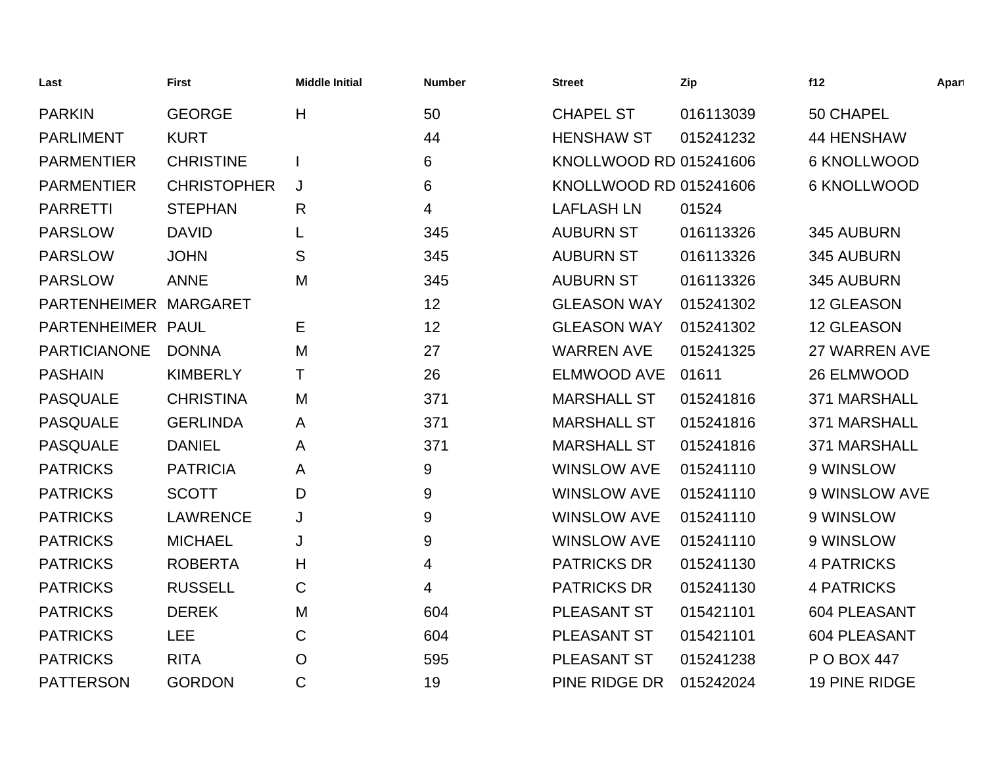| Last                  | First              | <b>Middle Initial</b> | <b>Number</b> | <b>Street</b>          | Zip       | f12                | Apart |
|-----------------------|--------------------|-----------------------|---------------|------------------------|-----------|--------------------|-------|
| <b>PARKIN</b>         | <b>GEORGE</b>      | H                     | 50            | <b>CHAPEL ST</b>       | 016113039 | 50 CHAPEL          |       |
| <b>PARLIMENT</b>      | <b>KURT</b>        |                       | 44            | <b>HENSHAW ST</b>      | 015241232 | <b>44 HENSHAW</b>  |       |
| <b>PARMENTIER</b>     | <b>CHRISTINE</b>   |                       | 6             | KNOLLWOOD RD 015241606 |           | <b>6 KNOLLWOOD</b> |       |
| <b>PARMENTIER</b>     | <b>CHRISTOPHER</b> | J                     | 6             | KNOLLWOOD RD 015241606 |           | <b>6 KNOLLWOOD</b> |       |
| <b>PARRETTI</b>       | <b>STEPHAN</b>     | R                     | 4             | <b>LAFLASH LN</b>      | 01524     |                    |       |
| <b>PARSLOW</b>        | <b>DAVID</b>       | L                     | 345           | <b>AUBURN ST</b>       | 016113326 | 345 AUBURN         |       |
| <b>PARSLOW</b>        | <b>JOHN</b>        | S                     | 345           | <b>AUBURN ST</b>       | 016113326 | 345 AUBURN         |       |
| <b>PARSLOW</b>        | <b>ANNE</b>        | M                     | 345           | <b>AUBURN ST</b>       | 016113326 | 345 AUBURN         |       |
| PARTENHEIMER MARGARET |                    |                       | 12            | <b>GLEASON WAY</b>     | 015241302 | 12 GLEASON         |       |
| PARTENHEIMER PAUL     |                    | Е                     | 12            | <b>GLEASON WAY</b>     | 015241302 | 12 GLEASON         |       |
| <b>PARTICIANONE</b>   | <b>DONNA</b>       | M                     | 27            | <b>WARREN AVE</b>      | 015241325 | 27 WARREN AVE      |       |
| <b>PASHAIN</b>        | <b>KIMBERLY</b>    | т                     | 26            | <b>ELMWOOD AVE</b>     | 01611     | 26 ELMWOOD         |       |
| <b>PASQUALE</b>       | <b>CHRISTINA</b>   | M                     | 371           | <b>MARSHALL ST</b>     | 015241816 | 371 MARSHALL       |       |
| <b>PASQUALE</b>       | <b>GERLINDA</b>    | A                     | 371           | <b>MARSHALL ST</b>     | 015241816 | 371 MARSHALL       |       |
| <b>PASQUALE</b>       | <b>DANIEL</b>      | A                     | 371           | <b>MARSHALL ST</b>     | 015241816 | 371 MARSHALL       |       |
| <b>PATRICKS</b>       | <b>PATRICIA</b>    | A                     | 9             | <b>WINSLOW AVE</b>     | 015241110 | 9 WINSLOW          |       |
| <b>PATRICKS</b>       | <b>SCOTT</b>       | D                     | 9             | <b>WINSLOW AVE</b>     | 015241110 | 9 WINSLOW AVE      |       |
| <b>PATRICKS</b>       | <b>LAWRENCE</b>    | J                     | 9             | <b>WINSLOW AVE</b>     | 015241110 | 9 WINSLOW          |       |
| <b>PATRICKS</b>       | <b>MICHAEL</b>     | J                     | 9             | <b>WINSLOW AVE</b>     | 015241110 | 9 WINSLOW          |       |
| <b>PATRICKS</b>       | <b>ROBERTA</b>     | H                     | 4             | <b>PATRICKS DR</b>     | 015241130 | <b>4 PATRICKS</b>  |       |
| <b>PATRICKS</b>       | <b>RUSSELL</b>     | C                     | 4             | <b>PATRICKS DR</b>     | 015241130 | <b>4 PATRICKS</b>  |       |
| <b>PATRICKS</b>       | <b>DEREK</b>       | M                     | 604           | PLEASANT ST            | 015421101 | 604 PLEASANT       |       |
| <b>PATRICKS</b>       | <b>LEE</b>         | C                     | 604           | <b>PLEASANT ST</b>     | 015421101 | 604 PLEASANT       |       |
| <b>PATRICKS</b>       | <b>RITA</b>        | $\overline{O}$        | 595           | <b>PLEASANT ST</b>     | 015241238 | P O BOX 447        |       |
| <b>PATTERSON</b>      | <b>GORDON</b>      | $\mathsf{C}$          | 19            | PINE RIDGE DR          | 015242024 | 19 PINE RIDGE      |       |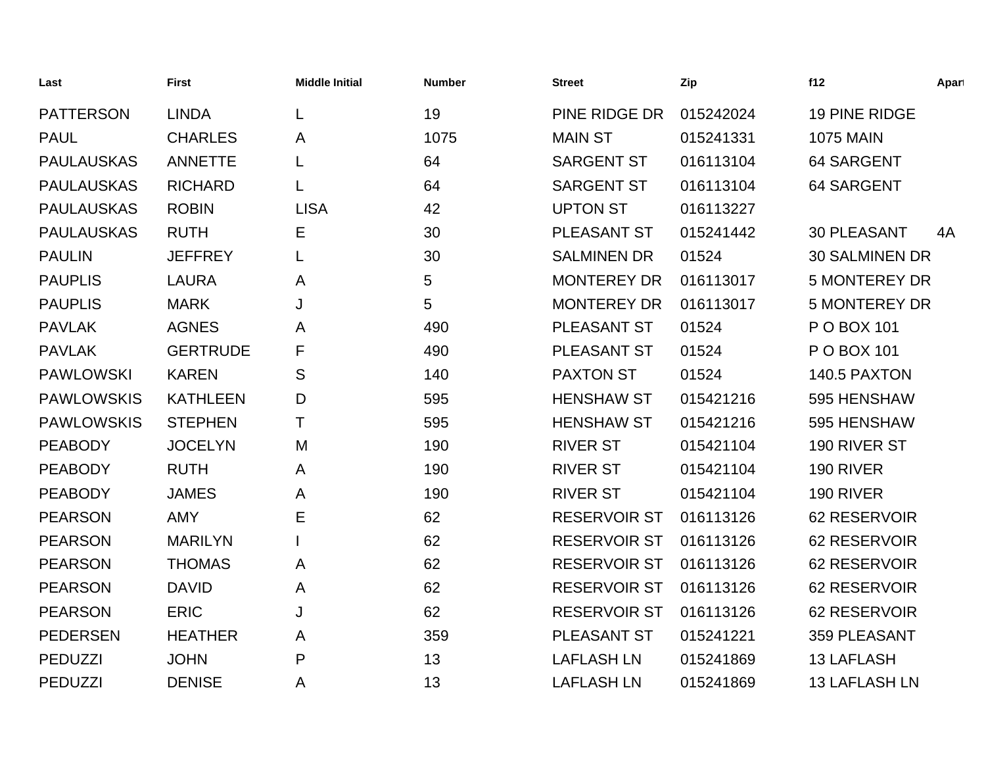| Last              | <b>First</b>    | <b>Middle Initial</b> | <b>Number</b> | <b>Street</b>       | Zip       | f12                   | Apart |
|-------------------|-----------------|-----------------------|---------------|---------------------|-----------|-----------------------|-------|
| <b>PATTERSON</b>  | <b>LINDA</b>    |                       | 19            | PINE RIDGE DR       | 015242024 | 19 PINE RIDGE         |       |
| <b>PAUL</b>       | <b>CHARLES</b>  | A                     | 1075          | <b>MAIN ST</b>      | 015241331 | <b>1075 MAIN</b>      |       |
| <b>PAULAUSKAS</b> | <b>ANNETTE</b>  |                       | 64            | <b>SARGENT ST</b>   | 016113104 | 64 SARGENT            |       |
| <b>PAULAUSKAS</b> | <b>RICHARD</b>  |                       | 64            | <b>SARGENT ST</b>   | 016113104 | 64 SARGENT            |       |
| <b>PAULAUSKAS</b> | <b>ROBIN</b>    | <b>LISA</b>           | 42            | <b>UPTON ST</b>     | 016113227 |                       |       |
| <b>PAULAUSKAS</b> | <b>RUTH</b>     | Е                     | 30            | PLEASANT ST         | 015241442 | <b>30 PLEASANT</b>    | 4A    |
| <b>PAULIN</b>     | <b>JEFFREY</b>  |                       | 30            | <b>SALMINEN DR</b>  | 01524     | <b>30 SALMINEN DR</b> |       |
| <b>PAUPLIS</b>    | <b>LAURA</b>    | A                     | 5             | <b>MONTEREY DR</b>  | 016113017 | <b>5 MONTEREY DR</b>  |       |
| <b>PAUPLIS</b>    | <b>MARK</b>     | J                     | 5             | <b>MONTEREY DR</b>  | 016113017 | <b>5 MONTEREY DR</b>  |       |
| <b>PAVLAK</b>     | <b>AGNES</b>    | A                     | 490           | PLEASANT ST         | 01524     | P O BOX 101           |       |
| <b>PAVLAK</b>     | <b>GERTRUDE</b> | F                     | 490           | PLEASANT ST         | 01524     | P O BOX 101           |       |
| <b>PAWLOWSKI</b>  | <b>KAREN</b>    | S                     | 140           | <b>PAXTON ST</b>    | 01524     | 140.5 PAXTON          |       |
| <b>PAWLOWSKIS</b> | <b>KATHLEEN</b> | D                     | 595           | <b>HENSHAW ST</b>   | 015421216 | 595 HENSHAW           |       |
| <b>PAWLOWSKIS</b> | <b>STEPHEN</b>  | т                     | 595           | <b>HENSHAW ST</b>   | 015421216 | 595 HENSHAW           |       |
| <b>PEABODY</b>    | <b>JOCELYN</b>  | M                     | 190           | <b>RIVER ST</b>     | 015421104 | 190 RIVER ST          |       |
| <b>PEABODY</b>    | <b>RUTH</b>     | A                     | 190           | <b>RIVER ST</b>     | 015421104 | 190 RIVER             |       |
| <b>PEABODY</b>    | <b>JAMES</b>    | Α                     | 190           | <b>RIVER ST</b>     | 015421104 | 190 RIVER             |       |
| <b>PEARSON</b>    | <b>AMY</b>      | E                     | 62            | <b>RESERVOIR ST</b> | 016113126 | 62 RESERVOIR          |       |
| <b>PEARSON</b>    | <b>MARILYN</b>  |                       | 62            | <b>RESERVOIR ST</b> | 016113126 | 62 RESERVOIR          |       |
| <b>PEARSON</b>    | <b>THOMAS</b>   | A                     | 62            | <b>RESERVOIR ST</b> | 016113126 | 62 RESERVOIR          |       |
| <b>PEARSON</b>    | <b>DAVID</b>    | A                     | 62            | <b>RESERVOIR ST</b> | 016113126 | 62 RESERVOIR          |       |
| <b>PEARSON</b>    | <b>ERIC</b>     | J                     | 62            | <b>RESERVOIR ST</b> | 016113126 | 62 RESERVOIR          |       |
| <b>PEDERSEN</b>   | <b>HEATHER</b>  | A                     | 359           | PLEASANT ST         | 015241221 | 359 PLEASANT          |       |
| <b>PEDUZZI</b>    | <b>JOHN</b>     | P                     | 13            | <b>LAFLASH LN</b>   | 015241869 | <b>13 LAFLASH</b>     |       |
| <b>PEDUZZI</b>    | <b>DENISE</b>   | A                     | 13            | <b>LAFLASH LN</b>   | 015241869 | <b>13 LAFLASH LN</b>  |       |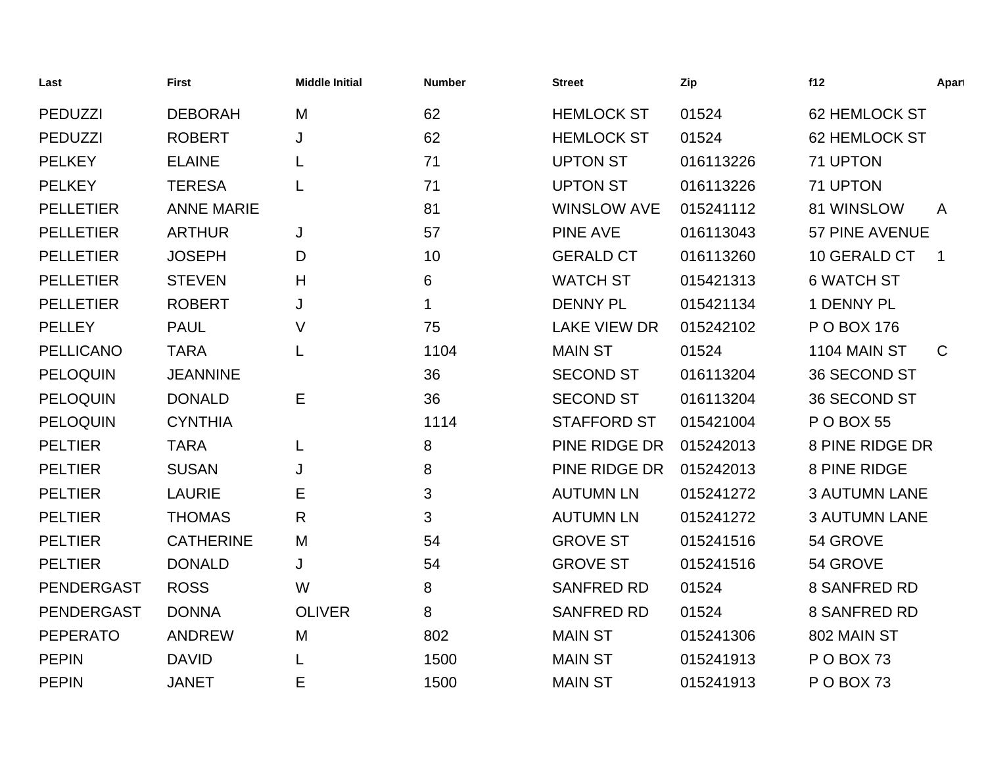| Last              | <b>First</b>      | <b>Middle Initial</b> | <b>Number</b> | <b>Street</b>       | Zip       | f12                  | Apart          |
|-------------------|-------------------|-----------------------|---------------|---------------------|-----------|----------------------|----------------|
| <b>PEDUZZI</b>    | <b>DEBORAH</b>    | M                     | 62            | <b>HEMLOCK ST</b>   | 01524     | <b>62 HEMLOCK ST</b> |                |
| <b>PEDUZZI</b>    | <b>ROBERT</b>     | J                     | 62            | <b>HEMLOCK ST</b>   | 01524     | <b>62 HEMLOCK ST</b> |                |
| <b>PELKEY</b>     | <b>ELAINE</b>     | L                     | 71            | <b>UPTON ST</b>     | 016113226 | 71 UPTON             |                |
| <b>PELKEY</b>     | <b>TERESA</b>     |                       | 71            | <b>UPTON ST</b>     | 016113226 | 71 UPTON             |                |
| <b>PELLETIER</b>  | <b>ANNE MARIE</b> |                       | 81            | <b>WINSLOW AVE</b>  | 015241112 | 81 WINSLOW           | $\mathsf{A}$   |
| <b>PELLETIER</b>  | <b>ARTHUR</b>     | J                     | 57            | <b>PINE AVE</b>     | 016113043 | 57 PINE AVENUE       |                |
| <b>PELLETIER</b>  | <b>JOSEPH</b>     | D                     | 10            | <b>GERALD CT</b>    | 016113260 | 10 GERALD CT         | $\overline{1}$ |
| <b>PELLETIER</b>  | <b>STEVEN</b>     | H                     | 6             | <b>WATCH ST</b>     | 015421313 | <b>6 WATCH ST</b>    |                |
| <b>PELLETIER</b>  | <b>ROBERT</b>     | J                     | 1             | <b>DENNY PL</b>     | 015421134 | 1 DENNY PL           |                |
| <b>PELLEY</b>     | <b>PAUL</b>       | V                     | 75            | <b>LAKE VIEW DR</b> | 015242102 | P O BOX 176          |                |
| <b>PELLICANO</b>  | <b>TARA</b>       | L                     | 1104          | <b>MAIN ST</b>      | 01524     | 1104 MAIN ST         | $\mathsf{C}$   |
| PELOQUIN          | <b>JEANNINE</b>   |                       | 36            | <b>SECOND ST</b>    | 016113204 | 36 SECOND ST         |                |
| <b>PELOQUIN</b>   | <b>DONALD</b>     | Е                     | 36            | <b>SECOND ST</b>    | 016113204 | 36 SECOND ST         |                |
| <b>PELOQUIN</b>   | <b>CYNTHIA</b>    |                       | 1114          | <b>STAFFORD ST</b>  | 015421004 | <b>PO BOX 55</b>     |                |
| <b>PELTIER</b>    | <b>TARA</b>       | L                     | 8             | PINE RIDGE DR       | 015242013 | 8 PINE RIDGE DR      |                |
| <b>PELTIER</b>    | <b>SUSAN</b>      | J                     | 8             | PINE RIDGE DR       | 015242013 | 8 PINE RIDGE         |                |
| <b>PELTIER</b>    | <b>LAURIE</b>     | Е                     | 3             | <b>AUTUMN LN</b>    | 015241272 | <b>3 AUTUMN LANE</b> |                |
| <b>PELTIER</b>    | <b>THOMAS</b>     | R                     | 3             | <b>AUTUMN LN</b>    | 015241272 | <b>3 AUTUMN LANE</b> |                |
| <b>PELTIER</b>    | <b>CATHERINE</b>  | M                     | 54            | <b>GROVE ST</b>     | 015241516 | 54 GROVE             |                |
| <b>PELTIER</b>    | <b>DONALD</b>     | J                     | 54            | <b>GROVE ST</b>     | 015241516 | 54 GROVE             |                |
| <b>PENDERGAST</b> | <b>ROSS</b>       | W                     | 8             | <b>SANFRED RD</b>   | 01524     | <b>8 SANFRED RD</b>  |                |
| <b>PENDERGAST</b> | <b>DONNA</b>      | <b>OLIVER</b>         | 8             | <b>SANFRED RD</b>   | 01524     | <b>8 SANFRED RD</b>  |                |
| <b>PEPERATO</b>   | <b>ANDREW</b>     | M                     | 802           | <b>MAIN ST</b>      | 015241306 | 802 MAIN ST          |                |
| <b>PEPIN</b>      | <b>DAVID</b>      |                       | 1500          | <b>MAIN ST</b>      | 015241913 | POBOX 73             |                |
| <b>PEPIN</b>      | <b>JANET</b>      | Е                     | 1500          | <b>MAIN ST</b>      | 015241913 | POBOX 73             |                |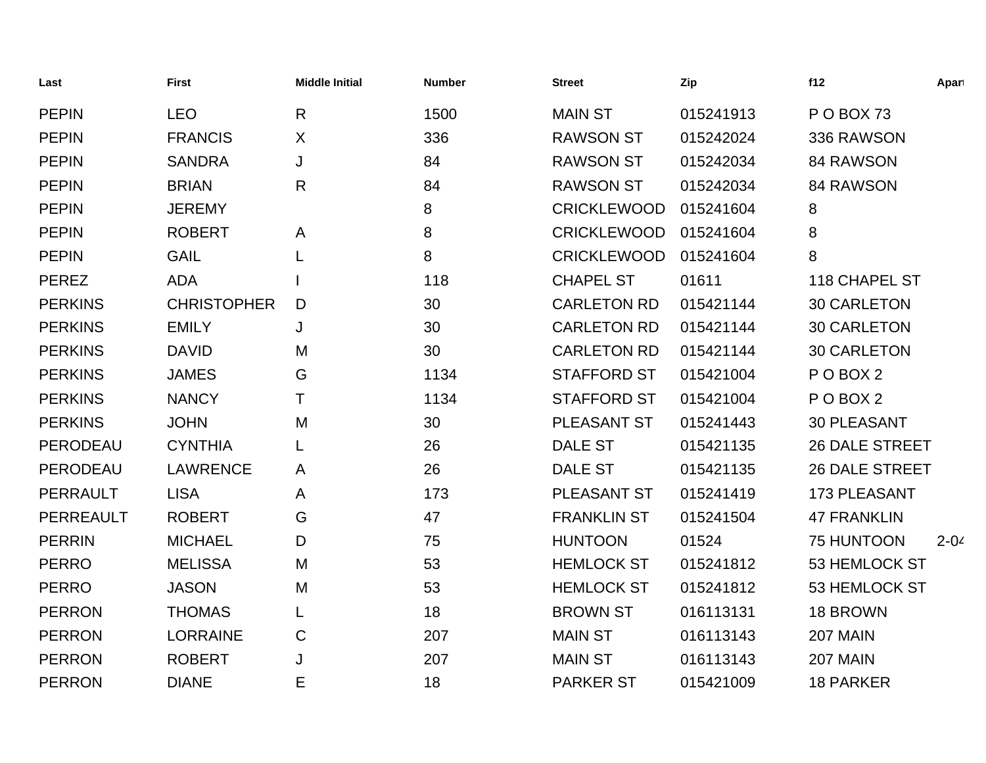| Last             | <b>First</b>       | <b>Middle Initial</b> | <b>Number</b> | <b>Street</b>      | Zip       | f12                   | Apart    |
|------------------|--------------------|-----------------------|---------------|--------------------|-----------|-----------------------|----------|
| <b>PEPIN</b>     | <b>LEO</b>         | $\mathsf{R}$          | 1500          | <b>MAIN ST</b>     | 015241913 | POBOX 73              |          |
| <b>PEPIN</b>     | <b>FRANCIS</b>     | X                     | 336           | <b>RAWSON ST</b>   | 015242024 | 336 RAWSON            |          |
| <b>PEPIN</b>     | <b>SANDRA</b>      | J                     | 84            | <b>RAWSON ST</b>   | 015242034 | 84 RAWSON             |          |
| <b>PEPIN</b>     | <b>BRIAN</b>       | R                     | 84            | <b>RAWSON ST</b>   | 015242034 | 84 RAWSON             |          |
| <b>PEPIN</b>     | <b>JEREMY</b>      |                       | 8             | <b>CRICKLEWOOD</b> | 015241604 | 8                     |          |
| <b>PEPIN</b>     | <b>ROBERT</b>      | A                     | 8             | <b>CRICKLEWOOD</b> | 015241604 | 8                     |          |
| <b>PEPIN</b>     | <b>GAIL</b>        | L                     | 8             | <b>CRICKLEWOOD</b> | 015241604 | 8                     |          |
| <b>PEREZ</b>     | <b>ADA</b>         |                       | 118           | <b>CHAPEL ST</b>   | 01611     | <b>118 CHAPEL ST</b>  |          |
| <b>PERKINS</b>   | <b>CHRISTOPHER</b> | D                     | 30            | <b>CARLETON RD</b> | 015421144 | <b>30 CARLETON</b>    |          |
| <b>PERKINS</b>   | <b>EMILY</b>       | J                     | 30            | <b>CARLETON RD</b> | 015421144 | <b>30 CARLETON</b>    |          |
| <b>PERKINS</b>   | <b>DAVID</b>       | M                     | 30            | <b>CARLETON RD</b> | 015421144 | <b>30 CARLETON</b>    |          |
| <b>PERKINS</b>   | <b>JAMES</b>       | G                     | 1134          | <b>STAFFORD ST</b> | 015421004 | POBOX <sub>2</sub>    |          |
| <b>PERKINS</b>   | <b>NANCY</b>       | т                     | 1134          | <b>STAFFORD ST</b> | 015421004 | POBOX <sub>2</sub>    |          |
| <b>PERKINS</b>   | <b>JOHN</b>        | M                     | 30            | <b>PLEASANT ST</b> | 015241443 | <b>30 PLEASANT</b>    |          |
| PERODEAU         | <b>CYNTHIA</b>     | L                     | 26            | <b>DALE ST</b>     | 015421135 | <b>26 DALE STREET</b> |          |
| PERODEAU         | <b>LAWRENCE</b>    | A                     | 26            | <b>DALE ST</b>     | 015421135 | <b>26 DALE STREET</b> |          |
| <b>PERRAULT</b>  | <b>LISA</b>        | A                     | 173           | PLEASANT ST        | 015241419 | <b>173 PLEASANT</b>   |          |
| <b>PERREAULT</b> | <b>ROBERT</b>      | G                     | 47            | <b>FRANKLIN ST</b> | 015241504 | <b>47 FRANKLIN</b>    |          |
| <b>PERRIN</b>    | <b>MICHAEL</b>     | D                     | 75            | <b>HUNTOON</b>     | 01524     | 75 HUNTOON            | $2 - 04$ |
| <b>PERRO</b>     | <b>MELISSA</b>     | M                     | 53            | <b>HEMLOCK ST</b>  | 015241812 | 53 HEMLOCK ST         |          |
| <b>PERRO</b>     | <b>JASON</b>       | M                     | 53            | <b>HEMLOCK ST</b>  | 015241812 | 53 HEMLOCK ST         |          |
| <b>PERRON</b>    | <b>THOMAS</b>      | L                     | 18            | <b>BROWN ST</b>    | 016113131 | 18 BROWN              |          |
| <b>PERRON</b>    | <b>LORRAINE</b>    | $\mathsf C$           | 207           | <b>MAIN ST</b>     | 016113143 | 207 MAIN              |          |
| <b>PERRON</b>    | <b>ROBERT</b>      | J                     | 207           | <b>MAIN ST</b>     | 016113143 | 207 MAIN              |          |
| <b>PERRON</b>    | <b>DIANE</b>       | Е                     | 18            | <b>PARKER ST</b>   | 015421009 | <b>18 PARKER</b>      |          |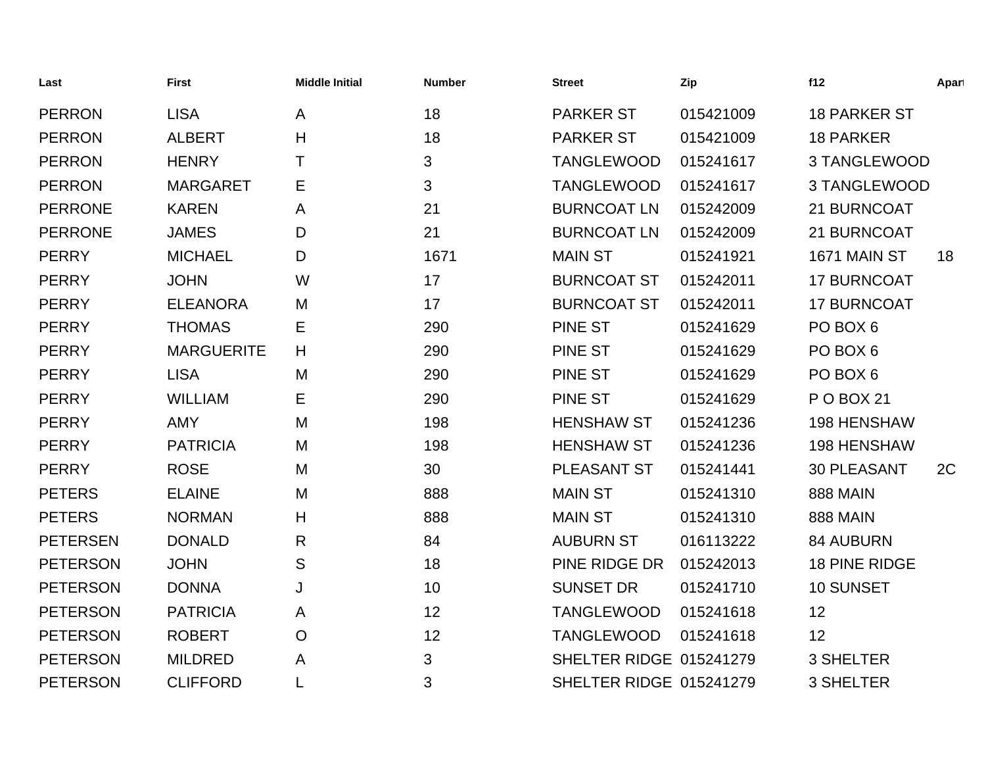| Last            | <b>First</b>      | <b>Middle Initial</b> | <b>Number</b> | <b>Street</b>           | Zip       | f12                  | Apart |
|-----------------|-------------------|-----------------------|---------------|-------------------------|-----------|----------------------|-------|
| <b>PERRON</b>   | <b>LISA</b>       | A                     | 18            | <b>PARKER ST</b>        | 015421009 | <b>18 PARKER ST</b>  |       |
| <b>PERRON</b>   | <b>ALBERT</b>     | H                     | 18            | <b>PARKER ST</b>        | 015421009 | <b>18 PARKER</b>     |       |
| <b>PERRON</b>   | <b>HENRY</b>      | Τ                     | 3             | <b>TANGLEWOOD</b>       | 015241617 | 3 TANGLEWOOD         |       |
| <b>PERRON</b>   | <b>MARGARET</b>   | Е                     | 3             | <b>TANGLEWOOD</b>       | 015241617 | 3 TANGLEWOOD         |       |
| <b>PERRONE</b>  | <b>KAREN</b>      | A                     | 21            | <b>BURNCOAT LN</b>      | 015242009 | 21 BURNCOAT          |       |
| <b>PERRONE</b>  | <b>JAMES</b>      | D                     | 21            | <b>BURNCOAT LN</b>      | 015242009 | 21 BURNCOAT          |       |
| <b>PERRY</b>    | <b>MICHAEL</b>    | D                     | 1671          | <b>MAIN ST</b>          | 015241921 | 1671 MAIN ST         | 18    |
| <b>PERRY</b>    | <b>JOHN</b>       | W                     | 17            | <b>BURNCOAT ST</b>      | 015242011 | <b>17 BURNCOAT</b>   |       |
| <b>PERRY</b>    | <b>ELEANORA</b>   | M                     | 17            | <b>BURNCOAT ST</b>      | 015242011 | <b>17 BURNCOAT</b>   |       |
| <b>PERRY</b>    | <b>THOMAS</b>     | Е                     | 290           | <b>PINE ST</b>          | 015241629 | PO BOX 6             |       |
| <b>PERRY</b>    | <b>MARGUERITE</b> | H                     | 290           | <b>PINE ST</b>          | 015241629 | PO BOX 6             |       |
| <b>PERRY</b>    | <b>LISA</b>       | M                     | 290           | <b>PINE ST</b>          | 015241629 | PO BOX 6             |       |
| <b>PERRY</b>    | <b>WILLIAM</b>    | Е                     | 290           | <b>PINE ST</b>          | 015241629 | <b>PO BOX 21</b>     |       |
| <b>PERRY</b>    | <b>AMY</b>        | M                     | 198           | <b>HENSHAW ST</b>       | 015241236 | <b>198 HENSHAW</b>   |       |
| <b>PERRY</b>    | <b>PATRICIA</b>   | M                     | 198           | <b>HENSHAW ST</b>       | 015241236 | <b>198 HENSHAW</b>   |       |
| <b>PERRY</b>    | <b>ROSE</b>       | M                     | 30            | PLEASANT ST             | 015241441 | <b>30 PLEASANT</b>   | 2C    |
| <b>PETERS</b>   | <b>ELAINE</b>     | M                     | 888           | <b>MAIN ST</b>          | 015241310 | <b>888 MAIN</b>      |       |
| <b>PETERS</b>   | <b>NORMAN</b>     | Н                     | 888           | <b>MAIN ST</b>          | 015241310 | <b>888 MAIN</b>      |       |
| <b>PETERSEN</b> | <b>DONALD</b>     | R                     | 84            | <b>AUBURN ST</b>        | 016113222 | <b>84 AUBURN</b>     |       |
| <b>PETERSON</b> | <b>JOHN</b>       | S                     | 18            | PINE RIDGE DR           | 015242013 | <b>18 PINE RIDGE</b> |       |
| <b>PETERSON</b> | <b>DONNA</b>      | J                     | 10            | <b>SUNSET DR</b>        | 015241710 | 10 SUNSET            |       |
| <b>PETERSON</b> | <b>PATRICIA</b>   | A                     | 12            | <b>TANGLEWOOD</b>       | 015241618 | 12                   |       |
| <b>PETERSON</b> | <b>ROBERT</b>     | O                     | 12            | <b>TANGLEWOOD</b>       | 015241618 | 12                   |       |
| <b>PETERSON</b> | <b>MILDRED</b>    | A                     | 3             | SHELTER RIDGE 015241279 |           | 3 SHELTER            |       |
| <b>PETERSON</b> | <b>CLIFFORD</b>   | L                     | 3             | SHELTER RIDGE 015241279 |           | <b>3 SHELTER</b>     |       |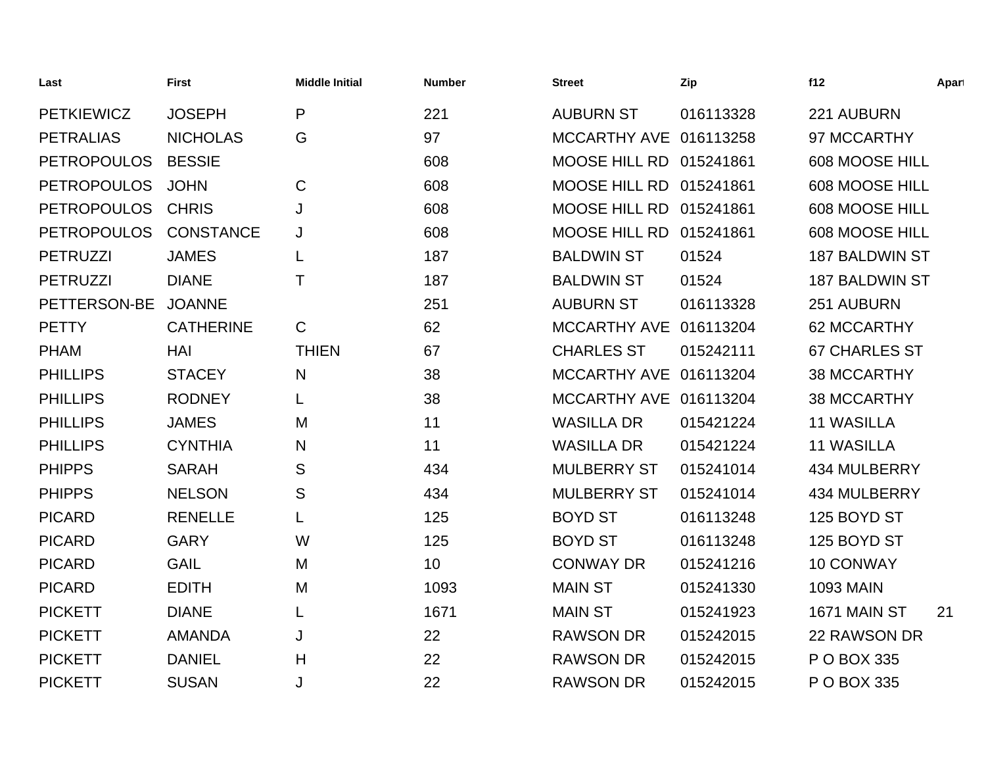| Last               | <b>First</b>     | <b>Middle Initial</b> | <b>Number</b> | <b>Street</b>           | Zip       | f12                   | Apart |
|--------------------|------------------|-----------------------|---------------|-------------------------|-----------|-----------------------|-------|
| <b>PETKIEWICZ</b>  | <b>JOSEPH</b>    | P                     | 221           | <b>AUBURN ST</b>        | 016113328 | 221 AUBURN            |       |
| <b>PETRALIAS</b>   | <b>NICHOLAS</b>  | G                     | 97            | MCCARTHY AVE 016113258  |           | 97 MCCARTHY           |       |
| <b>PETROPOULOS</b> | <b>BESSIE</b>    |                       | 608           | MOOSE HILL RD 015241861 |           | 608 MOOSE HILL        |       |
| <b>PETROPOULOS</b> | <b>JOHN</b>      | $\mathsf C$           | 608           | <b>MOOSE HILL RD</b>    | 015241861 | 608 MOOSE HILL        |       |
| <b>PETROPOULOS</b> | <b>CHRIS</b>     | J                     | 608           | MOOSE HILL RD 015241861 |           | 608 MOOSE HILL        |       |
| <b>PETROPOULOS</b> | <b>CONSTANCE</b> | J                     | 608           | MOOSE HILL RD 015241861 |           | 608 MOOSE HILL        |       |
| <b>PETRUZZI</b>    | <b>JAMES</b>     | L                     | 187           | <b>BALDWIN ST</b>       | 01524     | <b>187 BALDWIN ST</b> |       |
| <b>PETRUZZI</b>    | <b>DIANE</b>     | Τ                     | 187           | <b>BALDWIN ST</b>       | 01524     | <b>187 BALDWIN ST</b> |       |
| PETTERSON-BE       | <b>JOANNE</b>    |                       | 251           | <b>AUBURN ST</b>        | 016113328 | 251 AUBURN            |       |
| <b>PETTY</b>       | <b>CATHERINE</b> | $\mathsf{C}$          | 62            | MCCARTHY AVE 016113204  |           | 62 MCCARTHY           |       |
| <b>PHAM</b>        | HAI              | <b>THIEN</b>          | 67            | <b>CHARLES ST</b>       | 015242111 | <b>67 CHARLES ST</b>  |       |
| <b>PHILLIPS</b>    | <b>STACEY</b>    | N                     | 38            | MCCARTHY AVE 016113204  |           | 38 MCCARTHY           |       |
| <b>PHILLIPS</b>    | <b>RODNEY</b>    |                       | 38            | MCCARTHY AVE 016113204  |           | <b>38 MCCARTHY</b>    |       |
| <b>PHILLIPS</b>    | <b>JAMES</b>     | M                     | 11            | <b>WASILLA DR</b>       | 015421224 | <b>11 WASILLA</b>     |       |
| <b>PHILLIPS</b>    | <b>CYNTHIA</b>   | N                     | 11            | <b>WASILLA DR</b>       | 015421224 | <b>11 WASILLA</b>     |       |
| <b>PHIPPS</b>      | <b>SARAH</b>     | S                     | 434           | <b>MULBERRY ST</b>      | 015241014 | 434 MULBERRY          |       |
| <b>PHIPPS</b>      | <b>NELSON</b>    | S                     | 434           | <b>MULBERRY ST</b>      | 015241014 | 434 MULBERRY          |       |
| <b>PICARD</b>      | <b>RENELLE</b>   | L                     | 125           | <b>BOYD ST</b>          | 016113248 | 125 BOYD ST           |       |
| <b>PICARD</b>      | <b>GARY</b>      | W                     | 125           | <b>BOYD ST</b>          | 016113248 | 125 BOYD ST           |       |
| <b>PICARD</b>      | <b>GAIL</b>      | M                     | 10            | <b>CONWAY DR</b>        | 015241216 | <b>10 CONWAY</b>      |       |
| <b>PICARD</b>      | <b>EDITH</b>     | M                     | 1093          | <b>MAIN ST</b>          | 015241330 | <b>1093 MAIN</b>      |       |
| <b>PICKETT</b>     | <b>DIANE</b>     | L                     | 1671          | <b>MAIN ST</b>          | 015241923 | 1671 MAIN ST          | 21    |
| <b>PICKETT</b>     | <b>AMANDA</b>    | J                     | 22            | <b>RAWSON DR</b>        | 015242015 | 22 RAWSON DR          |       |
| <b>PICKETT</b>     | <b>DANIEL</b>    | H                     | 22            | <b>RAWSON DR</b>        | 015242015 | P O BOX 335           |       |
| <b>PICKETT</b>     | <b>SUSAN</b>     | J                     | 22            | <b>RAWSON DR</b>        | 015242015 | P O BOX 335           |       |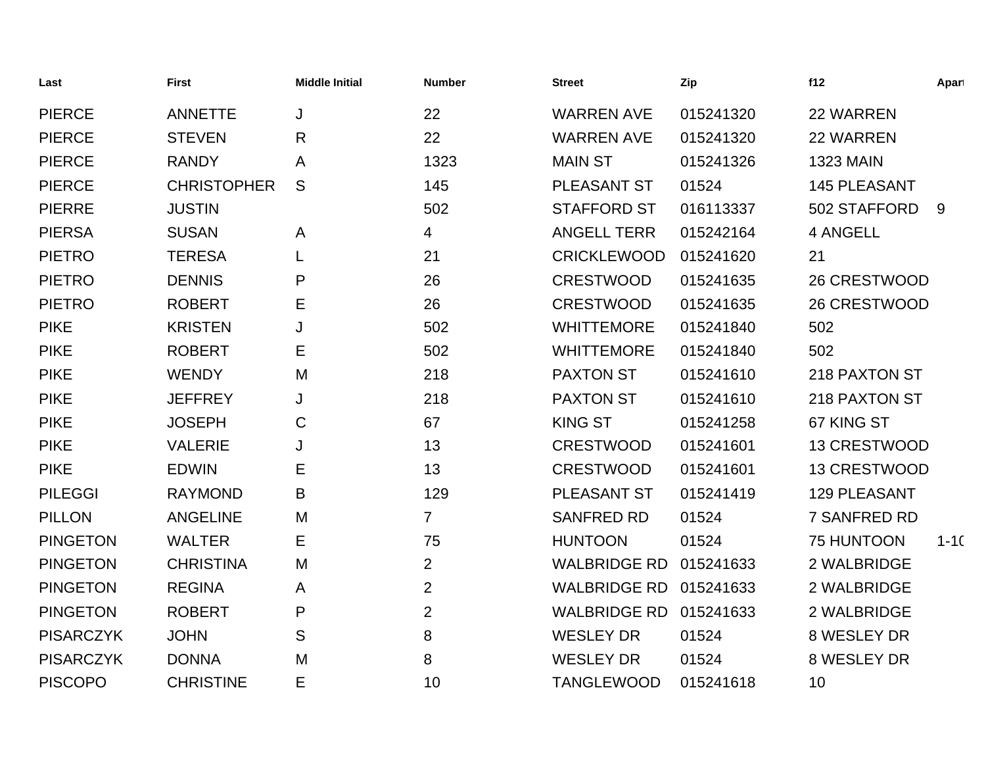| Last             | <b>First</b>       | <b>Middle Initial</b> | <b>Number</b>  | <b>Street</b>       | Zip       | f12                 | Apart    |
|------------------|--------------------|-----------------------|----------------|---------------------|-----------|---------------------|----------|
| <b>PIERCE</b>    | <b>ANNETTE</b>     | J                     | 22             | <b>WARREN AVE</b>   | 015241320 | 22 WARREN           |          |
| <b>PIERCE</b>    | <b>STEVEN</b>      | R                     | 22             | <b>WARREN AVE</b>   | 015241320 | 22 WARREN           |          |
| <b>PIERCE</b>    | <b>RANDY</b>       | Α                     | 1323           | <b>MAIN ST</b>      | 015241326 | <b>1323 MAIN</b>    |          |
| <b>PIERCE</b>    | <b>CHRISTOPHER</b> | S                     | 145            | PLEASANT ST         | 01524     | <b>145 PLEASANT</b> |          |
| <b>PIERRE</b>    | <b>JUSTIN</b>      |                       | 502            | <b>STAFFORD ST</b>  | 016113337 | 502 STAFFORD        | 9        |
| <b>PIERSA</b>    | <b>SUSAN</b>       | A                     | 4              | <b>ANGELL TERR</b>  | 015242164 | 4 ANGELL            |          |
| <b>PIETRO</b>    | <b>TERESA</b>      |                       | 21             | <b>CRICKLEWOOD</b>  | 015241620 | 21                  |          |
| <b>PIETRO</b>    | <b>DENNIS</b>      | P                     | 26             | <b>CRESTWOOD</b>    | 015241635 | 26 CRESTWOOD        |          |
| <b>PIETRO</b>    | <b>ROBERT</b>      | Е                     | 26             | <b>CRESTWOOD</b>    | 015241635 | 26 CRESTWOOD        |          |
| <b>PIKE</b>      | <b>KRISTEN</b>     | J                     | 502            | <b>WHITTEMORE</b>   | 015241840 | 502                 |          |
| <b>PIKE</b>      | <b>ROBERT</b>      | Е                     | 502            | <b>WHITTEMORE</b>   | 015241840 | 502                 |          |
| <b>PIKE</b>      | <b>WENDY</b>       | M                     | 218            | <b>PAXTON ST</b>    | 015241610 | 218 PAXTON ST       |          |
| <b>PIKE</b>      | <b>JEFFREY</b>     | J                     | 218            | <b>PAXTON ST</b>    | 015241610 | 218 PAXTON ST       |          |
| <b>PIKE</b>      | <b>JOSEPH</b>      | C                     | 67             | <b>KING ST</b>      | 015241258 | 67 KING ST          |          |
| <b>PIKE</b>      | <b>VALERIE</b>     | J                     | 13             | <b>CRESTWOOD</b>    | 015241601 | 13 CRESTWOOD        |          |
| <b>PIKE</b>      | <b>EDWIN</b>       | Е                     | 13             | <b>CRESTWOOD</b>    | 015241601 | 13 CRESTWOOD        |          |
| <b>PILEGGI</b>   | <b>RAYMOND</b>     | B                     | 129            | PLEASANT ST         | 015241419 | 129 PLEASANT        |          |
| <b>PILLON</b>    | <b>ANGELINE</b>    | M                     | $\overline{7}$ | <b>SANFRED RD</b>   | 01524     | <b>7 SANFRED RD</b> |          |
| <b>PINGETON</b>  | <b>WALTER</b>      | Е                     | 75             | <b>HUNTOON</b>      | 01524     | 75 HUNTOON          | $1 - 10$ |
| <b>PINGETON</b>  | <b>CHRISTINA</b>   | M                     | $\overline{2}$ | <b>WALBRIDGE RD</b> | 015241633 | 2 WALBRIDGE         |          |
| <b>PINGETON</b>  | <b>REGINA</b>      | A                     | $\overline{2}$ | <b>WALBRIDGE RD</b> | 015241633 | 2 WALBRIDGE         |          |
| <b>PINGETON</b>  | <b>ROBERT</b>      | P                     | $\overline{2}$ | <b>WALBRIDGE RD</b> | 015241633 | 2 WALBRIDGE         |          |
| <b>PISARCZYK</b> | <b>JOHN</b>        | S                     | 8              | <b>WESLEY DR</b>    | 01524     | 8 WESLEY DR         |          |
| <b>PISARCZYK</b> | <b>DONNA</b>       | M                     | 8              | <b>WESLEY DR</b>    | 01524     | 8 WESLEY DR         |          |
| <b>PISCOPO</b>   | <b>CHRISTINE</b>   | E                     | 10             | <b>TANGLEWOOD</b>   | 015241618 | 10                  |          |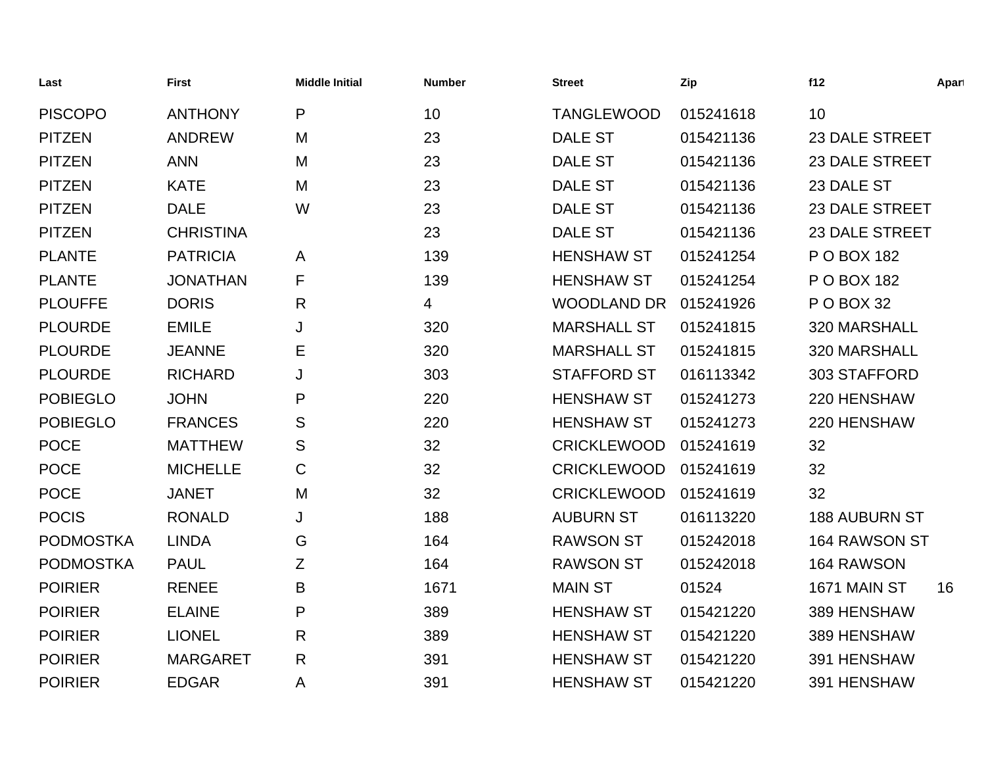| Last             | <b>First</b>     | <b>Middle Initial</b> | <b>Number</b> | <b>Street</b>      | Zip       | f12                   | Apart |
|------------------|------------------|-----------------------|---------------|--------------------|-----------|-----------------------|-------|
| <b>PISCOPO</b>   | <b>ANTHONY</b>   | P                     | 10            | <b>TANGLEWOOD</b>  | 015241618 | 10                    |       |
| <b>PITZEN</b>    | <b>ANDREW</b>    | M                     | 23            | <b>DALE ST</b>     | 015421136 | <b>23 DALE STREET</b> |       |
| <b>PITZEN</b>    | <b>ANN</b>       | M                     | 23            | <b>DALE ST</b>     | 015421136 | <b>23 DALE STREET</b> |       |
| <b>PITZEN</b>    | <b>KATE</b>      | M                     | 23            | <b>DALE ST</b>     | 015421136 | 23 DALE ST            |       |
| <b>PITZEN</b>    | <b>DALE</b>      | W                     | 23            | <b>DALE ST</b>     | 015421136 | <b>23 DALE STREET</b> |       |
| <b>PITZEN</b>    | <b>CHRISTINA</b> |                       | 23            | <b>DALE ST</b>     | 015421136 | <b>23 DALE STREET</b> |       |
| <b>PLANTE</b>    | <b>PATRICIA</b>  | A                     | 139           | <b>HENSHAW ST</b>  | 015241254 | P O BOX 182           |       |
| <b>PLANTE</b>    | <b>JONATHAN</b>  | F                     | 139           | <b>HENSHAW ST</b>  | 015241254 | P O BOX 182           |       |
| <b>PLOUFFE</b>   | <b>DORIS</b>     | $\mathsf{R}$          | 4             | <b>WOODLAND DR</b> | 015241926 | P O BOX 32            |       |
| <b>PLOURDE</b>   | <b>EMILE</b>     | J                     | 320           | <b>MARSHALL ST</b> | 015241815 | 320 MARSHALL          |       |
| <b>PLOURDE</b>   | <b>JEANNE</b>    | Ε                     | 320           | <b>MARSHALL ST</b> | 015241815 | 320 MARSHALL          |       |
| <b>PLOURDE</b>   | <b>RICHARD</b>   | J                     | 303           | <b>STAFFORD ST</b> | 016113342 | 303 STAFFORD          |       |
| <b>POBIEGLO</b>  | <b>JOHN</b>      | P                     | 220           | <b>HENSHAW ST</b>  | 015241273 | 220 HENSHAW           |       |
| <b>POBIEGLO</b>  | <b>FRANCES</b>   | S                     | 220           | <b>HENSHAW ST</b>  | 015241273 | 220 HENSHAW           |       |
| <b>POCE</b>      | <b>MATTHEW</b>   | S                     | 32            | <b>CRICKLEWOOD</b> | 015241619 | 32                    |       |
| <b>POCE</b>      | <b>MICHELLE</b>  | $\mathbf C$           | 32            | <b>CRICKLEWOOD</b> | 015241619 | 32                    |       |
| <b>POCE</b>      | <b>JANET</b>     | M                     | 32            | <b>CRICKLEWOOD</b> | 015241619 | 32                    |       |
| <b>POCIS</b>     | <b>RONALD</b>    | J                     | 188           | <b>AUBURN ST</b>   | 016113220 | <b>188 AUBURN ST</b>  |       |
| <b>PODMOSTKA</b> | <b>LINDA</b>     | G                     | 164           | <b>RAWSON ST</b>   | 015242018 | 164 RAWSON ST         |       |
| <b>PODMOSTKA</b> | <b>PAUL</b>      | Ζ                     | 164           | <b>RAWSON ST</b>   | 015242018 | 164 RAWSON            |       |
| <b>POIRIER</b>   | <b>RENEE</b>     | B                     | 1671          | <b>MAIN ST</b>     | 01524     | 1671 MAIN ST          | 16    |
| <b>POIRIER</b>   | <b>ELAINE</b>    | P                     | 389           | <b>HENSHAW ST</b>  | 015421220 | 389 HENSHAW           |       |
| <b>POIRIER</b>   | <b>LIONEL</b>    | $\mathsf{R}$          | 389           | <b>HENSHAW ST</b>  | 015421220 | 389 HENSHAW           |       |
| <b>POIRIER</b>   | <b>MARGARET</b>  | $\mathsf{R}$          | 391           | <b>HENSHAW ST</b>  | 015421220 | 391 HENSHAW           |       |
| <b>POIRIER</b>   | <b>EDGAR</b>     | A                     | 391           | <b>HENSHAW ST</b>  | 015421220 | 391 HENSHAW           |       |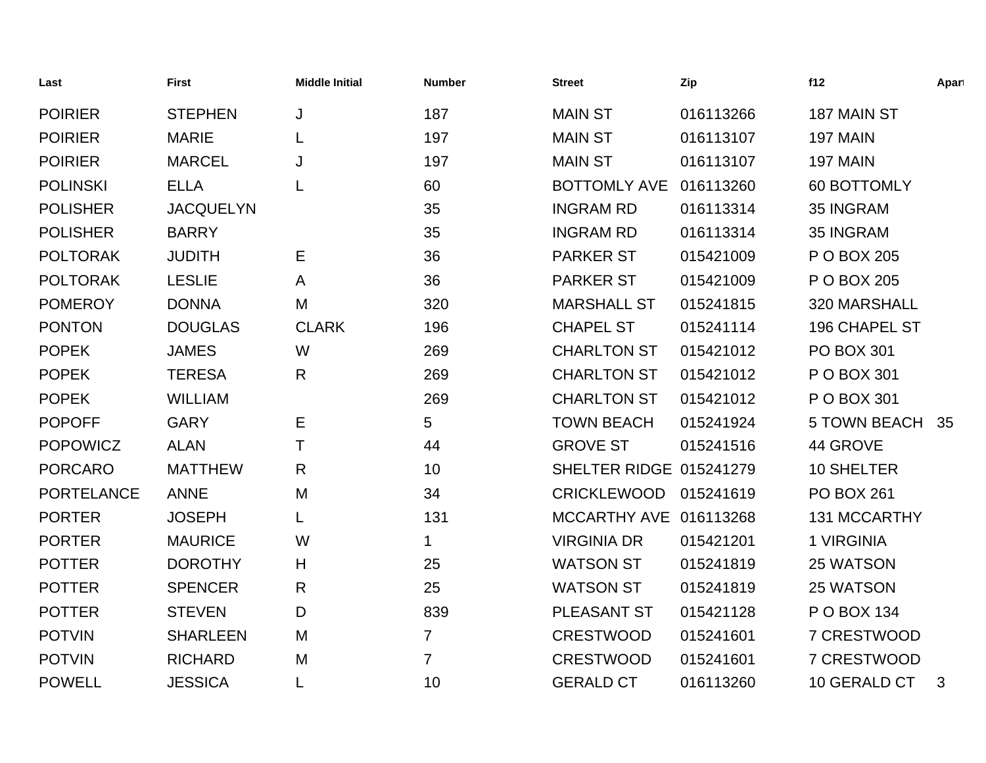| Last              | <b>First</b>     | <b>Middle Initial</b> | <b>Number</b>  | <b>Street</b>           | Zip       | f12                 | Apart |
|-------------------|------------------|-----------------------|----------------|-------------------------|-----------|---------------------|-------|
| <b>POIRIER</b>    | <b>STEPHEN</b>   | J                     | 187            | <b>MAIN ST</b>          | 016113266 | 187 MAIN ST         |       |
| <b>POIRIER</b>    | <b>MARIE</b>     |                       | 197            | <b>MAIN ST</b>          | 016113107 | 197 MAIN            |       |
| <b>POIRIER</b>    | <b>MARCEL</b>    | J                     | 197            | <b>MAIN ST</b>          | 016113107 | 197 MAIN            |       |
| <b>POLINSKI</b>   | <b>ELLA</b>      |                       | 60             | <b>BOTTOMLY AVE</b>     | 016113260 | 60 BOTTOMLY         |       |
| <b>POLISHER</b>   | <b>JACQUELYN</b> |                       | 35             | <b>INGRAM RD</b>        | 016113314 | 35 INGRAM           |       |
| <b>POLISHER</b>   | <b>BARRY</b>     |                       | 35             | <b>INGRAM RD</b>        | 016113314 | 35 INGRAM           |       |
| <b>POLTORAK</b>   | <b>JUDITH</b>    | Е                     | 36             | <b>PARKER ST</b>        | 015421009 | P O BOX 205         |       |
| <b>POLTORAK</b>   | <b>LESLIE</b>    | A                     | 36             | <b>PARKER ST</b>        | 015421009 | P O BOX 205         |       |
| <b>POMEROY</b>    | <b>DONNA</b>     | M                     | 320            | <b>MARSHALL ST</b>      | 015241815 | 320 MARSHALL        |       |
| <b>PONTON</b>     | <b>DOUGLAS</b>   | <b>CLARK</b>          | 196            | <b>CHAPEL ST</b>        | 015241114 | 196 CHAPEL ST       |       |
| <b>POPEK</b>      | <b>JAMES</b>     | W                     | 269            | <b>CHARLTON ST</b>      | 015421012 | <b>PO BOX 301</b>   |       |
| <b>POPEK</b>      | <b>TERESA</b>    | R                     | 269            | <b>CHARLTON ST</b>      | 015421012 | P O BOX 301         |       |
| <b>POPEK</b>      | <b>WILLIAM</b>   |                       | 269            | <b>CHARLTON ST</b>      | 015421012 | P O BOX 301         |       |
| <b>POPOFF</b>     | <b>GARY</b>      | Е                     | 5              | <b>TOWN BEACH</b>       | 015241924 | <b>5 TOWN BEACH</b> | 35    |
| <b>POPOWICZ</b>   | <b>ALAN</b>      | T                     | 44             | <b>GROVE ST</b>         | 015241516 | 44 GROVE            |       |
| <b>PORCARO</b>    | <b>MATTHEW</b>   | R                     | 10             | SHELTER RIDGE 015241279 |           | 10 SHELTER          |       |
| <b>PORTELANCE</b> | <b>ANNE</b>      | M                     | 34             | <b>CRICKLEWOOD</b>      | 015241619 | <b>PO BOX 261</b>   |       |
| <b>PORTER</b>     | <b>JOSEPH</b>    |                       | 131            | MCCARTHY AVE 016113268  |           | 131 MCCARTHY        |       |
| <b>PORTER</b>     | <b>MAURICE</b>   | W                     | 1              | <b>VIRGINIA DR</b>      | 015421201 | 1 VIRGINIA          |       |
| <b>POTTER</b>     | <b>DOROTHY</b>   | H                     | 25             | <b>WATSON ST</b>        | 015241819 | 25 WATSON           |       |
| <b>POTTER</b>     | <b>SPENCER</b>   | R                     | 25             | <b>WATSON ST</b>        | 015241819 | 25 WATSON           |       |
| <b>POTTER</b>     | <b>STEVEN</b>    | D                     | 839            | PLEASANT ST             | 015421128 | P O BOX 134         |       |
| <b>POTVIN</b>     | <b>SHARLEEN</b>  | M                     | $\overline{7}$ | <b>CRESTWOOD</b>        | 015241601 | 7 CRESTWOOD         |       |
| <b>POTVIN</b>     | <b>RICHARD</b>   | M                     | $\overline{7}$ | <b>CRESTWOOD</b>        | 015241601 | 7 CRESTWOOD         |       |
| <b>POWELL</b>     | <b>JESSICA</b>   |                       | 10             | <b>GERALD CT</b>        | 016113260 | 10 GERALD CT        | 3     |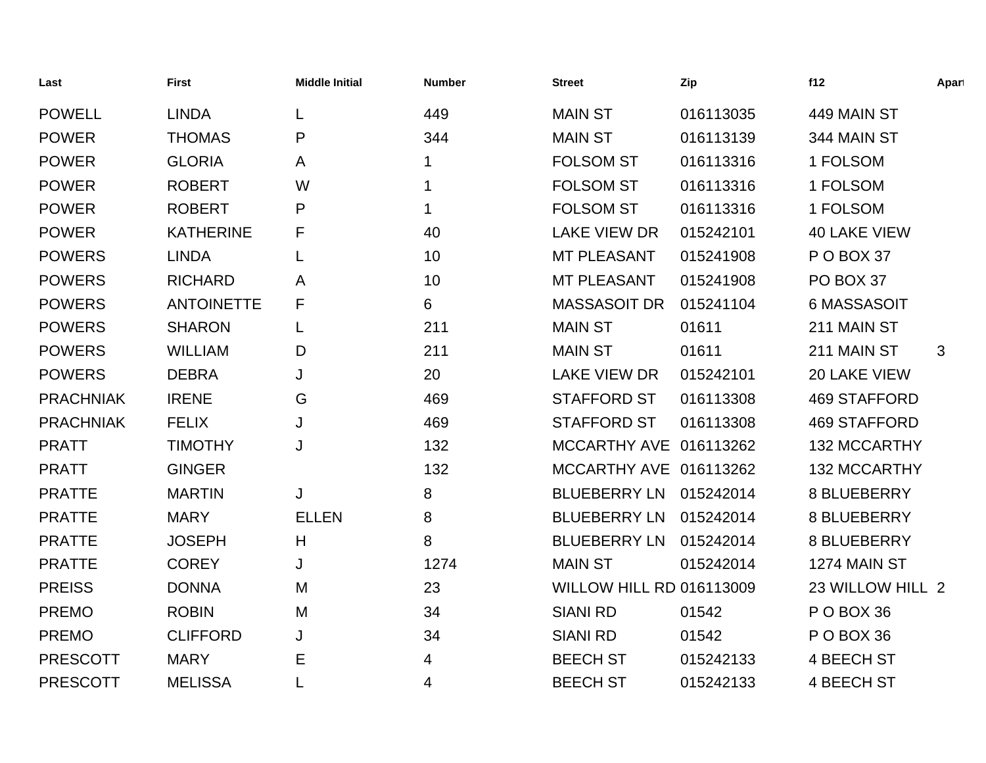| Last             | <b>First</b>      | <b>Middle Initial</b> | <b>Number</b> | <b>Street</b>                   | Zip       | f12                 | Apart |
|------------------|-------------------|-----------------------|---------------|---------------------------------|-----------|---------------------|-------|
| <b>POWELL</b>    | <b>LINDA</b>      | L                     | 449           | <b>MAIN ST</b>                  | 016113035 | 449 MAIN ST         |       |
| <b>POWER</b>     | <b>THOMAS</b>     | P                     | 344           | <b>MAIN ST</b>                  | 016113139 | 344 MAIN ST         |       |
| <b>POWER</b>     | <b>GLORIA</b>     | A                     | 1             | <b>FOLSOM ST</b>                | 016113316 | 1 FOLSOM            |       |
| <b>POWER</b>     | <b>ROBERT</b>     | W                     | 1             | <b>FOLSOM ST</b>                | 016113316 | 1 FOLSOM            |       |
| <b>POWER</b>     | <b>ROBERT</b>     | P                     | 1             | <b>FOLSOM ST</b>                | 016113316 | 1 FOLSOM            |       |
| <b>POWER</b>     | <b>KATHERINE</b>  | F                     | 40            | <b>LAKE VIEW DR</b>             | 015242101 | <b>40 LAKE VIEW</b> |       |
| <b>POWERS</b>    | <b>LINDA</b>      | L                     | 10            | <b>MT PLEASANT</b>              | 015241908 | P O BOX 37          |       |
| <b>POWERS</b>    | <b>RICHARD</b>    | A                     | 10            | <b>MT PLEASANT</b>              | 015241908 | PO BOX 37           |       |
| <b>POWERS</b>    | <b>ANTOINETTE</b> | F                     | 6             | <b>MASSASOIT DR</b>             | 015241104 | 6 MASSASOIT         |       |
| <b>POWERS</b>    | <b>SHARON</b>     | L                     | 211           | <b>MAIN ST</b>                  | 01611     | 211 MAIN ST         |       |
| <b>POWERS</b>    | <b>WILLIAM</b>    | D                     | 211           | <b>MAIN ST</b>                  | 01611     | 211 MAIN ST         | 3     |
| <b>POWERS</b>    | <b>DEBRA</b>      | J                     | 20            | <b>LAKE VIEW DR</b>             | 015242101 | 20 LAKE VIEW        |       |
| <b>PRACHNIAK</b> | <b>IRENE</b>      | G                     | 469           | <b>STAFFORD ST</b>              | 016113308 | <b>469 STAFFORD</b> |       |
| <b>PRACHNIAK</b> | <b>FELIX</b>      | J                     | 469           | <b>STAFFORD ST</b>              | 016113308 | <b>469 STAFFORD</b> |       |
| <b>PRATT</b>     | <b>TIMOTHY</b>    | J                     | 132           | MCCARTHY AVE 016113262          |           | <b>132 MCCARTHY</b> |       |
| <b>PRATT</b>     | <b>GINGER</b>     |                       | 132           | MCCARTHY AVE 016113262          |           | <b>132 MCCARTHY</b> |       |
| <b>PRATTE</b>    | <b>MARTIN</b>     | J                     | 8             | <b>BLUEBERRY LN</b>             | 015242014 | 8 BLUEBERRY         |       |
| <b>PRATTE</b>    | <b>MARY</b>       | <b>ELLEN</b>          | 8             | <b>BLUEBERRY LN</b>             | 015242014 | 8 BLUEBERRY         |       |
| <b>PRATTE</b>    | <b>JOSEPH</b>     | H                     | 8             | <b>BLUEBERRY LN</b>             | 015242014 | 8 BLUEBERRY         |       |
| <b>PRATTE</b>    | <b>COREY</b>      | J                     | 1274          | <b>MAIN ST</b>                  | 015242014 | 1274 MAIN ST        |       |
| <b>PREISS</b>    | <b>DONNA</b>      | M                     | 23            | <b>WILLOW HILL RD 016113009</b> |           | 23 WILLOW HILL 2    |       |
| <b>PREMO</b>     | <b>ROBIN</b>      | M                     | 34            | <b>SIANI RD</b>                 | 01542     | POBOX 36            |       |
| <b>PREMO</b>     | <b>CLIFFORD</b>   | J                     | 34            | <b>SIANI RD</b>                 | 01542     | PO BOX 36           |       |
| <b>PRESCOTT</b>  | <b>MARY</b>       | Е                     | 4             | <b>BEECH ST</b>                 | 015242133 | 4 BEECH ST          |       |
| <b>PRESCOTT</b>  | <b>MELISSA</b>    |                       | 4             | <b>BEECH ST</b>                 | 015242133 | <b>4 BEECH ST</b>   |       |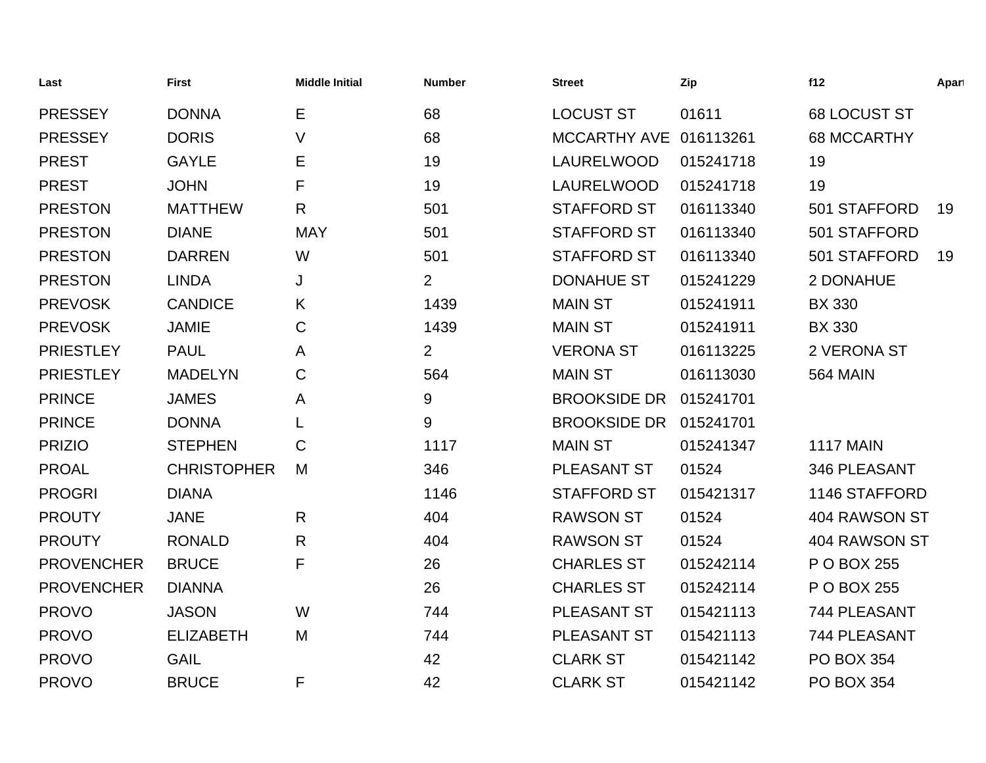| Last              | <b>First</b>       | <b>Middle Initial</b> | <b>Number</b>  | <b>Street</b>       | Zip       | f12                | Apart |
|-------------------|--------------------|-----------------------|----------------|---------------------|-----------|--------------------|-------|
| <b>PRESSEY</b>    | <b>DONNA</b>       | E                     | 68             | <b>LOCUST ST</b>    | 01611     | 68 LOCUST ST       |       |
| <b>PRESSEY</b>    | <b>DORIS</b>       | V                     | 68             | <b>MCCARTHY AVE</b> | 016113261 | <b>68 MCCARTHY</b> |       |
| <b>PREST</b>      | <b>GAYLE</b>       | Е                     | 19             | LAURELWOOD          | 015241718 | 19                 |       |
| <b>PREST</b>      | <b>JOHN</b>        | F                     | 19             | LAURELWOOD          | 015241718 | 19                 |       |
| <b>PRESTON</b>    | <b>MATTHEW</b>     | $\mathsf{R}$          | 501            | <b>STAFFORD ST</b>  | 016113340 | 501 STAFFORD       | 19    |
| <b>PRESTON</b>    | <b>DIANE</b>       | <b>MAY</b>            | 501            | <b>STAFFORD ST</b>  | 016113340 | 501 STAFFORD       |       |
| <b>PRESTON</b>    | <b>DARREN</b>      | W                     | 501            | <b>STAFFORD ST</b>  | 016113340 | 501 STAFFORD       | 19    |
| <b>PRESTON</b>    | <b>LINDA</b>       | J                     | $\overline{2}$ | <b>DONAHUE ST</b>   | 015241229 | 2 DONAHUE          |       |
| <b>PREVOSK</b>    | <b>CANDICE</b>     | K                     | 1439           | <b>MAIN ST</b>      | 015241911 | <b>BX 330</b>      |       |
| <b>PREVOSK</b>    | <b>JAMIE</b>       | C                     | 1439           | <b>MAIN ST</b>      | 015241911 | <b>BX 330</b>      |       |
| <b>PRIESTLEY</b>  | <b>PAUL</b>        | A                     | $\overline{2}$ | <b>VERONA ST</b>    | 016113225 | 2 VERONA ST        |       |
| <b>PRIESTLEY</b>  | <b>MADELYN</b>     | C                     | 564            | <b>MAIN ST</b>      | 016113030 | <b>564 MAIN</b>    |       |
| <b>PRINCE</b>     | <b>JAMES</b>       | Α                     | 9              | <b>BROOKSIDE DR</b> | 015241701 |                    |       |
| <b>PRINCE</b>     | <b>DONNA</b>       | L                     | 9              | <b>BROOKSIDE DR</b> | 015241701 |                    |       |
| <b>PRIZIO</b>     | <b>STEPHEN</b>     | C                     | 1117           | <b>MAIN ST</b>      | 015241347 | <b>1117 MAIN</b>   |       |
| <b>PROAL</b>      | <b>CHRISTOPHER</b> | M                     | 346            | <b>PLEASANT ST</b>  | 01524     | 346 PLEASANT       |       |
| <b>PROGRI</b>     | <b>DIANA</b>       |                       | 1146           | <b>STAFFORD ST</b>  | 015421317 | 1146 STAFFORD      |       |
| <b>PROUTY</b>     | <b>JANE</b>        | R                     | 404            | <b>RAWSON ST</b>    | 01524     | 404 RAWSON ST      |       |
| <b>PROUTY</b>     | <b>RONALD</b>      | $\mathsf{R}$          | 404            | <b>RAWSON ST</b>    | 01524     | 404 RAWSON ST      |       |
| <b>PROVENCHER</b> | <b>BRUCE</b>       | F                     | 26             | <b>CHARLES ST</b>   | 015242114 | P O BOX 255        |       |
| <b>PROVENCHER</b> | <b>DIANNA</b>      |                       | 26             | <b>CHARLES ST</b>   | 015242114 | P O BOX 255        |       |
| <b>PROVO</b>      | <b>JASON</b>       | W                     | 744            | PLEASANT ST         | 015421113 | 744 PLEASANT       |       |
| <b>PROVO</b>      | <b>ELIZABETH</b>   | M                     | 744            | <b>PLEASANT ST</b>  | 015421113 | 744 PLEASANT       |       |
| <b>PROVO</b>      | <b>GAIL</b>        |                       | 42             | <b>CLARK ST</b>     | 015421142 | <b>PO BOX 354</b>  |       |
| <b>PROVO</b>      | <b>BRUCE</b>       | F                     | 42             | <b>CLARK ST</b>     | 015421142 | <b>PO BOX 354</b>  |       |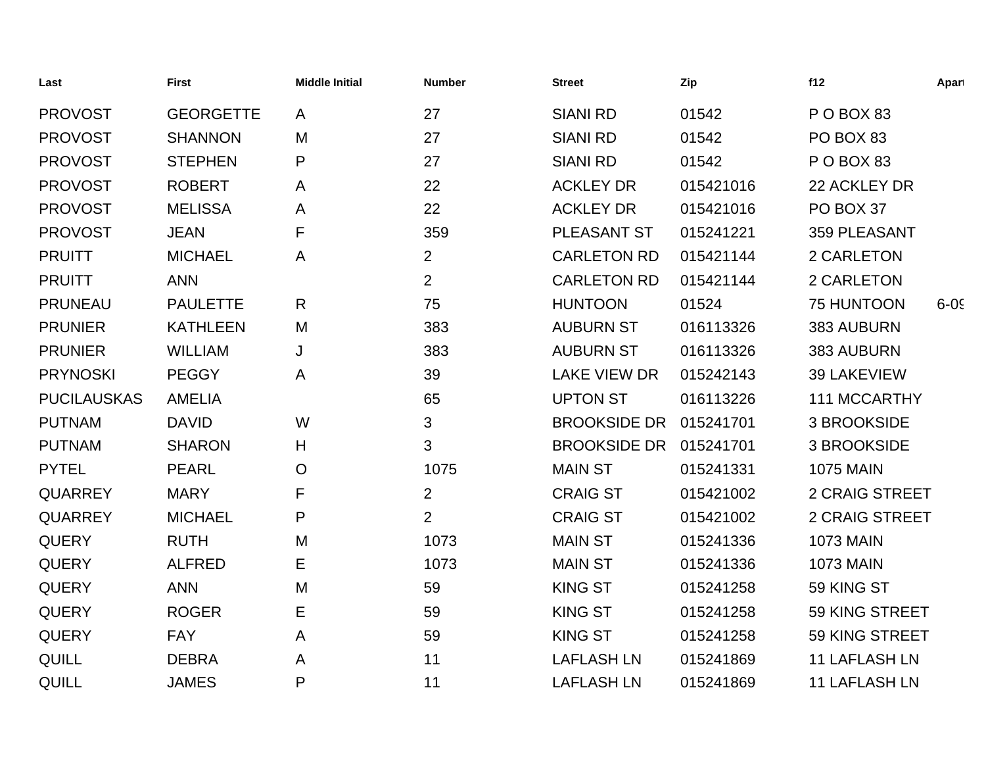| Last               | <b>First</b>     | <b>Middle Initial</b> | <b>Number</b>  | <b>Street</b>       | Zip       | f12                   | Apart    |
|--------------------|------------------|-----------------------|----------------|---------------------|-----------|-----------------------|----------|
| <b>PROVOST</b>     | <b>GEORGETTE</b> | A                     | 27             | <b>SIANI RD</b>     | 01542     | POBOX 83              |          |
| <b>PROVOST</b>     | <b>SHANNON</b>   | M                     | 27             | <b>SIANI RD</b>     | 01542     | PO BOX 83             |          |
| <b>PROVOST</b>     | <b>STEPHEN</b>   | P                     | 27             | <b>SIANI RD</b>     | 01542     | POBOX 83              |          |
| <b>PROVOST</b>     | <b>ROBERT</b>    | A                     | 22             | <b>ACKLEY DR</b>    | 015421016 | 22 ACKLEY DR          |          |
| <b>PROVOST</b>     | <b>MELISSA</b>   | Α                     | 22             | <b>ACKLEY DR</b>    | 015421016 | PO BOX 37             |          |
| <b>PROVOST</b>     | <b>JEAN</b>      | F                     | 359            | PLEASANT ST         | 015241221 | 359 PLEASANT          |          |
| <b>PRUITT</b>      | <b>MICHAEL</b>   | A                     | $\overline{2}$ | <b>CARLETON RD</b>  | 015421144 | 2 CARLETON            |          |
| <b>PRUITT</b>      | <b>ANN</b>       |                       | $\overline{2}$ | <b>CARLETON RD</b>  | 015421144 | 2 CARLETON            |          |
| <b>PRUNEAU</b>     | <b>PAULETTE</b>  | $\mathsf{R}$          | 75             | <b>HUNTOON</b>      | 01524     | <b>75 HUNTOON</b>     | $6 - 05$ |
| <b>PRUNIER</b>     | <b>KATHLEEN</b>  | M                     | 383            | <b>AUBURN ST</b>    | 016113326 | 383 AUBURN            |          |
| <b>PRUNIER</b>     | <b>WILLIAM</b>   | J                     | 383            | <b>AUBURN ST</b>    | 016113326 | 383 AUBURN            |          |
| <b>PRYNOSKI</b>    | <b>PEGGY</b>     | A                     | 39             | <b>LAKE VIEW DR</b> | 015242143 | <b>39 LAKEVIEW</b>    |          |
| <b>PUCILAUSKAS</b> | <b>AMELIA</b>    |                       | 65             | <b>UPTON ST</b>     | 016113226 | 111 MCCARTHY          |          |
| <b>PUTNAM</b>      | <b>DAVID</b>     | W                     | 3              | <b>BROOKSIDE DR</b> | 015241701 | 3 BROOKSIDE           |          |
| <b>PUTNAM</b>      | <b>SHARON</b>    | H                     | 3              | <b>BROOKSIDE DR</b> | 015241701 | 3 BROOKSIDE           |          |
| <b>PYTEL</b>       | <b>PEARL</b>     | $\mathsf{O}$          | 1075           | <b>MAIN ST</b>      | 015241331 | <b>1075 MAIN</b>      |          |
| <b>QUARREY</b>     | <b>MARY</b>      | F                     | $\overline{2}$ | <b>CRAIG ST</b>     | 015421002 | <b>2 CRAIG STREET</b> |          |
| <b>QUARREY</b>     | <b>MICHAEL</b>   | P                     | $\overline{2}$ | <b>CRAIG ST</b>     | 015421002 | <b>2 CRAIG STREET</b> |          |
| <b>QUERY</b>       | <b>RUTH</b>      | M                     | 1073           | <b>MAIN ST</b>      | 015241336 | <b>1073 MAIN</b>      |          |
| <b>QUERY</b>       | <b>ALFRED</b>    | Е                     | 1073           | <b>MAIN ST</b>      | 015241336 | <b>1073 MAIN</b>      |          |
| <b>QUERY</b>       | <b>ANN</b>       | M                     | 59             | <b>KING ST</b>      | 015241258 | 59 KING ST            |          |
| <b>QUERY</b>       | <b>ROGER</b>     | Ε                     | 59             | <b>KING ST</b>      | 015241258 | 59 KING STREET        |          |
| <b>QUERY</b>       | <b>FAY</b>       | A                     | 59             | <b>KING ST</b>      | 015241258 | 59 KING STREET        |          |
| QUILL              | <b>DEBRA</b>     | A                     | 11             | <b>LAFLASH LN</b>   | 015241869 | <b>11 LAFLASH LN</b>  |          |
| <b>QUILL</b>       | <b>JAMES</b>     | P                     | 11             | <b>LAFLASH LN</b>   | 015241869 | <b>11 LAFLASH LN</b>  |          |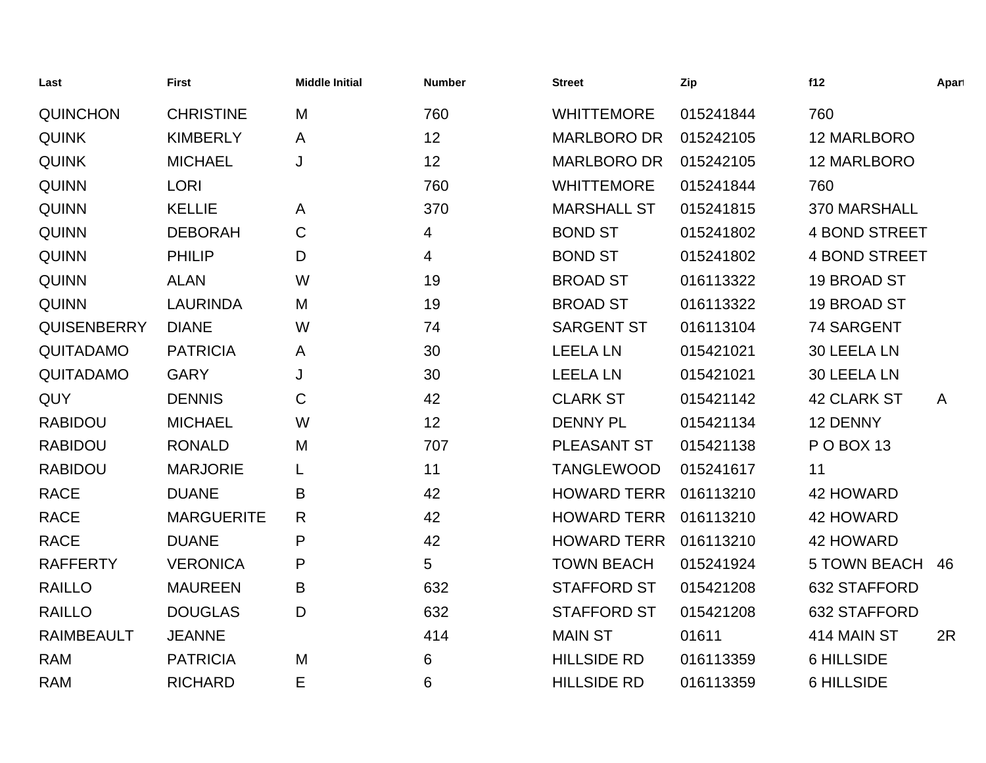| Last               | <b>First</b>      | <b>Middle Initial</b> | <b>Number</b> | <b>Street</b>      | Zip       | f12                  | Apart        |
|--------------------|-------------------|-----------------------|---------------|--------------------|-----------|----------------------|--------------|
| <b>QUINCHON</b>    | <b>CHRISTINE</b>  | M                     | 760           | <b>WHITTEMORE</b>  | 015241844 | 760                  |              |
| <b>QUINK</b>       | <b>KIMBERLY</b>   | A                     | 12            | <b>MARLBORO DR</b> | 015242105 | 12 MARLBORO          |              |
| <b>QUINK</b>       | <b>MICHAEL</b>    | J                     | 12            | <b>MARLBORO DR</b> | 015242105 | 12 MARLBORO          |              |
| <b>QUINN</b>       | <b>LORI</b>       |                       | 760           | <b>WHITTEMORE</b>  | 015241844 | 760                  |              |
| <b>QUINN</b>       | <b>KELLIE</b>     | A                     | 370           | <b>MARSHALL ST</b> | 015241815 | 370 MARSHALL         |              |
| <b>QUINN</b>       | <b>DEBORAH</b>    | $\mathsf C$           | 4             | <b>BOND ST</b>     | 015241802 | <b>4 BOND STREET</b> |              |
| <b>QUINN</b>       | <b>PHILIP</b>     | D                     | 4             | <b>BOND ST</b>     | 015241802 | <b>4 BOND STREET</b> |              |
| <b>QUINN</b>       | <b>ALAN</b>       | W                     | 19            | <b>BROAD ST</b>    | 016113322 | 19 BROAD ST          |              |
| <b>QUINN</b>       | <b>LAURINDA</b>   | M                     | 19            | <b>BROAD ST</b>    | 016113322 | 19 BROAD ST          |              |
| <b>QUISENBERRY</b> | <b>DIANE</b>      | W                     | 74            | <b>SARGENT ST</b>  | 016113104 | 74 SARGENT           |              |
| <b>QUITADAMO</b>   | <b>PATRICIA</b>   | A                     | 30            | <b>LEELA LN</b>    | 015421021 | 30 LEELA LN          |              |
| <b>QUITADAMO</b>   | <b>GARY</b>       | J                     | 30            | <b>LEELA LN</b>    | 015421021 | 30 LEELA LN          |              |
| QUY                | <b>DENNIS</b>     | C                     | 42            | <b>CLARK ST</b>    | 015421142 | <b>42 CLARK ST</b>   | $\mathsf{A}$ |
| <b>RABIDOU</b>     | <b>MICHAEL</b>    | W                     | 12            | <b>DENNY PL</b>    | 015421134 | 12 DENNY             |              |
| <b>RABIDOU</b>     | <b>RONALD</b>     | M                     | 707           | PLEASANT ST        | 015421138 | <b>PO BOX 13</b>     |              |
| <b>RABIDOU</b>     | <b>MARJORIE</b>   | L                     | 11            | <b>TANGLEWOOD</b>  | 015241617 | 11                   |              |
| <b>RACE</b>        | <b>DUANE</b>      | B                     | 42            | <b>HOWARD TERR</b> | 016113210 | 42 HOWARD            |              |
| <b>RACE</b>        | <b>MARGUERITE</b> | R                     | 42            | <b>HOWARD TERR</b> | 016113210 | 42 HOWARD            |              |
| <b>RACE</b>        | <b>DUANE</b>      | P                     | 42            | <b>HOWARD TERR</b> | 016113210 | <b>42 HOWARD</b>     |              |
| <b>RAFFERTY</b>    | <b>VERONICA</b>   | P                     | 5             | <b>TOWN BEACH</b>  | 015241924 | <b>5 TOWN BEACH</b>  | 46           |
| <b>RAILLO</b>      | <b>MAUREEN</b>    | B                     | 632           | <b>STAFFORD ST</b> | 015421208 | 632 STAFFORD         |              |
| <b>RAILLO</b>      | <b>DOUGLAS</b>    | D                     | 632           | <b>STAFFORD ST</b> | 015421208 | 632 STAFFORD         |              |
| <b>RAIMBEAULT</b>  | <b>JEANNE</b>     |                       | 414           | <b>MAIN ST</b>     | 01611     | 414 MAIN ST          | 2R           |
| <b>RAM</b>         | <b>PATRICIA</b>   | M                     | 6             | <b>HILLSIDE RD</b> | 016113359 | <b>6 HILLSIDE</b>    |              |
| <b>RAM</b>         | <b>RICHARD</b>    | E                     | 6             | <b>HILLSIDE RD</b> | 016113359 | <b>6 HILLSIDE</b>    |              |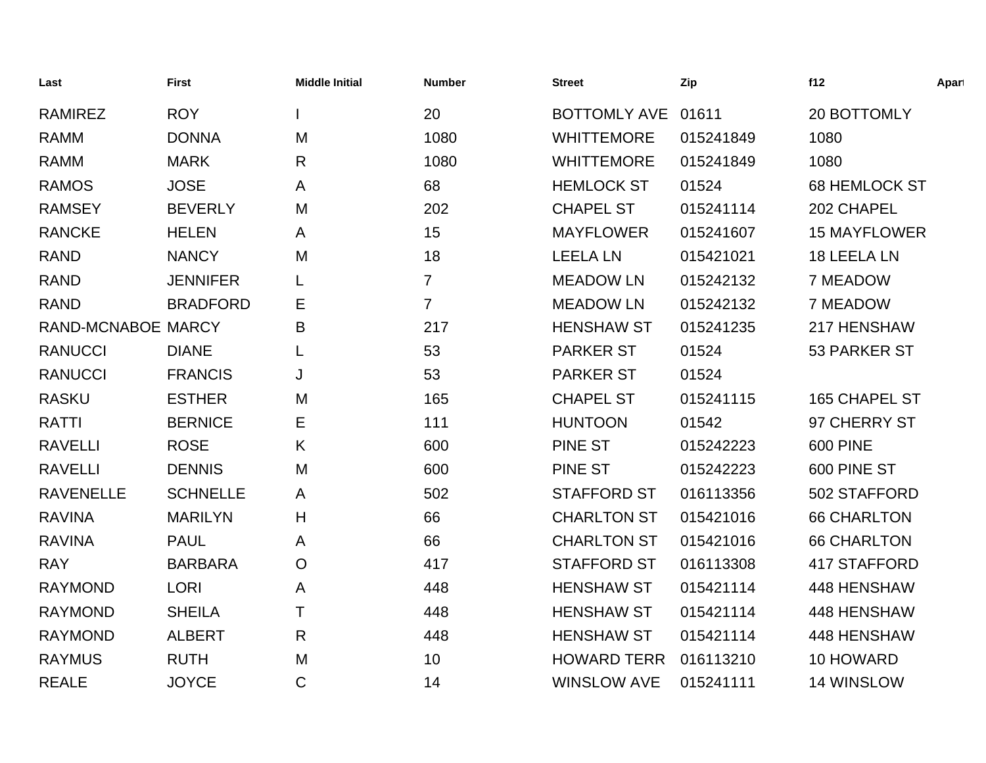| Last               | <b>First</b>    | <b>Middle Initial</b> | <b>Number</b>  | <b>Street</b>       | Zip       | f12                  | Apart |
|--------------------|-----------------|-----------------------|----------------|---------------------|-----------|----------------------|-------|
| <b>RAMIREZ</b>     | <b>ROY</b>      |                       | 20             | <b>BOTTOMLY AVE</b> | 01611     | 20 BOTTOMLY          |       |
| <b>RAMM</b>        | <b>DONNA</b>    | M                     | 1080           | <b>WHITTEMORE</b>   | 015241849 | 1080                 |       |
| <b>RAMM</b>        | <b>MARK</b>     | R                     | 1080           | <b>WHITTEMORE</b>   | 015241849 | 1080                 |       |
| <b>RAMOS</b>       | <b>JOSE</b>     | A                     | 68             | <b>HEMLOCK ST</b>   | 01524     | <b>68 HEMLOCK ST</b> |       |
| <b>RAMSEY</b>      | <b>BEVERLY</b>  | M                     | 202            | <b>CHAPEL ST</b>    | 015241114 | 202 CHAPEL           |       |
| <b>RANCKE</b>      | <b>HELEN</b>    | A                     | 15             | <b>MAYFLOWER</b>    | 015241607 | <b>15 MAYFLOWER</b>  |       |
| <b>RAND</b>        | <b>NANCY</b>    | M                     | 18             | <b>LEELA LN</b>     | 015421021 | 18 LEELA LN          |       |
| <b>RAND</b>        | <b>JENNIFER</b> |                       | $\overline{7}$ | <b>MEADOW LN</b>    | 015242132 | 7 MEADOW             |       |
| <b>RAND</b>        | <b>BRADFORD</b> | Е                     | $\overline{7}$ | <b>MEADOW LN</b>    | 015242132 | 7 MEADOW             |       |
| RAND-MCNABOE MARCY |                 | B                     | 217            | <b>HENSHAW ST</b>   | 015241235 | 217 HENSHAW          |       |
| <b>RANUCCI</b>     | <b>DIANE</b>    | L                     | 53             | <b>PARKER ST</b>    | 01524     | 53 PARKER ST         |       |
| <b>RANUCCI</b>     | <b>FRANCIS</b>  | J                     | 53             | <b>PARKER ST</b>    | 01524     |                      |       |
| <b>RASKU</b>       | <b>ESTHER</b>   | M                     | 165            | <b>CHAPEL ST</b>    | 015241115 | 165 CHAPEL ST        |       |
| <b>RATTI</b>       | <b>BERNICE</b>  | E.                    | 111            | <b>HUNTOON</b>      | 01542     | 97 CHERRY ST         |       |
| <b>RAVELLI</b>     | <b>ROSE</b>     | K                     | 600            | <b>PINE ST</b>      | 015242223 | <b>600 PINE</b>      |       |
| <b>RAVELLI</b>     | <b>DENNIS</b>   | M                     | 600            | <b>PINE ST</b>      | 015242223 | 600 PINE ST          |       |
| <b>RAVENELLE</b>   | <b>SCHNELLE</b> | A                     | 502            | <b>STAFFORD ST</b>  | 016113356 | 502 STAFFORD         |       |
| <b>RAVINA</b>      | <b>MARILYN</b>  | H                     | 66             | <b>CHARLTON ST</b>  | 015421016 | <b>66 CHARLTON</b>   |       |
| <b>RAVINA</b>      | <b>PAUL</b>     | A                     | 66             | <b>CHARLTON ST</b>  | 015421016 | <b>66 CHARLTON</b>   |       |
| <b>RAY</b>         | <b>BARBARA</b>  | O                     | 417            | <b>STAFFORD ST</b>  | 016113308 | <b>417 STAFFORD</b>  |       |
| <b>RAYMOND</b>     | <b>LORI</b>     | A                     | 448            | <b>HENSHAW ST</b>   | 015421114 | 448 HENSHAW          |       |
| <b>RAYMOND</b>     | <b>SHEILA</b>   | Τ                     | 448            | <b>HENSHAW ST</b>   | 015421114 | 448 HENSHAW          |       |
| <b>RAYMOND</b>     | <b>ALBERT</b>   | R                     | 448            | <b>HENSHAW ST</b>   | 015421114 | 448 HENSHAW          |       |
| <b>RAYMUS</b>      | <b>RUTH</b>     | M                     | 10             | <b>HOWARD TERR</b>  | 016113210 | 10 HOWARD            |       |
| <b>REALE</b>       | <b>JOYCE</b>    | $\mathsf C$           | 14             | <b>WINSLOW AVE</b>  | 015241111 | 14 WINSLOW           |       |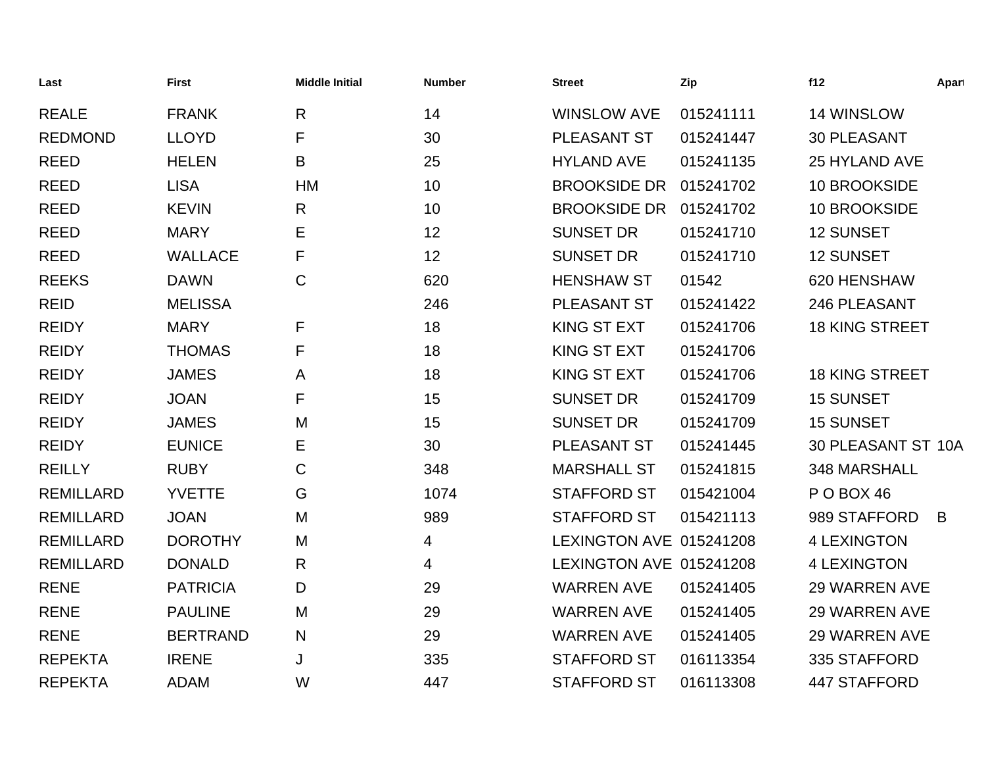| Last             | <b>First</b>    | <b>Middle Initial</b> | <b>Number</b>   | <b>Street</b>           | Zip       | f12                   | Apart |
|------------------|-----------------|-----------------------|-----------------|-------------------------|-----------|-----------------------|-------|
| <b>REALE</b>     | <b>FRANK</b>    | $\mathsf{R}$          | 14              | <b>WINSLOW AVE</b>      | 015241111 | 14 WINSLOW            |       |
| <b>REDMOND</b>   | <b>LLOYD</b>    | F                     | 30              | PLEASANT ST             | 015241447 | <b>30 PLEASANT</b>    |       |
| <b>REED</b>      | <b>HELEN</b>    | B                     | 25              | <b>HYLAND AVE</b>       | 015241135 | <b>25 HYLAND AVE</b>  |       |
| <b>REED</b>      | <b>LISA</b>     | <b>HM</b>             | 10 <sup>1</sup> | <b>BROOKSIDE DR</b>     | 015241702 | 10 BROOKSIDE          |       |
| <b>REED</b>      | <b>KEVIN</b>    | R                     | 10              | <b>BROOKSIDE DR</b>     | 015241702 | 10 BROOKSIDE          |       |
| <b>REED</b>      | <b>MARY</b>     | Е                     | 12              | <b>SUNSET DR</b>        | 015241710 | <b>12 SUNSET</b>      |       |
| <b>REED</b>      | <b>WALLACE</b>  | F                     | 12              | <b>SUNSET DR</b>        | 015241710 | <b>12 SUNSET</b>      |       |
| <b>REEKS</b>     | <b>DAWN</b>     | $\mathsf{C}$          | 620             | <b>HENSHAW ST</b>       | 01542     | 620 HENSHAW           |       |
| <b>REID</b>      | <b>MELISSA</b>  |                       | 246             | PLEASANT ST             | 015241422 | 246 PLEASANT          |       |
| <b>REIDY</b>     | <b>MARY</b>     | F                     | 18              | KING ST EXT             | 015241706 | <b>18 KING STREET</b> |       |
| <b>REIDY</b>     | <b>THOMAS</b>   | F                     | 18              | <b>KING ST EXT</b>      | 015241706 |                       |       |
| <b>REIDY</b>     | <b>JAMES</b>    | A                     | 18              | <b>KING ST EXT</b>      | 015241706 | <b>18 KING STREET</b> |       |
| <b>REIDY</b>     | <b>JOAN</b>     | F                     | 15              | <b>SUNSET DR</b>        | 015241709 | <b>15 SUNSET</b>      |       |
| <b>REIDY</b>     | <b>JAMES</b>    | M                     | 15              | <b>SUNSET DR</b>        | 015241709 | <b>15 SUNSET</b>      |       |
| <b>REIDY</b>     | <b>EUNICE</b>   | Е                     | 30              | PLEASANT ST             | 015241445 | 30 PLEASANT ST 10A    |       |
| <b>REILLY</b>    | <b>RUBY</b>     | C                     | 348             | <b>MARSHALL ST</b>      | 015241815 | 348 MARSHALL          |       |
| <b>REMILLARD</b> | <b>YVETTE</b>   | G                     | 1074            | <b>STAFFORD ST</b>      | 015421004 | POBOX 46              |       |
| <b>REMILLARD</b> | <b>JOAN</b>     | M                     | 989             | <b>STAFFORD ST</b>      | 015421113 | 989 STAFFORD          | B     |
| <b>REMILLARD</b> | <b>DOROTHY</b>  | M                     | 4               | LEXINGTON AVE 015241208 |           | <b>4 LEXINGTON</b>    |       |
| <b>REMILLARD</b> | <b>DONALD</b>   | R                     | 4               | LEXINGTON AVE 015241208 |           | <b>4 LEXINGTON</b>    |       |
| <b>RENE</b>      | <b>PATRICIA</b> | D                     | 29              | <b>WARREN AVE</b>       | 015241405 | <b>29 WARREN AVE</b>  |       |
| <b>RENE</b>      | <b>PAULINE</b>  | M                     | 29              | <b>WARREN AVE</b>       | 015241405 | <b>29 WARREN AVE</b>  |       |
| <b>RENE</b>      | <b>BERTRAND</b> | N                     | 29              | <b>WARREN AVE</b>       | 015241405 | <b>29 WARREN AVE</b>  |       |
| <b>REPEKTA</b>   | <b>IRENE</b>    | J                     | 335             | <b>STAFFORD ST</b>      | 016113354 | 335 STAFFORD          |       |
| <b>REPEKTA</b>   | <b>ADAM</b>     | W                     | 447             | <b>STAFFORD ST</b>      | 016113308 | <b>447 STAFFORD</b>   |       |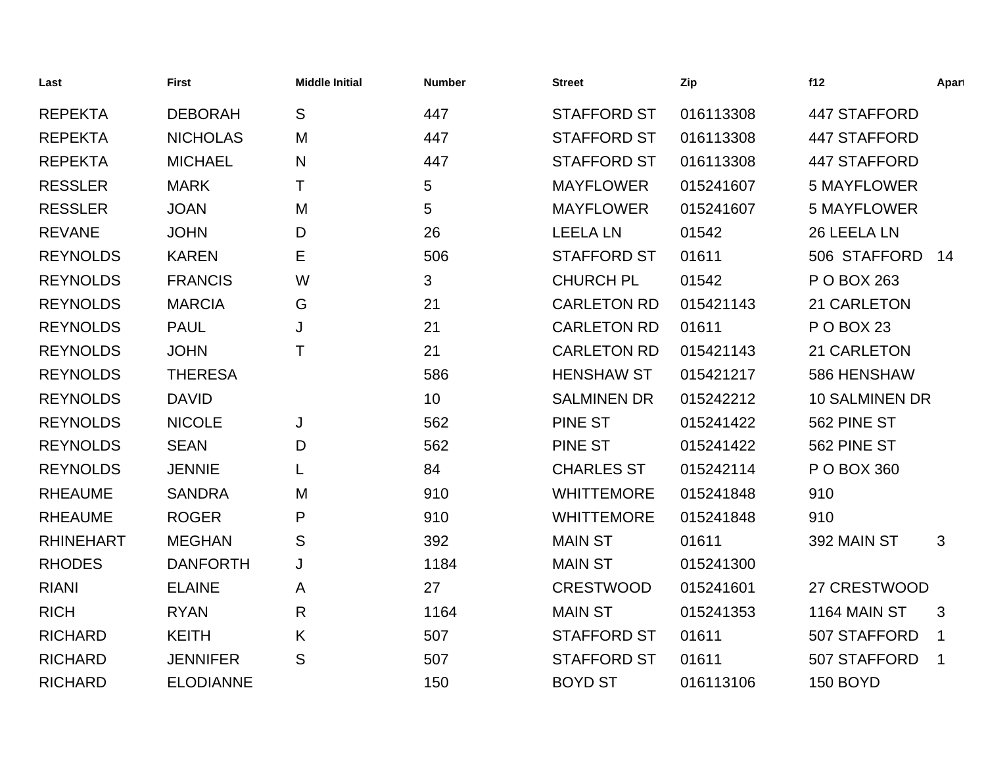| Last             | <b>First</b>     | <b>Middle Initial</b> | <b>Number</b> | <b>Street</b>      | Zip       | f12                   | Apart       |
|------------------|------------------|-----------------------|---------------|--------------------|-----------|-----------------------|-------------|
| <b>REPEKTA</b>   | <b>DEBORAH</b>   | S                     | 447           | <b>STAFFORD ST</b> | 016113308 | 447 STAFFORD          |             |
| <b>REPEKTA</b>   | <b>NICHOLAS</b>  | M                     | 447           | <b>STAFFORD ST</b> | 016113308 | 447 STAFFORD          |             |
| <b>REPEKTA</b>   | <b>MICHAEL</b>   | $\mathsf{N}$          | 447           | <b>STAFFORD ST</b> | 016113308 | 447 STAFFORD          |             |
| <b>RESSLER</b>   | <b>MARK</b>      | т                     | 5             | <b>MAYFLOWER</b>   | 015241607 | <b>5 MAYFLOWER</b>    |             |
| <b>RESSLER</b>   | <b>JOAN</b>      | M                     | 5             | <b>MAYFLOWER</b>   | 015241607 | <b>5 MAYFLOWER</b>    |             |
| <b>REVANE</b>    | <b>JOHN</b>      | D                     | 26            | <b>LEELA LN</b>    | 01542     | 26 LEELA LN           |             |
| <b>REYNOLDS</b>  | <b>KAREN</b>     | Е                     | 506           | <b>STAFFORD ST</b> | 01611     | 506 STAFFORD          | 14          |
| <b>REYNOLDS</b>  | <b>FRANCIS</b>   | W                     | 3             | <b>CHURCH PL</b>   | 01542     | P O BOX 263           |             |
| <b>REYNOLDS</b>  | <b>MARCIA</b>    | G                     | 21            | <b>CARLETON RD</b> | 015421143 | 21 CARLETON           |             |
| <b>REYNOLDS</b>  | <b>PAUL</b>      | J                     | 21            | <b>CARLETON RD</b> | 01611     | <b>P O BOX 23</b>     |             |
| <b>REYNOLDS</b>  | <b>JOHN</b>      | Τ                     | 21            | <b>CARLETON RD</b> | 015421143 | 21 CARLETON           |             |
| <b>REYNOLDS</b>  | <b>THERESA</b>   |                       | 586           | <b>HENSHAW ST</b>  | 015421217 | 586 HENSHAW           |             |
| <b>REYNOLDS</b>  | <b>DAVID</b>     |                       | 10            | <b>SALMINEN DR</b> | 015242212 | <b>10 SALMINEN DR</b> |             |
| <b>REYNOLDS</b>  | <b>NICOLE</b>    | J                     | 562           | <b>PINE ST</b>     | 015241422 | 562 PINE ST           |             |
| <b>REYNOLDS</b>  | <b>SEAN</b>      | D                     | 562           | <b>PINE ST</b>     | 015241422 | 562 PINE ST           |             |
| <b>REYNOLDS</b>  | <b>JENNIE</b>    | L                     | 84            | <b>CHARLES ST</b>  | 015242114 | P O BOX 360           |             |
| <b>RHEAUME</b>   | <b>SANDRA</b>    | M                     | 910           | <b>WHITTEMORE</b>  | 015241848 | 910                   |             |
| <b>RHEAUME</b>   | <b>ROGER</b>     | P                     | 910           | <b>WHITTEMORE</b>  | 015241848 | 910                   |             |
| <b>RHINEHART</b> | <b>MEGHAN</b>    | S                     | 392           | <b>MAIN ST</b>     | 01611     | 392 MAIN ST           | 3           |
| <b>RHODES</b>    | <b>DANFORTH</b>  | J                     | 1184          | <b>MAIN ST</b>     | 015241300 |                       |             |
| <b>RIANI</b>     | <b>ELAINE</b>    | A                     | 27            | <b>CRESTWOOD</b>   | 015241601 | 27 CRESTWOOD          |             |
| <b>RICH</b>      | <b>RYAN</b>      | $\mathsf{R}$          | 1164          | <b>MAIN ST</b>     | 015241353 | <b>1164 MAIN ST</b>   | 3           |
| <b>RICHARD</b>   | <b>KEITH</b>     | K                     | 507           | <b>STAFFORD ST</b> | 01611     | 507 STAFFORD          | $\mathbf 1$ |
| <b>RICHARD</b>   | <b>JENNIFER</b>  | S                     | 507           | <b>STAFFORD ST</b> | 01611     | 507 STAFFORD          | $\mathbf 1$ |
| <b>RICHARD</b>   | <b>ELODIANNE</b> |                       | 150           | <b>BOYD ST</b>     | 016113106 | 150 BOYD              |             |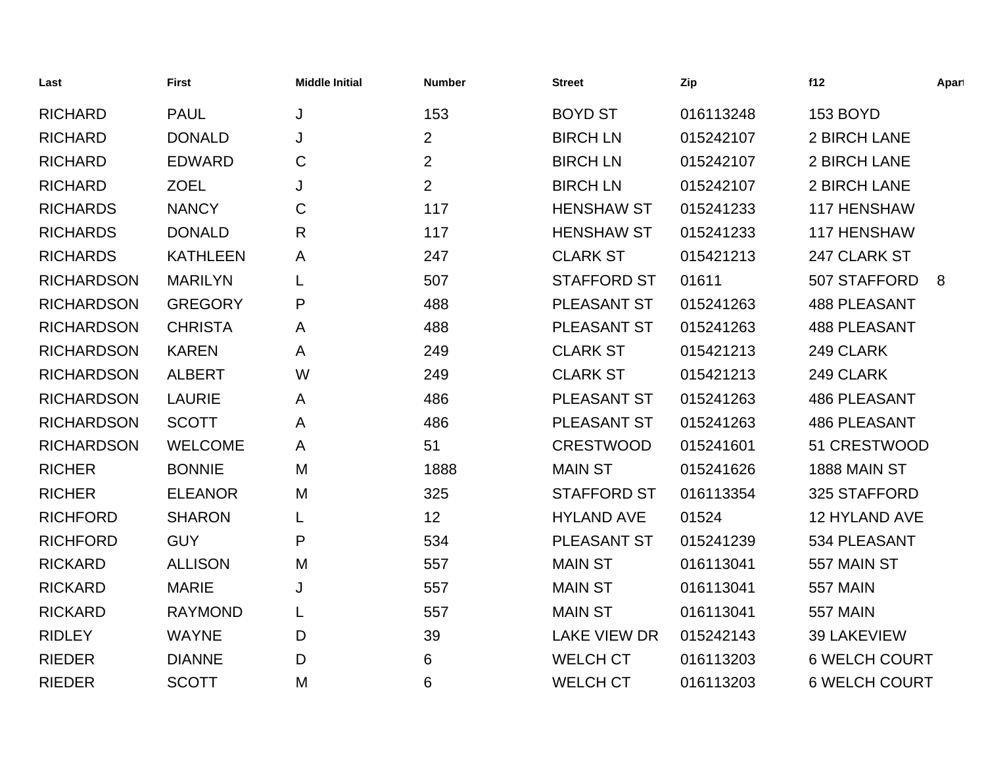| Last              | <b>First</b>    | <b>Middle Initial</b> | <b>Number</b>  | <b>Street</b>       | Zip       | f12                  | Apart |
|-------------------|-----------------|-----------------------|----------------|---------------------|-----------|----------------------|-------|
| <b>RICHARD</b>    | <b>PAUL</b>     | J                     | 153            | <b>BOYD ST</b>      | 016113248 | <b>153 BOYD</b>      |       |
| <b>RICHARD</b>    | <b>DONALD</b>   | J                     | $\overline{2}$ | <b>BIRCH LN</b>     | 015242107 | 2 BIRCH LANE         |       |
| <b>RICHARD</b>    | <b>EDWARD</b>   | C                     | $\overline{2}$ | <b>BIRCH LN</b>     | 015242107 | 2 BIRCH LANE         |       |
| <b>RICHARD</b>    | <b>ZOEL</b>     | J                     | $\overline{2}$ | <b>BIRCH LN</b>     | 015242107 | 2 BIRCH LANE         |       |
| <b>RICHARDS</b>   | <b>NANCY</b>    | C                     | 117            | <b>HENSHAW ST</b>   | 015241233 | 117 HENSHAW          |       |
| <b>RICHARDS</b>   | <b>DONALD</b>   | R                     | 117            | <b>HENSHAW ST</b>   | 015241233 | 117 HENSHAW          |       |
| <b>RICHARDS</b>   | <b>KATHLEEN</b> | A                     | 247            | <b>CLARK ST</b>     | 015421213 | 247 CLARK ST         |       |
| <b>RICHARDSON</b> | <b>MARILYN</b>  | L                     | 507            | <b>STAFFORD ST</b>  | 01611     | 507 STAFFORD         | 8     |
| <b>RICHARDSON</b> | <b>GREGORY</b>  | P                     | 488            | PLEASANT ST         | 015241263 | <b>488 PLEASANT</b>  |       |
| <b>RICHARDSON</b> | <b>CHRISTA</b>  | Α                     | 488            | PLEASANT ST         | 015241263 | <b>488 PLEASANT</b>  |       |
| <b>RICHARDSON</b> | <b>KAREN</b>    | A                     | 249            | <b>CLARK ST</b>     | 015421213 | 249 CLARK            |       |
| <b>RICHARDSON</b> | <b>ALBERT</b>   | W                     | 249            | <b>CLARK ST</b>     | 015421213 | 249 CLARK            |       |
| <b>RICHARDSON</b> | <b>LAURIE</b>   | Α                     | 486            | PLEASANT ST         | 015241263 | <b>486 PLEASANT</b>  |       |
| <b>RICHARDSON</b> | <b>SCOTT</b>    | A                     | 486            | <b>PLEASANT ST</b>  | 015241263 | <b>486 PLEASANT</b>  |       |
| <b>RICHARDSON</b> | <b>WELCOME</b>  | A                     | 51             | <b>CRESTWOOD</b>    | 015241601 | 51 CRESTWOOD         |       |
| <b>RICHER</b>     | <b>BONNIE</b>   | M                     | 1888           | <b>MAIN ST</b>      | 015241626 | 1888 MAIN ST         |       |
| <b>RICHER</b>     | <b>ELEANOR</b>  | M                     | 325            | <b>STAFFORD ST</b>  | 016113354 | 325 STAFFORD         |       |
| <b>RICHFORD</b>   | <b>SHARON</b>   |                       | 12             | <b>HYLAND AVE</b>   | 01524     | 12 HYLAND AVE        |       |
| <b>RICHFORD</b>   | <b>GUY</b>      | P                     | 534            | PLEASANT ST         | 015241239 | 534 PLEASANT         |       |
| <b>RICKARD</b>    | <b>ALLISON</b>  | M                     | 557            | <b>MAIN ST</b>      | 016113041 | 557 MAIN ST          |       |
| <b>RICKARD</b>    | <b>MARIE</b>    | J                     | 557            | <b>MAIN ST</b>      | 016113041 | <b>557 MAIN</b>      |       |
| <b>RICKARD</b>    | <b>RAYMOND</b>  | L                     | 557            | <b>MAIN ST</b>      | 016113041 | <b>557 MAIN</b>      |       |
| <b>RIDLEY</b>     | <b>WAYNE</b>    | D                     | 39             | <b>LAKE VIEW DR</b> | 015242143 | 39 LAKEVIEW          |       |
| <b>RIEDER</b>     | <b>DIANNE</b>   | D                     | 6              | <b>WELCH CT</b>     | 016113203 | <b>6 WELCH COURT</b> |       |
| <b>RIEDER</b>     | <b>SCOTT</b>    | M                     | 6              | <b>WELCH CT</b>     | 016113203 | <b>6 WELCH COURT</b> |       |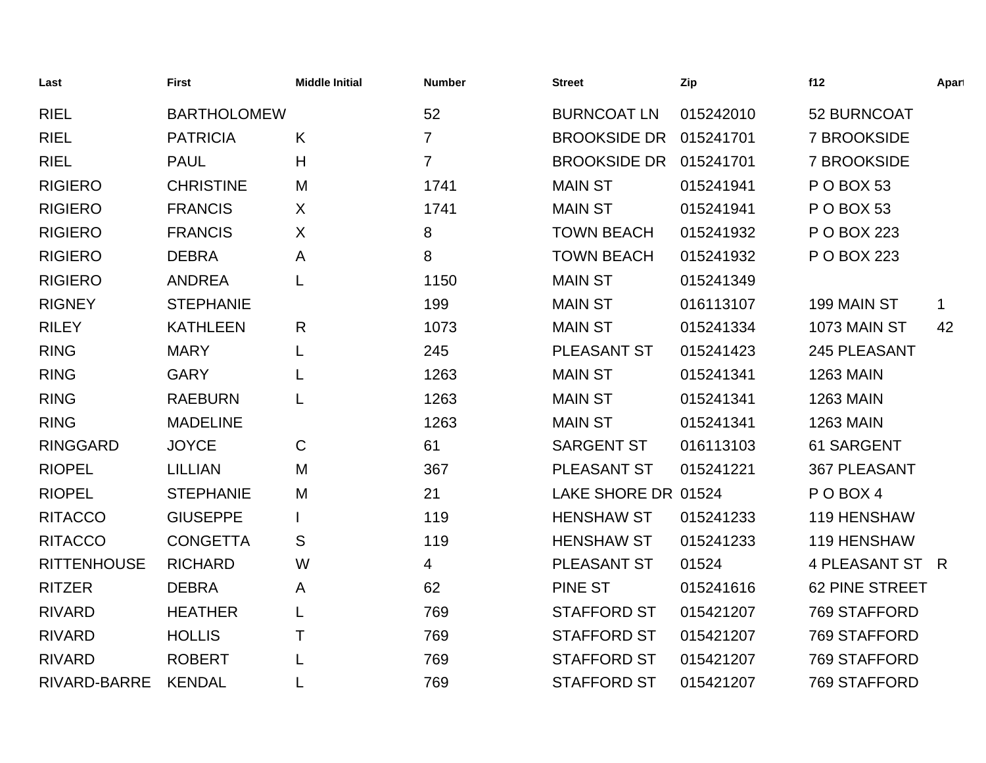| Last               | <b>First</b>       | <b>Middle Initial</b> | <b>Number</b>  | <b>Street</b>       | Zip       | f12                 | Apart        |
|--------------------|--------------------|-----------------------|----------------|---------------------|-----------|---------------------|--------------|
| <b>RIEL</b>        | <b>BARTHOLOMEW</b> |                       | 52             | <b>BURNCOAT LN</b>  | 015242010 | 52 BURNCOAT         |              |
| <b>RIEL</b>        | <b>PATRICIA</b>    | K                     | $\overline{7}$ | <b>BROOKSIDE DR</b> | 015241701 | 7 BROOKSIDE         |              |
| <b>RIEL</b>        | <b>PAUL</b>        | H                     | $\overline{7}$ | <b>BROOKSIDE DR</b> | 015241701 | <b>7 BROOKSIDE</b>  |              |
| <b>RIGIERO</b>     | <b>CHRISTINE</b>   | M                     | 1741           | <b>MAIN ST</b>      | 015241941 | <b>P O BOX 53</b>   |              |
| <b>RIGIERO</b>     | <b>FRANCIS</b>     | X                     | 1741           | <b>MAIN ST</b>      | 015241941 | P O BOX 53          |              |
| <b>RIGIERO</b>     | <b>FRANCIS</b>     | X                     | 8              | <b>TOWN BEACH</b>   | 015241932 | P O BOX 223         |              |
| <b>RIGIERO</b>     | <b>DEBRA</b>       | A                     | 8              | <b>TOWN BEACH</b>   | 015241932 | P O BOX 223         |              |
| <b>RIGIERO</b>     | <b>ANDREA</b>      | L                     | 1150           | <b>MAIN ST</b>      | 015241349 |                     |              |
| <b>RIGNEY</b>      | <b>STEPHANIE</b>   |                       | 199            | <b>MAIN ST</b>      | 016113107 | 199 MAIN ST         | $\mathbf{1}$ |
| <b>RILEY</b>       | <b>KATHLEEN</b>    | R                     | 1073           | <b>MAIN ST</b>      | 015241334 | 1073 MAIN ST        | 42           |
| <b>RING</b>        | <b>MARY</b>        | L                     | 245            | PLEASANT ST         | 015241423 | 245 PLEASANT        |              |
| <b>RING</b>        | <b>GARY</b>        |                       | 1263           | <b>MAIN ST</b>      | 015241341 | <b>1263 MAIN</b>    |              |
| <b>RING</b>        | <b>RAEBURN</b>     |                       | 1263           | <b>MAIN ST</b>      | 015241341 | <b>1263 MAIN</b>    |              |
| <b>RING</b>        | <b>MADELINE</b>    |                       | 1263           | <b>MAIN ST</b>      | 015241341 | <b>1263 MAIN</b>    |              |
| <b>RINGGARD</b>    | <b>JOYCE</b>       | $\mathsf{C}$          | 61             | <b>SARGENT ST</b>   | 016113103 | 61 SARGENT          |              |
| <b>RIOPEL</b>      | <b>LILLIAN</b>     | M                     | 367            | PLEASANT ST         | 015241221 | <b>367 PLEASANT</b> |              |
| <b>RIOPEL</b>      | <b>STEPHANIE</b>   | M                     | 21             | LAKE SHORE DR 01524 |           | POBOX4              |              |
| <b>RITACCO</b>     | <b>GIUSEPPE</b>    |                       | 119            | <b>HENSHAW ST</b>   | 015241233 | 119 HENSHAW         |              |
| <b>RITACCO</b>     | <b>CONGETTA</b>    | S                     | 119            | <b>HENSHAW ST</b>   | 015241233 | 119 HENSHAW         |              |
| <b>RITTENHOUSE</b> | <b>RICHARD</b>     | W                     | 4              | PLEASANT ST         | 01524     | 4 PLEASANT ST R     |              |
| <b>RITZER</b>      | <b>DEBRA</b>       | A                     | 62             | <b>PINE ST</b>      | 015241616 | 62 PINE STREET      |              |
| <b>RIVARD</b>      | <b>HEATHER</b>     |                       | 769            | <b>STAFFORD ST</b>  | 015421207 | 769 STAFFORD        |              |
| <b>RIVARD</b>      | <b>HOLLIS</b>      | Τ                     | 769            | <b>STAFFORD ST</b>  | 015421207 | 769 STAFFORD        |              |
| <b>RIVARD</b>      | <b>ROBERT</b>      |                       | 769            | <b>STAFFORD ST</b>  | 015421207 | 769 STAFFORD        |              |
| RIVARD-BARRE       | <b>KENDAL</b>      |                       | 769            | <b>STAFFORD ST</b>  | 015421207 | 769 STAFFORD        |              |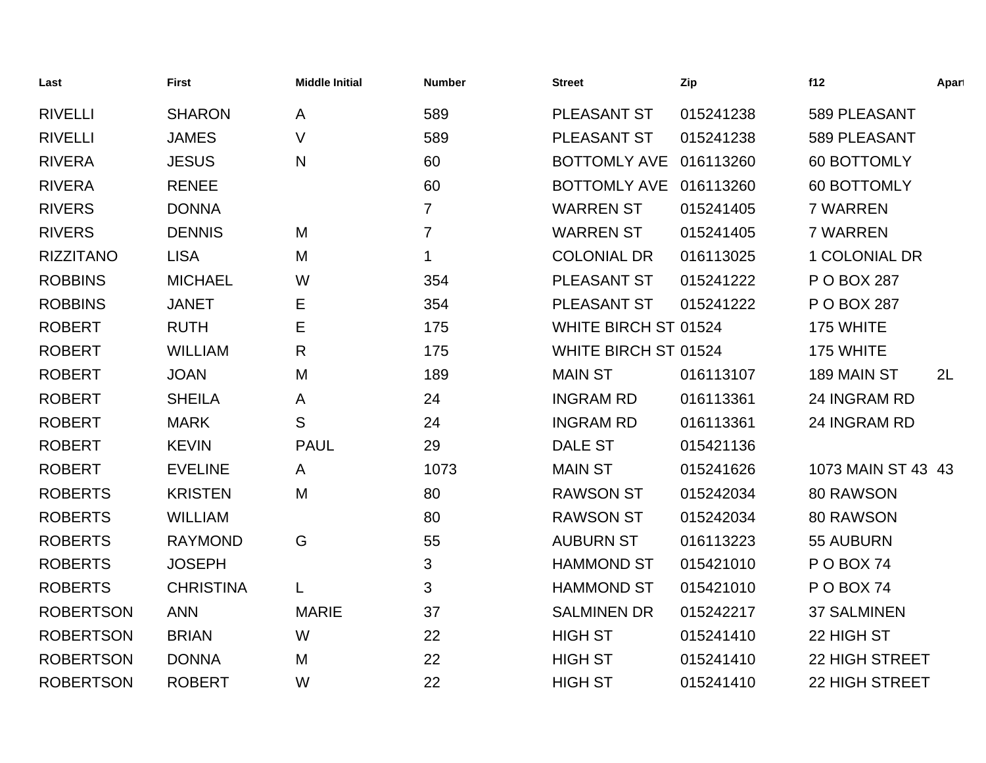| Last             | <b>First</b>     | <b>Middle Initial</b> | <b>Number</b>  | <b>Street</b>        | Zip       | f12                  | Apart |
|------------------|------------------|-----------------------|----------------|----------------------|-----------|----------------------|-------|
| <b>RIVELLI</b>   | <b>SHARON</b>    | A                     | 589            | PLEASANT ST          | 015241238 | 589 PLEASANT         |       |
| <b>RIVELLI</b>   | <b>JAMES</b>     | $\vee$                | 589            | PLEASANT ST          | 015241238 | 589 PLEASANT         |       |
| <b>RIVERA</b>    | <b>JESUS</b>     | N                     | 60             | <b>BOTTOMLY AVE</b>  | 016113260 | 60 BOTTOMLY          |       |
| <b>RIVERA</b>    | <b>RENEE</b>     |                       | 60             | <b>BOTTOMLY AVE</b>  | 016113260 | 60 BOTTOMLY          |       |
| <b>RIVERS</b>    | <b>DONNA</b>     |                       | 7              | <b>WARREN ST</b>     | 015241405 | 7 WARREN             |       |
| <b>RIVERS</b>    | <b>DENNIS</b>    | M                     | $\overline{7}$ | <b>WARREN ST</b>     | 015241405 | 7 WARREN             |       |
| <b>RIZZITANO</b> | <b>LISA</b>      | M                     | 1              | <b>COLONIAL DR</b>   | 016113025 | <b>1 COLONIAL DR</b> |       |
| <b>ROBBINS</b>   | <b>MICHAEL</b>   | W                     | 354            | PLEASANT ST          | 015241222 | P O BOX 287          |       |
| <b>ROBBINS</b>   | <b>JANET</b>     | Е                     | 354            | PLEASANT ST          | 015241222 | P O BOX 287          |       |
| <b>ROBERT</b>    | <b>RUTH</b>      | Е                     | 175            | WHITE BIRCH ST 01524 |           | 175 WHITE            |       |
| <b>ROBERT</b>    | <b>WILLIAM</b>   | R                     | 175            | WHITE BIRCH ST 01524 |           | 175 WHITE            |       |
| <b>ROBERT</b>    | <b>JOAN</b>      | M                     | 189            | <b>MAIN ST</b>       | 016113107 | 189 MAIN ST          | 2L    |
| <b>ROBERT</b>    | <b>SHEILA</b>    | A                     | 24             | <b>INGRAM RD</b>     | 016113361 | 24 INGRAM RD         |       |
| <b>ROBERT</b>    | <b>MARK</b>      | S                     | 24             | <b>INGRAM RD</b>     | 016113361 | 24 INGRAM RD         |       |
| <b>ROBERT</b>    | <b>KEVIN</b>     | <b>PAUL</b>           | 29             | <b>DALE ST</b>       | 015421136 |                      |       |
| <b>ROBERT</b>    | <b>EVELINE</b>   | A                     | 1073           | <b>MAIN ST</b>       | 015241626 | 1073 MAIN ST 43 43   |       |
| <b>ROBERTS</b>   | <b>KRISTEN</b>   | M                     | 80             | <b>RAWSON ST</b>     | 015242034 | 80 RAWSON            |       |
| <b>ROBERTS</b>   | <b>WILLIAM</b>   |                       | 80             | <b>RAWSON ST</b>     | 015242034 | 80 RAWSON            |       |
| <b>ROBERTS</b>   | <b>RAYMOND</b>   | G                     | 55             | <b>AUBURN ST</b>     | 016113223 | 55 AUBURN            |       |
| <b>ROBERTS</b>   | <b>JOSEPH</b>    |                       | 3              | <b>HAMMOND ST</b>    | 015421010 | P O BOX 74           |       |
| <b>ROBERTS</b>   | <b>CHRISTINA</b> | L                     | 3              | <b>HAMMOND ST</b>    | 015421010 | POBOX 74             |       |
| <b>ROBERTSON</b> | <b>ANN</b>       | <b>MARIE</b>          | 37             | <b>SALMINEN DR</b>   | 015242217 | <b>37 SALMINEN</b>   |       |
| <b>ROBERTSON</b> | <b>BRIAN</b>     | W                     | 22             | <b>HIGH ST</b>       | 015241410 | 22 HIGH ST           |       |
| <b>ROBERTSON</b> | <b>DONNA</b>     | M                     | 22             | <b>HIGH ST</b>       | 015241410 | 22 HIGH STREET       |       |
| <b>ROBERTSON</b> | <b>ROBERT</b>    | W                     | 22             | <b>HIGH ST</b>       | 015241410 | 22 HIGH STREET       |       |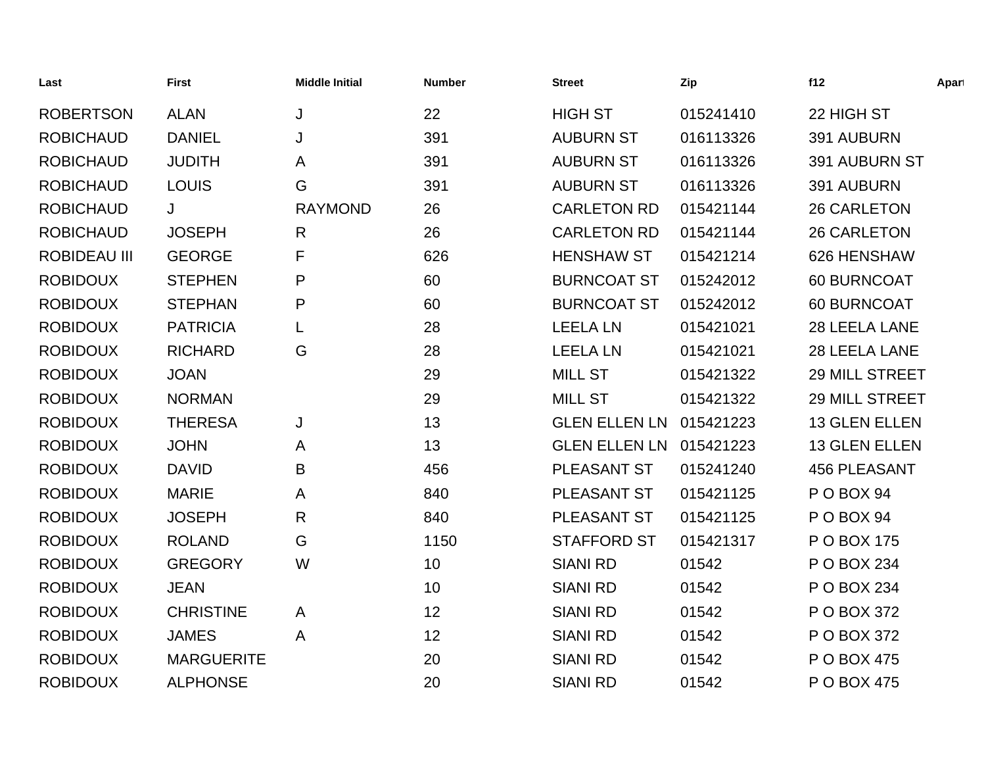| Last                | <b>First</b>      | <b>Middle Initial</b> | <b>Number</b> | <b>Street</b>        | Zip       | f12                 | Apart |
|---------------------|-------------------|-----------------------|---------------|----------------------|-----------|---------------------|-------|
| <b>ROBERTSON</b>    | <b>ALAN</b>       | J                     | 22            | <b>HIGH ST</b>       | 015241410 | 22 HIGH ST          |       |
| <b>ROBICHAUD</b>    | <b>DANIEL</b>     | J                     | 391           | <b>AUBURN ST</b>     | 016113326 | 391 AUBURN          |       |
| <b>ROBICHAUD</b>    | <b>JUDITH</b>     | A                     | 391           | <b>AUBURN ST</b>     | 016113326 | 391 AUBURN ST       |       |
| <b>ROBICHAUD</b>    | <b>LOUIS</b>      | G                     | 391           | <b>AUBURN ST</b>     | 016113326 | 391 AUBURN          |       |
| <b>ROBICHAUD</b>    | J                 | <b>RAYMOND</b>        | 26            | <b>CARLETON RD</b>   | 015421144 | <b>26 CARLETON</b>  |       |
| <b>ROBICHAUD</b>    | <b>JOSEPH</b>     | $\mathsf{R}$          | 26            | <b>CARLETON RD</b>   | 015421144 | <b>26 CARLETON</b>  |       |
| <b>ROBIDEAU III</b> | <b>GEORGE</b>     | F                     | 626           | <b>HENSHAW ST</b>    | 015421214 | 626 HENSHAW         |       |
| <b>ROBIDOUX</b>     | <b>STEPHEN</b>    | P                     | 60            | <b>BURNCOAT ST</b>   | 015242012 | 60 BURNCOAT         |       |
| <b>ROBIDOUX</b>     | <b>STEPHAN</b>    | P                     | 60            | <b>BURNCOAT ST</b>   | 015242012 | 60 BURNCOAT         |       |
| <b>ROBIDOUX</b>     | <b>PATRICIA</b>   | L                     | 28            | <b>LEELA LN</b>      | 015421021 | 28 LEELA LANE       |       |
| <b>ROBIDOUX</b>     | <b>RICHARD</b>    | G                     | 28            | <b>LEELA LN</b>      | 015421021 | 28 LEELA LANE       |       |
| <b>ROBIDOUX</b>     | <b>JOAN</b>       |                       | 29            | <b>MILL ST</b>       | 015421322 | 29 MILL STREET      |       |
| <b>ROBIDOUX</b>     | <b>NORMAN</b>     |                       | 29            | <b>MILL ST</b>       | 015421322 | 29 MILL STREET      |       |
| <b>ROBIDOUX</b>     | <b>THERESA</b>    | J                     | 13            | <b>GLEN ELLEN LN</b> | 015421223 | 13 GLEN ELLEN       |       |
| <b>ROBIDOUX</b>     | <b>JOHN</b>       | A                     | 13            | <b>GLEN ELLEN LN</b> | 015421223 | 13 GLEN ELLEN       |       |
| <b>ROBIDOUX</b>     | <b>DAVID</b>      | B                     | 456           | PLEASANT ST          | 015241240 | <b>456 PLEASANT</b> |       |
| <b>ROBIDOUX</b>     | <b>MARIE</b>      | A                     | 840           | PLEASANT ST          | 015421125 | PO BOX 94           |       |
| <b>ROBIDOUX</b>     | <b>JOSEPH</b>     | $\mathsf{R}$          | 840           | PLEASANT ST          | 015421125 | P O BOX 94          |       |
| <b>ROBIDOUX</b>     | <b>ROLAND</b>     | G                     | 1150          | <b>STAFFORD ST</b>   | 015421317 | P O BOX 175         |       |
| <b>ROBIDOUX</b>     | <b>GREGORY</b>    | W                     | 10            | <b>SIANI RD</b>      | 01542     | P O BOX 234         |       |
| <b>ROBIDOUX</b>     | <b>JEAN</b>       |                       | 10            | <b>SIANI RD</b>      | 01542     | P O BOX 234         |       |
| <b>ROBIDOUX</b>     | <b>CHRISTINE</b>  | A                     | 12            | <b>SIANI RD</b>      | 01542     | P O BOX 372         |       |
| <b>ROBIDOUX</b>     | <b>JAMES</b>      | A                     | 12            | <b>SIANI RD</b>      | 01542     | P O BOX 372         |       |
| <b>ROBIDOUX</b>     | <b>MARGUERITE</b> |                       | 20            | <b>SIANI RD</b>      | 01542     | P O BOX 475         |       |
| <b>ROBIDOUX</b>     | <b>ALPHONSE</b>   |                       | 20            | <b>SIANI RD</b>      | 01542     | P O BOX 475         |       |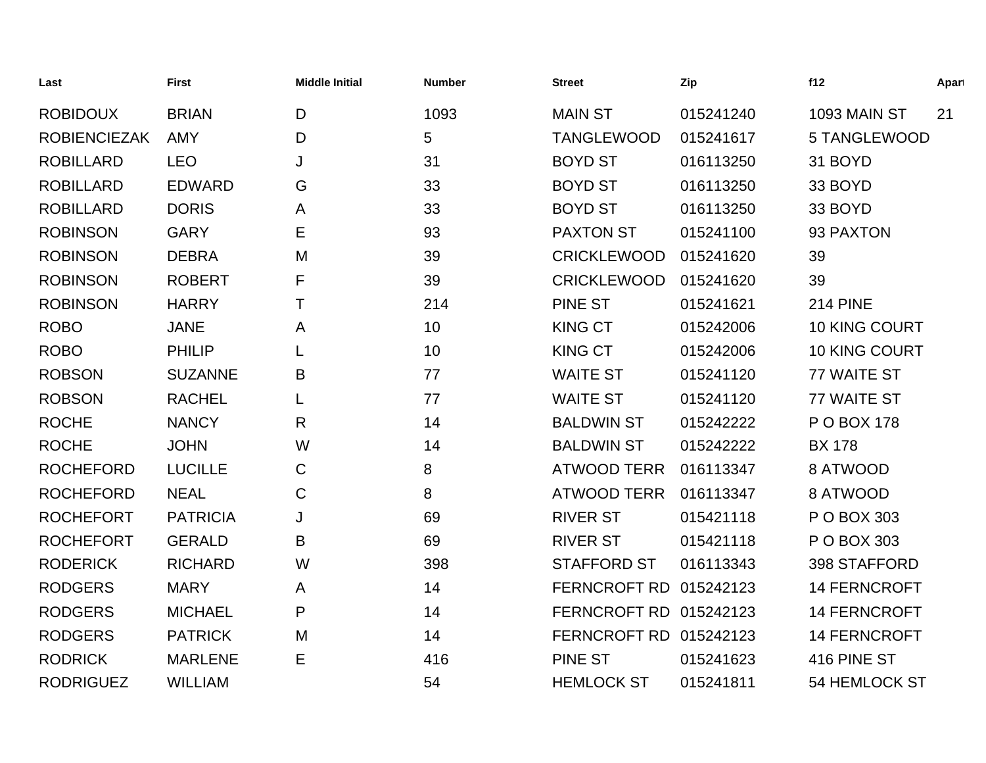| Last                | <b>First</b>    | <b>Middle Initial</b> | <b>Number</b> | <b>Street</b>          | Zip       | f12                  | Apart |
|---------------------|-----------------|-----------------------|---------------|------------------------|-----------|----------------------|-------|
| <b>ROBIDOUX</b>     | <b>BRIAN</b>    | D                     | 1093          | <b>MAIN ST</b>         | 015241240 | 1093 MAIN ST         | 21    |
| <b>ROBIENCIEZAK</b> | <b>AMY</b>      | D                     | 5             | <b>TANGLEWOOD</b>      | 015241617 | 5 TANGLEWOOD         |       |
| <b>ROBILLARD</b>    | <b>LEO</b>      | J                     | 31            | <b>BOYD ST</b>         | 016113250 | 31 BOYD              |       |
| <b>ROBILLARD</b>    | EDWARD          | G                     | 33            | <b>BOYD ST</b>         | 016113250 | 33 BOYD              |       |
| <b>ROBILLARD</b>    | <b>DORIS</b>    | A                     | 33            | <b>BOYD ST</b>         | 016113250 | 33 BOYD              |       |
| <b>ROBINSON</b>     | <b>GARY</b>     | Ε                     | 93            | <b>PAXTON ST</b>       | 015241100 | 93 PAXTON            |       |
| <b>ROBINSON</b>     | <b>DEBRA</b>    | M                     | 39            | <b>CRICKLEWOOD</b>     | 015241620 | 39                   |       |
| <b>ROBINSON</b>     | <b>ROBERT</b>   | F                     | 39            | <b>CRICKLEWOOD</b>     | 015241620 | 39                   |       |
| <b>ROBINSON</b>     | <b>HARRY</b>    | т                     | 214           | <b>PINE ST</b>         | 015241621 | <b>214 PINE</b>      |       |
| <b>ROBO</b>         | <b>JANE</b>     | Α                     | 10            | <b>KING CT</b>         | 015242006 | <b>10 KING COURT</b> |       |
| <b>ROBO</b>         | <b>PHILIP</b>   |                       | 10            | <b>KING CT</b>         | 015242006 | 10 KING COURT        |       |
| <b>ROBSON</b>       | <b>SUZANNE</b>  | B                     | 77            | <b>WAITE ST</b>        | 015241120 | 77 WAITE ST          |       |
| <b>ROBSON</b>       | <b>RACHEL</b>   |                       | 77            | <b>WAITE ST</b>        | 015241120 | 77 WAITE ST          |       |
| <b>ROCHE</b>        | <b>NANCY</b>    | R                     | 14            | <b>BALDWIN ST</b>      | 015242222 | P O BOX 178          |       |
| <b>ROCHE</b>        | <b>JOHN</b>     | W                     | 14            | <b>BALDWIN ST</b>      | 015242222 | <b>BX 178</b>        |       |
| <b>ROCHEFORD</b>    | <b>LUCILLE</b>  | C                     | 8             | ATWOOD TERR            | 016113347 | 8 ATWOOD             |       |
| <b>ROCHEFORD</b>    | <b>NEAL</b>     | $\mathsf{C}$          | 8             | <b>ATWOOD TERR</b>     | 016113347 | 8 ATWOOD             |       |
| <b>ROCHEFORT</b>    | <b>PATRICIA</b> | J                     | 69            | <b>RIVER ST</b>        | 015421118 | P O BOX 303          |       |
| <b>ROCHEFORT</b>    | <b>GERALD</b>   | B                     | 69            | <b>RIVER ST</b>        | 015421118 | P O BOX 303          |       |
| <b>RODERICK</b>     | <b>RICHARD</b>  | W                     | 398           | <b>STAFFORD ST</b>     | 016113343 | 398 STAFFORD         |       |
| <b>RODGERS</b>      | <b>MARY</b>     | A                     | 14            | FERNCROFT RD 015242123 |           | <b>14 FERNCROFT</b>  |       |
| <b>RODGERS</b>      | <b>MICHAEL</b>  | P                     | 14            | FERNCROFT RD 015242123 |           | <b>14 FERNCROFT</b>  |       |
| <b>RODGERS</b>      | <b>PATRICK</b>  | M                     | 14            | FERNCROFT RD 015242123 |           | 14 FERNCROFT         |       |
| <b>RODRICK</b>      | <b>MARLENE</b>  | Е                     | 416           | <b>PINE ST</b>         | 015241623 | 416 PINE ST          |       |
| <b>RODRIGUEZ</b>    | <b>WILLIAM</b>  |                       | 54            | <b>HEMLOCK ST</b>      | 015241811 | 54 HEMLOCK ST        |       |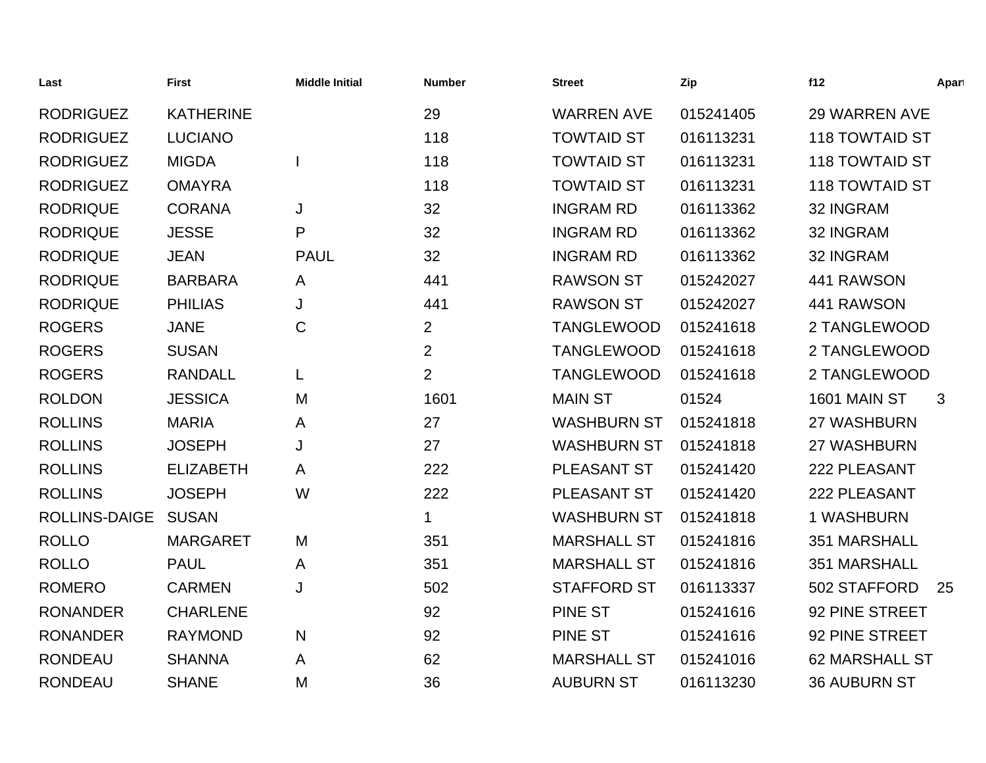| Last                 | <b>First</b>     | <b>Middle Initial</b> | <b>Number</b>  | <b>Street</b>      | Zip       | f12                   | Apart |
|----------------------|------------------|-----------------------|----------------|--------------------|-----------|-----------------------|-------|
| <b>RODRIGUEZ</b>     | <b>KATHERINE</b> |                       | 29             | <b>WARREN AVE</b>  | 015241405 | <b>29 WARREN AVE</b>  |       |
| <b>RODRIGUEZ</b>     | <b>LUCIANO</b>   |                       | 118            | <b>TOWTAID ST</b>  | 016113231 | <b>118 TOWTAID ST</b> |       |
| <b>RODRIGUEZ</b>     | <b>MIGDA</b>     |                       | 118            | <b>TOWTAID ST</b>  | 016113231 | <b>118 TOWTAID ST</b> |       |
| <b>RODRIGUEZ</b>     | <b>OMAYRA</b>    |                       | 118            | <b>TOWTAID ST</b>  | 016113231 | <b>118 TOWTAID ST</b> |       |
| <b>RODRIQUE</b>      | <b>CORANA</b>    | J                     | 32             | <b>INGRAM RD</b>   | 016113362 | 32 INGRAM             |       |
| <b>RODRIQUE</b>      | <b>JESSE</b>     | P                     | 32             | <b>INGRAM RD</b>   | 016113362 | 32 INGRAM             |       |
| <b>RODRIQUE</b>      | <b>JEAN</b>      | <b>PAUL</b>           | 32             | <b>INGRAM RD</b>   | 016113362 | 32 INGRAM             |       |
| <b>RODRIQUE</b>      | <b>BARBARA</b>   | A                     | 441            | <b>RAWSON ST</b>   | 015242027 | 441 RAWSON            |       |
| <b>RODRIQUE</b>      | <b>PHILIAS</b>   | J                     | 441            | <b>RAWSON ST</b>   | 015242027 | 441 RAWSON            |       |
| <b>ROGERS</b>        | <b>JANE</b>      | C                     | $\overline{2}$ | <b>TANGLEWOOD</b>  | 015241618 | 2 TANGLEWOOD          |       |
| <b>ROGERS</b>        | <b>SUSAN</b>     |                       | $\overline{2}$ | <b>TANGLEWOOD</b>  | 015241618 | 2 TANGLEWOOD          |       |
| <b>ROGERS</b>        | <b>RANDALL</b>   | L                     | $\overline{2}$ | <b>TANGLEWOOD</b>  | 015241618 | 2 TANGLEWOOD          |       |
| <b>ROLDON</b>        | <b>JESSICA</b>   | M                     | 1601           | <b>MAIN ST</b>     | 01524     | 1601 MAIN ST          | 3     |
| <b>ROLLINS</b>       | <b>MARIA</b>     | A                     | 27             | <b>WASHBURN ST</b> | 015241818 | 27 WASHBURN           |       |
| <b>ROLLINS</b>       | <b>JOSEPH</b>    | J                     | 27             | <b>WASHBURN ST</b> | 015241818 | 27 WASHBURN           |       |
| <b>ROLLINS</b>       | <b>ELIZABETH</b> | A                     | 222            | PLEASANT ST        | 015241420 | 222 PLEASANT          |       |
| <b>ROLLINS</b>       | <b>JOSEPH</b>    | W                     | 222            | PLEASANT ST        | 015241420 | 222 PLEASANT          |       |
| <b>ROLLINS-DAIGE</b> | <b>SUSAN</b>     |                       | 1              | <b>WASHBURN ST</b> | 015241818 | 1 WASHBURN            |       |
| <b>ROLLO</b>         | <b>MARGARET</b>  | M                     | 351            | <b>MARSHALL ST</b> | 015241816 | 351 MARSHALL          |       |
| <b>ROLLO</b>         | <b>PAUL</b>      | A                     | 351            | <b>MARSHALL ST</b> | 015241816 | 351 MARSHALL          |       |
| <b>ROMERO</b>        | <b>CARMEN</b>    | J                     | 502            | <b>STAFFORD ST</b> | 016113337 | 502 STAFFORD          | 25    |
| <b>RONANDER</b>      | <b>CHARLENE</b>  |                       | 92             | <b>PINE ST</b>     | 015241616 | 92 PINE STREET        |       |
| <b>RONANDER</b>      | <b>RAYMOND</b>   | N                     | 92             | <b>PINE ST</b>     | 015241616 | 92 PINE STREET        |       |
| <b>RONDEAU</b>       | <b>SHANNA</b>    | A                     | 62             | <b>MARSHALL ST</b> | 015241016 | <b>62 MARSHALL ST</b> |       |
| <b>RONDEAU</b>       | <b>SHANE</b>     | M                     | 36             | <b>AUBURN ST</b>   | 016113230 | <b>36 AUBURN ST</b>   |       |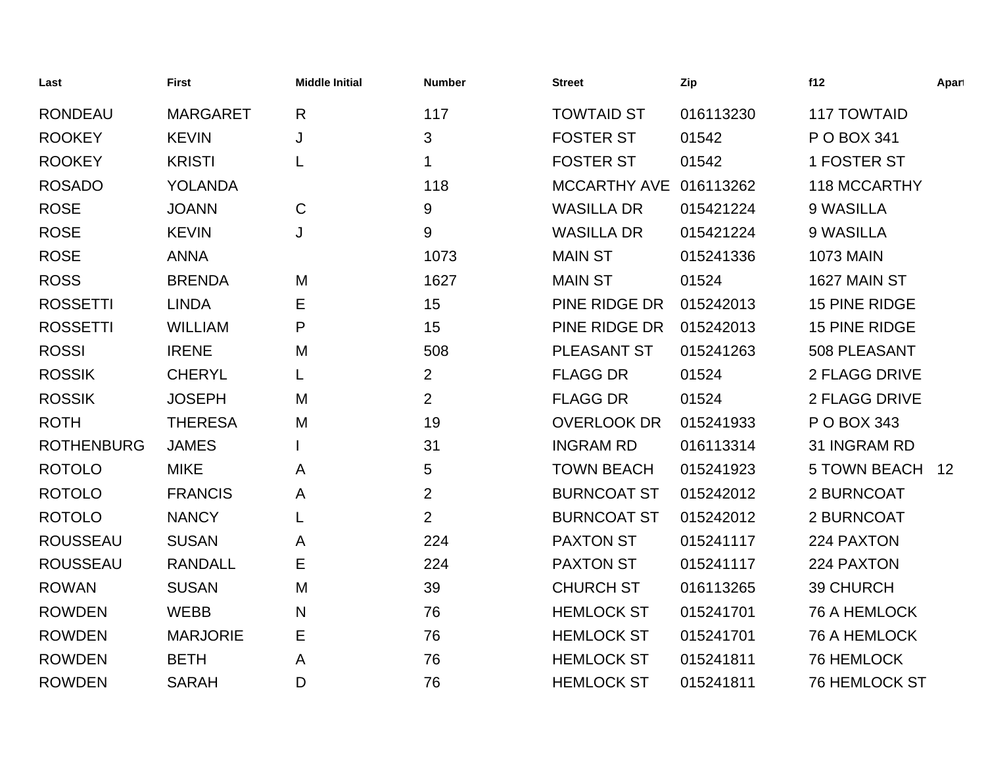| Last              | <b>First</b>    | <b>Middle Initial</b> | <b>Number</b>  | <b>Street</b>          | Zip       | f12                  | Apart |
|-------------------|-----------------|-----------------------|----------------|------------------------|-----------|----------------------|-------|
| <b>RONDEAU</b>    | <b>MARGARET</b> | $\mathsf{R}$          | 117            | <b>TOWTAID ST</b>      | 016113230 | <b>117 TOWTAID</b>   |       |
| <b>ROOKEY</b>     | <b>KEVIN</b>    | J                     | 3              | <b>FOSTER ST</b>       | 01542     | P O BOX 341          |       |
| <b>ROOKEY</b>     | <b>KRISTI</b>   | L                     | $\mathbf 1$    | <b>FOSTER ST</b>       | 01542     | 1 FOSTER ST          |       |
| <b>ROSADO</b>     | <b>YOLANDA</b>  |                       | 118            | MCCARTHY AVE 016113262 |           | <b>118 MCCARTHY</b>  |       |
| <b>ROSE</b>       | <b>JOANN</b>    | $\mathsf C$           | 9              | <b>WASILLA DR</b>      | 015421224 | 9 WASILLA            |       |
| <b>ROSE</b>       | <b>KEVIN</b>    | J                     | 9              | <b>WASILLA DR</b>      | 015421224 | 9 WASILLA            |       |
| <b>ROSE</b>       | <b>ANNA</b>     |                       | 1073           | <b>MAIN ST</b>         | 015241336 | <b>1073 MAIN</b>     |       |
| <b>ROSS</b>       | <b>BRENDA</b>   | M                     | 1627           | <b>MAIN ST</b>         | 01524     | 1627 MAIN ST         |       |
| <b>ROSSETTI</b>   | <b>LINDA</b>    | Е                     | 15             | PINE RIDGE DR          | 015242013 | <b>15 PINE RIDGE</b> |       |
| <b>ROSSETTI</b>   | <b>WILLIAM</b>  | P                     | 15             | PINE RIDGE DR          | 015242013 | <b>15 PINE RIDGE</b> |       |
| <b>ROSSI</b>      | <b>IRENE</b>    | M                     | 508            | PLEASANT ST            | 015241263 | 508 PLEASANT         |       |
| <b>ROSSIK</b>     | <b>CHERYL</b>   | L                     | $\overline{2}$ | <b>FLAGG DR</b>        | 01524     | 2 FLAGG DRIVE        |       |
| <b>ROSSIK</b>     | <b>JOSEPH</b>   | M                     | $\overline{2}$ | <b>FLAGG DR</b>        | 01524     | 2 FLAGG DRIVE        |       |
| <b>ROTH</b>       | <b>THERESA</b>  | M                     | 19             | <b>OVERLOOK DR</b>     | 015241933 | P O BOX 343          |       |
| <b>ROTHENBURG</b> | <b>JAMES</b>    |                       | 31             | <b>INGRAM RD</b>       | 016113314 | 31 INGRAM RD         |       |
| <b>ROTOLO</b>     | <b>MIKE</b>     | A                     | 5              | <b>TOWN BEACH</b>      | 015241923 | <b>5 TOWN BEACH</b>  | 12    |
| <b>ROTOLO</b>     | <b>FRANCIS</b>  | A                     | $\overline{2}$ | <b>BURNCOAT ST</b>     | 015242012 | 2 BURNCOAT           |       |
| <b>ROTOLO</b>     | <b>NANCY</b>    | L                     | $\overline{2}$ | <b>BURNCOAT ST</b>     | 015242012 | 2 BURNCOAT           |       |
| <b>ROUSSEAU</b>   | <b>SUSAN</b>    | A                     | 224            | <b>PAXTON ST</b>       | 015241117 | 224 PAXTON           |       |
| <b>ROUSSEAU</b>   | <b>RANDALL</b>  | Ε                     | 224            | <b>PAXTON ST</b>       | 015241117 | 224 PAXTON           |       |
| <b>ROWAN</b>      | <b>SUSAN</b>    | M                     | 39             | <b>CHURCH ST</b>       | 016113265 | 39 CHURCH            |       |
| <b>ROWDEN</b>     | <b>WEBB</b>     | N                     | 76             | <b>HEMLOCK ST</b>      | 015241701 | <b>76 A HEMLOCK</b>  |       |
| <b>ROWDEN</b>     | <b>MARJORIE</b> | Е                     | 76             | <b>HEMLOCK ST</b>      | 015241701 | <b>76 A HEMLOCK</b>  |       |
| <b>ROWDEN</b>     | <b>BETH</b>     | A                     | 76             | <b>HEMLOCK ST</b>      | 015241811 | 76 HEMLOCK           |       |
| <b>ROWDEN</b>     | <b>SARAH</b>    | D                     | 76             | <b>HEMLOCK ST</b>      | 015241811 | <b>76 HEMLOCK ST</b> |       |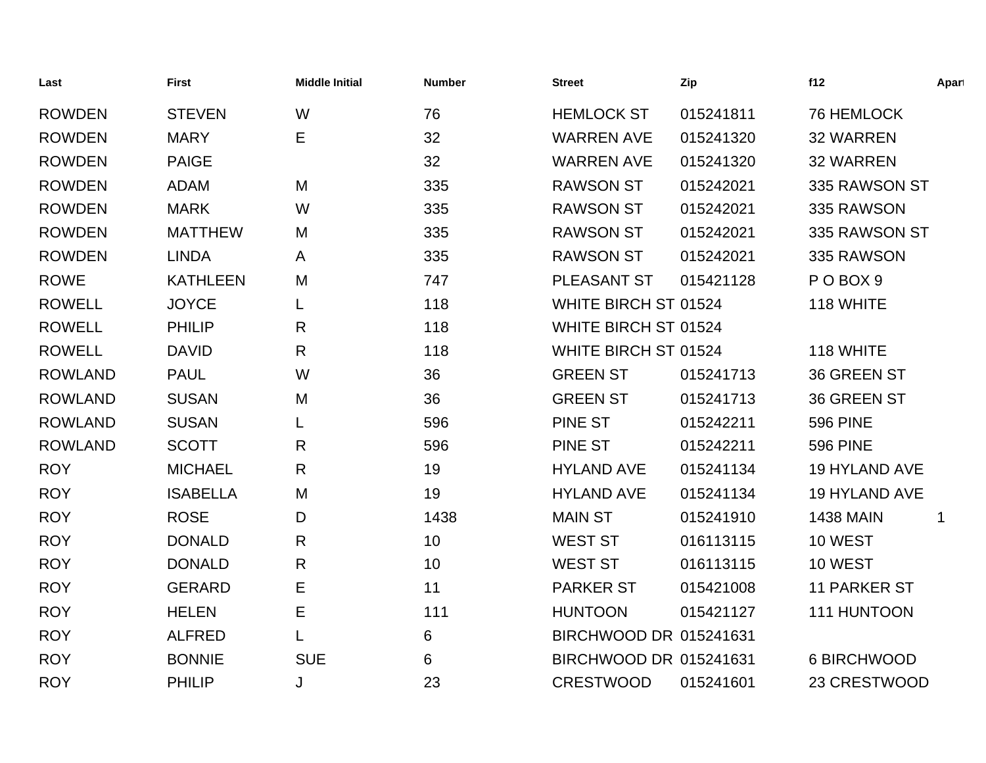| Last           | <b>First</b>    | <b>Middle Initial</b> | <b>Number</b> | <b>Street</b>          | Zip       | f12                  | Apart |
|----------------|-----------------|-----------------------|---------------|------------------------|-----------|----------------------|-------|
| <b>ROWDEN</b>  | <b>STEVEN</b>   | W                     | 76            | <b>HEMLOCK ST</b>      | 015241811 | 76 HEMLOCK           |       |
| <b>ROWDEN</b>  | <b>MARY</b>     | Е                     | 32            | <b>WARREN AVE</b>      | 015241320 | <b>32 WARREN</b>     |       |
| <b>ROWDEN</b>  | <b>PAIGE</b>    |                       | 32            | <b>WARREN AVE</b>      | 015241320 | <b>32 WARREN</b>     |       |
| <b>ROWDEN</b>  | <b>ADAM</b>     | M                     | 335           | <b>RAWSON ST</b>       | 015242021 | 335 RAWSON ST        |       |
| <b>ROWDEN</b>  | <b>MARK</b>     | W                     | 335           | <b>RAWSON ST</b>       | 015242021 | 335 RAWSON           |       |
| <b>ROWDEN</b>  | <b>MATTHEW</b>  | M                     | 335           | <b>RAWSON ST</b>       | 015242021 | 335 RAWSON ST        |       |
| <b>ROWDEN</b>  | <b>LINDA</b>    | A                     | 335           | <b>RAWSON ST</b>       | 015242021 | 335 RAWSON           |       |
| <b>ROWE</b>    | <b>KATHLEEN</b> | M                     | 747           | PLEASANT ST            | 015421128 | POBOX <sub>9</sub>   |       |
| <b>ROWELL</b>  | <b>JOYCE</b>    | L                     | 118           | WHITE BIRCH ST 01524   |           | 118 WHITE            |       |
| <b>ROWELL</b>  | <b>PHILIP</b>   | R                     | 118           | WHITE BIRCH ST 01524   |           |                      |       |
| <b>ROWELL</b>  | <b>DAVID</b>    | R.                    | 118           | WHITE BIRCH ST 01524   |           | 118 WHITE            |       |
| <b>ROWLAND</b> | <b>PAUL</b>     | W                     | 36            | <b>GREEN ST</b>        | 015241713 | 36 GREEN ST          |       |
| <b>ROWLAND</b> | <b>SUSAN</b>    | M                     | 36            | <b>GREEN ST</b>        | 015241713 | <b>36 GREEN ST</b>   |       |
| <b>ROWLAND</b> | <b>SUSAN</b>    |                       | 596           | <b>PINE ST</b>         | 015242211 | <b>596 PINE</b>      |       |
| <b>ROWLAND</b> | <b>SCOTT</b>    | R                     | 596           | <b>PINE ST</b>         | 015242211 | <b>596 PINE</b>      |       |
| <b>ROY</b>     | <b>MICHAEL</b>  | R                     | 19            | <b>HYLAND AVE</b>      | 015241134 | <b>19 HYLAND AVE</b> |       |
| <b>ROY</b>     | <b>ISABELLA</b> | M                     | 19            | <b>HYLAND AVE</b>      | 015241134 | 19 HYLAND AVE        |       |
| <b>ROY</b>     | <b>ROSE</b>     | D                     | 1438          | <b>MAIN ST</b>         | 015241910 | <b>1438 MAIN</b>     | 1     |
| <b>ROY</b>     | <b>DONALD</b>   | R.                    | 10            | <b>WEST ST</b>         | 016113115 | 10 WEST              |       |
| <b>ROY</b>     | <b>DONALD</b>   | R                     | 10            | <b>WEST ST</b>         | 016113115 | 10 WEST              |       |
| <b>ROY</b>     | <b>GERARD</b>   | Е                     | 11            | <b>PARKER ST</b>       | 015421008 | <b>11 PARKER ST</b>  |       |
| <b>ROY</b>     | <b>HELEN</b>    | Е                     | 111           | <b>HUNTOON</b>         | 015421127 | 111 HUNTOON          |       |
| <b>ROY</b>     | <b>ALFRED</b>   |                       | 6             | BIRCHWOOD DR 015241631 |           |                      |       |
| <b>ROY</b>     | <b>BONNIE</b>   | <b>SUE</b>            | 6             | BIRCHWOOD DR 015241631 |           | 6 BIRCHWOOD          |       |
| <b>ROY</b>     | <b>PHILIP</b>   | J                     | 23            | <b>CRESTWOOD</b>       | 015241601 | 23 CRESTWOOD         |       |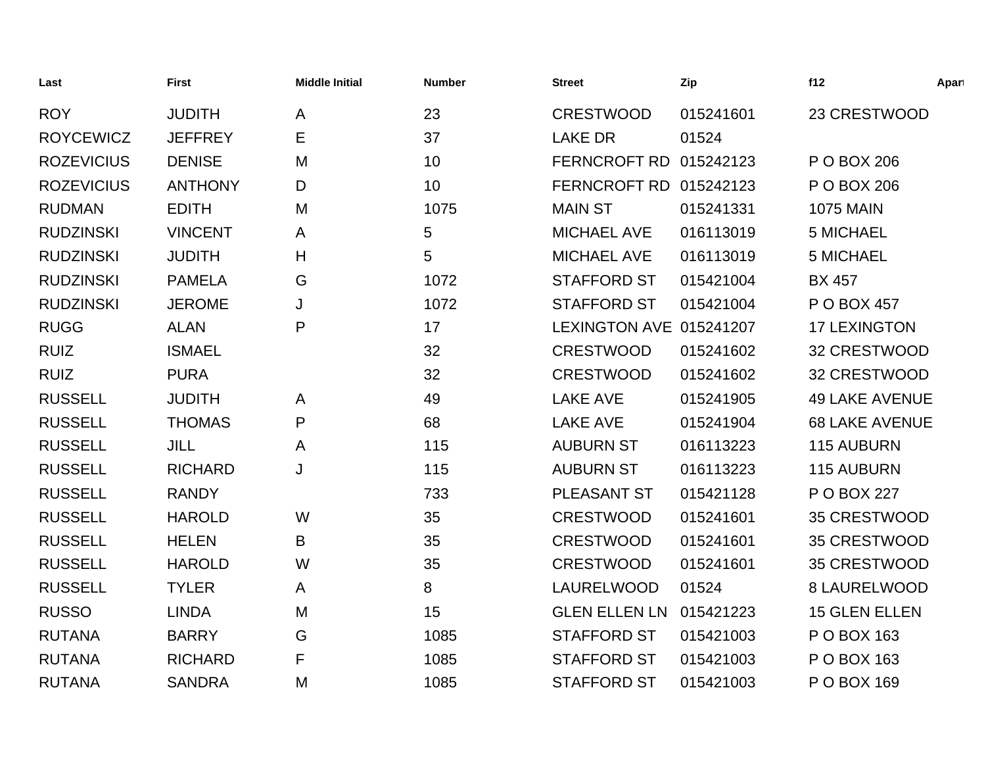| Last              | <b>First</b>   | <b>Middle Initial</b> | <b>Number</b> | <b>Street</b>           | Zip       | f12                   | Apart |
|-------------------|----------------|-----------------------|---------------|-------------------------|-----------|-----------------------|-------|
| <b>ROY</b>        | <b>JUDITH</b>  | A                     | 23            | <b>CRESTWOOD</b>        | 015241601 | 23 CRESTWOOD          |       |
| <b>ROYCEWICZ</b>  | <b>JEFFREY</b> | E                     | 37            | <b>LAKE DR</b>          | 01524     |                       |       |
| <b>ROZEVICIUS</b> | <b>DENISE</b>  | M                     | 10            | FERNCROFT RD 015242123  |           | P O BOX 206           |       |
| <b>ROZEVICIUS</b> | <b>ANTHONY</b> | D                     | 10            | FERNCROFT RD 015242123  |           | P O BOX 206           |       |
| <b>RUDMAN</b>     | <b>EDITH</b>   | M                     | 1075          | <b>MAIN ST</b>          | 015241331 | <b>1075 MAIN</b>      |       |
| <b>RUDZINSKI</b>  | <b>VINCENT</b> | A                     | 5             | <b>MICHAEL AVE</b>      | 016113019 | 5 MICHAEL             |       |
| <b>RUDZINSKI</b>  | <b>JUDITH</b>  | H                     | 5             | <b>MICHAEL AVE</b>      | 016113019 | <b>5 MICHAEL</b>      |       |
| <b>RUDZINSKI</b>  | <b>PAMELA</b>  | G                     | 1072          | <b>STAFFORD ST</b>      | 015421004 | <b>BX 457</b>         |       |
| <b>RUDZINSKI</b>  | <b>JEROME</b>  | J                     | 1072          | <b>STAFFORD ST</b>      | 015421004 | P O BOX 457           |       |
| <b>RUGG</b>       | <b>ALAN</b>    | P                     | 17            | LEXINGTON AVE 015241207 |           | <b>17 LEXINGTON</b>   |       |
| <b>RUIZ</b>       | <b>ISMAEL</b>  |                       | 32            | <b>CRESTWOOD</b>        | 015241602 | 32 CRESTWOOD          |       |
| <b>RUIZ</b>       | <b>PURA</b>    |                       | 32            | <b>CRESTWOOD</b>        | 015241602 | 32 CRESTWOOD          |       |
| <b>RUSSELL</b>    | <b>JUDITH</b>  | A                     | 49            | <b>LAKE AVE</b>         | 015241905 | <b>49 LAKE AVENUE</b> |       |
| <b>RUSSELL</b>    | <b>THOMAS</b>  | P                     | 68            | <b>LAKE AVE</b>         | 015241904 | <b>68 LAKE AVENUE</b> |       |
| <b>RUSSELL</b>    | <b>JILL</b>    | A                     | 115           | <b>AUBURN ST</b>        | 016113223 | <b>115 AUBURN</b>     |       |
| <b>RUSSELL</b>    | <b>RICHARD</b> | J                     | 115           | <b>AUBURN ST</b>        | 016113223 | 115 AUBURN            |       |
| <b>RUSSELL</b>    | <b>RANDY</b>   |                       | 733           | PLEASANT ST             | 015421128 | P O BOX 227           |       |
| <b>RUSSELL</b>    | <b>HAROLD</b>  | W                     | 35            | <b>CRESTWOOD</b>        | 015241601 | 35 CRESTWOOD          |       |
| <b>RUSSELL</b>    | <b>HELEN</b>   | B                     | 35            | <b>CRESTWOOD</b>        | 015241601 | 35 CRESTWOOD          |       |
| <b>RUSSELL</b>    | <b>HAROLD</b>  | W                     | 35            | <b>CRESTWOOD</b>        | 015241601 | 35 CRESTWOOD          |       |
| <b>RUSSELL</b>    | <b>TYLER</b>   | A                     | 8             | <b>LAURELWOOD</b>       | 01524     | 8 LAURELWOOD          |       |
| <b>RUSSO</b>      | <b>LINDA</b>   | M                     | 15            | <b>GLEN ELLEN LN</b>    | 015421223 | <b>15 GLEN ELLEN</b>  |       |
| <b>RUTANA</b>     | <b>BARRY</b>   | G                     | 1085          | <b>STAFFORD ST</b>      | 015421003 | P O BOX 163           |       |
| <b>RUTANA</b>     | <b>RICHARD</b> | F                     | 1085          | <b>STAFFORD ST</b>      | 015421003 | P O BOX 163           |       |
| <b>RUTANA</b>     | <b>SANDRA</b>  | M                     | 1085          | <b>STAFFORD ST</b>      | 015421003 | P O BOX 169           |       |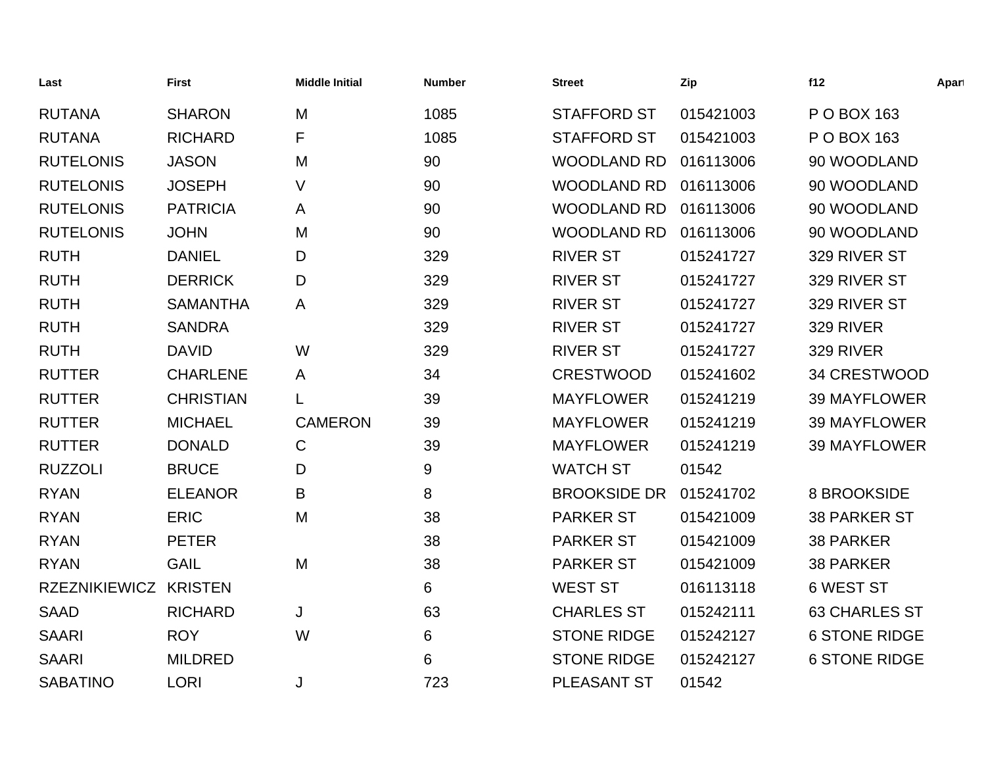| Last                 | <b>First</b>     | <b>Middle Initial</b> | <b>Number</b> | <b>Street</b>       | Zip       | f12                  | Apart |
|----------------------|------------------|-----------------------|---------------|---------------------|-----------|----------------------|-------|
| <b>RUTANA</b>        | <b>SHARON</b>    | M                     | 1085          | <b>STAFFORD ST</b>  | 015421003 | P O BOX 163          |       |
| <b>RUTANA</b>        | <b>RICHARD</b>   | F                     | 1085          | <b>STAFFORD ST</b>  | 015421003 | P O BOX 163          |       |
| <b>RUTELONIS</b>     | <b>JASON</b>     | M                     | 90            | <b>WOODLAND RD</b>  | 016113006 | 90 WOODLAND          |       |
| <b>RUTELONIS</b>     | <b>JOSEPH</b>    | V                     | 90            | <b>WOODLAND RD</b>  | 016113006 | 90 WOODLAND          |       |
| <b>RUTELONIS</b>     | <b>PATRICIA</b>  | A                     | 90            | <b>WOODLAND RD</b>  | 016113006 | 90 WOODLAND          |       |
| <b>RUTELONIS</b>     | <b>JOHN</b>      | M                     | 90            | <b>WOODLAND RD</b>  | 016113006 | 90 WOODLAND          |       |
| <b>RUTH</b>          | <b>DANIEL</b>    | D                     | 329           | <b>RIVER ST</b>     | 015241727 | 329 RIVER ST         |       |
| <b>RUTH</b>          | <b>DERRICK</b>   | D                     | 329           | <b>RIVER ST</b>     | 015241727 | 329 RIVER ST         |       |
| <b>RUTH</b>          | <b>SAMANTHA</b>  | A                     | 329           | <b>RIVER ST</b>     | 015241727 | 329 RIVER ST         |       |
| <b>RUTH</b>          | <b>SANDRA</b>    |                       | 329           | <b>RIVER ST</b>     | 015241727 | 329 RIVER            |       |
| <b>RUTH</b>          | <b>DAVID</b>     | W                     | 329           | <b>RIVER ST</b>     | 015241727 | 329 RIVER            |       |
| <b>RUTTER</b>        | <b>CHARLENE</b>  | A                     | 34            | <b>CRESTWOOD</b>    | 015241602 | 34 CRESTWOOD         |       |
| <b>RUTTER</b>        | <b>CHRISTIAN</b> | L                     | 39            | <b>MAYFLOWER</b>    | 015241219 | <b>39 MAYFLOWER</b>  |       |
| <b>RUTTER</b>        | <b>MICHAEL</b>   | <b>CAMERON</b>        | 39            | <b>MAYFLOWER</b>    | 015241219 | <b>39 MAYFLOWER</b>  |       |
| <b>RUTTER</b>        | <b>DONALD</b>    | $\mathsf{C}$          | 39            | <b>MAYFLOWER</b>    | 015241219 | <b>39 MAYFLOWER</b>  |       |
| <b>RUZZOLI</b>       | <b>BRUCE</b>     | D                     | 9             | <b>WATCH ST</b>     | 01542     |                      |       |
| <b>RYAN</b>          | <b>ELEANOR</b>   | B                     | 8             | <b>BROOKSIDE DR</b> | 015241702 | 8 BROOKSIDE          |       |
| <b>RYAN</b>          | <b>ERIC</b>      | M                     | 38            | <b>PARKER ST</b>    | 015421009 | <b>38 PARKER ST</b>  |       |
| <b>RYAN</b>          | <b>PETER</b>     |                       | 38            | <b>PARKER ST</b>    | 015421009 | <b>38 PARKER</b>     |       |
| <b>RYAN</b>          | <b>GAIL</b>      | M                     | 38            | <b>PARKER ST</b>    | 015421009 | <b>38 PARKER</b>     |       |
| <b>RZEZNIKIEWICZ</b> | <b>KRISTEN</b>   |                       | 6             | <b>WEST ST</b>      | 016113118 | <b>6 WEST ST</b>     |       |
| <b>SAAD</b>          | <b>RICHARD</b>   | J                     | 63            | <b>CHARLES ST</b>   | 015242111 | <b>63 CHARLES ST</b> |       |
| <b>SAARI</b>         | <b>ROY</b>       | W                     | 6             | <b>STONE RIDGE</b>  | 015242127 | <b>6 STONE RIDGE</b> |       |
| <b>SAARI</b>         | <b>MILDRED</b>   |                       | 6             | <b>STONE RIDGE</b>  | 015242127 | <b>6 STONE RIDGE</b> |       |
| <b>SABATINO</b>      | <b>LORI</b>      | J                     | 723           | <b>PLEASANT ST</b>  | 01542     |                      |       |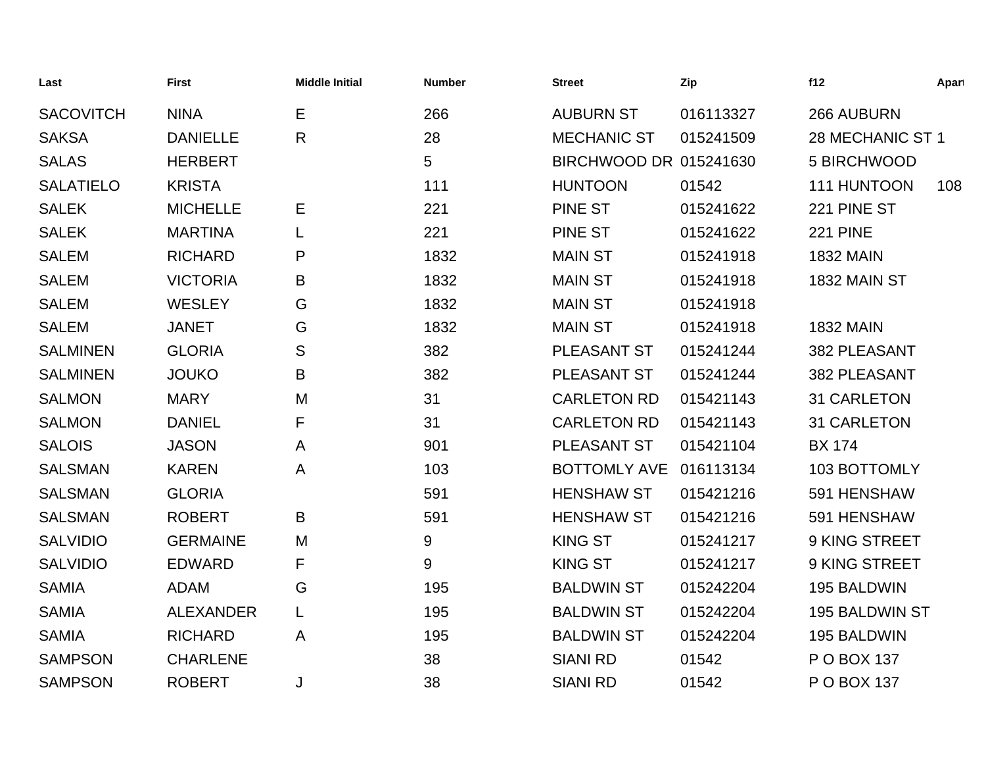| Last             | <b>First</b>     | <b>Middle Initial</b> | <b>Number</b> | <b>Street</b>          | Zip       | f12                | Apart |
|------------------|------------------|-----------------------|---------------|------------------------|-----------|--------------------|-------|
| <b>SACOVITCH</b> | <b>NINA</b>      | Е                     | 266           | <b>AUBURN ST</b>       | 016113327 | 266 AUBURN         |       |
| <b>SAKSA</b>     | <b>DANIELLE</b>  | $\mathsf{R}$          | 28            | <b>MECHANIC ST</b>     | 015241509 | 28 MECHANIC ST 1   |       |
| <b>SALAS</b>     | <b>HERBERT</b>   |                       | 5             | BIRCHWOOD DR 015241630 |           | 5 BIRCHWOOD        |       |
| <b>SALATIELO</b> | <b>KRISTA</b>    |                       | 111           | <b>HUNTOON</b>         | 01542     | 111 HUNTOON        | 108   |
| <b>SALEK</b>     | <b>MICHELLE</b>  | Е                     | 221           | <b>PINE ST</b>         | 015241622 | 221 PINE ST        |       |
| <b>SALEK</b>     | <b>MARTINA</b>   |                       | 221           | <b>PINE ST</b>         | 015241622 | <b>221 PINE</b>    |       |
| <b>SALEM</b>     | <b>RICHARD</b>   | P                     | 1832          | <b>MAIN ST</b>         | 015241918 | <b>1832 MAIN</b>   |       |
| <b>SALEM</b>     | <b>VICTORIA</b>  | B                     | 1832          | <b>MAIN ST</b>         | 015241918 | 1832 MAIN ST       |       |
| <b>SALEM</b>     | <b>WESLEY</b>    | G                     | 1832          | <b>MAIN ST</b>         | 015241918 |                    |       |
| <b>SALEM</b>     | <b>JANET</b>     | G                     | 1832          | <b>MAIN ST</b>         | 015241918 | <b>1832 MAIN</b>   |       |
| <b>SALMINEN</b>  | <b>GLORIA</b>    | S                     | 382           | PLEASANT ST            | 015241244 | 382 PLEASANT       |       |
| <b>SALMINEN</b>  | <b>JOUKO</b>     | B                     | 382           | PLEASANT ST            | 015241244 | 382 PLEASANT       |       |
| <b>SALMON</b>    | <b>MARY</b>      | M                     | 31            | <b>CARLETON RD</b>     | 015421143 | <b>31 CARLETON</b> |       |
| <b>SALMON</b>    | <b>DANIEL</b>    | F                     | 31            | <b>CARLETON RD</b>     | 015421143 | 31 CARLETON        |       |
| <b>SALOIS</b>    | <b>JASON</b>     | A                     | 901           | PLEASANT ST            | 015421104 | <b>BX 174</b>      |       |
| <b>SALSMAN</b>   | <b>KAREN</b>     | A                     | 103           | <b>BOTTOMLY AVE</b>    | 016113134 | 103 BOTTOMLY       |       |
| <b>SALSMAN</b>   | <b>GLORIA</b>    |                       | 591           | <b>HENSHAW ST</b>      | 015421216 | 591 HENSHAW        |       |
| <b>SALSMAN</b>   | <b>ROBERT</b>    | B                     | 591           | <b>HENSHAW ST</b>      | 015421216 | 591 HENSHAW        |       |
| <b>SALVIDIO</b>  | <b>GERMAINE</b>  | M                     | 9             | <b>KING ST</b>         | 015241217 | 9 KING STREET      |       |
| <b>SALVIDIO</b>  | <b>EDWARD</b>    | F                     | 9             | <b>KING ST</b>         | 015241217 | 9 KING STREET      |       |
| <b>SAMIA</b>     | <b>ADAM</b>      | G                     | 195           | <b>BALDWIN ST</b>      | 015242204 | 195 BALDWIN        |       |
| <b>SAMIA</b>     | <b>ALEXANDER</b> | L                     | 195           | <b>BALDWIN ST</b>      | 015242204 | 195 BALDWIN ST     |       |
| <b>SAMIA</b>     | <b>RICHARD</b>   | A                     | 195           | <b>BALDWIN ST</b>      | 015242204 | 195 BALDWIN        |       |
| <b>SAMPSON</b>   | <b>CHARLENE</b>  |                       | 38            | <b>SIANI RD</b>        | 01542     | P O BOX 137        |       |
| <b>SAMPSON</b>   | <b>ROBERT</b>    | J                     | 38            | <b>SIANI RD</b>        | 01542     | P O BOX 137        |       |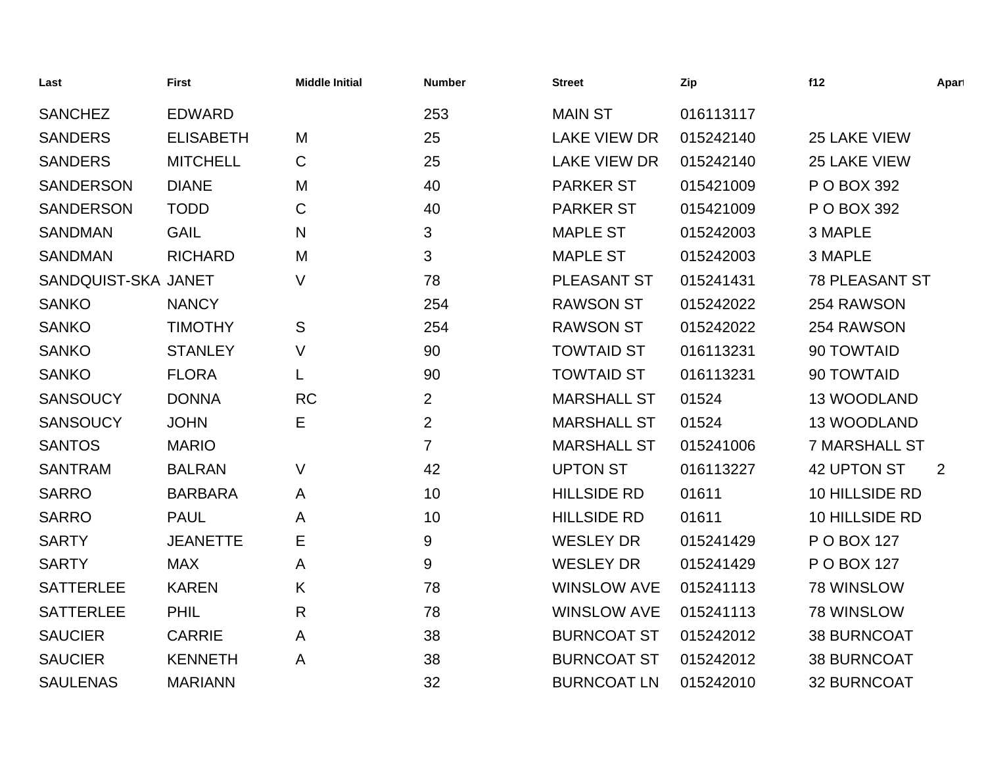| Last                | <b>First</b>     | <b>Middle Initial</b> | <b>Number</b>  | <b>Street</b>       | Zip       | f12                   | Apart |
|---------------------|------------------|-----------------------|----------------|---------------------|-----------|-----------------------|-------|
| <b>SANCHEZ</b>      | <b>EDWARD</b>    |                       | 253            | <b>MAIN ST</b>      | 016113117 |                       |       |
| <b>SANDERS</b>      | <b>ELISABETH</b> | M                     | 25             | <b>LAKE VIEW DR</b> | 015242140 | 25 LAKE VIEW          |       |
| <b>SANDERS</b>      | <b>MITCHELL</b>  | C                     | 25             | <b>LAKE VIEW DR</b> | 015242140 | 25 LAKE VIEW          |       |
| <b>SANDERSON</b>    | <b>DIANE</b>     | M                     | 40             | <b>PARKER ST</b>    | 015421009 | P O BOX 392           |       |
| <b>SANDERSON</b>    | <b>TODD</b>      | C                     | 40             | <b>PARKER ST</b>    | 015421009 | P O BOX 392           |       |
| <b>SANDMAN</b>      | <b>GAIL</b>      | N                     | 3              | <b>MAPLE ST</b>     | 015242003 | 3 MAPLE               |       |
| <b>SANDMAN</b>      | <b>RICHARD</b>   | M                     | 3              | <b>MAPLE ST</b>     | 015242003 | 3 MAPLE               |       |
| SANDQUIST-SKA JANET |                  | V                     | 78             | <b>PLEASANT ST</b>  | 015241431 | <b>78 PLEASANT ST</b> |       |
| <b>SANKO</b>        | <b>NANCY</b>     |                       | 254            | <b>RAWSON ST</b>    | 015242022 | 254 RAWSON            |       |
| <b>SANKO</b>        | <b>TIMOTHY</b>   | S                     | 254            | <b>RAWSON ST</b>    | 015242022 | 254 RAWSON            |       |
| <b>SANKO</b>        | <b>STANLEY</b>   | V                     | 90             | <b>TOWTAID ST</b>   | 016113231 | 90 TOWTAID            |       |
| <b>SANKO</b>        | <b>FLORA</b>     | L                     | 90             | <b>TOWTAID ST</b>   | 016113231 | 90 TOWTAID            |       |
| <b>SANSOUCY</b>     | <b>DONNA</b>     | <b>RC</b>             | $\overline{2}$ | <b>MARSHALL ST</b>  | 01524     | 13 WOODLAND           |       |
| <b>SANSOUCY</b>     | <b>JOHN</b>      | Е                     | $\overline{2}$ | <b>MARSHALL ST</b>  | 01524     | 13 WOODLAND           |       |
| <b>SANTOS</b>       | <b>MARIO</b>     |                       | 7              | <b>MARSHALL ST</b>  | 015241006 | <b>7 MARSHALL ST</b>  |       |
| <b>SANTRAM</b>      | <b>BALRAN</b>    | $\vee$                | 42             | <b>UPTON ST</b>     | 016113227 | 42 UPTON ST           | 2     |
| <b>SARRO</b>        | <b>BARBARA</b>   | A                     | 10             | <b>HILLSIDE RD</b>  | 01611     | 10 HILLSIDE RD        |       |
| <b>SARRO</b>        | <b>PAUL</b>      | A                     | 10             | <b>HILLSIDE RD</b>  | 01611     | 10 HILLSIDE RD        |       |
| <b>SARTY</b>        | <b>JEANETTE</b>  | Е                     | 9              | <b>WESLEY DR</b>    | 015241429 | P O BOX 127           |       |
| <b>SARTY</b>        | <b>MAX</b>       | A                     | 9              | <b>WESLEY DR</b>    | 015241429 | P O BOX 127           |       |
| <b>SATTERLEE</b>    | <b>KAREN</b>     | K                     | 78             | <b>WINSLOW AVE</b>  | 015241113 | 78 WINSLOW            |       |
| <b>SATTERLEE</b>    | <b>PHIL</b>      | R                     | 78             | <b>WINSLOW AVE</b>  | 015241113 | 78 WINSLOW            |       |
| <b>SAUCIER</b>      | <b>CARRIE</b>    | A                     | 38             | <b>BURNCOAT ST</b>  | 015242012 | <b>38 BURNCOAT</b>    |       |
| <b>SAUCIER</b>      | <b>KENNETH</b>   | A                     | 38             | <b>BURNCOAT ST</b>  | 015242012 | <b>38 BURNCOAT</b>    |       |
| <b>SAULENAS</b>     | <b>MARIANN</b>   |                       | 32             | <b>BURNCOAT LN</b>  | 015242010 | 32 BURNCOAT           |       |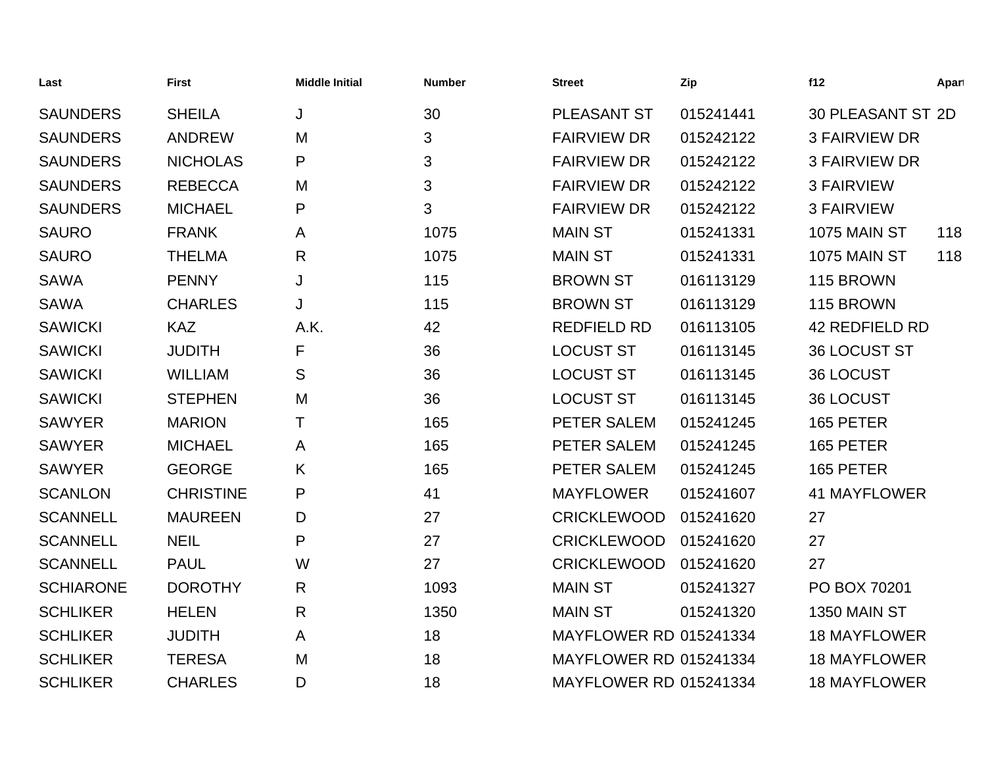| Last             | <b>First</b>     | <b>Middle Initial</b> | <b>Number</b> | <b>Street</b>                 | Zip       | f12                   | Apart |
|------------------|------------------|-----------------------|---------------|-------------------------------|-----------|-----------------------|-------|
| <b>SAUNDERS</b>  | <b>SHEILA</b>    | J                     | 30            | <b>PLEASANT ST</b>            | 015241441 | 30 PLEASANT ST 2D     |       |
| <b>SAUNDERS</b>  | <b>ANDREW</b>    | M                     | 3             | <b>FAIRVIEW DR</b>            | 015242122 | <b>3 FAIRVIEW DR</b>  |       |
| <b>SAUNDERS</b>  | <b>NICHOLAS</b>  | P                     | 3             | <b>FAIRVIEW DR</b>            | 015242122 | <b>3 FAIRVIEW DR</b>  |       |
| <b>SAUNDERS</b>  | <b>REBECCA</b>   | M                     | 3             | <b>FAIRVIEW DR</b>            | 015242122 | <b>3 FAIRVIEW</b>     |       |
| <b>SAUNDERS</b>  | <b>MICHAEL</b>   | P                     | 3             | <b>FAIRVIEW DR</b>            | 015242122 | <b>3 FAIRVIEW</b>     |       |
| <b>SAURO</b>     | <b>FRANK</b>     | A                     | 1075          | <b>MAIN ST</b>                | 015241331 | <b>1075 MAIN ST</b>   | 118   |
| <b>SAURO</b>     | <b>THELMA</b>    | $\mathsf{R}$          | 1075          | <b>MAIN ST</b>                | 015241331 | <b>1075 MAIN ST</b>   | 118   |
| <b>SAWA</b>      | <b>PENNY</b>     | J                     | 115           | <b>BROWN ST</b>               | 016113129 | 115 BROWN             |       |
| <b>SAWA</b>      | <b>CHARLES</b>   | J                     | 115           | <b>BROWN ST</b>               | 016113129 | 115 BROWN             |       |
| <b>SAWICKI</b>   | <b>KAZ</b>       | A.K.                  | 42            | <b>REDFIELD RD</b>            | 016113105 | <b>42 REDFIELD RD</b> |       |
| <b>SAWICKI</b>   | <b>JUDITH</b>    | F                     | 36            | <b>LOCUST ST</b>              | 016113145 | 36 LOCUST ST          |       |
| <b>SAWICKI</b>   | <b>WILLIAM</b>   | S                     | 36            | <b>LOCUST ST</b>              | 016113145 | <b>36 LOCUST</b>      |       |
| <b>SAWICKI</b>   | <b>STEPHEN</b>   | M                     | 36            | <b>LOCUST ST</b>              | 016113145 | 36 LOCUST             |       |
| <b>SAWYER</b>    | <b>MARION</b>    | т                     | 165           | PETER SALEM                   | 015241245 | 165 PETER             |       |
| <b>SAWYER</b>    | <b>MICHAEL</b>   | A                     | 165           | PETER SALEM                   | 015241245 | 165 PETER             |       |
| <b>SAWYER</b>    | <b>GEORGE</b>    | K                     | 165           | PETER SALEM                   | 015241245 | 165 PETER             |       |
| <b>SCANLON</b>   | <b>CHRISTINE</b> | P                     | 41            | <b>MAYFLOWER</b>              | 015241607 | 41 MAYFLOWER          |       |
| <b>SCANNELL</b>  | <b>MAUREEN</b>   | D                     | 27            | <b>CRICKLEWOOD</b>            | 015241620 | 27                    |       |
| <b>SCANNELL</b>  | <b>NEIL</b>      | P                     | 27            | <b>CRICKLEWOOD</b>            | 015241620 | 27                    |       |
| <b>SCANNELL</b>  | <b>PAUL</b>      | W                     | 27            | <b>CRICKLEWOOD</b>            | 015241620 | 27                    |       |
| <b>SCHIARONE</b> | <b>DOROTHY</b>   | $\mathsf{R}$          | 1093          | <b>MAIN ST</b>                | 015241327 | PO BOX 70201          |       |
| <b>SCHLIKER</b>  | <b>HELEN</b>     | $\mathsf{R}$          | 1350          | <b>MAIN ST</b>                | 015241320 | 1350 MAIN ST          |       |
| <b>SCHLIKER</b>  | <b>JUDITH</b>    | A                     | 18            | <b>MAYFLOWER RD 015241334</b> |           | <b>18 MAYFLOWER</b>   |       |
| <b>SCHLIKER</b>  | <b>TERESA</b>    | M                     | 18            | <b>MAYFLOWER RD 015241334</b> |           | <b>18 MAYFLOWER</b>   |       |
| <b>SCHLIKER</b>  | <b>CHARLES</b>   | D                     | 18            | <b>MAYFLOWER RD 015241334</b> |           | <b>18 MAYFLOWER</b>   |       |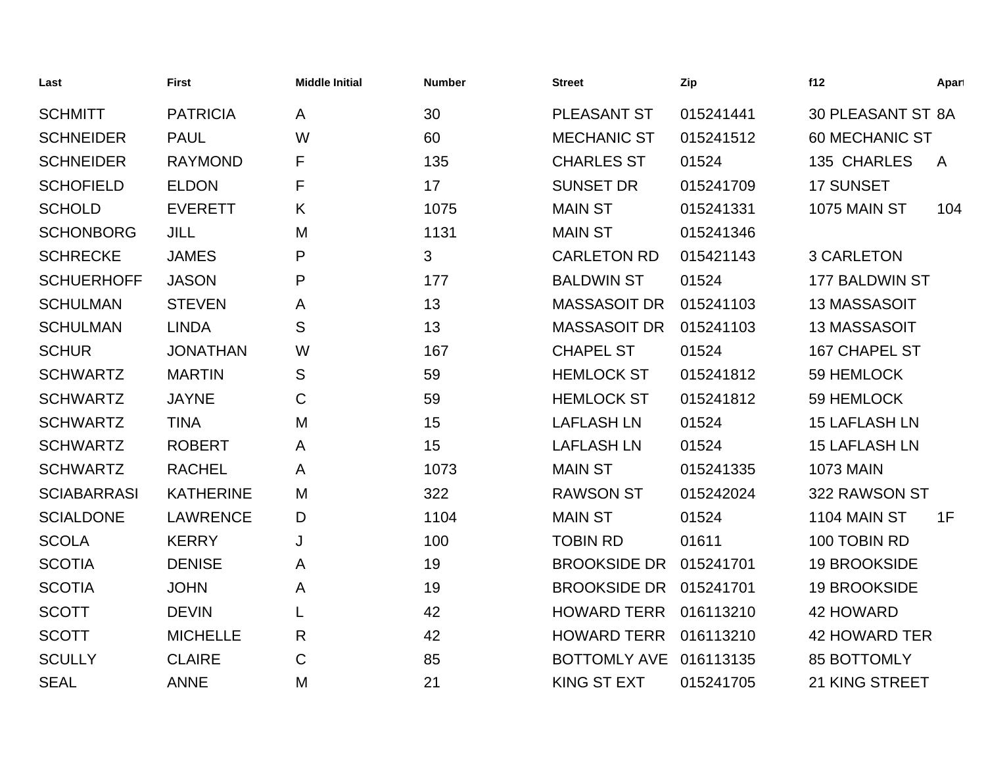| Last               | <b>First</b>     | <b>Middle Initial</b> | <b>Number</b> | <b>Street</b>       | Zip       | f12                      | Apart        |
|--------------------|------------------|-----------------------|---------------|---------------------|-----------|--------------------------|--------------|
| <b>SCHMITT</b>     | <b>PATRICIA</b>  | A                     | 30            | <b>PLEASANT ST</b>  | 015241441 | <b>30 PLEASANT ST 8A</b> |              |
| <b>SCHNEIDER</b>   | <b>PAUL</b>      | W                     | 60            | <b>MECHANIC ST</b>  | 015241512 | <b>60 MECHANIC ST</b>    |              |
| <b>SCHNEIDER</b>   | <b>RAYMOND</b>   | F                     | 135           | <b>CHARLES ST</b>   | 01524     | 135 CHARLES              | $\mathsf{A}$ |
| <b>SCHOFIELD</b>   | <b>ELDON</b>     | F                     | 17            | <b>SUNSET DR</b>    | 015241709 | <b>17 SUNSET</b>         |              |
| <b>SCHOLD</b>      | <b>EVERETT</b>   | K                     | 1075          | <b>MAIN ST</b>      | 015241331 | 1075 MAIN ST             | 104          |
| <b>SCHONBORG</b>   | <b>JILL</b>      | M                     | 1131          | <b>MAIN ST</b>      | 015241346 |                          |              |
| <b>SCHRECKE</b>    | <b>JAMES</b>     | P                     | 3             | <b>CARLETON RD</b>  | 015421143 | <b>3 CARLETON</b>        |              |
| <b>SCHUERHOFF</b>  | <b>JASON</b>     | P                     | 177           | <b>BALDWIN ST</b>   | 01524     | 177 BALDWIN ST           |              |
| <b>SCHULMAN</b>    | <b>STEVEN</b>    | Α                     | 13            | <b>MASSASOIT DR</b> | 015241103 | 13 MASSASOIT             |              |
| <b>SCHULMAN</b>    | <b>LINDA</b>     | S                     | 13            | <b>MASSASOIT DR</b> | 015241103 | 13 MASSASOIT             |              |
| <b>SCHUR</b>       | <b>JONATHAN</b>  | W                     | 167           | <b>CHAPEL ST</b>    | 01524     | <b>167 CHAPEL ST</b>     |              |
| <b>SCHWARTZ</b>    | <b>MARTIN</b>    | S                     | 59            | <b>HEMLOCK ST</b>   | 015241812 | 59 HEMLOCK               |              |
| <b>SCHWARTZ</b>    | <b>JAYNE</b>     | C                     | 59            | <b>HEMLOCK ST</b>   | 015241812 | 59 HEMLOCK               |              |
| <b>SCHWARTZ</b>    | <b>TINA</b>      | M                     | 15            | <b>LAFLASH LN</b>   | 01524     | <b>15 LAFLASH LN</b>     |              |
| <b>SCHWARTZ</b>    | <b>ROBERT</b>    | A                     | 15            | <b>LAFLASH LN</b>   | 01524     | <b>15 LAFLASH LN</b>     |              |
| <b>SCHWARTZ</b>    | <b>RACHEL</b>    | A                     | 1073          | <b>MAIN ST</b>      | 015241335 | <b>1073 MAIN</b>         |              |
| <b>SCIABARRASI</b> | <b>KATHERINE</b> | M                     | 322           | <b>RAWSON ST</b>    | 015242024 | 322 RAWSON ST            |              |
| <b>SCIALDONE</b>   | <b>LAWRENCE</b>  | D                     | 1104          | <b>MAIN ST</b>      | 01524     | 1104 MAIN ST             | 1F           |
| <b>SCOLA</b>       | <b>KERRY</b>     | J                     | 100           | <b>TOBIN RD</b>     | 01611     | 100 TOBIN RD             |              |
| <b>SCOTIA</b>      | <b>DENISE</b>    | A                     | 19            | <b>BROOKSIDE DR</b> | 015241701 | <b>19 BROOKSIDE</b>      |              |
| <b>SCOTIA</b>      | <b>JOHN</b>      | Α                     | 19            | <b>BROOKSIDE DR</b> | 015241701 | <b>19 BROOKSIDE</b>      |              |
| <b>SCOTT</b>       | <b>DEVIN</b>     | L                     | 42            | <b>HOWARD TERR</b>  | 016113210 | 42 HOWARD                |              |
| <b>SCOTT</b>       | <b>MICHELLE</b>  | $\mathsf{R}$          | 42            | <b>HOWARD TERR</b>  | 016113210 | <b>42 HOWARD TER</b>     |              |
| <b>SCULLY</b>      | <b>CLAIRE</b>    | $\mathsf C$           | 85            | <b>BOTTOMLY AVE</b> | 016113135 | <b>85 BOTTOMLY</b>       |              |
| <b>SEAL</b>        | <b>ANNE</b>      | M                     | 21            | <b>KING ST EXT</b>  | 015241705 | 21 KING STREET           |              |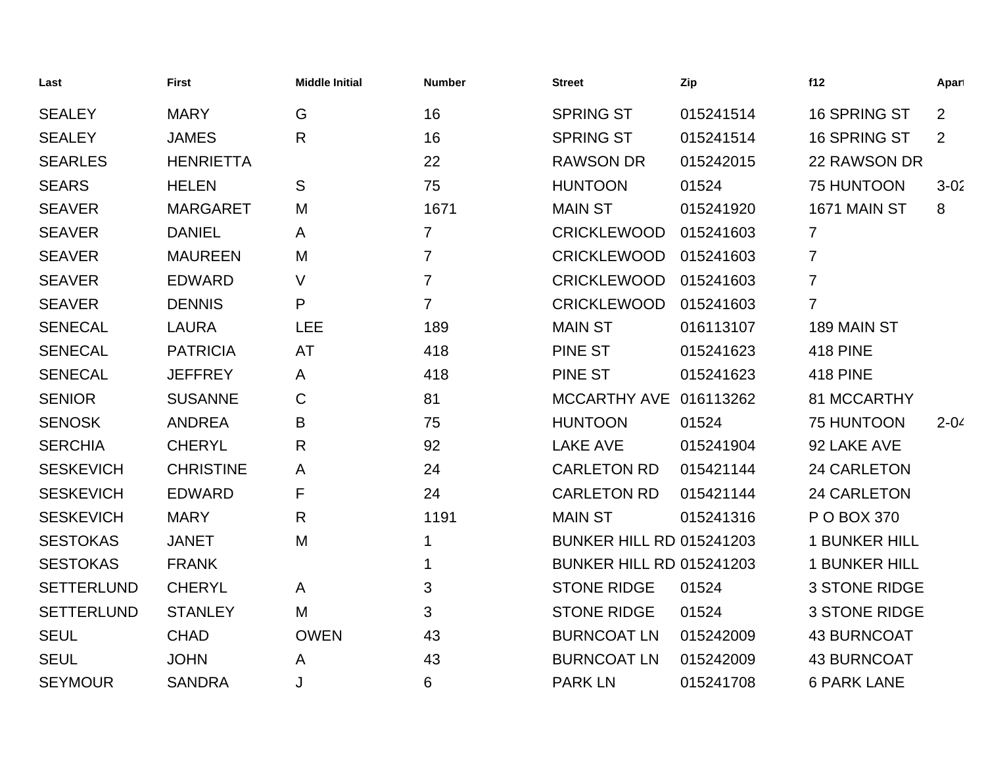| Last              | <b>First</b>     | <b>Middle Initial</b> | <b>Number</b>  | <b>Street</b>                   | Zip       | f12                  | Apart    |
|-------------------|------------------|-----------------------|----------------|---------------------------------|-----------|----------------------|----------|
| <b>SEALEY</b>     | <b>MARY</b>      | G                     | 16             | <b>SPRING ST</b>                | 015241514 | 16 SPRING ST         | 2        |
| <b>SEALEY</b>     | <b>JAMES</b>     | $\mathsf{R}$          | 16             | <b>SPRING ST</b>                | 015241514 | 16 SPRING ST         | 2        |
| <b>SEARLES</b>    | <b>HENRIETTA</b> |                       | 22             | <b>RAWSON DR</b>                | 015242015 | 22 RAWSON DR         |          |
| <b>SEARS</b>      | <b>HELEN</b>     | S                     | 75             | <b>HUNTOON</b>                  | 01524     | 75 HUNTOON           | $3 - 02$ |
| <b>SEAVER</b>     | <b>MARGARET</b>  | M                     | 1671           | <b>MAIN ST</b>                  | 015241920 | 1671 MAIN ST         | 8        |
| <b>SEAVER</b>     | <b>DANIEL</b>    | A                     | $\overline{7}$ | <b>CRICKLEWOOD</b>              | 015241603 | $\overline{7}$       |          |
| <b>SEAVER</b>     | <b>MAUREEN</b>   | M                     | $\overline{7}$ | <b>CRICKLEWOOD</b>              | 015241603 | $\overline{7}$       |          |
| <b>SEAVER</b>     | <b>EDWARD</b>    | $\vee$                | $\overline{7}$ | <b>CRICKLEWOOD</b>              | 015241603 | $\overline{7}$       |          |
| <b>SEAVER</b>     | <b>DENNIS</b>    | P                     | $\overline{7}$ | <b>CRICKLEWOOD</b>              | 015241603 | $\overline{7}$       |          |
| <b>SENECAL</b>    | <b>LAURA</b>     | <b>LEE</b>            | 189            | <b>MAIN ST</b>                  | 016113107 | 189 MAIN ST          |          |
| <b>SENECAL</b>    | <b>PATRICIA</b>  | AT                    | 418            | PINE ST                         | 015241623 | <b>418 PINE</b>      |          |
| <b>SENECAL</b>    | <b>JEFFREY</b>   | A                     | 418            | <b>PINE ST</b>                  | 015241623 | <b>418 PINE</b>      |          |
| <b>SENIOR</b>     | <b>SUSANNE</b>   | C                     | 81             | MCCARTHY AVE 016113262          |           | 81 MCCARTHY          |          |
| <b>SENOSK</b>     | <b>ANDREA</b>    | B                     | 75             | <b>HUNTOON</b>                  | 01524     | 75 HUNTOON           | $2 - 04$ |
| <b>SERCHIA</b>    | <b>CHERYL</b>    | R                     | 92             | <b>LAKE AVE</b>                 | 015241904 | 92 LAKE AVE          |          |
| <b>SESKEVICH</b>  | <b>CHRISTINE</b> | A                     | 24             | <b>CARLETON RD</b>              | 015421144 | 24 CARLETON          |          |
| <b>SESKEVICH</b>  | <b>EDWARD</b>    | F                     | 24             | <b>CARLETON RD</b>              | 015421144 | 24 CARLETON          |          |
| <b>SESKEVICH</b>  | <b>MARY</b>      | R                     | 1191           | <b>MAIN ST</b>                  | 015241316 | P O BOX 370          |          |
| <b>SESTOKAS</b>   | <b>JANET</b>     | M                     | 1              | <b>BUNKER HILL RD 015241203</b> |           | <b>1 BUNKER HILL</b> |          |
| <b>SESTOKAS</b>   | <b>FRANK</b>     |                       | 1              | <b>BUNKER HILL RD 015241203</b> |           | <b>1 BUNKER HILL</b> |          |
| <b>SETTERLUND</b> | <b>CHERYL</b>    | A                     | 3              | <b>STONE RIDGE</b>              | 01524     | <b>3 STONE RIDGE</b> |          |
| <b>SETTERLUND</b> | <b>STANLEY</b>   | M                     | 3              | <b>STONE RIDGE</b>              | 01524     | <b>3 STONE RIDGE</b> |          |
| <b>SEUL</b>       | <b>CHAD</b>      | <b>OWEN</b>           | 43             | <b>BURNCOAT LN</b>              | 015242009 | <b>43 BURNCOAT</b>   |          |
| <b>SEUL</b>       | <b>JOHN</b>      | A                     | 43             | <b>BURNCOAT LN</b>              | 015242009 | <b>43 BURNCOAT</b>   |          |
| <b>SEYMOUR</b>    | <b>SANDRA</b>    | J                     | 6              | <b>PARK LN</b>                  | 015241708 | <b>6 PARK LANE</b>   |          |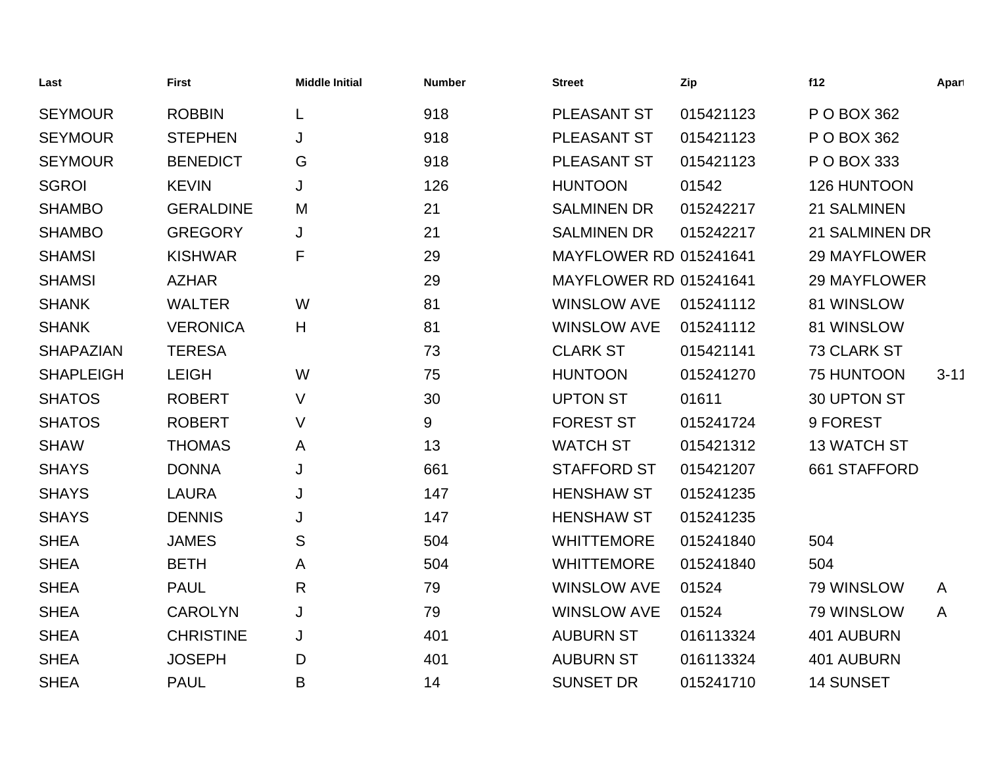| Last             | <b>First</b>     | <b>Middle Initial</b> | <b>Number</b> | <b>Street</b>                 | Zip       | f12                 | Apart        |
|------------------|------------------|-----------------------|---------------|-------------------------------|-----------|---------------------|--------------|
| <b>SEYMOUR</b>   | <b>ROBBIN</b>    | L                     | 918           | PLEASANT ST                   | 015421123 | P O BOX 362         |              |
| <b>SEYMOUR</b>   | <b>STEPHEN</b>   | J                     | 918           | PLEASANT ST                   | 015421123 | P O BOX 362         |              |
| <b>SEYMOUR</b>   | <b>BENEDICT</b>  | G                     | 918           | PLEASANT ST                   | 015421123 | P O BOX 333         |              |
| <b>SGROI</b>     | <b>KEVIN</b>     | J                     | 126           | <b>HUNTOON</b>                | 01542     | 126 HUNTOON         |              |
| <b>SHAMBO</b>    | <b>GERALDINE</b> | M                     | 21            | <b>SALMINEN DR</b>            | 015242217 | 21 SALMINEN         |              |
| <b>SHAMBO</b>    | <b>GREGORY</b>   | J                     | 21            | <b>SALMINEN DR</b>            | 015242217 | 21 SALMINEN DR      |              |
| <b>SHAMSI</b>    | <b>KISHWAR</b>   | F                     | 29            | <b>MAYFLOWER RD 015241641</b> |           | 29 MAYFLOWER        |              |
| <b>SHAMSI</b>    | <b>AZHAR</b>     |                       | 29            | <b>MAYFLOWER RD 015241641</b> |           | <b>29 MAYFLOWER</b> |              |
| <b>SHANK</b>     | <b>WALTER</b>    | W                     | 81            | <b>WINSLOW AVE</b>            | 015241112 | 81 WINSLOW          |              |
| <b>SHANK</b>     | <b>VERONICA</b>  | H                     | 81            | <b>WINSLOW AVE</b>            | 015241112 | 81 WINSLOW          |              |
| <b>SHAPAZIAN</b> | <b>TERESA</b>    |                       | 73            | <b>CLARK ST</b>               | 015421141 | 73 CLARK ST         |              |
| <b>SHAPLEIGH</b> | <b>LEIGH</b>     | W                     | 75            | <b>HUNTOON</b>                | 015241270 | 75 HUNTOON          | $3 - 11$     |
| <b>SHATOS</b>    | <b>ROBERT</b>    | V                     | 30            | <b>UPTON ST</b>               | 01611     | 30 UPTON ST         |              |
| <b>SHATOS</b>    | <b>ROBERT</b>    | V                     | 9             | <b>FOREST ST</b>              | 015241724 | 9 FOREST            |              |
| <b>SHAW</b>      | <b>THOMAS</b>    | A                     | 13            | <b>WATCH ST</b>               | 015421312 | <b>13 WATCH ST</b>  |              |
| <b>SHAYS</b>     | <b>DONNA</b>     | J                     | 661           | <b>STAFFORD ST</b>            | 015421207 | 661 STAFFORD        |              |
| <b>SHAYS</b>     | <b>LAURA</b>     | J                     | 147           | <b>HENSHAW ST</b>             | 015241235 |                     |              |
| <b>SHAYS</b>     | <b>DENNIS</b>    | J                     | 147           | <b>HENSHAW ST</b>             | 015241235 |                     |              |
| <b>SHEA</b>      | <b>JAMES</b>     | S                     | 504           | <b>WHITTEMORE</b>             | 015241840 | 504                 |              |
| <b>SHEA</b>      | <b>BETH</b>      | Α                     | 504           | <b>WHITTEMORE</b>             | 015241840 | 504                 |              |
| <b>SHEA</b>      | <b>PAUL</b>      | $\mathsf{R}$          | 79            | <b>WINSLOW AVE</b>            | 01524     | 79 WINSLOW          | $\mathsf{A}$ |
| <b>SHEA</b>      | <b>CAROLYN</b>   | J                     | 79            | <b>WINSLOW AVE</b>            | 01524     | 79 WINSLOW          | $\mathsf{A}$ |
| <b>SHEA</b>      | <b>CHRISTINE</b> | J                     | 401           | <b>AUBURN ST</b>              | 016113324 | 401 AUBURN          |              |
| <b>SHEA</b>      | <b>JOSEPH</b>    | D                     | 401           | <b>AUBURN ST</b>              | 016113324 | 401 AUBURN          |              |
| <b>SHEA</b>      | <b>PAUL</b>      | B                     | 14            | <b>SUNSET DR</b>              | 015241710 | <b>14 SUNSET</b>    |              |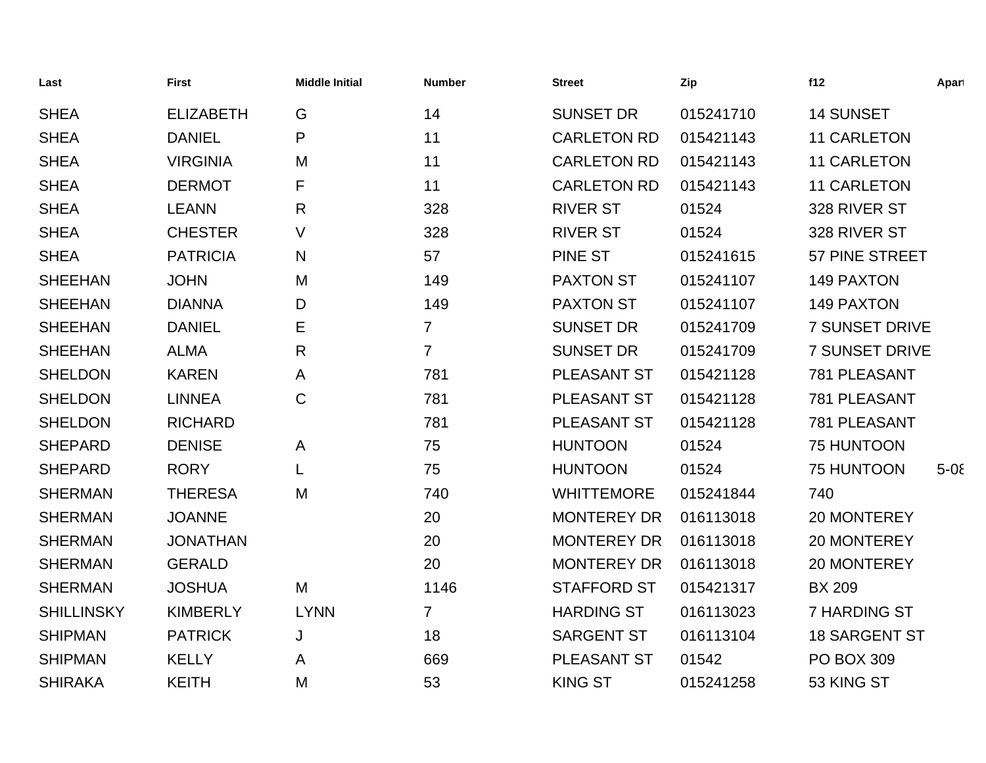| Last              | <b>First</b>     | <b>Middle Initial</b> | <b>Number</b>  | <b>Street</b>      | Zip       | f12                   | Apart   |
|-------------------|------------------|-----------------------|----------------|--------------------|-----------|-----------------------|---------|
| <b>SHEA</b>       | <b>ELIZABETH</b> | G                     | 14             | <b>SUNSET DR</b>   | 015241710 | <b>14 SUNSET</b>      |         |
| <b>SHEA</b>       | <b>DANIEL</b>    | P                     | 11             | <b>CARLETON RD</b> | 015421143 | <b>11 CARLETON</b>    |         |
| <b>SHEA</b>       | <b>VIRGINIA</b>  | M                     | 11             | <b>CARLETON RD</b> | 015421143 | <b>11 CARLETON</b>    |         |
| <b>SHEA</b>       | <b>DERMOT</b>    | F                     | 11             | <b>CARLETON RD</b> | 015421143 | <b>11 CARLETON</b>    |         |
| <b>SHEA</b>       | <b>LEANN</b>     | R                     | 328            | <b>RIVER ST</b>    | 01524     | 328 RIVER ST          |         |
| <b>SHEA</b>       | <b>CHESTER</b>   | V                     | 328            | <b>RIVER ST</b>    | 01524     | 328 RIVER ST          |         |
| <b>SHEA</b>       | <b>PATRICIA</b>  | N                     | 57             | <b>PINE ST</b>     | 015241615 | 57 PINE STREET        |         |
| <b>SHEEHAN</b>    | <b>JOHN</b>      | M                     | 149            | <b>PAXTON ST</b>   | 015241107 | 149 PAXTON            |         |
| <b>SHEEHAN</b>    | <b>DIANNA</b>    | D                     | 149            | <b>PAXTON ST</b>   | 015241107 | <b>149 PAXTON</b>     |         |
| <b>SHEEHAN</b>    | <b>DANIEL</b>    | E                     | $\overline{7}$ | <b>SUNSET DR</b>   | 015241709 | <b>7 SUNSET DRIVE</b> |         |
| <b>SHEEHAN</b>    | <b>ALMA</b>      | R                     | $\overline{7}$ | <b>SUNSET DR</b>   | 015241709 | <b>7 SUNSET DRIVE</b> |         |
| <b>SHELDON</b>    | <b>KAREN</b>     | A                     | 781            | PLEASANT ST        | 015421128 | 781 PLEASANT          |         |
| <b>SHELDON</b>    | <b>LINNEA</b>    | C                     | 781            | PLEASANT ST        | 015421128 | 781 PLEASANT          |         |
| <b>SHELDON</b>    | <b>RICHARD</b>   |                       | 781            | PLEASANT ST        | 015421128 | 781 PLEASANT          |         |
| <b>SHEPARD</b>    | <b>DENISE</b>    | A                     | 75             | <b>HUNTOON</b>     | 01524     | 75 HUNTOON            |         |
| <b>SHEPARD</b>    | <b>RORY</b>      | L                     | 75             | <b>HUNTOON</b>     | 01524     | 75 HUNTOON            | $5 - 0$ |
| <b>SHERMAN</b>    | <b>THERESA</b>   | M                     | 740            | <b>WHITTEMORE</b>  | 015241844 | 740                   |         |
| <b>SHERMAN</b>    | <b>JOANNE</b>    |                       | 20             | <b>MONTEREY DR</b> | 016113018 | 20 MONTEREY           |         |
| <b>SHERMAN</b>    | <b>JONATHAN</b>  |                       | 20             | <b>MONTEREY DR</b> | 016113018 | 20 MONTEREY           |         |
| <b>SHERMAN</b>    | <b>GERALD</b>    |                       | 20             | <b>MONTEREY DR</b> | 016113018 | 20 MONTEREY           |         |
| <b>SHERMAN</b>    | <b>JOSHUA</b>    | M                     | 1146           | <b>STAFFORD ST</b> | 015421317 | <b>BX 209</b>         |         |
| <b>SHILLINSKY</b> | <b>KIMBERLY</b>  | <b>LYNN</b>           | $\overline{7}$ | <b>HARDING ST</b>  | 016113023 | <b>7 HARDING ST</b>   |         |
| <b>SHIPMAN</b>    | <b>PATRICK</b>   | J                     | 18             | <b>SARGENT ST</b>  | 016113104 | <b>18 SARGENT ST</b>  |         |
| <b>SHIPMAN</b>    | <b>KELLY</b>     | Α                     | 669            | <b>PLEASANT ST</b> | 01542     | <b>PO BOX 309</b>     |         |
| <b>SHIRAKA</b>    | <b>KEITH</b>     | M                     | 53             | <b>KING ST</b>     | 015241258 | 53 KING ST            |         |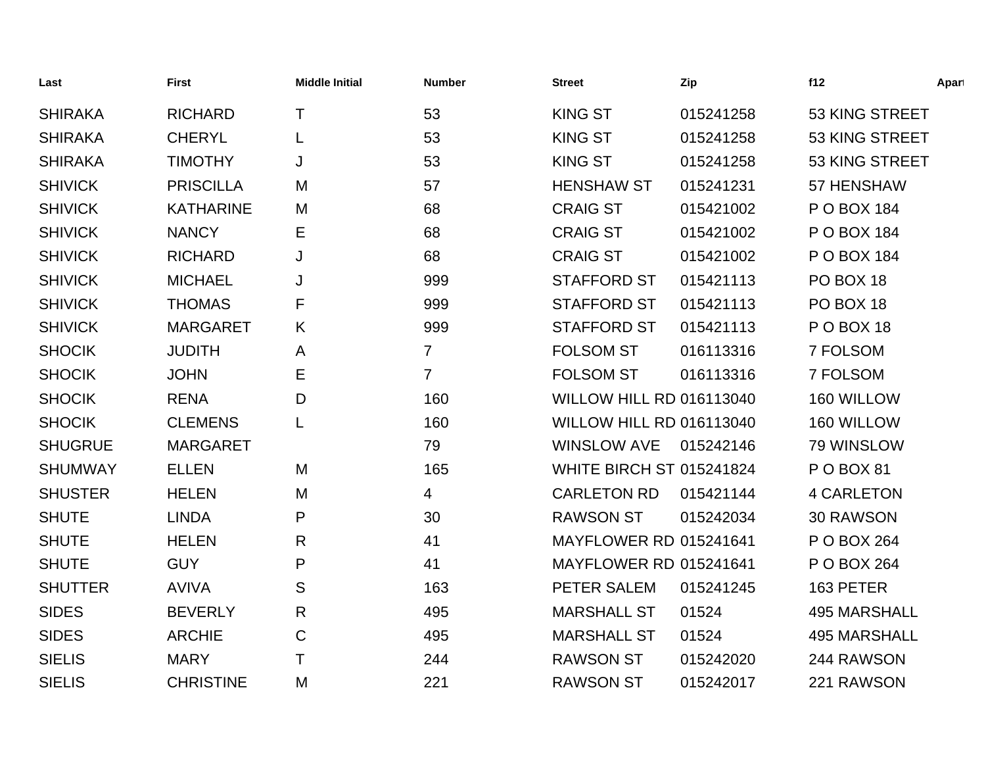| Last           | <b>First</b>     | <b>Middle Initial</b> | <b>Number</b>  | <b>Street</b>                   | Zip       | f12                 | Apart |
|----------------|------------------|-----------------------|----------------|---------------------------------|-----------|---------------------|-------|
| <b>SHIRAKA</b> | <b>RICHARD</b>   | Τ                     | 53             | <b>KING ST</b>                  | 015241258 | 53 KING STREET      |       |
| <b>SHIRAKA</b> | <b>CHERYL</b>    | L                     | 53             | <b>KING ST</b>                  | 015241258 | 53 KING STREET      |       |
| <b>SHIRAKA</b> | <b>TIMOTHY</b>   | J                     | 53             | <b>KING ST</b>                  | 015241258 | 53 KING STREET      |       |
| <b>SHIVICK</b> | <b>PRISCILLA</b> | M                     | 57             | <b>HENSHAW ST</b>               | 015241231 | 57 HENSHAW          |       |
| <b>SHIVICK</b> | <b>KATHARINE</b> | M                     | 68             | <b>CRAIG ST</b>                 | 015421002 | P O BOX 184         |       |
| <b>SHIVICK</b> | <b>NANCY</b>     | Е                     | 68             | <b>CRAIG ST</b>                 | 015421002 | P O BOX 184         |       |
| <b>SHIVICK</b> | <b>RICHARD</b>   | J                     | 68             | <b>CRAIG ST</b>                 | 015421002 | P O BOX 184         |       |
| <b>SHIVICK</b> | <b>MICHAEL</b>   | J                     | 999            | <b>STAFFORD ST</b>              | 015421113 | PO BOX 18           |       |
| <b>SHIVICK</b> | <b>THOMAS</b>    | F                     | 999            | <b>STAFFORD ST</b>              | 015421113 | PO BOX 18           |       |
| <b>SHIVICK</b> | <b>MARGARET</b>  | K                     | 999            | <b>STAFFORD ST</b>              | 015421113 | POBOX 18            |       |
| <b>SHOCIK</b>  | <b>JUDITH</b>    | A                     | $\overline{7}$ | <b>FOLSOM ST</b>                | 016113316 | 7 FOLSOM            |       |
| <b>SHOCIK</b>  | <b>JOHN</b>      | Е                     | $\overline{7}$ | <b>FOLSOM ST</b>                | 016113316 | 7 FOLSOM            |       |
| <b>SHOCIK</b>  | <b>RENA</b>      | D                     | 160            | <b>WILLOW HILL RD 016113040</b> |           | 160 WILLOW          |       |
| <b>SHOCIK</b>  | <b>CLEMENS</b>   | L                     | 160            | <b>WILLOW HILL RD 016113040</b> |           | 160 WILLOW          |       |
| <b>SHUGRUE</b> | <b>MARGARET</b>  |                       | 79             | <b>WINSLOW AVE</b>              | 015242146 | 79 WINSLOW          |       |
| <b>SHUMWAY</b> | <b>ELLEN</b>     | M                     | 165            | <b>WHITE BIRCH ST 015241824</b> |           | P O BOX 81          |       |
| <b>SHUSTER</b> | <b>HELEN</b>     | M                     | 4              | <b>CARLETON RD</b>              | 015421144 | <b>4 CARLETON</b>   |       |
| <b>SHUTE</b>   | <b>LINDA</b>     | P                     | 30             | <b>RAWSON ST</b>                | 015242034 | 30 RAWSON           |       |
| <b>SHUTE</b>   | <b>HELEN</b>     | R.                    | 41             | <b>MAYFLOWER RD 015241641</b>   |           | P O BOX 264         |       |
| <b>SHUTE</b>   | <b>GUY</b>       | P                     | 41             | <b>MAYFLOWER RD 015241641</b>   |           | P O BOX 264         |       |
| <b>SHUTTER</b> | <b>AVIVA</b>     | S                     | 163            | PETER SALEM                     | 015241245 | 163 PETER           |       |
| <b>SIDES</b>   | <b>BEVERLY</b>   | R                     | 495            | <b>MARSHALL ST</b>              | 01524     | <b>495 MARSHALL</b> |       |
| <b>SIDES</b>   | <b>ARCHIE</b>    | C                     | 495            | <b>MARSHALL ST</b>              | 01524     | <b>495 MARSHALL</b> |       |
| <b>SIELIS</b>  | <b>MARY</b>      | Τ                     | 244            | <b>RAWSON ST</b>                | 015242020 | 244 RAWSON          |       |
| <b>SIELIS</b>  | <b>CHRISTINE</b> | M                     | 221            | <b>RAWSON ST</b>                | 015242017 | 221 RAWSON          |       |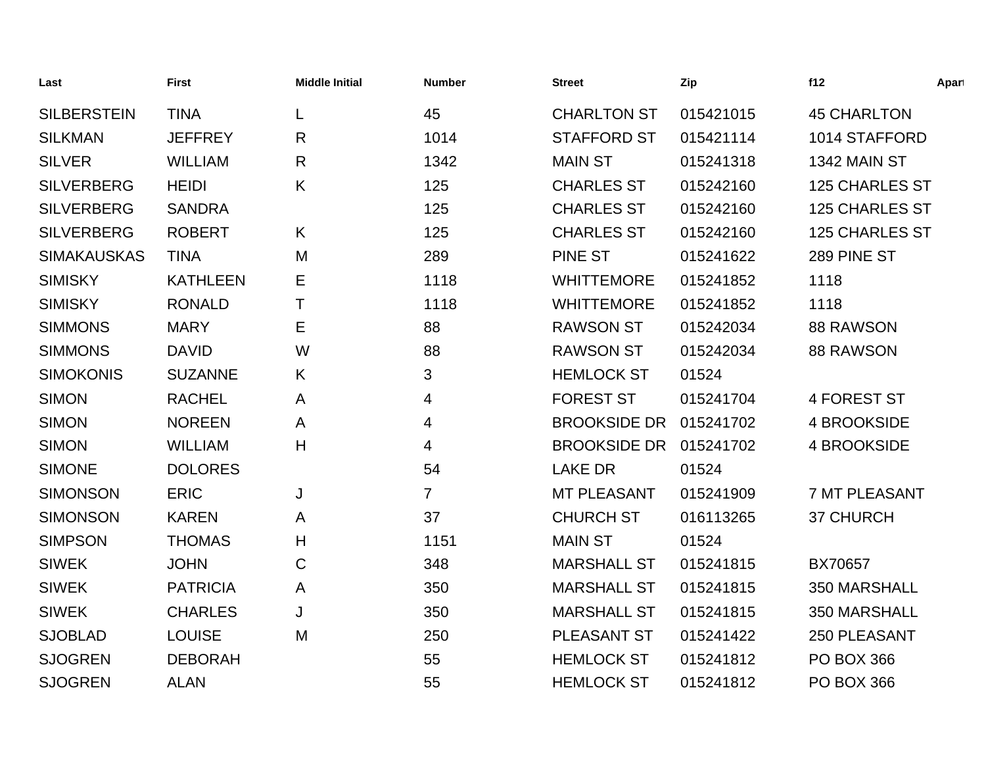| Last               | <b>First</b>    | <b>Middle Initial</b> | <b>Number</b>  | <b>Street</b>       | Zip       | f12                   | Apart |
|--------------------|-----------------|-----------------------|----------------|---------------------|-----------|-----------------------|-------|
| <b>SILBERSTEIN</b> | <b>TINA</b>     | L                     | 45             | <b>CHARLTON ST</b>  | 015421015 | <b>45 CHARLTON</b>    |       |
| <b>SILKMAN</b>     | <b>JEFFREY</b>  | $\mathsf{R}$          | 1014           | <b>STAFFORD ST</b>  | 015421114 | 1014 STAFFORD         |       |
| <b>SILVER</b>      | <b>WILLIAM</b>  | $\mathsf{R}$          | 1342           | <b>MAIN ST</b>      | 015241318 | 1342 MAIN ST          |       |
| <b>SILVERBERG</b>  | <b>HEIDI</b>    | K                     | 125            | <b>CHARLES ST</b>   | 015242160 | <b>125 CHARLES ST</b> |       |
| <b>SILVERBERG</b>  | <b>SANDRA</b>   |                       | 125            | <b>CHARLES ST</b>   | 015242160 | <b>125 CHARLES ST</b> |       |
| <b>SILVERBERG</b>  | <b>ROBERT</b>   | K                     | 125            | <b>CHARLES ST</b>   | 015242160 | <b>125 CHARLES ST</b> |       |
| <b>SIMAKAUSKAS</b> | <b>TINA</b>     | M                     | 289            | PINE ST             | 015241622 | 289 PINE ST           |       |
| <b>SIMISKY</b>     | <b>KATHLEEN</b> | Е                     | 1118           | <b>WHITTEMORE</b>   | 015241852 | 1118                  |       |
| <b>SIMISKY</b>     | <b>RONALD</b>   | Τ                     | 1118           | <b>WHITTEMORE</b>   | 015241852 | 1118                  |       |
| <b>SIMMONS</b>     | <b>MARY</b>     | Е                     | 88             | <b>RAWSON ST</b>    | 015242034 | <b>88 RAWSON</b>      |       |
| <b>SIMMONS</b>     | <b>DAVID</b>    | W                     | 88             | <b>RAWSON ST</b>    | 015242034 | <b>88 RAWSON</b>      |       |
| <b>SIMOKONIS</b>   | <b>SUZANNE</b>  | K                     | 3              | <b>HEMLOCK ST</b>   | 01524     |                       |       |
| <b>SIMON</b>       | <b>RACHEL</b>   | A                     | 4              | <b>FOREST ST</b>    | 015241704 | <b>4 FOREST ST</b>    |       |
| <b>SIMON</b>       | <b>NOREEN</b>   | A                     | 4              | <b>BROOKSIDE DR</b> | 015241702 | 4 BROOKSIDE           |       |
| <b>SIMON</b>       | <b>WILLIAM</b>  | H                     | 4              | <b>BROOKSIDE DR</b> | 015241702 | <b>4 BROOKSIDE</b>    |       |
| <b>SIMONE</b>      | <b>DOLORES</b>  |                       | 54             | <b>LAKE DR</b>      | 01524     |                       |       |
| <b>SIMONSON</b>    | <b>ERIC</b>     | J                     | $\overline{7}$ | MT PLEASANT         | 015241909 | <b>7 MT PLEASANT</b>  |       |
| <b>SIMONSON</b>    | <b>KAREN</b>    | A                     | 37             | <b>CHURCH ST</b>    | 016113265 | 37 CHURCH             |       |
| <b>SIMPSON</b>     | <b>THOMAS</b>   | H                     | 1151           | <b>MAIN ST</b>      | 01524     |                       |       |
| <b>SIWEK</b>       | <b>JOHN</b>     | С                     | 348            | <b>MARSHALL ST</b>  | 015241815 | BX70657               |       |
| <b>SIWEK</b>       | <b>PATRICIA</b> | A                     | 350            | <b>MARSHALL ST</b>  | 015241815 | 350 MARSHALL          |       |
| <b>SIWEK</b>       | <b>CHARLES</b>  | J                     | 350            | <b>MARSHALL ST</b>  | 015241815 | 350 MARSHALL          |       |
| <b>SJOBLAD</b>     | <b>LOUISE</b>   | M                     | 250            | <b>PLEASANT ST</b>  | 015241422 | 250 PLEASANT          |       |
| <b>SJOGREN</b>     | <b>DEBORAH</b>  |                       | 55             | <b>HEMLOCK ST</b>   | 015241812 | <b>PO BOX 366</b>     |       |
| <b>SJOGREN</b>     | <b>ALAN</b>     |                       | 55             | <b>HEMLOCK ST</b>   | 015241812 | <b>PO BOX 366</b>     |       |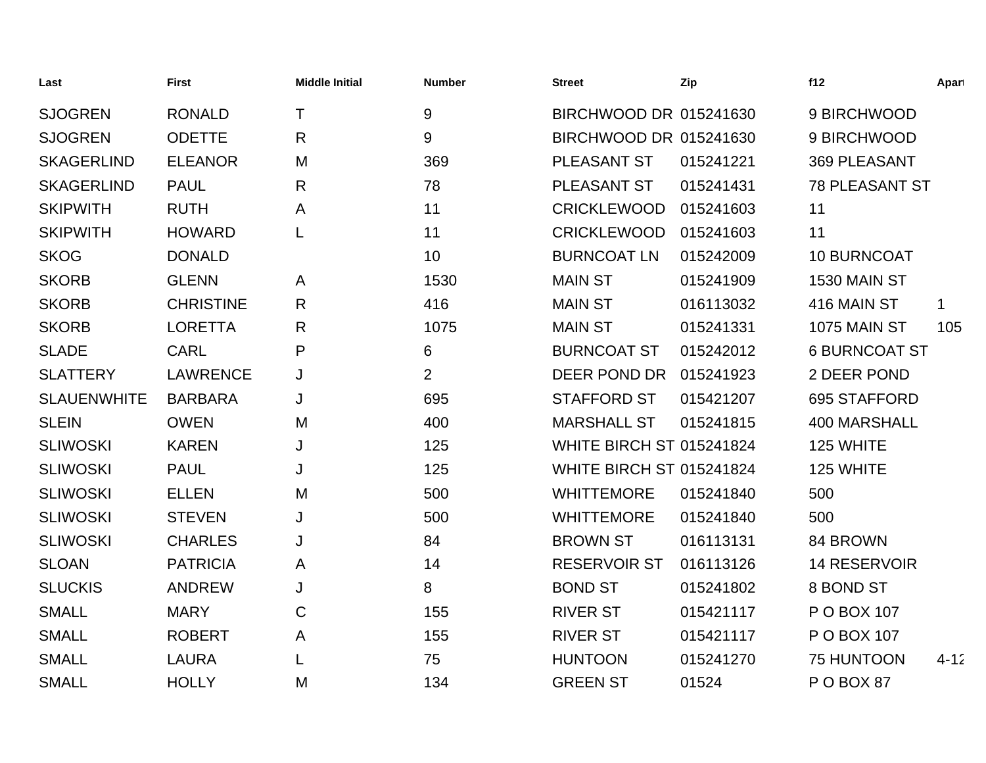| Last               | <b>First</b>     | <b>Middle Initial</b> | <b>Number</b>  | <b>Street</b>                   | Zip       | f12                   | Apart    |
|--------------------|------------------|-----------------------|----------------|---------------------------------|-----------|-----------------------|----------|
| <b>SJOGREN</b>     | <b>RONALD</b>    | T                     | $9\,$          | BIRCHWOOD DR 015241630          |           | 9 BIRCHWOOD           |          |
| <b>SJOGREN</b>     | <b>ODETTE</b>    | $\mathsf{R}$          | 9              | BIRCHWOOD DR 015241630          |           | 9 BIRCHWOOD           |          |
| <b>SKAGERLIND</b>  | <b>ELEANOR</b>   | M                     | 369            | PLEASANT ST                     | 015241221 | <b>369 PLEASANT</b>   |          |
| <b>SKAGERLIND</b>  | <b>PAUL</b>      | $\mathsf{R}$          | 78             | PLEASANT ST                     | 015241431 | <b>78 PLEASANT ST</b> |          |
| <b>SKIPWITH</b>    | <b>RUTH</b>      | A                     | 11             | <b>CRICKLEWOOD</b>              | 015241603 | 11                    |          |
| <b>SKIPWITH</b>    | <b>HOWARD</b>    | L                     | 11             | <b>CRICKLEWOOD</b>              | 015241603 | 11                    |          |
| <b>SKOG</b>        | <b>DONALD</b>    |                       | 10             | <b>BURNCOAT LN</b>              | 015242009 | 10 BURNCOAT           |          |
| <b>SKORB</b>       | <b>GLENN</b>     | A                     | 1530           | <b>MAIN ST</b>                  | 015241909 | 1530 MAIN ST          |          |
| <b>SKORB</b>       | <b>CHRISTINE</b> | $\mathsf{R}$          | 416            | <b>MAIN ST</b>                  | 016113032 | 416 MAIN ST           | 1        |
| <b>SKORB</b>       | <b>LORETTA</b>   | $\mathsf{R}$          | 1075           | <b>MAIN ST</b>                  | 015241331 | <b>1075 MAIN ST</b>   | 105      |
| <b>SLADE</b>       | <b>CARL</b>      | P                     | 6              | <b>BURNCOAT ST</b>              | 015242012 | <b>6 BURNCOAT ST</b>  |          |
| <b>SLATTERY</b>    | <b>LAWRENCE</b>  | J                     | $\overline{2}$ | DEER POND DR                    | 015241923 | 2 DEER POND           |          |
| <b>SLAUENWHITE</b> | <b>BARBARA</b>   | J                     | 695            | <b>STAFFORD ST</b>              | 015421207 | 695 STAFFORD          |          |
| <b>SLEIN</b>       | <b>OWEN</b>      | M                     | 400            | <b>MARSHALL ST</b>              | 015241815 | <b>400 MARSHALL</b>   |          |
| <b>SLIWOSKI</b>    | <b>KAREN</b>     | J                     | 125            | <b>WHITE BIRCH ST 015241824</b> |           | 125 WHITE             |          |
| <b>SLIWOSKI</b>    | <b>PAUL</b>      | J                     | 125            | <b>WHITE BIRCH ST 015241824</b> |           | 125 WHITE             |          |
| <b>SLIWOSKI</b>    | <b>ELLEN</b>     | M                     | 500            | <b>WHITTEMORE</b>               | 015241840 | 500                   |          |
| <b>SLIWOSKI</b>    | <b>STEVEN</b>    | J                     | 500            | <b>WHITTEMORE</b>               | 015241840 | 500                   |          |
| <b>SLIWOSKI</b>    | <b>CHARLES</b>   | J                     | 84             | <b>BROWN ST</b>                 | 016113131 | 84 BROWN              |          |
| <b>SLOAN</b>       | <b>PATRICIA</b>  | A                     | 14             | <b>RESERVOIR ST</b>             | 016113126 | <b>14 RESERVOIR</b>   |          |
| <b>SLUCKIS</b>     | <b>ANDREW</b>    | J                     | 8              | <b>BOND ST</b>                  | 015241802 | 8 BOND ST             |          |
| <b>SMALL</b>       | <b>MARY</b>      | $\mathsf C$           | 155            | <b>RIVER ST</b>                 | 015421117 | P O BOX 107           |          |
| <b>SMALL</b>       | <b>ROBERT</b>    | A                     | 155            | <b>RIVER ST</b>                 | 015421117 | P O BOX 107           |          |
| <b>SMALL</b>       | <b>LAURA</b>     | L                     | 75             | <b>HUNTOON</b>                  | 015241270 | 75 HUNTOON            | $4 - 12$ |
| <b>SMALL</b>       | <b>HOLLY</b>     | M                     | 134            | <b>GREEN ST</b>                 | 01524     | POBOX87               |          |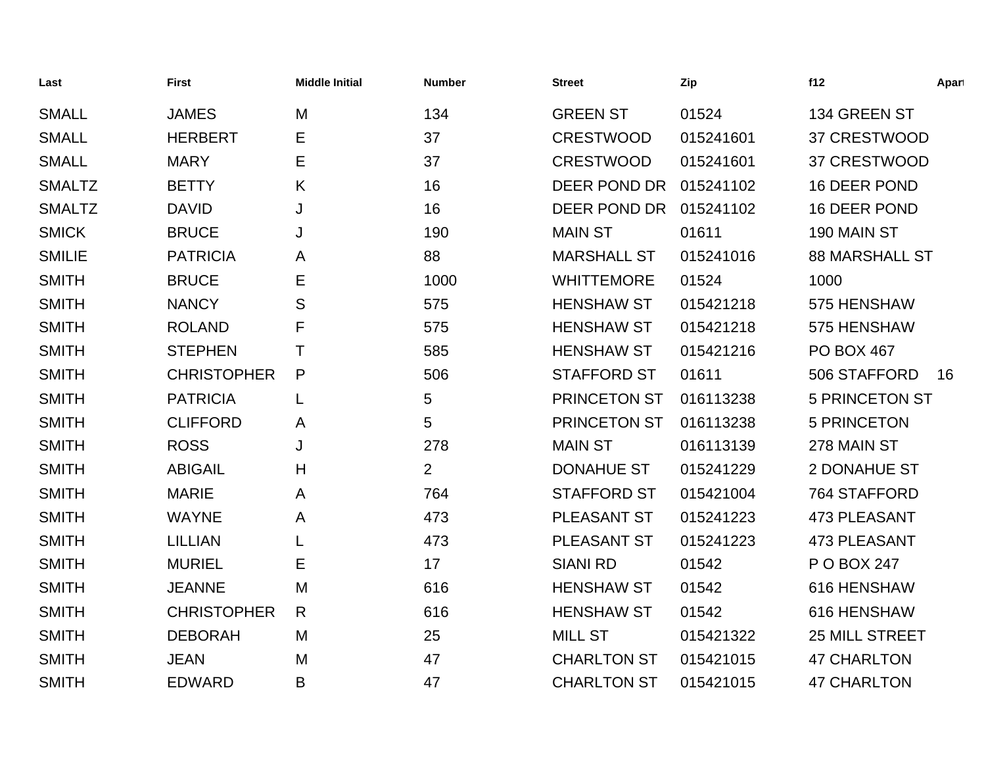| Last          | <b>First</b>       | <b>Middle Initial</b> | <b>Number</b>  | <b>Street</b>       | Zip       | f12                   | Apart |
|---------------|--------------------|-----------------------|----------------|---------------------|-----------|-----------------------|-------|
| <b>SMALL</b>  | <b>JAMES</b>       | M                     | 134            | <b>GREEN ST</b>     | 01524     | 134 GREEN ST          |       |
| <b>SMALL</b>  | <b>HERBERT</b>     | Е                     | 37             | <b>CRESTWOOD</b>    | 015241601 | 37 CRESTWOOD          |       |
| <b>SMALL</b>  | <b>MARY</b>        | E                     | 37             | <b>CRESTWOOD</b>    | 015241601 | 37 CRESTWOOD          |       |
| <b>SMALTZ</b> | <b>BETTY</b>       | Κ                     | 16             | DEER POND DR        | 015241102 | 16 DEER POND          |       |
| <b>SMALTZ</b> | <b>DAVID</b>       | J                     | 16             | DEER POND DR        | 015241102 | 16 DEER POND          |       |
| <b>SMICK</b>  | <b>BRUCE</b>       | J                     | 190            | <b>MAIN ST</b>      | 01611     | 190 MAIN ST           |       |
| <b>SMILIE</b> | <b>PATRICIA</b>    | A                     | 88             | <b>MARSHALL ST</b>  | 015241016 | <b>88 MARSHALL ST</b> |       |
| <b>SMITH</b>  | <b>BRUCE</b>       | Е                     | 1000           | <b>WHITTEMORE</b>   | 01524     | 1000                  |       |
| <b>SMITH</b>  | <b>NANCY</b>       | S                     | 575            | <b>HENSHAW ST</b>   | 015421218 | 575 HENSHAW           |       |
| <b>SMITH</b>  | <b>ROLAND</b>      | F                     | 575            | <b>HENSHAW ST</b>   | 015421218 | 575 HENSHAW           |       |
| <b>SMITH</b>  | <b>STEPHEN</b>     | Τ                     | 585            | <b>HENSHAW ST</b>   | 015421216 | <b>PO BOX 467</b>     |       |
| <b>SMITH</b>  | <b>CHRISTOPHER</b> | P                     | 506            | <b>STAFFORD ST</b>  | 01611     | 506 STAFFORD          | 16    |
| <b>SMITH</b>  | <b>PATRICIA</b>    | L                     | 5              | <b>PRINCETON ST</b> | 016113238 | <b>5 PRINCETON ST</b> |       |
| <b>SMITH</b>  | <b>CLIFFORD</b>    | A                     | 5              | <b>PRINCETON ST</b> | 016113238 | <b>5 PRINCETON</b>    |       |
| <b>SMITH</b>  | <b>ROSS</b>        | J                     | 278            | <b>MAIN ST</b>      | 016113139 | 278 MAIN ST           |       |
| <b>SMITH</b>  | <b>ABIGAIL</b>     | Н                     | $\overline{2}$ | <b>DONAHUE ST</b>   | 015241229 | 2 DONAHUE ST          |       |
| <b>SMITH</b>  | <b>MARIE</b>       | A                     | 764            | <b>STAFFORD ST</b>  | 015421004 | 764 STAFFORD          |       |
| <b>SMITH</b>  | <b>WAYNE</b>       | A                     | 473            | PLEASANT ST         | 015241223 | <b>473 PLEASANT</b>   |       |
| <b>SMITH</b>  | <b>LILLIAN</b>     |                       | 473            | PLEASANT ST         | 015241223 | <b>473 PLEASANT</b>   |       |
| <b>SMITH</b>  | <b>MURIEL</b>      | Е                     | 17             | <b>SIANI RD</b>     | 01542     | P O BOX 247           |       |
| <b>SMITH</b>  | <b>JEANNE</b>      | M                     | 616            | <b>HENSHAW ST</b>   | 01542     | 616 HENSHAW           |       |
| <b>SMITH</b>  | <b>CHRISTOPHER</b> | R                     | 616            | <b>HENSHAW ST</b>   | 01542     | 616 HENSHAW           |       |
| <b>SMITH</b>  | <b>DEBORAH</b>     | M                     | 25             | <b>MILL ST</b>      | 015421322 | 25 MILL STREET        |       |
| <b>SMITH</b>  | <b>JEAN</b>        | M                     | 47             | <b>CHARLTON ST</b>  | 015421015 | <b>47 CHARLTON</b>    |       |
| <b>SMITH</b>  | <b>EDWARD</b>      | B                     | 47             | <b>CHARLTON ST</b>  | 015421015 | <b>47 CHARLTON</b>    |       |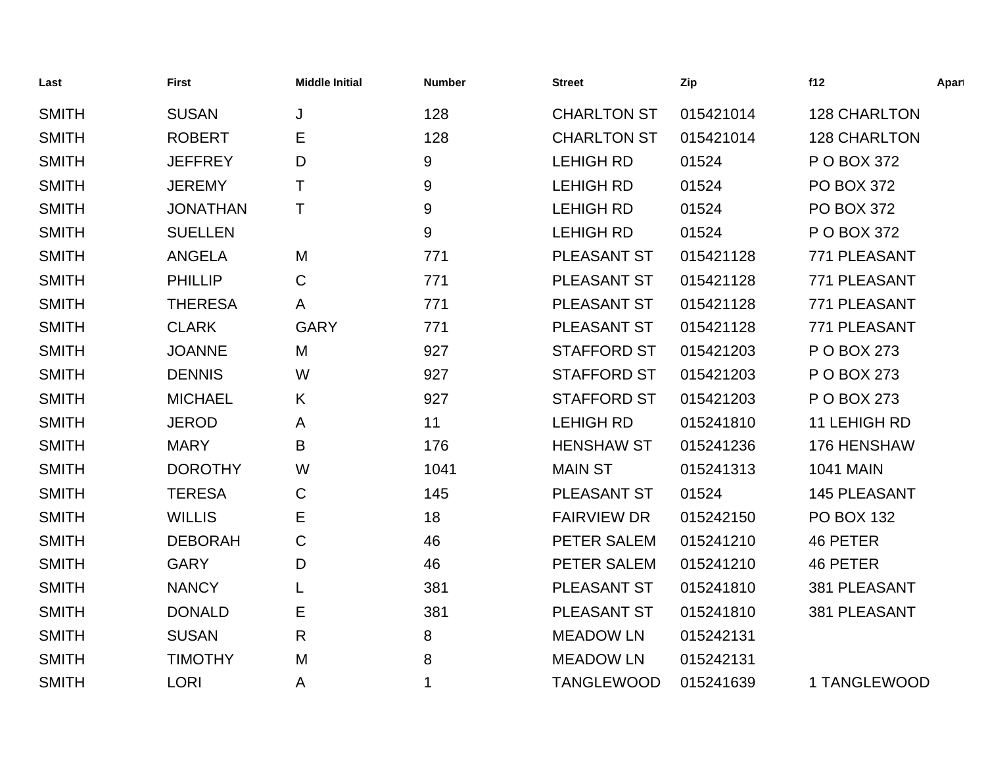| Last         | <b>First</b>    | <b>Middle Initial</b> | <b>Number</b> | <b>Street</b>      | Zip       | f12                 | Apart |
|--------------|-----------------|-----------------------|---------------|--------------------|-----------|---------------------|-------|
| <b>SMITH</b> | <b>SUSAN</b>    | J                     | 128           | <b>CHARLTON ST</b> | 015421014 | <b>128 CHARLTON</b> |       |
| <b>SMITH</b> | <b>ROBERT</b>   | Е                     | 128           | <b>CHARLTON ST</b> | 015421014 | <b>128 CHARLTON</b> |       |
| <b>SMITH</b> | <b>JEFFREY</b>  | D                     | 9             | <b>LEHIGH RD</b>   | 01524     | P O BOX 372         |       |
| <b>SMITH</b> | <b>JEREMY</b>   | Τ                     | 9             | <b>LEHIGH RD</b>   | 01524     | <b>PO BOX 372</b>   |       |
| <b>SMITH</b> | <b>JONATHAN</b> | T                     | 9             | <b>LEHIGH RD</b>   | 01524     | <b>PO BOX 372</b>   |       |
| <b>SMITH</b> | <b>SUELLEN</b>  |                       | 9             | <b>LEHIGH RD</b>   | 01524     | P O BOX 372         |       |
| <b>SMITH</b> | <b>ANGELA</b>   | M                     | 771           | <b>PLEASANT ST</b> | 015421128 | 771 PLEASANT        |       |
| <b>SMITH</b> | <b>PHILLIP</b>  | C                     | 771           | <b>PLEASANT ST</b> | 015421128 | 771 PLEASANT        |       |
| <b>SMITH</b> | <b>THERESA</b>  | A                     | 771           | <b>PLEASANT ST</b> | 015421128 | 771 PLEASANT        |       |
| <b>SMITH</b> | <b>CLARK</b>    | <b>GARY</b>           | 771           | PLEASANT ST        | 015421128 | 771 PLEASANT        |       |
| <b>SMITH</b> | <b>JOANNE</b>   | M                     | 927           | <b>STAFFORD ST</b> | 015421203 | P O BOX 273         |       |
| <b>SMITH</b> | <b>DENNIS</b>   | W                     | 927           | <b>STAFFORD ST</b> | 015421203 | P O BOX 273         |       |
| <b>SMITH</b> | <b>MICHAEL</b>  | Κ                     | 927           | <b>STAFFORD ST</b> | 015421203 | P O BOX 273         |       |
| <b>SMITH</b> | <b>JEROD</b>    | A                     | 11            | <b>LEHIGH RD</b>   | 015241810 | 11 LEHIGH RD        |       |
| <b>SMITH</b> | <b>MARY</b>     | B                     | 176           | <b>HENSHAW ST</b>  | 015241236 | 176 HENSHAW         |       |
| <b>SMITH</b> | <b>DOROTHY</b>  | W                     | 1041          | <b>MAIN ST</b>     | 015241313 | <b>1041 MAIN</b>    |       |
| <b>SMITH</b> | <b>TERESA</b>   | C                     | 145           | PLEASANT ST        | 01524     | <b>145 PLEASANT</b> |       |
| <b>SMITH</b> | <b>WILLIS</b>   | Е                     | 18            | <b>FAIRVIEW DR</b> | 015242150 | <b>PO BOX 132</b>   |       |
| <b>SMITH</b> | <b>DEBORAH</b>  | С                     | 46            | PETER SALEM        | 015241210 | 46 PETER            |       |
| <b>SMITH</b> | <b>GARY</b>     | D                     | 46            | PETER SALEM        | 015241210 | 46 PETER            |       |
| <b>SMITH</b> | <b>NANCY</b>    | L                     | 381           | PLEASANT ST        | 015241810 | 381 PLEASANT        |       |
| <b>SMITH</b> | <b>DONALD</b>   | Е                     | 381           | <b>PLEASANT ST</b> | 015241810 | 381 PLEASANT        |       |
| <b>SMITH</b> | <b>SUSAN</b>    | R                     | 8             | <b>MEADOW LN</b>   | 015242131 |                     |       |
| <b>SMITH</b> | <b>TIMOTHY</b>  | M                     | 8             | <b>MEADOW LN</b>   | 015242131 |                     |       |
| <b>SMITH</b> | <b>LORI</b>     | A                     | 1             | <b>TANGLEWOOD</b>  | 015241639 | 1 TANGLEWOOD        |       |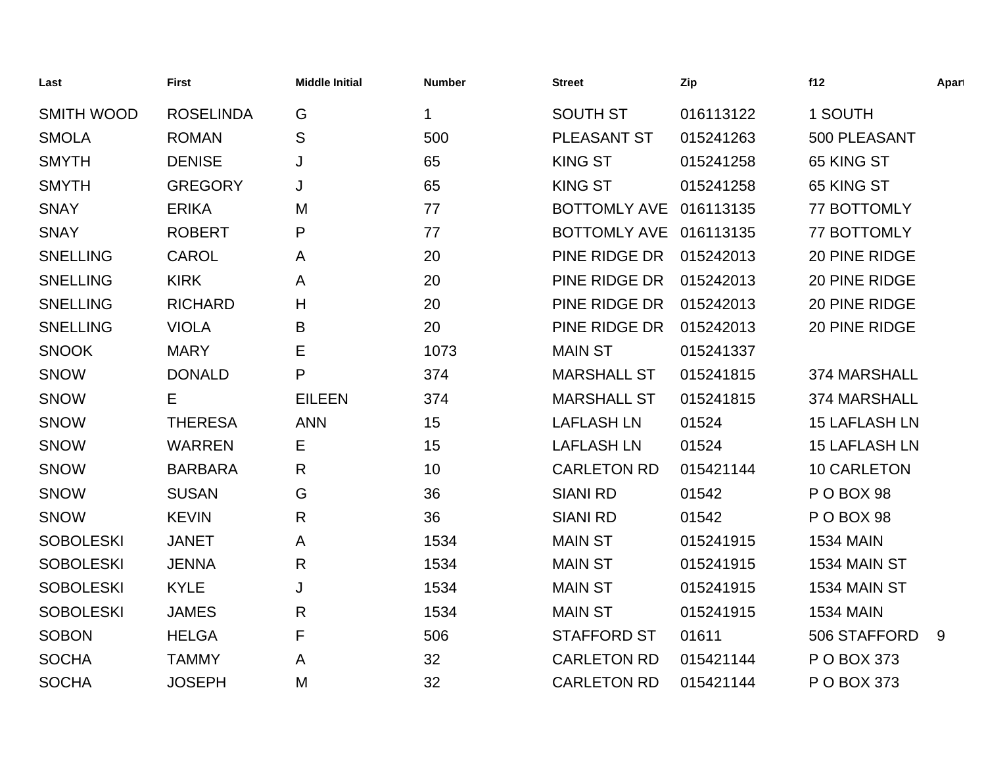| Last              | <b>First</b>     | <b>Middle Initial</b> | <b>Number</b> | <b>Street</b>          | Zip       | f12                  | Apart |
|-------------------|------------------|-----------------------|---------------|------------------------|-----------|----------------------|-------|
| <b>SMITH WOOD</b> | <b>ROSELINDA</b> | G                     | 1             | <b>SOUTH ST</b>        | 016113122 | 1 SOUTH              |       |
| <b>SMOLA</b>      | <b>ROMAN</b>     | ${\mathsf S}$         | 500           | PLEASANT ST            | 015241263 | 500 PLEASANT         |       |
| <b>SMYTH</b>      | <b>DENISE</b>    | J                     | 65            | <b>KING ST</b>         | 015241258 | 65 KING ST           |       |
| <b>SMYTH</b>      | <b>GREGORY</b>   | J                     | 65            | <b>KING ST</b>         | 015241258 | 65 KING ST           |       |
| <b>SNAY</b>       | <b>ERIKA</b>     | M                     | 77            | <b>BOTTOMLY AVE</b>    | 016113135 | 77 BOTTOMLY          |       |
| <b>SNAY</b>       | <b>ROBERT</b>    | P                     | 77            | BOTTOMLY AVE 016113135 |           | 77 BOTTOMLY          |       |
| <b>SNELLING</b>   | <b>CAROL</b>     | A                     | 20            | PINE RIDGE DR          | 015242013 | 20 PINE RIDGE        |       |
| <b>SNELLING</b>   | <b>KIRK</b>      | A                     | 20            | PINE RIDGE DR          | 015242013 | 20 PINE RIDGE        |       |
| <b>SNELLING</b>   | <b>RICHARD</b>   | H                     | 20            | PINE RIDGE DR          | 015242013 | 20 PINE RIDGE        |       |
| <b>SNELLING</b>   | <b>VIOLA</b>     | B                     | 20            | PINE RIDGE DR          | 015242013 | 20 PINE RIDGE        |       |
| <b>SNOOK</b>      | <b>MARY</b>      | Е                     | 1073          | <b>MAIN ST</b>         | 015241337 |                      |       |
| <b>SNOW</b>       | <b>DONALD</b>    | P                     | 374           | <b>MARSHALL ST</b>     | 015241815 | 374 MARSHALL         |       |
| <b>SNOW</b>       | Е                | <b>EILEEN</b>         | 374           | <b>MARSHALL ST</b>     | 015241815 | 374 MARSHALL         |       |
| SNOW              | <b>THERESA</b>   | <b>ANN</b>            | 15            | <b>LAFLASH LN</b>      | 01524     | <b>15 LAFLASH LN</b> |       |
| <b>SNOW</b>       | <b>WARREN</b>    | Е                     | 15            | <b>LAFLASH LN</b>      | 01524     | <b>15 LAFLASH LN</b> |       |
| <b>SNOW</b>       | <b>BARBARA</b>   | R                     | 10            | <b>CARLETON RD</b>     | 015421144 | <b>10 CARLETON</b>   |       |
| <b>SNOW</b>       | <b>SUSAN</b>     | G                     | 36            | <b>SIANI RD</b>        | 01542     | POBOX 98             |       |
| <b>SNOW</b>       | <b>KEVIN</b>     | $\mathsf{R}$          | 36            | <b>SIANI RD</b>        | 01542     | P O BOX 98           |       |
| <b>SOBOLESKI</b>  | <b>JANET</b>     | A                     | 1534          | <b>MAIN ST</b>         | 015241915 | <b>1534 MAIN</b>     |       |
| <b>SOBOLESKI</b>  | <b>JENNA</b>     | R                     | 1534          | <b>MAIN ST</b>         | 015241915 | 1534 MAIN ST         |       |
| <b>SOBOLESKI</b>  | <b>KYLE</b>      | J                     | 1534          | <b>MAIN ST</b>         | 015241915 | 1534 MAIN ST         |       |
| <b>SOBOLESKI</b>  | <b>JAMES</b>     | R                     | 1534          | <b>MAIN ST</b>         | 015241915 | <b>1534 MAIN</b>     |       |
| <b>SOBON</b>      | <b>HELGA</b>     | F                     | 506           | <b>STAFFORD ST</b>     | 01611     | 506 STAFFORD         | 9     |
| <b>SOCHA</b>      | <b>TAMMY</b>     | A                     | 32            | <b>CARLETON RD</b>     | 015421144 | P O BOX 373          |       |
| <b>SOCHA</b>      | <b>JOSEPH</b>    | M                     | 32            | <b>CARLETON RD</b>     | 015421144 | P O BOX 373          |       |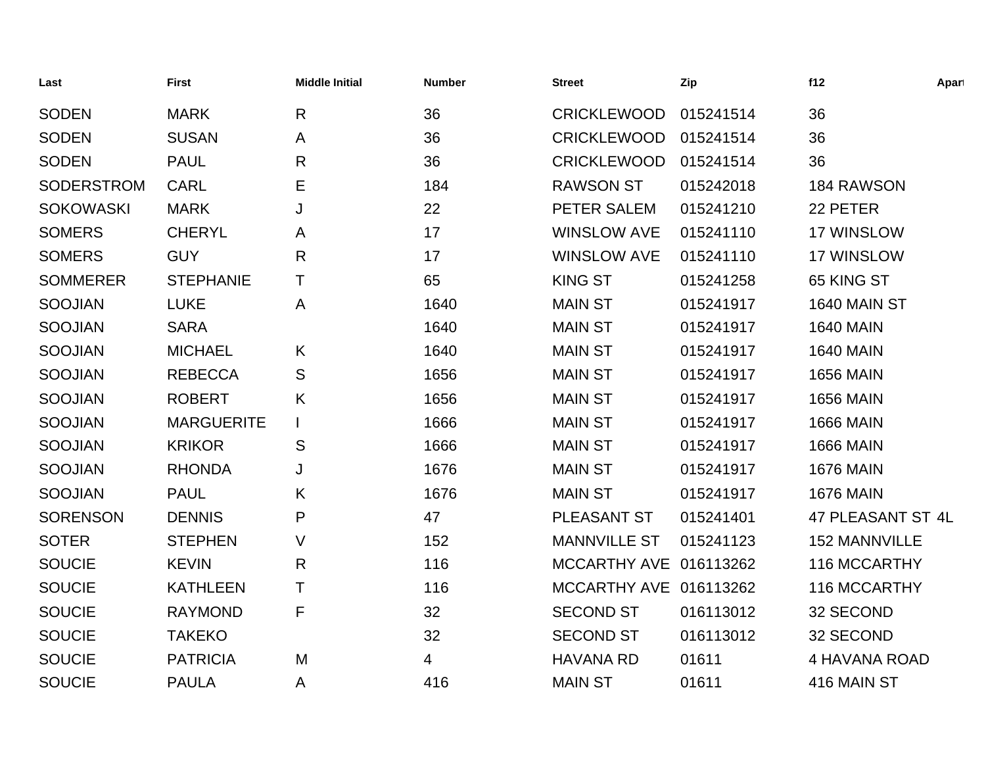| Last              | <b>First</b>      | <b>Middle Initial</b> | <b>Number</b> | <b>Street</b>          | Zip       | f12                  | Apart |
|-------------------|-------------------|-----------------------|---------------|------------------------|-----------|----------------------|-------|
| <b>SODEN</b>      | <b>MARK</b>       | $\mathsf{R}$          | 36            | <b>CRICKLEWOOD</b>     | 015241514 | 36                   |       |
| <b>SODEN</b>      | <b>SUSAN</b>      | A                     | 36            | <b>CRICKLEWOOD</b>     | 015241514 | 36                   |       |
| <b>SODEN</b>      | <b>PAUL</b>       | R                     | 36            | <b>CRICKLEWOOD</b>     | 015241514 | 36                   |       |
| <b>SODERSTROM</b> | <b>CARL</b>       | Е                     | 184           | <b>RAWSON ST</b>       | 015242018 | 184 RAWSON           |       |
| <b>SOKOWASKI</b>  | <b>MARK</b>       | J                     | 22            | PETER SALEM            | 015241210 | 22 PETER             |       |
| <b>SOMERS</b>     | <b>CHERYL</b>     | A                     | 17            | <b>WINSLOW AVE</b>     | 015241110 | 17 WINSLOW           |       |
| <b>SOMERS</b>     | <b>GUY</b>        | $\mathsf{R}$          | 17            | <b>WINSLOW AVE</b>     | 015241110 | 17 WINSLOW           |       |
| <b>SOMMERER</b>   | <b>STEPHANIE</b>  | т                     | 65            | <b>KING ST</b>         | 015241258 | 65 KING ST           |       |
| <b>SOOJIAN</b>    | <b>LUKE</b>       | A                     | 1640          | <b>MAIN ST</b>         | 015241917 | 1640 MAIN ST         |       |
| <b>SOOJIAN</b>    | <b>SARA</b>       |                       | 1640          | <b>MAIN ST</b>         | 015241917 | <b>1640 MAIN</b>     |       |
| <b>SOOJIAN</b>    | <b>MICHAEL</b>    | K                     | 1640          | <b>MAIN ST</b>         | 015241917 | <b>1640 MAIN</b>     |       |
| <b>SOOJIAN</b>    | <b>REBECCA</b>    | S                     | 1656          | <b>MAIN ST</b>         | 015241917 | <b>1656 MAIN</b>     |       |
| <b>SOOJIAN</b>    | <b>ROBERT</b>     | K                     | 1656          | <b>MAIN ST</b>         | 015241917 | <b>1656 MAIN</b>     |       |
| <b>SOOJIAN</b>    | <b>MARGUERITE</b> |                       | 1666          | <b>MAIN ST</b>         | 015241917 | <b>1666 MAIN</b>     |       |
| <b>SOOJIAN</b>    | <b>KRIKOR</b>     | S                     | 1666          | <b>MAIN ST</b>         | 015241917 | <b>1666 MAIN</b>     |       |
| <b>SOOJIAN</b>    | <b>RHONDA</b>     | J                     | 1676          | <b>MAIN ST</b>         | 015241917 | <b>1676 MAIN</b>     |       |
| <b>SOOJIAN</b>    | <b>PAUL</b>       | K                     | 1676          | <b>MAIN ST</b>         | 015241917 | <b>1676 MAIN</b>     |       |
| <b>SORENSON</b>   | <b>DENNIS</b>     | P                     | 47            | PLEASANT ST            | 015241401 | 47 PLEASANT ST 4L    |       |
| <b>SOTER</b>      | <b>STEPHEN</b>    | V                     | 152           | <b>MANNVILLE ST</b>    | 015241123 | <b>152 MANNVILLE</b> |       |
| <b>SOUCIE</b>     | <b>KEVIN</b>      | R                     | 116           | MCCARTHY AVE 016113262 |           | 116 MCCARTHY         |       |
| <b>SOUCIE</b>     | <b>KATHLEEN</b>   | Τ                     | 116           | MCCARTHY AVE 016113262 |           | 116 MCCARTHY         |       |
| <b>SOUCIE</b>     | <b>RAYMOND</b>    | F                     | 32            | <b>SECOND ST</b>       | 016113012 | 32 SECOND            |       |
| <b>SOUCIE</b>     | <b>TAKEKO</b>     |                       | 32            | <b>SECOND ST</b>       | 016113012 | 32 SECOND            |       |
| <b>SOUCIE</b>     | <b>PATRICIA</b>   | M                     | 4             | <b>HAVANA RD</b>       | 01611     | 4 HAVANA ROAD        |       |
| <b>SOUCIE</b>     | <b>PAULA</b>      | A                     | 416           | <b>MAIN ST</b>         | 01611     | 416 MAIN ST          |       |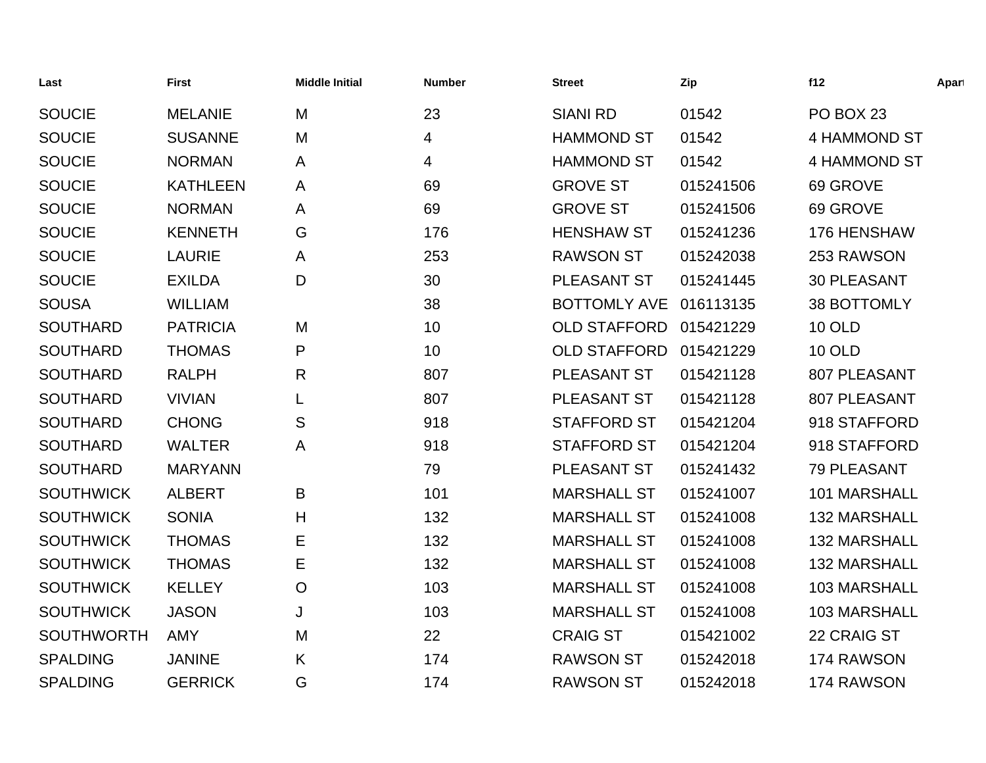| Last              | <b>First</b>    | <b>Middle Initial</b> | <b>Number</b>   | <b>Street</b>       | Zip       | f12                 | Apart |
|-------------------|-----------------|-----------------------|-----------------|---------------------|-----------|---------------------|-------|
| <b>SOUCIE</b>     | <b>MELANIE</b>  | M                     | 23              | <b>SIANI RD</b>     | 01542     | PO BOX 23           |       |
| <b>SOUCIE</b>     | <b>SUSANNE</b>  | M                     | 4               | <b>HAMMOND ST</b>   | 01542     | 4 HAMMOND ST        |       |
| <b>SOUCIE</b>     | <b>NORMAN</b>   | A                     | 4               | <b>HAMMOND ST</b>   | 01542     | 4 HAMMOND ST        |       |
| <b>SOUCIE</b>     | <b>KATHLEEN</b> | A                     | 69              | <b>GROVE ST</b>     | 015241506 | 69 GROVE            |       |
| <b>SOUCIE</b>     | <b>NORMAN</b>   | A                     | 69              | <b>GROVE ST</b>     | 015241506 | 69 GROVE            |       |
| <b>SOUCIE</b>     | <b>KENNETH</b>  | G                     | 176             | <b>HENSHAW ST</b>   | 015241236 | 176 HENSHAW         |       |
| <b>SOUCIE</b>     | <b>LAURIE</b>   | A                     | 253             | <b>RAWSON ST</b>    | 015242038 | 253 RAWSON          |       |
| <b>SOUCIE</b>     | <b>EXILDA</b>   | D                     | 30              | PLEASANT ST         | 015241445 | <b>30 PLEASANT</b>  |       |
| <b>SOUSA</b>      | <b>WILLIAM</b>  |                       | 38              | <b>BOTTOMLY AVE</b> | 016113135 | 38 BOTTOMLY         |       |
| <b>SOUTHARD</b>   | <b>PATRICIA</b> | M                     | 10              | <b>OLD STAFFORD</b> | 015421229 | <b>10 OLD</b>       |       |
| <b>SOUTHARD</b>   | <b>THOMAS</b>   | P                     | 10 <sub>1</sub> | <b>OLD STAFFORD</b> | 015421229 | <b>10 OLD</b>       |       |
| <b>SOUTHARD</b>   | <b>RALPH</b>    | R                     | 807             | PLEASANT ST         | 015421128 | 807 PLEASANT        |       |
| <b>SOUTHARD</b>   | <b>VIVIAN</b>   |                       | 807             | PLEASANT ST         | 015421128 | 807 PLEASANT        |       |
| <b>SOUTHARD</b>   | <b>CHONG</b>    | S                     | 918             | <b>STAFFORD ST</b>  | 015421204 | 918 STAFFORD        |       |
| <b>SOUTHARD</b>   | <b>WALTER</b>   | A                     | 918             | <b>STAFFORD ST</b>  | 015421204 | 918 STAFFORD        |       |
| <b>SOUTHARD</b>   | <b>MARYANN</b>  |                       | 79              | PLEASANT ST         | 015241432 | 79 PLEASANT         |       |
| <b>SOUTHWICK</b>  | <b>ALBERT</b>   | B                     | 101             | <b>MARSHALL ST</b>  | 015241007 | 101 MARSHALL        |       |
| <b>SOUTHWICK</b>  | <b>SONIA</b>    | H                     | 132             | <b>MARSHALL ST</b>  | 015241008 | 132 MARSHALL        |       |
| <b>SOUTHWICK</b>  | <b>THOMAS</b>   | Е                     | 132             | <b>MARSHALL ST</b>  | 015241008 | <b>132 MARSHALL</b> |       |
| <b>SOUTHWICK</b>  | <b>THOMAS</b>   | Е                     | 132             | <b>MARSHALL ST</b>  | 015241008 | <b>132 MARSHALL</b> |       |
| <b>SOUTHWICK</b>  | <b>KELLEY</b>   | $\circ$               | 103             | <b>MARSHALL ST</b>  | 015241008 | 103 MARSHALL        |       |
| <b>SOUTHWICK</b>  | <b>JASON</b>    | J                     | 103             | <b>MARSHALL ST</b>  | 015241008 | 103 MARSHALL        |       |
| <b>SOUTHWORTH</b> | <b>AMY</b>      | M                     | 22              | <b>CRAIG ST</b>     | 015421002 | 22 CRAIG ST         |       |
| <b>SPALDING</b>   | <b>JANINE</b>   | K                     | 174             | <b>RAWSON ST</b>    | 015242018 | 174 RAWSON          |       |
| <b>SPALDING</b>   | <b>GERRICK</b>  | G                     | 174             | <b>RAWSON ST</b>    | 015242018 | 174 RAWSON          |       |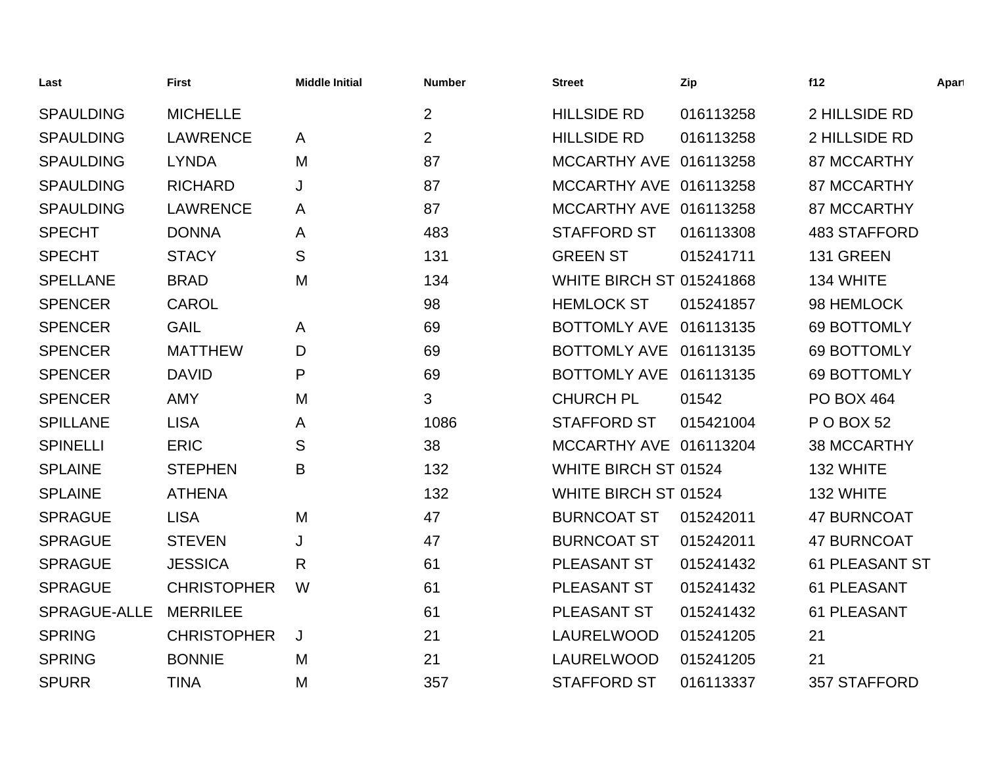| Last                | <b>First</b>       | <b>Middle Initial</b> | <b>Number</b>  | <b>Street</b>                   | Zip       | f12                   | Apart |
|---------------------|--------------------|-----------------------|----------------|---------------------------------|-----------|-----------------------|-------|
| <b>SPAULDING</b>    | <b>MICHELLE</b>    |                       | $\overline{2}$ | <b>HILLSIDE RD</b>              | 016113258 | 2 HILLSIDE RD         |       |
| <b>SPAULDING</b>    | <b>LAWRENCE</b>    | A                     | $\overline{2}$ | <b>HILLSIDE RD</b>              | 016113258 | 2 HILLSIDE RD         |       |
| <b>SPAULDING</b>    | <b>LYNDA</b>       | M                     | 87             | MCCARTHY AVE 016113258          |           | 87 MCCARTHY           |       |
| <b>SPAULDING</b>    | <b>RICHARD</b>     | J                     | 87             | MCCARTHY AVE 016113258          |           | 87 MCCARTHY           |       |
| <b>SPAULDING</b>    | <b>LAWRENCE</b>    | A                     | 87             | MCCARTHY AVE 016113258          |           | 87 MCCARTHY           |       |
| <b>SPECHT</b>       | <b>DONNA</b>       | A                     | 483            | <b>STAFFORD ST</b>              | 016113308 | <b>483 STAFFORD</b>   |       |
| <b>SPECHT</b>       | <b>STACY</b>       | S                     | 131            | <b>GREEN ST</b>                 | 015241711 | 131 GREEN             |       |
| <b>SPELLANE</b>     | <b>BRAD</b>        | M                     | 134            | <b>WHITE BIRCH ST 015241868</b> |           | 134 WHITE             |       |
| <b>SPENCER</b>      | <b>CAROL</b>       |                       | 98             | <b>HEMLOCK ST</b>               | 015241857 | 98 HEMLOCK            |       |
| <b>SPENCER</b>      | <b>GAIL</b>        | A                     | 69             | BOTTOMLY AVE 016113135          |           | 69 BOTTOMLY           |       |
| <b>SPENCER</b>      | <b>MATTHEW</b>     | D                     | 69             | BOTTOMLY AVE 016113135          |           | 69 BOTTOMLY           |       |
| <b>SPENCER</b>      | <b>DAVID</b>       | P                     | 69             | <b>BOTTOMLY AVE</b>             | 016113135 | 69 BOTTOMLY           |       |
| <b>SPENCER</b>      | <b>AMY</b>         | M                     | 3              | <b>CHURCH PL</b>                | 01542     | <b>PO BOX 464</b>     |       |
| <b>SPILLANE</b>     | <b>LISA</b>        | A                     | 1086           | <b>STAFFORD ST</b>              | 015421004 | P O BOX 52            |       |
| <b>SPINELLI</b>     | <b>ERIC</b>        | S                     | 38             | MCCARTHY AVE 016113204          |           | <b>38 MCCARTHY</b>    |       |
| <b>SPLAINE</b>      | <b>STEPHEN</b>     | B                     | 132            | WHITE BIRCH ST 01524            |           | 132 WHITE             |       |
| <b>SPLAINE</b>      | <b>ATHENA</b>      |                       | 132            | <b>WHITE BIRCH ST 01524</b>     |           | 132 WHITE             |       |
| <b>SPRAGUE</b>      | <b>LISA</b>        | M                     | 47             | <b>BURNCOAT ST</b>              | 015242011 | <b>47 BURNCOAT</b>    |       |
| <b>SPRAGUE</b>      | <b>STEVEN</b>      | J                     | 47             | <b>BURNCOAT ST</b>              | 015242011 | <b>47 BURNCOAT</b>    |       |
| <b>SPRAGUE</b>      | <b>JESSICA</b>     | R                     | 61             | PLEASANT ST                     | 015241432 | <b>61 PLEASANT ST</b> |       |
| <b>SPRAGUE</b>      | <b>CHRISTOPHER</b> | W                     | 61             | PLEASANT ST                     | 015241432 | 61 PLEASANT           |       |
| <b>SPRAGUE-ALLE</b> | <b>MERRILEE</b>    |                       | 61             | PLEASANT ST                     | 015241432 | 61 PLEASANT           |       |
| <b>SPRING</b>       | <b>CHRISTOPHER</b> | J                     | 21             | LAURELWOOD                      | 015241205 | 21                    |       |
| <b>SPRING</b>       | <b>BONNIE</b>      | M                     | 21             | LAURELWOOD                      | 015241205 | 21                    |       |
| <b>SPURR</b>        | <b>TINA</b>        | M                     | 357            | <b>STAFFORD ST</b>              | 016113337 | 357 STAFFORD          |       |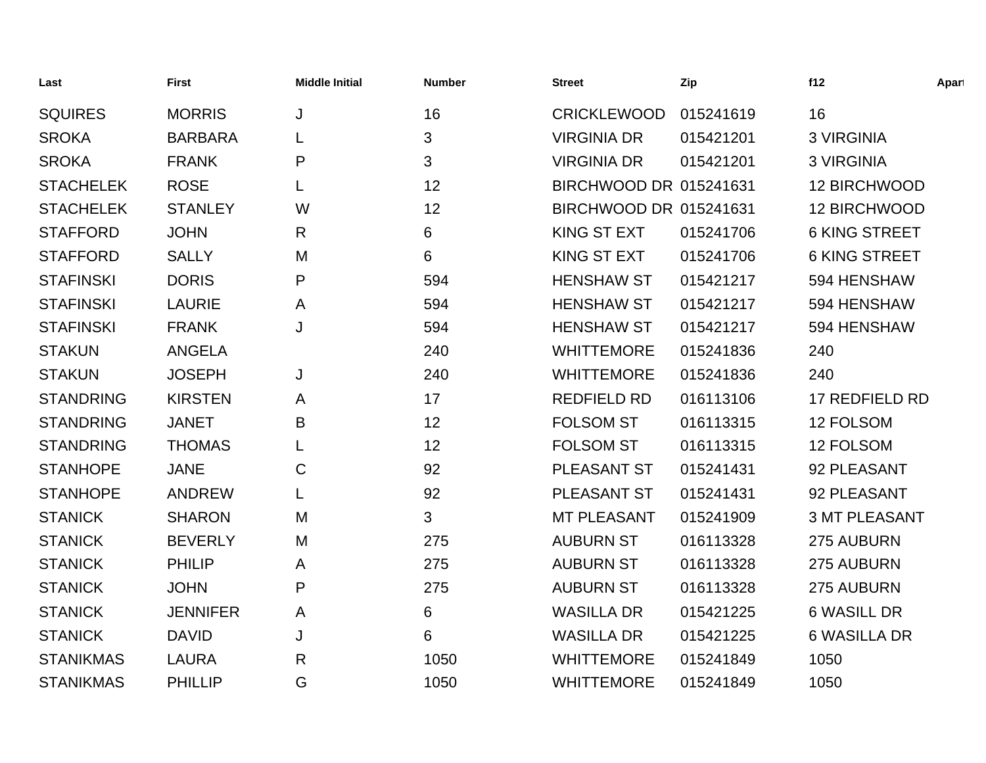| Last             | <b>First</b>    | <b>Middle Initial</b> | <b>Number</b> | <b>Street</b>          | Zip       | f12                  | Apart |
|------------------|-----------------|-----------------------|---------------|------------------------|-----------|----------------------|-------|
| <b>SQUIRES</b>   | <b>MORRIS</b>   | J                     | 16            | <b>CRICKLEWOOD</b>     | 015241619 | 16                   |       |
| <b>SROKA</b>     | <b>BARBARA</b>  |                       | 3             | <b>VIRGINIA DR</b>     | 015421201 | <b>3 VIRGINIA</b>    |       |
| <b>SROKA</b>     | <b>FRANK</b>    | P                     | 3             | <b>VIRGINIA DR</b>     | 015421201 | <b>3 VIRGINIA</b>    |       |
| <b>STACHELEK</b> | <b>ROSE</b>     |                       | 12            | BIRCHWOOD DR 015241631 |           | 12 BIRCHWOOD         |       |
| <b>STACHELEK</b> | <b>STANLEY</b>  | W                     | 12            | BIRCHWOOD DR 015241631 |           | 12 BIRCHWOOD         |       |
| <b>STAFFORD</b>  | <b>JOHN</b>     | R                     | 6             | <b>KING ST EXT</b>     | 015241706 | <b>6 KING STREET</b> |       |
| <b>STAFFORD</b>  | <b>SALLY</b>    | M                     | 6             | <b>KING ST EXT</b>     | 015241706 | <b>6 KING STREET</b> |       |
| <b>STAFINSKI</b> | <b>DORIS</b>    | P                     | 594           | <b>HENSHAW ST</b>      | 015421217 | 594 HENSHAW          |       |
| <b>STAFINSKI</b> | <b>LAURIE</b>   | A                     | 594           | <b>HENSHAW ST</b>      | 015421217 | 594 HENSHAW          |       |
| <b>STAFINSKI</b> | <b>FRANK</b>    | J                     | 594           | <b>HENSHAW ST</b>      | 015421217 | 594 HENSHAW          |       |
| <b>STAKUN</b>    | <b>ANGELA</b>   |                       | 240           | <b>WHITTEMORE</b>      | 015241836 | 240                  |       |
| <b>STAKUN</b>    | <b>JOSEPH</b>   | J                     | 240           | <b>WHITTEMORE</b>      | 015241836 | 240                  |       |
| <b>STANDRING</b> | <b>KIRSTEN</b>  | A                     | 17            | <b>REDFIELD RD</b>     | 016113106 | 17 REDFIELD RD       |       |
| <b>STANDRING</b> | <b>JANET</b>    | B                     | 12            | <b>FOLSOM ST</b>       | 016113315 | 12 FOLSOM            |       |
| <b>STANDRING</b> | <b>THOMAS</b>   |                       | 12            | <b>FOLSOM ST</b>       | 016113315 | 12 FOLSOM            |       |
| <b>STANHOPE</b>  | <b>JANE</b>     | C                     | 92            | PLEASANT ST            | 015241431 | 92 PLEASANT          |       |
| <b>STANHOPE</b>  | <b>ANDREW</b>   |                       | 92            | PLEASANT ST            | 015241431 | 92 PLEASANT          |       |
| <b>STANICK</b>   | <b>SHARON</b>   | M                     | 3             | <b>MT PLEASANT</b>     | 015241909 | <b>3 MT PLEASANT</b> |       |
| <b>STANICK</b>   | <b>BEVERLY</b>  | M                     | 275           | <b>AUBURN ST</b>       | 016113328 | 275 AUBURN           |       |
| <b>STANICK</b>   | <b>PHILIP</b>   | A                     | 275           | <b>AUBURN ST</b>       | 016113328 | 275 AUBURN           |       |
| <b>STANICK</b>   | <b>JOHN</b>     | P                     | 275           | <b>AUBURN ST</b>       | 016113328 | 275 AUBURN           |       |
| <b>STANICK</b>   | <b>JENNIFER</b> | A                     | 6             | <b>WASILLA DR</b>      | 015421225 | <b>6 WASILL DR</b>   |       |
| <b>STANICK</b>   | <b>DAVID</b>    | J                     | 6             | <b>WASILLA DR</b>      | 015421225 | <b>6 WASILLA DR</b>  |       |
| <b>STANIKMAS</b> | <b>LAURA</b>    | R                     | 1050          | <b>WHITTEMORE</b>      | 015241849 | 1050                 |       |
| <b>STANIKMAS</b> | <b>PHILLIP</b>  | G                     | 1050          | <b>WHITTEMORE</b>      | 015241849 | 1050                 |       |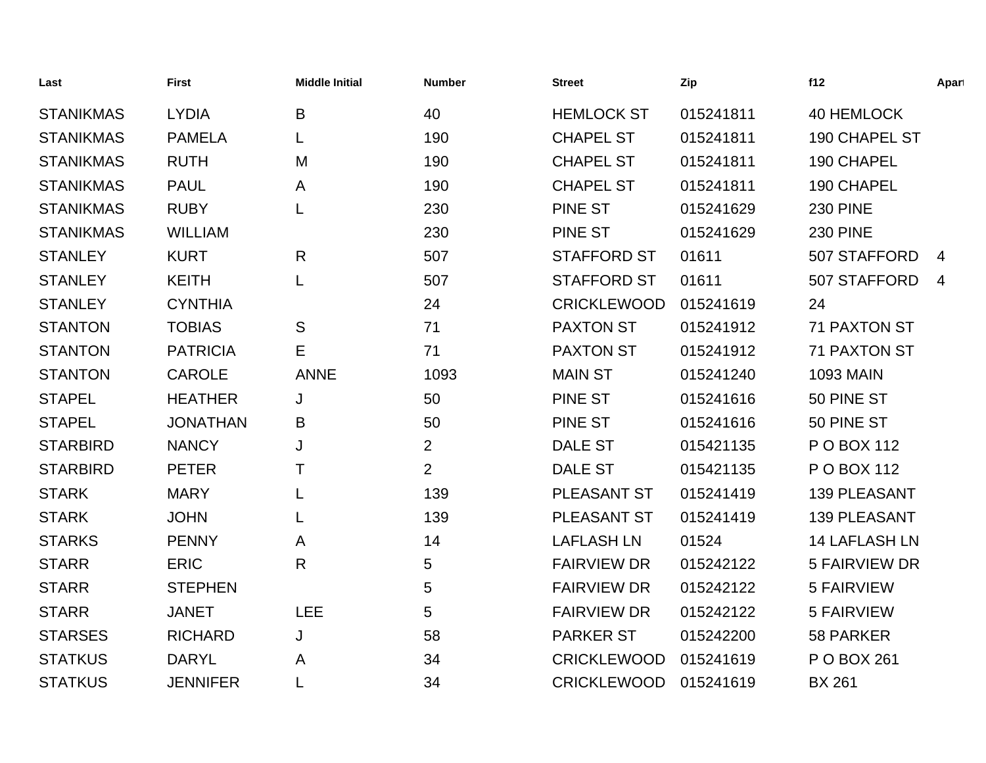| Last             | <b>First</b>    | <b>Middle Initial</b> | <b>Number</b>  | <b>Street</b>      | Zip       | f12                  | Apart |
|------------------|-----------------|-----------------------|----------------|--------------------|-----------|----------------------|-------|
| <b>STANIKMAS</b> | <b>LYDIA</b>    | B                     | 40             | <b>HEMLOCK ST</b>  | 015241811 | 40 HEMLOCK           |       |
| <b>STANIKMAS</b> | <b>PAMELA</b>   |                       | 190            | <b>CHAPEL ST</b>   | 015241811 | 190 CHAPEL ST        |       |
| <b>STANIKMAS</b> | <b>RUTH</b>     | M                     | 190            | <b>CHAPEL ST</b>   | 015241811 | 190 CHAPEL           |       |
| <b>STANIKMAS</b> | <b>PAUL</b>     | A                     | 190            | <b>CHAPEL ST</b>   | 015241811 | 190 CHAPEL           |       |
| <b>STANIKMAS</b> | <b>RUBY</b>     | L                     | 230            | <b>PINE ST</b>     | 015241629 | <b>230 PINE</b>      |       |
| <b>STANIKMAS</b> | <b>WILLIAM</b>  |                       | 230            | <b>PINE ST</b>     | 015241629 | <b>230 PINE</b>      |       |
| <b>STANLEY</b>   | <b>KURT</b>     | R                     | 507            | <b>STAFFORD ST</b> | 01611     | 507 STAFFORD         | 4     |
| <b>STANLEY</b>   | <b>KEITH</b>    | L                     | 507            | <b>STAFFORD ST</b> | 01611     | 507 STAFFORD         | 4     |
| <b>STANLEY</b>   | <b>CYNTHIA</b>  |                       | 24             | <b>CRICKLEWOOD</b> | 015241619 | 24                   |       |
| <b>STANTON</b>   | <b>TOBIAS</b>   | S                     | 71             | <b>PAXTON ST</b>   | 015241912 | <b>71 PAXTON ST</b>  |       |
| <b>STANTON</b>   | <b>PATRICIA</b> | Е                     | 71             | <b>PAXTON ST</b>   | 015241912 | <b>71 PAXTON ST</b>  |       |
| <b>STANTON</b>   | <b>CAROLE</b>   | <b>ANNE</b>           | 1093           | <b>MAIN ST</b>     | 015241240 | <b>1093 MAIN</b>     |       |
| <b>STAPEL</b>    | <b>HEATHER</b>  | J                     | 50             | <b>PINE ST</b>     | 015241616 | 50 PINE ST           |       |
| <b>STAPEL</b>    | <b>JONATHAN</b> | B                     | 50             | <b>PINE ST</b>     | 015241616 | 50 PINE ST           |       |
| <b>STARBIRD</b>  | <b>NANCY</b>    | J                     | $\overline{2}$ | <b>DALE ST</b>     | 015421135 | P O BOX 112          |       |
| <b>STARBIRD</b>  | <b>PETER</b>    | т                     | $\overline{2}$ | <b>DALE ST</b>     | 015421135 | P O BOX 112          |       |
| <b>STARK</b>     | <b>MARY</b>     | L                     | 139            | PLEASANT ST        | 015241419 | <b>139 PLEASANT</b>  |       |
| <b>STARK</b>     | <b>JOHN</b>     | L                     | 139            | PLEASANT ST        | 015241419 | <b>139 PLEASANT</b>  |       |
| <b>STARKS</b>    | <b>PENNY</b>    | A                     | 14             | <b>LAFLASH LN</b>  | 01524     | <b>14 LAFLASH LN</b> |       |
| <b>STARR</b>     | <b>ERIC</b>     | R                     | 5              | <b>FAIRVIEW DR</b> | 015242122 | <b>5 FAIRVIEW DR</b> |       |
| <b>STARR</b>     | <b>STEPHEN</b>  |                       | 5              | <b>FAIRVIEW DR</b> | 015242122 | <b>5 FAIRVIEW</b>    |       |
| <b>STARR</b>     | <b>JANET</b>    | <b>LEE</b>            | 5              | <b>FAIRVIEW DR</b> | 015242122 | <b>5 FAIRVIEW</b>    |       |
| <b>STARSES</b>   | <b>RICHARD</b>  | J                     | 58             | <b>PARKER ST</b>   | 015242200 | 58 PARKER            |       |
| <b>STATKUS</b>   | <b>DARYL</b>    | Α                     | 34             | <b>CRICKLEWOOD</b> | 015241619 | P O BOX 261          |       |
| <b>STATKUS</b>   | <b>JENNIFER</b> |                       | 34             | <b>CRICKLEWOOD</b> | 015241619 | <b>BX 261</b>        |       |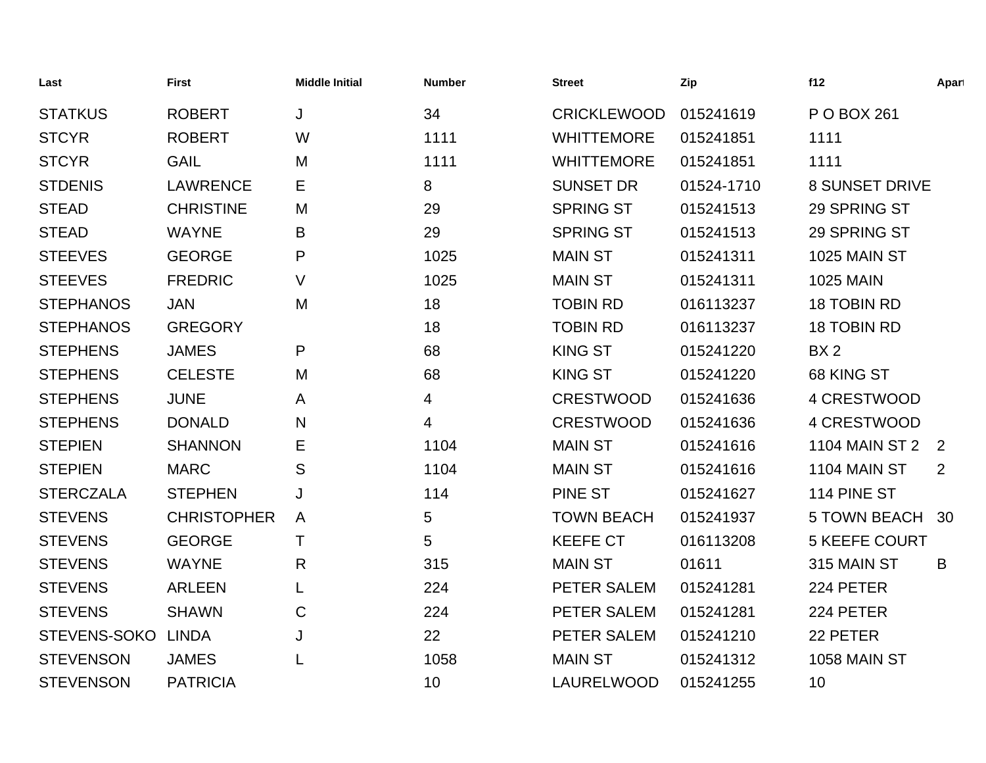| Last             | <b>First</b>       | <b>Middle Initial</b> | <b>Number</b> | <b>Street</b>      | Zip        | f12                   | Apart          |
|------------------|--------------------|-----------------------|---------------|--------------------|------------|-----------------------|----------------|
| <b>STATKUS</b>   | <b>ROBERT</b>      | J                     | 34            | <b>CRICKLEWOOD</b> | 015241619  | P O BOX 261           |                |
| <b>STCYR</b>     | <b>ROBERT</b>      | W                     | 1111          | <b>WHITTEMORE</b>  | 015241851  | 1111                  |                |
| <b>STCYR</b>     | <b>GAIL</b>        | M                     | 1111          | <b>WHITTEMORE</b>  | 015241851  | 1111                  |                |
| <b>STDENIS</b>   | <b>LAWRENCE</b>    | E.                    | 8             | <b>SUNSET DR</b>   | 01524-1710 | <b>8 SUNSET DRIVE</b> |                |
| <b>STEAD</b>     | <b>CHRISTINE</b>   | M                     | 29            | <b>SPRING ST</b>   | 015241513  | 29 SPRING ST          |                |
| <b>STEAD</b>     | <b>WAYNE</b>       | B                     | 29            | <b>SPRING ST</b>   | 015241513  | 29 SPRING ST          |                |
| <b>STEEVES</b>   | <b>GEORGE</b>      | P                     | 1025          | <b>MAIN ST</b>     | 015241311  | <b>1025 MAIN ST</b>   |                |
| <b>STEEVES</b>   | <b>FREDRIC</b>     | $\vee$                | 1025          | <b>MAIN ST</b>     | 015241311  | <b>1025 MAIN</b>      |                |
| <b>STEPHANOS</b> | <b>JAN</b>         | M                     | 18            | <b>TOBIN RD</b>    | 016113237  | <b>18 TOBIN RD</b>    |                |
| <b>STEPHANOS</b> | <b>GREGORY</b>     |                       | 18            | <b>TOBIN RD</b>    | 016113237  | 18 TOBIN RD           |                |
| <b>STEPHENS</b>  | <b>JAMES</b>       | P                     | 68            | <b>KING ST</b>     | 015241220  | BX <sub>2</sub>       |                |
| <b>STEPHENS</b>  | <b>CELESTE</b>     | M                     | 68            | <b>KING ST</b>     | 015241220  | 68 KING ST            |                |
| <b>STEPHENS</b>  | <b>JUNE</b>        | A                     | 4             | <b>CRESTWOOD</b>   | 015241636  | 4 CRESTWOOD           |                |
| <b>STEPHENS</b>  | <b>DONALD</b>      | N                     | 4             | <b>CRESTWOOD</b>   | 015241636  | 4 CRESTWOOD           |                |
| <b>STEPIEN</b>   | <b>SHANNON</b>     | Е                     | 1104          | <b>MAIN ST</b>     | 015241616  | <b>1104 MAIN ST 2</b> | $\overline{2}$ |
| <b>STEPIEN</b>   | <b>MARC</b>        | S                     | 1104          | <b>MAIN ST</b>     | 015241616  | 1104 MAIN ST          | 2              |
| <b>STERCZALA</b> | <b>STEPHEN</b>     | J                     | 114           | <b>PINE ST</b>     | 015241627  | 114 PINE ST           |                |
| <b>STEVENS</b>   | <b>CHRISTOPHER</b> | A                     | 5             | <b>TOWN BEACH</b>  | 015241937  | <b>5 TOWN BEACH</b>   | 30             |
| <b>STEVENS</b>   | <b>GEORGE</b>      | Τ                     | 5             | <b>KEEFE CT</b>    | 016113208  | <b>5 KEEFE COURT</b>  |                |
| <b>STEVENS</b>   | <b>WAYNE</b>       | R                     | 315           | <b>MAIN ST</b>     | 01611      | 315 MAIN ST           | B              |
| <b>STEVENS</b>   | <b>ARLEEN</b>      |                       | 224           | PETER SALEM        | 015241281  | 224 PETER             |                |
| <b>STEVENS</b>   | <b>SHAWN</b>       | C                     | 224           | PETER SALEM        | 015241281  | 224 PETER             |                |
| STEVENS-SOKO     | <b>LINDA</b>       | J                     | 22            | PETER SALEM        | 015241210  | 22 PETER              |                |
| <b>STEVENSON</b> | <b>JAMES</b>       |                       | 1058          | <b>MAIN ST</b>     | 015241312  | <b>1058 MAIN ST</b>   |                |
| <b>STEVENSON</b> | <b>PATRICIA</b>    |                       | 10            | <b>LAURELWOOD</b>  | 015241255  | 10                    |                |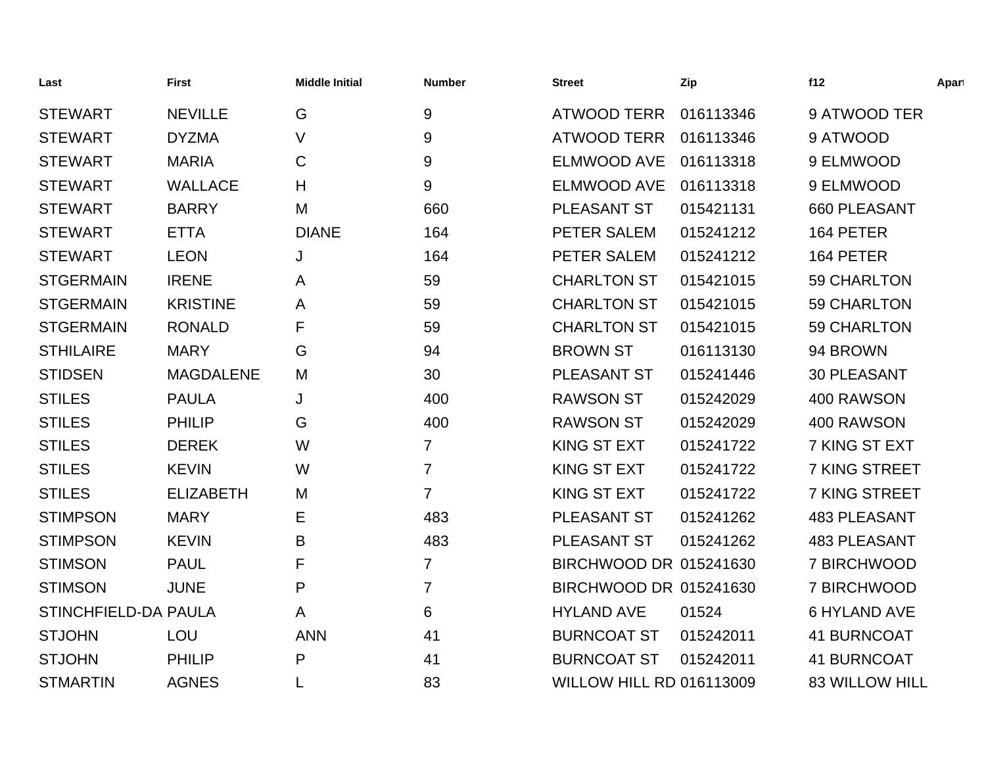| Last                 | <b>First</b>     | <b>Middle Initial</b> | <b>Number</b>  | <b>Street</b>                   | Zip       | f12                   | Apart |
|----------------------|------------------|-----------------------|----------------|---------------------------------|-----------|-----------------------|-------|
| <b>STEWART</b>       | <b>NEVILLE</b>   | G                     | 9              | <b>ATWOOD TERR</b>              | 016113346 | 9 ATWOOD TER          |       |
| <b>STEWART</b>       | <b>DYZMA</b>     | V                     | 9              | <b>ATWOOD TERR</b>              | 016113346 | 9 ATWOOD              |       |
| <b>STEWART</b>       | <b>MARIA</b>     | $\mathbf C$           | 9              | <b>ELMWOOD AVE</b>              | 016113318 | 9 ELMWOOD             |       |
| <b>STEWART</b>       | <b>WALLACE</b>   | H                     | 9              | <b>ELMWOOD AVE</b>              | 016113318 | 9 ELMWOOD             |       |
| <b>STEWART</b>       | <b>BARRY</b>     | M                     | 660            | PLEASANT ST                     | 015421131 | 660 PLEASANT          |       |
| <b>STEWART</b>       | <b>ETTA</b>      | <b>DIANE</b>          | 164            | PETER SALEM                     | 015241212 | 164 PETER             |       |
| <b>STEWART</b>       | <b>LEON</b>      | J                     | 164            | PETER SALEM                     | 015241212 | 164 PETER             |       |
| <b>STGERMAIN</b>     | <b>IRENE</b>     | A                     | 59             | <b>CHARLTON ST</b>              | 015421015 | 59 CHARLTON           |       |
| <b>STGERMAIN</b>     | <b>KRISTINE</b>  | A                     | 59             | <b>CHARLTON ST</b>              | 015421015 | 59 CHARLTON           |       |
| <b>STGERMAIN</b>     | <b>RONALD</b>    | F                     | 59             | <b>CHARLTON ST</b>              | 015421015 | 59 CHARLTON           |       |
| <b>STHILAIRE</b>     | <b>MARY</b>      | G                     | 94             | <b>BROWN ST</b>                 | 016113130 | 94 BROWN              |       |
| <b>STIDSEN</b>       | <b>MAGDALENE</b> | M                     | 30             | PLEASANT ST                     | 015241446 | <b>30 PLEASANT</b>    |       |
| <b>STILES</b>        | <b>PAULA</b>     | J                     | 400            | <b>RAWSON ST</b>                | 015242029 | 400 RAWSON            |       |
| <b>STILES</b>        | <b>PHILIP</b>    | G                     | 400            | <b>RAWSON ST</b>                | 015242029 | 400 RAWSON            |       |
| <b>STILES</b>        | <b>DEREK</b>     | W                     | $\overline{7}$ | <b>KING ST EXT</b>              | 015241722 | 7 KING ST EXT         |       |
| <b>STILES</b>        | <b>KEVIN</b>     | W                     | $\overline{7}$ | KING ST EXT                     | 015241722 | 7 KING STREET         |       |
| <b>STILES</b>        | <b>ELIZABETH</b> | M                     | $\overline{7}$ | <b>KING ST EXT</b>              | 015241722 | 7 KING STREET         |       |
| <b>STIMPSON</b>      | <b>MARY</b>      | Ε                     | 483            | PLEASANT ST                     | 015241262 | <b>483 PLEASANT</b>   |       |
| <b>STIMPSON</b>      | <b>KEVIN</b>     | B                     | 483            | <b>PLEASANT ST</b>              | 015241262 | <b>483 PLEASANT</b>   |       |
| <b>STIMSON</b>       | <b>PAUL</b>      | F                     | $\overline{7}$ | BIRCHWOOD DR 015241630          |           | 7 BIRCHWOOD           |       |
| <b>STIMSON</b>       | <b>JUNE</b>      | P                     | $\overline{7}$ | BIRCHWOOD DR 015241630          |           | 7 BIRCHWOOD           |       |
| STINCHFIELD-DA PAULA |                  | A                     | 6              | <b>HYLAND AVE</b>               | 01524     | <b>6 HYLAND AVE</b>   |       |
| <b>STJOHN</b>        | LOU              | <b>ANN</b>            | 41             | <b>BURNCOAT ST</b>              | 015242011 | <b>41 BURNCOAT</b>    |       |
| <b>STJOHN</b>        | <b>PHILIP</b>    | P                     | 41             | <b>BURNCOAT ST</b>              | 015242011 | <b>41 BURNCOAT</b>    |       |
| <b>STMARTIN</b>      | <b>AGNES</b>     |                       | 83             | <b>WILLOW HILL RD 016113009</b> |           | <b>83 WILLOW HILL</b> |       |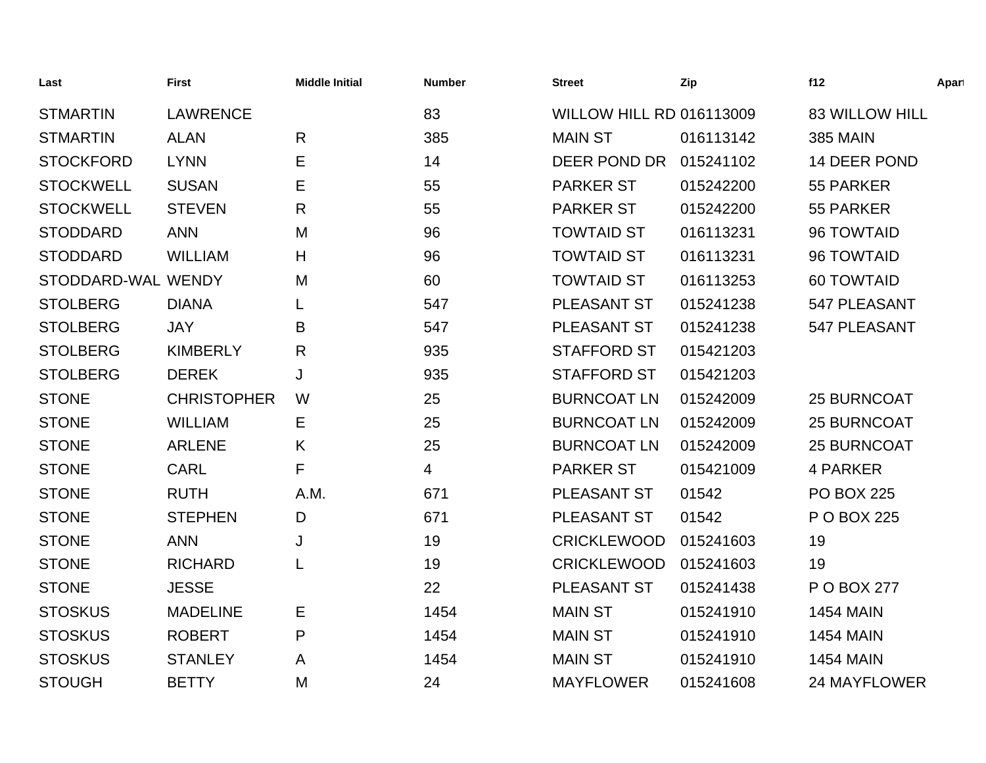| Last               | <b>First</b>       | <b>Middle Initial</b> | <b>Number</b> | <b>Street</b>                   | Zip       | f12                   | Apart |
|--------------------|--------------------|-----------------------|---------------|---------------------------------|-----------|-----------------------|-------|
| <b>STMARTIN</b>    | <b>LAWRENCE</b>    |                       | 83            | <b>WILLOW HILL RD 016113009</b> |           | <b>83 WILLOW HILL</b> |       |
| <b>STMARTIN</b>    | <b>ALAN</b>        | $\mathsf{R}$          | 385           | <b>MAIN ST</b>                  | 016113142 | <b>385 MAIN</b>       |       |
| <b>STOCKFORD</b>   | <b>LYNN</b>        | E                     | 14            | DEER POND DR                    | 015241102 | 14 DEER POND          |       |
| <b>STOCKWELL</b>   | <b>SUSAN</b>       | Ε                     | 55            | <b>PARKER ST</b>                | 015242200 | 55 PARKER             |       |
| <b>STOCKWELL</b>   | <b>STEVEN</b>      | R                     | 55            | <b>PARKER ST</b>                | 015242200 | 55 PARKER             |       |
| <b>STODDARD</b>    | <b>ANN</b>         | M                     | 96            | <b>TOWTAID ST</b>               | 016113231 | 96 TOWTAID            |       |
| <b>STODDARD</b>    | <b>WILLIAM</b>     | H                     | 96            | <b>TOWTAID ST</b>               | 016113231 | 96 TOWTAID            |       |
| STODDARD-WAL WENDY |                    | M                     | 60            | <b>TOWTAID ST</b>               | 016113253 | <b>60 TOWTAID</b>     |       |
| <b>STOLBERG</b>    | <b>DIANA</b>       |                       | 547           | <b>PLEASANT ST</b>              | 015241238 | 547 PLEASANT          |       |
| <b>STOLBERG</b>    | <b>JAY</b>         | B                     | 547           | PLEASANT ST                     | 015241238 | 547 PLEASANT          |       |
| <b>STOLBERG</b>    | <b>KIMBERLY</b>    | R                     | 935           | <b>STAFFORD ST</b>              | 015421203 |                       |       |
| <b>STOLBERG</b>    | <b>DEREK</b>       | J                     | 935           | <b>STAFFORD ST</b>              | 015421203 |                       |       |
| <b>STONE</b>       | <b>CHRISTOPHER</b> | W                     | 25            | <b>BURNCOAT LN</b>              | 015242009 | <b>25 BURNCOAT</b>    |       |
| <b>STONE</b>       | <b>WILLIAM</b>     | Е                     | 25            | <b>BURNCOAT LN</b>              | 015242009 | <b>25 BURNCOAT</b>    |       |
| <b>STONE</b>       | <b>ARLENE</b>      | K                     | 25            | <b>BURNCOAT LN</b>              | 015242009 | 25 BURNCOAT           |       |
| <b>STONE</b>       | <b>CARL</b>        | F                     | 4             | <b>PARKER ST</b>                | 015421009 | 4 PARKER              |       |
| <b>STONE</b>       | <b>RUTH</b>        | A.M.                  | 671           | PLEASANT ST                     | 01542     | <b>PO BOX 225</b>     |       |
| <b>STONE</b>       | <b>STEPHEN</b>     | D                     | 671           | PLEASANT ST                     | 01542     | P O BOX 225           |       |
| <b>STONE</b>       | <b>ANN</b>         | J                     | 19            | <b>CRICKLEWOOD</b>              | 015241603 | 19                    |       |
| <b>STONE</b>       | <b>RICHARD</b>     | L                     | 19            | <b>CRICKLEWOOD</b>              | 015241603 | 19                    |       |
| <b>STONE</b>       | <b>JESSE</b>       |                       | 22            | PLEASANT ST                     | 015241438 | P O BOX 277           |       |
| <b>STOSKUS</b>     | <b>MADELINE</b>    | Е                     | 1454          | <b>MAIN ST</b>                  | 015241910 | <b>1454 MAIN</b>      |       |
| <b>STOSKUS</b>     | <b>ROBERT</b>      | P                     | 1454          | <b>MAIN ST</b>                  | 015241910 | <b>1454 MAIN</b>      |       |
| <b>STOSKUS</b>     | <b>STANLEY</b>     | A                     | 1454          | <b>MAIN ST</b>                  | 015241910 | <b>1454 MAIN</b>      |       |
| <b>STOUGH</b>      | <b>BETTY</b>       | M                     | 24            | <b>MAYFLOWER</b>                | 015241608 | 24 MAYFLOWER          |       |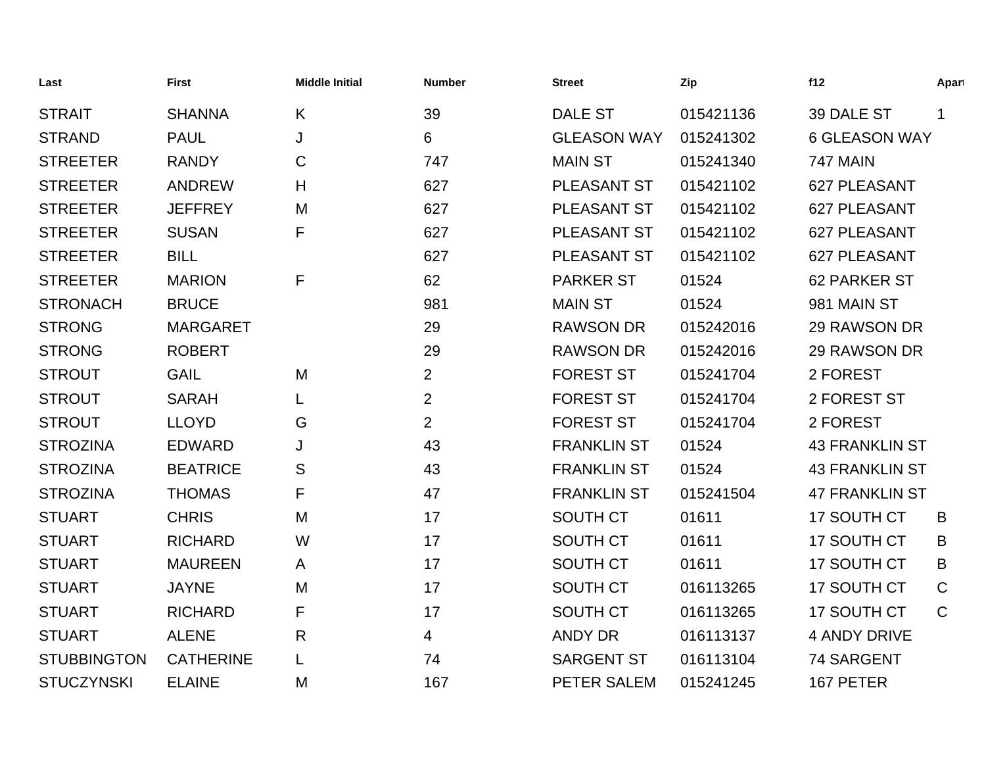| Last               | <b>First</b>     | <b>Middle Initial</b> | <b>Number</b>  | <b>Street</b>      | Zip       | f12                   | Apart        |
|--------------------|------------------|-----------------------|----------------|--------------------|-----------|-----------------------|--------------|
| <b>STRAIT</b>      | <b>SHANNA</b>    | K                     | 39             | <b>DALE ST</b>     | 015421136 | 39 DALE ST            | $\mathbf 1$  |
| <b>STRAND</b>      | <b>PAUL</b>      | J                     | 6              | <b>GLEASON WAY</b> | 015241302 | <b>6 GLEASON WAY</b>  |              |
| <b>STREETER</b>    | <b>RANDY</b>     | C                     | 747            | <b>MAIN ST</b>     | 015241340 | <b>747 MAIN</b>       |              |
| <b>STREETER</b>    | <b>ANDREW</b>    | Н                     | 627            | <b>PLEASANT ST</b> | 015421102 | 627 PLEASANT          |              |
| <b>STREETER</b>    | <b>JEFFREY</b>   | M                     | 627            | <b>PLEASANT ST</b> | 015421102 | 627 PLEASANT          |              |
| <b>STREETER</b>    | <b>SUSAN</b>     | F                     | 627            | <b>PLEASANT ST</b> | 015421102 | 627 PLEASANT          |              |
| <b>STREETER</b>    | <b>BILL</b>      |                       | 627            | <b>PLEASANT ST</b> | 015421102 | 627 PLEASANT          |              |
| <b>STREETER</b>    | <b>MARION</b>    | F                     | 62             | <b>PARKER ST</b>   | 01524     | <b>62 PARKER ST</b>   |              |
| <b>STRONACH</b>    | <b>BRUCE</b>     |                       | 981            | <b>MAIN ST</b>     | 01524     | 981 MAIN ST           |              |
| <b>STRONG</b>      | <b>MARGARET</b>  |                       | 29             | <b>RAWSON DR</b>   | 015242016 | 29 RAWSON DR          |              |
| <b>STRONG</b>      | <b>ROBERT</b>    |                       | 29             | <b>RAWSON DR</b>   | 015242016 | 29 RAWSON DR          |              |
| <b>STROUT</b>      | <b>GAIL</b>      | M                     | $\overline{2}$ | <b>FOREST ST</b>   | 015241704 | 2 FOREST              |              |
| <b>STROUT</b>      | <b>SARAH</b>     |                       | $\overline{2}$ | <b>FOREST ST</b>   | 015241704 | 2 FOREST ST           |              |
| <b>STROUT</b>      | <b>LLOYD</b>     | G                     | $\overline{2}$ | <b>FOREST ST</b>   | 015241704 | 2 FOREST              |              |
| <b>STROZINA</b>    | <b>EDWARD</b>    | J                     | 43             | <b>FRANKLIN ST</b> | 01524     | <b>43 FRANKLIN ST</b> |              |
| <b>STROZINA</b>    | <b>BEATRICE</b>  | S                     | 43             | <b>FRANKLIN ST</b> | 01524     | <b>43 FRANKLIN ST</b> |              |
| <b>STROZINA</b>    | <b>THOMAS</b>    | F                     | 47             | <b>FRANKLIN ST</b> | 015241504 | <b>47 FRANKLIN ST</b> |              |
| <b>STUART</b>      | <b>CHRIS</b>     | M                     | 17             | SOUTH CT           | 01611     | 17 SOUTH CT           | B            |
| <b>STUART</b>      | <b>RICHARD</b>   | W                     | 17             | <b>SOUTH CT</b>    | 01611     | 17 SOUTH CT           | B            |
| <b>STUART</b>      | <b>MAUREEN</b>   | A                     | 17             | SOUTH CT           | 01611     | 17 SOUTH CT           | B            |
| <b>STUART</b>      | <b>JAYNE</b>     | M                     | 17             | SOUTH CT           | 016113265 | 17 SOUTH CT           | $\mathsf{C}$ |
| <b>STUART</b>      | <b>RICHARD</b>   | F                     | 17             | <b>SOUTH CT</b>    | 016113265 | 17 SOUTH CT           | $\mathsf{C}$ |
| <b>STUART</b>      | <b>ALENE</b>     | R                     | 4              | <b>ANDY DR</b>     | 016113137 | <b>4 ANDY DRIVE</b>   |              |
| <b>STUBBINGTON</b> | <b>CATHERINE</b> | L                     | 74             | <b>SARGENT ST</b>  | 016113104 | 74 SARGENT            |              |
| <b>STUCZYNSKI</b>  | <b>ELAINE</b>    | M                     | 167            | PETER SALEM        | 015241245 | 167 PETER             |              |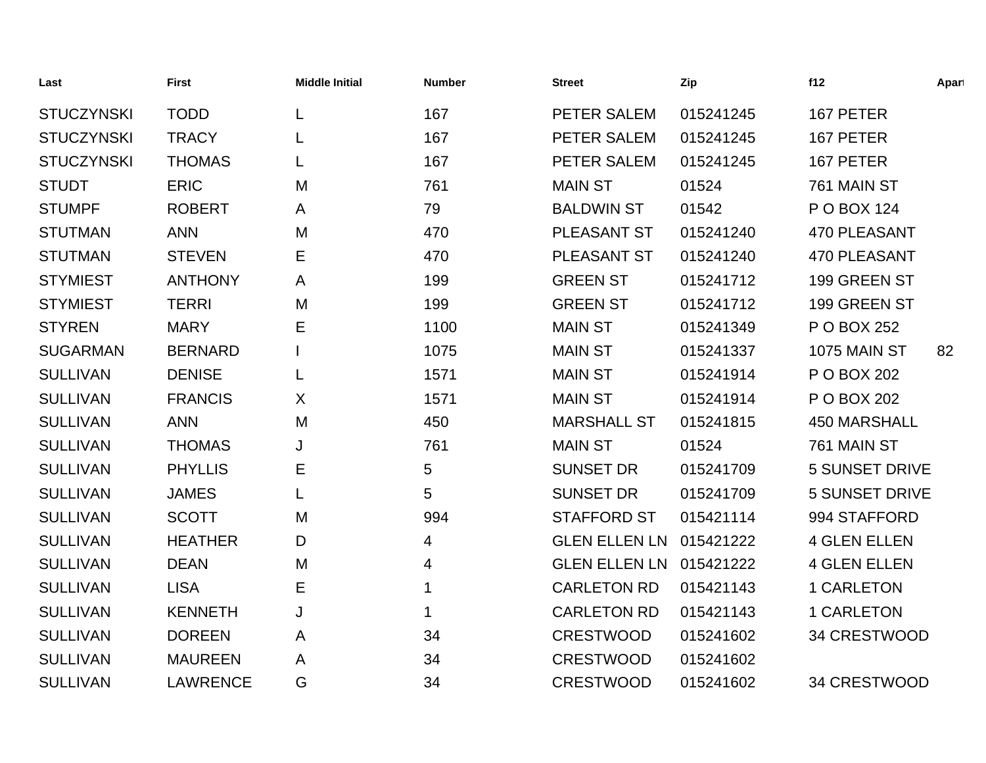| Last              | <b>First</b>    | <b>Middle Initial</b> | <b>Number</b> | <b>Street</b>        | Zip       | f12                   | Apart |
|-------------------|-----------------|-----------------------|---------------|----------------------|-----------|-----------------------|-------|
| <b>STUCZYNSKI</b> | <b>TODD</b>     | L                     | 167           | PETER SALEM          | 015241245 | 167 PETER             |       |
| <b>STUCZYNSKI</b> | <b>TRACY</b>    | L                     | 167           | PETER SALEM          | 015241245 | 167 PETER             |       |
| <b>STUCZYNSKI</b> | <b>THOMAS</b>   | L                     | 167           | PETER SALEM          | 015241245 | 167 PETER             |       |
| <b>STUDT</b>      | <b>ERIC</b>     | M                     | 761           | <b>MAIN ST</b>       | 01524     | 761 MAIN ST           |       |
| <b>STUMPF</b>     | <b>ROBERT</b>   | A                     | 79            | <b>BALDWIN ST</b>    | 01542     | P O BOX 124           |       |
| <b>STUTMAN</b>    | <b>ANN</b>      | M                     | 470           | PLEASANT ST          | 015241240 | 470 PLEASANT          |       |
| <b>STUTMAN</b>    | <b>STEVEN</b>   | Е                     | 470           | <b>PLEASANT ST</b>   | 015241240 | <b>470 PLEASANT</b>   |       |
| <b>STYMIEST</b>   | <b>ANTHONY</b>  | A                     | 199           | <b>GREEN ST</b>      | 015241712 | 199 GREEN ST          |       |
| <b>STYMIEST</b>   | <b>TERRI</b>    | M                     | 199           | <b>GREEN ST</b>      | 015241712 | 199 GREEN ST          |       |
| <b>STYREN</b>     | <b>MARY</b>     | Ε                     | 1100          | <b>MAIN ST</b>       | 015241349 | P O BOX 252           |       |
| <b>SUGARMAN</b>   | <b>BERNARD</b>  |                       | 1075          | <b>MAIN ST</b>       | 015241337 | <b>1075 MAIN ST</b>   | 82    |
| <b>SULLIVAN</b>   | <b>DENISE</b>   | L                     | 1571          | <b>MAIN ST</b>       | 015241914 | P O BOX 202           |       |
| <b>SULLIVAN</b>   | <b>FRANCIS</b>  | X                     | 1571          | <b>MAIN ST</b>       | 015241914 | P O BOX 202           |       |
| <b>SULLIVAN</b>   | <b>ANN</b>      | M                     | 450           | <b>MARSHALL ST</b>   | 015241815 | <b>450 MARSHALL</b>   |       |
| <b>SULLIVAN</b>   | <b>THOMAS</b>   | J                     | 761           | <b>MAIN ST</b>       | 01524     | 761 MAIN ST           |       |
| <b>SULLIVAN</b>   | <b>PHYLLIS</b>  | Е                     | 5             | <b>SUNSET DR</b>     | 015241709 | <b>5 SUNSET DRIVE</b> |       |
| <b>SULLIVAN</b>   | <b>JAMES</b>    | L                     | 5             | <b>SUNSET DR</b>     | 015241709 | <b>5 SUNSET DRIVE</b> |       |
| <b>SULLIVAN</b>   | <b>SCOTT</b>    | M                     | 994           | <b>STAFFORD ST</b>   | 015421114 | 994 STAFFORD          |       |
| <b>SULLIVAN</b>   | <b>HEATHER</b>  | D                     | 4             | <b>GLEN ELLEN LN</b> | 015421222 | <b>4 GLEN ELLEN</b>   |       |
| <b>SULLIVAN</b>   | <b>DEAN</b>     | M                     | 4             | <b>GLEN ELLEN LN</b> | 015421222 | <b>4 GLEN ELLEN</b>   |       |
| <b>SULLIVAN</b>   | <b>LISA</b>     | Е                     | 1             | <b>CARLETON RD</b>   | 015421143 | 1 CARLETON            |       |
| <b>SULLIVAN</b>   | <b>KENNETH</b>  | J                     | 1             | <b>CARLETON RD</b>   | 015421143 | <b>1 CARLETON</b>     |       |
| <b>SULLIVAN</b>   | <b>DOREEN</b>   | A                     | 34            | <b>CRESTWOOD</b>     | 015241602 | 34 CRESTWOOD          |       |
| <b>SULLIVAN</b>   | <b>MAUREEN</b>  | A                     | 34            | <b>CRESTWOOD</b>     | 015241602 |                       |       |
| <b>SULLIVAN</b>   | <b>LAWRENCE</b> | G                     | 34            | <b>CRESTWOOD</b>     | 015241602 | 34 CRESTWOOD          |       |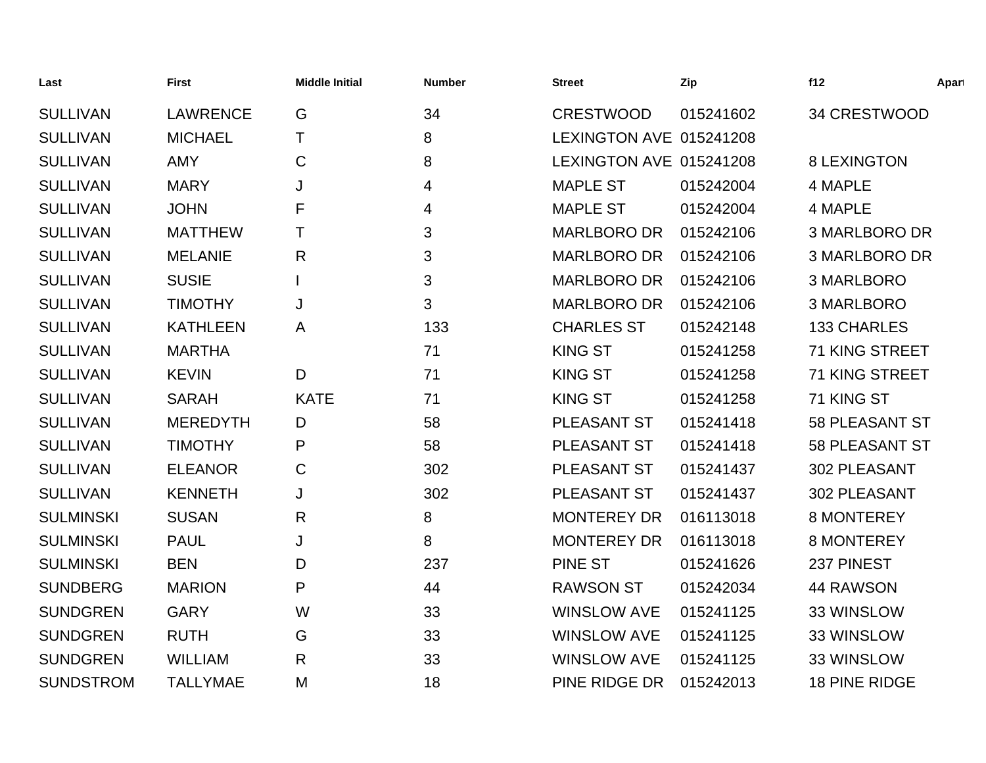| Last             | <b>First</b>    | <b>Middle Initial</b> | <b>Number</b> | <b>Street</b>           | Zip       | f12                   | Apart |
|------------------|-----------------|-----------------------|---------------|-------------------------|-----------|-----------------------|-------|
| <b>SULLIVAN</b>  | <b>LAWRENCE</b> | G                     | 34            | <b>CRESTWOOD</b>        | 015241602 | 34 CRESTWOOD          |       |
| <b>SULLIVAN</b>  | <b>MICHAEL</b>  | T.                    | 8             | LEXINGTON AVE 015241208 |           |                       |       |
| <b>SULLIVAN</b>  | <b>AMY</b>      | C                     | 8             | LEXINGTON AVE 015241208 |           | <b>8 LEXINGTON</b>    |       |
| <b>SULLIVAN</b>  | <b>MARY</b>     | J                     | 4             | <b>MAPLE ST</b>         | 015242004 | 4 MAPLE               |       |
| <b>SULLIVAN</b>  | <b>JOHN</b>     | F                     | 4             | <b>MAPLE ST</b>         | 015242004 | 4 MAPLE               |       |
| <b>SULLIVAN</b>  | <b>MATTHEW</b>  | Τ                     | 3             | <b>MARLBORO DR</b>      | 015242106 | <b>3 MARLBORO DR</b>  |       |
| <b>SULLIVAN</b>  | <b>MELANIE</b>  | $\mathsf{R}$          | 3             | <b>MARLBORO DR</b>      | 015242106 | <b>3 MARLBORO DR</b>  |       |
| <b>SULLIVAN</b>  | <b>SUSIE</b>    |                       | 3             | <b>MARLBORO DR</b>      | 015242106 | 3 MARLBORO            |       |
| <b>SULLIVAN</b>  | <b>TIMOTHY</b>  | J                     | 3             | <b>MARLBORO DR</b>      | 015242106 | 3 MARLBORO            |       |
| <b>SULLIVAN</b>  | <b>KATHLEEN</b> | A                     | 133           | <b>CHARLES ST</b>       | 015242148 | <b>133 CHARLES</b>    |       |
| <b>SULLIVAN</b>  | <b>MARTHA</b>   |                       | 71            | <b>KING ST</b>          | 015241258 | 71 KING STREET        |       |
| <b>SULLIVAN</b>  | <b>KEVIN</b>    | D                     | 71            | <b>KING ST</b>          | 015241258 | 71 KING STREET        |       |
| <b>SULLIVAN</b>  | <b>SARAH</b>    | <b>KATE</b>           | 71            | <b>KING ST</b>          | 015241258 | 71 KING ST            |       |
| <b>SULLIVAN</b>  | <b>MEREDYTH</b> | D                     | 58            | PLEASANT ST             | 015241418 | <b>58 PLEASANT ST</b> |       |
| <b>SULLIVAN</b>  | <b>TIMOTHY</b>  | P                     | 58            | PLEASANT ST             | 015241418 | <b>58 PLEASANT ST</b> |       |
| <b>SULLIVAN</b>  | <b>ELEANOR</b>  | C                     | 302           | PLEASANT ST             | 015241437 | 302 PLEASANT          |       |
| <b>SULLIVAN</b>  | <b>KENNETH</b>  | J                     | 302           | PLEASANT ST             | 015241437 | 302 PLEASANT          |       |
| <b>SULMINSKI</b> | <b>SUSAN</b>    | R                     | 8             | <b>MONTEREY DR</b>      | 016113018 | <b>8 MONTEREY</b>     |       |
| <b>SULMINSKI</b> | <b>PAUL</b>     | J                     | 8             | <b>MONTEREY DR</b>      | 016113018 | <b>8 MONTEREY</b>     |       |
| <b>SULMINSKI</b> | <b>BEN</b>      | D                     | 237           | <b>PINE ST</b>          | 015241626 | 237 PINEST            |       |
| <b>SUNDBERG</b>  | <b>MARION</b>   | P                     | 44            | <b>RAWSON ST</b>        | 015242034 | <b>44 RAWSON</b>      |       |
| <b>SUNDGREN</b>  | <b>GARY</b>     | W                     | 33            | <b>WINSLOW AVE</b>      | 015241125 | 33 WINSLOW            |       |
| <b>SUNDGREN</b>  | <b>RUTH</b>     | G                     | 33            | <b>WINSLOW AVE</b>      | 015241125 | 33 WINSLOW            |       |
| <b>SUNDGREN</b>  | <b>WILLIAM</b>  | R                     | 33            | <b>WINSLOW AVE</b>      | 015241125 | 33 WINSLOW            |       |
| <b>SUNDSTROM</b> | <b>TALLYMAE</b> | M                     | 18            | PINE RIDGE DR           | 015242013 | <b>18 PINE RIDGE</b>  |       |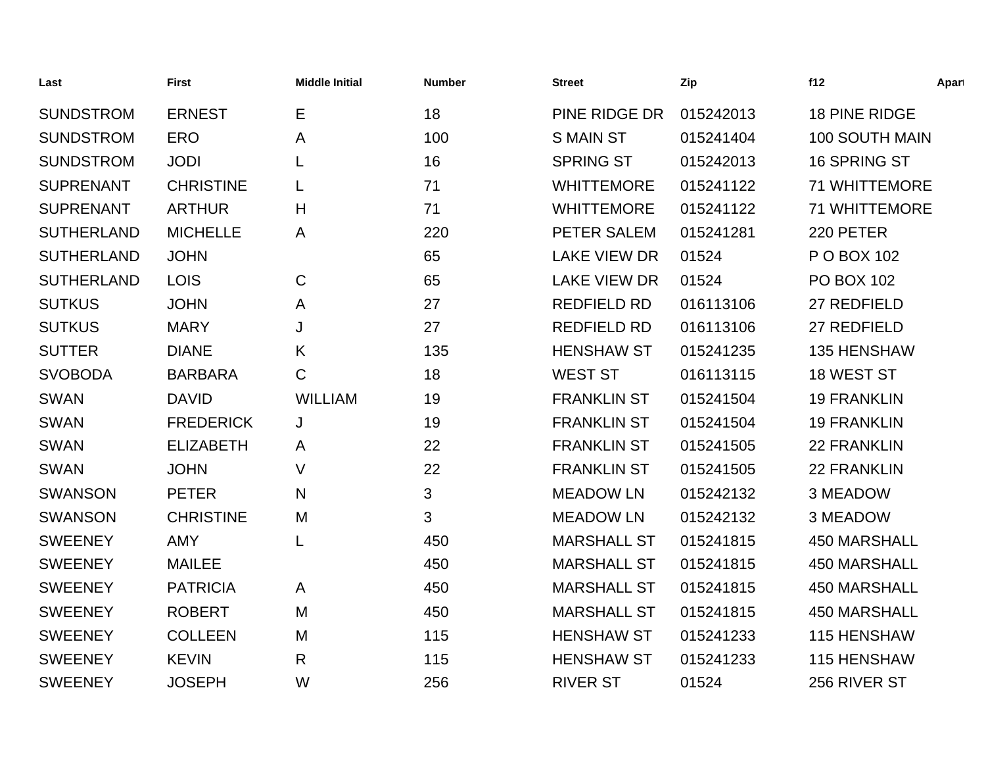| Last              | <b>First</b>     | <b>Middle Initial</b> | <b>Number</b> | <b>Street</b>       | Zip       | f12                   | Apart |
|-------------------|------------------|-----------------------|---------------|---------------------|-----------|-----------------------|-------|
| <b>SUNDSTROM</b>  | <b>ERNEST</b>    | Е                     | 18            | PINE RIDGE DR       | 015242013 | 18 PINE RIDGE         |       |
| <b>SUNDSTROM</b>  | <b>ERO</b>       | Α                     | 100           | <b>S MAIN ST</b>    | 015241404 | <b>100 SOUTH MAIN</b> |       |
| <b>SUNDSTROM</b>  | <b>JODI</b>      | L                     | 16            | <b>SPRING ST</b>    | 015242013 | 16 SPRING ST          |       |
| <b>SUPRENANT</b>  | <b>CHRISTINE</b> | L                     | 71            | <b>WHITTEMORE</b>   | 015241122 | <b>71 WHITTEMORE</b>  |       |
| <b>SUPRENANT</b>  | <b>ARTHUR</b>    | H                     | 71            | <b>WHITTEMORE</b>   | 015241122 | <b>71 WHITTEMORE</b>  |       |
| <b>SUTHERLAND</b> | <b>MICHELLE</b>  | A                     | 220           | PETER SALEM         | 015241281 | 220 PETER             |       |
| <b>SUTHERLAND</b> | <b>JOHN</b>      |                       | 65            | <b>LAKE VIEW DR</b> | 01524     | P O BOX 102           |       |
| <b>SUTHERLAND</b> | <b>LOIS</b>      | $\mathsf{C}$          | 65            | <b>LAKE VIEW DR</b> | 01524     | <b>PO BOX 102</b>     |       |
| <b>SUTKUS</b>     | <b>JOHN</b>      | A                     | 27            | <b>REDFIELD RD</b>  | 016113106 | 27 REDFIELD           |       |
| <b>SUTKUS</b>     | <b>MARY</b>      | J                     | 27            | <b>REDFIELD RD</b>  | 016113106 | 27 REDFIELD           |       |
| <b>SUTTER</b>     | <b>DIANE</b>     | Κ                     | 135           | <b>HENSHAW ST</b>   | 015241235 | 135 HENSHAW           |       |
| <b>SVOBODA</b>    | <b>BARBARA</b>   | C                     | 18            | <b>WEST ST</b>      | 016113115 | 18 WEST ST            |       |
| <b>SWAN</b>       | <b>DAVID</b>     | <b>WILLIAM</b>        | 19            | <b>FRANKLIN ST</b>  | 015241504 | <b>19 FRANKLIN</b>    |       |
| <b>SWAN</b>       | <b>FREDERICK</b> | J                     | 19            | <b>FRANKLIN ST</b>  | 015241504 | <b>19 FRANKLIN</b>    |       |
| <b>SWAN</b>       | <b>ELIZABETH</b> | A                     | 22            | <b>FRANKLIN ST</b>  | 015241505 | <b>22 FRANKLIN</b>    |       |
| <b>SWAN</b>       | <b>JOHN</b>      | $\vee$                | 22            | <b>FRANKLIN ST</b>  | 015241505 | <b>22 FRANKLIN</b>    |       |
| <b>SWANSON</b>    | <b>PETER</b>     | N                     | 3             | <b>MEADOW LN</b>    | 015242132 | 3 MEADOW              |       |
| <b>SWANSON</b>    | <b>CHRISTINE</b> | M                     | 3             | <b>MEADOW LN</b>    | 015242132 | 3 MEADOW              |       |
| <b>SWEENEY</b>    | <b>AMY</b>       | L                     | 450           | <b>MARSHALL ST</b>  | 015241815 | <b>450 MARSHALL</b>   |       |
| <b>SWEENEY</b>    | <b>MAILEE</b>    |                       | 450           | <b>MARSHALL ST</b>  | 015241815 | <b>450 MARSHALL</b>   |       |
| <b>SWEENEY</b>    | <b>PATRICIA</b>  | A                     | 450           | <b>MARSHALL ST</b>  | 015241815 | <b>450 MARSHALL</b>   |       |
| <b>SWEENEY</b>    | <b>ROBERT</b>    | M                     | 450           | <b>MARSHALL ST</b>  | 015241815 | <b>450 MARSHALL</b>   |       |
| <b>SWEENEY</b>    | <b>COLLEEN</b>   | M                     | 115           | <b>HENSHAW ST</b>   | 015241233 | 115 HENSHAW           |       |
| <b>SWEENEY</b>    | <b>KEVIN</b>     | R                     | 115           | <b>HENSHAW ST</b>   | 015241233 | 115 HENSHAW           |       |
| <b>SWEENEY</b>    | <b>JOSEPH</b>    | W                     | 256           | <b>RIVER ST</b>     | 01524     | 256 RIVER ST          |       |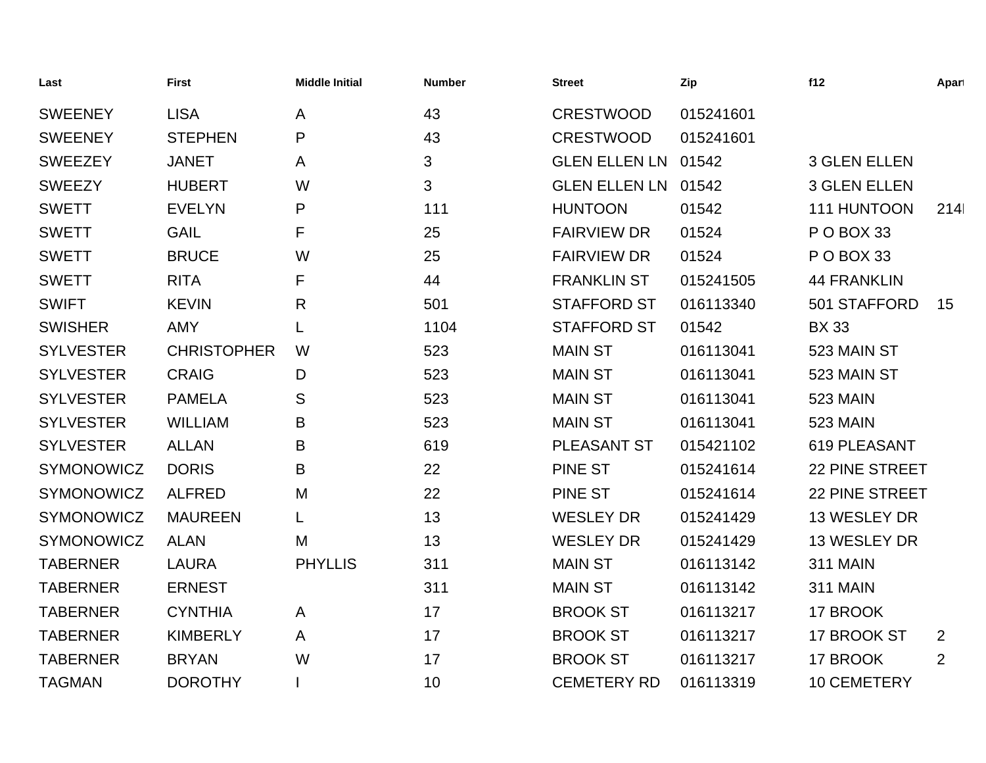| Last              | <b>First</b>       | <b>Middle Initial</b> | <b>Number</b> | <b>Street</b>        | Zip       | f12                 | Apart |
|-------------------|--------------------|-----------------------|---------------|----------------------|-----------|---------------------|-------|
| <b>SWEENEY</b>    | <b>LISA</b>        | A                     | 43            | <b>CRESTWOOD</b>     | 015241601 |                     |       |
| <b>SWEENEY</b>    | <b>STEPHEN</b>     | P                     | 43            | <b>CRESTWOOD</b>     | 015241601 |                     |       |
| <b>SWEEZEY</b>    | <b>JANET</b>       | A                     | 3             | <b>GLEN ELLEN LN</b> | 01542     | <b>3 GLEN ELLEN</b> |       |
| <b>SWEEZY</b>     | <b>HUBERT</b>      | W                     | 3             | <b>GLEN ELLEN LN</b> | 01542     | <b>3 GLEN ELLEN</b> |       |
| <b>SWETT</b>      | <b>EVELYN</b>      | P                     | 111           | <b>HUNTOON</b>       | 01542     | 111 HUNTOON         | 214   |
| <b>SWETT</b>      | <b>GAIL</b>        | F                     | 25            | <b>FAIRVIEW DR</b>   | 01524     | POBOX 33            |       |
| <b>SWETT</b>      | <b>BRUCE</b>       | W                     | 25            | <b>FAIRVIEW DR</b>   | 01524     | POBOX 33            |       |
| <b>SWETT</b>      | <b>RITA</b>        | F                     | 44            | <b>FRANKLIN ST</b>   | 015241505 | <b>44 FRANKLIN</b>  |       |
| <b>SWIFT</b>      | <b>KEVIN</b>       | R                     | 501           | <b>STAFFORD ST</b>   | 016113340 | 501 STAFFORD        | 15    |
| <b>SWISHER</b>    | <b>AMY</b>         | L                     | 1104          | <b>STAFFORD ST</b>   | 01542     | <b>BX33</b>         |       |
| <b>SYLVESTER</b>  | <b>CHRISTOPHER</b> | W                     | 523           | <b>MAIN ST</b>       | 016113041 | 523 MAIN ST         |       |
| <b>SYLVESTER</b>  | <b>CRAIG</b>       | D                     | 523           | <b>MAIN ST</b>       | 016113041 | 523 MAIN ST         |       |
| <b>SYLVESTER</b>  | <b>PAMELA</b>      | S                     | 523           | <b>MAIN ST</b>       | 016113041 | <b>523 MAIN</b>     |       |
| <b>SYLVESTER</b>  | <b>WILLIAM</b>     | B                     | 523           | <b>MAIN ST</b>       | 016113041 | <b>523 MAIN</b>     |       |
| <b>SYLVESTER</b>  | <b>ALLAN</b>       | B                     | 619           | PLEASANT ST          | 015421102 | 619 PLEASANT        |       |
| SYMONOWICZ        | <b>DORIS</b>       | B                     | 22            | <b>PINE ST</b>       | 015241614 | 22 PINE STREET      |       |
| SYMONOWICZ        | <b>ALFRED</b>      | M                     | 22            | <b>PINE ST</b>       | 015241614 | 22 PINE STREET      |       |
| SYMONOWICZ        | <b>MAUREEN</b>     | L                     | 13            | <b>WESLEY DR</b>     | 015241429 | 13 WESLEY DR        |       |
| <b>SYMONOWICZ</b> | <b>ALAN</b>        | M                     | 13            | <b>WESLEY DR</b>     | 015241429 | 13 WESLEY DR        |       |
| <b>TABERNER</b>   | <b>LAURA</b>       | <b>PHYLLIS</b>        | 311           | <b>MAIN ST</b>       | 016113142 | <b>311 MAIN</b>     |       |
| <b>TABERNER</b>   | <b>ERNEST</b>      |                       | 311           | <b>MAIN ST</b>       | 016113142 | <b>311 MAIN</b>     |       |
| <b>TABERNER</b>   | <b>CYNTHIA</b>     | A                     | 17            | <b>BROOK ST</b>      | 016113217 | 17 BROOK            |       |
| <b>TABERNER</b>   | <b>KIMBERLY</b>    | A                     | 17            | <b>BROOK ST</b>      | 016113217 | 17 BROOK ST         | 2     |
| <b>TABERNER</b>   | <b>BRYAN</b>       | W                     | 17            | <b>BROOK ST</b>      | 016113217 | 17 BROOK            | 2     |
| <b>TAGMAN</b>     | <b>DOROTHY</b>     |                       | 10            | <b>CEMETERY RD</b>   | 016113319 | <b>10 CEMETERY</b>  |       |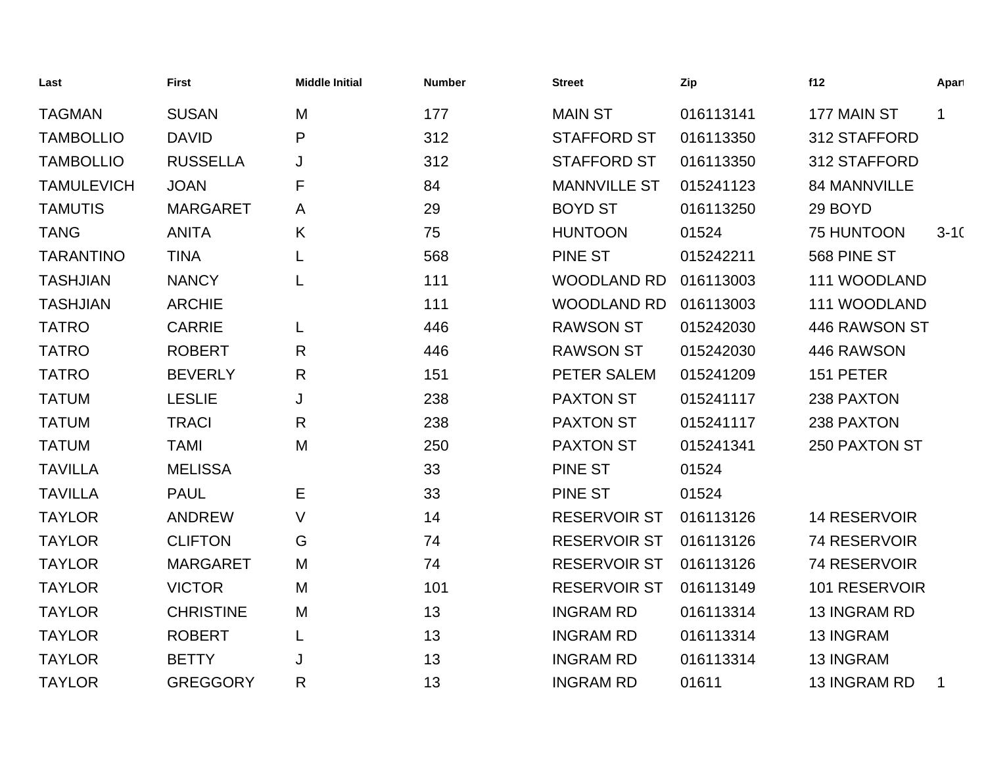| Last              | <b>First</b>     | <b>Middle Initial</b> | <b>Number</b> | <b>Street</b>       | Zip       | f12                 | Apart       |
|-------------------|------------------|-----------------------|---------------|---------------------|-----------|---------------------|-------------|
| <b>TAGMAN</b>     | <b>SUSAN</b>     | M                     | 177           | <b>MAIN ST</b>      | 016113141 | 177 MAIN ST         | $\mathbf 1$ |
| <b>TAMBOLLIO</b>  | <b>DAVID</b>     | P                     | 312           | <b>STAFFORD ST</b>  | 016113350 | 312 STAFFORD        |             |
| <b>TAMBOLLIO</b>  | <b>RUSSELLA</b>  | J                     | 312           | <b>STAFFORD ST</b>  | 016113350 | 312 STAFFORD        |             |
| <b>TAMULEVICH</b> | <b>JOAN</b>      | F                     | 84            | <b>MANNVILLE ST</b> | 015241123 | 84 MANNVILLE        |             |
| <b>TAMUTIS</b>    | <b>MARGARET</b>  | A                     | 29            | <b>BOYD ST</b>      | 016113250 | 29 BOYD             |             |
| <b>TANG</b>       | <b>ANITA</b>     | K                     | 75            | <b>HUNTOON</b>      | 01524     | 75 HUNTOON          | $3-10$      |
| <b>TARANTINO</b>  | <b>TINA</b>      | L                     | 568           | <b>PINE ST</b>      | 015242211 | 568 PINE ST         |             |
| <b>TASHJIAN</b>   | <b>NANCY</b>     | L                     | 111           | <b>WOODLAND RD</b>  | 016113003 | 111 WOODLAND        |             |
| <b>TASHJIAN</b>   | <b>ARCHIE</b>    |                       | 111           | <b>WOODLAND RD</b>  | 016113003 | 111 WOODLAND        |             |
| <b>TATRO</b>      | <b>CARRIE</b>    | L                     | 446           | <b>RAWSON ST</b>    | 015242030 | 446 RAWSON ST       |             |
| <b>TATRO</b>      | <b>ROBERT</b>    | R                     | 446           | <b>RAWSON ST</b>    | 015242030 | 446 RAWSON          |             |
| <b>TATRO</b>      | <b>BEVERLY</b>   | $\mathsf{R}$          | 151           | PETER SALEM         | 015241209 | 151 PETER           |             |
| <b>TATUM</b>      | <b>LESLIE</b>    | J                     | 238           | <b>PAXTON ST</b>    | 015241117 | 238 PAXTON          |             |
| <b>TATUM</b>      | <b>TRACI</b>     | R                     | 238           | <b>PAXTON ST</b>    | 015241117 | 238 PAXTON          |             |
| <b>TATUM</b>      | <b>TAMI</b>      | M                     | 250           | <b>PAXTON ST</b>    | 015241341 | 250 PAXTON ST       |             |
| <b>TAVILLA</b>    | <b>MELISSA</b>   |                       | 33            | <b>PINE ST</b>      | 01524     |                     |             |
| <b>TAVILLA</b>    | <b>PAUL</b>      | E                     | 33            | <b>PINE ST</b>      | 01524     |                     |             |
| <b>TAYLOR</b>     | <b>ANDREW</b>    | V                     | 14            | <b>RESERVOIR ST</b> | 016113126 | <b>14 RESERVOIR</b> |             |
| <b>TAYLOR</b>     | <b>CLIFTON</b>   | G                     | 74            | <b>RESERVOIR ST</b> | 016113126 | 74 RESERVOIR        |             |
| <b>TAYLOR</b>     | <b>MARGARET</b>  | M                     | 74            | <b>RESERVOIR ST</b> | 016113126 | 74 RESERVOIR        |             |
| <b>TAYLOR</b>     | <b>VICTOR</b>    | M                     | 101           | <b>RESERVOIR ST</b> | 016113149 | 101 RESERVOIR       |             |
| <b>TAYLOR</b>     | <b>CHRISTINE</b> | M                     | 13            | <b>INGRAM RD</b>    | 016113314 | 13 INGRAM RD        |             |
| <b>TAYLOR</b>     | <b>ROBERT</b>    | L                     | 13            | <b>INGRAM RD</b>    | 016113314 | 13 INGRAM           |             |
| <b>TAYLOR</b>     | <b>BETTY</b>     | J                     | 13            | <b>INGRAM RD</b>    | 016113314 | <b>13 INGRAM</b>    |             |
| <b>TAYLOR</b>     | <b>GREGGORY</b>  | R                     | 13            | <b>INGRAM RD</b>    | 01611     | <b>13 INGRAM RD</b> | 1           |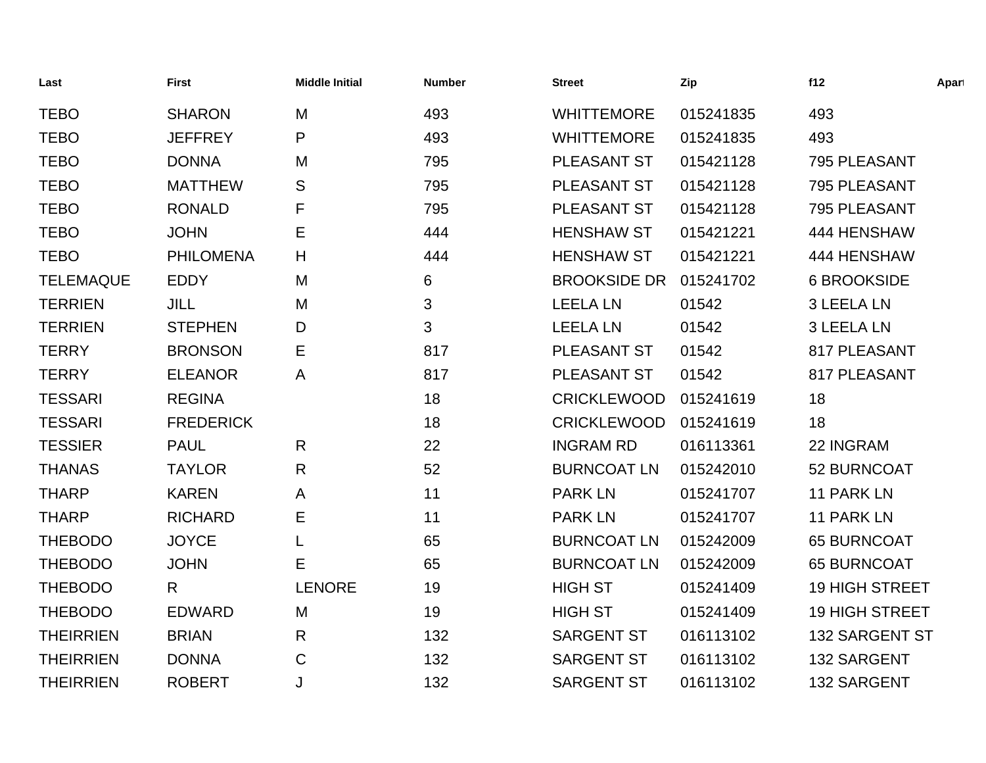| Last             | <b>First</b>     | <b>Middle Initial</b> | <b>Number</b> | <b>Street</b>       | Zip       | f12                   | Apart |
|------------------|------------------|-----------------------|---------------|---------------------|-----------|-----------------------|-------|
| <b>TEBO</b>      | <b>SHARON</b>    | M                     | 493           | <b>WHITTEMORE</b>   | 015241835 | 493                   |       |
| <b>TEBO</b>      | <b>JEFFREY</b>   | P                     | 493           | <b>WHITTEMORE</b>   | 015241835 | 493                   |       |
| <b>TEBO</b>      | <b>DONNA</b>     | M                     | 795           | PLEASANT ST         | 015421128 | 795 PLEASANT          |       |
| <b>TEBO</b>      | <b>MATTHEW</b>   | S                     | 795           | PLEASANT ST         | 015421128 | 795 PLEASANT          |       |
| <b>TEBO</b>      | <b>RONALD</b>    | F                     | 795           | PLEASANT ST         | 015421128 | 795 PLEASANT          |       |
| <b>TEBO</b>      | <b>JOHN</b>      | Е                     | 444           | <b>HENSHAW ST</b>   | 015421221 | 444 HENSHAW           |       |
| <b>TEBO</b>      | <b>PHILOMENA</b> | H                     | 444           | <b>HENSHAW ST</b>   | 015421221 | 444 HENSHAW           |       |
| <b>TELEMAQUE</b> | <b>EDDY</b>      | M                     | 6             | <b>BROOKSIDE DR</b> | 015241702 | <b>6 BROOKSIDE</b>    |       |
| <b>TERRIEN</b>   | <b>JILL</b>      | M                     | 3             | <b>LEELA LN</b>     | 01542     | 3 LEELA LN            |       |
| <b>TERRIEN</b>   | <b>STEPHEN</b>   | D                     | 3             | <b>LEELA LN</b>     | 01542     | <b>3 LEELA LN</b>     |       |
| <b>TERRY</b>     | <b>BRONSON</b>   | Е                     | 817           | PLEASANT ST         | 01542     | 817 PLEASANT          |       |
| <b>TERRY</b>     | <b>ELEANOR</b>   | A                     | 817           | PLEASANT ST         | 01542     | 817 PLEASANT          |       |
| <b>TESSARI</b>   | <b>REGINA</b>    |                       | 18            | <b>CRICKLEWOOD</b>  | 015241619 | 18                    |       |
| <b>TESSARI</b>   | <b>FREDERICK</b> |                       | 18            | <b>CRICKLEWOOD</b>  | 015241619 | 18                    |       |
| <b>TESSIER</b>   | <b>PAUL</b>      | $\mathsf{R}$          | 22            | <b>INGRAM RD</b>    | 016113361 | 22 INGRAM             |       |
| <b>THANAS</b>    | <b>TAYLOR</b>    | $\mathsf{R}$          | 52            | <b>BURNCOAT LN</b>  | 015242010 | 52 BURNCOAT           |       |
| <b>THARP</b>     | <b>KAREN</b>     | A                     | 11            | <b>PARK LN</b>      | 015241707 | 11 PARK LN            |       |
| <b>THARP</b>     | <b>RICHARD</b>   | Ε                     | 11            | <b>PARK LN</b>      | 015241707 | 11 PARK LN            |       |
| <b>THEBODO</b>   | <b>JOYCE</b>     | L                     | 65            | <b>BURNCOAT LN</b>  | 015242009 | <b>65 BURNCOAT</b>    |       |
| <b>THEBODO</b>   | <b>JOHN</b>      | E.                    | 65            | <b>BURNCOAT LN</b>  | 015242009 | <b>65 BURNCOAT</b>    |       |
| <b>THEBODO</b>   | R                | <b>LENORE</b>         | 19            | <b>HIGH ST</b>      | 015241409 | <b>19 HIGH STREET</b> |       |
| <b>THEBODO</b>   | <b>EDWARD</b>    | M                     | 19            | <b>HIGH ST</b>      | 015241409 | <b>19 HIGH STREET</b> |       |
| <b>THEIRRIEN</b> | <b>BRIAN</b>     | $\mathsf{R}$          | 132           | <b>SARGENT ST</b>   | 016113102 | 132 SARGENT ST        |       |
| <b>THEIRRIEN</b> | <b>DONNA</b>     | C                     | 132           | <b>SARGENT ST</b>   | 016113102 | 132 SARGENT           |       |
| <b>THEIRRIEN</b> | <b>ROBERT</b>    | J                     | 132           | <b>SARGENT ST</b>   | 016113102 | 132 SARGENT           |       |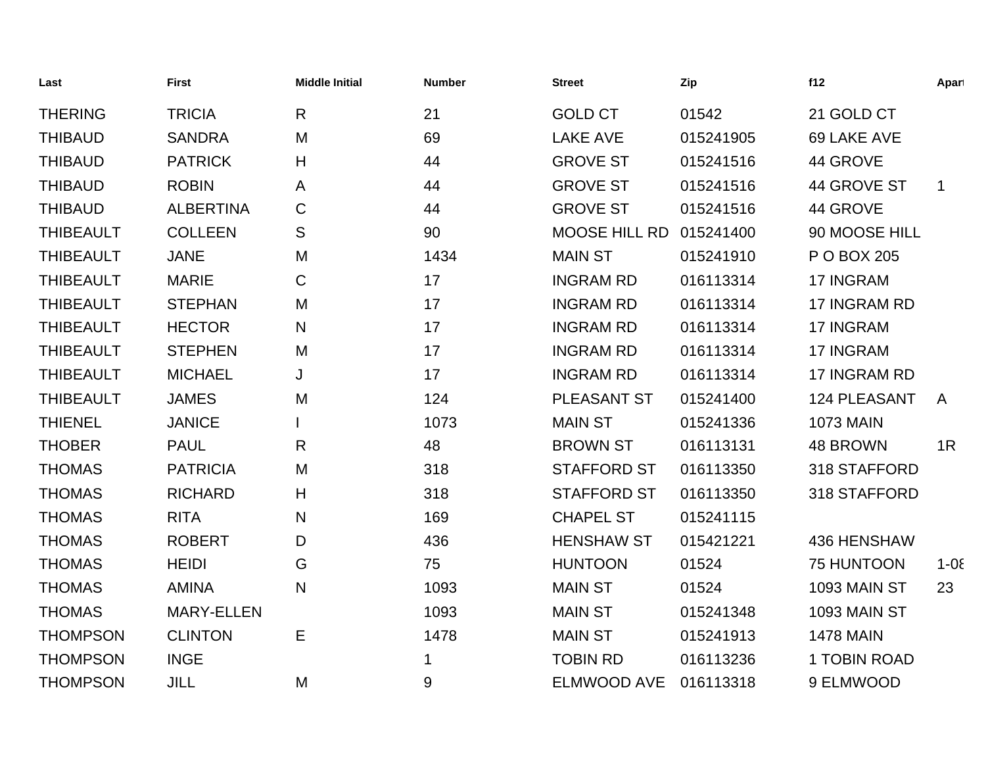| Last             | <b>First</b>      | <b>Middle Initial</b> | <b>Number</b> | <b>Street</b>      | Zip       | f12                 | Apart        |
|------------------|-------------------|-----------------------|---------------|--------------------|-----------|---------------------|--------------|
| <b>THERING</b>   | <b>TRICIA</b>     | $\mathsf{R}$          | 21            | <b>GOLD CT</b>     | 01542     | 21 GOLD CT          |              |
| <b>THIBAUD</b>   | <b>SANDRA</b>     | M                     | 69            | <b>LAKE AVE</b>    | 015241905 | 69 LAKE AVE         |              |
| <b>THIBAUD</b>   | <b>PATRICK</b>    | H                     | 44            | <b>GROVE ST</b>    | 015241516 | 44 GROVE            |              |
| <b>THIBAUD</b>   | <b>ROBIN</b>      | A                     | 44            | <b>GROVE ST</b>    | 015241516 | 44 GROVE ST         | $\mathbf{1}$ |
| <b>THIBAUD</b>   | <b>ALBERTINA</b>  | $\mathsf C$           | 44            | <b>GROVE ST</b>    | 015241516 | 44 GROVE            |              |
| <b>THIBEAULT</b> | <b>COLLEEN</b>    | S                     | 90            | MOOSE HILL RD      | 015241400 | 90 MOOSE HILL       |              |
| <b>THIBEAULT</b> | <b>JANE</b>       | M                     | 1434          | <b>MAIN ST</b>     | 015241910 | P O BOX 205         |              |
| <b>THIBEAULT</b> | <b>MARIE</b>      | C                     | 17            | <b>INGRAM RD</b>   | 016113314 | 17 INGRAM           |              |
| <b>THIBEAULT</b> | <b>STEPHAN</b>    | M                     | 17            | <b>INGRAM RD</b>   | 016113314 | 17 INGRAM RD        |              |
| <b>THIBEAULT</b> | <b>HECTOR</b>     | N                     | 17            | <b>INGRAM RD</b>   | 016113314 | 17 INGRAM           |              |
| <b>THIBEAULT</b> | <b>STEPHEN</b>    | M                     | 17            | <b>INGRAM RD</b>   | 016113314 | 17 INGRAM           |              |
| <b>THIBEAULT</b> | <b>MICHAEL</b>    | J                     | 17            | <b>INGRAM RD</b>   | 016113314 | 17 INGRAM RD        |              |
| <b>THIBEAULT</b> | <b>JAMES</b>      | M                     | 124           | PLEASANT ST        | 015241400 | <b>124 PLEASANT</b> | $\mathsf{A}$ |
| <b>THIENEL</b>   | <b>JANICE</b>     |                       | 1073          | <b>MAIN ST</b>     | 015241336 | <b>1073 MAIN</b>    |              |
| <b>THOBER</b>    | <b>PAUL</b>       | $\mathsf{R}$          | 48            | <b>BROWN ST</b>    | 016113131 | 48 BROWN            | 1R           |
| <b>THOMAS</b>    | <b>PATRICIA</b>   | M                     | 318           | <b>STAFFORD ST</b> | 016113350 | 318 STAFFORD        |              |
| <b>THOMAS</b>    | <b>RICHARD</b>    | H                     | 318           | <b>STAFFORD ST</b> | 016113350 | 318 STAFFORD        |              |
| <b>THOMAS</b>    | <b>RITA</b>       | N                     | 169           | <b>CHAPEL ST</b>   | 015241115 |                     |              |
| <b>THOMAS</b>    | <b>ROBERT</b>     | D                     | 436           | <b>HENSHAW ST</b>  | 015421221 | 436 HENSHAW         |              |
| <b>THOMAS</b>    | <b>HEIDI</b>      | G                     | 75            | <b>HUNTOON</b>     | 01524     | 75 HUNTOON          | $1 - 0\xi$   |
| <b>THOMAS</b>    | <b>AMINA</b>      | N                     | 1093          | <b>MAIN ST</b>     | 01524     | 1093 MAIN ST        | 23           |
| <b>THOMAS</b>    | <b>MARY-ELLEN</b> |                       | 1093          | <b>MAIN ST</b>     | 015241348 | 1093 MAIN ST        |              |
| <b>THOMPSON</b>  | <b>CLINTON</b>    | E                     | 1478          | <b>MAIN ST</b>     | 015241913 | <b>1478 MAIN</b>    |              |
| <b>THOMPSON</b>  | <b>INGE</b>       |                       | 1             | <b>TOBIN RD</b>    | 016113236 | 1 TOBIN ROAD        |              |
| <b>THOMPSON</b>  | JILL              | M                     | 9             | <b>ELMWOOD AVE</b> | 016113318 | 9 ELMWOOD           |              |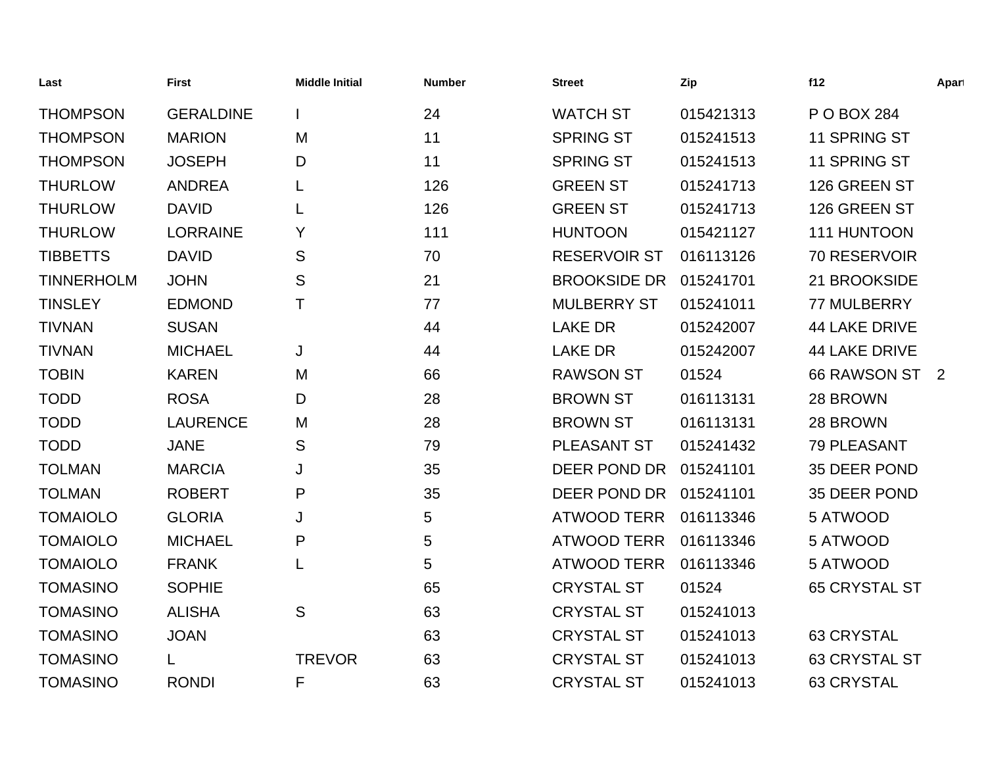| Last              | <b>First</b>     | <b>Middle Initial</b> | <b>Number</b> | <b>Street</b>       | Zip       | f12                  | Apart |
|-------------------|------------------|-----------------------|---------------|---------------------|-----------|----------------------|-------|
| <b>THOMPSON</b>   | <b>GERALDINE</b> |                       | 24            | <b>WATCH ST</b>     | 015421313 | P O BOX 284          |       |
| <b>THOMPSON</b>   | <b>MARION</b>    | M                     | 11            | <b>SPRING ST</b>    | 015241513 | 11 SPRING ST         |       |
| <b>THOMPSON</b>   | <b>JOSEPH</b>    | D                     | 11            | <b>SPRING ST</b>    | 015241513 | 11 SPRING ST         |       |
| <b>THURLOW</b>    | <b>ANDREA</b>    |                       | 126           | <b>GREEN ST</b>     | 015241713 | 126 GREEN ST         |       |
| <b>THURLOW</b>    | <b>DAVID</b>     |                       | 126           | <b>GREEN ST</b>     | 015241713 | 126 GREEN ST         |       |
| <b>THURLOW</b>    | <b>LORRAINE</b>  | Y                     | 111           | <b>HUNTOON</b>      | 015421127 | 111 HUNTOON          |       |
| <b>TIBBETTS</b>   | <b>DAVID</b>     | S                     | 70            | <b>RESERVOIR ST</b> | 016113126 | 70 RESERVOIR         |       |
| <b>TINNERHOLM</b> | <b>JOHN</b>      | S                     | 21            | <b>BROOKSIDE DR</b> | 015241701 | 21 BROOKSIDE         |       |
| <b>TINSLEY</b>    | <b>EDMOND</b>    | Τ                     | 77            | <b>MULBERRY ST</b>  | 015241011 | 77 MULBERRY          |       |
| <b>TIVNAN</b>     | <b>SUSAN</b>     |                       | 44            | <b>LAKE DR</b>      | 015242007 | <b>44 LAKE DRIVE</b> |       |
| <b>TIVNAN</b>     | <b>MICHAEL</b>   | J                     | 44            | <b>LAKE DR</b>      | 015242007 | <b>44 LAKE DRIVE</b> |       |
| <b>TOBIN</b>      | <b>KAREN</b>     | M                     | 66            | <b>RAWSON ST</b>    | 01524     | 66 RAWSON ST 2       |       |
| <b>TODD</b>       | <b>ROSA</b>      | D                     | 28            | <b>BROWN ST</b>     | 016113131 | 28 BROWN             |       |
| <b>TODD</b>       | <b>LAURENCE</b>  | M                     | 28            | <b>BROWN ST</b>     | 016113131 | 28 BROWN             |       |
| <b>TODD</b>       | <b>JANE</b>      | S                     | 79            | <b>PLEASANT ST</b>  | 015241432 | 79 PLEASANT          |       |
| <b>TOLMAN</b>     | <b>MARCIA</b>    | J                     | 35            | DEER POND DR        | 015241101 | 35 DEER POND         |       |
| <b>TOLMAN</b>     | <b>ROBERT</b>    | P                     | 35            | DEER POND DR        | 015241101 | 35 DEER POND         |       |
| <b>TOMAIOLO</b>   | <b>GLORIA</b>    | J                     | 5             | <b>ATWOOD TERR</b>  | 016113346 | 5 ATWOOD             |       |
| <b>TOMAIOLO</b>   | <b>MICHAEL</b>   | P                     | 5             | <b>ATWOOD TERR</b>  | 016113346 | 5 ATWOOD             |       |
| <b>TOMAIOLO</b>   | <b>FRANK</b>     |                       | 5             | <b>ATWOOD TERR</b>  | 016113346 | 5 ATWOOD             |       |
| <b>TOMASINO</b>   | <b>SOPHIE</b>    |                       | 65            | <b>CRYSTAL ST</b>   | 01524     | <b>65 CRYSTAL ST</b> |       |
| <b>TOMASINO</b>   | <b>ALISHA</b>    | S                     | 63            | <b>CRYSTAL ST</b>   | 015241013 |                      |       |
| <b>TOMASINO</b>   | <b>JOAN</b>      |                       | 63            | <b>CRYSTAL ST</b>   | 015241013 | <b>63 CRYSTAL</b>    |       |
| <b>TOMASINO</b>   |                  | <b>TREVOR</b>         | 63            | <b>CRYSTAL ST</b>   | 015241013 | <b>63 CRYSTAL ST</b> |       |
| <b>TOMASINO</b>   | <b>RONDI</b>     | F                     | 63            | <b>CRYSTAL ST</b>   | 015241013 | <b>63 CRYSTAL</b>    |       |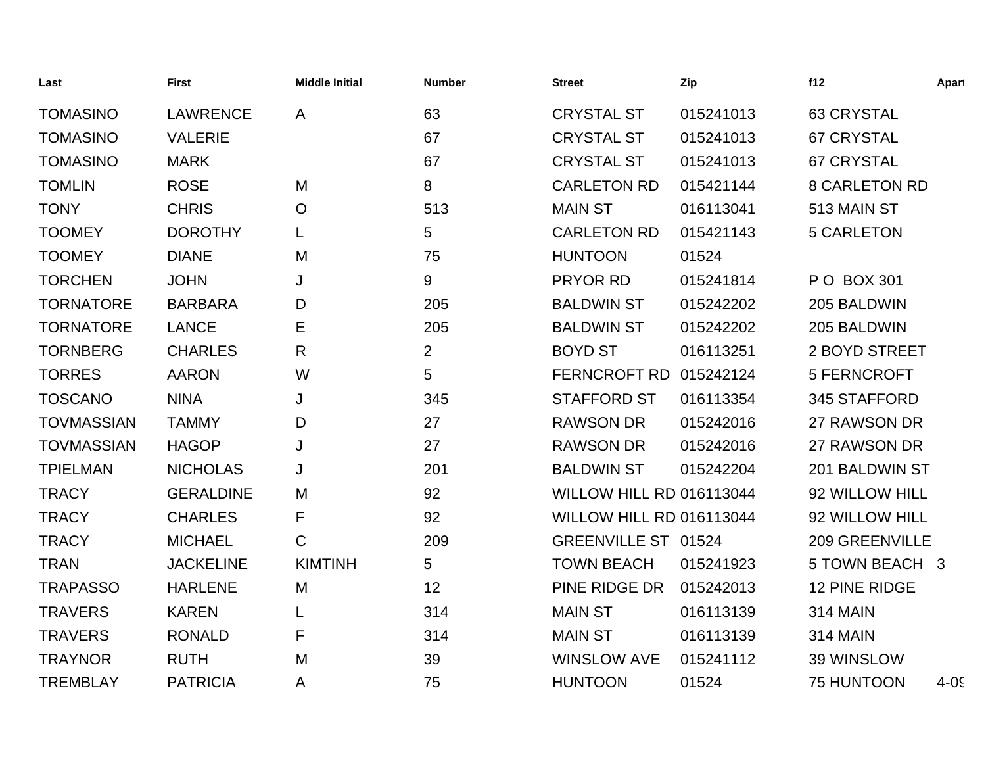| Last              | <b>First</b>     | <b>Middle Initial</b> | <b>Number</b>  | <b>Street</b>                   | Zip       | f12                   | Apart    |
|-------------------|------------------|-----------------------|----------------|---------------------------------|-----------|-----------------------|----------|
| <b>TOMASINO</b>   | <b>LAWRENCE</b>  | A                     | 63             | <b>CRYSTAL ST</b>               | 015241013 | 63 CRYSTAL            |          |
| <b>TOMASINO</b>   | <b>VALERIE</b>   |                       | 67             | <b>CRYSTAL ST</b>               | 015241013 | <b>67 CRYSTAL</b>     |          |
| <b>TOMASINO</b>   | <b>MARK</b>      |                       | 67             | <b>CRYSTAL ST</b>               | 015241013 | <b>67 CRYSTAL</b>     |          |
| <b>TOMLIN</b>     | <b>ROSE</b>      | M                     | 8              | <b>CARLETON RD</b>              | 015421144 | <b>8 CARLETON RD</b>  |          |
| <b>TONY</b>       | <b>CHRIS</b>     | $\circ$               | 513            | <b>MAIN ST</b>                  | 016113041 | 513 MAIN ST           |          |
| <b>TOOMEY</b>     | <b>DOROTHY</b>   |                       | 5              | <b>CARLETON RD</b>              | 015421143 | <b>5 CARLETON</b>     |          |
| <b>TOOMEY</b>     | <b>DIANE</b>     | M                     | 75             | <b>HUNTOON</b>                  | 01524     |                       |          |
| <b>TORCHEN</b>    | <b>JOHN</b>      | J                     | 9              | PRYOR RD                        | 015241814 | P O BOX 301           |          |
| <b>TORNATORE</b>  | <b>BARBARA</b>   | D                     | 205            | <b>BALDWIN ST</b>               | 015242202 | 205 BALDWIN           |          |
| <b>TORNATORE</b>  | <b>LANCE</b>     | E                     | 205            | <b>BALDWIN ST</b>               | 015242202 | 205 BALDWIN           |          |
| <b>TORNBERG</b>   | <b>CHARLES</b>   | R                     | $\overline{2}$ | <b>BOYD ST</b>                  | 016113251 | 2 BOYD STREET         |          |
| <b>TORRES</b>     | <b>AARON</b>     | W                     | 5              | <b>FERNCROFT RD</b>             | 015242124 | 5 FERNCROFT           |          |
| <b>TOSCANO</b>    | <b>NINA</b>      | J                     | 345            | <b>STAFFORD ST</b>              | 016113354 | 345 STAFFORD          |          |
| <b>TOVMASSIAN</b> | <b>TAMMY</b>     | D                     | 27             | <b>RAWSON DR</b>                | 015242016 | 27 RAWSON DR          |          |
| <b>TOVMASSIAN</b> | <b>HAGOP</b>     | J                     | 27             | <b>RAWSON DR</b>                | 015242016 | 27 RAWSON DR          |          |
| <b>TPIELMAN</b>   | <b>NICHOLAS</b>  | J                     | 201            | <b>BALDWIN ST</b>               | 015242204 | 201 BALDWIN ST        |          |
| <b>TRACY</b>      | <b>GERALDINE</b> | M                     | 92             | <b>WILLOW HILL RD 016113044</b> |           | 92 WILLOW HILL        |          |
| <b>TRACY</b>      | <b>CHARLES</b>   | F                     | 92             | <b>WILLOW HILL RD 016113044</b> |           | 92 WILLOW HILL        |          |
| <b>TRACY</b>      | <b>MICHAEL</b>   | $\mathsf{C}$          | 209            | GREENVILLE ST 01524             |           | <b>209 GREENVILLE</b> |          |
| <b>TRAN</b>       | <b>JACKELINE</b> | <b>KIMTINH</b>        | 5              | <b>TOWN BEACH</b>               | 015241923 | 5 TOWN BEACH 3        |          |
| <b>TRAPASSO</b>   | <b>HARLENE</b>   | M                     | 12             | PINE RIDGE DR                   | 015242013 | 12 PINE RIDGE         |          |
| <b>TRAVERS</b>    | <b>KAREN</b>     |                       | 314            | <b>MAIN ST</b>                  | 016113139 | <b>314 MAIN</b>       |          |
| <b>TRAVERS</b>    | <b>RONALD</b>    | F                     | 314            | <b>MAIN ST</b>                  | 016113139 | <b>314 MAIN</b>       |          |
| <b>TRAYNOR</b>    | <b>RUTH</b>      | M                     | 39             | <b>WINSLOW AVE</b>              | 015241112 | 39 WINSLOW            |          |
| <b>TREMBLAY</b>   | <b>PATRICIA</b>  | A                     | 75             | <b>HUNTOON</b>                  | 01524     | <b>75 HUNTOON</b>     | $4 - 05$ |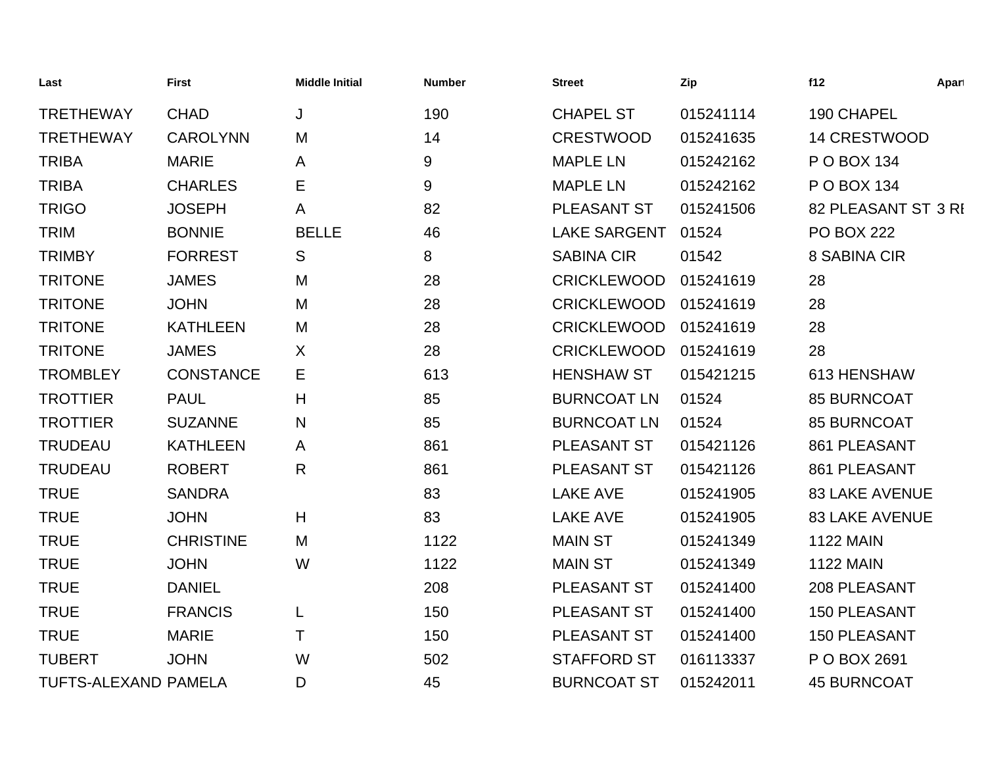| Last                 | <b>First</b>     | <b>Middle Initial</b> | <b>Number</b> | <b>Street</b>       | Zip       | f12                   | Apart |
|----------------------|------------------|-----------------------|---------------|---------------------|-----------|-----------------------|-------|
| <b>TRETHEWAY</b>     | <b>CHAD</b>      | J                     | 190           | <b>CHAPEL ST</b>    | 015241114 | 190 CHAPEL            |       |
| <b>TRETHEWAY</b>     | <b>CAROLYNN</b>  | M                     | 14            | <b>CRESTWOOD</b>    | 015241635 | <b>14 CRESTWOOD</b>   |       |
| <b>TRIBA</b>         | <b>MARIE</b>     | A                     | 9             | <b>MAPLE LN</b>     | 015242162 | P O BOX 134           |       |
| <b>TRIBA</b>         | <b>CHARLES</b>   | Е                     | 9             | <b>MAPLE LN</b>     | 015242162 | P O BOX 134           |       |
| <b>TRIGO</b>         | <b>JOSEPH</b>    | A                     | 82            | PLEASANT ST         | 015241506 | 82 PLEASANT ST 3 RI   |       |
| <b>TRIM</b>          | <b>BONNIE</b>    | <b>BELLE</b>          | 46            | <b>LAKE SARGENT</b> | 01524     | <b>PO BOX 222</b>     |       |
| <b>TRIMBY</b>        | <b>FORREST</b>   | S                     | 8             | <b>SABINA CIR</b>   | 01542     | 8 SABINA CIR          |       |
| <b>TRITONE</b>       | <b>JAMES</b>     | M                     | 28            | <b>CRICKLEWOOD</b>  | 015241619 | 28                    |       |
| <b>TRITONE</b>       | <b>JOHN</b>      | M                     | 28            | <b>CRICKLEWOOD</b>  | 015241619 | 28                    |       |
| <b>TRITONE</b>       | <b>KATHLEEN</b>  | M                     | 28            | <b>CRICKLEWOOD</b>  | 015241619 | 28                    |       |
| <b>TRITONE</b>       | <b>JAMES</b>     | X                     | 28            | <b>CRICKLEWOOD</b>  | 015241619 | 28                    |       |
| <b>TROMBLEY</b>      | <b>CONSTANCE</b> | Ε                     | 613           | <b>HENSHAW ST</b>   | 015421215 | 613 HENSHAW           |       |
| <b>TROTTIER</b>      | <b>PAUL</b>      | Н                     | 85            | <b>BURNCOAT LN</b>  | 01524     | <b>85 BURNCOAT</b>    |       |
| <b>TROTTIER</b>      | <b>SUZANNE</b>   | N                     | 85            | <b>BURNCOAT LN</b>  | 01524     | <b>85 BURNCOAT</b>    |       |
| <b>TRUDEAU</b>       | <b>KATHLEEN</b>  | A                     | 861           | PLEASANT ST         | 015421126 | 861 PLEASANT          |       |
| <b>TRUDEAU</b>       | <b>ROBERT</b>    | $\mathsf{R}$          | 861           | PLEASANT ST         | 015421126 | 861 PLEASANT          |       |
| <b>TRUE</b>          | <b>SANDRA</b>    |                       | 83            | <b>LAKE AVE</b>     | 015241905 | <b>83 LAKE AVENUE</b> |       |
| <b>TRUE</b>          | <b>JOHN</b>      | H                     | 83            | <b>LAKE AVE</b>     | 015241905 | <b>83 LAKE AVENUE</b> |       |
| <b>TRUE</b>          | <b>CHRISTINE</b> | M                     | 1122          | <b>MAIN ST</b>      | 015241349 | <b>1122 MAIN</b>      |       |
| <b>TRUE</b>          | <b>JOHN</b>      | W                     | 1122          | <b>MAIN ST</b>      | 015241349 | <b>1122 MAIN</b>      |       |
| <b>TRUE</b>          | <b>DANIEL</b>    |                       | 208           | PLEASANT ST         | 015241400 | 208 PLEASANT          |       |
| <b>TRUE</b>          | <b>FRANCIS</b>   | L                     | 150           | PLEASANT ST         | 015241400 | <b>150 PLEASANT</b>   |       |
| <b>TRUE</b>          | <b>MARIE</b>     | Τ                     | 150           | PLEASANT ST         | 015241400 | 150 PLEASANT          |       |
| <b>TUBERT</b>        | <b>JOHN</b>      | W                     | 502           | <b>STAFFORD ST</b>  | 016113337 | P O BOX 2691          |       |
| TUFTS-ALEXAND PAMELA |                  | D                     | 45            | <b>BURNCOAT ST</b>  | 015242011 | <b>45 BURNCOAT</b>    |       |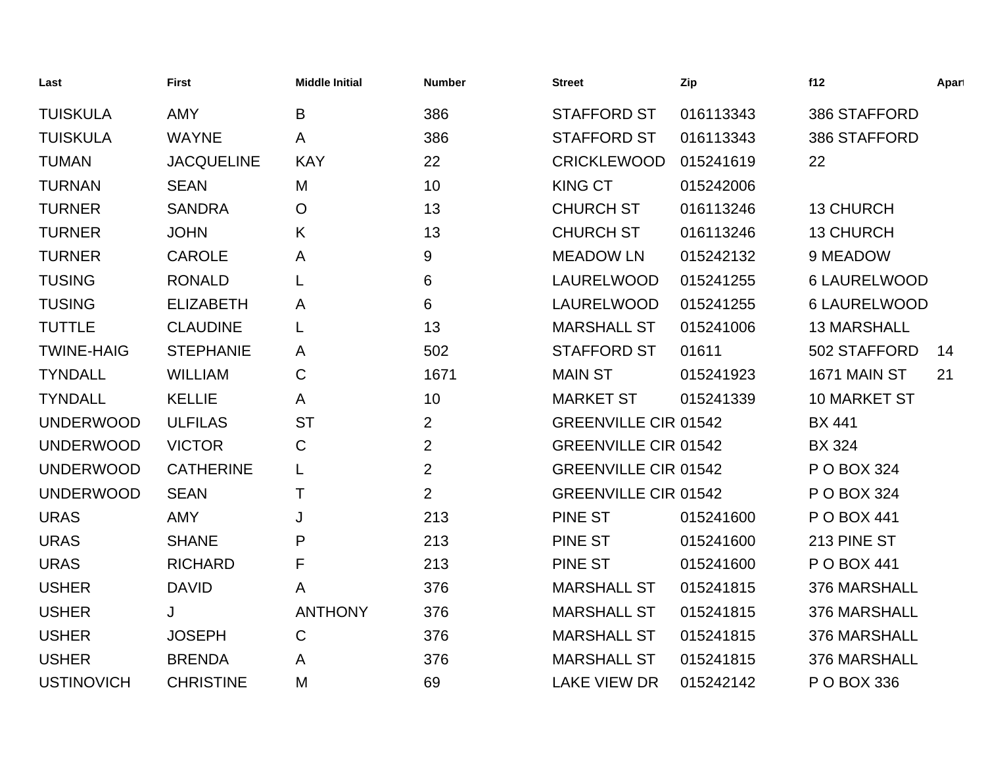| Last              | <b>First</b>      | <b>Middle Initial</b> | <b>Number</b>  | <b>Street</b>               | Zip       | f12                | Apart |
|-------------------|-------------------|-----------------------|----------------|-----------------------------|-----------|--------------------|-------|
| <b>TUISKULA</b>   | <b>AMY</b>        | B                     | 386            | <b>STAFFORD ST</b>          | 016113343 | 386 STAFFORD       |       |
| <b>TUISKULA</b>   | <b>WAYNE</b>      | A                     | 386            | <b>STAFFORD ST</b>          | 016113343 | 386 STAFFORD       |       |
| <b>TUMAN</b>      | <b>JACQUELINE</b> | <b>KAY</b>            | 22             | <b>CRICKLEWOOD</b>          | 015241619 | 22                 |       |
| <b>TURNAN</b>     | <b>SEAN</b>       | M                     | 10             | <b>KING CT</b>              | 015242006 |                    |       |
| <b>TURNER</b>     | <b>SANDRA</b>     | $\overline{O}$        | 13             | <b>CHURCH ST</b>            | 016113246 | <b>13 CHURCH</b>   |       |
| <b>TURNER</b>     | <b>JOHN</b>       | K                     | 13             | <b>CHURCH ST</b>            | 016113246 | <b>13 CHURCH</b>   |       |
| <b>TURNER</b>     | <b>CAROLE</b>     | A                     | 9              | <b>MEADOW LN</b>            | 015242132 | 9 MEADOW           |       |
| <b>TUSING</b>     | <b>RONALD</b>     | L                     | 6              | <b>LAURELWOOD</b>           | 015241255 | 6 LAURELWOOD       |       |
| <b>TUSING</b>     | <b>ELIZABETH</b>  | A                     | 6              | LAURELWOOD                  | 015241255 | 6 LAURELWOOD       |       |
| <b>TUTTLE</b>     | <b>CLAUDINE</b>   | L                     | 13             | <b>MARSHALL ST</b>          | 015241006 | <b>13 MARSHALL</b> |       |
| <b>TWINE-HAIG</b> | <b>STEPHANIE</b>  | A                     | 502            | <b>STAFFORD ST</b>          | 01611     | 502 STAFFORD       | 14    |
| <b>TYNDALL</b>    | <b>WILLIAM</b>    | $\mathbf C$           | 1671           | <b>MAIN ST</b>              | 015241923 | 1671 MAIN ST       | 21    |
| <b>TYNDALL</b>    | <b>KELLIE</b>     | A                     | 10             | <b>MARKET ST</b>            | 015241339 | 10 MARKET ST       |       |
| <b>UNDERWOOD</b>  | <b>ULFILAS</b>    | <b>ST</b>             | $\overline{2}$ | <b>GREENVILLE CIR 01542</b> |           | <b>BX 441</b>      |       |
| <b>UNDERWOOD</b>  | <b>VICTOR</b>     | $\mathbf C$           | $\overline{2}$ | <b>GREENVILLE CIR 01542</b> |           | <b>BX 324</b>      |       |
| <b>UNDERWOOD</b>  | <b>CATHERINE</b>  | L                     | $\overline{2}$ | <b>GREENVILLE CIR 01542</b> |           | P O BOX 324        |       |
| <b>UNDERWOOD</b>  | <b>SEAN</b>       | Τ                     | $\overline{2}$ | <b>GREENVILLE CIR 01542</b> |           | P O BOX 324        |       |
| <b>URAS</b>       | <b>AMY</b>        | J                     | 213            | <b>PINE ST</b>              | 015241600 | P O BOX 441        |       |
| <b>URAS</b>       | <b>SHANE</b>      | P                     | 213            | <b>PINE ST</b>              | 015241600 | 213 PINE ST        |       |
| <b>URAS</b>       | <b>RICHARD</b>    | F                     | 213            | <b>PINE ST</b>              | 015241600 | P O BOX 441        |       |
| <b>USHER</b>      | <b>DAVID</b>      | A                     | 376            | <b>MARSHALL ST</b>          | 015241815 | 376 MARSHALL       |       |
| <b>USHER</b>      | J                 | <b>ANTHONY</b>        | 376            | <b>MARSHALL ST</b>          | 015241815 | 376 MARSHALL       |       |
| <b>USHER</b>      | <b>JOSEPH</b>     | $\mathbf C$           | 376            | <b>MARSHALL ST</b>          | 015241815 | 376 MARSHALL       |       |
| <b>USHER</b>      | <b>BRENDA</b>     | A                     | 376            | <b>MARSHALL ST</b>          | 015241815 | 376 MARSHALL       |       |
| <b>USTINOVICH</b> | <b>CHRISTINE</b>  | M                     | 69             | <b>LAKE VIEW DR</b>         | 015242142 | P O BOX 336        |       |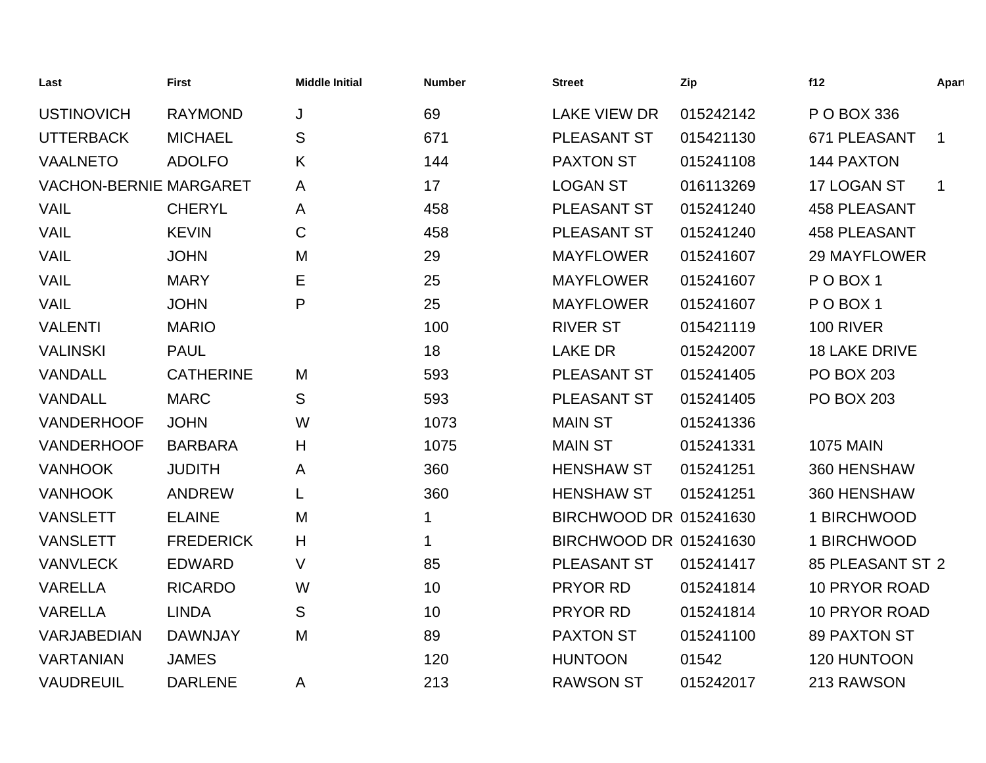| Last                          | <b>First</b>     | <b>Middle Initial</b> | <b>Number</b> | <b>Street</b>          | Zip       | f12                  | Apart       |
|-------------------------------|------------------|-----------------------|---------------|------------------------|-----------|----------------------|-------------|
| <b>USTINOVICH</b>             | <b>RAYMOND</b>   | J                     | 69            | <b>LAKE VIEW DR</b>    | 015242142 | P O BOX 336          |             |
| <b>UTTERBACK</b>              | <b>MICHAEL</b>   | ${\mathsf S}$         | 671           | PLEASANT ST            | 015421130 | 671 PLEASANT         | $\mathbf 1$ |
| <b>VAALNETO</b>               | <b>ADOLFO</b>    | K                     | 144           | <b>PAXTON ST</b>       | 015241108 | <b>144 PAXTON</b>    |             |
| <b>VACHON-BERNIE MARGARET</b> |                  | A                     | 17            | <b>LOGAN ST</b>        | 016113269 | 17 LOGAN ST          | $\mathbf 1$ |
| <b>VAIL</b>                   | <b>CHERYL</b>    | A                     | 458           | PLEASANT ST            | 015241240 | <b>458 PLEASANT</b>  |             |
| <b>VAIL</b>                   | <b>KEVIN</b>     | $\mathbf C$           | 458           | PLEASANT ST            | 015241240 | <b>458 PLEASANT</b>  |             |
| <b>VAIL</b>                   | <b>JOHN</b>      | M                     | 29            | <b>MAYFLOWER</b>       | 015241607 | <b>29 MAYFLOWER</b>  |             |
| <b>VAIL</b>                   | <b>MARY</b>      | E                     | 25            | <b>MAYFLOWER</b>       | 015241607 | POBOX <sub>1</sub>   |             |
| <b>VAIL</b>                   | <b>JOHN</b>      | P                     | 25            | <b>MAYFLOWER</b>       | 015241607 | POBOX <sub>1</sub>   |             |
| <b>VALENTI</b>                | <b>MARIO</b>     |                       | 100           | <b>RIVER ST</b>        | 015421119 | 100 RIVER            |             |
| <b>VALINSKI</b>               | <b>PAUL</b>      |                       | 18            | <b>LAKE DR</b>         | 015242007 | <b>18 LAKE DRIVE</b> |             |
| VANDALL                       | <b>CATHERINE</b> | M                     | 593           | PLEASANT ST            | 015241405 | <b>PO BOX 203</b>    |             |
| VANDALL                       | <b>MARC</b>      | S                     | 593           | PLEASANT ST            | 015241405 | <b>PO BOX 203</b>    |             |
| <b>VANDERHOOF</b>             | <b>JOHN</b>      | W                     | 1073          | <b>MAIN ST</b>         | 015241336 |                      |             |
| <b>VANDERHOOF</b>             | <b>BARBARA</b>   | H                     | 1075          | <b>MAIN ST</b>         | 015241331 | <b>1075 MAIN</b>     |             |
| <b>VANHOOK</b>                | <b>JUDITH</b>    | A                     | 360           | <b>HENSHAW ST</b>      | 015241251 | 360 HENSHAW          |             |
| <b>VANHOOK</b>                | <b>ANDREW</b>    |                       | 360           | <b>HENSHAW ST</b>      | 015241251 | 360 HENSHAW          |             |
| <b>VANSLETT</b>               | <b>ELAINE</b>    | M                     | 1             | BIRCHWOOD DR 015241630 |           | 1 BIRCHWOOD          |             |
| <b>VANSLETT</b>               | <b>FREDERICK</b> | H                     | 1             | BIRCHWOOD DR 015241630 |           | 1 BIRCHWOOD          |             |
| <b>VANVLECK</b>               | <b>EDWARD</b>    | V                     | 85            | PLEASANT ST            | 015241417 | 85 PLEASANT ST 2     |             |
| <b>VARELLA</b>                | <b>RICARDO</b>   | W                     | 10            | PRYOR RD               | 015241814 | 10 PRYOR ROAD        |             |
| <b>VARELLA</b>                | <b>LINDA</b>     | S                     | 10            | PRYOR RD               | 015241814 | <b>10 PRYOR ROAD</b> |             |
| VARJABEDIAN                   | <b>DAWNJAY</b>   | M                     | 89            | <b>PAXTON ST</b>       | 015241100 | <b>89 PAXTON ST</b>  |             |
| <b>VARTANIAN</b>              | <b>JAMES</b>     |                       | 120           | <b>HUNTOON</b>         | 01542     | 120 HUNTOON          |             |
| <b>VAUDREUIL</b>              | <b>DARLENE</b>   | A                     | 213           | <b>RAWSON ST</b>       | 015242017 | 213 RAWSON           |             |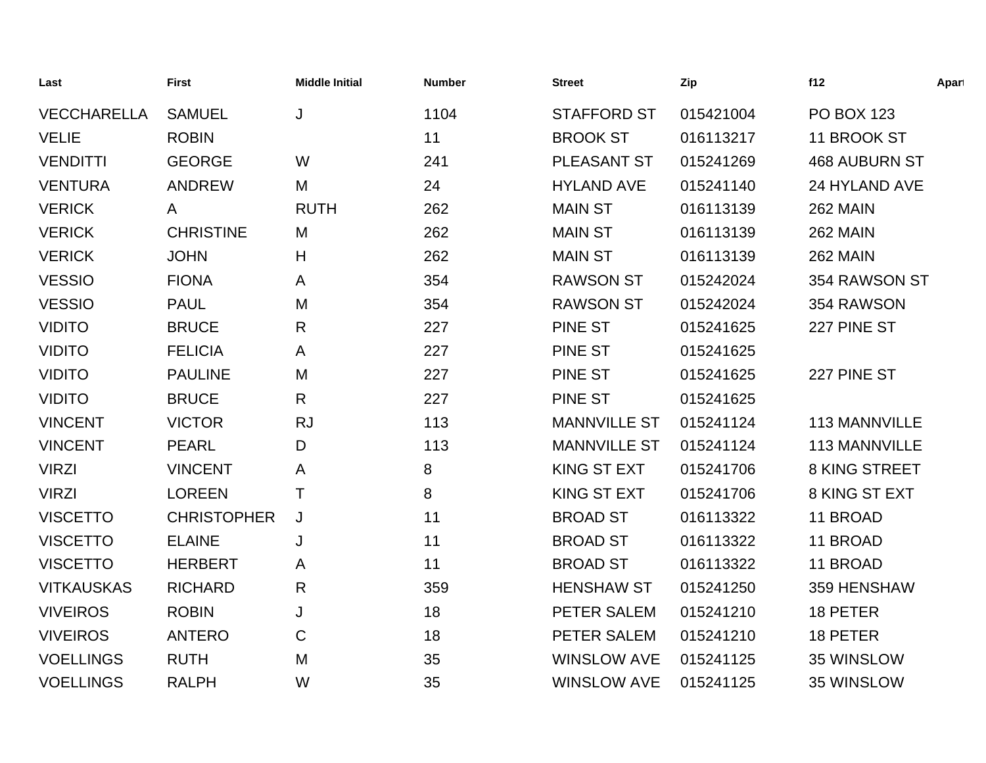| Last               | <b>First</b>       | <b>Middle Initial</b> | <b>Number</b> | <b>Street</b>       | Zip       | f12                  | Apart |
|--------------------|--------------------|-----------------------|---------------|---------------------|-----------|----------------------|-------|
| <b>VECCHARELLA</b> | <b>SAMUEL</b>      | J                     | 1104          | <b>STAFFORD ST</b>  | 015421004 | <b>PO BOX 123</b>    |       |
| <b>VELIE</b>       | <b>ROBIN</b>       |                       | 11            | <b>BROOK ST</b>     | 016113217 | 11 BROOK ST          |       |
| <b>VENDITTI</b>    | <b>GEORGE</b>      | W                     | 241           | PLEASANT ST         | 015241269 | <b>468 AUBURN ST</b> |       |
| <b>VENTURA</b>     | <b>ANDREW</b>      | M                     | 24            | <b>HYLAND AVE</b>   | 015241140 | 24 HYLAND AVE        |       |
| <b>VERICK</b>      | A                  | <b>RUTH</b>           | 262           | <b>MAIN ST</b>      | 016113139 | <b>262 MAIN</b>      |       |
| <b>VERICK</b>      | <b>CHRISTINE</b>   | M                     | 262           | <b>MAIN ST</b>      | 016113139 | <b>262 MAIN</b>      |       |
| <b>VERICK</b>      | <b>JOHN</b>        | H                     | 262           | <b>MAIN ST</b>      | 016113139 | <b>262 MAIN</b>      |       |
| <b>VESSIO</b>      | <b>FIONA</b>       | A                     | 354           | <b>RAWSON ST</b>    | 015242024 | 354 RAWSON ST        |       |
| <b>VESSIO</b>      | <b>PAUL</b>        | M                     | 354           | <b>RAWSON ST</b>    | 015242024 | 354 RAWSON           |       |
| <b>VIDITO</b>      | <b>BRUCE</b>       | $\mathsf{R}$          | 227           | <b>PINE ST</b>      | 015241625 | 227 PINE ST          |       |
| <b>VIDITO</b>      | <b>FELICIA</b>     | A                     | 227           | PINE ST             | 015241625 |                      |       |
| <b>VIDITO</b>      | <b>PAULINE</b>     | M                     | 227           | <b>PINE ST</b>      | 015241625 | 227 PINE ST          |       |
| <b>VIDITO</b>      | <b>BRUCE</b>       | $\mathsf{R}$          | 227           | <b>PINE ST</b>      | 015241625 |                      |       |
| <b>VINCENT</b>     | <b>VICTOR</b>      | <b>RJ</b>             | 113           | <b>MANNVILLE ST</b> | 015241124 | 113 MANNVILLE        |       |
| <b>VINCENT</b>     | <b>PEARL</b>       | D                     | 113           | <b>MANNVILLE ST</b> | 015241124 | 113 MANNVILLE        |       |
| <b>VIRZI</b>       | <b>VINCENT</b>     | A                     | 8             | KING ST EXT         | 015241706 | 8 KING STREET        |       |
| <b>VIRZI</b>       | <b>LOREEN</b>      | Τ                     | 8             | <b>KING ST EXT</b>  | 015241706 | 8 KING ST EXT        |       |
| <b>VISCETTO</b>    | <b>CHRISTOPHER</b> | J                     | 11            | <b>BROAD ST</b>     | 016113322 | 11 BROAD             |       |
| <b>VISCETTO</b>    | <b>ELAINE</b>      | J                     | 11            | <b>BROAD ST</b>     | 016113322 | 11 BROAD             |       |
| <b>VISCETTO</b>    | <b>HERBERT</b>     | A                     | 11            | <b>BROAD ST</b>     | 016113322 | 11 BROAD             |       |
| <b>VITKAUSKAS</b>  | <b>RICHARD</b>     | $\mathsf{R}$          | 359           | <b>HENSHAW ST</b>   | 015241250 | 359 HENSHAW          |       |
| <b>VIVEIROS</b>    | <b>ROBIN</b>       | J                     | 18            | PETER SALEM         | 015241210 | 18 PETER             |       |
| <b>VIVEIROS</b>    | <b>ANTERO</b>      | $\mathsf C$           | 18            | PETER SALEM         | 015241210 | 18 PETER             |       |
| <b>VOELLINGS</b>   | <b>RUTH</b>        | M                     | 35            | <b>WINSLOW AVE</b>  | 015241125 | 35 WINSLOW           |       |
| <b>VOELLINGS</b>   | <b>RALPH</b>       | W                     | 35            | <b>WINSLOW AVE</b>  | 015241125 | 35 WINSLOW           |       |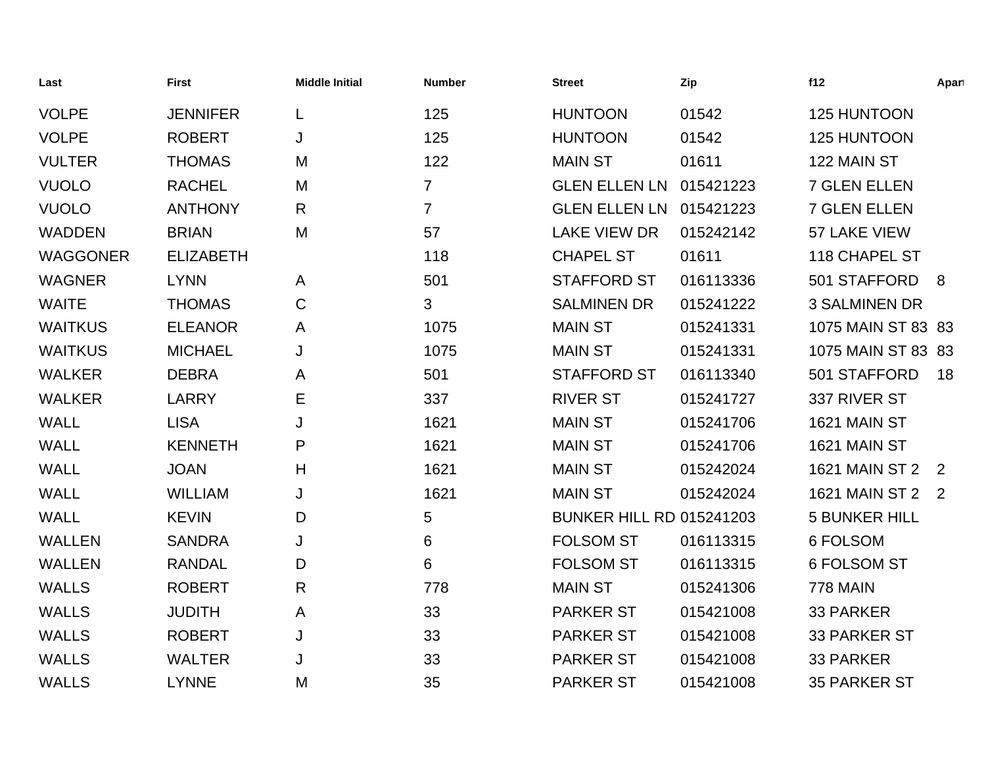| Last            | <b>First</b>     | <b>Middle Initial</b> | <b>Number</b>  | <b>Street</b>                   | Zip       | f12                  | Apart |
|-----------------|------------------|-----------------------|----------------|---------------------------------|-----------|----------------------|-------|
| <b>VOLPE</b>    | <b>JENNIFER</b>  | L                     | 125            | <b>HUNTOON</b>                  | 01542     | 125 HUNTOON          |       |
| <b>VOLPE</b>    | <b>ROBERT</b>    | J                     | 125            | <b>HUNTOON</b>                  | 01542     | 125 HUNTOON          |       |
| <b>VULTER</b>   | <b>THOMAS</b>    | M                     | 122            | <b>MAIN ST</b>                  | 01611     | 122 MAIN ST          |       |
| <b>VUOLO</b>    | <b>RACHEL</b>    | M                     | $\overline{7}$ | <b>GLEN ELLEN LN</b>            | 015421223 | <b>7 GLEN ELLEN</b>  |       |
| <b>VUOLO</b>    | <b>ANTHONY</b>   | R                     | $\overline{7}$ | <b>GLEN ELLEN LN</b>            | 015421223 | <b>7 GLEN ELLEN</b>  |       |
| <b>WADDEN</b>   | <b>BRIAN</b>     | M                     | 57             | <b>LAKE VIEW DR</b>             | 015242142 | 57 LAKE VIEW         |       |
| <b>WAGGONER</b> | <b>ELIZABETH</b> |                       | 118            | <b>CHAPEL ST</b>                | 01611     | 118 CHAPEL ST        |       |
| <b>WAGNER</b>   | <b>LYNN</b>      | A                     | 501            | <b>STAFFORD ST</b>              | 016113336 | 501 STAFFORD         | - 8   |
| <b>WAITE</b>    | <b>THOMAS</b>    | $\mathbf C$           | 3              | <b>SALMINEN DR</b>              | 015241222 | <b>3 SALMINEN DR</b> |       |
| <b>WAITKUS</b>  | <b>ELEANOR</b>   | A                     | 1075           | <b>MAIN ST</b>                  | 015241331 | 1075 MAIN ST 83 83   |       |
| <b>WAITKUS</b>  | <b>MICHAEL</b>   | J                     | 1075           | <b>MAIN ST</b>                  | 015241331 | 1075 MAIN ST 83 83   |       |
| <b>WALKER</b>   | <b>DEBRA</b>     | A                     | 501            | <b>STAFFORD ST</b>              | 016113340 | 501 STAFFORD         | 18    |
| <b>WALKER</b>   | <b>LARRY</b>     | E                     | 337            | <b>RIVER ST</b>                 | 015241727 | 337 RIVER ST         |       |
| <b>WALL</b>     | <b>LISA</b>      | J                     | 1621           | <b>MAIN ST</b>                  | 015241706 | 1621 MAIN ST         |       |
| <b>WALL</b>     | <b>KENNETH</b>   | P                     | 1621           | <b>MAIN ST</b>                  | 015241706 | 1621 MAIN ST         |       |
| <b>WALL</b>     | <b>JOAN</b>      | Н                     | 1621           | <b>MAIN ST</b>                  | 015242024 | 1621 MAIN ST 2 2     |       |
| <b>WALL</b>     | <b>WILLIAM</b>   | J                     | 1621           | <b>MAIN ST</b>                  | 015242024 | 1621 MAIN ST 2 2     |       |
| <b>WALL</b>     | <b>KEVIN</b>     | D                     | 5              | <b>BUNKER HILL RD 015241203</b> |           | <b>5 BUNKER HILL</b> |       |
| <b>WALLEN</b>   | <b>SANDRA</b>    | J                     | 6              | <b>FOLSOM ST</b>                | 016113315 | 6 FOLSOM             |       |
| <b>WALLEN</b>   | <b>RANDAL</b>    | D                     | 6              | <b>FOLSOM ST</b>                | 016113315 | 6 FOLSOM ST          |       |
| <b>WALLS</b>    | <b>ROBERT</b>    | $\mathsf{R}$          | 778            | <b>MAIN ST</b>                  | 015241306 | <b>778 MAIN</b>      |       |
| <b>WALLS</b>    | <b>JUDITH</b>    | A                     | 33             | <b>PARKER ST</b>                | 015421008 | <b>33 PARKER</b>     |       |
| <b>WALLS</b>    | <b>ROBERT</b>    | J                     | 33             | <b>PARKER ST</b>                | 015421008 | 33 PARKER ST         |       |
| <b>WALLS</b>    | <b>WALTER</b>    | J                     | 33             | <b>PARKER ST</b>                | 015421008 | 33 PARKER            |       |
| <b>WALLS</b>    | <b>LYNNE</b>     | M                     | 35             | <b>PARKER ST</b>                | 015421008 | <b>35 PARKER ST</b>  |       |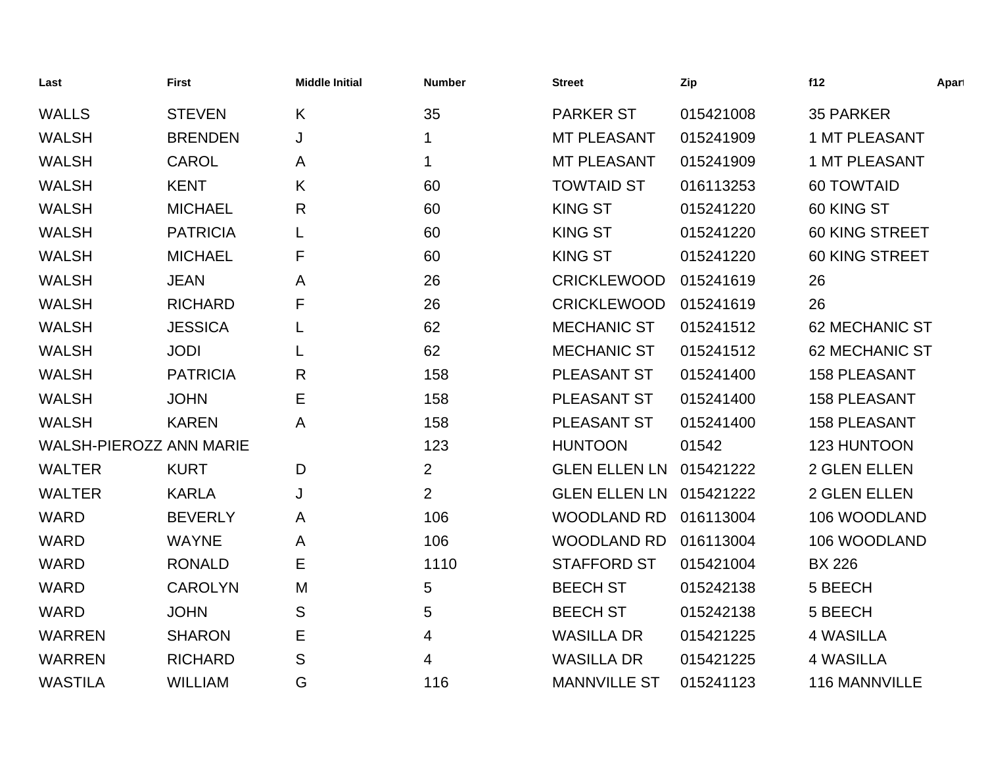| Last                           | <b>First</b>    | <b>Middle Initial</b> | <b>Number</b>  | <b>Street</b>        | Zip       | f12                   | Apart |
|--------------------------------|-----------------|-----------------------|----------------|----------------------|-----------|-----------------------|-------|
| <b>WALLS</b>                   | <b>STEVEN</b>   | K                     | 35             | <b>PARKER ST</b>     | 015421008 | <b>35 PARKER</b>      |       |
| <b>WALSH</b>                   | <b>BRENDEN</b>  | J                     | 1              | <b>MT PLEASANT</b>   | 015241909 | 1 MT PLEASANT         |       |
| <b>WALSH</b>                   | <b>CAROL</b>    | A                     | 1              | <b>MT PLEASANT</b>   | 015241909 | <b>1 MT PLEASANT</b>  |       |
| <b>WALSH</b>                   | <b>KENT</b>     | K                     | 60             | <b>TOWTAID ST</b>    | 016113253 | <b>60 TOWTAID</b>     |       |
| <b>WALSH</b>                   | <b>MICHAEL</b>  | $\mathsf{R}$          | 60             | <b>KING ST</b>       | 015241220 | 60 KING ST            |       |
| <b>WALSH</b>                   | <b>PATRICIA</b> |                       | 60             | <b>KING ST</b>       | 015241220 | 60 KING STREET        |       |
| <b>WALSH</b>                   | <b>MICHAEL</b>  | F                     | 60             | <b>KING ST</b>       | 015241220 | <b>60 KING STREET</b> |       |
| <b>WALSH</b>                   | <b>JEAN</b>     | A                     | 26             | <b>CRICKLEWOOD</b>   | 015241619 | 26                    |       |
| <b>WALSH</b>                   | <b>RICHARD</b>  | F                     | 26             | <b>CRICKLEWOOD</b>   | 015241619 | 26                    |       |
| <b>WALSH</b>                   | <b>JESSICA</b>  |                       | 62             | <b>MECHANIC ST</b>   | 015241512 | 62 MECHANIC ST        |       |
| <b>WALSH</b>                   | <b>JODI</b>     | L                     | 62             | <b>MECHANIC ST</b>   | 015241512 | <b>62 MECHANIC ST</b> |       |
| <b>WALSH</b>                   | <b>PATRICIA</b> | $\mathsf{R}$          | 158            | PLEASANT ST          | 015241400 | <b>158 PLEASANT</b>   |       |
| <b>WALSH</b>                   | <b>JOHN</b>     | Ε                     | 158            | PLEASANT ST          | 015241400 | <b>158 PLEASANT</b>   |       |
| <b>WALSH</b>                   | <b>KAREN</b>    | A                     | 158            | PLEASANT ST          | 015241400 | <b>158 PLEASANT</b>   |       |
| <b>WALSH-PIEROZZ ANN MARIE</b> |                 |                       | 123            | <b>HUNTOON</b>       | 01542     | 123 HUNTOON           |       |
| <b>WALTER</b>                  | <b>KURT</b>     | D                     | $\overline{2}$ | <b>GLEN ELLEN LN</b> | 015421222 | 2 GLEN ELLEN          |       |
| <b>WALTER</b>                  | <b>KARLA</b>    | J                     | $\overline{2}$ | <b>GLEN ELLEN LN</b> | 015421222 | 2 GLEN ELLEN          |       |
| <b>WARD</b>                    | <b>BEVERLY</b>  | Α                     | 106            | <b>WOODLAND RD</b>   | 016113004 | 106 WOODLAND          |       |
| <b>WARD</b>                    | <b>WAYNE</b>    | Α                     | 106            | <b>WOODLAND RD</b>   | 016113004 | 106 WOODLAND          |       |
| <b>WARD</b>                    | <b>RONALD</b>   | Е                     | 1110           | <b>STAFFORD ST</b>   | 015421004 | <b>BX 226</b>         |       |
| <b>WARD</b>                    | <b>CAROLYN</b>  | M                     | 5              | <b>BEECH ST</b>      | 015242138 | 5 BEECH               |       |
| <b>WARD</b>                    | <b>JOHN</b>     | S                     | 5              | <b>BEECH ST</b>      | 015242138 | 5 BEECH               |       |
| <b>WARREN</b>                  | <b>SHARON</b>   | Е                     | 4              | <b>WASILLA DR</b>    | 015421225 | <b>4 WASILLA</b>      |       |
| <b>WARREN</b>                  | <b>RICHARD</b>  | S                     | 4              | <b>WASILLA DR</b>    | 015421225 | <b>4 WASILLA</b>      |       |
| <b>WASTILA</b>                 | <b>WILLIAM</b>  | G                     | 116            | <b>MANNVILLE ST</b>  | 015241123 | <b>116 MANNVILLE</b>  |       |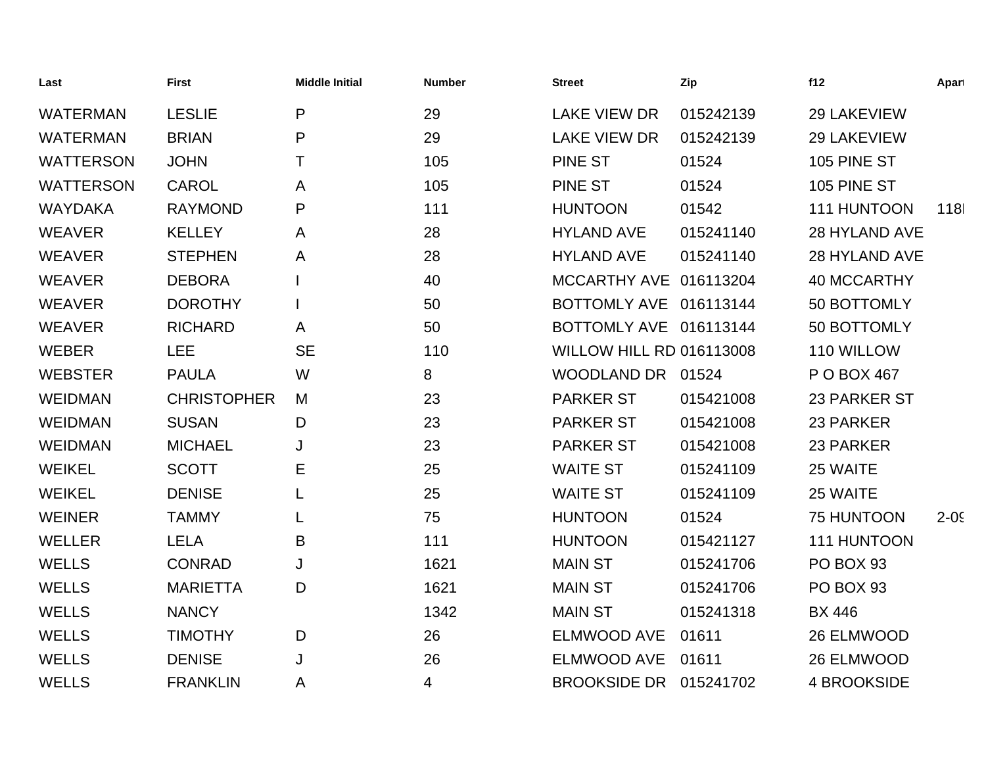| Last             | <b>First</b>       | <b>Middle Initial</b> | <b>Number</b> | <b>Street</b>                   | Zip       | f12                | Apart    |
|------------------|--------------------|-----------------------|---------------|---------------------------------|-----------|--------------------|----------|
| <b>WATERMAN</b>  | <b>LESLIE</b>      | P                     | 29            | <b>LAKE VIEW DR</b>             | 015242139 | 29 LAKEVIEW        |          |
| <b>WATERMAN</b>  | <b>BRIAN</b>       | $\mathsf{P}$          | 29            | <b>LAKE VIEW DR</b>             | 015242139 | 29 LAKEVIEW        |          |
| <b>WATTERSON</b> | <b>JOHN</b>        | Τ                     | 105           | <b>PINE ST</b>                  | 01524     | 105 PINE ST        |          |
| <b>WATTERSON</b> | <b>CAROL</b>       | A                     | 105           | <b>PINE ST</b>                  | 01524     | 105 PINE ST        |          |
| <b>WAYDAKA</b>   | <b>RAYMOND</b>     | P                     | 111           | <b>HUNTOON</b>                  | 01542     | 111 HUNTOON        | 118      |
| <b>WEAVER</b>    | <b>KELLEY</b>      | A                     | 28            | <b>HYLAND AVE</b>               | 015241140 | 28 HYLAND AVE      |          |
| <b>WEAVER</b>    | <b>STEPHEN</b>     | A                     | 28            | <b>HYLAND AVE</b>               | 015241140 | 28 HYLAND AVE      |          |
| <b>WEAVER</b>    | <b>DEBORA</b>      |                       | 40            | MCCARTHY AVE 016113204          |           | <b>40 MCCARTHY</b> |          |
| <b>WEAVER</b>    | <b>DOROTHY</b>     |                       | 50            | BOTTOMLY AVE 016113144          |           | 50 BOTTOMLY        |          |
| <b>WEAVER</b>    | <b>RICHARD</b>     | A                     | 50            | BOTTOMLY AVE 016113144          |           | 50 BOTTOMLY        |          |
| <b>WEBER</b>     | <b>LEE</b>         | <b>SE</b>             | 110           | <b>WILLOW HILL RD 016113008</b> |           | 110 WILLOW         |          |
| <b>WEBSTER</b>   | <b>PAULA</b>       | W                     | 8             | WOODLAND DR 01524               |           | P O BOX 467        |          |
| <b>WEIDMAN</b>   | <b>CHRISTOPHER</b> | M                     | 23            | <b>PARKER ST</b>                | 015421008 | 23 PARKER ST       |          |
| <b>WEIDMAN</b>   | <b>SUSAN</b>       | D                     | 23            | <b>PARKER ST</b>                | 015421008 | 23 PARKER          |          |
| <b>WEIDMAN</b>   | <b>MICHAEL</b>     | J                     | 23            | <b>PARKER ST</b>                | 015421008 | 23 PARKER          |          |
| <b>WEIKEL</b>    | <b>SCOTT</b>       | Е                     | 25            | <b>WAITE ST</b>                 | 015241109 | 25 WAITE           |          |
| <b>WEIKEL</b>    | <b>DENISE</b>      | L                     | 25            | <b>WAITE ST</b>                 | 015241109 | 25 WAITE           |          |
| <b>WEINER</b>    | <b>TAMMY</b>       | L                     | 75            | <b>HUNTOON</b>                  | 01524     | 75 HUNTOON         | $2 - 05$ |
| <b>WELLER</b>    | <b>LELA</b>        | B                     | 111           | <b>HUNTOON</b>                  | 015421127 | 111 HUNTOON        |          |
| <b>WELLS</b>     | <b>CONRAD</b>      | J                     | 1621          | <b>MAIN ST</b>                  | 015241706 | PO BOX 93          |          |
| <b>WELLS</b>     | <b>MARIETTA</b>    | D                     | 1621          | <b>MAIN ST</b>                  | 015241706 | PO BOX 93          |          |
| <b>WELLS</b>     | <b>NANCY</b>       |                       | 1342          | <b>MAIN ST</b>                  | 015241318 | <b>BX 446</b>      |          |
| <b>WELLS</b>     | <b>TIMOTHY</b>     | D                     | 26            | <b>ELMWOOD AVE</b>              | 01611     | 26 ELMWOOD         |          |
| <b>WELLS</b>     | <b>DENISE</b>      | J                     | 26            | <b>ELMWOOD AVE</b>              | 01611     | 26 ELMWOOD         |          |
| <b>WELLS</b>     | <b>FRANKLIN</b>    | A                     | 4             | <b>BROOKSIDE DR</b>             | 015241702 | <b>4 BROOKSIDE</b> |          |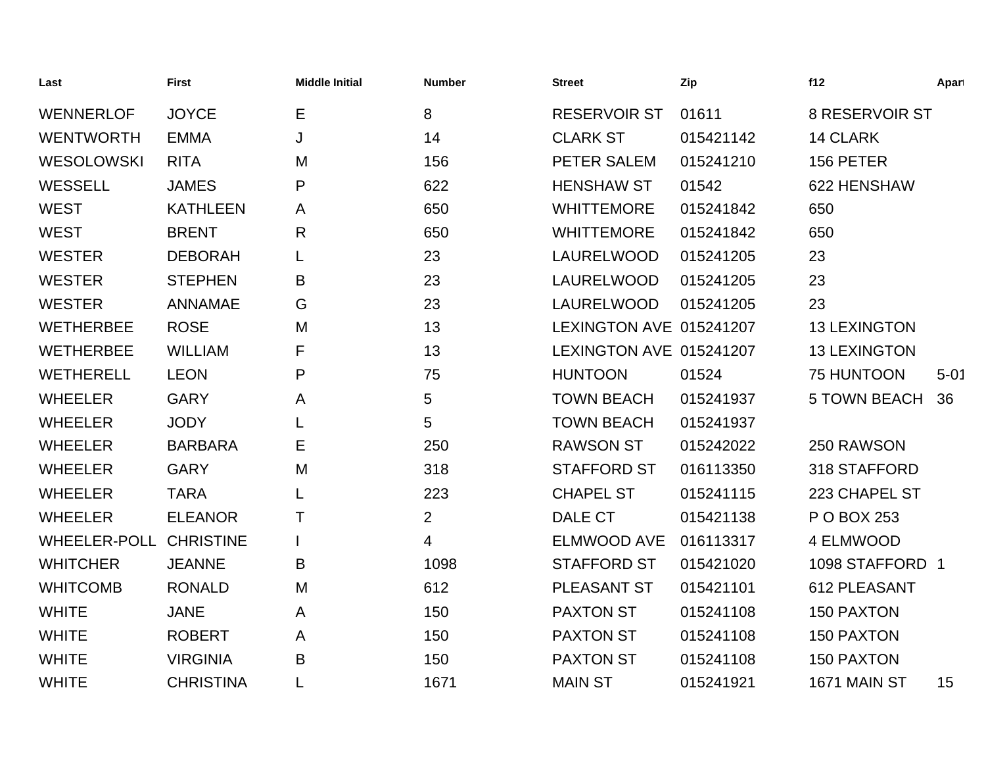| Last                | <b>First</b>     | <b>Middle Initial</b> | <b>Number</b>  | <b>Street</b>           | Zip       | f12                   | Apart    |
|---------------------|------------------|-----------------------|----------------|-------------------------|-----------|-----------------------|----------|
| <b>WENNERLOF</b>    | <b>JOYCE</b>     | Е                     | 8              | <b>RESERVOIR ST</b>     | 01611     | <b>8 RESERVOIR ST</b> |          |
| <b>WENTWORTH</b>    | <b>EMMA</b>      | J                     | 14             | <b>CLARK ST</b>         | 015421142 | <b>14 CLARK</b>       |          |
| <b>WESOLOWSKI</b>   | <b>RITA</b>      | M                     | 156            | PETER SALEM             | 015241210 | 156 PETER             |          |
| <b>WESSELL</b>      | <b>JAMES</b>     | P                     | 622            | <b>HENSHAW ST</b>       | 01542     | 622 HENSHAW           |          |
| <b>WEST</b>         | <b>KATHLEEN</b>  | A                     | 650            | <b>WHITTEMORE</b>       | 015241842 | 650                   |          |
| <b>WEST</b>         | <b>BRENT</b>     | R                     | 650            | <b>WHITTEMORE</b>       | 015241842 | 650                   |          |
| <b>WESTER</b>       | <b>DEBORAH</b>   | L                     | 23             | LAURELWOOD              | 015241205 | 23                    |          |
| <b>WESTER</b>       | <b>STEPHEN</b>   | B                     | 23             | LAURELWOOD              | 015241205 | 23                    |          |
| <b>WESTER</b>       | <b>ANNAMAE</b>   | G                     | 23             | LAURELWOOD              | 015241205 | 23                    |          |
| <b>WETHERBEE</b>    | <b>ROSE</b>      | M                     | 13             | LEXINGTON AVE 015241207 |           | <b>13 LEXINGTON</b>   |          |
| <b>WETHERBEE</b>    | <b>WILLIAM</b>   | F                     | 13             | LEXINGTON AVE 015241207 |           | <b>13 LEXINGTON</b>   |          |
| <b>WETHERELL</b>    | <b>LEON</b>      | P                     | 75             | <b>HUNTOON</b>          | 01524     | 75 HUNTOON            | $5 - 01$ |
| <b>WHEELER</b>      | <b>GARY</b>      | A                     | 5              | <b>TOWN BEACH</b>       | 015241937 | <b>5 TOWN BEACH</b>   | 36       |
| <b>WHEELER</b>      | <b>JODY</b>      |                       | 5              | <b>TOWN BEACH</b>       | 015241937 |                       |          |
| <b>WHEELER</b>      | <b>BARBARA</b>   | Е                     | 250            | <b>RAWSON ST</b>        | 015242022 | 250 RAWSON            |          |
| <b>WHEELER</b>      | <b>GARY</b>      | M                     | 318            | <b>STAFFORD ST</b>      | 016113350 | 318 STAFFORD          |          |
| <b>WHEELER</b>      | <b>TARA</b>      |                       | 223            | <b>CHAPEL ST</b>        | 015241115 | 223 CHAPEL ST         |          |
| <b>WHEELER</b>      | <b>ELEANOR</b>   | Τ                     | $\overline{2}$ | DALE CT                 | 015421138 | P O BOX 253           |          |
| <b>WHEELER-POLL</b> | <b>CHRISTINE</b> |                       | 4              | ELMWOOD AVE             | 016113317 | 4 ELMWOOD             |          |
| <b>WHITCHER</b>     | <b>JEANNE</b>    | B                     | 1098           | <b>STAFFORD ST</b>      | 015421020 | 1098 STAFFORD 1       |          |
| <b>WHITCOMB</b>     | <b>RONALD</b>    | M                     | 612            | PLEASANT ST             | 015421101 | 612 PLEASANT          |          |
| <b>WHITE</b>        | <b>JANE</b>      | A                     | 150            | <b>PAXTON ST</b>        | 015241108 | <b>150 PAXTON</b>     |          |
| <b>WHITE</b>        | <b>ROBERT</b>    | A                     | 150            | <b>PAXTON ST</b>        | 015241108 | <b>150 PAXTON</b>     |          |
| <b>WHITE</b>        | <b>VIRGINIA</b>  | B                     | 150            | <b>PAXTON ST</b>        | 015241108 | <b>150 PAXTON</b>     |          |
| <b>WHITE</b>        | <b>CHRISTINA</b> | L                     | 1671           | <b>MAIN ST</b>          | 015241921 | <b>1671 MAIN ST</b>   | 15       |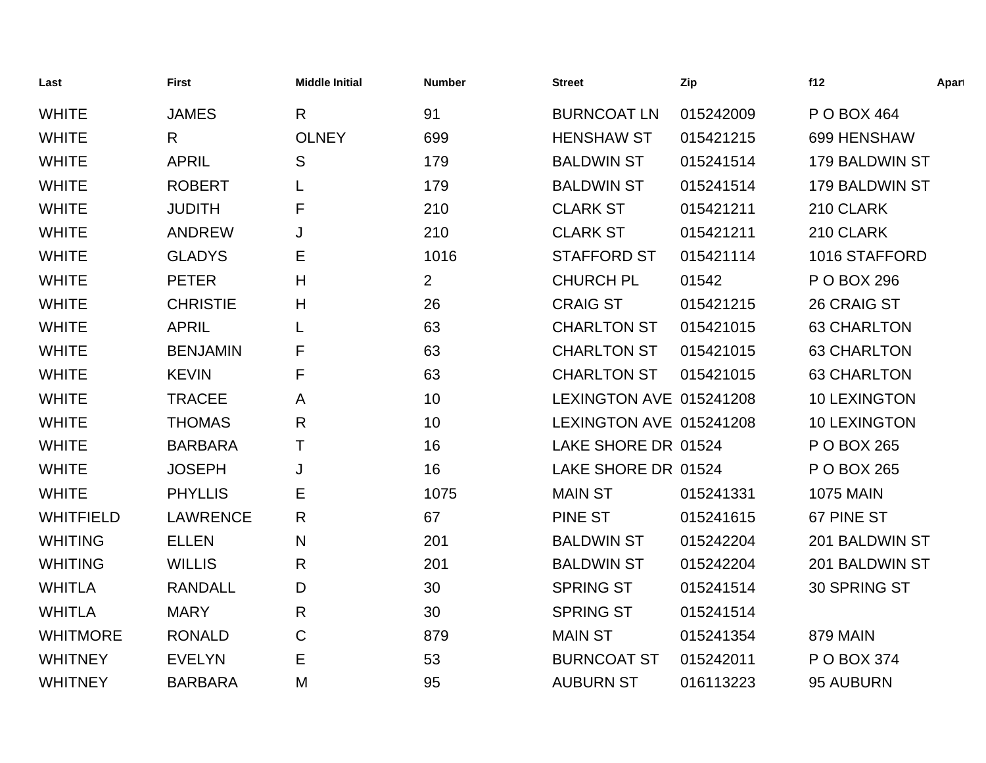| Last             | <b>First</b>    | <b>Middle Initial</b> | <b>Number</b>  | <b>Street</b>           | Zip       | f12                 | Apart |
|------------------|-----------------|-----------------------|----------------|-------------------------|-----------|---------------------|-------|
| <b>WHITE</b>     | <b>JAMES</b>    | R                     | 91             | <b>BURNCOAT LN</b>      | 015242009 | P O BOX 464         |       |
| <b>WHITE</b>     | $\mathsf{R}$    | <b>OLNEY</b>          | 699            | <b>HENSHAW ST</b>       | 015421215 | 699 HENSHAW         |       |
| <b>WHITE</b>     | <b>APRIL</b>    | S                     | 179            | <b>BALDWIN ST</b>       | 015241514 | 179 BALDWIN ST      |       |
| <b>WHITE</b>     | <b>ROBERT</b>   |                       | 179            | <b>BALDWIN ST</b>       | 015241514 | 179 BALDWIN ST      |       |
| <b>WHITE</b>     | <b>JUDITH</b>   | F                     | 210            | <b>CLARK ST</b>         | 015421211 | 210 CLARK           |       |
| <b>WHITE</b>     | <b>ANDREW</b>   | J                     | 210            | <b>CLARK ST</b>         | 015421211 | 210 CLARK           |       |
| <b>WHITE</b>     | <b>GLADYS</b>   | Е                     | 1016           | <b>STAFFORD ST</b>      | 015421114 | 1016 STAFFORD       |       |
| <b>WHITE</b>     | <b>PETER</b>    | Н                     | $\overline{2}$ | <b>CHURCH PL</b>        | 01542     | P O BOX 296         |       |
| <b>WHITE</b>     | <b>CHRISTIE</b> | H                     | 26             | <b>CRAIG ST</b>         | 015421215 | 26 CRAIG ST         |       |
| <b>WHITE</b>     | <b>APRIL</b>    |                       | 63             | <b>CHARLTON ST</b>      | 015421015 | <b>63 CHARLTON</b>  |       |
| <b>WHITE</b>     | <b>BENJAMIN</b> | F                     | 63             | <b>CHARLTON ST</b>      | 015421015 | <b>63 CHARLTON</b>  |       |
| <b>WHITE</b>     | <b>KEVIN</b>    | F                     | 63             | <b>CHARLTON ST</b>      | 015421015 | <b>63 CHARLTON</b>  |       |
| <b>WHITE</b>     | <b>TRACEE</b>   | A                     | 10             | LEXINGTON AVE 015241208 |           | 10 LEXINGTON        |       |
| <b>WHITE</b>     | <b>THOMAS</b>   | R                     | 10             | LEXINGTON AVE 015241208 |           | <b>10 LEXINGTON</b> |       |
| <b>WHITE</b>     | <b>BARBARA</b>  | Т                     | 16             | LAKE SHORE DR 01524     |           | P O BOX 265         |       |
| <b>WHITE</b>     | <b>JOSEPH</b>   | J                     | 16             | LAKE SHORE DR 01524     |           | P O BOX 265         |       |
| <b>WHITE</b>     | <b>PHYLLIS</b>  | Е                     | 1075           | <b>MAIN ST</b>          | 015241331 | <b>1075 MAIN</b>    |       |
| <b>WHITFIELD</b> | <b>LAWRENCE</b> | R                     | 67             | PINE ST                 | 015241615 | 67 PINE ST          |       |
| <b>WHITING</b>   | <b>ELLEN</b>    | N                     | 201            | <b>BALDWIN ST</b>       | 015242204 | 201 BALDWIN ST      |       |
| <b>WHITING</b>   | <b>WILLIS</b>   | R                     | 201            | <b>BALDWIN ST</b>       | 015242204 | 201 BALDWIN ST      |       |
| <b>WHITLA</b>    | <b>RANDALL</b>  | D                     | 30             | <b>SPRING ST</b>        | 015241514 | 30 SPRING ST        |       |
| <b>WHITLA</b>    | <b>MARY</b>     | R                     | 30             | <b>SPRING ST</b>        | 015241514 |                     |       |
| <b>WHITMORE</b>  | <b>RONALD</b>   | C                     | 879            | <b>MAIN ST</b>          | 015241354 | 879 MAIN            |       |
| <b>WHITNEY</b>   | <b>EVELYN</b>   | Е                     | 53             | <b>BURNCOAT ST</b>      | 015242011 | P O BOX 374         |       |
| <b>WHITNEY</b>   | <b>BARBARA</b>  | M                     | 95             | <b>AUBURN ST</b>        | 016113223 | 95 AUBURN           |       |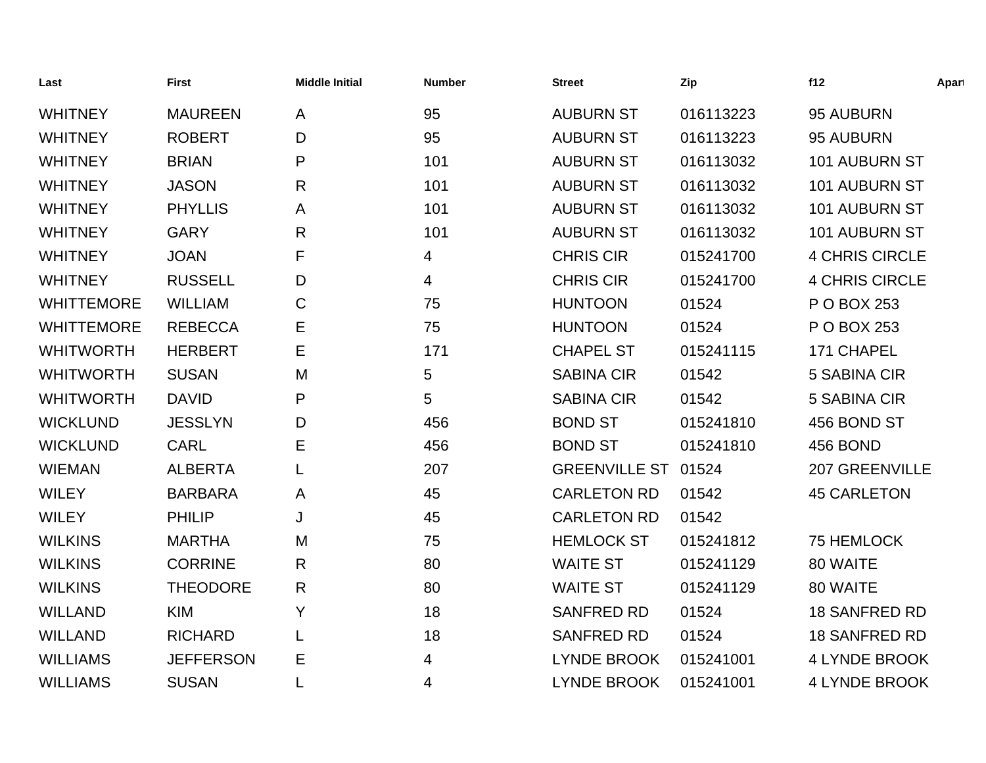| Last              | <b>First</b>     | <b>Middle Initial</b> | <b>Number</b> | <b>Street</b>        | Zip       | f12                   | Apart |
|-------------------|------------------|-----------------------|---------------|----------------------|-----------|-----------------------|-------|
| <b>WHITNEY</b>    | <b>MAUREEN</b>   | A                     | 95            | <b>AUBURN ST</b>     | 016113223 | 95 AUBURN             |       |
| <b>WHITNEY</b>    | <b>ROBERT</b>    | D                     | 95            | <b>AUBURN ST</b>     | 016113223 | 95 AUBURN             |       |
| <b>WHITNEY</b>    | <b>BRIAN</b>     | P                     | 101           | <b>AUBURN ST</b>     | 016113032 | <b>101 AUBURN ST</b>  |       |
| <b>WHITNEY</b>    | <b>JASON</b>     | $\mathsf{R}$          | 101           | <b>AUBURN ST</b>     | 016113032 | 101 AUBURN ST         |       |
| <b>WHITNEY</b>    | <b>PHYLLIS</b>   | A                     | 101           | <b>AUBURN ST</b>     | 016113032 | 101 AUBURN ST         |       |
| <b>WHITNEY</b>    | <b>GARY</b>      | $\mathsf{R}$          | 101           | <b>AUBURN ST</b>     | 016113032 | <b>101 AUBURN ST</b>  |       |
| <b>WHITNEY</b>    | <b>JOAN</b>      | F                     | 4             | <b>CHRIS CIR</b>     | 015241700 | <b>4 CHRIS CIRCLE</b> |       |
| <b>WHITNEY</b>    | <b>RUSSELL</b>   | D                     | 4             | <b>CHRIS CIR</b>     | 015241700 | <b>4 CHRIS CIRCLE</b> |       |
| <b>WHITTEMORE</b> | <b>WILLIAM</b>   | $\mathbf C$           | 75            | <b>HUNTOON</b>       | 01524     | P O BOX 253           |       |
| <b>WHITTEMORE</b> | <b>REBECCA</b>   | Е                     | 75            | <b>HUNTOON</b>       | 01524     | P O BOX 253           |       |
| <b>WHITWORTH</b>  | <b>HERBERT</b>   | Е                     | 171           | <b>CHAPEL ST</b>     | 015241115 | 171 CHAPEL            |       |
| <b>WHITWORTH</b>  | <b>SUSAN</b>     | M                     | 5             | <b>SABINA CIR</b>    | 01542     | 5 SABINA CIR          |       |
| <b>WHITWORTH</b>  | <b>DAVID</b>     | P                     | 5             | <b>SABINA CIR</b>    | 01542     | 5 SABINA CIR          |       |
| <b>WICKLUND</b>   | <b>JESSLYN</b>   | D                     | 456           | <b>BOND ST</b>       | 015241810 | 456 BOND ST           |       |
| <b>WICKLUND</b>   | <b>CARL</b>      | Е                     | 456           | <b>BOND ST</b>       | 015241810 | 456 BOND              |       |
| <b>WIEMAN</b>     | <b>ALBERTA</b>   | L                     | 207           | <b>GREENVILLE ST</b> | 01524     | 207 GREENVILLE        |       |
| <b>WILEY</b>      | <b>BARBARA</b>   | A                     | 45            | <b>CARLETON RD</b>   | 01542     | <b>45 CARLETON</b>    |       |
| <b>WILEY</b>      | <b>PHILIP</b>    | J                     | 45            | <b>CARLETON RD</b>   | 01542     |                       |       |
| <b>WILKINS</b>    | <b>MARTHA</b>    | M                     | 75            | <b>HEMLOCK ST</b>    | 015241812 | 75 HEMLOCK            |       |
| <b>WILKINS</b>    | <b>CORRINE</b>   | R                     | 80            | <b>WAITE ST</b>      | 015241129 | 80 WAITE              |       |
| <b>WILKINS</b>    | <b>THEODORE</b>  | $\mathsf{R}$          | 80            | <b>WAITE ST</b>      | 015241129 | 80 WAITE              |       |
| <b>WILLAND</b>    | <b>KIM</b>       | Y                     | 18            | <b>SANFRED RD</b>    | 01524     | <b>18 SANFRED RD</b>  |       |
| <b>WILLAND</b>    | <b>RICHARD</b>   | L                     | 18            | <b>SANFRED RD</b>    | 01524     | <b>18 SANFRED RD</b>  |       |
| <b>WILLIAMS</b>   | <b>JEFFERSON</b> | Е                     | 4             | <b>LYNDE BROOK</b>   | 015241001 | 4 LYNDE BROOK         |       |
| <b>WILLIAMS</b>   | <b>SUSAN</b>     |                       | 4             | <b>LYNDE BROOK</b>   | 015241001 | <b>4 LYNDE BROOK</b>  |       |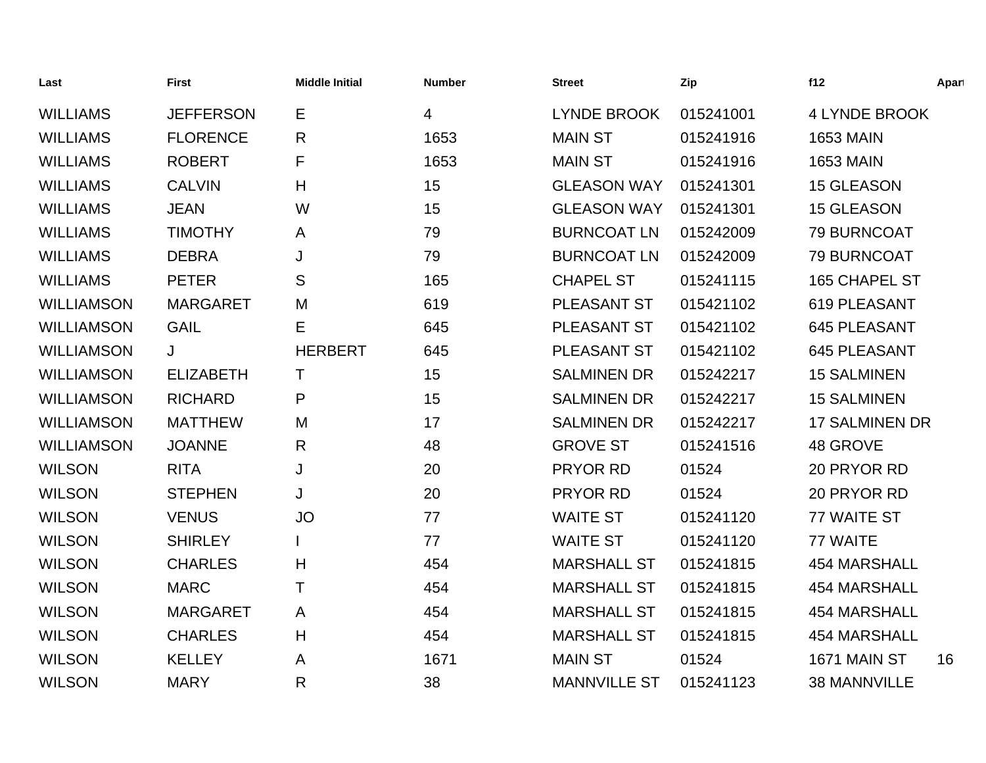| Last              | <b>First</b>     | <b>Middle Initial</b> | <b>Number</b> | <b>Street</b>       | Zip       | f12                   | Apart |
|-------------------|------------------|-----------------------|---------------|---------------------|-----------|-----------------------|-------|
| <b>WILLIAMS</b>   | <b>JEFFERSON</b> | Е                     | 4             | <b>LYNDE BROOK</b>  | 015241001 | <b>4 LYNDE BROOK</b>  |       |
| <b>WILLIAMS</b>   | <b>FLORENCE</b>  | $\mathsf{R}$          | 1653          | <b>MAIN ST</b>      | 015241916 | <b>1653 MAIN</b>      |       |
| <b>WILLIAMS</b>   | <b>ROBERT</b>    | F                     | 1653          | <b>MAIN ST</b>      | 015241916 | <b>1653 MAIN</b>      |       |
| <b>WILLIAMS</b>   | <b>CALVIN</b>    | H                     | 15            | <b>GLEASON WAY</b>  | 015241301 | 15 GLEASON            |       |
| <b>WILLIAMS</b>   | <b>JEAN</b>      | W                     | 15            | <b>GLEASON WAY</b>  | 015241301 | <b>15 GLEASON</b>     |       |
| <b>WILLIAMS</b>   | <b>TIMOTHY</b>   | A                     | 79            | <b>BURNCOAT LN</b>  | 015242009 | 79 BURNCOAT           |       |
| <b>WILLIAMS</b>   | <b>DEBRA</b>     | J                     | 79            | <b>BURNCOAT LN</b>  | 015242009 | 79 BURNCOAT           |       |
| <b>WILLIAMS</b>   | <b>PETER</b>     | S                     | 165           | <b>CHAPEL ST</b>    | 015241115 | 165 CHAPEL ST         |       |
| <b>WILLIAMSON</b> | <b>MARGARET</b>  | M                     | 619           | <b>PLEASANT ST</b>  | 015421102 | 619 PLEASANT          |       |
| <b>WILLIAMSON</b> | <b>GAIL</b>      | Е                     | 645           | PLEASANT ST         | 015421102 | <b>645 PLEASANT</b>   |       |
| <b>WILLIAMSON</b> | J                | <b>HERBERT</b>        | 645           | PLEASANT ST         | 015421102 | <b>645 PLEASANT</b>   |       |
| <b>WILLIAMSON</b> | <b>ELIZABETH</b> | Τ                     | 15            | <b>SALMINEN DR</b>  | 015242217 | <b>15 SALMINEN</b>    |       |
| <b>WILLIAMSON</b> | <b>RICHARD</b>   | P                     | 15            | <b>SALMINEN DR</b>  | 015242217 | <b>15 SALMINEN</b>    |       |
| <b>WILLIAMSON</b> | <b>MATTHEW</b>   | M                     | 17            | <b>SALMINEN DR</b>  | 015242217 | <b>17 SALMINEN DR</b> |       |
| <b>WILLIAMSON</b> | <b>JOANNE</b>    | $\mathsf{R}$          | 48            | <b>GROVE ST</b>     | 015241516 | 48 GROVE              |       |
| <b>WILSON</b>     | <b>RITA</b>      | J                     | 20            | PRYOR RD            | 01524     | 20 PRYOR RD           |       |
| <b>WILSON</b>     | <b>STEPHEN</b>   | J                     | 20            | PRYOR RD            | 01524     | 20 PRYOR RD           |       |
| <b>WILSON</b>     | <b>VENUS</b>     | <b>JO</b>             | 77            | <b>WAITE ST</b>     | 015241120 | 77 WAITE ST           |       |
| <b>WILSON</b>     | <b>SHIRLEY</b>   |                       | 77            | <b>WAITE ST</b>     | 015241120 | 77 WAITE              |       |
| <b>WILSON</b>     | <b>CHARLES</b>   | H                     | 454           | <b>MARSHALL ST</b>  | 015241815 | <b>454 MARSHALL</b>   |       |
| <b>WILSON</b>     | <b>MARC</b>      | Τ                     | 454           | <b>MARSHALL ST</b>  | 015241815 | <b>454 MARSHALL</b>   |       |
| <b>WILSON</b>     | <b>MARGARET</b>  | A                     | 454           | <b>MARSHALL ST</b>  | 015241815 | <b>454 MARSHALL</b>   |       |
| <b>WILSON</b>     | <b>CHARLES</b>   | H                     | 454           | <b>MARSHALL ST</b>  | 015241815 | <b>454 MARSHALL</b>   |       |
| <b>WILSON</b>     | <b>KELLEY</b>    | A                     | 1671          | <b>MAIN ST</b>      | 01524     | 1671 MAIN ST          | 16    |
| <b>WILSON</b>     | <b>MARY</b>      | R                     | 38            | <b>MANNVILLE ST</b> | 015241123 | <b>38 MANNVILLE</b>   |       |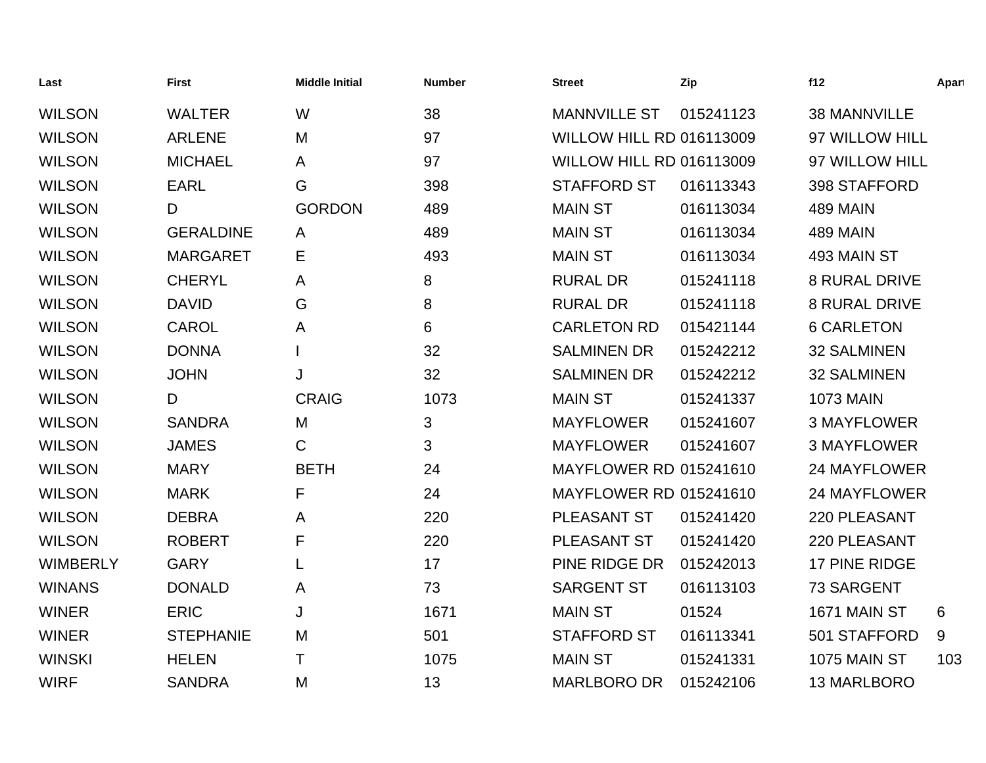| Last            | <b>First</b>     | <b>Middle Initial</b> | <b>Number</b> | <b>Street</b>                   | Zip       | f12                  | Apart |
|-----------------|------------------|-----------------------|---------------|---------------------------------|-----------|----------------------|-------|
| <b>WILSON</b>   | <b>WALTER</b>    | W                     | 38            | <b>MANNVILLE ST</b>             | 015241123 | <b>38 MANNVILLE</b>  |       |
| <b>WILSON</b>   | <b>ARLENE</b>    | M                     | 97            | <b>WILLOW HILL RD 016113009</b> |           | 97 WILLOW HILL       |       |
| <b>WILSON</b>   | <b>MICHAEL</b>   | A                     | 97            | <b>WILLOW HILL RD 016113009</b> |           | 97 WILLOW HILL       |       |
| <b>WILSON</b>   | <b>EARL</b>      | G                     | 398           | <b>STAFFORD ST</b>              | 016113343 | 398 STAFFORD         |       |
| <b>WILSON</b>   | D                | <b>GORDON</b>         | 489           | <b>MAIN ST</b>                  | 016113034 | <b>489 MAIN</b>      |       |
| <b>WILSON</b>   | <b>GERALDINE</b> | A                     | 489           | <b>MAIN ST</b>                  | 016113034 | <b>489 MAIN</b>      |       |
| <b>WILSON</b>   | <b>MARGARET</b>  | Е                     | 493           | <b>MAIN ST</b>                  | 016113034 | 493 MAIN ST          |       |
| <b>WILSON</b>   | <b>CHERYL</b>    | A                     | 8             | <b>RURAL DR</b>                 | 015241118 | <b>8 RURAL DRIVE</b> |       |
| <b>WILSON</b>   | <b>DAVID</b>     | G                     | 8             | <b>RURAL DR</b>                 | 015241118 | <b>8 RURAL DRIVE</b> |       |
| <b>WILSON</b>   | <b>CAROL</b>     | Α                     | 6             | <b>CARLETON RD</b>              | 015421144 | <b>6 CARLETON</b>    |       |
| <b>WILSON</b>   | <b>DONNA</b>     |                       | 32            | <b>SALMINEN DR</b>              | 015242212 | <b>32 SALMINEN</b>   |       |
| <b>WILSON</b>   | <b>JOHN</b>      | J                     | 32            | <b>SALMINEN DR</b>              | 015242212 | <b>32 SALMINEN</b>   |       |
| <b>WILSON</b>   | D                | <b>CRAIG</b>          | 1073          | <b>MAIN ST</b>                  | 015241337 | <b>1073 MAIN</b>     |       |
| <b>WILSON</b>   | <b>SANDRA</b>    | M                     | 3             | <b>MAYFLOWER</b>                | 015241607 | <b>3 MAYFLOWER</b>   |       |
| <b>WILSON</b>   | <b>JAMES</b>     | С                     | 3             | <b>MAYFLOWER</b>                | 015241607 | <b>3 MAYFLOWER</b>   |       |
| <b>WILSON</b>   | <b>MARY</b>      | <b>BETH</b>           | 24            | <b>MAYFLOWER RD 015241610</b>   |           | <b>24 MAYFLOWER</b>  |       |
| <b>WILSON</b>   | <b>MARK</b>      | F                     | 24            | <b>MAYFLOWER RD 015241610</b>   |           | <b>24 MAYFLOWER</b>  |       |
| <b>WILSON</b>   | <b>DEBRA</b>     | A                     | 220           | PLEASANT ST                     | 015241420 | 220 PLEASANT         |       |
| <b>WILSON</b>   | <b>ROBERT</b>    | F                     | 220           | PLEASANT ST                     | 015241420 | 220 PLEASANT         |       |
| <b>WIMBERLY</b> | <b>GARY</b>      | L                     | 17            | PINE RIDGE DR                   | 015242013 | 17 PINE RIDGE        |       |
| <b>WINANS</b>   | <b>DONALD</b>    | A                     | 73            | <b>SARGENT ST</b>               | 016113103 | 73 SARGENT           |       |
| <b>WINER</b>    | <b>ERIC</b>      | J                     | 1671          | <b>MAIN ST</b>                  | 01524     | 1671 MAIN ST         | 6     |
| <b>WINER</b>    | <b>STEPHANIE</b> | M                     | 501           | <b>STAFFORD ST</b>              | 016113341 | 501 STAFFORD         | 9     |
| <b>WINSKI</b>   | <b>HELEN</b>     | Τ                     | 1075          | <b>MAIN ST</b>                  | 015241331 | 1075 MAIN ST         | 103   |
| <b>WIRF</b>     | <b>SANDRA</b>    | M                     | 13            | <b>MARLBORO DR</b>              | 015242106 | 13 MARLBORO          |       |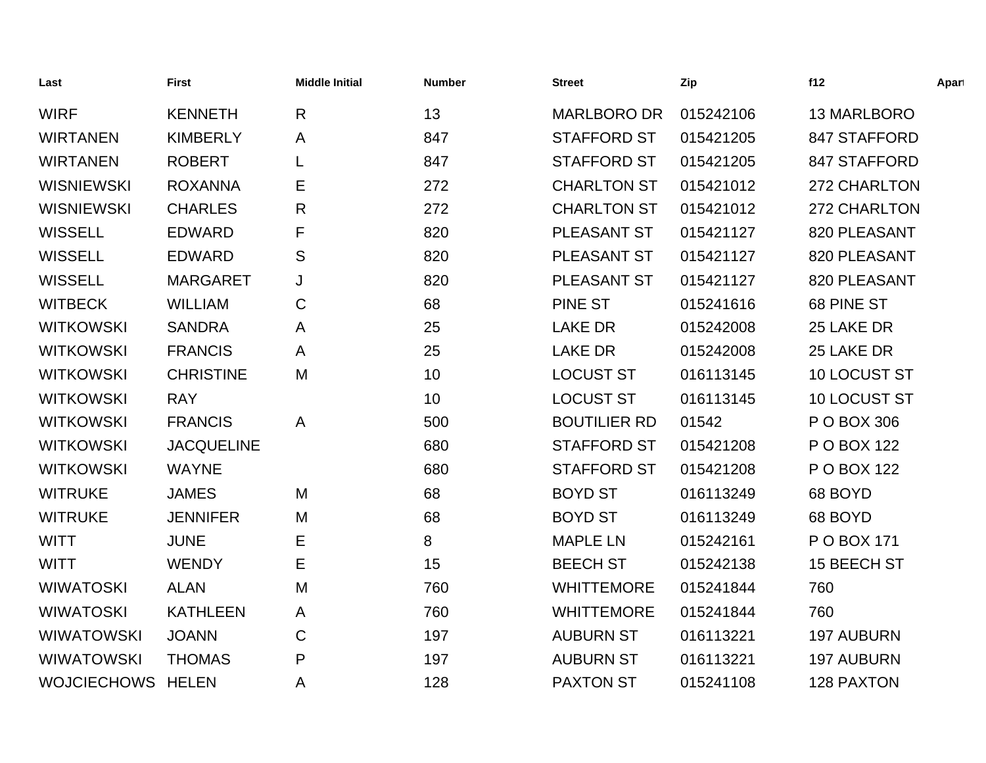| Last               | <b>First</b>      | <b>Middle Initial</b> | <b>Number</b> | <b>Street</b>       | Zip       | f12               | Apart |
|--------------------|-------------------|-----------------------|---------------|---------------------|-----------|-------------------|-------|
| <b>WIRF</b>        | <b>KENNETH</b>    | $\mathsf{R}$          | 13            | <b>MARLBORO DR</b>  | 015242106 | 13 MARLBORO       |       |
| <b>WIRTANEN</b>    | <b>KIMBERLY</b>   | A                     | 847           | <b>STAFFORD ST</b>  | 015421205 | 847 STAFFORD      |       |
| <b>WIRTANEN</b>    | <b>ROBERT</b>     | L                     | 847           | <b>STAFFORD ST</b>  | 015421205 | 847 STAFFORD      |       |
| <b>WISNIEWSKI</b>  | <b>ROXANNA</b>    | Е                     | 272           | <b>CHARLTON ST</b>  | 015421012 | 272 CHARLTON      |       |
| <b>WISNIEWSKI</b>  | <b>CHARLES</b>    | $\mathsf{R}$          | 272           | <b>CHARLTON ST</b>  | 015421012 | 272 CHARLTON      |       |
| <b>WISSELL</b>     | <b>EDWARD</b>     | F                     | 820           | PLEASANT ST         | 015421127 | 820 PLEASANT      |       |
| <b>WISSELL</b>     | <b>EDWARD</b>     | S                     | 820           | PLEASANT ST         | 015421127 | 820 PLEASANT      |       |
| <b>WISSELL</b>     | <b>MARGARET</b>   | J                     | 820           | PLEASANT ST         | 015421127 | 820 PLEASANT      |       |
| <b>WITBECK</b>     | <b>WILLIAM</b>    | $\mathbf C$           | 68            | <b>PINE ST</b>      | 015241616 | 68 PINE ST        |       |
| <b>WITKOWSKI</b>   | <b>SANDRA</b>     | A                     | 25            | <b>LAKE DR</b>      | 015242008 | 25 LAKE DR        |       |
| <b>WITKOWSKI</b>   | <b>FRANCIS</b>    | A                     | 25            | <b>LAKE DR</b>      | 015242008 | 25 LAKE DR        |       |
| <b>WITKOWSKI</b>   | <b>CHRISTINE</b>  | M                     | 10            | <b>LOCUST ST</b>    | 016113145 | 10 LOCUST ST      |       |
| <b>WITKOWSKI</b>   | <b>RAY</b>        |                       | 10            | <b>LOCUST ST</b>    | 016113145 | 10 LOCUST ST      |       |
| <b>WITKOWSKI</b>   | <b>FRANCIS</b>    | A                     | 500           | <b>BOUTILIER RD</b> | 01542     | P O BOX 306       |       |
| <b>WITKOWSKI</b>   | <b>JACQUELINE</b> |                       | 680           | <b>STAFFORD ST</b>  | 015421208 | P O BOX 122       |       |
| <b>WITKOWSKI</b>   | <b>WAYNE</b>      |                       | 680           | <b>STAFFORD ST</b>  | 015421208 | P O BOX 122       |       |
| <b>WITRUKE</b>     | <b>JAMES</b>      | M                     | 68            | <b>BOYD ST</b>      | 016113249 | 68 BOYD           |       |
| <b>WITRUKE</b>     | <b>JENNIFER</b>   | M                     | 68            | <b>BOYD ST</b>      | 016113249 | 68 BOYD           |       |
| <b>WITT</b>        | <b>JUNE</b>       | Е                     | 8             | <b>MAPLE LN</b>     | 015242161 | P O BOX 171       |       |
| <b>WITT</b>        | <b>WENDY</b>      | Е                     | 15            | <b>BEECH ST</b>     | 015242138 | 15 BEECH ST       |       |
| <b>WIWATOSKI</b>   | <b>ALAN</b>       | M                     | 760           | <b>WHITTEMORE</b>   | 015241844 | 760               |       |
| <b>WIWATOSKI</b>   | <b>KATHLEEN</b>   | A                     | 760           | <b>WHITTEMORE</b>   | 015241844 | 760               |       |
| <b>WIWATOWSKI</b>  | <b>JOANN</b>      | C                     | 197           | <b>AUBURN ST</b>    | 016113221 | <b>197 AUBURN</b> |       |
| <b>WIWATOWSKI</b>  | <b>THOMAS</b>     | P                     | 197           | <b>AUBURN ST</b>    | 016113221 | <b>197 AUBURN</b> |       |
| <b>WOJCIECHOWS</b> | <b>HELEN</b>      | A                     | 128           | <b>PAXTON ST</b>    | 015241108 | <b>128 PAXTON</b> |       |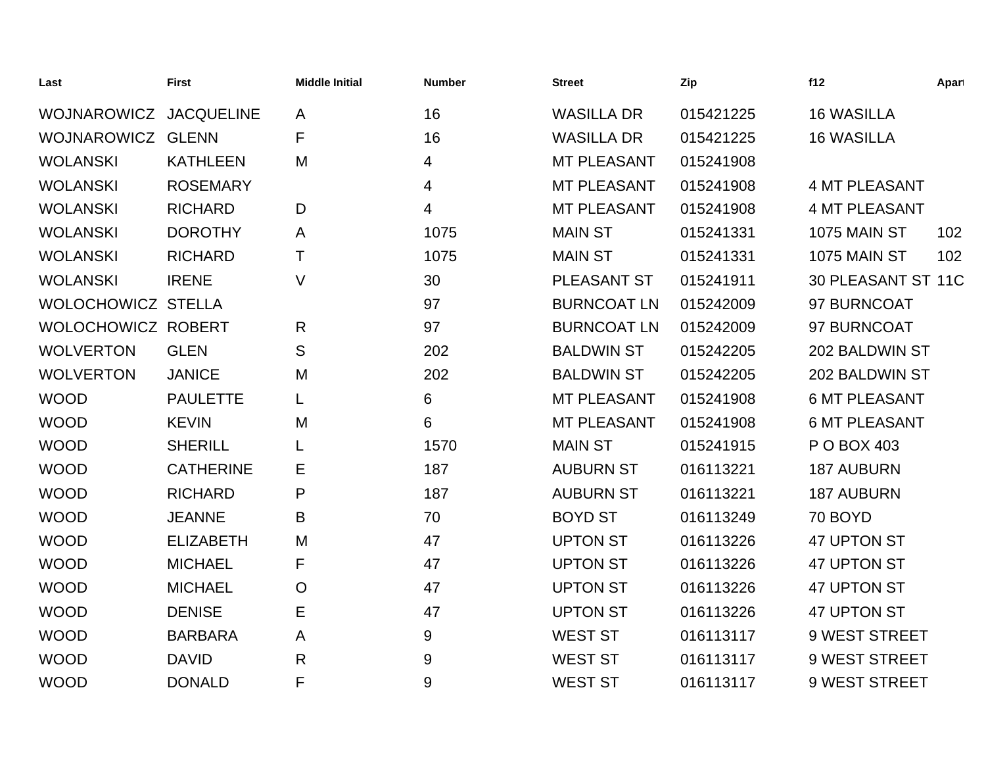| Last               | <b>First</b>      | <b>Middle Initial</b> | <b>Number</b> | <b>Street</b>      | Zip       | f12                  | Apart |
|--------------------|-------------------|-----------------------|---------------|--------------------|-----------|----------------------|-------|
| <b>WOJNAROWICZ</b> | <b>JACQUELINE</b> | A                     | 16            | <b>WASILLA DR</b>  | 015421225 | <b>16 WASILLA</b>    |       |
| <b>WOJNAROWICZ</b> | <b>GLENN</b>      | F                     | 16            | <b>WASILLA DR</b>  | 015421225 | <b>16 WASILLA</b>    |       |
| <b>WOLANSKI</b>    | <b>KATHLEEN</b>   | M                     | 4             | <b>MT PLEASANT</b> | 015241908 |                      |       |
| <b>WOLANSKI</b>    | <b>ROSEMARY</b>   |                       | 4             | <b>MT PLEASANT</b> | 015241908 | <b>4 MT PLEASANT</b> |       |
| <b>WOLANSKI</b>    | <b>RICHARD</b>    | D                     | 4             | <b>MT PLEASANT</b> | 015241908 | <b>4 MT PLEASANT</b> |       |
| <b>WOLANSKI</b>    | <b>DOROTHY</b>    | A                     | 1075          | <b>MAIN ST</b>     | 015241331 | 1075 MAIN ST         | 102   |
| <b>WOLANSKI</b>    | <b>RICHARD</b>    | Τ                     | 1075          | <b>MAIN ST</b>     | 015241331 | <b>1075 MAIN ST</b>  | 102   |
| <b>WOLANSKI</b>    | <b>IRENE</b>      | $\vee$                | 30            | <b>PLEASANT ST</b> | 015241911 | 30 PLEASANT ST 11C   |       |
| WOLOCHOWICZ STELLA |                   |                       | 97            | <b>BURNCOAT LN</b> | 015242009 | 97 BURNCOAT          |       |
| WOLOCHOWICZ ROBERT |                   | $\mathsf{R}$          | 97            | <b>BURNCOAT LN</b> | 015242009 | 97 BURNCOAT          |       |
| <b>WOLVERTON</b>   | <b>GLEN</b>       | ${\mathsf S}$         | 202           | <b>BALDWIN ST</b>  | 015242205 | 202 BALDWIN ST       |       |
| <b>WOLVERTON</b>   | <b>JANICE</b>     | M                     | 202           | <b>BALDWIN ST</b>  | 015242205 | 202 BALDWIN ST       |       |
| <b>WOOD</b>        | <b>PAULETTE</b>   |                       | 6             | <b>MT PLEASANT</b> | 015241908 | <b>6 MT PLEASANT</b> |       |
| <b>WOOD</b>        | <b>KEVIN</b>      | M                     | 6             | <b>MT PLEASANT</b> | 015241908 | <b>6 MT PLEASANT</b> |       |
| <b>WOOD</b>        | <b>SHERILL</b>    |                       | 1570          | <b>MAIN ST</b>     | 015241915 | P O BOX 403          |       |
| <b>WOOD</b>        | <b>CATHERINE</b>  | Е                     | 187           | <b>AUBURN ST</b>   | 016113221 | <b>187 AUBURN</b>    |       |
| <b>WOOD</b>        | <b>RICHARD</b>    | $\mathsf{P}$          | 187           | <b>AUBURN ST</b>   | 016113221 | <b>187 AUBURN</b>    |       |
| <b>WOOD</b>        | <b>JEANNE</b>     | B                     | 70            | <b>BOYD ST</b>     | 016113249 | 70 BOYD              |       |
| <b>WOOD</b>        | <b>ELIZABETH</b>  | M                     | 47            | <b>UPTON ST</b>    | 016113226 | 47 UPTON ST          |       |
| <b>WOOD</b>        | <b>MICHAEL</b>    | F                     | 47            | <b>UPTON ST</b>    | 016113226 | 47 UPTON ST          |       |
| <b>WOOD</b>        | <b>MICHAEL</b>    | $\circ$               | 47            | <b>UPTON ST</b>    | 016113226 | 47 UPTON ST          |       |
| <b>WOOD</b>        | <b>DENISE</b>     | E                     | 47            | <b>UPTON ST</b>    | 016113226 | 47 UPTON ST          |       |
| <b>WOOD</b>        | <b>BARBARA</b>    | A                     | 9             | <b>WEST ST</b>     | 016113117 | 9 WEST STREET        |       |
| <b>WOOD</b>        | <b>DAVID</b>      | $\mathsf{R}$          | 9             | <b>WEST ST</b>     | 016113117 | 9 WEST STREET        |       |
| <b>WOOD</b>        | <b>DONALD</b>     | F                     | 9             | <b>WEST ST</b>     | 016113117 | 9 WEST STREET        |       |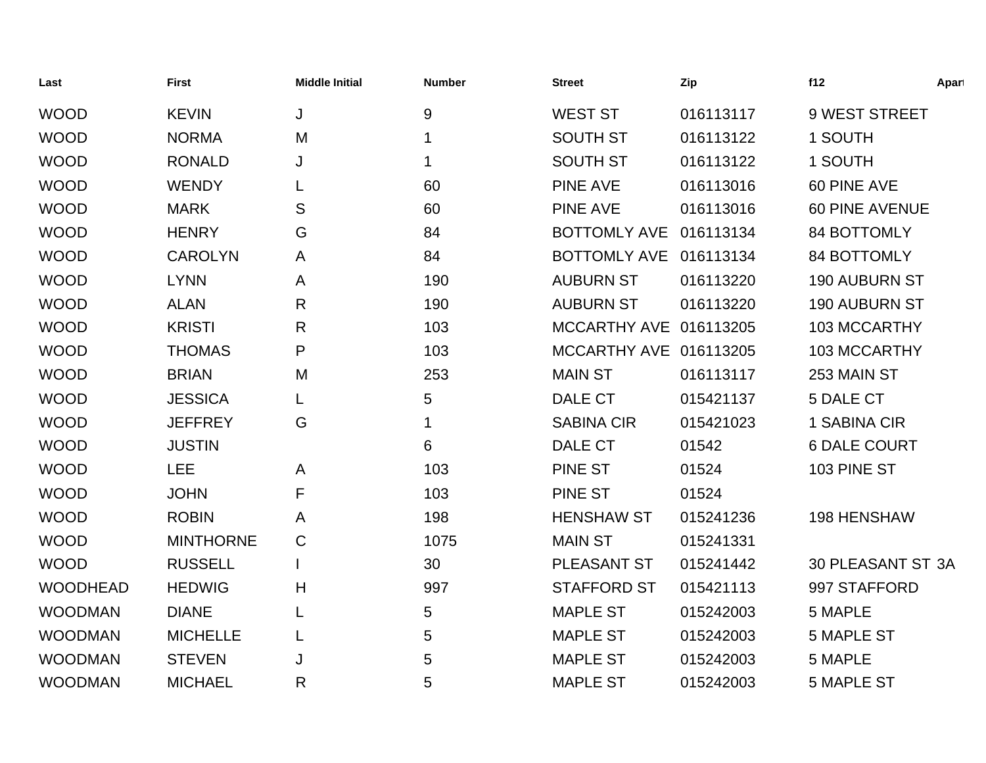| Last            | <b>First</b>     | <b>Middle Initial</b> | <b>Number</b>    | <b>Street</b>          | Zip       | f12                   | Apart |
|-----------------|------------------|-----------------------|------------------|------------------------|-----------|-----------------------|-------|
| <b>WOOD</b>     | <b>KEVIN</b>     | J                     | $\boldsymbol{9}$ | <b>WEST ST</b>         | 016113117 | 9 WEST STREET         |       |
| <b>WOOD</b>     | <b>NORMA</b>     | M                     | 1                | <b>SOUTH ST</b>        | 016113122 | 1 SOUTH               |       |
| <b>WOOD</b>     | <b>RONALD</b>    | J                     | 1                | <b>SOUTH ST</b>        | 016113122 | 1 SOUTH               |       |
| <b>WOOD</b>     | <b>WENDY</b>     |                       | 60               | <b>PINE AVE</b>        | 016113016 | 60 PINE AVE           |       |
| <b>WOOD</b>     | <b>MARK</b>      | S                     | 60               | <b>PINE AVE</b>        | 016113016 | <b>60 PINE AVENUE</b> |       |
| <b>WOOD</b>     | <b>HENRY</b>     | G                     | 84               | BOTTOMLY AVE 016113134 |           | <b>84 BOTTOMLY</b>    |       |
| <b>WOOD</b>     | <b>CAROLYN</b>   | A                     | 84               | <b>BOTTOMLY AVE</b>    | 016113134 | <b>84 BOTTOMLY</b>    |       |
| <b>WOOD</b>     | <b>LYNN</b>      | A                     | 190              | <b>AUBURN ST</b>       | 016113220 | 190 AUBURN ST         |       |
| <b>WOOD</b>     | <b>ALAN</b>      | $\mathsf{R}$          | 190              | <b>AUBURN ST</b>       | 016113220 | 190 AUBURN ST         |       |
| <b>WOOD</b>     | <b>KRISTI</b>    | $\mathsf{R}$          | 103              | MCCARTHY AVE 016113205 |           | 103 MCCARTHY          |       |
| <b>WOOD</b>     | <b>THOMAS</b>    | P                     | 103              | MCCARTHY AVE 016113205 |           | 103 MCCARTHY          |       |
| <b>WOOD</b>     | <b>BRIAN</b>     | M                     | 253              | <b>MAIN ST</b>         | 016113117 | 253 MAIN ST           |       |
| <b>WOOD</b>     | <b>JESSICA</b>   |                       | 5                | DALE CT                | 015421137 | 5 DALE CT             |       |
| <b>WOOD</b>     | <b>JEFFREY</b>   | G                     | 1                | <b>SABINA CIR</b>      | 015421023 | 1 SABINA CIR          |       |
| <b>WOOD</b>     | <b>JUSTIN</b>    |                       | 6                | DALE CT                | 01542     | <b>6 DALE COURT</b>   |       |
| <b>WOOD</b>     | <b>LEE</b>       | A                     | 103              | <b>PINE ST</b>         | 01524     | 103 PINE ST           |       |
| <b>WOOD</b>     | <b>JOHN</b>      | F                     | 103              | <b>PINE ST</b>         | 01524     |                       |       |
| <b>WOOD</b>     | <b>ROBIN</b>     | A                     | 198              | <b>HENSHAW ST</b>      | 015241236 | 198 HENSHAW           |       |
| <b>WOOD</b>     | <b>MINTHORNE</b> | $\mathsf C$           | 1075             | <b>MAIN ST</b>         | 015241331 |                       |       |
| <b>WOOD</b>     | <b>RUSSELL</b>   |                       | 30               | PLEASANT ST            | 015241442 | 30 PLEASANT ST 3A     |       |
| <b>WOODHEAD</b> | <b>HEDWIG</b>    | H                     | 997              | <b>STAFFORD ST</b>     | 015421113 | 997 STAFFORD          |       |
| <b>WOODMAN</b>  | <b>DIANE</b>     | L                     | 5                | <b>MAPLE ST</b>        | 015242003 | 5 MAPLE               |       |
| <b>WOODMAN</b>  | <b>MICHELLE</b>  | L                     | 5                | <b>MAPLE ST</b>        | 015242003 | <b>5 MAPLE ST</b>     |       |
| <b>WOODMAN</b>  | <b>STEVEN</b>    | J                     | 5                | <b>MAPLE ST</b>        | 015242003 | 5 MAPLE               |       |
| <b>WOODMAN</b>  | <b>MICHAEL</b>   | R                     | 5                | <b>MAPLE ST</b>        | 015242003 | <b>5 MAPLE ST</b>     |       |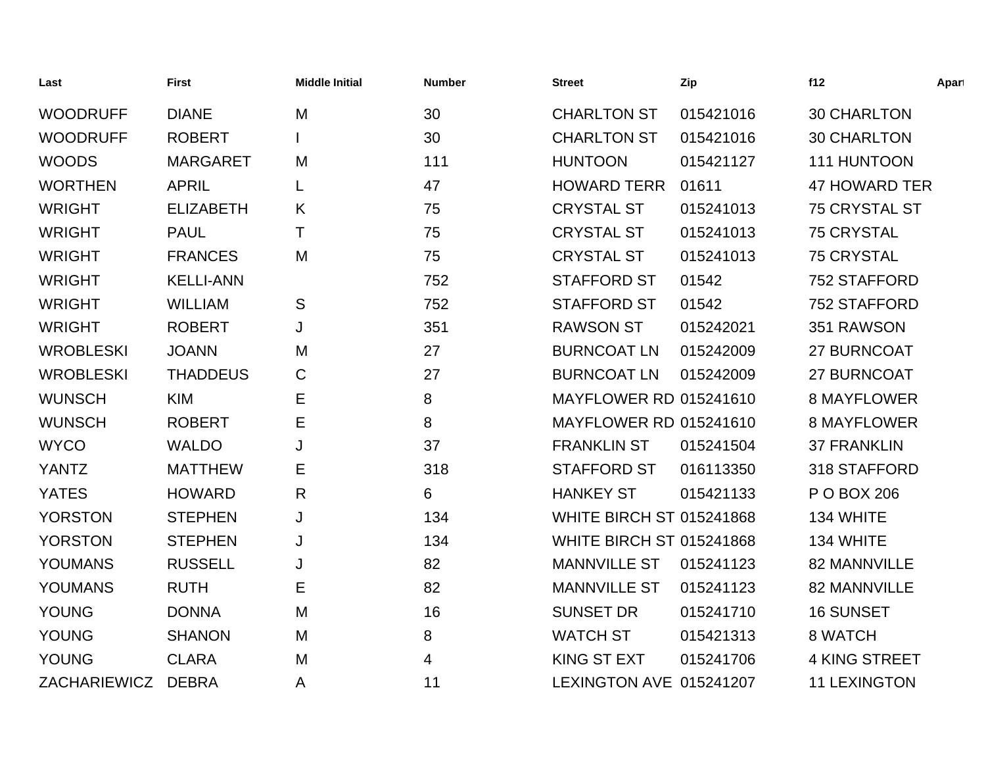| Last             | <b>First</b>     | <b>Middle Initial</b> | <b>Number</b> | <b>Street</b>                   | Zip       | f12                  | Apart |
|------------------|------------------|-----------------------|---------------|---------------------------------|-----------|----------------------|-------|
| <b>WOODRUFF</b>  | <b>DIANE</b>     | M                     | 30            | <b>CHARLTON ST</b>              | 015421016 | <b>30 CHARLTON</b>   |       |
| <b>WOODRUFF</b>  | <b>ROBERT</b>    |                       | 30            | <b>CHARLTON ST</b>              | 015421016 | <b>30 CHARLTON</b>   |       |
| <b>WOODS</b>     | <b>MARGARET</b>  | M                     | 111           | <b>HUNTOON</b>                  | 015421127 | 111 HUNTOON          |       |
| <b>WORTHEN</b>   | <b>APRIL</b>     | L                     | 47            | <b>HOWARD TERR</b>              | 01611     | <b>47 HOWARD TER</b> |       |
| <b>WRIGHT</b>    | <b>ELIZABETH</b> | K                     | 75            | <b>CRYSTAL ST</b>               | 015241013 | 75 CRYSTAL ST        |       |
| <b>WRIGHT</b>    | <b>PAUL</b>      | т                     | 75            | <b>CRYSTAL ST</b>               | 015241013 | <b>75 CRYSTAL</b>    |       |
| <b>WRIGHT</b>    | <b>FRANCES</b>   | M                     | 75            | <b>CRYSTAL ST</b>               | 015241013 | <b>75 CRYSTAL</b>    |       |
| <b>WRIGHT</b>    | <b>KELLI-ANN</b> |                       | 752           | <b>STAFFORD ST</b>              | 01542     | 752 STAFFORD         |       |
| <b>WRIGHT</b>    | <b>WILLIAM</b>   | S                     | 752           | <b>STAFFORD ST</b>              | 01542     | 752 STAFFORD         |       |
| <b>WRIGHT</b>    | <b>ROBERT</b>    | J                     | 351           | <b>RAWSON ST</b>                | 015242021 | 351 RAWSON           |       |
| <b>WROBLESKI</b> | <b>JOANN</b>     | M                     | 27            | <b>BURNCOAT LN</b>              | 015242009 | 27 BURNCOAT          |       |
| <b>WROBLESKI</b> | <b>THADDEUS</b>  | C                     | 27            | <b>BURNCOAT LN</b>              | 015242009 | 27 BURNCOAT          |       |
| <b>WUNSCH</b>    | <b>KIM</b>       | E                     | 8             | <b>MAYFLOWER RD 015241610</b>   |           | <b>8 MAYFLOWER</b>   |       |
| <b>WUNSCH</b>    | <b>ROBERT</b>    | E                     | 8             | <b>MAYFLOWER RD 015241610</b>   |           | <b>8 MAYFLOWER</b>   |       |
| <b>WYCO</b>      | <b>WALDO</b>     | J                     | 37            | <b>FRANKLIN ST</b>              | 015241504 | <b>37 FRANKLIN</b>   |       |
| <b>YANTZ</b>     | <b>MATTHEW</b>   | Е                     | 318           | <b>STAFFORD ST</b>              | 016113350 | 318 STAFFORD         |       |
| <b>YATES</b>     | <b>HOWARD</b>    | $\mathsf{R}$          | 6             | <b>HANKEY ST</b>                | 015421133 | P O BOX 206          |       |
| <b>YORSTON</b>   | <b>STEPHEN</b>   | J                     | 134           | <b>WHITE BIRCH ST 015241868</b> |           | 134 WHITE            |       |
| <b>YORSTON</b>   | <b>STEPHEN</b>   | J                     | 134           | <b>WHITE BIRCH ST 015241868</b> |           | 134 WHITE            |       |
| <b>YOUMANS</b>   | <b>RUSSELL</b>   | J                     | 82            | <b>MANNVILLE ST</b>             | 015241123 | 82 MANNVILLE         |       |
| <b>YOUMANS</b>   | <b>RUTH</b>      | Е                     | 82            | <b>MANNVILLE ST</b>             | 015241123 | 82 MANNVILLE         |       |
| <b>YOUNG</b>     | <b>DONNA</b>     | M                     | 16            | <b>SUNSET DR</b>                | 015241710 | <b>16 SUNSET</b>     |       |
| <b>YOUNG</b>     | <b>SHANON</b>    | M                     | 8             | <b>WATCH ST</b>                 | 015421313 | 8 WATCH              |       |
| <b>YOUNG</b>     | <b>CLARA</b>     | M                     | 4             | <b>KING ST EXT</b>              | 015241706 | <b>4 KING STREET</b> |       |
| ZACHARIEWICZ     | <b>DEBRA</b>     | A                     | 11            | LEXINGTON AVE 015241207         |           | <b>11 LEXINGTON</b>  |       |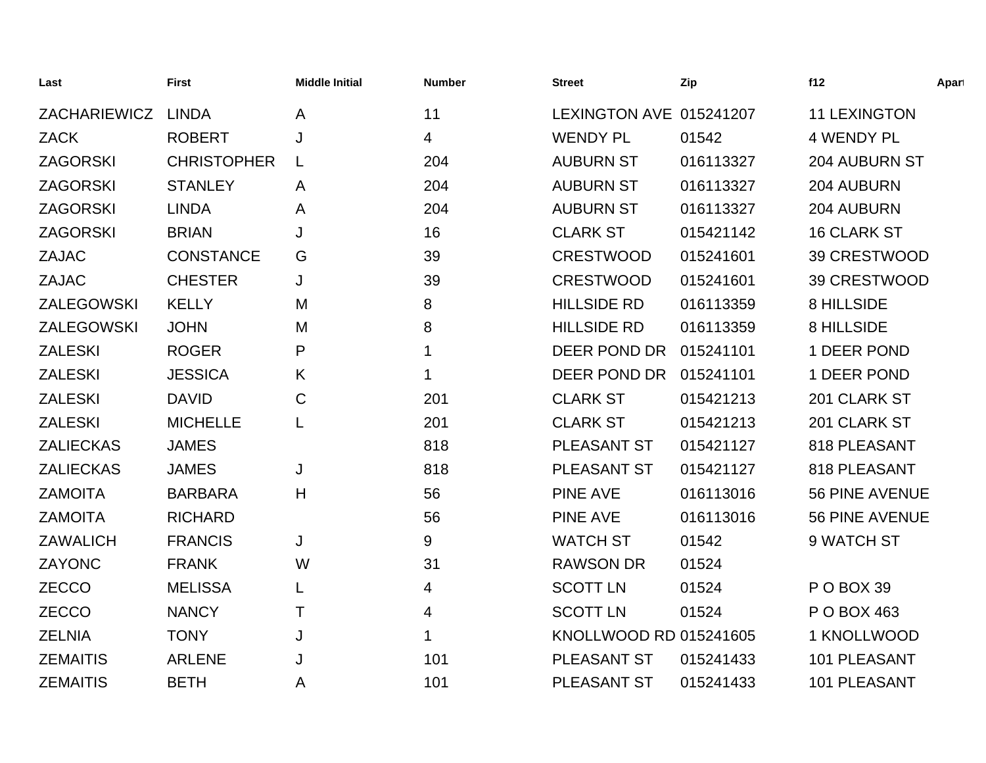| Last                | <b>First</b>       | <b>Middle Initial</b> | <b>Number</b> | <b>Street</b>           | Zip       | f12                   | Apart |
|---------------------|--------------------|-----------------------|---------------|-------------------------|-----------|-----------------------|-------|
| <b>ZACHARIEWICZ</b> | <b>LINDA</b>       | A                     | 11            | LEXINGTON AVE 015241207 |           | <b>11 LEXINGTON</b>   |       |
| <b>ZACK</b>         | <b>ROBERT</b>      | J                     | 4             | <b>WENDY PL</b>         | 01542     | <b>4 WENDY PL</b>     |       |
| <b>ZAGORSKI</b>     | <b>CHRISTOPHER</b> |                       | 204           | <b>AUBURN ST</b>        | 016113327 | <b>204 AUBURN ST</b>  |       |
| <b>ZAGORSKI</b>     | <b>STANLEY</b>     | A                     | 204           | <b>AUBURN ST</b>        | 016113327 | 204 AUBURN            |       |
| <b>ZAGORSKI</b>     | <b>LINDA</b>       | Α                     | 204           | <b>AUBURN ST</b>        | 016113327 | 204 AUBURN            |       |
| <b>ZAGORSKI</b>     | <b>BRIAN</b>       | J                     | 16            | <b>CLARK ST</b>         | 015421142 | <b>16 CLARK ST</b>    |       |
| <b>ZAJAC</b>        | <b>CONSTANCE</b>   | G                     | 39            | <b>CRESTWOOD</b>        | 015241601 | 39 CRESTWOOD          |       |
| <b>ZAJAC</b>        | <b>CHESTER</b>     | J                     | 39            | <b>CRESTWOOD</b>        | 015241601 | 39 CRESTWOOD          |       |
| ZALEGOWSKI          | <b>KELLY</b>       | M                     | 8             | <b>HILLSIDE RD</b>      | 016113359 | 8 HILLSIDE            |       |
| <b>ZALEGOWSKI</b>   | <b>JOHN</b>        | M                     | 8             | <b>HILLSIDE RD</b>      | 016113359 | 8 HILLSIDE            |       |
| <b>ZALESKI</b>      | <b>ROGER</b>       | P                     | 1             | DEER POND DR            | 015241101 | 1 DEER POND           |       |
| <b>ZALESKI</b>      | <b>JESSICA</b>     | K                     |               | DEER POND DR            | 015241101 | 1 DEER POND           |       |
| <b>ZALESKI</b>      | <b>DAVID</b>       | C                     | 201           | <b>CLARK ST</b>         | 015421213 | 201 CLARK ST          |       |
| <b>ZALESKI</b>      | <b>MICHELLE</b>    | L                     | 201           | <b>CLARK ST</b>         | 015421213 | 201 CLARK ST          |       |
| <b>ZALIECKAS</b>    | <b>JAMES</b>       |                       | 818           | PLEASANT ST             | 015421127 | 818 PLEASANT          |       |
| <b>ZALIECKAS</b>    | <b>JAMES</b>       | J                     | 818           | PLEASANT ST             | 015421127 | 818 PLEASANT          |       |
| <b>ZAMOITA</b>      | <b>BARBARA</b>     | Η                     | 56            | <b>PINE AVE</b>         | 016113016 | <b>56 PINE AVENUE</b> |       |
| <b>ZAMOITA</b>      | <b>RICHARD</b>     |                       | 56            | <b>PINE AVE</b>         | 016113016 | 56 PINE AVENUE        |       |
| <b>ZAWALICH</b>     | <b>FRANCIS</b>     | J                     | 9             | <b>WATCH ST</b>         | 01542     | 9 WATCH ST            |       |
| ZAYONC              | <b>FRANK</b>       | W                     | 31            | <b>RAWSON DR</b>        | 01524     |                       |       |
| <b>ZECCO</b>        | <b>MELISSA</b>     |                       | 4             | <b>SCOTT LN</b>         | 01524     | P O BOX 39            |       |
| <b>ZECCO</b>        | <b>NANCY</b>       | Τ                     | 4             | <b>SCOTT LN</b>         | 01524     | P O BOX 463           |       |
| <b>ZELNIA</b>       | <b>TONY</b>        | J                     | 1             | KNOLLWOOD RD 015241605  |           | 1 KNOLLWOOD           |       |
| <b>ZEMAITIS</b>     | <b>ARLENE</b>      | J                     | 101           | <b>PLEASANT ST</b>      | 015241433 | 101 PLEASANT          |       |
| <b>ZEMAITIS</b>     | <b>BETH</b>        | Α                     | 101           | <b>PLEASANT ST</b>      | 015241433 | 101 PLEASANT          |       |